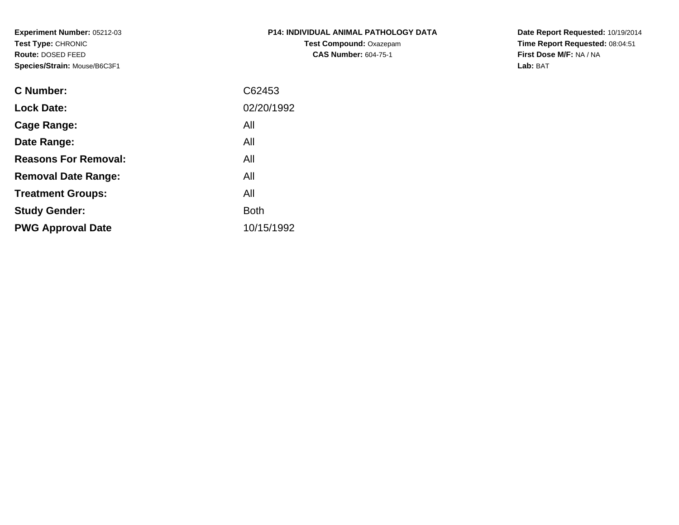**Experiment Number:** 05212-03**Test Type:** CHRONIC **Route:** DOSED FEED**Species/Strain:** Mouse/B6C3F1

| P14: INDIVIDUAL ANIMAL PATHOLOGY DATA |
|---------------------------------------|
| <b>Test Compound: Oxazepam</b>        |
| <b>CAS Number: 604-75-1</b>           |

**Date Report Requested:** 10/19/2014 **Time Report Requested:** 08:04:51**First Dose M/F:** NA / NA**Lab:** BAT

| <b>C</b> Number:            | C62453      |
|-----------------------------|-------------|
| <b>Lock Date:</b>           | 02/20/1992  |
| Cage Range:                 | All         |
| Date Range:                 | All         |
| <b>Reasons For Removal:</b> | All         |
| <b>Removal Date Range:</b>  | All         |
| <b>Treatment Groups:</b>    | All         |
| <b>Study Gender:</b>        | <b>Both</b> |
| <b>PWG Approval Date</b>    | 10/15/1992  |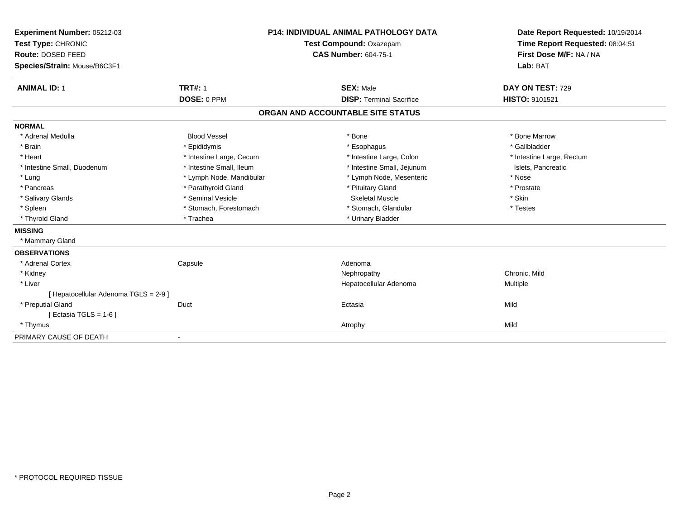| Experiment Number: 05212-03<br>Test Type: CHRONIC<br>Route: DOSED FEED<br>Species/Strain: Mouse/B6C3F1 |                          | <b>P14: INDIVIDUAL ANIMAL PATHOLOGY DATA</b><br>Test Compound: Oxazepam<br><b>CAS Number: 604-75-1</b> | Date Report Requested: 10/19/2014<br>Time Report Requested: 08:04:51<br>First Dose M/F: NA / NA<br>Lab: BAT |
|--------------------------------------------------------------------------------------------------------|--------------------------|--------------------------------------------------------------------------------------------------------|-------------------------------------------------------------------------------------------------------------|
| <b>ANIMAL ID: 1</b>                                                                                    | <b>TRT#: 1</b>           | <b>SEX: Male</b>                                                                                       | DAY ON TEST: 729                                                                                            |
|                                                                                                        | DOSE: 0 PPM              | <b>DISP: Terminal Sacrifice</b>                                                                        | HISTO: 9101521                                                                                              |
|                                                                                                        |                          | ORGAN AND ACCOUNTABLE SITE STATUS                                                                      |                                                                                                             |
| <b>NORMAL</b>                                                                                          |                          |                                                                                                        |                                                                                                             |
| * Adrenal Medulla                                                                                      | <b>Blood Vessel</b>      | * Bone                                                                                                 | * Bone Marrow                                                                                               |
| * Brain                                                                                                | * Epididymis             | * Esophagus                                                                                            | * Gallbladder                                                                                               |
| * Heart                                                                                                | * Intestine Large, Cecum | * Intestine Large, Colon                                                                               | * Intestine Large, Rectum                                                                                   |
| * Intestine Small, Duodenum                                                                            | * Intestine Small, Ileum | * Intestine Small, Jejunum                                                                             | Islets, Pancreatic                                                                                          |
| * Lung                                                                                                 | * Lymph Node, Mandibular | * Lymph Node, Mesenteric                                                                               | * Nose                                                                                                      |
| * Pancreas                                                                                             | * Parathyroid Gland      | * Pituitary Gland                                                                                      | * Prostate                                                                                                  |
| * Salivary Glands                                                                                      | * Seminal Vesicle        | <b>Skeletal Muscle</b>                                                                                 | * Skin                                                                                                      |
| * Spleen                                                                                               | * Stomach, Forestomach   | * Stomach, Glandular                                                                                   | * Testes                                                                                                    |
| * Thyroid Gland                                                                                        | * Trachea                | * Urinary Bladder                                                                                      |                                                                                                             |
| <b>MISSING</b>                                                                                         |                          |                                                                                                        |                                                                                                             |
| * Mammary Gland                                                                                        |                          |                                                                                                        |                                                                                                             |
| <b>OBSERVATIONS</b>                                                                                    |                          |                                                                                                        |                                                                                                             |
| * Adrenal Cortex                                                                                       | Capsule                  | Adenoma                                                                                                |                                                                                                             |
| * Kidney                                                                                               |                          | Nephropathy                                                                                            | Chronic, Mild                                                                                               |
| * Liver                                                                                                |                          | Hepatocellular Adenoma                                                                                 | Multiple                                                                                                    |
| [ Hepatocellular Adenoma TGLS = 2-9 ]                                                                  |                          |                                                                                                        |                                                                                                             |
| * Preputial Gland                                                                                      | Duct                     | Ectasia                                                                                                | Mild                                                                                                        |
| [Ectasia TGLS = $1-6$ ]                                                                                |                          |                                                                                                        |                                                                                                             |
| * Thymus                                                                                               |                          | Atrophy                                                                                                | Mild                                                                                                        |
| PRIMARY CAUSE OF DEATH                                                                                 |                          |                                                                                                        |                                                                                                             |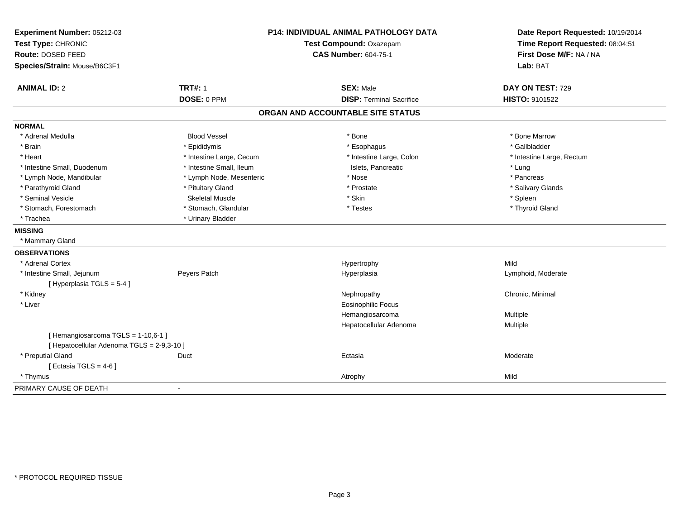| Experiment Number: 05212-03                |                          | <b>P14: INDIVIDUAL ANIMAL PATHOLOGY DATA</b> | Date Report Requested: 10/19/2014 |
|--------------------------------------------|--------------------------|----------------------------------------------|-----------------------------------|
| Test Type: CHRONIC                         |                          | Test Compound: Oxazepam                      | Time Report Requested: 08:04:51   |
| Route: DOSED FEED                          |                          | <b>CAS Number: 604-75-1</b>                  | First Dose M/F: NA / NA           |
| Species/Strain: Mouse/B6C3F1               |                          |                                              | Lab: BAT                          |
| <b>ANIMAL ID: 2</b>                        | <b>TRT#: 1</b>           | <b>SEX: Male</b>                             | DAY ON TEST: 729                  |
|                                            | DOSE: 0 PPM              | <b>DISP: Terminal Sacrifice</b>              | HISTO: 9101522                    |
|                                            |                          | ORGAN AND ACCOUNTABLE SITE STATUS            |                                   |
| <b>NORMAL</b>                              |                          |                                              |                                   |
| * Adrenal Medulla                          | <b>Blood Vessel</b>      | * Bone                                       | * Bone Marrow                     |
| * Brain                                    | * Epididymis             | * Esophagus                                  | * Gallbladder                     |
| * Heart                                    | * Intestine Large, Cecum | * Intestine Large, Colon                     | * Intestine Large, Rectum         |
| * Intestine Small, Duodenum                | * Intestine Small, Ileum | Islets, Pancreatic                           | * Lung                            |
| * Lymph Node, Mandibular                   | * Lymph Node, Mesenteric | * Nose                                       | * Pancreas                        |
| * Parathyroid Gland                        | * Pituitary Gland        | * Prostate                                   | * Salivary Glands                 |
| * Seminal Vesicle                          | <b>Skeletal Muscle</b>   | * Skin                                       | * Spleen                          |
| * Stomach, Forestomach                     | * Stomach, Glandular     | * Testes                                     | * Thyroid Gland                   |
| * Trachea                                  | * Urinary Bladder        |                                              |                                   |
| <b>MISSING</b>                             |                          |                                              |                                   |
| * Mammary Gland                            |                          |                                              |                                   |
| <b>OBSERVATIONS</b>                        |                          |                                              |                                   |
| * Adrenal Cortex                           |                          | Hypertrophy                                  | Mild                              |
| * Intestine Small, Jejunum                 | Peyers Patch             | Hyperplasia                                  | Lymphoid, Moderate                |
| [Hyperplasia TGLS = 5-4]                   |                          |                                              |                                   |
| * Kidney                                   |                          | Nephropathy                                  | Chronic, Minimal                  |
| * Liver                                    |                          | <b>Eosinophilic Focus</b>                    |                                   |
|                                            |                          | Hemangiosarcoma                              | Multiple                          |
|                                            |                          | Hepatocellular Adenoma                       | Multiple                          |
| [Hemangiosarcoma TGLS = 1-10,6-1]          |                          |                                              |                                   |
| [ Hepatocellular Adenoma TGLS = 2-9,3-10 ] |                          |                                              |                                   |
| * Preputial Gland                          | Duct                     | Ectasia                                      | Moderate                          |
| [ Ectasia TGLS = $4-6$ ]                   |                          |                                              |                                   |
| * Thymus                                   |                          | Atrophy                                      | Mild                              |
| PRIMARY CAUSE OF DEATH                     | $\blacksquare$           |                                              |                                   |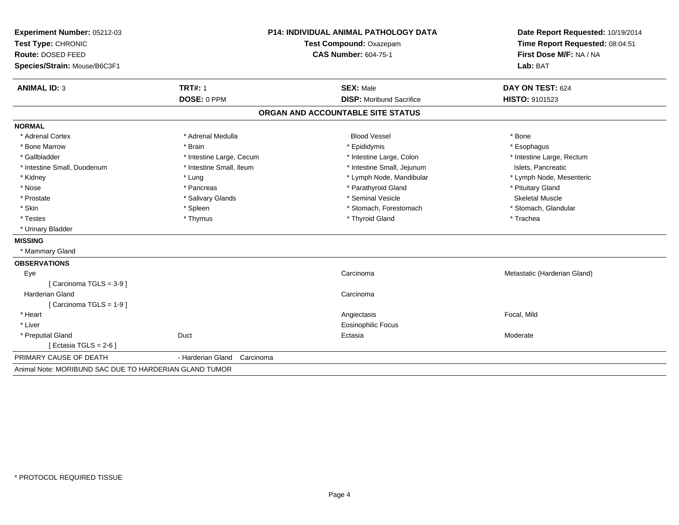| Experiment Number: 05212-03                            | <b>P14: INDIVIDUAL ANIMAL PATHOLOGY DATA</b> |                                   | Date Report Requested: 10/19/2014 |
|--------------------------------------------------------|----------------------------------------------|-----------------------------------|-----------------------------------|
| Test Type: CHRONIC                                     |                                              | Test Compound: Oxazepam           | Time Report Requested: 08:04:51   |
| Route: DOSED FEED                                      |                                              | <b>CAS Number: 604-75-1</b>       | First Dose M/F: NA / NA           |
| Species/Strain: Mouse/B6C3F1                           |                                              |                                   | Lab: BAT                          |
| <b>ANIMAL ID: 3</b>                                    | <b>TRT#: 1</b>                               | <b>SEX: Male</b>                  | DAY ON TEST: 624                  |
|                                                        | DOSE: 0 PPM                                  | <b>DISP:</b> Moribund Sacrifice   | HISTO: 9101523                    |
|                                                        |                                              | ORGAN AND ACCOUNTABLE SITE STATUS |                                   |
| <b>NORMAL</b>                                          |                                              |                                   |                                   |
| * Adrenal Cortex                                       | * Adrenal Medulla                            | <b>Blood Vessel</b>               | * Bone                            |
| * Bone Marrow                                          | * Brain                                      | * Epididymis                      | * Esophagus                       |
| * Gallbladder                                          | * Intestine Large, Cecum                     | * Intestine Large, Colon          | * Intestine Large, Rectum         |
| * Intestine Small, Duodenum                            | * Intestine Small, Ileum                     | * Intestine Small, Jejunum        | Islets, Pancreatic                |
| * Kidney                                               | * Lung                                       | * Lymph Node, Mandibular          | * Lymph Node, Mesenteric          |
| * Nose                                                 | * Pancreas                                   | * Parathyroid Gland               | * Pituitary Gland                 |
| * Prostate                                             | * Salivary Glands                            | * Seminal Vesicle                 | <b>Skeletal Muscle</b>            |
| * Skin                                                 | * Spleen                                     | * Stomach, Forestomach            | * Stomach, Glandular              |
| * Testes                                               | * Thymus                                     | * Thyroid Gland                   | * Trachea                         |
| * Urinary Bladder                                      |                                              |                                   |                                   |
| <b>MISSING</b>                                         |                                              |                                   |                                   |
| * Mammary Gland                                        |                                              |                                   |                                   |
| <b>OBSERVATIONS</b>                                    |                                              |                                   |                                   |
| Eye                                                    |                                              | Carcinoma                         | Metastatic (Harderian Gland)      |
| [ Carcinoma TGLS = 3-9 ]                               |                                              |                                   |                                   |
| <b>Harderian Gland</b>                                 |                                              | Carcinoma                         |                                   |
| [Carcinoma TGLS = 1-9]                                 |                                              |                                   |                                   |
| * Heart                                                |                                              | Angiectasis                       | Focal, Mild                       |
| * Liver                                                |                                              | <b>Eosinophilic Focus</b>         |                                   |
| * Preputial Gland                                      | Duct                                         | Ectasia                           | Moderate                          |
| [ Ectasia TGLS = $2-6$ ]                               |                                              |                                   |                                   |
| PRIMARY CAUSE OF DEATH                                 | - Harderian Gland<br>Carcinoma               |                                   |                                   |
| Animal Note: MORIBUND SAC DUE TO HARDERIAN GLAND TUMOR |                                              |                                   |                                   |
|                                                        |                                              |                                   |                                   |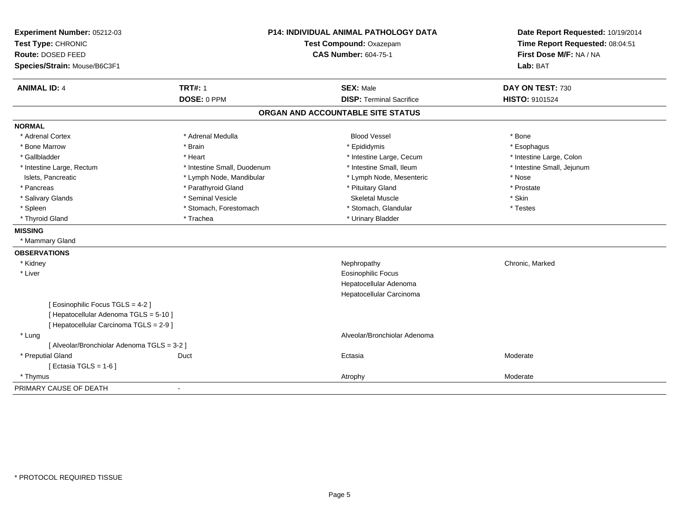| Experiment Number: 05212-03<br>Test Type: CHRONIC |                             | <b>P14: INDIVIDUAL ANIMAL PATHOLOGY DATA</b><br>Test Compound: Oxazepam | Date Report Requested: 10/19/2014<br>Time Report Requested: 08:04:51 |
|---------------------------------------------------|-----------------------------|-------------------------------------------------------------------------|----------------------------------------------------------------------|
| Route: DOSED FEED                                 | <b>CAS Number: 604-75-1</b> |                                                                         | First Dose M/F: NA / NA                                              |
| Species/Strain: Mouse/B6C3F1                      |                             |                                                                         | Lab: BAT                                                             |
| <b>ANIMAL ID: 4</b>                               | <b>TRT#: 1</b>              | <b>SEX: Male</b>                                                        | DAY ON TEST: 730                                                     |
|                                                   | DOSE: 0 PPM                 | <b>DISP: Terminal Sacrifice</b>                                         | <b>HISTO: 9101524</b>                                                |
|                                                   |                             | ORGAN AND ACCOUNTABLE SITE STATUS                                       |                                                                      |
| <b>NORMAL</b>                                     |                             |                                                                         |                                                                      |
| * Adrenal Cortex                                  | * Adrenal Medulla           | <b>Blood Vessel</b>                                                     | * Bone                                                               |
| * Bone Marrow                                     | * Brain                     | * Epididymis                                                            | * Esophagus                                                          |
| * Gallbladder                                     | * Heart                     | * Intestine Large, Cecum                                                | * Intestine Large, Colon                                             |
| * Intestine Large, Rectum                         | * Intestine Small, Duodenum | * Intestine Small, Ileum                                                | * Intestine Small, Jejunum                                           |
| Islets, Pancreatic                                | * Lymph Node, Mandibular    | * Lymph Node, Mesenteric                                                | * Nose                                                               |
| * Pancreas                                        | * Parathyroid Gland         | * Pituitary Gland                                                       | * Prostate                                                           |
| * Salivary Glands                                 | * Seminal Vesicle           | <b>Skeletal Muscle</b>                                                  | * Skin                                                               |
| * Spleen                                          | * Stomach, Forestomach      | * Stomach, Glandular                                                    | * Testes                                                             |
| * Thyroid Gland                                   | * Trachea                   | * Urinary Bladder                                                       |                                                                      |
| <b>MISSING</b>                                    |                             |                                                                         |                                                                      |
| * Mammary Gland                                   |                             |                                                                         |                                                                      |
| <b>OBSERVATIONS</b>                               |                             |                                                                         |                                                                      |
| * Kidney                                          |                             | Nephropathy                                                             | Chronic, Marked                                                      |
| * Liver                                           |                             | <b>Eosinophilic Focus</b>                                               |                                                                      |
|                                                   |                             | Hepatocellular Adenoma                                                  |                                                                      |
|                                                   |                             | Hepatocellular Carcinoma                                                |                                                                      |
| [ Eosinophilic Focus TGLS = 4-2 ]                 |                             |                                                                         |                                                                      |
| [ Hepatocellular Adenoma TGLS = 5-10 ]            |                             |                                                                         |                                                                      |
| [ Hepatocellular Carcinoma TGLS = 2-9 ]           |                             |                                                                         |                                                                      |
| * Lung                                            |                             | Alveolar/Bronchiolar Adenoma                                            |                                                                      |
| [ Alveolar/Bronchiolar Adenoma TGLS = 3-2 ]       |                             |                                                                         |                                                                      |
| * Preputial Gland                                 | Duct                        | Ectasia                                                                 | Moderate                                                             |
| [Ectasia TGLS = $1-6$ ]                           |                             |                                                                         |                                                                      |
| * Thymus                                          |                             | Atrophy                                                                 | Moderate                                                             |
| PRIMARY CAUSE OF DEATH                            | $\overline{\phantom{a}}$    |                                                                         |                                                                      |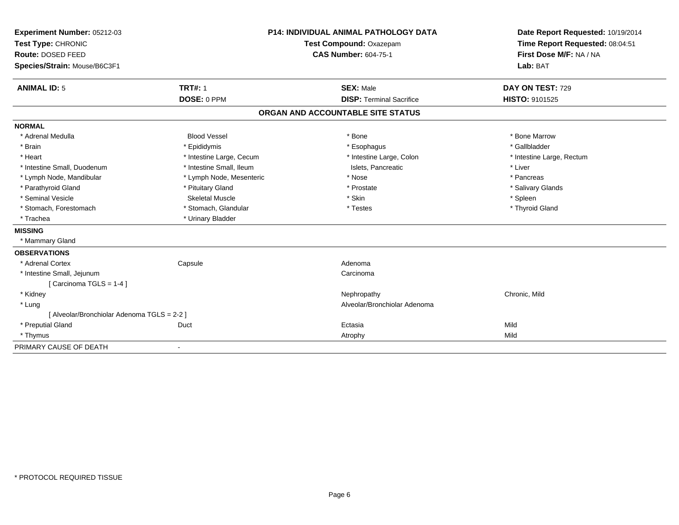| Experiment Number: 05212-03                 |                          | <b>P14: INDIVIDUAL ANIMAL PATHOLOGY DATA</b> | Date Report Requested: 10/19/2014 |
|---------------------------------------------|--------------------------|----------------------------------------------|-----------------------------------|
| Test Type: CHRONIC                          | Test Compound: Oxazepam  |                                              | Time Report Requested: 08:04:51   |
| <b>Route: DOSED FEED</b>                    |                          | <b>CAS Number: 604-75-1</b>                  | First Dose M/F: NA / NA           |
| Species/Strain: Mouse/B6C3F1                |                          |                                              | Lab: BAT                          |
| <b>ANIMAL ID: 5</b>                         | <b>TRT#: 1</b>           | <b>SEX: Male</b>                             | DAY ON TEST: 729                  |
|                                             | DOSE: 0 PPM              | <b>DISP: Terminal Sacrifice</b>              | HISTO: 9101525                    |
|                                             |                          | ORGAN AND ACCOUNTABLE SITE STATUS            |                                   |
| <b>NORMAL</b>                               |                          |                                              |                                   |
| * Adrenal Medulla                           | <b>Blood Vessel</b>      | * Bone                                       | * Bone Marrow                     |
| * Brain                                     | * Epididymis             | * Esophagus                                  | * Gallbladder                     |
| * Heart                                     | * Intestine Large, Cecum | * Intestine Large, Colon                     | * Intestine Large, Rectum         |
| * Intestine Small, Duodenum                 | * Intestine Small, Ileum | Islets, Pancreatic                           | * Liver                           |
| * Lymph Node, Mandibular                    | * Lymph Node, Mesenteric | * Nose                                       | * Pancreas                        |
| * Parathyroid Gland                         | * Pituitary Gland        | * Prostate                                   | * Salivary Glands                 |
| * Seminal Vesicle                           | Skeletal Muscle          | * Skin                                       | * Spleen                          |
| * Stomach, Forestomach                      | * Stomach, Glandular     | * Testes                                     | * Thyroid Gland                   |
| * Trachea                                   | * Urinary Bladder        |                                              |                                   |
| <b>MISSING</b>                              |                          |                                              |                                   |
| * Mammary Gland                             |                          |                                              |                                   |
| <b>OBSERVATIONS</b>                         |                          |                                              |                                   |
| * Adrenal Cortex                            | Capsule                  | Adenoma                                      |                                   |
| * Intestine Small, Jejunum                  |                          | Carcinoma                                    |                                   |
| [Carcinoma TGLS = $1-4$ ]                   |                          |                                              |                                   |
| * Kidney                                    |                          | Nephropathy                                  | Chronic, Mild                     |
| * Lung                                      |                          | Alveolar/Bronchiolar Adenoma                 |                                   |
| [ Alveolar/Bronchiolar Adenoma TGLS = 2-2 ] |                          |                                              |                                   |
| * Preputial Gland                           | Duct                     | Ectasia                                      | Mild                              |
| * Thymus                                    |                          | Atrophy                                      | Mild                              |
| PRIMARY CAUSE OF DEATH                      |                          |                                              |                                   |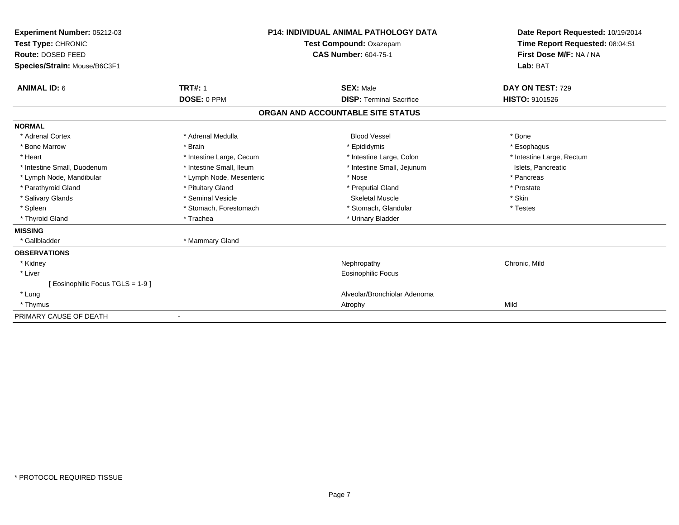| Experiment Number: 05212-03<br>Test Type: CHRONIC<br>Route: DOSED FEED<br>Species/Strain: Mouse/B6C3F1 |                          | <b>P14: INDIVIDUAL ANIMAL PATHOLOGY DATA</b><br>Test Compound: Oxazepam<br><b>CAS Number: 604-75-1</b> | Date Report Requested: 10/19/2014<br>Time Report Requested: 08:04:51<br>First Dose M/F: NA / NA<br>Lab: BAT |
|--------------------------------------------------------------------------------------------------------|--------------------------|--------------------------------------------------------------------------------------------------------|-------------------------------------------------------------------------------------------------------------|
| <b>ANIMAL ID: 6</b>                                                                                    | <b>TRT#: 1</b>           | <b>SEX: Male</b>                                                                                       | DAY ON TEST: 729                                                                                            |
|                                                                                                        | DOSE: 0 PPM              | <b>DISP: Terminal Sacrifice</b>                                                                        | <b>HISTO: 9101526</b>                                                                                       |
|                                                                                                        |                          | ORGAN AND ACCOUNTABLE SITE STATUS                                                                      |                                                                                                             |
| <b>NORMAL</b>                                                                                          |                          |                                                                                                        |                                                                                                             |
| * Adrenal Cortex                                                                                       | * Adrenal Medulla        | <b>Blood Vessel</b>                                                                                    | * Bone                                                                                                      |
| * Bone Marrow                                                                                          | * Brain                  | * Epididymis                                                                                           | * Esophagus                                                                                                 |
| * Heart                                                                                                | * Intestine Large, Cecum | * Intestine Large, Colon                                                                               | * Intestine Large, Rectum                                                                                   |
| * Intestine Small, Duodenum                                                                            | * Intestine Small, Ileum | * Intestine Small, Jejunum                                                                             | Islets, Pancreatic                                                                                          |
| * Lymph Node, Mandibular                                                                               | * Lymph Node, Mesenteric | * Nose                                                                                                 | * Pancreas                                                                                                  |
| * Parathyroid Gland                                                                                    | * Pituitary Gland        | * Preputial Gland                                                                                      | * Prostate                                                                                                  |
| * Salivary Glands                                                                                      | * Seminal Vesicle        | <b>Skeletal Muscle</b>                                                                                 | * Skin                                                                                                      |
| * Spleen                                                                                               | * Stomach, Forestomach   | * Stomach, Glandular                                                                                   | * Testes                                                                                                    |
| * Thyroid Gland                                                                                        | * Trachea                | * Urinary Bladder                                                                                      |                                                                                                             |
| <b>MISSING</b>                                                                                         |                          |                                                                                                        |                                                                                                             |
| * Gallbladder                                                                                          | * Mammary Gland          |                                                                                                        |                                                                                                             |
| <b>OBSERVATIONS</b>                                                                                    |                          |                                                                                                        |                                                                                                             |
| * Kidney                                                                                               |                          | Nephropathy                                                                                            | Chronic, Mild                                                                                               |
| * Liver                                                                                                |                          | <b>Eosinophilic Focus</b>                                                                              |                                                                                                             |
| [ Eosinophilic Focus TGLS = 1-9 ]                                                                      |                          |                                                                                                        |                                                                                                             |
| * Lung                                                                                                 |                          | Alveolar/Bronchiolar Adenoma                                                                           |                                                                                                             |
| * Thymus                                                                                               |                          | Atrophy                                                                                                | Mild                                                                                                        |
| PRIMARY CAUSE OF DEATH                                                                                 |                          |                                                                                                        |                                                                                                             |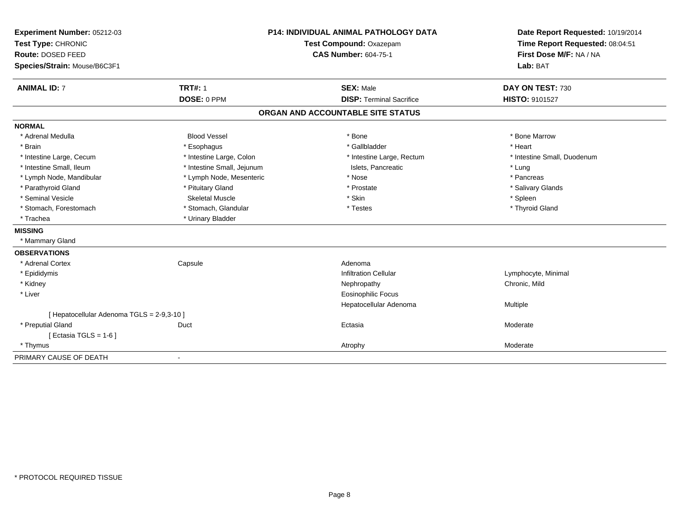| Experiment Number: 05212-03                |                            | <b>P14: INDIVIDUAL ANIMAL PATHOLOGY DATA</b> | Date Report Requested: 10/19/2014 |
|--------------------------------------------|----------------------------|----------------------------------------------|-----------------------------------|
| Test Type: CHRONIC                         |                            | Test Compound: Oxazepam                      | Time Report Requested: 08:04:51   |
| Route: DOSED FEED                          |                            | <b>CAS Number: 604-75-1</b>                  | First Dose M/F: NA / NA           |
| Species/Strain: Mouse/B6C3F1               |                            |                                              | Lab: BAT                          |
| <b>ANIMAL ID: 7</b>                        | <b>TRT#: 1</b>             | <b>SEX: Male</b>                             | DAY ON TEST: 730                  |
|                                            | DOSE: 0 PPM                | <b>DISP: Terminal Sacrifice</b>              | HISTO: 9101527                    |
|                                            |                            | ORGAN AND ACCOUNTABLE SITE STATUS            |                                   |
| <b>NORMAL</b>                              |                            |                                              |                                   |
| * Adrenal Medulla                          | <b>Blood Vessel</b>        | * Bone                                       | * Bone Marrow                     |
| * Brain                                    | * Esophagus                | * Gallbladder                                | * Heart                           |
| * Intestine Large, Cecum                   | * Intestine Large, Colon   | * Intestine Large, Rectum                    | * Intestine Small, Duodenum       |
| * Intestine Small, Ileum                   | * Intestine Small, Jejunum | Islets, Pancreatic                           | * Lung                            |
| * Lymph Node, Mandibular                   | * Lymph Node, Mesenteric   | * Nose                                       | * Pancreas                        |
| * Parathyroid Gland                        | * Pituitary Gland          | * Prostate                                   | * Salivary Glands                 |
| * Seminal Vesicle                          | Skeletal Muscle            | * Skin                                       | * Spleen                          |
| * Stomach, Forestomach                     | * Stomach, Glandular       | * Testes                                     | * Thyroid Gland                   |
| * Trachea                                  | * Urinary Bladder          |                                              |                                   |
| <b>MISSING</b>                             |                            |                                              |                                   |
| * Mammary Gland                            |                            |                                              |                                   |
| <b>OBSERVATIONS</b>                        |                            |                                              |                                   |
| * Adrenal Cortex                           | Capsule                    | Adenoma                                      |                                   |
| * Epididymis                               |                            | Infiltration Cellular                        | Lymphocyte, Minimal               |
| * Kidney                                   |                            | Nephropathy                                  | Chronic, Mild                     |
| * Liver                                    |                            | <b>Eosinophilic Focus</b>                    |                                   |
|                                            |                            | Hepatocellular Adenoma                       | Multiple                          |
| [ Hepatocellular Adenoma TGLS = 2-9,3-10 ] |                            |                                              |                                   |
| * Preputial Gland                          | Duct                       | Ectasia                                      | Moderate                          |
| [ Ectasia TGLS = $1-6$ ]                   |                            |                                              |                                   |
| * Thymus                                   |                            | Atrophy                                      | Moderate                          |
| PRIMARY CAUSE OF DEATH                     |                            |                                              |                                   |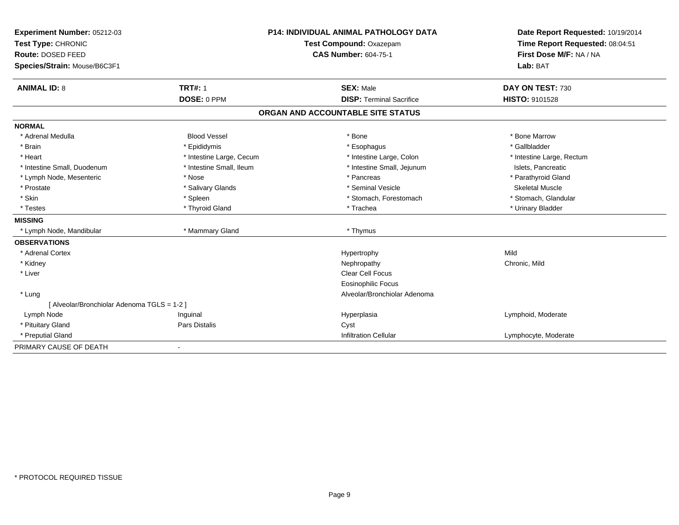| Experiment Number: 05212-03                 |                          | <b>P14: INDIVIDUAL ANIMAL PATHOLOGY DATA</b> | Date Report Requested: 10/19/2014 |
|---------------------------------------------|--------------------------|----------------------------------------------|-----------------------------------|
| Test Type: CHRONIC                          |                          | Test Compound: Oxazepam                      | Time Report Requested: 08:04:51   |
| Route: DOSED FEED                           |                          | <b>CAS Number: 604-75-1</b>                  | First Dose M/F: NA / NA           |
| Species/Strain: Mouse/B6C3F1                |                          |                                              | Lab: BAT                          |
| <b>ANIMAL ID: 8</b>                         | <b>TRT#: 1</b>           | <b>SEX: Male</b>                             | DAY ON TEST: 730                  |
|                                             | DOSE: 0 PPM              | <b>DISP: Terminal Sacrifice</b>              | <b>HISTO: 9101528</b>             |
|                                             |                          | ORGAN AND ACCOUNTABLE SITE STATUS            |                                   |
| <b>NORMAL</b>                               |                          |                                              |                                   |
| * Adrenal Medulla                           | <b>Blood Vessel</b>      | * Bone                                       | * Bone Marrow                     |
| * Brain                                     | * Epididymis             | * Esophagus                                  | * Gallbladder                     |
| * Heart                                     | * Intestine Large, Cecum | * Intestine Large, Colon                     | * Intestine Large, Rectum         |
| * Intestine Small, Duodenum                 | * Intestine Small, Ileum | * Intestine Small, Jejunum                   | Islets, Pancreatic                |
| * Lymph Node, Mesenteric                    | * Nose                   | * Pancreas                                   | * Parathyroid Gland               |
| * Prostate                                  | * Salivary Glands        | * Seminal Vesicle                            | <b>Skeletal Muscle</b>            |
| * Skin                                      | * Spleen                 | * Stomach, Forestomach                       | * Stomach, Glandular              |
| * Testes                                    | * Thyroid Gland          | * Trachea                                    | * Urinary Bladder                 |
| <b>MISSING</b>                              |                          |                                              |                                   |
| * Lymph Node, Mandibular                    | * Mammary Gland          | * Thymus                                     |                                   |
| <b>OBSERVATIONS</b>                         |                          |                                              |                                   |
| * Adrenal Cortex                            |                          | Hypertrophy                                  | Mild                              |
| * Kidney                                    |                          | Nephropathy                                  | Chronic, Mild                     |
| * Liver                                     |                          | Clear Cell Focus                             |                                   |
|                                             |                          | Eosinophilic Focus                           |                                   |
| * Lung                                      |                          | Alveolar/Bronchiolar Adenoma                 |                                   |
| [ Alveolar/Bronchiolar Adenoma TGLS = 1-2 ] |                          |                                              |                                   |
| Lymph Node                                  | Inguinal                 | Hyperplasia                                  | Lymphoid, Moderate                |
| * Pituitary Gland                           | Pars Distalis            | Cyst                                         |                                   |
| * Preputial Gland                           |                          | <b>Infiltration Cellular</b>                 | Lymphocyte, Moderate              |
| PRIMARY CAUSE OF DEATH                      |                          |                                              |                                   |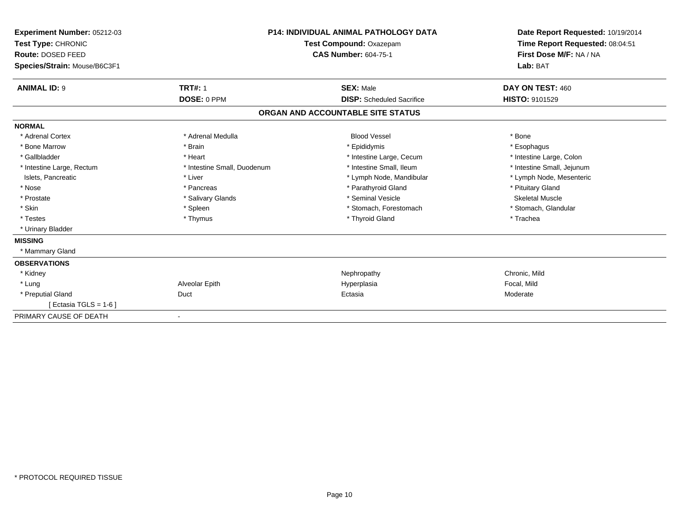| Experiment Number: 05212-03<br>Test Type: CHRONIC<br>Route: DOSED FEED<br>Species/Strain: Mouse/B6C3F1 |                             | <b>P14: INDIVIDUAL ANIMAL PATHOLOGY DATA</b><br>Test Compound: Oxazepam<br><b>CAS Number: 604-75-1</b> | Date Report Requested: 10/19/2014<br>Time Report Requested: 08:04:51<br>First Dose M/F: NA / NA<br>Lab: BAT |
|--------------------------------------------------------------------------------------------------------|-----------------------------|--------------------------------------------------------------------------------------------------------|-------------------------------------------------------------------------------------------------------------|
| <b>ANIMAL ID: 9</b>                                                                                    | <b>TRT#: 1</b>              | <b>SEX: Male</b>                                                                                       | DAY ON TEST: 460                                                                                            |
|                                                                                                        | DOSE: 0 PPM                 | <b>DISP:</b> Scheduled Sacrifice                                                                       | <b>HISTO: 9101529</b>                                                                                       |
|                                                                                                        |                             | ORGAN AND ACCOUNTABLE SITE STATUS                                                                      |                                                                                                             |
| <b>NORMAL</b>                                                                                          |                             |                                                                                                        |                                                                                                             |
| * Adrenal Cortex                                                                                       | * Adrenal Medulla           | <b>Blood Vessel</b>                                                                                    | * Bone                                                                                                      |
| * Bone Marrow                                                                                          | * Brain                     | * Epididymis                                                                                           | * Esophagus                                                                                                 |
| * Gallbladder                                                                                          | * Heart                     | * Intestine Large, Cecum                                                                               | * Intestine Large, Colon                                                                                    |
| * Intestine Large, Rectum                                                                              | * Intestine Small, Duodenum | * Intestine Small. Ileum                                                                               | * Intestine Small, Jejunum                                                                                  |
| Islets, Pancreatic                                                                                     | * Liver                     | * Lymph Node, Mandibular                                                                               | * Lymph Node, Mesenteric                                                                                    |
| * Nose                                                                                                 | * Pancreas                  | * Parathyroid Gland                                                                                    | * Pituitary Gland                                                                                           |
| * Prostate                                                                                             | * Salivary Glands           | * Seminal Vesicle                                                                                      | Skeletal Muscle                                                                                             |
| * Skin                                                                                                 | * Spleen                    | * Stomach, Forestomach                                                                                 | * Stomach, Glandular                                                                                        |
| * Testes                                                                                               | * Thymus                    | * Thyroid Gland                                                                                        | * Trachea                                                                                                   |
| * Urinary Bladder                                                                                      |                             |                                                                                                        |                                                                                                             |
| <b>MISSING</b>                                                                                         |                             |                                                                                                        |                                                                                                             |
| * Mammary Gland                                                                                        |                             |                                                                                                        |                                                                                                             |
| <b>OBSERVATIONS</b>                                                                                    |                             |                                                                                                        |                                                                                                             |
| * Kidney                                                                                               |                             | Nephropathy                                                                                            | Chronic, Mild                                                                                               |
| * Lung                                                                                                 | Alveolar Epith              | Hyperplasia                                                                                            | Focal, Mild                                                                                                 |
| * Preputial Gland                                                                                      | Duct                        | Ectasia                                                                                                | Moderate                                                                                                    |
| [ Ectasia TGLS = $1-6$ ]                                                                               |                             |                                                                                                        |                                                                                                             |
| PRIMARY CAUSE OF DEATH                                                                                 | $\overline{\phantom{a}}$    |                                                                                                        |                                                                                                             |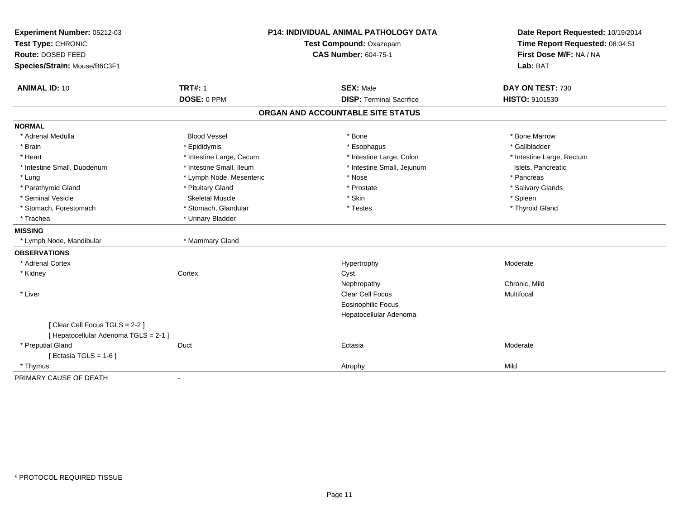| Experiment Number: 05212-03<br>Test Type: CHRONIC<br>Route: DOSED FEED<br>Species/Strain: Mouse/B6C3F1 |                               | <b>P14: INDIVIDUAL ANIMAL PATHOLOGY DATA</b><br>Test Compound: Oxazepam<br><b>CAS Number: 604-75-1</b> | Date Report Requested: 10/19/2014<br>Time Report Requested: 08:04:51<br>First Dose M/F: NA / NA<br>Lab: BAT |
|--------------------------------------------------------------------------------------------------------|-------------------------------|--------------------------------------------------------------------------------------------------------|-------------------------------------------------------------------------------------------------------------|
| <b>ANIMAL ID: 10</b>                                                                                   | <b>TRT#: 1</b><br>DOSE: 0 PPM | <b>SEX: Male</b><br><b>DISP: Terminal Sacrifice</b>                                                    | DAY ON TEST: 730<br>HISTO: 9101530                                                                          |
|                                                                                                        |                               | ORGAN AND ACCOUNTABLE SITE STATUS                                                                      |                                                                                                             |
| <b>NORMAL</b>                                                                                          |                               |                                                                                                        |                                                                                                             |
| * Adrenal Medulla                                                                                      | <b>Blood Vessel</b>           | * Bone                                                                                                 | * Bone Marrow                                                                                               |
| * Brain                                                                                                | * Epididymis                  | * Esophagus                                                                                            | * Gallbladder                                                                                               |
| * Heart                                                                                                | * Intestine Large, Cecum      | * Intestine Large, Colon                                                                               | * Intestine Large, Rectum                                                                                   |
| * Intestine Small, Duodenum                                                                            | * Intestine Small, Ileum      | * Intestine Small, Jejunum                                                                             | Islets, Pancreatic                                                                                          |
| * Lung                                                                                                 | * Lymph Node, Mesenteric      | * Nose                                                                                                 | * Pancreas                                                                                                  |
| * Parathyroid Gland                                                                                    | * Pituitary Gland             | * Prostate                                                                                             | * Salivary Glands                                                                                           |
| * Seminal Vesicle                                                                                      | <b>Skeletal Muscle</b>        | * Skin                                                                                                 | * Spleen                                                                                                    |
| * Stomach, Forestomach                                                                                 | * Stomach, Glandular          | * Testes                                                                                               | * Thyroid Gland                                                                                             |
| * Trachea                                                                                              | * Urinary Bladder             |                                                                                                        |                                                                                                             |
| <b>MISSING</b>                                                                                         |                               |                                                                                                        |                                                                                                             |
| * Lymph Node, Mandibular                                                                               | * Mammary Gland               |                                                                                                        |                                                                                                             |
| <b>OBSERVATIONS</b>                                                                                    |                               |                                                                                                        |                                                                                                             |
| * Adrenal Cortex                                                                                       |                               | Hypertrophy                                                                                            | Moderate                                                                                                    |
| * Kidney                                                                                               | Cortex                        | Cyst                                                                                                   |                                                                                                             |
|                                                                                                        |                               | Nephropathy                                                                                            | Chronic, Mild                                                                                               |
| * Liver                                                                                                |                               | Clear Cell Focus                                                                                       | Multifocal                                                                                                  |
|                                                                                                        |                               | <b>Eosinophilic Focus</b>                                                                              |                                                                                                             |
|                                                                                                        |                               | Hepatocellular Adenoma                                                                                 |                                                                                                             |
| [Clear Cell Focus TGLS = 2-2]                                                                          |                               |                                                                                                        |                                                                                                             |
| [ Hepatocellular Adenoma TGLS = 2-1 ]                                                                  |                               |                                                                                                        |                                                                                                             |
| * Preputial Gland                                                                                      | Duct                          | Ectasia                                                                                                | Moderate                                                                                                    |
| [ Ectasia TGLS = $1-6$ ]                                                                               |                               |                                                                                                        |                                                                                                             |
| * Thymus                                                                                               |                               | Atrophy                                                                                                | Mild                                                                                                        |
| PRIMARY CAUSE OF DEATH                                                                                 | $\overline{a}$                |                                                                                                        |                                                                                                             |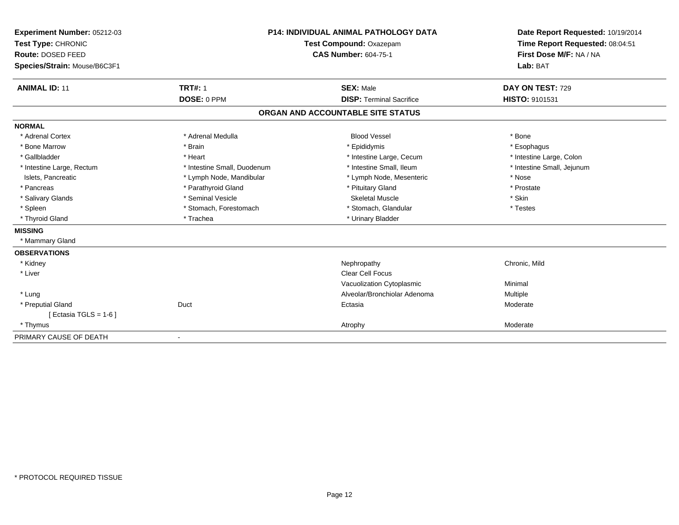| Experiment Number: 05212-03<br>Test Type: CHRONIC |                             | <b>P14: INDIVIDUAL ANIMAL PATHOLOGY DATA</b><br>Test Compound: Oxazepam | Date Report Requested: 10/19/2014<br>Time Report Requested: 08:04:51 |
|---------------------------------------------------|-----------------------------|-------------------------------------------------------------------------|----------------------------------------------------------------------|
| Route: DOSED FEED<br>Species/Strain: Mouse/B6C3F1 |                             | <b>CAS Number: 604-75-1</b>                                             | First Dose M/F: NA / NA<br>Lab: BAT                                  |
|                                                   |                             |                                                                         |                                                                      |
| <b>ANIMAL ID: 11</b>                              | <b>TRT#: 1</b>              | <b>SEX: Male</b>                                                        | DAY ON TEST: 729                                                     |
|                                                   | DOSE: 0 PPM                 | <b>DISP: Terminal Sacrifice</b>                                         | HISTO: 9101531                                                       |
|                                                   |                             | ORGAN AND ACCOUNTABLE SITE STATUS                                       |                                                                      |
| <b>NORMAL</b>                                     |                             |                                                                         |                                                                      |
| * Adrenal Cortex                                  | * Adrenal Medulla           | <b>Blood Vessel</b>                                                     | * Bone                                                               |
| * Bone Marrow                                     | * Brain                     | * Epididymis                                                            | * Esophagus                                                          |
| * Gallbladder                                     | * Heart                     | * Intestine Large, Cecum                                                | * Intestine Large, Colon                                             |
| * Intestine Large, Rectum                         | * Intestine Small, Duodenum | * Intestine Small, Ileum                                                | * Intestine Small, Jejunum                                           |
| Islets, Pancreatic                                | * Lymph Node, Mandibular    | * Lymph Node, Mesenteric                                                | * Nose                                                               |
| * Pancreas                                        | * Parathyroid Gland         | * Pituitary Gland                                                       | * Prostate                                                           |
| * Salivary Glands                                 | * Seminal Vesicle           | <b>Skeletal Muscle</b>                                                  | * Skin                                                               |
| * Spleen                                          | * Stomach, Forestomach      | * Stomach, Glandular                                                    | * Testes                                                             |
| * Thyroid Gland                                   | * Trachea                   | * Urinary Bladder                                                       |                                                                      |
| <b>MISSING</b>                                    |                             |                                                                         |                                                                      |
| * Mammary Gland                                   |                             |                                                                         |                                                                      |
| <b>OBSERVATIONS</b>                               |                             |                                                                         |                                                                      |
| * Kidney                                          |                             | Nephropathy                                                             | Chronic, Mild                                                        |
| * Liver                                           |                             | Clear Cell Focus                                                        |                                                                      |
|                                                   |                             | Vacuolization Cytoplasmic                                               | Minimal                                                              |
| * Lung                                            |                             | Alveolar/Bronchiolar Adenoma                                            | Multiple                                                             |
| * Preputial Gland                                 | Duct                        | Ectasia                                                                 | Moderate                                                             |
| [ Ectasia TGLS = $1-6$ ]                          |                             |                                                                         |                                                                      |
| * Thymus                                          |                             | Atrophy                                                                 | Moderate                                                             |
| PRIMARY CAUSE OF DEATH                            | $\overline{\phantom{a}}$    |                                                                         |                                                                      |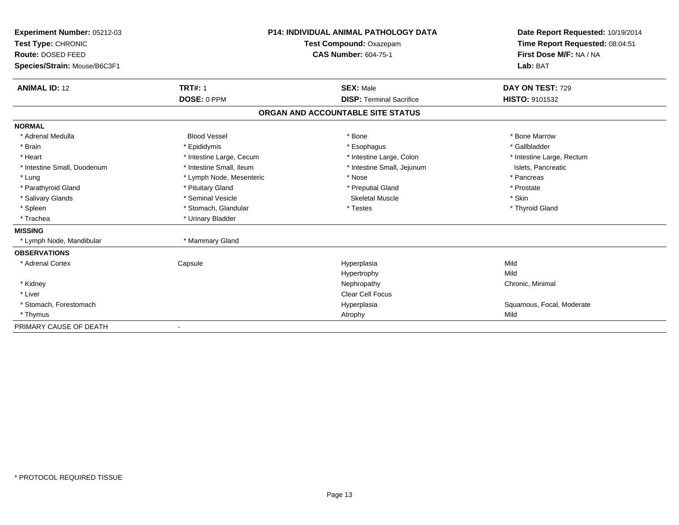| Experiment Number: 05212-03             | <b>P14: INDIVIDUAL ANIMAL PATHOLOGY DATA</b> |                                   | Date Report Requested: 10/19/2014                          |
|-----------------------------------------|----------------------------------------------|-----------------------------------|------------------------------------------------------------|
| Test Type: CHRONIC<br>Route: DOSED FEED |                                              | Test Compound: Oxazepam           | Time Report Requested: 08:04:51<br>First Dose M/F: NA / NA |
|                                         |                                              | <b>CAS Number: 604-75-1</b>       |                                                            |
| Species/Strain: Mouse/B6C3F1            |                                              |                                   | Lab: BAT                                                   |
| <b>ANIMAL ID: 12</b>                    | <b>TRT#: 1</b>                               | <b>SEX: Male</b>                  | DAY ON TEST: 729                                           |
|                                         | DOSE: 0 PPM                                  | <b>DISP: Terminal Sacrifice</b>   | HISTO: 9101532                                             |
|                                         |                                              | ORGAN AND ACCOUNTABLE SITE STATUS |                                                            |
| <b>NORMAL</b>                           |                                              |                                   |                                                            |
| * Adrenal Medulla                       | <b>Blood Vessel</b>                          | * Bone                            | * Bone Marrow                                              |
| * Brain                                 | * Epididymis                                 | * Esophagus                       | * Gallbladder                                              |
| * Heart                                 | * Intestine Large, Cecum                     | * Intestine Large, Colon          | * Intestine Large, Rectum                                  |
| * Intestine Small, Duodenum             | * Intestine Small, Ileum                     | * Intestine Small, Jejunum        | Islets, Pancreatic                                         |
| * Lung                                  | * Lymph Node, Mesenteric                     | * Nose                            | * Pancreas                                                 |
| * Parathyroid Gland                     | * Pituitary Gland                            | * Preputial Gland                 | * Prostate                                                 |
| * Salivary Glands                       | * Seminal Vesicle                            | <b>Skeletal Muscle</b>            | * Skin                                                     |
| * Spleen                                | * Stomach, Glandular                         | * Testes                          | * Thyroid Gland                                            |
| * Trachea                               | * Urinary Bladder                            |                                   |                                                            |
| <b>MISSING</b>                          |                                              |                                   |                                                            |
| * Lymph Node, Mandibular                | * Mammary Gland                              |                                   |                                                            |
| <b>OBSERVATIONS</b>                     |                                              |                                   |                                                            |
| * Adrenal Cortex                        | Capsule                                      | Hyperplasia                       | Mild                                                       |
|                                         |                                              | Hypertrophy                       | Mild                                                       |
| * Kidney                                |                                              | Nephropathy                       | Chronic, Minimal                                           |
| * Liver                                 |                                              | Clear Cell Focus                  |                                                            |
| * Stomach, Forestomach                  |                                              | Hyperplasia                       | Squamous, Focal, Moderate                                  |
| * Thymus                                |                                              | Atrophy                           | Mild                                                       |
| PRIMARY CAUSE OF DEATH                  |                                              |                                   |                                                            |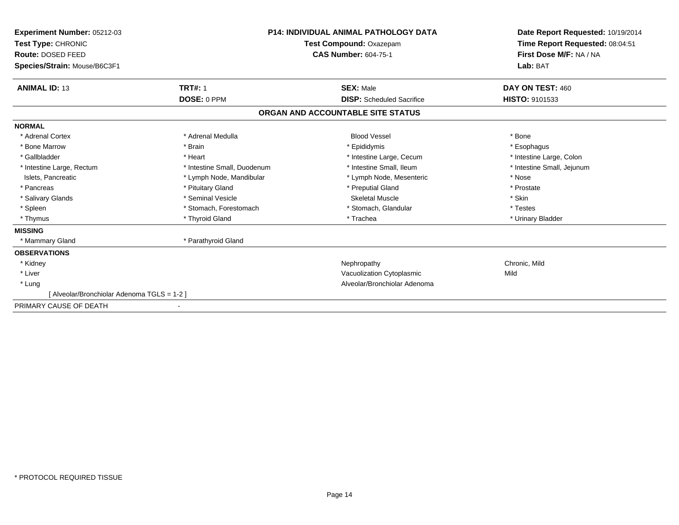| Experiment Number: 05212-03<br>Test Type: CHRONIC<br>Route: DOSED FEED<br>Species/Strain: Mouse/B6C3F1 |                             | <b>P14: INDIVIDUAL ANIMAL PATHOLOGY DATA</b><br>Test Compound: Oxazepam<br><b>CAS Number: 604-75-1</b> | Date Report Requested: 10/19/2014<br>Time Report Requested: 08:04:51<br>First Dose M/F: NA / NA<br>Lab: BAT |
|--------------------------------------------------------------------------------------------------------|-----------------------------|--------------------------------------------------------------------------------------------------------|-------------------------------------------------------------------------------------------------------------|
| <b>ANIMAL ID: 13</b>                                                                                   | <b>TRT#: 1</b>              | <b>SEX: Male</b>                                                                                       | DAY ON TEST: 460                                                                                            |
|                                                                                                        | DOSE: 0 PPM                 | <b>DISP:</b> Scheduled Sacrifice                                                                       | HISTO: 9101533                                                                                              |
|                                                                                                        |                             | ORGAN AND ACCOUNTABLE SITE STATUS                                                                      |                                                                                                             |
| <b>NORMAL</b>                                                                                          |                             |                                                                                                        |                                                                                                             |
| * Adrenal Cortex                                                                                       | * Adrenal Medulla           | <b>Blood Vessel</b>                                                                                    | * Bone                                                                                                      |
| * Bone Marrow                                                                                          | * Brain                     | * Epididymis                                                                                           | * Esophagus                                                                                                 |
| * Gallbladder                                                                                          | * Heart                     | * Intestine Large, Cecum                                                                               | * Intestine Large, Colon                                                                                    |
| * Intestine Large, Rectum                                                                              | * Intestine Small, Duodenum | * Intestine Small, Ileum                                                                               | * Intestine Small, Jejunum                                                                                  |
| Islets, Pancreatic                                                                                     | * Lymph Node, Mandibular    | * Lymph Node, Mesenteric                                                                               | * Nose                                                                                                      |
| * Pancreas                                                                                             | * Pituitary Gland           | * Preputial Gland                                                                                      | * Prostate                                                                                                  |
| * Salivary Glands                                                                                      | * Seminal Vesicle           | Skeletal Muscle                                                                                        | * Skin                                                                                                      |
| * Spleen                                                                                               | * Stomach, Forestomach      | * Stomach, Glandular                                                                                   | * Testes                                                                                                    |
| * Thymus                                                                                               | * Thyroid Gland             | * Trachea                                                                                              | * Urinary Bladder                                                                                           |
| <b>MISSING</b>                                                                                         |                             |                                                                                                        |                                                                                                             |
| * Mammary Gland                                                                                        | * Parathyroid Gland         |                                                                                                        |                                                                                                             |
| <b>OBSERVATIONS</b>                                                                                    |                             |                                                                                                        |                                                                                                             |
| * Kidney                                                                                               |                             | Nephropathy                                                                                            | Chronic, Mild                                                                                               |
| * Liver                                                                                                |                             | Vacuolization Cytoplasmic                                                                              | Mild                                                                                                        |
| * Lung                                                                                                 |                             | Alveolar/Bronchiolar Adenoma                                                                           |                                                                                                             |
| [Alveolar/Bronchiolar Adenoma TGLS = 1-2]                                                              |                             |                                                                                                        |                                                                                                             |
| PRIMARY CAUSE OF DEATH                                                                                 |                             |                                                                                                        |                                                                                                             |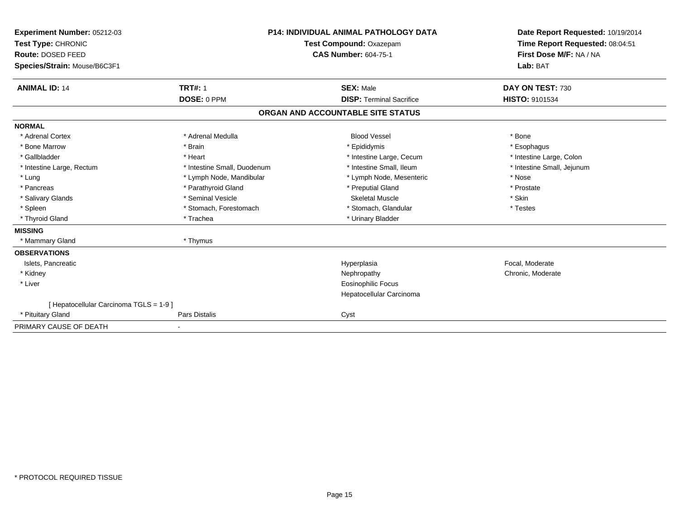| Experiment Number: 05212-03<br>Test Type: CHRONIC<br>Route: DOSED FEED<br>Species/Strain: Mouse/B6C3F1 |                               | <b>P14: INDIVIDUAL ANIMAL PATHOLOGY DATA</b><br>Test Compound: Oxazepam<br><b>CAS Number: 604-75-1</b> | Date Report Requested: 10/19/2014<br>Time Report Requested: 08:04:51<br>First Dose M/F: NA / NA<br>Lab: BAT |
|--------------------------------------------------------------------------------------------------------|-------------------------------|--------------------------------------------------------------------------------------------------------|-------------------------------------------------------------------------------------------------------------|
| <b>ANIMAL ID: 14</b>                                                                                   | <b>TRT#: 1</b><br>DOSE: 0 PPM | <b>SEX: Male</b><br><b>DISP: Terminal Sacrifice</b>                                                    | DAY ON TEST: 730<br>HISTO: 9101534                                                                          |
|                                                                                                        |                               | ORGAN AND ACCOUNTABLE SITE STATUS                                                                      |                                                                                                             |
|                                                                                                        |                               |                                                                                                        |                                                                                                             |
| <b>NORMAL</b>                                                                                          |                               |                                                                                                        |                                                                                                             |
| * Adrenal Cortex                                                                                       | * Adrenal Medulla             | <b>Blood Vessel</b>                                                                                    | * Bone                                                                                                      |
| * Bone Marrow                                                                                          | * Brain                       | * Epididymis                                                                                           | * Esophagus                                                                                                 |
| * Gallbladder                                                                                          | * Heart                       | * Intestine Large, Cecum                                                                               | * Intestine Large, Colon                                                                                    |
| * Intestine Large, Rectum                                                                              | * Intestine Small, Duodenum   | * Intestine Small, Ileum                                                                               | * Intestine Small, Jejunum                                                                                  |
| * Lung                                                                                                 | * Lymph Node, Mandibular      | * Lymph Node, Mesenteric                                                                               | * Nose                                                                                                      |
| * Pancreas                                                                                             | * Parathyroid Gland           | * Preputial Gland                                                                                      | * Prostate                                                                                                  |
| * Salivary Glands                                                                                      | * Seminal Vesicle             | <b>Skeletal Muscle</b>                                                                                 | * Skin                                                                                                      |
| * Spleen                                                                                               | * Stomach, Forestomach        | * Stomach, Glandular                                                                                   | * Testes                                                                                                    |
| * Thyroid Gland                                                                                        | * Trachea                     | * Urinary Bladder                                                                                      |                                                                                                             |
| <b>MISSING</b>                                                                                         |                               |                                                                                                        |                                                                                                             |
| * Mammary Gland                                                                                        | * Thymus                      |                                                                                                        |                                                                                                             |
| <b>OBSERVATIONS</b>                                                                                    |                               |                                                                                                        |                                                                                                             |
| Islets, Pancreatic                                                                                     |                               | Hyperplasia                                                                                            | Focal, Moderate                                                                                             |
| * Kidney                                                                                               |                               | Nephropathy                                                                                            | Chronic, Moderate                                                                                           |
| * Liver                                                                                                |                               | Eosinophilic Focus                                                                                     |                                                                                                             |
|                                                                                                        |                               | Hepatocellular Carcinoma                                                                               |                                                                                                             |
| [ Hepatocellular Carcinoma TGLS = 1-9 ]                                                                |                               |                                                                                                        |                                                                                                             |
| * Pituitary Gland                                                                                      | Pars Distalis                 | Cyst                                                                                                   |                                                                                                             |
| PRIMARY CAUSE OF DEATH                                                                                 |                               |                                                                                                        |                                                                                                             |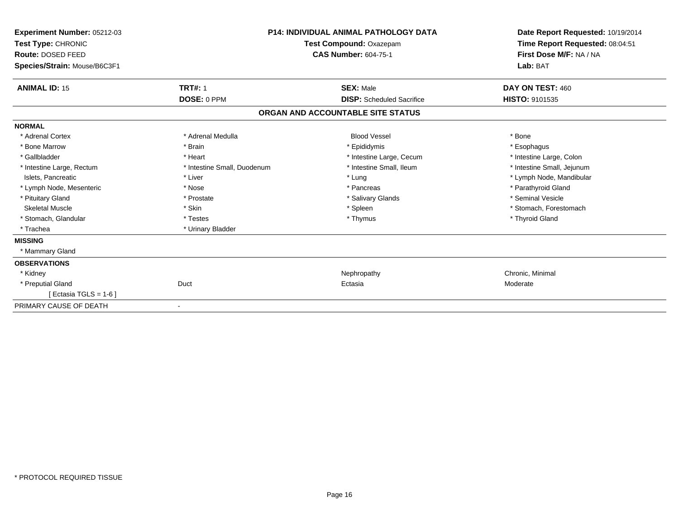| Experiment Number: 05212-03<br>Test Type: CHRONIC<br>Route: DOSED FEED<br>Species/Strain: Mouse/B6C3F1 | <b>P14: INDIVIDUAL ANIMAL PATHOLOGY DATA</b><br>Test Compound: Oxazepam<br><b>CAS Number: 604-75-1</b> |                                   | Date Report Requested: 10/19/2014<br>Time Report Requested: 08:04:51<br>First Dose M/F: NA / NA<br>Lab: BAT |
|--------------------------------------------------------------------------------------------------------|--------------------------------------------------------------------------------------------------------|-----------------------------------|-------------------------------------------------------------------------------------------------------------|
| <b>ANIMAL ID: 15</b>                                                                                   | <b>TRT#: 1</b>                                                                                         | <b>SEX: Male</b>                  | DAY ON TEST: 460                                                                                            |
|                                                                                                        | DOSE: 0 PPM                                                                                            | <b>DISP:</b> Scheduled Sacrifice  | HISTO: 9101535                                                                                              |
|                                                                                                        |                                                                                                        | ORGAN AND ACCOUNTABLE SITE STATUS |                                                                                                             |
| <b>NORMAL</b>                                                                                          |                                                                                                        |                                   |                                                                                                             |
| * Adrenal Cortex                                                                                       | * Adrenal Medulla                                                                                      | <b>Blood Vessel</b>               | * Bone                                                                                                      |
| * Bone Marrow                                                                                          | * Brain                                                                                                | * Epididymis                      | * Esophagus                                                                                                 |
| * Gallbladder                                                                                          | * Heart                                                                                                | * Intestine Large, Cecum          | * Intestine Large, Colon                                                                                    |
| * Intestine Large, Rectum                                                                              | * Intestine Small, Duodenum                                                                            | * Intestine Small, Ileum          | * Intestine Small, Jejunum                                                                                  |
| Islets, Pancreatic                                                                                     | * Liver                                                                                                | * Lung                            | * Lymph Node, Mandibular                                                                                    |
| * Lymph Node, Mesenteric                                                                               | * Nose                                                                                                 | * Pancreas                        | * Parathyroid Gland                                                                                         |
| * Pituitary Gland                                                                                      | * Prostate                                                                                             | * Salivary Glands                 | * Seminal Vesicle                                                                                           |
| <b>Skeletal Muscle</b>                                                                                 | * Skin                                                                                                 | * Spleen                          | * Stomach, Forestomach                                                                                      |
| * Stomach, Glandular                                                                                   | * Testes                                                                                               | * Thymus                          | * Thyroid Gland                                                                                             |
| * Trachea                                                                                              | * Urinary Bladder                                                                                      |                                   |                                                                                                             |
| <b>MISSING</b>                                                                                         |                                                                                                        |                                   |                                                                                                             |
| * Mammary Gland                                                                                        |                                                                                                        |                                   |                                                                                                             |
| <b>OBSERVATIONS</b>                                                                                    |                                                                                                        |                                   |                                                                                                             |
| * Kidney                                                                                               |                                                                                                        | Nephropathy                       | Chronic, Minimal                                                                                            |
| * Preputial Gland                                                                                      | Duct                                                                                                   | Ectasia                           | Moderate                                                                                                    |
| [ Ectasia TGLS = $1-6$ ]                                                                               |                                                                                                        |                                   |                                                                                                             |
| PRIMARY CAUSE OF DEATH                                                                                 |                                                                                                        |                                   |                                                                                                             |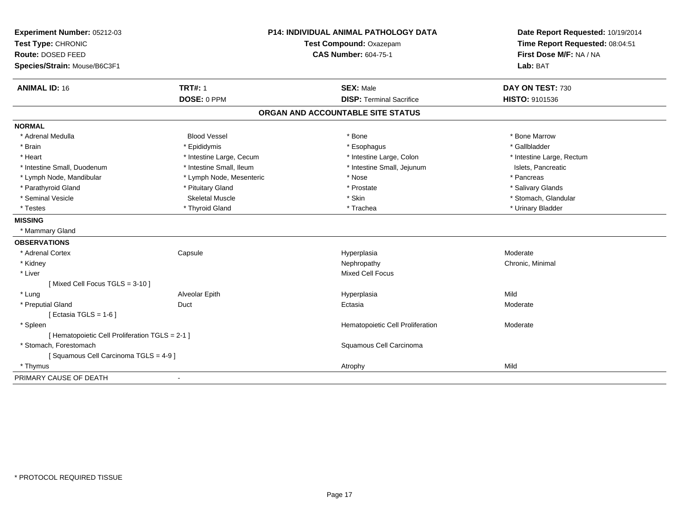| Experiment Number: 05212-03<br>Test Type: CHRONIC<br>Route: DOSED FEED<br>Species/Strain: Mouse/B6C3F1 | <b>P14: INDIVIDUAL ANIMAL PATHOLOGY DATA</b><br>Test Compound: Oxazepam<br><b>CAS Number: 604-75-1</b> |                                   | Date Report Requested: 10/19/2014<br>Time Report Requested: 08:04:51<br>First Dose M/F: NA / NA<br>Lab: BAT |  |
|--------------------------------------------------------------------------------------------------------|--------------------------------------------------------------------------------------------------------|-----------------------------------|-------------------------------------------------------------------------------------------------------------|--|
| <b>ANIMAL ID: 16</b>                                                                                   | <b>TRT#: 1</b>                                                                                         | <b>SEX: Male</b>                  | DAY ON TEST: 730                                                                                            |  |
|                                                                                                        | DOSE: 0 PPM                                                                                            | <b>DISP: Terminal Sacrifice</b>   | HISTO: 9101536                                                                                              |  |
|                                                                                                        |                                                                                                        | ORGAN AND ACCOUNTABLE SITE STATUS |                                                                                                             |  |
| <b>NORMAL</b>                                                                                          |                                                                                                        |                                   |                                                                                                             |  |
| * Adrenal Medulla                                                                                      | <b>Blood Vessel</b>                                                                                    | * Bone                            | * Bone Marrow                                                                                               |  |
| * Brain                                                                                                | * Epididymis                                                                                           | * Esophagus                       | * Gallbladder                                                                                               |  |
| * Heart                                                                                                | * Intestine Large, Cecum                                                                               | * Intestine Large, Colon          | * Intestine Large, Rectum                                                                                   |  |
| * Intestine Small, Duodenum                                                                            | * Intestine Small, Ileum                                                                               | * Intestine Small, Jejunum        | Islets, Pancreatic                                                                                          |  |
| * Lymph Node, Mandibular                                                                               | * Lymph Node, Mesenteric                                                                               | * Nose                            | * Pancreas                                                                                                  |  |
| * Parathyroid Gland                                                                                    | * Pituitary Gland                                                                                      | * Prostate                        | * Salivary Glands                                                                                           |  |
| * Seminal Vesicle                                                                                      | <b>Skeletal Muscle</b>                                                                                 | * Skin                            | * Stomach, Glandular                                                                                        |  |
| * Testes                                                                                               | * Thyroid Gland                                                                                        | * Trachea                         | * Urinary Bladder                                                                                           |  |
| <b>MISSING</b>                                                                                         |                                                                                                        |                                   |                                                                                                             |  |
| * Mammary Gland                                                                                        |                                                                                                        |                                   |                                                                                                             |  |
| <b>OBSERVATIONS</b>                                                                                    |                                                                                                        |                                   |                                                                                                             |  |
| * Adrenal Cortex                                                                                       | Capsule                                                                                                | Hyperplasia                       | Moderate                                                                                                    |  |
| * Kidney                                                                                               |                                                                                                        | Nephropathy                       | Chronic, Minimal                                                                                            |  |
| * Liver                                                                                                |                                                                                                        | <b>Mixed Cell Focus</b>           |                                                                                                             |  |
| [Mixed Cell Focus TGLS = 3-10]                                                                         |                                                                                                        |                                   |                                                                                                             |  |
| * Lung                                                                                                 | Alveolar Epith                                                                                         | Hyperplasia                       | Mild                                                                                                        |  |
| * Preputial Gland                                                                                      | Duct                                                                                                   | Ectasia                           | Moderate                                                                                                    |  |
| [ Ectasia TGLS = $1-6$ ]                                                                               |                                                                                                        |                                   |                                                                                                             |  |
| * Spleen                                                                                               |                                                                                                        | Hematopoietic Cell Proliferation  | Moderate                                                                                                    |  |
| [ Hematopoietic Cell Proliferation TGLS = 2-1 ]                                                        |                                                                                                        |                                   |                                                                                                             |  |
| * Stomach, Forestomach<br>Squamous Cell Carcinoma                                                      |                                                                                                        |                                   |                                                                                                             |  |
| [Squamous Cell Carcinoma TGLS = 4-9]                                                                   |                                                                                                        |                                   |                                                                                                             |  |
| * Thymus                                                                                               |                                                                                                        | Atrophy                           | Mild                                                                                                        |  |
| PRIMARY CAUSE OF DEATH                                                                                 |                                                                                                        |                                   |                                                                                                             |  |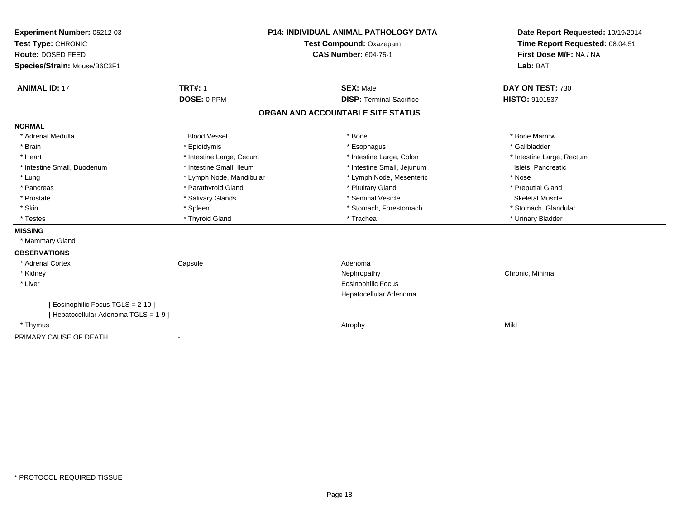| Experiment Number: 05212-03<br>Test Type: CHRONIC<br><b>Route: DOSED FEED</b> |                          | <b>P14: INDIVIDUAL ANIMAL PATHOLOGY DATA</b> | Date Report Requested: 10/19/2014                          |  |
|-------------------------------------------------------------------------------|--------------------------|----------------------------------------------|------------------------------------------------------------|--|
|                                                                               |                          | Test Compound: Oxazepam                      | Time Report Requested: 08:04:51<br>First Dose M/F: NA / NA |  |
|                                                                               |                          | <b>CAS Number: 604-75-1</b>                  |                                                            |  |
| Species/Strain: Mouse/B6C3F1                                                  |                          |                                              | Lab: BAT                                                   |  |
|                                                                               |                          |                                              |                                                            |  |
| <b>ANIMAL ID: 17</b>                                                          | <b>TRT#: 1</b>           | <b>SEX: Male</b>                             | DAY ON TEST: 730                                           |  |
|                                                                               | DOSE: 0 PPM              | <b>DISP: Terminal Sacrifice</b>              | HISTO: 9101537                                             |  |
|                                                                               |                          | ORGAN AND ACCOUNTABLE SITE STATUS            |                                                            |  |
| <b>NORMAL</b>                                                                 |                          |                                              |                                                            |  |
| * Adrenal Medulla                                                             | <b>Blood Vessel</b>      | * Bone                                       | * Bone Marrow                                              |  |
| * Brain                                                                       | * Epididymis             | * Esophagus                                  | * Gallbladder                                              |  |
| * Heart                                                                       | * Intestine Large, Cecum | * Intestine Large, Colon                     | * Intestine Large, Rectum                                  |  |
| * Intestine Small, Duodenum                                                   | * Intestine Small, Ileum | * Intestine Small, Jejunum                   | Islets. Pancreatic                                         |  |
| * Lung                                                                        | * Lymph Node, Mandibular | * Lymph Node, Mesenteric                     | * Nose                                                     |  |
| * Pancreas                                                                    | * Parathyroid Gland      | * Pituitary Gland                            | * Preputial Gland                                          |  |
| * Prostate                                                                    | * Salivary Glands        | * Seminal Vesicle                            | Skeletal Muscle                                            |  |
| * Skin                                                                        | * Spleen                 | * Stomach, Forestomach                       | * Stomach, Glandular                                       |  |
| * Testes                                                                      | * Thyroid Gland          | * Trachea                                    | * Urinary Bladder                                          |  |
| <b>MISSING</b>                                                                |                          |                                              |                                                            |  |
| * Mammary Gland                                                               |                          |                                              |                                                            |  |
| <b>OBSERVATIONS</b>                                                           |                          |                                              |                                                            |  |
| * Adrenal Cortex                                                              | Capsule                  | Adenoma                                      |                                                            |  |
| * Kidney                                                                      |                          | Nephropathy                                  | Chronic, Minimal                                           |  |
| * Liver                                                                       |                          | <b>Eosinophilic Focus</b>                    |                                                            |  |
|                                                                               |                          | Hepatocellular Adenoma                       |                                                            |  |
| [ Eosinophilic Focus TGLS = 2-10 ]                                            |                          |                                              |                                                            |  |
| [ Hepatocellular Adenoma TGLS = 1-9 ]                                         |                          |                                              |                                                            |  |
| * Thymus                                                                      |                          | Atrophy                                      | Mild                                                       |  |
| PRIMARY CAUSE OF DEATH                                                        | $\overline{\phantom{a}}$ |                                              |                                                            |  |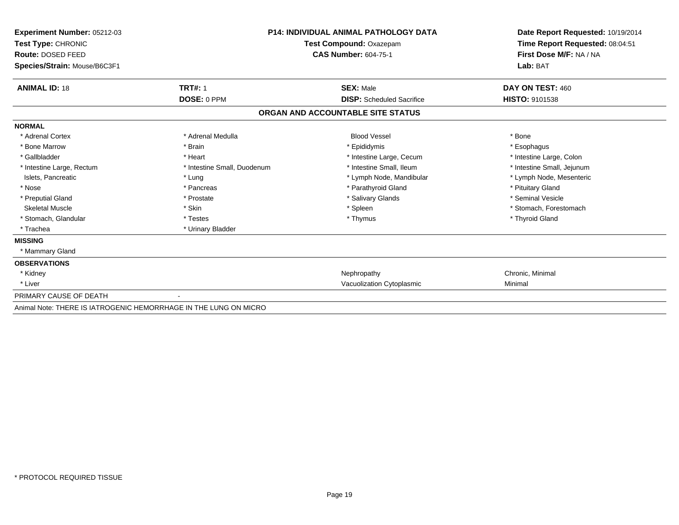| Experiment Number: 05212-03<br>Test Type: CHRONIC<br><b>Route: DOSED FEED</b> |                             | <b>P14: INDIVIDUAL ANIMAL PATHOLOGY DATA</b><br>Test Compound: Oxazepam<br><b>CAS Number: 604-75-1</b> |                            |  |
|-------------------------------------------------------------------------------|-----------------------------|--------------------------------------------------------------------------------------------------------|----------------------------|--|
| Species/Strain: Mouse/B6C3F1                                                  |                             |                                                                                                        | Lab: BAT                   |  |
| <b>ANIMAL ID: 18</b>                                                          | <b>TRT#: 1</b>              | <b>SEX: Male</b>                                                                                       | DAY ON TEST: 460           |  |
|                                                                               | DOSE: 0 PPM                 | <b>DISP:</b> Scheduled Sacrifice                                                                       | HISTO: 9101538             |  |
|                                                                               |                             | ORGAN AND ACCOUNTABLE SITE STATUS                                                                      |                            |  |
| <b>NORMAL</b>                                                                 |                             |                                                                                                        |                            |  |
| * Adrenal Cortex                                                              | * Adrenal Medulla           | <b>Blood Vessel</b>                                                                                    | * Bone                     |  |
| * Bone Marrow                                                                 | * Brain                     | * Epididymis                                                                                           | * Esophagus                |  |
| * Gallbladder                                                                 | * Heart                     | * Intestine Large, Cecum                                                                               | * Intestine Large, Colon   |  |
| * Intestine Large, Rectum                                                     | * Intestine Small, Duodenum | * Intestine Small, Ileum                                                                               | * Intestine Small, Jejunum |  |
| Islets, Pancreatic                                                            | * Lung                      | * Lymph Node, Mandibular                                                                               | * Lymph Node, Mesenteric   |  |
| * Nose                                                                        | * Pancreas                  | * Parathyroid Gland                                                                                    | * Pituitary Gland          |  |
| * Preputial Gland                                                             | * Prostate                  | * Salivary Glands                                                                                      | * Seminal Vesicle          |  |
| <b>Skeletal Muscle</b>                                                        | * Skin                      | * Spleen                                                                                               | * Stomach, Forestomach     |  |
| * Stomach, Glandular                                                          | * Testes                    | * Thymus                                                                                               | * Thyroid Gland            |  |
| * Trachea                                                                     | * Urinary Bladder           |                                                                                                        |                            |  |
| <b>MISSING</b>                                                                |                             |                                                                                                        |                            |  |
| * Mammary Gland                                                               |                             |                                                                                                        |                            |  |
| <b>OBSERVATIONS</b>                                                           |                             |                                                                                                        |                            |  |
| * Kidney                                                                      |                             | Nephropathy                                                                                            | Chronic, Minimal           |  |
| * Liver                                                                       |                             | Vacuolization Cytoplasmic                                                                              | Minimal                    |  |
| PRIMARY CAUSE OF DEATH                                                        |                             |                                                                                                        |                            |  |
| Animal Note: THERE IS IATROGENIC HEMORRHAGE IN THE LUNG ON MICRO              |                             |                                                                                                        |                            |  |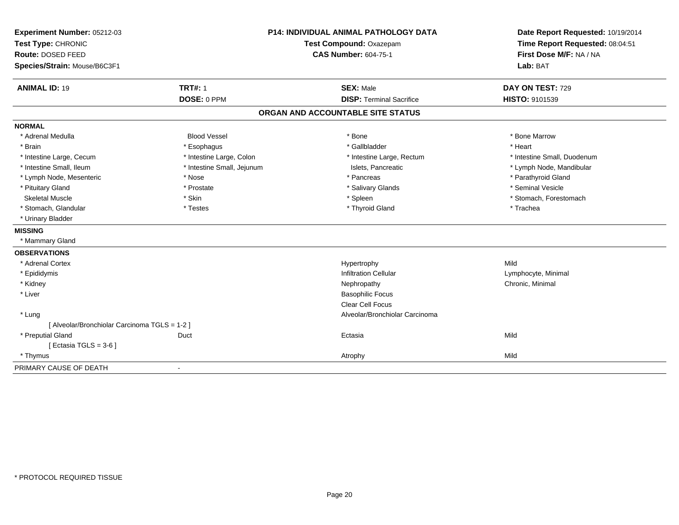| Experiment Number: 05212-03<br>Test Type: CHRONIC<br>Route: DOSED FEED |                            | <b>P14: INDIVIDUAL ANIMAL PATHOLOGY DATA</b><br>Test Compound: Oxazepam<br><b>CAS Number: 604-75-1</b> | Date Report Requested: 10/19/2014<br>Time Report Requested: 08:04:51<br>First Dose M/F: NA / NA |
|------------------------------------------------------------------------|----------------------------|--------------------------------------------------------------------------------------------------------|-------------------------------------------------------------------------------------------------|
| Species/Strain: Mouse/B6C3F1                                           |                            |                                                                                                        | Lab: BAT                                                                                        |
| <b>ANIMAL ID: 19</b>                                                   | <b>TRT#: 1</b>             | <b>SEX: Male</b>                                                                                       | DAY ON TEST: 729                                                                                |
|                                                                        | DOSE: 0 PPM                | <b>DISP: Terminal Sacrifice</b>                                                                        | HISTO: 9101539                                                                                  |
|                                                                        |                            | ORGAN AND ACCOUNTABLE SITE STATUS                                                                      |                                                                                                 |
| <b>NORMAL</b>                                                          |                            |                                                                                                        |                                                                                                 |
| * Adrenal Medulla                                                      | <b>Blood Vessel</b>        | * Bone                                                                                                 | * Bone Marrow                                                                                   |
| * Brain                                                                | * Esophagus                | * Gallbladder                                                                                          | * Heart                                                                                         |
| * Intestine Large, Cecum                                               | * Intestine Large, Colon   | * Intestine Large, Rectum                                                                              | * Intestine Small, Duodenum                                                                     |
| * Intestine Small, Ileum                                               | * Intestine Small, Jejunum | Islets, Pancreatic                                                                                     | * Lymph Node, Mandibular                                                                        |
| * Lymph Node, Mesenteric                                               | * Nose                     | * Pancreas                                                                                             | * Parathyroid Gland                                                                             |
| * Pituitary Gland                                                      | * Prostate                 | * Salivary Glands                                                                                      | * Seminal Vesicle                                                                               |
| <b>Skeletal Muscle</b>                                                 | * Skin                     | * Spleen                                                                                               | * Stomach, Forestomach                                                                          |
| * Stomach, Glandular                                                   | * Testes                   | * Thyroid Gland                                                                                        | * Trachea                                                                                       |
| * Urinary Bladder                                                      |                            |                                                                                                        |                                                                                                 |
| <b>MISSING</b>                                                         |                            |                                                                                                        |                                                                                                 |
| * Mammary Gland                                                        |                            |                                                                                                        |                                                                                                 |
| <b>OBSERVATIONS</b>                                                    |                            |                                                                                                        |                                                                                                 |
| * Adrenal Cortex                                                       |                            | Hypertrophy                                                                                            | Mild                                                                                            |
| * Epididymis                                                           |                            | <b>Infiltration Cellular</b>                                                                           | Lymphocyte, Minimal                                                                             |
| * Kidney                                                               |                            | Nephropathy                                                                                            | Chronic, Minimal                                                                                |
| * Liver                                                                |                            | <b>Basophilic Focus</b>                                                                                |                                                                                                 |
|                                                                        |                            | Clear Cell Focus                                                                                       |                                                                                                 |
| * Lung                                                                 |                            | Alveolar/Bronchiolar Carcinoma                                                                         |                                                                                                 |
| [ Alveolar/Bronchiolar Carcinoma TGLS = 1-2 ]                          |                            |                                                                                                        |                                                                                                 |
| * Preputial Gland                                                      | Duct                       | Ectasia                                                                                                | Mild                                                                                            |
| [ Ectasia TGLS = $3-6$ ]                                               |                            |                                                                                                        |                                                                                                 |
| * Thymus                                                               |                            | Atrophy                                                                                                | Mild                                                                                            |
| PRIMARY CAUSE OF DEATH                                                 |                            |                                                                                                        |                                                                                                 |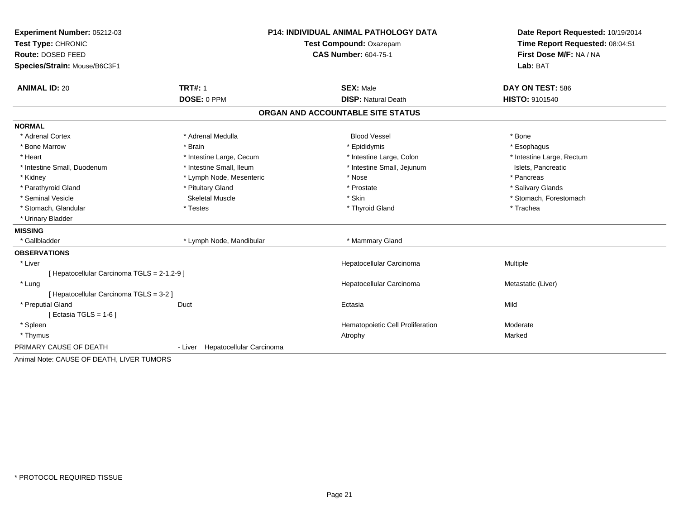| Experiment Number: 05212-03                 | <b>P14: INDIVIDUAL ANIMAL PATHOLOGY DATA</b> |                                   | Date Report Requested: 10/19/2014                          |  |
|---------------------------------------------|----------------------------------------------|-----------------------------------|------------------------------------------------------------|--|
| Test Type: CHRONIC                          |                                              | Test Compound: Oxazepam           | Time Report Requested: 08:04:51<br>First Dose M/F: NA / NA |  |
| Route: DOSED FEED                           |                                              | <b>CAS Number: 604-75-1</b>       |                                                            |  |
| Species/Strain: Mouse/B6C3F1                |                                              |                                   | Lab: BAT                                                   |  |
| <b>ANIMAL ID: 20</b>                        | <b>TRT#: 1</b>                               | <b>SEX: Male</b>                  | DAY ON TEST: 586                                           |  |
|                                             | DOSE: 0 PPM                                  | <b>DISP: Natural Death</b>        | <b>HISTO: 9101540</b>                                      |  |
|                                             |                                              | ORGAN AND ACCOUNTABLE SITE STATUS |                                                            |  |
| <b>NORMAL</b>                               |                                              |                                   |                                                            |  |
| * Adrenal Cortex                            | * Adrenal Medulla                            | <b>Blood Vessel</b>               | * Bone                                                     |  |
| * Bone Marrow                               | * Brain                                      | * Epididymis                      | * Esophagus                                                |  |
| * Heart                                     | * Intestine Large, Cecum                     | * Intestine Large, Colon          | * Intestine Large, Rectum                                  |  |
| * Intestine Small, Duodenum                 | * Intestine Small, Ileum                     | * Intestine Small, Jejunum        | Islets, Pancreatic                                         |  |
| * Kidney                                    | * Lymph Node, Mesenteric                     | * Nose                            | * Pancreas                                                 |  |
| * Parathyroid Gland                         | * Pituitary Gland                            | * Prostate                        | * Salivary Glands                                          |  |
| * Seminal Vesicle                           | <b>Skeletal Muscle</b>                       | * Skin                            | * Stomach, Forestomach                                     |  |
| * Stomach, Glandular                        | * Testes                                     | * Thyroid Gland                   | * Trachea                                                  |  |
| * Urinary Bladder                           |                                              |                                   |                                                            |  |
| <b>MISSING</b>                              |                                              |                                   |                                                            |  |
| * Gallbladder                               | * Lymph Node, Mandibular                     | * Mammary Gland                   |                                                            |  |
| <b>OBSERVATIONS</b>                         |                                              |                                   |                                                            |  |
| * Liver                                     |                                              | Hepatocellular Carcinoma          | Multiple                                                   |  |
| [ Hepatocellular Carcinoma TGLS = 2-1,2-9 ] |                                              |                                   |                                                            |  |
| * Lung                                      |                                              | Hepatocellular Carcinoma          | Metastatic (Liver)                                         |  |
| [ Hepatocellular Carcinoma TGLS = 3-2 ]     |                                              |                                   |                                                            |  |
| * Preputial Gland                           | Duct                                         | Ectasia                           | Mild                                                       |  |
| [ Ectasia TGLS = $1-6$ ]                    |                                              |                                   |                                                            |  |
| * Spleen                                    |                                              | Hematopoietic Cell Proliferation  | Moderate                                                   |  |
| * Thymus                                    |                                              | Atrophy                           | Marked                                                     |  |
| PRIMARY CAUSE OF DEATH                      | - Liver Hepatocellular Carcinoma             |                                   |                                                            |  |
| Animal Note: CAUSE OF DEATH, LIVER TUMORS   |                                              |                                   |                                                            |  |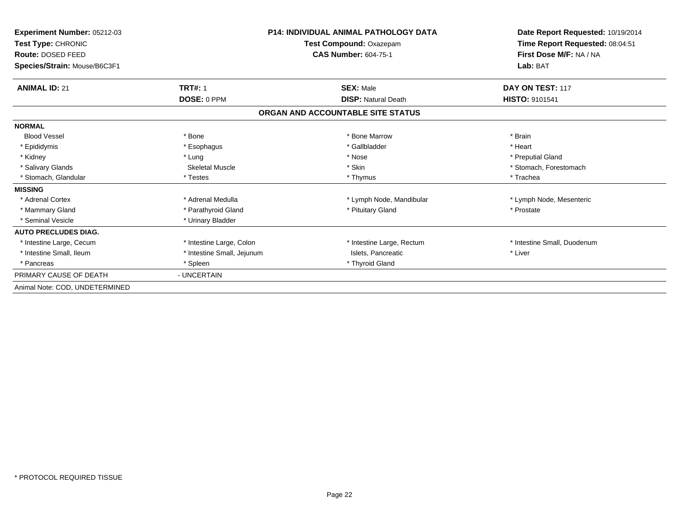| Experiment Number: 05212-03<br>Test Type: CHRONIC |                            | <b>P14: INDIVIDUAL ANIMAL PATHOLOGY DATA</b> | Date Report Requested: 10/19/2014<br>Time Report Requested: 08:04:51 |
|---------------------------------------------------|----------------------------|----------------------------------------------|----------------------------------------------------------------------|
|                                                   |                            | Test Compound: Oxazepam                      |                                                                      |
| <b>Route: DOSED FEED</b>                          |                            | CAS Number: 604-75-1                         | First Dose M/F: NA / NA                                              |
| Species/Strain: Mouse/B6C3F1                      |                            |                                              | Lab: BAT                                                             |
| <b>ANIMAL ID: 21</b>                              | <b>TRT#: 1</b>             | <b>SEX: Male</b>                             | DAY ON TEST: 117                                                     |
|                                                   | <b>DOSE: 0 PPM</b>         | <b>DISP: Natural Death</b>                   | <b>HISTO: 9101541</b>                                                |
|                                                   |                            | ORGAN AND ACCOUNTABLE SITE STATUS            |                                                                      |
| <b>NORMAL</b>                                     |                            |                                              |                                                                      |
| <b>Blood Vessel</b>                               | * Bone                     | * Bone Marrow                                | * Brain                                                              |
| * Epididymis                                      | * Esophagus                | * Gallbladder                                | * Heart                                                              |
| * Kidney                                          | * Lung                     | * Nose                                       | * Preputial Gland                                                    |
| * Salivary Glands                                 | Skeletal Muscle            | * Skin                                       | * Stomach, Forestomach                                               |
| * Stomach, Glandular                              | * Testes                   | * Thymus                                     | * Trachea                                                            |
| <b>MISSING</b>                                    |                            |                                              |                                                                      |
| * Adrenal Cortex                                  | * Adrenal Medulla          | * Lymph Node, Mandibular                     | * Lymph Node, Mesenteric                                             |
| * Mammary Gland                                   | * Parathyroid Gland        | * Pituitary Gland                            | * Prostate                                                           |
| * Seminal Vesicle                                 | * Urinary Bladder          |                                              |                                                                      |
| <b>AUTO PRECLUDES DIAG.</b>                       |                            |                                              |                                                                      |
| * Intestine Large, Cecum                          | * Intestine Large, Colon   | * Intestine Large, Rectum                    | * Intestine Small, Duodenum                                          |
| * Intestine Small, Ileum                          | * Intestine Small, Jejunum | Islets, Pancreatic                           | * Liver                                                              |
| * Pancreas                                        | * Spleen                   | * Thyroid Gland                              |                                                                      |
| PRIMARY CAUSE OF DEATH                            | - UNCERTAIN                |                                              |                                                                      |
| Animal Note: COD, UNDETERMINED                    |                            |                                              |                                                                      |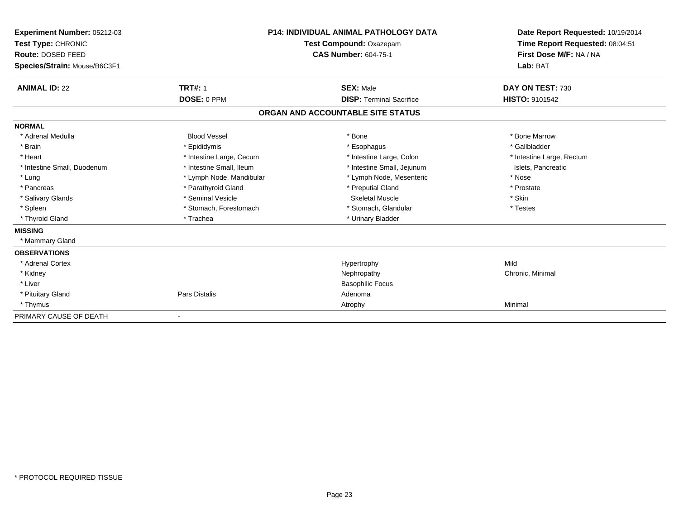| Experiment Number: 05212-03  |                          | <b>P14: INDIVIDUAL ANIMAL PATHOLOGY DATA</b> | Date Report Requested: 10/19/2014 |
|------------------------------|--------------------------|----------------------------------------------|-----------------------------------|
| Test Type: CHRONIC           |                          | Test Compound: Oxazepam                      | Time Report Requested: 08:04:51   |
| Route: DOSED FEED            |                          | <b>CAS Number: 604-75-1</b>                  | First Dose M/F: NA / NA           |
| Species/Strain: Mouse/B6C3F1 |                          |                                              | Lab: BAT                          |
| <b>ANIMAL ID: 22</b>         | <b>TRT#: 1</b>           | <b>SEX: Male</b>                             | DAY ON TEST: 730                  |
|                              | DOSE: 0 PPM              | <b>DISP: Terminal Sacrifice</b>              | <b>HISTO: 9101542</b>             |
|                              |                          | ORGAN AND ACCOUNTABLE SITE STATUS            |                                   |
| <b>NORMAL</b>                |                          |                                              |                                   |
| * Adrenal Medulla            | <b>Blood Vessel</b>      | * Bone                                       | * Bone Marrow                     |
| * Brain                      | * Epididymis             | * Esophagus                                  | * Gallbladder                     |
| * Heart                      | * Intestine Large, Cecum | * Intestine Large, Colon                     | * Intestine Large, Rectum         |
| * Intestine Small, Duodenum  | * Intestine Small, Ileum | * Intestine Small, Jejunum                   | Islets, Pancreatic                |
| * Lung                       | * Lymph Node, Mandibular | * Lymph Node, Mesenteric                     | * Nose                            |
| * Pancreas                   | * Parathyroid Gland      | * Preputial Gland                            | * Prostate                        |
| * Salivary Glands            | * Seminal Vesicle        | Skeletal Muscle                              | * Skin                            |
| * Spleen                     | * Stomach, Forestomach   | * Stomach, Glandular                         | * Testes                          |
| * Thyroid Gland              | * Trachea                | * Urinary Bladder                            |                                   |
| <b>MISSING</b>               |                          |                                              |                                   |
| * Mammary Gland              |                          |                                              |                                   |
| <b>OBSERVATIONS</b>          |                          |                                              |                                   |
| * Adrenal Cortex             |                          | Hypertrophy                                  | Mild                              |
| * Kidney                     |                          | Nephropathy                                  | Chronic, Minimal                  |
| * Liver                      |                          | <b>Basophilic Focus</b>                      |                                   |
| * Pituitary Gland            | Pars Distalis            | Adenoma                                      |                                   |
| * Thymus                     |                          | Atrophy                                      | Minimal                           |
| PRIMARY CAUSE OF DEATH       |                          |                                              |                                   |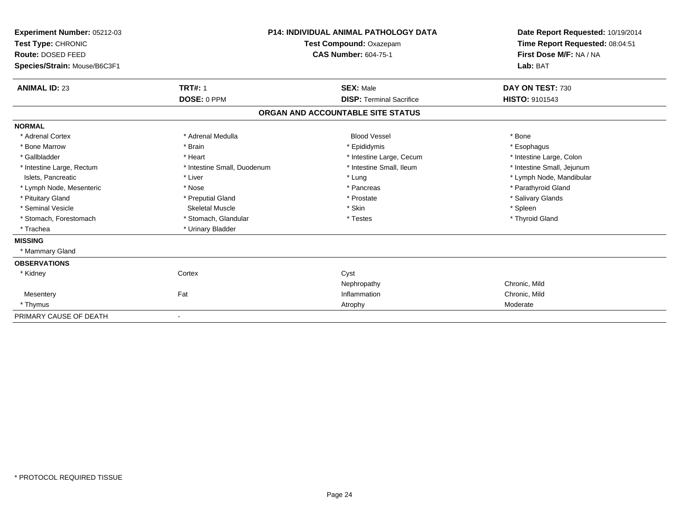| Experiment Number: 05212-03<br>Test Type: CHRONIC<br>Route: DOSED FEED<br>Species/Strain: Mouse/B6C3F1 |                             | <b>P14: INDIVIDUAL ANIMAL PATHOLOGY DATA</b><br>Test Compound: Oxazepam<br><b>CAS Number: 604-75-1</b> | Date Report Requested: 10/19/2014<br>Time Report Requested: 08:04:51<br>First Dose M/F: NA / NA<br>Lab: BAT |
|--------------------------------------------------------------------------------------------------------|-----------------------------|--------------------------------------------------------------------------------------------------------|-------------------------------------------------------------------------------------------------------------|
| <b>ANIMAL ID: 23</b>                                                                                   | <b>TRT#: 1</b>              | <b>SEX: Male</b>                                                                                       | DAY ON TEST: 730                                                                                            |
|                                                                                                        | DOSE: 0 PPM                 | <b>DISP: Terminal Sacrifice</b>                                                                        | <b>HISTO: 9101543</b>                                                                                       |
|                                                                                                        |                             | ORGAN AND ACCOUNTABLE SITE STATUS                                                                      |                                                                                                             |
| <b>NORMAL</b>                                                                                          |                             |                                                                                                        |                                                                                                             |
| * Adrenal Cortex                                                                                       | * Adrenal Medulla           | <b>Blood Vessel</b>                                                                                    | * Bone                                                                                                      |
| * Bone Marrow                                                                                          | * Brain                     | * Epididymis                                                                                           | * Esophagus                                                                                                 |
| * Gallbladder                                                                                          | * Heart                     | * Intestine Large, Cecum                                                                               | * Intestine Large, Colon                                                                                    |
| * Intestine Large, Rectum                                                                              | * Intestine Small, Duodenum | * Intestine Small. Ileum                                                                               | * Intestine Small, Jejunum                                                                                  |
| Islets, Pancreatic                                                                                     | * Liver                     | * Lung                                                                                                 | * Lymph Node, Mandibular                                                                                    |
| * Lymph Node, Mesenteric                                                                               | * Nose                      | * Pancreas                                                                                             | * Parathyroid Gland                                                                                         |
| * Pituitary Gland                                                                                      | * Preputial Gland           | * Prostate                                                                                             | * Salivary Glands                                                                                           |
| * Seminal Vesicle                                                                                      | <b>Skeletal Muscle</b>      | * Skin                                                                                                 | * Spleen                                                                                                    |
| * Stomach, Forestomach                                                                                 | * Stomach, Glandular        | * Testes                                                                                               | * Thyroid Gland                                                                                             |
| * Trachea                                                                                              | * Urinary Bladder           |                                                                                                        |                                                                                                             |
| <b>MISSING</b>                                                                                         |                             |                                                                                                        |                                                                                                             |
| * Mammary Gland                                                                                        |                             |                                                                                                        |                                                                                                             |
| <b>OBSERVATIONS</b>                                                                                    |                             |                                                                                                        |                                                                                                             |
| * Kidney                                                                                               | Cortex                      | Cyst                                                                                                   |                                                                                                             |
|                                                                                                        |                             | Nephropathy                                                                                            | Chronic, Mild                                                                                               |
| Mesentery                                                                                              | Fat                         | Inflammation                                                                                           | Chronic, Mild                                                                                               |
| * Thymus                                                                                               |                             | Atrophy                                                                                                | Moderate                                                                                                    |
| PRIMARY CAUSE OF DEATH                                                                                 |                             |                                                                                                        |                                                                                                             |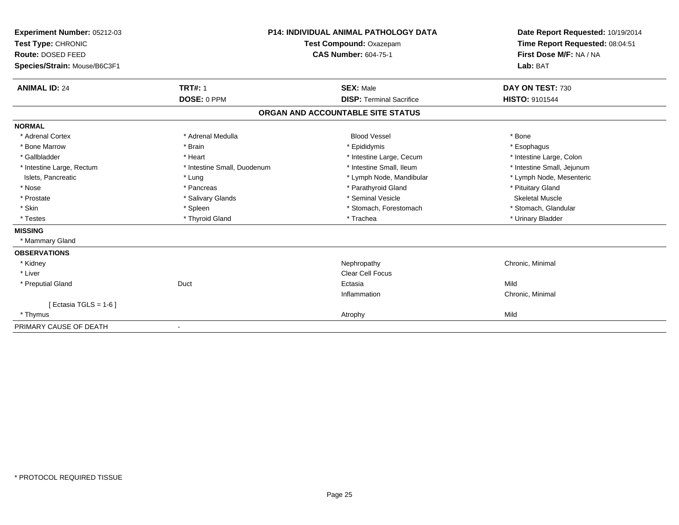| Experiment Number: 05212-03<br>Test Type: CHRONIC |                             | <b>P14: INDIVIDUAL ANIMAL PATHOLOGY DATA</b><br>Test Compound: Oxazepam | Date Report Requested: 10/19/2014<br>Time Report Requested: 08:04:51 |
|---------------------------------------------------|-----------------------------|-------------------------------------------------------------------------|----------------------------------------------------------------------|
| Route: DOSED FEED                                 |                             | <b>CAS Number: 604-75-1</b>                                             | First Dose M/F: NA / NA                                              |
| Species/Strain: Mouse/B6C3F1                      |                             |                                                                         | Lab: BAT                                                             |
|                                                   |                             |                                                                         |                                                                      |
| <b>ANIMAL ID: 24</b>                              | <b>TRT#: 1</b>              | <b>SEX: Male</b>                                                        | DAY ON TEST: 730                                                     |
|                                                   | DOSE: 0 PPM                 | <b>DISP: Terminal Sacrifice</b>                                         | <b>HISTO: 9101544</b>                                                |
|                                                   |                             | ORGAN AND ACCOUNTABLE SITE STATUS                                       |                                                                      |
| <b>NORMAL</b>                                     |                             |                                                                         |                                                                      |
| * Adrenal Cortex                                  | * Adrenal Medulla           | <b>Blood Vessel</b>                                                     | * Bone                                                               |
| * Bone Marrow                                     | * Brain                     | * Epididymis                                                            | * Esophagus                                                          |
| * Gallbladder                                     | * Heart                     | * Intestine Large, Cecum                                                | * Intestine Large, Colon                                             |
| * Intestine Large, Rectum                         | * Intestine Small, Duodenum | * Intestine Small. Ileum                                                | * Intestine Small, Jejunum                                           |
| Islets, Pancreatic                                | * Lung                      | * Lymph Node, Mandibular                                                | * Lymph Node, Mesenteric                                             |
| * Nose                                            | * Pancreas                  | * Parathyroid Gland                                                     | * Pituitary Gland                                                    |
| * Prostate                                        | * Salivary Glands           | * Seminal Vesicle                                                       | <b>Skeletal Muscle</b>                                               |
| * Skin                                            | * Spleen                    | * Stomach, Forestomach                                                  | * Stomach, Glandular                                                 |
| * Testes                                          | * Thyroid Gland             | * Trachea                                                               | * Urinary Bladder                                                    |
| <b>MISSING</b>                                    |                             |                                                                         |                                                                      |
| * Mammary Gland                                   |                             |                                                                         |                                                                      |
| <b>OBSERVATIONS</b>                               |                             |                                                                         |                                                                      |
| * Kidney                                          |                             | Nephropathy                                                             | Chronic, Minimal                                                     |
| * Liver                                           |                             | Clear Cell Focus                                                        |                                                                      |
| * Preputial Gland                                 | Duct                        | Ectasia                                                                 | Mild                                                                 |
|                                                   |                             | Inflammation                                                            | Chronic, Minimal                                                     |
| [ Ectasia TGLS = $1-6$ ]                          |                             |                                                                         |                                                                      |
| * Thymus                                          |                             | Atrophy                                                                 | Mild                                                                 |
| PRIMARY CAUSE OF DEATH                            |                             |                                                                         |                                                                      |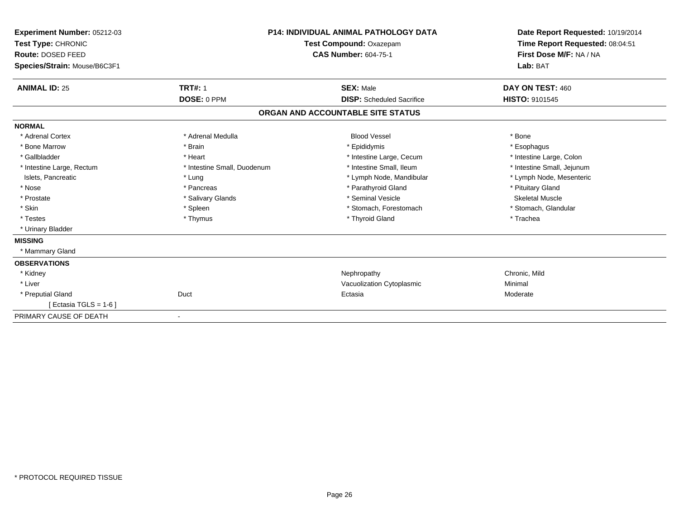| Experiment Number: 05212-03<br>Test Type: CHRONIC<br>Route: DOSED FEED<br>Species/Strain: Mouse/B6C3F1 |                             | <b>P14: INDIVIDUAL ANIMAL PATHOLOGY DATA</b><br>Test Compound: Oxazepam<br><b>CAS Number: 604-75-1</b> | Date Report Requested: 10/19/2014<br>Time Report Requested: 08:04:51<br>First Dose M/F: NA / NA<br>Lab: BAT |  |
|--------------------------------------------------------------------------------------------------------|-----------------------------|--------------------------------------------------------------------------------------------------------|-------------------------------------------------------------------------------------------------------------|--|
| <b>ANIMAL ID: 25</b>                                                                                   | <b>TRT#: 1</b>              | <b>SEX: Male</b>                                                                                       | DAY ON TEST: 460                                                                                            |  |
|                                                                                                        | DOSE: 0 PPM                 | <b>DISP:</b> Scheduled Sacrifice                                                                       | <b>HISTO: 9101545</b>                                                                                       |  |
|                                                                                                        |                             | ORGAN AND ACCOUNTABLE SITE STATUS                                                                      |                                                                                                             |  |
| <b>NORMAL</b>                                                                                          |                             |                                                                                                        |                                                                                                             |  |
| * Adrenal Cortex                                                                                       | * Adrenal Medulla           | <b>Blood Vessel</b>                                                                                    | * Bone                                                                                                      |  |
| * Bone Marrow                                                                                          | * Brain                     | * Epididymis                                                                                           | * Esophagus                                                                                                 |  |
| * Gallbladder                                                                                          | * Heart                     | * Intestine Large, Cecum                                                                               | * Intestine Large, Colon                                                                                    |  |
| * Intestine Large, Rectum                                                                              | * Intestine Small, Duodenum | * Intestine Small, Ileum                                                                               | * Intestine Small, Jejunum                                                                                  |  |
| Islets, Pancreatic                                                                                     | * Lung                      | * Lymph Node, Mandibular                                                                               | * Lymph Node, Mesenteric                                                                                    |  |
| * Nose                                                                                                 | * Pancreas                  | * Parathyroid Gland                                                                                    | * Pituitary Gland                                                                                           |  |
| * Prostate                                                                                             | * Salivary Glands           | * Seminal Vesicle                                                                                      | <b>Skeletal Muscle</b>                                                                                      |  |
| * Skin                                                                                                 | * Spleen                    | * Stomach, Forestomach                                                                                 | * Stomach, Glandular                                                                                        |  |
| * Testes                                                                                               | * Thymus                    | * Thyroid Gland                                                                                        | * Trachea                                                                                                   |  |
| * Urinary Bladder                                                                                      |                             |                                                                                                        |                                                                                                             |  |
| <b>MISSING</b>                                                                                         |                             |                                                                                                        |                                                                                                             |  |
| * Mammary Gland                                                                                        |                             |                                                                                                        |                                                                                                             |  |
| <b>OBSERVATIONS</b>                                                                                    |                             |                                                                                                        |                                                                                                             |  |
| * Kidney                                                                                               |                             | Nephropathy                                                                                            | Chronic, Mild                                                                                               |  |
| * Liver                                                                                                |                             | Vacuolization Cytoplasmic                                                                              | Minimal                                                                                                     |  |
| * Preputial Gland                                                                                      | Duct                        | Ectasia                                                                                                | Moderate                                                                                                    |  |
| [ Ectasia TGLS = $1-6$ ]                                                                               |                             |                                                                                                        |                                                                                                             |  |
| PRIMARY CAUSE OF DEATH                                                                                 | $\overline{\phantom{a}}$    |                                                                                                        |                                                                                                             |  |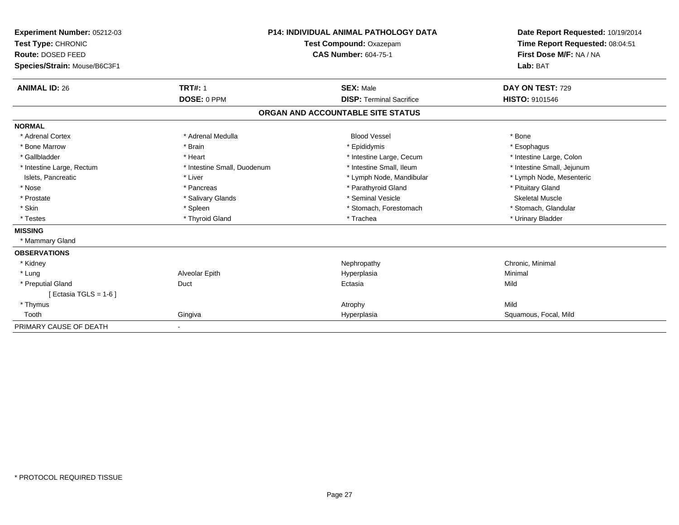| Experiment Number: 05212-03<br>Test Type: CHRONIC<br>Route: DOSED FEED<br>Species/Strain: Mouse/B6C3F1 |                             | <b>P14: INDIVIDUAL ANIMAL PATHOLOGY DATA</b><br>Test Compound: Oxazepam<br><b>CAS Number: 604-75-1</b> | Date Report Requested: 10/19/2014<br>Time Report Requested: 08:04:51<br>First Dose M/F: NA / NA<br>Lab: BAT |  |
|--------------------------------------------------------------------------------------------------------|-----------------------------|--------------------------------------------------------------------------------------------------------|-------------------------------------------------------------------------------------------------------------|--|
| <b>ANIMAL ID: 26</b>                                                                                   | <b>TRT#: 1</b>              | <b>SEX: Male</b>                                                                                       | DAY ON TEST: 729                                                                                            |  |
|                                                                                                        | DOSE: 0 PPM                 | <b>DISP: Terminal Sacrifice</b>                                                                        | <b>HISTO: 9101546</b>                                                                                       |  |
|                                                                                                        |                             | ORGAN AND ACCOUNTABLE SITE STATUS                                                                      |                                                                                                             |  |
| <b>NORMAL</b>                                                                                          |                             |                                                                                                        |                                                                                                             |  |
| * Adrenal Cortex                                                                                       | * Adrenal Medulla           | <b>Blood Vessel</b>                                                                                    | * Bone                                                                                                      |  |
| * Bone Marrow                                                                                          | * Brain                     | * Epididymis                                                                                           | * Esophagus                                                                                                 |  |
| * Gallbladder                                                                                          | * Heart                     | * Intestine Large, Cecum                                                                               | * Intestine Large, Colon                                                                                    |  |
| * Intestine Large, Rectum                                                                              | * Intestine Small, Duodenum | * Intestine Small. Ileum                                                                               | * Intestine Small, Jejunum                                                                                  |  |
| Islets, Pancreatic                                                                                     | * Liver                     | * Lymph Node, Mandibular                                                                               | * Lymph Node, Mesenteric                                                                                    |  |
| * Nose                                                                                                 | * Pancreas                  | * Parathyroid Gland                                                                                    | * Pituitary Gland                                                                                           |  |
| * Prostate                                                                                             | * Salivary Glands           | * Seminal Vesicle                                                                                      | <b>Skeletal Muscle</b>                                                                                      |  |
| * Skin                                                                                                 | * Spleen                    | * Stomach, Forestomach                                                                                 | * Stomach, Glandular                                                                                        |  |
| * Testes                                                                                               | * Thyroid Gland             | * Trachea                                                                                              | * Urinary Bladder                                                                                           |  |
| <b>MISSING</b>                                                                                         |                             |                                                                                                        |                                                                                                             |  |
| * Mammary Gland                                                                                        |                             |                                                                                                        |                                                                                                             |  |
| <b>OBSERVATIONS</b>                                                                                    |                             |                                                                                                        |                                                                                                             |  |
| * Kidney                                                                                               |                             | Nephropathy                                                                                            | Chronic, Minimal                                                                                            |  |
| * Lung                                                                                                 | Alveolar Epith              | Hyperplasia                                                                                            | Minimal                                                                                                     |  |
| * Preputial Gland                                                                                      | Duct                        | Ectasia                                                                                                | Mild                                                                                                        |  |
| [Ectasia TGLS = 1-6 ]                                                                                  |                             |                                                                                                        |                                                                                                             |  |
| * Thymus                                                                                               |                             | Atrophy                                                                                                | Mild                                                                                                        |  |
| Tooth                                                                                                  | Gingiva                     | Hyperplasia                                                                                            | Squamous, Focal, Mild                                                                                       |  |
| PRIMARY CAUSE OF DEATH                                                                                 | $\overline{\phantom{a}}$    |                                                                                                        |                                                                                                             |  |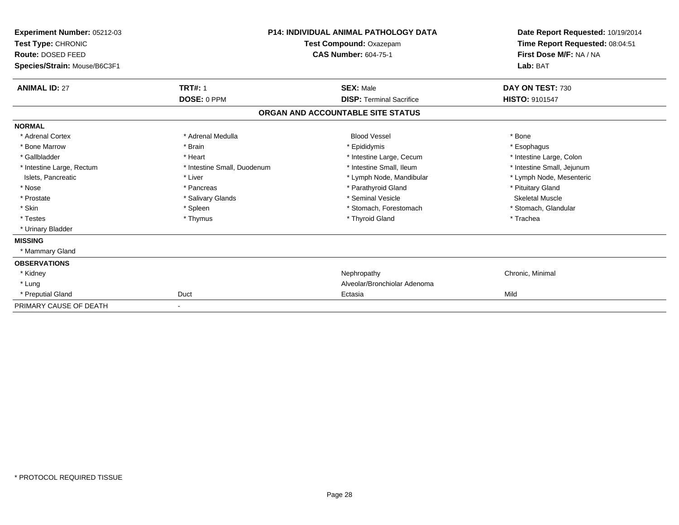| Experiment Number: 05212-03<br>Test Type: CHRONIC<br>Route: DOSED FEED<br>Species/Strain: Mouse/B6C3F1 | <b>P14: INDIVIDUAL ANIMAL PATHOLOGY DATA</b><br><b>Test Compound: Oxazepam</b><br><b>CAS Number: 604-75-1</b> |                                   | Date Report Requested: 10/19/2014<br>Time Report Requested: 08:04:51<br>First Dose M/F: NA / NA<br>Lab: BAT |
|--------------------------------------------------------------------------------------------------------|---------------------------------------------------------------------------------------------------------------|-----------------------------------|-------------------------------------------------------------------------------------------------------------|
| <b>ANIMAL ID: 27</b>                                                                                   | <b>TRT#: 1</b>                                                                                                | <b>SEX: Male</b>                  | DAY ON TEST: 730                                                                                            |
|                                                                                                        | DOSE: 0 PPM                                                                                                   | <b>DISP: Terminal Sacrifice</b>   | <b>HISTO: 9101547</b>                                                                                       |
|                                                                                                        |                                                                                                               | ORGAN AND ACCOUNTABLE SITE STATUS |                                                                                                             |
| <b>NORMAL</b>                                                                                          |                                                                                                               |                                   |                                                                                                             |
| * Adrenal Cortex                                                                                       | * Adrenal Medulla                                                                                             | <b>Blood Vessel</b>               | * Bone                                                                                                      |
| * Bone Marrow                                                                                          | * Brain                                                                                                       | * Epididymis                      | * Esophagus                                                                                                 |
| * Gallbladder                                                                                          | * Heart                                                                                                       | * Intestine Large, Cecum          | * Intestine Large, Colon                                                                                    |
| * Intestine Large, Rectum                                                                              | * Intestine Small, Duodenum                                                                                   | * Intestine Small, Ileum          | * Intestine Small, Jejunum                                                                                  |
| Islets, Pancreatic                                                                                     | * Liver                                                                                                       | * Lymph Node, Mandibular          | * Lymph Node, Mesenteric                                                                                    |
| * Nose                                                                                                 | * Pancreas                                                                                                    | * Parathyroid Gland               | * Pituitary Gland                                                                                           |
| * Prostate                                                                                             | * Salivary Glands                                                                                             | * Seminal Vesicle                 | <b>Skeletal Muscle</b>                                                                                      |
| * Skin                                                                                                 | * Spleen                                                                                                      | * Stomach, Forestomach            | * Stomach, Glandular                                                                                        |
| * Testes                                                                                               | * Thymus                                                                                                      | * Thyroid Gland                   | * Trachea                                                                                                   |
| * Urinary Bladder                                                                                      |                                                                                                               |                                   |                                                                                                             |
| <b>MISSING</b>                                                                                         |                                                                                                               |                                   |                                                                                                             |
| * Mammary Gland                                                                                        |                                                                                                               |                                   |                                                                                                             |
| <b>OBSERVATIONS</b>                                                                                    |                                                                                                               |                                   |                                                                                                             |
| * Kidney                                                                                               |                                                                                                               | Nephropathy                       | Chronic, Minimal                                                                                            |
| * Lung                                                                                                 |                                                                                                               | Alveolar/Bronchiolar Adenoma      |                                                                                                             |
| * Preputial Gland                                                                                      | Duct                                                                                                          | Ectasia                           | Mild                                                                                                        |
| PRIMARY CAUSE OF DEATH                                                                                 |                                                                                                               |                                   |                                                                                                             |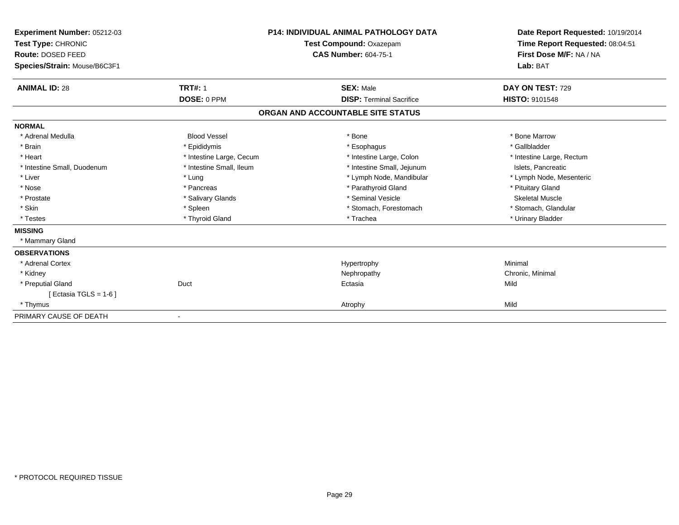| Experiment Number: 05212-03<br>Test Type: CHRONIC<br>Route: DOSED FEED<br>Species/Strain: Mouse/B6C3F1 |                          | <b>P14: INDIVIDUAL ANIMAL PATHOLOGY DATA</b><br>Test Compound: Oxazepam<br><b>CAS Number: 604-75-1</b> | Date Report Requested: 10/19/2014<br>Time Report Requested: 08:04:51<br>First Dose M/F: NA / NA<br>Lab: BAT |
|--------------------------------------------------------------------------------------------------------|--------------------------|--------------------------------------------------------------------------------------------------------|-------------------------------------------------------------------------------------------------------------|
| <b>ANIMAL ID: 28</b>                                                                                   | <b>TRT#: 1</b>           | <b>SEX: Male</b>                                                                                       | DAY ON TEST: 729                                                                                            |
|                                                                                                        | DOSE: 0 PPM              | <b>DISP: Terminal Sacrifice</b>                                                                        | <b>HISTO: 9101548</b>                                                                                       |
|                                                                                                        |                          | ORGAN AND ACCOUNTABLE SITE STATUS                                                                      |                                                                                                             |
| <b>NORMAL</b>                                                                                          |                          |                                                                                                        |                                                                                                             |
| * Adrenal Medulla                                                                                      | <b>Blood Vessel</b>      | * Bone                                                                                                 | * Bone Marrow                                                                                               |
| * Brain                                                                                                | * Epididymis             | * Esophagus                                                                                            | * Gallbladder                                                                                               |
| * Heart                                                                                                | * Intestine Large, Cecum | * Intestine Large, Colon                                                                               | * Intestine Large, Rectum                                                                                   |
| * Intestine Small, Duodenum                                                                            | * Intestine Small, Ileum | * Intestine Small, Jejunum                                                                             | Islets, Pancreatic                                                                                          |
| * Liver                                                                                                | * Lung                   | * Lymph Node, Mandibular                                                                               | * Lymph Node, Mesenteric                                                                                    |
| * Nose                                                                                                 | * Pancreas               | * Parathyroid Gland                                                                                    | * Pituitary Gland                                                                                           |
| * Prostate                                                                                             | * Salivary Glands        | * Seminal Vesicle                                                                                      | <b>Skeletal Muscle</b>                                                                                      |
| * Skin                                                                                                 | * Spleen                 | * Stomach, Forestomach                                                                                 | * Stomach, Glandular                                                                                        |
| * Testes                                                                                               | * Thyroid Gland          | * Trachea                                                                                              | * Urinary Bladder                                                                                           |
| <b>MISSING</b>                                                                                         |                          |                                                                                                        |                                                                                                             |
| * Mammary Gland                                                                                        |                          |                                                                                                        |                                                                                                             |
| <b>OBSERVATIONS</b>                                                                                    |                          |                                                                                                        |                                                                                                             |
| * Adrenal Cortex                                                                                       |                          | Hypertrophy                                                                                            | Minimal                                                                                                     |
| * Kidney                                                                                               |                          | Nephropathy                                                                                            | Chronic, Minimal                                                                                            |
| * Preputial Gland                                                                                      | Duct                     | Ectasia                                                                                                | Mild                                                                                                        |
| [ Ectasia TGLS = $1-6$ ]                                                                               |                          |                                                                                                        |                                                                                                             |
| * Thymus                                                                                               |                          | Atrophy                                                                                                | Mild                                                                                                        |
| PRIMARY CAUSE OF DEATH                                                                                 |                          |                                                                                                        |                                                                                                             |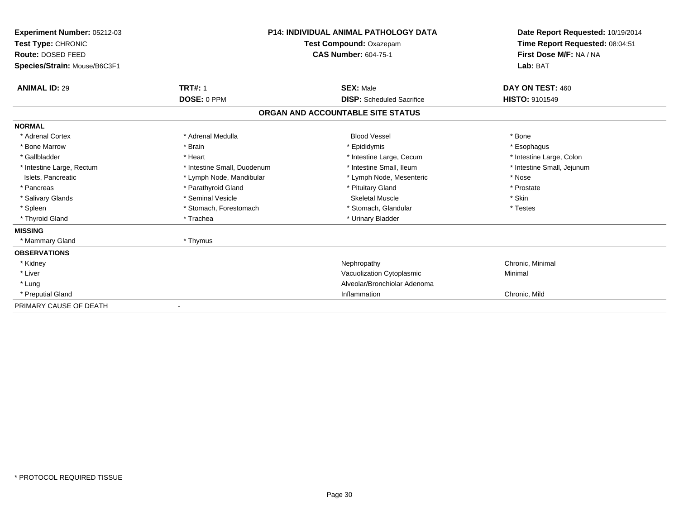| <b>Experiment Number: 05212-03</b><br>Test Type: CHRONIC<br><b>Route: DOSED FEED</b><br>Species/Strain: Mouse/B6C3F1 |                             | <b>P14: INDIVIDUAL ANIMAL PATHOLOGY DATA</b><br>Test Compound: Oxazepam<br><b>CAS Number: 604-75-1</b> | Date Report Requested: 10/19/2014<br>Time Report Requested: 08:04:51<br>First Dose M/F: NA / NA<br>Lab: BAT |
|----------------------------------------------------------------------------------------------------------------------|-----------------------------|--------------------------------------------------------------------------------------------------------|-------------------------------------------------------------------------------------------------------------|
| <b>ANIMAL ID: 29</b>                                                                                                 | <b>TRT#: 1</b>              | <b>SEX: Male</b>                                                                                       | DAY ON TEST: 460                                                                                            |
|                                                                                                                      | DOSE: 0 PPM                 | <b>DISP:</b> Scheduled Sacrifice                                                                       | <b>HISTO: 9101549</b>                                                                                       |
|                                                                                                                      |                             | ORGAN AND ACCOUNTABLE SITE STATUS                                                                      |                                                                                                             |
| <b>NORMAL</b>                                                                                                        |                             |                                                                                                        |                                                                                                             |
| * Adrenal Cortex                                                                                                     | * Adrenal Medulla           | <b>Blood Vessel</b>                                                                                    | * Bone                                                                                                      |
| * Bone Marrow                                                                                                        | * Brain                     | * Epididymis                                                                                           | * Esophagus                                                                                                 |
| * Gallbladder                                                                                                        | * Heart                     | * Intestine Large, Cecum                                                                               | * Intestine Large, Colon                                                                                    |
| * Intestine Large, Rectum                                                                                            | * Intestine Small, Duodenum | * Intestine Small, Ileum                                                                               | * Intestine Small, Jejunum                                                                                  |
| Islets, Pancreatic                                                                                                   | * Lymph Node, Mandibular    | * Lymph Node, Mesenteric                                                                               | * Nose                                                                                                      |
| * Pancreas                                                                                                           | * Parathyroid Gland         | * Pituitary Gland                                                                                      | * Prostate                                                                                                  |
| * Salivary Glands                                                                                                    | * Seminal Vesicle           | <b>Skeletal Muscle</b>                                                                                 | * Skin                                                                                                      |
| * Spleen                                                                                                             | * Stomach, Forestomach      | * Stomach, Glandular                                                                                   | * Testes                                                                                                    |
| * Thyroid Gland                                                                                                      | * Trachea                   | * Urinary Bladder                                                                                      |                                                                                                             |
| <b>MISSING</b>                                                                                                       |                             |                                                                                                        |                                                                                                             |
| * Mammary Gland                                                                                                      | * Thymus                    |                                                                                                        |                                                                                                             |
| <b>OBSERVATIONS</b>                                                                                                  |                             |                                                                                                        |                                                                                                             |
| * Kidney                                                                                                             |                             | Nephropathy                                                                                            | Chronic, Minimal                                                                                            |
| * Liver                                                                                                              |                             | Vacuolization Cytoplasmic                                                                              | Minimal                                                                                                     |
| * Lung                                                                                                               |                             | Alveolar/Bronchiolar Adenoma                                                                           |                                                                                                             |
| * Preputial Gland                                                                                                    |                             | Inflammation                                                                                           | Chronic, Mild                                                                                               |
| PRIMARY CAUSE OF DEATH                                                                                               |                             |                                                                                                        |                                                                                                             |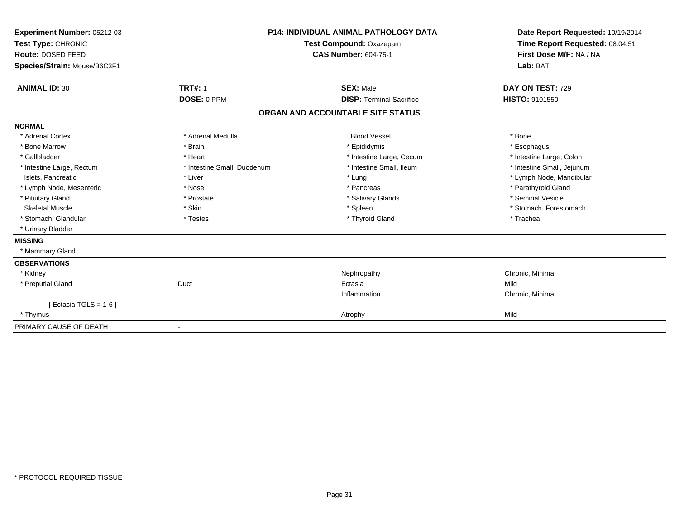| Experiment Number: 05212-03<br>Test Type: CHRONIC<br>Route: DOSED FEED<br>Species/Strain: Mouse/B6C3F1 |                             | <b>P14: INDIVIDUAL ANIMAL PATHOLOGY DATA</b><br><b>Test Compound: Oxazepam</b><br><b>CAS Number: 604-75-1</b> | Date Report Requested: 10/19/2014<br>Time Report Requested: 08:04:51<br>First Dose M/F: NA / NA<br>Lab: BAT |  |
|--------------------------------------------------------------------------------------------------------|-----------------------------|---------------------------------------------------------------------------------------------------------------|-------------------------------------------------------------------------------------------------------------|--|
| <b>ANIMAL ID: 30</b>                                                                                   | <b>TRT#: 1</b>              | <b>SEX: Male</b>                                                                                              | DAY ON TEST: 729                                                                                            |  |
|                                                                                                        | DOSE: 0 PPM                 | <b>DISP: Terminal Sacrifice</b>                                                                               | <b>HISTO: 9101550</b>                                                                                       |  |
|                                                                                                        |                             | ORGAN AND ACCOUNTABLE SITE STATUS                                                                             |                                                                                                             |  |
| <b>NORMAL</b>                                                                                          |                             |                                                                                                               |                                                                                                             |  |
| * Adrenal Cortex                                                                                       | * Adrenal Medulla           | <b>Blood Vessel</b>                                                                                           | * Bone                                                                                                      |  |
| * Bone Marrow                                                                                          | * Brain                     | * Epididymis                                                                                                  | * Esophagus                                                                                                 |  |
| * Gallbladder                                                                                          | * Heart                     | * Intestine Large, Cecum                                                                                      | * Intestine Large, Colon                                                                                    |  |
| * Intestine Large, Rectum                                                                              | * Intestine Small, Duodenum | * Intestine Small, Ileum                                                                                      | * Intestine Small, Jejunum                                                                                  |  |
| Islets, Pancreatic                                                                                     | * Liver                     | * Lung                                                                                                        | * Lymph Node, Mandibular                                                                                    |  |
| * Lymph Node, Mesenteric                                                                               | * Nose                      | * Pancreas                                                                                                    | * Parathyroid Gland                                                                                         |  |
| * Pituitary Gland                                                                                      | * Prostate                  | * Salivary Glands                                                                                             | * Seminal Vesicle                                                                                           |  |
| <b>Skeletal Muscle</b>                                                                                 | * Skin                      | * Spleen                                                                                                      | * Stomach, Forestomach                                                                                      |  |
| * Stomach, Glandular                                                                                   | * Testes                    | * Thyroid Gland                                                                                               | * Trachea                                                                                                   |  |
| * Urinary Bladder                                                                                      |                             |                                                                                                               |                                                                                                             |  |
| <b>MISSING</b>                                                                                         |                             |                                                                                                               |                                                                                                             |  |
| * Mammary Gland                                                                                        |                             |                                                                                                               |                                                                                                             |  |
| <b>OBSERVATIONS</b>                                                                                    |                             |                                                                                                               |                                                                                                             |  |
| * Kidney                                                                                               |                             | Nephropathy                                                                                                   | Chronic, Minimal                                                                                            |  |
| * Preputial Gland                                                                                      | Duct                        | Ectasia                                                                                                       | Mild                                                                                                        |  |
|                                                                                                        |                             | Inflammation                                                                                                  | Chronic, Minimal                                                                                            |  |
| [ Ectasia TGLS = $1-6$ ]                                                                               |                             |                                                                                                               |                                                                                                             |  |
| * Thymus                                                                                               |                             | Atrophy                                                                                                       | Mild                                                                                                        |  |
| PRIMARY CAUSE OF DEATH                                                                                 |                             |                                                                                                               |                                                                                                             |  |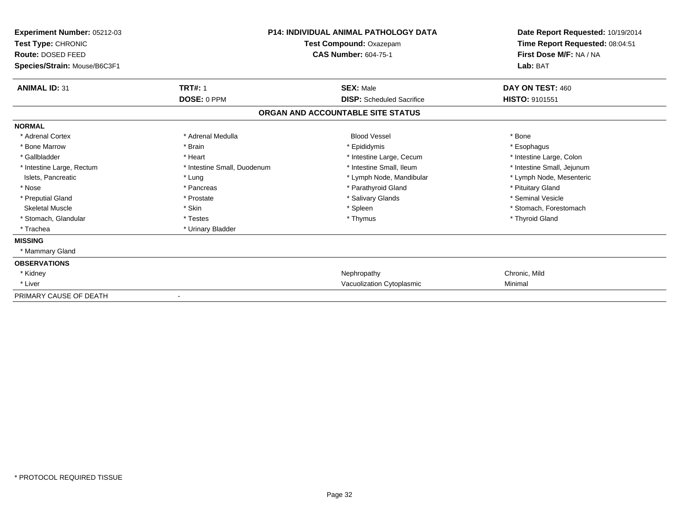| <b>Experiment Number: 05212-03</b><br>Test Type: CHRONIC<br><b>Route: DOSED FEED</b><br>Species/Strain: Mouse/B6C3F1 | <b>P14: INDIVIDUAL ANIMAL PATHOLOGY DATA</b><br>Test Compound: Oxazepam<br><b>CAS Number: 604-75-1</b> |                                   | Date Report Requested: 10/19/2014<br>Time Report Requested: 08:04:51<br>First Dose M/F: NA / NA<br>Lab: BAT |
|----------------------------------------------------------------------------------------------------------------------|--------------------------------------------------------------------------------------------------------|-----------------------------------|-------------------------------------------------------------------------------------------------------------|
| <b>ANIMAL ID: 31</b>                                                                                                 | <b>TRT#: 1</b>                                                                                         | <b>SEX: Male</b>                  | DAY ON TEST: 460                                                                                            |
|                                                                                                                      | DOSE: 0 PPM                                                                                            | <b>DISP:</b> Scheduled Sacrifice  | <b>HISTO: 9101551</b>                                                                                       |
|                                                                                                                      |                                                                                                        | ORGAN AND ACCOUNTABLE SITE STATUS |                                                                                                             |
| <b>NORMAL</b>                                                                                                        |                                                                                                        |                                   |                                                                                                             |
| * Adrenal Cortex                                                                                                     | * Adrenal Medulla                                                                                      | <b>Blood Vessel</b>               | * Bone                                                                                                      |
| * Bone Marrow                                                                                                        | * Brain                                                                                                | * Epididymis                      | * Esophagus                                                                                                 |
| * Gallbladder                                                                                                        | * Heart                                                                                                | * Intestine Large, Cecum          | * Intestine Large, Colon                                                                                    |
| * Intestine Large, Rectum                                                                                            | * Intestine Small, Duodenum                                                                            | * Intestine Small. Ileum          | * Intestine Small, Jejunum                                                                                  |
| Islets, Pancreatic                                                                                                   | * Lung                                                                                                 | * Lymph Node, Mandibular          | * Lymph Node, Mesenteric                                                                                    |
| * Nose                                                                                                               | * Pancreas                                                                                             | * Parathyroid Gland               | * Pituitary Gland                                                                                           |
| * Preputial Gland                                                                                                    | * Prostate                                                                                             | * Salivary Glands                 | * Seminal Vesicle                                                                                           |
| <b>Skeletal Muscle</b>                                                                                               | * Skin                                                                                                 | * Spleen                          | * Stomach, Forestomach                                                                                      |
| * Stomach, Glandular                                                                                                 | * Testes                                                                                               | * Thymus                          | * Thyroid Gland                                                                                             |
| * Trachea                                                                                                            | * Urinary Bladder                                                                                      |                                   |                                                                                                             |
| <b>MISSING</b>                                                                                                       |                                                                                                        |                                   |                                                                                                             |
| * Mammary Gland                                                                                                      |                                                                                                        |                                   |                                                                                                             |
| <b>OBSERVATIONS</b>                                                                                                  |                                                                                                        |                                   |                                                                                                             |
| * Kidney                                                                                                             |                                                                                                        | Nephropathy                       | Chronic, Mild                                                                                               |
| * Liver                                                                                                              |                                                                                                        | Vacuolization Cytoplasmic         | Minimal                                                                                                     |
| PRIMARY CAUSE OF DEATH                                                                                               |                                                                                                        |                                   |                                                                                                             |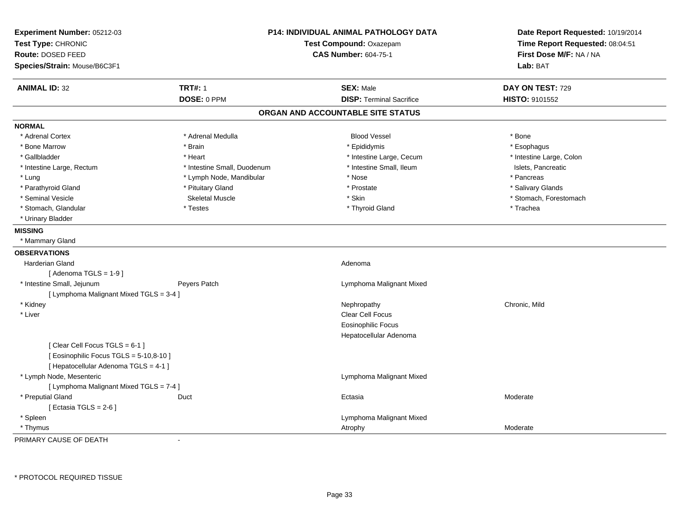| Experiment Number: 05212-03<br>Test Type: CHRONIC<br>Route: DOSED FEED<br>Species/Strain: Mouse/B6C3F1 |                             | <b>P14: INDIVIDUAL ANIMAL PATHOLOGY DATA</b><br>Test Compound: Oxazepam<br><b>CAS Number: 604-75-1</b> | Date Report Requested: 10/19/2014<br>Time Report Requested: 08:04:51<br>First Dose M/F: NA / NA<br>Lab: BAT |
|--------------------------------------------------------------------------------------------------------|-----------------------------|--------------------------------------------------------------------------------------------------------|-------------------------------------------------------------------------------------------------------------|
| <b>ANIMAL ID: 32</b>                                                                                   | <b>TRT#: 1</b>              | <b>SEX: Male</b>                                                                                       | DAY ON TEST: 729                                                                                            |
|                                                                                                        | DOSE: 0 PPM                 | <b>DISP: Terminal Sacrifice</b>                                                                        | HISTO: 9101552                                                                                              |
|                                                                                                        |                             | ORGAN AND ACCOUNTABLE SITE STATUS                                                                      |                                                                                                             |
| <b>NORMAL</b>                                                                                          |                             |                                                                                                        |                                                                                                             |
| * Adrenal Cortex                                                                                       | * Adrenal Medulla           | <b>Blood Vessel</b>                                                                                    | * Bone                                                                                                      |
| * Bone Marrow                                                                                          | * Brain                     | * Epididymis                                                                                           | * Esophagus                                                                                                 |
| * Gallbladder                                                                                          | * Heart                     | * Intestine Large, Cecum                                                                               | * Intestine Large, Colon                                                                                    |
| * Intestine Large, Rectum                                                                              | * Intestine Small, Duodenum | * Intestine Small, Ileum                                                                               | Islets, Pancreatic                                                                                          |
| * Lung                                                                                                 | * Lymph Node, Mandibular    | * Nose                                                                                                 | * Pancreas                                                                                                  |
| * Parathyroid Gland                                                                                    | * Pituitary Gland           | * Prostate                                                                                             | * Salivary Glands                                                                                           |
| * Seminal Vesicle                                                                                      | <b>Skeletal Muscle</b>      | * Skin                                                                                                 | * Stomach, Forestomach                                                                                      |
| * Stomach, Glandular                                                                                   | * Testes                    | * Thyroid Gland                                                                                        | * Trachea                                                                                                   |
| * Urinary Bladder                                                                                      |                             |                                                                                                        |                                                                                                             |
| <b>MISSING</b>                                                                                         |                             |                                                                                                        |                                                                                                             |
| * Mammary Gland                                                                                        |                             |                                                                                                        |                                                                                                             |
| <b>OBSERVATIONS</b>                                                                                    |                             |                                                                                                        |                                                                                                             |
| Harderian Gland                                                                                        |                             | Adenoma                                                                                                |                                                                                                             |
| [Adenoma TGLS = $1-9$ ]                                                                                |                             |                                                                                                        |                                                                                                             |
| * Intestine Small, Jejunum                                                                             | Peyers Patch                | Lymphoma Malignant Mixed                                                                               |                                                                                                             |
| [ Lymphoma Malignant Mixed TGLS = 3-4 ]                                                                |                             |                                                                                                        |                                                                                                             |
| * Kidney                                                                                               |                             | Nephropathy                                                                                            | Chronic, Mild                                                                                               |
| * Liver                                                                                                |                             | Clear Cell Focus                                                                                       |                                                                                                             |
|                                                                                                        |                             | <b>Eosinophilic Focus</b>                                                                              |                                                                                                             |
|                                                                                                        |                             | Hepatocellular Adenoma                                                                                 |                                                                                                             |
| [Clear Cell Focus TGLS = 6-1]                                                                          |                             |                                                                                                        |                                                                                                             |
| [ Eosinophilic Focus TGLS = 5-10,8-10 ]                                                                |                             |                                                                                                        |                                                                                                             |
| [ Hepatocellular Adenoma TGLS = 4-1 ]                                                                  |                             |                                                                                                        |                                                                                                             |
| * Lymph Node, Mesenteric                                                                               |                             | Lymphoma Malignant Mixed                                                                               |                                                                                                             |
| [ Lymphoma Malignant Mixed TGLS = 7-4 ]                                                                |                             |                                                                                                        |                                                                                                             |
| * Preputial Gland                                                                                      | Duct                        | Ectasia                                                                                                | Moderate                                                                                                    |
| [ Ectasia TGLS = $2-6$ ]                                                                               |                             |                                                                                                        |                                                                                                             |
| * Spleen                                                                                               |                             | Lymphoma Malignant Mixed                                                                               |                                                                                                             |
| * Thymus                                                                                               |                             | Atrophy                                                                                                | Moderate                                                                                                    |

PRIMARY CAUSE OF DEATH-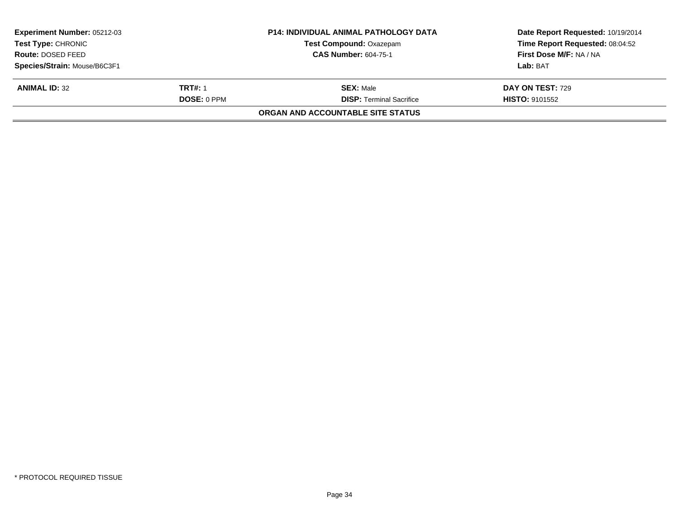| <b>Experiment Number: 05212-03</b> |                | <b>P14: INDIVIDUAL ANIMAL PATHOLOGY DATA</b> | Date Report Requested: 10/19/2014 |
|------------------------------------|----------------|----------------------------------------------|-----------------------------------|
| <b>Test Type: CHRONIC</b>          |                | <b>Test Compound: Oxazepam</b>               | Time Report Requested: 08:04:52   |
| <b>Route: DOSED FEED</b>           |                | <b>CAS Number: 604-75-1</b>                  | First Dose M/F: NA / NA           |
| Species/Strain: Mouse/B6C3F1       |                |                                              | Lab: BAT                          |
| <b>ANIMAL ID: 32</b>               | <b>TRT#: 1</b> | <b>SEX:</b> Male                             | <b>DAY ON TEST: 729</b>           |
|                                    | DOSE: 0 PPM    | <b>DISP: Terminal Sacrifice</b>              | <b>HISTO: 9101552</b>             |
|                                    |                | ORGAN AND ACCOUNTABLE SITE STATUS            |                                   |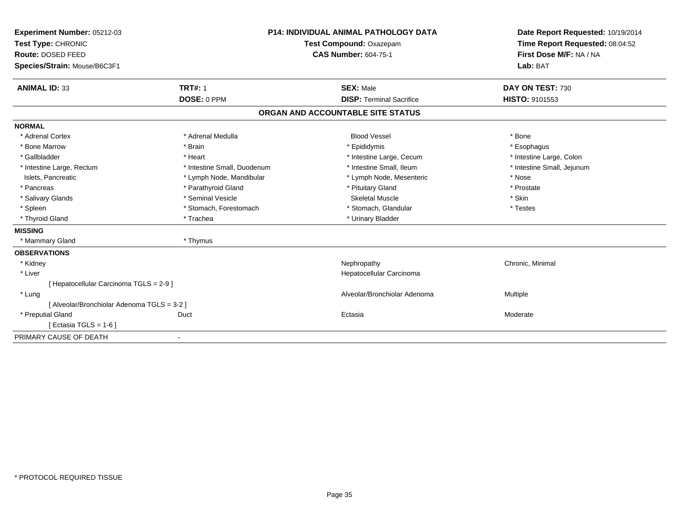| Experiment Number: 05212-03                 | <b>P14: INDIVIDUAL ANIMAL PATHOLOGY DATA</b><br>Test Compound: Oxazepam |                                   | Date Report Requested: 10/19/2014 |
|---------------------------------------------|-------------------------------------------------------------------------|-----------------------------------|-----------------------------------|
| Test Type: CHRONIC                          |                                                                         |                                   | Time Report Requested: 08:04:52   |
| <b>Route: DOSED FEED</b>                    |                                                                         | <b>CAS Number: 604-75-1</b>       | First Dose M/F: NA / NA           |
| Species/Strain: Mouse/B6C3F1                |                                                                         |                                   | Lab: BAT                          |
| <b>ANIMAL ID: 33</b>                        | <b>TRT#: 1</b>                                                          | <b>SEX: Male</b>                  | DAY ON TEST: 730                  |
|                                             | DOSE: 0 PPM                                                             | <b>DISP: Terminal Sacrifice</b>   | HISTO: 9101553                    |
|                                             |                                                                         | ORGAN AND ACCOUNTABLE SITE STATUS |                                   |
| <b>NORMAL</b>                               |                                                                         |                                   |                                   |
| * Adrenal Cortex                            | * Adrenal Medulla                                                       | <b>Blood Vessel</b>               | * Bone                            |
| * Bone Marrow                               | * Brain                                                                 | * Epididymis                      | * Esophagus                       |
| * Gallbladder                               | * Heart                                                                 | * Intestine Large, Cecum          | * Intestine Large, Colon          |
| * Intestine Large, Rectum                   | * Intestine Small, Duodenum                                             | * Intestine Small, Ileum          | * Intestine Small, Jejunum        |
| Islets, Pancreatic                          | * Lymph Node, Mandibular                                                | * Lymph Node, Mesenteric          | * Nose                            |
| * Pancreas                                  | * Parathyroid Gland                                                     | * Pituitary Gland                 | * Prostate                        |
| * Salivary Glands                           | * Seminal Vesicle                                                       | <b>Skeletal Muscle</b>            | * Skin                            |
| * Spleen                                    | * Stomach, Forestomach                                                  | * Stomach, Glandular              | * Testes                          |
| * Thyroid Gland                             | * Trachea                                                               | * Urinary Bladder                 |                                   |
| <b>MISSING</b>                              |                                                                         |                                   |                                   |
| * Mammary Gland                             | * Thymus                                                                |                                   |                                   |
| <b>OBSERVATIONS</b>                         |                                                                         |                                   |                                   |
| * Kidney                                    |                                                                         | Nephropathy                       | Chronic, Minimal                  |
| * Liver                                     |                                                                         | Hepatocellular Carcinoma          |                                   |
| [ Hepatocellular Carcinoma TGLS = 2-9 ]     |                                                                         |                                   |                                   |
| * Lung                                      |                                                                         | Alveolar/Bronchiolar Adenoma      | Multiple                          |
| [ Alveolar/Bronchiolar Adenoma TGLS = 3-2 ] |                                                                         |                                   |                                   |
| * Preputial Gland                           | Duct                                                                    | Ectasia                           | Moderate                          |
| [Ectasia TGLS = $1-6$ ]                     |                                                                         |                                   |                                   |
| PRIMARY CAUSE OF DEATH                      | $\overline{\phantom{a}}$                                                |                                   |                                   |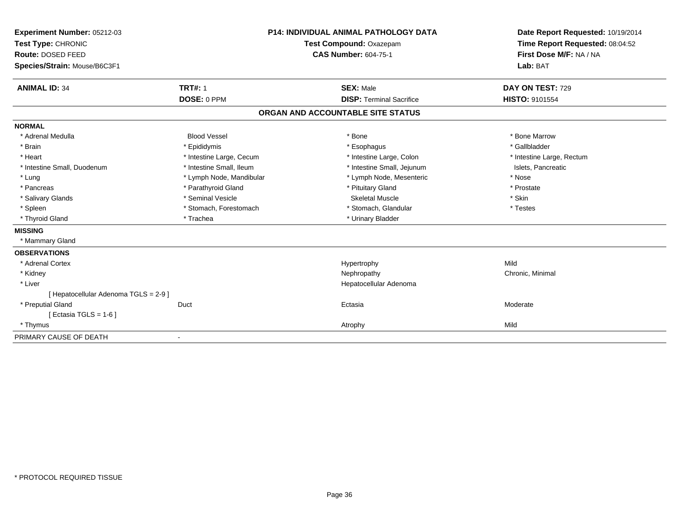| Experiment Number: 05212-03           |                          | <b>P14: INDIVIDUAL ANIMAL PATHOLOGY DATA</b> | Date Report Requested: 10/19/2014 |
|---------------------------------------|--------------------------|----------------------------------------------|-----------------------------------|
| Test Type: CHRONIC                    | Test Compound: Oxazepam  |                                              | Time Report Requested: 08:04:52   |
| Route: DOSED FEED                     |                          | <b>CAS Number: 604-75-1</b>                  | First Dose M/F: NA / NA           |
| Species/Strain: Mouse/B6C3F1          |                          |                                              | Lab: BAT                          |
|                                       |                          |                                              |                                   |
| <b>ANIMAL ID: 34</b>                  | <b>TRT#: 1</b>           | <b>SEX: Male</b>                             | DAY ON TEST: 729                  |
|                                       | DOSE: 0 PPM              | <b>DISP: Terminal Sacrifice</b>              | <b>HISTO: 9101554</b>             |
|                                       |                          | ORGAN AND ACCOUNTABLE SITE STATUS            |                                   |
| <b>NORMAL</b>                         |                          |                                              |                                   |
| * Adrenal Medulla                     | <b>Blood Vessel</b>      | * Bone                                       | * Bone Marrow                     |
| * Brain                               | * Epididymis             | * Esophagus                                  | * Gallbladder                     |
| * Heart                               | * Intestine Large, Cecum | * Intestine Large, Colon                     | * Intestine Large, Rectum         |
| * Intestine Small, Duodenum           | * Intestine Small, Ileum | * Intestine Small, Jejunum                   | Islets, Pancreatic                |
| * Lung                                | * Lymph Node, Mandibular | * Lymph Node, Mesenteric                     | * Nose                            |
| * Pancreas                            | * Parathyroid Gland      | * Pituitary Gland                            | * Prostate                        |
| * Salivary Glands                     | * Seminal Vesicle        | <b>Skeletal Muscle</b>                       | * Skin                            |
| * Spleen                              | * Stomach, Forestomach   | * Stomach, Glandular                         | * Testes                          |
| * Thyroid Gland                       | * Trachea                | * Urinary Bladder                            |                                   |
| <b>MISSING</b>                        |                          |                                              |                                   |
| * Mammary Gland                       |                          |                                              |                                   |
| <b>OBSERVATIONS</b>                   |                          |                                              |                                   |
| * Adrenal Cortex                      |                          | Hypertrophy                                  | Mild                              |
| * Kidney                              |                          | Nephropathy                                  | Chronic, Minimal                  |
| * Liver                               |                          | Hepatocellular Adenoma                       |                                   |
| [ Hepatocellular Adenoma TGLS = 2-9 ] |                          |                                              |                                   |
| * Preputial Gland                     | Duct                     | Ectasia                                      | Moderate                          |
| [ Ectasia TGLS = 1-6 ]                |                          |                                              |                                   |
| * Thymus                              |                          | Atrophy                                      | Mild                              |
| PRIMARY CAUSE OF DEATH                |                          |                                              |                                   |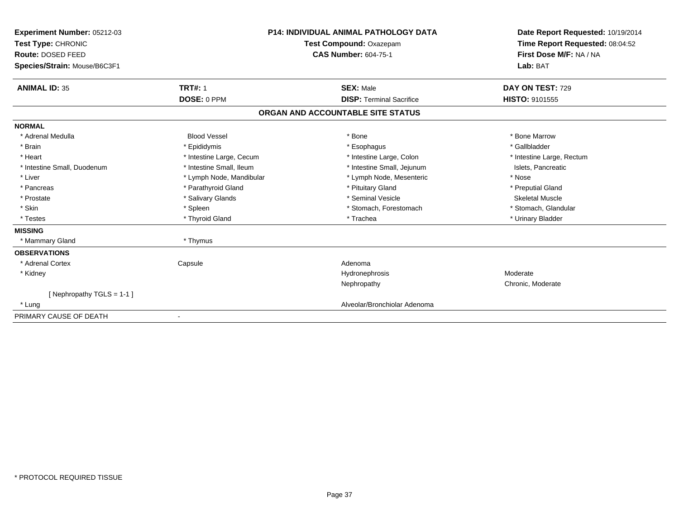| Experiment Number: 05212-03<br>Test Type: CHRONIC<br>Route: DOSED FEED<br>Species/Strain: Mouse/B6C3F1 |                          | <b>P14: INDIVIDUAL ANIMAL PATHOLOGY DATA</b><br>Test Compound: Oxazepam<br><b>CAS Number: 604-75-1</b> | Date Report Requested: 10/19/2014<br>Time Report Requested: 08:04:52<br>First Dose M/F: NA / NA<br>Lab: BAT |  |
|--------------------------------------------------------------------------------------------------------|--------------------------|--------------------------------------------------------------------------------------------------------|-------------------------------------------------------------------------------------------------------------|--|
| <b>ANIMAL ID: 35</b>                                                                                   | <b>TRT#: 1</b>           | <b>SEX: Male</b>                                                                                       | DAY ON TEST: 729                                                                                            |  |
|                                                                                                        | DOSE: 0 PPM              | <b>DISP: Terminal Sacrifice</b>                                                                        | <b>HISTO: 9101555</b>                                                                                       |  |
|                                                                                                        |                          | ORGAN AND ACCOUNTABLE SITE STATUS                                                                      |                                                                                                             |  |
| <b>NORMAL</b>                                                                                          |                          |                                                                                                        |                                                                                                             |  |
| * Adrenal Medulla                                                                                      | <b>Blood Vessel</b>      | * Bone                                                                                                 | * Bone Marrow                                                                                               |  |
| * Brain                                                                                                | * Epididymis             | * Esophagus                                                                                            | * Gallbladder                                                                                               |  |
| * Heart                                                                                                | * Intestine Large, Cecum | * Intestine Large, Colon                                                                               | * Intestine Large, Rectum                                                                                   |  |
| * Intestine Small, Duodenum                                                                            | * Intestine Small, Ileum | * Intestine Small, Jejunum                                                                             | Islets, Pancreatic                                                                                          |  |
| * Liver                                                                                                | * Lymph Node, Mandibular | * Lymph Node, Mesenteric                                                                               | * Nose                                                                                                      |  |
| * Pancreas                                                                                             | * Parathyroid Gland      | * Pituitary Gland                                                                                      | * Preputial Gland                                                                                           |  |
| * Prostate                                                                                             | * Salivary Glands        | * Seminal Vesicle                                                                                      | <b>Skeletal Muscle</b>                                                                                      |  |
| * Skin                                                                                                 | * Spleen                 | * Stomach, Forestomach                                                                                 | * Stomach, Glandular                                                                                        |  |
| * Testes                                                                                               | * Thyroid Gland          | * Trachea                                                                                              | * Urinary Bladder                                                                                           |  |
| <b>MISSING</b>                                                                                         |                          |                                                                                                        |                                                                                                             |  |
| * Mammary Gland                                                                                        | * Thymus                 |                                                                                                        |                                                                                                             |  |
| <b>OBSERVATIONS</b>                                                                                    |                          |                                                                                                        |                                                                                                             |  |
| * Adrenal Cortex                                                                                       | Capsule                  | Adenoma                                                                                                |                                                                                                             |  |
| * Kidney                                                                                               |                          | Hydronephrosis                                                                                         | Moderate                                                                                                    |  |
|                                                                                                        |                          | Nephropathy                                                                                            | Chronic, Moderate                                                                                           |  |
| [Nephropathy TGLS = 1-1]                                                                               |                          |                                                                                                        |                                                                                                             |  |
| * Lung                                                                                                 |                          | Alveolar/Bronchiolar Adenoma                                                                           |                                                                                                             |  |
| PRIMARY CAUSE OF DEATH                                                                                 |                          |                                                                                                        |                                                                                                             |  |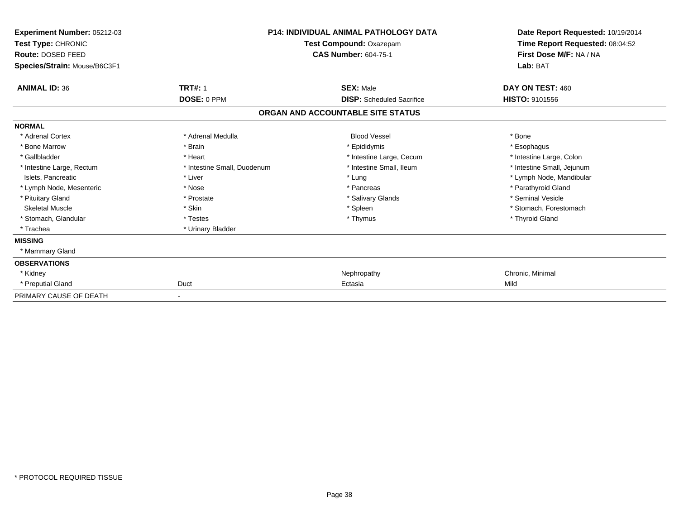| Experiment Number: 05212-03<br><b>Test Type: CHRONIC</b><br>Route: DOSED FEED<br>Species/Strain: Mouse/B6C3F1 |                             | <b>P14: INDIVIDUAL ANIMAL PATHOLOGY DATA</b><br>Test Compound: Oxazepam<br><b>CAS Number: 604-75-1</b> |                            |
|---------------------------------------------------------------------------------------------------------------|-----------------------------|--------------------------------------------------------------------------------------------------------|----------------------------|
| <b>ANIMAL ID: 36</b>                                                                                          | <b>TRT#: 1</b>              | <b>SEX: Male</b>                                                                                       | DAY ON TEST: 460           |
|                                                                                                               | DOSE: 0 PPM                 | <b>DISP:</b> Scheduled Sacrifice                                                                       | <b>HISTO: 9101556</b>      |
|                                                                                                               |                             | ORGAN AND ACCOUNTABLE SITE STATUS                                                                      |                            |
| <b>NORMAL</b>                                                                                                 |                             |                                                                                                        |                            |
| * Adrenal Cortex                                                                                              | * Adrenal Medulla           | <b>Blood Vessel</b>                                                                                    | * Bone                     |
| * Bone Marrow                                                                                                 | * Brain                     | * Epididymis                                                                                           | * Esophagus                |
| * Gallbladder                                                                                                 | * Heart                     | * Intestine Large, Cecum                                                                               | * Intestine Large, Colon   |
| * Intestine Large, Rectum                                                                                     | * Intestine Small, Duodenum | * Intestine Small, Ileum                                                                               | * Intestine Small, Jejunum |
| Islets, Pancreatic                                                                                            | * Liver                     | * Lung                                                                                                 | * Lymph Node, Mandibular   |
| * Lymph Node, Mesenteric                                                                                      | * Nose                      | * Pancreas                                                                                             | * Parathyroid Gland        |
| * Pituitary Gland                                                                                             | * Prostate                  | * Salivary Glands                                                                                      | * Seminal Vesicle          |
| <b>Skeletal Muscle</b>                                                                                        | * Skin                      | * Spleen                                                                                               | * Stomach, Forestomach     |
| * Stomach, Glandular                                                                                          | * Testes                    | * Thymus                                                                                               | * Thyroid Gland            |
| * Trachea                                                                                                     | * Urinary Bladder           |                                                                                                        |                            |
| <b>MISSING</b>                                                                                                |                             |                                                                                                        |                            |
| * Mammary Gland                                                                                               |                             |                                                                                                        |                            |
| <b>OBSERVATIONS</b>                                                                                           |                             |                                                                                                        |                            |
| * Kidney                                                                                                      |                             | Nephropathy                                                                                            | Chronic, Minimal           |
| * Preputial Gland                                                                                             | Duct                        | Ectasia                                                                                                | Mild                       |
| PRIMARY CAUSE OF DEATH                                                                                        | $\overline{\phantom{a}}$    |                                                                                                        |                            |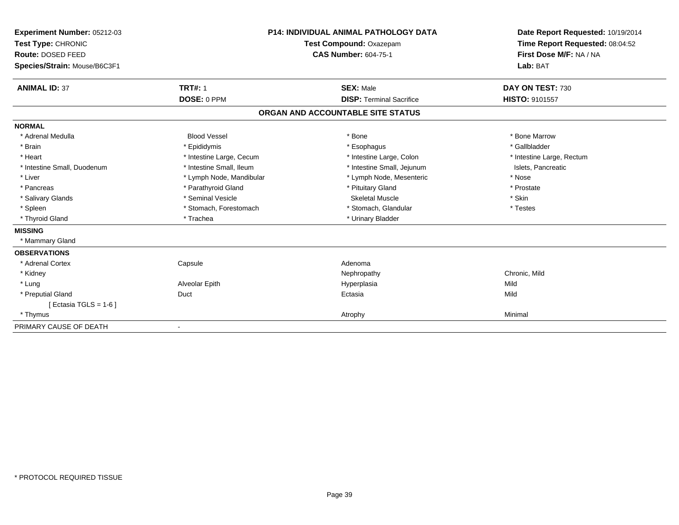| Experiment Number: 05212-03<br>Test Type: CHRONIC<br><b>Route: DOSED FEED</b> |                          | <b>P14: INDIVIDUAL ANIMAL PATHOLOGY DATA</b><br>Test Compound: Oxazepam<br><b>CAS Number: 604-75-1</b> | Date Report Requested: 10/19/2014<br>Time Report Requested: 08:04:52<br>First Dose M/F: NA / NA<br>Lab: BAT |  |
|-------------------------------------------------------------------------------|--------------------------|--------------------------------------------------------------------------------------------------------|-------------------------------------------------------------------------------------------------------------|--|
| Species/Strain: Mouse/B6C3F1                                                  |                          |                                                                                                        |                                                                                                             |  |
| <b>ANIMAL ID: 37</b>                                                          | <b>TRT#: 1</b>           | <b>SEX: Male</b>                                                                                       | DAY ON TEST: 730                                                                                            |  |
|                                                                               | DOSE: 0 PPM              | <b>DISP: Terminal Sacrifice</b>                                                                        | <b>HISTO: 9101557</b>                                                                                       |  |
|                                                                               |                          | ORGAN AND ACCOUNTABLE SITE STATUS                                                                      |                                                                                                             |  |
| <b>NORMAL</b>                                                                 |                          |                                                                                                        |                                                                                                             |  |
| * Adrenal Medulla                                                             | <b>Blood Vessel</b>      | * Bone                                                                                                 | * Bone Marrow                                                                                               |  |
| * Brain                                                                       | * Epididymis             | * Esophagus                                                                                            | * Gallbladder                                                                                               |  |
| * Heart                                                                       | * Intestine Large, Cecum | * Intestine Large, Colon                                                                               | * Intestine Large, Rectum                                                                                   |  |
| * Intestine Small, Duodenum                                                   | * Intestine Small, Ileum | * Intestine Small, Jejunum                                                                             | Islets, Pancreatic                                                                                          |  |
| * Liver                                                                       | * Lymph Node, Mandibular | * Lymph Node, Mesenteric                                                                               | * Nose                                                                                                      |  |
| * Pancreas                                                                    | * Parathyroid Gland      | * Pituitary Gland                                                                                      | * Prostate                                                                                                  |  |
| * Salivary Glands                                                             | * Seminal Vesicle        | <b>Skeletal Muscle</b>                                                                                 | * Skin                                                                                                      |  |
| * Spleen                                                                      | * Stomach, Forestomach   | * Stomach, Glandular                                                                                   | * Testes                                                                                                    |  |
| * Thyroid Gland                                                               | * Trachea                | * Urinary Bladder                                                                                      |                                                                                                             |  |
| <b>MISSING</b>                                                                |                          |                                                                                                        |                                                                                                             |  |
| * Mammary Gland                                                               |                          |                                                                                                        |                                                                                                             |  |
| <b>OBSERVATIONS</b>                                                           |                          |                                                                                                        |                                                                                                             |  |
| * Adrenal Cortex                                                              | Capsule                  | Adenoma                                                                                                |                                                                                                             |  |
| * Kidney                                                                      |                          | Nephropathy                                                                                            | Chronic, Mild                                                                                               |  |
| * Lung                                                                        | Alveolar Epith           | Hyperplasia                                                                                            | Mild                                                                                                        |  |
| * Preputial Gland                                                             | Duct                     | Ectasia                                                                                                | Mild                                                                                                        |  |
| [ Ectasia TGLS = $1-6$ ]                                                      |                          |                                                                                                        |                                                                                                             |  |
| * Thymus                                                                      |                          | Atrophy                                                                                                | Minimal                                                                                                     |  |
| PRIMARY CAUSE OF DEATH                                                        |                          |                                                                                                        |                                                                                                             |  |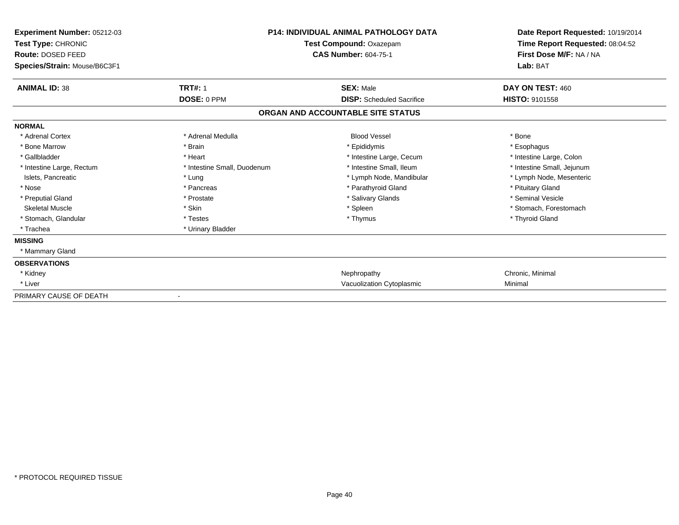| Experiment Number: 05212-03<br>Test Type: CHRONIC<br>Route: DOSED FEED<br>Species/Strain: Mouse/B6C3F1 |                             | <b>P14: INDIVIDUAL ANIMAL PATHOLOGY DATA</b><br>Test Compound: Oxazepam<br><b>CAS Number: 604-75-1</b> | Date Report Requested: 10/19/2014<br>Time Report Requested: 08:04:52<br>First Dose M/F: NA / NA<br>Lab: BAT |  |
|--------------------------------------------------------------------------------------------------------|-----------------------------|--------------------------------------------------------------------------------------------------------|-------------------------------------------------------------------------------------------------------------|--|
| <b>ANIMAL ID: 38</b>                                                                                   | <b>TRT#: 1</b>              | <b>SEX: Male</b>                                                                                       | DAY ON TEST: 460                                                                                            |  |
|                                                                                                        | DOSE: 0 PPM                 | <b>DISP:</b> Scheduled Sacrifice                                                                       | <b>HISTO: 9101558</b>                                                                                       |  |
|                                                                                                        |                             | ORGAN AND ACCOUNTABLE SITE STATUS                                                                      |                                                                                                             |  |
| <b>NORMAL</b>                                                                                          |                             |                                                                                                        |                                                                                                             |  |
| * Adrenal Cortex                                                                                       | * Adrenal Medulla           | <b>Blood Vessel</b>                                                                                    | * Bone                                                                                                      |  |
| * Bone Marrow                                                                                          | * Brain                     | * Epididymis                                                                                           | * Esophagus                                                                                                 |  |
| * Gallbladder                                                                                          | * Heart                     | * Intestine Large, Cecum                                                                               | * Intestine Large, Colon                                                                                    |  |
| * Intestine Large, Rectum                                                                              | * Intestine Small, Duodenum | * Intestine Small, Ileum                                                                               | * Intestine Small, Jejunum                                                                                  |  |
| Islets, Pancreatic                                                                                     | * Lung                      | * Lymph Node, Mandibular                                                                               | * Lymph Node, Mesenteric                                                                                    |  |
| * Nose                                                                                                 | * Pancreas                  | * Parathyroid Gland                                                                                    | * Pituitary Gland                                                                                           |  |
| * Preputial Gland                                                                                      | * Prostate                  | * Salivary Glands                                                                                      | * Seminal Vesicle                                                                                           |  |
| <b>Skeletal Muscle</b>                                                                                 | * Skin                      | * Spleen                                                                                               | * Stomach, Forestomach                                                                                      |  |
| * Stomach, Glandular                                                                                   | * Testes                    | * Thymus                                                                                               | * Thyroid Gland                                                                                             |  |
| * Trachea                                                                                              | * Urinary Bladder           |                                                                                                        |                                                                                                             |  |
| <b>MISSING</b>                                                                                         |                             |                                                                                                        |                                                                                                             |  |
| * Mammary Gland                                                                                        |                             |                                                                                                        |                                                                                                             |  |
| <b>OBSERVATIONS</b>                                                                                    |                             |                                                                                                        |                                                                                                             |  |
| * Kidney                                                                                               |                             | Nephropathy                                                                                            | Chronic, Minimal                                                                                            |  |
| * Liver                                                                                                |                             | Vacuolization Cytoplasmic                                                                              | Minimal                                                                                                     |  |
| PRIMARY CAUSE OF DEATH                                                                                 |                             |                                                                                                        |                                                                                                             |  |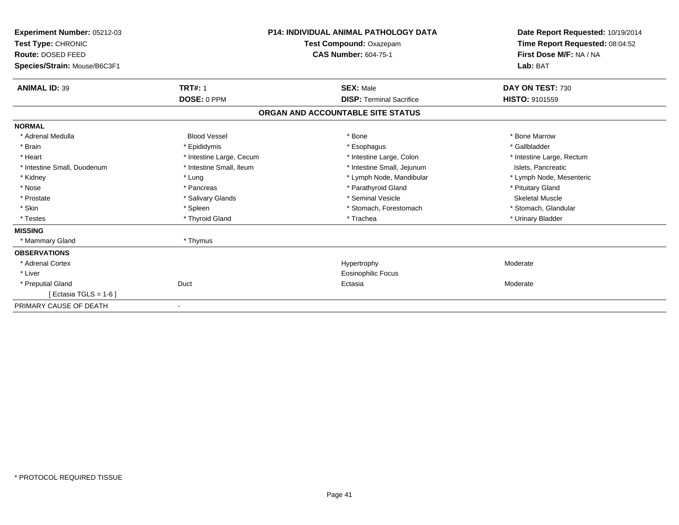| Experiment Number: 05212-03<br>Test Type: CHRONIC<br>Route: DOSED FEED<br>Species/Strain: Mouse/B6C3F1 |                          | <b>P14: INDIVIDUAL ANIMAL PATHOLOGY DATA</b><br>Test Compound: Oxazepam<br><b>CAS Number: 604-75-1</b> | Date Report Requested: 10/19/2014<br>Time Report Requested: 08:04:52<br>First Dose M/F: NA / NA<br>Lab: BAT |  |
|--------------------------------------------------------------------------------------------------------|--------------------------|--------------------------------------------------------------------------------------------------------|-------------------------------------------------------------------------------------------------------------|--|
| <b>ANIMAL ID: 39</b>                                                                                   | <b>TRT#: 1</b>           | <b>SEX: Male</b>                                                                                       | DAY ON TEST: 730                                                                                            |  |
|                                                                                                        | DOSE: 0 PPM              | <b>DISP: Terminal Sacrifice</b>                                                                        | <b>HISTO: 9101559</b>                                                                                       |  |
|                                                                                                        |                          | ORGAN AND ACCOUNTABLE SITE STATUS                                                                      |                                                                                                             |  |
| <b>NORMAL</b>                                                                                          |                          |                                                                                                        |                                                                                                             |  |
| * Adrenal Medulla                                                                                      | <b>Blood Vessel</b>      | * Bone                                                                                                 | * Bone Marrow                                                                                               |  |
| * Brain                                                                                                | * Epididymis             | * Esophagus                                                                                            | * Gallbladder                                                                                               |  |
| * Heart                                                                                                | * Intestine Large, Cecum | * Intestine Large, Colon                                                                               | * Intestine Large, Rectum                                                                                   |  |
| * Intestine Small, Duodenum                                                                            | * Intestine Small, Ileum | * Intestine Small, Jejunum                                                                             | Islets, Pancreatic                                                                                          |  |
| * Kidney                                                                                               | * Lung                   | * Lymph Node, Mandibular                                                                               | * Lymph Node, Mesenteric                                                                                    |  |
| * Nose                                                                                                 | * Pancreas               | * Parathyroid Gland                                                                                    | * Pituitary Gland                                                                                           |  |
| * Prostate                                                                                             | * Salivary Glands        | * Seminal Vesicle                                                                                      | <b>Skeletal Muscle</b>                                                                                      |  |
| * Skin                                                                                                 | * Spleen                 | * Stomach, Forestomach                                                                                 | * Stomach, Glandular                                                                                        |  |
| * Testes                                                                                               | * Thyroid Gland          | * Trachea                                                                                              | * Urinary Bladder                                                                                           |  |
| <b>MISSING</b>                                                                                         |                          |                                                                                                        |                                                                                                             |  |
| * Mammary Gland                                                                                        | * Thymus                 |                                                                                                        |                                                                                                             |  |
| <b>OBSERVATIONS</b>                                                                                    |                          |                                                                                                        |                                                                                                             |  |
| * Adrenal Cortex                                                                                       |                          | Hypertrophy                                                                                            | Moderate                                                                                                    |  |
| * Liver                                                                                                |                          | <b>Eosinophilic Focus</b>                                                                              |                                                                                                             |  |
| * Preputial Gland                                                                                      | Duct                     | Ectasia                                                                                                | Moderate                                                                                                    |  |
| Ectasia TGLS = 1-6 ]                                                                                   |                          |                                                                                                        |                                                                                                             |  |
| PRIMARY CAUSE OF DEATH                                                                                 | $\overline{\phantom{a}}$ |                                                                                                        |                                                                                                             |  |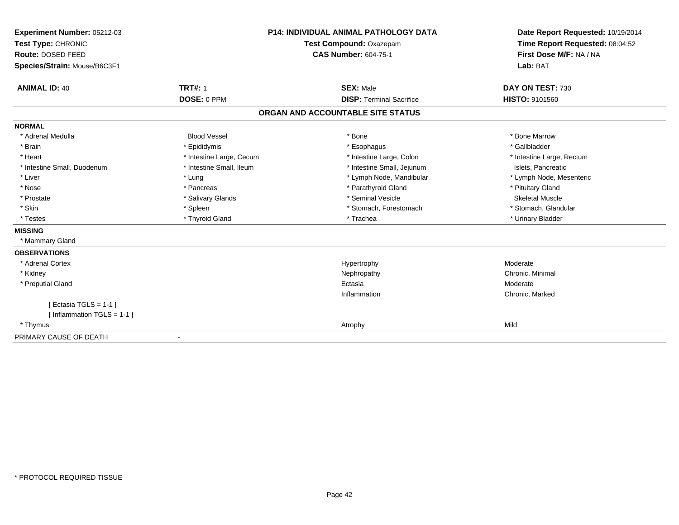| Experiment Number: 05212-03<br>Test Type: CHRONIC<br>Route: DOSED FEED |                              | <b>P14: INDIVIDUAL ANIMAL PATHOLOGY DATA</b> | Date Report Requested: 10/19/2014<br>Time Report Requested: 08:04:52<br>First Dose M/F: NA / NA |  |
|------------------------------------------------------------------------|------------------------------|----------------------------------------------|-------------------------------------------------------------------------------------------------|--|
|                                                                        |                              | Test Compound: Oxazepam                      |                                                                                                 |  |
|                                                                        |                              | <b>CAS Number: 604-75-1</b>                  |                                                                                                 |  |
| Species/Strain: Mouse/B6C3F1                                           |                              |                                              | Lab: BAT                                                                                        |  |
|                                                                        |                              |                                              |                                                                                                 |  |
| <b>ANIMAL ID: 40</b>                                                   | <b>TRT#: 1</b>               | <b>SEX: Male</b>                             | DAY ON TEST: 730                                                                                |  |
|                                                                        | DOSE: 0 PPM                  | <b>DISP: Terminal Sacrifice</b>              | <b>HISTO: 9101560</b>                                                                           |  |
|                                                                        |                              | ORGAN AND ACCOUNTABLE SITE STATUS            |                                                                                                 |  |
| <b>NORMAL</b>                                                          |                              |                                              |                                                                                                 |  |
| * Adrenal Medulla                                                      | <b>Blood Vessel</b>          | * Bone                                       | * Bone Marrow                                                                                   |  |
| * Brain                                                                | * Epididymis                 | * Esophagus                                  | * Gallbladder                                                                                   |  |
| * Heart                                                                | * Intestine Large, Cecum     | * Intestine Large, Colon                     | * Intestine Large, Rectum                                                                       |  |
| * Intestine Small, Duodenum                                            | * Intestine Small, Ileum     | * Intestine Small, Jejunum                   | Islets. Pancreatic                                                                              |  |
| * Liver                                                                | * Lung                       | * Lymph Node, Mandibular                     | * Lymph Node, Mesenteric                                                                        |  |
| * Nose                                                                 | * Pancreas                   | * Parathyroid Gland                          | * Pituitary Gland                                                                               |  |
| * Prostate                                                             | * Salivary Glands            | * Seminal Vesicle                            | <b>Skeletal Muscle</b>                                                                          |  |
| * Skin                                                                 | * Spleen                     | * Stomach, Forestomach                       | * Stomach, Glandular                                                                            |  |
| * Testes                                                               | * Thyroid Gland              | * Trachea                                    | * Urinary Bladder                                                                               |  |
| <b>MISSING</b>                                                         |                              |                                              |                                                                                                 |  |
| * Mammary Gland                                                        |                              |                                              |                                                                                                 |  |
| <b>OBSERVATIONS</b>                                                    |                              |                                              |                                                                                                 |  |
| * Adrenal Cortex                                                       |                              | Hypertrophy                                  | Moderate                                                                                        |  |
| * Kidney                                                               |                              | Nephropathy                                  | Chronic, Minimal                                                                                |  |
| * Preputial Gland                                                      |                              | Ectasia                                      | Moderate                                                                                        |  |
|                                                                        |                              | Inflammation                                 | Chronic, Marked                                                                                 |  |
| [ Ectasia TGLS = $1-1$ ]                                               |                              |                                              |                                                                                                 |  |
| [Inflammation TGLS = $1-1$ ]                                           |                              |                                              |                                                                                                 |  |
| * Thymus                                                               |                              | Atrophy                                      | Mild                                                                                            |  |
| PRIMARY CAUSE OF DEATH                                                 | $\qquad \qquad \blacksquare$ |                                              |                                                                                                 |  |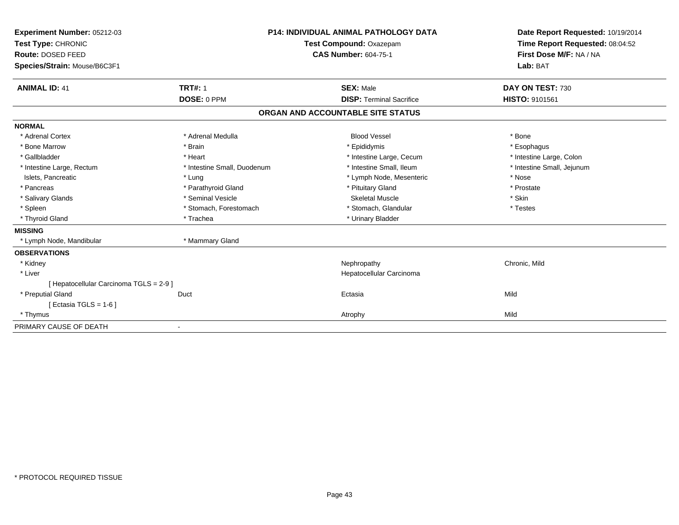| Experiment Number: 05212-03<br>Test Type: CHRONIC<br><b>Route: DOSED FEED</b><br>Species/Strain: Mouse/B6C3F1 |                             | <b>P14: INDIVIDUAL ANIMAL PATHOLOGY DATA</b><br>Test Compound: Oxazepam<br><b>CAS Number: 604-75-1</b> | Date Report Requested: 10/19/2014<br>Time Report Requested: 08:04:52<br>First Dose M/F: NA / NA<br>Lab: BAT |
|---------------------------------------------------------------------------------------------------------------|-----------------------------|--------------------------------------------------------------------------------------------------------|-------------------------------------------------------------------------------------------------------------|
| <b>ANIMAL ID: 41</b>                                                                                          | <b>TRT#: 1</b>              | <b>SEX: Male</b>                                                                                       | DAY ON TEST: 730                                                                                            |
|                                                                                                               | DOSE: 0 PPM                 | <b>DISP: Terminal Sacrifice</b>                                                                        | HISTO: 9101561                                                                                              |
|                                                                                                               |                             | ORGAN AND ACCOUNTABLE SITE STATUS                                                                      |                                                                                                             |
| <b>NORMAL</b>                                                                                                 |                             |                                                                                                        |                                                                                                             |
| * Adrenal Cortex                                                                                              | * Adrenal Medulla           | <b>Blood Vessel</b>                                                                                    | * Bone                                                                                                      |
| * Bone Marrow                                                                                                 | * Brain                     | * Epididymis                                                                                           | * Esophagus                                                                                                 |
| * Gallbladder                                                                                                 | * Heart                     | * Intestine Large, Cecum                                                                               | * Intestine Large, Colon                                                                                    |
| * Intestine Large, Rectum                                                                                     | * Intestine Small, Duodenum | * Intestine Small, Ileum                                                                               | * Intestine Small, Jejunum                                                                                  |
| Islets, Pancreatic                                                                                            | * Lung                      | * Lymph Node, Mesenteric                                                                               | * Nose                                                                                                      |
| * Pancreas                                                                                                    | * Parathyroid Gland         | * Pituitary Gland                                                                                      | * Prostate                                                                                                  |
| * Salivary Glands                                                                                             | * Seminal Vesicle           | <b>Skeletal Muscle</b>                                                                                 | * Skin                                                                                                      |
| * Spleen                                                                                                      | * Stomach, Forestomach      | * Stomach, Glandular                                                                                   | * Testes                                                                                                    |
| * Thyroid Gland                                                                                               | * Trachea                   | * Urinary Bladder                                                                                      |                                                                                                             |
| <b>MISSING</b>                                                                                                |                             |                                                                                                        |                                                                                                             |
| * Lymph Node, Mandibular                                                                                      | * Mammary Gland             |                                                                                                        |                                                                                                             |
| <b>OBSERVATIONS</b>                                                                                           |                             |                                                                                                        |                                                                                                             |
| * Kidney                                                                                                      |                             | Nephropathy                                                                                            | Chronic, Mild                                                                                               |
| * Liver                                                                                                       |                             | Hepatocellular Carcinoma                                                                               |                                                                                                             |
| [ Hepatocellular Carcinoma TGLS = 2-9 ]                                                                       |                             |                                                                                                        |                                                                                                             |
| * Preputial Gland                                                                                             | Duct                        | Ectasia                                                                                                | Mild                                                                                                        |
| [ Ectasia TGLS = $1-6$ ]                                                                                      |                             |                                                                                                        |                                                                                                             |
| * Thymus                                                                                                      |                             | Atrophy                                                                                                | Mild                                                                                                        |
| PRIMARY CAUSE OF DEATH                                                                                        |                             |                                                                                                        |                                                                                                             |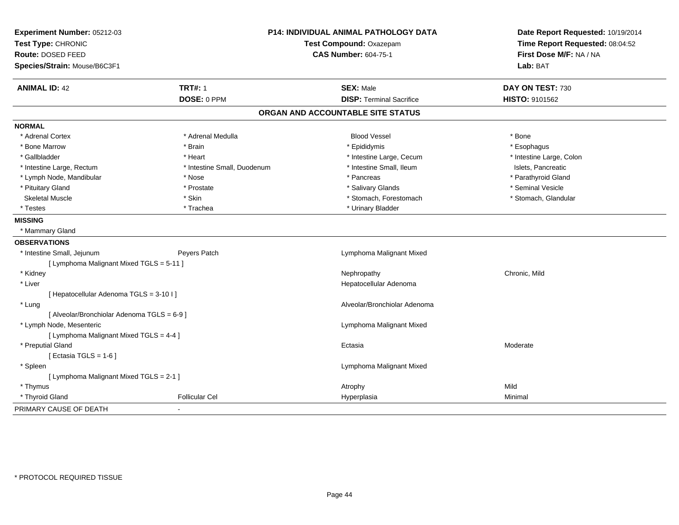| Experiment Number: 05212-03                 |                             | <b>P14: INDIVIDUAL ANIMAL PATHOLOGY DATA</b> | Date Report Requested: 10/19/2014<br>Time Report Requested: 08:04:52<br>First Dose M/F: NA / NA |  |
|---------------------------------------------|-----------------------------|----------------------------------------------|-------------------------------------------------------------------------------------------------|--|
| Test Type: CHRONIC                          |                             | Test Compound: Oxazepam                      |                                                                                                 |  |
| Route: DOSED FEED                           |                             | <b>CAS Number: 604-75-1</b>                  |                                                                                                 |  |
| Species/Strain: Mouse/B6C3F1                |                             |                                              | Lab: BAT                                                                                        |  |
| <b>ANIMAL ID: 42</b>                        | <b>TRT#: 1</b>              | <b>SEX: Male</b>                             | DAY ON TEST: 730                                                                                |  |
|                                             | DOSE: 0 PPM                 | <b>DISP: Terminal Sacrifice</b>              | HISTO: 9101562                                                                                  |  |
|                                             |                             | ORGAN AND ACCOUNTABLE SITE STATUS            |                                                                                                 |  |
| <b>NORMAL</b>                               |                             |                                              |                                                                                                 |  |
| * Adrenal Cortex                            | * Adrenal Medulla           | <b>Blood Vessel</b>                          | * Bone                                                                                          |  |
| * Bone Marrow                               | * Brain                     | * Epididymis                                 | * Esophagus                                                                                     |  |
| * Gallbladder                               | * Heart                     | * Intestine Large, Cecum                     | * Intestine Large, Colon                                                                        |  |
| * Intestine Large, Rectum                   | * Intestine Small, Duodenum | * Intestine Small, Ileum                     | Islets, Pancreatic                                                                              |  |
| * Lymph Node, Mandibular                    | * Nose                      | * Pancreas                                   | * Parathyroid Gland                                                                             |  |
| * Pituitary Gland                           | * Prostate                  | * Salivary Glands                            | * Seminal Vesicle                                                                               |  |
| <b>Skeletal Muscle</b>                      | * Skin                      | * Stomach, Forestomach                       | * Stomach, Glandular                                                                            |  |
| * Testes                                    | * Trachea                   | * Urinary Bladder                            |                                                                                                 |  |
| <b>MISSING</b>                              |                             |                                              |                                                                                                 |  |
| * Mammary Gland                             |                             |                                              |                                                                                                 |  |
| <b>OBSERVATIONS</b>                         |                             |                                              |                                                                                                 |  |
| * Intestine Small, Jejunum                  | Peyers Patch                | Lymphoma Malignant Mixed                     |                                                                                                 |  |
| [ Lymphoma Malignant Mixed TGLS = 5-11 ]    |                             |                                              |                                                                                                 |  |
| * Kidney                                    |                             | Nephropathy                                  | Chronic, Mild                                                                                   |  |
| * Liver                                     |                             | Hepatocellular Adenoma                       |                                                                                                 |  |
| [ Hepatocellular Adenoma TGLS = 3-10 I]     |                             |                                              |                                                                                                 |  |
| * Lung                                      |                             | Alveolar/Bronchiolar Adenoma                 |                                                                                                 |  |
| [ Alveolar/Bronchiolar Adenoma TGLS = 6-9 ] |                             |                                              |                                                                                                 |  |
| * Lymph Node, Mesenteric                    |                             | Lymphoma Malignant Mixed                     |                                                                                                 |  |
| [ Lymphoma Malignant Mixed TGLS = 4-4 ]     |                             |                                              |                                                                                                 |  |
| * Preputial Gland                           |                             | Ectasia                                      | Moderate                                                                                        |  |
| [ Ectasia TGLS = $1-6$ ]                    |                             |                                              |                                                                                                 |  |
| * Spleen                                    |                             | Lymphoma Malignant Mixed                     |                                                                                                 |  |
| [ Lymphoma Malignant Mixed TGLS = 2-1 ]     |                             |                                              |                                                                                                 |  |
| * Thymus                                    |                             | Atrophy                                      | Mild                                                                                            |  |
| * Thyroid Gland                             | <b>Follicular Cel</b>       | Hyperplasia                                  | Minimal                                                                                         |  |
| PRIMARY CAUSE OF DEATH                      |                             |                                              |                                                                                                 |  |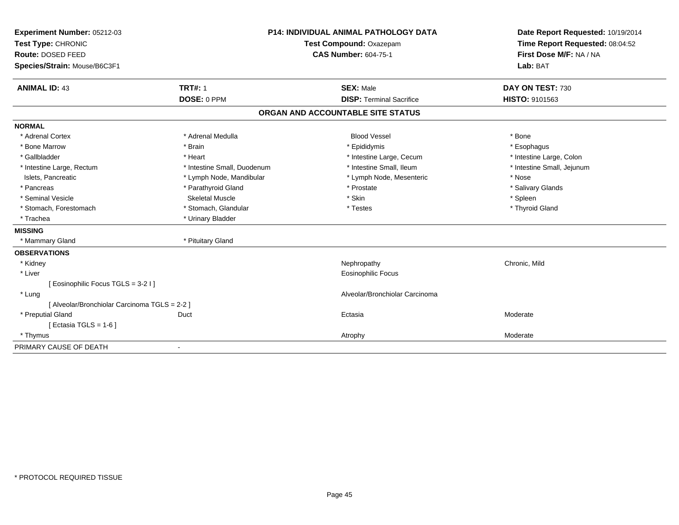| Experiment Number: 05212-03                   |                             | <b>P14: INDIVIDUAL ANIMAL PATHOLOGY DATA</b> | Date Report Requested: 10/19/2014 |
|-----------------------------------------------|-----------------------------|----------------------------------------------|-----------------------------------|
| Test Type: CHRONIC                            |                             | Test Compound: Oxazepam                      | Time Report Requested: 08:04:52   |
| Route: DOSED FEED                             | <b>CAS Number: 604-75-1</b> |                                              | First Dose M/F: NA / NA           |
| Species/Strain: Mouse/B6C3F1                  |                             |                                              | Lab: BAT                          |
| <b>ANIMAL ID: 43</b>                          | <b>TRT#: 1</b>              | <b>SEX: Male</b>                             | DAY ON TEST: 730                  |
|                                               | DOSE: 0 PPM                 | <b>DISP: Terminal Sacrifice</b>              | HISTO: 9101563                    |
|                                               |                             | ORGAN AND ACCOUNTABLE SITE STATUS            |                                   |
| <b>NORMAL</b>                                 |                             |                                              |                                   |
| * Adrenal Cortex                              | * Adrenal Medulla           | <b>Blood Vessel</b>                          | * Bone                            |
| * Bone Marrow                                 | * Brain                     | * Epididymis                                 | * Esophagus                       |
| * Gallbladder                                 | * Heart                     | * Intestine Large, Cecum                     | * Intestine Large, Colon          |
| * Intestine Large, Rectum                     | * Intestine Small, Duodenum | * Intestine Small, Ileum                     | * Intestine Small, Jejunum        |
| Islets, Pancreatic                            | * Lymph Node, Mandibular    | * Lymph Node, Mesenteric                     | * Nose                            |
| * Pancreas                                    | * Parathyroid Gland         | * Prostate                                   | * Salivary Glands                 |
| * Seminal Vesicle                             | Skeletal Muscle             | * Skin                                       | * Spleen                          |
| * Stomach, Forestomach                        | * Stomach, Glandular        | * Testes                                     | * Thyroid Gland                   |
| * Trachea                                     | * Urinary Bladder           |                                              |                                   |
| <b>MISSING</b>                                |                             |                                              |                                   |
| * Mammary Gland                               | * Pituitary Gland           |                                              |                                   |
| <b>OBSERVATIONS</b>                           |                             |                                              |                                   |
| * Kidney                                      |                             | Nephropathy                                  | Chronic, Mild                     |
| * Liver                                       |                             | Eosinophilic Focus                           |                                   |
| [Eosinophilic Focus TGLS = 3-2 I]             |                             |                                              |                                   |
| * Lung                                        |                             | Alveolar/Bronchiolar Carcinoma               |                                   |
| [ Alveolar/Bronchiolar Carcinoma TGLS = 2-2 ] |                             |                                              |                                   |
| * Preputial Gland                             | Duct                        | Ectasia                                      | Moderate                          |
| [Ectasia TGLS = $1-6$ ]                       |                             |                                              |                                   |
| * Thymus                                      |                             | Atrophy                                      | Moderate                          |
| PRIMARY CAUSE OF DEATH                        |                             |                                              |                                   |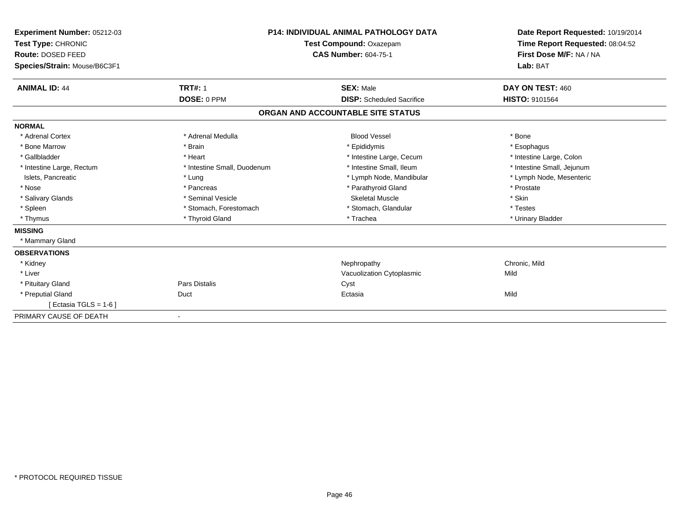| Experiment Number: 05212-03<br>Test Type: CHRONIC<br>Route: DOSED FEED<br>Species/Strain: Mouse/B6C3F1 |                             | <b>P14: INDIVIDUAL ANIMAL PATHOLOGY DATA</b><br>Test Compound: Oxazepam<br><b>CAS Number: 604-75-1</b> | Date Report Requested: 10/19/2014<br>Time Report Requested: 08:04:52<br>First Dose M/F: NA / NA<br>Lab: BAT |  |
|--------------------------------------------------------------------------------------------------------|-----------------------------|--------------------------------------------------------------------------------------------------------|-------------------------------------------------------------------------------------------------------------|--|
| <b>ANIMAL ID: 44</b>                                                                                   | <b>TRT#: 1</b>              | <b>SEX: Male</b>                                                                                       | DAY ON TEST: 460                                                                                            |  |
|                                                                                                        | DOSE: 0 PPM                 | <b>DISP:</b> Scheduled Sacrifice                                                                       | <b>HISTO: 9101564</b>                                                                                       |  |
|                                                                                                        |                             | ORGAN AND ACCOUNTABLE SITE STATUS                                                                      |                                                                                                             |  |
| <b>NORMAL</b>                                                                                          |                             |                                                                                                        |                                                                                                             |  |
| * Adrenal Cortex                                                                                       | * Adrenal Medulla           | <b>Blood Vessel</b>                                                                                    | * Bone                                                                                                      |  |
| * Bone Marrow                                                                                          | * Brain                     | * Epididymis                                                                                           | * Esophagus                                                                                                 |  |
| * Gallbladder                                                                                          | * Heart                     | * Intestine Large, Cecum                                                                               | * Intestine Large, Colon                                                                                    |  |
| * Intestine Large, Rectum                                                                              | * Intestine Small, Duodenum | * Intestine Small, Ileum                                                                               | * Intestine Small, Jejunum                                                                                  |  |
| Islets, Pancreatic                                                                                     | * Lung                      | * Lymph Node, Mandibular                                                                               | * Lymph Node, Mesenteric                                                                                    |  |
| * Nose                                                                                                 | * Pancreas                  | * Parathyroid Gland                                                                                    | * Prostate                                                                                                  |  |
| * Salivary Glands                                                                                      | * Seminal Vesicle           | <b>Skeletal Muscle</b>                                                                                 | * Skin                                                                                                      |  |
| * Spleen                                                                                               | * Stomach, Forestomach      | * Stomach, Glandular                                                                                   | * Testes                                                                                                    |  |
| * Thymus                                                                                               | * Thyroid Gland             | * Trachea                                                                                              | * Urinary Bladder                                                                                           |  |
| <b>MISSING</b>                                                                                         |                             |                                                                                                        |                                                                                                             |  |
| * Mammary Gland                                                                                        |                             |                                                                                                        |                                                                                                             |  |
| <b>OBSERVATIONS</b>                                                                                    |                             |                                                                                                        |                                                                                                             |  |
| * Kidney                                                                                               |                             | Nephropathy                                                                                            | Chronic, Mild                                                                                               |  |
| * Liver                                                                                                |                             | Vacuolization Cytoplasmic                                                                              | Mild                                                                                                        |  |
| * Pituitary Gland                                                                                      | <b>Pars Distalis</b>        | Cyst                                                                                                   |                                                                                                             |  |
| * Preputial Gland                                                                                      | Duct                        | Ectasia                                                                                                | Mild                                                                                                        |  |
| [ Ectasia TGLS = $1-6$ ]                                                                               |                             |                                                                                                        |                                                                                                             |  |
| PRIMARY CAUSE OF DEATH                                                                                 |                             |                                                                                                        |                                                                                                             |  |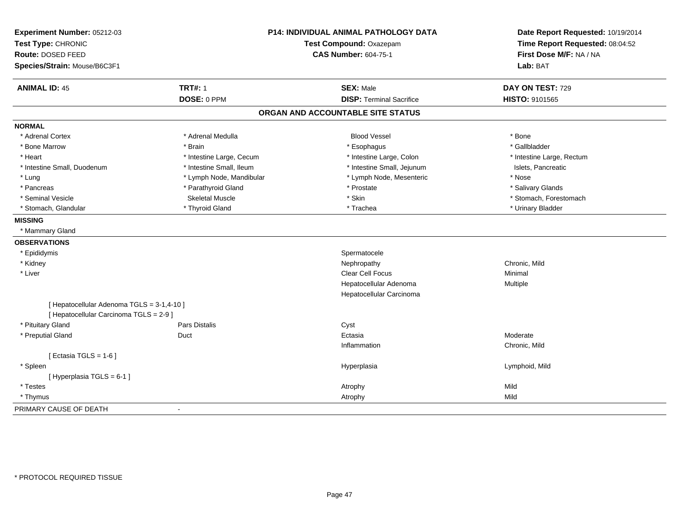| Experiment Number: 05212-03<br>Test Type: CHRONIC<br>Route: DOSED FEED<br>Species/Strain: Mouse/B6C3F1 |                          | P14: INDIVIDUAL ANIMAL PATHOLOGY DATA<br>Test Compound: Oxazepam<br><b>CAS Number: 604-75-1</b> | Date Report Requested: 10/19/2014<br>Time Report Requested: 08:04:52<br>First Dose M/F: NA / NA<br>Lab: BAT |  |
|--------------------------------------------------------------------------------------------------------|--------------------------|-------------------------------------------------------------------------------------------------|-------------------------------------------------------------------------------------------------------------|--|
|                                                                                                        |                          |                                                                                                 |                                                                                                             |  |
| <b>ANIMAL ID: 45</b>                                                                                   | <b>TRT#: 1</b>           | <b>SEX: Male</b>                                                                                | DAY ON TEST: 729                                                                                            |  |
|                                                                                                        | DOSE: 0 PPM              | <b>DISP: Terminal Sacrifice</b>                                                                 | HISTO: 9101565                                                                                              |  |
|                                                                                                        |                          | ORGAN AND ACCOUNTABLE SITE STATUS                                                               |                                                                                                             |  |
| <b>NORMAL</b>                                                                                          |                          |                                                                                                 |                                                                                                             |  |
| * Adrenal Cortex                                                                                       | * Adrenal Medulla        | <b>Blood Vessel</b>                                                                             | * Bone                                                                                                      |  |
| * Bone Marrow                                                                                          | * Brain                  | * Esophagus                                                                                     | * Gallbladder                                                                                               |  |
| * Heart                                                                                                | * Intestine Large, Cecum | * Intestine Large, Colon                                                                        | * Intestine Large, Rectum                                                                                   |  |
| * Intestine Small, Duodenum                                                                            | * Intestine Small, Ileum | * Intestine Small, Jejunum                                                                      | Islets, Pancreatic                                                                                          |  |
| * Lung                                                                                                 | * Lymph Node, Mandibular | * Lymph Node, Mesenteric                                                                        | * Nose                                                                                                      |  |
| * Pancreas                                                                                             | * Parathyroid Gland      | * Prostate                                                                                      | * Salivary Glands                                                                                           |  |
| * Seminal Vesicle                                                                                      | <b>Skeletal Muscle</b>   | * Skin                                                                                          | * Stomach, Forestomach                                                                                      |  |
| * Stomach, Glandular                                                                                   | * Thyroid Gland          | * Trachea                                                                                       | * Urinary Bladder                                                                                           |  |
| <b>MISSING</b>                                                                                         |                          |                                                                                                 |                                                                                                             |  |
| * Mammary Gland                                                                                        |                          |                                                                                                 |                                                                                                             |  |
| <b>OBSERVATIONS</b>                                                                                    |                          |                                                                                                 |                                                                                                             |  |
| * Epididymis                                                                                           |                          | Spermatocele                                                                                    |                                                                                                             |  |
| * Kidney                                                                                               |                          | Nephropathy                                                                                     | Chronic, Mild                                                                                               |  |
| * Liver                                                                                                |                          | Clear Cell Focus                                                                                | Minimal                                                                                                     |  |
|                                                                                                        |                          | Hepatocellular Adenoma                                                                          | Multiple                                                                                                    |  |
|                                                                                                        |                          | Hepatocellular Carcinoma                                                                        |                                                                                                             |  |
| [ Hepatocellular Adenoma TGLS = 3-1,4-10 ]                                                             |                          |                                                                                                 |                                                                                                             |  |
| [ Hepatocellular Carcinoma TGLS = 2-9 ]                                                                |                          |                                                                                                 |                                                                                                             |  |
| * Pituitary Gland                                                                                      | <b>Pars Distalis</b>     | Cyst                                                                                            |                                                                                                             |  |
| * Preputial Gland                                                                                      | Duct                     | Ectasia                                                                                         | Moderate                                                                                                    |  |
|                                                                                                        |                          | Inflammation                                                                                    | Chronic, Mild                                                                                               |  |
| [ Ectasia TGLS = $1-6$ ]                                                                               |                          |                                                                                                 |                                                                                                             |  |
| * Spleen                                                                                               |                          | Hyperplasia                                                                                     | Lymphoid, Mild                                                                                              |  |
| [Hyperplasia TGLS = 6-1]                                                                               |                          |                                                                                                 |                                                                                                             |  |
| * Testes                                                                                               |                          | Atrophy                                                                                         | Mild                                                                                                        |  |
| * Thymus                                                                                               |                          | Atrophy                                                                                         | Mild                                                                                                        |  |
| PRIMARY CAUSE OF DEATH                                                                                 | $\blacksquare$           |                                                                                                 |                                                                                                             |  |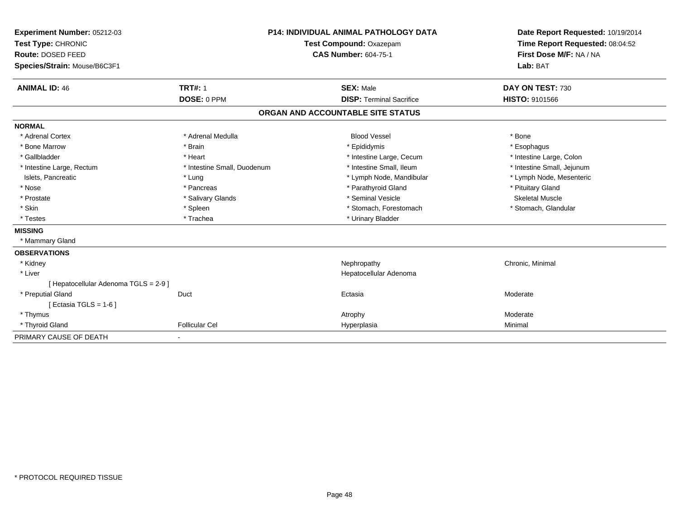| Experiment Number: 05212-03           |                             | <b>P14: INDIVIDUAL ANIMAL PATHOLOGY DATA</b> |                                   | Date Report Requested: 10/19/2014 |  |
|---------------------------------------|-----------------------------|----------------------------------------------|-----------------------------------|-----------------------------------|--|
| Test Type: CHRONIC                    |                             | Test Compound: Oxazepam                      |                                   | Time Report Requested: 08:04:52   |  |
| Route: DOSED FEED                     |                             |                                              | <b>CAS Number: 604-75-1</b>       | First Dose M/F: NA / NA           |  |
| Species/Strain: Mouse/B6C3F1          |                             |                                              |                                   | Lab: BAT                          |  |
| <b>ANIMAL ID: 46</b>                  | <b>TRT#: 1</b>              |                                              | <b>SEX: Male</b>                  | DAY ON TEST: 730                  |  |
|                                       | DOSE: 0 PPM                 |                                              | <b>DISP: Terminal Sacrifice</b>   | <b>HISTO: 9101566</b>             |  |
|                                       |                             |                                              | ORGAN AND ACCOUNTABLE SITE STATUS |                                   |  |
| <b>NORMAL</b>                         |                             |                                              |                                   |                                   |  |
| * Adrenal Cortex                      | * Adrenal Medulla           |                                              | <b>Blood Vessel</b>               | * Bone                            |  |
| * Bone Marrow                         | * Brain                     |                                              | * Epididymis                      | * Esophagus                       |  |
| * Gallbladder                         | * Heart                     |                                              | * Intestine Large, Cecum          | * Intestine Large, Colon          |  |
| * Intestine Large, Rectum             | * Intestine Small, Duodenum |                                              | * Intestine Small, Ileum          | * Intestine Small, Jejunum        |  |
| Islets, Pancreatic                    | * Lung                      |                                              | * Lymph Node, Mandibular          | * Lymph Node, Mesenteric          |  |
| * Nose                                | * Pancreas                  |                                              | * Parathyroid Gland               | * Pituitary Gland                 |  |
| * Prostate                            | * Salivary Glands           |                                              | * Seminal Vesicle                 | <b>Skeletal Muscle</b>            |  |
| * Skin                                | * Spleen                    |                                              | * Stomach, Forestomach            | * Stomach, Glandular              |  |
| * Testes                              | * Trachea                   |                                              | * Urinary Bladder                 |                                   |  |
| <b>MISSING</b>                        |                             |                                              |                                   |                                   |  |
| * Mammary Gland                       |                             |                                              |                                   |                                   |  |
| <b>OBSERVATIONS</b>                   |                             |                                              |                                   |                                   |  |
| * Kidney                              |                             |                                              | Nephropathy                       | Chronic, Minimal                  |  |
| * Liver                               |                             |                                              | Hepatocellular Adenoma            |                                   |  |
| [ Hepatocellular Adenoma TGLS = 2-9 ] |                             |                                              |                                   |                                   |  |
| * Preputial Gland                     | Duct                        |                                              | Ectasia                           | Moderate                          |  |
| [ Ectasia TGLS = $1-6$ ]              |                             |                                              |                                   |                                   |  |
| * Thymus                              |                             |                                              | Atrophy                           | Moderate                          |  |
| * Thyroid Gland                       | <b>Follicular Cel</b>       |                                              | Hyperplasia                       | Minimal                           |  |
| PRIMARY CAUSE OF DEATH                | ٠                           |                                              |                                   |                                   |  |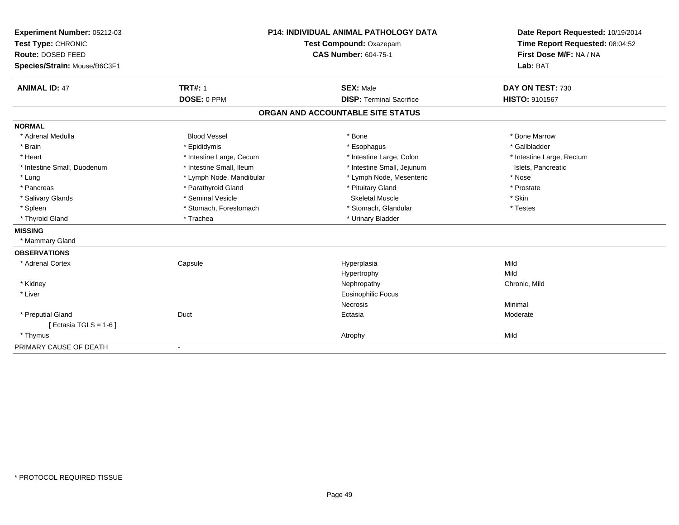| Experiment Number: 05212-03  |                          | <b>P14: INDIVIDUAL ANIMAL PATHOLOGY DATA</b> | Date Report Requested: 10/19/2014 |
|------------------------------|--------------------------|----------------------------------------------|-----------------------------------|
| Test Type: CHRONIC           | Test Compound: Oxazepam  |                                              | Time Report Requested: 08:04:52   |
| <b>Route: DOSED FEED</b>     |                          | <b>CAS Number: 604-75-1</b>                  | First Dose M/F: NA / NA           |
| Species/Strain: Mouse/B6C3F1 |                          |                                              | Lab: BAT                          |
| <b>ANIMAL ID: 47</b>         | <b>TRT#: 1</b>           | <b>SEX: Male</b>                             | DAY ON TEST: 730                  |
|                              | DOSE: 0 PPM              | <b>DISP: Terminal Sacrifice</b>              | HISTO: 9101567                    |
|                              |                          | ORGAN AND ACCOUNTABLE SITE STATUS            |                                   |
| <b>NORMAL</b>                |                          |                                              |                                   |
| * Adrenal Medulla            | <b>Blood Vessel</b>      | * Bone                                       | * Bone Marrow                     |
| * Brain                      | * Epididymis             | * Esophagus                                  | * Gallbladder                     |
| * Heart                      | * Intestine Large, Cecum | * Intestine Large, Colon                     | * Intestine Large, Rectum         |
| * Intestine Small, Duodenum  | * Intestine Small, Ileum | * Intestine Small, Jejunum                   | Islets, Pancreatic                |
| * Lung                       | * Lymph Node, Mandibular | * Lymph Node, Mesenteric                     | * Nose                            |
| * Pancreas                   | * Parathyroid Gland      | * Pituitary Gland                            | * Prostate                        |
| * Salivary Glands            | * Seminal Vesicle        | <b>Skeletal Muscle</b>                       | * Skin                            |
| * Spleen                     | * Stomach, Forestomach   | * Stomach, Glandular                         | * Testes                          |
| * Thyroid Gland              | * Trachea                | * Urinary Bladder                            |                                   |
| <b>MISSING</b>               |                          |                                              |                                   |
| * Mammary Gland              |                          |                                              |                                   |
| <b>OBSERVATIONS</b>          |                          |                                              |                                   |
| * Adrenal Cortex             | Capsule                  | Hyperplasia                                  | Mild                              |
|                              |                          | Hypertrophy                                  | Mild                              |
| * Kidney                     |                          | Nephropathy                                  | Chronic, Mild                     |
| * Liver                      |                          | <b>Eosinophilic Focus</b>                    |                                   |
|                              |                          | Necrosis                                     | Minimal                           |
| * Preputial Gland            | Duct                     | Ectasia                                      | Moderate                          |
| [ Ectasia TGLS = $1-6$ ]     |                          |                                              |                                   |
| * Thymus                     |                          | Atrophy                                      | Mild                              |
| PRIMARY CAUSE OF DEATH       | $\overline{\phantom{a}}$ |                                              |                                   |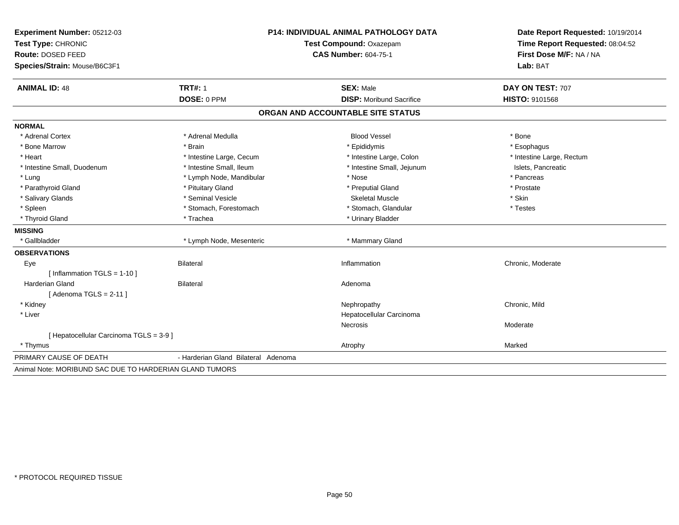| Experiment Number: 05212-03                             | <b>P14: INDIVIDUAL ANIMAL PATHOLOGY DATA</b><br>Test Compound: Oxazepam |                                   | Date Report Requested: 10/19/2014 |
|---------------------------------------------------------|-------------------------------------------------------------------------|-----------------------------------|-----------------------------------|
| Test Type: CHRONIC                                      |                                                                         |                                   | Time Report Requested: 08:04:52   |
| Route: DOSED FEED                                       |                                                                         | <b>CAS Number: 604-75-1</b>       | First Dose M/F: NA / NA           |
| Species/Strain: Mouse/B6C3F1                            |                                                                         |                                   | Lab: BAT                          |
| <b>ANIMAL ID: 48</b>                                    | <b>TRT#: 1</b>                                                          | <b>SEX: Male</b>                  | DAY ON TEST: 707                  |
|                                                         | DOSE: 0 PPM                                                             | <b>DISP:</b> Moribund Sacrifice   | HISTO: 9101568                    |
|                                                         |                                                                         | ORGAN AND ACCOUNTABLE SITE STATUS |                                   |
| <b>NORMAL</b>                                           |                                                                         |                                   |                                   |
| * Adrenal Cortex                                        | * Adrenal Medulla                                                       | <b>Blood Vessel</b>               | * Bone                            |
| * Bone Marrow                                           | * Brain                                                                 | * Epididymis                      | * Esophagus                       |
| * Heart                                                 | * Intestine Large, Cecum                                                | * Intestine Large, Colon          | * Intestine Large, Rectum         |
| * Intestine Small, Duodenum                             | * Intestine Small, Ileum                                                | * Intestine Small, Jejunum        | Islets, Pancreatic                |
| * Lung                                                  | * Lymph Node, Mandibular                                                | * Nose                            | * Pancreas                        |
| * Parathyroid Gland                                     | * Pituitary Gland                                                       | * Preputial Gland                 | * Prostate                        |
| * Salivary Glands                                       | * Seminal Vesicle                                                       | <b>Skeletal Muscle</b>            | * Skin                            |
| * Spleen                                                | * Stomach, Forestomach                                                  | * Stomach, Glandular              | * Testes                          |
| * Thyroid Gland                                         | * Trachea                                                               | * Urinary Bladder                 |                                   |
| <b>MISSING</b>                                          |                                                                         |                                   |                                   |
| * Gallbladder                                           | * Lymph Node, Mesenteric                                                | * Mammary Gland                   |                                   |
| <b>OBSERVATIONS</b>                                     |                                                                         |                                   |                                   |
| Eye                                                     | <b>Bilateral</b>                                                        | Inflammation                      | Chronic, Moderate                 |
| [Inflammation TGLS = $1-10$ ]                           |                                                                         |                                   |                                   |
| <b>Harderian Gland</b>                                  | <b>Bilateral</b>                                                        | Adenoma                           |                                   |
| [Adenoma TGLS = $2-11$ ]                                |                                                                         |                                   |                                   |
| * Kidney                                                |                                                                         | Nephropathy                       | Chronic, Mild                     |
| * Liver                                                 |                                                                         | Hepatocellular Carcinoma          |                                   |
|                                                         |                                                                         | Necrosis                          | Moderate                          |
| [ Hepatocellular Carcinoma TGLS = 3-9 ]                 |                                                                         |                                   |                                   |
| * Thymus                                                |                                                                         | Atrophy                           | Marked                            |
| PRIMARY CAUSE OF DEATH                                  | - Harderian Gland Bilateral Adenoma                                     |                                   |                                   |
| Animal Note: MORIBUND SAC DUE TO HARDERIAN GLAND TUMORS |                                                                         |                                   |                                   |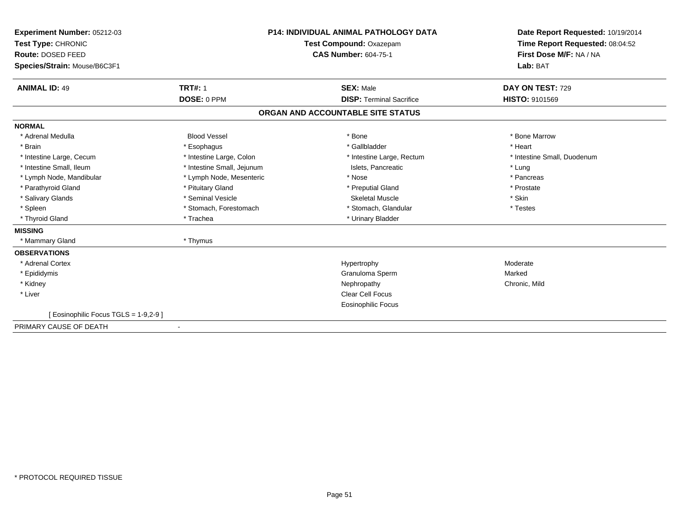| Experiment Number: 05212-03<br>Test Type: CHRONIC<br>Route: DOSED FEED<br>Species/Strain: Mouse/B6C3F1 |                               | <b>P14: INDIVIDUAL ANIMAL PATHOLOGY DATA</b><br>Test Compound: Oxazepam<br><b>CAS Number: 604-75-1</b> | Date Report Requested: 10/19/2014<br>Time Report Requested: 08:04:52<br>First Dose M/F: NA / NA<br>Lab: BAT |
|--------------------------------------------------------------------------------------------------------|-------------------------------|--------------------------------------------------------------------------------------------------------|-------------------------------------------------------------------------------------------------------------|
| <b>ANIMAL ID: 49</b>                                                                                   | <b>TRT#: 1</b><br>DOSE: 0 PPM | <b>SEX: Male</b><br><b>DISP: Terminal Sacrifice</b>                                                    | DAY ON TEST: 729<br>HISTO: 9101569                                                                          |
|                                                                                                        |                               | ORGAN AND ACCOUNTABLE SITE STATUS                                                                      |                                                                                                             |
| <b>NORMAL</b>                                                                                          |                               |                                                                                                        |                                                                                                             |
| * Adrenal Medulla                                                                                      | <b>Blood Vessel</b>           | * Bone                                                                                                 | * Bone Marrow                                                                                               |
| * Brain                                                                                                | * Esophagus                   | * Gallbladder                                                                                          | * Heart                                                                                                     |
| * Intestine Large, Cecum                                                                               | * Intestine Large, Colon      | * Intestine Large, Rectum                                                                              | * Intestine Small, Duodenum                                                                                 |
| * Intestine Small, Ileum                                                                               | * Intestine Small, Jejunum    | Islets, Pancreatic                                                                                     | * Lung                                                                                                      |
| * Lymph Node, Mandibular                                                                               | * Lymph Node, Mesenteric      | * Nose                                                                                                 | * Pancreas                                                                                                  |
| * Parathyroid Gland                                                                                    | * Pituitary Gland             | * Preputial Gland                                                                                      | * Prostate                                                                                                  |
| * Salivary Glands                                                                                      | * Seminal Vesicle             | <b>Skeletal Muscle</b>                                                                                 | * Skin                                                                                                      |
| * Spleen                                                                                               | * Stomach, Forestomach        | * Stomach, Glandular                                                                                   | * Testes                                                                                                    |
| * Thyroid Gland                                                                                        | * Trachea                     | * Urinary Bladder                                                                                      |                                                                                                             |
| <b>MISSING</b>                                                                                         |                               |                                                                                                        |                                                                                                             |
| * Mammary Gland                                                                                        | * Thymus                      |                                                                                                        |                                                                                                             |
| <b>OBSERVATIONS</b>                                                                                    |                               |                                                                                                        |                                                                                                             |
| * Adrenal Cortex                                                                                       |                               | Hypertrophy                                                                                            | Moderate                                                                                                    |
| * Epididymis                                                                                           |                               | Granuloma Sperm                                                                                        | Marked                                                                                                      |
| * Kidney                                                                                               |                               | Nephropathy                                                                                            | Chronic, Mild                                                                                               |
| * Liver                                                                                                |                               | Clear Cell Focus                                                                                       |                                                                                                             |
|                                                                                                        |                               | <b>Eosinophilic Focus</b>                                                                              |                                                                                                             |
| [Eosinophilic Focus TGLS = 1-9,2-9]                                                                    |                               |                                                                                                        |                                                                                                             |
| PRIMARY CAUSE OF DEATH                                                                                 |                               |                                                                                                        |                                                                                                             |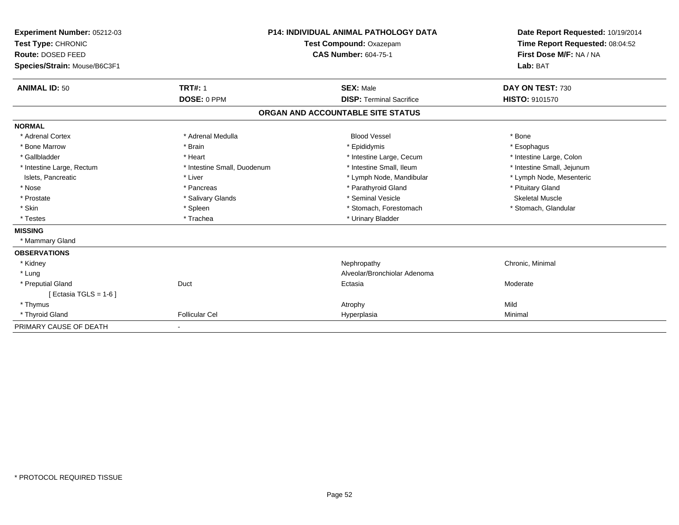| Experiment Number: 05212-03<br>Test Type: CHRONIC<br>Route: DOSED FEED<br>Species/Strain: Mouse/B6C3F1 |                               | <b>P14: INDIVIDUAL ANIMAL PATHOLOGY DATA</b><br>Test Compound: Oxazepam<br><b>CAS Number: 604-75-1</b> | Date Report Requested: 10/19/2014<br>Time Report Requested: 08:04:52<br>First Dose M/F: NA / NA<br>Lab: BAT |
|--------------------------------------------------------------------------------------------------------|-------------------------------|--------------------------------------------------------------------------------------------------------|-------------------------------------------------------------------------------------------------------------|
| <b>ANIMAL ID: 50</b>                                                                                   | <b>TRT#: 1</b><br>DOSE: 0 PPM | <b>SEX: Male</b><br><b>DISP: Terminal Sacrifice</b>                                                    | DAY ON TEST: 730<br><b>HISTO: 9101570</b>                                                                   |
|                                                                                                        |                               |                                                                                                        |                                                                                                             |
|                                                                                                        |                               | ORGAN AND ACCOUNTABLE SITE STATUS                                                                      |                                                                                                             |
| <b>NORMAL</b>                                                                                          |                               |                                                                                                        |                                                                                                             |
| * Adrenal Cortex                                                                                       | * Adrenal Medulla             | <b>Blood Vessel</b>                                                                                    | * Bone                                                                                                      |
| * Bone Marrow                                                                                          | * Brain                       | * Epididymis                                                                                           | * Esophagus                                                                                                 |
| * Gallbladder                                                                                          | * Heart                       | * Intestine Large, Cecum                                                                               | * Intestine Large, Colon                                                                                    |
| * Intestine Large, Rectum                                                                              | * Intestine Small, Duodenum   | * Intestine Small. Ileum                                                                               | * Intestine Small, Jejunum                                                                                  |
| Islets, Pancreatic                                                                                     | * Liver                       | * Lymph Node, Mandibular                                                                               | * Lymph Node, Mesenteric                                                                                    |
| * Nose                                                                                                 | * Pancreas                    | * Parathyroid Gland                                                                                    | * Pituitary Gland                                                                                           |
| * Prostate                                                                                             | * Salivary Glands             | * Seminal Vesicle                                                                                      | <b>Skeletal Muscle</b>                                                                                      |
| * Skin                                                                                                 | * Spleen                      | * Stomach, Forestomach                                                                                 | * Stomach, Glandular                                                                                        |
| * Testes                                                                                               | * Trachea                     | * Urinary Bladder                                                                                      |                                                                                                             |
| <b>MISSING</b>                                                                                         |                               |                                                                                                        |                                                                                                             |
| * Mammary Gland                                                                                        |                               |                                                                                                        |                                                                                                             |
| <b>OBSERVATIONS</b>                                                                                    |                               |                                                                                                        |                                                                                                             |
| * Kidney                                                                                               |                               | Nephropathy                                                                                            | Chronic, Minimal                                                                                            |
| * Lung                                                                                                 |                               | Alveolar/Bronchiolar Adenoma                                                                           |                                                                                                             |
| * Preputial Gland                                                                                      | Duct                          | Ectasia                                                                                                | Moderate                                                                                                    |
| [ Ectasia TGLS = 1-6 ]                                                                                 |                               |                                                                                                        |                                                                                                             |
| * Thymus                                                                                               |                               | Atrophy                                                                                                | Mild                                                                                                        |
| * Thyroid Gland                                                                                        | <b>Follicular Cel</b>         | Hyperplasia                                                                                            | Minimal                                                                                                     |
| PRIMARY CAUSE OF DEATH                                                                                 |                               |                                                                                                        |                                                                                                             |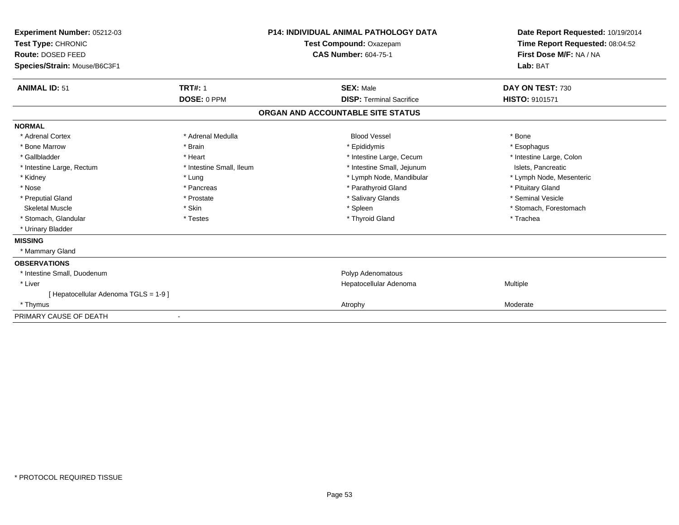| Experiment Number: 05212-03<br>Test Type: CHRONIC<br>Route: DOSED FEED<br>Species/Strain: Mouse/B6C3F1 |                          | <b>P14: INDIVIDUAL ANIMAL PATHOLOGY DATA</b><br>Test Compound: Oxazepam<br><b>CAS Number: 604-75-1</b> | Date Report Requested: 10/19/2014<br>Time Report Requested: 08:04:52<br>First Dose M/F: NA / NA<br>Lab: BAT |
|--------------------------------------------------------------------------------------------------------|--------------------------|--------------------------------------------------------------------------------------------------------|-------------------------------------------------------------------------------------------------------------|
| <b>ANIMAL ID: 51</b>                                                                                   | <b>TRT#: 1</b>           | <b>SEX: Male</b>                                                                                       | DAY ON TEST: 730                                                                                            |
|                                                                                                        | DOSE: 0 PPM              | <b>DISP: Terminal Sacrifice</b>                                                                        | <b>HISTO: 9101571</b>                                                                                       |
|                                                                                                        |                          | ORGAN AND ACCOUNTABLE SITE STATUS                                                                      |                                                                                                             |
| <b>NORMAL</b>                                                                                          |                          |                                                                                                        |                                                                                                             |
| * Adrenal Cortex                                                                                       | * Adrenal Medulla        | <b>Blood Vessel</b>                                                                                    | * Bone                                                                                                      |
| * Bone Marrow                                                                                          | * Brain                  | * Epididymis                                                                                           | * Esophagus                                                                                                 |
| * Gallbladder                                                                                          | * Heart                  | * Intestine Large, Cecum                                                                               | * Intestine Large, Colon                                                                                    |
| * Intestine Large, Rectum                                                                              | * Intestine Small, Ileum | * Intestine Small, Jejunum                                                                             | Islets, Pancreatic                                                                                          |
| * Kidney                                                                                               | * Lung                   | * Lymph Node, Mandibular                                                                               | * Lymph Node, Mesenteric                                                                                    |
| * Nose                                                                                                 | * Pancreas               | * Parathyroid Gland                                                                                    | * Pituitary Gland                                                                                           |
| * Preputial Gland                                                                                      | * Prostate               | * Salivary Glands                                                                                      | * Seminal Vesicle                                                                                           |
| <b>Skeletal Muscle</b>                                                                                 | * Skin                   | * Spleen                                                                                               | * Stomach, Forestomach                                                                                      |
| * Stomach, Glandular                                                                                   | * Testes                 | * Thyroid Gland                                                                                        | * Trachea                                                                                                   |
| * Urinary Bladder                                                                                      |                          |                                                                                                        |                                                                                                             |
| <b>MISSING</b>                                                                                         |                          |                                                                                                        |                                                                                                             |
| * Mammary Gland                                                                                        |                          |                                                                                                        |                                                                                                             |
| <b>OBSERVATIONS</b>                                                                                    |                          |                                                                                                        |                                                                                                             |
| * Intestine Small, Duodenum                                                                            |                          | Polyp Adenomatous                                                                                      |                                                                                                             |
| * Liver                                                                                                |                          | Hepatocellular Adenoma                                                                                 | Multiple                                                                                                    |
| [ Hepatocellular Adenoma TGLS = 1-9 ]                                                                  |                          |                                                                                                        |                                                                                                             |
| * Thymus                                                                                               |                          | Atrophy                                                                                                | Moderate                                                                                                    |
| PRIMARY CAUSE OF DEATH                                                                                 |                          |                                                                                                        |                                                                                                             |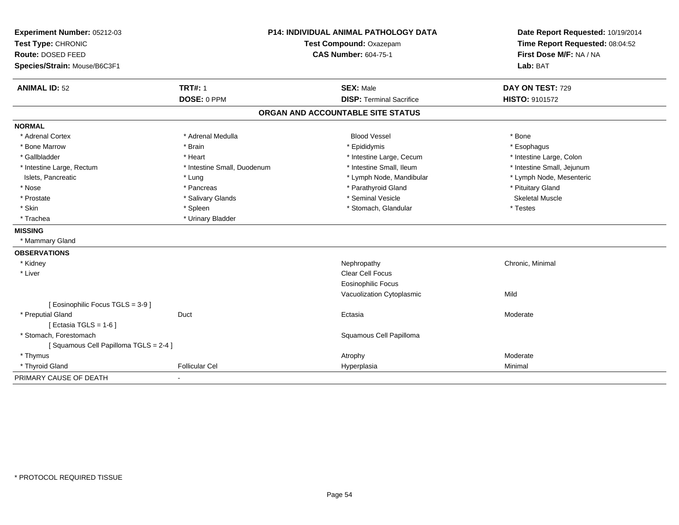| Experiment Number: 05212-03          | P14: INDIVIDUAL ANIMAL PATHOLOGY DATA<br>Test Compound: Oxazepam |                                   | Date Report Requested: 10/19/2014 |
|--------------------------------------|------------------------------------------------------------------|-----------------------------------|-----------------------------------|
| Test Type: CHRONIC                   |                                                                  |                                   | Time Report Requested: 08:04:52   |
| Route: DOSED FEED                    |                                                                  | <b>CAS Number: 604-75-1</b>       | First Dose M/F: NA / NA           |
| Species/Strain: Mouse/B6C3F1         |                                                                  |                                   | Lab: BAT                          |
| <b>ANIMAL ID: 52</b>                 | <b>TRT#: 1</b>                                                   | <b>SEX: Male</b>                  | DAY ON TEST: 729                  |
|                                      | DOSE: 0 PPM                                                      | <b>DISP: Terminal Sacrifice</b>   | HISTO: 9101572                    |
|                                      |                                                                  | ORGAN AND ACCOUNTABLE SITE STATUS |                                   |
| <b>NORMAL</b>                        |                                                                  |                                   |                                   |
| * Adrenal Cortex                     | * Adrenal Medulla                                                | <b>Blood Vessel</b>               | * Bone                            |
| * Bone Marrow                        | * Brain                                                          | * Epididymis                      | * Esophagus                       |
| * Gallbladder                        | * Heart                                                          | * Intestine Large, Cecum          | * Intestine Large, Colon          |
| * Intestine Large, Rectum            | * Intestine Small, Duodenum                                      | * Intestine Small, Ileum          | * Intestine Small, Jejunum        |
| Islets, Pancreatic                   | * Lung                                                           | * Lymph Node, Mandibular          | * Lymph Node, Mesenteric          |
| * Nose                               | * Pancreas                                                       | * Parathyroid Gland               | * Pituitary Gland                 |
| * Prostate                           | * Salivary Glands                                                | * Seminal Vesicle                 | <b>Skeletal Muscle</b>            |
| * Skin                               | * Spleen                                                         | * Stomach, Glandular              | * Testes                          |
| * Trachea                            | * Urinary Bladder                                                |                                   |                                   |
| <b>MISSING</b>                       |                                                                  |                                   |                                   |
| * Mammary Gland                      |                                                                  |                                   |                                   |
| <b>OBSERVATIONS</b>                  |                                                                  |                                   |                                   |
| * Kidney                             |                                                                  | Nephropathy                       | Chronic, Minimal                  |
| * Liver                              |                                                                  | <b>Clear Cell Focus</b>           |                                   |
|                                      |                                                                  | <b>Eosinophilic Focus</b>         |                                   |
|                                      |                                                                  | Vacuolization Cytoplasmic         | Mild                              |
| [ Eosinophilic Focus TGLS = 3-9 ]    |                                                                  |                                   |                                   |
| * Preputial Gland                    | Duct                                                             | Ectasia                           | Moderate                          |
| [ Ectasia TGLS = $1-6$ ]             |                                                                  |                                   |                                   |
| * Stomach, Forestomach               |                                                                  | Squamous Cell Papilloma           |                                   |
| [Squamous Cell Papilloma TGLS = 2-4] |                                                                  |                                   |                                   |
| * Thymus                             |                                                                  | Atrophy                           | Moderate                          |
| * Thyroid Gland                      | <b>Follicular Cel</b>                                            | Hyperplasia                       | Minimal                           |
| PRIMARY CAUSE OF DEATH               |                                                                  |                                   |                                   |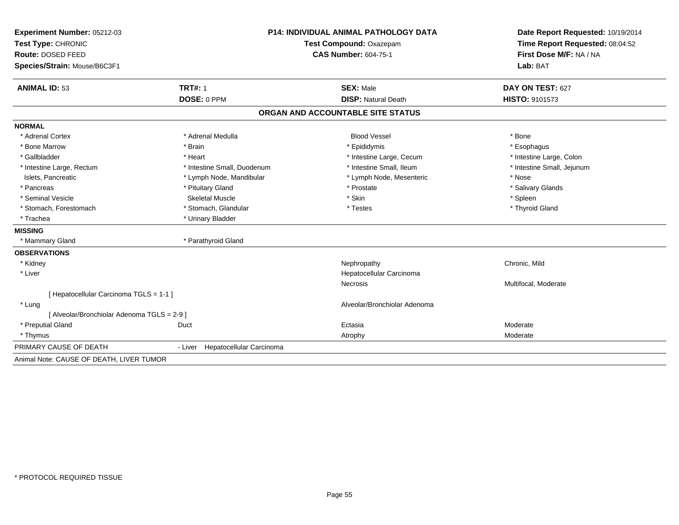| Experiment Number: 05212-03                 | <b>P14: INDIVIDUAL ANIMAL PATHOLOGY DATA</b> |                                   | Date Report Requested: 10/19/2014                          |  |
|---------------------------------------------|----------------------------------------------|-----------------------------------|------------------------------------------------------------|--|
| Test Type: CHRONIC                          |                                              | Test Compound: Oxazepam           |                                                            |  |
| <b>Route: DOSED FEED</b>                    |                                              | <b>CAS Number: 604-75-1</b>       | Time Report Requested: 08:04:52<br>First Dose M/F: NA / NA |  |
| Species/Strain: Mouse/B6C3F1                |                                              |                                   | Lab: BAT                                                   |  |
| <b>ANIMAL ID: 53</b>                        | <b>TRT#: 1</b>                               | <b>SEX: Male</b>                  | DAY ON TEST: 627                                           |  |
|                                             | DOSE: 0 PPM                                  | <b>DISP: Natural Death</b>        | HISTO: 9101573                                             |  |
|                                             |                                              | ORGAN AND ACCOUNTABLE SITE STATUS |                                                            |  |
| <b>NORMAL</b>                               |                                              |                                   |                                                            |  |
| * Adrenal Cortex                            | * Adrenal Medulla                            | <b>Blood Vessel</b>               | * Bone                                                     |  |
| * Bone Marrow                               | * Brain                                      | * Epididymis                      | * Esophagus                                                |  |
| * Gallbladder                               | * Heart                                      | * Intestine Large, Cecum          | * Intestine Large, Colon                                   |  |
| * Intestine Large, Rectum                   | * Intestine Small, Duodenum                  | * Intestine Small, Ileum          | * Intestine Small, Jejunum                                 |  |
| Islets, Pancreatic                          | * Lymph Node, Mandibular                     | * Lymph Node, Mesenteric          | * Nose                                                     |  |
| * Pancreas                                  | * Pituitary Gland                            | * Prostate                        | * Salivary Glands                                          |  |
| * Seminal Vesicle                           | <b>Skeletal Muscle</b>                       | * Skin                            | * Spleen                                                   |  |
| * Stomach, Forestomach                      | * Stomach, Glandular                         | * Testes                          | * Thyroid Gland                                            |  |
| * Trachea                                   | * Urinary Bladder                            |                                   |                                                            |  |
| <b>MISSING</b>                              |                                              |                                   |                                                            |  |
| * Mammary Gland                             | * Parathyroid Gland                          |                                   |                                                            |  |
| <b>OBSERVATIONS</b>                         |                                              |                                   |                                                            |  |
| * Kidney                                    |                                              | Nephropathy                       | Chronic, Mild                                              |  |
| * Liver                                     |                                              | Hepatocellular Carcinoma          |                                                            |  |
|                                             |                                              | Necrosis                          | Multifocal, Moderate                                       |  |
| [ Hepatocellular Carcinoma TGLS = 1-1 ]     |                                              |                                   |                                                            |  |
| * Lung                                      |                                              | Alveolar/Bronchiolar Adenoma      |                                                            |  |
| [ Alveolar/Bronchiolar Adenoma TGLS = 2-9 ] |                                              |                                   |                                                            |  |
| * Preputial Gland                           | Duct                                         | Ectasia                           | Moderate                                                   |  |
| * Thymus                                    |                                              | Atrophy                           | Moderate                                                   |  |
| PRIMARY CAUSE OF DEATH                      | - Liver Hepatocellular Carcinoma             |                                   |                                                            |  |
| Animal Note: CAUSE OF DEATH, LIVER TUMOR    |                                              |                                   |                                                            |  |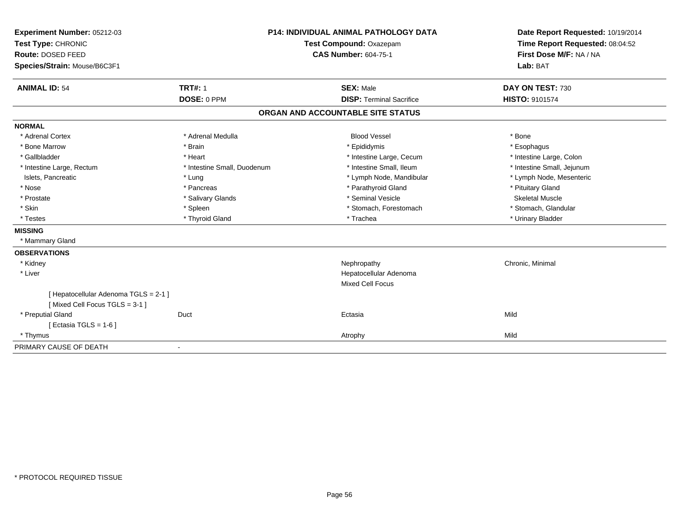| Experiment Number: 05212-03           | <b>P14: INDIVIDUAL ANIMAL PATHOLOGY DATA</b><br><b>Test Compound: Oxazepam</b><br><b>CAS Number: 604-75-1</b> |                                   | Date Report Requested: 10/19/2014 |
|---------------------------------------|---------------------------------------------------------------------------------------------------------------|-----------------------------------|-----------------------------------|
| Test Type: CHRONIC                    |                                                                                                               |                                   | Time Report Requested: 08:04:52   |
| Route: DOSED FEED                     |                                                                                                               |                                   | First Dose M/F: NA / NA           |
| Species/Strain: Mouse/B6C3F1          |                                                                                                               |                                   | Lab: BAT                          |
|                                       |                                                                                                               |                                   |                                   |
| <b>ANIMAL ID: 54</b>                  | <b>TRT#: 1</b>                                                                                                | <b>SEX: Male</b>                  | DAY ON TEST: 730                  |
|                                       | DOSE: 0 PPM                                                                                                   | <b>DISP: Terminal Sacrifice</b>   | <b>HISTO: 9101574</b>             |
|                                       |                                                                                                               | ORGAN AND ACCOUNTABLE SITE STATUS |                                   |
| <b>NORMAL</b>                         |                                                                                                               |                                   |                                   |
| * Adrenal Cortex                      | * Adrenal Medulla                                                                                             | <b>Blood Vessel</b>               | * Bone                            |
| * Bone Marrow                         | * Brain                                                                                                       | * Epididymis                      | * Esophagus                       |
| * Gallbladder                         | * Heart                                                                                                       | * Intestine Large, Cecum          | * Intestine Large, Colon          |
| * Intestine Large, Rectum             | * Intestine Small, Duodenum                                                                                   | * Intestine Small, Ileum          | * Intestine Small, Jejunum        |
| Islets, Pancreatic                    | * Lung                                                                                                        | * Lymph Node, Mandibular          | * Lymph Node, Mesenteric          |
| * Nose                                | * Pancreas                                                                                                    | * Parathyroid Gland               | * Pituitary Gland                 |
| * Prostate                            | * Salivary Glands                                                                                             | * Seminal Vesicle                 | Skeletal Muscle                   |
| * Skin                                | * Spleen                                                                                                      | * Stomach, Forestomach            | * Stomach, Glandular              |
| * Testes                              | * Thyroid Gland                                                                                               | * Trachea                         | * Urinary Bladder                 |
| <b>MISSING</b>                        |                                                                                                               |                                   |                                   |
| * Mammary Gland                       |                                                                                                               |                                   |                                   |
| <b>OBSERVATIONS</b>                   |                                                                                                               |                                   |                                   |
| * Kidney                              |                                                                                                               | Nephropathy                       | Chronic, Minimal                  |
| * Liver                               |                                                                                                               | Hepatocellular Adenoma            |                                   |
|                                       |                                                                                                               | <b>Mixed Cell Focus</b>           |                                   |
| [ Hepatocellular Adenoma TGLS = 2-1 ] |                                                                                                               |                                   |                                   |
| [Mixed Cell Focus TGLS = 3-1]         |                                                                                                               |                                   |                                   |
| * Preputial Gland                     | Duct                                                                                                          | Ectasia                           | Mild                              |
| [Ectasia TGLS = $1-6$ ]               |                                                                                                               |                                   |                                   |
| * Thymus                              |                                                                                                               | Atrophy                           | Mild                              |
| PRIMARY CAUSE OF DEATH                |                                                                                                               |                                   |                                   |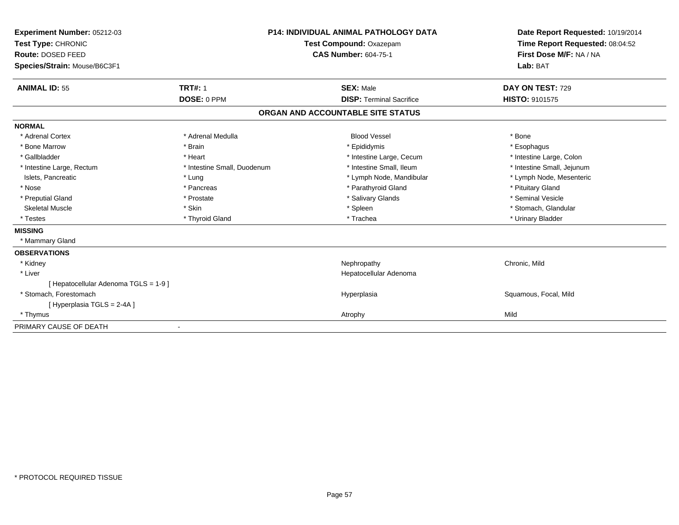| Experiment Number: 05212-03<br>Test Type: CHRONIC |                             | <b>P14: INDIVIDUAL ANIMAL PATHOLOGY DATA</b> | Date Report Requested: 10/19/2014 |
|---------------------------------------------------|-----------------------------|----------------------------------------------|-----------------------------------|
|                                                   |                             | Test Compound: Oxazepam                      | Time Report Requested: 08:04:52   |
| Route: DOSED FEED                                 |                             | <b>CAS Number: 604-75-1</b>                  | First Dose M/F: NA / NA           |
| Species/Strain: Mouse/B6C3F1                      |                             |                                              | Lab: BAT                          |
| <b>ANIMAL ID: 55</b>                              | <b>TRT#: 1</b>              | <b>SEX: Male</b>                             | DAY ON TEST: 729                  |
|                                                   | DOSE: 0 PPM                 | <b>DISP: Terminal Sacrifice</b>              | <b>HISTO: 9101575</b>             |
|                                                   |                             | ORGAN AND ACCOUNTABLE SITE STATUS            |                                   |
| <b>NORMAL</b>                                     |                             |                                              |                                   |
| * Adrenal Cortex                                  | * Adrenal Medulla           | <b>Blood Vessel</b>                          | * Bone                            |
| * Bone Marrow                                     | * Brain                     | * Epididymis                                 | * Esophagus                       |
| * Gallbladder                                     | * Heart                     | * Intestine Large, Cecum                     | * Intestine Large, Colon          |
| * Intestine Large, Rectum                         | * Intestine Small, Duodenum | * Intestine Small. Ileum                     | * Intestine Small, Jejunum        |
| Islets, Pancreatic                                | * Lung                      | * Lymph Node, Mandibular                     | * Lymph Node, Mesenteric          |
| * Nose                                            | * Pancreas                  | * Parathyroid Gland                          | * Pituitary Gland                 |
| * Preputial Gland                                 | * Prostate                  | * Salivary Glands                            | * Seminal Vesicle                 |
| <b>Skeletal Muscle</b>                            | * Skin                      | * Spleen                                     | * Stomach, Glandular              |
| * Testes                                          | * Thyroid Gland             | * Trachea                                    | * Urinary Bladder                 |
| <b>MISSING</b>                                    |                             |                                              |                                   |
| * Mammary Gland                                   |                             |                                              |                                   |
| <b>OBSERVATIONS</b>                               |                             |                                              |                                   |
| * Kidney                                          |                             | Nephropathy                                  | Chronic, Mild                     |
| * Liver                                           |                             | Hepatocellular Adenoma                       |                                   |
| [ Hepatocellular Adenoma TGLS = 1-9 ]             |                             |                                              |                                   |
| * Stomach. Forestomach                            |                             | Hyperplasia                                  | Squamous, Focal, Mild             |
| [Hyperplasia TGLS = 2-4A]                         |                             |                                              |                                   |
| * Thymus                                          |                             | Atrophy                                      | Mild                              |
| PRIMARY CAUSE OF DEATH                            |                             |                                              |                                   |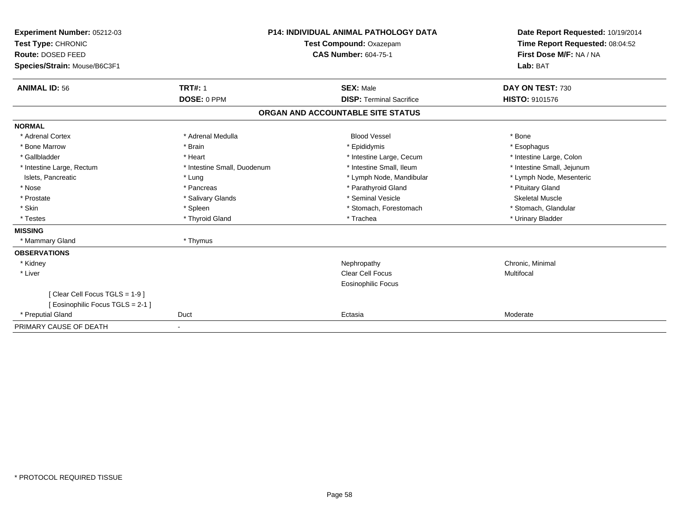| <b>Experiment Number: 05212-03</b><br>Test Type: CHRONIC<br>Route: DOSED FEED |                             | <b>P14: INDIVIDUAL ANIMAL PATHOLOGY DATA</b><br>Test Compound: Oxazepam<br><b>CAS Number: 604-75-1</b> | Date Report Requested: 10/19/2014<br>Time Report Requested: 08:04:52<br>First Dose M/F: NA / NA |  |
|-------------------------------------------------------------------------------|-----------------------------|--------------------------------------------------------------------------------------------------------|-------------------------------------------------------------------------------------------------|--|
| Species/Strain: Mouse/B6C3F1                                                  |                             |                                                                                                        | Lab: BAT                                                                                        |  |
| <b>ANIMAL ID: 56</b>                                                          | <b>TRT#: 1</b>              | <b>SEX: Male</b>                                                                                       | DAY ON TEST: 730                                                                                |  |
|                                                                               | DOSE: 0 PPM                 | <b>DISP: Terminal Sacrifice</b>                                                                        | <b>HISTO: 9101576</b>                                                                           |  |
|                                                                               |                             | ORGAN AND ACCOUNTABLE SITE STATUS                                                                      |                                                                                                 |  |
| <b>NORMAL</b>                                                                 |                             |                                                                                                        |                                                                                                 |  |
| * Adrenal Cortex                                                              | * Adrenal Medulla           | <b>Blood Vessel</b>                                                                                    | * Bone                                                                                          |  |
| * Bone Marrow                                                                 | * Brain                     | * Epididymis                                                                                           | * Esophagus                                                                                     |  |
| * Gallbladder                                                                 | * Heart                     | * Intestine Large, Cecum                                                                               | * Intestine Large, Colon                                                                        |  |
| * Intestine Large, Rectum                                                     | * Intestine Small, Duodenum | * Intestine Small. Ileum                                                                               | * Intestine Small, Jejunum                                                                      |  |
| Islets, Pancreatic                                                            | * Lung                      | * Lymph Node, Mandibular                                                                               | * Lymph Node, Mesenteric                                                                        |  |
| * Nose                                                                        | * Pancreas                  | * Parathyroid Gland                                                                                    | * Pituitary Gland                                                                               |  |
| * Prostate                                                                    | * Salivary Glands           | * Seminal Vesicle                                                                                      | <b>Skeletal Muscle</b>                                                                          |  |
| * Skin                                                                        | * Spleen                    | * Stomach, Forestomach                                                                                 | * Stomach, Glandular                                                                            |  |
| * Testes                                                                      | * Thyroid Gland             | * Trachea                                                                                              | * Urinary Bladder                                                                               |  |
| <b>MISSING</b>                                                                |                             |                                                                                                        |                                                                                                 |  |
| * Mammary Gland                                                               | * Thymus                    |                                                                                                        |                                                                                                 |  |
| <b>OBSERVATIONS</b>                                                           |                             |                                                                                                        |                                                                                                 |  |
| * Kidney                                                                      |                             | Nephropathy                                                                                            | Chronic, Minimal                                                                                |  |
| * Liver                                                                       |                             | Clear Cell Focus                                                                                       | Multifocal                                                                                      |  |
|                                                                               |                             | <b>Eosinophilic Focus</b>                                                                              |                                                                                                 |  |
| [Clear Cell Focus TGLS = 1-9]                                                 |                             |                                                                                                        |                                                                                                 |  |
| [ Eosinophilic Focus TGLS = 2-1 ]                                             |                             |                                                                                                        |                                                                                                 |  |
| * Preputial Gland                                                             | Duct                        | Ectasia                                                                                                | Moderate                                                                                        |  |
| PRIMARY CAUSE OF DEATH                                                        |                             |                                                                                                        |                                                                                                 |  |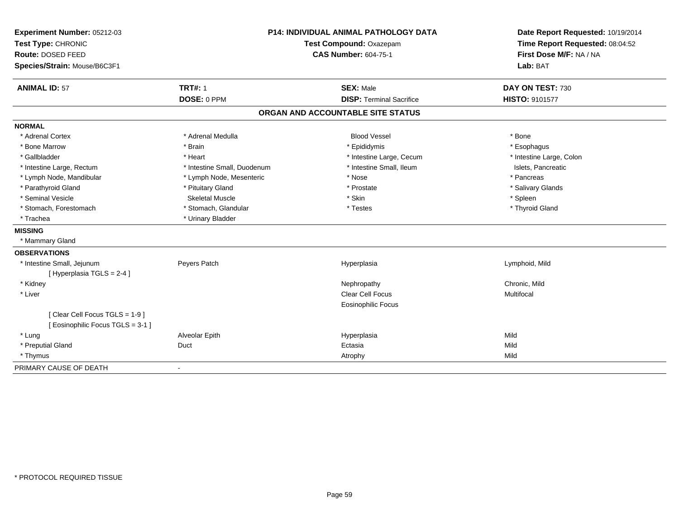| Experiment Number: 05212-03<br>Test Type: CHRONIC<br>Route: DOSED FEED<br>Species/Strain: Mouse/B6C3F1 |                             | P14: INDIVIDUAL ANIMAL PATHOLOGY DATA<br>Test Compound: Oxazepam<br><b>CAS Number: 604-75-1</b> | Date Report Requested: 10/19/2014<br>Time Report Requested: 08:04:52<br>First Dose M/F: NA / NA<br>Lab: BAT |
|--------------------------------------------------------------------------------------------------------|-----------------------------|-------------------------------------------------------------------------------------------------|-------------------------------------------------------------------------------------------------------------|
|                                                                                                        |                             |                                                                                                 |                                                                                                             |
| <b>ANIMAL ID: 57</b>                                                                                   | <b>TRT#: 1</b>              | <b>SEX: Male</b>                                                                                | DAY ON TEST: 730                                                                                            |
|                                                                                                        | DOSE: 0 PPM                 | <b>DISP: Terminal Sacrifice</b>                                                                 | <b>HISTO: 9101577</b>                                                                                       |
|                                                                                                        |                             | ORGAN AND ACCOUNTABLE SITE STATUS                                                               |                                                                                                             |
| <b>NORMAL</b>                                                                                          |                             |                                                                                                 |                                                                                                             |
| * Adrenal Cortex                                                                                       | * Adrenal Medulla           | <b>Blood Vessel</b>                                                                             | * Bone                                                                                                      |
| * Bone Marrow                                                                                          | * Brain                     | * Epididymis                                                                                    | * Esophagus                                                                                                 |
| * Gallbladder                                                                                          | * Heart                     | * Intestine Large, Cecum                                                                        | * Intestine Large, Colon                                                                                    |
| * Intestine Large, Rectum                                                                              | * Intestine Small, Duodenum | * Intestine Small, Ileum                                                                        | Islets, Pancreatic                                                                                          |
| * Lymph Node, Mandibular                                                                               | * Lymph Node, Mesenteric    | * Nose                                                                                          | * Pancreas                                                                                                  |
| * Parathyroid Gland                                                                                    | * Pituitary Gland           | * Prostate                                                                                      | * Salivary Glands                                                                                           |
| * Seminal Vesicle                                                                                      | <b>Skeletal Muscle</b>      | * Skin                                                                                          | * Spleen                                                                                                    |
| * Stomach, Forestomach                                                                                 | * Stomach, Glandular        | * Testes                                                                                        | * Thyroid Gland                                                                                             |
| * Trachea                                                                                              | * Urinary Bladder           |                                                                                                 |                                                                                                             |
| <b>MISSING</b>                                                                                         |                             |                                                                                                 |                                                                                                             |
| * Mammary Gland                                                                                        |                             |                                                                                                 |                                                                                                             |
| <b>OBSERVATIONS</b>                                                                                    |                             |                                                                                                 |                                                                                                             |
| * Intestine Small, Jejunum                                                                             | Peyers Patch                | Hyperplasia                                                                                     | Lymphoid, Mild                                                                                              |
| [Hyperplasia TGLS = 2-4]                                                                               |                             |                                                                                                 |                                                                                                             |
| * Kidney                                                                                               |                             | Nephropathy                                                                                     | Chronic, Mild                                                                                               |
| * Liver                                                                                                |                             | <b>Clear Cell Focus</b>                                                                         | Multifocal                                                                                                  |
|                                                                                                        |                             | <b>Eosinophilic Focus</b>                                                                       |                                                                                                             |
| [Clear Cell Focus TGLS = 1-9]                                                                          |                             |                                                                                                 |                                                                                                             |
| [Eosinophilic Focus TGLS = 3-1]                                                                        |                             |                                                                                                 |                                                                                                             |
| * Lung                                                                                                 | Alveolar Epith              | Hyperplasia                                                                                     | Mild                                                                                                        |
| * Preputial Gland                                                                                      | Duct                        | Ectasia                                                                                         | Mild                                                                                                        |
| * Thymus                                                                                               |                             | Atrophy                                                                                         | Mild                                                                                                        |
| PRIMARY CAUSE OF DEATH                                                                                 | $\overline{\phantom{a}}$    |                                                                                                 |                                                                                                             |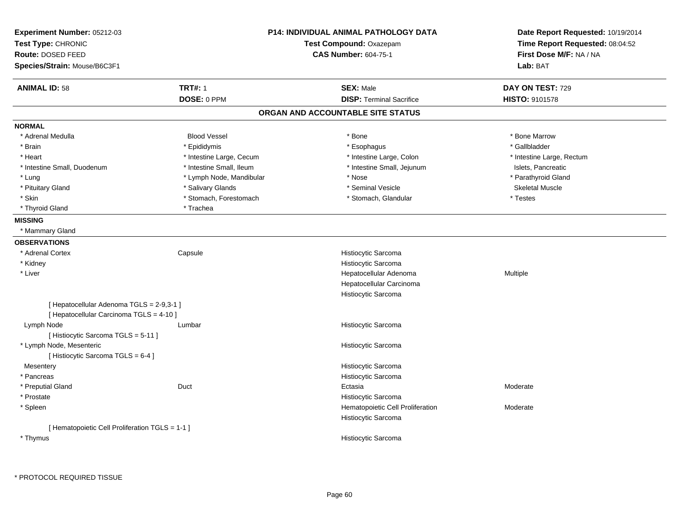| Experiment Number: 05212-03<br>Test Type: CHRONIC                                     |                          | <b>P14: INDIVIDUAL ANIMAL PATHOLOGY DATA</b><br>Test Compound: Oxazepam | Date Report Requested: 10/19/2014<br>Time Report Requested: 08:04:52 |  |
|---------------------------------------------------------------------------------------|--------------------------|-------------------------------------------------------------------------|----------------------------------------------------------------------|--|
| Route: DOSED FEED                                                                     |                          | <b>CAS Number: 604-75-1</b>                                             | First Dose M/F: NA / NA                                              |  |
| Species/Strain: Mouse/B6C3F1                                                          |                          |                                                                         | Lab: BAT                                                             |  |
|                                                                                       |                          |                                                                         |                                                                      |  |
| <b>ANIMAL ID: 58</b>                                                                  | <b>TRT#: 1</b>           | <b>SEX: Male</b>                                                        | DAY ON TEST: 729                                                     |  |
|                                                                                       | DOSE: 0 PPM              | <b>DISP: Terminal Sacrifice</b>                                         | HISTO: 9101578                                                       |  |
|                                                                                       |                          | ORGAN AND ACCOUNTABLE SITE STATUS                                       |                                                                      |  |
| <b>NORMAL</b>                                                                         |                          |                                                                         |                                                                      |  |
| * Adrenal Medulla                                                                     | <b>Blood Vessel</b>      | * Bone                                                                  | * Bone Marrow                                                        |  |
| * Brain                                                                               | * Epididymis             | * Esophagus                                                             | * Gallbladder                                                        |  |
| * Heart                                                                               | * Intestine Large, Cecum | * Intestine Large, Colon                                                | * Intestine Large, Rectum                                            |  |
| * Intestine Small, Duodenum                                                           | * Intestine Small, Ileum | * Intestine Small, Jejunum                                              | Islets, Pancreatic                                                   |  |
| * Lung                                                                                | * Lymph Node, Mandibular | * Nose                                                                  | * Parathyroid Gland                                                  |  |
| * Pituitary Gland                                                                     | * Salivary Glands        | * Seminal Vesicle                                                       | <b>Skeletal Muscle</b>                                               |  |
| * Skin                                                                                | * Stomach, Forestomach   | * Stomach, Glandular                                                    | * Testes                                                             |  |
| * Thyroid Gland                                                                       | * Trachea                |                                                                         |                                                                      |  |
| <b>MISSING</b>                                                                        |                          |                                                                         |                                                                      |  |
| * Mammary Gland                                                                       |                          |                                                                         |                                                                      |  |
| <b>OBSERVATIONS</b>                                                                   |                          |                                                                         |                                                                      |  |
| * Adrenal Cortex                                                                      | Capsule                  | Histiocytic Sarcoma                                                     |                                                                      |  |
| * Kidney                                                                              |                          | Histiocytic Sarcoma                                                     |                                                                      |  |
| * Liver                                                                               |                          | Hepatocellular Adenoma                                                  | Multiple                                                             |  |
|                                                                                       |                          | Hepatocellular Carcinoma                                                |                                                                      |  |
|                                                                                       |                          | Histiocytic Sarcoma                                                     |                                                                      |  |
| [ Hepatocellular Adenoma TGLS = 2-9,3-1 ]<br>[ Hepatocellular Carcinoma TGLS = 4-10 ] |                          |                                                                         |                                                                      |  |
| Lymph Node                                                                            | Lumbar                   | Histiocytic Sarcoma                                                     |                                                                      |  |
| [Histiocytic Sarcoma TGLS = 5-11]                                                     |                          |                                                                         |                                                                      |  |
| * Lymph Node, Mesenteric                                                              |                          | Histiocytic Sarcoma                                                     |                                                                      |  |
| [ Histiocytic Sarcoma TGLS = 6-4 ]                                                    |                          |                                                                         |                                                                      |  |
| Mesentery                                                                             |                          | Histiocytic Sarcoma                                                     |                                                                      |  |
| * Pancreas                                                                            |                          | Histiocytic Sarcoma                                                     |                                                                      |  |
| * Preputial Gland                                                                     | Duct                     | Ectasia                                                                 | Moderate                                                             |  |
| * Prostate                                                                            |                          | Histiocytic Sarcoma                                                     |                                                                      |  |
| * Spleen                                                                              |                          | Hematopoietic Cell Proliferation<br>Histiocytic Sarcoma                 | Moderate                                                             |  |
| [ Hematopoietic Cell Proliferation TGLS = 1-1 ]                                       |                          |                                                                         |                                                                      |  |
| * Thymus                                                                              |                          | Histiocytic Sarcoma                                                     |                                                                      |  |
|                                                                                       |                          |                                                                         |                                                                      |  |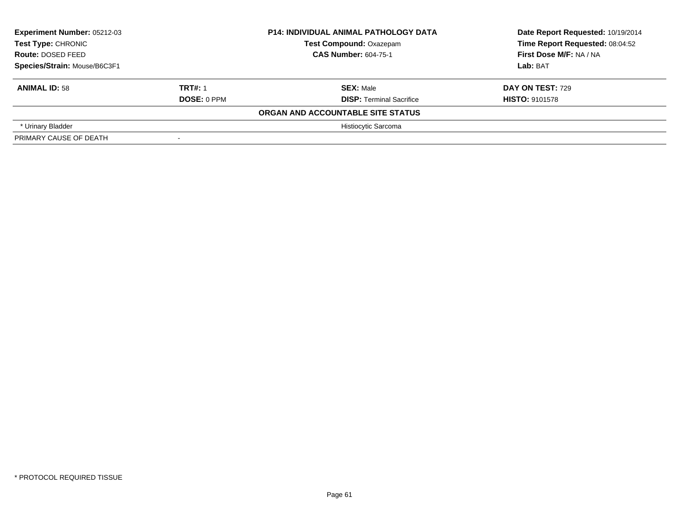| Experiment Number: 05212-03<br>Test Type: CHRONIC<br>Route: DOSED FEED<br>Species/Strain: Mouse/B6C3F1 |                    | <b>P14: INDIVIDUAL ANIMAL PATHOLOGY DATA</b> | Date Report Requested: 10/19/2014                          |  |
|--------------------------------------------------------------------------------------------------------|--------------------|----------------------------------------------|------------------------------------------------------------|--|
|                                                                                                        |                    | <b>Test Compound: Oxazepam</b>               | Time Report Requested: 08:04:52<br>First Dose M/F: NA / NA |  |
|                                                                                                        |                    | <b>CAS Number: 604-75-1</b>                  |                                                            |  |
|                                                                                                        |                    |                                              | Lab: BAT                                                   |  |
| <b>ANIMAL ID: 58</b>                                                                                   | <b>TRT#: 1</b>     | <b>SEX: Male</b>                             | <b>DAY ON TEST: 729</b>                                    |  |
|                                                                                                        | <b>DOSE: 0 PPM</b> | <b>DISP: Terminal Sacrifice</b>              | <b>HISTO: 9101578</b>                                      |  |
|                                                                                                        |                    | ORGAN AND ACCOUNTABLE SITE STATUS            |                                                            |  |
| * Urinary Bladder                                                                                      |                    | Histiocytic Sarcoma                          |                                                            |  |
| PRIMARY CAUSE OF DEATH                                                                                 |                    |                                              |                                                            |  |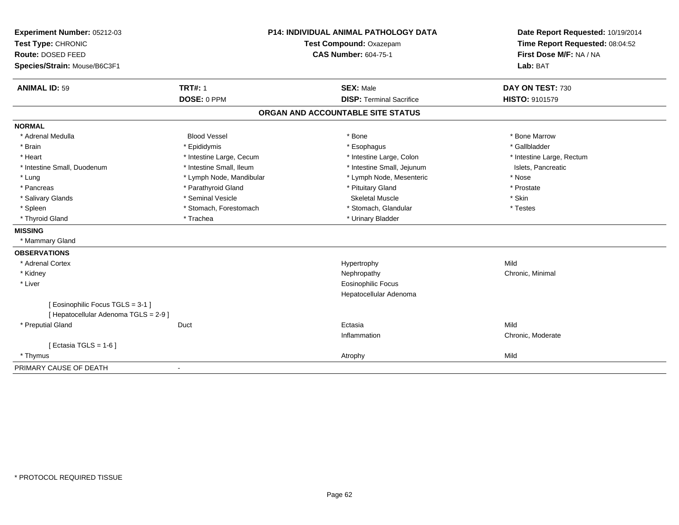| Experiment Number: 05212-03<br>Test Type: CHRONIC<br>Route: DOSED FEED<br>Species/Strain: Mouse/B6C3F1 | <b>P14: INDIVIDUAL ANIMAL PATHOLOGY DATA</b><br>Test Compound: Oxazepam<br><b>CAS Number: 604-75-1</b> |                                   | Date Report Requested: 10/19/2014<br>Time Report Requested: 08:04:52<br>First Dose M/F: NA / NA<br>Lab: BAT |  |
|--------------------------------------------------------------------------------------------------------|--------------------------------------------------------------------------------------------------------|-----------------------------------|-------------------------------------------------------------------------------------------------------------|--|
|                                                                                                        |                                                                                                        |                                   |                                                                                                             |  |
| <b>ANIMAL ID: 59</b>                                                                                   | <b>TRT#: 1</b>                                                                                         | <b>SEX: Male</b>                  | DAY ON TEST: 730                                                                                            |  |
|                                                                                                        | DOSE: 0 PPM                                                                                            | <b>DISP: Terminal Sacrifice</b>   | <b>HISTO: 9101579</b>                                                                                       |  |
|                                                                                                        |                                                                                                        | ORGAN AND ACCOUNTABLE SITE STATUS |                                                                                                             |  |
| <b>NORMAL</b>                                                                                          |                                                                                                        |                                   |                                                                                                             |  |
| * Adrenal Medulla                                                                                      | <b>Blood Vessel</b>                                                                                    | * Bone                            | * Bone Marrow                                                                                               |  |
| * Brain                                                                                                | * Epididymis                                                                                           | * Esophagus                       | * Gallbladder                                                                                               |  |
| * Heart                                                                                                | * Intestine Large, Cecum                                                                               | * Intestine Large, Colon          | * Intestine Large, Rectum                                                                                   |  |
| * Intestine Small, Duodenum                                                                            | * Intestine Small, Ileum                                                                               | * Intestine Small, Jejunum        | Islets, Pancreatic                                                                                          |  |
| * Lung                                                                                                 | * Lymph Node, Mandibular                                                                               | * Lymph Node, Mesenteric          | * Nose                                                                                                      |  |
| * Pancreas                                                                                             | * Parathyroid Gland                                                                                    | * Pituitary Gland                 | * Prostate                                                                                                  |  |
| * Salivary Glands                                                                                      | * Seminal Vesicle                                                                                      | <b>Skeletal Muscle</b>            | * Skin                                                                                                      |  |
| * Spleen                                                                                               | * Stomach, Forestomach                                                                                 | * Stomach, Glandular              | * Testes                                                                                                    |  |
| * Thyroid Gland                                                                                        | * Trachea                                                                                              | * Urinary Bladder                 |                                                                                                             |  |
| <b>MISSING</b>                                                                                         |                                                                                                        |                                   |                                                                                                             |  |
| * Mammary Gland                                                                                        |                                                                                                        |                                   |                                                                                                             |  |
| <b>OBSERVATIONS</b>                                                                                    |                                                                                                        |                                   |                                                                                                             |  |
| * Adrenal Cortex                                                                                       |                                                                                                        | Hypertrophy                       | Mild                                                                                                        |  |
| * Kidney                                                                                               |                                                                                                        | Nephropathy                       | Chronic, Minimal                                                                                            |  |
| * Liver                                                                                                |                                                                                                        | <b>Eosinophilic Focus</b>         |                                                                                                             |  |
|                                                                                                        |                                                                                                        | Hepatocellular Adenoma            |                                                                                                             |  |
| [Eosinophilic Focus TGLS = 3-1]<br>[ Hepatocellular Adenoma TGLS = 2-9 ]                               |                                                                                                        |                                   |                                                                                                             |  |
| * Preputial Gland                                                                                      | Duct                                                                                                   | Ectasia                           | Mild                                                                                                        |  |
|                                                                                                        |                                                                                                        | Inflammation                      | Chronic, Moderate                                                                                           |  |
| [Ectasia TGLS = $1-6$ ]                                                                                |                                                                                                        |                                   |                                                                                                             |  |
| * Thymus                                                                                               |                                                                                                        | Atrophy                           | Mild                                                                                                        |  |
| PRIMARY CAUSE OF DEATH                                                                                 | $\overline{\phantom{a}}$                                                                               |                                   |                                                                                                             |  |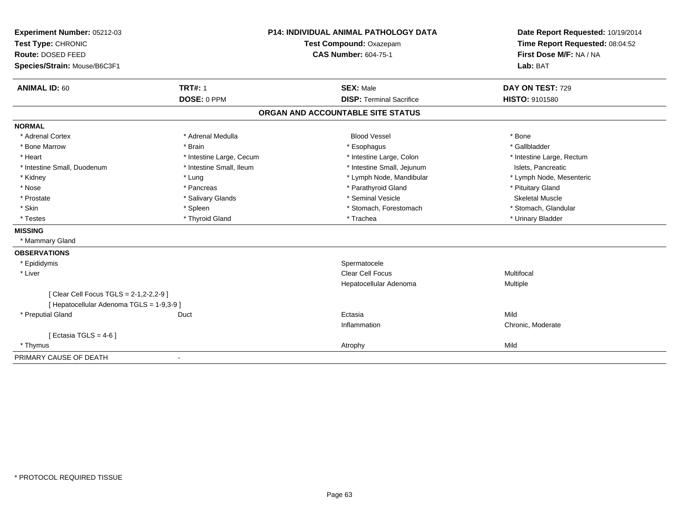| Experiment Number: 05212-03<br>Test Type: CHRONIC<br>Route: DOSED FEED                 |                          | <b>P14: INDIVIDUAL ANIMAL PATHOLOGY DATA</b> | Date Report Requested: 10/19/2014                          |  |
|----------------------------------------------------------------------------------------|--------------------------|----------------------------------------------|------------------------------------------------------------|--|
|                                                                                        |                          | Test Compound: Oxazepam                      | Time Report Requested: 08:04:52<br>First Dose M/F: NA / NA |  |
|                                                                                        |                          | <b>CAS Number: 604-75-1</b>                  |                                                            |  |
| Species/Strain: Mouse/B6C3F1                                                           |                          |                                              | Lab: BAT                                                   |  |
| <b>ANIMAL ID: 60</b>                                                                   | <b>TRT#: 1</b>           | <b>SEX: Male</b>                             | DAY ON TEST: 729                                           |  |
|                                                                                        | DOSE: 0 PPM              | <b>DISP: Terminal Sacrifice</b>              | HISTO: 9101580                                             |  |
|                                                                                        |                          | ORGAN AND ACCOUNTABLE SITE STATUS            |                                                            |  |
| <b>NORMAL</b>                                                                          |                          |                                              |                                                            |  |
| * Adrenal Cortex                                                                       | * Adrenal Medulla        | <b>Blood Vessel</b>                          | * Bone                                                     |  |
| * Bone Marrow                                                                          | * Brain                  | * Esophagus                                  | * Gallbladder                                              |  |
| * Heart                                                                                | * Intestine Large, Cecum | * Intestine Large, Colon                     | * Intestine Large, Rectum                                  |  |
| * Intestine Small, Duodenum                                                            | * Intestine Small, Ileum | * Intestine Small, Jejunum                   | Islets, Pancreatic                                         |  |
| * Kidney                                                                               | * Lung                   | * Lymph Node, Mandibular                     | * Lymph Node, Mesenteric                                   |  |
| * Nose                                                                                 | * Pancreas               | * Parathyroid Gland                          | * Pituitary Gland                                          |  |
| * Prostate                                                                             | * Salivary Glands        | * Seminal Vesicle                            | <b>Skeletal Muscle</b>                                     |  |
| * Skin                                                                                 | * Spleen                 | * Stomach, Forestomach                       | * Stomach, Glandular                                       |  |
| * Testes                                                                               | * Thyroid Gland          | * Trachea                                    | * Urinary Bladder                                          |  |
| <b>MISSING</b>                                                                         |                          |                                              |                                                            |  |
| * Mammary Gland                                                                        |                          |                                              |                                                            |  |
| <b>OBSERVATIONS</b>                                                                    |                          |                                              |                                                            |  |
| * Epididymis                                                                           |                          | Spermatocele                                 |                                                            |  |
| * Liver                                                                                |                          | <b>Clear Cell Focus</b>                      | Multifocal                                                 |  |
|                                                                                        |                          | Hepatocellular Adenoma                       | Multiple                                                   |  |
| [ Clear Cell Focus TGLS = 2-1, 2-2, 2-9 ]<br>[ Hepatocellular Adenoma TGLS = 1-9,3-9 ] |                          |                                              |                                                            |  |
| * Preputial Gland                                                                      | Duct                     | Ectasia                                      | Mild                                                       |  |
|                                                                                        |                          | Inflammation                                 | Chronic, Moderate                                          |  |
| [ Ectasia TGLS = $4-6$ ]                                                               |                          |                                              |                                                            |  |
| * Thymus                                                                               |                          | Atrophy                                      | Mild                                                       |  |
| PRIMARY CAUSE OF DEATH                                                                 | $\blacksquare$           |                                              |                                                            |  |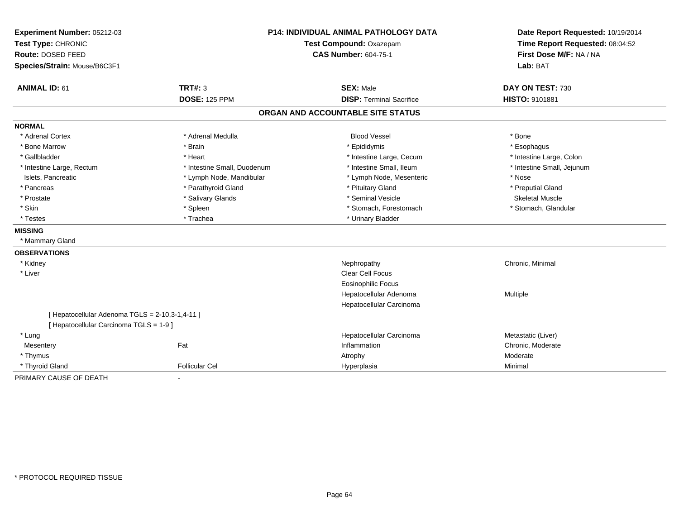| Experiment Number: 05212-03<br>Test Type: CHRONIC<br>Route: DOSED FEED<br>Species/Strain: Mouse/B6C3F1 | <b>P14: INDIVIDUAL ANIMAL PATHOLOGY DATA</b><br>Test Compound: Oxazepam<br><b>CAS Number: 604-75-1</b> |                                   | Date Report Requested: 10/19/2014<br>Time Report Requested: 08:04:52<br>First Dose M/F: NA / NA<br>Lab: BAT |
|--------------------------------------------------------------------------------------------------------|--------------------------------------------------------------------------------------------------------|-----------------------------------|-------------------------------------------------------------------------------------------------------------|
| <b>ANIMAL ID: 61</b>                                                                                   | <b>TRT#: 3</b>                                                                                         | <b>SEX: Male</b>                  | DAY ON TEST: 730                                                                                            |
|                                                                                                        | <b>DOSE: 125 PPM</b>                                                                                   | <b>DISP: Terminal Sacrifice</b>   | HISTO: 9101881                                                                                              |
|                                                                                                        |                                                                                                        | ORGAN AND ACCOUNTABLE SITE STATUS |                                                                                                             |
| <b>NORMAL</b>                                                                                          |                                                                                                        |                                   |                                                                                                             |
| * Adrenal Cortex                                                                                       | * Adrenal Medulla                                                                                      | <b>Blood Vessel</b>               | * Bone                                                                                                      |
| * Bone Marrow                                                                                          | * Brain                                                                                                | * Epididymis                      | * Esophagus                                                                                                 |
| * Gallbladder                                                                                          | * Heart                                                                                                | * Intestine Large, Cecum          | * Intestine Large, Colon                                                                                    |
| * Intestine Large, Rectum                                                                              | * Intestine Small, Duodenum                                                                            | * Intestine Small, Ileum          | * Intestine Small, Jejunum                                                                                  |
| Islets, Pancreatic                                                                                     | * Lymph Node, Mandibular                                                                               | * Lymph Node, Mesenteric          | * Nose                                                                                                      |
| * Pancreas                                                                                             | * Parathyroid Gland                                                                                    | * Pituitary Gland                 | * Preputial Gland                                                                                           |
| * Prostate                                                                                             | * Salivary Glands                                                                                      | * Seminal Vesicle                 | <b>Skeletal Muscle</b>                                                                                      |
| * Skin                                                                                                 | * Spleen                                                                                               | * Stomach, Forestomach            | * Stomach, Glandular                                                                                        |
| * Testes                                                                                               | * Trachea                                                                                              | * Urinary Bladder                 |                                                                                                             |
| <b>MISSING</b>                                                                                         |                                                                                                        |                                   |                                                                                                             |
| * Mammary Gland                                                                                        |                                                                                                        |                                   |                                                                                                             |
| <b>OBSERVATIONS</b>                                                                                    |                                                                                                        |                                   |                                                                                                             |
| * Kidney                                                                                               |                                                                                                        | Nephropathy                       | Chronic, Minimal                                                                                            |
| * Liver                                                                                                |                                                                                                        | <b>Clear Cell Focus</b>           |                                                                                                             |
|                                                                                                        |                                                                                                        | Eosinophilic Focus                |                                                                                                             |
|                                                                                                        |                                                                                                        | Hepatocellular Adenoma            | Multiple                                                                                                    |
|                                                                                                        |                                                                                                        | Hepatocellular Carcinoma          |                                                                                                             |
| [ Hepatocellular Adenoma TGLS = 2-10,3-1,4-11 ]                                                        |                                                                                                        |                                   |                                                                                                             |
| [ Hepatocellular Carcinoma TGLS = 1-9 ]                                                                |                                                                                                        |                                   |                                                                                                             |
| * Lung                                                                                                 |                                                                                                        | Hepatocellular Carcinoma          | Metastatic (Liver)                                                                                          |
| Mesentery                                                                                              | Fat                                                                                                    | Inflammation                      | Chronic, Moderate                                                                                           |
| * Thymus                                                                                               |                                                                                                        | Atrophy                           | Moderate                                                                                                    |
| * Thyroid Gland                                                                                        | <b>Follicular Cel</b>                                                                                  | Hyperplasia                       | Minimal                                                                                                     |
| PRIMARY CAUSE OF DEATH                                                                                 | $\blacksquare$                                                                                         |                                   |                                                                                                             |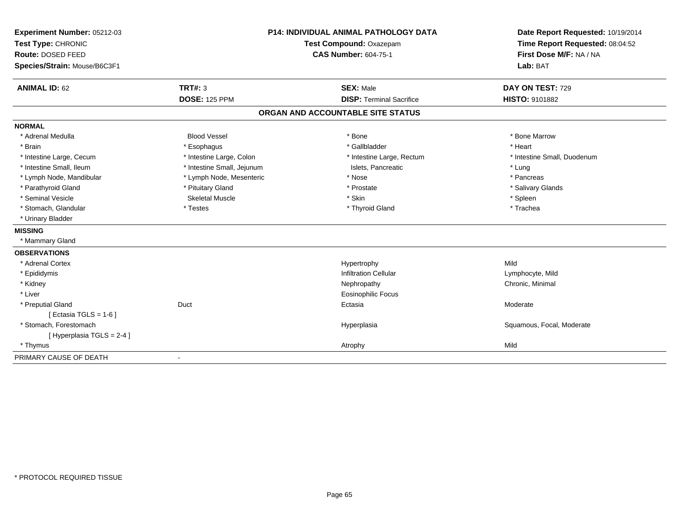| Experiment Number: 05212-03  |                            | <b>P14: INDIVIDUAL ANIMAL PATHOLOGY DATA</b> | Date Report Requested: 10/19/2014 |  |
|------------------------------|----------------------------|----------------------------------------------|-----------------------------------|--|
| Test Type: CHRONIC           | Test Compound: Oxazepam    |                                              | Time Report Requested: 08:04:52   |  |
| Route: DOSED FEED            |                            | <b>CAS Number: 604-75-1</b>                  | First Dose M/F: NA / NA           |  |
| Species/Strain: Mouse/B6C3F1 |                            |                                              | Lab: BAT                          |  |
| <b>ANIMAL ID: 62</b>         | TRT#: 3                    | <b>SEX: Male</b>                             | DAY ON TEST: 729                  |  |
|                              | <b>DOSE: 125 PPM</b>       | <b>DISP: Terminal Sacrifice</b>              | HISTO: 9101882                    |  |
|                              |                            | ORGAN AND ACCOUNTABLE SITE STATUS            |                                   |  |
| <b>NORMAL</b>                |                            |                                              |                                   |  |
| * Adrenal Medulla            | <b>Blood Vessel</b>        | * Bone                                       | * Bone Marrow                     |  |
| * Brain                      | * Esophagus                | * Gallbladder                                | * Heart                           |  |
| * Intestine Large, Cecum     | * Intestine Large, Colon   | * Intestine Large, Rectum                    | * Intestine Small, Duodenum       |  |
| * Intestine Small, Ileum     | * Intestine Small, Jejunum | Islets, Pancreatic                           | * Lung                            |  |
| * Lymph Node, Mandibular     | * Lymph Node, Mesenteric   | * Nose                                       | * Pancreas                        |  |
| * Parathyroid Gland          | * Pituitary Gland          | * Prostate                                   | * Salivary Glands                 |  |
| * Seminal Vesicle            | Skeletal Muscle            | * Skin                                       | * Spleen                          |  |
| * Stomach, Glandular         | * Testes                   | * Thyroid Gland                              | * Trachea                         |  |
| * Urinary Bladder            |                            |                                              |                                   |  |
| <b>MISSING</b>               |                            |                                              |                                   |  |
| * Mammary Gland              |                            |                                              |                                   |  |
| <b>OBSERVATIONS</b>          |                            |                                              |                                   |  |
| * Adrenal Cortex             |                            | Hypertrophy                                  | Mild                              |  |
| * Epididymis                 |                            | <b>Infiltration Cellular</b>                 | Lymphocyte, Mild                  |  |
| * Kidney                     |                            | Nephropathy                                  | Chronic, Minimal                  |  |
| * Liver                      |                            | Eosinophilic Focus                           |                                   |  |
| * Preputial Gland            | Duct                       | Ectasia                                      | Moderate                          |  |
| [ Ectasia TGLS = $1-6$ ]     |                            |                                              |                                   |  |
| * Stomach, Forestomach       |                            | Hyperplasia                                  | Squamous, Focal, Moderate         |  |
| [Hyperplasia TGLS = 2-4]     |                            |                                              |                                   |  |
| * Thymus                     |                            | Atrophy                                      | Mild                              |  |
| PRIMARY CAUSE OF DEATH       |                            |                                              |                                   |  |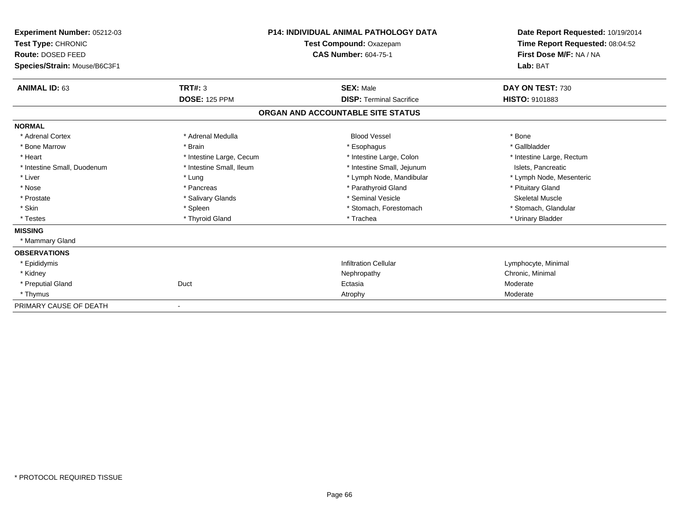| Experiment Number: 05212-03<br>Test Type: CHRONIC<br>Route: DOSED FEED<br>Species/Strain: Mouse/B6C3F1 |                          | <b>P14: INDIVIDUAL ANIMAL PATHOLOGY DATA</b><br>Test Compound: Oxazepam<br><b>CAS Number: 604-75-1</b> | Date Report Requested: 10/19/2014<br>Time Report Requested: 08:04:52<br>First Dose M/F: NA / NA<br>Lab: BAT |
|--------------------------------------------------------------------------------------------------------|--------------------------|--------------------------------------------------------------------------------------------------------|-------------------------------------------------------------------------------------------------------------|
| <b>ANIMAL ID: 63</b>                                                                                   | TRT#: 3                  | <b>SEX: Male</b>                                                                                       | DAY ON TEST: 730                                                                                            |
|                                                                                                        | <b>DOSE: 125 PPM</b>     | <b>DISP: Terminal Sacrifice</b>                                                                        | HISTO: 9101883                                                                                              |
|                                                                                                        |                          | ORGAN AND ACCOUNTABLE SITE STATUS                                                                      |                                                                                                             |
| <b>NORMAL</b>                                                                                          |                          |                                                                                                        |                                                                                                             |
| * Adrenal Cortex                                                                                       | * Adrenal Medulla        | <b>Blood Vessel</b>                                                                                    | * Bone                                                                                                      |
| * Bone Marrow                                                                                          | * Brain                  | * Esophagus                                                                                            | * Gallbladder                                                                                               |
| * Heart                                                                                                | * Intestine Large, Cecum | * Intestine Large, Colon                                                                               | * Intestine Large, Rectum                                                                                   |
| * Intestine Small, Duodenum                                                                            | * Intestine Small, Ileum | * Intestine Small, Jejunum                                                                             | Islets, Pancreatic                                                                                          |
| * Liver                                                                                                | * Lung                   | * Lymph Node, Mandibular                                                                               | * Lymph Node, Mesenteric                                                                                    |
| * Nose                                                                                                 | * Pancreas               | * Parathyroid Gland                                                                                    | * Pituitary Gland                                                                                           |
| * Prostate                                                                                             | * Salivary Glands        | * Seminal Vesicle                                                                                      | <b>Skeletal Muscle</b>                                                                                      |
| * Skin                                                                                                 | * Spleen                 | * Stomach, Forestomach                                                                                 | * Stomach, Glandular                                                                                        |
| * Testes                                                                                               | * Thyroid Gland          | * Trachea                                                                                              | * Urinary Bladder                                                                                           |
| <b>MISSING</b>                                                                                         |                          |                                                                                                        |                                                                                                             |
| * Mammary Gland                                                                                        |                          |                                                                                                        |                                                                                                             |
| <b>OBSERVATIONS</b>                                                                                    |                          |                                                                                                        |                                                                                                             |
| * Epididymis                                                                                           |                          | <b>Infiltration Cellular</b>                                                                           | Lymphocyte, Minimal                                                                                         |
| * Kidney                                                                                               |                          | Nephropathy                                                                                            | Chronic, Minimal                                                                                            |
| * Preputial Gland                                                                                      | Duct                     | Ectasia                                                                                                | Moderate                                                                                                    |
| * Thymus                                                                                               |                          | Atrophy                                                                                                | Moderate                                                                                                    |
| PRIMARY CAUSE OF DEATH                                                                                 |                          |                                                                                                        |                                                                                                             |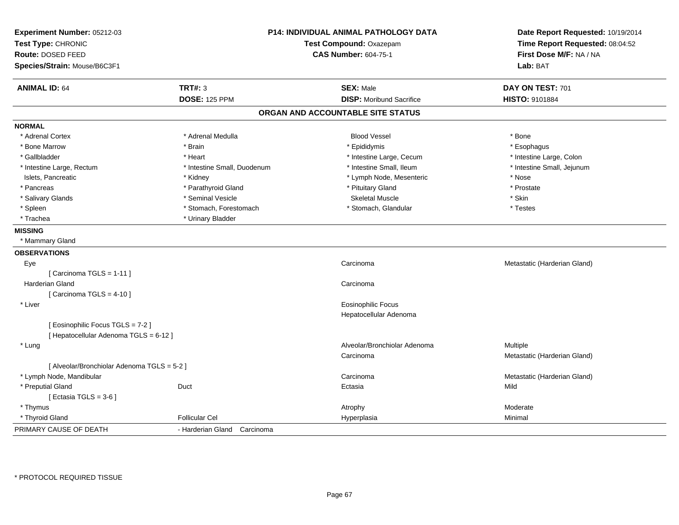| Experiment Number: 05212-03<br>Test Type: CHRONIC<br>Route: DOSED FEED |                                | <b>P14: INDIVIDUAL ANIMAL PATHOLOGY DATA</b><br>Test Compound: Oxazepam<br><b>CAS Number: 604-75-1</b> | Date Report Requested: 10/19/2014<br>Time Report Requested: 08:04:52<br>First Dose M/F: NA / NA |  |
|------------------------------------------------------------------------|--------------------------------|--------------------------------------------------------------------------------------------------------|-------------------------------------------------------------------------------------------------|--|
| Species/Strain: Mouse/B6C3F1                                           |                                |                                                                                                        | Lab: BAT                                                                                        |  |
| <b>ANIMAL ID: 64</b>                                                   | <b>TRT#: 3</b>                 | <b>SEX: Male</b>                                                                                       | DAY ON TEST: 701                                                                                |  |
|                                                                        | <b>DOSE: 125 PPM</b>           | <b>DISP: Moribund Sacrifice</b>                                                                        | <b>HISTO: 9101884</b>                                                                           |  |
|                                                                        |                                | ORGAN AND ACCOUNTABLE SITE STATUS                                                                      |                                                                                                 |  |
| <b>NORMAL</b>                                                          |                                |                                                                                                        |                                                                                                 |  |
| * Adrenal Cortex                                                       | * Adrenal Medulla              | <b>Blood Vessel</b>                                                                                    | * Bone                                                                                          |  |
| * Bone Marrow                                                          | * Brain                        | * Epididymis                                                                                           | * Esophagus                                                                                     |  |
| * Gallbladder                                                          | * Heart                        | * Intestine Large, Cecum                                                                               | * Intestine Large, Colon                                                                        |  |
| * Intestine Large, Rectum                                              | * Intestine Small, Duodenum    | * Intestine Small. Ileum                                                                               | * Intestine Small, Jejunum                                                                      |  |
| Islets, Pancreatic                                                     | * Kidney                       | * Lymph Node, Mesenteric                                                                               | * Nose                                                                                          |  |
| * Pancreas                                                             | * Parathyroid Gland            | * Pituitary Gland                                                                                      | * Prostate                                                                                      |  |
| * Salivary Glands                                                      | * Seminal Vesicle              | <b>Skeletal Muscle</b>                                                                                 | * Skin                                                                                          |  |
| * Spleen                                                               | * Stomach, Forestomach         | * Stomach, Glandular                                                                                   | * Testes                                                                                        |  |
| * Trachea                                                              | * Urinary Bladder              |                                                                                                        |                                                                                                 |  |
| <b>MISSING</b>                                                         |                                |                                                                                                        |                                                                                                 |  |
| * Mammary Gland                                                        |                                |                                                                                                        |                                                                                                 |  |
| <b>OBSERVATIONS</b>                                                    |                                |                                                                                                        |                                                                                                 |  |
| Eye                                                                    |                                | Carcinoma                                                                                              | Metastatic (Harderian Gland)                                                                    |  |
| [Carcinoma TGLS = 1-11]                                                |                                |                                                                                                        |                                                                                                 |  |
| Harderian Gland                                                        |                                | Carcinoma                                                                                              |                                                                                                 |  |
| [Carcinoma TGLS = $4-10$ ]                                             |                                |                                                                                                        |                                                                                                 |  |
| * Liver                                                                |                                | Eosinophilic Focus                                                                                     |                                                                                                 |  |
|                                                                        |                                | Hepatocellular Adenoma                                                                                 |                                                                                                 |  |
| [Eosinophilic Focus TGLS = 7-2]                                        |                                |                                                                                                        |                                                                                                 |  |
| [ Hepatocellular Adenoma TGLS = 6-12 ]                                 |                                |                                                                                                        |                                                                                                 |  |
| * Lung                                                                 |                                | Alveolar/Bronchiolar Adenoma                                                                           | Multiple                                                                                        |  |
|                                                                        |                                | Carcinoma                                                                                              | Metastatic (Harderian Gland)                                                                    |  |
| [ Alveolar/Bronchiolar Adenoma TGLS = 5-2 ]                            |                                |                                                                                                        |                                                                                                 |  |
| * Lymph Node, Mandibular                                               |                                | Carcinoma                                                                                              | Metastatic (Harderian Gland)                                                                    |  |
| * Preputial Gland                                                      | Duct                           | Ectasia                                                                                                | Mild                                                                                            |  |
| [Ectasia TGLS = $3-6$ ]                                                |                                |                                                                                                        |                                                                                                 |  |
| * Thymus                                                               |                                | Atrophy                                                                                                | Moderate                                                                                        |  |
| * Thyroid Gland                                                        | <b>Follicular Cel</b>          | Hyperplasia                                                                                            | Minimal                                                                                         |  |
| PRIMARY CAUSE OF DEATH                                                 | - Harderian Gland<br>Carcinoma |                                                                                                        |                                                                                                 |  |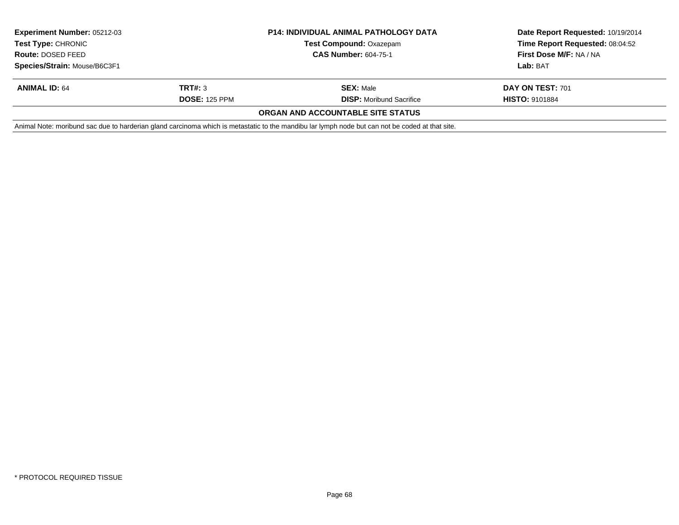| Experiment Number: 05212-03<br><b>Test Type: CHRONIC</b> |                             | <b>P14: INDIVIDUAL ANIMAL PATHOLOGY DATA</b><br><b>Test Compound: Oxazepam</b>                                                                  | Date Report Requested: 10/19/2014<br>Time Report Requested: 08:04:52 |  |
|----------------------------------------------------------|-----------------------------|-------------------------------------------------------------------------------------------------------------------------------------------------|----------------------------------------------------------------------|--|
| <b>Route: DOSED FEED</b>                                 | <b>CAS Number: 604-75-1</b> |                                                                                                                                                 | <b>First Dose M/F: NA / NA</b>                                       |  |
| Species/Strain: Mouse/B6C3F1                             |                             |                                                                                                                                                 | Lab: BAT                                                             |  |
| <b>ANIMAL ID: 64</b>                                     | TRT#: 3                     | <b>SEX: Male</b>                                                                                                                                | DAY ON TEST: 701                                                     |  |
|                                                          | <b>DOSE: 125 PPM</b>        | <b>DISP:</b> Moribund Sacrifice                                                                                                                 | <b>HISTO: 9101884</b>                                                |  |
|                                                          |                             | ORGAN AND ACCOUNTABLE SITE STATUS                                                                                                               |                                                                      |  |
|                                                          |                             | Animal Note: moribund sac due to harderian gland carcinoma which is metastatic to the mandibu lar lymph node but can not be coded at that site. |                                                                      |  |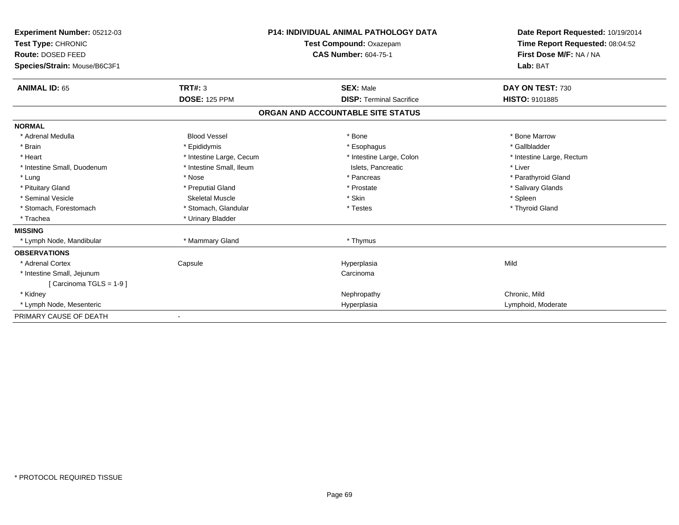| Experiment Number: 05212-03<br>Test Type: CHRONIC<br>Route: DOSED FEED<br>Species/Strain: Mouse/B6C3F1 |                          | <b>P14: INDIVIDUAL ANIMAL PATHOLOGY DATA</b><br>Test Compound: Oxazepam<br><b>CAS Number: 604-75-1</b> | Date Report Requested: 10/19/2014<br>Time Report Requested: 08:04:52<br>First Dose M/F: NA / NA<br>Lab: BAT |
|--------------------------------------------------------------------------------------------------------|--------------------------|--------------------------------------------------------------------------------------------------------|-------------------------------------------------------------------------------------------------------------|
| <b>ANIMAL ID: 65</b>                                                                                   | <b>TRT#: 3</b>           | <b>SEX: Male</b>                                                                                       | DAY ON TEST: 730                                                                                            |
|                                                                                                        | <b>DOSE: 125 PPM</b>     | <b>DISP: Terminal Sacrifice</b>                                                                        | <b>HISTO: 9101885</b>                                                                                       |
|                                                                                                        |                          | ORGAN AND ACCOUNTABLE SITE STATUS                                                                      |                                                                                                             |
| <b>NORMAL</b>                                                                                          |                          |                                                                                                        |                                                                                                             |
| * Adrenal Medulla                                                                                      | <b>Blood Vessel</b>      | * Bone                                                                                                 | * Bone Marrow                                                                                               |
| * Brain                                                                                                | * Epididymis             | * Esophagus                                                                                            | * Gallbladder                                                                                               |
| * Heart                                                                                                | * Intestine Large, Cecum | * Intestine Large, Colon                                                                               | * Intestine Large, Rectum                                                                                   |
| * Intestine Small, Duodenum                                                                            | * Intestine Small, Ileum | Islets, Pancreatic                                                                                     | * Liver                                                                                                     |
| * Lung                                                                                                 | * Nose                   | * Pancreas                                                                                             | * Parathyroid Gland                                                                                         |
| * Pituitary Gland                                                                                      | * Preputial Gland        | * Prostate                                                                                             | * Salivary Glands                                                                                           |
| * Seminal Vesicle                                                                                      | Skeletal Muscle          | * Skin                                                                                                 | * Spleen                                                                                                    |
| * Stomach, Forestomach                                                                                 | * Stomach, Glandular     | * Testes                                                                                               | * Thyroid Gland                                                                                             |
| * Trachea                                                                                              | * Urinary Bladder        |                                                                                                        |                                                                                                             |
| <b>MISSING</b>                                                                                         |                          |                                                                                                        |                                                                                                             |
| * Lymph Node, Mandibular                                                                               | * Mammary Gland          | * Thymus                                                                                               |                                                                                                             |
| <b>OBSERVATIONS</b>                                                                                    |                          |                                                                                                        |                                                                                                             |
| * Adrenal Cortex                                                                                       | Capsule                  | Hyperplasia                                                                                            | Mild                                                                                                        |
| * Intestine Small, Jejunum                                                                             |                          | Carcinoma                                                                                              |                                                                                                             |
| [Carcinoma TGLS = 1-9]                                                                                 |                          |                                                                                                        |                                                                                                             |
| * Kidney                                                                                               |                          | Nephropathy                                                                                            | Chronic, Mild                                                                                               |
| * Lymph Node, Mesenteric                                                                               |                          | Hyperplasia                                                                                            | Lymphoid, Moderate                                                                                          |
| PRIMARY CAUSE OF DEATH                                                                                 |                          |                                                                                                        |                                                                                                             |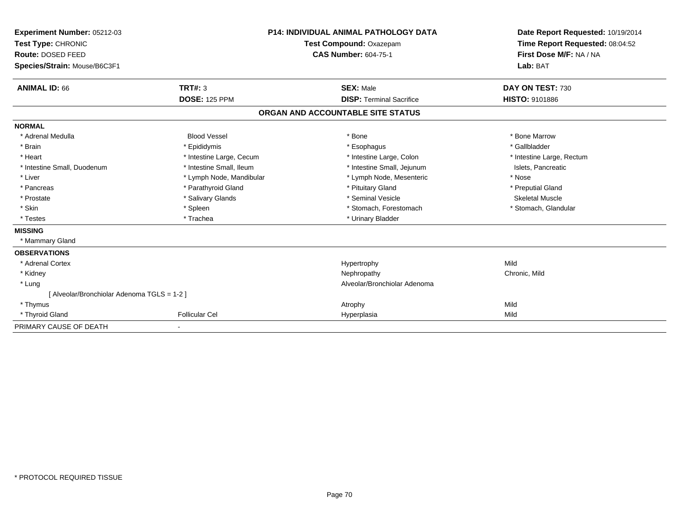| Experiment Number: 05212-03<br>Test Type: CHRONIC<br><b>Route: DOSED FEED</b><br>Species/Strain: Mouse/B6C3F1 |                          | <b>P14: INDIVIDUAL ANIMAL PATHOLOGY DATA</b><br>Test Compound: Oxazepam<br><b>CAS Number: 604-75-1</b> | Date Report Requested: 10/19/2014<br>Time Report Requested: 08:04:52<br>First Dose M/F: NA / NA<br>Lab: BAT |
|---------------------------------------------------------------------------------------------------------------|--------------------------|--------------------------------------------------------------------------------------------------------|-------------------------------------------------------------------------------------------------------------|
| <b>ANIMAL ID: 66</b>                                                                                          | <b>TRT#: 3</b>           | <b>SEX: Male</b>                                                                                       | DAY ON TEST: 730                                                                                            |
|                                                                                                               | <b>DOSE: 125 PPM</b>     | <b>DISP: Terminal Sacrifice</b>                                                                        | <b>HISTO: 9101886</b>                                                                                       |
|                                                                                                               |                          | ORGAN AND ACCOUNTABLE SITE STATUS                                                                      |                                                                                                             |
| <b>NORMAL</b>                                                                                                 |                          |                                                                                                        |                                                                                                             |
| * Adrenal Medulla                                                                                             | <b>Blood Vessel</b>      | * Bone                                                                                                 | * Bone Marrow                                                                                               |
| * Brain                                                                                                       | * Epididymis             | * Esophagus                                                                                            | * Gallbladder                                                                                               |
| * Heart                                                                                                       | * Intestine Large, Cecum | * Intestine Large, Colon                                                                               | * Intestine Large, Rectum                                                                                   |
| * Intestine Small, Duodenum                                                                                   | * Intestine Small, Ileum | * Intestine Small, Jejunum                                                                             | Islets, Pancreatic                                                                                          |
| * Liver                                                                                                       | * Lymph Node, Mandibular | * Lymph Node, Mesenteric                                                                               | * Nose                                                                                                      |
| * Pancreas                                                                                                    | * Parathyroid Gland      | * Pituitary Gland                                                                                      | * Preputial Gland                                                                                           |
| * Prostate                                                                                                    | * Salivary Glands        | * Seminal Vesicle                                                                                      | <b>Skeletal Muscle</b>                                                                                      |
| * Skin                                                                                                        | * Spleen                 | * Stomach, Forestomach                                                                                 | * Stomach, Glandular                                                                                        |
| * Testes                                                                                                      | * Trachea                | * Urinary Bladder                                                                                      |                                                                                                             |
| <b>MISSING</b>                                                                                                |                          |                                                                                                        |                                                                                                             |
| * Mammary Gland                                                                                               |                          |                                                                                                        |                                                                                                             |
| <b>OBSERVATIONS</b>                                                                                           |                          |                                                                                                        |                                                                                                             |
| * Adrenal Cortex                                                                                              |                          | Hypertrophy                                                                                            | Mild                                                                                                        |
| * Kidney                                                                                                      |                          | Nephropathy                                                                                            | Chronic, Mild                                                                                               |
| * Lung                                                                                                        |                          | Alveolar/Bronchiolar Adenoma                                                                           |                                                                                                             |
| [ Alveolar/Bronchiolar Adenoma TGLS = 1-2 ]                                                                   |                          |                                                                                                        |                                                                                                             |
| * Thymus                                                                                                      |                          | Atrophy                                                                                                | Mild                                                                                                        |
| * Thyroid Gland                                                                                               | <b>Follicular Cel</b>    | Hyperplasia                                                                                            | Mild                                                                                                        |
| PRIMARY CAUSE OF DEATH                                                                                        | $\overline{\phantom{a}}$ |                                                                                                        |                                                                                                             |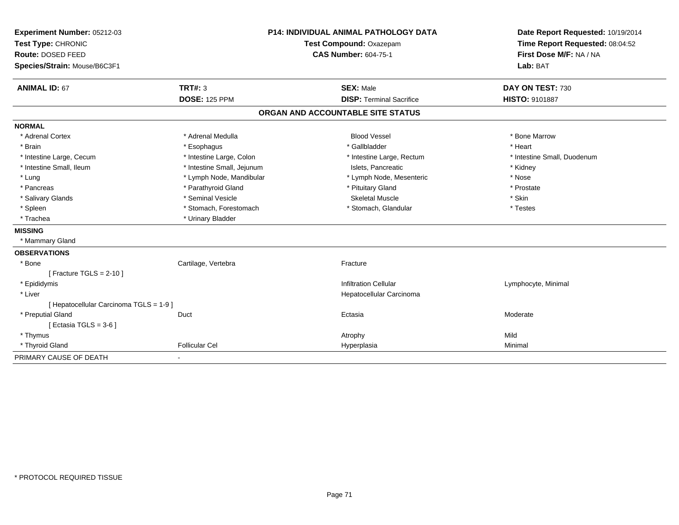| Experiment Number: 05212-03             | <b>P14: INDIVIDUAL ANIMAL PATHOLOGY DATA</b> |                                   | Date Report Requested: 10/19/2014                          |  |
|-----------------------------------------|----------------------------------------------|-----------------------------------|------------------------------------------------------------|--|
| Test Type: CHRONIC                      |                                              | Test Compound: Oxazepam           | Time Report Requested: 08:04:52<br>First Dose M/F: NA / NA |  |
| Route: DOSED FEED                       |                                              | <b>CAS Number: 604-75-1</b>       |                                                            |  |
| Species/Strain: Mouse/B6C3F1            |                                              |                                   | Lab: BAT                                                   |  |
| <b>ANIMAL ID: 67</b>                    | TRT#: 3                                      | <b>SEX: Male</b>                  | DAY ON TEST: 730                                           |  |
|                                         | <b>DOSE: 125 PPM</b>                         | <b>DISP: Terminal Sacrifice</b>   | HISTO: 9101887                                             |  |
|                                         |                                              | ORGAN AND ACCOUNTABLE SITE STATUS |                                                            |  |
| <b>NORMAL</b>                           |                                              |                                   |                                                            |  |
| * Adrenal Cortex                        | * Adrenal Medulla                            | <b>Blood Vessel</b>               | * Bone Marrow                                              |  |
| * Brain                                 | * Esophagus                                  | * Gallbladder                     | * Heart                                                    |  |
| * Intestine Large, Cecum                | * Intestine Large, Colon                     | * Intestine Large, Rectum         | * Intestine Small, Duodenum                                |  |
| * Intestine Small, Ileum                | * Intestine Small, Jejunum                   | Islets. Pancreatic                | * Kidney                                                   |  |
| * Lung                                  | * Lymph Node, Mandibular                     | * Lymph Node, Mesenteric          | * Nose                                                     |  |
| * Pancreas                              | * Parathyroid Gland                          | * Pituitary Gland                 | * Prostate                                                 |  |
| * Salivary Glands                       | * Seminal Vesicle                            | <b>Skeletal Muscle</b>            | * Skin                                                     |  |
| * Spleen                                | * Stomach, Forestomach                       | * Stomach, Glandular              | * Testes                                                   |  |
| * Trachea                               | * Urinary Bladder                            |                                   |                                                            |  |
| <b>MISSING</b>                          |                                              |                                   |                                                            |  |
| * Mammary Gland                         |                                              |                                   |                                                            |  |
| <b>OBSERVATIONS</b>                     |                                              |                                   |                                                            |  |
| * Bone                                  | Cartilage, Vertebra                          | Fracture                          |                                                            |  |
| [ Fracture TGLS = $2-10$ ]              |                                              |                                   |                                                            |  |
| * Epididymis                            |                                              | <b>Infiltration Cellular</b>      | Lymphocyte, Minimal                                        |  |
| * Liver                                 |                                              | Hepatocellular Carcinoma          |                                                            |  |
| [ Hepatocellular Carcinoma TGLS = 1-9 ] |                                              |                                   |                                                            |  |
| * Preputial Gland                       | Duct                                         | Ectasia                           | Moderate                                                   |  |
| [ Ectasia TGLS = $3-6$ ]                |                                              |                                   |                                                            |  |
| * Thymus                                |                                              | Atrophy                           | Mild                                                       |  |
| * Thyroid Gland                         | <b>Follicular Cel</b>                        | Hyperplasia                       | Minimal                                                    |  |
| PRIMARY CAUSE OF DEATH                  | $\overline{\phantom{a}}$                     |                                   |                                                            |  |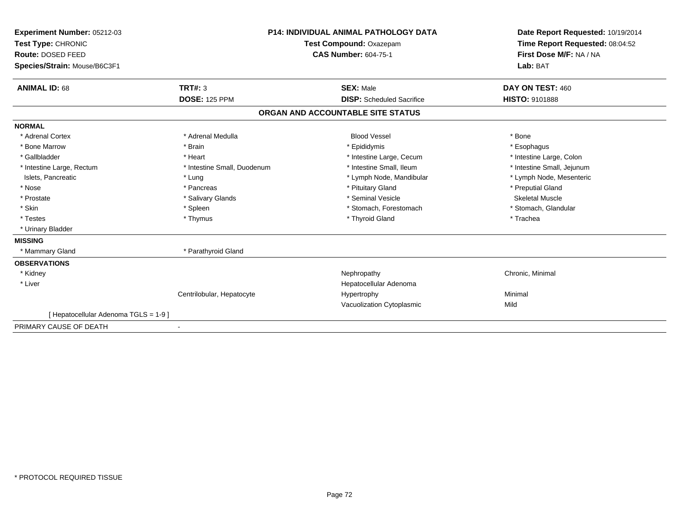| Experiment Number: 05212-03<br>Test Type: CHRONIC<br>Route: DOSED FEED<br>Species/Strain: Mouse/B6C3F1 |                             | <b>P14: INDIVIDUAL ANIMAL PATHOLOGY DATA</b><br>Test Compound: Oxazepam<br><b>CAS Number: 604-75-1</b> | Date Report Requested: 10/19/2014<br>Time Report Requested: 08:04:52<br>First Dose M/F: NA / NA<br>Lab: BAT |
|--------------------------------------------------------------------------------------------------------|-----------------------------|--------------------------------------------------------------------------------------------------------|-------------------------------------------------------------------------------------------------------------|
| <b>ANIMAL ID: 68</b>                                                                                   | <b>TRT#: 3</b>              | <b>SEX: Male</b>                                                                                       | DAY ON TEST: 460                                                                                            |
|                                                                                                        | <b>DOSE: 125 PPM</b>        | <b>DISP:</b> Scheduled Sacrifice                                                                       | <b>HISTO: 9101888</b>                                                                                       |
|                                                                                                        |                             | ORGAN AND ACCOUNTABLE SITE STATUS                                                                      |                                                                                                             |
| <b>NORMAL</b>                                                                                          |                             |                                                                                                        |                                                                                                             |
| * Adrenal Cortex                                                                                       | * Adrenal Medulla           | <b>Blood Vessel</b>                                                                                    | * Bone                                                                                                      |
| * Bone Marrow                                                                                          | * Brain                     | * Epididymis                                                                                           | * Esophagus                                                                                                 |
| * Gallbladder                                                                                          | * Heart                     | * Intestine Large, Cecum                                                                               | * Intestine Large, Colon                                                                                    |
| * Intestine Large, Rectum                                                                              | * Intestine Small, Duodenum | * Intestine Small. Ileum                                                                               | * Intestine Small, Jejunum                                                                                  |
| Islets, Pancreatic                                                                                     | * Lung                      | * Lymph Node, Mandibular                                                                               | * Lymph Node, Mesenteric                                                                                    |
| * Nose                                                                                                 | * Pancreas                  | * Pituitary Gland                                                                                      | * Preputial Gland                                                                                           |
| * Prostate                                                                                             | * Salivary Glands           | * Seminal Vesicle                                                                                      | <b>Skeletal Muscle</b>                                                                                      |
| * Skin                                                                                                 | * Spleen                    | * Stomach, Forestomach                                                                                 | * Stomach, Glandular                                                                                        |
| * Testes                                                                                               | * Thymus                    | * Thyroid Gland                                                                                        | * Trachea                                                                                                   |
| * Urinary Bladder                                                                                      |                             |                                                                                                        |                                                                                                             |
| <b>MISSING</b>                                                                                         |                             |                                                                                                        |                                                                                                             |
| * Mammary Gland                                                                                        | * Parathyroid Gland         |                                                                                                        |                                                                                                             |
| <b>OBSERVATIONS</b>                                                                                    |                             |                                                                                                        |                                                                                                             |
| * Kidney                                                                                               |                             | Nephropathy                                                                                            | Chronic, Minimal                                                                                            |
| * Liver                                                                                                |                             | Hepatocellular Adenoma                                                                                 |                                                                                                             |
|                                                                                                        | Centrilobular, Hepatocyte   | Hypertrophy                                                                                            | Minimal                                                                                                     |
|                                                                                                        |                             | Vacuolization Cytoplasmic                                                                              | Mild                                                                                                        |
| [Hepatocellular Adenoma TGLS = 1-9]                                                                    |                             |                                                                                                        |                                                                                                             |
| PRIMARY CAUSE OF DEATH                                                                                 | $\overline{\phantom{a}}$    |                                                                                                        |                                                                                                             |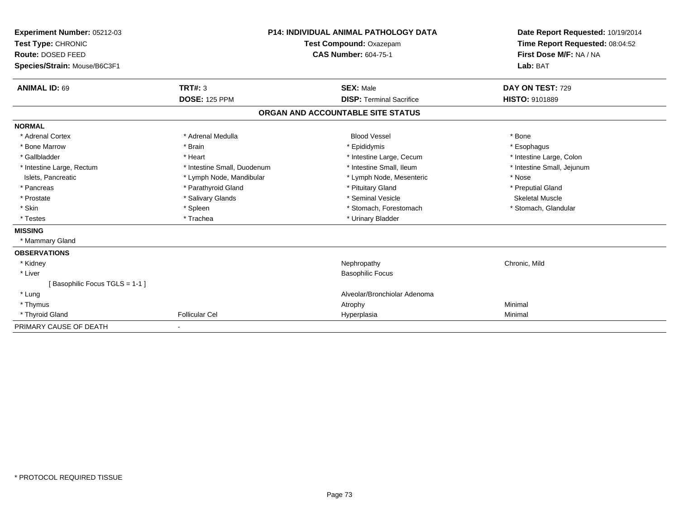| Experiment Number: 05212-03<br>Test Type: CHRONIC |                             | <b>P14: INDIVIDUAL ANIMAL PATHOLOGY DATA</b><br>Test Compound: Oxazepam | Date Report Requested: 10/19/2014<br>Time Report Requested: 08:04:52 |
|---------------------------------------------------|-----------------------------|-------------------------------------------------------------------------|----------------------------------------------------------------------|
| Route: DOSED FEED                                 |                             | <b>CAS Number: 604-75-1</b>                                             | First Dose M/F: NA / NA                                              |
| Species/Strain: Mouse/B6C3F1                      |                             |                                                                         | Lab: BAT                                                             |
|                                                   |                             |                                                                         |                                                                      |
| <b>ANIMAL ID: 69</b>                              | <b>TRT#: 3</b>              | <b>SEX: Male</b>                                                        | DAY ON TEST: 729                                                     |
|                                                   | <b>DOSE: 125 PPM</b>        | <b>DISP: Terminal Sacrifice</b>                                         | <b>HISTO: 9101889</b>                                                |
|                                                   |                             | ORGAN AND ACCOUNTABLE SITE STATUS                                       |                                                                      |
| <b>NORMAL</b>                                     |                             |                                                                         |                                                                      |
| * Adrenal Cortex                                  | * Adrenal Medulla           | <b>Blood Vessel</b>                                                     | * Bone                                                               |
| * Bone Marrow                                     | * Brain                     | * Epididymis                                                            | * Esophagus                                                          |
| * Gallbladder                                     | * Heart                     | * Intestine Large, Cecum                                                | * Intestine Large, Colon                                             |
| * Intestine Large, Rectum                         | * Intestine Small, Duodenum | * Intestine Small. Ileum                                                | * Intestine Small, Jejunum                                           |
| Islets, Pancreatic                                | * Lymph Node, Mandibular    | * Lymph Node, Mesenteric                                                | * Nose                                                               |
| * Pancreas                                        | * Parathyroid Gland         | * Pituitary Gland                                                       | * Preputial Gland                                                    |
| * Prostate                                        | * Salivary Glands           | * Seminal Vesicle                                                       | <b>Skeletal Muscle</b>                                               |
| * Skin                                            | * Spleen                    | * Stomach, Forestomach                                                  | * Stomach, Glandular                                                 |
| * Testes                                          | * Trachea                   | * Urinary Bladder                                                       |                                                                      |
| <b>MISSING</b>                                    |                             |                                                                         |                                                                      |
| * Mammary Gland                                   |                             |                                                                         |                                                                      |
| <b>OBSERVATIONS</b>                               |                             |                                                                         |                                                                      |
| * Kidney                                          |                             | Nephropathy                                                             | Chronic, Mild                                                        |
| * Liver                                           |                             | <b>Basophilic Focus</b>                                                 |                                                                      |
| [Basophilic Focus TGLS = 1-1]                     |                             |                                                                         |                                                                      |
| * Lung                                            |                             | Alveolar/Bronchiolar Adenoma                                            |                                                                      |
| * Thymus                                          |                             | Atrophy                                                                 | Minimal                                                              |
| * Thyroid Gland                                   | <b>Follicular Cel</b>       | Hyperplasia                                                             | Minimal                                                              |
| PRIMARY CAUSE OF DEATH                            |                             |                                                                         |                                                                      |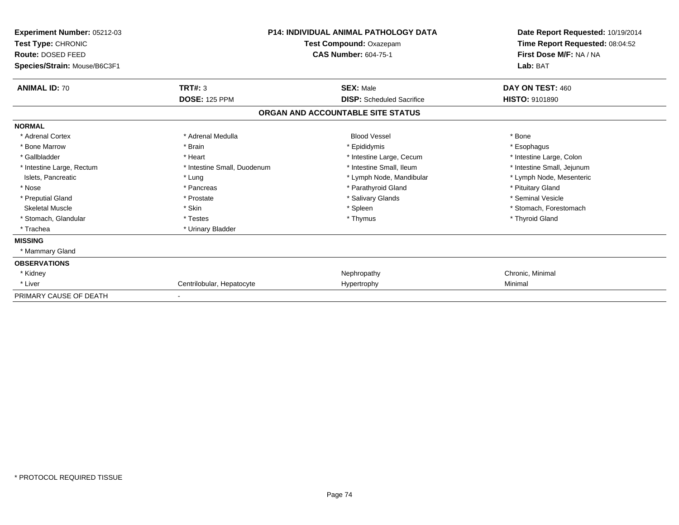| Experiment Number: 05212-03<br>Test Type: CHRONIC<br>Route: DOSED FEED<br>Species/Strain: Mouse/B6C3F1 | <b>P14: INDIVIDUAL ANIMAL PATHOLOGY DATA</b><br>Test Compound: Oxazepam<br><b>CAS Number: 604-75-1</b> |                                   | Date Report Requested: 10/19/2014<br>Time Report Requested: 08:04:52<br>First Dose M/F: NA / NA<br>Lab: BAT |
|--------------------------------------------------------------------------------------------------------|--------------------------------------------------------------------------------------------------------|-----------------------------------|-------------------------------------------------------------------------------------------------------------|
| <b>ANIMAL ID: 70</b>                                                                                   | <b>TRT#: 3</b>                                                                                         | <b>SEX: Male</b>                  | DAY ON TEST: 460                                                                                            |
|                                                                                                        | <b>DOSE: 125 PPM</b>                                                                                   | <b>DISP:</b> Scheduled Sacrifice  | <b>HISTO: 9101890</b>                                                                                       |
|                                                                                                        |                                                                                                        | ORGAN AND ACCOUNTABLE SITE STATUS |                                                                                                             |
| <b>NORMAL</b>                                                                                          |                                                                                                        |                                   |                                                                                                             |
| * Adrenal Cortex                                                                                       | * Adrenal Medulla                                                                                      | <b>Blood Vessel</b>               | * Bone                                                                                                      |
| * Bone Marrow                                                                                          | * Brain                                                                                                | * Epididymis                      | * Esophagus                                                                                                 |
| * Gallbladder                                                                                          | * Heart                                                                                                | * Intestine Large, Cecum          | * Intestine Large, Colon                                                                                    |
| * Intestine Large, Rectum                                                                              | * Intestine Small, Duodenum                                                                            | * Intestine Small, Ileum          | * Intestine Small, Jejunum                                                                                  |
| Islets, Pancreatic                                                                                     | * Lung                                                                                                 | * Lymph Node, Mandibular          | * Lymph Node, Mesenteric                                                                                    |
| * Nose                                                                                                 | * Pancreas                                                                                             | * Parathyroid Gland               | * Pituitary Gland                                                                                           |
| * Preputial Gland                                                                                      | * Prostate                                                                                             | * Salivary Glands                 | * Seminal Vesicle                                                                                           |
| <b>Skeletal Muscle</b>                                                                                 | * Skin                                                                                                 | * Spleen                          | * Stomach, Forestomach                                                                                      |
| * Stomach, Glandular                                                                                   | * Testes                                                                                               | * Thymus                          | * Thyroid Gland                                                                                             |
| * Trachea                                                                                              | * Urinary Bladder                                                                                      |                                   |                                                                                                             |
| <b>MISSING</b>                                                                                         |                                                                                                        |                                   |                                                                                                             |
| * Mammary Gland                                                                                        |                                                                                                        |                                   |                                                                                                             |
| <b>OBSERVATIONS</b>                                                                                    |                                                                                                        |                                   |                                                                                                             |
| * Kidney                                                                                               |                                                                                                        | Nephropathy                       | Chronic, Minimal                                                                                            |
| * Liver                                                                                                | Centrilobular, Hepatocyte                                                                              | Hypertrophy                       | Minimal                                                                                                     |
| PRIMARY CAUSE OF DEATH                                                                                 |                                                                                                        |                                   |                                                                                                             |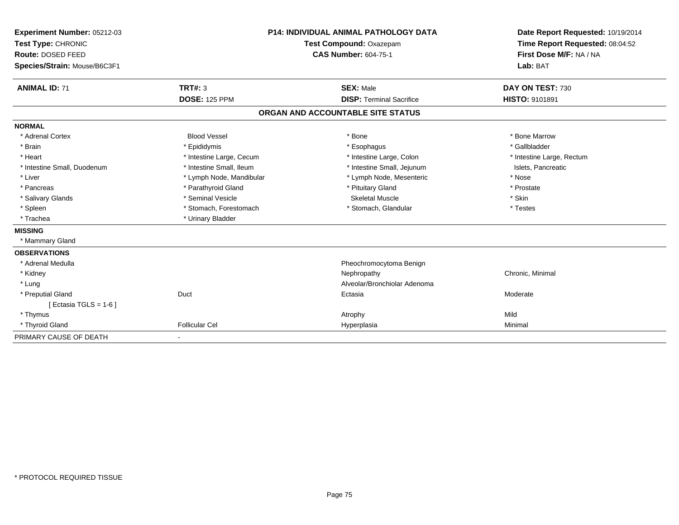| Experiment Number: 05212-03<br>Test Type: CHRONIC<br>Route: DOSED FEED<br>Species/Strain: Mouse/B6C3F1 |                          | <b>P14: INDIVIDUAL ANIMAL PATHOLOGY DATA</b><br>Test Compound: Oxazepam<br><b>CAS Number: 604-75-1</b> | Date Report Requested: 10/19/2014<br>Time Report Requested: 08:04:52<br>First Dose M/F: NA / NA<br>Lab: BAT |
|--------------------------------------------------------------------------------------------------------|--------------------------|--------------------------------------------------------------------------------------------------------|-------------------------------------------------------------------------------------------------------------|
| <b>ANIMAL ID: 71</b>                                                                                   | <b>TRT#: 3</b>           | <b>SEX: Male</b>                                                                                       | DAY ON TEST: 730                                                                                            |
|                                                                                                        | <b>DOSE: 125 PPM</b>     | <b>DISP: Terminal Sacrifice</b>                                                                        | <b>HISTO: 9101891</b>                                                                                       |
|                                                                                                        |                          | ORGAN AND ACCOUNTABLE SITE STATUS                                                                      |                                                                                                             |
| <b>NORMAL</b>                                                                                          |                          |                                                                                                        |                                                                                                             |
| * Adrenal Cortex                                                                                       | <b>Blood Vessel</b>      | * Bone                                                                                                 | * Bone Marrow                                                                                               |
| * Brain                                                                                                | * Epididymis             | * Esophagus                                                                                            | * Gallbladder                                                                                               |
| * Heart                                                                                                | * Intestine Large, Cecum | * Intestine Large, Colon                                                                               | * Intestine Large, Rectum                                                                                   |
| * Intestine Small, Duodenum                                                                            | * Intestine Small, Ileum | * Intestine Small, Jejunum                                                                             | Islets, Pancreatic                                                                                          |
| * Liver                                                                                                | * Lymph Node, Mandibular | * Lymph Node, Mesenteric                                                                               | * Nose                                                                                                      |
| * Pancreas                                                                                             | * Parathyroid Gland      | * Pituitary Gland                                                                                      | * Prostate                                                                                                  |
| * Salivary Glands                                                                                      | * Seminal Vesicle        | <b>Skeletal Muscle</b>                                                                                 | * Skin                                                                                                      |
| * Spleen                                                                                               | * Stomach, Forestomach   | * Stomach, Glandular                                                                                   | * Testes                                                                                                    |
| * Trachea                                                                                              | * Urinary Bladder        |                                                                                                        |                                                                                                             |
| <b>MISSING</b>                                                                                         |                          |                                                                                                        |                                                                                                             |
| * Mammary Gland                                                                                        |                          |                                                                                                        |                                                                                                             |
| <b>OBSERVATIONS</b>                                                                                    |                          |                                                                                                        |                                                                                                             |
| * Adrenal Medulla                                                                                      |                          | Pheochromocytoma Benign                                                                                |                                                                                                             |
| * Kidney                                                                                               |                          | Nephropathy                                                                                            | Chronic, Minimal                                                                                            |
| * Lung                                                                                                 |                          | Alveolar/Bronchiolar Adenoma                                                                           |                                                                                                             |
| * Preputial Gland                                                                                      | Duct                     | Ectasia                                                                                                | Moderate                                                                                                    |
| [ Ectasia TGLS = $1-6$ ]                                                                               |                          |                                                                                                        |                                                                                                             |
| * Thymus                                                                                               |                          | Atrophy                                                                                                | Mild                                                                                                        |
| * Thyroid Gland                                                                                        | <b>Follicular Cel</b>    | Hyperplasia                                                                                            | Minimal                                                                                                     |
| PRIMARY CAUSE OF DEATH                                                                                 |                          |                                                                                                        |                                                                                                             |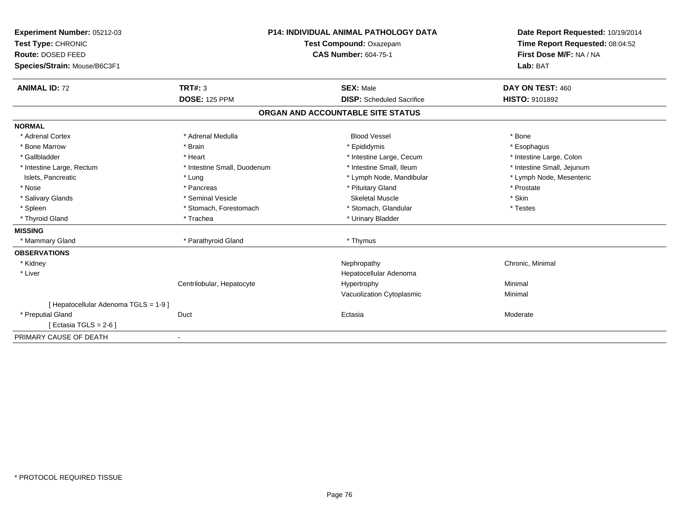| Experiment Number: 05212-03<br>Test Type: CHRONIC<br>Route: DOSED FEED<br>Species/Strain: Mouse/B6C3F1<br><b>ANIMAL ID: 72</b> | <b>TRT#: 3</b>              | <b>P14: INDIVIDUAL ANIMAL PATHOLOGY DATA</b><br>Test Compound: Oxazepam<br><b>CAS Number: 604-75-1</b><br><b>SEX: Male</b> | Date Report Requested: 10/19/2014<br>Time Report Requested: 08:04:52<br>First Dose M/F: NA / NA<br>Lab: BAT<br>DAY ON TEST: 460 |
|--------------------------------------------------------------------------------------------------------------------------------|-----------------------------|----------------------------------------------------------------------------------------------------------------------------|---------------------------------------------------------------------------------------------------------------------------------|
|                                                                                                                                | <b>DOSE: 125 PPM</b>        | <b>DISP:</b> Scheduled Sacrifice                                                                                           | HISTO: 9101892                                                                                                                  |
|                                                                                                                                |                             | ORGAN AND ACCOUNTABLE SITE STATUS                                                                                          |                                                                                                                                 |
| <b>NORMAL</b>                                                                                                                  |                             |                                                                                                                            |                                                                                                                                 |
| * Adrenal Cortex                                                                                                               | * Adrenal Medulla           | <b>Blood Vessel</b>                                                                                                        | * Bone                                                                                                                          |
| * Bone Marrow                                                                                                                  | * Brain                     | * Epididymis                                                                                                               | * Esophagus                                                                                                                     |
| * Gallbladder                                                                                                                  | * Heart                     | * Intestine Large, Cecum                                                                                                   | * Intestine Large, Colon                                                                                                        |
| * Intestine Large, Rectum                                                                                                      | * Intestine Small, Duodenum | * Intestine Small, Ileum                                                                                                   | * Intestine Small, Jejunum                                                                                                      |
| Islets, Pancreatic                                                                                                             | * Lung                      | * Lymph Node, Mandibular                                                                                                   | * Lymph Node, Mesenteric                                                                                                        |
| * Nose                                                                                                                         | * Pancreas                  | * Pituitary Gland                                                                                                          | * Prostate                                                                                                                      |
| * Salivary Glands                                                                                                              | * Seminal Vesicle           | <b>Skeletal Muscle</b>                                                                                                     | * Skin                                                                                                                          |
| * Spleen                                                                                                                       | * Stomach, Forestomach      | * Stomach, Glandular                                                                                                       | * Testes                                                                                                                        |
| * Thyroid Gland                                                                                                                | * Trachea                   | * Urinary Bladder                                                                                                          |                                                                                                                                 |
| <b>MISSING</b>                                                                                                                 |                             |                                                                                                                            |                                                                                                                                 |
| * Mammary Gland                                                                                                                | * Parathyroid Gland         | * Thymus                                                                                                                   |                                                                                                                                 |
| <b>OBSERVATIONS</b>                                                                                                            |                             |                                                                                                                            |                                                                                                                                 |
| * Kidney                                                                                                                       |                             | Nephropathy                                                                                                                | Chronic, Minimal                                                                                                                |
| * Liver                                                                                                                        |                             | Hepatocellular Adenoma                                                                                                     |                                                                                                                                 |
|                                                                                                                                | Centrilobular, Hepatocyte   | Hypertrophy                                                                                                                | Minimal                                                                                                                         |
|                                                                                                                                |                             | Vacuolization Cytoplasmic                                                                                                  | Minimal                                                                                                                         |
| [ Hepatocellular Adenoma TGLS = 1-9 ]                                                                                          |                             |                                                                                                                            |                                                                                                                                 |
| * Preputial Gland                                                                                                              | Duct                        | Ectasia                                                                                                                    | Moderate                                                                                                                        |
| [Ectasia TGLS = $2-6$ ]                                                                                                        |                             |                                                                                                                            |                                                                                                                                 |
| PRIMARY CAUSE OF DEATH                                                                                                         | $\blacksquare$              |                                                                                                                            |                                                                                                                                 |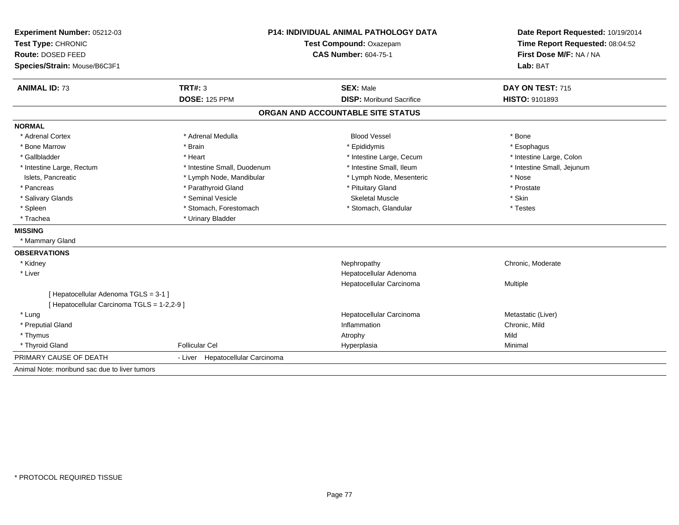| Experiment Number: 05212-03                   | <b>P14: INDIVIDUAL ANIMAL PATHOLOGY DATA</b> |                                   | Date Report Requested: 10/19/2014<br>Time Report Requested: 08:04:52 |
|-----------------------------------------------|----------------------------------------------|-----------------------------------|----------------------------------------------------------------------|
| Test Type: CHRONIC                            |                                              | Test Compound: Oxazepam           |                                                                      |
| <b>Route: DOSED FEED</b>                      |                                              | <b>CAS Number: 604-75-1</b>       | First Dose M/F: NA / NA                                              |
| Species/Strain: Mouse/B6C3F1                  |                                              |                                   | Lab: BAT                                                             |
| <b>ANIMAL ID: 73</b>                          | <b>TRT#: 3</b>                               | <b>SEX: Male</b>                  | DAY ON TEST: 715                                                     |
|                                               | <b>DOSE: 125 PPM</b>                         | <b>DISP:</b> Moribund Sacrifice   | <b>HISTO: 9101893</b>                                                |
|                                               |                                              | ORGAN AND ACCOUNTABLE SITE STATUS |                                                                      |
| <b>NORMAL</b>                                 |                                              |                                   |                                                                      |
| * Adrenal Cortex                              | * Adrenal Medulla                            | <b>Blood Vessel</b>               | * Bone                                                               |
| * Bone Marrow                                 | * Brain                                      | * Epididymis                      | * Esophagus                                                          |
| * Gallbladder                                 | * Heart                                      | * Intestine Large, Cecum          | * Intestine Large, Colon                                             |
| * Intestine Large, Rectum                     | * Intestine Small, Duodenum                  | * Intestine Small, Ileum          | * Intestine Small, Jejunum                                           |
| Islets, Pancreatic                            | * Lymph Node, Mandibular                     | * Lymph Node, Mesenteric          | * Nose                                                               |
| * Pancreas                                    | * Parathyroid Gland                          | * Pituitary Gland                 | * Prostate                                                           |
| * Salivary Glands                             | * Seminal Vesicle                            | <b>Skeletal Muscle</b>            | * Skin                                                               |
| * Spleen                                      | * Stomach, Forestomach                       | * Stomach, Glandular              | * Testes                                                             |
| * Trachea                                     | * Urinary Bladder                            |                                   |                                                                      |
| <b>MISSING</b>                                |                                              |                                   |                                                                      |
| * Mammary Gland                               |                                              |                                   |                                                                      |
| <b>OBSERVATIONS</b>                           |                                              |                                   |                                                                      |
| * Kidney                                      |                                              | Nephropathy                       | Chronic, Moderate                                                    |
| * Liver                                       |                                              | Hepatocellular Adenoma            |                                                                      |
|                                               |                                              | Hepatocellular Carcinoma          | Multiple                                                             |
| [ Hepatocellular Adenoma TGLS = 3-1 ]         |                                              |                                   |                                                                      |
| [ Hepatocellular Carcinoma TGLS = 1-2,2-9 ]   |                                              |                                   |                                                                      |
| * Lung                                        |                                              | Hepatocellular Carcinoma          | Metastatic (Liver)                                                   |
| * Preputial Gland                             |                                              | Inflammation                      | Chronic, Mild                                                        |
| * Thymus                                      |                                              | Atrophy                           | Mild                                                                 |
| * Thyroid Gland                               | <b>Follicular Cel</b>                        | Hyperplasia                       | Minimal                                                              |
| PRIMARY CAUSE OF DEATH                        | - Liver Hepatocellular Carcinoma             |                                   |                                                                      |
| Animal Note: moribund sac due to liver tumors |                                              |                                   |                                                                      |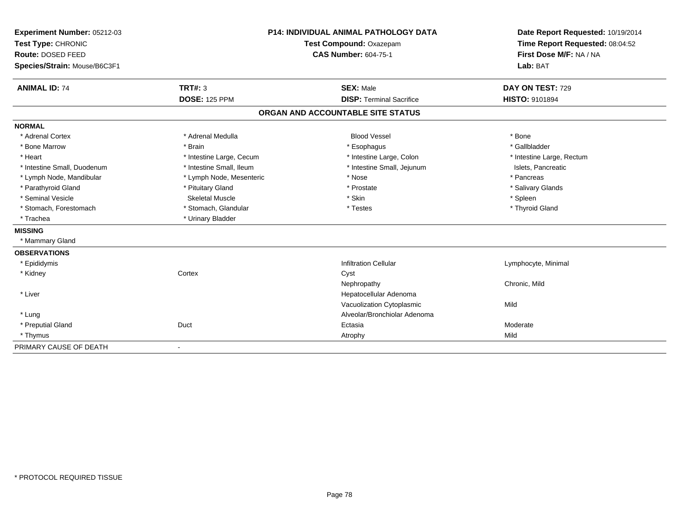| Experiment Number: 05212-03  |                          | <b>P14: INDIVIDUAL ANIMAL PATHOLOGY DATA</b> | Date Report Requested: 10/19/2014 |
|------------------------------|--------------------------|----------------------------------------------|-----------------------------------|
| Test Type: CHRONIC           |                          | Test Compound: Oxazepam                      | Time Report Requested: 08:04:52   |
| Route: DOSED FEED            |                          | <b>CAS Number: 604-75-1</b>                  | First Dose M/F: NA / NA           |
| Species/Strain: Mouse/B6C3F1 |                          |                                              | Lab: BAT                          |
| <b>ANIMAL ID: 74</b>         | <b>TRT#: 3</b>           | <b>SEX: Male</b>                             | DAY ON TEST: 729                  |
|                              | <b>DOSE: 125 PPM</b>     | <b>DISP: Terminal Sacrifice</b>              | <b>HISTO: 9101894</b>             |
|                              |                          | ORGAN AND ACCOUNTABLE SITE STATUS            |                                   |
| <b>NORMAL</b>                |                          |                                              |                                   |
| * Adrenal Cortex             | * Adrenal Medulla        | <b>Blood Vessel</b>                          | * Bone                            |
| * Bone Marrow                | * Brain                  | * Esophagus                                  | * Gallbladder                     |
| * Heart                      | * Intestine Large, Cecum | * Intestine Large, Colon                     | * Intestine Large, Rectum         |
| * Intestine Small, Duodenum  | * Intestine Small, Ileum | * Intestine Small, Jejunum                   | Islets, Pancreatic                |
| * Lymph Node, Mandibular     | * Lymph Node, Mesenteric | * Nose                                       | * Pancreas                        |
| * Parathyroid Gland          | * Pituitary Gland        | * Prostate                                   | * Salivary Glands                 |
| * Seminal Vesicle            | Skeletal Muscle          | * Skin                                       | * Spleen                          |
| * Stomach, Forestomach       | * Stomach, Glandular     | * Testes                                     | * Thyroid Gland                   |
| * Trachea                    | * Urinary Bladder        |                                              |                                   |
| <b>MISSING</b>               |                          |                                              |                                   |
| * Mammary Gland              |                          |                                              |                                   |
| <b>OBSERVATIONS</b>          |                          |                                              |                                   |
| * Epididymis                 |                          | <b>Infiltration Cellular</b>                 | Lymphocyte, Minimal               |
| * Kidney                     | Cortex                   | Cyst                                         |                                   |
|                              |                          | Nephropathy                                  | Chronic, Mild                     |
| * Liver                      |                          | Hepatocellular Adenoma                       |                                   |
|                              |                          | Vacuolization Cytoplasmic                    | Mild                              |
| * Lung                       |                          | Alveolar/Bronchiolar Adenoma                 |                                   |
| * Preputial Gland            | Duct                     | Ectasia                                      | Moderate                          |
| * Thymus                     |                          | Atrophy                                      | Mild                              |
| PRIMARY CAUSE OF DEATH       |                          |                                              |                                   |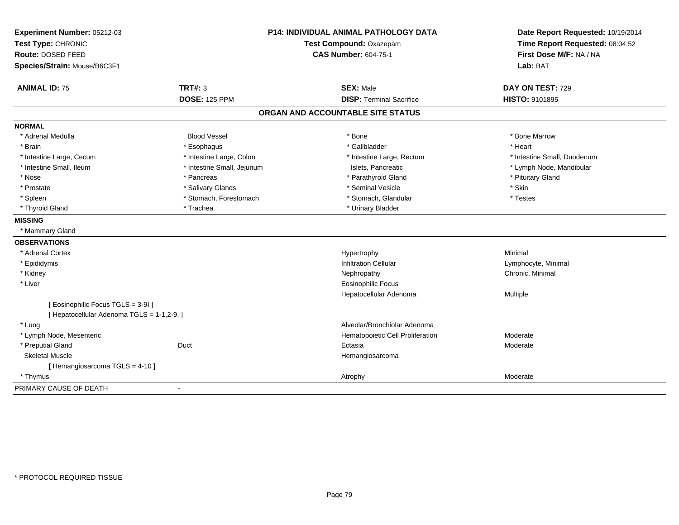| Experiment Number: 05212-03                | <b>P14: INDIVIDUAL ANIMAL PATHOLOGY DATA</b><br>Test Compound: Oxazepam |                                   | Date Report Requested: 10/19/2014 |
|--------------------------------------------|-------------------------------------------------------------------------|-----------------------------------|-----------------------------------|
| Test Type: CHRONIC                         |                                                                         |                                   | Time Report Requested: 08:04:52   |
| <b>Route: DOSED FEED</b>                   |                                                                         | <b>CAS Number: 604-75-1</b>       | First Dose M/F: NA / NA           |
| Species/Strain: Mouse/B6C3F1               |                                                                         |                                   | Lab: BAT                          |
| <b>ANIMAL ID: 75</b>                       | <b>TRT#: 3</b>                                                          | <b>SEX: Male</b>                  | DAY ON TEST: 729                  |
|                                            | <b>DOSE: 125 PPM</b>                                                    | <b>DISP: Terminal Sacrifice</b>   | <b>HISTO: 9101895</b>             |
|                                            |                                                                         | ORGAN AND ACCOUNTABLE SITE STATUS |                                   |
| <b>NORMAL</b>                              |                                                                         |                                   |                                   |
| * Adrenal Medulla                          | <b>Blood Vessel</b>                                                     | * Bone                            | * Bone Marrow                     |
| * Brain                                    | * Esophagus                                                             | * Gallbladder                     | * Heart                           |
| * Intestine Large, Cecum                   | * Intestine Large, Colon                                                | * Intestine Large, Rectum         | * Intestine Small, Duodenum       |
| * Intestine Small, Ileum                   | * Intestine Small, Jejunum                                              | Islets, Pancreatic                | * Lymph Node, Mandibular          |
| * Nose                                     | * Pancreas                                                              | * Parathyroid Gland               | * Pituitary Gland                 |
| * Prostate                                 | * Salivary Glands                                                       | * Seminal Vesicle                 | * Skin                            |
| * Spleen                                   | * Stomach, Forestomach                                                  | * Stomach, Glandular              | * Testes                          |
| * Thyroid Gland                            | * Trachea                                                               | * Urinary Bladder                 |                                   |
| <b>MISSING</b>                             |                                                                         |                                   |                                   |
| * Mammary Gland                            |                                                                         |                                   |                                   |
| <b>OBSERVATIONS</b>                        |                                                                         |                                   |                                   |
| * Adrenal Cortex                           |                                                                         | Hypertrophy                       | Minimal                           |
| * Epididymis                               |                                                                         | <b>Infiltration Cellular</b>      | Lymphocyte, Minimal               |
| * Kidney                                   |                                                                         | Nephropathy                       | Chronic, Minimal                  |
| * Liver                                    |                                                                         | <b>Eosinophilic Focus</b>         |                                   |
|                                            |                                                                         | Hepatocellular Adenoma            | Multiple                          |
| [ Eosinophilic Focus TGLS = 3-91]          |                                                                         |                                   |                                   |
| [ Hepatocellular Adenoma TGLS = 1-1,2-9, ] |                                                                         |                                   |                                   |
| * Luna                                     |                                                                         | Alveolar/Bronchiolar Adenoma      |                                   |
| * Lymph Node, Mesenteric                   |                                                                         | Hematopoietic Cell Proliferation  | Moderate                          |
| * Preputial Gland                          | Duct                                                                    | Ectasia                           | Moderate                          |
| <b>Skeletal Muscle</b>                     |                                                                         | Hemangiosarcoma                   |                                   |
| [Hemangiosarcoma TGLS = 4-10]              |                                                                         |                                   |                                   |
| * Thymus                                   |                                                                         | Atrophy                           | Moderate                          |
| PRIMARY CAUSE OF DEATH                     | ä,                                                                      |                                   |                                   |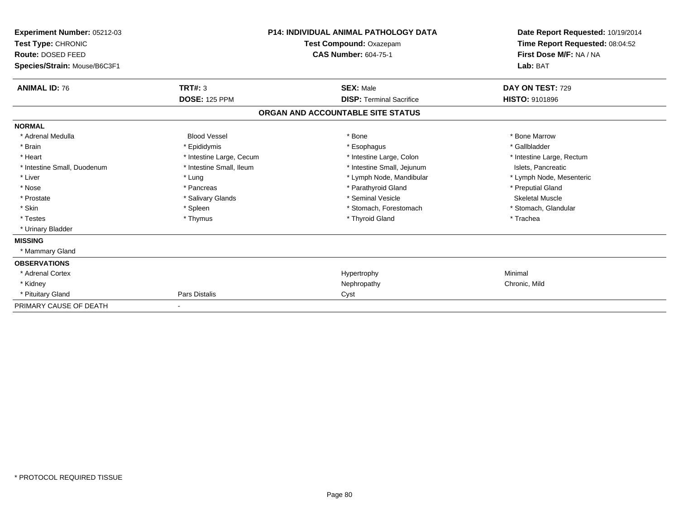| Experiment Number: 05212-03<br>Test Type: CHRONIC<br>Route: DOSED FEED<br>Species/Strain: Mouse/B6C3F1 |                          | <b>P14: INDIVIDUAL ANIMAL PATHOLOGY DATA</b><br><b>Test Compound: Oxazepam</b><br><b>CAS Number: 604-75-1</b> | Date Report Requested: 10/19/2014<br>Time Report Requested: 08:04:52<br>First Dose M/F: NA / NA<br>Lab: BAT |
|--------------------------------------------------------------------------------------------------------|--------------------------|---------------------------------------------------------------------------------------------------------------|-------------------------------------------------------------------------------------------------------------|
| <b>ANIMAL ID: 76</b>                                                                                   | TRT#: 3                  | <b>SEX: Male</b>                                                                                              | DAY ON TEST: 729                                                                                            |
|                                                                                                        | <b>DOSE: 125 PPM</b>     | <b>DISP: Terminal Sacrifice</b>                                                                               | <b>HISTO: 9101896</b>                                                                                       |
|                                                                                                        |                          | ORGAN AND ACCOUNTABLE SITE STATUS                                                                             |                                                                                                             |
| <b>NORMAL</b>                                                                                          |                          |                                                                                                               |                                                                                                             |
| * Adrenal Medulla                                                                                      | <b>Blood Vessel</b>      | * Bone                                                                                                        | * Bone Marrow                                                                                               |
| * Brain                                                                                                | * Epididymis             | * Esophagus                                                                                                   | * Gallbladder                                                                                               |
| * Heart                                                                                                | * Intestine Large, Cecum | * Intestine Large, Colon                                                                                      | * Intestine Large, Rectum                                                                                   |
| * Intestine Small, Duodenum                                                                            | * Intestine Small, Ileum | * Intestine Small, Jejunum                                                                                    | Islets, Pancreatic                                                                                          |
| * Liver                                                                                                | * Lung                   | * Lymph Node, Mandibular                                                                                      | * Lymph Node, Mesenteric                                                                                    |
| * Nose                                                                                                 | * Pancreas               | * Parathyroid Gland                                                                                           | * Preputial Gland                                                                                           |
| * Prostate                                                                                             | * Salivary Glands        | * Seminal Vesicle                                                                                             | <b>Skeletal Muscle</b>                                                                                      |
| * Skin                                                                                                 | * Spleen                 | * Stomach, Forestomach                                                                                        | * Stomach, Glandular                                                                                        |
| * Testes                                                                                               | * Thymus                 | * Thyroid Gland                                                                                               | * Trachea                                                                                                   |
| * Urinary Bladder                                                                                      |                          |                                                                                                               |                                                                                                             |
| <b>MISSING</b>                                                                                         |                          |                                                                                                               |                                                                                                             |
| * Mammary Gland                                                                                        |                          |                                                                                                               |                                                                                                             |
| <b>OBSERVATIONS</b>                                                                                    |                          |                                                                                                               |                                                                                                             |
| * Adrenal Cortex                                                                                       |                          | Hypertrophy                                                                                                   | Minimal                                                                                                     |
| * Kidney                                                                                               |                          | Nephropathy                                                                                                   | Chronic, Mild                                                                                               |
| * Pituitary Gland                                                                                      | Pars Distalis            | Cyst                                                                                                          |                                                                                                             |
| PRIMARY CAUSE OF DEATH                                                                                 |                          |                                                                                                               |                                                                                                             |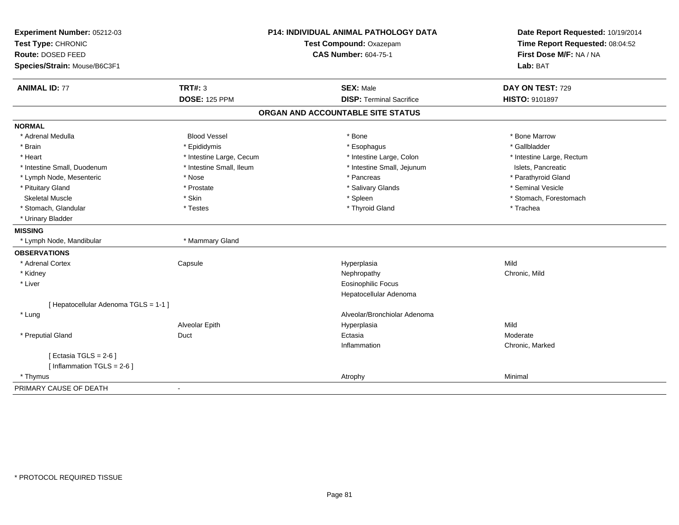| Experiment Number: 05212-03           | <b>P14: INDIVIDUAL ANIMAL PATHOLOGY DATA</b> |                                   | Date Report Requested: 10/19/2014 |
|---------------------------------------|----------------------------------------------|-----------------------------------|-----------------------------------|
| Test Type: CHRONIC                    |                                              | Test Compound: Oxazepam           | Time Report Requested: 08:04:52   |
| Route: DOSED FEED                     |                                              | <b>CAS Number: 604-75-1</b>       | First Dose M/F: NA / NA           |
| Species/Strain: Mouse/B6C3F1          |                                              |                                   | Lab: BAT                          |
| <b>ANIMAL ID: 77</b>                  | <b>TRT#: 3</b>                               | <b>SEX: Male</b>                  | DAY ON TEST: 729                  |
|                                       | <b>DOSE: 125 PPM</b>                         | <b>DISP: Terminal Sacrifice</b>   | HISTO: 9101897                    |
|                                       |                                              | ORGAN AND ACCOUNTABLE SITE STATUS |                                   |
| <b>NORMAL</b>                         |                                              |                                   |                                   |
| * Adrenal Medulla                     | <b>Blood Vessel</b>                          | * Bone                            | * Bone Marrow                     |
| * Brain                               | * Epididymis                                 | * Esophagus                       | * Gallbladder                     |
| * Heart                               | * Intestine Large, Cecum                     | * Intestine Large, Colon          | * Intestine Large, Rectum         |
| * Intestine Small, Duodenum           | * Intestine Small, Ileum                     | * Intestine Small, Jejunum        | Islets, Pancreatic                |
| * Lymph Node, Mesenteric              | * Nose                                       | * Pancreas                        | * Parathyroid Gland               |
| * Pituitary Gland                     | * Prostate                                   | * Salivary Glands                 | * Seminal Vesicle                 |
| <b>Skeletal Muscle</b>                | * Skin                                       | * Spleen                          | * Stomach, Forestomach            |
| * Stomach, Glandular                  | * Testes                                     | * Thyroid Gland                   | * Trachea                         |
| * Urinary Bladder                     |                                              |                                   |                                   |
| <b>MISSING</b>                        |                                              |                                   |                                   |
| * Lymph Node, Mandibular              | * Mammary Gland                              |                                   |                                   |
| <b>OBSERVATIONS</b>                   |                                              |                                   |                                   |
| * Adrenal Cortex                      | Capsule                                      | Hyperplasia                       | Mild                              |
| * Kidney                              |                                              | Nephropathy                       | Chronic, Mild                     |
| * Liver                               |                                              | <b>Eosinophilic Focus</b>         |                                   |
|                                       |                                              | Hepatocellular Adenoma            |                                   |
| [ Hepatocellular Adenoma TGLS = 1-1 ] |                                              |                                   |                                   |
| * Lung                                |                                              | Alveolar/Bronchiolar Adenoma      |                                   |
|                                       | Alveolar Epith                               | Hyperplasia                       | Mild                              |
| * Preputial Gland                     | Duct                                         | Ectasia                           | Moderate                          |
|                                       |                                              | Inflammation                      | Chronic, Marked                   |
| [Ectasia TGLS = $2-6$ ]               |                                              |                                   |                                   |
| [Inflammation TGLS = $2-6$ ]          |                                              |                                   |                                   |
| * Thymus                              |                                              | Atrophy                           | Minimal                           |
| PRIMARY CAUSE OF DEATH                | ÷                                            |                                   |                                   |
|                                       |                                              |                                   |                                   |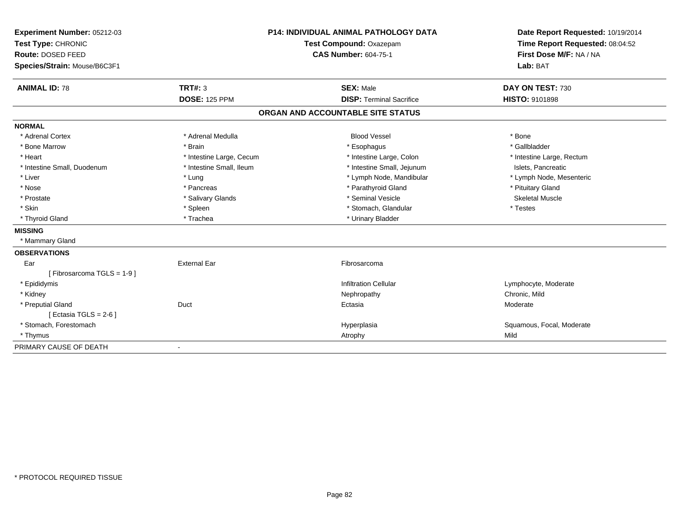| Experiment Number: 05212-03<br>Test Type: CHRONIC |                          | <b>P14: INDIVIDUAL ANIMAL PATHOLOGY DATA</b><br>Test Compound: Oxazepam | Date Report Requested: 10/19/2014<br>Time Report Requested: 08:04:52 |
|---------------------------------------------------|--------------------------|-------------------------------------------------------------------------|----------------------------------------------------------------------|
| Route: DOSED FEED                                 |                          | <b>CAS Number: 604-75-1</b>                                             | First Dose M/F: NA / NA                                              |
| Species/Strain: Mouse/B6C3F1                      |                          |                                                                         | Lab: BAT                                                             |
| <b>ANIMAL ID: 78</b>                              | <b>TRT#: 3</b>           | <b>SEX: Male</b>                                                        | DAY ON TEST: 730                                                     |
|                                                   | <b>DOSE: 125 PPM</b>     | <b>DISP: Terminal Sacrifice</b>                                         | HISTO: 9101898                                                       |
|                                                   |                          | ORGAN AND ACCOUNTABLE SITE STATUS                                       |                                                                      |
| <b>NORMAL</b>                                     |                          |                                                                         |                                                                      |
| * Adrenal Cortex                                  | * Adrenal Medulla        | <b>Blood Vessel</b>                                                     | * Bone                                                               |
| * Bone Marrow                                     | * Brain                  | * Esophagus                                                             | * Gallbladder                                                        |
| * Heart                                           | * Intestine Large, Cecum | * Intestine Large, Colon                                                | * Intestine Large, Rectum                                            |
| * Intestine Small, Duodenum                       | * Intestine Small, Ileum | * Intestine Small, Jejunum                                              | Islets, Pancreatic                                                   |
| * Liver                                           | * Lung                   | * Lymph Node, Mandibular                                                | * Lymph Node, Mesenteric                                             |
| * Nose                                            | * Pancreas               | * Parathyroid Gland                                                     | * Pituitary Gland                                                    |
| * Prostate                                        | * Salivary Glands        | * Seminal Vesicle                                                       | <b>Skeletal Muscle</b>                                               |
| * Skin                                            | * Spleen                 | * Stomach, Glandular                                                    | * Testes                                                             |
| * Thyroid Gland                                   | * Trachea                | * Urinary Bladder                                                       |                                                                      |
| <b>MISSING</b>                                    |                          |                                                                         |                                                                      |
| * Mammary Gland                                   |                          |                                                                         |                                                                      |
| <b>OBSERVATIONS</b>                               |                          |                                                                         |                                                                      |
| Ear                                               | <b>External Ear</b>      | Fibrosarcoma                                                            |                                                                      |
| [Fibrosarcoma TGLS = 1-9]                         |                          |                                                                         |                                                                      |
| * Epididymis                                      |                          | <b>Infiltration Cellular</b>                                            | Lymphocyte, Moderate                                                 |
| * Kidney                                          |                          | Nephropathy                                                             | Chronic, Mild                                                        |
| * Preputial Gland                                 | Duct                     | Ectasia                                                                 | Moderate                                                             |
| [Ectasia TGLS = $2-6$ ]                           |                          |                                                                         |                                                                      |
| * Stomach, Forestomach                            |                          | Hyperplasia                                                             | Squamous, Focal, Moderate                                            |
| * Thymus                                          |                          | Atrophy                                                                 | Mild                                                                 |
| PRIMARY CAUSE OF DEATH                            |                          |                                                                         |                                                                      |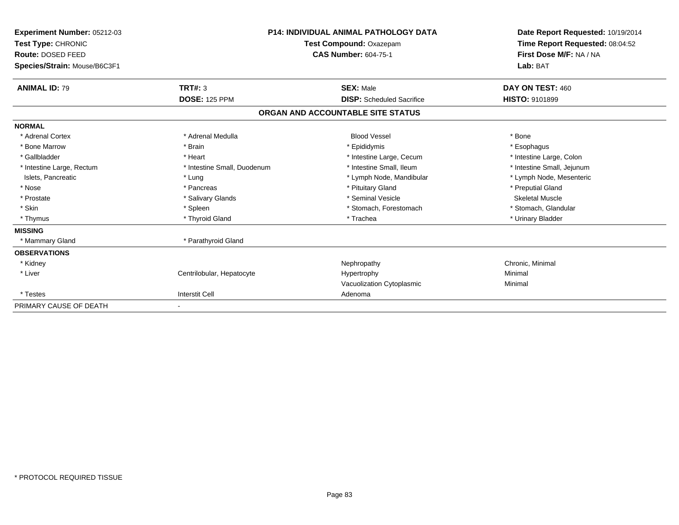| Experiment Number: 05212-03<br>Test Type: CHRONIC<br>Route: DOSED FEED<br>Species/Strain: Mouse/B6C3F1 |                             | <b>P14: INDIVIDUAL ANIMAL PATHOLOGY DATA</b><br>Test Compound: Oxazepam<br><b>CAS Number: 604-75-1</b> | Date Report Requested: 10/19/2014<br>Time Report Requested: 08:04:52<br>First Dose M/F: NA / NA<br>Lab: BAT |
|--------------------------------------------------------------------------------------------------------|-----------------------------|--------------------------------------------------------------------------------------------------------|-------------------------------------------------------------------------------------------------------------|
| <b>ANIMAL ID: 79</b>                                                                                   | TRT#: 3                     | <b>SEX: Male</b>                                                                                       | DAY ON TEST: 460                                                                                            |
|                                                                                                        | <b>DOSE: 125 PPM</b>        | <b>DISP:</b> Scheduled Sacrifice                                                                       | <b>HISTO: 9101899</b>                                                                                       |
|                                                                                                        |                             | ORGAN AND ACCOUNTABLE SITE STATUS                                                                      |                                                                                                             |
| <b>NORMAL</b>                                                                                          |                             |                                                                                                        |                                                                                                             |
| * Adrenal Cortex                                                                                       | * Adrenal Medulla           | <b>Blood Vessel</b>                                                                                    | * Bone                                                                                                      |
| * Bone Marrow                                                                                          | * Brain                     | * Epididymis                                                                                           | * Esophagus                                                                                                 |
| * Gallbladder                                                                                          | * Heart                     | * Intestine Large, Cecum                                                                               | * Intestine Large, Colon                                                                                    |
| * Intestine Large, Rectum                                                                              | * Intestine Small, Duodenum | * Intestine Small, Ileum                                                                               | * Intestine Small, Jejunum                                                                                  |
| Islets, Pancreatic                                                                                     | * Lung                      | * Lymph Node, Mandibular                                                                               | * Lymph Node, Mesenteric                                                                                    |
| * Nose                                                                                                 | * Pancreas                  | * Pituitary Gland                                                                                      | * Preputial Gland                                                                                           |
| * Prostate                                                                                             | * Salivary Glands           | * Seminal Vesicle                                                                                      | <b>Skeletal Muscle</b>                                                                                      |
| * Skin                                                                                                 | * Spleen                    | * Stomach, Forestomach                                                                                 | * Stomach, Glandular                                                                                        |
| * Thymus                                                                                               | * Thyroid Gland             | * Trachea                                                                                              | * Urinary Bladder                                                                                           |
| <b>MISSING</b>                                                                                         |                             |                                                                                                        |                                                                                                             |
| * Mammary Gland                                                                                        | * Parathyroid Gland         |                                                                                                        |                                                                                                             |
| <b>OBSERVATIONS</b>                                                                                    |                             |                                                                                                        |                                                                                                             |
| * Kidney                                                                                               |                             | Nephropathy                                                                                            | Chronic, Minimal                                                                                            |
| * Liver                                                                                                | Centrilobular, Hepatocyte   | Hypertrophy                                                                                            | Minimal                                                                                                     |
|                                                                                                        |                             | Vacuolization Cytoplasmic                                                                              | Minimal                                                                                                     |
| * Testes                                                                                               | <b>Interstit Cell</b>       | Adenoma                                                                                                |                                                                                                             |
| PRIMARY CAUSE OF DEATH                                                                                 |                             |                                                                                                        |                                                                                                             |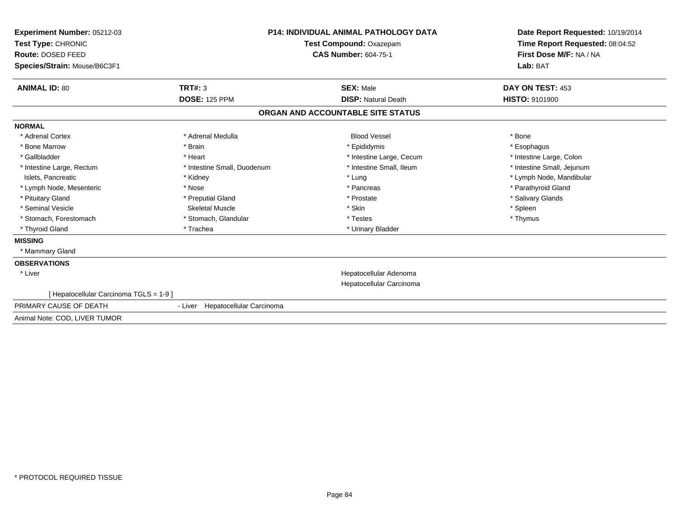| <b>Experiment Number: 05212-03</b><br>Test Type: CHRONIC<br>Route: DOSED FEED<br>Species/Strain: Mouse/B6C3F1 |                                     | <b>P14: INDIVIDUAL ANIMAL PATHOLOGY DATA</b><br>Test Compound: Oxazepam<br><b>CAS Number: 604-75-1</b> | Date Report Requested: 10/19/2014<br>Time Report Requested: 08:04:52<br>First Dose M/F: NA / NA<br>Lab: BAT |
|---------------------------------------------------------------------------------------------------------------|-------------------------------------|--------------------------------------------------------------------------------------------------------|-------------------------------------------------------------------------------------------------------------|
| <b>ANIMAL ID: 80</b>                                                                                          | TRT#: 3                             | <b>SEX: Male</b>                                                                                       | DAY ON TEST: 453                                                                                            |
|                                                                                                               | <b>DOSE: 125 PPM</b>                | <b>DISP: Natural Death</b>                                                                             | <b>HISTO: 9101900</b>                                                                                       |
|                                                                                                               |                                     | ORGAN AND ACCOUNTABLE SITE STATUS                                                                      |                                                                                                             |
| <b>NORMAL</b>                                                                                                 |                                     |                                                                                                        |                                                                                                             |
| * Adrenal Cortex                                                                                              | * Adrenal Medulla                   | <b>Blood Vessel</b>                                                                                    | * Bone                                                                                                      |
| * Bone Marrow                                                                                                 | * Brain                             | * Epididymis                                                                                           | * Esophagus                                                                                                 |
| * Gallbladder                                                                                                 | * Heart                             | * Intestine Large, Cecum                                                                               | * Intestine Large, Colon                                                                                    |
| * Intestine Large, Rectum                                                                                     | * Intestine Small, Duodenum         | * Intestine Small. Ileum                                                                               | * Intestine Small, Jejunum                                                                                  |
| Islets, Pancreatic                                                                                            | * Kidney                            | * Lung                                                                                                 | * Lymph Node, Mandibular                                                                                    |
| * Lymph Node, Mesenteric                                                                                      | * Nose                              | * Pancreas                                                                                             | * Parathyroid Gland                                                                                         |
| * Pituitary Gland                                                                                             | * Preputial Gland                   | * Prostate                                                                                             | * Salivary Glands                                                                                           |
| * Seminal Vesicle                                                                                             | <b>Skeletal Muscle</b>              | * Skin                                                                                                 | * Spleen                                                                                                    |
| * Stomach, Forestomach                                                                                        | * Stomach, Glandular                | * Testes                                                                                               | * Thymus                                                                                                    |
| * Thyroid Gland                                                                                               | * Trachea                           | * Urinary Bladder                                                                                      |                                                                                                             |
| <b>MISSING</b>                                                                                                |                                     |                                                                                                        |                                                                                                             |
| * Mammary Gland                                                                                               |                                     |                                                                                                        |                                                                                                             |
| <b>OBSERVATIONS</b>                                                                                           |                                     |                                                                                                        |                                                                                                             |
| * Liver                                                                                                       |                                     | Hepatocellular Adenoma                                                                                 |                                                                                                             |
|                                                                                                               |                                     | Hepatocellular Carcinoma                                                                               |                                                                                                             |
| Hepatocellular Carcinoma TGLS = 1-9 ]                                                                         |                                     |                                                                                                        |                                                                                                             |
| PRIMARY CAUSE OF DEATH                                                                                        | Hepatocellular Carcinoma<br>- Liver |                                                                                                        |                                                                                                             |
| Animal Note: COD, LIVER TUMOR                                                                                 |                                     |                                                                                                        |                                                                                                             |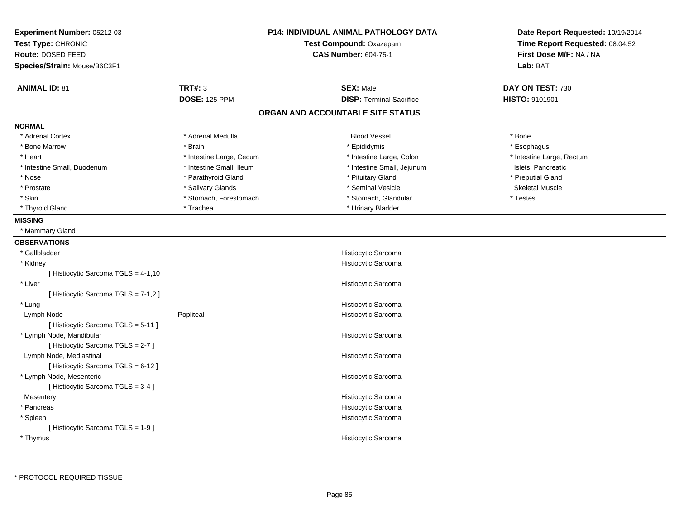| Experiment Number: 05212-03<br>Test Type: CHRONIC<br>Route: DOSED FEED<br>Species/Strain: Mouse/B6C3F1 | <b>P14: INDIVIDUAL ANIMAL PATHOLOGY DATA</b><br>Test Compound: Oxazepam<br><b>CAS Number: 604-75-1</b> |                                   | Date Report Requested: 10/19/2014<br>Time Report Requested: 08:04:52<br>First Dose M/F: NA / NA<br>Lab: BAT |  |
|--------------------------------------------------------------------------------------------------------|--------------------------------------------------------------------------------------------------------|-----------------------------------|-------------------------------------------------------------------------------------------------------------|--|
| <b>ANIMAL ID: 81</b>                                                                                   | <b>TRT#: 3</b>                                                                                         | <b>SEX: Male</b>                  | DAY ON TEST: 730                                                                                            |  |
|                                                                                                        | <b>DOSE: 125 PPM</b>                                                                                   | <b>DISP: Terminal Sacrifice</b>   | HISTO: 9101901                                                                                              |  |
|                                                                                                        |                                                                                                        | ORGAN AND ACCOUNTABLE SITE STATUS |                                                                                                             |  |
| <b>NORMAL</b>                                                                                          |                                                                                                        |                                   |                                                                                                             |  |
| * Adrenal Cortex                                                                                       | * Adrenal Medulla                                                                                      | <b>Blood Vessel</b>               | * Bone                                                                                                      |  |
| * Bone Marrow                                                                                          | * Brain                                                                                                | * Epididymis                      | * Esophagus                                                                                                 |  |
| * Heart                                                                                                | * Intestine Large, Cecum                                                                               | * Intestine Large, Colon          | * Intestine Large, Rectum                                                                                   |  |
| * Intestine Small, Duodenum                                                                            | * Intestine Small, Ileum                                                                               | * Intestine Small, Jejunum        | Islets, Pancreatic                                                                                          |  |
| * Nose                                                                                                 | * Parathyroid Gland                                                                                    | * Pituitary Gland                 | * Preputial Gland                                                                                           |  |
| * Prostate                                                                                             | * Salivary Glands                                                                                      | * Seminal Vesicle                 | <b>Skeletal Muscle</b>                                                                                      |  |
| * Skin                                                                                                 | * Stomach, Forestomach                                                                                 | * Stomach, Glandular              | * Testes                                                                                                    |  |
| * Thyroid Gland                                                                                        | * Trachea                                                                                              | * Urinary Bladder                 |                                                                                                             |  |
| <b>MISSING</b>                                                                                         |                                                                                                        |                                   |                                                                                                             |  |
| * Mammary Gland                                                                                        |                                                                                                        |                                   |                                                                                                             |  |
| <b>OBSERVATIONS</b>                                                                                    |                                                                                                        |                                   |                                                                                                             |  |
| * Gallbladder                                                                                          |                                                                                                        | Histiocytic Sarcoma               |                                                                                                             |  |
| * Kidney                                                                                               |                                                                                                        | Histiocytic Sarcoma               |                                                                                                             |  |
| [ Histiocytic Sarcoma TGLS = 4-1,10 ]                                                                  |                                                                                                        |                                   |                                                                                                             |  |
| * Liver                                                                                                |                                                                                                        | Histiocytic Sarcoma               |                                                                                                             |  |
| [ Histiocytic Sarcoma TGLS = 7-1,2 ]                                                                   |                                                                                                        |                                   |                                                                                                             |  |
| * Lung                                                                                                 |                                                                                                        | Histiocytic Sarcoma               |                                                                                                             |  |
| Lymph Node                                                                                             | Popliteal                                                                                              | Histiocytic Sarcoma               |                                                                                                             |  |
| [Histiocytic Sarcoma TGLS = 5-11]                                                                      |                                                                                                        |                                   |                                                                                                             |  |
| * Lymph Node, Mandibular                                                                               |                                                                                                        | Histiocytic Sarcoma               |                                                                                                             |  |
| [Histiocytic Sarcoma TGLS = 2-7]                                                                       |                                                                                                        |                                   |                                                                                                             |  |
| Lymph Node, Mediastinal                                                                                |                                                                                                        | Histiocytic Sarcoma               |                                                                                                             |  |
| [Histiocytic Sarcoma TGLS = 6-12]                                                                      |                                                                                                        |                                   |                                                                                                             |  |
| * Lymph Node, Mesenteric                                                                               |                                                                                                        | Histiocytic Sarcoma               |                                                                                                             |  |
| [Histiocytic Sarcoma TGLS = 3-4]                                                                       |                                                                                                        |                                   |                                                                                                             |  |
| Mesentery                                                                                              |                                                                                                        | Histiocytic Sarcoma               |                                                                                                             |  |
| * Pancreas                                                                                             |                                                                                                        | Histiocytic Sarcoma               |                                                                                                             |  |
| * Spleen                                                                                               |                                                                                                        | Histiocytic Sarcoma               |                                                                                                             |  |
| [ Histiocytic Sarcoma TGLS = 1-9 ]                                                                     |                                                                                                        |                                   |                                                                                                             |  |
| * Thymus                                                                                               |                                                                                                        | Histiocytic Sarcoma               |                                                                                                             |  |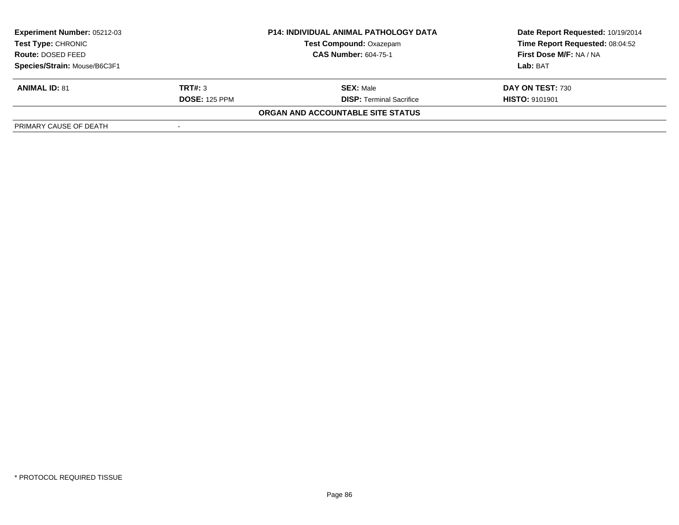| <b>Experiment Number: 05212-03</b><br>Test Type: CHRONIC |                      | <b>P14: INDIVIDUAL ANIMAL PATHOLOGY DATA</b> | Date Report Requested: 10/19/2014 |
|----------------------------------------------------------|----------------------|----------------------------------------------|-----------------------------------|
|                                                          |                      | <b>Test Compound: Oxazepam</b>               | Time Report Requested: 08:04:52   |
| <b>Route: DOSED FEED</b>                                 |                      | <b>CAS Number: 604-75-1</b>                  | First Dose M/F: NA / NA           |
| Species/Strain: Mouse/B6C3F1                             |                      |                                              | Lab: BAT                          |
| <b>ANIMAL ID: 81</b>                                     | TRT#: 3              | <b>SEX:</b> Male                             | DAY ON TEST: 730                  |
|                                                          | <b>DOSE: 125 PPM</b> | <b>DISP:</b> Terminal Sacrifice              | <b>HISTO: 9101901</b>             |
|                                                          |                      | ORGAN AND ACCOUNTABLE SITE STATUS            |                                   |
| PRIMARY CAUSE OF DEATH                                   |                      |                                              |                                   |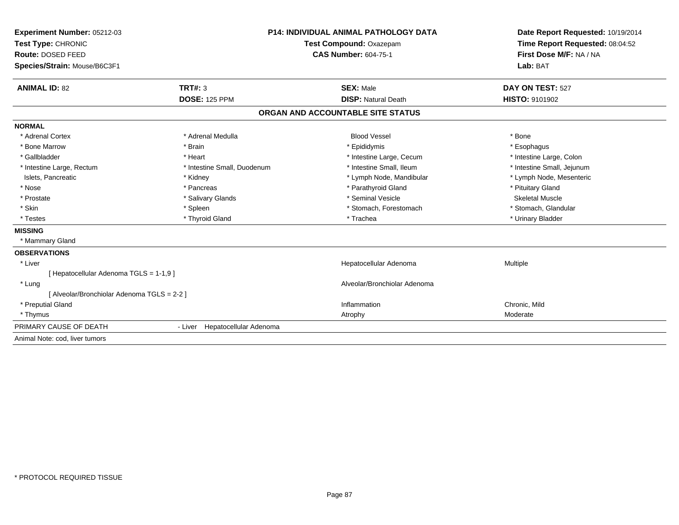| Experiment Number: 05212-03<br>Test Type: CHRONIC |                                | <b>P14: INDIVIDUAL ANIMAL PATHOLOGY DATA</b> | Date Report Requested: 10/19/2014 |  |
|---------------------------------------------------|--------------------------------|----------------------------------------------|-----------------------------------|--|
|                                                   |                                | Test Compound: Oxazepam                      | Time Report Requested: 08:04:52   |  |
| Route: DOSED FEED                                 |                                | <b>CAS Number: 604-75-1</b>                  | First Dose M/F: NA / NA           |  |
| Species/Strain: Mouse/B6C3F1                      |                                |                                              | Lab: BAT                          |  |
| <b>ANIMAL ID: 82</b>                              | <b>TRT#: 3</b>                 | <b>SEX: Male</b>                             | DAY ON TEST: 527                  |  |
|                                                   | <b>DOSE: 125 PPM</b>           | <b>DISP: Natural Death</b>                   | HISTO: 9101902                    |  |
|                                                   |                                | ORGAN AND ACCOUNTABLE SITE STATUS            |                                   |  |
| <b>NORMAL</b>                                     |                                |                                              |                                   |  |
| * Adrenal Cortex                                  | * Adrenal Medulla              | <b>Blood Vessel</b>                          | * Bone                            |  |
| * Bone Marrow                                     | * Brain                        | * Epididymis                                 | * Esophagus                       |  |
| * Gallbladder                                     | * Heart                        | * Intestine Large, Cecum                     | * Intestine Large, Colon          |  |
| * Intestine Large, Rectum                         | * Intestine Small, Duodenum    | * Intestine Small, Ileum                     | * Intestine Small, Jejunum        |  |
| Islets, Pancreatic                                | * Kidney                       | * Lymph Node, Mandibular                     | * Lymph Node, Mesenteric          |  |
| * Nose                                            | * Pancreas                     | * Parathyroid Gland                          | * Pituitary Gland                 |  |
| * Prostate                                        | * Salivary Glands              | * Seminal Vesicle                            | <b>Skeletal Muscle</b>            |  |
| * Skin                                            | * Spleen                       | * Stomach, Forestomach                       | * Stomach, Glandular              |  |
| * Testes                                          | * Thyroid Gland                | * Trachea                                    | * Urinary Bladder                 |  |
| <b>MISSING</b>                                    |                                |                                              |                                   |  |
| * Mammary Gland                                   |                                |                                              |                                   |  |
| <b>OBSERVATIONS</b>                               |                                |                                              |                                   |  |
| * Liver                                           |                                | Hepatocellular Adenoma                       | Multiple                          |  |
| [Hepatocellular Adenoma TGLS = 1-1,9]             |                                |                                              |                                   |  |
| * Lung                                            |                                | Alveolar/Bronchiolar Adenoma                 |                                   |  |
| [ Alveolar/Bronchiolar Adenoma TGLS = 2-2 ]       |                                |                                              |                                   |  |
| * Preputial Gland                                 |                                | Inflammation                                 | Chronic, Mild                     |  |
| * Thymus                                          |                                | Atrophy                                      | Moderate                          |  |
| PRIMARY CAUSE OF DEATH                            | - Liver Hepatocellular Adenoma |                                              |                                   |  |
| Animal Note: cod, liver tumors                    |                                |                                              |                                   |  |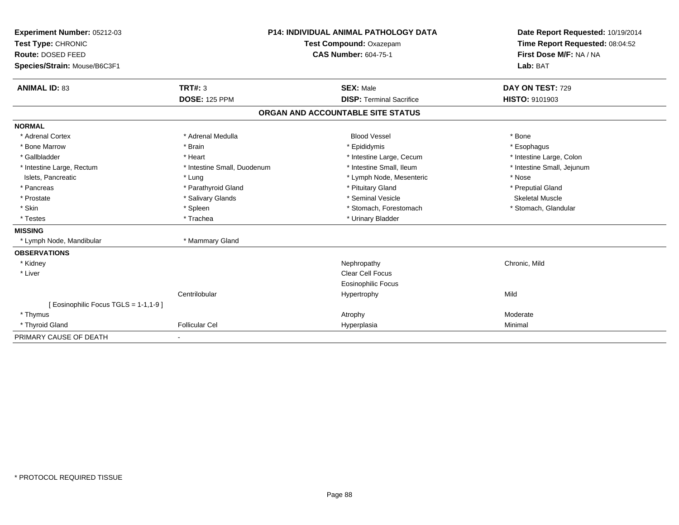| Experiment Number: 05212-03<br>Test Type: CHRONIC<br>Route: DOSED FEED |                             | <b>P14: INDIVIDUAL ANIMAL PATHOLOGY DATA</b><br>Test Compound: Oxazepam<br><b>CAS Number: 604-75-1</b> | Date Report Requested: 10/19/2014<br>Time Report Requested: 08:04:52<br>First Dose M/F: NA / NA |  |
|------------------------------------------------------------------------|-----------------------------|--------------------------------------------------------------------------------------------------------|-------------------------------------------------------------------------------------------------|--|
| Species/Strain: Mouse/B6C3F1                                           |                             |                                                                                                        | Lab: BAT                                                                                        |  |
| <b>ANIMAL ID: 83</b>                                                   | TRT#: 3                     | <b>SEX: Male</b>                                                                                       | DAY ON TEST: 729                                                                                |  |
|                                                                        | <b>DOSE: 125 PPM</b>        | <b>DISP: Terminal Sacrifice</b>                                                                        | <b>HISTO: 9101903</b>                                                                           |  |
|                                                                        |                             | ORGAN AND ACCOUNTABLE SITE STATUS                                                                      |                                                                                                 |  |
| <b>NORMAL</b>                                                          |                             |                                                                                                        |                                                                                                 |  |
| * Adrenal Cortex                                                       | * Adrenal Medulla           | <b>Blood Vessel</b>                                                                                    | * Bone                                                                                          |  |
| * Bone Marrow                                                          | * Brain                     | * Epididymis                                                                                           | * Esophagus                                                                                     |  |
| * Gallbladder                                                          | * Heart                     | * Intestine Large, Cecum                                                                               | * Intestine Large, Colon                                                                        |  |
| * Intestine Large, Rectum                                              | * Intestine Small, Duodenum | * Intestine Small, Ileum                                                                               | * Intestine Small, Jejunum                                                                      |  |
| Islets, Pancreatic                                                     | * Lung                      | * Lymph Node, Mesenteric                                                                               | * Nose                                                                                          |  |
| * Pancreas                                                             | * Parathyroid Gland         | * Pituitary Gland                                                                                      | * Preputial Gland                                                                               |  |
| * Prostate                                                             | * Salivary Glands           | * Seminal Vesicle                                                                                      | <b>Skeletal Muscle</b>                                                                          |  |
| * Skin                                                                 | * Spleen                    | * Stomach, Forestomach                                                                                 | * Stomach, Glandular                                                                            |  |
| * Testes                                                               | * Trachea                   | * Urinary Bladder                                                                                      |                                                                                                 |  |
| <b>MISSING</b>                                                         |                             |                                                                                                        |                                                                                                 |  |
| * Lymph Node, Mandibular                                               | * Mammary Gland             |                                                                                                        |                                                                                                 |  |
| <b>OBSERVATIONS</b>                                                    |                             |                                                                                                        |                                                                                                 |  |
| * Kidney                                                               |                             | Nephropathy                                                                                            | Chronic, Mild                                                                                   |  |
| * Liver                                                                |                             | <b>Clear Cell Focus</b>                                                                                |                                                                                                 |  |
|                                                                        |                             | Eosinophilic Focus                                                                                     |                                                                                                 |  |
|                                                                        | Centrilobular               | Hypertrophy                                                                                            | Mild                                                                                            |  |
| [ Eosinophilic Focus TGLS = 1-1,1-9 ]                                  |                             |                                                                                                        |                                                                                                 |  |
| * Thymus                                                               |                             | Atrophy                                                                                                | Moderate                                                                                        |  |
| * Thyroid Gland                                                        | <b>Follicular Cel</b>       | Hyperplasia                                                                                            | Minimal                                                                                         |  |
| PRIMARY CAUSE OF DEATH                                                 |                             |                                                                                                        |                                                                                                 |  |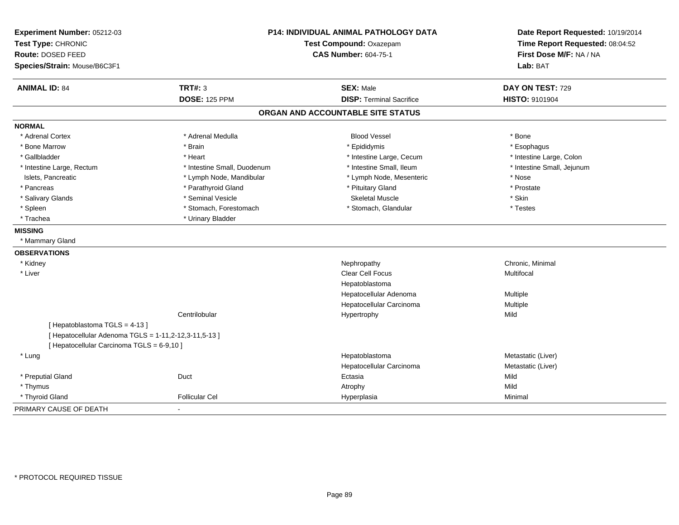| Experiment Number: 05212-03<br>Test Type: CHRONIC<br><b>Route: DOSED FEED</b><br>Species/Strain: Mouse/B6C3F1 | <b>P14: INDIVIDUAL ANIMAL PATHOLOGY DATA</b><br>Test Compound: Oxazepam<br><b>CAS Number: 604-75-1</b> |                                   | Date Report Requested: 10/19/2014<br>Time Report Requested: 08:04:52<br>First Dose M/F: NA / NA<br>Lab: BAT |  |
|---------------------------------------------------------------------------------------------------------------|--------------------------------------------------------------------------------------------------------|-----------------------------------|-------------------------------------------------------------------------------------------------------------|--|
| <b>ANIMAL ID: 84</b>                                                                                          | <b>TRT#: 3</b>                                                                                         | <b>SEX: Male</b>                  | DAY ON TEST: 729                                                                                            |  |
|                                                                                                               | <b>DOSE: 125 PPM</b>                                                                                   | <b>DISP: Terminal Sacrifice</b>   | HISTO: 9101904                                                                                              |  |
|                                                                                                               |                                                                                                        | ORGAN AND ACCOUNTABLE SITE STATUS |                                                                                                             |  |
| <b>NORMAL</b>                                                                                                 |                                                                                                        |                                   |                                                                                                             |  |
| * Adrenal Cortex                                                                                              | * Adrenal Medulla                                                                                      | <b>Blood Vessel</b>               | * Bone                                                                                                      |  |
| * Bone Marrow                                                                                                 | * Brain                                                                                                | * Epididymis                      | * Esophagus                                                                                                 |  |
| * Gallbladder                                                                                                 | * Heart                                                                                                | * Intestine Large, Cecum          | * Intestine Large, Colon                                                                                    |  |
| * Intestine Large, Rectum                                                                                     | * Intestine Small, Duodenum                                                                            | * Intestine Small, Ileum          | * Intestine Small, Jejunum                                                                                  |  |
| Islets, Pancreatic                                                                                            | * Lymph Node, Mandibular                                                                               | * Lymph Node, Mesenteric          | * Nose                                                                                                      |  |
| * Pancreas                                                                                                    | * Parathyroid Gland                                                                                    | * Pituitary Gland                 | * Prostate                                                                                                  |  |
| * Salivary Glands                                                                                             | * Seminal Vesicle                                                                                      | <b>Skeletal Muscle</b>            | * Skin                                                                                                      |  |
| * Spleen                                                                                                      | * Stomach, Forestomach                                                                                 | * Stomach, Glandular              | * Testes                                                                                                    |  |
| * Trachea                                                                                                     | * Urinary Bladder                                                                                      |                                   |                                                                                                             |  |
| <b>MISSING</b>                                                                                                |                                                                                                        |                                   |                                                                                                             |  |
| * Mammary Gland                                                                                               |                                                                                                        |                                   |                                                                                                             |  |
| <b>OBSERVATIONS</b>                                                                                           |                                                                                                        |                                   |                                                                                                             |  |
| * Kidney                                                                                                      |                                                                                                        | Nephropathy                       | Chronic, Minimal                                                                                            |  |
| * Liver                                                                                                       |                                                                                                        | <b>Clear Cell Focus</b>           | Multifocal                                                                                                  |  |
|                                                                                                               |                                                                                                        | Hepatoblastoma                    |                                                                                                             |  |
|                                                                                                               |                                                                                                        | Hepatocellular Adenoma            | Multiple                                                                                                    |  |
|                                                                                                               |                                                                                                        | Hepatocellular Carcinoma          | Multiple                                                                                                    |  |
|                                                                                                               | Centrilobular                                                                                          | Hypertrophy                       | Mild                                                                                                        |  |
| [Hepatoblastoma TGLS = 4-13]                                                                                  |                                                                                                        |                                   |                                                                                                             |  |
| [ Hepatocellular Adenoma TGLS = 1-11,2-12,3-11,5-13 ]                                                         |                                                                                                        |                                   |                                                                                                             |  |
| [ Hepatocellular Carcinoma TGLS = 6-9,10 ]                                                                    |                                                                                                        |                                   |                                                                                                             |  |
| * Lung                                                                                                        |                                                                                                        | Hepatoblastoma                    | Metastatic (Liver)                                                                                          |  |
|                                                                                                               |                                                                                                        | Hepatocellular Carcinoma          | Metastatic (Liver)                                                                                          |  |
| * Preputial Gland                                                                                             | Duct                                                                                                   | Ectasia                           | Mild                                                                                                        |  |
| * Thymus                                                                                                      |                                                                                                        | Atrophy                           | Mild                                                                                                        |  |
| * Thyroid Gland                                                                                               | <b>Follicular Cel</b>                                                                                  | Hyperplasia                       | Minimal                                                                                                     |  |
| PRIMARY CAUSE OF DEATH                                                                                        | $\sim$                                                                                                 |                                   |                                                                                                             |  |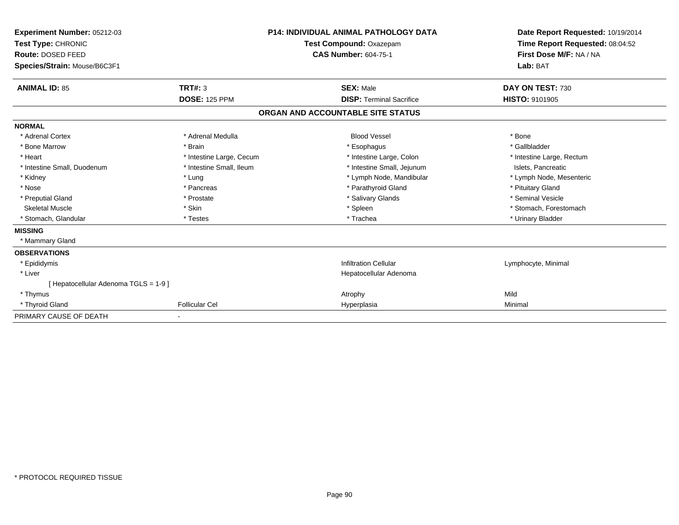| Experiment Number: 05212-03<br>Test Type: CHRONIC<br>Route: DOSED FEED<br>Species/Strain: Mouse/B6C3F1 |                          | <b>P14: INDIVIDUAL ANIMAL PATHOLOGY DATA</b><br>Test Compound: Oxazepam<br><b>CAS Number: 604-75-1</b> |                                   | Date Report Requested: 10/19/2014<br>Time Report Requested: 08:04:52<br>First Dose M/F: NA / NA<br>Lab: BAT |
|--------------------------------------------------------------------------------------------------------|--------------------------|--------------------------------------------------------------------------------------------------------|-----------------------------------|-------------------------------------------------------------------------------------------------------------|
| <b>ANIMAL ID: 85</b>                                                                                   | <b>TRT#: 3</b>           |                                                                                                        | <b>SEX: Male</b>                  | DAY ON TEST: 730                                                                                            |
|                                                                                                        | <b>DOSE: 125 PPM</b>     |                                                                                                        | <b>DISP: Terminal Sacrifice</b>   | <b>HISTO: 9101905</b>                                                                                       |
|                                                                                                        |                          |                                                                                                        | ORGAN AND ACCOUNTABLE SITE STATUS |                                                                                                             |
| <b>NORMAL</b>                                                                                          |                          |                                                                                                        |                                   |                                                                                                             |
| * Adrenal Cortex                                                                                       | * Adrenal Medulla        |                                                                                                        | <b>Blood Vessel</b>               | * Bone                                                                                                      |
| * Bone Marrow                                                                                          | * Brain                  |                                                                                                        | * Esophagus                       | * Gallbladder                                                                                               |
| * Heart                                                                                                | * Intestine Large, Cecum |                                                                                                        | * Intestine Large, Colon          | * Intestine Large, Rectum                                                                                   |
| * Intestine Small, Duodenum                                                                            | * Intestine Small, Ileum |                                                                                                        | * Intestine Small, Jejunum        | Islets, Pancreatic                                                                                          |
| * Kidney                                                                                               | * Lung                   |                                                                                                        | * Lymph Node, Mandibular          | * Lymph Node, Mesenteric                                                                                    |
| * Nose                                                                                                 | * Pancreas               |                                                                                                        | * Parathyroid Gland               | * Pituitary Gland                                                                                           |
| * Preputial Gland                                                                                      | * Prostate               |                                                                                                        | * Salivary Glands                 | * Seminal Vesicle                                                                                           |
| <b>Skeletal Muscle</b>                                                                                 | * Skin                   |                                                                                                        | * Spleen                          | * Stomach, Forestomach                                                                                      |
| * Stomach, Glandular                                                                                   | * Testes                 |                                                                                                        | * Trachea                         | * Urinary Bladder                                                                                           |
| <b>MISSING</b>                                                                                         |                          |                                                                                                        |                                   |                                                                                                             |
| * Mammary Gland                                                                                        |                          |                                                                                                        |                                   |                                                                                                             |
| <b>OBSERVATIONS</b>                                                                                    |                          |                                                                                                        |                                   |                                                                                                             |
| * Epididymis                                                                                           |                          |                                                                                                        | <b>Infiltration Cellular</b>      | Lymphocyte, Minimal                                                                                         |
| * Liver                                                                                                |                          |                                                                                                        | Hepatocellular Adenoma            |                                                                                                             |
| [ Hepatocellular Adenoma TGLS = 1-9 ]                                                                  |                          |                                                                                                        |                                   |                                                                                                             |
| * Thymus                                                                                               |                          |                                                                                                        | Atrophy                           | Mild                                                                                                        |
| * Thyroid Gland                                                                                        | <b>Follicular Cel</b>    |                                                                                                        | Hyperplasia                       | Minimal                                                                                                     |
| PRIMARY CAUSE OF DEATH                                                                                 |                          |                                                                                                        |                                   |                                                                                                             |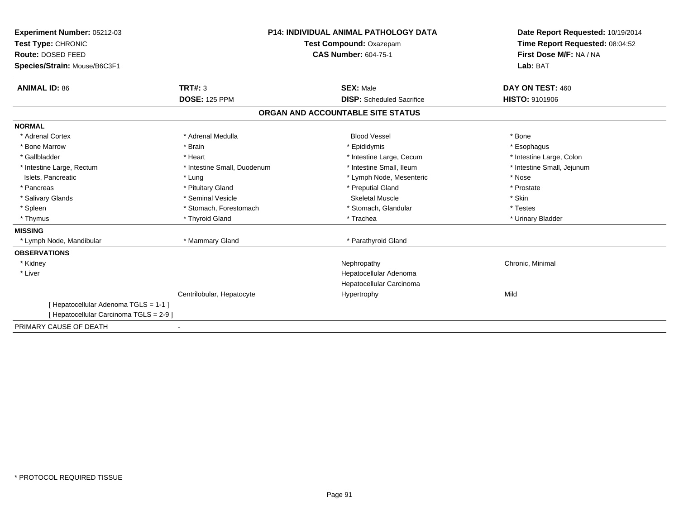| <b>Experiment Number: 05212-03</b><br>Test Type: CHRONIC |                             | <b>P14: INDIVIDUAL ANIMAL PATHOLOGY DATA</b><br>Test Compound: Oxazepam |                                  | Date Report Requested: 10/19/2014<br>Time Report Requested: 08:04:52 |  |
|----------------------------------------------------------|-----------------------------|-------------------------------------------------------------------------|----------------------------------|----------------------------------------------------------------------|--|
| Route: DOSED FEED                                        |                             | <b>CAS Number: 604-75-1</b>                                             |                                  | First Dose M/F: NA / NA                                              |  |
| Species/Strain: Mouse/B6C3F1                             |                             |                                                                         |                                  | Lab: BAT                                                             |  |
|                                                          |                             |                                                                         |                                  |                                                                      |  |
| <b>ANIMAL ID: 86</b>                                     | <b>TRT#: 3</b>              | <b>SEX: Male</b>                                                        |                                  | DAY ON TEST: 460                                                     |  |
|                                                          | <b>DOSE: 125 PPM</b>        |                                                                         | <b>DISP:</b> Scheduled Sacrifice | <b>HISTO: 9101906</b>                                                |  |
|                                                          |                             | ORGAN AND ACCOUNTABLE SITE STATUS                                       |                                  |                                                                      |  |
| <b>NORMAL</b>                                            |                             |                                                                         |                                  |                                                                      |  |
| * Adrenal Cortex                                         | * Adrenal Medulla           | <b>Blood Vessel</b>                                                     |                                  | * Bone                                                               |  |
| * Bone Marrow                                            | * Brain                     | * Epididymis                                                            |                                  | * Esophagus                                                          |  |
| * Gallbladder                                            | * Heart                     |                                                                         | * Intestine Large, Cecum         | * Intestine Large, Colon                                             |  |
| * Intestine Large, Rectum                                | * Intestine Small, Duodenum | * Intestine Small. Ileum                                                |                                  | * Intestine Small, Jejunum                                           |  |
| Islets, Pancreatic                                       | * Lung                      |                                                                         | * Lymph Node, Mesenteric         | * Nose                                                               |  |
| * Pancreas                                               | * Pituitary Gland           | * Preputial Gland                                                       |                                  | * Prostate                                                           |  |
| * Salivary Glands                                        | * Seminal Vesicle           | <b>Skeletal Muscle</b>                                                  |                                  | * Skin                                                               |  |
| * Spleen                                                 | * Stomach, Forestomach      | * Stomach, Glandular                                                    |                                  | * Testes                                                             |  |
| * Thymus                                                 | * Thyroid Gland             | * Trachea                                                               |                                  | * Urinary Bladder                                                    |  |
| <b>MISSING</b>                                           |                             |                                                                         |                                  |                                                                      |  |
| * Lymph Node, Mandibular                                 | * Mammary Gland             | * Parathyroid Gland                                                     |                                  |                                                                      |  |
| <b>OBSERVATIONS</b>                                      |                             |                                                                         |                                  |                                                                      |  |
| * Kidney                                                 |                             | Nephropathy                                                             |                                  | Chronic, Minimal                                                     |  |
| * Liver                                                  |                             | Hepatocellular Adenoma                                                  |                                  |                                                                      |  |
|                                                          |                             | Hepatocellular Carcinoma                                                |                                  |                                                                      |  |
|                                                          | Centrilobular, Hepatocyte   | Hypertrophy                                                             |                                  | Mild                                                                 |  |
| [ Hepatocellular Adenoma TGLS = 1-1 ]                    |                             |                                                                         |                                  |                                                                      |  |
| [ Hepatocellular Carcinoma TGLS = 2-9 ]                  |                             |                                                                         |                                  |                                                                      |  |
| PRIMARY CAUSE OF DEATH                                   |                             |                                                                         |                                  |                                                                      |  |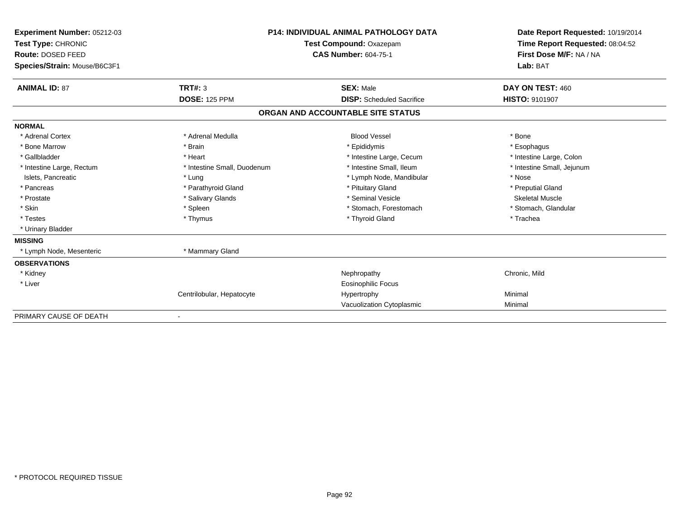| Experiment Number: 05212-03<br>Test Type: CHRONIC<br>Route: DOSED FEED |                             | <b>P14: INDIVIDUAL ANIMAL PATHOLOGY DATA</b><br>Test Compound: Oxazepam<br><b>CAS Number: 604-75-1</b> | Date Report Requested: 10/19/2014<br>Time Report Requested: 08:04:52<br>First Dose M/F: NA / NA<br>Lab: BAT |  |
|------------------------------------------------------------------------|-----------------------------|--------------------------------------------------------------------------------------------------------|-------------------------------------------------------------------------------------------------------------|--|
| Species/Strain: Mouse/B6C3F1                                           |                             |                                                                                                        |                                                                                                             |  |
| <b>ANIMAL ID: 87</b>                                                   | <b>TRT#: 3</b>              | <b>SEX: Male</b>                                                                                       | DAY ON TEST: 460                                                                                            |  |
|                                                                        | <b>DOSE: 125 PPM</b>        | <b>DISP:</b> Scheduled Sacrifice                                                                       | HISTO: 9101907                                                                                              |  |
|                                                                        |                             | ORGAN AND ACCOUNTABLE SITE STATUS                                                                      |                                                                                                             |  |
| <b>NORMAL</b>                                                          |                             |                                                                                                        |                                                                                                             |  |
| * Adrenal Cortex                                                       | * Adrenal Medulla           | <b>Blood Vessel</b>                                                                                    | * Bone                                                                                                      |  |
| * Bone Marrow                                                          | * Brain                     | * Epididymis                                                                                           | * Esophagus                                                                                                 |  |
| * Gallbladder                                                          | * Heart                     | * Intestine Large, Cecum                                                                               | * Intestine Large, Colon                                                                                    |  |
| * Intestine Large, Rectum                                              | * Intestine Small, Duodenum | * Intestine Small, Ileum                                                                               | * Intestine Small, Jejunum                                                                                  |  |
| Islets, Pancreatic                                                     | * Lung                      | * Lymph Node, Mandibular                                                                               | * Nose                                                                                                      |  |
| * Pancreas                                                             | * Parathyroid Gland         | * Pituitary Gland                                                                                      | * Preputial Gland                                                                                           |  |
| * Prostate                                                             | * Salivary Glands           | * Seminal Vesicle                                                                                      | <b>Skeletal Muscle</b>                                                                                      |  |
| * Skin                                                                 | * Spleen                    | * Stomach, Forestomach                                                                                 | * Stomach, Glandular                                                                                        |  |
| * Testes                                                               | * Thymus                    | * Thyroid Gland                                                                                        | * Trachea                                                                                                   |  |
| * Urinary Bladder                                                      |                             |                                                                                                        |                                                                                                             |  |
| <b>MISSING</b>                                                         |                             |                                                                                                        |                                                                                                             |  |
| * Lymph Node, Mesenteric                                               | * Mammary Gland             |                                                                                                        |                                                                                                             |  |
| <b>OBSERVATIONS</b>                                                    |                             |                                                                                                        |                                                                                                             |  |
| * Kidney                                                               |                             | Nephropathy                                                                                            | Chronic, Mild                                                                                               |  |
| * Liver                                                                |                             | Eosinophilic Focus                                                                                     |                                                                                                             |  |
|                                                                        | Centrilobular, Hepatocyte   | Hypertrophy                                                                                            | Minimal                                                                                                     |  |
|                                                                        |                             | Vacuolization Cytoplasmic                                                                              | Minimal                                                                                                     |  |
| PRIMARY CAUSE OF DEATH                                                 |                             |                                                                                                        |                                                                                                             |  |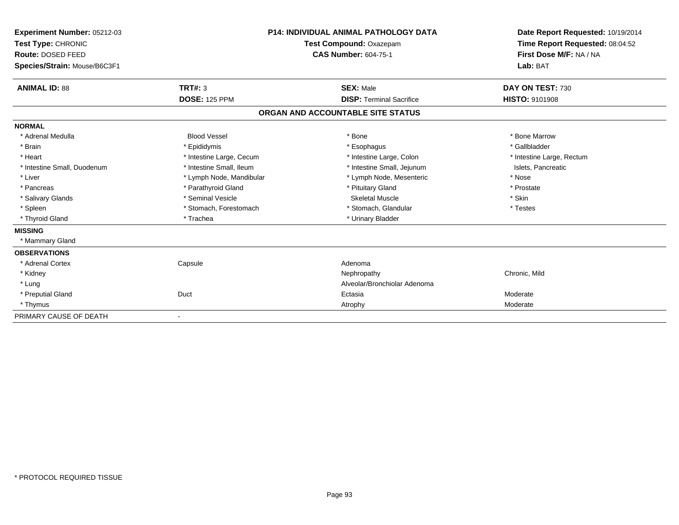| Experiment Number: 05212-03<br>Test Type: CHRONIC<br>Route: DOSED FEED<br>Species/Strain: Mouse/B6C3F1 |                          | <b>P14: INDIVIDUAL ANIMAL PATHOLOGY DATA</b><br>Test Compound: Oxazepam<br><b>CAS Number: 604-75-1</b> | Date Report Requested: 10/19/2014<br>Time Report Requested: 08:04:52<br>First Dose M/F: NA / NA<br>Lab: BAT |
|--------------------------------------------------------------------------------------------------------|--------------------------|--------------------------------------------------------------------------------------------------------|-------------------------------------------------------------------------------------------------------------|
| <b>ANIMAL ID: 88</b>                                                                                   | <b>TRT#: 3</b>           | <b>SEX: Male</b>                                                                                       | DAY ON TEST: 730                                                                                            |
|                                                                                                        | <b>DOSE: 125 PPM</b>     | <b>DISP: Terminal Sacrifice</b>                                                                        | <b>HISTO: 9101908</b>                                                                                       |
|                                                                                                        |                          | ORGAN AND ACCOUNTABLE SITE STATUS                                                                      |                                                                                                             |
| <b>NORMAL</b>                                                                                          |                          |                                                                                                        |                                                                                                             |
| * Adrenal Medulla                                                                                      | <b>Blood Vessel</b>      | * Bone                                                                                                 | * Bone Marrow                                                                                               |
| * Brain                                                                                                | * Epididymis             | * Esophagus                                                                                            | * Gallbladder                                                                                               |
| * Heart                                                                                                | * Intestine Large, Cecum | * Intestine Large, Colon                                                                               | * Intestine Large, Rectum                                                                                   |
| * Intestine Small, Duodenum                                                                            | * Intestine Small, Ileum | * Intestine Small, Jejunum                                                                             | Islets, Pancreatic                                                                                          |
| * Liver                                                                                                | * Lymph Node, Mandibular | * Lymph Node, Mesenteric                                                                               | * Nose                                                                                                      |
| * Pancreas                                                                                             | * Parathyroid Gland      | * Pituitary Gland                                                                                      | * Prostate                                                                                                  |
| * Salivary Glands                                                                                      | * Seminal Vesicle        | <b>Skeletal Muscle</b>                                                                                 | * Skin                                                                                                      |
| * Spleen                                                                                               | * Stomach, Forestomach   | * Stomach, Glandular                                                                                   | * Testes                                                                                                    |
| * Thyroid Gland                                                                                        | * Trachea                | * Urinary Bladder                                                                                      |                                                                                                             |
| <b>MISSING</b>                                                                                         |                          |                                                                                                        |                                                                                                             |
| * Mammary Gland                                                                                        |                          |                                                                                                        |                                                                                                             |
| <b>OBSERVATIONS</b>                                                                                    |                          |                                                                                                        |                                                                                                             |
| * Adrenal Cortex                                                                                       | Capsule                  | Adenoma                                                                                                |                                                                                                             |
| * Kidney                                                                                               |                          | Nephropathy                                                                                            | Chronic, Mild                                                                                               |
| * Lung                                                                                                 |                          | Alveolar/Bronchiolar Adenoma                                                                           |                                                                                                             |
| * Preputial Gland                                                                                      | Duct                     | Ectasia                                                                                                | Moderate                                                                                                    |
| * Thymus                                                                                               |                          | Atrophy                                                                                                | Moderate                                                                                                    |
| PRIMARY CAUSE OF DEATH                                                                                 | $\blacksquare$           |                                                                                                        |                                                                                                             |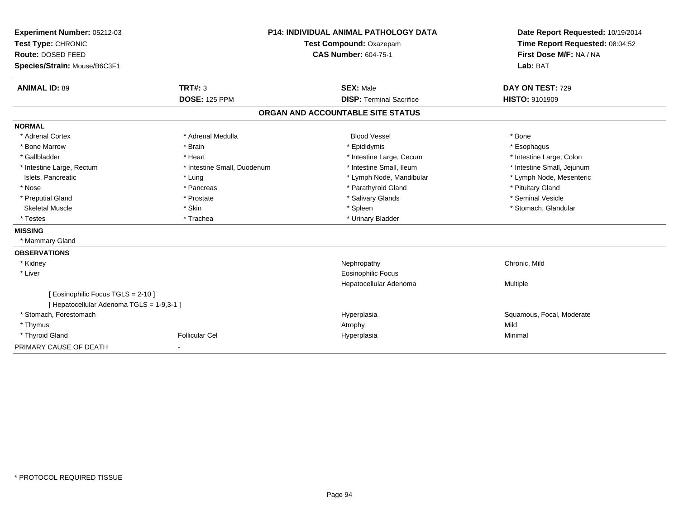| Experiment Number: 05212-03<br>Test Type: CHRONIC                               |                             | <b>P14: INDIVIDUAL ANIMAL PATHOLOGY DATA</b><br>Test Compound: Oxazepam | Date Report Requested: 10/19/2014<br>Time Report Requested: 08:04:52 |  |
|---------------------------------------------------------------------------------|-----------------------------|-------------------------------------------------------------------------|----------------------------------------------------------------------|--|
| Route: DOSED FEED                                                               |                             | <b>CAS Number: 604-75-1</b>                                             | First Dose M/F: NA / NA                                              |  |
| Species/Strain: Mouse/B6C3F1                                                    |                             |                                                                         | Lab: BAT                                                             |  |
|                                                                                 |                             |                                                                         |                                                                      |  |
| <b>ANIMAL ID: 89</b>                                                            | TRT#: 3                     | <b>SEX: Male</b>                                                        | DAY ON TEST: 729                                                     |  |
|                                                                                 | <b>DOSE: 125 PPM</b>        | <b>DISP: Terminal Sacrifice</b>                                         | <b>HISTO: 9101909</b>                                                |  |
|                                                                                 |                             | ORGAN AND ACCOUNTABLE SITE STATUS                                       |                                                                      |  |
| <b>NORMAL</b>                                                                   |                             |                                                                         |                                                                      |  |
| * Adrenal Cortex                                                                | * Adrenal Medulla           | <b>Blood Vessel</b>                                                     | * Bone                                                               |  |
| * Bone Marrow                                                                   | * Brain                     | * Epididymis                                                            | * Esophagus                                                          |  |
| * Gallbladder                                                                   | * Heart                     | * Intestine Large, Cecum                                                | * Intestine Large, Colon                                             |  |
| * Intestine Large, Rectum                                                       | * Intestine Small, Duodenum | * Intestine Small, Ileum                                                | * Intestine Small, Jejunum                                           |  |
| Islets, Pancreatic                                                              | * Lung                      | * Lymph Node, Mandibular                                                | * Lymph Node, Mesenteric                                             |  |
| * Nose                                                                          | * Pancreas                  | * Parathyroid Gland                                                     | * Pituitary Gland                                                    |  |
| * Preputial Gland                                                               | * Prostate                  | * Salivary Glands                                                       | * Seminal Vesicle                                                    |  |
| <b>Skeletal Muscle</b>                                                          | * Skin                      | * Spleen                                                                | * Stomach, Glandular                                                 |  |
| * Testes                                                                        | * Trachea                   | * Urinary Bladder                                                       |                                                                      |  |
| <b>MISSING</b>                                                                  |                             |                                                                         |                                                                      |  |
| * Mammary Gland                                                                 |                             |                                                                         |                                                                      |  |
| <b>OBSERVATIONS</b>                                                             |                             |                                                                         |                                                                      |  |
| * Kidney                                                                        |                             | Nephropathy                                                             | Chronic, Mild                                                        |  |
| * Liver                                                                         |                             | Eosinophilic Focus                                                      |                                                                      |  |
|                                                                                 |                             | Hepatocellular Adenoma                                                  | Multiple                                                             |  |
| [ Eosinophilic Focus TGLS = 2-10 ]<br>[ Hepatocellular Adenoma TGLS = 1-9,3-1 ] |                             |                                                                         |                                                                      |  |
| * Stomach, Forestomach                                                          |                             | Hyperplasia                                                             | Squamous, Focal, Moderate                                            |  |
| * Thymus                                                                        |                             | Atrophy                                                                 | Mild                                                                 |  |
| * Thyroid Gland                                                                 | <b>Follicular Cel</b>       | Hyperplasia                                                             | Minimal                                                              |  |
| PRIMARY CAUSE OF DEATH                                                          |                             |                                                                         |                                                                      |  |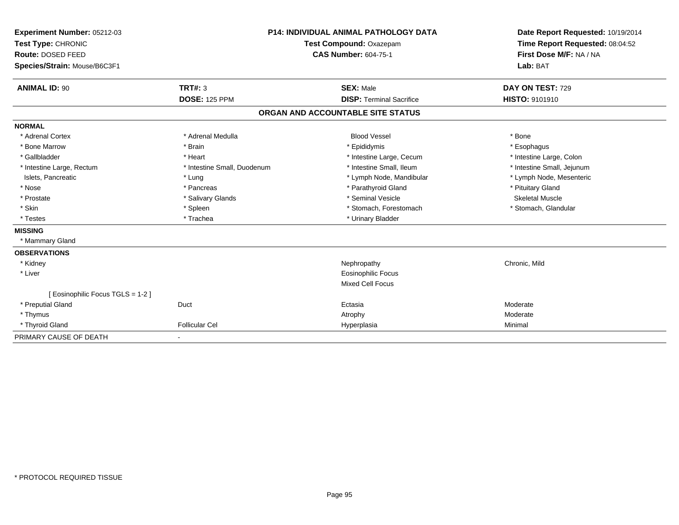| Experiment Number: 05212-03<br>Test Type: CHRONIC<br>Route: DOSED FEED<br>Species/Strain: Mouse/B6C3F1 |                                 | <b>P14: INDIVIDUAL ANIMAL PATHOLOGY DATA</b><br>Test Compound: Oxazepam<br><b>CAS Number: 604-75-1</b> |                                 | Date Report Requested: 10/19/2014<br>Time Report Requested: 08:04:52<br>First Dose M/F: NA / NA<br>Lab: BAT |
|--------------------------------------------------------------------------------------------------------|---------------------------------|--------------------------------------------------------------------------------------------------------|---------------------------------|-------------------------------------------------------------------------------------------------------------|
| <b>ANIMAL ID: 90</b>                                                                                   | TRT#: 3<br><b>DOSE: 125 PPM</b> | <b>SEX: Male</b>                                                                                       | <b>DISP: Terminal Sacrifice</b> | DAY ON TEST: 729<br><b>HISTO: 9101910</b>                                                                   |
|                                                                                                        |                                 |                                                                                                        |                                 |                                                                                                             |
|                                                                                                        |                                 | ORGAN AND ACCOUNTABLE SITE STATUS                                                                      |                                 |                                                                                                             |
| <b>NORMAL</b>                                                                                          |                                 |                                                                                                        |                                 |                                                                                                             |
| * Adrenal Cortex                                                                                       | * Adrenal Medulla               | <b>Blood Vessel</b>                                                                                    |                                 | * Bone                                                                                                      |
| * Bone Marrow                                                                                          | * Brain                         | * Epididymis                                                                                           |                                 | * Esophagus                                                                                                 |
| * Gallbladder                                                                                          | * Heart                         |                                                                                                        | * Intestine Large, Cecum        | * Intestine Large, Colon                                                                                    |
| * Intestine Large, Rectum                                                                              | * Intestine Small, Duodenum     |                                                                                                        | * Intestine Small, Ileum        | * Intestine Small, Jejunum                                                                                  |
| Islets, Pancreatic                                                                                     | * Lung                          |                                                                                                        | * Lymph Node, Mandibular        | * Lymph Node, Mesenteric                                                                                    |
| * Nose                                                                                                 | * Pancreas                      |                                                                                                        | * Parathyroid Gland             | * Pituitary Gland                                                                                           |
| * Prostate                                                                                             | * Salivary Glands               |                                                                                                        | * Seminal Vesicle               | Skeletal Muscle                                                                                             |
| * Skin                                                                                                 | * Spleen                        |                                                                                                        | * Stomach, Forestomach          | * Stomach, Glandular                                                                                        |
| * Testes                                                                                               | * Trachea                       |                                                                                                        | * Urinary Bladder               |                                                                                                             |
| <b>MISSING</b>                                                                                         |                                 |                                                                                                        |                                 |                                                                                                             |
| * Mammary Gland                                                                                        |                                 |                                                                                                        |                                 |                                                                                                             |
| <b>OBSERVATIONS</b>                                                                                    |                                 |                                                                                                        |                                 |                                                                                                             |
| * Kidney                                                                                               |                                 | Nephropathy                                                                                            |                                 | Chronic, Mild                                                                                               |
| * Liver                                                                                                |                                 | <b>Eosinophilic Focus</b>                                                                              |                                 |                                                                                                             |
|                                                                                                        |                                 | <b>Mixed Cell Focus</b>                                                                                |                                 |                                                                                                             |
| [ Eosinophilic Focus TGLS = 1-2 ]                                                                      |                                 |                                                                                                        |                                 |                                                                                                             |
| * Preputial Gland                                                                                      | Duct                            | Ectasia                                                                                                |                                 | Moderate                                                                                                    |
| * Thymus                                                                                               |                                 | Atrophy                                                                                                |                                 | Moderate                                                                                                    |
| * Thyroid Gland                                                                                        | <b>Follicular Cel</b>           | Hyperplasia                                                                                            |                                 | Minimal                                                                                                     |
| PRIMARY CAUSE OF DEATH                                                                                 |                                 |                                                                                                        |                                 |                                                                                                             |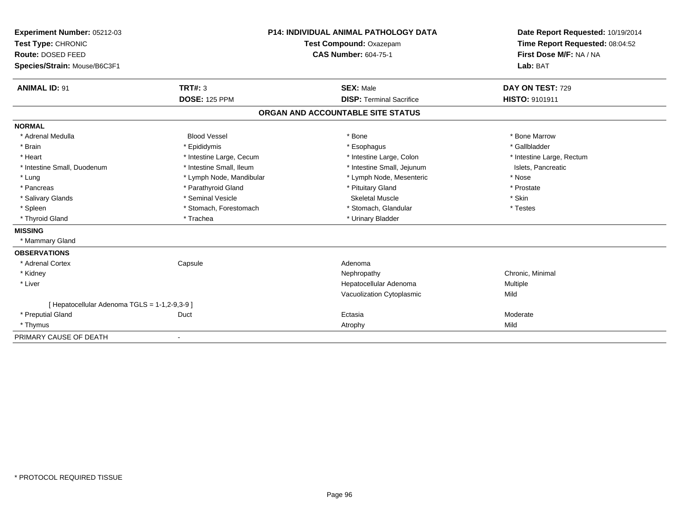| Experiment Number: 05212-03                   |                          | <b>P14: INDIVIDUAL ANIMAL PATHOLOGY DATA</b> | Date Report Requested: 10/19/2014 |  |
|-----------------------------------------------|--------------------------|----------------------------------------------|-----------------------------------|--|
| Test Type: CHRONIC                            |                          | Test Compound: Oxazepam                      | Time Report Requested: 08:04:52   |  |
| Route: DOSED FEED                             |                          | <b>CAS Number: 604-75-1</b>                  | First Dose M/F: NA / NA           |  |
| Species/Strain: Mouse/B6C3F1                  |                          |                                              | Lab: BAT                          |  |
| <b>ANIMAL ID: 91</b>                          | TRT#: 3                  | <b>SEX: Male</b>                             | DAY ON TEST: 729                  |  |
|                                               | <b>DOSE: 125 PPM</b>     | <b>DISP: Terminal Sacrifice</b>              | HISTO: 9101911                    |  |
|                                               |                          | ORGAN AND ACCOUNTABLE SITE STATUS            |                                   |  |
| <b>NORMAL</b>                                 |                          |                                              |                                   |  |
| * Adrenal Medulla                             | <b>Blood Vessel</b>      | * Bone                                       | * Bone Marrow                     |  |
| * Brain                                       | * Epididymis             | * Esophagus                                  | * Gallbladder                     |  |
| * Heart                                       | * Intestine Large, Cecum | * Intestine Large, Colon                     | * Intestine Large, Rectum         |  |
| * Intestine Small, Duodenum                   | * Intestine Small, Ileum | * Intestine Small, Jejunum                   | Islets, Pancreatic                |  |
| * Lung                                        | * Lymph Node, Mandibular | * Lymph Node, Mesenteric                     | * Nose                            |  |
| * Pancreas                                    | * Parathyroid Gland      | * Pituitary Gland                            | * Prostate                        |  |
| * Salivary Glands                             | * Seminal Vesicle        | <b>Skeletal Muscle</b>                       | * Skin                            |  |
| * Spleen                                      | * Stomach, Forestomach   | * Stomach, Glandular                         | * Testes                          |  |
| * Thyroid Gland                               | * Trachea                | * Urinary Bladder                            |                                   |  |
| <b>MISSING</b>                                |                          |                                              |                                   |  |
| * Mammary Gland                               |                          |                                              |                                   |  |
| <b>OBSERVATIONS</b>                           |                          |                                              |                                   |  |
| * Adrenal Cortex                              | Capsule                  | Adenoma                                      |                                   |  |
| * Kidney                                      |                          | Nephropathy                                  | Chronic, Minimal                  |  |
| * Liver                                       |                          | Hepatocellular Adenoma                       | Multiple                          |  |
|                                               |                          | Vacuolization Cytoplasmic                    | Mild                              |  |
| [ Hepatocellular Adenoma TGLS = 1-1,2-9,3-9 ] |                          |                                              |                                   |  |
| * Preputial Gland                             | Duct                     | Ectasia                                      | Moderate                          |  |
| * Thymus                                      |                          | Atrophy                                      | Mild                              |  |
| PRIMARY CAUSE OF DEATH                        |                          |                                              |                                   |  |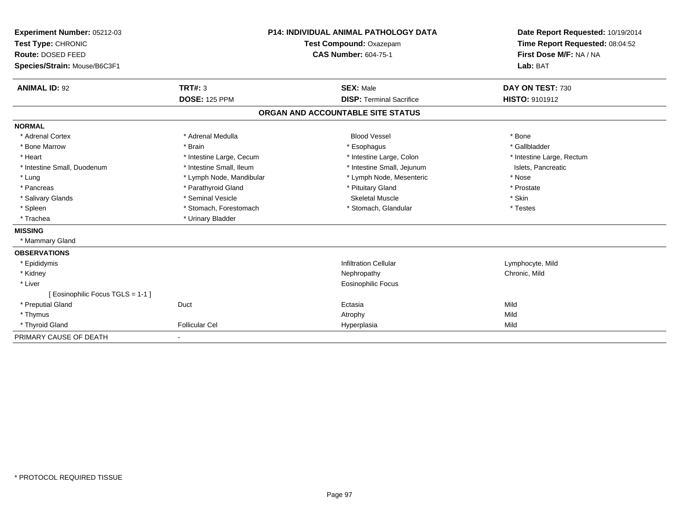| Experiment Number: 05212-03<br>Test Type: CHRONIC<br>Route: DOSED FEED<br>Species/Strain: Mouse/B6C3F1 |                          | <b>P14: INDIVIDUAL ANIMAL PATHOLOGY DATA</b><br>Test Compound: Oxazepam<br><b>CAS Number: 604-75-1</b> | Date Report Requested: 10/19/2014<br>Time Report Requested: 08:04:52<br>First Dose M/F: NA / NA<br>Lab: BAT |
|--------------------------------------------------------------------------------------------------------|--------------------------|--------------------------------------------------------------------------------------------------------|-------------------------------------------------------------------------------------------------------------|
| <b>ANIMAL ID: 92</b>                                                                                   | TRT#: 3                  | <b>SEX: Male</b>                                                                                       | DAY ON TEST: 730                                                                                            |
|                                                                                                        | <b>DOSE: 125 PPM</b>     | <b>DISP: Terminal Sacrifice</b>                                                                        | HISTO: 9101912                                                                                              |
|                                                                                                        |                          | ORGAN AND ACCOUNTABLE SITE STATUS                                                                      |                                                                                                             |
| <b>NORMAL</b>                                                                                          |                          |                                                                                                        |                                                                                                             |
| * Adrenal Cortex                                                                                       | * Adrenal Medulla        | <b>Blood Vessel</b>                                                                                    | * Bone                                                                                                      |
| * Bone Marrow                                                                                          | * Brain                  | * Esophagus                                                                                            | * Gallbladder                                                                                               |
| * Heart                                                                                                | * Intestine Large, Cecum | * Intestine Large, Colon                                                                               | * Intestine Large, Rectum                                                                                   |
| * Intestine Small, Duodenum                                                                            | * Intestine Small, Ileum | * Intestine Small, Jejunum                                                                             | Islets, Pancreatic                                                                                          |
| * Lung                                                                                                 | * Lymph Node, Mandibular | * Lymph Node, Mesenteric                                                                               | * Nose                                                                                                      |
| * Pancreas                                                                                             | * Parathyroid Gland      | * Pituitary Gland                                                                                      | * Prostate                                                                                                  |
| * Salivary Glands                                                                                      | * Seminal Vesicle        | <b>Skeletal Muscle</b>                                                                                 | * Skin                                                                                                      |
| * Spleen                                                                                               | * Stomach, Forestomach   | * Stomach, Glandular                                                                                   | * Testes                                                                                                    |
| * Trachea                                                                                              | * Urinary Bladder        |                                                                                                        |                                                                                                             |
| <b>MISSING</b>                                                                                         |                          |                                                                                                        |                                                                                                             |
| * Mammary Gland                                                                                        |                          |                                                                                                        |                                                                                                             |
| <b>OBSERVATIONS</b>                                                                                    |                          |                                                                                                        |                                                                                                             |
| * Epididymis                                                                                           |                          | <b>Infiltration Cellular</b>                                                                           | Lymphocyte, Mild                                                                                            |
| * Kidney                                                                                               |                          | Nephropathy                                                                                            | Chronic, Mild                                                                                               |
| * Liver                                                                                                |                          | <b>Eosinophilic Focus</b>                                                                              |                                                                                                             |
| [ Eosinophilic Focus TGLS = 1-1 ]                                                                      |                          |                                                                                                        |                                                                                                             |
| * Preputial Gland                                                                                      | Duct                     | Ectasia                                                                                                | Mild                                                                                                        |
| * Thymus                                                                                               |                          | Atrophy                                                                                                | Mild                                                                                                        |
| * Thyroid Gland                                                                                        | <b>Follicular Cel</b>    | Hyperplasia                                                                                            | Mild                                                                                                        |
| PRIMARY CAUSE OF DEATH                                                                                 | $\blacksquare$           |                                                                                                        |                                                                                                             |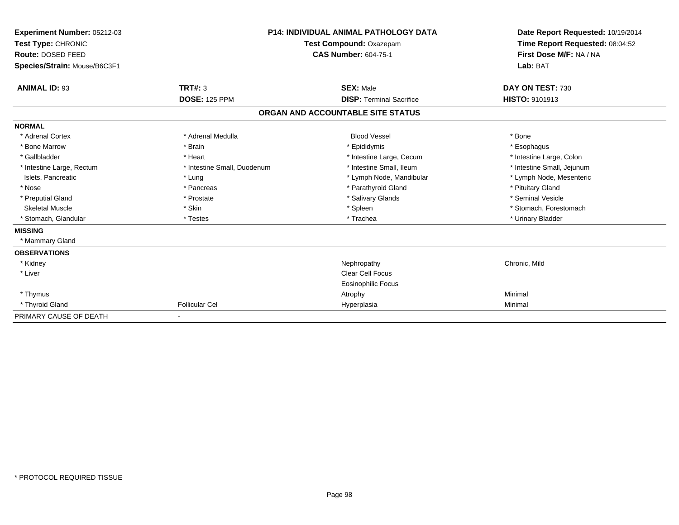| Experiment Number: 05212-03<br>Test Type: CHRONIC<br>Route: DOSED FEED<br>Species/Strain: Mouse/B6C3F1 | <b>P14: INDIVIDUAL ANIMAL PATHOLOGY DATA</b><br>Test Compound: Oxazepam<br><b>CAS Number: 604-75-1</b> |                                   | Date Report Requested: 10/19/2014<br>Time Report Requested: 08:04:52<br>First Dose M/F: NA / NA<br>Lab: BAT |  |
|--------------------------------------------------------------------------------------------------------|--------------------------------------------------------------------------------------------------------|-----------------------------------|-------------------------------------------------------------------------------------------------------------|--|
|                                                                                                        |                                                                                                        |                                   |                                                                                                             |  |
| <b>ANIMAL ID: 93</b>                                                                                   | <b>TRT#: 3</b>                                                                                         | <b>SEX: Male</b>                  | DAY ON TEST: 730                                                                                            |  |
|                                                                                                        | <b>DOSE: 125 PPM</b>                                                                                   | <b>DISP: Terminal Sacrifice</b>   | <b>HISTO: 9101913</b>                                                                                       |  |
|                                                                                                        |                                                                                                        | ORGAN AND ACCOUNTABLE SITE STATUS |                                                                                                             |  |
| <b>NORMAL</b>                                                                                          |                                                                                                        |                                   |                                                                                                             |  |
| * Adrenal Cortex                                                                                       | * Adrenal Medulla                                                                                      | <b>Blood Vessel</b>               | * Bone                                                                                                      |  |
| * Bone Marrow                                                                                          | * Brain                                                                                                | * Epididymis                      | * Esophagus                                                                                                 |  |
| * Gallbladder                                                                                          | * Heart                                                                                                | * Intestine Large, Cecum          | * Intestine Large, Colon                                                                                    |  |
| * Intestine Large, Rectum                                                                              | * Intestine Small, Duodenum                                                                            | * Intestine Small, Ileum          | * Intestine Small, Jejunum                                                                                  |  |
| Islets, Pancreatic                                                                                     | * Lung                                                                                                 | * Lymph Node, Mandibular          | * Lymph Node, Mesenteric                                                                                    |  |
| * Nose                                                                                                 | * Pancreas                                                                                             | * Parathyroid Gland               | * Pituitary Gland                                                                                           |  |
| * Preputial Gland                                                                                      | * Prostate                                                                                             | * Salivary Glands                 | * Seminal Vesicle                                                                                           |  |
| <b>Skeletal Muscle</b>                                                                                 | * Skin                                                                                                 | * Spleen                          | * Stomach, Forestomach                                                                                      |  |
| * Stomach, Glandular                                                                                   | * Testes                                                                                               | * Trachea                         | * Urinary Bladder                                                                                           |  |
| <b>MISSING</b>                                                                                         |                                                                                                        |                                   |                                                                                                             |  |
| * Mammary Gland                                                                                        |                                                                                                        |                                   |                                                                                                             |  |
| <b>OBSERVATIONS</b>                                                                                    |                                                                                                        |                                   |                                                                                                             |  |
| * Kidney                                                                                               |                                                                                                        | Nephropathy                       | Chronic, Mild                                                                                               |  |
| * Liver                                                                                                |                                                                                                        | <b>Clear Cell Focus</b>           |                                                                                                             |  |
|                                                                                                        |                                                                                                        | Eosinophilic Focus                |                                                                                                             |  |
| * Thymus                                                                                               |                                                                                                        | Atrophy                           | Minimal                                                                                                     |  |
| * Thyroid Gland                                                                                        | <b>Follicular Cel</b>                                                                                  | Hyperplasia                       | Minimal                                                                                                     |  |
| PRIMARY CAUSE OF DEATH                                                                                 | $\blacksquare$                                                                                         |                                   |                                                                                                             |  |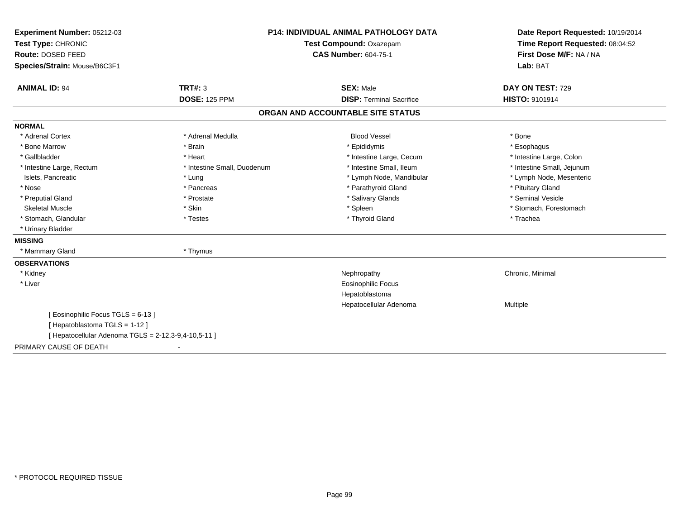| Experiment Number: 05212-03                          | <b>P14: INDIVIDUAL ANIMAL PATHOLOGY DATA</b><br>Test Compound: Oxazepam |                                   | Date Report Requested: 10/19/2014 |  |
|------------------------------------------------------|-------------------------------------------------------------------------|-----------------------------------|-----------------------------------|--|
| Test Type: CHRONIC                                   |                                                                         |                                   | Time Report Requested: 08:04:52   |  |
| Route: DOSED FEED                                    |                                                                         | <b>CAS Number: 604-75-1</b>       | First Dose M/F: NA / NA           |  |
| Species/Strain: Mouse/B6C3F1                         |                                                                         |                                   | Lab: BAT                          |  |
| <b>ANIMAL ID: 94</b>                                 | <b>TRT#: 3</b>                                                          | <b>SEX: Male</b>                  | DAY ON TEST: 729                  |  |
|                                                      | <b>DOSE: 125 PPM</b>                                                    | <b>DISP: Terminal Sacrifice</b>   | HISTO: 9101914                    |  |
|                                                      |                                                                         | ORGAN AND ACCOUNTABLE SITE STATUS |                                   |  |
| <b>NORMAL</b>                                        |                                                                         |                                   |                                   |  |
| * Adrenal Cortex                                     | * Adrenal Medulla                                                       | <b>Blood Vessel</b>               | * Bone                            |  |
| * Bone Marrow                                        | * Brain                                                                 | * Epididymis                      | * Esophagus                       |  |
| * Gallbladder                                        | * Heart                                                                 | * Intestine Large, Cecum          | * Intestine Large, Colon          |  |
| * Intestine Large, Rectum                            | * Intestine Small, Duodenum                                             | * Intestine Small, Ileum          | * Intestine Small, Jejunum        |  |
| Islets, Pancreatic                                   | * Lung                                                                  | * Lymph Node, Mandibular          | * Lymph Node, Mesenteric          |  |
| * Nose                                               | * Pancreas                                                              | * Parathyroid Gland               | * Pituitary Gland                 |  |
| * Preputial Gland                                    | * Prostate                                                              | * Salivary Glands                 | * Seminal Vesicle                 |  |
| <b>Skeletal Muscle</b>                               | * Skin                                                                  | * Spleen                          | * Stomach, Forestomach            |  |
| * Stomach, Glandular                                 | * Testes                                                                | * Thyroid Gland                   | * Trachea                         |  |
| * Urinary Bladder                                    |                                                                         |                                   |                                   |  |
| <b>MISSING</b>                                       |                                                                         |                                   |                                   |  |
| * Mammary Gland                                      | * Thymus                                                                |                                   |                                   |  |
| <b>OBSERVATIONS</b>                                  |                                                                         |                                   |                                   |  |
| * Kidney                                             |                                                                         | Nephropathy                       | Chronic, Minimal                  |  |
| * Liver                                              |                                                                         | <b>Eosinophilic Focus</b>         |                                   |  |
|                                                      |                                                                         | Hepatoblastoma                    |                                   |  |
|                                                      |                                                                         | Hepatocellular Adenoma            | Multiple                          |  |
| [Eosinophilic Focus TGLS = 6-13]                     |                                                                         |                                   |                                   |  |
| [Hepatoblastoma TGLS = 1-12]                         |                                                                         |                                   |                                   |  |
| [ Hepatocellular Adenoma TGLS = 2-12,3-9,4-10,5-11 ] |                                                                         |                                   |                                   |  |
| PRIMARY CAUSE OF DEATH                               |                                                                         |                                   |                                   |  |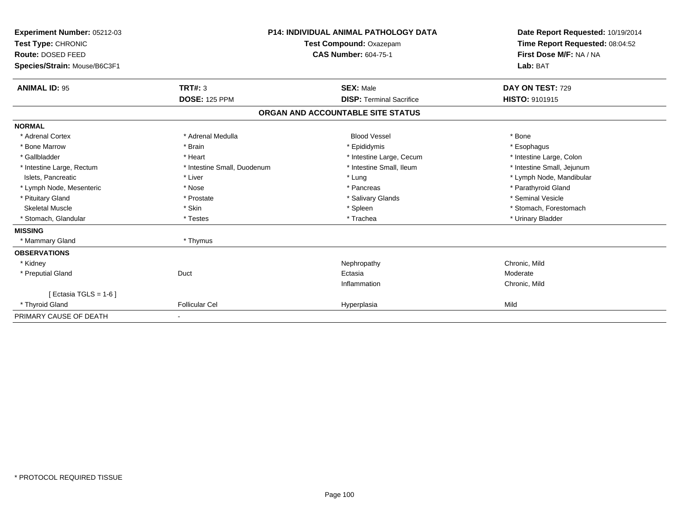| Experiment Number: 05212-03<br>Test Type: CHRONIC<br>Route: DOSED FEED<br>Species/Strain: Mouse/B6C3F1 |                             | <b>P14: INDIVIDUAL ANIMAL PATHOLOGY DATA</b><br>Test Compound: Oxazepam<br><b>CAS Number: 604-75-1</b> | Date Report Requested: 10/19/2014<br>Time Report Requested: 08:04:52<br>First Dose M/F: NA / NA<br>Lab: BAT |  |
|--------------------------------------------------------------------------------------------------------|-----------------------------|--------------------------------------------------------------------------------------------------------|-------------------------------------------------------------------------------------------------------------|--|
| <b>ANIMAL ID: 95</b>                                                                                   | <b>TRT#: 3</b>              | <b>SEX: Male</b>                                                                                       | DAY ON TEST: 729                                                                                            |  |
|                                                                                                        | <b>DOSE: 125 PPM</b>        | <b>DISP: Terminal Sacrifice</b>                                                                        | <b>HISTO: 9101915</b>                                                                                       |  |
|                                                                                                        |                             | ORGAN AND ACCOUNTABLE SITE STATUS                                                                      |                                                                                                             |  |
| <b>NORMAL</b>                                                                                          |                             |                                                                                                        |                                                                                                             |  |
| * Adrenal Cortex                                                                                       | * Adrenal Medulla           | <b>Blood Vessel</b>                                                                                    | * Bone                                                                                                      |  |
| * Bone Marrow                                                                                          | * Brain                     | * Epididymis                                                                                           | * Esophagus                                                                                                 |  |
| * Gallbladder                                                                                          | * Heart                     | * Intestine Large, Cecum                                                                               | * Intestine Large, Colon                                                                                    |  |
| * Intestine Large, Rectum                                                                              | * Intestine Small, Duodenum | * Intestine Small. Ileum                                                                               | * Intestine Small, Jejunum                                                                                  |  |
| Islets, Pancreatic                                                                                     | * Liver                     | * Lung                                                                                                 | * Lymph Node, Mandibular                                                                                    |  |
| * Lymph Node, Mesenteric                                                                               | * Nose                      | * Pancreas                                                                                             | * Parathyroid Gland                                                                                         |  |
| * Pituitary Gland                                                                                      | * Prostate                  | * Salivary Glands                                                                                      | * Seminal Vesicle                                                                                           |  |
| <b>Skeletal Muscle</b>                                                                                 | * Skin                      | * Spleen                                                                                               | * Stomach, Forestomach                                                                                      |  |
| * Stomach, Glandular                                                                                   | * Testes                    | * Trachea                                                                                              | * Urinary Bladder                                                                                           |  |
| <b>MISSING</b>                                                                                         |                             |                                                                                                        |                                                                                                             |  |
| * Mammary Gland                                                                                        | * Thymus                    |                                                                                                        |                                                                                                             |  |
| <b>OBSERVATIONS</b>                                                                                    |                             |                                                                                                        |                                                                                                             |  |
| * Kidney                                                                                               |                             | Nephropathy                                                                                            | Chronic, Mild                                                                                               |  |
| * Preputial Gland                                                                                      | Duct                        | Ectasia                                                                                                | Moderate                                                                                                    |  |
|                                                                                                        |                             | Inflammation                                                                                           | Chronic, Mild                                                                                               |  |
| [ Ectasia TGLS = $1-6$ ]                                                                               |                             |                                                                                                        |                                                                                                             |  |
| * Thyroid Gland                                                                                        | <b>Follicular Cel</b>       | Hyperplasia                                                                                            | Mild                                                                                                        |  |
| PRIMARY CAUSE OF DEATH                                                                                 |                             |                                                                                                        |                                                                                                             |  |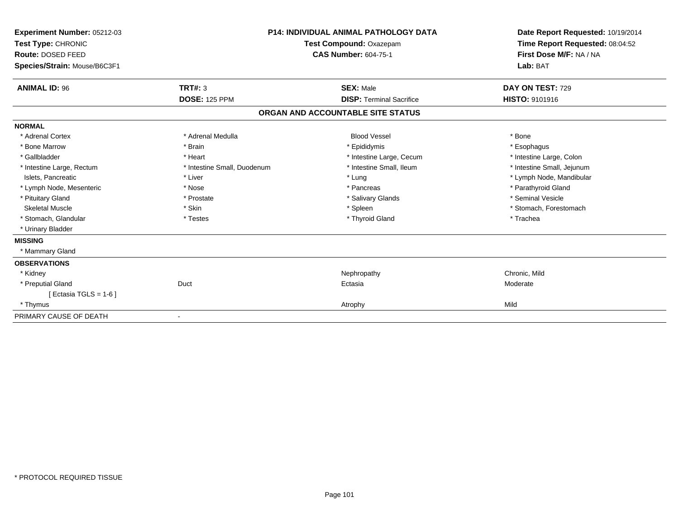| Experiment Number: 05212-03<br>Test Type: CHRONIC<br>Route: DOSED FEED<br>Species/Strain: Mouse/B6C3F1 |                             | <b>P14: INDIVIDUAL ANIMAL PATHOLOGY DATA</b><br>Test Compound: Oxazepam<br><b>CAS Number: 604-75-1</b> | Date Report Requested: 10/19/2014<br>Time Report Requested: 08:04:52<br>First Dose M/F: NA / NA<br>Lab: BAT |
|--------------------------------------------------------------------------------------------------------|-----------------------------|--------------------------------------------------------------------------------------------------------|-------------------------------------------------------------------------------------------------------------|
| <b>ANIMAL ID: 96</b>                                                                                   | <b>TRT#: 3</b>              | <b>SEX: Male</b>                                                                                       | DAY ON TEST: 729                                                                                            |
|                                                                                                        | <b>DOSE: 125 PPM</b>        | <b>DISP: Terminal Sacrifice</b>                                                                        | HISTO: 9101916                                                                                              |
|                                                                                                        |                             | ORGAN AND ACCOUNTABLE SITE STATUS                                                                      |                                                                                                             |
| <b>NORMAL</b>                                                                                          |                             |                                                                                                        |                                                                                                             |
| * Adrenal Cortex                                                                                       | * Adrenal Medulla           | <b>Blood Vessel</b>                                                                                    | * Bone                                                                                                      |
| * Bone Marrow                                                                                          | * Brain                     | * Epididymis                                                                                           | * Esophagus                                                                                                 |
| * Gallbladder                                                                                          | * Heart                     | * Intestine Large, Cecum                                                                               | * Intestine Large, Colon                                                                                    |
| * Intestine Large, Rectum                                                                              | * Intestine Small, Duodenum | * Intestine Small, Ileum                                                                               | * Intestine Small, Jejunum                                                                                  |
| Islets, Pancreatic                                                                                     | * Liver                     | * Lung                                                                                                 | * Lymph Node, Mandibular                                                                                    |
| * Lymph Node, Mesenteric                                                                               | * Nose                      | * Pancreas                                                                                             | * Parathyroid Gland                                                                                         |
| * Pituitary Gland                                                                                      | * Prostate                  | * Salivary Glands                                                                                      | * Seminal Vesicle                                                                                           |
| <b>Skeletal Muscle</b>                                                                                 | * Skin                      | * Spleen                                                                                               | * Stomach, Forestomach                                                                                      |
| * Stomach, Glandular                                                                                   | * Testes                    | * Thyroid Gland                                                                                        | * Trachea                                                                                                   |
| * Urinary Bladder                                                                                      |                             |                                                                                                        |                                                                                                             |
| <b>MISSING</b>                                                                                         |                             |                                                                                                        |                                                                                                             |
| * Mammary Gland                                                                                        |                             |                                                                                                        |                                                                                                             |
| <b>OBSERVATIONS</b>                                                                                    |                             |                                                                                                        |                                                                                                             |
| * Kidney                                                                                               |                             | Nephropathy                                                                                            | Chronic, Mild                                                                                               |
| * Preputial Gland                                                                                      | Duct                        | Ectasia                                                                                                | Moderate                                                                                                    |
| [ Ectasia TGLS = $1-6$ ]                                                                               |                             |                                                                                                        |                                                                                                             |
| * Thymus                                                                                               |                             | Atrophy                                                                                                | Mild                                                                                                        |
| PRIMARY CAUSE OF DEATH                                                                                 |                             |                                                                                                        |                                                                                                             |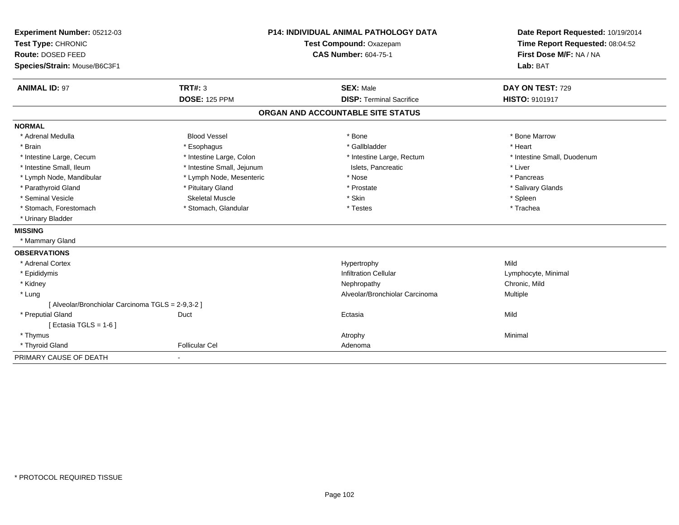| Experiment Number: 05212-03                       | P14: INDIVIDUAL ANIMAL PATHOLOGY DATA |                                   | Date Report Requested: 10/19/2014 |
|---------------------------------------------------|---------------------------------------|-----------------------------------|-----------------------------------|
| Test Type: CHRONIC                                |                                       | Test Compound: Oxazepam           | Time Report Requested: 08:04:52   |
| Route: DOSED FEED                                 |                                       | <b>CAS Number: 604-75-1</b>       | First Dose M/F: NA / NA           |
| Species/Strain: Mouse/B6C3F1                      |                                       |                                   | Lab: BAT                          |
| <b>ANIMAL ID: 97</b>                              | TRT#: 3                               | <b>SEX: Male</b>                  | DAY ON TEST: 729                  |
|                                                   | <b>DOSE: 125 PPM</b>                  | <b>DISP: Terminal Sacrifice</b>   | HISTO: 9101917                    |
|                                                   |                                       | ORGAN AND ACCOUNTABLE SITE STATUS |                                   |
| <b>NORMAL</b>                                     |                                       |                                   |                                   |
| * Adrenal Medulla                                 | <b>Blood Vessel</b>                   | * Bone                            | * Bone Marrow                     |
| * Brain                                           | * Esophagus                           | * Gallbladder                     | * Heart                           |
| * Intestine Large, Cecum                          | * Intestine Large, Colon              | * Intestine Large, Rectum         | * Intestine Small, Duodenum       |
| * Intestine Small, Ileum                          | * Intestine Small, Jejunum            | Islets, Pancreatic                | * Liver                           |
| * Lymph Node, Mandibular                          | * Lymph Node, Mesenteric              | * Nose                            | * Pancreas                        |
| * Parathyroid Gland                               | * Pituitary Gland                     | * Prostate                        | * Salivary Glands                 |
| * Seminal Vesicle                                 | <b>Skeletal Muscle</b>                | * Skin                            | * Spleen                          |
| * Stomach, Forestomach                            | * Stomach, Glandular                  | * Testes                          | * Trachea                         |
| * Urinary Bladder                                 |                                       |                                   |                                   |
| <b>MISSING</b>                                    |                                       |                                   |                                   |
| * Mammary Gland                                   |                                       |                                   |                                   |
| <b>OBSERVATIONS</b>                               |                                       |                                   |                                   |
| * Adrenal Cortex                                  |                                       | Hypertrophy                       | Mild                              |
| * Epididymis                                      |                                       | <b>Infiltration Cellular</b>      | Lymphocyte, Minimal               |
| * Kidney                                          |                                       | Nephropathy                       | Chronic, Mild                     |
| * Lung                                            |                                       | Alveolar/Bronchiolar Carcinoma    | Multiple                          |
| [ Alveolar/Bronchiolar Carcinoma TGLS = 2-9,3-2 ] |                                       |                                   |                                   |
| * Preputial Gland                                 | Duct                                  | Ectasia                           | Mild                              |
| [ Ectasia TGLS = $1-6$ ]                          |                                       |                                   |                                   |
| * Thymus                                          |                                       | Atrophy                           | Minimal                           |
| * Thyroid Gland                                   | <b>Follicular Cel</b>                 | Adenoma                           |                                   |
| PRIMARY CAUSE OF DEATH                            |                                       |                                   |                                   |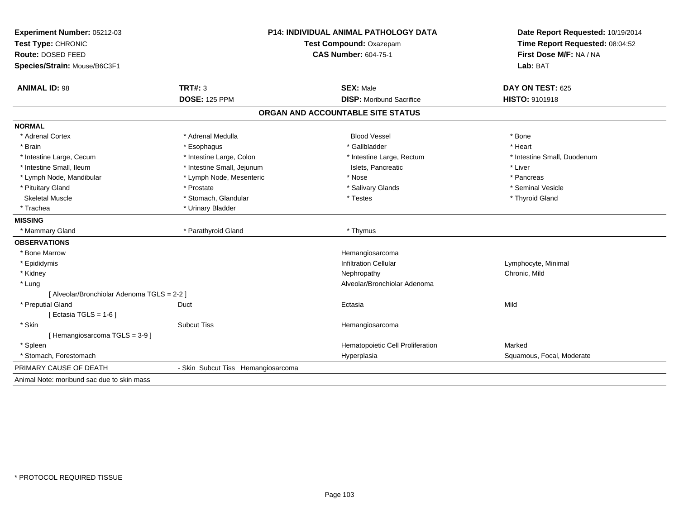| Experiment Number: 05212-03                 | <b>P14: INDIVIDUAL ANIMAL PATHOLOGY DATA</b> |                                   | Date Report Requested: 10/19/2014                          |
|---------------------------------------------|----------------------------------------------|-----------------------------------|------------------------------------------------------------|
| Test Type: CHRONIC                          |                                              | Test Compound: Oxazepam           |                                                            |
| Route: DOSED FEED                           |                                              | <b>CAS Number: 604-75-1</b>       | Time Report Requested: 08:04:52<br>First Dose M/F: NA / NA |
| Species/Strain: Mouse/B6C3F1                |                                              |                                   | Lab: BAT                                                   |
| <b>ANIMAL ID: 98</b>                        | <b>TRT#: 3</b>                               | <b>SEX: Male</b>                  | DAY ON TEST: 625                                           |
|                                             | <b>DOSE: 125 PPM</b>                         | <b>DISP:</b> Moribund Sacrifice   | HISTO: 9101918                                             |
|                                             |                                              | ORGAN AND ACCOUNTABLE SITE STATUS |                                                            |
| <b>NORMAL</b>                               |                                              |                                   |                                                            |
| * Adrenal Cortex                            | * Adrenal Medulla                            | <b>Blood Vessel</b>               | * Bone                                                     |
| * Brain                                     | * Esophagus                                  | * Gallbladder                     | * Heart                                                    |
| * Intestine Large, Cecum                    | * Intestine Large, Colon                     | * Intestine Large, Rectum         | * Intestine Small, Duodenum                                |
| * Intestine Small, Ileum                    | * Intestine Small, Jejunum                   | Islets, Pancreatic                | * Liver                                                    |
| * Lymph Node, Mandibular                    | * Lymph Node, Mesenteric                     | * Nose                            | * Pancreas                                                 |
| * Pituitary Gland                           | * Prostate                                   | * Salivary Glands                 | * Seminal Vesicle                                          |
| <b>Skeletal Muscle</b>                      | * Stomach, Glandular                         | * Testes                          | * Thyroid Gland                                            |
| * Trachea                                   | * Urinary Bladder                            |                                   |                                                            |
| <b>MISSING</b>                              |                                              |                                   |                                                            |
| * Mammary Gland                             | * Parathyroid Gland                          | * Thymus                          |                                                            |
| <b>OBSERVATIONS</b>                         |                                              |                                   |                                                            |
| * Bone Marrow                               |                                              | Hemangiosarcoma                   |                                                            |
| * Epididymis                                |                                              | <b>Infiltration Cellular</b>      | Lymphocyte, Minimal                                        |
| * Kidney                                    |                                              | Nephropathy                       | Chronic, Mild                                              |
| * Lung                                      |                                              | Alveolar/Bronchiolar Adenoma      |                                                            |
| [ Alveolar/Bronchiolar Adenoma TGLS = 2-2 ] |                                              |                                   |                                                            |
| * Preputial Gland                           | Duct                                         | Ectasia                           | Mild                                                       |
| [Ectasia TGLS = $1-6$ ]                     |                                              |                                   |                                                            |
| * Skin                                      | <b>Subcut Tiss</b>                           | Hemangiosarcoma                   |                                                            |
| [Hemangiosarcoma TGLS = 3-9]                |                                              |                                   |                                                            |
| * Spleen                                    |                                              | Hematopoietic Cell Proliferation  | Marked                                                     |
| * Stomach, Forestomach                      |                                              | Hyperplasia                       | Squamous, Focal, Moderate                                  |
| PRIMARY CAUSE OF DEATH                      | - Skin Subcut Tiss Hemangiosarcoma           |                                   |                                                            |
| Animal Note: moribund sac due to skin mass  |                                              |                                   |                                                            |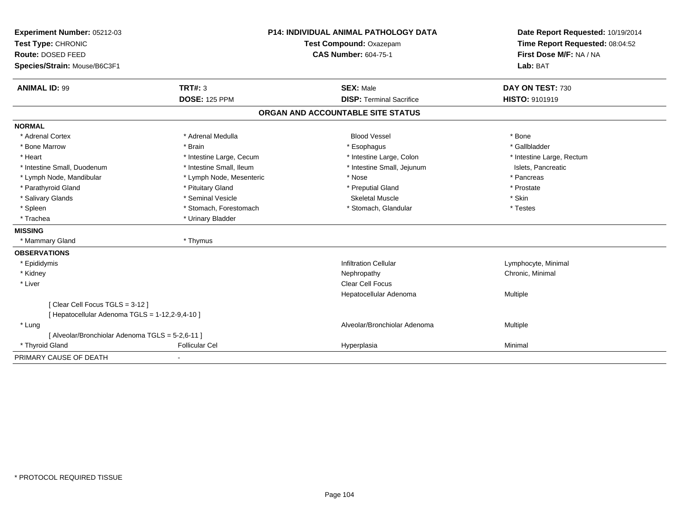| Experiment Number: 05212-03                      |                          | <b>P14: INDIVIDUAL ANIMAL PATHOLOGY DATA</b> | Date Report Requested: 10/19/2014                          |
|--------------------------------------------------|--------------------------|----------------------------------------------|------------------------------------------------------------|
| Test Type: CHRONIC                               |                          | Test Compound: Oxazepam                      | Time Report Requested: 08:04:52<br>First Dose M/F: NA / NA |
| Route: DOSED FEED                                |                          | <b>CAS Number: 604-75-1</b>                  |                                                            |
| Species/Strain: Mouse/B6C3F1                     |                          |                                              | Lab: BAT                                                   |
| <b>ANIMAL ID: 99</b>                             | TRT#: 3                  | <b>SEX: Male</b>                             | DAY ON TEST: 730                                           |
|                                                  | <b>DOSE: 125 PPM</b>     | <b>DISP: Terminal Sacrifice</b>              | HISTO: 9101919                                             |
|                                                  |                          | ORGAN AND ACCOUNTABLE SITE STATUS            |                                                            |
| <b>NORMAL</b>                                    |                          |                                              |                                                            |
| * Adrenal Cortex                                 | * Adrenal Medulla        | <b>Blood Vessel</b>                          | * Bone                                                     |
| * Bone Marrow                                    | * Brain                  | * Esophagus                                  | * Gallbladder                                              |
| * Heart                                          | * Intestine Large, Cecum | * Intestine Large, Colon                     | * Intestine Large, Rectum                                  |
| * Intestine Small, Duodenum                      | * Intestine Small, Ileum | * Intestine Small, Jejunum                   | Islets, Pancreatic                                         |
| * Lymph Node, Mandibular                         | * Lymph Node, Mesenteric | * Nose                                       | * Pancreas                                                 |
| * Parathyroid Gland                              | * Pituitary Gland        | * Preputial Gland                            | * Prostate                                                 |
| * Salivary Glands                                | * Seminal Vesicle        | Skeletal Muscle                              | * Skin                                                     |
| * Spleen                                         | * Stomach, Forestomach   | * Stomach, Glandular                         | * Testes                                                   |
| * Trachea                                        | * Urinary Bladder        |                                              |                                                            |
| <b>MISSING</b>                                   |                          |                                              |                                                            |
| * Mammary Gland                                  | * Thymus                 |                                              |                                                            |
| <b>OBSERVATIONS</b>                              |                          |                                              |                                                            |
| * Epididymis                                     |                          | <b>Infiltration Cellular</b>                 | Lymphocyte, Minimal                                        |
| * Kidney                                         |                          | Nephropathy                                  | Chronic, Minimal                                           |
| * Liver                                          |                          | <b>Clear Cell Focus</b>                      |                                                            |
|                                                  |                          | Hepatocellular Adenoma                       | Multiple                                                   |
| [ Clear Cell Focus TGLS = 3-12 ]                 |                          |                                              |                                                            |
| [ Hepatocellular Adenoma TGLS = 1-12,2-9,4-10 ]  |                          |                                              |                                                            |
| * Lung                                           |                          | Alveolar/Bronchiolar Adenoma                 | Multiple                                                   |
| [ Alveolar/Bronchiolar Adenoma TGLS = 5-2,6-11 ] |                          |                                              |                                                            |
| * Thyroid Gland                                  | <b>Follicular Cel</b>    | Hyperplasia                                  | Minimal                                                    |
| PRIMARY CAUSE OF DEATH                           |                          |                                              |                                                            |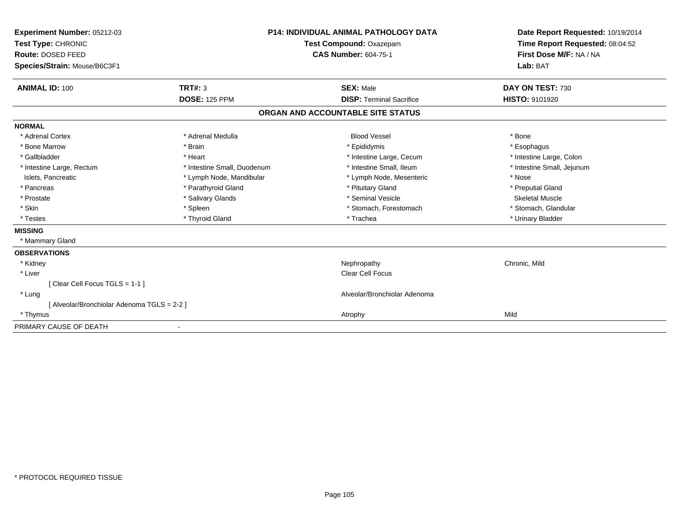| Experiment Number: 05212-03                 |                             | <b>P14: INDIVIDUAL ANIMAL PATHOLOGY DATA</b> | Date Report Requested: 10/19/2014<br>Time Report Requested: 08:04:52 |
|---------------------------------------------|-----------------------------|----------------------------------------------|----------------------------------------------------------------------|
| Test Type: CHRONIC                          | Test Compound: Oxazepam     |                                              |                                                                      |
| <b>Route: DOSED FEED</b>                    |                             | <b>CAS Number: 604-75-1</b>                  | First Dose M/F: NA / NA                                              |
| Species/Strain: Mouse/B6C3F1                |                             |                                              | Lab: BAT                                                             |
| <b>ANIMAL ID: 100</b>                       | <b>TRT#: 3</b>              | <b>SEX: Male</b>                             | DAY ON TEST: 730                                                     |
|                                             | <b>DOSE: 125 PPM</b>        | <b>DISP: Terminal Sacrifice</b>              | HISTO: 9101920                                                       |
|                                             |                             | ORGAN AND ACCOUNTABLE SITE STATUS            |                                                                      |
| <b>NORMAL</b>                               |                             |                                              |                                                                      |
| * Adrenal Cortex                            | * Adrenal Medulla           | <b>Blood Vessel</b>                          | * Bone                                                               |
| * Bone Marrow                               | * Brain                     | * Epididymis                                 | * Esophagus                                                          |
| * Gallbladder                               | * Heart                     | * Intestine Large, Cecum                     | * Intestine Large, Colon                                             |
| * Intestine Large, Rectum                   | * Intestine Small, Duodenum | * Intestine Small, Ileum                     | * Intestine Small, Jejunum                                           |
| Islets, Pancreatic                          | * Lymph Node, Mandibular    | * Lymph Node, Mesenteric                     | * Nose                                                               |
| * Pancreas                                  | * Parathyroid Gland         | * Pituitary Gland                            | * Preputial Gland                                                    |
| * Prostate                                  | * Salivary Glands           | * Seminal Vesicle                            | <b>Skeletal Muscle</b>                                               |
| * Skin                                      | * Spleen                    | * Stomach, Forestomach                       | * Stomach, Glandular                                                 |
| * Testes                                    | * Thyroid Gland             | * Trachea                                    | * Urinary Bladder                                                    |
| <b>MISSING</b>                              |                             |                                              |                                                                      |
| * Mammary Gland                             |                             |                                              |                                                                      |
| <b>OBSERVATIONS</b>                         |                             |                                              |                                                                      |
| * Kidney                                    |                             | Nephropathy                                  | Chronic, Mild                                                        |
| * Liver                                     |                             | <b>Clear Cell Focus</b>                      |                                                                      |
| [Clear Cell Focus TGLS = 1-1]               |                             |                                              |                                                                      |
| * Lung                                      |                             | Alveolar/Bronchiolar Adenoma                 |                                                                      |
| [ Alveolar/Bronchiolar Adenoma TGLS = 2-2 ] |                             |                                              |                                                                      |
| * Thymus                                    |                             | Atrophy                                      | Mild                                                                 |
| PRIMARY CAUSE OF DEATH                      | $\overline{\phantom{a}}$    |                                              |                                                                      |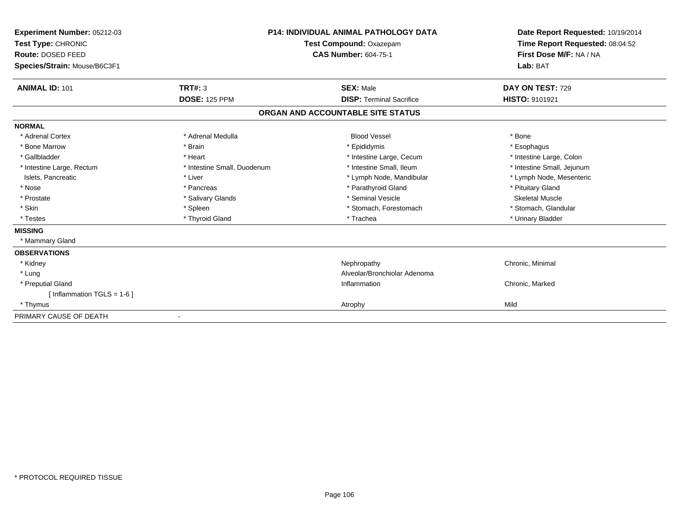| Experiment Number: 05212-03<br>Test Type: CHRONIC |                             | <b>P14: INDIVIDUAL ANIMAL PATHOLOGY DATA</b><br>Test Compound: Oxazepam | Date Report Requested: 10/19/2014<br>Time Report Requested: 08:04:52 |
|---------------------------------------------------|-----------------------------|-------------------------------------------------------------------------|----------------------------------------------------------------------|
| Route: DOSED FEED                                 |                             | <b>CAS Number: 604-75-1</b>                                             | First Dose M/F: NA / NA                                              |
| Species/Strain: Mouse/B6C3F1                      |                             |                                                                         | Lab: BAT                                                             |
| <b>ANIMAL ID: 101</b>                             | <b>TRT#: 3</b>              | <b>SEX: Male</b>                                                        | DAY ON TEST: 729                                                     |
|                                                   | <b>DOSE: 125 PPM</b>        | <b>DISP: Terminal Sacrifice</b>                                         | HISTO: 9101921                                                       |
|                                                   |                             | ORGAN AND ACCOUNTABLE SITE STATUS                                       |                                                                      |
| <b>NORMAL</b>                                     |                             |                                                                         |                                                                      |
| * Adrenal Cortex                                  | * Adrenal Medulla           | <b>Blood Vessel</b>                                                     | * Bone                                                               |
| * Bone Marrow                                     | * Brain                     | * Epididymis                                                            | * Esophagus                                                          |
| * Gallbladder                                     | * Heart                     | * Intestine Large, Cecum                                                | * Intestine Large, Colon                                             |
| * Intestine Large, Rectum                         | * Intestine Small, Duodenum | * Intestine Small, Ileum                                                | * Intestine Small, Jejunum                                           |
| Islets, Pancreatic                                | * Liver                     | * Lymph Node, Mandibular                                                | * Lymph Node, Mesenteric                                             |
| * Nose                                            | * Pancreas                  | * Parathyroid Gland                                                     | * Pituitary Gland                                                    |
| * Prostate                                        | * Salivary Glands           | * Seminal Vesicle                                                       | <b>Skeletal Muscle</b>                                               |
| * Skin                                            | * Spleen                    | * Stomach, Forestomach                                                  | * Stomach, Glandular                                                 |
| * Testes                                          | * Thyroid Gland             | * Trachea                                                               | * Urinary Bladder                                                    |
| <b>MISSING</b>                                    |                             |                                                                         |                                                                      |
| * Mammary Gland                                   |                             |                                                                         |                                                                      |
| <b>OBSERVATIONS</b>                               |                             |                                                                         |                                                                      |
| * Kidney                                          |                             | Nephropathy                                                             | Chronic, Minimal                                                     |
| * Lung                                            |                             | Alveolar/Bronchiolar Adenoma                                            |                                                                      |
| * Preputial Gland                                 |                             | Inflammation                                                            | Chronic, Marked                                                      |
| [ Inflammation TGLS = $1-6$ ]                     |                             |                                                                         |                                                                      |
| * Thymus                                          |                             | Atrophy                                                                 | Mild                                                                 |
| PRIMARY CAUSE OF DEATH                            |                             |                                                                         |                                                                      |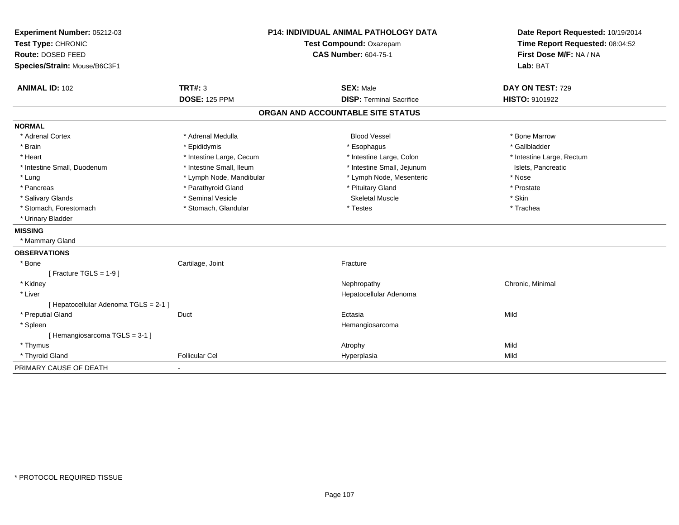| Experiment Number: 05212-03<br>Test Type: CHRONIC<br>Route: DOSED FEED<br>Species/Strain: Mouse/B6C3F1 | P14: INDIVIDUAL ANIMAL PATHOLOGY DATA<br>Test Compound: Oxazepam<br><b>CAS Number: 604-75-1</b> |                                   | Date Report Requested: 10/19/2014<br>Time Report Requested: 08:04:52<br>First Dose M/F: NA / NA<br>Lab: BAT |  |
|--------------------------------------------------------------------------------------------------------|-------------------------------------------------------------------------------------------------|-----------------------------------|-------------------------------------------------------------------------------------------------------------|--|
| <b>ANIMAL ID: 102</b>                                                                                  | <b>TRT#: 3</b>                                                                                  | <b>SEX: Male</b>                  | DAY ON TEST: 729                                                                                            |  |
|                                                                                                        | <b>DOSE: 125 PPM</b>                                                                            | <b>DISP: Terminal Sacrifice</b>   | HISTO: 9101922                                                                                              |  |
|                                                                                                        |                                                                                                 | ORGAN AND ACCOUNTABLE SITE STATUS |                                                                                                             |  |
| <b>NORMAL</b>                                                                                          |                                                                                                 |                                   |                                                                                                             |  |
| * Adrenal Cortex                                                                                       | * Adrenal Medulla                                                                               | <b>Blood Vessel</b>               | * Bone Marrow                                                                                               |  |
| * Brain                                                                                                | * Epididymis                                                                                    | * Esophagus                       | * Gallbladder                                                                                               |  |
| * Heart                                                                                                | * Intestine Large, Cecum                                                                        | * Intestine Large, Colon          | * Intestine Large, Rectum                                                                                   |  |
| * Intestine Small, Duodenum                                                                            | * Intestine Small, Ileum                                                                        | * Intestine Small, Jejunum        | Islets, Pancreatic                                                                                          |  |
| * Lung                                                                                                 | * Lymph Node, Mandibular                                                                        | * Lymph Node, Mesenteric          | * Nose                                                                                                      |  |
| * Pancreas                                                                                             | * Parathyroid Gland                                                                             | * Pituitary Gland                 | * Prostate                                                                                                  |  |
| * Salivary Glands                                                                                      | * Seminal Vesicle                                                                               | <b>Skeletal Muscle</b>            | * Skin                                                                                                      |  |
| * Stomach, Forestomach                                                                                 | * Stomach, Glandular                                                                            | * Testes                          | * Trachea                                                                                                   |  |
| * Urinary Bladder                                                                                      |                                                                                                 |                                   |                                                                                                             |  |
| <b>MISSING</b>                                                                                         |                                                                                                 |                                   |                                                                                                             |  |
| * Mammary Gland                                                                                        |                                                                                                 |                                   |                                                                                                             |  |
| <b>OBSERVATIONS</b>                                                                                    |                                                                                                 |                                   |                                                                                                             |  |
| * Bone                                                                                                 | Cartilage, Joint                                                                                | Fracture                          |                                                                                                             |  |
| [ Fracture TGLS = $1-9$ ]                                                                              |                                                                                                 |                                   |                                                                                                             |  |
| * Kidney                                                                                               |                                                                                                 | Nephropathy                       | Chronic, Minimal                                                                                            |  |
| * Liver                                                                                                |                                                                                                 | Hepatocellular Adenoma            |                                                                                                             |  |
| [ Hepatocellular Adenoma TGLS = 2-1 ]                                                                  |                                                                                                 |                                   |                                                                                                             |  |
| * Preputial Gland                                                                                      | Duct                                                                                            | Ectasia                           | Mild                                                                                                        |  |
| * Spleen                                                                                               |                                                                                                 | Hemangiosarcoma                   |                                                                                                             |  |
| [Hemangiosarcoma TGLS = 3-1]                                                                           |                                                                                                 |                                   |                                                                                                             |  |
| * Thymus                                                                                               |                                                                                                 | Atrophy                           | Mild                                                                                                        |  |
| * Thyroid Gland                                                                                        | <b>Follicular Cel</b>                                                                           | Hyperplasia                       | Mild                                                                                                        |  |
| PRIMARY CAUSE OF DEATH                                                                                 |                                                                                                 |                                   |                                                                                                             |  |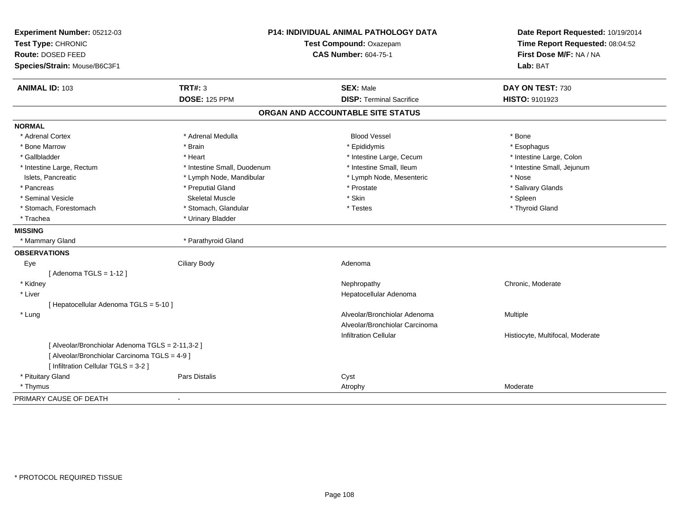| Experiment Number: 05212-03<br>Test Type: CHRONIC<br>Route: DOSED FEED<br>Species/Strain: Mouse/B6C3F1 |                             | P14: INDIVIDUAL ANIMAL PATHOLOGY DATA<br>Test Compound: Oxazepam<br><b>CAS Number: 604-75-1</b> | Date Report Requested: 10/19/2014<br>Time Report Requested: 08:04:52<br>First Dose M/F: NA / NA<br>Lab: BAT |
|--------------------------------------------------------------------------------------------------------|-----------------------------|-------------------------------------------------------------------------------------------------|-------------------------------------------------------------------------------------------------------------|
| <b>ANIMAL ID: 103</b>                                                                                  | <b>TRT#: 3</b>              | <b>SEX: Male</b>                                                                                | DAY ON TEST: 730                                                                                            |
|                                                                                                        | <b>DOSE: 125 PPM</b>        | <b>DISP: Terminal Sacrifice</b>                                                                 | HISTO: 9101923                                                                                              |
|                                                                                                        |                             | ORGAN AND ACCOUNTABLE SITE STATUS                                                               |                                                                                                             |
| <b>NORMAL</b>                                                                                          |                             |                                                                                                 |                                                                                                             |
| * Adrenal Cortex                                                                                       | * Adrenal Medulla           | <b>Blood Vessel</b>                                                                             | * Bone                                                                                                      |
| * Bone Marrow                                                                                          | * Brain                     | * Epididymis                                                                                    | * Esophagus                                                                                                 |
| * Gallbladder                                                                                          | * Heart                     | * Intestine Large, Cecum                                                                        | * Intestine Large, Colon                                                                                    |
| * Intestine Large, Rectum                                                                              | * Intestine Small, Duodenum | * Intestine Small, Ileum                                                                        | * Intestine Small, Jejunum                                                                                  |
| Islets, Pancreatic                                                                                     | * Lymph Node, Mandibular    | * Lymph Node, Mesenteric                                                                        | * Nose                                                                                                      |
| * Pancreas                                                                                             | * Preputial Gland           | * Prostate                                                                                      | * Salivary Glands                                                                                           |
| * Seminal Vesicle                                                                                      | <b>Skeletal Muscle</b>      | * Skin                                                                                          | * Spleen                                                                                                    |
| * Stomach, Forestomach                                                                                 | * Stomach, Glandular        | * Testes                                                                                        | * Thyroid Gland                                                                                             |
| * Trachea                                                                                              | * Urinary Bladder           |                                                                                                 |                                                                                                             |
| <b>MISSING</b>                                                                                         |                             |                                                                                                 |                                                                                                             |
| * Mammary Gland                                                                                        | * Parathyroid Gland         |                                                                                                 |                                                                                                             |
| <b>OBSERVATIONS</b>                                                                                    |                             |                                                                                                 |                                                                                                             |
| Eye                                                                                                    | <b>Ciliary Body</b>         | Adenoma                                                                                         |                                                                                                             |
| [Adenoma TGLS = $1-12$ ]                                                                               |                             |                                                                                                 |                                                                                                             |
| * Kidney                                                                                               |                             | Nephropathy                                                                                     | Chronic, Moderate                                                                                           |
| * Liver                                                                                                |                             | Hepatocellular Adenoma                                                                          |                                                                                                             |
| [ Hepatocellular Adenoma TGLS = 5-10 ]                                                                 |                             |                                                                                                 |                                                                                                             |
| * Lung                                                                                                 |                             | Alveolar/Bronchiolar Adenoma                                                                    | Multiple                                                                                                    |
|                                                                                                        |                             | Alveolar/Bronchiolar Carcinoma                                                                  |                                                                                                             |
|                                                                                                        |                             | <b>Infiltration Cellular</b>                                                                    | Histiocyte, Multifocal, Moderate                                                                            |
| [ Alveolar/Bronchiolar Adenoma TGLS = 2-11,3-2 ]                                                       |                             |                                                                                                 |                                                                                                             |
| [ Alveolar/Bronchiolar Carcinoma TGLS = 4-9 ]                                                          |                             |                                                                                                 |                                                                                                             |
| [ Infiltration Cellular TGLS = 3-2 ]                                                                   |                             |                                                                                                 |                                                                                                             |
| * Pituitary Gland                                                                                      | Pars Distalis               | Cyst                                                                                            |                                                                                                             |
| * Thymus                                                                                               |                             | Atrophy                                                                                         | Moderate                                                                                                    |
| PRIMARY CAUSE OF DEATH                                                                                 |                             |                                                                                                 |                                                                                                             |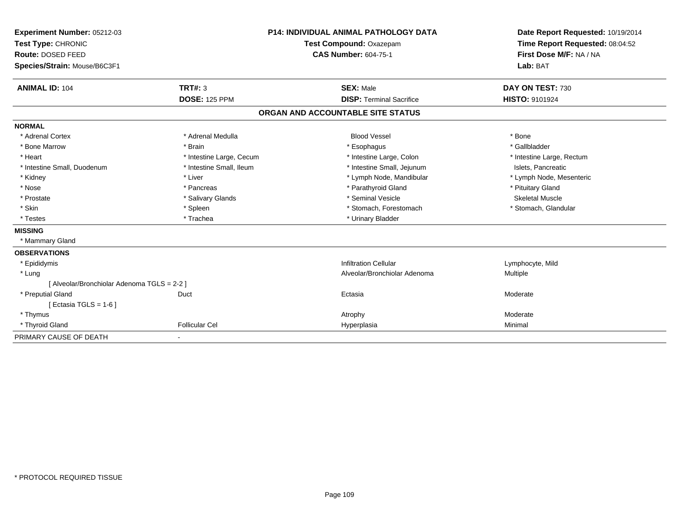| Experiment Number: 05212-03                 | <b>P14: INDIVIDUAL ANIMAL PATHOLOGY DATA</b> |                                   | Date Report Requested: 10/19/2014 |
|---------------------------------------------|----------------------------------------------|-----------------------------------|-----------------------------------|
| Test Type: CHRONIC                          |                                              | Test Compound: Oxazepam           | Time Report Requested: 08:04:52   |
| Route: DOSED FEED                           |                                              | <b>CAS Number: 604-75-1</b>       | First Dose M/F: NA / NA           |
| Species/Strain: Mouse/B6C3F1                |                                              |                                   | Lab: BAT                          |
| <b>ANIMAL ID: 104</b>                       | <b>TRT#: 3</b>                               | <b>SEX: Male</b>                  | DAY ON TEST: 730                  |
|                                             | <b>DOSE: 125 PPM</b>                         | <b>DISP: Terminal Sacrifice</b>   | HISTO: 9101924                    |
|                                             |                                              | ORGAN AND ACCOUNTABLE SITE STATUS |                                   |
| <b>NORMAL</b>                               |                                              |                                   |                                   |
| * Adrenal Cortex                            | * Adrenal Medulla                            | <b>Blood Vessel</b>               | * Bone                            |
| * Bone Marrow                               | * Brain                                      | * Esophagus                       | * Gallbladder                     |
| * Heart                                     | * Intestine Large, Cecum                     | * Intestine Large, Colon          | * Intestine Large, Rectum         |
| * Intestine Small, Duodenum                 | * Intestine Small, Ileum                     | * Intestine Small, Jejunum        | Islets, Pancreatic                |
| * Kidney                                    | * Liver                                      | * Lymph Node, Mandibular          | * Lymph Node, Mesenteric          |
| * Nose                                      | * Pancreas                                   | * Parathyroid Gland               | * Pituitary Gland                 |
| * Prostate                                  | * Salivary Glands                            | * Seminal Vesicle                 | <b>Skeletal Muscle</b>            |
| * Skin                                      | * Spleen                                     | * Stomach, Forestomach            | * Stomach, Glandular              |
| * Testes                                    | * Trachea                                    | * Urinary Bladder                 |                                   |
| <b>MISSING</b>                              |                                              |                                   |                                   |
| * Mammary Gland                             |                                              |                                   |                                   |
| <b>OBSERVATIONS</b>                         |                                              |                                   |                                   |
| * Epididymis                                |                                              | <b>Infiltration Cellular</b>      | Lymphocyte, Mild                  |
| * Lung                                      |                                              | Alveolar/Bronchiolar Adenoma      | <b>Multiple</b>                   |
| [ Alveolar/Bronchiolar Adenoma TGLS = 2-2 ] |                                              |                                   |                                   |
| * Preputial Gland                           | Duct                                         | Ectasia                           | Moderate                          |
| [ Ectasia TGLS = $1-6$ ]                    |                                              |                                   |                                   |
| * Thymus                                    |                                              | Atrophy                           | Moderate                          |
| * Thyroid Gland                             | <b>Follicular Cel</b>                        | Hyperplasia                       | Minimal                           |
| PRIMARY CAUSE OF DEATH                      | ٠                                            |                                   |                                   |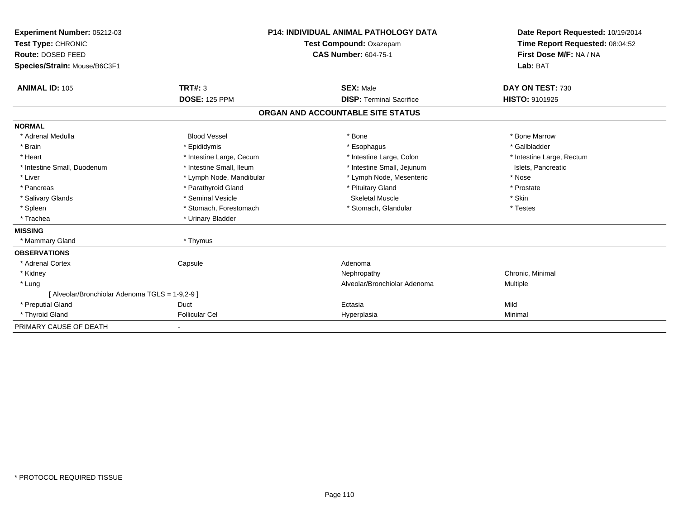| Experiment Number: 05212-03                     |                          | <b>P14: INDIVIDUAL ANIMAL PATHOLOGY DATA</b> | Date Report Requested: 10/19/2014 |
|-------------------------------------------------|--------------------------|----------------------------------------------|-----------------------------------|
| Test Type: CHRONIC                              |                          | Test Compound: Oxazepam                      | Time Report Requested: 08:04:52   |
| Route: DOSED FEED                               |                          | <b>CAS Number: 604-75-1</b>                  | First Dose M/F: NA / NA           |
| Species/Strain: Mouse/B6C3F1                    |                          |                                              | Lab: BAT                          |
| <b>ANIMAL ID: 105</b>                           | <b>TRT#: 3</b>           | <b>SEX: Male</b>                             | DAY ON TEST: 730                  |
|                                                 | <b>DOSE: 125 PPM</b>     | <b>DISP: Terminal Sacrifice</b>              | HISTO: 9101925                    |
|                                                 |                          | ORGAN AND ACCOUNTABLE SITE STATUS            |                                   |
| <b>NORMAL</b>                                   |                          |                                              |                                   |
| * Adrenal Medulla                               | <b>Blood Vessel</b>      | * Bone                                       | * Bone Marrow                     |
| * Brain                                         | * Epididymis             | * Esophagus                                  | * Gallbladder                     |
| * Heart                                         | * Intestine Large, Cecum | * Intestine Large, Colon                     | * Intestine Large, Rectum         |
| * Intestine Small, Duodenum                     | * Intestine Small, Ileum | * Intestine Small, Jejunum                   | Islets, Pancreatic                |
| * Liver                                         | * Lymph Node, Mandibular | * Lymph Node, Mesenteric                     | * Nose                            |
| * Pancreas                                      | * Parathyroid Gland      | * Pituitary Gland                            | * Prostate                        |
| * Salivary Glands                               | * Seminal Vesicle        | <b>Skeletal Muscle</b>                       | * Skin                            |
| * Spleen                                        | * Stomach, Forestomach   | * Stomach, Glandular                         | * Testes                          |
| * Trachea                                       | * Urinary Bladder        |                                              |                                   |
| <b>MISSING</b>                                  |                          |                                              |                                   |
| * Mammary Gland                                 | * Thymus                 |                                              |                                   |
| <b>OBSERVATIONS</b>                             |                          |                                              |                                   |
| * Adrenal Cortex                                | Capsule                  | Adenoma                                      |                                   |
| * Kidney                                        |                          | Nephropathy                                  | Chronic, Minimal                  |
| * Lung                                          |                          | Alveolar/Bronchiolar Adenoma                 | <b>Multiple</b>                   |
| [ Alveolar/Bronchiolar Adenoma TGLS = 1-9,2-9 ] |                          |                                              |                                   |
| * Preputial Gland                               | Duct                     | Ectasia                                      | Mild                              |
| * Thyroid Gland                                 | <b>Follicular Cel</b>    | Hyperplasia                                  | Minimal                           |
| PRIMARY CAUSE OF DEATH                          | $\blacksquare$           |                                              |                                   |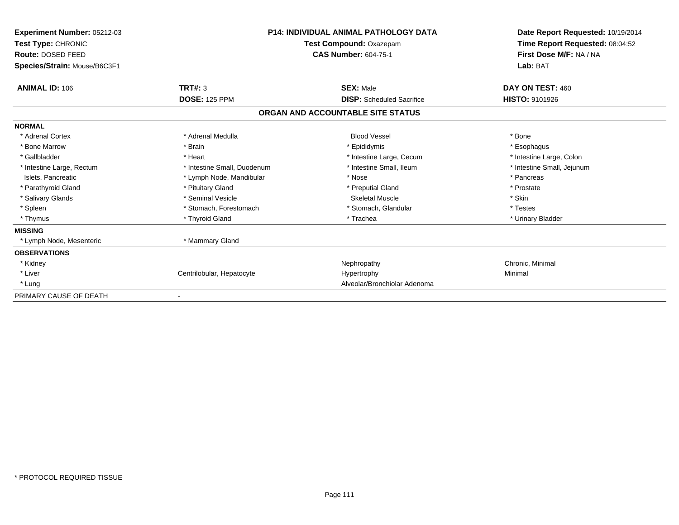| Experiment Number: 05212-03<br>Test Type: CHRONIC<br>Route: DOSED FEED<br>Species/Strain: Mouse/B6C3F1 | <b>P14: INDIVIDUAL ANIMAL PATHOLOGY DATA</b><br>Test Compound: Oxazepam<br><b>CAS Number: 604-75-1</b> |                                   | Date Report Requested: 10/19/2014<br>Time Report Requested: 08:04:52<br>First Dose M/F: NA / NA<br>Lab: BAT |
|--------------------------------------------------------------------------------------------------------|--------------------------------------------------------------------------------------------------------|-----------------------------------|-------------------------------------------------------------------------------------------------------------|
| <b>ANIMAL ID: 106</b>                                                                                  | TRT#: 3                                                                                                | <b>SEX: Male</b>                  | DAY ON TEST: 460                                                                                            |
|                                                                                                        | <b>DOSE: 125 PPM</b>                                                                                   | <b>DISP:</b> Scheduled Sacrifice  | <b>HISTO: 9101926</b>                                                                                       |
|                                                                                                        |                                                                                                        | ORGAN AND ACCOUNTABLE SITE STATUS |                                                                                                             |
| <b>NORMAL</b>                                                                                          |                                                                                                        |                                   |                                                                                                             |
| * Adrenal Cortex                                                                                       | * Adrenal Medulla                                                                                      | <b>Blood Vessel</b>               | * Bone                                                                                                      |
| * Bone Marrow                                                                                          | * Brain                                                                                                | * Epididymis                      | * Esophagus                                                                                                 |
| * Gallbladder                                                                                          | * Heart                                                                                                | * Intestine Large, Cecum          | * Intestine Large, Colon                                                                                    |
| * Intestine Large, Rectum                                                                              | * Intestine Small, Duodenum                                                                            | * Intestine Small, Ileum          | * Intestine Small, Jejunum                                                                                  |
| Islets, Pancreatic                                                                                     | * Lymph Node, Mandibular                                                                               | * Nose                            | * Pancreas                                                                                                  |
| * Parathyroid Gland                                                                                    | * Pituitary Gland                                                                                      | * Preputial Gland                 | * Prostate                                                                                                  |
| * Salivary Glands                                                                                      | * Seminal Vesicle                                                                                      | <b>Skeletal Muscle</b>            | * Skin                                                                                                      |
| * Spleen                                                                                               | * Stomach, Forestomach                                                                                 | * Stomach, Glandular              | * Testes                                                                                                    |
| * Thymus                                                                                               | * Thyroid Gland                                                                                        | * Trachea                         | * Urinary Bladder                                                                                           |
| <b>MISSING</b>                                                                                         |                                                                                                        |                                   |                                                                                                             |
| * Lymph Node, Mesenteric                                                                               | * Mammary Gland                                                                                        |                                   |                                                                                                             |
| <b>OBSERVATIONS</b>                                                                                    |                                                                                                        |                                   |                                                                                                             |
| * Kidney                                                                                               |                                                                                                        | Nephropathy                       | Chronic, Minimal                                                                                            |
| * Liver                                                                                                | Centrilobular, Hepatocyte                                                                              | Hypertrophy                       | Minimal                                                                                                     |
| * Lung                                                                                                 |                                                                                                        | Alveolar/Bronchiolar Adenoma      |                                                                                                             |
| PRIMARY CAUSE OF DEATH                                                                                 |                                                                                                        |                                   |                                                                                                             |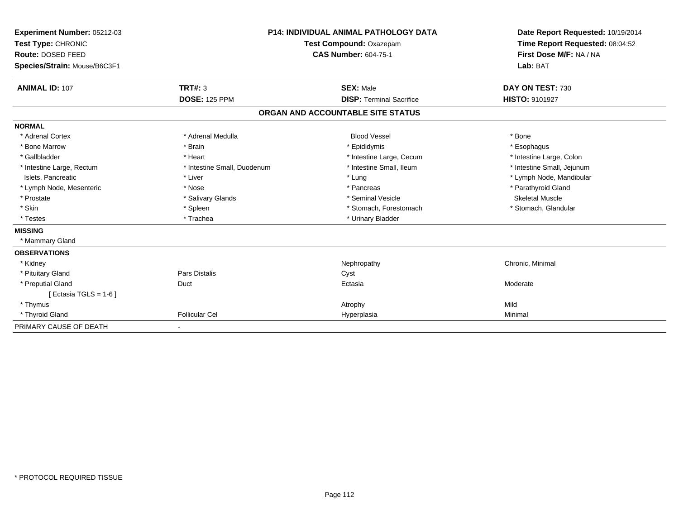| Experiment Number: 05212-03<br>Test Type: CHRONIC<br><b>Route: DOSED FEED</b><br>Species/Strain: Mouse/B6C3F1 |                                        | <b>P14: INDIVIDUAL ANIMAL PATHOLOGY DATA</b><br>Test Compound: Oxazepam<br><b>CAS Number: 604-75-1</b> | Date Report Requested: 10/19/2014<br>Time Report Requested: 08:04:52<br>First Dose M/F: NA / NA<br>Lab: BAT |
|---------------------------------------------------------------------------------------------------------------|----------------------------------------|--------------------------------------------------------------------------------------------------------|-------------------------------------------------------------------------------------------------------------|
| <b>ANIMAL ID: 107</b>                                                                                         | <b>TRT#: 3</b><br><b>DOSE: 125 PPM</b> | <b>SEX: Male</b><br><b>DISP: Terminal Sacrifice</b>                                                    | DAY ON TEST: 730<br><b>HISTO: 9101927</b>                                                                   |
|                                                                                                               |                                        |                                                                                                        |                                                                                                             |
|                                                                                                               |                                        | ORGAN AND ACCOUNTABLE SITE STATUS                                                                      |                                                                                                             |
| <b>NORMAL</b>                                                                                                 |                                        |                                                                                                        |                                                                                                             |
| * Adrenal Cortex                                                                                              | * Adrenal Medulla                      | <b>Blood Vessel</b>                                                                                    | * Bone                                                                                                      |
| * Bone Marrow                                                                                                 | * Brain                                | * Epididymis                                                                                           | * Esophagus                                                                                                 |
| * Gallbladder                                                                                                 | * Heart                                | * Intestine Large, Cecum                                                                               | * Intestine Large, Colon                                                                                    |
| * Intestine Large, Rectum                                                                                     | * Intestine Small, Duodenum            | * Intestine Small, Ileum                                                                               | * Intestine Small, Jejunum                                                                                  |
| Islets, Pancreatic                                                                                            | * Liver                                | * Lung                                                                                                 | * Lymph Node, Mandibular                                                                                    |
| * Lymph Node, Mesenteric                                                                                      | * Nose                                 | * Pancreas                                                                                             | * Parathyroid Gland                                                                                         |
| * Prostate                                                                                                    | * Salivary Glands                      | * Seminal Vesicle                                                                                      | <b>Skeletal Muscle</b>                                                                                      |
| * Skin                                                                                                        | * Spleen                               | * Stomach, Forestomach                                                                                 | * Stomach, Glandular                                                                                        |
| * Testes                                                                                                      | * Trachea                              | * Urinary Bladder                                                                                      |                                                                                                             |
| <b>MISSING</b>                                                                                                |                                        |                                                                                                        |                                                                                                             |
| * Mammary Gland                                                                                               |                                        |                                                                                                        |                                                                                                             |
| <b>OBSERVATIONS</b>                                                                                           |                                        |                                                                                                        |                                                                                                             |
| * Kidney                                                                                                      |                                        | Nephropathy                                                                                            | Chronic, Minimal                                                                                            |
| * Pituitary Gland                                                                                             | Pars Distalis                          | Cyst                                                                                                   |                                                                                                             |
| * Preputial Gland                                                                                             | Duct                                   | Ectasia                                                                                                | Moderate                                                                                                    |
| [ Ectasia TGLS = $1-6$ ]                                                                                      |                                        |                                                                                                        |                                                                                                             |
| * Thymus                                                                                                      |                                        | Atrophy                                                                                                | Mild                                                                                                        |
| * Thyroid Gland                                                                                               | <b>Follicular Cel</b>                  | Hyperplasia                                                                                            | Minimal                                                                                                     |
| PRIMARY CAUSE OF DEATH                                                                                        |                                        |                                                                                                        |                                                                                                             |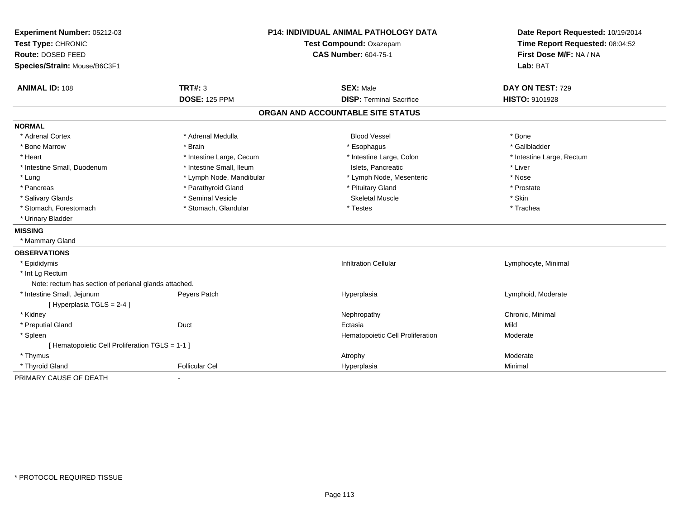| Experiment Number: 05212-03<br>Test Type: CHRONIC<br>Route: DOSED FEED<br>Species/Strain: Mouse/B6C3F1 | P14: INDIVIDUAL ANIMAL PATHOLOGY DATA<br>Test Compound: Oxazepam<br><b>CAS Number: 604-75-1</b> |                                   | Date Report Requested: 10/19/2014<br>Time Report Requested: 08:04:52<br>First Dose M/F: NA / NA<br>Lab: BAT |  |
|--------------------------------------------------------------------------------------------------------|-------------------------------------------------------------------------------------------------|-----------------------------------|-------------------------------------------------------------------------------------------------------------|--|
| <b>ANIMAL ID: 108</b>                                                                                  | <b>TRT#: 3</b>                                                                                  | <b>SEX: Male</b>                  | DAY ON TEST: 729                                                                                            |  |
|                                                                                                        | <b>DOSE: 125 PPM</b>                                                                            | <b>DISP: Terminal Sacrifice</b>   | HISTO: 9101928                                                                                              |  |
|                                                                                                        |                                                                                                 | ORGAN AND ACCOUNTABLE SITE STATUS |                                                                                                             |  |
| <b>NORMAL</b>                                                                                          |                                                                                                 |                                   |                                                                                                             |  |
| * Adrenal Cortex                                                                                       | * Adrenal Medulla                                                                               | <b>Blood Vessel</b>               | * Bone                                                                                                      |  |
| * Bone Marrow                                                                                          | * Brain                                                                                         | * Esophagus                       | * Gallbladder                                                                                               |  |
| * Heart                                                                                                | * Intestine Large, Cecum                                                                        | * Intestine Large, Colon          | * Intestine Large, Rectum                                                                                   |  |
| * Intestine Small, Duodenum                                                                            | * Intestine Small, Ileum                                                                        | Islets. Pancreatic                | * Liver                                                                                                     |  |
| * Lung                                                                                                 | * Lymph Node, Mandibular                                                                        | * Lymph Node, Mesenteric          | * Nose                                                                                                      |  |
| * Pancreas                                                                                             | * Parathyroid Gland                                                                             | * Pituitary Gland                 | * Prostate                                                                                                  |  |
| * Salivary Glands                                                                                      | * Seminal Vesicle                                                                               | <b>Skeletal Muscle</b>            | * Skin                                                                                                      |  |
| * Stomach, Forestomach                                                                                 | * Stomach, Glandular                                                                            | * Testes                          | * Trachea                                                                                                   |  |
| * Urinary Bladder                                                                                      |                                                                                                 |                                   |                                                                                                             |  |
| <b>MISSING</b>                                                                                         |                                                                                                 |                                   |                                                                                                             |  |
| * Mammary Gland                                                                                        |                                                                                                 |                                   |                                                                                                             |  |
| <b>OBSERVATIONS</b>                                                                                    |                                                                                                 |                                   |                                                                                                             |  |
| * Epididymis                                                                                           |                                                                                                 | <b>Infiltration Cellular</b>      | Lymphocyte, Minimal                                                                                         |  |
| * Int Lg Rectum                                                                                        |                                                                                                 |                                   |                                                                                                             |  |
| Note: rectum has section of perianal glands attached.                                                  |                                                                                                 |                                   |                                                                                                             |  |
| * Intestine Small, Jejunum                                                                             | Peyers Patch                                                                                    | Hyperplasia                       | Lymphoid, Moderate                                                                                          |  |
| [Hyperplasia TGLS = 2-4]                                                                               |                                                                                                 |                                   |                                                                                                             |  |
| * Kidney                                                                                               |                                                                                                 | Nephropathy                       | Chronic, Minimal                                                                                            |  |
| * Preputial Gland                                                                                      | Duct                                                                                            | Ectasia                           | Mild                                                                                                        |  |
| * Spleen                                                                                               |                                                                                                 | Hematopoietic Cell Proliferation  | Moderate                                                                                                    |  |
| [ Hematopoietic Cell Proliferation TGLS = 1-1 ]                                                        |                                                                                                 |                                   |                                                                                                             |  |
| * Thymus                                                                                               |                                                                                                 | Atrophy                           | Moderate                                                                                                    |  |
| * Thyroid Gland                                                                                        | <b>Follicular Cel</b>                                                                           | Hyperplasia                       | Minimal                                                                                                     |  |
| PRIMARY CAUSE OF DEATH                                                                                 | $\blacksquare$                                                                                  |                                   |                                                                                                             |  |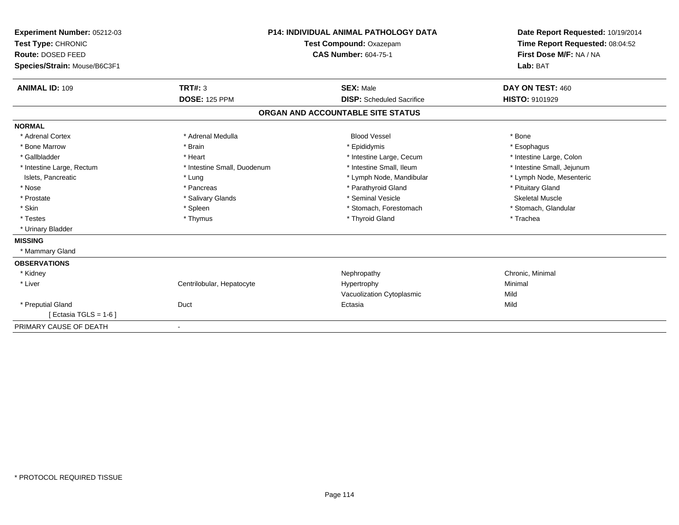| Experiment Number: 05212-03  |                             | <b>P14: INDIVIDUAL ANIMAL PATHOLOGY DATA</b> | Date Report Requested: 10/19/2014<br>Time Report Requested: 08:04:52 |
|------------------------------|-----------------------------|----------------------------------------------|----------------------------------------------------------------------|
| Test Type: CHRONIC           |                             | Test Compound: Oxazepam                      |                                                                      |
| Route: DOSED FEED            |                             | <b>CAS Number: 604-75-1</b>                  | First Dose M/F: NA / NA                                              |
| Species/Strain: Mouse/B6C3F1 |                             |                                              | Lab: BAT                                                             |
| <b>ANIMAL ID: 109</b>        | <b>TRT#: 3</b>              | <b>SEX: Male</b>                             | DAY ON TEST: 460                                                     |
|                              | <b>DOSE: 125 PPM</b>        | <b>DISP:</b> Scheduled Sacrifice             | <b>HISTO: 9101929</b>                                                |
|                              |                             | ORGAN AND ACCOUNTABLE SITE STATUS            |                                                                      |
| <b>NORMAL</b>                |                             |                                              |                                                                      |
| * Adrenal Cortex             | * Adrenal Medulla           | <b>Blood Vessel</b>                          | * Bone                                                               |
| * Bone Marrow                | * Brain                     | * Epididymis                                 | * Esophagus                                                          |
| * Gallbladder                | * Heart                     | * Intestine Large, Cecum                     | * Intestine Large, Colon                                             |
| * Intestine Large, Rectum    | * Intestine Small, Duodenum | * Intestine Small. Ileum                     | * Intestine Small, Jejunum                                           |
| Islets, Pancreatic           | * Lung                      | * Lymph Node, Mandibular                     | * Lymph Node, Mesenteric                                             |
| * Nose                       | * Pancreas                  | * Parathyroid Gland                          | * Pituitary Gland                                                    |
| * Prostate                   | * Salivary Glands           | * Seminal Vesicle                            | <b>Skeletal Muscle</b>                                               |
| * Skin                       | * Spleen                    | * Stomach, Forestomach                       | * Stomach, Glandular                                                 |
| * Testes                     | * Thymus                    | * Thyroid Gland                              | * Trachea                                                            |
| * Urinary Bladder            |                             |                                              |                                                                      |
| <b>MISSING</b>               |                             |                                              |                                                                      |
| * Mammary Gland              |                             |                                              |                                                                      |
| <b>OBSERVATIONS</b>          |                             |                                              |                                                                      |
| * Kidney                     |                             | Nephropathy                                  | Chronic, Minimal                                                     |
| * Liver                      | Centrilobular, Hepatocyte   | Hypertrophy                                  | Minimal                                                              |
|                              |                             | Vacuolization Cytoplasmic                    | Mild                                                                 |
| * Preputial Gland            | Duct                        | Ectasia                                      | Mild                                                                 |
| [Ectasia TGLS = 1-6]         |                             |                                              |                                                                      |
| PRIMARY CAUSE OF DEATH       | $\overline{\phantom{a}}$    |                                              |                                                                      |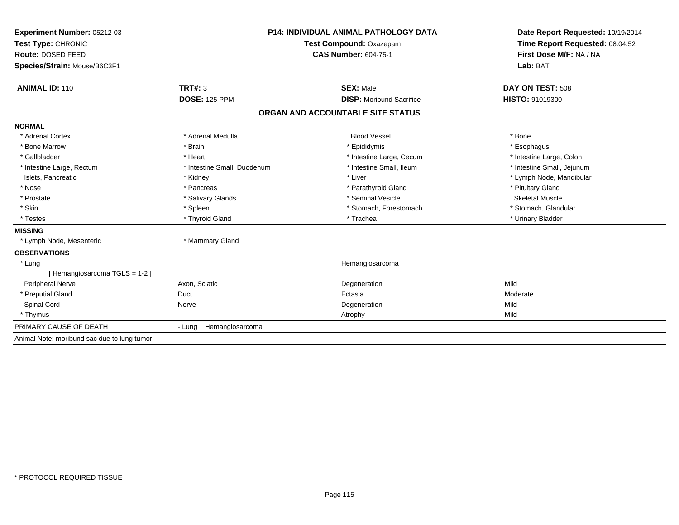| Experiment Number: 05212-03                 | <b>P14: INDIVIDUAL ANIMAL PATHOLOGY DATA</b><br>Test Compound: Oxazepam<br><b>CAS Number: 604-75-1</b> |                                   | Date Report Requested: 10/19/2014                          |  |
|---------------------------------------------|--------------------------------------------------------------------------------------------------------|-----------------------------------|------------------------------------------------------------|--|
| Test Type: CHRONIC                          |                                                                                                        |                                   | Time Report Requested: 08:04:52<br>First Dose M/F: NA / NA |  |
| Route: DOSED FEED                           |                                                                                                        |                                   |                                                            |  |
| Species/Strain: Mouse/B6C3F1                |                                                                                                        |                                   | Lab: BAT                                                   |  |
| <b>ANIMAL ID: 110</b>                       | TRT#: 3                                                                                                | <b>SEX: Male</b>                  | DAY ON TEST: 508                                           |  |
|                                             | <b>DOSE: 125 PPM</b>                                                                                   | <b>DISP:</b> Moribund Sacrifice   | HISTO: 91019300                                            |  |
|                                             |                                                                                                        | ORGAN AND ACCOUNTABLE SITE STATUS |                                                            |  |
| <b>NORMAL</b>                               |                                                                                                        |                                   |                                                            |  |
| * Adrenal Cortex                            | * Adrenal Medulla                                                                                      | <b>Blood Vessel</b>               | * Bone                                                     |  |
| * Bone Marrow                               | * Brain                                                                                                | * Epididymis                      | * Esophagus                                                |  |
| * Gallbladder                               | * Heart                                                                                                | * Intestine Large, Cecum          | * Intestine Large, Colon                                   |  |
| * Intestine Large, Rectum                   | * Intestine Small, Duodenum                                                                            | * Intestine Small, Ileum          | * Intestine Small, Jejunum                                 |  |
| Islets, Pancreatic                          | * Kidney                                                                                               | * Liver                           | * Lymph Node, Mandibular                                   |  |
| * Nose                                      | * Pancreas                                                                                             | * Parathyroid Gland               | * Pituitary Gland                                          |  |
| * Prostate                                  | * Salivary Glands                                                                                      | * Seminal Vesicle                 | Skeletal Muscle                                            |  |
| * Skin                                      | * Spleen                                                                                               | * Stomach, Forestomach            | * Stomach, Glandular                                       |  |
| * Testes                                    | * Thyroid Gland                                                                                        | * Trachea                         | * Urinary Bladder                                          |  |
| <b>MISSING</b>                              |                                                                                                        |                                   |                                                            |  |
| * Lymph Node, Mesenteric                    | * Mammary Gland                                                                                        |                                   |                                                            |  |
| <b>OBSERVATIONS</b>                         |                                                                                                        |                                   |                                                            |  |
| * Lung                                      |                                                                                                        | Hemangiosarcoma                   |                                                            |  |
| [Hemangiosarcoma TGLS = 1-2]                |                                                                                                        |                                   |                                                            |  |
| <b>Peripheral Nerve</b>                     | Axon, Sciatic                                                                                          | Degeneration                      | Mild                                                       |  |
| * Preputial Gland                           | Duct                                                                                                   | Ectasia                           | Moderate                                                   |  |
| Spinal Cord                                 | Nerve                                                                                                  | Degeneration                      | Mild                                                       |  |
| * Thymus                                    |                                                                                                        | Atrophy                           | Mild                                                       |  |
| PRIMARY CAUSE OF DEATH                      | - Lung Hemangiosarcoma                                                                                 |                                   |                                                            |  |
| Animal Note: moribund sac due to lung tumor |                                                                                                        |                                   |                                                            |  |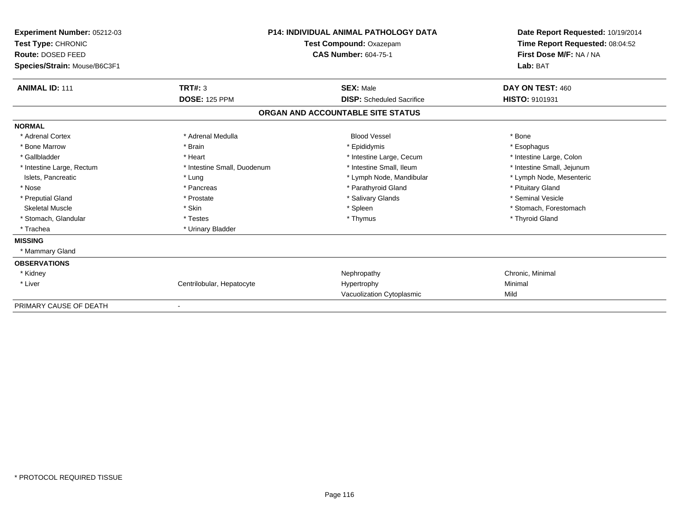| Experiment Number: 05212-03<br>Test Type: CHRONIC<br>Route: DOSED FEED<br>Species/Strain: Mouse/B6C3F1 | <b>P14: INDIVIDUAL ANIMAL PATHOLOGY DATA</b><br>Test Compound: Oxazepam<br><b>CAS Number: 604-75-1</b> |                                   | Date Report Requested: 10/19/2014<br>Time Report Requested: 08:04:52<br>First Dose M/F: NA / NA<br>Lab: BAT |  |
|--------------------------------------------------------------------------------------------------------|--------------------------------------------------------------------------------------------------------|-----------------------------------|-------------------------------------------------------------------------------------------------------------|--|
| <b>ANIMAL ID: 111</b>                                                                                  | TRT#: 3                                                                                                | <b>SEX: Male</b>                  | DAY ON TEST: 460                                                                                            |  |
|                                                                                                        | <b>DOSE: 125 PPM</b>                                                                                   | <b>DISP:</b> Scheduled Sacrifice  | HISTO: 9101931                                                                                              |  |
|                                                                                                        |                                                                                                        | ORGAN AND ACCOUNTABLE SITE STATUS |                                                                                                             |  |
| <b>NORMAL</b>                                                                                          |                                                                                                        |                                   |                                                                                                             |  |
| * Adrenal Cortex                                                                                       | * Adrenal Medulla                                                                                      | <b>Blood Vessel</b>               | * Bone                                                                                                      |  |
| * Bone Marrow                                                                                          | * Brain                                                                                                | * Epididymis                      | * Esophagus                                                                                                 |  |
| * Gallbladder                                                                                          | * Heart                                                                                                | * Intestine Large, Cecum          | * Intestine Large, Colon                                                                                    |  |
| * Intestine Large, Rectum                                                                              | * Intestine Small, Duodenum                                                                            | * Intestine Small, Ileum          | * Intestine Small, Jejunum                                                                                  |  |
| Islets, Pancreatic                                                                                     | * Lung                                                                                                 | * Lymph Node, Mandibular          | * Lymph Node, Mesenteric                                                                                    |  |
| * Nose                                                                                                 | * Pancreas                                                                                             | * Parathyroid Gland               | * Pituitary Gland                                                                                           |  |
| * Preputial Gland                                                                                      | * Prostate                                                                                             | * Salivary Glands                 | * Seminal Vesicle                                                                                           |  |
| <b>Skeletal Muscle</b>                                                                                 | * Skin                                                                                                 | * Spleen                          | * Stomach, Forestomach                                                                                      |  |
| * Stomach, Glandular                                                                                   | * Testes                                                                                               | * Thymus                          | * Thyroid Gland                                                                                             |  |
| * Trachea                                                                                              | * Urinary Bladder                                                                                      |                                   |                                                                                                             |  |
| <b>MISSING</b>                                                                                         |                                                                                                        |                                   |                                                                                                             |  |
| * Mammary Gland                                                                                        |                                                                                                        |                                   |                                                                                                             |  |
| <b>OBSERVATIONS</b>                                                                                    |                                                                                                        |                                   |                                                                                                             |  |
| * Kidney                                                                                               |                                                                                                        | Nephropathy                       | Chronic, Minimal                                                                                            |  |
| * Liver                                                                                                | Centrilobular, Hepatocyte                                                                              | Hypertrophy                       | Minimal                                                                                                     |  |
|                                                                                                        |                                                                                                        | Vacuolization Cytoplasmic         | Mild                                                                                                        |  |
| PRIMARY CAUSE OF DEATH                                                                                 |                                                                                                        |                                   |                                                                                                             |  |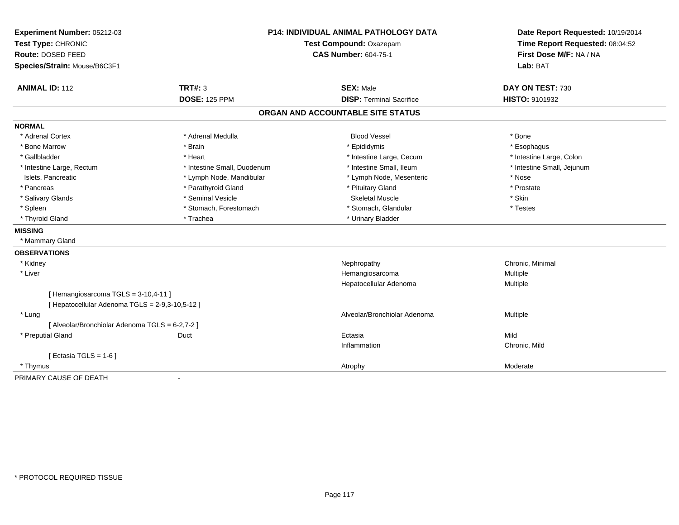| Experiment Number: 05212-03                     |                             | <b>P14: INDIVIDUAL ANIMAL PATHOLOGY DATA</b> | Date Report Requested: 10/19/2014<br>Time Report Requested: 08:04:52 |
|-------------------------------------------------|-----------------------------|----------------------------------------------|----------------------------------------------------------------------|
| Test Type: CHRONIC                              |                             | Test Compound: Oxazepam                      |                                                                      |
| Route: DOSED FEED                               |                             | <b>CAS Number: 604-75-1</b>                  | First Dose M/F: NA / NA                                              |
| Species/Strain: Mouse/B6C3F1                    |                             |                                              | Lab: BAT                                                             |
| <b>ANIMAL ID: 112</b>                           | <b>TRT#: 3</b>              | <b>SEX: Male</b>                             | DAY ON TEST: 730                                                     |
|                                                 | <b>DOSE: 125 PPM</b>        | <b>DISP: Terminal Sacrifice</b>              | HISTO: 9101932                                                       |
|                                                 |                             | ORGAN AND ACCOUNTABLE SITE STATUS            |                                                                      |
| <b>NORMAL</b>                                   |                             |                                              |                                                                      |
| * Adrenal Cortex                                | * Adrenal Medulla           | <b>Blood Vessel</b>                          | * Bone                                                               |
| * Bone Marrow                                   | * Brain                     | * Epididymis                                 | * Esophagus                                                          |
| * Gallbladder                                   | * Heart                     | * Intestine Large, Cecum                     | * Intestine Large, Colon                                             |
| * Intestine Large, Rectum                       | * Intestine Small, Duodenum | * Intestine Small, Ileum                     | * Intestine Small, Jejunum                                           |
| Islets, Pancreatic                              | * Lymph Node, Mandibular    | * Lymph Node, Mesenteric                     | * Nose                                                               |
| * Pancreas                                      | * Parathyroid Gland         | * Pituitary Gland                            | * Prostate                                                           |
| * Salivary Glands                               | * Seminal Vesicle           | <b>Skeletal Muscle</b>                       | * Skin                                                               |
| * Spleen                                        | * Stomach, Forestomach      | * Stomach, Glandular                         | * Testes                                                             |
| * Thyroid Gland                                 | * Trachea                   | * Urinary Bladder                            |                                                                      |
| <b>MISSING</b>                                  |                             |                                              |                                                                      |
| * Mammary Gland                                 |                             |                                              |                                                                      |
| <b>OBSERVATIONS</b>                             |                             |                                              |                                                                      |
| * Kidney                                        |                             | Nephropathy                                  | Chronic, Minimal                                                     |
| * Liver                                         |                             | Hemangiosarcoma                              | <b>Multiple</b>                                                      |
|                                                 |                             | Hepatocellular Adenoma                       | Multiple                                                             |
| [Hemangiosarcoma TGLS = 3-10,4-11]              |                             |                                              |                                                                      |
| [ Hepatocellular Adenoma TGLS = 2-9,3-10,5-12 ] |                             |                                              |                                                                      |
| * Lung                                          |                             | Alveolar/Bronchiolar Adenoma                 | <b>Multiple</b>                                                      |
| [ Alveolar/Bronchiolar Adenoma TGLS = 6-2,7-2 ] |                             |                                              |                                                                      |
| * Preputial Gland                               | Duct                        | Ectasia                                      | Mild                                                                 |
|                                                 |                             | Inflammation                                 | Chronic, Mild                                                        |
| [ Ectasia TGLS = $1-6$ ]                        |                             |                                              |                                                                      |
| * Thymus                                        |                             | Atrophy                                      | Moderate                                                             |
| PRIMARY CAUSE OF DEATH                          |                             |                                              |                                                                      |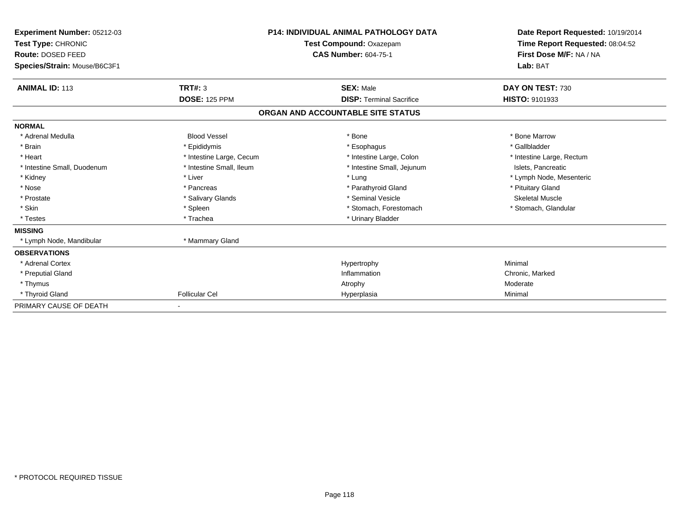| Experiment Number: 05212-03<br>Test Type: CHRONIC<br>Route: DOSED FEED<br>Species/Strain: Mouse/B6C3F1 |                          | <b>P14: INDIVIDUAL ANIMAL PATHOLOGY DATA</b><br>Test Compound: Oxazepam<br><b>CAS Number: 604-75-1</b> | Date Report Requested: 10/19/2014<br>Time Report Requested: 08:04:52<br>First Dose M/F: NA / NA<br>Lab: BAT |
|--------------------------------------------------------------------------------------------------------|--------------------------|--------------------------------------------------------------------------------------------------------|-------------------------------------------------------------------------------------------------------------|
| <b>ANIMAL ID: 113</b>                                                                                  | TRT#: 3                  | <b>SEX: Male</b>                                                                                       | DAY ON TEST: 730                                                                                            |
|                                                                                                        | <b>DOSE: 125 PPM</b>     | <b>DISP: Terminal Sacrifice</b>                                                                        | HISTO: 9101933                                                                                              |
|                                                                                                        |                          | ORGAN AND ACCOUNTABLE SITE STATUS                                                                      |                                                                                                             |
| <b>NORMAL</b>                                                                                          |                          |                                                                                                        |                                                                                                             |
| * Adrenal Medulla                                                                                      | <b>Blood Vessel</b>      | * Bone                                                                                                 | * Bone Marrow                                                                                               |
| * Brain                                                                                                | * Epididymis             | * Esophagus                                                                                            | * Gallbladder                                                                                               |
| * Heart                                                                                                | * Intestine Large, Cecum | * Intestine Large, Colon                                                                               | * Intestine Large, Rectum                                                                                   |
| * Intestine Small, Duodenum                                                                            | * Intestine Small, Ileum | * Intestine Small, Jejunum                                                                             | Islets, Pancreatic                                                                                          |
| * Kidney                                                                                               | * Liver                  | * Lung                                                                                                 | * Lymph Node, Mesenteric                                                                                    |
| * Nose                                                                                                 | * Pancreas               | * Parathyroid Gland                                                                                    | * Pituitary Gland                                                                                           |
| * Prostate                                                                                             | * Salivary Glands        | * Seminal Vesicle                                                                                      | <b>Skeletal Muscle</b>                                                                                      |
| * Skin                                                                                                 | * Spleen                 | * Stomach, Forestomach                                                                                 | * Stomach, Glandular                                                                                        |
| * Testes                                                                                               | * Trachea                | * Urinary Bladder                                                                                      |                                                                                                             |
| <b>MISSING</b>                                                                                         |                          |                                                                                                        |                                                                                                             |
| * Lymph Node, Mandibular                                                                               | * Mammary Gland          |                                                                                                        |                                                                                                             |
| <b>OBSERVATIONS</b>                                                                                    |                          |                                                                                                        |                                                                                                             |
| * Adrenal Cortex                                                                                       |                          | Hypertrophy                                                                                            | Minimal                                                                                                     |
| * Preputial Gland                                                                                      |                          | Inflammation                                                                                           | Chronic, Marked                                                                                             |
| * Thymus                                                                                               |                          | Atrophy                                                                                                | Moderate                                                                                                    |
| * Thyroid Gland                                                                                        | <b>Follicular Cel</b>    | Hyperplasia                                                                                            | Minimal                                                                                                     |
| PRIMARY CAUSE OF DEATH                                                                                 |                          |                                                                                                        |                                                                                                             |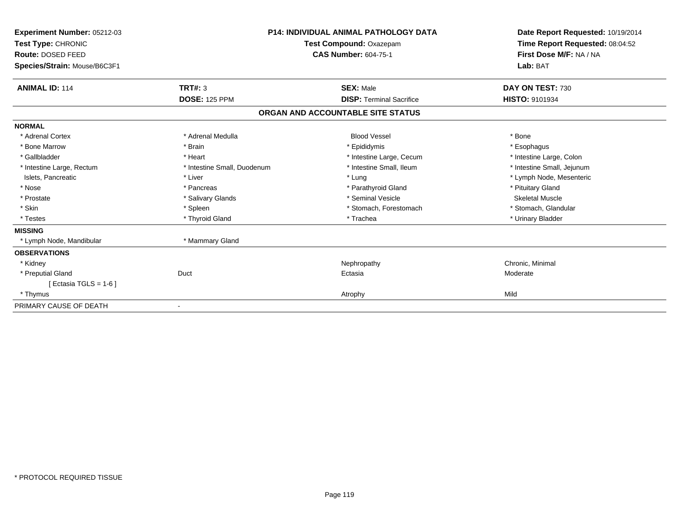| Experiment Number: 05212-03<br>Test Type: CHRONIC<br>Route: DOSED FEED<br>Species/Strain: Mouse/B6C3F1 | <b>P14: INDIVIDUAL ANIMAL PATHOLOGY DATA</b><br>Test Compound: Oxazepam<br><b>CAS Number: 604-75-1</b> |                                   | Date Report Requested: 10/19/2014<br>Time Report Requested: 08:04:52<br>First Dose M/F: NA / NA<br>Lab: BAT |
|--------------------------------------------------------------------------------------------------------|--------------------------------------------------------------------------------------------------------|-----------------------------------|-------------------------------------------------------------------------------------------------------------|
| <b>ANIMAL ID: 114</b>                                                                                  | <b>TRT#: 3</b>                                                                                         | <b>SEX: Male</b>                  | DAY ON TEST: 730                                                                                            |
|                                                                                                        | <b>DOSE: 125 PPM</b>                                                                                   | <b>DISP: Terminal Sacrifice</b>   | HISTO: 9101934                                                                                              |
|                                                                                                        |                                                                                                        | ORGAN AND ACCOUNTABLE SITE STATUS |                                                                                                             |
| <b>NORMAL</b>                                                                                          |                                                                                                        |                                   |                                                                                                             |
| * Adrenal Cortex                                                                                       | * Adrenal Medulla                                                                                      | <b>Blood Vessel</b>               | * Bone                                                                                                      |
| * Bone Marrow                                                                                          | * Brain                                                                                                | * Epididymis                      | * Esophagus                                                                                                 |
| * Gallbladder                                                                                          | * Heart                                                                                                | * Intestine Large, Cecum          | * Intestine Large, Colon                                                                                    |
| * Intestine Large, Rectum                                                                              | * Intestine Small, Duodenum                                                                            | * Intestine Small, Ileum          | * Intestine Small, Jejunum                                                                                  |
| Islets, Pancreatic                                                                                     | * Liver                                                                                                | * Lung                            | * Lymph Node, Mesenteric                                                                                    |
| * Nose                                                                                                 | * Pancreas                                                                                             | * Parathyroid Gland               | * Pituitary Gland                                                                                           |
| * Prostate                                                                                             | * Salivary Glands                                                                                      | * Seminal Vesicle                 | <b>Skeletal Muscle</b>                                                                                      |
| * Skin                                                                                                 | * Spleen                                                                                               | * Stomach, Forestomach            | * Stomach, Glandular                                                                                        |
| * Testes                                                                                               | * Thyroid Gland                                                                                        | * Trachea                         | * Urinary Bladder                                                                                           |
| <b>MISSING</b>                                                                                         |                                                                                                        |                                   |                                                                                                             |
| * Lymph Node, Mandibular                                                                               | * Mammary Gland                                                                                        |                                   |                                                                                                             |
| <b>OBSERVATIONS</b>                                                                                    |                                                                                                        |                                   |                                                                                                             |
| * Kidney                                                                                               |                                                                                                        | Nephropathy                       | Chronic, Minimal                                                                                            |
| * Preputial Gland                                                                                      | Duct                                                                                                   | Ectasia                           | Moderate                                                                                                    |
| [ Ectasia TGLS = $1-6$ ]                                                                               |                                                                                                        |                                   |                                                                                                             |
| * Thymus                                                                                               |                                                                                                        | Atrophy                           | Mild                                                                                                        |
| PRIMARY CAUSE OF DEATH                                                                                 |                                                                                                        |                                   |                                                                                                             |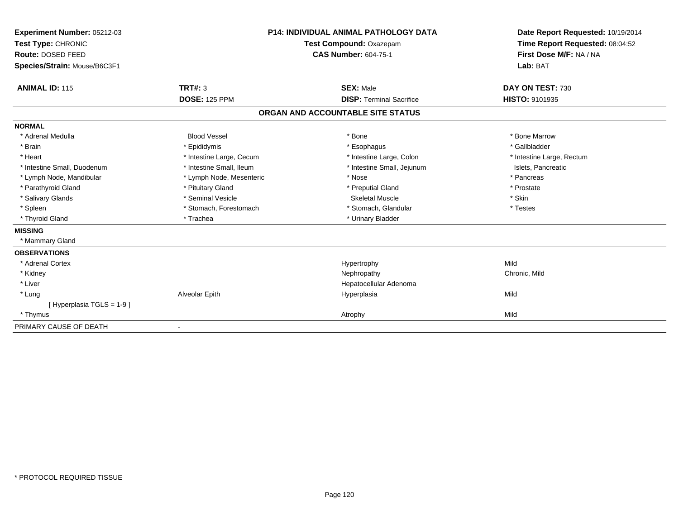| Experiment Number: 05212-03<br>Test Type: CHRONIC<br><b>Route: DOSED FEED</b><br>Species/Strain: Mouse/B6C3F1 |                          | <b>P14: INDIVIDUAL ANIMAL PATHOLOGY DATA</b><br>Test Compound: Oxazepam<br><b>CAS Number: 604-75-1</b> | Date Report Requested: 10/19/2014<br>Time Report Requested: 08:04:52<br>First Dose M/F: NA / NA<br>Lab: BAT |
|---------------------------------------------------------------------------------------------------------------|--------------------------|--------------------------------------------------------------------------------------------------------|-------------------------------------------------------------------------------------------------------------|
| <b>ANIMAL ID: 115</b>                                                                                         | <b>TRT#: 3</b>           | <b>SEX: Male</b>                                                                                       | DAY ON TEST: 730                                                                                            |
|                                                                                                               | <b>DOSE: 125 PPM</b>     | <b>DISP: Terminal Sacrifice</b>                                                                        | HISTO: 9101935                                                                                              |
|                                                                                                               |                          | ORGAN AND ACCOUNTABLE SITE STATUS                                                                      |                                                                                                             |
| <b>NORMAL</b>                                                                                                 |                          |                                                                                                        |                                                                                                             |
| * Adrenal Medulla                                                                                             | <b>Blood Vessel</b>      | * Bone                                                                                                 | * Bone Marrow                                                                                               |
| * Brain                                                                                                       | * Epididymis             | * Esophagus                                                                                            | * Gallbladder                                                                                               |
| * Heart                                                                                                       | * Intestine Large, Cecum | * Intestine Large, Colon                                                                               | * Intestine Large, Rectum                                                                                   |
| * Intestine Small, Duodenum                                                                                   | * Intestine Small, Ileum | * Intestine Small, Jejunum                                                                             | Islets, Pancreatic                                                                                          |
| * Lymph Node, Mandibular                                                                                      | * Lymph Node, Mesenteric | * Nose                                                                                                 | * Pancreas                                                                                                  |
| * Parathyroid Gland                                                                                           | * Pituitary Gland        | * Preputial Gland                                                                                      | * Prostate                                                                                                  |
| * Salivary Glands                                                                                             | * Seminal Vesicle        | <b>Skeletal Muscle</b>                                                                                 | * Skin                                                                                                      |
| * Spleen                                                                                                      | * Stomach, Forestomach   | * Stomach, Glandular                                                                                   | * Testes                                                                                                    |
| * Thyroid Gland                                                                                               | * Trachea                | * Urinary Bladder                                                                                      |                                                                                                             |
| <b>MISSING</b>                                                                                                |                          |                                                                                                        |                                                                                                             |
| * Mammary Gland                                                                                               |                          |                                                                                                        |                                                                                                             |
| <b>OBSERVATIONS</b>                                                                                           |                          |                                                                                                        |                                                                                                             |
| * Adrenal Cortex                                                                                              |                          | Hypertrophy                                                                                            | Mild                                                                                                        |
| * Kidney                                                                                                      |                          | Nephropathy                                                                                            | Chronic, Mild                                                                                               |
| * Liver                                                                                                       |                          | Hepatocellular Adenoma                                                                                 |                                                                                                             |
| * Lung                                                                                                        | Alveolar Epith           | Hyperplasia                                                                                            | Mild                                                                                                        |
| [Hyperplasia TGLS = $1-9$ ]                                                                                   |                          |                                                                                                        |                                                                                                             |
| * Thymus                                                                                                      |                          | Atrophy                                                                                                | Mild                                                                                                        |
| PRIMARY CAUSE OF DEATH                                                                                        |                          |                                                                                                        |                                                                                                             |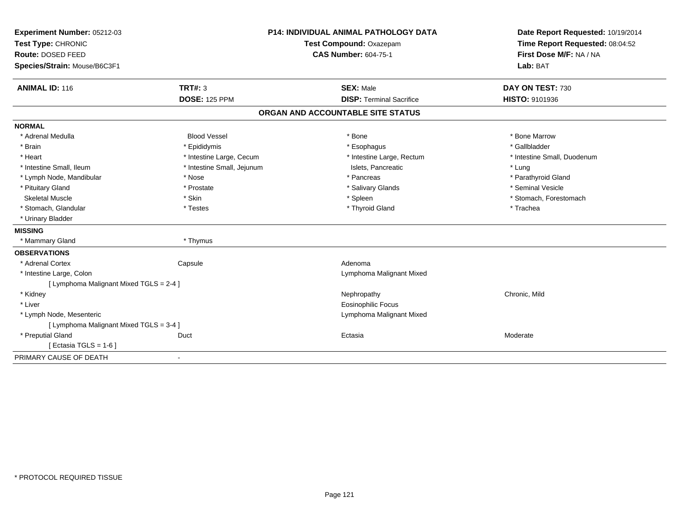| Experiment Number: 05212-03             | <b>P14: INDIVIDUAL ANIMAL PATHOLOGY DATA</b> |                                   | Date Report Requested: 10/19/2014                          |
|-----------------------------------------|----------------------------------------------|-----------------------------------|------------------------------------------------------------|
| Test Type: CHRONIC                      |                                              | Test Compound: Oxazepam           | Time Report Requested: 08:04:52<br>First Dose M/F: NA / NA |
| Route: DOSED FEED                       |                                              | <b>CAS Number: 604-75-1</b>       |                                                            |
| Species/Strain: Mouse/B6C3F1            |                                              |                                   | Lab: BAT                                                   |
| <b>ANIMAL ID: 116</b>                   | TRT#: 3                                      | <b>SEX: Male</b>                  | DAY ON TEST: 730                                           |
|                                         | <b>DOSE: 125 PPM</b>                         | <b>DISP: Terminal Sacrifice</b>   | HISTO: 9101936                                             |
|                                         |                                              | ORGAN AND ACCOUNTABLE SITE STATUS |                                                            |
| <b>NORMAL</b>                           |                                              |                                   |                                                            |
| * Adrenal Medulla                       | <b>Blood Vessel</b>                          | * Bone                            | * Bone Marrow                                              |
| * Brain                                 | * Epididymis                                 | * Esophagus                       | * Gallbladder                                              |
| * Heart                                 | * Intestine Large, Cecum                     | * Intestine Large, Rectum         | * Intestine Small, Duodenum                                |
| * Intestine Small, Ileum                | * Intestine Small, Jejunum                   | Islets, Pancreatic                | * Lung                                                     |
| * Lymph Node, Mandibular                | * Nose                                       | * Pancreas                        | * Parathyroid Gland                                        |
| * Pituitary Gland                       | * Prostate                                   | * Salivary Glands                 | * Seminal Vesicle                                          |
| <b>Skeletal Muscle</b>                  | * Skin                                       | * Spleen                          | * Stomach, Forestomach                                     |
| * Stomach, Glandular                    | * Testes                                     | * Thyroid Gland                   | * Trachea                                                  |
| * Urinary Bladder                       |                                              |                                   |                                                            |
| <b>MISSING</b>                          |                                              |                                   |                                                            |
| * Mammary Gland                         | * Thymus                                     |                                   |                                                            |
| <b>OBSERVATIONS</b>                     |                                              |                                   |                                                            |
| * Adrenal Cortex                        | Capsule                                      | Adenoma                           |                                                            |
| * Intestine Large, Colon                |                                              | Lymphoma Malignant Mixed          |                                                            |
| [ Lymphoma Malignant Mixed TGLS = 2-4 ] |                                              |                                   |                                                            |
| * Kidney                                |                                              | Nephropathy                       | Chronic, Mild                                              |
| * Liver                                 |                                              | Eosinophilic Focus                |                                                            |
| * Lymph Node, Mesenteric                |                                              | Lymphoma Malignant Mixed          |                                                            |
| [ Lymphoma Malignant Mixed TGLS = 3-4 ] |                                              |                                   |                                                            |
| * Preputial Gland                       | Duct                                         | Ectasia                           | Moderate                                                   |
| [Ectasia TGLS = $1-6$ ]                 |                                              |                                   |                                                            |
| PRIMARY CAUSE OF DEATH                  | $\blacksquare$                               |                                   |                                                            |
|                                         |                                              |                                   |                                                            |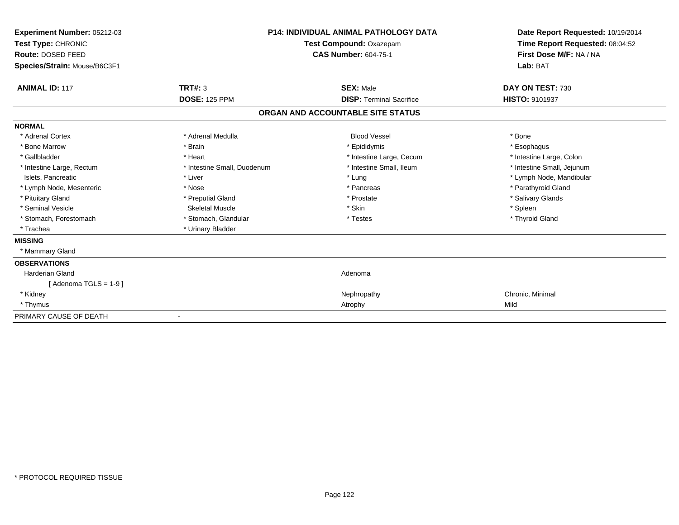| Experiment Number: 05212-03<br>Test Type: CHRONIC<br>Route: DOSED FEED<br>Species/Strain: Mouse/B6C3F1 |                             | <b>P14: INDIVIDUAL ANIMAL PATHOLOGY DATA</b><br>Test Compound: Oxazepam<br><b>CAS Number: 604-75-1</b> | Date Report Requested: 10/19/2014<br>Time Report Requested: 08:04:52<br>First Dose M/F: NA / NA<br>Lab: BAT |
|--------------------------------------------------------------------------------------------------------|-----------------------------|--------------------------------------------------------------------------------------------------------|-------------------------------------------------------------------------------------------------------------|
| <b>ANIMAL ID: 117</b>                                                                                  | <b>TRT#: 3</b>              | <b>SEX: Male</b>                                                                                       | DAY ON TEST: 730                                                                                            |
|                                                                                                        | <b>DOSE: 125 PPM</b>        | <b>DISP: Terminal Sacrifice</b>                                                                        | <b>HISTO: 9101937</b>                                                                                       |
|                                                                                                        |                             | ORGAN AND ACCOUNTABLE SITE STATUS                                                                      |                                                                                                             |
| <b>NORMAL</b>                                                                                          |                             |                                                                                                        |                                                                                                             |
| * Adrenal Cortex                                                                                       | * Adrenal Medulla           | <b>Blood Vessel</b>                                                                                    | * Bone                                                                                                      |
| * Bone Marrow                                                                                          | * Brain                     | * Epididymis                                                                                           | * Esophagus                                                                                                 |
| * Gallbladder                                                                                          | * Heart                     | * Intestine Large, Cecum                                                                               | * Intestine Large, Colon                                                                                    |
| * Intestine Large, Rectum                                                                              | * Intestine Small, Duodenum | * Intestine Small, Ileum                                                                               | * Intestine Small, Jejunum                                                                                  |
| Islets, Pancreatic                                                                                     | * Liver                     | * Lung                                                                                                 | * Lymph Node, Mandibular                                                                                    |
| * Lymph Node, Mesenteric                                                                               | * Nose                      | * Pancreas                                                                                             | * Parathyroid Gland                                                                                         |
| * Pituitary Gland                                                                                      | * Preputial Gland           | * Prostate                                                                                             | * Salivary Glands                                                                                           |
| * Seminal Vesicle                                                                                      | <b>Skeletal Muscle</b>      | * Skin                                                                                                 | * Spleen                                                                                                    |
| * Stomach, Forestomach                                                                                 | * Stomach, Glandular        | * Testes                                                                                               | * Thyroid Gland                                                                                             |
| * Trachea                                                                                              | * Urinary Bladder           |                                                                                                        |                                                                                                             |
| <b>MISSING</b>                                                                                         |                             |                                                                                                        |                                                                                                             |
| * Mammary Gland                                                                                        |                             |                                                                                                        |                                                                                                             |
| <b>OBSERVATIONS</b>                                                                                    |                             |                                                                                                        |                                                                                                             |
| Harderian Gland                                                                                        |                             | Adenoma                                                                                                |                                                                                                             |
| [Adenoma TGLS = $1-9$ ]                                                                                |                             |                                                                                                        |                                                                                                             |
| * Kidney                                                                                               |                             | Nephropathy                                                                                            | Chronic, Minimal                                                                                            |
| * Thymus                                                                                               |                             | Atrophy                                                                                                | Mild                                                                                                        |
| PRIMARY CAUSE OF DEATH                                                                                 |                             |                                                                                                        |                                                                                                             |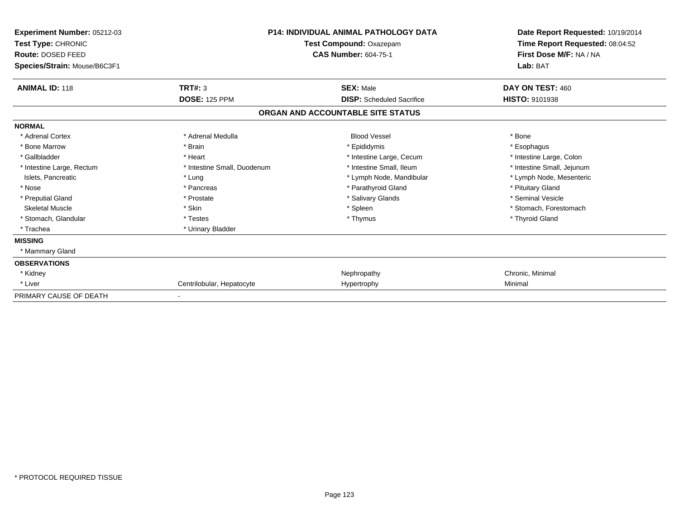| <b>Experiment Number: 05212-03</b><br>Test Type: CHRONIC<br>Route: DOSED FEED<br>Species/Strain: Mouse/B6C3F1 | <b>P14: INDIVIDUAL ANIMAL PATHOLOGY DATA</b><br>Test Compound: Oxazepam<br><b>CAS Number: 604-75-1</b> |                                   | Date Report Requested: 10/19/2014<br>Time Report Requested: 08:04:52<br>First Dose M/F: NA / NA<br>Lab: BAT |  |
|---------------------------------------------------------------------------------------------------------------|--------------------------------------------------------------------------------------------------------|-----------------------------------|-------------------------------------------------------------------------------------------------------------|--|
| <b>ANIMAL ID: 118</b>                                                                                         | <b>TRT#: 3</b>                                                                                         | <b>SEX: Male</b>                  | DAY ON TEST: 460                                                                                            |  |
|                                                                                                               | <b>DOSE: 125 PPM</b>                                                                                   | <b>DISP:</b> Scheduled Sacrifice  | <b>HISTO: 9101938</b>                                                                                       |  |
|                                                                                                               |                                                                                                        | ORGAN AND ACCOUNTABLE SITE STATUS |                                                                                                             |  |
| <b>NORMAL</b>                                                                                                 |                                                                                                        |                                   |                                                                                                             |  |
| * Adrenal Cortex                                                                                              | * Adrenal Medulla                                                                                      | <b>Blood Vessel</b>               | * Bone                                                                                                      |  |
| * Bone Marrow                                                                                                 | * Brain                                                                                                | * Epididymis                      | * Esophagus                                                                                                 |  |
| * Gallbladder                                                                                                 | * Heart                                                                                                | * Intestine Large, Cecum          | * Intestine Large, Colon                                                                                    |  |
| * Intestine Large, Rectum                                                                                     | * Intestine Small, Duodenum                                                                            | * Intestine Small, Ileum          | * Intestine Small, Jejunum                                                                                  |  |
| Islets, Pancreatic                                                                                            | * Lung                                                                                                 | * Lymph Node, Mandibular          | * Lymph Node, Mesenteric                                                                                    |  |
| * Nose                                                                                                        | * Pancreas                                                                                             | * Parathyroid Gland               | * Pituitary Gland                                                                                           |  |
| * Preputial Gland                                                                                             | * Prostate                                                                                             | * Salivary Glands                 | * Seminal Vesicle                                                                                           |  |
| <b>Skeletal Muscle</b>                                                                                        | * Skin                                                                                                 | * Spleen                          | * Stomach, Forestomach                                                                                      |  |
| * Stomach, Glandular                                                                                          | * Testes                                                                                               | * Thymus                          | * Thyroid Gland                                                                                             |  |
| * Trachea                                                                                                     | * Urinary Bladder                                                                                      |                                   |                                                                                                             |  |
| <b>MISSING</b>                                                                                                |                                                                                                        |                                   |                                                                                                             |  |
| * Mammary Gland                                                                                               |                                                                                                        |                                   |                                                                                                             |  |
| <b>OBSERVATIONS</b>                                                                                           |                                                                                                        |                                   |                                                                                                             |  |
| * Kidney                                                                                                      |                                                                                                        | Nephropathy                       | Chronic, Minimal                                                                                            |  |
| * Liver                                                                                                       | Centrilobular, Hepatocyte                                                                              | Hypertrophy                       | Minimal                                                                                                     |  |
| PRIMARY CAUSE OF DEATH                                                                                        |                                                                                                        |                                   |                                                                                                             |  |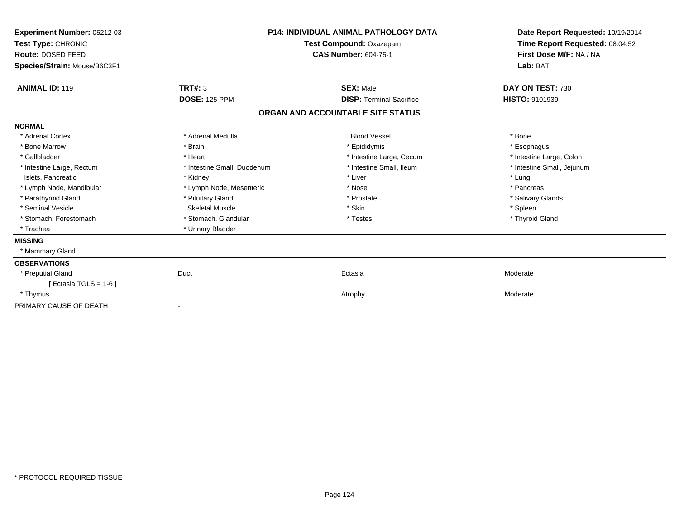| Experiment Number: 05212-03<br>Test Type: CHRONIC<br>Route: DOSED FEED<br>Species/Strain: Mouse/B6C3F1 |                             | <b>P14: INDIVIDUAL ANIMAL PATHOLOGY DATA</b><br>Test Compound: Oxazepam<br><b>CAS Number: 604-75-1</b> | Date Report Requested: 10/19/2014<br>Time Report Requested: 08:04:52<br>First Dose M/F: NA / NA<br>Lab: BAT |
|--------------------------------------------------------------------------------------------------------|-----------------------------|--------------------------------------------------------------------------------------------------------|-------------------------------------------------------------------------------------------------------------|
| <b>ANIMAL ID: 119</b>                                                                                  | <b>TRT#: 3</b>              | <b>SEX: Male</b>                                                                                       | DAY ON TEST: 730                                                                                            |
|                                                                                                        | <b>DOSE: 125 PPM</b>        | <b>DISP: Terminal Sacrifice</b>                                                                        | HISTO: 9101939                                                                                              |
|                                                                                                        |                             | ORGAN AND ACCOUNTABLE SITE STATUS                                                                      |                                                                                                             |
| <b>NORMAL</b>                                                                                          |                             |                                                                                                        |                                                                                                             |
| * Adrenal Cortex                                                                                       | * Adrenal Medulla           | <b>Blood Vessel</b>                                                                                    | * Bone                                                                                                      |
| * Bone Marrow                                                                                          | * Brain                     | * Epididymis                                                                                           | * Esophagus                                                                                                 |
| * Gallbladder                                                                                          | * Heart                     | * Intestine Large, Cecum                                                                               | * Intestine Large, Colon                                                                                    |
| * Intestine Large, Rectum                                                                              | * Intestine Small, Duodenum | * Intestine Small, Ileum                                                                               | * Intestine Small, Jejunum                                                                                  |
| Islets, Pancreatic                                                                                     | * Kidney                    | * Liver                                                                                                | * Lung                                                                                                      |
| * Lymph Node, Mandibular                                                                               | * Lymph Node, Mesenteric    | * Nose                                                                                                 | * Pancreas                                                                                                  |
| * Parathyroid Gland                                                                                    | * Pituitary Gland           | * Prostate                                                                                             | * Salivary Glands                                                                                           |
| * Seminal Vesicle                                                                                      | Skeletal Muscle             | * Skin                                                                                                 | * Spleen                                                                                                    |
| * Stomach, Forestomach                                                                                 | * Stomach, Glandular        | * Testes                                                                                               | * Thyroid Gland                                                                                             |
| * Trachea                                                                                              | * Urinary Bladder           |                                                                                                        |                                                                                                             |
| <b>MISSING</b>                                                                                         |                             |                                                                                                        |                                                                                                             |
| * Mammary Gland                                                                                        |                             |                                                                                                        |                                                                                                             |
| <b>OBSERVATIONS</b>                                                                                    |                             |                                                                                                        |                                                                                                             |
| * Preputial Gland                                                                                      | Duct                        | Ectasia                                                                                                | Moderate                                                                                                    |
| [ Ectasia TGLS = $1-6$ ]                                                                               |                             |                                                                                                        |                                                                                                             |
| * Thymus                                                                                               |                             | Atrophy                                                                                                | Moderate                                                                                                    |
| PRIMARY CAUSE OF DEATH                                                                                 |                             |                                                                                                        |                                                                                                             |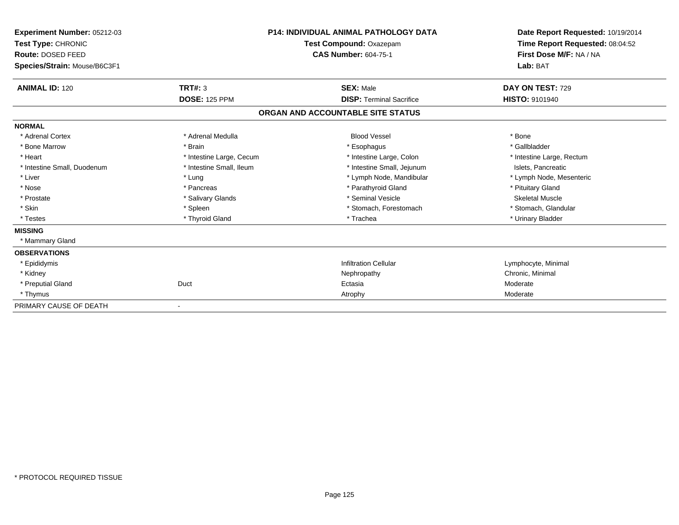| Experiment Number: 05212-03<br>Test Type: CHRONIC<br>Route: DOSED FEED |                          | <b>P14: INDIVIDUAL ANIMAL PATHOLOGY DATA</b><br>Test Compound: Oxazepam<br><b>CAS Number: 604-75-1</b> | Date Report Requested: 10/19/2014<br>Time Report Requested: 08:04:52<br>First Dose M/F: NA / NA |
|------------------------------------------------------------------------|--------------------------|--------------------------------------------------------------------------------------------------------|-------------------------------------------------------------------------------------------------|
| Species/Strain: Mouse/B6C3F1                                           |                          |                                                                                                        | Lab: BAT                                                                                        |
| <b>ANIMAL ID: 120</b>                                                  | TRT#: 3                  | <b>SEX: Male</b>                                                                                       | DAY ON TEST: 729                                                                                |
|                                                                        | <b>DOSE: 125 PPM</b>     | <b>DISP: Terminal Sacrifice</b>                                                                        | <b>HISTO: 9101940</b>                                                                           |
|                                                                        |                          | ORGAN AND ACCOUNTABLE SITE STATUS                                                                      |                                                                                                 |
| <b>NORMAL</b>                                                          |                          |                                                                                                        |                                                                                                 |
| * Adrenal Cortex                                                       | * Adrenal Medulla        | <b>Blood Vessel</b>                                                                                    | * Bone                                                                                          |
| * Bone Marrow                                                          | * Brain                  | * Esophagus                                                                                            | * Gallbladder                                                                                   |
| * Heart                                                                | * Intestine Large, Cecum | * Intestine Large, Colon                                                                               | * Intestine Large, Rectum                                                                       |
| * Intestine Small, Duodenum                                            | * Intestine Small, Ileum | * Intestine Small, Jejunum                                                                             | Islets, Pancreatic                                                                              |
| * Liver                                                                | * Lung                   | * Lymph Node, Mandibular                                                                               | * Lymph Node, Mesenteric                                                                        |
| * Nose                                                                 | * Pancreas               | * Parathyroid Gland                                                                                    | * Pituitary Gland                                                                               |
| * Prostate                                                             | * Salivary Glands        | * Seminal Vesicle                                                                                      | <b>Skeletal Muscle</b>                                                                          |
| * Skin                                                                 | * Spleen                 | * Stomach, Forestomach                                                                                 | * Stomach, Glandular                                                                            |
| * Testes                                                               | * Thyroid Gland          | * Trachea                                                                                              | * Urinary Bladder                                                                               |
| <b>MISSING</b>                                                         |                          |                                                                                                        |                                                                                                 |
| * Mammary Gland                                                        |                          |                                                                                                        |                                                                                                 |
| <b>OBSERVATIONS</b>                                                    |                          |                                                                                                        |                                                                                                 |
| * Epididymis                                                           |                          | <b>Infiltration Cellular</b>                                                                           | Lymphocyte, Minimal                                                                             |
| * Kidney                                                               |                          | Nephropathy                                                                                            | Chronic, Minimal                                                                                |
| * Preputial Gland                                                      | Duct                     | Ectasia                                                                                                | Moderate                                                                                        |
| * Thymus                                                               |                          | Atrophy                                                                                                | Moderate                                                                                        |
| PRIMARY CAUSE OF DEATH                                                 |                          |                                                                                                        |                                                                                                 |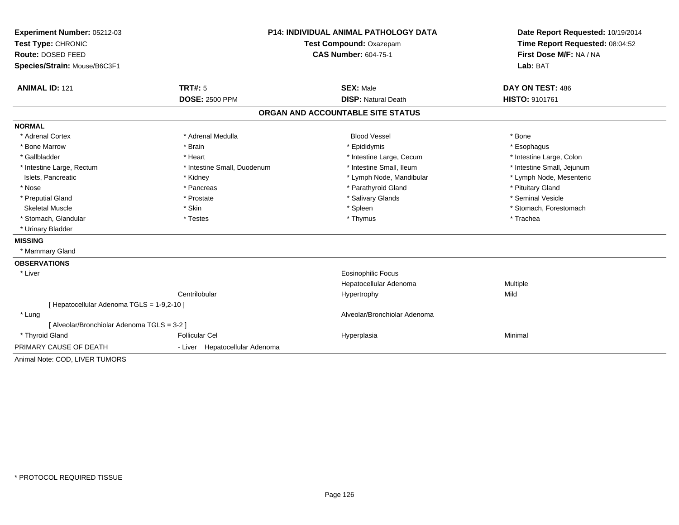| Experiment Number: 05212-03                 | <b>P14: INDIVIDUAL ANIMAL PATHOLOGY DATA</b><br>Test Compound: Oxazepam |                                   | Date Report Requested: 10/19/2014 |  |
|---------------------------------------------|-------------------------------------------------------------------------|-----------------------------------|-----------------------------------|--|
| Test Type: CHRONIC                          |                                                                         |                                   | Time Report Requested: 08:04:52   |  |
| Route: DOSED FEED                           |                                                                         | <b>CAS Number: 604-75-1</b>       | First Dose M/F: NA / NA           |  |
| Species/Strain: Mouse/B6C3F1                |                                                                         |                                   | Lab: BAT                          |  |
| <b>ANIMAL ID: 121</b>                       | <b>TRT#: 5</b>                                                          | <b>SEX: Male</b>                  | DAY ON TEST: 486                  |  |
|                                             | <b>DOSE: 2500 PPM</b>                                                   | <b>DISP: Natural Death</b>        | <b>HISTO: 9101761</b>             |  |
|                                             |                                                                         | ORGAN AND ACCOUNTABLE SITE STATUS |                                   |  |
| <b>NORMAL</b>                               |                                                                         |                                   |                                   |  |
| * Adrenal Cortex                            | * Adrenal Medulla                                                       | <b>Blood Vessel</b>               | * Bone                            |  |
| * Bone Marrow                               | * Brain                                                                 | * Epididymis                      | * Esophagus                       |  |
| * Gallbladder                               | * Heart                                                                 | * Intestine Large, Cecum          | * Intestine Large, Colon          |  |
| * Intestine Large, Rectum                   | * Intestine Small, Duodenum                                             | * Intestine Small, Ileum          | * Intestine Small, Jejunum        |  |
| Islets, Pancreatic                          | * Kidney                                                                | * Lymph Node, Mandibular          | * Lymph Node, Mesenteric          |  |
| * Nose                                      | * Pancreas                                                              | * Parathyroid Gland               | * Pituitary Gland                 |  |
| * Preputial Gland                           | * Prostate                                                              | * Salivary Glands                 | * Seminal Vesicle                 |  |
| <b>Skeletal Muscle</b>                      | * Skin                                                                  | * Spleen                          | * Stomach, Forestomach            |  |
| * Stomach, Glandular                        | * Testes                                                                | * Thymus                          | * Trachea                         |  |
| * Urinary Bladder                           |                                                                         |                                   |                                   |  |
| <b>MISSING</b>                              |                                                                         |                                   |                                   |  |
| * Mammary Gland                             |                                                                         |                                   |                                   |  |
| <b>OBSERVATIONS</b>                         |                                                                         |                                   |                                   |  |
| * Liver                                     |                                                                         | <b>Eosinophilic Focus</b>         |                                   |  |
|                                             |                                                                         | Hepatocellular Adenoma            | Multiple                          |  |
|                                             | Centrilobular                                                           | Hypertrophy                       | Mild                              |  |
| [ Hepatocellular Adenoma TGLS = 1-9,2-10 ]  |                                                                         |                                   |                                   |  |
| * Lung                                      |                                                                         | Alveolar/Bronchiolar Adenoma      |                                   |  |
| [ Alveolar/Bronchiolar Adenoma TGLS = 3-2 ] |                                                                         |                                   |                                   |  |
| * Thyroid Gland                             | <b>Follicular Cel</b>                                                   | Hyperplasia                       | Minimal                           |  |
| PRIMARY CAUSE OF DEATH                      | - Liver Hepatocellular Adenoma                                          |                                   |                                   |  |
| Animal Note: COD, LIVER TUMORS              |                                                                         |                                   |                                   |  |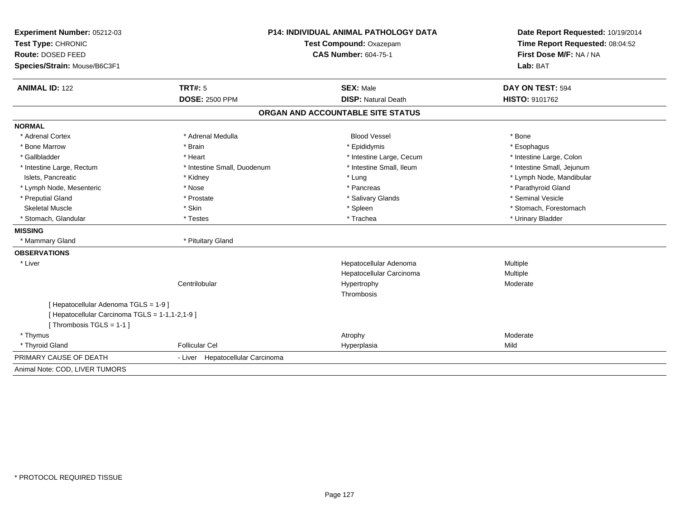| Experiment Number: 05212-03<br>Test Type: CHRONIC | P14: INDIVIDUAL ANIMAL PATHOLOGY DATA<br>Test Compound: Oxazepam |                                   | Date Report Requested: 10/19/2014<br>Time Report Requested: 08:04:52 |  |
|---------------------------------------------------|------------------------------------------------------------------|-----------------------------------|----------------------------------------------------------------------|--|
| Route: DOSED FEED                                 |                                                                  | <b>CAS Number: 604-75-1</b>       | First Dose M/F: NA / NA                                              |  |
| Species/Strain: Mouse/B6C3F1                      |                                                                  |                                   | Lab: BAT                                                             |  |
| <b>ANIMAL ID: 122</b>                             | TRT#: 5                                                          | <b>SEX: Male</b>                  | DAY ON TEST: 594                                                     |  |
|                                                   | <b>DOSE: 2500 PPM</b>                                            | <b>DISP: Natural Death</b>        | HISTO: 9101762                                                       |  |
|                                                   |                                                                  | ORGAN AND ACCOUNTABLE SITE STATUS |                                                                      |  |
| <b>NORMAL</b>                                     |                                                                  |                                   |                                                                      |  |
| * Adrenal Cortex                                  | * Adrenal Medulla                                                | <b>Blood Vessel</b>               | * Bone                                                               |  |
| * Bone Marrow                                     | * Brain                                                          | * Epididymis                      | * Esophagus                                                          |  |
| * Gallbladder                                     | * Heart                                                          | * Intestine Large, Cecum          | * Intestine Large, Colon                                             |  |
| * Intestine Large, Rectum                         | * Intestine Small, Duodenum                                      | * Intestine Small, Ileum          | * Intestine Small, Jejunum                                           |  |
| Islets, Pancreatic                                | * Kidney                                                         | * Lung                            | * Lymph Node, Mandibular                                             |  |
| * Lymph Node, Mesenteric                          | * Nose                                                           | * Pancreas                        | * Parathyroid Gland                                                  |  |
| * Preputial Gland                                 | * Prostate                                                       | * Salivary Glands                 | * Seminal Vesicle                                                    |  |
| Skeletal Muscle                                   | * Skin                                                           | * Spleen                          | * Stomach, Forestomach                                               |  |
| * Stomach, Glandular                              | * Testes                                                         | * Trachea                         | * Urinary Bladder                                                    |  |
| <b>MISSING</b>                                    |                                                                  |                                   |                                                                      |  |
| * Mammary Gland                                   | * Pituitary Gland                                                |                                   |                                                                      |  |
| <b>OBSERVATIONS</b>                               |                                                                  |                                   |                                                                      |  |
| * Liver                                           |                                                                  | Hepatocellular Adenoma            | Multiple                                                             |  |
|                                                   |                                                                  | Hepatocellular Carcinoma          | Multiple                                                             |  |
|                                                   | Centrilobular                                                    | Hypertrophy                       | Moderate                                                             |  |
|                                                   |                                                                  | Thrombosis                        |                                                                      |  |
| [ Hepatocellular Adenoma TGLS = 1-9 ]             |                                                                  |                                   |                                                                      |  |
| [ Hepatocellular Carcinoma TGLS = 1-1,1-2,1-9 ]   |                                                                  |                                   |                                                                      |  |
| [Thrombosis TGLS = 1-1]                           |                                                                  |                                   |                                                                      |  |
| * Thymus                                          |                                                                  | Atrophy                           | Moderate                                                             |  |
| * Thyroid Gland                                   | <b>Follicular Cel</b>                                            | Hyperplasia                       | Mild                                                                 |  |
| PRIMARY CAUSE OF DEATH                            | - Liver Hepatocellular Carcinoma                                 |                                   |                                                                      |  |
| Animal Note: COD, LIVER TUMORS                    |                                                                  |                                   |                                                                      |  |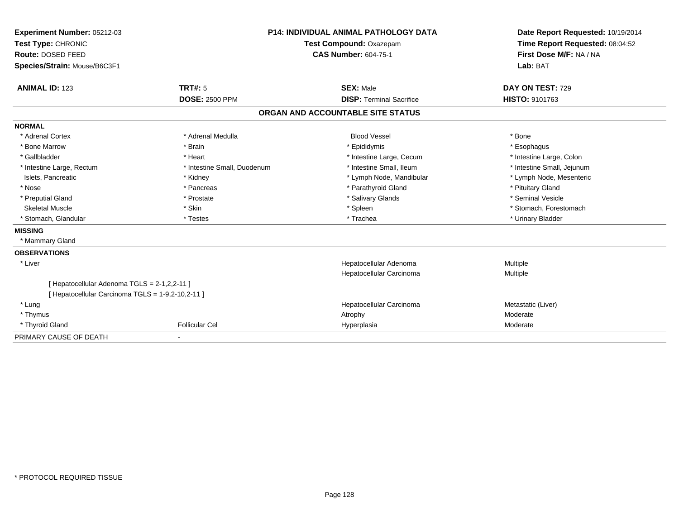| Experiment Number: 05212-03                                                                       | <b>P14: INDIVIDUAL ANIMAL PATHOLOGY DATA</b><br>Test Compound: Oxazepam<br><b>CAS Number: 604-75-1</b> |                                   | Date Report Requested: 10/19/2014                          |
|---------------------------------------------------------------------------------------------------|--------------------------------------------------------------------------------------------------------|-----------------------------------|------------------------------------------------------------|
| Test Type: CHRONIC                                                                                |                                                                                                        |                                   | Time Report Requested: 08:04:52<br>First Dose M/F: NA / NA |
| Route: DOSED FEED                                                                                 |                                                                                                        |                                   |                                                            |
| Species/Strain: Mouse/B6C3F1                                                                      |                                                                                                        |                                   | Lab: BAT                                                   |
| <b>ANIMAL ID: 123</b>                                                                             | TRT#: 5                                                                                                | <b>SEX: Male</b>                  | DAY ON TEST: 729                                           |
|                                                                                                   | <b>DOSE: 2500 PPM</b>                                                                                  | <b>DISP: Terminal Sacrifice</b>   | HISTO: 9101763                                             |
|                                                                                                   |                                                                                                        | ORGAN AND ACCOUNTABLE SITE STATUS |                                                            |
| <b>NORMAL</b>                                                                                     |                                                                                                        |                                   |                                                            |
| * Adrenal Cortex                                                                                  | * Adrenal Medulla                                                                                      | <b>Blood Vessel</b>               | * Bone                                                     |
| * Bone Marrow                                                                                     | * Brain                                                                                                | * Epididymis                      | * Esophagus                                                |
| * Gallbladder                                                                                     | * Heart                                                                                                | * Intestine Large, Cecum          | * Intestine Large, Colon                                   |
| * Intestine Large, Rectum                                                                         | * Intestine Small, Duodenum                                                                            | * Intestine Small, Ileum          | * Intestine Small, Jejunum                                 |
| Islets, Pancreatic                                                                                | * Kidney                                                                                               | * Lymph Node, Mandibular          | * Lymph Node, Mesenteric                                   |
| * Nose                                                                                            | * Pancreas                                                                                             | * Parathyroid Gland               | * Pituitary Gland                                          |
| * Preputial Gland                                                                                 | * Prostate                                                                                             | * Salivary Glands                 | * Seminal Vesicle                                          |
| <b>Skeletal Muscle</b>                                                                            | * Skin                                                                                                 | * Spleen                          | * Stomach, Forestomach                                     |
| * Stomach, Glandular                                                                              | * Testes                                                                                               | * Trachea                         | * Urinary Bladder                                          |
| <b>MISSING</b>                                                                                    |                                                                                                        |                                   |                                                            |
| * Mammary Gland                                                                                   |                                                                                                        |                                   |                                                            |
| <b>OBSERVATIONS</b>                                                                               |                                                                                                        |                                   |                                                            |
| * Liver                                                                                           |                                                                                                        | Hepatocellular Adenoma            | Multiple                                                   |
|                                                                                                   |                                                                                                        | Hepatocellular Carcinoma          | Multiple                                                   |
| [ Hepatocellular Adenoma TGLS = 2-1,2,2-11 ]<br>[ Hepatocellular Carcinoma TGLS = 1-9,2-10,2-11 ] |                                                                                                        |                                   |                                                            |
| * Lung                                                                                            |                                                                                                        | Hepatocellular Carcinoma          | Metastatic (Liver)                                         |
| * Thymus                                                                                          |                                                                                                        | Atrophy                           | Moderate                                                   |
| * Thyroid Gland                                                                                   | <b>Follicular Cel</b>                                                                                  | Hyperplasia                       | Moderate                                                   |
| PRIMARY CAUSE OF DEATH                                                                            | $\overline{\phantom{a}}$                                                                               |                                   |                                                            |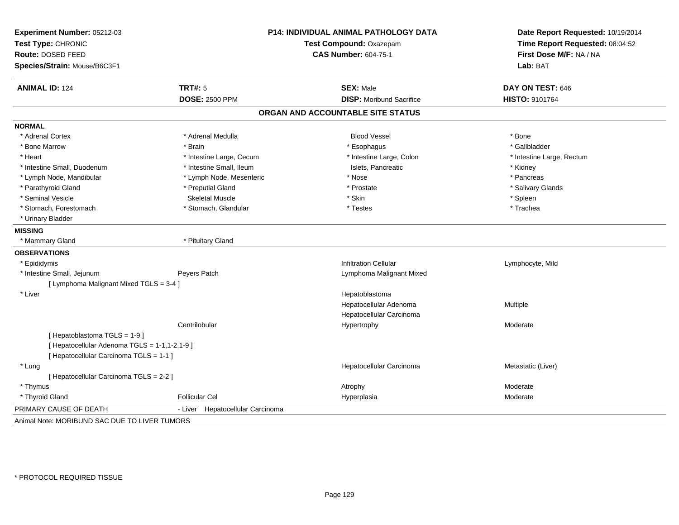| Experiment Number: 05212-03                   | P14: INDIVIDUAL ANIMAL PATHOLOGY DATA |                                   | Date Report Requested: 10/19/2014                          |
|-----------------------------------------------|---------------------------------------|-----------------------------------|------------------------------------------------------------|
| Test Type: CHRONIC                            |                                       | Test Compound: Oxazepam           | Time Report Requested: 08:04:52<br>First Dose M/F: NA / NA |
| Route: DOSED FEED                             |                                       | <b>CAS Number: 604-75-1</b>       |                                                            |
| Species/Strain: Mouse/B6C3F1                  |                                       |                                   | Lab: BAT                                                   |
| <b>ANIMAL ID: 124</b>                         | <b>TRT#: 5</b>                        | <b>SEX: Male</b>                  | DAY ON TEST: 646                                           |
|                                               | <b>DOSE: 2500 PPM</b>                 | <b>DISP:</b> Moribund Sacrifice   | HISTO: 9101764                                             |
|                                               |                                       | ORGAN AND ACCOUNTABLE SITE STATUS |                                                            |
| <b>NORMAL</b>                                 |                                       |                                   |                                                            |
| * Adrenal Cortex                              | * Adrenal Medulla                     | <b>Blood Vessel</b>               | * Bone                                                     |
| * Bone Marrow                                 | * Brain                               | * Esophagus                       | * Gallbladder                                              |
| * Heart                                       | * Intestine Large, Cecum              | * Intestine Large, Colon          | * Intestine Large, Rectum                                  |
| * Intestine Small, Duodenum                   | * Intestine Small, Ileum              | Islets, Pancreatic                | * Kidney                                                   |
| * Lymph Node, Mandibular                      | * Lymph Node, Mesenteric              | * Nose                            | * Pancreas                                                 |
| * Parathyroid Gland                           | * Preputial Gland                     | * Prostate                        | * Salivary Glands                                          |
| * Seminal Vesicle                             | <b>Skeletal Muscle</b>                | * Skin                            | * Spleen                                                   |
| * Stomach, Forestomach                        | * Stomach, Glandular                  | * Testes                          | * Trachea                                                  |
| * Urinary Bladder                             |                                       |                                   |                                                            |
| <b>MISSING</b>                                |                                       |                                   |                                                            |
| * Mammary Gland                               | * Pituitary Gland                     |                                   |                                                            |
| <b>OBSERVATIONS</b>                           |                                       |                                   |                                                            |
| * Epididymis                                  |                                       | <b>Infiltration Cellular</b>      | Lymphocyte, Mild                                           |
| * Intestine Small, Jejunum                    | Peyers Patch                          | Lymphoma Malignant Mixed          |                                                            |
| [ Lymphoma Malignant Mixed TGLS = 3-4 ]       |                                       |                                   |                                                            |
| * Liver                                       |                                       | Hepatoblastoma                    |                                                            |
|                                               |                                       | Hepatocellular Adenoma            | Multiple                                                   |
|                                               |                                       | Hepatocellular Carcinoma          |                                                            |
|                                               | Centrilobular                         | Hypertrophy                       | Moderate                                                   |
| [Hepatoblastoma TGLS = 1-9]                   |                                       |                                   |                                                            |
| [ Hepatocellular Adenoma TGLS = 1-1,1-2,1-9 ] |                                       |                                   |                                                            |
| [ Hepatocellular Carcinoma TGLS = 1-1 ]       |                                       |                                   |                                                            |
| * Lung                                        |                                       | Hepatocellular Carcinoma          | Metastatic (Liver)                                         |
| [ Hepatocellular Carcinoma TGLS = 2-2 ]       |                                       |                                   |                                                            |
| * Thymus                                      |                                       | Atrophy                           | Moderate                                                   |
| * Thyroid Gland                               | <b>Follicular Cel</b>                 | Hyperplasia                       | Moderate                                                   |
| PRIMARY CAUSE OF DEATH                        | Hepatocellular Carcinoma<br>- Liver   |                                   |                                                            |
| Animal Note: MORIBUND SAC DUE TO LIVER TUMORS |                                       |                                   |                                                            |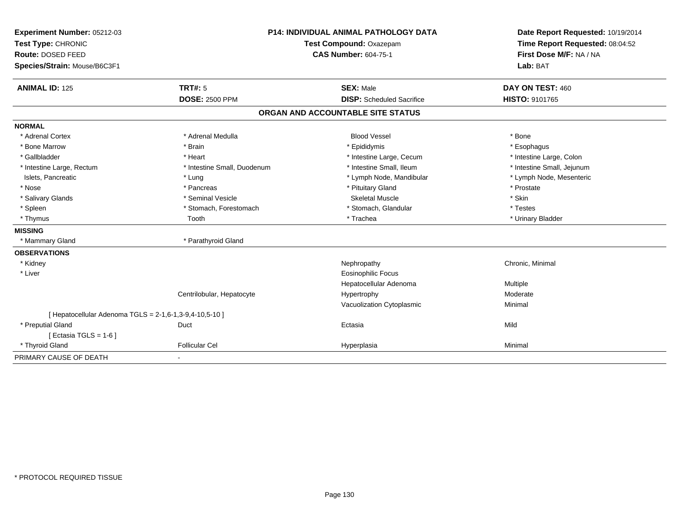| Experiment Number: 05212-03                             |                             | P14: INDIVIDUAL ANIMAL PATHOLOGY DATA | Date Report Requested: 10/19/2014 |
|---------------------------------------------------------|-----------------------------|---------------------------------------|-----------------------------------|
| Test Type: CHRONIC                                      | Test Compound: Oxazepam     |                                       | Time Report Requested: 08:04:52   |
| Route: DOSED FEED                                       |                             | <b>CAS Number: 604-75-1</b>           | First Dose M/F: NA / NA           |
| Species/Strain: Mouse/B6C3F1                            |                             |                                       | Lab: BAT                          |
| <b>ANIMAL ID: 125</b>                                   | TRT#: 5                     | <b>SEX: Male</b>                      | DAY ON TEST: 460                  |
|                                                         | <b>DOSE: 2500 PPM</b>       | <b>DISP:</b> Scheduled Sacrifice      | <b>HISTO: 9101765</b>             |
|                                                         |                             | ORGAN AND ACCOUNTABLE SITE STATUS     |                                   |
| <b>NORMAL</b>                                           |                             |                                       |                                   |
| * Adrenal Cortex                                        | * Adrenal Medulla           | <b>Blood Vessel</b>                   | * Bone                            |
| * Bone Marrow                                           | * Brain                     | * Epididymis                          | * Esophagus                       |
| * Gallbladder                                           | * Heart                     | * Intestine Large, Cecum              | * Intestine Large, Colon          |
| * Intestine Large, Rectum                               | * Intestine Small, Duodenum | * Intestine Small, Ileum              | * Intestine Small, Jejunum        |
| Islets, Pancreatic                                      | * Lung                      | * Lymph Node, Mandibular              | * Lymph Node, Mesenteric          |
| * Nose                                                  | * Pancreas                  | * Pituitary Gland                     | * Prostate                        |
| * Salivary Glands                                       | * Seminal Vesicle           | <b>Skeletal Muscle</b>                | * Skin                            |
| * Spleen                                                | * Stomach, Forestomach      | * Stomach, Glandular                  | * Testes                          |
| * Thymus                                                | Tooth                       | * Trachea                             | * Urinary Bladder                 |
| <b>MISSING</b>                                          |                             |                                       |                                   |
| * Mammary Gland                                         | * Parathyroid Gland         |                                       |                                   |
| <b>OBSERVATIONS</b>                                     |                             |                                       |                                   |
| * Kidney                                                |                             | Nephropathy                           | Chronic, Minimal                  |
| * Liver                                                 |                             | <b>Eosinophilic Focus</b>             |                                   |
|                                                         |                             | Hepatocellular Adenoma                | Multiple                          |
|                                                         | Centrilobular, Hepatocyte   | Hypertrophy                           | Moderate                          |
|                                                         |                             | Vacuolization Cytoplasmic             | Minimal                           |
| [ Hepatocellular Adenoma TGLS = 2-1,6-1,3-9,4-10,5-10 ] |                             |                                       |                                   |
| * Preputial Gland                                       | Duct                        | Ectasia                               | Mild                              |
| [Ectasia TGLS = $1-6$ ]                                 |                             |                                       |                                   |
| * Thyroid Gland                                         | <b>Follicular Cel</b>       | Hyperplasia                           | Minimal                           |
| PRIMARY CAUSE OF DEATH                                  |                             |                                       |                                   |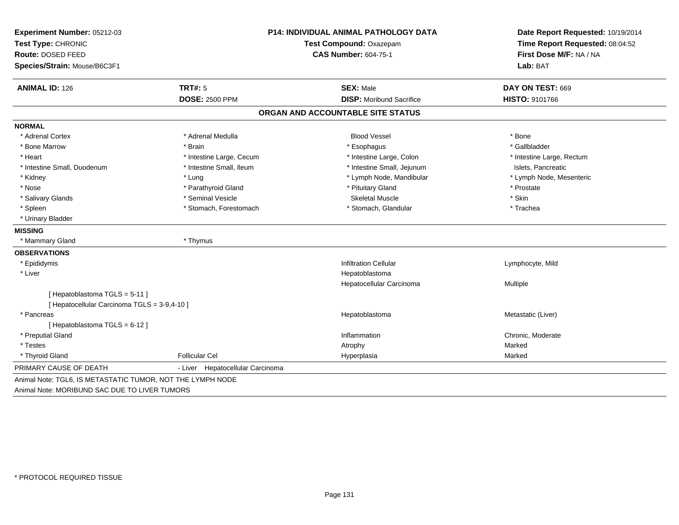| Experiment Number: 05212-03                  |                                  | P14: INDIVIDUAL ANIMAL PATHOLOGY DATA | Date Report Requested: 10/19/2014                          |  |
|----------------------------------------------|----------------------------------|---------------------------------------|------------------------------------------------------------|--|
| Test Type: CHRONIC                           |                                  | Test Compound: Oxazepam               | Time Report Requested: 08:04:52<br>First Dose M/F: NA / NA |  |
| Route: DOSED FEED                            |                                  | <b>CAS Number: 604-75-1</b>           |                                                            |  |
| Species/Strain: Mouse/B6C3F1                 |                                  |                                       | Lab: BAT                                                   |  |
| <b>ANIMAL ID: 126</b>                        | <b>TRT#: 5</b>                   | <b>SEX: Male</b>                      | DAY ON TEST: 669                                           |  |
|                                              | <b>DOSE: 2500 PPM</b>            | <b>DISP:</b> Moribund Sacrifice       | HISTO: 9101766                                             |  |
|                                              |                                  | ORGAN AND ACCOUNTABLE SITE STATUS     |                                                            |  |
| <b>NORMAL</b>                                |                                  |                                       |                                                            |  |
| * Adrenal Cortex                             | * Adrenal Medulla                | <b>Blood Vessel</b>                   | * Bone                                                     |  |
| * Bone Marrow                                | * Brain                          | * Esophagus                           | * Gallbladder                                              |  |
| * Heart                                      | * Intestine Large, Cecum         | * Intestine Large, Colon              | * Intestine Large, Rectum                                  |  |
| * Intestine Small, Duodenum                  | * Intestine Small, Ileum         | * Intestine Small, Jejunum            | Islets, Pancreatic                                         |  |
| * Kidney                                     | * Lung                           | * Lymph Node, Mandibular              | * Lymph Node, Mesenteric                                   |  |
| * Nose                                       | * Parathyroid Gland              | * Pituitary Gland                     | * Prostate                                                 |  |
| * Salivary Glands                            | * Seminal Vesicle                | <b>Skeletal Muscle</b>                | * Skin                                                     |  |
| * Spleen                                     | * Stomach, Forestomach           | * Stomach, Glandular                  | * Trachea                                                  |  |
| * Urinary Bladder                            |                                  |                                       |                                                            |  |
| <b>MISSING</b>                               |                                  |                                       |                                                            |  |
| * Mammary Gland                              | * Thymus                         |                                       |                                                            |  |
| <b>OBSERVATIONS</b>                          |                                  |                                       |                                                            |  |
| * Epididymis                                 |                                  | <b>Infiltration Cellular</b>          | Lymphocyte, Mild                                           |  |
| * Liver                                      |                                  | Hepatoblastoma                        |                                                            |  |
|                                              |                                  | Hepatocellular Carcinoma              | Multiple                                                   |  |
| [Hepatoblastoma TGLS = 5-11]                 |                                  |                                       |                                                            |  |
| [ Hepatocellular Carcinoma TGLS = 3-9,4-10 ] |                                  |                                       |                                                            |  |
| * Pancreas                                   |                                  | Hepatoblastoma                        | Metastatic (Liver)                                         |  |
| [Hepatoblastoma TGLS = 6-12]                 |                                  |                                       |                                                            |  |
| * Preputial Gland                            |                                  | Inflammation                          | Chronic, Moderate                                          |  |
| * Testes                                     |                                  | Atrophy                               | Marked                                                     |  |
| * Thyroid Gland                              | <b>Follicular Cel</b>            | Hyperplasia                           | Marked                                                     |  |
| PRIMARY CAUSE OF DEATH                       | - Liver Hepatocellular Carcinoma |                                       |                                                            |  |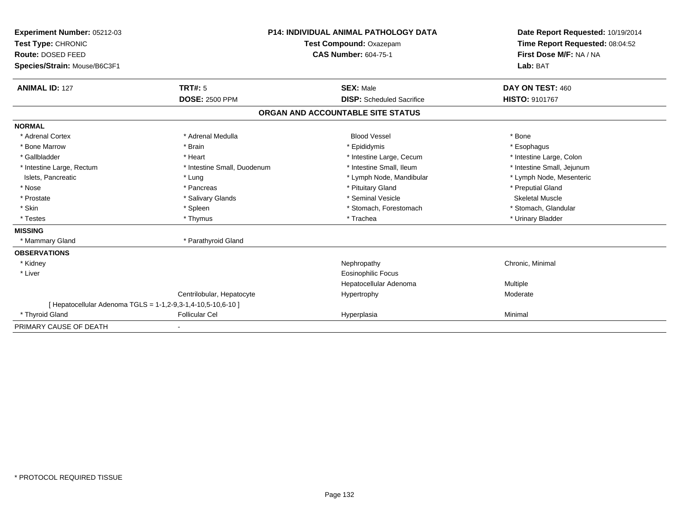| Experiment Number: 05212-03                                  | <b>P14: INDIVIDUAL ANIMAL PATHOLOGY DATA</b><br>Test Compound: Oxazepam |                                   | Date Report Requested: 10/19/2014 |
|--------------------------------------------------------------|-------------------------------------------------------------------------|-----------------------------------|-----------------------------------|
| Test Type: CHRONIC                                           |                                                                         |                                   | Time Report Requested: 08:04:52   |
| Route: DOSED FEED                                            |                                                                         | <b>CAS Number: 604-75-1</b>       |                                   |
| Species/Strain: Mouse/B6C3F1                                 |                                                                         |                                   | Lab: BAT                          |
| <b>ANIMAL ID: 127</b>                                        | <b>TRT#: 5</b>                                                          | <b>SEX: Male</b>                  | DAY ON TEST: 460                  |
|                                                              | <b>DOSE: 2500 PPM</b>                                                   | <b>DISP:</b> Scheduled Sacrifice  | <b>HISTO: 9101767</b>             |
|                                                              |                                                                         | ORGAN AND ACCOUNTABLE SITE STATUS |                                   |
| <b>NORMAL</b>                                                |                                                                         |                                   |                                   |
| * Adrenal Cortex                                             | * Adrenal Medulla                                                       | <b>Blood Vessel</b>               | * Bone                            |
| * Bone Marrow                                                | * Brain                                                                 | * Epididymis                      | * Esophagus                       |
| * Gallbladder                                                | * Heart                                                                 | * Intestine Large, Cecum          | * Intestine Large, Colon          |
| * Intestine Large, Rectum                                    | * Intestine Small, Duodenum                                             | * Intestine Small. Ileum          | * Intestine Small, Jejunum        |
| Islets, Pancreatic                                           | * Lung                                                                  | * Lymph Node, Mandibular          | * Lymph Node, Mesenteric          |
| * Nose                                                       | * Pancreas                                                              | * Pituitary Gland                 | * Preputial Gland                 |
| * Prostate                                                   | * Salivary Glands                                                       | * Seminal Vesicle                 | <b>Skeletal Muscle</b>            |
| * Skin                                                       | * Spleen                                                                | * Stomach, Forestomach            | * Stomach, Glandular              |
| * Testes                                                     | * Thymus                                                                | * Trachea                         | * Urinary Bladder                 |
| <b>MISSING</b>                                               |                                                                         |                                   |                                   |
| * Mammary Gland                                              | * Parathyroid Gland                                                     |                                   |                                   |
| <b>OBSERVATIONS</b>                                          |                                                                         |                                   |                                   |
| * Kidney                                                     |                                                                         | Nephropathy                       | Chronic, Minimal                  |
| * Liver                                                      |                                                                         | Eosinophilic Focus                |                                   |
|                                                              |                                                                         | Hepatocellular Adenoma            | Multiple                          |
|                                                              | Centrilobular, Hepatocyte                                               | Hypertrophy                       | Moderate                          |
| [ Hepatocellular Adenoma TGLS = 1-1,2-9,3-1,4-10,5-10,6-10 ] |                                                                         |                                   |                                   |
| * Thyroid Gland                                              | <b>Follicular Cel</b>                                                   | Hyperplasia                       | Minimal                           |
| PRIMARY CAUSE OF DEATH                                       | $\blacksquare$                                                          |                                   |                                   |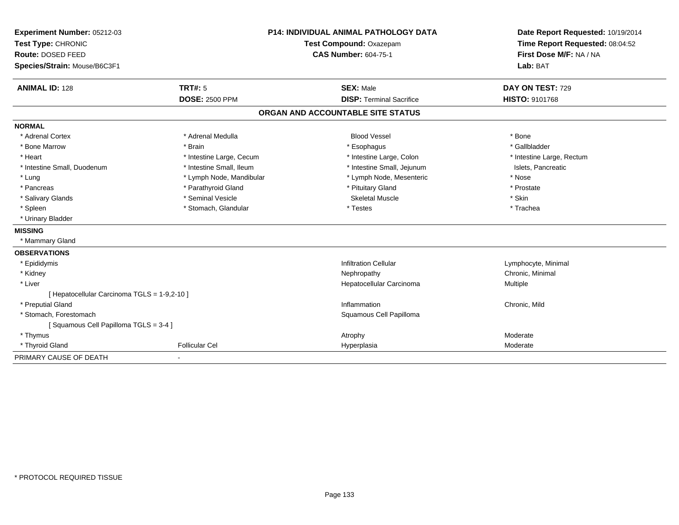| Experiment Number: 05212-03                  | <b>P14: INDIVIDUAL ANIMAL PATHOLOGY DATA</b> |                                   | Date Report Requested: 10/19/2014                          |
|----------------------------------------------|----------------------------------------------|-----------------------------------|------------------------------------------------------------|
| Test Type: CHRONIC                           |                                              | Test Compound: Oxazepam           | Time Report Requested: 08:04:52<br>First Dose M/F: NA / NA |
| Route: DOSED FEED                            |                                              | <b>CAS Number: 604-75-1</b>       |                                                            |
| Species/Strain: Mouse/B6C3F1                 |                                              |                                   | Lab: BAT                                                   |
| <b>ANIMAL ID: 128</b>                        | TRT#: 5                                      | <b>SEX: Male</b>                  | DAY ON TEST: 729                                           |
|                                              | <b>DOSE: 2500 PPM</b>                        | <b>DISP: Terminal Sacrifice</b>   | <b>HISTO: 9101768</b>                                      |
|                                              |                                              | ORGAN AND ACCOUNTABLE SITE STATUS |                                                            |
| <b>NORMAL</b>                                |                                              |                                   |                                                            |
| * Adrenal Cortex                             | * Adrenal Medulla                            | <b>Blood Vessel</b>               | * Bone                                                     |
| * Bone Marrow                                | * Brain                                      | * Esophagus                       | * Gallbladder                                              |
| * Heart                                      | * Intestine Large, Cecum                     | * Intestine Large, Colon          | * Intestine Large, Rectum                                  |
| * Intestine Small, Duodenum                  | * Intestine Small, Ileum                     | * Intestine Small, Jejunum        | Islets, Pancreatic                                         |
| * Lung                                       | * Lymph Node, Mandibular                     | * Lymph Node, Mesenteric          | * Nose                                                     |
| * Pancreas                                   | * Parathyroid Gland                          | * Pituitary Gland                 | * Prostate                                                 |
| * Salivary Glands                            | * Seminal Vesicle                            | <b>Skeletal Muscle</b>            | * Skin                                                     |
| * Spleen                                     | * Stomach, Glandular                         | * Testes                          | * Trachea                                                  |
| * Urinary Bladder                            |                                              |                                   |                                                            |
| <b>MISSING</b>                               |                                              |                                   |                                                            |
| * Mammary Gland                              |                                              |                                   |                                                            |
| <b>OBSERVATIONS</b>                          |                                              |                                   |                                                            |
| * Epididymis                                 |                                              | <b>Infiltration Cellular</b>      | Lymphocyte, Minimal                                        |
| * Kidney                                     |                                              | Nephropathy                       | Chronic, Minimal                                           |
| * Liver                                      |                                              | Hepatocellular Carcinoma          | Multiple                                                   |
| [ Hepatocellular Carcinoma TGLS = 1-9,2-10 ] |                                              |                                   |                                                            |
| * Preputial Gland                            |                                              | Inflammation                      | Chronic, Mild                                              |
| * Stomach, Forestomach                       |                                              | Squamous Cell Papilloma           |                                                            |
| [Squamous Cell Papilloma TGLS = 3-4]         |                                              |                                   |                                                            |
| * Thymus                                     |                                              | Atrophy                           | Moderate                                                   |
| * Thyroid Gland                              | <b>Follicular Cel</b>                        | Hyperplasia                       | Moderate                                                   |
| PRIMARY CAUSE OF DEATH                       |                                              |                                   |                                                            |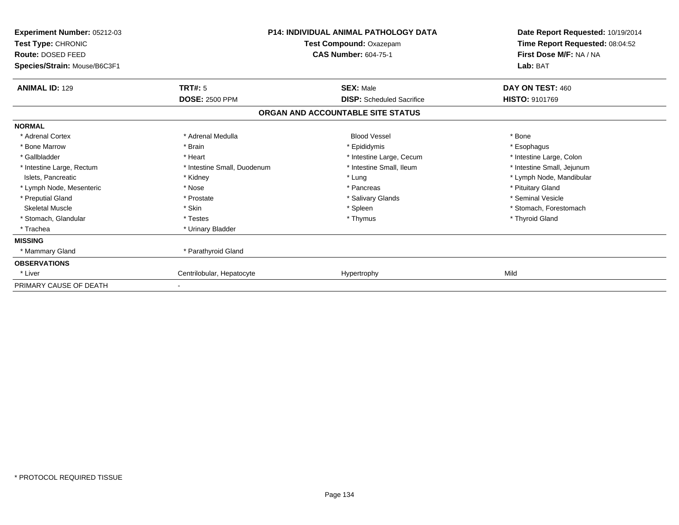| <b>Experiment Number: 05212-03</b><br>Test Type: CHRONIC<br><b>Route: DOSED FEED</b><br>Species/Strain: Mouse/B6C3F1 | <b>P14: INDIVIDUAL ANIMAL PATHOLOGY DATA</b><br>Test Compound: Oxazepam<br><b>CAS Number: 604-75-1</b> |                                   | Date Report Requested: 10/19/2014<br>Time Report Requested: 08:04:52<br>First Dose M/F: NA / NA<br>Lab: BAT |
|----------------------------------------------------------------------------------------------------------------------|--------------------------------------------------------------------------------------------------------|-----------------------------------|-------------------------------------------------------------------------------------------------------------|
| <b>ANIMAL ID: 129</b>                                                                                                | TRT#: 5                                                                                                | <b>SEX: Male</b>                  | DAY ON TEST: 460                                                                                            |
|                                                                                                                      | <b>DOSE: 2500 PPM</b>                                                                                  | <b>DISP:</b> Scheduled Sacrifice  | <b>HISTO: 9101769</b>                                                                                       |
|                                                                                                                      |                                                                                                        | ORGAN AND ACCOUNTABLE SITE STATUS |                                                                                                             |
| <b>NORMAL</b>                                                                                                        |                                                                                                        |                                   |                                                                                                             |
| * Adrenal Cortex                                                                                                     | * Adrenal Medulla                                                                                      | <b>Blood Vessel</b>               | * Bone                                                                                                      |
| * Bone Marrow                                                                                                        | * Brain                                                                                                | * Epididymis                      | * Esophagus                                                                                                 |
| * Gallbladder                                                                                                        | * Heart                                                                                                | * Intestine Large, Cecum          | * Intestine Large, Colon                                                                                    |
| * Intestine Large, Rectum                                                                                            | * Intestine Small, Duodenum                                                                            | * Intestine Small, Ileum          | * Intestine Small, Jejunum                                                                                  |
| Islets, Pancreatic                                                                                                   | * Kidney                                                                                               | * Lung                            | * Lymph Node, Mandibular                                                                                    |
| * Lymph Node, Mesenteric                                                                                             | * Nose                                                                                                 | * Pancreas                        | * Pituitary Gland                                                                                           |
| * Preputial Gland                                                                                                    | * Prostate                                                                                             | * Salivary Glands                 | * Seminal Vesicle                                                                                           |
| <b>Skeletal Muscle</b>                                                                                               | * Skin                                                                                                 | * Spleen                          | * Stomach, Forestomach                                                                                      |
| * Stomach, Glandular                                                                                                 | * Testes                                                                                               | * Thymus                          | * Thyroid Gland                                                                                             |
| * Trachea                                                                                                            | * Urinary Bladder                                                                                      |                                   |                                                                                                             |
| <b>MISSING</b>                                                                                                       |                                                                                                        |                                   |                                                                                                             |
| * Mammary Gland                                                                                                      | * Parathyroid Gland                                                                                    |                                   |                                                                                                             |
| <b>OBSERVATIONS</b>                                                                                                  |                                                                                                        |                                   |                                                                                                             |
| * Liver                                                                                                              | Centrilobular, Hepatocyte                                                                              | Hypertrophy                       | Mild                                                                                                        |
| PRIMARY CAUSE OF DEATH                                                                                               |                                                                                                        |                                   |                                                                                                             |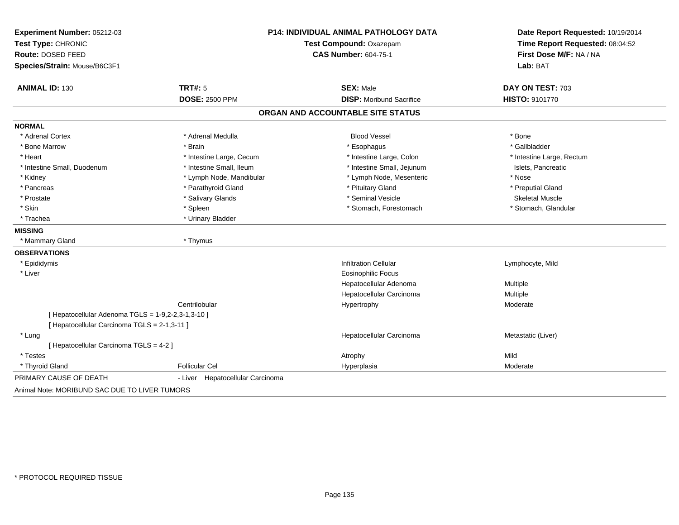| Experiment Number: 05212-03<br>Test Type: CHRONIC<br><b>Route: DOSED FEED</b><br>Species/Strain: Mouse/B6C3F1 |                                  | P14: INDIVIDUAL ANIMAL PATHOLOGY DATA<br>Test Compound: Oxazepam<br><b>CAS Number: 604-75-1</b> | Date Report Requested: 10/19/2014<br>Time Report Requested: 08:04:52<br>First Dose M/F: NA / NA<br>Lab: BAT |
|---------------------------------------------------------------------------------------------------------------|----------------------------------|-------------------------------------------------------------------------------------------------|-------------------------------------------------------------------------------------------------------------|
| <b>ANIMAL ID: 130</b>                                                                                         | <b>TRT#: 5</b>                   | <b>SEX: Male</b>                                                                                | DAY ON TEST: 703                                                                                            |
|                                                                                                               | <b>DOSE: 2500 PPM</b>            | <b>DISP:</b> Moribund Sacrifice                                                                 | HISTO: 9101770                                                                                              |
|                                                                                                               |                                  | ORGAN AND ACCOUNTABLE SITE STATUS                                                               |                                                                                                             |
| <b>NORMAL</b>                                                                                                 |                                  |                                                                                                 |                                                                                                             |
| * Adrenal Cortex                                                                                              | * Adrenal Medulla                | <b>Blood Vessel</b>                                                                             | * Bone                                                                                                      |
| * Bone Marrow                                                                                                 | * Brain                          | * Esophagus                                                                                     | * Gallbladder                                                                                               |
| * Heart                                                                                                       | * Intestine Large, Cecum         | * Intestine Large, Colon                                                                        | * Intestine Large, Rectum                                                                                   |
| * Intestine Small, Duodenum                                                                                   | * Intestine Small, Ileum         | * Intestine Small, Jejunum                                                                      | Islets, Pancreatic                                                                                          |
| * Kidney                                                                                                      | * Lymph Node, Mandibular         | * Lymph Node, Mesenteric                                                                        | * Nose                                                                                                      |
| * Pancreas                                                                                                    | * Parathyroid Gland              | * Pituitary Gland                                                                               | * Preputial Gland                                                                                           |
| * Prostate                                                                                                    | * Salivary Glands                | * Seminal Vesicle                                                                               | <b>Skeletal Muscle</b>                                                                                      |
| * Skin                                                                                                        | * Spleen                         | * Stomach, Forestomach                                                                          | * Stomach, Glandular                                                                                        |
| * Trachea                                                                                                     | * Urinary Bladder                |                                                                                                 |                                                                                                             |
| <b>MISSING</b>                                                                                                |                                  |                                                                                                 |                                                                                                             |
| * Mammary Gland                                                                                               | * Thymus                         |                                                                                                 |                                                                                                             |
| <b>OBSERVATIONS</b>                                                                                           |                                  |                                                                                                 |                                                                                                             |
| * Epididymis                                                                                                  |                                  | <b>Infiltration Cellular</b>                                                                    | Lymphocyte, Mild                                                                                            |
| * Liver                                                                                                       |                                  | <b>Eosinophilic Focus</b>                                                                       |                                                                                                             |
|                                                                                                               |                                  | Hepatocellular Adenoma                                                                          | Multiple                                                                                                    |
|                                                                                                               |                                  | Hepatocellular Carcinoma                                                                        | Multiple                                                                                                    |
|                                                                                                               | Centrilobular                    | Hypertrophy                                                                                     | Moderate                                                                                                    |
| [ Hepatocellular Adenoma TGLS = 1-9,2-2,3-1,3-10 ]                                                            |                                  |                                                                                                 |                                                                                                             |
| [ Hepatocellular Carcinoma TGLS = 2-1,3-11 ]                                                                  |                                  |                                                                                                 |                                                                                                             |
| * Lung                                                                                                        |                                  | Hepatocellular Carcinoma                                                                        | Metastatic (Liver)                                                                                          |
| [ Hepatocellular Carcinoma TGLS = 4-2 ]                                                                       |                                  |                                                                                                 |                                                                                                             |
| * Testes                                                                                                      |                                  | Atrophy                                                                                         | Mild                                                                                                        |
| * Thyroid Gland                                                                                               | <b>Follicular Cel</b>            | Hyperplasia                                                                                     | Moderate                                                                                                    |
| PRIMARY CAUSE OF DEATH                                                                                        | - Liver Hepatocellular Carcinoma |                                                                                                 |                                                                                                             |
| Animal Note: MORIBUND SAC DUE TO LIVER TUMORS                                                                 |                                  |                                                                                                 |                                                                                                             |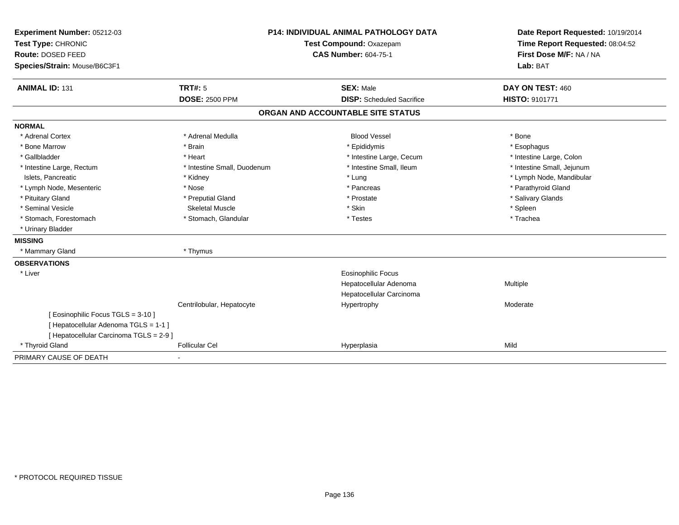| Experiment Number: 05212-03             | <b>P14: INDIVIDUAL ANIMAL PATHOLOGY DATA</b><br>Test Compound: Oxazepam |                                   | Date Report Requested: 10/19/2014 |  |
|-----------------------------------------|-------------------------------------------------------------------------|-----------------------------------|-----------------------------------|--|
| Test Type: CHRONIC                      |                                                                         |                                   | Time Report Requested: 08:04:52   |  |
| Route: DOSED FEED                       |                                                                         | <b>CAS Number: 604-75-1</b>       | First Dose M/F: NA / NA           |  |
| Species/Strain: Mouse/B6C3F1            |                                                                         |                                   | Lab: BAT                          |  |
| <b>ANIMAL ID: 131</b>                   | TRT#: 5                                                                 | <b>SEX: Male</b>                  | DAY ON TEST: 460                  |  |
|                                         | <b>DOSE: 2500 PPM</b>                                                   | <b>DISP:</b> Scheduled Sacrifice  | <b>HISTO: 9101771</b>             |  |
|                                         |                                                                         | ORGAN AND ACCOUNTABLE SITE STATUS |                                   |  |
| <b>NORMAL</b>                           |                                                                         |                                   |                                   |  |
| * Adrenal Cortex                        | * Adrenal Medulla                                                       | <b>Blood Vessel</b>               | * Bone                            |  |
| * Bone Marrow                           | * Brain                                                                 | * Epididymis                      | * Esophagus                       |  |
| * Gallbladder                           | * Heart                                                                 | * Intestine Large, Cecum          | * Intestine Large, Colon          |  |
| * Intestine Large, Rectum               | * Intestine Small, Duodenum                                             | * Intestine Small, Ileum          | * Intestine Small, Jejunum        |  |
| Islets, Pancreatic                      | * Kidney                                                                | * Lung                            | * Lymph Node, Mandibular          |  |
| * Lymph Node, Mesenteric                | * Nose                                                                  | * Pancreas                        | * Parathyroid Gland               |  |
| * Pituitary Gland                       | * Preputial Gland                                                       | * Prostate                        | * Salivary Glands                 |  |
| * Seminal Vesicle                       | <b>Skeletal Muscle</b>                                                  | * Skin                            | * Spleen                          |  |
| * Stomach, Forestomach                  | * Stomach, Glandular                                                    | * Testes                          | * Trachea                         |  |
| * Urinary Bladder                       |                                                                         |                                   |                                   |  |
| <b>MISSING</b>                          |                                                                         |                                   |                                   |  |
| * Mammary Gland                         | * Thymus                                                                |                                   |                                   |  |
| <b>OBSERVATIONS</b>                     |                                                                         |                                   |                                   |  |
| * Liver                                 |                                                                         | <b>Eosinophilic Focus</b>         |                                   |  |
|                                         |                                                                         | Hepatocellular Adenoma            | Multiple                          |  |
|                                         |                                                                         | Hepatocellular Carcinoma          |                                   |  |
|                                         | Centrilobular, Hepatocyte                                               | Hypertrophy                       | Moderate                          |  |
| [ Eosinophilic Focus TGLS = 3-10 ]      |                                                                         |                                   |                                   |  |
| [ Hepatocellular Adenoma TGLS = 1-1 ]   |                                                                         |                                   |                                   |  |
| [ Hepatocellular Carcinoma TGLS = 2-9 ] |                                                                         |                                   |                                   |  |
| * Thyroid Gland                         | <b>Follicular Cel</b>                                                   | Hyperplasia                       | Mild                              |  |
| PRIMARY CAUSE OF DEATH                  |                                                                         |                                   |                                   |  |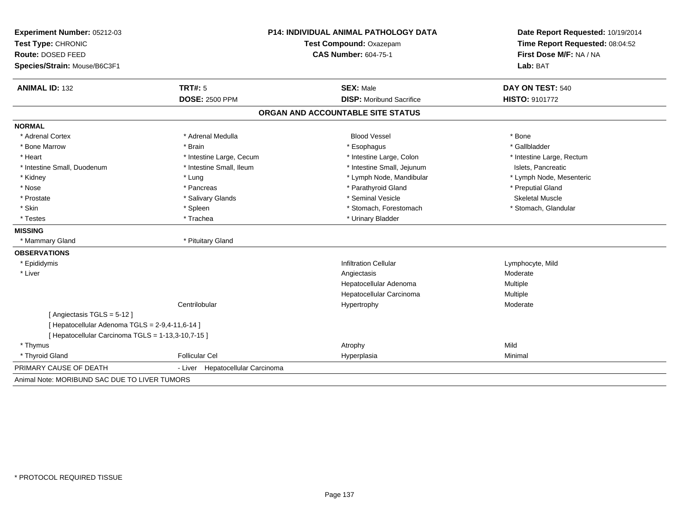| Experiment Number: 05212-03<br>Test Type: CHRONIC<br>Route: DOSED FEED<br>Species/Strain: Mouse/B6C3F1 |                                  | <b>P14: INDIVIDUAL ANIMAL PATHOLOGY DATA</b><br>Test Compound: Oxazepam<br><b>CAS Number: 604-75-1</b> |                           |
|--------------------------------------------------------------------------------------------------------|----------------------------------|--------------------------------------------------------------------------------------------------------|---------------------------|
| <b>ANIMAL ID: 132</b>                                                                                  | <b>TRT#: 5</b>                   | <b>SEX: Male</b>                                                                                       | DAY ON TEST: 540          |
|                                                                                                        | <b>DOSE: 2500 PPM</b>            | <b>DISP: Moribund Sacrifice</b>                                                                        | HISTO: 9101772            |
|                                                                                                        |                                  | ORGAN AND ACCOUNTABLE SITE STATUS                                                                      |                           |
| <b>NORMAL</b>                                                                                          |                                  |                                                                                                        |                           |
| * Adrenal Cortex                                                                                       | * Adrenal Medulla                | <b>Blood Vessel</b>                                                                                    | * Bone                    |
| * Bone Marrow                                                                                          | * Brain                          | * Esophagus                                                                                            | * Gallbladder             |
| * Heart                                                                                                | * Intestine Large, Cecum         | * Intestine Large, Colon                                                                               | * Intestine Large, Rectum |
| * Intestine Small, Duodenum                                                                            | * Intestine Small, Ileum         | * Intestine Small, Jejunum                                                                             | Islets, Pancreatic        |
| * Kidney                                                                                               | * Lung                           | * Lymph Node, Mandibular                                                                               | * Lymph Node, Mesenteric  |
| * Nose                                                                                                 | * Pancreas                       | * Parathyroid Gland                                                                                    | * Preputial Gland         |
| * Prostate                                                                                             | * Salivary Glands                | * Seminal Vesicle                                                                                      | <b>Skeletal Muscle</b>    |
| * Skin                                                                                                 | * Spleen                         | * Stomach, Forestomach                                                                                 | * Stomach, Glandular      |
| * Testes                                                                                               | * Trachea                        | * Urinary Bladder                                                                                      |                           |
| <b>MISSING</b>                                                                                         |                                  |                                                                                                        |                           |
| * Mammary Gland                                                                                        | * Pituitary Gland                |                                                                                                        |                           |
| <b>OBSERVATIONS</b>                                                                                    |                                  |                                                                                                        |                           |
| * Epididymis                                                                                           |                                  | <b>Infiltration Cellular</b>                                                                           | Lymphocyte, Mild          |
| * Liver                                                                                                |                                  | Angiectasis                                                                                            | Moderate                  |
|                                                                                                        |                                  | Hepatocellular Adenoma                                                                                 | Multiple                  |
|                                                                                                        |                                  | Hepatocellular Carcinoma                                                                               | Multiple                  |
|                                                                                                        | Centrilobular                    | Hypertrophy                                                                                            | Moderate                  |
| [Angiectasis TGLS = 5-12]                                                                              |                                  |                                                                                                        |                           |
| [ Hepatocellular Adenoma TGLS = 2-9,4-11,6-14 ]                                                        |                                  |                                                                                                        |                           |
| [ Hepatocellular Carcinoma TGLS = 1-13,3-10,7-15 ]                                                     |                                  |                                                                                                        |                           |
| * Thymus                                                                                               |                                  | Atrophy                                                                                                | Mild                      |
| * Thyroid Gland                                                                                        | <b>Follicular Cel</b>            | Hyperplasia                                                                                            | Minimal                   |
| PRIMARY CAUSE OF DEATH                                                                                 | - Liver Hepatocellular Carcinoma |                                                                                                        |                           |
| Animal Note: MORIBUND SAC DUE TO LIVER TUMORS                                                          |                                  |                                                                                                        |                           |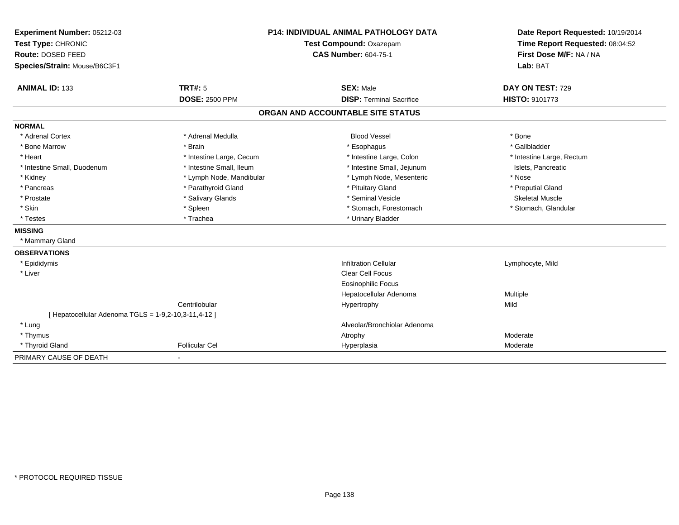| Experiment Number: 05212-03                          | P14: INDIVIDUAL ANIMAL PATHOLOGY DATA |                                   | Date Report Requested: 10/19/2014                          |
|------------------------------------------------------|---------------------------------------|-----------------------------------|------------------------------------------------------------|
| Test Type: CHRONIC                                   |                                       | Test Compound: Oxazepam           | Time Report Requested: 08:04:52<br>First Dose M/F: NA / NA |
| Route: DOSED FEED                                    |                                       | <b>CAS Number: 604-75-1</b>       |                                                            |
| Species/Strain: Mouse/B6C3F1                         |                                       |                                   | Lab: BAT                                                   |
| <b>ANIMAL ID: 133</b>                                | <b>TRT#: 5</b>                        | <b>SEX: Male</b>                  | DAY ON TEST: 729                                           |
|                                                      | <b>DOSE: 2500 PPM</b>                 | <b>DISP: Terminal Sacrifice</b>   | HISTO: 9101773                                             |
|                                                      |                                       | ORGAN AND ACCOUNTABLE SITE STATUS |                                                            |
| <b>NORMAL</b>                                        |                                       |                                   |                                                            |
| * Adrenal Cortex                                     | * Adrenal Medulla                     | <b>Blood Vessel</b>               | * Bone                                                     |
| * Bone Marrow                                        | * Brain                               | * Esophagus                       | * Gallbladder                                              |
| * Heart                                              | * Intestine Large, Cecum              | * Intestine Large, Colon          | * Intestine Large, Rectum                                  |
| * Intestine Small, Duodenum                          | * Intestine Small, Ileum              | * Intestine Small, Jejunum        | Islets, Pancreatic                                         |
| * Kidney                                             | * Lymph Node, Mandibular              | * Lymph Node, Mesenteric          | * Nose                                                     |
| * Pancreas                                           | * Parathyroid Gland                   | * Pituitary Gland                 | * Preputial Gland                                          |
| * Prostate                                           | * Salivary Glands                     | * Seminal Vesicle                 | <b>Skeletal Muscle</b>                                     |
| * Skin                                               | * Spleen                              | * Stomach, Forestomach            | * Stomach, Glandular                                       |
| * Testes                                             | * Trachea                             | * Urinary Bladder                 |                                                            |
| <b>MISSING</b>                                       |                                       |                                   |                                                            |
| * Mammary Gland                                      |                                       |                                   |                                                            |
| <b>OBSERVATIONS</b>                                  |                                       |                                   |                                                            |
| * Epididymis                                         |                                       | <b>Infiltration Cellular</b>      | Lymphocyte, Mild                                           |
| * Liver                                              |                                       | <b>Clear Cell Focus</b>           |                                                            |
|                                                      |                                       | <b>Eosinophilic Focus</b>         |                                                            |
|                                                      |                                       | Hepatocellular Adenoma            | Multiple                                                   |
|                                                      | Centrilobular                         | Hypertrophy                       | Mild                                                       |
| [ Hepatocellular Adenoma TGLS = 1-9,2-10,3-11,4-12 ] |                                       |                                   |                                                            |
| * Lung                                               |                                       | Alveolar/Bronchiolar Adenoma      |                                                            |
| * Thymus                                             |                                       | Atrophy                           | Moderate                                                   |
| * Thyroid Gland                                      | <b>Follicular Cel</b>                 | Hyperplasia                       | Moderate                                                   |
| PRIMARY CAUSE OF DEATH                               |                                       |                                   |                                                            |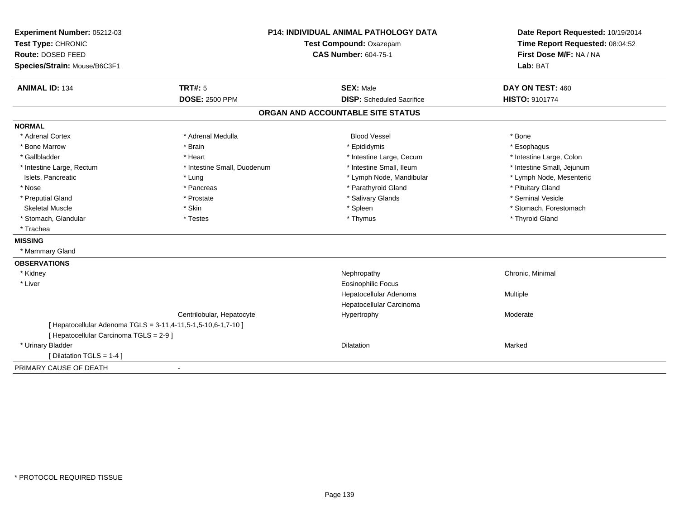| Experiment Number: 05212-03<br>Test Type: CHRONIC<br>Route: DOSED FEED<br>Species/Strain: Mouse/B6C3F1 |                                                               | <b>P14: INDIVIDUAL ANIMAL PATHOLOGY DATA</b><br>Test Compound: Oxazepam<br><b>CAS Number: 604-75-1</b> |                            |
|--------------------------------------------------------------------------------------------------------|---------------------------------------------------------------|--------------------------------------------------------------------------------------------------------|----------------------------|
| <b>ANIMAL ID: 134</b>                                                                                  | TRT#: 5                                                       | <b>SEX: Male</b>                                                                                       | DAY ON TEST: 460           |
|                                                                                                        | <b>DOSE: 2500 PPM</b>                                         | <b>DISP:</b> Scheduled Sacrifice                                                                       | HISTO: 9101774             |
|                                                                                                        |                                                               | ORGAN AND ACCOUNTABLE SITE STATUS                                                                      |                            |
| <b>NORMAL</b>                                                                                          |                                                               |                                                                                                        |                            |
| * Adrenal Cortex                                                                                       | * Adrenal Medulla                                             | <b>Blood Vessel</b>                                                                                    | * Bone                     |
| * Bone Marrow                                                                                          | * Brain                                                       | * Epididymis                                                                                           | * Esophagus                |
| * Gallbladder                                                                                          | * Heart                                                       | * Intestine Large, Cecum                                                                               | * Intestine Large, Colon   |
| * Intestine Large, Rectum                                                                              | * Intestine Small, Duodenum                                   | * Intestine Small, Ileum                                                                               | * Intestine Small, Jejunum |
| Islets, Pancreatic                                                                                     | * Lung                                                        | * Lymph Node, Mandibular                                                                               | * Lymph Node, Mesenteric   |
| * Nose                                                                                                 | * Pancreas                                                    | * Parathyroid Gland                                                                                    | * Pituitary Gland          |
| * Preputial Gland                                                                                      | * Prostate                                                    | * Salivary Glands                                                                                      | * Seminal Vesicle          |
| <b>Skeletal Muscle</b>                                                                                 | * Skin                                                        | * Spleen                                                                                               | * Stomach, Forestomach     |
| * Stomach, Glandular                                                                                   | * Testes                                                      | * Thymus                                                                                               | * Thyroid Gland            |
| * Trachea                                                                                              |                                                               |                                                                                                        |                            |
| <b>MISSING</b>                                                                                         |                                                               |                                                                                                        |                            |
| * Mammary Gland                                                                                        |                                                               |                                                                                                        |                            |
| <b>OBSERVATIONS</b>                                                                                    |                                                               |                                                                                                        |                            |
| * Kidney                                                                                               |                                                               | Nephropathy                                                                                            | Chronic, Minimal           |
| * Liver                                                                                                |                                                               | Eosinophilic Focus                                                                                     |                            |
|                                                                                                        |                                                               | Hepatocellular Adenoma                                                                                 | Multiple                   |
|                                                                                                        |                                                               | Hepatocellular Carcinoma                                                                               |                            |
|                                                                                                        | Centrilobular, Hepatocyte                                     | Hypertrophy                                                                                            | Moderate                   |
| [ Hepatocellular Carcinoma TGLS = 2-9 ]                                                                | [ Hepatocellular Adenoma TGLS = 3-11,4-11,5-1,5-10,6-1,7-10 ] |                                                                                                        |                            |
| * Urinary Bladder                                                                                      |                                                               | Dilatation                                                                                             | Marked                     |
| [ Dilatation TGLS = 1-4 ]                                                                              |                                                               |                                                                                                        |                            |
| PRIMARY CAUSE OF DEATH                                                                                 |                                                               |                                                                                                        |                            |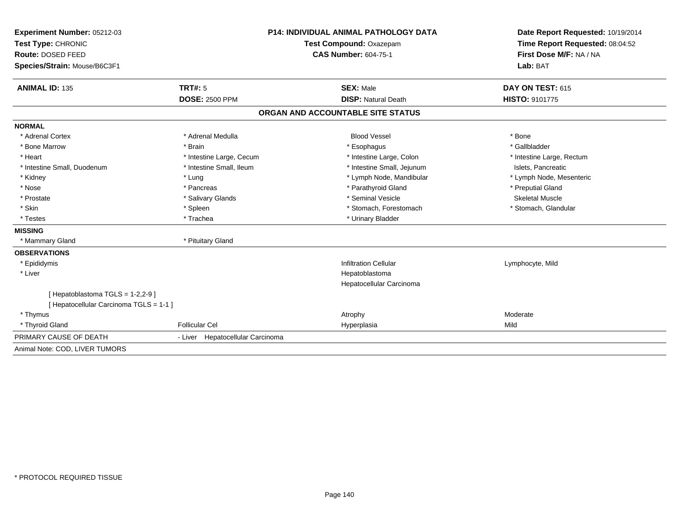| Experiment Number: 05212-03                                                | <b>P14: INDIVIDUAL ANIMAL PATHOLOGY DATA</b><br>Test Compound: Oxazepam |                                   | Date Report Requested: 10/19/2014 |  |
|----------------------------------------------------------------------------|-------------------------------------------------------------------------|-----------------------------------|-----------------------------------|--|
| Test Type: CHRONIC                                                         |                                                                         |                                   | Time Report Requested: 08:04:52   |  |
| Route: DOSED FEED                                                          |                                                                         | <b>CAS Number: 604-75-1</b>       | First Dose M/F: NA / NA           |  |
| Species/Strain: Mouse/B6C3F1                                               |                                                                         |                                   | Lab: BAT                          |  |
| <b>ANIMAL ID: 135</b>                                                      | <b>TRT#: 5</b>                                                          | <b>SEX: Male</b>                  | DAY ON TEST: 615                  |  |
|                                                                            | <b>DOSE: 2500 PPM</b>                                                   | <b>DISP: Natural Death</b>        | HISTO: 9101775                    |  |
|                                                                            |                                                                         | ORGAN AND ACCOUNTABLE SITE STATUS |                                   |  |
| <b>NORMAL</b>                                                              |                                                                         |                                   |                                   |  |
| * Adrenal Cortex                                                           | * Adrenal Medulla                                                       | <b>Blood Vessel</b>               | * Bone                            |  |
| * Bone Marrow                                                              | * Brain                                                                 | * Esophagus                       | * Gallbladder                     |  |
| * Heart                                                                    | * Intestine Large, Cecum                                                | * Intestine Large, Colon          | * Intestine Large, Rectum         |  |
| * Intestine Small, Duodenum                                                | * Intestine Small. Ileum                                                | * Intestine Small, Jejunum        | Islets, Pancreatic                |  |
| * Kidney                                                                   | * Lung                                                                  | * Lymph Node, Mandibular          | * Lymph Node, Mesenteric          |  |
| * Nose                                                                     | * Pancreas                                                              | * Parathyroid Gland               | * Preputial Gland                 |  |
| * Prostate                                                                 | * Salivary Glands                                                       | * Seminal Vesicle                 | <b>Skeletal Muscle</b>            |  |
| * Skin                                                                     | * Spleen                                                                | * Stomach, Forestomach            | * Stomach, Glandular              |  |
| * Testes                                                                   | * Trachea                                                               | * Urinary Bladder                 |                                   |  |
| <b>MISSING</b>                                                             |                                                                         |                                   |                                   |  |
| * Mammary Gland                                                            | * Pituitary Gland                                                       |                                   |                                   |  |
| <b>OBSERVATIONS</b>                                                        |                                                                         |                                   |                                   |  |
| * Epididymis                                                               |                                                                         | <b>Infiltration Cellular</b>      | Lymphocyte, Mild                  |  |
| * Liver                                                                    |                                                                         | Hepatoblastoma                    |                                   |  |
|                                                                            |                                                                         | Hepatocellular Carcinoma          |                                   |  |
| [Hepatoblastoma TGLS = 1-2,2-9]<br>[ Hepatocellular Carcinoma TGLS = 1-1 ] |                                                                         |                                   |                                   |  |
| * Thymus                                                                   |                                                                         | Atrophy                           | Moderate                          |  |
| * Thyroid Gland                                                            | <b>Follicular Cel</b>                                                   | Hyperplasia                       | Mild                              |  |
| PRIMARY CAUSE OF DEATH                                                     | - Liver Hepatocellular Carcinoma                                        |                                   |                                   |  |
| Animal Note: COD, LIVER TUMORS                                             |                                                                         |                                   |                                   |  |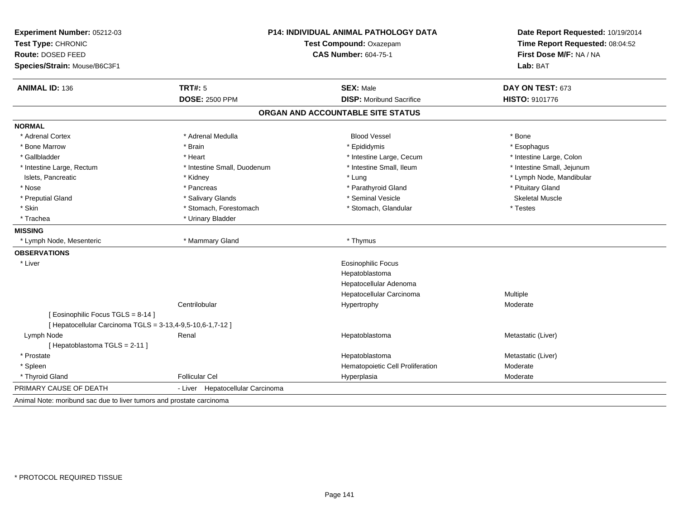| Experiment Number: 05212-03<br>Test Type: CHRONIC<br><b>Route: DOSED FEED</b><br>Species/Strain: Mouse/B6C3F1 | P14: INDIVIDUAL ANIMAL PATHOLOGY DATA<br>Test Compound: Oxazepam<br><b>CAS Number: 604-75-1</b> |                                   | Date Report Requested: 10/19/2014<br>Time Report Requested: 08:04:52<br>First Dose M/F: NA / NA<br>Lab: BAT |
|---------------------------------------------------------------------------------------------------------------|-------------------------------------------------------------------------------------------------|-----------------------------------|-------------------------------------------------------------------------------------------------------------|
| <b>ANIMAL ID: 136</b>                                                                                         | TRT#: 5                                                                                         | <b>SEX: Male</b>                  | DAY ON TEST: 673                                                                                            |
|                                                                                                               | <b>DOSE: 2500 PPM</b>                                                                           | <b>DISP:</b> Moribund Sacrifice   | HISTO: 9101776                                                                                              |
|                                                                                                               |                                                                                                 | ORGAN AND ACCOUNTABLE SITE STATUS |                                                                                                             |
| <b>NORMAL</b>                                                                                                 |                                                                                                 |                                   |                                                                                                             |
| * Adrenal Cortex                                                                                              | * Adrenal Medulla                                                                               | <b>Blood Vessel</b>               | * Bone                                                                                                      |
| * Bone Marrow                                                                                                 | * Brain                                                                                         | * Epididymis                      | * Esophagus                                                                                                 |
| * Gallbladder                                                                                                 | * Heart                                                                                         | * Intestine Large, Cecum          | * Intestine Large, Colon                                                                                    |
| * Intestine Large, Rectum                                                                                     | * Intestine Small, Duodenum                                                                     | * Intestine Small, Ileum          | * Intestine Small, Jejunum                                                                                  |
| Islets, Pancreatic                                                                                            | * Kidney                                                                                        | * Lung                            | * Lymph Node, Mandibular                                                                                    |
| * Nose                                                                                                        | * Pancreas                                                                                      | * Parathyroid Gland               | * Pituitary Gland                                                                                           |
| * Preputial Gland                                                                                             | * Salivary Glands                                                                               | * Seminal Vesicle                 | <b>Skeletal Muscle</b>                                                                                      |
| * Skin                                                                                                        | * Stomach, Forestomach                                                                          | * Stomach, Glandular              | * Testes                                                                                                    |
| * Trachea                                                                                                     | * Urinary Bladder                                                                               |                                   |                                                                                                             |
| <b>MISSING</b>                                                                                                |                                                                                                 |                                   |                                                                                                             |
| * Lymph Node, Mesenteric                                                                                      | * Mammary Gland                                                                                 | * Thymus                          |                                                                                                             |
| <b>OBSERVATIONS</b>                                                                                           |                                                                                                 |                                   |                                                                                                             |
| * Liver                                                                                                       |                                                                                                 | Eosinophilic Focus                |                                                                                                             |
|                                                                                                               |                                                                                                 | Hepatoblastoma                    |                                                                                                             |
|                                                                                                               |                                                                                                 | Hepatocellular Adenoma            |                                                                                                             |
|                                                                                                               |                                                                                                 | Hepatocellular Carcinoma          | Multiple                                                                                                    |
|                                                                                                               | Centrilobular                                                                                   | Hypertrophy                       | Moderate                                                                                                    |
| [Eosinophilic Focus TGLS = 8-14]                                                                              |                                                                                                 |                                   |                                                                                                             |
| [ Hepatocellular Carcinoma TGLS = 3-13,4-9,5-10,6-1,7-12 ]                                                    |                                                                                                 |                                   |                                                                                                             |
| Lymph Node                                                                                                    | Renal                                                                                           | Hepatoblastoma                    | Metastatic (Liver)                                                                                          |
| [Hepatoblastoma TGLS = 2-11]                                                                                  |                                                                                                 |                                   |                                                                                                             |
| * Prostate                                                                                                    |                                                                                                 | Hepatoblastoma                    | Metastatic (Liver)                                                                                          |
| * Spleen                                                                                                      |                                                                                                 | Hematopoietic Cell Proliferation  | Moderate                                                                                                    |
| * Thyroid Gland                                                                                               | <b>Follicular Cel</b>                                                                           | Hyperplasia                       | Moderate                                                                                                    |
| PRIMARY CAUSE OF DEATH                                                                                        | - Liver Hepatocellular Carcinoma                                                                |                                   |                                                                                                             |
| Animal Note: moribund sac due to liver tumors and prostate carcinoma                                          |                                                                                                 |                                   |                                                                                                             |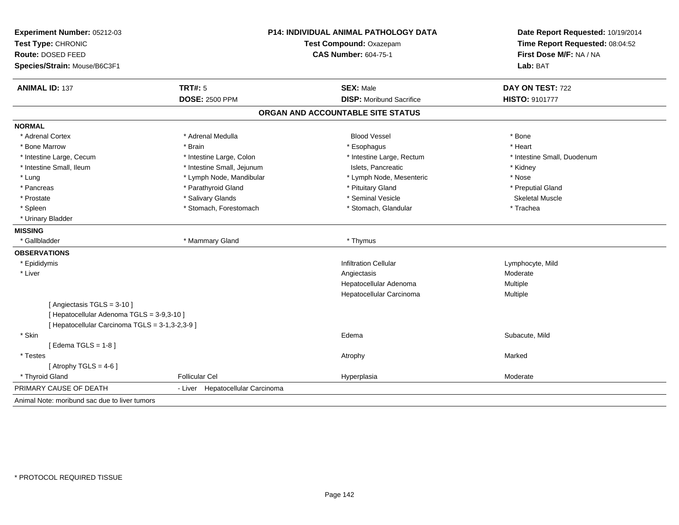| Experiment Number: 05212-03<br>Test Type: CHRONIC<br>Route: DOSED FEED<br>Species/Strain: Mouse/B6C3F1 |                                  | P14: INDIVIDUAL ANIMAL PATHOLOGY DATA<br>Test Compound: Oxazepam<br><b>CAS Number: 604-75-1</b> | Date Report Requested: 10/19/2014<br>Time Report Requested: 08:04:52<br>First Dose M/F: NA / NA<br>Lab: BAT |
|--------------------------------------------------------------------------------------------------------|----------------------------------|-------------------------------------------------------------------------------------------------|-------------------------------------------------------------------------------------------------------------|
| <b>ANIMAL ID: 137</b>                                                                                  | <b>TRT#: 5</b>                   | <b>SEX: Male</b>                                                                                | DAY ON TEST: 722                                                                                            |
|                                                                                                        | <b>DOSE: 2500 PPM</b>            | <b>DISP:</b> Moribund Sacrifice                                                                 | <b>HISTO: 9101777</b>                                                                                       |
|                                                                                                        |                                  | ORGAN AND ACCOUNTABLE SITE STATUS                                                               |                                                                                                             |
| <b>NORMAL</b>                                                                                          |                                  |                                                                                                 |                                                                                                             |
| * Adrenal Cortex                                                                                       | * Adrenal Medulla                | <b>Blood Vessel</b>                                                                             | * Bone                                                                                                      |
| * Bone Marrow                                                                                          | * Brain                          | * Esophagus                                                                                     | * Heart                                                                                                     |
| * Intestine Large, Cecum                                                                               | * Intestine Large, Colon         | * Intestine Large, Rectum                                                                       | * Intestine Small, Duodenum                                                                                 |
| * Intestine Small, Ileum                                                                               | * Intestine Small, Jejunum       | Islets, Pancreatic                                                                              | * Kidney                                                                                                    |
| * Lung                                                                                                 | * Lymph Node, Mandibular         | * Lymph Node, Mesenteric                                                                        | * Nose                                                                                                      |
| * Pancreas                                                                                             | * Parathyroid Gland              | * Pituitary Gland                                                                               | * Preputial Gland                                                                                           |
| * Prostate                                                                                             | * Salivary Glands                | * Seminal Vesicle                                                                               | <b>Skeletal Muscle</b>                                                                                      |
| * Spleen                                                                                               | * Stomach, Forestomach           | * Stomach, Glandular                                                                            | * Trachea                                                                                                   |
| * Urinary Bladder                                                                                      |                                  |                                                                                                 |                                                                                                             |
| <b>MISSING</b>                                                                                         |                                  |                                                                                                 |                                                                                                             |
| * Gallbladder                                                                                          | * Mammary Gland                  | * Thymus                                                                                        |                                                                                                             |
| <b>OBSERVATIONS</b>                                                                                    |                                  |                                                                                                 |                                                                                                             |
| * Epididymis                                                                                           |                                  | <b>Infiltration Cellular</b>                                                                    | Lymphocyte, Mild                                                                                            |
| * Liver                                                                                                |                                  | Angiectasis                                                                                     | Moderate                                                                                                    |
|                                                                                                        |                                  | Hepatocellular Adenoma                                                                          | Multiple                                                                                                    |
|                                                                                                        |                                  | Hepatocellular Carcinoma                                                                        | Multiple                                                                                                    |
| [Angiectasis TGLS = 3-10]                                                                              |                                  |                                                                                                 |                                                                                                             |
| [ Hepatocellular Adenoma TGLS = 3-9,3-10 ]                                                             |                                  |                                                                                                 |                                                                                                             |
| [ Hepatocellular Carcinoma TGLS = 3-1,3-2,3-9 ]                                                        |                                  |                                                                                                 |                                                                                                             |
| * Skin                                                                                                 |                                  | Edema                                                                                           | Subacute, Mild                                                                                              |
| [Edema TGLS = $1-8$ ]                                                                                  |                                  |                                                                                                 |                                                                                                             |
| * Testes                                                                                               |                                  | Atrophy                                                                                         | Marked                                                                                                      |
| [Atrophy TGLS = $4-6$ ]                                                                                |                                  |                                                                                                 |                                                                                                             |
| * Thyroid Gland                                                                                        | <b>Follicular Cel</b>            | Hyperplasia                                                                                     | Moderate                                                                                                    |
| PRIMARY CAUSE OF DEATH                                                                                 | - Liver Hepatocellular Carcinoma |                                                                                                 |                                                                                                             |
| Animal Note: moribund sac due to liver tumors                                                          |                                  |                                                                                                 |                                                                                                             |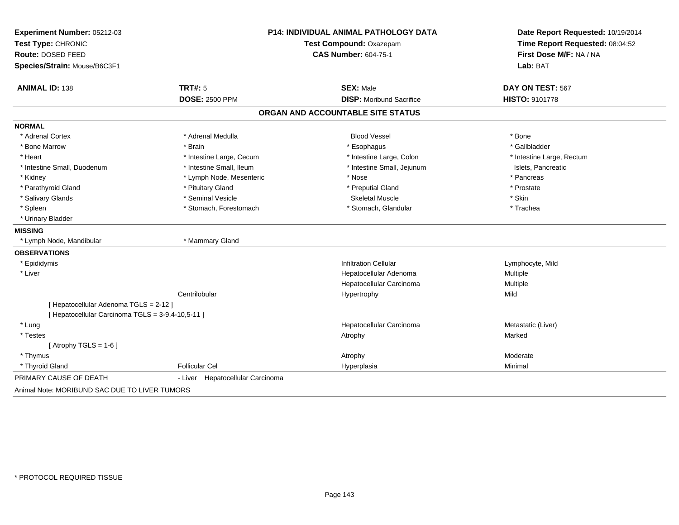| Experiment Number: 05212-03                       | <b>P14: INDIVIDUAL ANIMAL PATHOLOGY DATA</b> |                                   | Date Report Requested: 10/19/2014                          |  |
|---------------------------------------------------|----------------------------------------------|-----------------------------------|------------------------------------------------------------|--|
| Test Type: CHRONIC                                |                                              | Test Compound: Oxazepam           |                                                            |  |
| Route: DOSED FEED                                 |                                              | <b>CAS Number: 604-75-1</b>       | Time Report Requested: 08:04:52<br>First Dose M/F: NA / NA |  |
| Species/Strain: Mouse/B6C3F1                      |                                              |                                   | Lab: BAT                                                   |  |
| <b>ANIMAL ID: 138</b>                             | TRT#: 5                                      | <b>SEX: Male</b>                  | DAY ON TEST: 567                                           |  |
|                                                   | <b>DOSE: 2500 PPM</b>                        | <b>DISP:</b> Moribund Sacrifice   | <b>HISTO: 9101778</b>                                      |  |
|                                                   |                                              | ORGAN AND ACCOUNTABLE SITE STATUS |                                                            |  |
| <b>NORMAL</b>                                     |                                              |                                   |                                                            |  |
| * Adrenal Cortex                                  | * Adrenal Medulla                            | <b>Blood Vessel</b>               | * Bone                                                     |  |
| * Bone Marrow                                     | * Brain                                      | * Esophagus                       | * Gallbladder                                              |  |
| * Heart                                           | * Intestine Large, Cecum                     | * Intestine Large, Colon          | * Intestine Large, Rectum                                  |  |
| * Intestine Small, Duodenum                       | * Intestine Small, Ileum                     | * Intestine Small, Jejunum        | Islets, Pancreatic                                         |  |
| * Kidney                                          | * Lymph Node, Mesenteric                     | * Nose                            | * Pancreas                                                 |  |
| * Parathyroid Gland                               | * Pituitary Gland                            | * Preputial Gland                 | * Prostate                                                 |  |
| * Salivary Glands                                 | * Seminal Vesicle                            | <b>Skeletal Muscle</b>            | * Skin                                                     |  |
| * Spleen                                          | * Stomach, Forestomach                       | * Stomach, Glandular              | * Trachea                                                  |  |
| * Urinary Bladder                                 |                                              |                                   |                                                            |  |
| <b>MISSING</b>                                    |                                              |                                   |                                                            |  |
| * Lymph Node, Mandibular                          | * Mammary Gland                              |                                   |                                                            |  |
| <b>OBSERVATIONS</b>                               |                                              |                                   |                                                            |  |
| * Epididymis                                      |                                              | <b>Infiltration Cellular</b>      | Lymphocyte, Mild                                           |  |
| * Liver                                           |                                              | Hepatocellular Adenoma            | Multiple                                                   |  |
|                                                   |                                              | Hepatocellular Carcinoma          | Multiple                                                   |  |
|                                                   | Centrilobular                                | Hypertrophy                       | Mild                                                       |  |
| [ Hepatocellular Adenoma TGLS = 2-12 ]            |                                              |                                   |                                                            |  |
| [ Hepatocellular Carcinoma TGLS = 3-9,4-10,5-11 ] |                                              |                                   |                                                            |  |
| * Lung                                            |                                              | Hepatocellular Carcinoma          | Metastatic (Liver)                                         |  |
| * Testes                                          |                                              | Atrophy                           | Marked                                                     |  |
| [Atrophy TGLS = $1-6$ ]                           |                                              |                                   |                                                            |  |
| * Thymus                                          |                                              | Atrophy                           | Moderate                                                   |  |
| * Thyroid Gland                                   | <b>Follicular Cel</b>                        | Hyperplasia                       | Minimal                                                    |  |
| PRIMARY CAUSE OF DEATH                            | - Liver<br>Hepatocellular Carcinoma          |                                   |                                                            |  |
| Animal Note: MORIBUND SAC DUE TO LIVER TUMORS     |                                              |                                   |                                                            |  |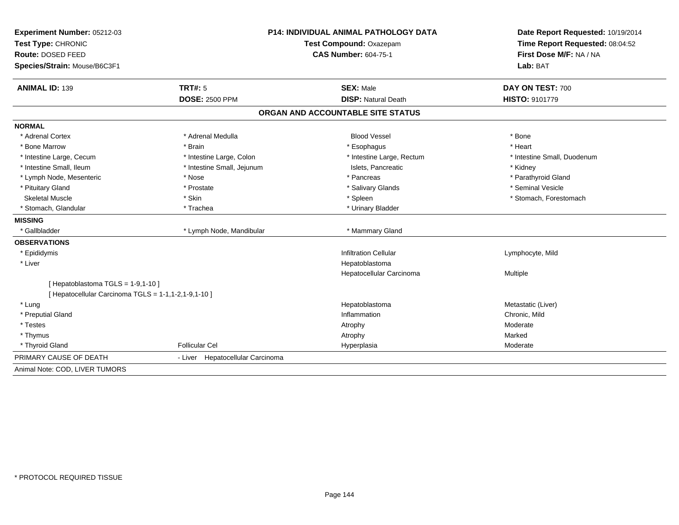| Experiment Number: 05212-03<br>Test Type: CHRONIC    |                                  | <b>P14: INDIVIDUAL ANIMAL PATHOLOGY DATA</b><br>Test Compound: Oxazepam | Date Report Requested: 10/19/2014<br>Time Report Requested: 08:04:52<br>First Dose M/F: NA / NA |
|------------------------------------------------------|----------------------------------|-------------------------------------------------------------------------|-------------------------------------------------------------------------------------------------|
| Route: DOSED FEED                                    |                                  | <b>CAS Number: 604-75-1</b>                                             |                                                                                                 |
| Species/Strain: Mouse/B6C3F1                         |                                  |                                                                         | Lab: BAT                                                                                        |
| <b>ANIMAL ID: 139</b>                                | TRT#: 5                          | <b>SEX: Male</b>                                                        | DAY ON TEST: 700                                                                                |
|                                                      | <b>DOSE: 2500 PPM</b>            | <b>DISP: Natural Death</b>                                              | <b>HISTO: 9101779</b>                                                                           |
|                                                      |                                  | ORGAN AND ACCOUNTABLE SITE STATUS                                       |                                                                                                 |
| <b>NORMAL</b>                                        |                                  |                                                                         |                                                                                                 |
| * Adrenal Cortex                                     | * Adrenal Medulla                | <b>Blood Vessel</b>                                                     | * Bone                                                                                          |
| * Bone Marrow                                        | * Brain                          | * Esophagus                                                             | * Heart                                                                                         |
| * Intestine Large, Cecum                             | * Intestine Large, Colon         | * Intestine Large, Rectum                                               | * Intestine Small, Duodenum                                                                     |
| * Intestine Small, Ileum                             | * Intestine Small, Jejunum       | Islets, Pancreatic                                                      | * Kidney                                                                                        |
| * Lymph Node, Mesenteric                             | * Nose                           | * Pancreas                                                              | * Parathyroid Gland                                                                             |
| * Pituitary Gland                                    | * Prostate                       | * Salivary Glands                                                       | * Seminal Vesicle                                                                               |
| <b>Skeletal Muscle</b>                               | * Skin                           | * Spleen                                                                | * Stomach, Forestomach                                                                          |
| * Stomach, Glandular                                 | * Trachea                        | * Urinary Bladder                                                       |                                                                                                 |
| <b>MISSING</b>                                       |                                  |                                                                         |                                                                                                 |
| * Gallbladder                                        | * Lymph Node, Mandibular         | * Mammary Gland                                                         |                                                                                                 |
| <b>OBSERVATIONS</b>                                  |                                  |                                                                         |                                                                                                 |
| * Epididymis                                         |                                  | <b>Infiltration Cellular</b>                                            | Lymphocyte, Mild                                                                                |
| * Liver                                              |                                  | Hepatoblastoma                                                          |                                                                                                 |
|                                                      |                                  | Hepatocellular Carcinoma                                                | Multiple                                                                                        |
| [ Hepatoblastoma TGLS = $1-9,1-10$ ]                 |                                  |                                                                         |                                                                                                 |
| [ Hepatocellular Carcinoma TGLS = 1-1,1-2,1-9,1-10 ] |                                  |                                                                         |                                                                                                 |
| * Lung                                               |                                  | Hepatoblastoma                                                          | Metastatic (Liver)                                                                              |
| * Preputial Gland                                    |                                  | Inflammation                                                            | Chronic, Mild                                                                                   |
| * Testes                                             |                                  | Atrophy                                                                 | Moderate                                                                                        |
| * Thymus                                             |                                  | Atrophy                                                                 | Marked                                                                                          |
| * Thyroid Gland                                      | <b>Follicular Cel</b>            | Hyperplasia                                                             | Moderate                                                                                        |
| PRIMARY CAUSE OF DEATH                               | - Liver Hepatocellular Carcinoma |                                                                         |                                                                                                 |
| Animal Note: COD, LIVER TUMORS                       |                                  |                                                                         |                                                                                                 |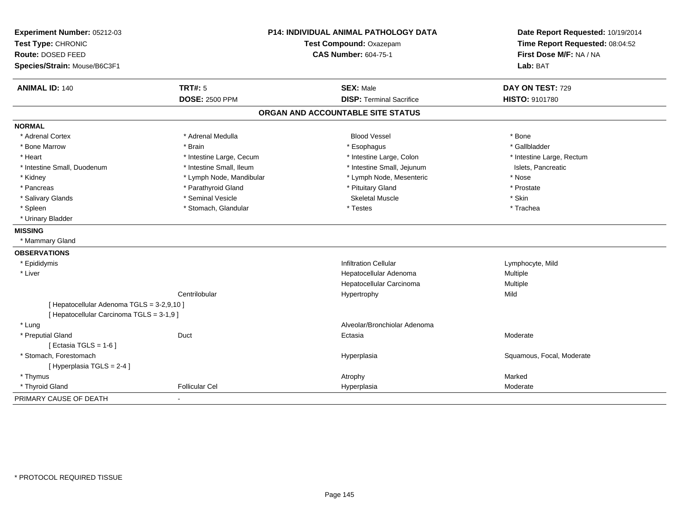| Experiment Number: 05212-03<br>Test Type: CHRONIC                                       |                          | <b>P14: INDIVIDUAL ANIMAL PATHOLOGY DATA</b><br>Test Compound: Oxazepam | Date Report Requested: 10/19/2014<br>Time Report Requested: 08:04:52 |  |
|-----------------------------------------------------------------------------------------|--------------------------|-------------------------------------------------------------------------|----------------------------------------------------------------------|--|
| Route: DOSED FEED                                                                       |                          | <b>CAS Number: 604-75-1</b>                                             | First Dose M/F: NA / NA                                              |  |
| Species/Strain: Mouse/B6C3F1                                                            |                          |                                                                         | Lab: BAT                                                             |  |
| <b>ANIMAL ID: 140</b>                                                                   | <b>TRT#: 5</b>           | <b>SEX: Male</b>                                                        | DAY ON TEST: 729                                                     |  |
|                                                                                         | <b>DOSE: 2500 PPM</b>    | <b>DISP: Terminal Sacrifice</b>                                         | HISTO: 9101780                                                       |  |
|                                                                                         |                          | ORGAN AND ACCOUNTABLE SITE STATUS                                       |                                                                      |  |
| <b>NORMAL</b>                                                                           |                          |                                                                         |                                                                      |  |
| * Adrenal Cortex                                                                        | * Adrenal Medulla        | <b>Blood Vessel</b>                                                     | * Bone                                                               |  |
| * Bone Marrow                                                                           | * Brain                  | * Esophagus                                                             | * Gallbladder                                                        |  |
| * Heart                                                                                 | * Intestine Large, Cecum | * Intestine Large, Colon                                                | * Intestine Large, Rectum                                            |  |
| * Intestine Small, Duodenum                                                             | * Intestine Small, Ileum | * Intestine Small, Jejunum                                              | Islets, Pancreatic                                                   |  |
| * Kidney                                                                                | * Lymph Node, Mandibular | * Lymph Node, Mesenteric                                                | * Nose                                                               |  |
| * Pancreas                                                                              | * Parathyroid Gland      | * Pituitary Gland                                                       | * Prostate                                                           |  |
| * Salivary Glands                                                                       | * Seminal Vesicle        | <b>Skeletal Muscle</b>                                                  | * Skin                                                               |  |
| * Spleen                                                                                | * Stomach, Glandular     | * Testes                                                                | * Trachea                                                            |  |
| * Urinary Bladder                                                                       |                          |                                                                         |                                                                      |  |
| <b>MISSING</b>                                                                          |                          |                                                                         |                                                                      |  |
| * Mammary Gland                                                                         |                          |                                                                         |                                                                      |  |
| <b>OBSERVATIONS</b>                                                                     |                          |                                                                         |                                                                      |  |
| * Epididymis                                                                            |                          | <b>Infiltration Cellular</b>                                            | Lymphocyte, Mild                                                     |  |
| * Liver                                                                                 |                          | Hepatocellular Adenoma                                                  | Multiple                                                             |  |
|                                                                                         |                          | Hepatocellular Carcinoma                                                | Multiple                                                             |  |
|                                                                                         | Centrilobular            | Hypertrophy                                                             | Mild                                                                 |  |
| [ Hepatocellular Adenoma TGLS = 3-2,9,10 ]<br>[ Hepatocellular Carcinoma TGLS = 3-1,9 ] |                          |                                                                         |                                                                      |  |
| * Lung                                                                                  |                          | Alveolar/Bronchiolar Adenoma                                            |                                                                      |  |
| * Preputial Gland                                                                       | Duct                     | Ectasia                                                                 | Moderate                                                             |  |
| [ Ectasia TGLS = $1-6$ ]                                                                |                          |                                                                         |                                                                      |  |
| * Stomach. Forestomach                                                                  |                          | Hyperplasia                                                             | Squamous, Focal, Moderate                                            |  |
| [Hyperplasia TGLS = 2-4]                                                                |                          |                                                                         |                                                                      |  |
| * Thymus                                                                                |                          | Atrophy                                                                 | Marked                                                               |  |
| * Thyroid Gland                                                                         | <b>Follicular Cel</b>    | Hyperplasia                                                             | Moderate                                                             |  |
| PRIMARY CAUSE OF DEATH                                                                  |                          |                                                                         |                                                                      |  |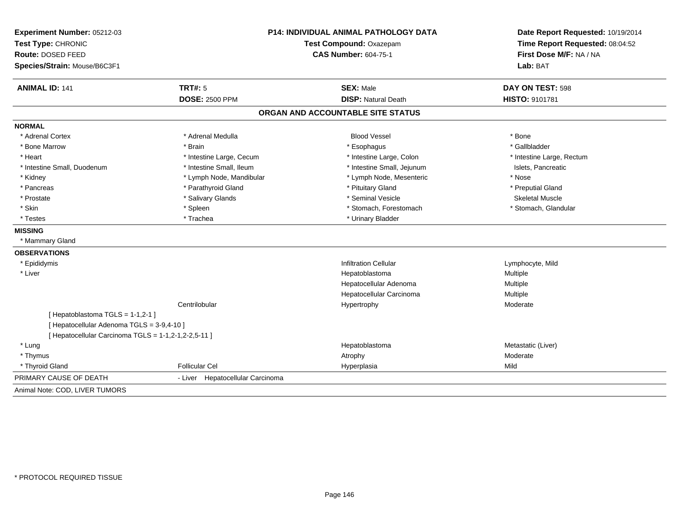| Experiment Number: 05212-03                          |                                  | <b>P14: INDIVIDUAL ANIMAL PATHOLOGY DATA</b> | Date Report Requested: 10/19/2014                          |
|------------------------------------------------------|----------------------------------|----------------------------------------------|------------------------------------------------------------|
| Test Type: CHRONIC<br>Route: DOSED FEED              |                                  | Test Compound: Oxazepam                      | Time Report Requested: 08:04:52<br>First Dose M/F: NA / NA |
|                                                      |                                  | <b>CAS Number: 604-75-1</b>                  |                                                            |
| Species/Strain: Mouse/B6C3F1                         |                                  |                                              | Lab: BAT                                                   |
| <b>ANIMAL ID: 141</b>                                | <b>TRT#: 5</b>                   | <b>SEX: Male</b>                             | DAY ON TEST: 598                                           |
|                                                      | <b>DOSE: 2500 PPM</b>            | <b>DISP: Natural Death</b>                   | HISTO: 9101781                                             |
|                                                      |                                  | ORGAN AND ACCOUNTABLE SITE STATUS            |                                                            |
| <b>NORMAL</b>                                        |                                  |                                              |                                                            |
| * Adrenal Cortex                                     | * Adrenal Medulla                | <b>Blood Vessel</b>                          | * Bone                                                     |
| * Bone Marrow                                        | * Brain                          | * Esophagus                                  | * Gallbladder                                              |
| * Heart                                              | * Intestine Large, Cecum         | * Intestine Large, Colon                     | * Intestine Large, Rectum                                  |
| * Intestine Small, Duodenum                          | * Intestine Small, Ileum         | * Intestine Small, Jejunum                   | Islets, Pancreatic                                         |
| * Kidney                                             | * Lymph Node, Mandibular         | * Lymph Node, Mesenteric                     | * Nose                                                     |
| * Pancreas                                           | * Parathyroid Gland              | * Pituitary Gland                            | * Preputial Gland                                          |
| * Prostate                                           | * Salivary Glands                | * Seminal Vesicle                            | <b>Skeletal Muscle</b>                                     |
| * Skin                                               | * Spleen                         | * Stomach, Forestomach                       | * Stomach, Glandular                                       |
| * Testes                                             | * Trachea                        | * Urinary Bladder                            |                                                            |
| <b>MISSING</b>                                       |                                  |                                              |                                                            |
| * Mammary Gland                                      |                                  |                                              |                                                            |
| <b>OBSERVATIONS</b>                                  |                                  |                                              |                                                            |
| * Epididymis                                         |                                  | <b>Infiltration Cellular</b>                 | Lymphocyte, Mild                                           |
| * Liver                                              |                                  | Hepatoblastoma                               | Multiple                                                   |
|                                                      |                                  | Hepatocellular Adenoma                       | Multiple                                                   |
|                                                      |                                  | Hepatocellular Carcinoma                     | Multiple                                                   |
|                                                      | Centrilobular                    | Hypertrophy                                  | Moderate                                                   |
| [Hepatoblastoma TGLS = 1-1,2-1]                      |                                  |                                              |                                                            |
| [ Hepatocellular Adenoma TGLS = 3-9,4-10 ]           |                                  |                                              |                                                            |
| [ Hepatocellular Carcinoma TGLS = 1-1,2-1,2-2,5-11 ] |                                  |                                              |                                                            |
| * Lung                                               |                                  | Hepatoblastoma                               | Metastatic (Liver)                                         |
| * Thymus                                             |                                  | Atrophy                                      | Moderate                                                   |
| * Thyroid Gland                                      | <b>Follicular Cel</b>            | Hyperplasia                                  | Mild                                                       |
| PRIMARY CAUSE OF DEATH                               | - Liver Hepatocellular Carcinoma |                                              |                                                            |
| Animal Note: COD, LIVER TUMORS                       |                                  |                                              |                                                            |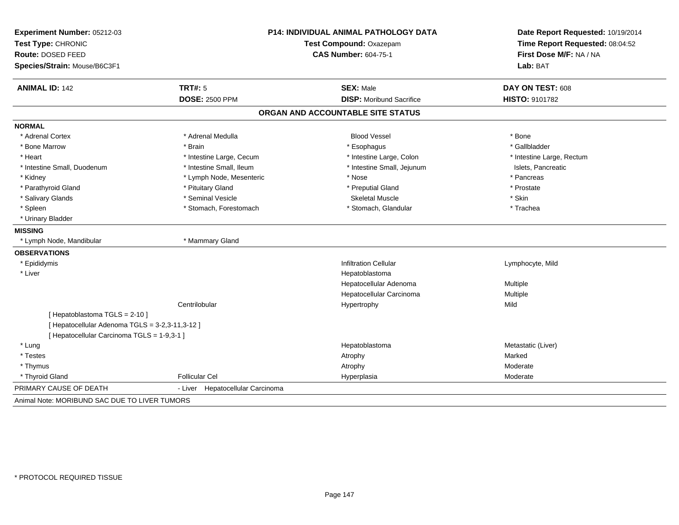| Experiment Number: 05212-03                     |                                  | <b>P14: INDIVIDUAL ANIMAL PATHOLOGY DATA</b> | Date Report Requested: 10/19/2014                          |
|-------------------------------------------------|----------------------------------|----------------------------------------------|------------------------------------------------------------|
| Test Type: CHRONIC                              |                                  | Test Compound: Oxazepam                      | Time Report Requested: 08:04:52<br>First Dose M/F: NA / NA |
| Route: DOSED FEED                               |                                  | <b>CAS Number: 604-75-1</b>                  |                                                            |
| Species/Strain: Mouse/B6C3F1                    |                                  |                                              | Lab: BAT                                                   |
| <b>ANIMAL ID: 142</b>                           | <b>TRT#: 5</b>                   | <b>SEX: Male</b>                             | DAY ON TEST: 608                                           |
|                                                 | <b>DOSE: 2500 PPM</b>            | <b>DISP:</b> Moribund Sacrifice              | <b>HISTO: 9101782</b>                                      |
|                                                 |                                  | ORGAN AND ACCOUNTABLE SITE STATUS            |                                                            |
| <b>NORMAL</b>                                   |                                  |                                              |                                                            |
| * Adrenal Cortex                                | * Adrenal Medulla                | <b>Blood Vessel</b>                          | * Bone                                                     |
| * Bone Marrow                                   | * Brain                          | * Esophagus                                  | * Gallbladder                                              |
| * Heart                                         | * Intestine Large, Cecum         | * Intestine Large, Colon                     | * Intestine Large, Rectum                                  |
| * Intestine Small, Duodenum                     | * Intestine Small, Ileum         | * Intestine Small, Jejunum                   | Islets, Pancreatic                                         |
| * Kidney                                        | * Lymph Node, Mesenteric         | * Nose                                       | * Pancreas                                                 |
| * Parathyroid Gland                             | * Pituitary Gland                | * Preputial Gland                            | * Prostate                                                 |
| * Salivary Glands                               | * Seminal Vesicle                | <b>Skeletal Muscle</b>                       | * Skin                                                     |
| * Spleen                                        | * Stomach, Forestomach           | * Stomach, Glandular                         | * Trachea                                                  |
| * Urinary Bladder                               |                                  |                                              |                                                            |
| <b>MISSING</b>                                  |                                  |                                              |                                                            |
| * Lymph Node, Mandibular                        | * Mammary Gland                  |                                              |                                                            |
| <b>OBSERVATIONS</b>                             |                                  |                                              |                                                            |
| * Epididymis                                    |                                  | <b>Infiltration Cellular</b>                 | Lymphocyte, Mild                                           |
| * Liver                                         |                                  | Hepatoblastoma                               |                                                            |
|                                                 |                                  | Hepatocellular Adenoma                       | Multiple                                                   |
|                                                 |                                  | Hepatocellular Carcinoma                     | Multiple                                                   |
|                                                 | Centrilobular                    | Hypertrophy                                  | Mild                                                       |
| [Hepatoblastoma TGLS = 2-10]                    |                                  |                                              |                                                            |
| [ Hepatocellular Adenoma TGLS = 3-2,3-11,3-12 ] |                                  |                                              |                                                            |
| [ Hepatocellular Carcinoma TGLS = 1-9,3-1 ]     |                                  |                                              |                                                            |
| * Lung                                          |                                  | Hepatoblastoma                               | Metastatic (Liver)                                         |
| * Testes                                        |                                  | Atrophy                                      | Marked                                                     |
| * Thymus                                        |                                  | Atrophy                                      | Moderate                                                   |
| * Thyroid Gland                                 | <b>Follicular Cel</b>            | Hyperplasia                                  | Moderate                                                   |
| PRIMARY CAUSE OF DEATH                          | - Liver Hepatocellular Carcinoma |                                              |                                                            |
| Animal Note: MORIBUND SAC DUE TO LIVER TUMORS   |                                  |                                              |                                                            |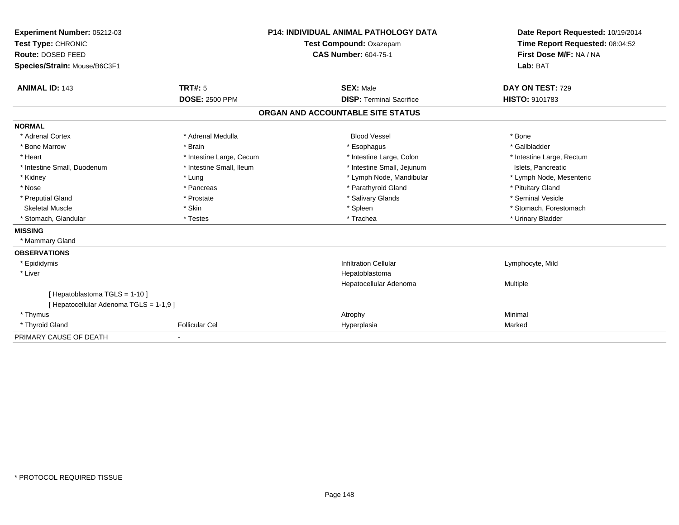| Experiment Number: 05212-03             | <b>P14: INDIVIDUAL ANIMAL PATHOLOGY DATA</b><br>Test Compound: Oxazepam<br><b>CAS Number: 604-75-1</b> |                                   | Date Report Requested: 10/19/2014                          |  |
|-----------------------------------------|--------------------------------------------------------------------------------------------------------|-----------------------------------|------------------------------------------------------------|--|
| Test Type: CHRONIC                      |                                                                                                        |                                   | Time Report Requested: 08:04:52<br>First Dose M/F: NA / NA |  |
| <b>Route: DOSED FEED</b>                |                                                                                                        |                                   |                                                            |  |
| Species/Strain: Mouse/B6C3F1            |                                                                                                        |                                   | Lab: BAT                                                   |  |
| <b>ANIMAL ID: 143</b>                   | TRT#: 5                                                                                                | <b>SEX: Male</b>                  | DAY ON TEST: 729                                           |  |
|                                         | <b>DOSE: 2500 PPM</b>                                                                                  | <b>DISP: Terminal Sacrifice</b>   | <b>HISTO: 9101783</b>                                      |  |
|                                         |                                                                                                        | ORGAN AND ACCOUNTABLE SITE STATUS |                                                            |  |
| <b>NORMAL</b>                           |                                                                                                        |                                   |                                                            |  |
| * Adrenal Cortex                        | * Adrenal Medulla                                                                                      | <b>Blood Vessel</b>               | * Bone                                                     |  |
| * Bone Marrow                           | * Brain                                                                                                | * Esophagus                       | * Gallbladder                                              |  |
| * Heart                                 | * Intestine Large, Cecum                                                                               | * Intestine Large, Colon          | * Intestine Large, Rectum                                  |  |
| * Intestine Small, Duodenum             | * Intestine Small, Ileum                                                                               | * Intestine Small, Jejunum        | Islets. Pancreatic                                         |  |
| * Kidney                                | * Lung                                                                                                 | * Lymph Node, Mandibular          | * Lymph Node, Mesenteric                                   |  |
| * Nose                                  | * Pancreas                                                                                             | * Parathyroid Gland               | * Pituitary Gland                                          |  |
| * Preputial Gland                       | * Prostate                                                                                             | * Salivary Glands                 | * Seminal Vesicle                                          |  |
| <b>Skeletal Muscle</b>                  | * Skin                                                                                                 | * Spleen                          | * Stomach, Forestomach                                     |  |
| * Stomach, Glandular                    | * Testes                                                                                               | * Trachea                         | * Urinary Bladder                                          |  |
| <b>MISSING</b>                          |                                                                                                        |                                   |                                                            |  |
| * Mammary Gland                         |                                                                                                        |                                   |                                                            |  |
| <b>OBSERVATIONS</b>                     |                                                                                                        |                                   |                                                            |  |
| * Epididymis                            |                                                                                                        | <b>Infiltration Cellular</b>      | Lymphocyte, Mild                                           |  |
| * Liver                                 |                                                                                                        | Hepatoblastoma                    |                                                            |  |
|                                         |                                                                                                        | Hepatocellular Adenoma            | Multiple                                                   |  |
| [Hepatoblastoma TGLS = 1-10]            |                                                                                                        |                                   |                                                            |  |
| [ Hepatocellular Adenoma TGLS = 1-1,9 ] |                                                                                                        |                                   |                                                            |  |
| * Thymus                                |                                                                                                        | Atrophy                           | Minimal                                                    |  |
| * Thyroid Gland                         | <b>Follicular Cel</b>                                                                                  | Hyperplasia                       | Marked                                                     |  |
| PRIMARY CAUSE OF DEATH                  |                                                                                                        |                                   |                                                            |  |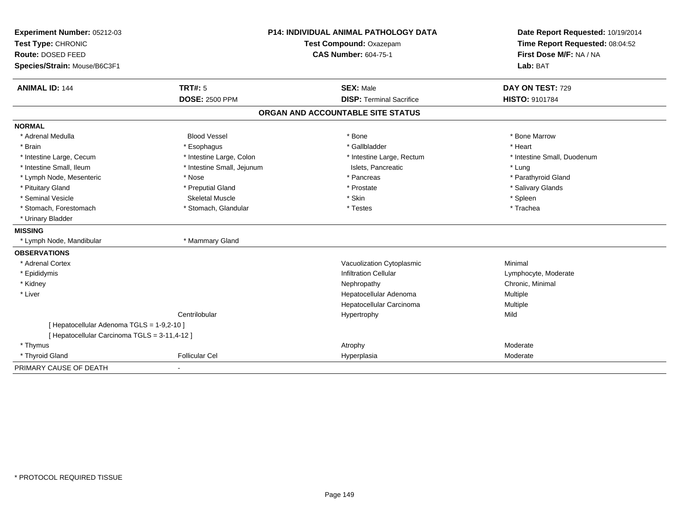| Experiment Number: 05212-03                                                                 | <b>P14: INDIVIDUAL ANIMAL PATHOLOGY DATA</b><br>Test Compound: Oxazepam<br><b>CAS Number: 604-75-1</b> |                                   | Date Report Requested: 10/19/2014                          |
|---------------------------------------------------------------------------------------------|--------------------------------------------------------------------------------------------------------|-----------------------------------|------------------------------------------------------------|
| Test Type: CHRONIC                                                                          |                                                                                                        |                                   | Time Report Requested: 08:04:52<br>First Dose M/F: NA / NA |
| Route: DOSED FEED                                                                           |                                                                                                        |                                   |                                                            |
| Species/Strain: Mouse/B6C3F1                                                                |                                                                                                        |                                   | Lab: BAT                                                   |
| <b>ANIMAL ID: 144</b>                                                                       | <b>TRT#: 5</b>                                                                                         | <b>SEX: Male</b>                  | DAY ON TEST: 729                                           |
|                                                                                             | <b>DOSE: 2500 PPM</b>                                                                                  | <b>DISP: Terminal Sacrifice</b>   | HISTO: 9101784                                             |
|                                                                                             |                                                                                                        | ORGAN AND ACCOUNTABLE SITE STATUS |                                                            |
| <b>NORMAL</b>                                                                               |                                                                                                        |                                   |                                                            |
| * Adrenal Medulla                                                                           | <b>Blood Vessel</b>                                                                                    | * Bone                            | * Bone Marrow                                              |
| * Brain                                                                                     | * Esophagus                                                                                            | * Gallbladder                     | * Heart                                                    |
| * Intestine Large, Cecum                                                                    | * Intestine Large, Colon                                                                               | * Intestine Large, Rectum         | * Intestine Small, Duodenum                                |
| * Intestine Small, Ileum                                                                    | * Intestine Small, Jejunum                                                                             | Islets, Pancreatic                | * Lung                                                     |
| * Lymph Node, Mesenteric                                                                    | * Nose                                                                                                 | * Pancreas                        | * Parathyroid Gland                                        |
| * Pituitary Gland                                                                           | * Preputial Gland                                                                                      | * Prostate                        | * Salivary Glands                                          |
| * Seminal Vesicle                                                                           | <b>Skeletal Muscle</b>                                                                                 | * Skin                            | * Spleen                                                   |
| * Stomach, Forestomach                                                                      | * Stomach, Glandular                                                                                   | * Testes                          | * Trachea                                                  |
| * Urinary Bladder                                                                           |                                                                                                        |                                   |                                                            |
| <b>MISSING</b>                                                                              |                                                                                                        |                                   |                                                            |
| * Lymph Node, Mandibular                                                                    | * Mammary Gland                                                                                        |                                   |                                                            |
| <b>OBSERVATIONS</b>                                                                         |                                                                                                        |                                   |                                                            |
| * Adrenal Cortex                                                                            |                                                                                                        | Vacuolization Cytoplasmic         | Minimal                                                    |
| * Epididymis                                                                                |                                                                                                        | <b>Infiltration Cellular</b>      | Lymphocyte, Moderate                                       |
| * Kidney                                                                                    |                                                                                                        | Nephropathy                       | Chronic, Minimal                                           |
| * Liver                                                                                     |                                                                                                        | Hepatocellular Adenoma            | Multiple                                                   |
|                                                                                             |                                                                                                        | Hepatocellular Carcinoma          | Multiple                                                   |
|                                                                                             | Centrilobular                                                                                          | Hypertrophy                       | Mild                                                       |
| [ Hepatocellular Adenoma TGLS = 1-9,2-10 ]<br>[ Hepatocellular Carcinoma TGLS = 3-11,4-12 ] |                                                                                                        |                                   |                                                            |
| * Thymus                                                                                    |                                                                                                        | Atrophy                           | Moderate                                                   |
| * Thyroid Gland                                                                             | <b>Follicular Cel</b>                                                                                  | Hyperplasia                       | Moderate                                                   |
| PRIMARY CAUSE OF DEATH                                                                      |                                                                                                        |                                   |                                                            |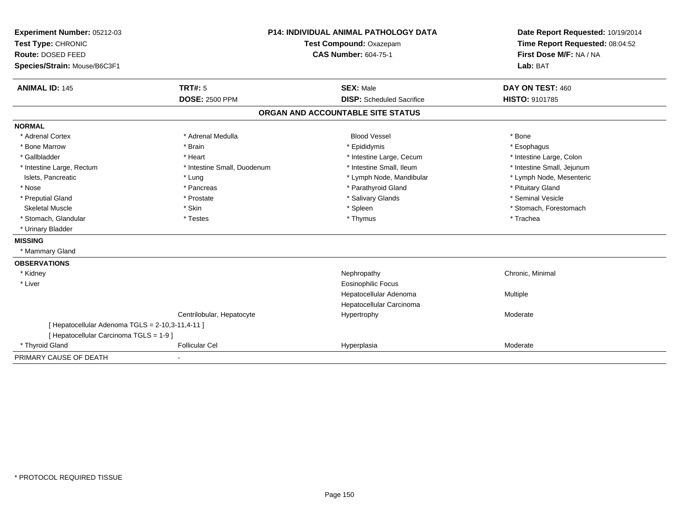| Experiment Number: 05212-03                      | <b>P14: INDIVIDUAL ANIMAL PATHOLOGY DATA</b> |                                   | Date Report Requested: 10/19/2014 |
|--------------------------------------------------|----------------------------------------------|-----------------------------------|-----------------------------------|
| Test Type: CHRONIC                               |                                              | Test Compound: Oxazepam           | Time Report Requested: 08:04:52   |
| Route: DOSED FEED                                |                                              | <b>CAS Number: 604-75-1</b>       |                                   |
| Species/Strain: Mouse/B6C3F1                     |                                              |                                   | Lab: BAT                          |
| <b>ANIMAL ID: 145</b>                            | TRT#: 5                                      | <b>SEX: Male</b>                  | DAY ON TEST: 460                  |
|                                                  | <b>DOSE: 2500 PPM</b>                        | <b>DISP:</b> Scheduled Sacrifice  | <b>HISTO: 9101785</b>             |
|                                                  |                                              | ORGAN AND ACCOUNTABLE SITE STATUS |                                   |
| <b>NORMAL</b>                                    |                                              |                                   |                                   |
| * Adrenal Cortex                                 | * Adrenal Medulla                            | <b>Blood Vessel</b>               | * Bone                            |
| * Bone Marrow                                    | * Brain                                      | * Epididymis                      | * Esophagus                       |
| * Gallbladder                                    | * Heart                                      | * Intestine Large, Cecum          | * Intestine Large, Colon          |
| * Intestine Large, Rectum                        | * Intestine Small, Duodenum                  | * Intestine Small, Ileum          | * Intestine Small, Jejunum        |
| Islets, Pancreatic                               | * Lung                                       | * Lymph Node, Mandibular          | * Lymph Node, Mesenteric          |
| * Nose                                           | * Pancreas                                   | * Parathyroid Gland               | * Pituitary Gland                 |
| * Preputial Gland                                | * Prostate                                   | * Salivary Glands                 | * Seminal Vesicle                 |
| <b>Skeletal Muscle</b>                           | * Skin                                       | * Spleen                          | * Stomach, Forestomach            |
| * Stomach, Glandular                             | * Testes                                     | * Thymus                          | * Trachea                         |
| * Urinary Bladder                                |                                              |                                   |                                   |
| <b>MISSING</b>                                   |                                              |                                   |                                   |
| * Mammary Gland                                  |                                              |                                   |                                   |
| <b>OBSERVATIONS</b>                              |                                              |                                   |                                   |
| * Kidney                                         |                                              | Nephropathy                       | Chronic, Minimal                  |
| * Liver                                          |                                              | Eosinophilic Focus                |                                   |
|                                                  |                                              | Hepatocellular Adenoma            | Multiple                          |
|                                                  |                                              | Hepatocellular Carcinoma          |                                   |
|                                                  | Centrilobular, Hepatocyte                    | Hypertrophy                       | Moderate                          |
| [ Hepatocellular Adenoma TGLS = 2-10,3-11,4-11 ] |                                              |                                   |                                   |
| [ Hepatocellular Carcinoma TGLS = 1-9 ]          |                                              |                                   |                                   |
| * Thyroid Gland                                  | <b>Follicular Cel</b>                        | Hyperplasia                       | Moderate                          |
| PRIMARY CAUSE OF DEATH                           |                                              |                                   |                                   |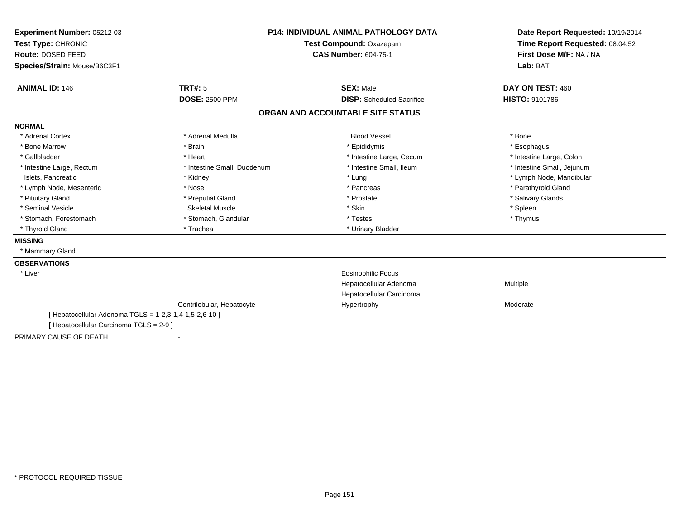| Experiment Number: 05212-03                            | <b>P14: INDIVIDUAL ANIMAL PATHOLOGY DATA</b> |                                   | Date Report Requested: 10/19/2014 |  |
|--------------------------------------------------------|----------------------------------------------|-----------------------------------|-----------------------------------|--|
| Test Type: CHRONIC                                     |                                              | Test Compound: Oxazepam           | Time Report Requested: 08:04:52   |  |
| <b>Route: DOSED FEED</b>                               |                                              | <b>CAS Number: 604-75-1</b>       | First Dose M/F: NA / NA           |  |
| Species/Strain: Mouse/B6C3F1                           |                                              |                                   | Lab: BAT                          |  |
|                                                        |                                              |                                   |                                   |  |
| <b>ANIMAL ID: 146</b>                                  | <b>TRT#: 5</b>                               | <b>SEX: Male</b>                  | DAY ON TEST: 460                  |  |
|                                                        | <b>DOSE: 2500 PPM</b>                        | <b>DISP:</b> Scheduled Sacrifice  | <b>HISTO: 9101786</b>             |  |
|                                                        |                                              | ORGAN AND ACCOUNTABLE SITE STATUS |                                   |  |
| <b>NORMAL</b>                                          |                                              |                                   |                                   |  |
| * Adrenal Cortex                                       | * Adrenal Medulla                            | <b>Blood Vessel</b>               | * Bone                            |  |
| * Bone Marrow                                          | * Brain                                      | * Epididymis                      | * Esophagus                       |  |
| * Gallbladder                                          | * Heart                                      | * Intestine Large, Cecum          | * Intestine Large, Colon          |  |
| * Intestine Large, Rectum                              | * Intestine Small, Duodenum                  | * Intestine Small, Ileum          | * Intestine Small, Jejunum        |  |
| Islets, Pancreatic                                     | * Kidney                                     | * Lung                            | * Lymph Node, Mandibular          |  |
| * Lymph Node, Mesenteric                               | * Nose                                       | * Pancreas                        | * Parathyroid Gland               |  |
| * Pituitary Gland                                      | * Preputial Gland                            | * Prostate                        | * Salivary Glands                 |  |
| * Seminal Vesicle                                      | <b>Skeletal Muscle</b>                       | * Skin                            | * Spleen                          |  |
| * Stomach, Forestomach                                 | * Stomach, Glandular                         | * Testes                          | * Thymus                          |  |
| * Thyroid Gland                                        | * Trachea                                    | * Urinary Bladder                 |                                   |  |
| <b>MISSING</b>                                         |                                              |                                   |                                   |  |
| * Mammary Gland                                        |                                              |                                   |                                   |  |
| <b>OBSERVATIONS</b>                                    |                                              |                                   |                                   |  |
| * Liver                                                |                                              | <b>Eosinophilic Focus</b>         |                                   |  |
|                                                        |                                              | Hepatocellular Adenoma            | Multiple                          |  |
|                                                        |                                              | Hepatocellular Carcinoma          |                                   |  |
|                                                        | Centrilobular, Hepatocyte                    | Hypertrophy                       | Moderate                          |  |
| [ Hepatocellular Adenoma TGLS = 1-2,3-1,4-1,5-2,6-10 ] |                                              |                                   |                                   |  |
| [ Hepatocellular Carcinoma TGLS = 2-9 ]                |                                              |                                   |                                   |  |
| PRIMARY CAUSE OF DEATH                                 | $\blacksquare$                               |                                   |                                   |  |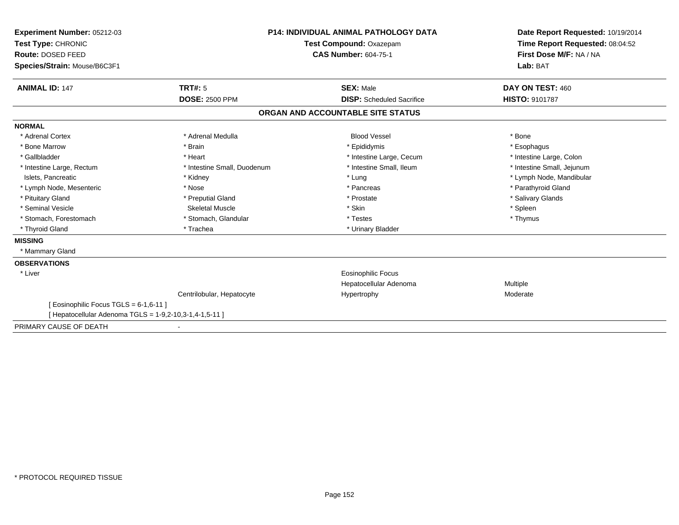| Experiment Number: 05212-03<br>Test Type: CHRONIC                                                 |                             | <b>P14: INDIVIDUAL ANIMAL PATHOLOGY DATA</b><br>Test Compound: Oxazepam | Date Report Requested: 10/19/2014<br>Time Report Requested: 08:04:52<br>First Dose M/F: NA / NA |
|---------------------------------------------------------------------------------------------------|-----------------------------|-------------------------------------------------------------------------|-------------------------------------------------------------------------------------------------|
| Route: DOSED FEED                                                                                 |                             | <b>CAS Number: 604-75-1</b>                                             |                                                                                                 |
| Species/Strain: Mouse/B6C3F1                                                                      |                             |                                                                         | Lab: BAT                                                                                        |
| <b>ANIMAL ID: 147</b>                                                                             | TRT#: 5                     | <b>SEX: Male</b>                                                        | DAY ON TEST: 460                                                                                |
|                                                                                                   | <b>DOSE: 2500 PPM</b>       | <b>DISP:</b> Scheduled Sacrifice                                        | <b>HISTO: 9101787</b>                                                                           |
|                                                                                                   |                             | ORGAN AND ACCOUNTABLE SITE STATUS                                       |                                                                                                 |
| <b>NORMAL</b>                                                                                     |                             |                                                                         |                                                                                                 |
| * Adrenal Cortex                                                                                  | * Adrenal Medulla           | <b>Blood Vessel</b>                                                     | * Bone                                                                                          |
| * Bone Marrow                                                                                     | * Brain                     | * Epididymis                                                            | * Esophagus                                                                                     |
| * Gallbladder                                                                                     | * Heart                     | * Intestine Large, Cecum                                                | * Intestine Large, Colon                                                                        |
| * Intestine Large, Rectum                                                                         | * Intestine Small, Duodenum | * Intestine Small, Ileum                                                | * Intestine Small, Jejunum                                                                      |
| Islets, Pancreatic                                                                                | * Kidney                    | * Lung                                                                  | * Lymph Node, Mandibular                                                                        |
| * Lymph Node, Mesenteric                                                                          | * Nose                      | * Pancreas                                                              | * Parathyroid Gland                                                                             |
| * Pituitary Gland                                                                                 | * Preputial Gland           | * Prostate                                                              | * Salivary Glands                                                                               |
| * Seminal Vesicle                                                                                 | Skeletal Muscle             | * Skin                                                                  | * Spleen                                                                                        |
| * Stomach, Forestomach                                                                            | * Stomach, Glandular        | * Testes                                                                | * Thymus                                                                                        |
| * Thyroid Gland                                                                                   | * Trachea                   | * Urinary Bladder                                                       |                                                                                                 |
| <b>MISSING</b>                                                                                    |                             |                                                                         |                                                                                                 |
| * Mammary Gland                                                                                   |                             |                                                                         |                                                                                                 |
| <b>OBSERVATIONS</b>                                                                               |                             |                                                                         |                                                                                                 |
| * Liver                                                                                           |                             | Eosinophilic Focus                                                      |                                                                                                 |
|                                                                                                   |                             | Hepatocellular Adenoma                                                  | <b>Multiple</b>                                                                                 |
|                                                                                                   | Centrilobular, Hepatocyte   | Hypertrophy                                                             | Moderate                                                                                        |
| [ Eosinophilic Focus TGLS = 6-1,6-11 ]<br>[ Hepatocellular Adenoma TGLS = 1-9,2-10,3-1,4-1,5-11 ] |                             |                                                                         |                                                                                                 |
|                                                                                                   |                             |                                                                         |                                                                                                 |
| PRIMARY CAUSE OF DEATH                                                                            |                             |                                                                         |                                                                                                 |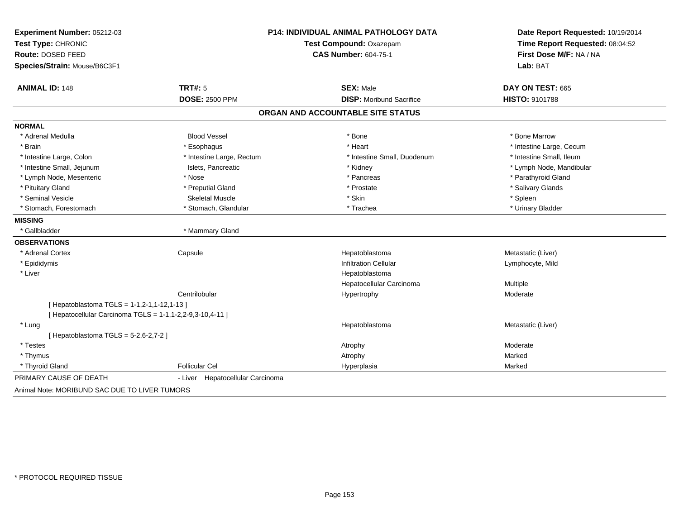| Experiment Number: 05212-03                               | P14: INDIVIDUAL ANIMAL PATHOLOGY DATA |                                   | Date Report Requested: 10/19/2014                          |  |
|-----------------------------------------------------------|---------------------------------------|-----------------------------------|------------------------------------------------------------|--|
| Test Type: CHRONIC<br>Route: DOSED FEED                   |                                       | Test Compound: Oxazepam           | Time Report Requested: 08:04:52<br>First Dose M/F: NA / NA |  |
|                                                           |                                       | <b>CAS Number: 604-75-1</b>       |                                                            |  |
| Species/Strain: Mouse/B6C3F1                              |                                       |                                   | Lab: BAT                                                   |  |
| <b>ANIMAL ID: 148</b>                                     | TRT#: 5                               | <b>SEX: Male</b>                  | DAY ON TEST: 665                                           |  |
|                                                           | <b>DOSE: 2500 PPM</b>                 | <b>DISP:</b> Moribund Sacrifice   | HISTO: 9101788                                             |  |
|                                                           |                                       | ORGAN AND ACCOUNTABLE SITE STATUS |                                                            |  |
| <b>NORMAL</b>                                             |                                       |                                   |                                                            |  |
| * Adrenal Medulla                                         | <b>Blood Vessel</b>                   | * Bone                            | * Bone Marrow                                              |  |
| * Brain                                                   | * Esophagus                           | * Heart                           | * Intestine Large, Cecum                                   |  |
| * Intestine Large, Colon                                  | * Intestine Large, Rectum             | * Intestine Small, Duodenum       | * Intestine Small, Ileum                                   |  |
| * Intestine Small, Jejunum                                | Islets, Pancreatic                    | * Kidney                          | * Lymph Node, Mandibular                                   |  |
| * Lymph Node, Mesenteric                                  | * Nose                                | * Pancreas                        | * Parathyroid Gland                                        |  |
| * Pituitary Gland                                         | * Preputial Gland                     | * Prostate                        | * Salivary Glands                                          |  |
| * Seminal Vesicle                                         | <b>Skeletal Muscle</b>                | * Skin                            | * Spleen                                                   |  |
| * Stomach, Forestomach                                    | * Stomach, Glandular                  | * Trachea                         | * Urinary Bladder                                          |  |
| <b>MISSING</b>                                            |                                       |                                   |                                                            |  |
| * Gallbladder                                             | * Mammary Gland                       |                                   |                                                            |  |
| <b>OBSERVATIONS</b>                                       |                                       |                                   |                                                            |  |
| * Adrenal Cortex                                          | Capsule                               | Hepatoblastoma                    | Metastatic (Liver)                                         |  |
| * Epididymis                                              |                                       | <b>Infiltration Cellular</b>      | Lymphocyte, Mild                                           |  |
| * Liver                                                   |                                       | Hepatoblastoma                    |                                                            |  |
|                                                           |                                       | Hepatocellular Carcinoma          | Multiple                                                   |  |
|                                                           | Centrilobular                         | Hypertrophy                       | Moderate                                                   |  |
| [Hepatoblastoma TGLS = 1-1,2-1,1-12,1-13]                 |                                       |                                   |                                                            |  |
| [ Hepatocellular Carcinoma TGLS = 1-1,1-2,2-9,3-10,4-11 ] |                                       |                                   |                                                            |  |
| * Lung                                                    |                                       | Hepatoblastoma                    | Metastatic (Liver)                                         |  |
| [Hepatoblastoma TGLS = $5-2,6-2,7-2$ ]                    |                                       |                                   |                                                            |  |
| * Testes                                                  |                                       | Atrophy                           | Moderate                                                   |  |
| * Thymus                                                  |                                       | Atrophy                           | Marked                                                     |  |
| * Thyroid Gland                                           | <b>Follicular Cel</b>                 | Hyperplasia                       | Marked                                                     |  |
| PRIMARY CAUSE OF DEATH                                    | - Liver Hepatocellular Carcinoma      |                                   |                                                            |  |
| Animal Note: MORIBUND SAC DUE TO LIVER TUMORS             |                                       |                                   |                                                            |  |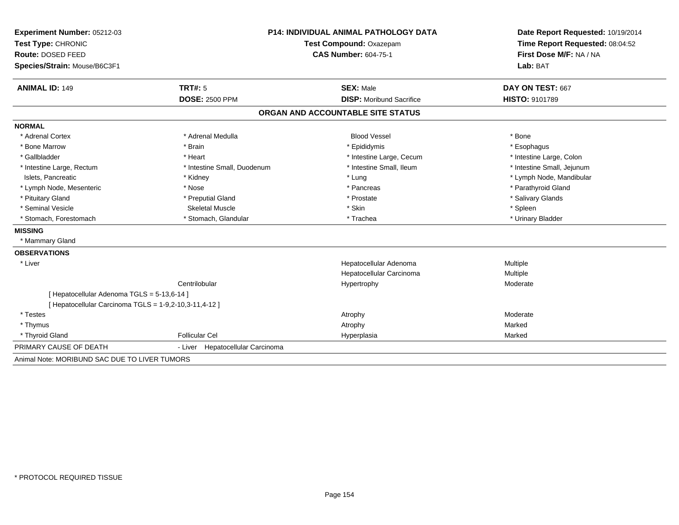| Experiment Number: 05212-03                            | <b>P14: INDIVIDUAL ANIMAL PATHOLOGY DATA</b><br>Test Compound: Oxazepam |                                   | Date Report Requested: 10/19/2014<br>Time Report Requested: 08:04:52 |  |
|--------------------------------------------------------|-------------------------------------------------------------------------|-----------------------------------|----------------------------------------------------------------------|--|
| Test Type: CHRONIC                                     |                                                                         |                                   |                                                                      |  |
| Route: DOSED FEED                                      |                                                                         | <b>CAS Number: 604-75-1</b>       | First Dose M/F: NA / NA                                              |  |
| Species/Strain: Mouse/B6C3F1                           |                                                                         |                                   | Lab: BAT                                                             |  |
| <b>ANIMAL ID: 149</b>                                  | TRT#: 5                                                                 | <b>SEX: Male</b>                  | DAY ON TEST: 667                                                     |  |
|                                                        | <b>DOSE: 2500 PPM</b>                                                   | <b>DISP:</b> Moribund Sacrifice   | <b>HISTO: 9101789</b>                                                |  |
|                                                        |                                                                         | ORGAN AND ACCOUNTABLE SITE STATUS |                                                                      |  |
| <b>NORMAL</b>                                          |                                                                         |                                   |                                                                      |  |
| * Adrenal Cortex                                       | * Adrenal Medulla                                                       | <b>Blood Vessel</b>               | * Bone                                                               |  |
| * Bone Marrow                                          | * Brain                                                                 | * Epididymis                      | * Esophagus                                                          |  |
| * Gallbladder                                          | * Heart                                                                 | * Intestine Large, Cecum          | * Intestine Large, Colon                                             |  |
| * Intestine Large, Rectum                              | * Intestine Small, Duodenum                                             | * Intestine Small, Ileum          | * Intestine Small, Jejunum                                           |  |
| Islets, Pancreatic                                     | * Kidney                                                                | * Lung                            | * Lymph Node, Mandibular                                             |  |
| * Lymph Node, Mesenteric                               | * Nose                                                                  | * Pancreas                        | * Parathyroid Gland                                                  |  |
| * Pituitary Gland                                      | * Preputial Gland                                                       | * Prostate                        | * Salivary Glands                                                    |  |
| * Seminal Vesicle                                      | <b>Skeletal Muscle</b>                                                  | * Skin                            | * Spleen                                                             |  |
| * Stomach, Forestomach                                 | * Stomach, Glandular                                                    | * Trachea                         | * Urinary Bladder                                                    |  |
| <b>MISSING</b>                                         |                                                                         |                                   |                                                                      |  |
| * Mammary Gland                                        |                                                                         |                                   |                                                                      |  |
| <b>OBSERVATIONS</b>                                    |                                                                         |                                   |                                                                      |  |
| * Liver                                                |                                                                         | Hepatocellular Adenoma            | Multiple                                                             |  |
|                                                        |                                                                         | Hepatocellular Carcinoma          | Multiple                                                             |  |
|                                                        | Centrilobular                                                           | Hypertrophy                       | Moderate                                                             |  |
| [ Hepatocellular Adenoma TGLS = 5-13,6-14 ]            |                                                                         |                                   |                                                                      |  |
| [ Hepatocellular Carcinoma TGLS = 1-9,2-10,3-11,4-12 ] |                                                                         |                                   |                                                                      |  |
| * Testes                                               |                                                                         | Atrophy                           | Moderate                                                             |  |
| * Thymus                                               |                                                                         | Atrophy                           | Marked                                                               |  |
| * Thyroid Gland                                        | <b>Follicular Cel</b>                                                   | Hyperplasia                       | Marked                                                               |  |
| PRIMARY CAUSE OF DEATH                                 | - Liver Hepatocellular Carcinoma                                        |                                   |                                                                      |  |
| Animal Note: MORIBUND SAC DUE TO LIVER TUMORS          |                                                                         |                                   |                                                                      |  |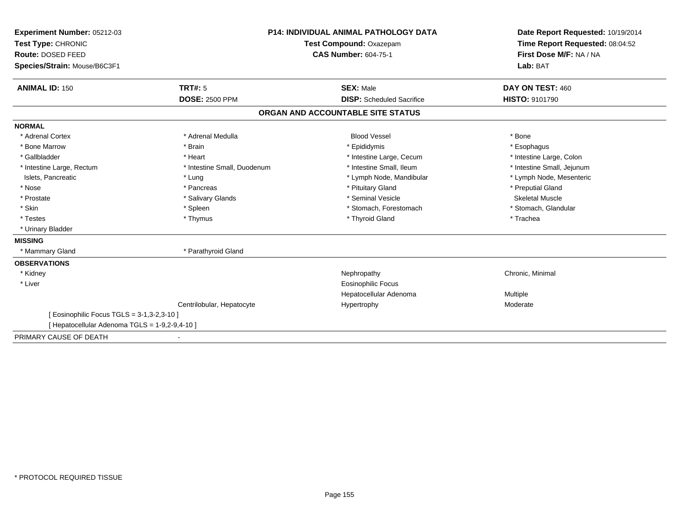| Experiment Number: 05212-03<br>Test Type: CHRONIC |                             | <b>P14: INDIVIDUAL ANIMAL PATHOLOGY DATA</b> | Date Report Requested: 10/19/2014<br>Time Report Requested: 08:04:52<br>First Dose M/F: NA / NA |
|---------------------------------------------------|-----------------------------|----------------------------------------------|-------------------------------------------------------------------------------------------------|
|                                                   |                             | Test Compound: Oxazepam                      |                                                                                                 |
| <b>Route: DOSED FEED</b>                          | <b>CAS Number: 604-75-1</b> |                                              |                                                                                                 |
| Species/Strain: Mouse/B6C3F1                      |                             |                                              | Lab: BAT                                                                                        |
| <b>ANIMAL ID: 150</b>                             | TRT#: 5                     | <b>SEX: Male</b>                             | DAY ON TEST: 460                                                                                |
|                                                   | <b>DOSE: 2500 PPM</b>       | <b>DISP:</b> Scheduled Sacrifice             | <b>HISTO: 9101790</b>                                                                           |
|                                                   |                             | ORGAN AND ACCOUNTABLE SITE STATUS            |                                                                                                 |
| <b>NORMAL</b>                                     |                             |                                              |                                                                                                 |
| * Adrenal Cortex                                  | * Adrenal Medulla           | <b>Blood Vessel</b>                          | * Bone                                                                                          |
| * Bone Marrow                                     | * Brain                     | * Epididymis                                 | * Esophagus                                                                                     |
| * Gallbladder                                     | * Heart                     | * Intestine Large, Cecum                     | * Intestine Large, Colon                                                                        |
| * Intestine Large, Rectum                         | * Intestine Small, Duodenum | * Intestine Small. Ileum                     | * Intestine Small, Jejunum                                                                      |
| Islets, Pancreatic                                | * Lung                      | * Lymph Node, Mandibular                     | * Lymph Node, Mesenteric                                                                        |
| * Nose                                            | * Pancreas                  | * Pituitary Gland                            | * Preputial Gland                                                                               |
| * Prostate                                        | * Salivary Glands           | * Seminal Vesicle                            | <b>Skeletal Muscle</b>                                                                          |
| * Skin                                            | * Spleen                    | * Stomach, Forestomach                       | * Stomach, Glandular                                                                            |
| * Testes                                          | * Thymus                    | * Thyroid Gland                              | * Trachea                                                                                       |
| * Urinary Bladder                                 |                             |                                              |                                                                                                 |
| <b>MISSING</b>                                    |                             |                                              |                                                                                                 |
| * Mammary Gland                                   | * Parathyroid Gland         |                                              |                                                                                                 |
| <b>OBSERVATIONS</b>                               |                             |                                              |                                                                                                 |
| * Kidney                                          |                             | Nephropathy                                  | Chronic, Minimal                                                                                |
| * Liver                                           |                             | <b>Eosinophilic Focus</b>                    |                                                                                                 |
|                                                   |                             | Hepatocellular Adenoma                       | Multiple                                                                                        |
|                                                   | Centrilobular, Hepatocyte   | Hypertrophy                                  | Moderate                                                                                        |
| [ Eosinophilic Focus TGLS = 3-1,3-2,3-10 ]        |                             |                                              |                                                                                                 |
| [ Hepatocellular Adenoma TGLS = 1-9,2-9,4-10 ]    |                             |                                              |                                                                                                 |
| PRIMARY CAUSE OF DEATH                            |                             |                                              |                                                                                                 |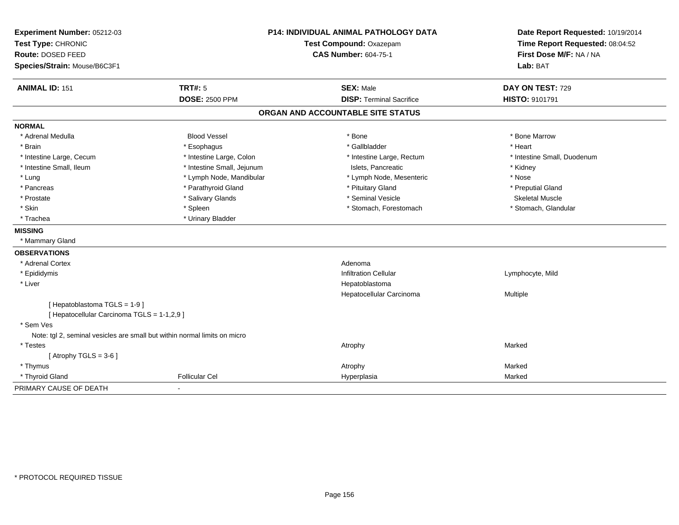| Experiment Number: 05212-03                                               | <b>P14: INDIVIDUAL ANIMAL PATHOLOGY DATA</b> |                                   | Date Report Requested: 10/19/2014 |
|---------------------------------------------------------------------------|----------------------------------------------|-----------------------------------|-----------------------------------|
| Test Type: CHRONIC                                                        |                                              | Test Compound: Oxazepam           | Time Report Requested: 08:04:52   |
| Route: DOSED FEED                                                         |                                              | <b>CAS Number: 604-75-1</b>       | First Dose M/F: NA / NA           |
| Species/Strain: Mouse/B6C3F1                                              |                                              |                                   | Lab: BAT                          |
| <b>ANIMAL ID: 151</b>                                                     | <b>TRT#: 5</b>                               | <b>SEX: Male</b>                  | DAY ON TEST: 729                  |
|                                                                           | <b>DOSE: 2500 PPM</b>                        | <b>DISP: Terminal Sacrifice</b>   | <b>HISTO: 9101791</b>             |
|                                                                           |                                              | ORGAN AND ACCOUNTABLE SITE STATUS |                                   |
| <b>NORMAL</b>                                                             |                                              |                                   |                                   |
| * Adrenal Medulla                                                         | <b>Blood Vessel</b>                          | * Bone                            | * Bone Marrow                     |
| * Brain                                                                   | * Esophagus                                  | * Gallbladder                     | * Heart                           |
| * Intestine Large, Cecum                                                  | * Intestine Large, Colon                     | * Intestine Large, Rectum         | * Intestine Small, Duodenum       |
| * Intestine Small, Ileum                                                  | * Intestine Small, Jejunum                   | Islets, Pancreatic                | * Kidney                          |
| * Lung                                                                    | * Lymph Node, Mandibular                     | * Lymph Node, Mesenteric          | * Nose                            |
| * Pancreas                                                                | * Parathyroid Gland                          | * Pituitary Gland                 | * Preputial Gland                 |
| * Prostate                                                                | * Salivary Glands                            | * Seminal Vesicle                 | <b>Skeletal Muscle</b>            |
| * Skin                                                                    | * Spleen                                     | * Stomach, Forestomach            | * Stomach, Glandular              |
| * Trachea                                                                 | * Urinary Bladder                            |                                   |                                   |
| <b>MISSING</b>                                                            |                                              |                                   |                                   |
| * Mammary Gland                                                           |                                              |                                   |                                   |
| <b>OBSERVATIONS</b>                                                       |                                              |                                   |                                   |
| * Adrenal Cortex                                                          |                                              | Adenoma                           |                                   |
| * Epididymis                                                              |                                              | <b>Infiltration Cellular</b>      | Lymphocyte, Mild                  |
| * Liver                                                                   |                                              | Hepatoblastoma                    |                                   |
|                                                                           |                                              | Hepatocellular Carcinoma          | Multiple                          |
| [Hepatoblastoma TGLS = 1-9]                                               |                                              |                                   |                                   |
| [ Hepatocellular Carcinoma TGLS = 1-1,2,9 ]                               |                                              |                                   |                                   |
| * Sem Ves                                                                 |                                              |                                   |                                   |
| Note: tgl 2, seminal vesicles are small but within normal limits on micro |                                              |                                   |                                   |
| * Testes                                                                  |                                              | Atrophy                           | Marked                            |
| [Atrophy TGLS = $3-6$ ]                                                   |                                              |                                   |                                   |
| * Thymus                                                                  |                                              | Atrophy                           | Marked                            |
| * Thyroid Gland                                                           | <b>Follicular Cel</b>                        | Hyperplasia                       | Marked                            |
| PRIMARY CAUSE OF DEATH                                                    | $\blacksquare$                               |                                   |                                   |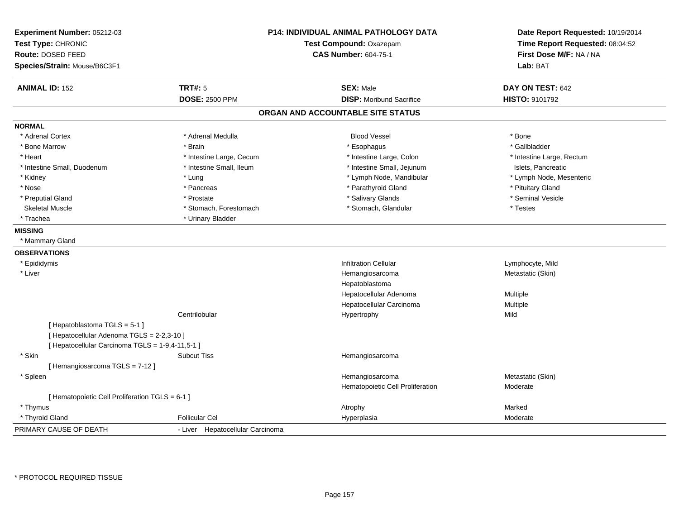| Experiment Number: 05212-03<br>Test Type: CHRONIC<br>Route: DOSED FEED<br>Species/Strain: Mouse/B6C3F1 |                                  | <b>P14: INDIVIDUAL ANIMAL PATHOLOGY DATA</b><br>Test Compound: Oxazepam<br><b>CAS Number: 604-75-1</b> | Date Report Requested: 10/19/2014<br>Time Report Requested: 08:04:52<br>First Dose M/F: NA / NA<br>Lab: BAT |
|--------------------------------------------------------------------------------------------------------|----------------------------------|--------------------------------------------------------------------------------------------------------|-------------------------------------------------------------------------------------------------------------|
| <b>ANIMAL ID: 152</b>                                                                                  | <b>TRT#: 5</b>                   | <b>SEX: Male</b>                                                                                       | DAY ON TEST: 642                                                                                            |
|                                                                                                        | <b>DOSE: 2500 PPM</b>            | <b>DISP:</b> Moribund Sacrifice                                                                        | <b>HISTO: 9101792</b>                                                                                       |
|                                                                                                        |                                  | ORGAN AND ACCOUNTABLE SITE STATUS                                                                      |                                                                                                             |
| <b>NORMAL</b>                                                                                          |                                  |                                                                                                        |                                                                                                             |
| * Adrenal Cortex                                                                                       | * Adrenal Medulla                | <b>Blood Vessel</b>                                                                                    | * Bone                                                                                                      |
| * Bone Marrow                                                                                          | * Brain                          | * Esophagus                                                                                            | * Gallbladder                                                                                               |
| * Heart                                                                                                | * Intestine Large, Cecum         | * Intestine Large, Colon                                                                               | * Intestine Large, Rectum                                                                                   |
| * Intestine Small, Duodenum                                                                            | * Intestine Small, Ileum         | * Intestine Small, Jejunum                                                                             | Islets, Pancreatic                                                                                          |
| * Kidney                                                                                               | * Lung                           | * Lymph Node, Mandibular                                                                               | * Lymph Node, Mesenteric                                                                                    |
| * Nose                                                                                                 | * Pancreas                       | * Parathyroid Gland                                                                                    | * Pituitary Gland                                                                                           |
| * Preputial Gland                                                                                      | * Prostate                       | * Salivary Glands                                                                                      | * Seminal Vesicle                                                                                           |
| <b>Skeletal Muscle</b>                                                                                 | * Stomach, Forestomach           | * Stomach, Glandular                                                                                   | * Testes                                                                                                    |
| * Trachea                                                                                              | * Urinary Bladder                |                                                                                                        |                                                                                                             |
| <b>MISSING</b>                                                                                         |                                  |                                                                                                        |                                                                                                             |
| * Mammary Gland                                                                                        |                                  |                                                                                                        |                                                                                                             |
| <b>OBSERVATIONS</b>                                                                                    |                                  |                                                                                                        |                                                                                                             |
| * Epididymis                                                                                           |                                  | <b>Infiltration Cellular</b>                                                                           | Lymphocyte, Mild                                                                                            |
| * Liver                                                                                                |                                  | Hemangiosarcoma                                                                                        | Metastatic (Skin)                                                                                           |
|                                                                                                        |                                  | Hepatoblastoma                                                                                         |                                                                                                             |
|                                                                                                        |                                  | Hepatocellular Adenoma                                                                                 | Multiple                                                                                                    |
|                                                                                                        |                                  | Hepatocellular Carcinoma                                                                               | Multiple                                                                                                    |
|                                                                                                        | Centrilobular                    | Hypertrophy                                                                                            | Mild                                                                                                        |
| [Hepatoblastoma TGLS = 5-1]                                                                            |                                  |                                                                                                        |                                                                                                             |
| [ Hepatocellular Adenoma TGLS = 2-2,3-10 ]                                                             |                                  |                                                                                                        |                                                                                                             |
| [ Hepatocellular Carcinoma TGLS = 1-9,4-11,5-1 ]                                                       |                                  |                                                                                                        |                                                                                                             |
| * Skin                                                                                                 | <b>Subcut Tiss</b>               | Hemangiosarcoma                                                                                        |                                                                                                             |
| [Hemangiosarcoma TGLS = 7-12]                                                                          |                                  |                                                                                                        |                                                                                                             |
| * Spleen                                                                                               |                                  | Hemangiosarcoma                                                                                        | Metastatic (Skin)                                                                                           |
|                                                                                                        |                                  | Hematopoietic Cell Proliferation                                                                       | Moderate                                                                                                    |
| [ Hematopoietic Cell Proliferation TGLS = 6-1 ]                                                        |                                  |                                                                                                        |                                                                                                             |
| * Thymus                                                                                               |                                  | Atrophy                                                                                                | Marked                                                                                                      |
| * Thyroid Gland                                                                                        | <b>Follicular Cel</b>            | Hyperplasia                                                                                            | Moderate                                                                                                    |
| PRIMARY CAUSE OF DEATH                                                                                 | - Liver Hepatocellular Carcinoma |                                                                                                        |                                                                                                             |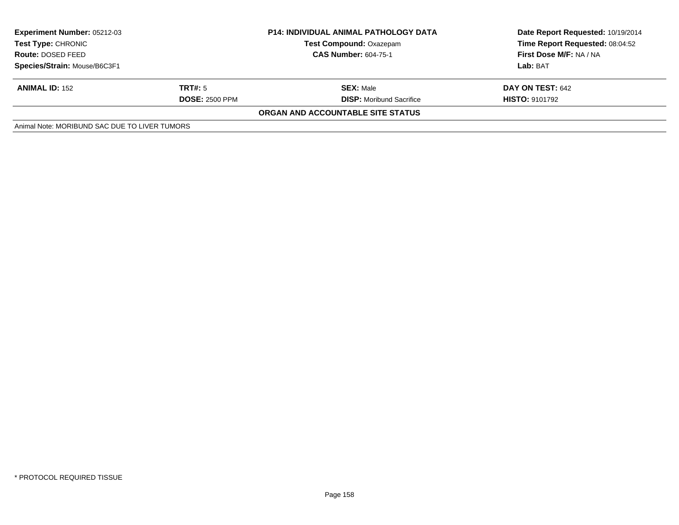| <b>Experiment Number: 05212-03</b><br>Test Type: CHRONIC | <b>P14: INDIVIDUAL ANIMAL PATHOLOGY DATA</b><br><b>Test Compound: Oxazepam</b><br><b>CAS Number: 604-75-1</b> |                                          | Date Report Requested: 10/19/2014<br>Time Report Requested: 08:04:52<br>First Dose M/F: NA / NA |  |
|----------------------------------------------------------|---------------------------------------------------------------------------------------------------------------|------------------------------------------|-------------------------------------------------------------------------------------------------|--|
| Route: DOSED FEED                                        |                                                                                                               |                                          |                                                                                                 |  |
| Species/Strain: Mouse/B6C3F1                             |                                                                                                               |                                          | Lab: BAT                                                                                        |  |
| <b>ANIMAL ID: 152</b>                                    | TRT#: 5                                                                                                       | <b>SEX: Male</b>                         | <b>DAY ON TEST: 642</b>                                                                         |  |
|                                                          | <b>DOSE: 2500 PPM</b>                                                                                         | <b>DISP:</b> Moribund Sacrifice          | <b>HISTO: 9101792</b>                                                                           |  |
|                                                          |                                                                                                               | <b>ORGAN AND ACCOUNTABLE SITE STATUS</b> |                                                                                                 |  |
| Animal Note: MORIBUND SAC DUE TO LIVER TUMORS            |                                                                                                               |                                          |                                                                                                 |  |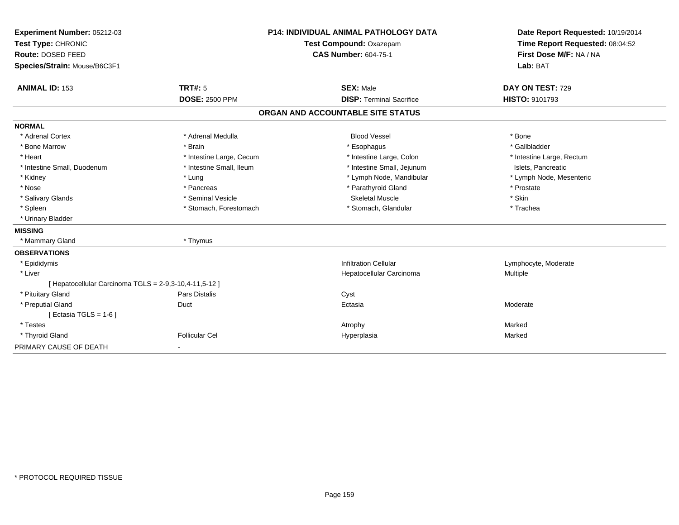| Experiment Number: 05212-03<br>Test Type: CHRONIC      | <b>P14: INDIVIDUAL ANIMAL PATHOLOGY DATA</b><br>Test Compound: Oxazepam |                                   | Date Report Requested: 10/19/2014<br>Time Report Requested: 08:04:52 |
|--------------------------------------------------------|-------------------------------------------------------------------------|-----------------------------------|----------------------------------------------------------------------|
| Route: DOSED FEED                                      |                                                                         | <b>CAS Number: 604-75-1</b>       | First Dose M/F: NA / NA                                              |
| Species/Strain: Mouse/B6C3F1                           |                                                                         |                                   | Lab: BAT                                                             |
| <b>ANIMAL ID: 153</b>                                  | <b>TRT#: 5</b>                                                          | <b>SEX: Male</b>                  | DAY ON TEST: 729                                                     |
|                                                        | <b>DOSE: 2500 PPM</b>                                                   | <b>DISP: Terminal Sacrifice</b>   | HISTO: 9101793                                                       |
|                                                        |                                                                         | ORGAN AND ACCOUNTABLE SITE STATUS |                                                                      |
| <b>NORMAL</b>                                          |                                                                         |                                   |                                                                      |
| * Adrenal Cortex                                       | * Adrenal Medulla                                                       | <b>Blood Vessel</b>               | * Bone                                                               |
| * Bone Marrow                                          | * Brain                                                                 | * Esophagus                       | * Gallbladder                                                        |
| * Heart                                                | * Intestine Large, Cecum                                                | * Intestine Large, Colon          | * Intestine Large, Rectum                                            |
| * Intestine Small, Duodenum                            | * Intestine Small, Ileum                                                | * Intestine Small, Jejunum        | Islets, Pancreatic                                                   |
| * Kidney                                               | * Lung                                                                  | * Lymph Node, Mandibular          | * Lymph Node, Mesenteric                                             |
| * Nose                                                 | * Pancreas                                                              | * Parathyroid Gland               | * Prostate                                                           |
| * Salivary Glands                                      | * Seminal Vesicle                                                       | <b>Skeletal Muscle</b>            | * Skin                                                               |
| * Spleen                                               | * Stomach, Forestomach                                                  | * Stomach, Glandular              | * Trachea                                                            |
| * Urinary Bladder                                      |                                                                         |                                   |                                                                      |
| <b>MISSING</b>                                         |                                                                         |                                   |                                                                      |
| * Mammary Gland                                        | * Thymus                                                                |                                   |                                                                      |
| <b>OBSERVATIONS</b>                                    |                                                                         |                                   |                                                                      |
| * Epididymis                                           |                                                                         | <b>Infiltration Cellular</b>      | Lymphocyte, Moderate                                                 |
| * Liver                                                |                                                                         | Hepatocellular Carcinoma          | Multiple                                                             |
| [ Hepatocellular Carcinoma TGLS = 2-9,3-10,4-11,5-12 ] |                                                                         |                                   |                                                                      |
| * Pituitary Gland                                      | Pars Distalis                                                           | Cyst                              |                                                                      |
| * Preputial Gland                                      | Duct                                                                    | Ectasia                           | Moderate                                                             |
| [Ectasia TGLS = 1-6]                                   |                                                                         |                                   |                                                                      |
| * Testes                                               |                                                                         | Atrophy                           | Marked                                                               |
| * Thyroid Gland                                        | <b>Follicular Cel</b>                                                   | Hyperplasia                       | Marked                                                               |
| PRIMARY CAUSE OF DEATH                                 |                                                                         |                                   |                                                                      |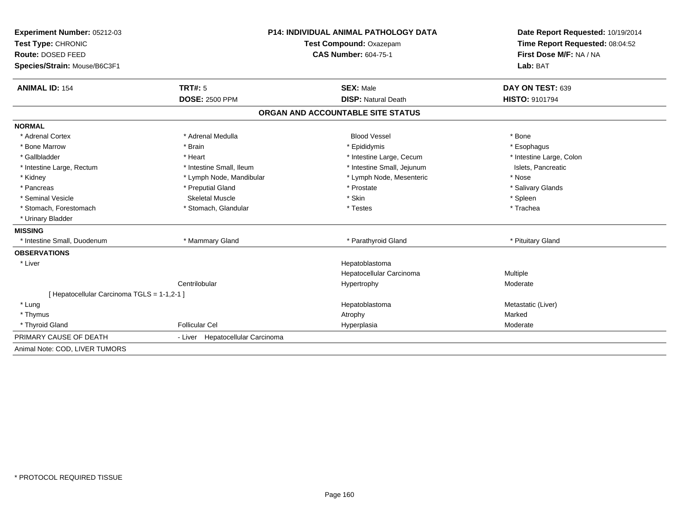| Experiment Number: 05212-03                 | <b>P14: INDIVIDUAL ANIMAL PATHOLOGY DATA</b><br>Test Compound: Oxazepam |                                   | Date Report Requested: 10/19/2014 |  |
|---------------------------------------------|-------------------------------------------------------------------------|-----------------------------------|-----------------------------------|--|
| Test Type: CHRONIC                          |                                                                         |                                   | Time Report Requested: 08:04:52   |  |
| Route: DOSED FEED                           |                                                                         | <b>CAS Number: 604-75-1</b>       | First Dose M/F: NA / NA           |  |
| Species/Strain: Mouse/B6C3F1                |                                                                         |                                   | Lab: BAT                          |  |
| <b>ANIMAL ID: 154</b>                       | TRT#: 5                                                                 | <b>SEX: Male</b>                  | DAY ON TEST: 639                  |  |
|                                             | <b>DOSE: 2500 PPM</b>                                                   | <b>DISP: Natural Death</b>        | <b>HISTO: 9101794</b>             |  |
|                                             |                                                                         | ORGAN AND ACCOUNTABLE SITE STATUS |                                   |  |
| <b>NORMAL</b>                               |                                                                         |                                   |                                   |  |
| * Adrenal Cortex                            | * Adrenal Medulla                                                       | <b>Blood Vessel</b>               | * Bone                            |  |
| * Bone Marrow                               | * Brain                                                                 | * Epididymis                      | * Esophagus                       |  |
| * Gallbladder                               | * Heart                                                                 | * Intestine Large, Cecum          | * Intestine Large, Colon          |  |
| * Intestine Large, Rectum                   | * Intestine Small. Ileum                                                | * Intestine Small, Jejunum        | Islets, Pancreatic                |  |
| * Kidney                                    | * Lymph Node, Mandibular                                                | * Lymph Node, Mesenteric          | * Nose                            |  |
| * Pancreas                                  | * Preputial Gland                                                       | * Prostate                        | * Salivary Glands                 |  |
| * Seminal Vesicle                           | <b>Skeletal Muscle</b>                                                  | * Skin                            | * Spleen                          |  |
| * Stomach, Forestomach                      | * Stomach, Glandular                                                    | * Testes                          | * Trachea                         |  |
| * Urinary Bladder                           |                                                                         |                                   |                                   |  |
| <b>MISSING</b>                              |                                                                         |                                   |                                   |  |
| * Intestine Small, Duodenum                 | * Mammary Gland                                                         | * Parathyroid Gland               | * Pituitary Gland                 |  |
| <b>OBSERVATIONS</b>                         |                                                                         |                                   |                                   |  |
| * Liver                                     |                                                                         | Hepatoblastoma                    |                                   |  |
|                                             |                                                                         | Hepatocellular Carcinoma          | <b>Multiple</b>                   |  |
|                                             | Centrilobular                                                           | Hypertrophy                       | Moderate                          |  |
| [ Hepatocellular Carcinoma TGLS = 1-1,2-1 ] |                                                                         |                                   |                                   |  |
| * Lung                                      |                                                                         | Hepatoblastoma                    | Metastatic (Liver)                |  |
| * Thymus                                    |                                                                         | Atrophy                           | Marked                            |  |
| * Thyroid Gland                             | <b>Follicular Cel</b>                                                   | Hyperplasia                       | Moderate                          |  |
| PRIMARY CAUSE OF DEATH                      | - Liver Hepatocellular Carcinoma                                        |                                   |                                   |  |
| Animal Note: COD, LIVER TUMORS              |                                                                         |                                   |                                   |  |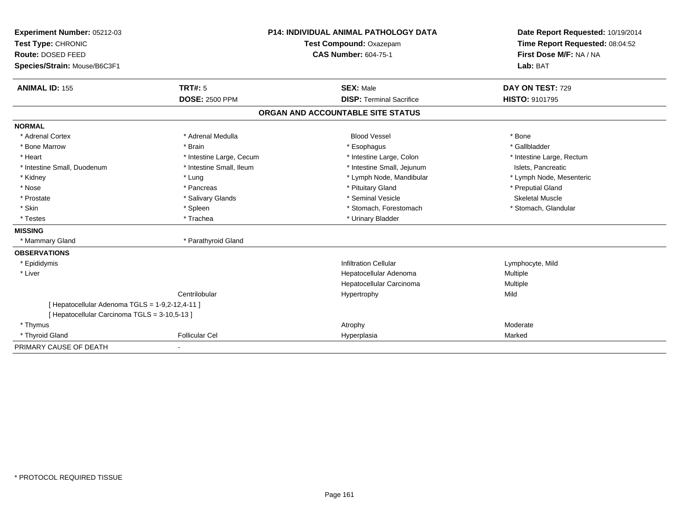| Experiment Number: 05212-03                     | <b>P14: INDIVIDUAL ANIMAL PATHOLOGY DATA</b><br>Test Compound: Oxazepam |                                   | Date Report Requested: 10/19/2014 |  |
|-------------------------------------------------|-------------------------------------------------------------------------|-----------------------------------|-----------------------------------|--|
| Test Type: CHRONIC                              |                                                                         |                                   | Time Report Requested: 08:04:52   |  |
| Route: DOSED FEED                               |                                                                         | <b>CAS Number: 604-75-1</b>       | First Dose M/F: NA / NA           |  |
| Species/Strain: Mouse/B6C3F1                    |                                                                         |                                   | Lab: BAT                          |  |
| <b>ANIMAL ID: 155</b>                           | <b>TRT#: 5</b>                                                          | <b>SEX: Male</b>                  | DAY ON TEST: 729                  |  |
|                                                 | <b>DOSE: 2500 PPM</b>                                                   | <b>DISP: Terminal Sacrifice</b>   | <b>HISTO: 9101795</b>             |  |
|                                                 |                                                                         | ORGAN AND ACCOUNTABLE SITE STATUS |                                   |  |
| <b>NORMAL</b>                                   |                                                                         |                                   |                                   |  |
| * Adrenal Cortex                                | * Adrenal Medulla                                                       | <b>Blood Vessel</b>               | * Bone                            |  |
| * Bone Marrow                                   | * Brain                                                                 | * Esophagus                       | * Gallbladder                     |  |
| * Heart                                         | * Intestine Large, Cecum                                                | * Intestine Large, Colon          | * Intestine Large, Rectum         |  |
| * Intestine Small, Duodenum                     | * Intestine Small, Ileum                                                | * Intestine Small, Jejunum        | Islets, Pancreatic                |  |
| * Kidney                                        | * Lung                                                                  | * Lymph Node, Mandibular          | * Lymph Node, Mesenteric          |  |
| * Nose                                          | * Pancreas                                                              | * Pituitary Gland                 | * Preputial Gland                 |  |
| * Prostate                                      | * Salivary Glands                                                       | * Seminal Vesicle                 | <b>Skeletal Muscle</b>            |  |
| * Skin                                          | * Spleen                                                                | * Stomach, Forestomach            | * Stomach, Glandular              |  |
| * Testes                                        | * Trachea                                                               | * Urinary Bladder                 |                                   |  |
| <b>MISSING</b>                                  |                                                                         |                                   |                                   |  |
| * Mammary Gland                                 | * Parathyroid Gland                                                     |                                   |                                   |  |
| <b>OBSERVATIONS</b>                             |                                                                         |                                   |                                   |  |
| * Epididymis                                    |                                                                         | <b>Infiltration Cellular</b>      | Lymphocyte, Mild                  |  |
| * Liver                                         |                                                                         | Hepatocellular Adenoma            | <b>Multiple</b>                   |  |
|                                                 |                                                                         | Hepatocellular Carcinoma          | Multiple                          |  |
|                                                 | Centrilobular                                                           | Hypertrophy                       | Mild                              |  |
| [ Hepatocellular Adenoma TGLS = 1-9,2-12,4-11 ] |                                                                         |                                   |                                   |  |
| [ Hepatocellular Carcinoma TGLS = 3-10,5-13 ]   |                                                                         |                                   |                                   |  |
| * Thymus                                        |                                                                         | Atrophy                           | Moderate                          |  |
| * Thyroid Gland                                 | <b>Follicular Cel</b>                                                   | Hyperplasia                       | Marked                            |  |
| PRIMARY CAUSE OF DEATH                          |                                                                         |                                   |                                   |  |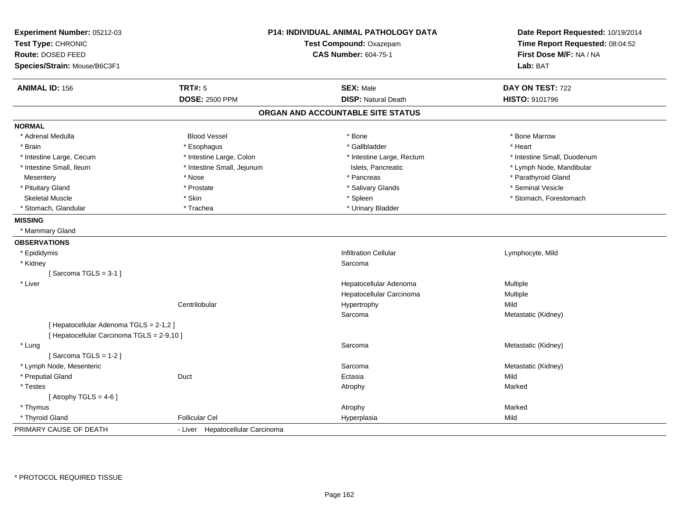| Experiment Number: 05212-03<br>Test Type: CHRONIC<br>Route: DOSED FEED<br>Species/Strain: Mouse/B6C3F1 | <b>P14: INDIVIDUAL ANIMAL PATHOLOGY DATA</b><br>Test Compound: Oxazepam<br><b>CAS Number: 604-75-1</b> |                                   | Date Report Requested: 10/19/2014<br>Time Report Requested: 08:04:52<br>First Dose M/F: NA / NA<br>Lab: BAT |  |
|--------------------------------------------------------------------------------------------------------|--------------------------------------------------------------------------------------------------------|-----------------------------------|-------------------------------------------------------------------------------------------------------------|--|
| <b>ANIMAL ID: 156</b>                                                                                  | <b>TRT#: 5</b>                                                                                         | <b>SEX: Male</b>                  | DAY ON TEST: 722                                                                                            |  |
|                                                                                                        | <b>DOSE: 2500 PPM</b>                                                                                  | <b>DISP: Natural Death</b>        | HISTO: 9101796                                                                                              |  |
|                                                                                                        |                                                                                                        | ORGAN AND ACCOUNTABLE SITE STATUS |                                                                                                             |  |
| <b>NORMAL</b>                                                                                          |                                                                                                        |                                   |                                                                                                             |  |
| * Adrenal Medulla                                                                                      | <b>Blood Vessel</b>                                                                                    | * Bone                            | * Bone Marrow                                                                                               |  |
| * Brain                                                                                                | * Esophagus                                                                                            | * Gallbladder                     | * Heart                                                                                                     |  |
| * Intestine Large, Cecum                                                                               | * Intestine Large, Colon                                                                               | * Intestine Large, Rectum         | * Intestine Small, Duodenum                                                                                 |  |
| * Intestine Small, Ileum                                                                               | * Intestine Small, Jejunum                                                                             | Islets, Pancreatic                | * Lymph Node, Mandibular                                                                                    |  |
| Mesentery                                                                                              | * Nose                                                                                                 | * Pancreas                        | * Parathyroid Gland                                                                                         |  |
| * Pituitary Gland                                                                                      | * Prostate                                                                                             | * Salivary Glands                 | * Seminal Vesicle                                                                                           |  |
| <b>Skeletal Muscle</b>                                                                                 | * Skin                                                                                                 | * Spleen                          | * Stomach, Forestomach                                                                                      |  |
| * Stomach, Glandular                                                                                   | * Trachea                                                                                              | * Urinary Bladder                 |                                                                                                             |  |
| <b>MISSING</b>                                                                                         |                                                                                                        |                                   |                                                                                                             |  |
| * Mammary Gland                                                                                        |                                                                                                        |                                   |                                                                                                             |  |
| <b>OBSERVATIONS</b>                                                                                    |                                                                                                        |                                   |                                                                                                             |  |
| * Epididymis                                                                                           |                                                                                                        | <b>Infiltration Cellular</b>      | Lymphocyte, Mild                                                                                            |  |
| * Kidney                                                                                               |                                                                                                        | Sarcoma                           |                                                                                                             |  |
| [Sarcoma TGLS = $3-1$ ]                                                                                |                                                                                                        |                                   |                                                                                                             |  |
| * Liver                                                                                                |                                                                                                        | Hepatocellular Adenoma            | Multiple                                                                                                    |  |
|                                                                                                        |                                                                                                        | Hepatocellular Carcinoma          | Multiple                                                                                                    |  |
|                                                                                                        | Centrilobular                                                                                          | Hypertrophy                       | Mild                                                                                                        |  |
|                                                                                                        |                                                                                                        | Sarcoma                           | Metastatic (Kidney)                                                                                         |  |
| [ Hepatocellular Adenoma TGLS = 2-1,2 ]                                                                |                                                                                                        |                                   |                                                                                                             |  |
| [ Hepatocellular Carcinoma TGLS = 2-9,10 ]                                                             |                                                                                                        |                                   |                                                                                                             |  |
| * Lung                                                                                                 |                                                                                                        | Sarcoma                           | Metastatic (Kidney)                                                                                         |  |
| [Sarcoma TGLS = $1-2$ ]                                                                                |                                                                                                        |                                   |                                                                                                             |  |
| * Lymph Node, Mesenteric                                                                               |                                                                                                        | Sarcoma                           | Metastatic (Kidney)                                                                                         |  |
| * Preputial Gland                                                                                      | Duct                                                                                                   | Ectasia                           | Mild                                                                                                        |  |
| * Testes                                                                                               |                                                                                                        | Atrophy                           | Marked                                                                                                      |  |
| [Atrophy TGLS = $4-6$ ]                                                                                |                                                                                                        |                                   |                                                                                                             |  |
| * Thymus                                                                                               |                                                                                                        | Atrophy                           | Marked                                                                                                      |  |
| * Thyroid Gland                                                                                        | <b>Follicular Cel</b>                                                                                  | Hyperplasia                       | Mild                                                                                                        |  |
| PRIMARY CAUSE OF DEATH                                                                                 | - Liver Hepatocellular Carcinoma                                                                       |                                   |                                                                                                             |  |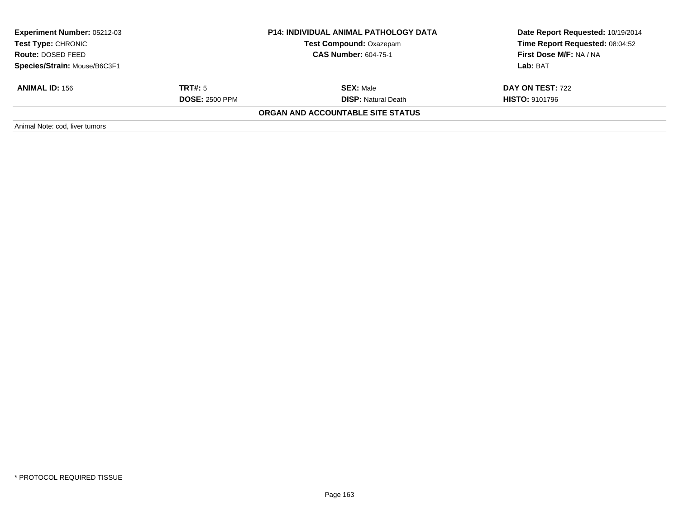| <b>Experiment Number: 05212-03</b><br>Test Type: CHRONIC |                             | <b>P14: INDIVIDUAL ANIMAL PATHOLOGY DATA</b> | Date Report Requested: 10/19/2014 |  |
|----------------------------------------------------------|-----------------------------|----------------------------------------------|-----------------------------------|--|
|                                                          |                             | <b>Test Compound: Oxazepam</b>               | Time Report Requested: 08:04:52   |  |
| Route: DOSED FEED                                        | <b>CAS Number: 604-75-1</b> |                                              | First Dose M/F: NA / NA           |  |
| Species/Strain: Mouse/B6C3F1                             |                             |                                              | Lab: BAT                          |  |
| <b>ANIMAL ID: 156</b>                                    | TRT#: 5                     | <b>SEX: Male</b>                             | <b>DAY ON TEST: 722</b>           |  |
|                                                          | <b>DOSE: 2500 PPM</b>       | <b>DISP: Natural Death</b>                   | <b>HISTO: 9101796</b>             |  |
|                                                          |                             | ORGAN AND ACCOUNTABLE SITE STATUS            |                                   |  |
| Animal Note: cod, liver tumors                           |                             |                                              |                                   |  |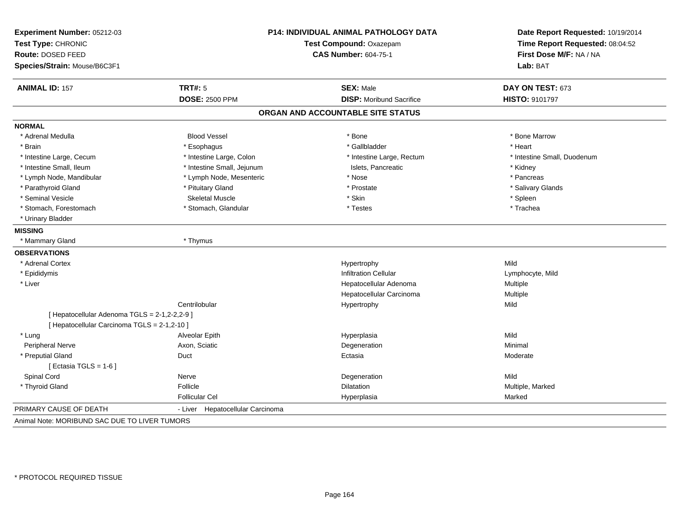| Experiment Number: 05212-03<br>Test Type: CHRONIC<br>Route: DOSED FEED<br>Species/Strain: Mouse/B6C3F1 |                                  | P14: INDIVIDUAL ANIMAL PATHOLOGY DATA<br>Test Compound: Oxazepam<br>CAS Number: 604-75-1 | Date Report Requested: 10/19/2014<br>Time Report Requested: 08:04:52<br>First Dose M/F: NA / NA<br>Lab: BAT |
|--------------------------------------------------------------------------------------------------------|----------------------------------|------------------------------------------------------------------------------------------|-------------------------------------------------------------------------------------------------------------|
| <b>ANIMAL ID: 157</b>                                                                                  | <b>TRT#: 5</b>                   | <b>SEX: Male</b>                                                                         | DAY ON TEST: 673                                                                                            |
|                                                                                                        | <b>DOSE: 2500 PPM</b>            | <b>DISP:</b> Moribund Sacrifice                                                          | <b>HISTO: 9101797</b>                                                                                       |
|                                                                                                        |                                  | ORGAN AND ACCOUNTABLE SITE STATUS                                                        |                                                                                                             |
| <b>NORMAL</b>                                                                                          |                                  |                                                                                          |                                                                                                             |
| * Adrenal Medulla                                                                                      | <b>Blood Vessel</b>              | * Bone                                                                                   | * Bone Marrow                                                                                               |
| * Brain                                                                                                | * Esophagus                      | * Gallbladder                                                                            | * Heart                                                                                                     |
| * Intestine Large, Cecum                                                                               | * Intestine Large, Colon         | * Intestine Large, Rectum                                                                | * Intestine Small, Duodenum                                                                                 |
| * Intestine Small, Ileum                                                                               | * Intestine Small, Jejunum       | Islets, Pancreatic                                                                       | * Kidney                                                                                                    |
| * Lymph Node, Mandibular                                                                               | * Lymph Node, Mesenteric         | * Nose                                                                                   | * Pancreas                                                                                                  |
| * Parathyroid Gland                                                                                    | * Pituitary Gland                | * Prostate                                                                               | * Salivary Glands                                                                                           |
| * Seminal Vesicle                                                                                      | <b>Skeletal Muscle</b>           | * Skin                                                                                   | * Spleen                                                                                                    |
| * Stomach, Forestomach                                                                                 | * Stomach, Glandular             | * Testes                                                                                 | * Trachea                                                                                                   |
| * Urinary Bladder                                                                                      |                                  |                                                                                          |                                                                                                             |
| <b>MISSING</b>                                                                                         |                                  |                                                                                          |                                                                                                             |
| * Mammary Gland                                                                                        | * Thymus                         |                                                                                          |                                                                                                             |
| <b>OBSERVATIONS</b>                                                                                    |                                  |                                                                                          |                                                                                                             |
| * Adrenal Cortex                                                                                       |                                  | Hypertrophy                                                                              | Mild                                                                                                        |
| * Epididymis                                                                                           |                                  | <b>Infiltration Cellular</b>                                                             | Lymphocyte, Mild                                                                                            |
| * Liver                                                                                                |                                  | Hepatocellular Adenoma                                                                   | Multiple                                                                                                    |
|                                                                                                        |                                  | Hepatocellular Carcinoma                                                                 | Multiple                                                                                                    |
|                                                                                                        | Centrilobular                    | Hypertrophy                                                                              | Mild                                                                                                        |
| [ Hepatocellular Adenoma TGLS = 2-1,2-2,2-9 ]                                                          |                                  |                                                                                          |                                                                                                             |
| [ Hepatocellular Carcinoma TGLS = 2-1,2-10 ]                                                           |                                  |                                                                                          |                                                                                                             |
| * Lung                                                                                                 | Alveolar Epith                   | Hyperplasia                                                                              | Mild                                                                                                        |
| Peripheral Nerve                                                                                       | Axon, Sciatic                    | Degeneration                                                                             | Minimal                                                                                                     |
| * Preputial Gland                                                                                      | Duct                             | Ectasia                                                                                  | Moderate                                                                                                    |
| [ Ectasia TGLS = $1-6$ ]                                                                               |                                  |                                                                                          |                                                                                                             |
| Spinal Cord                                                                                            | Nerve                            | Degeneration                                                                             | Mild                                                                                                        |
| * Thyroid Gland                                                                                        | Follicle                         | Dilatation                                                                               | Multiple, Marked                                                                                            |
|                                                                                                        | <b>Follicular Cel</b>            | Hyperplasia                                                                              | Marked                                                                                                      |
| PRIMARY CAUSE OF DEATH                                                                                 | - Liver Hepatocellular Carcinoma |                                                                                          |                                                                                                             |
| Animal Note: MORIBUND SAC DUE TO LIVER TUMORS                                                          |                                  |                                                                                          |                                                                                                             |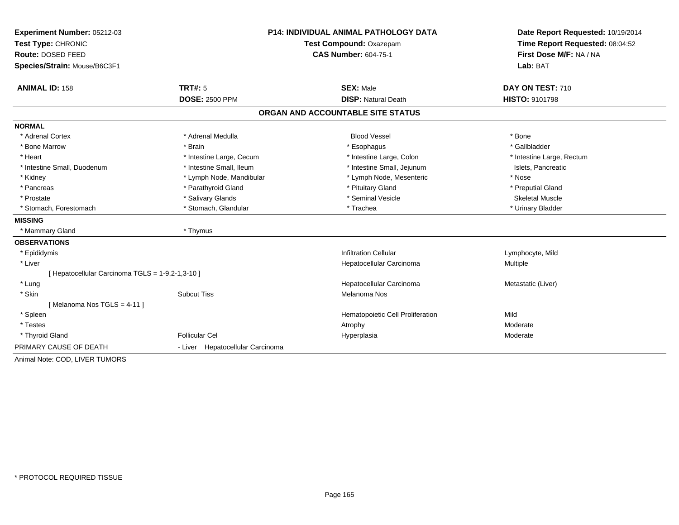| Experiment Number: 05212-03                      | P14: INDIVIDUAL ANIMAL PATHOLOGY DATA |                                   | Date Report Requested: 10/19/2014                          |  |
|--------------------------------------------------|---------------------------------------|-----------------------------------|------------------------------------------------------------|--|
| Test Type: CHRONIC                               |                                       | Test Compound: Oxazepam           |                                                            |  |
| Route: DOSED FEED                                |                                       | <b>CAS Number: 604-75-1</b>       | Time Report Requested: 08:04:52<br>First Dose M/F: NA / NA |  |
| Species/Strain: Mouse/B6C3F1                     |                                       |                                   | Lab: BAT                                                   |  |
| <b>ANIMAL ID: 158</b>                            | TRT#: 5                               | <b>SEX: Male</b>                  | DAY ON TEST: 710                                           |  |
|                                                  | <b>DOSE: 2500 PPM</b>                 | <b>DISP: Natural Death</b>        | <b>HISTO: 9101798</b>                                      |  |
|                                                  |                                       | ORGAN AND ACCOUNTABLE SITE STATUS |                                                            |  |
| <b>NORMAL</b>                                    |                                       |                                   |                                                            |  |
| * Adrenal Cortex                                 | * Adrenal Medulla                     | <b>Blood Vessel</b>               | * Bone                                                     |  |
| * Bone Marrow                                    | * Brain                               | * Esophagus                       | * Gallbladder                                              |  |
| * Heart                                          | * Intestine Large, Cecum              | * Intestine Large, Colon          | * Intestine Large, Rectum                                  |  |
| * Intestine Small, Duodenum                      | * Intestine Small, Ileum              | * Intestine Small, Jejunum        | Islets, Pancreatic                                         |  |
| * Kidney                                         | * Lymph Node, Mandibular              | * Lymph Node, Mesenteric          | * Nose                                                     |  |
| * Pancreas                                       | * Parathyroid Gland                   | * Pituitary Gland                 | * Preputial Gland                                          |  |
| * Prostate                                       | * Salivary Glands                     | * Seminal Vesicle                 | <b>Skeletal Muscle</b>                                     |  |
| * Stomach, Forestomach                           | * Stomach, Glandular                  | * Trachea                         | * Urinary Bladder                                          |  |
| <b>MISSING</b>                                   |                                       |                                   |                                                            |  |
| * Mammary Gland                                  | * Thymus                              |                                   |                                                            |  |
| <b>OBSERVATIONS</b>                              |                                       |                                   |                                                            |  |
| * Epididymis                                     |                                       | <b>Infiltration Cellular</b>      | Lymphocyte, Mild                                           |  |
| * Liver                                          |                                       | Hepatocellular Carcinoma          | <b>Multiple</b>                                            |  |
| [ Hepatocellular Carcinoma TGLS = 1-9,2-1,3-10 ] |                                       |                                   |                                                            |  |
| * Lung                                           |                                       | Hepatocellular Carcinoma          | Metastatic (Liver)                                         |  |
| * Skin                                           | <b>Subcut Tiss</b>                    | Melanoma Nos                      |                                                            |  |
| [Melanoma Nos TGLS = 4-11]                       |                                       |                                   |                                                            |  |
| * Spleen                                         |                                       | Hematopoietic Cell Proliferation  | Mild                                                       |  |
| * Testes                                         |                                       | Atrophy                           | Moderate                                                   |  |
| * Thyroid Gland                                  | Follicular Cel                        | Hyperplasia                       | Moderate                                                   |  |
| PRIMARY CAUSE OF DEATH                           | - Liver Hepatocellular Carcinoma      |                                   |                                                            |  |
| Animal Note: COD, LIVER TUMORS                   |                                       |                                   |                                                            |  |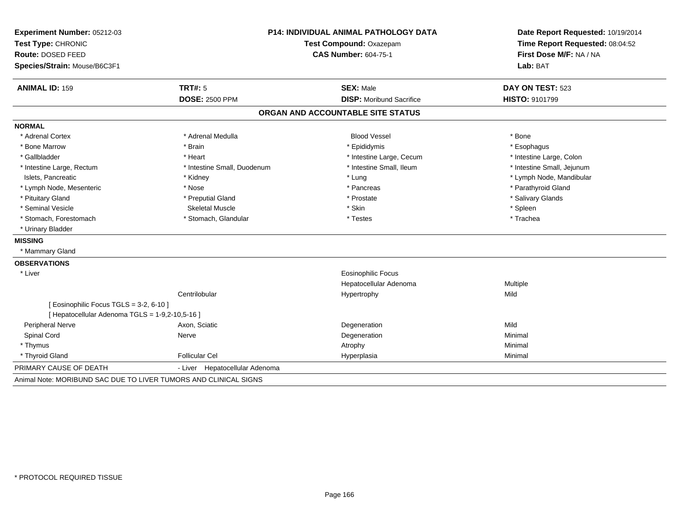| Experiment Number: 05212-03<br>Test Type: CHRONIC<br>Route: DOSED FEED<br>Species/Strain: Mouse/B6C3F1 | P14: INDIVIDUAL ANIMAL PATHOLOGY DATA<br>Test Compound: Oxazepam<br><b>CAS Number: 604-75-1</b> |                                   | Date Report Requested: 10/19/2014<br>Time Report Requested: 08:04:52<br>First Dose M/F: NA / NA<br>Lab: BAT |  |
|--------------------------------------------------------------------------------------------------------|-------------------------------------------------------------------------------------------------|-----------------------------------|-------------------------------------------------------------------------------------------------------------|--|
| <b>ANIMAL ID: 159</b>                                                                                  | <b>TRT#: 5</b>                                                                                  | <b>SEX: Male</b>                  | DAY ON TEST: 523                                                                                            |  |
|                                                                                                        | <b>DOSE: 2500 PPM</b>                                                                           | <b>DISP:</b> Moribund Sacrifice   | HISTO: 9101799                                                                                              |  |
|                                                                                                        |                                                                                                 | ORGAN AND ACCOUNTABLE SITE STATUS |                                                                                                             |  |
| <b>NORMAL</b>                                                                                          |                                                                                                 |                                   |                                                                                                             |  |
| * Adrenal Cortex                                                                                       | * Adrenal Medulla                                                                               | <b>Blood Vessel</b>               | * Bone                                                                                                      |  |
| * Bone Marrow                                                                                          | * Brain                                                                                         | * Epididymis                      | * Esophagus                                                                                                 |  |
| * Gallbladder                                                                                          | * Heart                                                                                         | * Intestine Large, Cecum          | * Intestine Large, Colon                                                                                    |  |
| * Intestine Large, Rectum                                                                              | * Intestine Small, Duodenum                                                                     | * Intestine Small, Ileum          | * Intestine Small, Jejunum                                                                                  |  |
| Islets, Pancreatic                                                                                     | * Kidney                                                                                        | * Lung                            | * Lymph Node, Mandibular                                                                                    |  |
| * Lymph Node, Mesenteric                                                                               | * Nose                                                                                          | * Pancreas                        | * Parathyroid Gland                                                                                         |  |
| * Pituitary Gland                                                                                      | * Preputial Gland                                                                               | * Prostate                        | * Salivary Glands                                                                                           |  |
| * Seminal Vesicle                                                                                      | <b>Skeletal Muscle</b>                                                                          | * Skin                            | * Spleen                                                                                                    |  |
| * Stomach, Forestomach                                                                                 | * Stomach, Glandular                                                                            | * Testes                          | * Trachea                                                                                                   |  |
| * Urinary Bladder                                                                                      |                                                                                                 |                                   |                                                                                                             |  |
| <b>MISSING</b>                                                                                         |                                                                                                 |                                   |                                                                                                             |  |
| * Mammary Gland                                                                                        |                                                                                                 |                                   |                                                                                                             |  |
| <b>OBSERVATIONS</b>                                                                                    |                                                                                                 |                                   |                                                                                                             |  |
| * Liver                                                                                                |                                                                                                 | <b>Eosinophilic Focus</b>         |                                                                                                             |  |
|                                                                                                        |                                                                                                 | Hepatocellular Adenoma            | Multiple                                                                                                    |  |
|                                                                                                        | Centrilobular                                                                                   | Hypertrophy                       | Mild                                                                                                        |  |
| [ Eosinophilic Focus TGLS = 3-2, 6-10 ]<br>[ Hepatocellular Adenoma TGLS = 1-9,2-10,5-16 ]             |                                                                                                 |                                   |                                                                                                             |  |
| Peripheral Nerve                                                                                       | Axon, Sciatic                                                                                   | Degeneration                      | Mild                                                                                                        |  |
| Spinal Cord                                                                                            | Nerve                                                                                           | Degeneration                      | Minimal                                                                                                     |  |
| * Thymus                                                                                               |                                                                                                 | Atrophy                           | Minimal                                                                                                     |  |
| * Thyroid Gland                                                                                        | <b>Follicular Cel</b>                                                                           | Hyperplasia                       | Minimal                                                                                                     |  |
| PRIMARY CAUSE OF DEATH                                                                                 | - Liver Hepatocellular Adenoma                                                                  |                                   |                                                                                                             |  |
| Animal Note: MORIBUND SAC DUE TO LIVER TUMORS AND CLINICAL SIGNS                                       |                                                                                                 |                                   |                                                                                                             |  |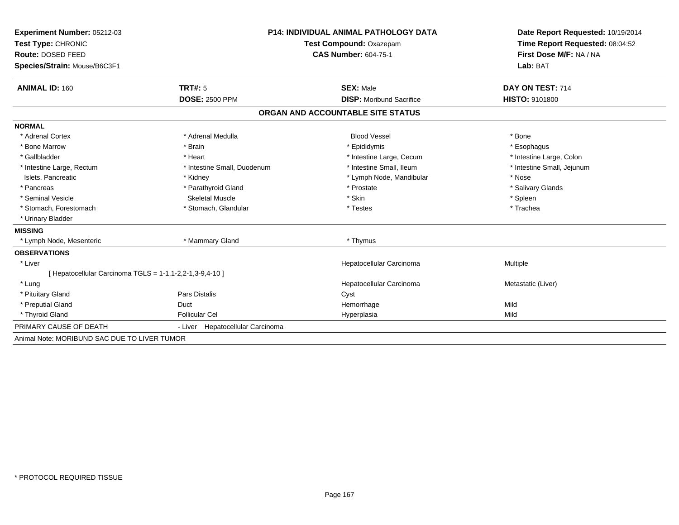| Experiment Number: 05212-03                              | <b>P14: INDIVIDUAL ANIMAL PATHOLOGY DATA</b><br>Test Compound: Oxazepam |                                   | Date Report Requested: 10/19/2014<br>Time Report Requested: 08:04:52 |  |
|----------------------------------------------------------|-------------------------------------------------------------------------|-----------------------------------|----------------------------------------------------------------------|--|
| Test Type: CHRONIC                                       |                                                                         |                                   |                                                                      |  |
| <b>Route: DOSED FEED</b>                                 |                                                                         | <b>CAS Number: 604-75-1</b>       | First Dose M/F: NA / NA                                              |  |
| Species/Strain: Mouse/B6C3F1                             |                                                                         |                                   | Lab: BAT                                                             |  |
| <b>ANIMAL ID: 160</b>                                    | TRT#: 5                                                                 | <b>SEX: Male</b>                  | DAY ON TEST: 714                                                     |  |
|                                                          | <b>DOSE: 2500 PPM</b>                                                   | <b>DISP:</b> Moribund Sacrifice   | <b>HISTO: 9101800</b>                                                |  |
|                                                          |                                                                         | ORGAN AND ACCOUNTABLE SITE STATUS |                                                                      |  |
| <b>NORMAL</b>                                            |                                                                         |                                   |                                                                      |  |
| * Adrenal Cortex                                         | * Adrenal Medulla                                                       | <b>Blood Vessel</b>               | * Bone                                                               |  |
| * Bone Marrow                                            | * Brain                                                                 | * Epididymis                      | * Esophagus                                                          |  |
| * Gallbladder                                            | * Heart                                                                 | * Intestine Large, Cecum          | * Intestine Large, Colon                                             |  |
| * Intestine Large, Rectum                                | * Intestine Small, Duodenum                                             | * Intestine Small, Ileum          | * Intestine Small, Jejunum                                           |  |
| Islets, Pancreatic                                       | * Kidney                                                                | * Lymph Node, Mandibular          | * Nose                                                               |  |
| * Pancreas                                               | * Parathyroid Gland                                                     | * Prostate                        | * Salivary Glands                                                    |  |
| * Seminal Vesicle                                        | Skeletal Muscle                                                         | * Skin                            | * Spleen                                                             |  |
| * Stomach, Forestomach                                   | * Stomach, Glandular                                                    | * Testes                          | * Trachea                                                            |  |
| * Urinary Bladder                                        |                                                                         |                                   |                                                                      |  |
| <b>MISSING</b>                                           |                                                                         |                                   |                                                                      |  |
| * Lymph Node, Mesenteric                                 | * Mammary Gland                                                         | * Thymus                          |                                                                      |  |
| <b>OBSERVATIONS</b>                                      |                                                                         |                                   |                                                                      |  |
| * Liver                                                  |                                                                         | Hepatocellular Carcinoma          | Multiple                                                             |  |
| [ Hepatocellular Carcinoma TGLS = 1-1,1-2,2-1,3-9,4-10 ] |                                                                         |                                   |                                                                      |  |
| * Lung                                                   |                                                                         | Hepatocellular Carcinoma          | Metastatic (Liver)                                                   |  |
| * Pituitary Gland                                        | Pars Distalis                                                           | Cyst                              |                                                                      |  |
| * Preputial Gland                                        | Duct                                                                    | Hemorrhage                        | Mild                                                                 |  |
| * Thyroid Gland                                          | <b>Follicular Cel</b>                                                   | Hyperplasia                       | Mild                                                                 |  |
| PRIMARY CAUSE OF DEATH                                   | - Liver Hepatocellular Carcinoma                                        |                                   |                                                                      |  |
| Animal Note: MORIBUND SAC DUE TO LIVER TUMOR             |                                                                         |                                   |                                                                      |  |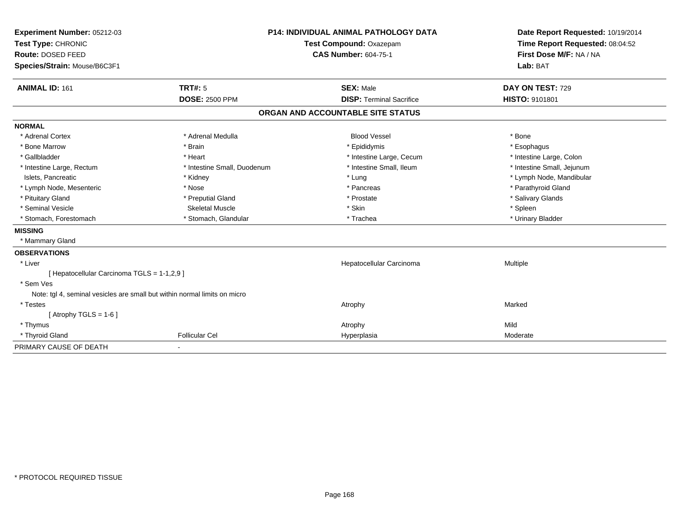| Experiment Number: 05212-03                                               | <b>P14: INDIVIDUAL ANIMAL PATHOLOGY DATA</b><br>Test Compound: Oxazepam |                                   | Date Report Requested: 10/19/2014 |
|---------------------------------------------------------------------------|-------------------------------------------------------------------------|-----------------------------------|-----------------------------------|
| Test Type: CHRONIC                                                        |                                                                         |                                   | Time Report Requested: 08:04:52   |
| Route: DOSED FEED                                                         |                                                                         | <b>CAS Number: 604-75-1</b>       | First Dose M/F: NA / NA           |
| Species/Strain: Mouse/B6C3F1                                              |                                                                         |                                   | Lab: BAT                          |
| <b>ANIMAL ID: 161</b>                                                     | <b>TRT#: 5</b>                                                          | <b>SEX: Male</b>                  | DAY ON TEST: 729                  |
|                                                                           | <b>DOSE: 2500 PPM</b>                                                   | <b>DISP: Terminal Sacrifice</b>   | HISTO: 9101801                    |
|                                                                           |                                                                         | ORGAN AND ACCOUNTABLE SITE STATUS |                                   |
| <b>NORMAL</b>                                                             |                                                                         |                                   |                                   |
| * Adrenal Cortex                                                          | * Adrenal Medulla                                                       | <b>Blood Vessel</b>               | * Bone                            |
| * Bone Marrow                                                             | * Brain                                                                 | * Epididymis                      | * Esophagus                       |
| * Gallbladder                                                             | * Heart                                                                 | * Intestine Large, Cecum          | * Intestine Large, Colon          |
| * Intestine Large, Rectum                                                 | * Intestine Small, Duodenum                                             | * Intestine Small, Ileum          | * Intestine Small, Jejunum        |
| Islets, Pancreatic                                                        | * Kidney                                                                | * Lung                            | * Lymph Node, Mandibular          |
| * Lymph Node, Mesenteric                                                  | * Nose                                                                  | * Pancreas                        | * Parathyroid Gland               |
| * Pituitary Gland                                                         | * Preputial Gland                                                       | * Prostate                        | * Salivary Glands                 |
| * Seminal Vesicle                                                         | <b>Skeletal Muscle</b>                                                  | * Skin                            | * Spleen                          |
| * Stomach, Forestomach                                                    | * Stomach, Glandular                                                    | * Trachea                         | * Urinary Bladder                 |
| <b>MISSING</b>                                                            |                                                                         |                                   |                                   |
| * Mammary Gland                                                           |                                                                         |                                   |                                   |
| <b>OBSERVATIONS</b>                                                       |                                                                         |                                   |                                   |
| * Liver                                                                   |                                                                         | Hepatocellular Carcinoma          | Multiple                          |
| [ Hepatocellular Carcinoma TGLS = 1-1,2,9 ]                               |                                                                         |                                   |                                   |
| * Sem Ves                                                                 |                                                                         |                                   |                                   |
| Note: tgl 4, seminal vesicles are small but within normal limits on micro |                                                                         |                                   |                                   |
| * Testes                                                                  |                                                                         | Atrophy                           | Marked                            |
| [Atrophy TGLS = $1-6$ ]                                                   |                                                                         |                                   |                                   |
| * Thymus                                                                  |                                                                         | Atrophy                           | Mild                              |
| * Thyroid Gland                                                           | <b>Follicular Cel</b>                                                   | Hyperplasia                       | Moderate                          |
| PRIMARY CAUSE OF DEATH                                                    |                                                                         |                                   |                                   |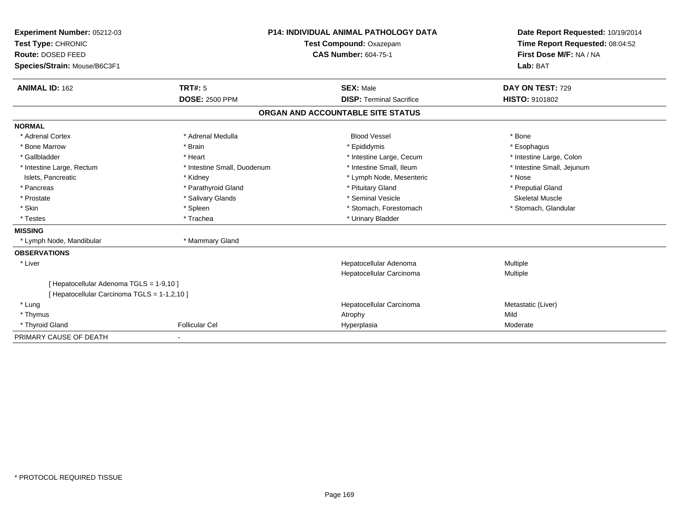| Experiment Number: 05212-03                                                              |                             | <b>P14: INDIVIDUAL ANIMAL PATHOLOGY DATA</b> | Date Report Requested: 10/19/2014 |
|------------------------------------------------------------------------------------------|-----------------------------|----------------------------------------------|-----------------------------------|
| Test Type: CHRONIC                                                                       |                             | Test Compound: Oxazepam                      | Time Report Requested: 08:04:52   |
| <b>Route: DOSED FEED</b>                                                                 |                             | <b>CAS Number: 604-75-1</b>                  | First Dose M/F: NA / NA           |
| Species/Strain: Mouse/B6C3F1                                                             |                             |                                              | Lab: BAT                          |
| <b>ANIMAL ID: 162</b>                                                                    | TRT#: 5                     | <b>SEX: Male</b>                             | DAY ON TEST: 729                  |
|                                                                                          | <b>DOSE: 2500 PPM</b>       | <b>DISP: Terminal Sacrifice</b>              | HISTO: 9101802                    |
|                                                                                          |                             | ORGAN AND ACCOUNTABLE SITE STATUS            |                                   |
| <b>NORMAL</b>                                                                            |                             |                                              |                                   |
| * Adrenal Cortex                                                                         | * Adrenal Medulla           | <b>Blood Vessel</b>                          | * Bone                            |
| * Bone Marrow                                                                            | * Brain                     | * Epididymis                                 | * Esophagus                       |
| * Gallbladder                                                                            | * Heart                     | * Intestine Large, Cecum                     | * Intestine Large, Colon          |
| * Intestine Large, Rectum                                                                | * Intestine Small, Duodenum | * Intestine Small, Ileum                     | * Intestine Small, Jejunum        |
| Islets, Pancreatic                                                                       | * Kidney                    | * Lymph Node, Mesenteric                     | * Nose                            |
| * Pancreas                                                                               | * Parathyroid Gland         | * Pituitary Gland                            | * Preputial Gland                 |
| * Prostate                                                                               | * Salivary Glands           | * Seminal Vesicle                            | <b>Skeletal Muscle</b>            |
| * Skin                                                                                   | * Spleen                    | * Stomach, Forestomach                       | * Stomach, Glandular              |
| * Testes                                                                                 | * Trachea                   | * Urinary Bladder                            |                                   |
| <b>MISSING</b>                                                                           |                             |                                              |                                   |
| * Lymph Node, Mandibular                                                                 | * Mammary Gland             |                                              |                                   |
| <b>OBSERVATIONS</b>                                                                      |                             |                                              |                                   |
| * Liver                                                                                  |                             | Hepatocellular Adenoma                       | Multiple                          |
|                                                                                          |                             | Hepatocellular Carcinoma                     | Multiple                          |
| [ Hepatocellular Adenoma TGLS = 1-9,10 ]<br>[ Hepatocellular Carcinoma TGLS = 1-1,2,10 ] |                             |                                              |                                   |
| * Lung                                                                                   |                             | Hepatocellular Carcinoma                     | Metastatic (Liver)                |
| * Thymus                                                                                 |                             | Atrophy                                      | Mild                              |
| * Thyroid Gland                                                                          | <b>Follicular Cel</b>       | Hyperplasia                                  | Moderate                          |
| PRIMARY CAUSE OF DEATH                                                                   | $\overline{\phantom{a}}$    |                                              |                                   |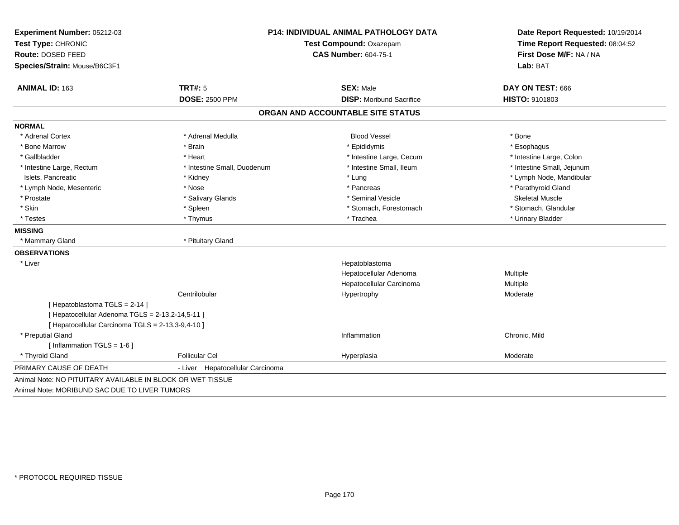| Experiment Number: 05212-03                       | <b>P14: INDIVIDUAL ANIMAL PATHOLOGY DATA</b> |                                   | Date Report Requested: 10/19/2014 |  |
|---------------------------------------------------|----------------------------------------------|-----------------------------------|-----------------------------------|--|
| Test Type: CHRONIC                                |                                              | Test Compound: Oxazepam           |                                   |  |
| Route: DOSED FEED                                 |                                              | <b>CAS Number: 604-75-1</b>       | First Dose M/F: NA / NA           |  |
| Species/Strain: Mouse/B6C3F1                      |                                              |                                   | Lab: BAT                          |  |
| ANIMAL ID: 163                                    | <b>TRT#: 5</b>                               | <b>SEX: Male</b>                  | DAY ON TEST: 666                  |  |
|                                                   | <b>DOSE: 2500 PPM</b>                        | <b>DISP:</b> Moribund Sacrifice   | HISTO: 9101803                    |  |
|                                                   |                                              | ORGAN AND ACCOUNTABLE SITE STATUS |                                   |  |
| <b>NORMAL</b>                                     |                                              |                                   |                                   |  |
| * Adrenal Cortex                                  | * Adrenal Medulla                            | <b>Blood Vessel</b>               | * Bone                            |  |
| * Bone Marrow                                     | * Brain                                      | * Epididymis                      | * Esophagus                       |  |
| * Gallbladder                                     | * Heart                                      | * Intestine Large, Cecum          | * Intestine Large, Colon          |  |
| * Intestine Large, Rectum                         | * Intestine Small, Duodenum                  | * Intestine Small, Ileum          | * Intestine Small, Jejunum        |  |
| Islets, Pancreatic                                | * Kidney                                     | * Lung                            | * Lymph Node, Mandibular          |  |
| * Lymph Node, Mesenteric                          | * Nose                                       | * Pancreas                        | * Parathyroid Gland               |  |
| * Prostate                                        | * Salivary Glands                            | * Seminal Vesicle                 | <b>Skeletal Muscle</b>            |  |
| * Skin                                            | * Spleen                                     | * Stomach, Forestomach            | * Stomach, Glandular              |  |
| * Testes                                          | * Thymus                                     | * Trachea                         | * Urinary Bladder                 |  |
| <b>MISSING</b>                                    |                                              |                                   |                                   |  |
| * Mammary Gland                                   | * Pituitary Gland                            |                                   |                                   |  |
| <b>OBSERVATIONS</b>                               |                                              |                                   |                                   |  |
| * Liver                                           |                                              | Hepatoblastoma                    |                                   |  |
|                                                   |                                              | Hepatocellular Adenoma            | Multiple                          |  |
|                                                   |                                              | Hepatocellular Carcinoma          | Multiple                          |  |
|                                                   | Centrilobular                                | Hypertrophy                       | Moderate                          |  |
| [Hepatoblastoma TGLS = 2-14]                      |                                              |                                   |                                   |  |
| [ Hepatocellular Adenoma TGLS = 2-13,2-14,5-11 ]  |                                              |                                   |                                   |  |
| [ Hepatocellular Carcinoma TGLS = 2-13,3-9,4-10 ] |                                              |                                   |                                   |  |
| * Preputial Gland                                 |                                              | Inflammation                      | Chronic, Mild                     |  |
| [ Inflammation TGLS = 1-6 ]                       |                                              |                                   |                                   |  |
| * Thyroid Gland                                   | <b>Follicular Cel</b>                        | Hyperplasia                       | Moderate                          |  |
| PRIMARY CAUSE OF DEATH                            | - Liver Hepatocellular Carcinoma             |                                   |                                   |  |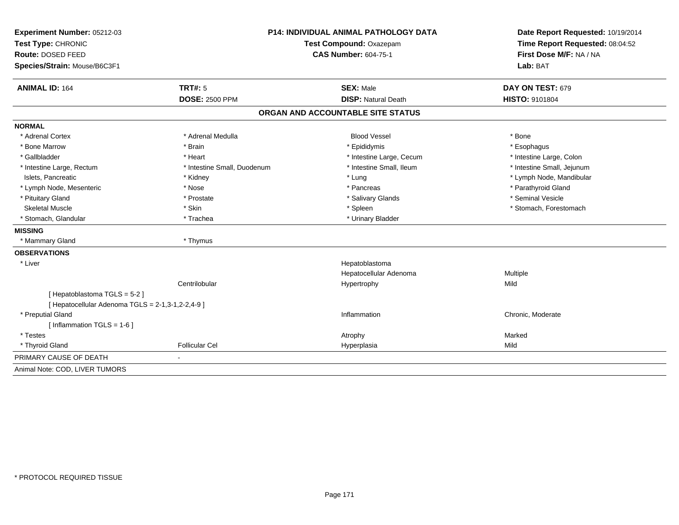| Experiment Number: 05212-03<br>Test Type: CHRONIC<br>Route: DOSED FEED | <b>P14: INDIVIDUAL ANIMAL PATHOLOGY DATA</b><br>Test Compound: Oxazepam<br><b>CAS Number: 604-75-1</b> |                                   | Date Report Requested: 10/19/2014<br>Time Report Requested: 08:04:52<br>First Dose M/F: NA / NA<br>Lab: BAT |  |
|------------------------------------------------------------------------|--------------------------------------------------------------------------------------------------------|-----------------------------------|-------------------------------------------------------------------------------------------------------------|--|
| Species/Strain: Mouse/B6C3F1                                           |                                                                                                        |                                   |                                                                                                             |  |
| <b>ANIMAL ID: 164</b>                                                  | <b>TRT#: 5</b>                                                                                         | <b>SEX: Male</b>                  | DAY ON TEST: 679                                                                                            |  |
|                                                                        | <b>DOSE: 2500 PPM</b>                                                                                  | <b>DISP: Natural Death</b>        | HISTO: 9101804                                                                                              |  |
|                                                                        |                                                                                                        | ORGAN AND ACCOUNTABLE SITE STATUS |                                                                                                             |  |
| <b>NORMAL</b>                                                          |                                                                                                        |                                   |                                                                                                             |  |
| * Adrenal Cortex                                                       | * Adrenal Medulla                                                                                      | <b>Blood Vessel</b>               | * Bone                                                                                                      |  |
| * Bone Marrow                                                          | * Brain                                                                                                | * Epididymis                      | * Esophagus                                                                                                 |  |
| * Gallbladder                                                          | * Heart                                                                                                | * Intestine Large, Cecum          | * Intestine Large, Colon                                                                                    |  |
| * Intestine Large, Rectum                                              | * Intestine Small, Duodenum                                                                            | * Intestine Small, Ileum          | * Intestine Small, Jejunum                                                                                  |  |
| Islets, Pancreatic                                                     | * Kidney                                                                                               | * Lung                            | * Lymph Node, Mandibular                                                                                    |  |
| * Lymph Node, Mesenteric                                               | * Nose                                                                                                 | * Pancreas                        | * Parathyroid Gland                                                                                         |  |
| * Pituitary Gland                                                      | * Prostate                                                                                             | * Salivary Glands                 | * Seminal Vesicle                                                                                           |  |
| <b>Skeletal Muscle</b>                                                 | * Skin                                                                                                 | * Spleen                          | * Stomach, Forestomach                                                                                      |  |
| * Stomach, Glandular                                                   | * Trachea                                                                                              | * Urinary Bladder                 |                                                                                                             |  |
| <b>MISSING</b>                                                         |                                                                                                        |                                   |                                                                                                             |  |
| * Mammary Gland                                                        | * Thymus                                                                                               |                                   |                                                                                                             |  |
| <b>OBSERVATIONS</b>                                                    |                                                                                                        |                                   |                                                                                                             |  |
| * Liver                                                                |                                                                                                        | Hepatoblastoma                    |                                                                                                             |  |
|                                                                        |                                                                                                        | Hepatocellular Adenoma            | Multiple                                                                                                    |  |
|                                                                        | Centrilobular                                                                                          | Hypertrophy                       | Mild                                                                                                        |  |
| [Hepatoblastoma TGLS = 5-2]                                            |                                                                                                        |                                   |                                                                                                             |  |
| [ Hepatocellular Adenoma TGLS = 2-1,3-1,2-2,4-9 ]                      |                                                                                                        |                                   |                                                                                                             |  |
| * Preputial Gland                                                      |                                                                                                        | Inflammation                      | Chronic, Moderate                                                                                           |  |
| [Inflammation TGLS = $1-6$ ]                                           |                                                                                                        |                                   |                                                                                                             |  |
| * Testes                                                               |                                                                                                        | Atrophy                           | Marked                                                                                                      |  |
| * Thyroid Gland                                                        | <b>Follicular Cel</b>                                                                                  | Hyperplasia                       | Mild                                                                                                        |  |
| PRIMARY CAUSE OF DEATH                                                 |                                                                                                        |                                   |                                                                                                             |  |
| Animal Note: COD, LIVER TUMORS                                         |                                                                                                        |                                   |                                                                                                             |  |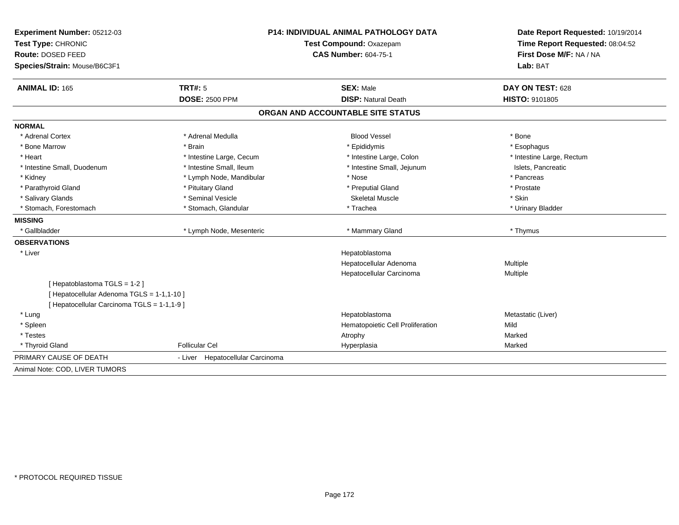| Experiment Number: 05212-03                                                             | <b>P14: INDIVIDUAL ANIMAL PATHOLOGY DATA</b> |                                   | Date Report Requested: 10/19/2014 |  |
|-----------------------------------------------------------------------------------------|----------------------------------------------|-----------------------------------|-----------------------------------|--|
| Test Type: CHRONIC                                                                      |                                              | Test Compound: Oxazepam           | Time Report Requested: 08:04:52   |  |
| Route: DOSED FEED                                                                       |                                              | <b>CAS Number: 604-75-1</b>       | First Dose M/F: NA / NA           |  |
| Species/Strain: Mouse/B6C3F1                                                            |                                              |                                   | Lab: BAT                          |  |
| <b>ANIMAL ID: 165</b>                                                                   | TRT#: 5                                      | <b>SEX: Male</b>                  | DAY ON TEST: 628                  |  |
|                                                                                         | <b>DOSE: 2500 PPM</b>                        | <b>DISP: Natural Death</b>        | HISTO: 9101805                    |  |
|                                                                                         |                                              | ORGAN AND ACCOUNTABLE SITE STATUS |                                   |  |
| <b>NORMAL</b>                                                                           |                                              |                                   |                                   |  |
| * Adrenal Cortex                                                                        | * Adrenal Medulla                            | <b>Blood Vessel</b>               | * Bone                            |  |
| * Bone Marrow                                                                           | * Brain                                      | * Epididymis                      | * Esophagus                       |  |
| * Heart                                                                                 | * Intestine Large, Cecum                     | * Intestine Large, Colon          | * Intestine Large, Rectum         |  |
| * Intestine Small, Duodenum                                                             | * Intestine Small, Ileum                     | * Intestine Small, Jejunum        | Islets, Pancreatic                |  |
| * Kidney                                                                                | * Lymph Node, Mandibular                     | * Nose                            | * Pancreas                        |  |
| * Parathyroid Gland                                                                     | * Pituitary Gland                            | * Preputial Gland                 | * Prostate                        |  |
| * Salivary Glands                                                                       | * Seminal Vesicle                            | <b>Skeletal Muscle</b>            | * Skin                            |  |
| * Stomach, Forestomach                                                                  | * Stomach, Glandular                         | * Trachea                         | * Urinary Bladder                 |  |
| <b>MISSING</b>                                                                          |                                              |                                   |                                   |  |
| * Gallbladder                                                                           | * Lymph Node, Mesenteric                     | * Mammary Gland                   | * Thymus                          |  |
| <b>OBSERVATIONS</b>                                                                     |                                              |                                   |                                   |  |
| * Liver                                                                                 |                                              | Hepatoblastoma                    |                                   |  |
|                                                                                         |                                              | Hepatocellular Adenoma            | Multiple                          |  |
|                                                                                         |                                              | Hepatocellular Carcinoma          | Multiple                          |  |
| [Hepatoblastoma TGLS = 1-2]                                                             |                                              |                                   |                                   |  |
| [Hepatocellular Adenoma TGLS = 1-1,1-10]<br>[ Hepatocellular Carcinoma TGLS = 1-1,1-9 ] |                                              |                                   |                                   |  |
| * Lung                                                                                  |                                              | Hepatoblastoma                    | Metastatic (Liver)                |  |
| * Spleen                                                                                |                                              | Hematopoietic Cell Proliferation  | Mild                              |  |
| * Testes                                                                                |                                              | Atrophy                           | Marked                            |  |
| * Thyroid Gland                                                                         | <b>Follicular Cel</b>                        | Hyperplasia                       | Marked                            |  |
| PRIMARY CAUSE OF DEATH                                                                  | - Liver Hepatocellular Carcinoma             |                                   |                                   |  |
| Animal Note: COD, LIVER TUMORS                                                          |                                              |                                   |                                   |  |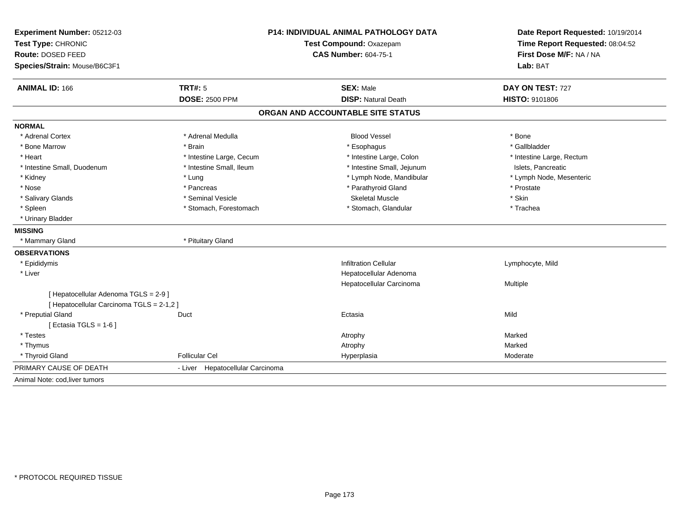| Experiment Number: 05212-03<br>Test Type: CHRONIC<br>Route: DOSED FEED<br>Species/Strain: Mouse/B6C3F1 |                                  | <b>P14: INDIVIDUAL ANIMAL PATHOLOGY DATA</b><br>Test Compound: Oxazepam<br><b>CAS Number: 604-75-1</b> |                           |
|--------------------------------------------------------------------------------------------------------|----------------------------------|--------------------------------------------------------------------------------------------------------|---------------------------|
| <b>ANIMAL ID: 166</b>                                                                                  | TRT#: 5                          | <b>SEX: Male</b>                                                                                       | DAY ON TEST: 727          |
|                                                                                                        | <b>DOSE: 2500 PPM</b>            | <b>DISP: Natural Death</b>                                                                             | HISTO: 9101806            |
|                                                                                                        |                                  | ORGAN AND ACCOUNTABLE SITE STATUS                                                                      |                           |
| <b>NORMAL</b>                                                                                          |                                  |                                                                                                        |                           |
| * Adrenal Cortex                                                                                       | * Adrenal Medulla                | <b>Blood Vessel</b>                                                                                    | * Bone                    |
| * Bone Marrow                                                                                          | * Brain                          | * Esophagus                                                                                            | * Gallbladder             |
| * Heart                                                                                                | * Intestine Large, Cecum         | * Intestine Large, Colon                                                                               | * Intestine Large, Rectum |
| * Intestine Small, Duodenum                                                                            | * Intestine Small, Ileum         | * Intestine Small, Jejunum                                                                             | Islets, Pancreatic        |
| * Kidney                                                                                               | * Lung                           | * Lymph Node, Mandibular                                                                               | * Lymph Node, Mesenteric  |
| * Nose                                                                                                 | * Pancreas                       | * Parathyroid Gland                                                                                    | * Prostate                |
| * Salivary Glands                                                                                      | * Seminal Vesicle                | <b>Skeletal Muscle</b>                                                                                 | * Skin                    |
| * Spleen                                                                                               | * Stomach, Forestomach           | * Stomach, Glandular                                                                                   | * Trachea                 |
| * Urinary Bladder                                                                                      |                                  |                                                                                                        |                           |
| <b>MISSING</b>                                                                                         |                                  |                                                                                                        |                           |
| * Mammary Gland                                                                                        | * Pituitary Gland                |                                                                                                        |                           |
| <b>OBSERVATIONS</b>                                                                                    |                                  |                                                                                                        |                           |
| * Epididymis                                                                                           |                                  | <b>Infiltration Cellular</b>                                                                           | Lymphocyte, Mild          |
| * Liver                                                                                                |                                  | Hepatocellular Adenoma                                                                                 |                           |
|                                                                                                        |                                  | Hepatocellular Carcinoma                                                                               | Multiple                  |
| [ Hepatocellular Adenoma TGLS = 2-9 ]                                                                  |                                  |                                                                                                        |                           |
| [ Hepatocellular Carcinoma TGLS = 2-1,2 ]                                                              |                                  |                                                                                                        |                           |
| * Preputial Gland                                                                                      | Duct                             | Ectasia                                                                                                | Mild                      |
| [Ectasia TGLS = $1-6$ ]                                                                                |                                  |                                                                                                        |                           |
| * Testes                                                                                               |                                  | Atrophy                                                                                                | Marked                    |
| * Thymus                                                                                               |                                  | Atrophy                                                                                                | Marked                    |
| * Thyroid Gland                                                                                        | <b>Follicular Cel</b>            | Hyperplasia                                                                                            | Moderate                  |
| PRIMARY CAUSE OF DEATH                                                                                 | - Liver Hepatocellular Carcinoma |                                                                                                        |                           |
| Animal Note: cod, liver tumors                                                                         |                                  |                                                                                                        |                           |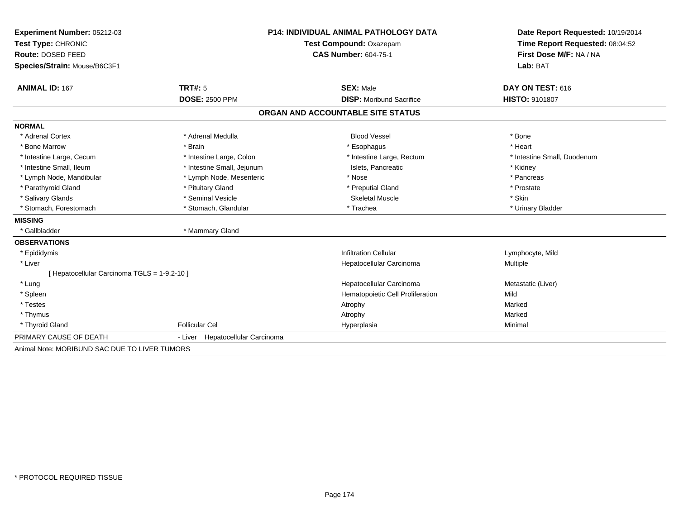| Experiment Number: 05212-03                   | <b>P14: INDIVIDUAL ANIMAL PATHOLOGY DATA</b><br>Test Compound: Oxazepam |                                   | Date Report Requested: 10/19/2014 |  |
|-----------------------------------------------|-------------------------------------------------------------------------|-----------------------------------|-----------------------------------|--|
| Test Type: CHRONIC                            |                                                                         |                                   | Time Report Requested: 08:04:52   |  |
| Route: DOSED FEED                             |                                                                         | <b>CAS Number: 604-75-1</b>       | First Dose M/F: NA / NA           |  |
| Species/Strain: Mouse/B6C3F1                  |                                                                         |                                   | Lab: BAT                          |  |
| <b>ANIMAL ID: 167</b>                         | TRT#: 5                                                                 | <b>SEX: Male</b>                  | DAY ON TEST: 616                  |  |
|                                               | <b>DOSE: 2500 PPM</b>                                                   | <b>DISP:</b> Moribund Sacrifice   | <b>HISTO: 9101807</b>             |  |
|                                               |                                                                         | ORGAN AND ACCOUNTABLE SITE STATUS |                                   |  |
| <b>NORMAL</b>                                 |                                                                         |                                   |                                   |  |
| * Adrenal Cortex                              | * Adrenal Medulla                                                       | <b>Blood Vessel</b>               | * Bone                            |  |
| * Bone Marrow                                 | * Brain                                                                 | * Esophagus                       | * Heart                           |  |
| * Intestine Large, Cecum                      | * Intestine Large, Colon                                                | * Intestine Large, Rectum         | * Intestine Small, Duodenum       |  |
| * Intestine Small, Ileum                      | * Intestine Small, Jejunum                                              | Islets, Pancreatic                | * Kidney                          |  |
| * Lymph Node, Mandibular                      | * Lymph Node, Mesenteric                                                | * Nose                            | * Pancreas                        |  |
| * Parathyroid Gland                           | * Pituitary Gland                                                       | * Preputial Gland                 | * Prostate                        |  |
| * Salivary Glands                             | * Seminal Vesicle                                                       | <b>Skeletal Muscle</b>            | * Skin                            |  |
| * Stomach, Forestomach                        | * Stomach, Glandular                                                    | * Trachea                         | * Urinary Bladder                 |  |
| <b>MISSING</b>                                |                                                                         |                                   |                                   |  |
| * Gallbladder                                 | * Mammary Gland                                                         |                                   |                                   |  |
| <b>OBSERVATIONS</b>                           |                                                                         |                                   |                                   |  |
| * Epididymis                                  |                                                                         | <b>Infiltration Cellular</b>      | Lymphocyte, Mild                  |  |
| * Liver                                       |                                                                         | Hepatocellular Carcinoma          | <b>Multiple</b>                   |  |
| [ Hepatocellular Carcinoma TGLS = 1-9,2-10 ]  |                                                                         |                                   |                                   |  |
| * Lung                                        |                                                                         | Hepatocellular Carcinoma          | Metastatic (Liver)                |  |
| * Spleen                                      |                                                                         | Hematopoietic Cell Proliferation  | Mild                              |  |
| * Testes                                      |                                                                         | Atrophy                           | Marked                            |  |
| * Thymus                                      |                                                                         | Atrophy                           | Marked                            |  |
| * Thyroid Gland                               | <b>Follicular Cel</b>                                                   | Hyperplasia                       | Minimal                           |  |
| PRIMARY CAUSE OF DEATH                        | - Liver Hepatocellular Carcinoma                                        |                                   |                                   |  |
| Animal Note: MORIBUND SAC DUE TO LIVER TUMORS |                                                                         |                                   |                                   |  |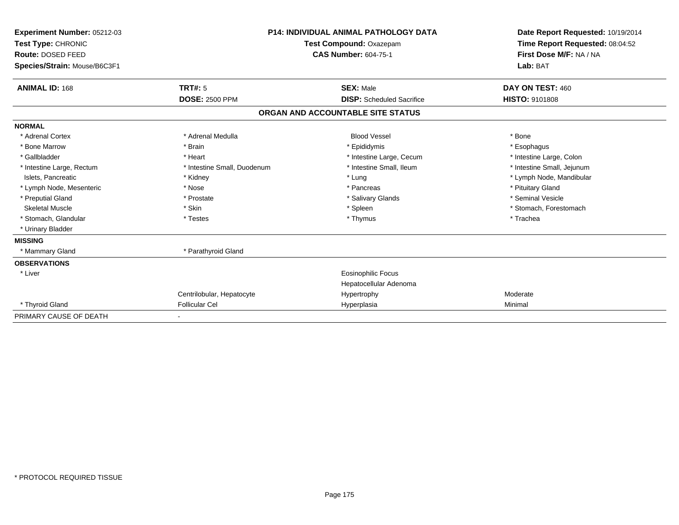| Experiment Number: 05212-03<br>Test Type: CHRONIC<br><b>Route: DOSED FEED</b><br>Species/Strain: Mouse/B6C3F1 |                             | <b>P14: INDIVIDUAL ANIMAL PATHOLOGY DATA</b><br>Test Compound: Oxazepam<br><b>CAS Number: 604-75-1</b> | Date Report Requested: 10/19/2014<br>Time Report Requested: 08:04:52<br>First Dose M/F: NA / NA<br>Lab: BAT |
|---------------------------------------------------------------------------------------------------------------|-----------------------------|--------------------------------------------------------------------------------------------------------|-------------------------------------------------------------------------------------------------------------|
| <b>ANIMAL ID: 168</b>                                                                                         | <b>TRT#: 5</b>              | <b>SEX: Male</b>                                                                                       | DAY ON TEST: 460                                                                                            |
|                                                                                                               | <b>DOSE: 2500 PPM</b>       | <b>DISP:</b> Scheduled Sacrifice                                                                       | <b>HISTO: 9101808</b>                                                                                       |
|                                                                                                               |                             | ORGAN AND ACCOUNTABLE SITE STATUS                                                                      |                                                                                                             |
| <b>NORMAL</b>                                                                                                 |                             |                                                                                                        |                                                                                                             |
| * Adrenal Cortex                                                                                              | * Adrenal Medulla           | <b>Blood Vessel</b>                                                                                    | * Bone                                                                                                      |
| * Bone Marrow                                                                                                 | * Brain                     | * Epididymis                                                                                           | * Esophagus                                                                                                 |
| * Gallbladder                                                                                                 | * Heart                     | * Intestine Large, Cecum                                                                               | * Intestine Large, Colon                                                                                    |
| * Intestine Large, Rectum                                                                                     | * Intestine Small, Duodenum | * Intestine Small, Ileum                                                                               | * Intestine Small, Jejunum                                                                                  |
| Islets, Pancreatic                                                                                            | * Kidney                    | * Lung                                                                                                 | * Lymph Node, Mandibular                                                                                    |
| * Lymph Node, Mesenteric                                                                                      | * Nose                      | * Pancreas                                                                                             | * Pituitary Gland                                                                                           |
| * Preputial Gland                                                                                             | * Prostate                  | * Salivary Glands                                                                                      | * Seminal Vesicle                                                                                           |
| <b>Skeletal Muscle</b>                                                                                        | * Skin                      | * Spleen                                                                                               | * Stomach, Forestomach                                                                                      |
| * Stomach, Glandular                                                                                          | * Testes                    | * Thymus                                                                                               | * Trachea                                                                                                   |
| * Urinary Bladder                                                                                             |                             |                                                                                                        |                                                                                                             |
| <b>MISSING</b>                                                                                                |                             |                                                                                                        |                                                                                                             |
| * Mammary Gland                                                                                               | * Parathyroid Gland         |                                                                                                        |                                                                                                             |
| <b>OBSERVATIONS</b>                                                                                           |                             |                                                                                                        |                                                                                                             |
| * Liver                                                                                                       |                             | Eosinophilic Focus<br>Hepatocellular Adenoma                                                           |                                                                                                             |
|                                                                                                               | Centrilobular, Hepatocyte   | Hypertrophy                                                                                            | Moderate                                                                                                    |
| * Thyroid Gland                                                                                               | <b>Follicular Cel</b>       | Hyperplasia                                                                                            | Minimal                                                                                                     |
| PRIMARY CAUSE OF DEATH                                                                                        |                             |                                                                                                        |                                                                                                             |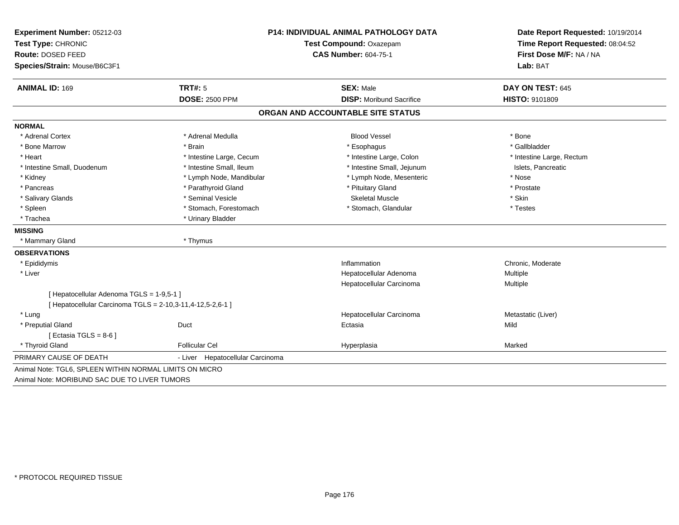| Experiment Number: 05212-03                                | P14: INDIVIDUAL ANIMAL PATHOLOGY DATA |                                   | Date Report Requested: 10/19/2014<br>Time Report Requested: 08:04:52 |  |
|------------------------------------------------------------|---------------------------------------|-----------------------------------|----------------------------------------------------------------------|--|
| Test Type: CHRONIC                                         |                                       | Test Compound: Oxazepam           |                                                                      |  |
| Route: DOSED FEED                                          |                                       | <b>CAS Number: 604-75-1</b>       | First Dose M/F: NA / NA                                              |  |
| Species/Strain: Mouse/B6C3F1                               |                                       |                                   | Lab: BAT                                                             |  |
| <b>ANIMAL ID: 169</b>                                      | <b>TRT#: 5</b>                        | <b>SEX: Male</b>                  | DAY ON TEST: 645                                                     |  |
|                                                            | <b>DOSE: 2500 PPM</b>                 | <b>DISP:</b> Moribund Sacrifice   | HISTO: 9101809                                                       |  |
|                                                            |                                       | ORGAN AND ACCOUNTABLE SITE STATUS |                                                                      |  |
| <b>NORMAL</b>                                              |                                       |                                   |                                                                      |  |
| * Adrenal Cortex                                           | * Adrenal Medulla                     | <b>Blood Vessel</b>               | * Bone                                                               |  |
| * Bone Marrow                                              | * Brain                               | * Esophagus                       | * Gallbladder                                                        |  |
| * Heart                                                    | * Intestine Large, Cecum              | * Intestine Large, Colon          | * Intestine Large, Rectum                                            |  |
| * Intestine Small, Duodenum                                | * Intestine Small, Ileum              | * Intestine Small, Jejunum        | Islets, Pancreatic                                                   |  |
| * Kidney                                                   | * Lymph Node, Mandibular              | * Lymph Node, Mesenteric          | * Nose                                                               |  |
| * Pancreas                                                 | * Parathyroid Gland                   | * Pituitary Gland                 | * Prostate                                                           |  |
| * Salivary Glands                                          | * Seminal Vesicle                     | <b>Skeletal Muscle</b>            | * Skin                                                               |  |
| * Spleen                                                   | * Stomach, Forestomach                | * Stomach, Glandular              | * Testes                                                             |  |
| * Trachea                                                  | * Urinary Bladder                     |                                   |                                                                      |  |
| <b>MISSING</b>                                             |                                       |                                   |                                                                      |  |
| * Mammary Gland                                            | * Thymus                              |                                   |                                                                      |  |
| <b>OBSERVATIONS</b>                                        |                                       |                                   |                                                                      |  |
| * Epididymis                                               |                                       | Inflammation                      | Chronic, Moderate                                                    |  |
| * Liver                                                    |                                       | Hepatocellular Adenoma            | Multiple                                                             |  |
|                                                            |                                       | Hepatocellular Carcinoma          | Multiple                                                             |  |
| [ Hepatocellular Adenoma TGLS = 1-9,5-1 ]                  |                                       |                                   |                                                                      |  |
| [ Hepatocellular Carcinoma TGLS = 2-10,3-11,4-12,5-2,6-1 ] |                                       |                                   |                                                                      |  |
| * Lung                                                     |                                       | Hepatocellular Carcinoma          | Metastatic (Liver)                                                   |  |
| * Preputial Gland                                          | Duct                                  | Ectasia                           | Mild                                                                 |  |
| [ Ectasia TGLS = $8-6$ ]                                   |                                       |                                   |                                                                      |  |
| * Thyroid Gland                                            | <b>Follicular Cel</b>                 | Hyperplasia                       | Marked                                                               |  |
| PRIMARY CAUSE OF DEATH                                     | - Liver Hepatocellular Carcinoma      |                                   |                                                                      |  |
| Animal Note: TGL6, SPLEEN WITHIN NORMAL LIMITS ON MICRO    |                                       |                                   |                                                                      |  |
| Animal Note: MORIBUND SAC DUE TO LIVER TUMORS              |                                       |                                   |                                                                      |  |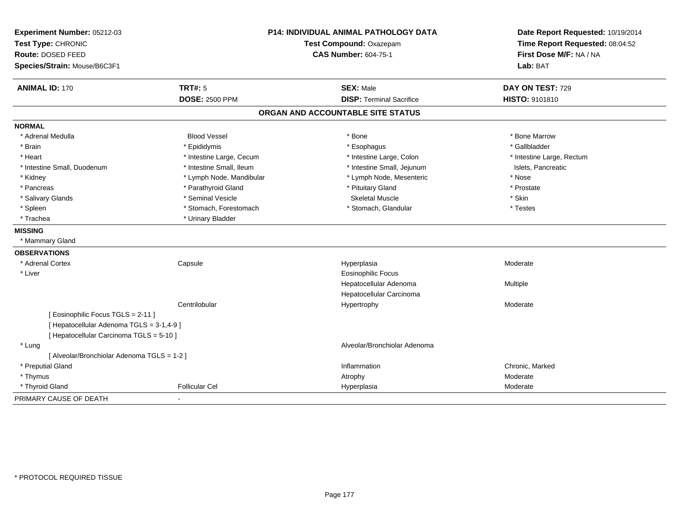| Experiment Number: 05212-03<br>Test Type: CHRONIC<br>Route: DOSED FEED<br>Species/Strain: Mouse/B6C3F1 | P14: INDIVIDUAL ANIMAL PATHOLOGY DATA<br>Test Compound: Oxazepam<br><b>CAS Number: 604-75-1</b> |                                   | Date Report Requested: 10/19/2014<br>Time Report Requested: 08:04:52<br>First Dose M/F: NA / NA<br>Lab: BAT |  |
|--------------------------------------------------------------------------------------------------------|-------------------------------------------------------------------------------------------------|-----------------------------------|-------------------------------------------------------------------------------------------------------------|--|
| <b>ANIMAL ID: 170</b>                                                                                  | <b>TRT#: 5</b>                                                                                  | <b>SEX: Male</b>                  | DAY ON TEST: 729                                                                                            |  |
|                                                                                                        | <b>DOSE: 2500 PPM</b>                                                                           | <b>DISP: Terminal Sacrifice</b>   | HISTO: 9101810                                                                                              |  |
|                                                                                                        |                                                                                                 | ORGAN AND ACCOUNTABLE SITE STATUS |                                                                                                             |  |
| <b>NORMAL</b>                                                                                          |                                                                                                 |                                   |                                                                                                             |  |
| * Adrenal Medulla                                                                                      | <b>Blood Vessel</b>                                                                             | * Bone                            | * Bone Marrow                                                                                               |  |
| * Brain                                                                                                | * Epididymis                                                                                    | * Esophagus                       | * Gallbladder                                                                                               |  |
| * Heart                                                                                                | * Intestine Large, Cecum                                                                        | * Intestine Large, Colon          | * Intestine Large, Rectum                                                                                   |  |
| * Intestine Small, Duodenum                                                                            | * Intestine Small, Ileum                                                                        | * Intestine Small, Jejunum        | Islets, Pancreatic                                                                                          |  |
| * Kidney                                                                                               | * Lymph Node, Mandibular                                                                        | * Lymph Node, Mesenteric          | * Nose                                                                                                      |  |
| * Pancreas                                                                                             | * Parathyroid Gland                                                                             | * Pituitary Gland                 | * Prostate                                                                                                  |  |
| * Salivary Glands                                                                                      | * Seminal Vesicle                                                                               | <b>Skeletal Muscle</b>            | * Skin                                                                                                      |  |
| * Spleen                                                                                               | * Stomach, Forestomach                                                                          | * Stomach, Glandular              | * Testes                                                                                                    |  |
| * Trachea                                                                                              | * Urinary Bladder                                                                               |                                   |                                                                                                             |  |
| <b>MISSING</b>                                                                                         |                                                                                                 |                                   |                                                                                                             |  |
| * Mammary Gland                                                                                        |                                                                                                 |                                   |                                                                                                             |  |
| <b>OBSERVATIONS</b>                                                                                    |                                                                                                 |                                   |                                                                                                             |  |
| * Adrenal Cortex                                                                                       | Capsule                                                                                         | Hyperplasia                       | Moderate                                                                                                    |  |
| * Liver                                                                                                |                                                                                                 | <b>Eosinophilic Focus</b>         |                                                                                                             |  |
|                                                                                                        |                                                                                                 | Hepatocellular Adenoma            | Multiple                                                                                                    |  |
|                                                                                                        |                                                                                                 | Hepatocellular Carcinoma          |                                                                                                             |  |
|                                                                                                        | Centrilobular                                                                                   | Hypertrophy                       | Moderate                                                                                                    |  |
| [Eosinophilic Focus TGLS = 2-11]                                                                       |                                                                                                 |                                   |                                                                                                             |  |
| [ Hepatocellular Adenoma TGLS = 3-1,4-9 ]                                                              |                                                                                                 |                                   |                                                                                                             |  |
| [ Hepatocellular Carcinoma TGLS = 5-10 ]                                                               |                                                                                                 |                                   |                                                                                                             |  |
| * Lung                                                                                                 |                                                                                                 | Alveolar/Bronchiolar Adenoma      |                                                                                                             |  |
| [ Alveolar/Bronchiolar Adenoma TGLS = 1-2 ]                                                            |                                                                                                 |                                   |                                                                                                             |  |
| * Preputial Gland                                                                                      |                                                                                                 | Inflammation                      | Chronic, Marked                                                                                             |  |
| * Thymus                                                                                               |                                                                                                 | Atrophy                           | Moderate                                                                                                    |  |
| * Thyroid Gland                                                                                        | <b>Follicular Cel</b>                                                                           | Hyperplasia                       | Moderate                                                                                                    |  |
| PRIMARY CAUSE OF DEATH                                                                                 | $\blacksquare$                                                                                  |                                   |                                                                                                             |  |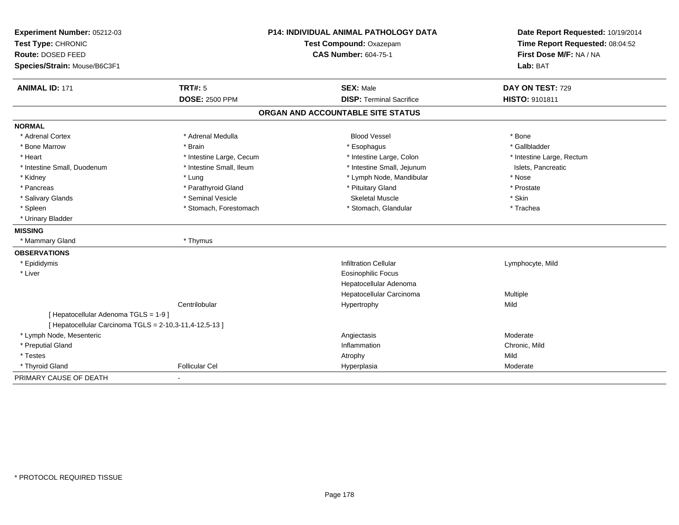| Experiment Number: 05212-03<br>Test Type: CHRONIC<br>Route: DOSED FEED<br>Species/Strain: Mouse/B6C3F1 |                          | <b>P14: INDIVIDUAL ANIMAL PATHOLOGY DATA</b><br>Test Compound: Oxazepam<br><b>CAS Number: 604-75-1</b> | Date Report Requested: 10/19/2014<br>Time Report Requested: 08:04:52<br>First Dose M/F: NA / NA<br>Lab: BAT |
|--------------------------------------------------------------------------------------------------------|--------------------------|--------------------------------------------------------------------------------------------------------|-------------------------------------------------------------------------------------------------------------|
| <b>ANIMAL ID: 171</b>                                                                                  | <b>TRT#: 5</b>           | <b>SEX: Male</b>                                                                                       | DAY ON TEST: 729                                                                                            |
|                                                                                                        | <b>DOSE: 2500 PPM</b>    | <b>DISP: Terminal Sacrifice</b>                                                                        | HISTO: 9101811                                                                                              |
|                                                                                                        |                          | ORGAN AND ACCOUNTABLE SITE STATUS                                                                      |                                                                                                             |
| <b>NORMAL</b>                                                                                          |                          |                                                                                                        |                                                                                                             |
| * Adrenal Cortex                                                                                       | * Adrenal Medulla        | <b>Blood Vessel</b>                                                                                    | * Bone                                                                                                      |
| * Bone Marrow                                                                                          | * Brain                  | * Esophagus                                                                                            | * Gallbladder                                                                                               |
| * Heart                                                                                                | * Intestine Large, Cecum | * Intestine Large, Colon                                                                               | * Intestine Large, Rectum                                                                                   |
| * Intestine Small, Duodenum                                                                            | * Intestine Small, Ileum | * Intestine Small, Jejunum                                                                             | Islets, Pancreatic                                                                                          |
| * Kidney                                                                                               | * Lung                   | * Lymph Node, Mandibular                                                                               | * Nose                                                                                                      |
| * Pancreas                                                                                             | * Parathyroid Gland      | * Pituitary Gland                                                                                      | * Prostate                                                                                                  |
| * Salivary Glands                                                                                      | * Seminal Vesicle        | <b>Skeletal Muscle</b>                                                                                 | * Skin                                                                                                      |
| * Spleen                                                                                               | * Stomach, Forestomach   | * Stomach, Glandular                                                                                   | * Trachea                                                                                                   |
| * Urinary Bladder                                                                                      |                          |                                                                                                        |                                                                                                             |
| <b>MISSING</b>                                                                                         |                          |                                                                                                        |                                                                                                             |
| * Mammary Gland                                                                                        | * Thymus                 |                                                                                                        |                                                                                                             |
| <b>OBSERVATIONS</b>                                                                                    |                          |                                                                                                        |                                                                                                             |
| * Epididymis                                                                                           |                          | <b>Infiltration Cellular</b>                                                                           | Lymphocyte, Mild                                                                                            |
| * Liver                                                                                                |                          | <b>Eosinophilic Focus</b>                                                                              |                                                                                                             |
|                                                                                                        |                          | Hepatocellular Adenoma                                                                                 |                                                                                                             |
|                                                                                                        |                          | Hepatocellular Carcinoma                                                                               | Multiple                                                                                                    |
|                                                                                                        | Centrilobular            | Hypertrophy                                                                                            | Mild                                                                                                        |
| [ Hepatocellular Adenoma TGLS = 1-9 ]                                                                  |                          |                                                                                                        |                                                                                                             |
| [ Hepatocellular Carcinoma TGLS = 2-10,3-11,4-12,5-13 ]                                                |                          |                                                                                                        |                                                                                                             |
| * Lymph Node, Mesenteric                                                                               |                          | Angiectasis                                                                                            | Moderate                                                                                                    |
| * Preputial Gland                                                                                      |                          | Inflammation                                                                                           | Chronic, Mild                                                                                               |
| * Testes                                                                                               |                          | Atrophy                                                                                                | Mild                                                                                                        |
| * Thyroid Gland                                                                                        | <b>Follicular Cel</b>    | Hyperplasia                                                                                            | Moderate                                                                                                    |
| PRIMARY CAUSE OF DEATH                                                                                 |                          |                                                                                                        |                                                                                                             |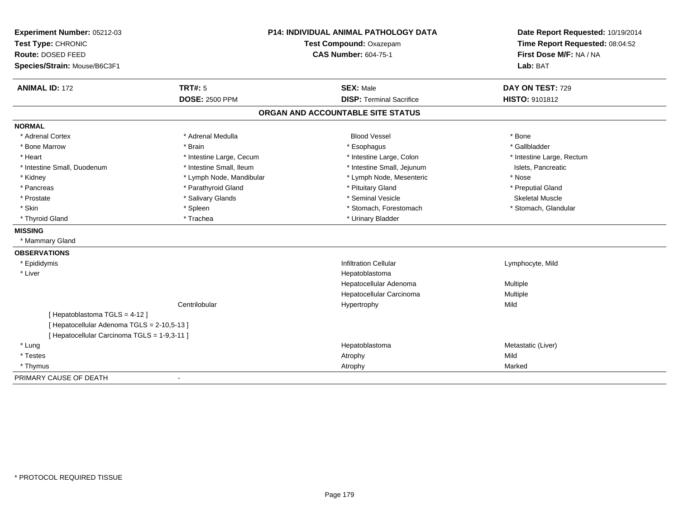| Experiment Number: 05212-03<br>Test Type: CHRONIC<br>Route: DOSED FEED<br>Species/Strain: Mouse/B6C3F1 | P14: INDIVIDUAL ANIMAL PATHOLOGY DATA<br>Test Compound: Oxazepam<br><b>CAS Number: 604-75-1</b> |                                   | Date Report Requested: 10/19/2014<br>Time Report Requested: 08:04:52<br>First Dose M/F: NA / NA<br>Lab: BAT |  |
|--------------------------------------------------------------------------------------------------------|-------------------------------------------------------------------------------------------------|-----------------------------------|-------------------------------------------------------------------------------------------------------------|--|
| <b>ANIMAL ID: 172</b>                                                                                  | <b>TRT#: 5</b>                                                                                  | <b>SEX: Male</b>                  | DAY ON TEST: 729                                                                                            |  |
|                                                                                                        | <b>DOSE: 2500 PPM</b>                                                                           | <b>DISP: Terminal Sacrifice</b>   | HISTO: 9101812                                                                                              |  |
|                                                                                                        |                                                                                                 | ORGAN AND ACCOUNTABLE SITE STATUS |                                                                                                             |  |
| <b>NORMAL</b>                                                                                          |                                                                                                 |                                   |                                                                                                             |  |
| * Adrenal Cortex                                                                                       | * Adrenal Medulla                                                                               | <b>Blood Vessel</b>               | * Bone                                                                                                      |  |
| * Bone Marrow                                                                                          | * Brain                                                                                         | * Esophagus                       | * Gallbladder                                                                                               |  |
| * Heart                                                                                                | * Intestine Large, Cecum                                                                        | * Intestine Large, Colon          | * Intestine Large, Rectum                                                                                   |  |
| * Intestine Small, Duodenum                                                                            | * Intestine Small, Ileum                                                                        | * Intestine Small, Jejunum        | Islets, Pancreatic                                                                                          |  |
| * Kidney                                                                                               | * Lymph Node, Mandibular                                                                        | * Lymph Node, Mesenteric          | * Nose                                                                                                      |  |
| * Pancreas                                                                                             | * Parathyroid Gland                                                                             | * Pituitary Gland                 | * Preputial Gland                                                                                           |  |
| * Prostate                                                                                             | * Salivary Glands                                                                               | * Seminal Vesicle                 | <b>Skeletal Muscle</b>                                                                                      |  |
| * Skin                                                                                                 | * Spleen                                                                                        | * Stomach, Forestomach            | * Stomach, Glandular                                                                                        |  |
| * Thyroid Gland                                                                                        | * Trachea                                                                                       | * Urinary Bladder                 |                                                                                                             |  |
| <b>MISSING</b>                                                                                         |                                                                                                 |                                   |                                                                                                             |  |
| * Mammary Gland                                                                                        |                                                                                                 |                                   |                                                                                                             |  |
| <b>OBSERVATIONS</b>                                                                                    |                                                                                                 |                                   |                                                                                                             |  |
| * Epididymis                                                                                           |                                                                                                 | <b>Infiltration Cellular</b>      | Lymphocyte, Mild                                                                                            |  |
| * Liver                                                                                                |                                                                                                 | Hepatoblastoma                    |                                                                                                             |  |
|                                                                                                        |                                                                                                 | Hepatocellular Adenoma            | Multiple                                                                                                    |  |
|                                                                                                        |                                                                                                 | Hepatocellular Carcinoma          | Multiple                                                                                                    |  |
|                                                                                                        | Centrilobular                                                                                   | Hypertrophy                       | Mild                                                                                                        |  |
| [Hepatoblastoma TGLS = 4-12]                                                                           |                                                                                                 |                                   |                                                                                                             |  |
| [ Hepatocellular Adenoma TGLS = 2-10,5-13 ]                                                            |                                                                                                 |                                   |                                                                                                             |  |
| [ Hepatocellular Carcinoma TGLS = 1-9,3-11 ]                                                           |                                                                                                 |                                   |                                                                                                             |  |
| * Lung                                                                                                 |                                                                                                 | Hepatoblastoma                    | Metastatic (Liver)                                                                                          |  |
| * Testes                                                                                               |                                                                                                 | Atrophy                           | Mild                                                                                                        |  |
| * Thymus                                                                                               |                                                                                                 | Atrophy                           | Marked                                                                                                      |  |
| PRIMARY CAUSE OF DEATH                                                                                 |                                                                                                 |                                   |                                                                                                             |  |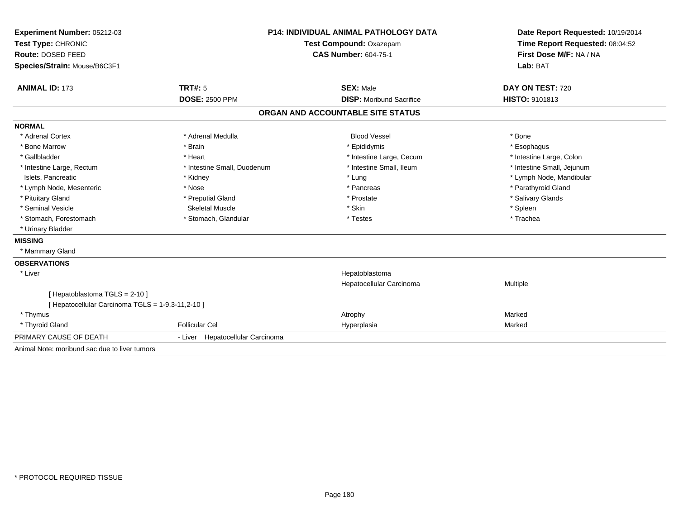| Experiment Number: 05212-03                       | <b>P14: INDIVIDUAL ANIMAL PATHOLOGY DATA</b> |                                   | Date Report Requested: 10/19/2014                          |  |
|---------------------------------------------------|----------------------------------------------|-----------------------------------|------------------------------------------------------------|--|
| Test Type: CHRONIC                                |                                              | Test Compound: Oxazepam           | Time Report Requested: 08:04:52<br>First Dose M/F: NA / NA |  |
| Route: DOSED FEED                                 |                                              | <b>CAS Number: 604-75-1</b>       |                                                            |  |
| Species/Strain: Mouse/B6C3F1                      |                                              |                                   | Lab: BAT                                                   |  |
| <b>ANIMAL ID: 173</b>                             | <b>TRT#: 5</b>                               | <b>SEX: Male</b>                  | DAY ON TEST: 720                                           |  |
|                                                   | <b>DOSE: 2500 PPM</b>                        | <b>DISP:</b> Moribund Sacrifice   | HISTO: 9101813                                             |  |
|                                                   |                                              | ORGAN AND ACCOUNTABLE SITE STATUS |                                                            |  |
| <b>NORMAL</b>                                     |                                              |                                   |                                                            |  |
| * Adrenal Cortex                                  | * Adrenal Medulla                            | <b>Blood Vessel</b>               | * Bone                                                     |  |
| * Bone Marrow                                     | * Brain                                      | * Epididymis                      | * Esophagus                                                |  |
| * Gallbladder                                     | * Heart                                      | * Intestine Large, Cecum          | * Intestine Large, Colon                                   |  |
| * Intestine Large, Rectum                         | * Intestine Small, Duodenum                  | * Intestine Small, Ileum          | * Intestine Small, Jejunum                                 |  |
| Islets, Pancreatic                                | * Kidney                                     | * Lung                            | * Lymph Node, Mandibular                                   |  |
| * Lymph Node, Mesenteric                          | * Nose                                       | * Pancreas                        | * Parathyroid Gland                                        |  |
| * Pituitary Gland                                 | * Preputial Gland                            | * Prostate                        | * Salivary Glands                                          |  |
| * Seminal Vesicle                                 | <b>Skeletal Muscle</b>                       | * Skin                            | * Spleen                                                   |  |
| * Stomach, Forestomach                            | * Stomach, Glandular                         | * Testes                          | * Trachea                                                  |  |
| * Urinary Bladder                                 |                                              |                                   |                                                            |  |
| <b>MISSING</b>                                    |                                              |                                   |                                                            |  |
| * Mammary Gland                                   |                                              |                                   |                                                            |  |
| <b>OBSERVATIONS</b>                               |                                              |                                   |                                                            |  |
| * Liver                                           |                                              | Hepatoblastoma                    |                                                            |  |
|                                                   |                                              | Hepatocellular Carcinoma          | Multiple                                                   |  |
| [Hepatoblastoma TGLS = 2-10]                      |                                              |                                   |                                                            |  |
| [ Hepatocellular Carcinoma TGLS = 1-9,3-11,2-10 ] |                                              |                                   |                                                            |  |
| * Thymus                                          |                                              | Atrophy                           | Marked                                                     |  |
| * Thyroid Gland                                   | <b>Follicular Cel</b>                        | Hyperplasia                       | Marked                                                     |  |
| PRIMARY CAUSE OF DEATH                            | - Liver Hepatocellular Carcinoma             |                                   |                                                            |  |
| Animal Note: moribund sac due to liver tumors     |                                              |                                   |                                                            |  |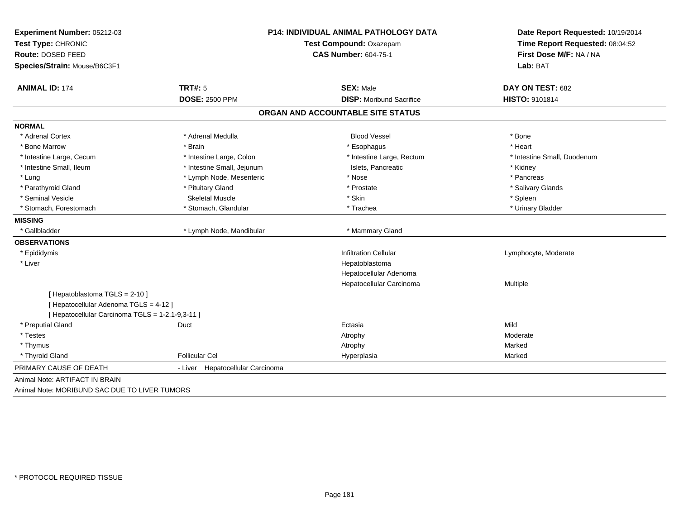| Experiment Number: 05212-03                      | <b>P14: INDIVIDUAL ANIMAL PATHOLOGY DATA</b> |                                                        | Date Report Requested: 10/19/2014<br>Time Report Requested: 08:04:52 |  |
|--------------------------------------------------|----------------------------------------------|--------------------------------------------------------|----------------------------------------------------------------------|--|
| Test Type: CHRONIC                               |                                              | Test Compound: Oxazepam<br><b>CAS Number: 604-75-1</b> |                                                                      |  |
| Route: DOSED FEED                                |                                              |                                                        |                                                                      |  |
| Species/Strain: Mouse/B6C3F1                     |                                              |                                                        | Lab: BAT                                                             |  |
| <b>ANIMAL ID: 174</b>                            | <b>TRT#: 5</b>                               | <b>SEX: Male</b>                                       | DAY ON TEST: 682                                                     |  |
|                                                  | <b>DOSE: 2500 PPM</b>                        | <b>DISP:</b> Moribund Sacrifice                        | HISTO: 9101814                                                       |  |
|                                                  |                                              | ORGAN AND ACCOUNTABLE SITE STATUS                      |                                                                      |  |
| <b>NORMAL</b>                                    |                                              |                                                        |                                                                      |  |
| * Adrenal Cortex                                 | * Adrenal Medulla                            | <b>Blood Vessel</b>                                    | * Bone                                                               |  |
| * Bone Marrow                                    | * Brain                                      | * Esophagus                                            | * Heart                                                              |  |
| * Intestine Large, Cecum                         | * Intestine Large, Colon                     | * Intestine Large, Rectum                              | * Intestine Small, Duodenum                                          |  |
| * Intestine Small, Ileum                         | * Intestine Small, Jejunum                   | Islets, Pancreatic                                     | * Kidney                                                             |  |
| * Lung                                           | * Lymph Node, Mesenteric                     | * Nose                                                 | * Pancreas                                                           |  |
| * Parathyroid Gland                              | * Pituitary Gland                            | * Prostate                                             | * Salivary Glands                                                    |  |
| * Seminal Vesicle                                | <b>Skeletal Muscle</b>                       | * Skin                                                 | * Spleen                                                             |  |
| * Stomach, Forestomach                           | * Stomach, Glandular                         | * Trachea                                              | * Urinary Bladder                                                    |  |
| <b>MISSING</b>                                   |                                              |                                                        |                                                                      |  |
| * Gallbladder                                    | * Lymph Node, Mandibular                     | * Mammary Gland                                        |                                                                      |  |
| <b>OBSERVATIONS</b>                              |                                              |                                                        |                                                                      |  |
| * Epididymis                                     |                                              | <b>Infiltration Cellular</b>                           | Lymphocyte, Moderate                                                 |  |
| * Liver                                          |                                              | Hepatoblastoma                                         |                                                                      |  |
|                                                  |                                              | Hepatocellular Adenoma                                 |                                                                      |  |
|                                                  |                                              | Hepatocellular Carcinoma                               | Multiple                                                             |  |
| [Hepatoblastoma TGLS = 2-10]                     |                                              |                                                        |                                                                      |  |
| [ Hepatocellular Adenoma TGLS = 4-12 ]           |                                              |                                                        |                                                                      |  |
| [ Hepatocellular Carcinoma TGLS = 1-2,1-9,3-11 ] |                                              |                                                        |                                                                      |  |
| * Preputial Gland                                | Duct                                         | Ectasia                                                | Mild                                                                 |  |
| * Testes                                         |                                              | Atrophy                                                | Moderate                                                             |  |
| * Thymus                                         |                                              | Atrophy                                                | Marked                                                               |  |
| * Thyroid Gland                                  | <b>Follicular Cel</b>                        | Hyperplasia                                            | Marked                                                               |  |
| PRIMARY CAUSE OF DEATH                           | - Liver Hepatocellular Carcinoma             |                                                        |                                                                      |  |
| Animal Note: ARTIFACT IN BRAIN                   |                                              |                                                        |                                                                      |  |
| Animal Note: MORIBUND SAC DUE TO LIVER TUMORS    |                                              |                                                        |                                                                      |  |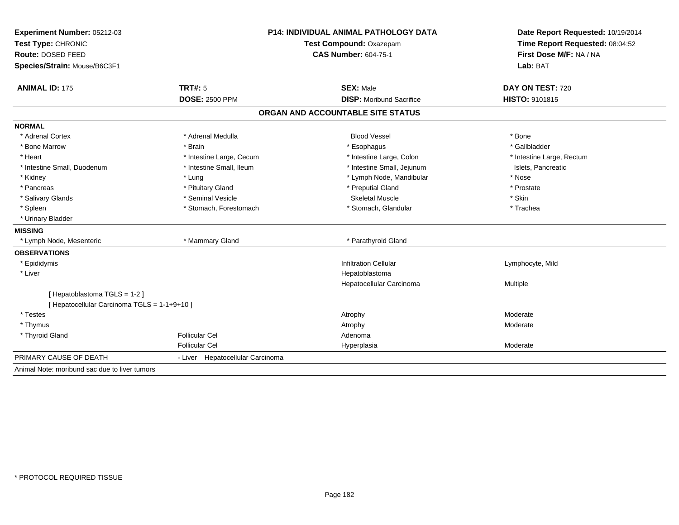| Experiment Number: 05212-03<br>Test Type: CHRONIC | <b>P14: INDIVIDUAL ANIMAL PATHOLOGY DATA</b><br>Test Compound: Oxazepam |                                   | Date Report Requested: 10/19/2014<br>Time Report Requested: 08:04:52 |  |
|---------------------------------------------------|-------------------------------------------------------------------------|-----------------------------------|----------------------------------------------------------------------|--|
| Route: DOSED FEED                                 |                                                                         | <b>CAS Number: 604-75-1</b>       | First Dose M/F: NA / NA                                              |  |
| Species/Strain: Mouse/B6C3F1                      |                                                                         |                                   | Lab: BAT                                                             |  |
| <b>ANIMAL ID: 175</b>                             | <b>TRT#: 5</b>                                                          | <b>SEX: Male</b>                  | DAY ON TEST: 720                                                     |  |
|                                                   | <b>DOSE: 2500 PPM</b>                                                   | <b>DISP:</b> Moribund Sacrifice   | HISTO: 9101815                                                       |  |
|                                                   |                                                                         | ORGAN AND ACCOUNTABLE SITE STATUS |                                                                      |  |
| <b>NORMAL</b>                                     |                                                                         |                                   |                                                                      |  |
| * Adrenal Cortex                                  | * Adrenal Medulla                                                       | <b>Blood Vessel</b>               | * Bone                                                               |  |
| * Bone Marrow                                     | * Brain                                                                 | * Esophagus                       | * Gallbladder                                                        |  |
| * Heart                                           | * Intestine Large, Cecum                                                | * Intestine Large, Colon          | * Intestine Large, Rectum                                            |  |
| * Intestine Small, Duodenum                       | * Intestine Small, Ileum                                                | * Intestine Small, Jejunum        | Islets, Pancreatic                                                   |  |
| * Kidney                                          | * Lung                                                                  | * Lymph Node, Mandibular          | * Nose                                                               |  |
| * Pancreas                                        | * Pituitary Gland                                                       | * Preputial Gland                 | * Prostate                                                           |  |
| * Salivary Glands                                 | * Seminal Vesicle                                                       | <b>Skeletal Muscle</b>            | * Skin                                                               |  |
| * Spleen                                          | * Stomach, Forestomach                                                  | * Stomach, Glandular              | * Trachea                                                            |  |
| * Urinary Bladder                                 |                                                                         |                                   |                                                                      |  |
| <b>MISSING</b>                                    |                                                                         |                                   |                                                                      |  |
| * Lymph Node, Mesenteric                          | * Mammary Gland                                                         | * Parathyroid Gland               |                                                                      |  |
| <b>OBSERVATIONS</b>                               |                                                                         |                                   |                                                                      |  |
| * Epididymis                                      |                                                                         | <b>Infiltration Cellular</b>      | Lymphocyte, Mild                                                     |  |
| * Liver                                           |                                                                         | Hepatoblastoma                    |                                                                      |  |
|                                                   |                                                                         | Hepatocellular Carcinoma          | <b>Multiple</b>                                                      |  |
| [Hepatoblastoma TGLS = 1-2]                       |                                                                         |                                   |                                                                      |  |
| [ Hepatocellular Carcinoma TGLS = 1-1+9+10 ]      |                                                                         |                                   |                                                                      |  |
| * Testes                                          |                                                                         | Atrophy                           | Moderate                                                             |  |
| * Thymus                                          |                                                                         | Atrophy                           | Moderate                                                             |  |
| * Thyroid Gland                                   | <b>Follicular Cel</b>                                                   | Adenoma                           |                                                                      |  |
|                                                   | <b>Follicular Cel</b>                                                   | Hyperplasia                       | Moderate                                                             |  |
| PRIMARY CAUSE OF DEATH                            | - Liver Hepatocellular Carcinoma                                        |                                   |                                                                      |  |
| Animal Note: moribund sac due to liver tumors     |                                                                         |                                   |                                                                      |  |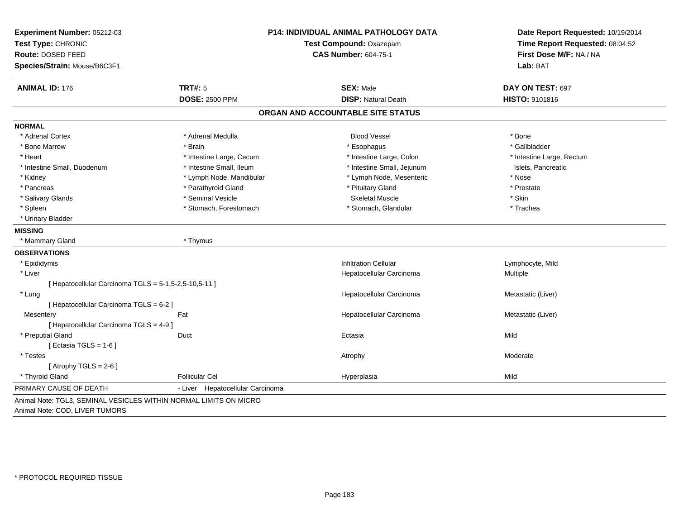| Experiment Number: 05212-03                           | <b>P14: INDIVIDUAL ANIMAL PATHOLOGY DATA</b> |                                   | Date Report Requested: 10/19/2014                          |  |
|-------------------------------------------------------|----------------------------------------------|-----------------------------------|------------------------------------------------------------|--|
| Test Type: CHRONIC                                    |                                              | Test Compound: Oxazepam           | Time Report Requested: 08:04:52<br>First Dose M/F: NA / NA |  |
| <b>Route: DOSED FEED</b>                              |                                              | <b>CAS Number: 604-75-1</b>       |                                                            |  |
| Species/Strain: Mouse/B6C3F1                          |                                              |                                   | Lab: BAT                                                   |  |
| <b>ANIMAL ID: 176</b>                                 | <b>TRT#: 5</b>                               | <b>SEX: Male</b>                  | DAY ON TEST: 697                                           |  |
|                                                       | <b>DOSE: 2500 PPM</b>                        | <b>DISP: Natural Death</b>        | HISTO: 9101816                                             |  |
|                                                       |                                              | ORGAN AND ACCOUNTABLE SITE STATUS |                                                            |  |
| <b>NORMAL</b>                                         |                                              |                                   |                                                            |  |
| * Adrenal Cortex                                      | * Adrenal Medulla                            | <b>Blood Vessel</b>               | * Bone                                                     |  |
| * Bone Marrow                                         | * Brain                                      | * Esophagus                       | * Gallbladder                                              |  |
| * Heart                                               | * Intestine Large, Cecum                     | * Intestine Large, Colon          | * Intestine Large, Rectum                                  |  |
| * Intestine Small, Duodenum                           | * Intestine Small, Ileum                     | * Intestine Small, Jejunum        | Islets, Pancreatic                                         |  |
| * Kidney                                              | * Lymph Node, Mandibular                     | * Lymph Node, Mesenteric          | * Nose                                                     |  |
| * Pancreas                                            | * Parathyroid Gland                          | * Pituitary Gland                 | * Prostate                                                 |  |
| * Salivary Glands                                     | * Seminal Vesicle                            | <b>Skeletal Muscle</b>            | * Skin                                                     |  |
| * Spleen                                              | * Stomach, Forestomach                       | * Stomach, Glandular              | * Trachea                                                  |  |
| * Urinary Bladder                                     |                                              |                                   |                                                            |  |
| <b>MISSING</b>                                        |                                              |                                   |                                                            |  |
| * Mammary Gland                                       | * Thymus                                     |                                   |                                                            |  |
| <b>OBSERVATIONS</b>                                   |                                              |                                   |                                                            |  |
| * Epididymis                                          |                                              | <b>Infiltration Cellular</b>      | Lymphocyte, Mild                                           |  |
| * Liver                                               |                                              | Hepatocellular Carcinoma          | Multiple                                                   |  |
| [ Hepatocellular Carcinoma TGLS = 5-1,5-2,5-10,5-11 ] |                                              |                                   |                                                            |  |
| * Lung                                                |                                              | Hepatocellular Carcinoma          | Metastatic (Liver)                                         |  |
| [ Hepatocellular Carcinoma TGLS = 6-2 ]               |                                              |                                   |                                                            |  |
| Mesentery                                             | Fat                                          | Hepatocellular Carcinoma          | Metastatic (Liver)                                         |  |
| [ Hepatocellular Carcinoma TGLS = 4-9 ]               |                                              |                                   |                                                            |  |
| * Preputial Gland                                     | Duct                                         | Ectasia                           | Mild                                                       |  |
| [ Ectasia TGLS = $1-6$ ]                              |                                              |                                   |                                                            |  |
| * Testes                                              |                                              | Atrophy                           | Moderate                                                   |  |
| [Atrophy TGLS = $2-6$ ]                               |                                              |                                   |                                                            |  |
| * Thyroid Gland                                       | <b>Follicular Cel</b>                        | Hyperplasia                       | Mild                                                       |  |
| PRIMARY CAUSE OF DEATH                                | - Liver Hepatocellular Carcinoma             |                                   |                                                            |  |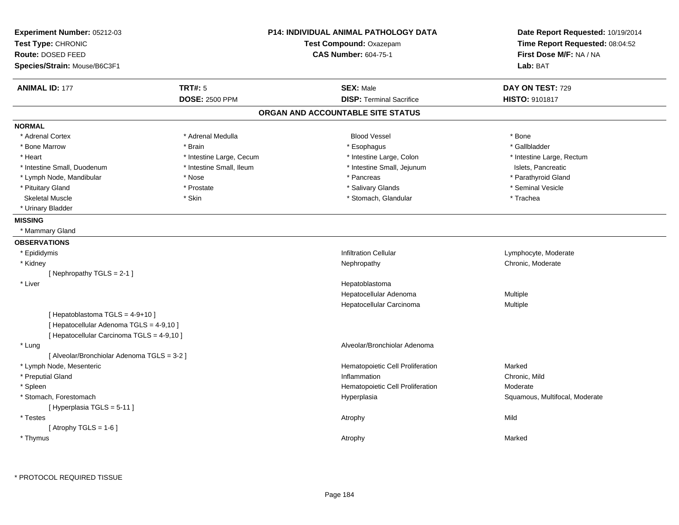| Experiment Number: 05212-03<br>Test Type: CHRONIC<br>Route: DOSED FEED<br>Species/Strain: Mouse/B6C3F1                   |                          | <b>P14: INDIVIDUAL ANIMAL PATHOLOGY DATA</b><br>Test Compound: Oxazepam<br><b>CAS Number: 604-75-1</b> | Date Report Requested: 10/19/2014<br>Time Report Requested: 08:04:52<br>First Dose M/F: NA / NA<br>Lab: BAT |
|--------------------------------------------------------------------------------------------------------------------------|--------------------------|--------------------------------------------------------------------------------------------------------|-------------------------------------------------------------------------------------------------------------|
| <b>ANIMAL ID: 177</b>                                                                                                    | <b>TRT#: 5</b>           | <b>SEX: Male</b>                                                                                       | DAY ON TEST: 729                                                                                            |
|                                                                                                                          | <b>DOSE: 2500 PPM</b>    | <b>DISP: Terminal Sacrifice</b>                                                                        | <b>HISTO: 9101817</b>                                                                                       |
|                                                                                                                          |                          | ORGAN AND ACCOUNTABLE SITE STATUS                                                                      |                                                                                                             |
| <b>NORMAL</b>                                                                                                            |                          |                                                                                                        |                                                                                                             |
| * Adrenal Cortex                                                                                                         | * Adrenal Medulla        | <b>Blood Vessel</b>                                                                                    | * Bone                                                                                                      |
| * Bone Marrow                                                                                                            | * Brain                  | * Esophagus                                                                                            | * Gallbladder                                                                                               |
| * Heart                                                                                                                  | * Intestine Large, Cecum | * Intestine Large, Colon                                                                               | * Intestine Large, Rectum                                                                                   |
| * Intestine Small, Duodenum                                                                                              | * Intestine Small, Ileum | * Intestine Small, Jejunum                                                                             | Islets, Pancreatic                                                                                          |
| * Lymph Node, Mandibular                                                                                                 | * Nose                   | * Pancreas                                                                                             | * Parathyroid Gland                                                                                         |
| * Pituitary Gland                                                                                                        | * Prostate               | * Salivary Glands                                                                                      | * Seminal Vesicle                                                                                           |
| <b>Skeletal Muscle</b>                                                                                                   | * Skin                   | * Stomach, Glandular                                                                                   | * Trachea                                                                                                   |
| * Urinary Bladder                                                                                                        |                          |                                                                                                        |                                                                                                             |
| <b>MISSING</b>                                                                                                           |                          |                                                                                                        |                                                                                                             |
| * Mammary Gland                                                                                                          |                          |                                                                                                        |                                                                                                             |
| <b>OBSERVATIONS</b>                                                                                                      |                          |                                                                                                        |                                                                                                             |
| * Epididymis                                                                                                             |                          | <b>Infiltration Cellular</b>                                                                           | Lymphocyte, Moderate                                                                                        |
| * Kidney                                                                                                                 |                          | Nephropathy                                                                                            | Chronic, Moderate                                                                                           |
| [Nephropathy TGLS = $2-1$ ]                                                                                              |                          |                                                                                                        |                                                                                                             |
| * Liver                                                                                                                  |                          | Hepatoblastoma                                                                                         |                                                                                                             |
|                                                                                                                          |                          | Hepatocellular Adenoma                                                                                 | Multiple                                                                                                    |
|                                                                                                                          |                          | Hepatocellular Carcinoma                                                                               | Multiple                                                                                                    |
| [Hepatoblastoma TGLS = 4-9+10]<br>[ Hepatocellular Adenoma TGLS = 4-9,10 ]<br>[ Hepatocellular Carcinoma TGLS = 4-9,10 ] |                          |                                                                                                        |                                                                                                             |
| * Lung                                                                                                                   |                          | Alveolar/Bronchiolar Adenoma                                                                           |                                                                                                             |
| [ Alveolar/Bronchiolar Adenoma TGLS = 3-2 ]                                                                              |                          |                                                                                                        |                                                                                                             |
| * Lymph Node, Mesenteric                                                                                                 |                          | Hematopoietic Cell Proliferation                                                                       | Marked                                                                                                      |
| * Preputial Gland                                                                                                        |                          | Inflammation                                                                                           | Chronic, Mild                                                                                               |
| * Spleen                                                                                                                 |                          | Hematopoietic Cell Proliferation                                                                       | Moderate                                                                                                    |
| * Stomach, Forestomach                                                                                                   |                          | Hyperplasia                                                                                            | Squamous, Multifocal, Moderate                                                                              |
| [Hyperplasia TGLS = 5-11]                                                                                                |                          |                                                                                                        |                                                                                                             |
| * Testes                                                                                                                 |                          | Atrophy                                                                                                | Mild                                                                                                        |
| [Atrophy TGLS = $1-6$ ]                                                                                                  |                          |                                                                                                        |                                                                                                             |
| * Thymus                                                                                                                 |                          | Atrophy                                                                                                | Marked                                                                                                      |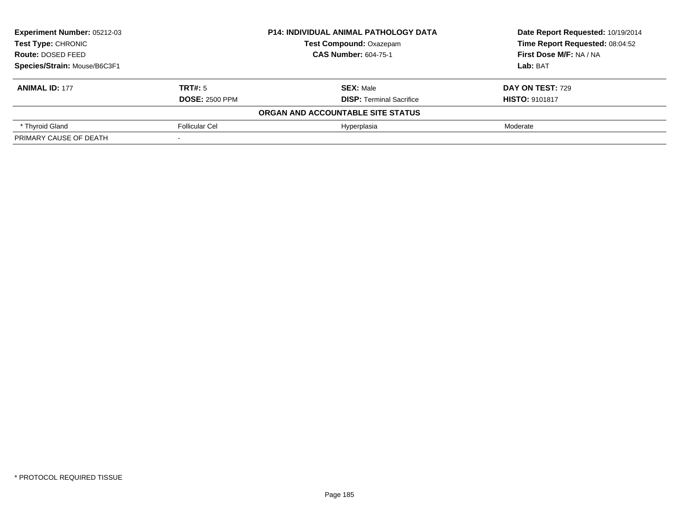| Experiment Number: 05212-03<br><b>Test Type: CHRONIC</b><br><b>Route: DOSED FEED</b><br>Species/Strain: Mouse/B6C3F1 |                       | <b>P14: INDIVIDUAL ANIMAL PATHOLOGY DATA</b> | Date Report Requested: 10/19/2014 |  |
|----------------------------------------------------------------------------------------------------------------------|-----------------------|----------------------------------------------|-----------------------------------|--|
|                                                                                                                      |                       | <b>Test Compound: Oxazepam</b>               | Time Report Requested: 08:04:52   |  |
|                                                                                                                      |                       | <b>CAS Number: 604-75-1</b>                  | First Dose M/F: NA / NA           |  |
|                                                                                                                      |                       |                                              | Lab: BAT                          |  |
| <b>ANIMAL ID: 177</b>                                                                                                | TRT#: 5               | <b>SEX: Male</b>                             | DAY ON TEST: 729                  |  |
|                                                                                                                      | <b>DOSE: 2500 PPM</b> | <b>DISP:</b> Terminal Sacrifice              | <b>HISTO: 9101817</b>             |  |
|                                                                                                                      |                       | ORGAN AND ACCOUNTABLE SITE STATUS            |                                   |  |
| * Thyroid Gland                                                                                                      | Follicular Cel        | Hyperplasia                                  | Moderate                          |  |
| PRIMARY CAUSE OF DEATH                                                                                               |                       |                                              |                                   |  |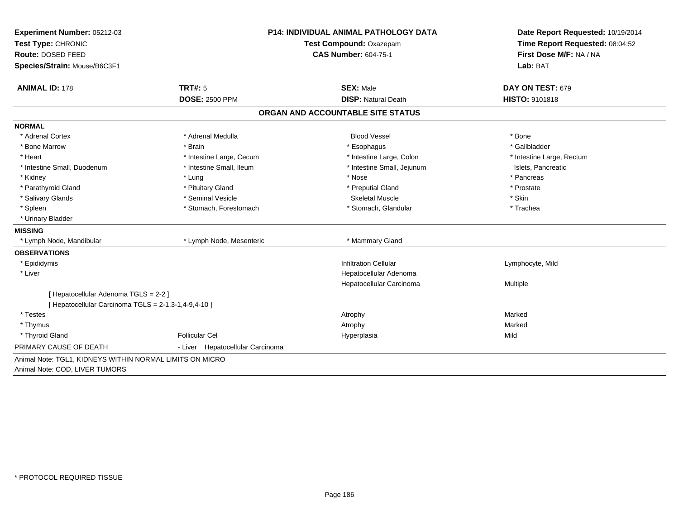| Test Type: CHRONIC<br>Route: DOSED FEED<br>Species/Strain: Mouse/B6C3F1<br><b>ANIMAL ID: 178</b><br><b>NORMAL</b><br>* Adrenal Cortex<br>* Bone Marrow<br>* Heart<br>* Intestine Small, Duodenum | <b>TRT#: 5</b><br><b>DOSE: 2500 PPM</b><br>* Adrenal Medulla<br>* Brain<br>* Intestine Large, Cecum | Test Compound: Oxazepam<br><b>CAS Number: 604-75-1</b><br><b>SEX: Male</b><br><b>DISP: Natural Death</b><br>ORGAN AND ACCOUNTABLE SITE STATUS<br><b>Blood Vessel</b><br>* Esophagus | Time Report Requested: 08:04:52<br>First Dose M/F: NA / NA<br>Lab: BAT<br>DAY ON TEST: 679<br><b>HISTO: 9101818</b><br>* Bone |
|--------------------------------------------------------------------------------------------------------------------------------------------------------------------------------------------------|-----------------------------------------------------------------------------------------------------|-------------------------------------------------------------------------------------------------------------------------------------------------------------------------------------|-------------------------------------------------------------------------------------------------------------------------------|
|                                                                                                                                                                                                  |                                                                                                     |                                                                                                                                                                                     |                                                                                                                               |
|                                                                                                                                                                                                  |                                                                                                     |                                                                                                                                                                                     |                                                                                                                               |
|                                                                                                                                                                                                  |                                                                                                     |                                                                                                                                                                                     |                                                                                                                               |
|                                                                                                                                                                                                  |                                                                                                     |                                                                                                                                                                                     |                                                                                                                               |
|                                                                                                                                                                                                  |                                                                                                     |                                                                                                                                                                                     |                                                                                                                               |
|                                                                                                                                                                                                  |                                                                                                     |                                                                                                                                                                                     |                                                                                                                               |
|                                                                                                                                                                                                  |                                                                                                     |                                                                                                                                                                                     |                                                                                                                               |
|                                                                                                                                                                                                  |                                                                                                     |                                                                                                                                                                                     |                                                                                                                               |
|                                                                                                                                                                                                  |                                                                                                     |                                                                                                                                                                                     | * Gallbladder                                                                                                                 |
|                                                                                                                                                                                                  |                                                                                                     | * Intestine Large, Colon                                                                                                                                                            | * Intestine Large, Rectum                                                                                                     |
|                                                                                                                                                                                                  | * Intestine Small, Ileum                                                                            | * Intestine Small, Jejunum                                                                                                                                                          | Islets, Pancreatic                                                                                                            |
| * Kidney                                                                                                                                                                                         | * Lung                                                                                              | * Nose                                                                                                                                                                              | * Pancreas                                                                                                                    |
| * Parathyroid Gland                                                                                                                                                                              | * Pituitary Gland                                                                                   | * Preputial Gland                                                                                                                                                                   | * Prostate                                                                                                                    |
| * Salivary Glands                                                                                                                                                                                | * Seminal Vesicle                                                                                   | <b>Skeletal Muscle</b>                                                                                                                                                              | * Skin                                                                                                                        |
| * Spleen                                                                                                                                                                                         | * Stomach, Forestomach                                                                              | * Stomach, Glandular                                                                                                                                                                | * Trachea                                                                                                                     |
| * Urinary Bladder                                                                                                                                                                                |                                                                                                     |                                                                                                                                                                                     |                                                                                                                               |
| <b>MISSING</b>                                                                                                                                                                                   |                                                                                                     |                                                                                                                                                                                     |                                                                                                                               |
| * Lymph Node, Mandibular                                                                                                                                                                         | * Lymph Node, Mesenteric                                                                            | * Mammary Gland                                                                                                                                                                     |                                                                                                                               |
| <b>OBSERVATIONS</b>                                                                                                                                                                              |                                                                                                     |                                                                                                                                                                                     |                                                                                                                               |
| * Epididymis                                                                                                                                                                                     |                                                                                                     | <b>Infiltration Cellular</b>                                                                                                                                                        | Lymphocyte, Mild                                                                                                              |
| * Liver                                                                                                                                                                                          |                                                                                                     | Hepatocellular Adenoma                                                                                                                                                              |                                                                                                                               |
|                                                                                                                                                                                                  |                                                                                                     | Hepatocellular Carcinoma                                                                                                                                                            | Multiple                                                                                                                      |
| [ Hepatocellular Adenoma TGLS = 2-2 ]                                                                                                                                                            |                                                                                                     |                                                                                                                                                                                     |                                                                                                                               |
| [ Hepatocellular Carcinoma TGLS = 2-1,3-1,4-9,4-10 ]                                                                                                                                             |                                                                                                     |                                                                                                                                                                                     |                                                                                                                               |
| * Testes                                                                                                                                                                                         |                                                                                                     | Atrophy                                                                                                                                                                             | Marked                                                                                                                        |
| * Thymus                                                                                                                                                                                         |                                                                                                     | Atrophy                                                                                                                                                                             | Marked                                                                                                                        |
| * Thyroid Gland                                                                                                                                                                                  | <b>Follicular Cel</b>                                                                               | Hyperplasia                                                                                                                                                                         | Mild                                                                                                                          |
| PRIMARY CAUSE OF DEATH                                                                                                                                                                           | - Liver Hepatocellular Carcinoma                                                                    |                                                                                                                                                                                     |                                                                                                                               |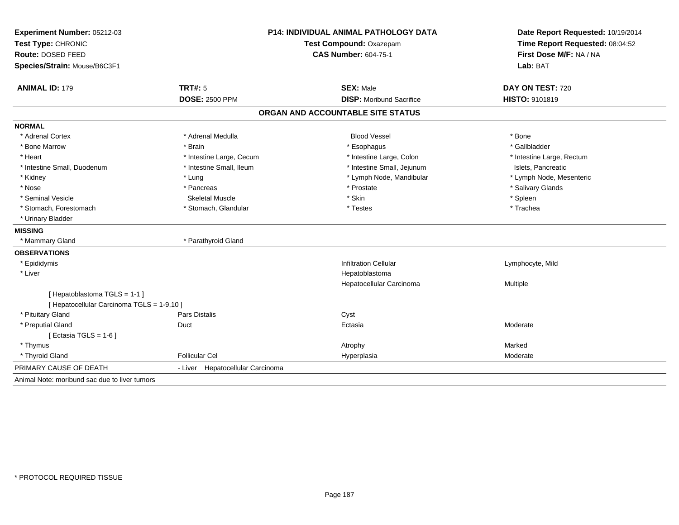| Experiment Number: 05212-03<br>Test Type: CHRONIC<br>Route: DOSED FEED<br>Species/Strain: Mouse/B6C3F1 |                                  | <b>P14: INDIVIDUAL ANIMAL PATHOLOGY DATA</b><br><b>Test Compound: Oxazepam</b><br><b>CAS Number: 604-75-1</b> |                           |
|--------------------------------------------------------------------------------------------------------|----------------------------------|---------------------------------------------------------------------------------------------------------------|---------------------------|
| <b>ANIMAL ID: 179</b>                                                                                  | TRT#: 5                          | <b>SEX: Male</b>                                                                                              | DAY ON TEST: 720          |
|                                                                                                        | <b>DOSE: 2500 PPM</b>            | <b>DISP: Moribund Sacrifice</b>                                                                               | HISTO: 9101819            |
|                                                                                                        |                                  | ORGAN AND ACCOUNTABLE SITE STATUS                                                                             |                           |
| <b>NORMAL</b>                                                                                          |                                  |                                                                                                               |                           |
| * Adrenal Cortex                                                                                       | * Adrenal Medulla                | <b>Blood Vessel</b>                                                                                           | * Bone                    |
| * Bone Marrow                                                                                          | * Brain                          | * Esophagus                                                                                                   | * Gallbladder             |
| * Heart                                                                                                | * Intestine Large, Cecum         | * Intestine Large, Colon                                                                                      | * Intestine Large, Rectum |
| * Intestine Small, Duodenum                                                                            | * Intestine Small, Ileum         | * Intestine Small, Jejunum                                                                                    | Islets, Pancreatic        |
| * Kidney                                                                                               | * Lung                           | * Lymph Node, Mandibular                                                                                      | * Lymph Node, Mesenteric  |
| * Nose                                                                                                 | * Pancreas                       | * Prostate                                                                                                    | * Salivary Glands         |
| * Seminal Vesicle                                                                                      | <b>Skeletal Muscle</b>           | * Skin                                                                                                        | * Spleen                  |
| * Stomach, Forestomach                                                                                 | * Stomach, Glandular             | * Testes                                                                                                      | * Trachea                 |
| * Urinary Bladder                                                                                      |                                  |                                                                                                               |                           |
| <b>MISSING</b>                                                                                         |                                  |                                                                                                               |                           |
| * Mammary Gland                                                                                        | * Parathyroid Gland              |                                                                                                               |                           |
| <b>OBSERVATIONS</b>                                                                                    |                                  |                                                                                                               |                           |
| * Epididymis                                                                                           |                                  | <b>Infiltration Cellular</b>                                                                                  | Lymphocyte, Mild          |
| * Liver                                                                                                |                                  | Hepatoblastoma                                                                                                |                           |
|                                                                                                        |                                  | Hepatocellular Carcinoma                                                                                      | Multiple                  |
| [Hepatoblastoma TGLS = 1-1]                                                                            |                                  |                                                                                                               |                           |
| [ Hepatocellular Carcinoma TGLS = 1-9,10 ]                                                             |                                  |                                                                                                               |                           |
| * Pituitary Gland                                                                                      | Pars Distalis                    | Cyst                                                                                                          |                           |
| * Preputial Gland                                                                                      | Duct                             | Ectasia                                                                                                       | Moderate                  |
| [ Ectasia TGLS = $1-6$ ]                                                                               |                                  |                                                                                                               |                           |
| * Thymus                                                                                               |                                  | Atrophy                                                                                                       | Marked                    |
| * Thyroid Gland                                                                                        | <b>Follicular Cel</b>            | Hyperplasia                                                                                                   | Moderate                  |
| PRIMARY CAUSE OF DEATH                                                                                 | - Liver Hepatocellular Carcinoma |                                                                                                               |                           |
| Animal Note: moribund sac due to liver tumors                                                          |                                  |                                                                                                               |                           |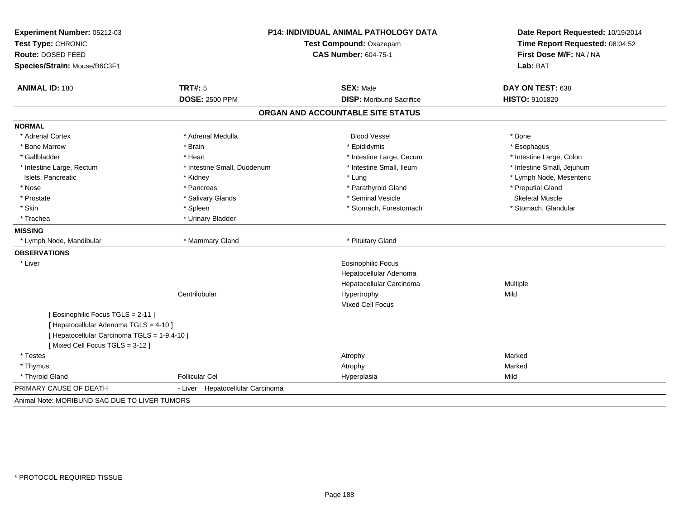| Experiment Number: 05212-03<br>Test Type: CHRONIC<br>Route: DOSED FEED<br>Species/Strain: Mouse/B6C3F1 |                                     | P14: INDIVIDUAL ANIMAL PATHOLOGY DATA<br>Test Compound: Oxazepam<br><b>CAS Number: 604-75-1</b> |                            |
|--------------------------------------------------------------------------------------------------------|-------------------------------------|-------------------------------------------------------------------------------------------------|----------------------------|
| <b>ANIMAL ID: 180</b>                                                                                  | TRT#: 5                             | <b>SEX: Male</b>                                                                                | DAY ON TEST: 638           |
|                                                                                                        | <b>DOSE: 2500 PPM</b>               | <b>DISP:</b> Moribund Sacrifice                                                                 | HISTO: 9101820             |
|                                                                                                        |                                     | ORGAN AND ACCOUNTABLE SITE STATUS                                                               |                            |
| <b>NORMAL</b>                                                                                          |                                     |                                                                                                 |                            |
| * Adrenal Cortex                                                                                       | * Adrenal Medulla                   | <b>Blood Vessel</b>                                                                             | * Bone                     |
| * Bone Marrow                                                                                          | * Brain                             | * Epididymis                                                                                    | * Esophagus                |
| * Gallbladder                                                                                          | * Heart                             | * Intestine Large, Cecum                                                                        | * Intestine Large, Colon   |
| * Intestine Large, Rectum                                                                              | * Intestine Small, Duodenum         | * Intestine Small, Ileum                                                                        | * Intestine Small, Jejunum |
| Islets, Pancreatic                                                                                     | * Kidney                            | * Lung                                                                                          | * Lymph Node, Mesenteric   |
| * Nose                                                                                                 | * Pancreas                          | * Parathyroid Gland                                                                             | * Preputial Gland          |
| * Prostate                                                                                             | * Salivary Glands                   | * Seminal Vesicle                                                                               | <b>Skeletal Muscle</b>     |
| * Skin                                                                                                 | * Spleen                            | * Stomach, Forestomach                                                                          | * Stomach, Glandular       |
| * Trachea                                                                                              | * Urinary Bladder                   |                                                                                                 |                            |
| <b>MISSING</b>                                                                                         |                                     |                                                                                                 |                            |
| * Lymph Node, Mandibular                                                                               | * Mammary Gland                     | * Pituitary Gland                                                                               |                            |
| <b>OBSERVATIONS</b>                                                                                    |                                     |                                                                                                 |                            |
| * Liver                                                                                                |                                     | <b>Eosinophilic Focus</b>                                                                       |                            |
|                                                                                                        |                                     | Hepatocellular Adenoma                                                                          |                            |
|                                                                                                        |                                     | Hepatocellular Carcinoma                                                                        | Multiple                   |
|                                                                                                        | Centrilobular                       | Hypertrophy                                                                                     | Mild                       |
|                                                                                                        |                                     | Mixed Cell Focus                                                                                |                            |
| [ Eosinophilic Focus TGLS = 2-11 ]                                                                     |                                     |                                                                                                 |                            |
| [ Hepatocellular Adenoma TGLS = 4-10 ]                                                                 |                                     |                                                                                                 |                            |
| [ Hepatocellular Carcinoma TGLS = 1-9,4-10 ]                                                           |                                     |                                                                                                 |                            |
| [Mixed Cell Focus TGLS = 3-12]                                                                         |                                     |                                                                                                 |                            |
| * Testes                                                                                               |                                     | Atrophy                                                                                         | Marked                     |
| * Thymus                                                                                               |                                     | Atrophy                                                                                         | Marked                     |
| * Thyroid Gland                                                                                        | <b>Follicular Cel</b>               | Hyperplasia                                                                                     | Mild                       |
| PRIMARY CAUSE OF DEATH                                                                                 | Hepatocellular Carcinoma<br>- Liver |                                                                                                 |                            |
| Animal Note: MORIBUND SAC DUE TO LIVER TUMORS                                                          |                                     |                                                                                                 |                            |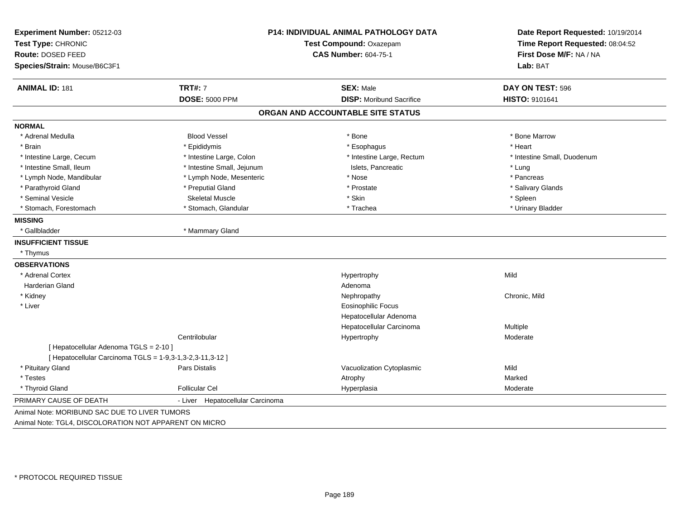| Experiment Number: 05212-03                               | <b>P14: INDIVIDUAL ANIMAL PATHOLOGY DATA</b> |                                   | Date Report Requested: 10/19/2014                          |
|-----------------------------------------------------------|----------------------------------------------|-----------------------------------|------------------------------------------------------------|
| Test Type: CHRONIC                                        |                                              | Test Compound: Oxazepam           | Time Report Requested: 08:04:52<br>First Dose M/F: NA / NA |
| Route: DOSED FEED                                         |                                              | <b>CAS Number: 604-75-1</b>       |                                                            |
| Species/Strain: Mouse/B6C3F1                              |                                              |                                   | Lab: BAT                                                   |
| <b>ANIMAL ID: 181</b>                                     | <b>TRT#: 7</b>                               | <b>SEX: Male</b>                  | DAY ON TEST: 596                                           |
|                                                           | <b>DOSE: 5000 PPM</b>                        | <b>DISP:</b> Moribund Sacrifice   | HISTO: 9101641                                             |
|                                                           |                                              | ORGAN AND ACCOUNTABLE SITE STATUS |                                                            |
| <b>NORMAL</b>                                             |                                              |                                   |                                                            |
| * Adrenal Medulla                                         | <b>Blood Vessel</b>                          | * Bone                            | * Bone Marrow                                              |
| * Brain                                                   | * Epididymis                                 | * Esophagus                       | * Heart                                                    |
| * Intestine Large, Cecum                                  | * Intestine Large, Colon                     | * Intestine Large, Rectum         | * Intestine Small, Duodenum                                |
| * Intestine Small, Ileum                                  | * Intestine Small, Jejunum                   | Islets, Pancreatic                | * Lung                                                     |
| * Lymph Node, Mandibular                                  | * Lymph Node, Mesenteric                     | * Nose                            | * Pancreas                                                 |
| * Parathyroid Gland                                       | * Preputial Gland                            | * Prostate                        | * Salivary Glands                                          |
| * Seminal Vesicle                                         | <b>Skeletal Muscle</b>                       | * Skin                            | * Spleen                                                   |
| * Stomach, Forestomach                                    | * Stomach, Glandular                         | * Trachea                         | * Urinary Bladder                                          |
| <b>MISSING</b>                                            |                                              |                                   |                                                            |
| * Gallbladder                                             | * Mammary Gland                              |                                   |                                                            |
| <b>INSUFFICIENT TISSUE</b>                                |                                              |                                   |                                                            |
| * Thymus                                                  |                                              |                                   |                                                            |
| <b>OBSERVATIONS</b>                                       |                                              |                                   |                                                            |
| * Adrenal Cortex                                          |                                              | Hypertrophy                       | Mild                                                       |
| <b>Harderian Gland</b>                                    |                                              | Adenoma                           |                                                            |
| * Kidney                                                  |                                              | Nephropathy                       | Chronic, Mild                                              |
| * Liver                                                   |                                              | <b>Eosinophilic Focus</b>         |                                                            |
|                                                           |                                              | Hepatocellular Adenoma            |                                                            |
|                                                           |                                              | Hepatocellular Carcinoma          | Multiple                                                   |
|                                                           | Centrilobular                                | Hypertrophy                       | Moderate                                                   |
| [ Hepatocellular Adenoma TGLS = 2-10 ]                    |                                              |                                   |                                                            |
| [ Hepatocellular Carcinoma TGLS = 1-9,3-1,3-2,3-11,3-12 ] |                                              |                                   |                                                            |
| * Pituitary Gland                                         | Pars Distalis                                | Vacuolization Cytoplasmic         | Mild                                                       |
| * Testes                                                  |                                              | Atrophy                           | Marked                                                     |
| * Thyroid Gland                                           | Follicular Cel                               | Hyperplasia                       | Moderate                                                   |
| PRIMARY CAUSE OF DEATH                                    | Hepatocellular Carcinoma<br>- Liver          |                                   |                                                            |
| Animal Note: MORIBUND SAC DUE TO LIVER TUMORS             |                                              |                                   |                                                            |
| Animal Note: TGL4, DISCOLORATION NOT APPARENT ON MICRO    |                                              |                                   |                                                            |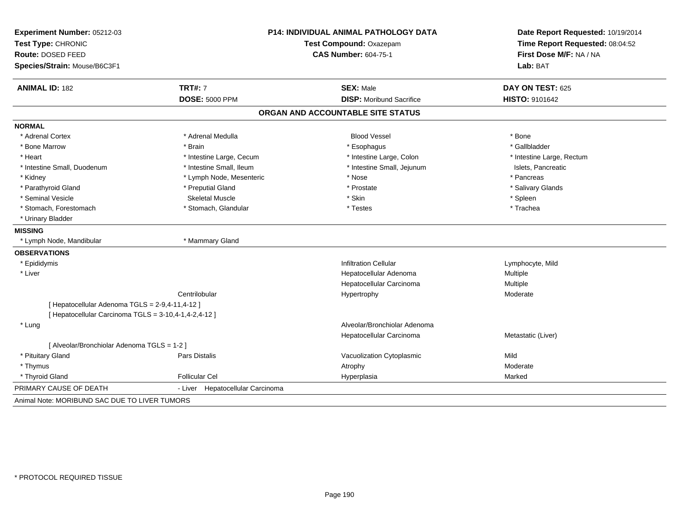| Experiment Number: 05212-03                           | P14: INDIVIDUAL ANIMAL PATHOLOGY DATA |                                   | Date Report Requested: 10/19/2014 |  |
|-------------------------------------------------------|---------------------------------------|-----------------------------------|-----------------------------------|--|
| Test Type: CHRONIC<br>Route: DOSED FEED               |                                       | Test Compound: Oxazepam           | Time Report Requested: 08:04:52   |  |
|                                                       |                                       | <b>CAS Number: 604-75-1</b>       | First Dose M/F: NA / NA           |  |
| Species/Strain: Mouse/B6C3F1                          |                                       |                                   | Lab: BAT                          |  |
| <b>ANIMAL ID: 182</b>                                 | <b>TRT#: 7</b>                        | <b>SEX: Male</b>                  | DAY ON TEST: 625                  |  |
|                                                       | <b>DOSE: 5000 PPM</b>                 | <b>DISP:</b> Moribund Sacrifice   | HISTO: 9101642                    |  |
|                                                       |                                       | ORGAN AND ACCOUNTABLE SITE STATUS |                                   |  |
| <b>NORMAL</b>                                         |                                       |                                   |                                   |  |
| * Adrenal Cortex                                      | * Adrenal Medulla                     | <b>Blood Vessel</b>               | * Bone                            |  |
| * Bone Marrow                                         | * Brain                               | * Esophagus                       | * Gallbladder                     |  |
| * Heart                                               | * Intestine Large, Cecum              | * Intestine Large, Colon          | * Intestine Large, Rectum         |  |
| * Intestine Small, Duodenum                           | * Intestine Small, Ileum              | * Intestine Small, Jejunum        | Islets, Pancreatic                |  |
| * Kidney                                              | * Lymph Node, Mesenteric              | * Nose                            | * Pancreas                        |  |
| * Parathyroid Gland                                   | * Preputial Gland                     | * Prostate                        | * Salivary Glands                 |  |
| * Seminal Vesicle                                     | <b>Skeletal Muscle</b>                | * Skin                            | * Spleen                          |  |
| * Stomach, Forestomach                                | * Stomach, Glandular                  | * Testes                          | * Trachea                         |  |
| * Urinary Bladder                                     |                                       |                                   |                                   |  |
| <b>MISSING</b>                                        |                                       |                                   |                                   |  |
| * Lymph Node, Mandibular                              | * Mammary Gland                       |                                   |                                   |  |
| <b>OBSERVATIONS</b>                                   |                                       |                                   |                                   |  |
| * Epididymis                                          |                                       | <b>Infiltration Cellular</b>      | Lymphocyte, Mild                  |  |
| * Liver                                               |                                       | Hepatocellular Adenoma            | Multiple                          |  |
|                                                       |                                       | Hepatocellular Carcinoma          | Multiple                          |  |
|                                                       | Centrilobular                         | Hypertrophy                       | Moderate                          |  |
| [ Hepatocellular Adenoma TGLS = 2-9,4-11,4-12 ]       |                                       |                                   |                                   |  |
| [ Hepatocellular Carcinoma TGLS = 3-10,4-1,4-2,4-12 ] |                                       |                                   |                                   |  |
| * Lung                                                |                                       | Alveolar/Bronchiolar Adenoma      |                                   |  |
|                                                       |                                       | Hepatocellular Carcinoma          | Metastatic (Liver)                |  |
| [ Alveolar/Bronchiolar Adenoma TGLS = 1-2 ]           |                                       |                                   |                                   |  |
| * Pituitary Gland                                     | Pars Distalis                         | Vacuolization Cytoplasmic         | Mild                              |  |
| * Thymus                                              |                                       | Atrophy                           | Moderate                          |  |
| * Thyroid Gland                                       | <b>Follicular Cel</b>                 | Hyperplasia                       | Marked                            |  |
| PRIMARY CAUSE OF DEATH                                | - Liver Hepatocellular Carcinoma      |                                   |                                   |  |
| Animal Note: MORIBUND SAC DUE TO LIVER TUMORS         |                                       |                                   |                                   |  |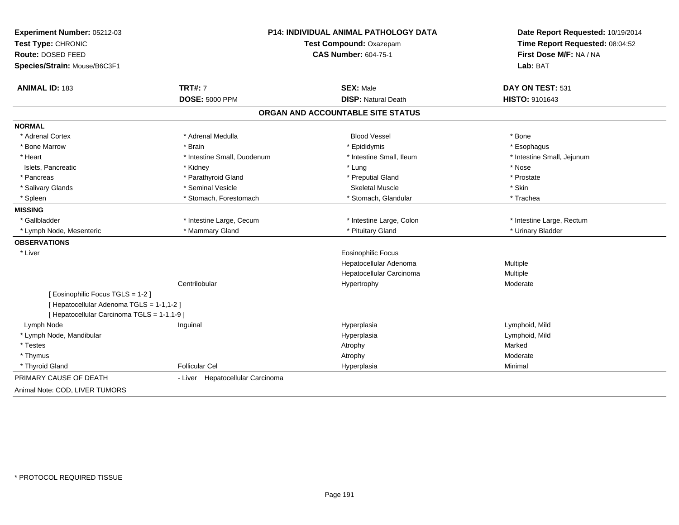| Experiment Number: 05212-03                 | <b>P14: INDIVIDUAL ANIMAL PATHOLOGY DATA</b> |                                   | Date Report Requested: 10/19/2014                          |  |
|---------------------------------------------|----------------------------------------------|-----------------------------------|------------------------------------------------------------|--|
| Test Type: CHRONIC                          |                                              | Test Compound: Oxazepam           | Time Report Requested: 08:04:52<br>First Dose M/F: NA / NA |  |
| Route: DOSED FEED                           |                                              | <b>CAS Number: 604-75-1</b>       |                                                            |  |
| Species/Strain: Mouse/B6C3F1                |                                              |                                   | Lab: BAT                                                   |  |
| <b>ANIMAL ID: 183</b>                       | <b>TRT#: 7</b>                               | <b>SEX: Male</b>                  | DAY ON TEST: 531                                           |  |
|                                             | <b>DOSE: 5000 PPM</b>                        | <b>DISP: Natural Death</b>        | HISTO: 9101643                                             |  |
|                                             |                                              | ORGAN AND ACCOUNTABLE SITE STATUS |                                                            |  |
| <b>NORMAL</b>                               |                                              |                                   |                                                            |  |
| * Adrenal Cortex                            | * Adrenal Medulla                            | <b>Blood Vessel</b>               | * Bone                                                     |  |
| * Bone Marrow                               | * Brain                                      | * Epididymis                      | * Esophagus                                                |  |
| * Heart                                     | * Intestine Small, Duodenum                  | * Intestine Small, Ileum          | * Intestine Small, Jejunum                                 |  |
| Islets, Pancreatic                          | * Kidney                                     | * Lung                            | * Nose                                                     |  |
| * Pancreas                                  | * Parathyroid Gland                          | * Preputial Gland                 | * Prostate                                                 |  |
| * Salivary Glands                           | * Seminal Vesicle                            | <b>Skeletal Muscle</b>            | * Skin                                                     |  |
| * Spleen                                    | * Stomach, Forestomach                       | * Stomach, Glandular              | * Trachea                                                  |  |
| <b>MISSING</b>                              |                                              |                                   |                                                            |  |
| * Gallbladder                               | * Intestine Large, Cecum                     | * Intestine Large, Colon          | * Intestine Large, Rectum                                  |  |
| * Lymph Node, Mesenteric                    | * Mammary Gland                              | * Pituitary Gland                 | * Urinary Bladder                                          |  |
| <b>OBSERVATIONS</b>                         |                                              |                                   |                                                            |  |
| * Liver                                     |                                              | Eosinophilic Focus                |                                                            |  |
|                                             |                                              | Hepatocellular Adenoma            | Multiple                                                   |  |
|                                             |                                              | Hepatocellular Carcinoma          | Multiple                                                   |  |
|                                             | Centrilobular                                | Hypertrophy                       | Moderate                                                   |  |
| [ Eosinophilic Focus TGLS = 1-2 ]           |                                              |                                   |                                                            |  |
| [ Hepatocellular Adenoma TGLS = 1-1,1-2 ]   |                                              |                                   |                                                            |  |
| [ Hepatocellular Carcinoma TGLS = 1-1,1-9 ] |                                              |                                   |                                                            |  |
| Lymph Node                                  | Inguinal                                     | Hyperplasia                       | Lymphoid, Mild                                             |  |
| * Lymph Node, Mandibular                    |                                              | Hyperplasia                       | Lymphoid, Mild                                             |  |
| * Testes                                    |                                              | Atrophy                           | Marked                                                     |  |
| * Thymus                                    |                                              | Atrophy                           | Moderate                                                   |  |
| * Thyroid Gland                             | <b>Follicular Cel</b>                        | Hyperplasia                       | Minimal                                                    |  |
| PRIMARY CAUSE OF DEATH                      | - Liver Hepatocellular Carcinoma             |                                   |                                                            |  |
| Animal Note: COD, LIVER TUMORS              |                                              |                                   |                                                            |  |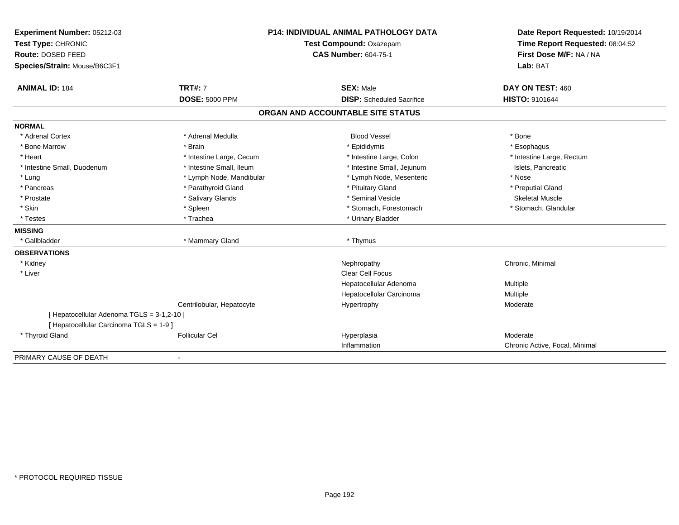| Experiment Number: 05212-03<br>Test Type: CHRONIC<br>Route: DOSED FEED                |                           | P14: INDIVIDUAL ANIMAL PATHOLOGY DATA<br>Test Compound: Oxazepam<br><b>CAS Number: 604-75-1</b> | Date Report Requested: 10/19/2014<br>Time Report Requested: 08:04:52<br>First Dose M/F: NA / NA |
|---------------------------------------------------------------------------------------|---------------------------|-------------------------------------------------------------------------------------------------|-------------------------------------------------------------------------------------------------|
| Species/Strain: Mouse/B6C3F1                                                          |                           |                                                                                                 | Lab: BAT                                                                                        |
| <b>ANIMAL ID: 184</b>                                                                 | <b>TRT#: 7</b>            | <b>SEX: Male</b>                                                                                | DAY ON TEST: 460                                                                                |
|                                                                                       | <b>DOSE: 5000 PPM</b>     | <b>DISP:</b> Scheduled Sacrifice                                                                | HISTO: 9101644                                                                                  |
|                                                                                       |                           | ORGAN AND ACCOUNTABLE SITE STATUS                                                               |                                                                                                 |
| <b>NORMAL</b>                                                                         |                           |                                                                                                 |                                                                                                 |
| * Adrenal Cortex                                                                      | * Adrenal Medulla         | <b>Blood Vessel</b>                                                                             | * Bone                                                                                          |
| * Bone Marrow                                                                         | * Brain                   | * Epididymis                                                                                    | * Esophagus                                                                                     |
| * Heart                                                                               | * Intestine Large, Cecum  | * Intestine Large, Colon                                                                        | * Intestine Large, Rectum                                                                       |
| * Intestine Small, Duodenum                                                           | * Intestine Small, Ileum  | * Intestine Small, Jejunum                                                                      | Islets, Pancreatic                                                                              |
| * Lung                                                                                | * Lymph Node, Mandibular  | * Lymph Node, Mesenteric                                                                        | * Nose                                                                                          |
| * Pancreas                                                                            | * Parathyroid Gland       | * Pituitary Gland                                                                               | * Preputial Gland                                                                               |
| * Prostate                                                                            | * Salivary Glands         | * Seminal Vesicle                                                                               | <b>Skeletal Muscle</b>                                                                          |
| * Skin                                                                                | * Spleen                  | * Stomach, Forestomach                                                                          | * Stomach, Glandular                                                                            |
| * Testes                                                                              | * Trachea                 | * Urinary Bladder                                                                               |                                                                                                 |
| <b>MISSING</b>                                                                        |                           |                                                                                                 |                                                                                                 |
| * Gallbladder                                                                         | * Mammary Gland           | * Thymus                                                                                        |                                                                                                 |
| <b>OBSERVATIONS</b>                                                                   |                           |                                                                                                 |                                                                                                 |
| * Kidney                                                                              |                           | Nephropathy                                                                                     | Chronic, Minimal                                                                                |
| * Liver                                                                               |                           | Clear Cell Focus                                                                                |                                                                                                 |
|                                                                                       |                           | Hepatocellular Adenoma                                                                          | Multiple                                                                                        |
|                                                                                       |                           | Hepatocellular Carcinoma                                                                        | Multiple                                                                                        |
|                                                                                       | Centrilobular, Hepatocyte | Hypertrophy                                                                                     | Moderate                                                                                        |
| [ Hepatocellular Adenoma TGLS = 3-1,2-10 ]<br>[ Hepatocellular Carcinoma TGLS = 1-9 ] |                           |                                                                                                 |                                                                                                 |
| * Thyroid Gland                                                                       | <b>Follicular Cel</b>     | Hyperplasia                                                                                     | Moderate                                                                                        |
|                                                                                       |                           | Inflammation                                                                                    | Chronic Active, Focal, Minimal                                                                  |
| PRIMARY CAUSE OF DEATH                                                                |                           |                                                                                                 |                                                                                                 |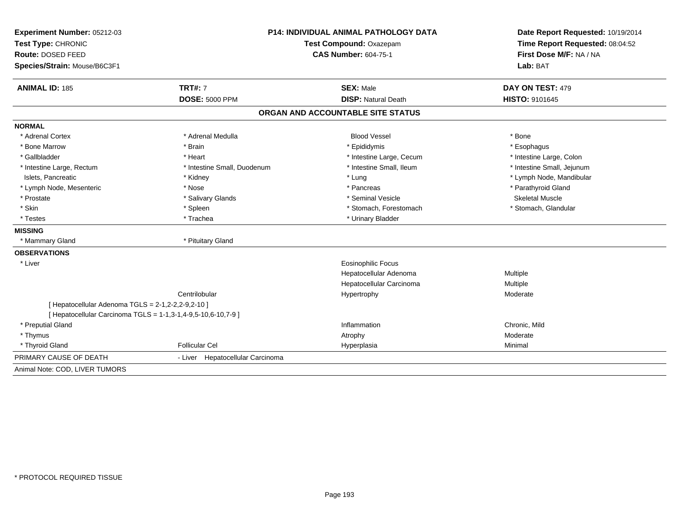| Experiment Number: 05212-03<br>Test Type: CHRONIC<br>Route: DOSED FEED | <b>P14: INDIVIDUAL ANIMAL PATHOLOGY DATA</b><br>Test Compound: Oxazepam<br><b>CAS Number: 604-75-1</b> |                                   | Date Report Requested: 10/19/2014<br>Time Report Requested: 08:04:52<br>First Dose M/F: NA / NA |  |
|------------------------------------------------------------------------|--------------------------------------------------------------------------------------------------------|-----------------------------------|-------------------------------------------------------------------------------------------------|--|
| Species/Strain: Mouse/B6C3F1                                           |                                                                                                        |                                   | Lab: BAT                                                                                        |  |
| <b>ANIMAL ID: 185</b>                                                  | <b>TRT#: 7</b>                                                                                         | <b>SEX: Male</b>                  | DAY ON TEST: 479                                                                                |  |
|                                                                        | <b>DOSE: 5000 PPM</b>                                                                                  | <b>DISP: Natural Death</b>        | HISTO: 9101645                                                                                  |  |
|                                                                        |                                                                                                        | ORGAN AND ACCOUNTABLE SITE STATUS |                                                                                                 |  |
| <b>NORMAL</b>                                                          |                                                                                                        |                                   |                                                                                                 |  |
| * Adrenal Cortex                                                       | * Adrenal Medulla                                                                                      | <b>Blood Vessel</b>               | * Bone                                                                                          |  |
| * Bone Marrow                                                          | * Brain                                                                                                | * Epididymis                      | * Esophagus                                                                                     |  |
| * Gallbladder                                                          | * Heart                                                                                                | * Intestine Large, Cecum          | * Intestine Large, Colon                                                                        |  |
| * Intestine Large, Rectum                                              | * Intestine Small, Duodenum                                                                            | * Intestine Small. Ileum          | * Intestine Small, Jejunum                                                                      |  |
| Islets, Pancreatic                                                     | * Kidney                                                                                               | * Lung                            | * Lymph Node, Mandibular                                                                        |  |
| * Lymph Node, Mesenteric                                               | * Nose                                                                                                 | * Pancreas                        | * Parathyroid Gland                                                                             |  |
| * Prostate                                                             | * Salivary Glands                                                                                      | * Seminal Vesicle                 | <b>Skeletal Muscle</b>                                                                          |  |
| * Skin                                                                 | * Spleen                                                                                               | * Stomach, Forestomach            | * Stomach, Glandular                                                                            |  |
| * Testes                                                               | * Trachea                                                                                              | * Urinary Bladder                 |                                                                                                 |  |
| <b>MISSING</b>                                                         |                                                                                                        |                                   |                                                                                                 |  |
| * Mammary Gland                                                        | * Pituitary Gland                                                                                      |                                   |                                                                                                 |  |
| <b>OBSERVATIONS</b>                                                    |                                                                                                        |                                   |                                                                                                 |  |
| * Liver                                                                |                                                                                                        | <b>Eosinophilic Focus</b>         |                                                                                                 |  |
|                                                                        |                                                                                                        | Hepatocellular Adenoma            | Multiple                                                                                        |  |
|                                                                        |                                                                                                        | Hepatocellular Carcinoma          | Multiple                                                                                        |  |
|                                                                        | Centrilobular                                                                                          | Hypertrophy                       | Moderate                                                                                        |  |
| [ Hepatocellular Adenoma TGLS = 2-1,2-2,2-9,2-10 ]                     |                                                                                                        |                                   |                                                                                                 |  |
| [ Hepatocellular Carcinoma TGLS = 1-1,3-1,4-9,5-10,6-10,7-9 ]          |                                                                                                        |                                   |                                                                                                 |  |
| * Preputial Gland                                                      |                                                                                                        | Inflammation                      | Chronic, Mild                                                                                   |  |
| * Thymus                                                               |                                                                                                        | Atrophy                           | Moderate                                                                                        |  |
| * Thyroid Gland                                                        | <b>Follicular Cel</b>                                                                                  | Hyperplasia                       | Minimal                                                                                         |  |
| PRIMARY CAUSE OF DEATH                                                 | - Liver Hepatocellular Carcinoma                                                                       |                                   |                                                                                                 |  |
| Animal Note: COD, LIVER TUMORS                                         |                                                                                                        |                                   |                                                                                                 |  |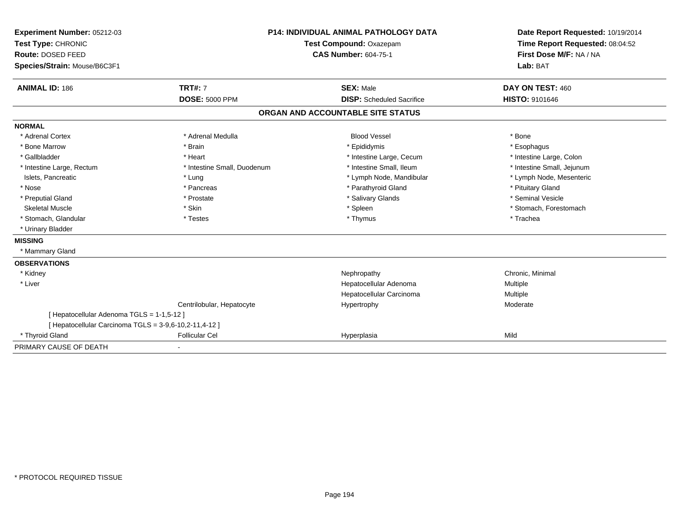| Experiment Number: 05212-03                            | <b>P14: INDIVIDUAL ANIMAL PATHOLOGY DATA</b><br>Test Compound: Oxazepam |                                   | Date Report Requested: 10/19/2014<br>Time Report Requested: 08:04:52 |  |
|--------------------------------------------------------|-------------------------------------------------------------------------|-----------------------------------|----------------------------------------------------------------------|--|
| Test Type: CHRONIC                                     |                                                                         |                                   |                                                                      |  |
| Route: DOSED FEED                                      |                                                                         | <b>CAS Number: 604-75-1</b>       |                                                                      |  |
| Species/Strain: Mouse/B6C3F1                           |                                                                         |                                   | First Dose M/F: NA / NA<br>Lab: BAT                                  |  |
|                                                        |                                                                         |                                   |                                                                      |  |
| <b>ANIMAL ID: 186</b>                                  | <b>TRT#: 7</b>                                                          | <b>SEX: Male</b>                  | DAY ON TEST: 460                                                     |  |
|                                                        | <b>DOSE: 5000 PPM</b>                                                   | <b>DISP:</b> Scheduled Sacrifice  | HISTO: 9101646                                                       |  |
|                                                        |                                                                         | ORGAN AND ACCOUNTABLE SITE STATUS |                                                                      |  |
| <b>NORMAL</b>                                          |                                                                         |                                   |                                                                      |  |
| * Adrenal Cortex                                       | * Adrenal Medulla                                                       | <b>Blood Vessel</b>               | * Bone                                                               |  |
| * Bone Marrow                                          | * Brain                                                                 | * Epididymis                      | * Esophagus                                                          |  |
| * Gallbladder                                          | * Heart                                                                 | * Intestine Large, Cecum          | * Intestine Large, Colon                                             |  |
| * Intestine Large, Rectum                              | * Intestine Small, Duodenum                                             | * Intestine Small, Ileum          | * Intestine Small, Jejunum                                           |  |
| Islets, Pancreatic                                     | * Lung                                                                  | * Lymph Node, Mandibular          | * Lymph Node, Mesenteric                                             |  |
| * Nose                                                 | * Pancreas                                                              | * Parathyroid Gland               | * Pituitary Gland                                                    |  |
| * Preputial Gland                                      | * Prostate                                                              | * Salivary Glands                 | * Seminal Vesicle                                                    |  |
| <b>Skeletal Muscle</b>                                 | * Skin                                                                  | * Spleen                          | * Stomach, Forestomach                                               |  |
| * Stomach, Glandular                                   | * Testes                                                                | * Thymus                          | * Trachea                                                            |  |
| * Urinary Bladder                                      |                                                                         |                                   |                                                                      |  |
| <b>MISSING</b>                                         |                                                                         |                                   |                                                                      |  |
| * Mammary Gland                                        |                                                                         |                                   |                                                                      |  |
| <b>OBSERVATIONS</b>                                    |                                                                         |                                   |                                                                      |  |
| * Kidney                                               |                                                                         | Nephropathy                       | Chronic, Minimal                                                     |  |
| * Liver                                                |                                                                         | Hepatocellular Adenoma            | Multiple                                                             |  |
|                                                        |                                                                         | Hepatocellular Carcinoma          | Multiple                                                             |  |
|                                                        | Centrilobular, Hepatocyte                                               | Hypertrophy                       | Moderate                                                             |  |
| [ Hepatocellular Adenoma TGLS = 1-1,5-12 ]             |                                                                         |                                   |                                                                      |  |
| [ Hepatocellular Carcinoma TGLS = 3-9,6-10,2-11,4-12 ] |                                                                         |                                   |                                                                      |  |
| * Thyroid Gland                                        | <b>Follicular Cel</b>                                                   | Hyperplasia                       | Mild                                                                 |  |
| PRIMARY CAUSE OF DEATH                                 |                                                                         |                                   |                                                                      |  |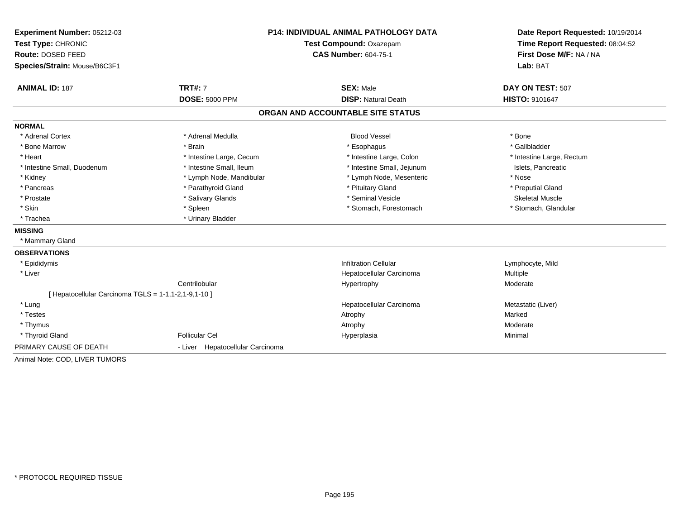| Experiment Number: 05212-03                          | <b>P14: INDIVIDUAL ANIMAL PATHOLOGY DATA</b> |                                   | Date Report Requested: 10/19/2014                          |  |
|------------------------------------------------------|----------------------------------------------|-----------------------------------|------------------------------------------------------------|--|
| Test Type: CHRONIC                                   |                                              | Test Compound: Oxazepam           |                                                            |  |
| Route: DOSED FEED                                    |                                              | <b>CAS Number: 604-75-1</b>       | Time Report Requested: 08:04:52<br>First Dose M/F: NA / NA |  |
| Species/Strain: Mouse/B6C3F1                         |                                              |                                   | Lab: BAT                                                   |  |
| <b>ANIMAL ID: 187</b>                                | <b>TRT#: 7</b>                               | <b>SEX: Male</b>                  | DAY ON TEST: 507                                           |  |
|                                                      | <b>DOSE: 5000 PPM</b>                        | <b>DISP: Natural Death</b>        | <b>HISTO: 9101647</b>                                      |  |
|                                                      |                                              | ORGAN AND ACCOUNTABLE SITE STATUS |                                                            |  |
| <b>NORMAL</b>                                        |                                              |                                   |                                                            |  |
| * Adrenal Cortex                                     | * Adrenal Medulla                            | <b>Blood Vessel</b>               | * Bone                                                     |  |
| * Bone Marrow                                        | * Brain                                      | * Esophagus                       | * Gallbladder                                              |  |
| * Heart                                              | * Intestine Large, Cecum                     | * Intestine Large, Colon          | * Intestine Large, Rectum                                  |  |
| * Intestine Small, Duodenum                          | * Intestine Small, Ileum                     | * Intestine Small, Jejunum        | Islets, Pancreatic                                         |  |
| * Kidney                                             | * Lymph Node, Mandibular                     | * Lymph Node, Mesenteric          | * Nose                                                     |  |
| * Pancreas                                           | * Parathyroid Gland                          | * Pituitary Gland                 | * Preputial Gland                                          |  |
| * Prostate                                           | * Salivary Glands                            | * Seminal Vesicle                 | <b>Skeletal Muscle</b>                                     |  |
| * Skin                                               | * Spleen                                     | * Stomach, Forestomach            | * Stomach, Glandular                                       |  |
| * Trachea                                            | * Urinary Bladder                            |                                   |                                                            |  |
| <b>MISSING</b>                                       |                                              |                                   |                                                            |  |
| * Mammary Gland                                      |                                              |                                   |                                                            |  |
| <b>OBSERVATIONS</b>                                  |                                              |                                   |                                                            |  |
| * Epididymis                                         |                                              | <b>Infiltration Cellular</b>      | Lymphocyte, Mild                                           |  |
| * Liver                                              |                                              | Hepatocellular Carcinoma          | <b>Multiple</b>                                            |  |
|                                                      | Centrilobular                                | Hypertrophy                       | Moderate                                                   |  |
| [ Hepatocellular Carcinoma TGLS = 1-1,1-2,1-9,1-10 ] |                                              |                                   |                                                            |  |
| * Lung                                               |                                              | Hepatocellular Carcinoma          | Metastatic (Liver)                                         |  |
| * Testes                                             |                                              | Atrophy                           | Marked                                                     |  |
| * Thymus                                             |                                              | Atrophy                           | Moderate                                                   |  |
| * Thyroid Gland                                      | <b>Follicular Cel</b>                        | Hyperplasia                       | Minimal                                                    |  |
| PRIMARY CAUSE OF DEATH                               | - Liver Hepatocellular Carcinoma             |                                   |                                                            |  |
| Animal Note: COD, LIVER TUMORS                       |                                              |                                   |                                                            |  |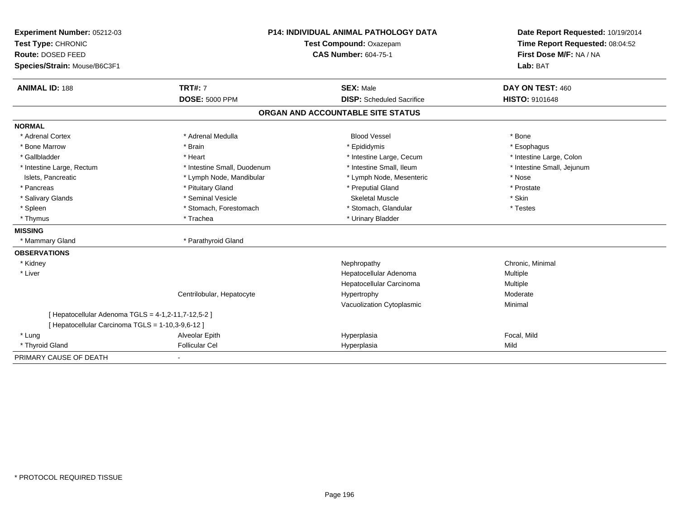| Experiment Number: 05212-03                         | <b>P14: INDIVIDUAL ANIMAL PATHOLOGY DATA</b><br>Test Compound: Oxazepam |                                   | Date Report Requested: 10/19/2014<br>Time Report Requested: 08:04:52 |  |
|-----------------------------------------------------|-------------------------------------------------------------------------|-----------------------------------|----------------------------------------------------------------------|--|
| Test Type: CHRONIC                                  |                                                                         |                                   |                                                                      |  |
| Route: DOSED FEED                                   |                                                                         | <b>CAS Number: 604-75-1</b>       | First Dose M/F: NA / NA                                              |  |
| Species/Strain: Mouse/B6C3F1                        |                                                                         |                                   | Lab: BAT                                                             |  |
| <b>ANIMAL ID: 188</b>                               | <b>TRT#: 7</b>                                                          | <b>SEX: Male</b>                  | DAY ON TEST: 460                                                     |  |
|                                                     | <b>DOSE: 5000 PPM</b>                                                   | <b>DISP:</b> Scheduled Sacrifice  | <b>HISTO: 9101648</b>                                                |  |
|                                                     |                                                                         | ORGAN AND ACCOUNTABLE SITE STATUS |                                                                      |  |
| <b>NORMAL</b>                                       |                                                                         |                                   |                                                                      |  |
| * Adrenal Cortex                                    | * Adrenal Medulla                                                       | <b>Blood Vessel</b>               | * Bone                                                               |  |
| * Bone Marrow                                       | * Brain                                                                 | * Epididymis                      | * Esophagus                                                          |  |
| * Gallbladder                                       | * Heart                                                                 | * Intestine Large, Cecum          | * Intestine Large, Colon                                             |  |
| * Intestine Large, Rectum                           | * Intestine Small, Duodenum                                             | * Intestine Small, Ileum          | * Intestine Small, Jejunum                                           |  |
| Islets, Pancreatic                                  | * Lymph Node, Mandibular                                                | * Lymph Node, Mesenteric          | * Nose                                                               |  |
| * Pancreas                                          | * Pituitary Gland                                                       | * Preputial Gland                 | * Prostate                                                           |  |
| * Salivary Glands                                   | * Seminal Vesicle                                                       | <b>Skeletal Muscle</b>            | * Skin                                                               |  |
| * Spleen                                            | * Stomach, Forestomach                                                  | * Stomach, Glandular              | * Testes                                                             |  |
| * Thymus                                            | * Trachea                                                               | * Urinary Bladder                 |                                                                      |  |
| <b>MISSING</b>                                      |                                                                         |                                   |                                                                      |  |
| * Mammary Gland                                     | * Parathyroid Gland                                                     |                                   |                                                                      |  |
| <b>OBSERVATIONS</b>                                 |                                                                         |                                   |                                                                      |  |
| * Kidney                                            |                                                                         | Nephropathy                       | Chronic, Minimal                                                     |  |
| * Liver                                             |                                                                         | Hepatocellular Adenoma            | Multiple                                                             |  |
|                                                     |                                                                         | Hepatocellular Carcinoma          | Multiple                                                             |  |
|                                                     | Centrilobular, Hepatocyte                                               | Hypertrophy                       | Moderate                                                             |  |
|                                                     |                                                                         | Vacuolization Cytoplasmic         | Minimal                                                              |  |
| [ Hepatocellular Adenoma TGLS = 4-1,2-11,7-12,5-2 ] |                                                                         |                                   |                                                                      |  |
| [ Hepatocellular Carcinoma TGLS = 1-10,3-9,6-12 ]   |                                                                         |                                   |                                                                      |  |
| * Lung                                              | Alveolar Epith                                                          | Hyperplasia                       | Focal, Mild                                                          |  |
| * Thyroid Gland                                     | <b>Follicular Cel</b>                                                   | Hyperplasia                       | Mild                                                                 |  |

-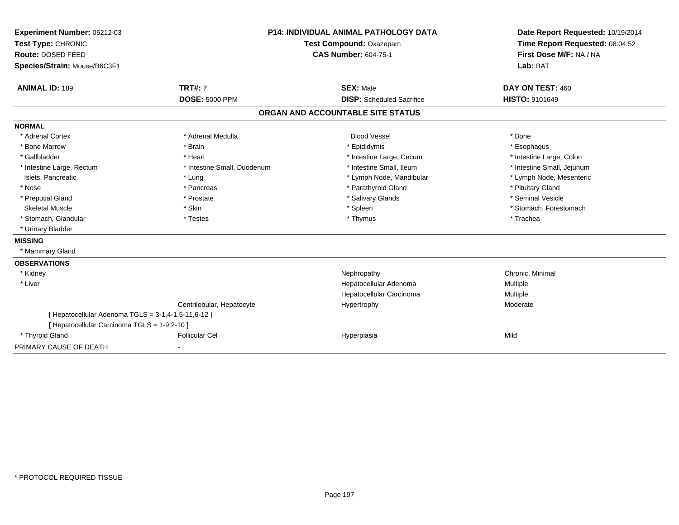| Experiment Number: 05212-03                         | <b>P14: INDIVIDUAL ANIMAL PATHOLOGY DATA</b><br>Test Compound: Oxazepam |                                   | Date Report Requested: 10/19/2014 |
|-----------------------------------------------------|-------------------------------------------------------------------------|-----------------------------------|-----------------------------------|
| Test Type: CHRONIC                                  |                                                                         |                                   | Time Report Requested: 08:04:52   |
| Route: DOSED FEED                                   |                                                                         | <b>CAS Number: 604-75-1</b>       | First Dose M/F: NA / NA           |
| Species/Strain: Mouse/B6C3F1                        |                                                                         |                                   | Lab: BAT                          |
| <b>ANIMAL ID: 189</b>                               | <b>TRT#: 7</b>                                                          | <b>SEX: Male</b>                  | DAY ON TEST: 460                  |
|                                                     | <b>DOSE: 5000 PPM</b>                                                   | <b>DISP:</b> Scheduled Sacrifice  | <b>HISTO: 9101649</b>             |
|                                                     |                                                                         | ORGAN AND ACCOUNTABLE SITE STATUS |                                   |
| <b>NORMAL</b>                                       |                                                                         |                                   |                                   |
| * Adrenal Cortex                                    | * Adrenal Medulla                                                       | <b>Blood Vessel</b>               | * Bone                            |
| * Bone Marrow                                       | * Brain                                                                 | * Epididymis                      | * Esophagus                       |
| * Gallbladder                                       | * Heart                                                                 | * Intestine Large, Cecum          | * Intestine Large, Colon          |
| * Intestine Large, Rectum                           | * Intestine Small, Duodenum                                             | * Intestine Small, Ileum          | * Intestine Small, Jejunum        |
| Islets, Pancreatic                                  | * Lung                                                                  | * Lymph Node, Mandibular          | * Lymph Node, Mesenteric          |
| * Nose                                              | * Pancreas                                                              | * Parathyroid Gland               | * Pituitary Gland                 |
| * Preputial Gland                                   | * Prostate                                                              | * Salivary Glands                 | * Seminal Vesicle                 |
| <b>Skeletal Muscle</b>                              | * Skin                                                                  | * Spleen                          | * Stomach, Forestomach            |
| * Stomach, Glandular                                | * Testes                                                                | * Thymus                          | * Trachea                         |
| * Urinary Bladder                                   |                                                                         |                                   |                                   |
| <b>MISSING</b>                                      |                                                                         |                                   |                                   |
| * Mammary Gland                                     |                                                                         |                                   |                                   |
| <b>OBSERVATIONS</b>                                 |                                                                         |                                   |                                   |
| * Kidney                                            |                                                                         | Nephropathy                       | Chronic, Minimal                  |
| * Liver                                             |                                                                         | Hepatocellular Adenoma            | Multiple                          |
|                                                     |                                                                         | Hepatocellular Carcinoma          | Multiple                          |
|                                                     | Centrilobular, Hepatocyte                                               | Hypertrophy                       | Moderate                          |
| [ Hepatocellular Adenoma TGLS = 3-1,4-1,5-11,6-12 ] |                                                                         |                                   |                                   |
| [ Hepatocellular Carcinoma TGLS = 1-9,2-10 ]        |                                                                         |                                   |                                   |
| * Thyroid Gland                                     | <b>Follicular Cel</b>                                                   | Hyperplasia                       | Mild                              |
| PRIMARY CAUSE OF DEATH                              |                                                                         |                                   |                                   |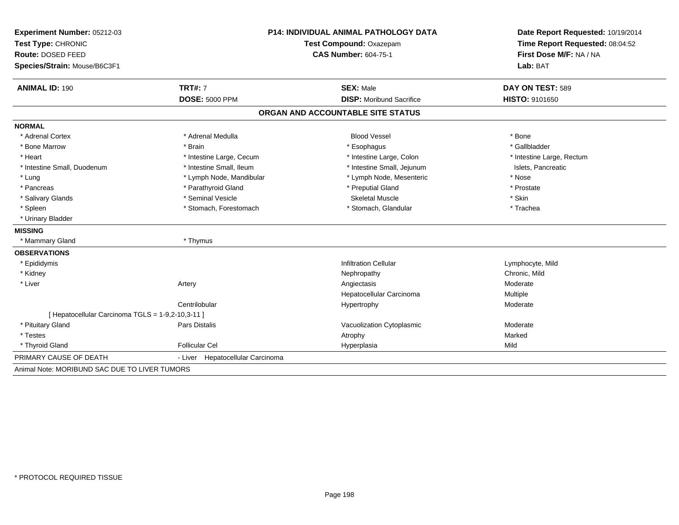| Experiment Number: 05212-03                       | <b>P14: INDIVIDUAL ANIMAL PATHOLOGY DATA</b><br>Test Compound: Oxazepam |                                   | Date Report Requested: 10/19/2014 |
|---------------------------------------------------|-------------------------------------------------------------------------|-----------------------------------|-----------------------------------|
| Test Type: CHRONIC                                |                                                                         |                                   | Time Report Requested: 08:04:52   |
| Route: DOSED FEED                                 |                                                                         | <b>CAS Number: 604-75-1</b>       | First Dose M/F: NA / NA           |
| Species/Strain: Mouse/B6C3F1                      |                                                                         |                                   | Lab: BAT                          |
| <b>ANIMAL ID: 190</b>                             | <b>TRT#: 7</b>                                                          | <b>SEX: Male</b>                  | DAY ON TEST: 589                  |
|                                                   | <b>DOSE: 5000 PPM</b>                                                   | <b>DISP:</b> Moribund Sacrifice   | HISTO: 9101650                    |
|                                                   |                                                                         | ORGAN AND ACCOUNTABLE SITE STATUS |                                   |
| <b>NORMAL</b>                                     |                                                                         |                                   |                                   |
| * Adrenal Cortex                                  | * Adrenal Medulla                                                       | <b>Blood Vessel</b>               | * Bone                            |
| * Bone Marrow                                     | * Brain                                                                 | * Esophagus                       | * Gallbladder                     |
| * Heart                                           | * Intestine Large, Cecum                                                | * Intestine Large, Colon          | * Intestine Large, Rectum         |
| * Intestine Small, Duodenum                       | * Intestine Small, Ileum                                                | * Intestine Small, Jejunum        | Islets, Pancreatic                |
| * Lung                                            | * Lymph Node, Mandibular                                                | * Lymph Node, Mesenteric          | * Nose                            |
| * Pancreas                                        | * Parathyroid Gland                                                     | * Preputial Gland                 | * Prostate                        |
| * Salivary Glands                                 | * Seminal Vesicle                                                       | <b>Skeletal Muscle</b>            | * Skin                            |
| * Spleen                                          | * Stomach, Forestomach                                                  | * Stomach, Glandular              | * Trachea                         |
| * Urinary Bladder                                 |                                                                         |                                   |                                   |
| <b>MISSING</b>                                    |                                                                         |                                   |                                   |
| * Mammary Gland                                   | * Thymus                                                                |                                   |                                   |
| <b>OBSERVATIONS</b>                               |                                                                         |                                   |                                   |
| * Epididymis                                      |                                                                         | Infiltration Cellular             | Lymphocyte, Mild                  |
| * Kidney                                          |                                                                         | Nephropathy                       | Chronic, Mild                     |
| * Liver                                           | Artery                                                                  | Angiectasis                       | Moderate                          |
|                                                   |                                                                         | Hepatocellular Carcinoma          | Multiple                          |
|                                                   | Centrilobular                                                           | Hypertrophy                       | Moderate                          |
| [ Hepatocellular Carcinoma TGLS = 1-9,2-10,3-11 ] |                                                                         |                                   |                                   |
| * Pituitary Gland                                 | Pars Distalis                                                           | Vacuolization Cytoplasmic         | Moderate                          |
| * Testes                                          |                                                                         | Atrophy                           | Marked                            |
| * Thyroid Gland                                   | <b>Follicular Cel</b>                                                   | Hyperplasia                       | Mild                              |
| PRIMARY CAUSE OF DEATH                            | - Liver Hepatocellular Carcinoma                                        |                                   |                                   |
| Animal Note: MORIBUND SAC DUE TO LIVER TUMORS     |                                                                         |                                   |                                   |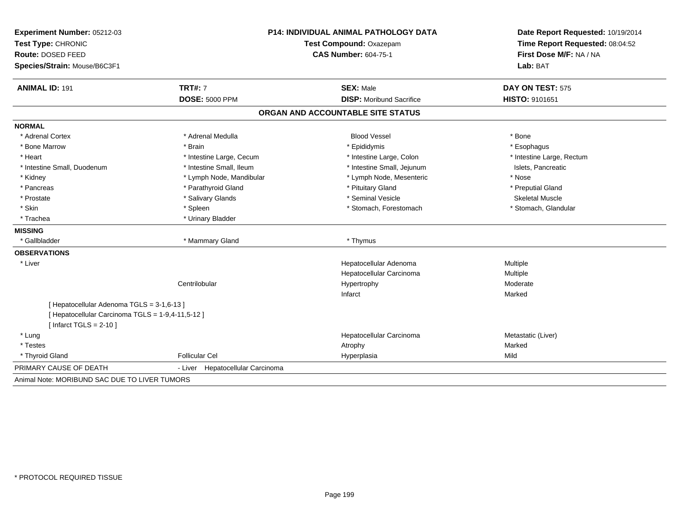| Experiment Number: 05212-03<br>Test Type: CHRONIC<br>Route: DOSED FEED<br>Species/Strain: Mouse/B6C3F1 |                                  | P14: INDIVIDUAL ANIMAL PATHOLOGY DATA<br>Test Compound: Oxazepam<br><b>CAS Number: 604-75-1</b> |                           |
|--------------------------------------------------------------------------------------------------------|----------------------------------|-------------------------------------------------------------------------------------------------|---------------------------|
| <b>ANIMAL ID: 191</b>                                                                                  | <b>TRT#: 7</b>                   | <b>SEX: Male</b>                                                                                | DAY ON TEST: 575          |
|                                                                                                        | <b>DOSE: 5000 PPM</b>            | <b>DISP: Moribund Sacrifice</b>                                                                 | HISTO: 9101651            |
|                                                                                                        |                                  | ORGAN AND ACCOUNTABLE SITE STATUS                                                               |                           |
| <b>NORMAL</b>                                                                                          |                                  |                                                                                                 |                           |
| * Adrenal Cortex                                                                                       | * Adrenal Medulla                | <b>Blood Vessel</b>                                                                             | * Bone                    |
| * Bone Marrow                                                                                          | * Brain                          | * Epididymis                                                                                    | * Esophagus               |
| * Heart                                                                                                | * Intestine Large, Cecum         | * Intestine Large, Colon                                                                        | * Intestine Large, Rectum |
| * Intestine Small, Duodenum                                                                            | * Intestine Small, Ileum         | * Intestine Small, Jejunum                                                                      | Islets, Pancreatic        |
| * Kidney                                                                                               | * Lymph Node, Mandibular         | * Lymph Node, Mesenteric                                                                        | * Nose                    |
| * Pancreas                                                                                             | * Parathyroid Gland              | * Pituitary Gland                                                                               | * Preputial Gland         |
| * Prostate                                                                                             | * Salivary Glands                | * Seminal Vesicle                                                                               | <b>Skeletal Muscle</b>    |
| * Skin                                                                                                 | * Spleen                         | * Stomach, Forestomach                                                                          | * Stomach, Glandular      |
| * Trachea                                                                                              | * Urinary Bladder                |                                                                                                 |                           |
| <b>MISSING</b>                                                                                         |                                  |                                                                                                 |                           |
| * Gallbladder                                                                                          | * Mammary Gland                  | * Thymus                                                                                        |                           |
| <b>OBSERVATIONS</b>                                                                                    |                                  |                                                                                                 |                           |
| * Liver                                                                                                |                                  | Hepatocellular Adenoma                                                                          | Multiple                  |
|                                                                                                        |                                  | Hepatocellular Carcinoma                                                                        | Multiple                  |
|                                                                                                        | Centrilobular                    | Hypertrophy                                                                                     | Moderate                  |
|                                                                                                        |                                  | Infarct                                                                                         | Marked                    |
| [ Hepatocellular Adenoma TGLS = 3-1,6-13 ]                                                             |                                  |                                                                                                 |                           |
| [ Hepatocellular Carcinoma TGLS = 1-9,4-11,5-12 ]                                                      |                                  |                                                                                                 |                           |
| [Infarct TGLS = $2-10$ ]                                                                               |                                  |                                                                                                 |                           |
| * Lung                                                                                                 |                                  | Hepatocellular Carcinoma                                                                        | Metastatic (Liver)        |
| * Testes                                                                                               |                                  | Atrophy                                                                                         | Marked                    |
| * Thyroid Gland                                                                                        | <b>Follicular Cel</b>            | Hyperplasia                                                                                     | Mild                      |
| PRIMARY CAUSE OF DEATH                                                                                 | - Liver Hepatocellular Carcinoma |                                                                                                 |                           |
| Animal Note: MORIBUND SAC DUE TO LIVER TUMORS                                                          |                                  |                                                                                                 |                           |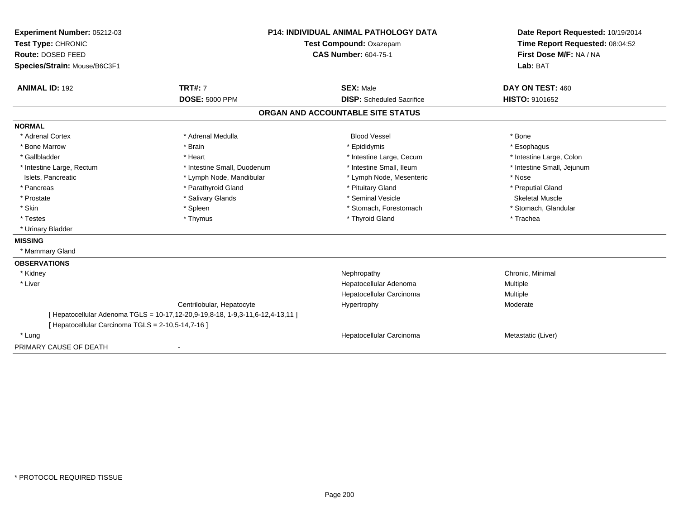| Experiment Number: 05212-03                        | <b>P14: INDIVIDUAL ANIMAL PATHOLOGY DATA</b><br>Test Compound: Oxazepam      |                                   | Date Report Requested: 10/19/2014   |
|----------------------------------------------------|------------------------------------------------------------------------------|-----------------------------------|-------------------------------------|
| Test Type: CHRONIC                                 |                                                                              |                                   | Time Report Requested: 08:04:52     |
| Route: DOSED FEED                                  |                                                                              | <b>CAS Number: 604-75-1</b>       |                                     |
| Species/Strain: Mouse/B6C3F1                       |                                                                              |                                   | First Dose M/F: NA / NA<br>Lab: BAT |
| <b>ANIMAL ID: 192</b>                              | <b>TRT#: 7</b>                                                               | <b>SEX: Male</b>                  | DAY ON TEST: 460                    |
|                                                    | <b>DOSE: 5000 PPM</b>                                                        | <b>DISP:</b> Scheduled Sacrifice  | <b>HISTO: 9101652</b>               |
|                                                    |                                                                              | ORGAN AND ACCOUNTABLE SITE STATUS |                                     |
| <b>NORMAL</b>                                      |                                                                              |                                   |                                     |
| * Adrenal Cortex                                   | * Adrenal Medulla                                                            | <b>Blood Vessel</b>               | * Bone                              |
| * Bone Marrow                                      | * Brain                                                                      | * Epididymis                      | * Esophagus                         |
| * Gallbladder                                      | * Heart                                                                      | * Intestine Large, Cecum          | * Intestine Large, Colon            |
| * Intestine Large, Rectum                          | * Intestine Small, Duodenum                                                  | * Intestine Small, Ileum          | * Intestine Small, Jejunum          |
| Islets, Pancreatic                                 | * Lymph Node, Mandibular                                                     | * Lymph Node, Mesenteric          | * Nose                              |
| * Pancreas                                         | * Parathyroid Gland                                                          | * Pituitary Gland                 | * Preputial Gland                   |
| * Prostate                                         | * Salivary Glands                                                            | * Seminal Vesicle                 | <b>Skeletal Muscle</b>              |
| * Skin                                             | * Spleen                                                                     | * Stomach, Forestomach            | * Stomach, Glandular                |
| * Testes                                           | * Thymus                                                                     | * Thyroid Gland                   | * Trachea                           |
| * Urinary Bladder                                  |                                                                              |                                   |                                     |
| <b>MISSING</b>                                     |                                                                              |                                   |                                     |
| * Mammary Gland                                    |                                                                              |                                   |                                     |
| <b>OBSERVATIONS</b>                                |                                                                              |                                   |                                     |
| * Kidney                                           |                                                                              | Nephropathy                       | Chronic, Minimal                    |
| * Liver                                            |                                                                              | Hepatocellular Adenoma            | Multiple                            |
|                                                    |                                                                              | Hepatocellular Carcinoma          | <b>Multiple</b>                     |
|                                                    | Centrilobular, Hepatocyte                                                    | Hypertrophy                       | Moderate                            |
|                                                    | [Hepatocellular Adenoma TGLS = 10-17,12-20,9-19,8-18, 1-9,3-11,6-12,4-13,11] |                                   |                                     |
| [ Hepatocellular Carcinoma TGLS = 2-10,5-14,7-16 ] |                                                                              |                                   |                                     |
| * Lung                                             |                                                                              | Hepatocellular Carcinoma          | Metastatic (Liver)                  |
| PRIMARY CAUSE OF DEATH                             |                                                                              |                                   |                                     |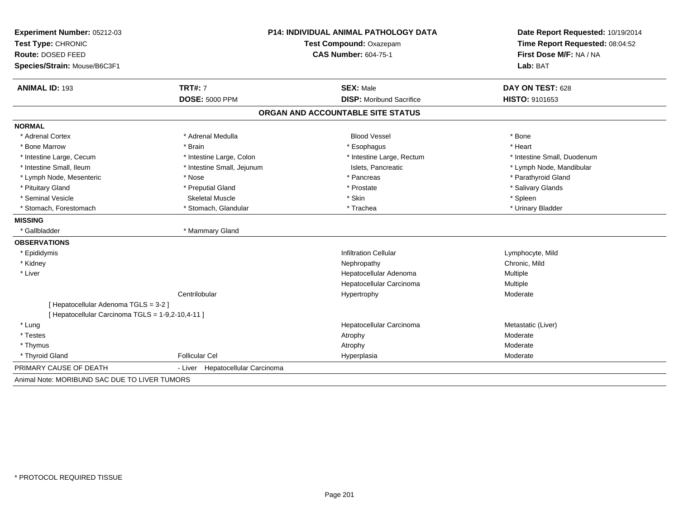| Experiment Number: 05212-03<br>Test Type: CHRONIC<br>Route: DOSED FEED<br>Species/Strain: Mouse/B6C3F1 | P14: INDIVIDUAL ANIMAL PATHOLOGY DATA<br>Test Compound: Oxazepam<br><b>CAS Number: 604-75-1</b> |                                   | Date Report Requested: 10/19/2014<br>Time Report Requested: 08:04:52<br>First Dose M/F: NA / NA |  |
|--------------------------------------------------------------------------------------------------------|-------------------------------------------------------------------------------------------------|-----------------------------------|-------------------------------------------------------------------------------------------------|--|
|                                                                                                        |                                                                                                 |                                   | Lab: BAT                                                                                        |  |
| <b>ANIMAL ID: 193</b>                                                                                  | <b>TRT#: 7</b>                                                                                  | <b>SEX: Male</b>                  | DAY ON TEST: 628                                                                                |  |
|                                                                                                        | <b>DOSE: 5000 PPM</b>                                                                           | <b>DISP:</b> Moribund Sacrifice   | HISTO: 9101653                                                                                  |  |
|                                                                                                        |                                                                                                 | ORGAN AND ACCOUNTABLE SITE STATUS |                                                                                                 |  |
| <b>NORMAL</b>                                                                                          |                                                                                                 |                                   |                                                                                                 |  |
| * Adrenal Cortex                                                                                       | * Adrenal Medulla                                                                               | <b>Blood Vessel</b>               | * Bone                                                                                          |  |
| * Bone Marrow                                                                                          | * Brain                                                                                         | * Esophagus                       | * Heart                                                                                         |  |
| * Intestine Large, Cecum                                                                               | * Intestine Large, Colon                                                                        | * Intestine Large, Rectum         | * Intestine Small, Duodenum                                                                     |  |
| * Intestine Small. Ileum                                                                               | * Intestine Small, Jejunum                                                                      | Islets. Pancreatic                | * Lymph Node, Mandibular                                                                        |  |
| * Lymph Node, Mesenteric                                                                               | * Nose                                                                                          | * Pancreas                        | * Parathyroid Gland                                                                             |  |
| * Pituitary Gland                                                                                      | * Preputial Gland                                                                               | * Prostate                        | * Salivary Glands                                                                               |  |
| * Seminal Vesicle                                                                                      | <b>Skeletal Muscle</b>                                                                          | * Skin                            | * Spleen                                                                                        |  |
| * Stomach, Forestomach                                                                                 | * Stomach, Glandular                                                                            | * Trachea                         | * Urinary Bladder                                                                               |  |
| <b>MISSING</b>                                                                                         |                                                                                                 |                                   |                                                                                                 |  |
| * Gallbladder                                                                                          | * Mammary Gland                                                                                 |                                   |                                                                                                 |  |
| <b>OBSERVATIONS</b>                                                                                    |                                                                                                 |                                   |                                                                                                 |  |
| * Epididymis                                                                                           |                                                                                                 | <b>Infiltration Cellular</b>      | Lymphocyte, Mild                                                                                |  |
| * Kidney                                                                                               |                                                                                                 | Nephropathy                       | Chronic, Mild                                                                                   |  |
| * Liver                                                                                                |                                                                                                 | Hepatocellular Adenoma            | Multiple                                                                                        |  |
|                                                                                                        |                                                                                                 | Hepatocellular Carcinoma          | Multiple                                                                                        |  |
|                                                                                                        | Centrilobular                                                                                   | Hypertrophy                       | Moderate                                                                                        |  |
| [ Hepatocellular Adenoma TGLS = 3-2 ]                                                                  |                                                                                                 |                                   |                                                                                                 |  |
| [ Hepatocellular Carcinoma TGLS = 1-9,2-10,4-11 ]                                                      |                                                                                                 |                                   |                                                                                                 |  |
| * Lung                                                                                                 |                                                                                                 | Hepatocellular Carcinoma          | Metastatic (Liver)                                                                              |  |
| * Testes                                                                                               |                                                                                                 | Atrophy                           | Moderate                                                                                        |  |
| * Thymus                                                                                               |                                                                                                 | Atrophy                           | Moderate                                                                                        |  |
| * Thyroid Gland                                                                                        | <b>Follicular Cel</b>                                                                           | Hyperplasia                       | Moderate                                                                                        |  |
| PRIMARY CAUSE OF DEATH                                                                                 | Hepatocellular Carcinoma<br>- Liver                                                             |                                   |                                                                                                 |  |
| Animal Note: MORIBUND SAC DUE TO LIVER TUMORS                                                          |                                                                                                 |                                   |                                                                                                 |  |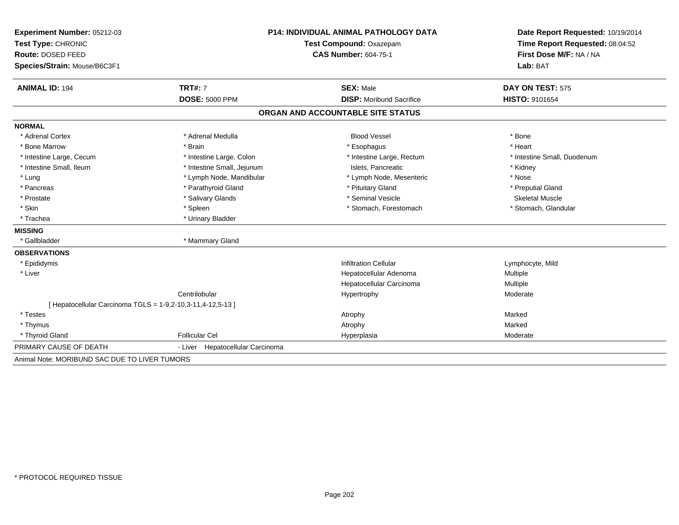| Experiment Number: 05212-03                                 | <b>P14: INDIVIDUAL ANIMAL PATHOLOGY DATA</b><br>Test Compound: Oxazepam |                                   | Date Report Requested: 10/19/2014 |  |
|-------------------------------------------------------------|-------------------------------------------------------------------------|-----------------------------------|-----------------------------------|--|
| Test Type: CHRONIC                                          |                                                                         |                                   | Time Report Requested: 08:04:52   |  |
| Route: DOSED FEED                                           |                                                                         | <b>CAS Number: 604-75-1</b>       | First Dose M/F: NA / NA           |  |
| Species/Strain: Mouse/B6C3F1                                |                                                                         |                                   | Lab: BAT                          |  |
| <b>ANIMAL ID: 194</b>                                       | <b>TRT#: 7</b>                                                          | <b>SEX: Male</b>                  | DAY ON TEST: 575                  |  |
|                                                             | <b>DOSE: 5000 PPM</b>                                                   | <b>DISP:</b> Moribund Sacrifice   | <b>HISTO: 9101654</b>             |  |
|                                                             |                                                                         | ORGAN AND ACCOUNTABLE SITE STATUS |                                   |  |
| <b>NORMAL</b>                                               |                                                                         |                                   |                                   |  |
| * Adrenal Cortex                                            | * Adrenal Medulla                                                       | <b>Blood Vessel</b>               | * Bone                            |  |
| * Bone Marrow                                               | * Brain                                                                 | * Esophagus                       | * Heart                           |  |
| * Intestine Large, Cecum                                    | * Intestine Large, Colon                                                | * Intestine Large, Rectum         | * Intestine Small, Duodenum       |  |
| * Intestine Small, Ileum                                    | * Intestine Small, Jejunum                                              | Islets. Pancreatic                | * Kidney                          |  |
| * Lung                                                      | * Lymph Node, Mandibular                                                | * Lymph Node, Mesenteric          | * Nose                            |  |
| * Pancreas                                                  | * Parathyroid Gland                                                     | * Pituitary Gland                 | * Preputial Gland                 |  |
| * Prostate                                                  | * Salivary Glands                                                       | * Seminal Vesicle                 | <b>Skeletal Muscle</b>            |  |
| * Skin                                                      | * Spleen                                                                | * Stomach, Forestomach            | * Stomach, Glandular              |  |
| * Trachea                                                   | * Urinary Bladder                                                       |                                   |                                   |  |
| <b>MISSING</b>                                              |                                                                         |                                   |                                   |  |
| * Gallbladder                                               | * Mammary Gland                                                         |                                   |                                   |  |
| <b>OBSERVATIONS</b>                                         |                                                                         |                                   |                                   |  |
| * Epididymis                                                |                                                                         | <b>Infiltration Cellular</b>      | Lymphocyte, Mild                  |  |
| * Liver                                                     |                                                                         | Hepatocellular Adenoma            | Multiple                          |  |
|                                                             |                                                                         | Hepatocellular Carcinoma          | Multiple                          |  |
|                                                             | Centrilobular                                                           | Hypertrophy                       | Moderate                          |  |
| [ Hepatocellular Carcinoma TGLS = 1-9,2-10,3-11,4-12,5-13 ] |                                                                         |                                   |                                   |  |
| * Testes                                                    |                                                                         | Atrophy                           | Marked                            |  |
| * Thymus                                                    |                                                                         | Atrophy                           | Marked                            |  |
| * Thyroid Gland                                             | <b>Follicular Cel</b>                                                   | Hyperplasia                       | Moderate                          |  |
| PRIMARY CAUSE OF DEATH                                      | - Liver Hepatocellular Carcinoma                                        |                                   |                                   |  |
| Animal Note: MORIBUND SAC DUE TO LIVER TUMORS               |                                                                         |                                   |                                   |  |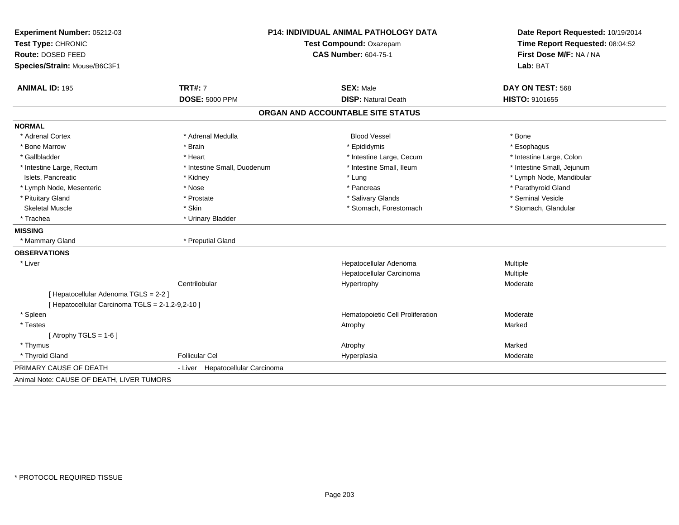| Experiment Number: 05212-03                      | P14: INDIVIDUAL ANIMAL PATHOLOGY DATA<br>Test Compound: Oxazepam |                                   | Date Report Requested: 10/19/2014 |  |
|--------------------------------------------------|------------------------------------------------------------------|-----------------------------------|-----------------------------------|--|
| Test Type: CHRONIC                               |                                                                  |                                   | Time Report Requested: 08:04:52   |  |
| Route: DOSED FEED                                |                                                                  | <b>CAS Number: 604-75-1</b>       | First Dose M/F: NA / NA           |  |
| Species/Strain: Mouse/B6C3F1                     |                                                                  |                                   | Lab: BAT                          |  |
| <b>ANIMAL ID: 195</b>                            | <b>TRT#: 7</b>                                                   | <b>SEX: Male</b>                  | DAY ON TEST: 568                  |  |
|                                                  | <b>DOSE: 5000 PPM</b>                                            | <b>DISP: Natural Death</b>        | HISTO: 9101655                    |  |
|                                                  |                                                                  | ORGAN AND ACCOUNTABLE SITE STATUS |                                   |  |
| <b>NORMAL</b>                                    |                                                                  |                                   |                                   |  |
| * Adrenal Cortex                                 | * Adrenal Medulla                                                | <b>Blood Vessel</b>               | * Bone                            |  |
| * Bone Marrow                                    | * Brain                                                          | * Epididymis                      | * Esophagus                       |  |
| * Gallbladder                                    | * Heart                                                          | * Intestine Large, Cecum          | * Intestine Large, Colon          |  |
| * Intestine Large, Rectum                        | * Intestine Small, Duodenum                                      | * Intestine Small. Ileum          | * Intestine Small, Jejunum        |  |
| Islets, Pancreatic                               | * Kidney                                                         | * Lung                            | * Lymph Node, Mandibular          |  |
| * Lymph Node, Mesenteric                         | * Nose                                                           | * Pancreas                        | * Parathyroid Gland               |  |
| * Pituitary Gland                                | * Prostate                                                       | * Salivary Glands                 | * Seminal Vesicle                 |  |
| <b>Skeletal Muscle</b>                           | * Skin                                                           | * Stomach, Forestomach            | * Stomach, Glandular              |  |
| * Trachea                                        | * Urinary Bladder                                                |                                   |                                   |  |
| <b>MISSING</b>                                   |                                                                  |                                   |                                   |  |
| * Mammary Gland                                  | * Preputial Gland                                                |                                   |                                   |  |
| <b>OBSERVATIONS</b>                              |                                                                  |                                   |                                   |  |
| * Liver                                          |                                                                  | Hepatocellular Adenoma            | Multiple                          |  |
|                                                  |                                                                  | Hepatocellular Carcinoma          | Multiple                          |  |
|                                                  | Centrilobular                                                    | Hypertrophy                       | Moderate                          |  |
| [ Hepatocellular Adenoma TGLS = 2-2 ]            |                                                                  |                                   |                                   |  |
| [ Hepatocellular Carcinoma TGLS = 2-1,2-9,2-10 ] |                                                                  |                                   |                                   |  |
| * Spleen                                         |                                                                  | Hematopoietic Cell Proliferation  | Moderate                          |  |
| * Testes                                         |                                                                  | Atrophy                           | Marked                            |  |
| [Atrophy TGLS = $1-6$ ]                          |                                                                  |                                   |                                   |  |
| * Thymus                                         |                                                                  | Atrophy                           | Marked                            |  |
| * Thyroid Gland                                  | <b>Follicular Cel</b>                                            | Hyperplasia                       | Moderate                          |  |
| PRIMARY CAUSE OF DEATH                           | - Liver Hepatocellular Carcinoma                                 |                                   |                                   |  |
| Animal Note: CAUSE OF DEATH, LIVER TUMORS        |                                                                  |                                   |                                   |  |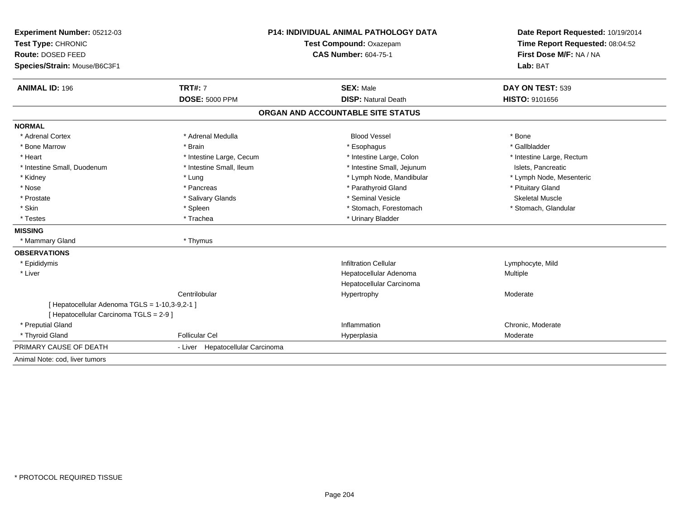| Experiment Number: 05212-03                    |                                  | P14: INDIVIDUAL ANIMAL PATHOLOGY DATA | Date Report Requested: 10/19/2014<br>Time Report Requested: 08:04:52<br>First Dose M/F: NA / NA |  |
|------------------------------------------------|----------------------------------|---------------------------------------|-------------------------------------------------------------------------------------------------|--|
| Test Type: CHRONIC                             |                                  | Test Compound: Oxazepam               |                                                                                                 |  |
| Route: DOSED FEED                              |                                  | <b>CAS Number: 604-75-1</b>           |                                                                                                 |  |
| Species/Strain: Mouse/B6C3F1                   |                                  |                                       | Lab: BAT                                                                                        |  |
| <b>ANIMAL ID: 196</b>                          | <b>TRT#: 7</b>                   | <b>SEX: Male</b>                      | DAY ON TEST: 539                                                                                |  |
|                                                | <b>DOSE: 5000 PPM</b>            | <b>DISP: Natural Death</b>            | HISTO: 9101656                                                                                  |  |
|                                                |                                  | ORGAN AND ACCOUNTABLE SITE STATUS     |                                                                                                 |  |
| <b>NORMAL</b>                                  |                                  |                                       |                                                                                                 |  |
| * Adrenal Cortex                               | * Adrenal Medulla                | <b>Blood Vessel</b>                   | * Bone                                                                                          |  |
| * Bone Marrow                                  | * Brain                          | * Esophagus                           | * Gallbladder                                                                                   |  |
| * Heart                                        | * Intestine Large, Cecum         | * Intestine Large, Colon              | * Intestine Large, Rectum                                                                       |  |
| * Intestine Small, Duodenum                    | * Intestine Small, Ileum         | * Intestine Small, Jejunum            | Islets. Pancreatic                                                                              |  |
| * Kidney                                       | * Lung                           | * Lymph Node, Mandibular              | * Lymph Node, Mesenteric                                                                        |  |
| * Nose                                         | * Pancreas                       | * Parathyroid Gland                   | * Pituitary Gland                                                                               |  |
| * Prostate                                     | * Salivary Glands                | * Seminal Vesicle                     | <b>Skeletal Muscle</b>                                                                          |  |
| * Skin                                         | * Spleen                         | * Stomach, Forestomach                | * Stomach, Glandular                                                                            |  |
| * Testes                                       | * Trachea                        | * Urinary Bladder                     |                                                                                                 |  |
| <b>MISSING</b>                                 |                                  |                                       |                                                                                                 |  |
| * Mammary Gland                                | * Thymus                         |                                       |                                                                                                 |  |
| <b>OBSERVATIONS</b>                            |                                  |                                       |                                                                                                 |  |
| * Epididymis                                   |                                  | <b>Infiltration Cellular</b>          | Lymphocyte, Mild                                                                                |  |
| * Liver                                        |                                  | Hepatocellular Adenoma                | Multiple                                                                                        |  |
|                                                |                                  | Hepatocellular Carcinoma              |                                                                                                 |  |
|                                                | Centrilobular                    | Hypertrophy                           | Moderate                                                                                        |  |
| [ Hepatocellular Adenoma TGLS = 1-10,3-9,2-1 ] |                                  |                                       |                                                                                                 |  |
| [ Hepatocellular Carcinoma TGLS = 2-9 ]        |                                  |                                       |                                                                                                 |  |
| * Preputial Gland                              |                                  | Inflammation                          | Chronic, Moderate                                                                               |  |
| * Thyroid Gland                                | <b>Follicular Cel</b>            | Hyperplasia                           | Moderate                                                                                        |  |
| PRIMARY CAUSE OF DEATH                         | - Liver Hepatocellular Carcinoma |                                       |                                                                                                 |  |
| Animal Note: cod. liver tumors                 |                                  |                                       |                                                                                                 |  |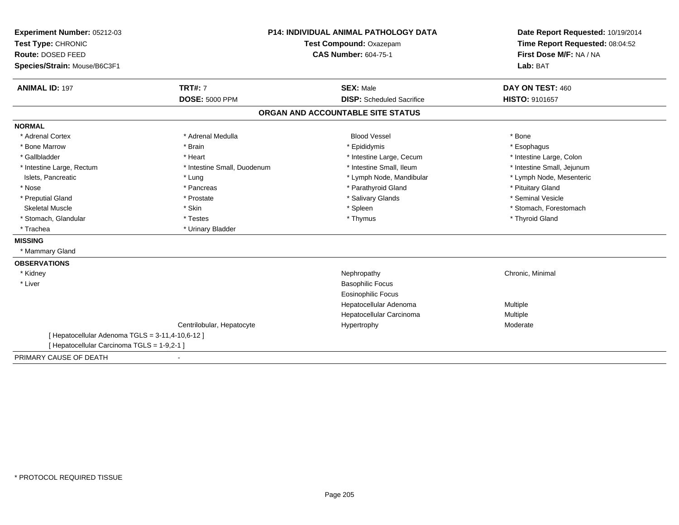| Experiment Number: 05212-03                      | <b>P14: INDIVIDUAL ANIMAL PATHOLOGY DATA</b> |                                   | Date Report Requested: 10/19/2014                          |  |
|--------------------------------------------------|----------------------------------------------|-----------------------------------|------------------------------------------------------------|--|
| Test Type: CHRONIC                               |                                              | Test Compound: Oxazepam           |                                                            |  |
| Route: DOSED FEED                                |                                              | <b>CAS Number: 604-75-1</b>       | Time Report Requested: 08:04:52<br>First Dose M/F: NA / NA |  |
| Species/Strain: Mouse/B6C3F1                     |                                              |                                   | Lab: BAT                                                   |  |
|                                                  |                                              |                                   |                                                            |  |
| <b>ANIMAL ID: 197</b>                            | <b>TRT#: 7</b>                               | <b>SEX: Male</b>                  | DAY ON TEST: 460                                           |  |
|                                                  | <b>DOSE: 5000 PPM</b>                        | <b>DISP:</b> Scheduled Sacrifice  | <b>HISTO: 9101657</b>                                      |  |
|                                                  |                                              | ORGAN AND ACCOUNTABLE SITE STATUS |                                                            |  |
| <b>NORMAL</b>                                    |                                              |                                   |                                                            |  |
| * Adrenal Cortex                                 | * Adrenal Medulla                            | <b>Blood Vessel</b>               | * Bone                                                     |  |
| * Bone Marrow                                    | * Brain                                      | * Epididymis                      | * Esophagus                                                |  |
| * Gallbladder                                    | * Heart                                      | * Intestine Large, Cecum          | * Intestine Large, Colon                                   |  |
| * Intestine Large, Rectum                        | * Intestine Small, Duodenum                  | * Intestine Small, Ileum          | * Intestine Small, Jejunum                                 |  |
| Islets, Pancreatic                               | * Lung                                       | * Lymph Node, Mandibular          | * Lymph Node, Mesenteric                                   |  |
| * Nose                                           | * Pancreas                                   | * Parathyroid Gland               | * Pituitary Gland                                          |  |
| * Preputial Gland                                | * Prostate                                   | * Salivary Glands                 | * Seminal Vesicle                                          |  |
| <b>Skeletal Muscle</b>                           | * Skin                                       | * Spleen                          | * Stomach, Forestomach                                     |  |
| * Stomach, Glandular                             | * Testes                                     | * Thymus                          | * Thyroid Gland                                            |  |
| * Trachea                                        | * Urinary Bladder                            |                                   |                                                            |  |
| <b>MISSING</b>                                   |                                              |                                   |                                                            |  |
| * Mammary Gland                                  |                                              |                                   |                                                            |  |
| <b>OBSERVATIONS</b>                              |                                              |                                   |                                                            |  |
| * Kidney                                         |                                              | Nephropathy                       | Chronic, Minimal                                           |  |
| * Liver                                          |                                              | <b>Basophilic Focus</b>           |                                                            |  |
|                                                  |                                              | <b>Eosinophilic Focus</b>         |                                                            |  |
|                                                  |                                              | Hepatocellular Adenoma            | Multiple                                                   |  |
|                                                  |                                              | Hepatocellular Carcinoma          | Multiple                                                   |  |
|                                                  | Centrilobular, Hepatocyte                    | Hypertrophy                       | Moderate                                                   |  |
| [ Hepatocellular Adenoma TGLS = 3-11,4-10,6-12 ] |                                              |                                   |                                                            |  |
| [ Hepatocellular Carcinoma TGLS = 1-9,2-1 ]      |                                              |                                   |                                                            |  |
| PRIMARY CAUSE OF DEATH                           |                                              |                                   |                                                            |  |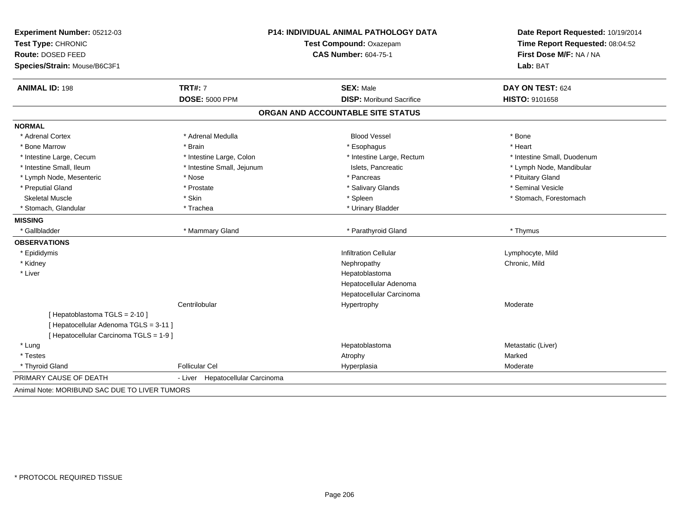| Experiment Number: 05212-03                   |                                  | <b>P14: INDIVIDUAL ANIMAL PATHOLOGY DATA</b> | Date Report Requested: 10/19/2014<br>Time Report Requested: 08:04:52 |
|-----------------------------------------------|----------------------------------|----------------------------------------------|----------------------------------------------------------------------|
| Test Type: CHRONIC                            | Test Compound: Oxazepam          |                                              |                                                                      |
| Route: DOSED FEED                             |                                  | <b>CAS Number: 604-75-1</b>                  | First Dose M/F: NA / NA                                              |
| Species/Strain: Mouse/B6C3F1                  |                                  |                                              | Lab: BAT                                                             |
| <b>ANIMAL ID: 198</b>                         | <b>TRT#: 7</b>                   | <b>SEX: Male</b>                             | DAY ON TEST: 624                                                     |
|                                               | <b>DOSE: 5000 PPM</b>            | <b>DISP:</b> Moribund Sacrifice              | HISTO: 9101658                                                       |
|                                               |                                  | ORGAN AND ACCOUNTABLE SITE STATUS            |                                                                      |
| <b>NORMAL</b>                                 |                                  |                                              |                                                                      |
| * Adrenal Cortex                              | * Adrenal Medulla                | <b>Blood Vessel</b>                          | * Bone                                                               |
| * Bone Marrow                                 | * Brain                          | * Esophagus                                  | * Heart                                                              |
| * Intestine Large, Cecum                      | * Intestine Large, Colon         | * Intestine Large, Rectum                    | * Intestine Small, Duodenum                                          |
| * Intestine Small, Ileum                      | * Intestine Small, Jejunum       | Islets, Pancreatic                           | * Lymph Node, Mandibular                                             |
| * Lymph Node, Mesenteric                      | * Nose                           | * Pancreas                                   | * Pituitary Gland                                                    |
| * Preputial Gland                             | * Prostate                       | * Salivary Glands                            | * Seminal Vesicle                                                    |
| <b>Skeletal Muscle</b>                        | * Skin                           | * Spleen                                     | * Stomach, Forestomach                                               |
| * Stomach, Glandular                          | * Trachea                        | * Urinary Bladder                            |                                                                      |
| <b>MISSING</b>                                |                                  |                                              |                                                                      |
| * Gallbladder                                 | * Mammary Gland                  | * Parathyroid Gland                          | * Thymus                                                             |
| <b>OBSERVATIONS</b>                           |                                  |                                              |                                                                      |
| * Epididymis                                  |                                  | <b>Infiltration Cellular</b>                 | Lymphocyte, Mild                                                     |
| * Kidney                                      |                                  | Nephropathy                                  | Chronic, Mild                                                        |
| * Liver                                       |                                  | Hepatoblastoma                               |                                                                      |
|                                               |                                  | Hepatocellular Adenoma                       |                                                                      |
|                                               |                                  | Hepatocellular Carcinoma                     |                                                                      |
|                                               | Centrilobular                    | Hypertrophy                                  | Moderate                                                             |
| [Hepatoblastoma TGLS = 2-10]                  |                                  |                                              |                                                                      |
| [ Hepatocellular Adenoma TGLS = 3-11 ]        |                                  |                                              |                                                                      |
| [ Hepatocellular Carcinoma TGLS = 1-9 ]       |                                  |                                              |                                                                      |
| * Lung                                        |                                  | Hepatoblastoma                               | Metastatic (Liver)                                                   |
| * Testes                                      |                                  | Atrophy                                      | Marked                                                               |
| * Thyroid Gland                               | <b>Follicular Cel</b>            | Hyperplasia                                  | Moderate                                                             |
| PRIMARY CAUSE OF DEATH                        | - Liver Hepatocellular Carcinoma |                                              |                                                                      |
| Animal Note: MORIBUND SAC DUE TO LIVER TUMORS |                                  |                                              |                                                                      |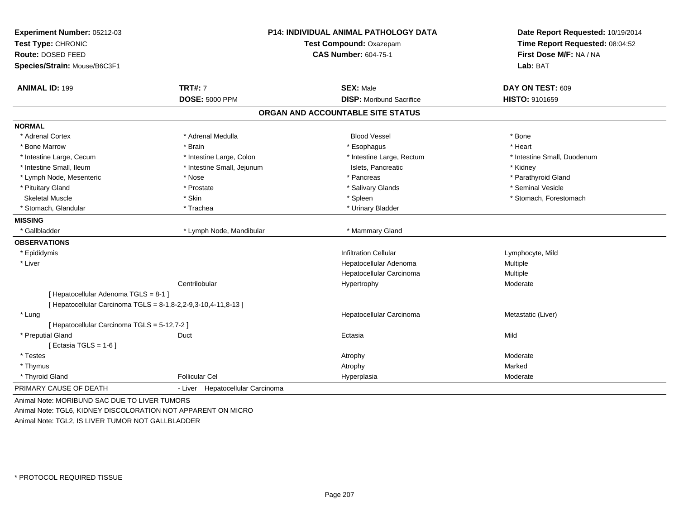| Test Type: CHRONIC<br>Route: DOSED FEED                        |                                  | P14: INDIVIDUAL ANIMAL PATHOLOGY DATA<br>Test Compound: Oxazepam<br><b>CAS Number: 604-75-1</b> |                             |
|----------------------------------------------------------------|----------------------------------|-------------------------------------------------------------------------------------------------|-----------------------------|
| Species/Strain: Mouse/B6C3F1                                   |                                  |                                                                                                 | Lab: BAT                    |
| <b>ANIMAL ID: 199</b>                                          | <b>TRT#: 7</b>                   | <b>SEX: Male</b>                                                                                | DAY ON TEST: 609            |
|                                                                | <b>DOSE: 5000 PPM</b>            | <b>DISP:</b> Moribund Sacrifice                                                                 | HISTO: 9101659              |
|                                                                |                                  | ORGAN AND ACCOUNTABLE SITE STATUS                                                               |                             |
| <b>NORMAL</b>                                                  |                                  |                                                                                                 |                             |
| * Adrenal Cortex                                               | * Adrenal Medulla                | <b>Blood Vessel</b>                                                                             | * Bone                      |
| * Bone Marrow                                                  | * Brain                          | * Esophagus                                                                                     | * Heart                     |
| * Intestine Large, Cecum                                       | * Intestine Large, Colon         | * Intestine Large, Rectum                                                                       | * Intestine Small, Duodenum |
| * Intestine Small, Ileum                                       | * Intestine Small, Jejunum       | Islets, Pancreatic                                                                              | * Kidney                    |
| * Lymph Node, Mesenteric                                       | * Nose                           | * Pancreas                                                                                      | * Parathyroid Gland         |
| * Pituitary Gland                                              | * Prostate                       | * Salivary Glands                                                                               | * Seminal Vesicle           |
| <b>Skeletal Muscle</b>                                         | * Skin                           | * Spleen                                                                                        | * Stomach, Forestomach      |
| * Stomach, Glandular                                           | * Trachea                        | * Urinary Bladder                                                                               |                             |
| <b>MISSING</b>                                                 |                                  |                                                                                                 |                             |
| * Gallbladder                                                  | * Lymph Node, Mandibular         | * Mammary Gland                                                                                 |                             |
| <b>OBSERVATIONS</b>                                            |                                  |                                                                                                 |                             |
| * Epididymis                                                   |                                  | <b>Infiltration Cellular</b>                                                                    | Lymphocyte, Mild            |
| * Liver                                                        |                                  | Hepatocellular Adenoma                                                                          | Multiple                    |
|                                                                |                                  | Hepatocellular Carcinoma                                                                        | Multiple                    |
|                                                                | Centrilobular                    | Hypertrophy                                                                                     | Moderate                    |
| [ Hepatocellular Adenoma TGLS = 8-1 ]                          |                                  |                                                                                                 |                             |
| [ Hepatocellular Carcinoma TGLS = 8-1,8-2,2-9,3-10,4-11,8-13 ] |                                  |                                                                                                 |                             |
| * Lung                                                         |                                  | Hepatocellular Carcinoma                                                                        | Metastatic (Liver)          |
| [ Hepatocellular Carcinoma TGLS = 5-12,7-2 ]                   |                                  |                                                                                                 |                             |
| * Preputial Gland                                              | Duct                             | Ectasia                                                                                         | Mild                        |
| [Ectasia TGLS = $1-6$ ]                                        |                                  |                                                                                                 |                             |
| * Testes                                                       |                                  | Atrophy                                                                                         | Moderate                    |
| * Thymus                                                       |                                  | Atrophy                                                                                         | Marked                      |
| * Thyroid Gland                                                | <b>Follicular Cel</b>            | Hyperplasia                                                                                     | Moderate                    |
| PRIMARY CAUSE OF DEATH                                         | - Liver Hepatocellular Carcinoma |                                                                                                 |                             |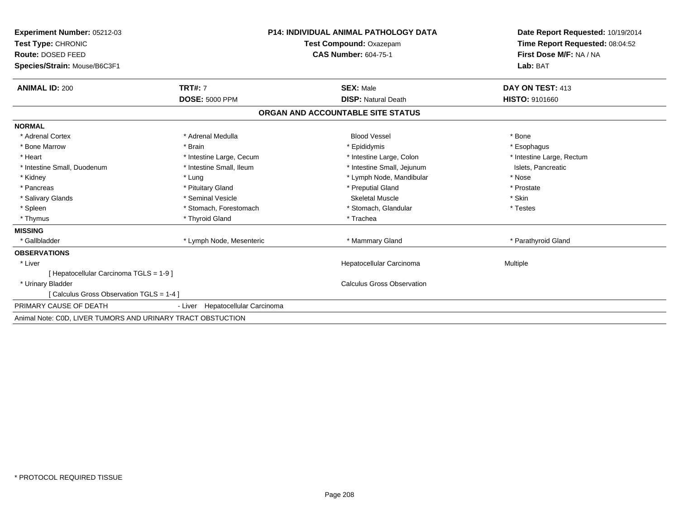| Experiment Number: 05212-03                                 | <b>P14: INDIVIDUAL ANIMAL PATHOLOGY DATA</b><br>Test Compound: Oxazepam<br><b>CAS Number: 604-75-1</b> |                                   | Date Report Requested: 10/19/2014<br>Time Report Requested: 08:04:52 |
|-------------------------------------------------------------|--------------------------------------------------------------------------------------------------------|-----------------------------------|----------------------------------------------------------------------|
| Test Type: CHRONIC                                          |                                                                                                        |                                   |                                                                      |
| Route: DOSED FEED                                           |                                                                                                        |                                   | First Dose M/F: NA / NA                                              |
| Species/Strain: Mouse/B6C3F1                                |                                                                                                        |                                   | Lab: BAT                                                             |
| <b>ANIMAL ID: 200</b>                                       | <b>TRT#: 7</b>                                                                                         | <b>SEX: Male</b>                  | DAY ON TEST: 413                                                     |
|                                                             | <b>DOSE: 5000 PPM</b>                                                                                  | <b>DISP: Natural Death</b>        | <b>HISTO: 9101660</b>                                                |
|                                                             |                                                                                                        | ORGAN AND ACCOUNTABLE SITE STATUS |                                                                      |
| <b>NORMAL</b>                                               |                                                                                                        |                                   |                                                                      |
| * Adrenal Cortex                                            | * Adrenal Medulla                                                                                      | <b>Blood Vessel</b>               | * Bone                                                               |
| * Bone Marrow                                               | * Brain                                                                                                | * Epididymis                      | * Esophagus                                                          |
| * Heart                                                     | * Intestine Large, Cecum                                                                               | * Intestine Large, Colon          | * Intestine Large, Rectum                                            |
| * Intestine Small, Duodenum                                 | * Intestine Small, Ileum                                                                               | * Intestine Small, Jejunum        | Islets, Pancreatic                                                   |
| * Kidney                                                    | * Lung                                                                                                 | * Lymph Node, Mandibular          | * Nose                                                               |
| * Pancreas                                                  | * Pituitary Gland                                                                                      | * Preputial Gland                 | * Prostate                                                           |
| * Salivary Glands                                           | * Seminal Vesicle                                                                                      | <b>Skeletal Muscle</b>            | * Skin                                                               |
| * Spleen                                                    | * Stomach, Forestomach                                                                                 | * Stomach, Glandular              | * Testes                                                             |
| * Thymus                                                    | * Thyroid Gland                                                                                        | * Trachea                         |                                                                      |
| <b>MISSING</b>                                              |                                                                                                        |                                   |                                                                      |
| * Gallbladder                                               | * Lymph Node, Mesenteric                                                                               | * Mammary Gland                   | * Parathyroid Gland                                                  |
| <b>OBSERVATIONS</b>                                         |                                                                                                        |                                   |                                                                      |
| * Liver                                                     |                                                                                                        | Hepatocellular Carcinoma          | Multiple                                                             |
| [ Hepatocellular Carcinoma TGLS = 1-9 ]                     |                                                                                                        |                                   |                                                                      |
| * Urinary Bladder                                           |                                                                                                        | <b>Calculus Gross Observation</b> |                                                                      |
| [Calculus Gross Observation TGLS = 1-4]                     |                                                                                                        |                                   |                                                                      |
| PRIMARY CAUSE OF DEATH                                      | Hepatocellular Carcinoma<br>- Liver                                                                    |                                   |                                                                      |
| Animal Note: COD, LIVER TUMORS AND URINARY TRACT OBSTUCTION |                                                                                                        |                                   |                                                                      |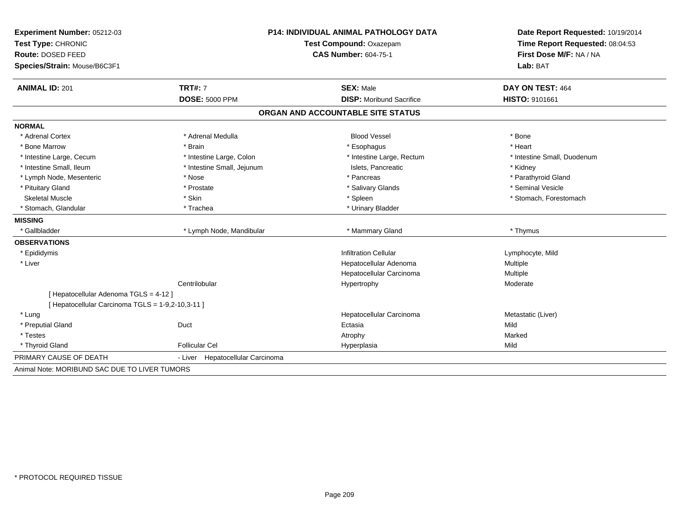| <b>Experiment Number: 05212-03</b>                | <b>P14: INDIVIDUAL ANIMAL PATHOLOGY DATA</b> |                                   | Date Report Requested: 10/19/2014 |
|---------------------------------------------------|----------------------------------------------|-----------------------------------|-----------------------------------|
| Test Type: CHRONIC                                |                                              | Test Compound: Oxazepam           | Time Report Requested: 08:04:53   |
| Route: DOSED FEED                                 |                                              | <b>CAS Number: 604-75-1</b>       |                                   |
| Species/Strain: Mouse/B6C3F1                      |                                              |                                   | Lab: BAT                          |
| <b>ANIMAL ID: 201</b>                             | <b>TRT#: 7</b>                               | <b>SEX: Male</b>                  | DAY ON TEST: 464                  |
|                                                   | <b>DOSE: 5000 PPM</b>                        | <b>DISP:</b> Moribund Sacrifice   | <b>HISTO: 9101661</b>             |
|                                                   |                                              | ORGAN AND ACCOUNTABLE SITE STATUS |                                   |
| <b>NORMAL</b>                                     |                                              |                                   |                                   |
| * Adrenal Cortex                                  | * Adrenal Medulla                            | <b>Blood Vessel</b>               | * Bone                            |
| * Bone Marrow                                     | * Brain                                      | * Esophagus                       | * Heart                           |
| * Intestine Large, Cecum                          | * Intestine Large, Colon                     | * Intestine Large, Rectum         | * Intestine Small, Duodenum       |
| * Intestine Small, Ileum                          | * Intestine Small, Jejunum                   | Islets, Pancreatic                | * Kidney                          |
| * Lymph Node, Mesenteric                          | * Nose                                       | * Pancreas                        | * Parathyroid Gland               |
| * Pituitary Gland                                 | * Prostate                                   | * Salivary Glands                 | * Seminal Vesicle                 |
| <b>Skeletal Muscle</b>                            | * Skin                                       | * Spleen                          | * Stomach, Forestomach            |
| <sup>*</sup> Stomach, Glandular                   | * Trachea                                    | * Urinary Bladder                 |                                   |
| <b>MISSING</b>                                    |                                              |                                   |                                   |
| * Gallbladder                                     | * Lymph Node, Mandibular                     | * Mammary Gland                   | * Thymus                          |
| <b>OBSERVATIONS</b>                               |                                              |                                   |                                   |
| * Epididymis                                      |                                              | <b>Infiltration Cellular</b>      | Lymphocyte, Mild                  |
| * Liver                                           |                                              | Hepatocellular Adenoma            | Multiple                          |
|                                                   |                                              | Hepatocellular Carcinoma          | Multiple                          |
|                                                   | Centrilobular                                | Hypertrophy                       | Moderate                          |
| [ Hepatocellular Adenoma TGLS = 4-12 ]            |                                              |                                   |                                   |
| [ Hepatocellular Carcinoma TGLS = 1-9,2-10,3-11 ] |                                              |                                   |                                   |
| * Lung                                            |                                              | Hepatocellular Carcinoma          | Metastatic (Liver)                |
| * Preputial Gland                                 | Duct                                         | Ectasia                           | Mild                              |
| * Testes                                          |                                              | Atrophy                           | Marked                            |
| * Thyroid Gland                                   | <b>Follicular Cel</b>                        | Hyperplasia                       | Mild                              |
| PRIMARY CAUSE OF DEATH                            | - Liver Hepatocellular Carcinoma             |                                   |                                   |
| Animal Note: MORIBUND SAC DUE TO LIVER TUMORS     |                                              |                                   |                                   |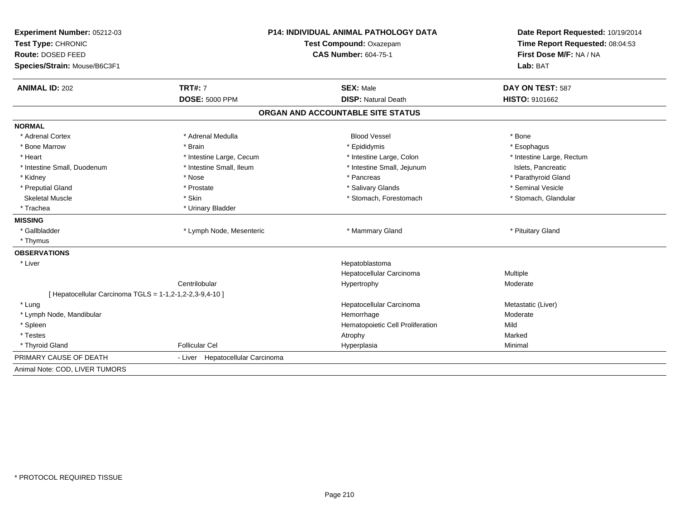| Experiment Number: 05212-03                              | <b>P14: INDIVIDUAL ANIMAL PATHOLOGY DATA</b> |                                   | Date Report Requested: 10/19/2014 |  |
|----------------------------------------------------------|----------------------------------------------|-----------------------------------|-----------------------------------|--|
| Test Type: CHRONIC                                       |                                              | Test Compound: Oxazepam           | Time Report Requested: 08:04:53   |  |
| Route: DOSED FEED                                        |                                              | <b>CAS Number: 604-75-1</b>       | First Dose M/F: NA / NA           |  |
| Species/Strain: Mouse/B6C3F1                             |                                              |                                   | Lab: BAT                          |  |
| <b>ANIMAL ID: 202</b>                                    | <b>TRT#: 7</b>                               | <b>SEX: Male</b>                  | DAY ON TEST: 587                  |  |
|                                                          | <b>DOSE: 5000 PPM</b>                        | <b>DISP: Natural Death</b>        | <b>HISTO: 9101662</b>             |  |
|                                                          |                                              | ORGAN AND ACCOUNTABLE SITE STATUS |                                   |  |
| <b>NORMAL</b>                                            |                                              |                                   |                                   |  |
| * Adrenal Cortex                                         | * Adrenal Medulla                            | <b>Blood Vessel</b>               | * Bone                            |  |
| * Bone Marrow                                            | * Brain                                      | * Epididymis                      | * Esophagus                       |  |
| * Heart                                                  | * Intestine Large, Cecum                     | * Intestine Large, Colon          | * Intestine Large, Rectum         |  |
| * Intestine Small, Duodenum                              | * Intestine Small, Ileum                     | * Intestine Small, Jejunum        | Islets, Pancreatic                |  |
| * Kidney                                                 | * Nose                                       | * Pancreas                        | * Parathyroid Gland               |  |
| * Preputial Gland                                        | * Prostate                                   | * Salivary Glands                 | * Seminal Vesicle                 |  |
| <b>Skeletal Muscle</b>                                   | * Skin                                       | * Stomach, Forestomach            | * Stomach, Glandular              |  |
| * Trachea                                                | * Urinary Bladder                            |                                   |                                   |  |
| <b>MISSING</b>                                           |                                              |                                   |                                   |  |
| * Gallbladder                                            | * Lymph Node, Mesenteric                     | * Mammary Gland                   | * Pituitary Gland                 |  |
| * Thymus                                                 |                                              |                                   |                                   |  |
| <b>OBSERVATIONS</b>                                      |                                              |                                   |                                   |  |
| * Liver                                                  |                                              | Hepatoblastoma                    |                                   |  |
|                                                          |                                              | Hepatocellular Carcinoma          | Multiple                          |  |
|                                                          | Centrilobular                                | Hypertrophy                       | Moderate                          |  |
| [ Hepatocellular Carcinoma TGLS = 1-1,2-1,2-2,3-9,4-10 ] |                                              |                                   |                                   |  |
| * Lung                                                   |                                              | Hepatocellular Carcinoma          | Metastatic (Liver)                |  |
| * Lymph Node, Mandibular                                 |                                              | Hemorrhage                        | Moderate                          |  |
| * Spleen                                                 |                                              | Hematopoietic Cell Proliferation  | Mild                              |  |
| * Testes                                                 |                                              | Atrophy                           | Marked                            |  |
| * Thyroid Gland                                          | Follicular Cel                               | Hyperplasia                       | Minimal                           |  |
| PRIMARY CAUSE OF DEATH                                   | - Liver Hepatocellular Carcinoma             |                                   |                                   |  |
| Animal Note: COD, LIVER TUMORS                           |                                              |                                   |                                   |  |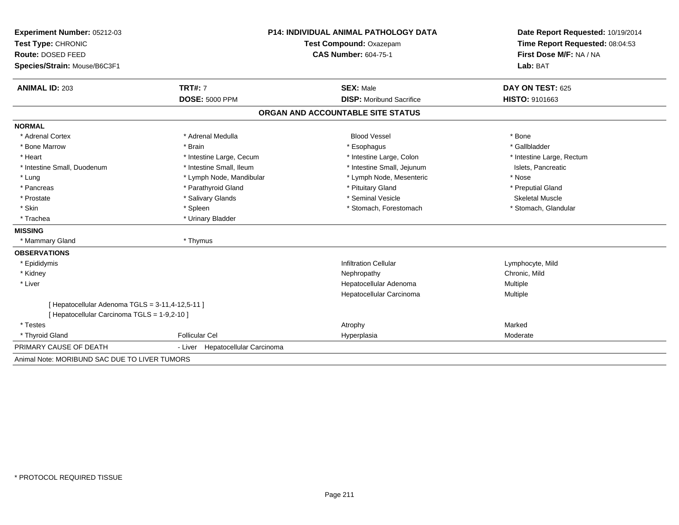| Experiment Number: 05212-03                      | <b>P14: INDIVIDUAL ANIMAL PATHOLOGY DATA</b><br>Test Compound: Oxazepam |                                   | Date Report Requested: 10/19/2014 |  |
|--------------------------------------------------|-------------------------------------------------------------------------|-----------------------------------|-----------------------------------|--|
| Test Type: CHRONIC                               |                                                                         |                                   | Time Report Requested: 08:04:53   |  |
| Route: DOSED FEED                                |                                                                         | <b>CAS Number: 604-75-1</b>       | First Dose M/F: NA / NA           |  |
| Species/Strain: Mouse/B6C3F1                     |                                                                         |                                   | Lab: BAT                          |  |
| <b>ANIMAL ID: 203</b>                            | <b>TRT#: 7</b>                                                          | <b>SEX: Male</b>                  | DAY ON TEST: 625                  |  |
|                                                  | <b>DOSE: 5000 PPM</b>                                                   | <b>DISP:</b> Moribund Sacrifice   | HISTO: 9101663                    |  |
|                                                  |                                                                         | ORGAN AND ACCOUNTABLE SITE STATUS |                                   |  |
| <b>NORMAL</b>                                    |                                                                         |                                   |                                   |  |
| * Adrenal Cortex                                 | * Adrenal Medulla                                                       | <b>Blood Vessel</b>               | * Bone                            |  |
| * Bone Marrow                                    | * Brain                                                                 | * Esophagus                       | * Gallbladder                     |  |
| * Heart                                          | * Intestine Large, Cecum                                                | * Intestine Large, Colon          | * Intestine Large, Rectum         |  |
| * Intestine Small, Duodenum                      | * Intestine Small, Ileum                                                | * Intestine Small, Jejunum        | Islets, Pancreatic                |  |
| * Lung                                           | * Lymph Node, Mandibular                                                | * Lymph Node, Mesenteric          | * Nose                            |  |
| * Pancreas                                       | * Parathyroid Gland                                                     | * Pituitary Gland                 | * Preputial Gland                 |  |
| * Prostate                                       | * Salivary Glands                                                       | * Seminal Vesicle                 | <b>Skeletal Muscle</b>            |  |
| * Skin                                           | * Spleen                                                                | * Stomach. Forestomach            | * Stomach, Glandular              |  |
| * Trachea                                        | * Urinary Bladder                                                       |                                   |                                   |  |
| <b>MISSING</b>                                   |                                                                         |                                   |                                   |  |
| * Mammary Gland                                  | * Thymus                                                                |                                   |                                   |  |
| <b>OBSERVATIONS</b>                              |                                                                         |                                   |                                   |  |
| * Epididymis                                     |                                                                         | <b>Infiltration Cellular</b>      | Lymphocyte, Mild                  |  |
| * Kidney                                         |                                                                         | Nephropathy                       | Chronic, Mild                     |  |
| * Liver                                          |                                                                         | Hepatocellular Adenoma            | Multiple                          |  |
|                                                  |                                                                         | Hepatocellular Carcinoma          | Multiple                          |  |
| [ Hepatocellular Adenoma TGLS = 3-11,4-12,5-11 ] |                                                                         |                                   |                                   |  |
| [ Hepatocellular Carcinoma TGLS = 1-9,2-10 ]     |                                                                         |                                   |                                   |  |
| * Testes                                         |                                                                         | Atrophy                           | Marked                            |  |
| * Thyroid Gland                                  | <b>Follicular Cel</b>                                                   | Hyperplasia                       | Moderate                          |  |
| PRIMARY CAUSE OF DEATH                           | - Liver Hepatocellular Carcinoma                                        |                                   |                                   |  |
| Animal Note: MORIBUND SAC DUE TO LIVER TUMORS    |                                                                         |                                   |                                   |  |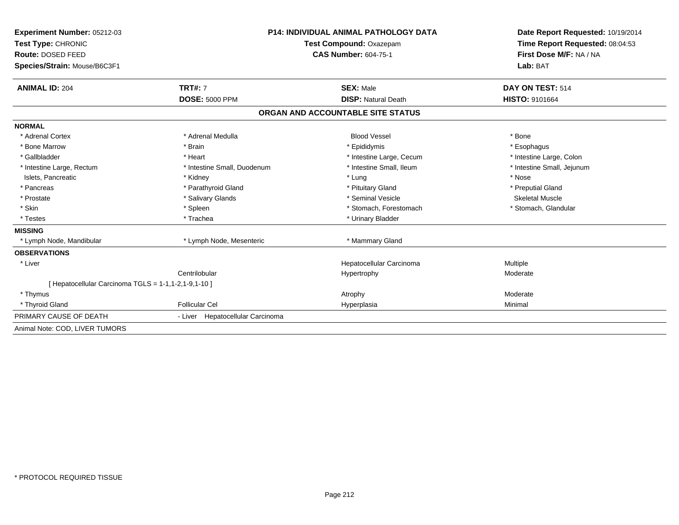| Experiment Number: 05212-03                          |                                  | <b>P14: INDIVIDUAL ANIMAL PATHOLOGY DATA</b> |                                 |
|------------------------------------------------------|----------------------------------|----------------------------------------------|---------------------------------|
| Test Type: CHRONIC                                   |                                  | Test Compound: Oxazepam                      | Time Report Requested: 08:04:53 |
| Route: DOSED FEED                                    |                                  | <b>CAS Number: 604-75-1</b>                  | First Dose M/F: NA / NA         |
| Species/Strain: Mouse/B6C3F1                         |                                  |                                              | Lab: BAT                        |
| <b>ANIMAL ID: 204</b>                                | <b>TRT#: 7</b>                   | <b>SEX: Male</b>                             | DAY ON TEST: 514                |
|                                                      | <b>DOSE: 5000 PPM</b>            | <b>DISP: Natural Death</b>                   | <b>HISTO: 9101664</b>           |
|                                                      |                                  | ORGAN AND ACCOUNTABLE SITE STATUS            |                                 |
| <b>NORMAL</b>                                        |                                  |                                              |                                 |
| * Adrenal Cortex                                     | * Adrenal Medulla                | <b>Blood Vessel</b>                          | * Bone                          |
| * Bone Marrow                                        | * Brain                          | * Epididymis                                 | * Esophagus                     |
| * Gallbladder                                        | * Heart                          | * Intestine Large, Cecum                     | * Intestine Large, Colon        |
| * Intestine Large, Rectum                            | * Intestine Small, Duodenum      | * Intestine Small, Ileum                     | * Intestine Small, Jejunum      |
| Islets, Pancreatic                                   | * Kidney                         | * Lung                                       | * Nose                          |
| * Pancreas                                           | * Parathyroid Gland              | * Pituitary Gland                            | * Preputial Gland               |
| * Prostate                                           | * Salivary Glands                | * Seminal Vesicle                            | Skeletal Muscle                 |
| * Skin                                               | * Spleen                         | * Stomach, Forestomach                       | * Stomach, Glandular            |
| * Testes                                             | * Trachea                        | * Urinary Bladder                            |                                 |
| <b>MISSING</b>                                       |                                  |                                              |                                 |
| * Lymph Node, Mandibular                             | * Lymph Node, Mesenteric         | * Mammary Gland                              |                                 |
| <b>OBSERVATIONS</b>                                  |                                  |                                              |                                 |
| * Liver                                              |                                  | Hepatocellular Carcinoma                     | Multiple                        |
|                                                      | Centrilobular                    | Hypertrophy                                  | Moderate                        |
| [ Hepatocellular Carcinoma TGLS = 1-1,1-2,1-9,1-10 ] |                                  |                                              |                                 |
| * Thymus                                             |                                  | Atrophy                                      | Moderate                        |
| * Thyroid Gland                                      | <b>Follicular Cel</b>            | Hyperplasia                                  | Minimal                         |
| PRIMARY CAUSE OF DEATH                               | - Liver Hepatocellular Carcinoma |                                              |                                 |
| Animal Note: COD, LIVER TUMORS                       |                                  |                                              |                                 |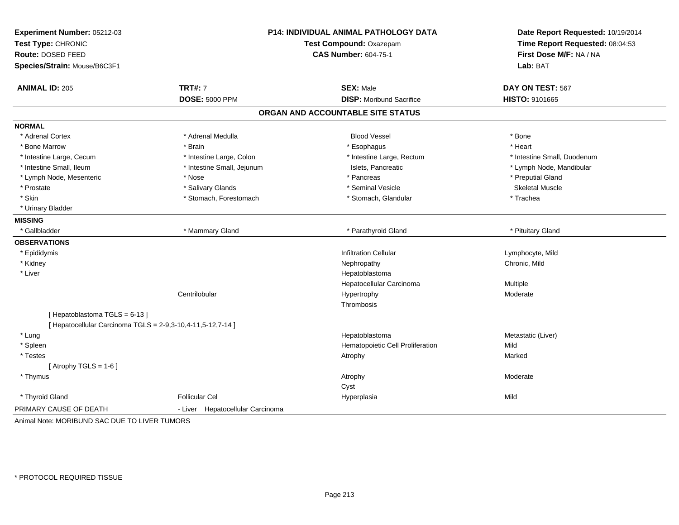| Experiment Number: 05212-03<br>Test Type: CHRONIC<br>Route: DOSED FEED<br>Species/Strain: Mouse/B6C3F1 | <b>P14: INDIVIDUAL ANIMAL PATHOLOGY DATA</b><br>Test Compound: Oxazepam<br><b>CAS Number: 604-75-1</b> |                                   | Date Report Requested: 10/19/2014<br>Time Report Requested: 08:04:53<br>First Dose M/F: NA / NA<br>Lab: BAT |
|--------------------------------------------------------------------------------------------------------|--------------------------------------------------------------------------------------------------------|-----------------------------------|-------------------------------------------------------------------------------------------------------------|
| <b>ANIMAL ID: 205</b>                                                                                  | <b>TRT#: 7</b>                                                                                         | <b>SEX: Male</b>                  | DAY ON TEST: 567                                                                                            |
|                                                                                                        | <b>DOSE: 5000 PPM</b>                                                                                  | <b>DISP:</b> Moribund Sacrifice   | HISTO: 9101665                                                                                              |
|                                                                                                        |                                                                                                        | ORGAN AND ACCOUNTABLE SITE STATUS |                                                                                                             |
| <b>NORMAL</b>                                                                                          |                                                                                                        |                                   |                                                                                                             |
| * Adrenal Cortex                                                                                       | * Adrenal Medulla                                                                                      | <b>Blood Vessel</b>               | * Bone                                                                                                      |
| * Bone Marrow                                                                                          | * Brain                                                                                                | * Esophagus                       | * Heart                                                                                                     |
| * Intestine Large, Cecum                                                                               | * Intestine Large, Colon                                                                               | * Intestine Large, Rectum         | * Intestine Small, Duodenum                                                                                 |
| * Intestine Small, Ileum                                                                               | * Intestine Small, Jejunum                                                                             | Islets, Pancreatic                | * Lymph Node, Mandibular                                                                                    |
| * Lymph Node, Mesenteric                                                                               | * Nose                                                                                                 | * Pancreas                        | * Preputial Gland                                                                                           |
| * Prostate                                                                                             | * Salivary Glands                                                                                      | * Seminal Vesicle                 | <b>Skeletal Muscle</b>                                                                                      |
| * Skin                                                                                                 | * Stomach, Forestomach                                                                                 | * Stomach, Glandular              | * Trachea                                                                                                   |
| * Urinary Bladder                                                                                      |                                                                                                        |                                   |                                                                                                             |
| <b>MISSING</b>                                                                                         |                                                                                                        |                                   |                                                                                                             |
| * Gallbladder                                                                                          | * Mammary Gland                                                                                        | * Parathyroid Gland               | * Pituitary Gland                                                                                           |
| <b>OBSERVATIONS</b>                                                                                    |                                                                                                        |                                   |                                                                                                             |
| * Epididymis                                                                                           |                                                                                                        | <b>Infiltration Cellular</b>      | Lymphocyte, Mild                                                                                            |
| * Kidney                                                                                               |                                                                                                        | Nephropathy                       | Chronic, Mild                                                                                               |
| * Liver                                                                                                |                                                                                                        | Hepatoblastoma                    |                                                                                                             |
|                                                                                                        |                                                                                                        | Hepatocellular Carcinoma          | Multiple                                                                                                    |
|                                                                                                        | Centrilobular                                                                                          | Hypertrophy                       | Moderate                                                                                                    |
|                                                                                                        |                                                                                                        | Thrombosis                        |                                                                                                             |
| [Hepatoblastoma TGLS = 6-13]                                                                           |                                                                                                        |                                   |                                                                                                             |
| [ Hepatocellular Carcinoma TGLS = 2-9,3-10,4-11,5-12,7-14 ]                                            |                                                                                                        |                                   |                                                                                                             |
| * Lung                                                                                                 |                                                                                                        | Hepatoblastoma                    | Metastatic (Liver)                                                                                          |
| * Spleen                                                                                               |                                                                                                        | Hematopoietic Cell Proliferation  | Mild                                                                                                        |
| * Testes                                                                                               |                                                                                                        | Atrophy                           | Marked                                                                                                      |
| [Atrophy TGLS = $1-6$ ]                                                                                |                                                                                                        |                                   |                                                                                                             |
| * Thymus                                                                                               |                                                                                                        | Atrophy                           | Moderate                                                                                                    |
|                                                                                                        |                                                                                                        | Cyst                              |                                                                                                             |
| * Thyroid Gland                                                                                        | <b>Follicular Cel</b>                                                                                  | Hyperplasia                       | Mild                                                                                                        |
| PRIMARY CAUSE OF DEATH                                                                                 | Hepatocellular Carcinoma<br>- Liver                                                                    |                                   |                                                                                                             |
| Animal Note: MORIBUND SAC DUE TO LIVER TUMORS                                                          |                                                                                                        |                                   |                                                                                                             |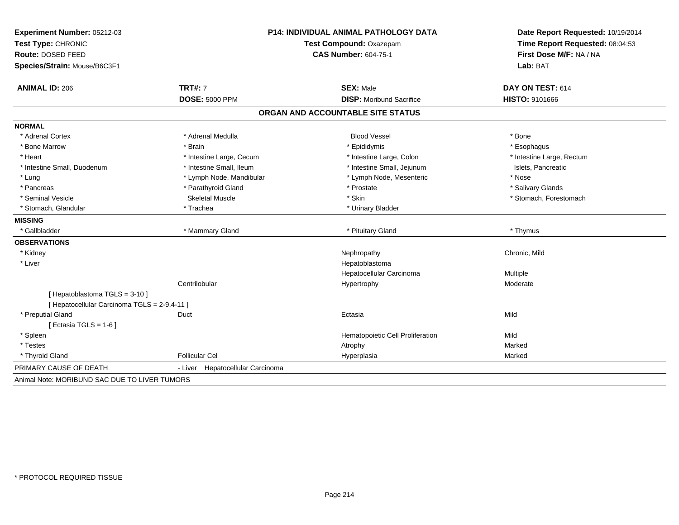| Experiment Number: 05212-03<br>Test Type: CHRONIC<br>Route: DOSED FEED<br>Species/Strain: Mouse/B6C3F1 | <b>P14: INDIVIDUAL ANIMAL PATHOLOGY DATA</b><br>Test Compound: Oxazepam<br><b>CAS Number: 604-75-1</b> |                                   | Date Report Requested: 10/19/2014<br>Time Report Requested: 08:04:53<br>First Dose M/F: NA / NA<br>Lab: BAT |
|--------------------------------------------------------------------------------------------------------|--------------------------------------------------------------------------------------------------------|-----------------------------------|-------------------------------------------------------------------------------------------------------------|
| <b>ANIMAL ID: 206</b>                                                                                  | <b>TRT#: 7</b>                                                                                         | <b>SEX: Male</b>                  | DAY ON TEST: 614                                                                                            |
|                                                                                                        | <b>DOSE: 5000 PPM</b>                                                                                  | <b>DISP: Moribund Sacrifice</b>   | HISTO: 9101666                                                                                              |
|                                                                                                        |                                                                                                        | ORGAN AND ACCOUNTABLE SITE STATUS |                                                                                                             |
| <b>NORMAL</b>                                                                                          |                                                                                                        |                                   |                                                                                                             |
| * Adrenal Cortex                                                                                       | * Adrenal Medulla                                                                                      | <b>Blood Vessel</b>               | * Bone                                                                                                      |
| * Bone Marrow                                                                                          | * Brain                                                                                                | * Epididymis                      | * Esophagus                                                                                                 |
| * Heart                                                                                                | * Intestine Large, Cecum                                                                               | * Intestine Large, Colon          | * Intestine Large, Rectum                                                                                   |
| * Intestine Small, Duodenum                                                                            | * Intestine Small, Ileum                                                                               | * Intestine Small, Jejunum        | Islets, Pancreatic                                                                                          |
| * Lung                                                                                                 | * Lymph Node, Mandibular                                                                               | * Lymph Node, Mesenteric          | * Nose                                                                                                      |
| * Pancreas                                                                                             | * Parathyroid Gland                                                                                    | * Prostate                        | * Salivary Glands                                                                                           |
| * Seminal Vesicle                                                                                      | Skeletal Muscle                                                                                        | * Skin                            | * Stomach, Forestomach                                                                                      |
| * Stomach, Glandular                                                                                   | * Trachea                                                                                              | * Urinary Bladder                 |                                                                                                             |
| <b>MISSING</b>                                                                                         |                                                                                                        |                                   |                                                                                                             |
| * Gallbladder                                                                                          | * Mammary Gland                                                                                        | * Pituitary Gland                 | * Thymus                                                                                                    |
| <b>OBSERVATIONS</b>                                                                                    |                                                                                                        |                                   |                                                                                                             |
| * Kidney                                                                                               |                                                                                                        | Nephropathy                       | Chronic, Mild                                                                                               |
| * Liver                                                                                                |                                                                                                        | Hepatoblastoma                    |                                                                                                             |
|                                                                                                        |                                                                                                        | Hepatocellular Carcinoma          | Multiple                                                                                                    |
|                                                                                                        | Centrilobular                                                                                          | Hypertrophy                       | Moderate                                                                                                    |
| [Hepatoblastoma TGLS = 3-10]                                                                           |                                                                                                        |                                   |                                                                                                             |
| [ Hepatocellular Carcinoma TGLS = 2-9,4-11 ]                                                           |                                                                                                        |                                   |                                                                                                             |
| * Preputial Gland                                                                                      | Duct                                                                                                   | Ectasia                           | Mild                                                                                                        |
| [ Ectasia TGLS = $1-6$ ]                                                                               |                                                                                                        |                                   |                                                                                                             |
| * Spleen                                                                                               |                                                                                                        | Hematopoietic Cell Proliferation  | Mild                                                                                                        |
| * Testes                                                                                               |                                                                                                        | Atrophy                           | Marked                                                                                                      |
| * Thyroid Gland                                                                                        | <b>Follicular Cel</b>                                                                                  | Hyperplasia                       | Marked                                                                                                      |
| PRIMARY CAUSE OF DEATH                                                                                 | - Liver Hepatocellular Carcinoma                                                                       |                                   |                                                                                                             |
| Animal Note: MORIBUND SAC DUE TO LIVER TUMORS                                                          |                                                                                                        |                                   |                                                                                                             |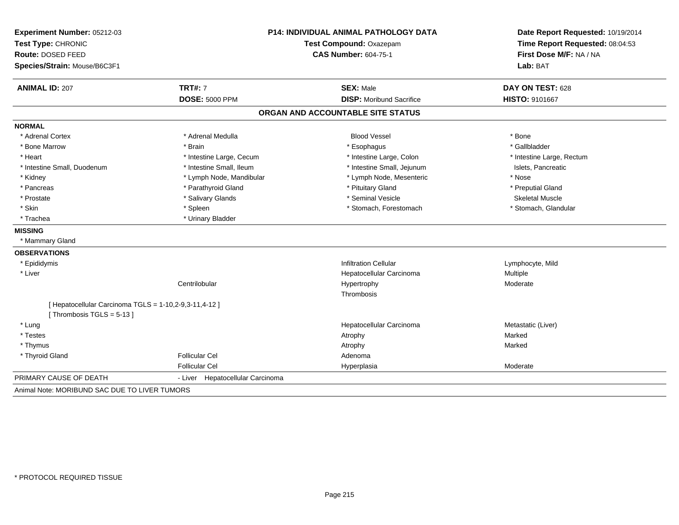| Experiment Number: 05212-03                            | <b>P14: INDIVIDUAL ANIMAL PATHOLOGY DATA</b> |                                   | Date Report Requested: 10/19/2014 |  |
|--------------------------------------------------------|----------------------------------------------|-----------------------------------|-----------------------------------|--|
| Test Type: CHRONIC                                     |                                              | Test Compound: Oxazepam           |                                   |  |
| Route: DOSED FEED                                      |                                              | <b>CAS Number: 604-75-1</b>       | First Dose M/F: NA / NA           |  |
| Species/Strain: Mouse/B6C3F1                           |                                              |                                   | Lab: BAT                          |  |
| <b>ANIMAL ID: 207</b>                                  | <b>TRT#: 7</b>                               | <b>SEX: Male</b>                  | DAY ON TEST: 628                  |  |
|                                                        | <b>DOSE: 5000 PPM</b>                        | <b>DISP:</b> Moribund Sacrifice   | HISTO: 9101667                    |  |
|                                                        |                                              | ORGAN AND ACCOUNTABLE SITE STATUS |                                   |  |
| <b>NORMAL</b>                                          |                                              |                                   |                                   |  |
| * Adrenal Cortex                                       | * Adrenal Medulla                            | <b>Blood Vessel</b>               | * Bone                            |  |
| * Bone Marrow                                          | * Brain                                      | * Esophagus                       | * Gallbladder                     |  |
| * Heart                                                | * Intestine Large, Cecum                     | * Intestine Large, Colon          | * Intestine Large, Rectum         |  |
| * Intestine Small, Duodenum                            | * Intestine Small, Ileum                     | * Intestine Small, Jejunum        | Islets, Pancreatic                |  |
| * Kidney                                               | * Lymph Node, Mandibular                     | * Lymph Node, Mesenteric          | * Nose                            |  |
| * Pancreas                                             | * Parathyroid Gland                          | * Pituitary Gland                 | * Preputial Gland                 |  |
| * Prostate                                             | * Salivary Glands                            | * Seminal Vesicle                 | <b>Skeletal Muscle</b>            |  |
| * Skin                                                 | * Spleen                                     | * Stomach, Forestomach            | * Stomach, Glandular              |  |
| * Trachea                                              | * Urinary Bladder                            |                                   |                                   |  |
| <b>MISSING</b>                                         |                                              |                                   |                                   |  |
| * Mammary Gland                                        |                                              |                                   |                                   |  |
| <b>OBSERVATIONS</b>                                    |                                              |                                   |                                   |  |
| * Epididymis                                           |                                              | <b>Infiltration Cellular</b>      | Lymphocyte, Mild                  |  |
| * Liver                                                |                                              | Hepatocellular Carcinoma          | Multiple                          |  |
|                                                        | Centrilobular                                | Hypertrophy                       | Moderate                          |  |
|                                                        |                                              | Thrombosis                        |                                   |  |
| [ Hepatocellular Carcinoma TGLS = 1-10,2-9,3-11,4-12 ] |                                              |                                   |                                   |  |
| [Thrombosis TGLS = $5-13$ ]                            |                                              |                                   |                                   |  |
| * Lung                                                 |                                              | Hepatocellular Carcinoma          | Metastatic (Liver)                |  |
| * Testes                                               |                                              | Atrophy                           | Marked                            |  |
| * Thymus                                               |                                              | Atrophy                           | Marked                            |  |
| * Thyroid Gland                                        | <b>Follicular Cel</b>                        | Adenoma                           |                                   |  |
|                                                        | <b>Follicular Cel</b>                        | Hyperplasia                       | Moderate                          |  |
| PRIMARY CAUSE OF DEATH                                 | - Liver Hepatocellular Carcinoma             |                                   |                                   |  |
| Animal Note: MORIBUND SAC DUE TO LIVER TUMORS          |                                              |                                   |                                   |  |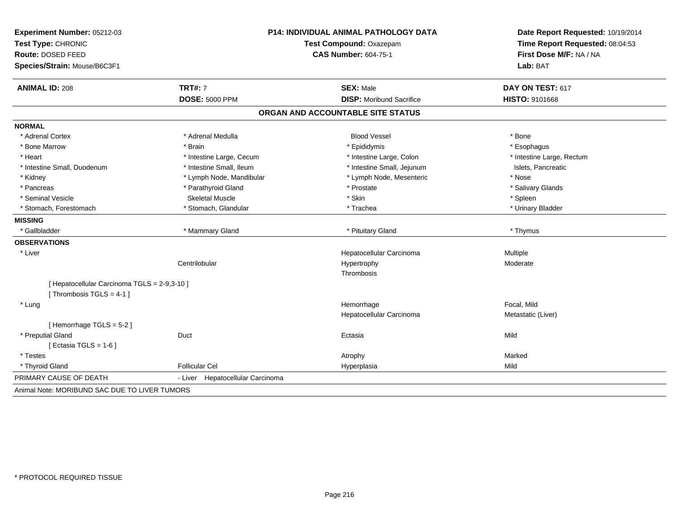| Experiment Number: 05212-03<br>Test Type: CHRONIC<br><b>Route: DOSED FEED</b><br>Species/Strain: Mouse/B6C3F1 |                                     | <b>P14: INDIVIDUAL ANIMAL PATHOLOGY DATA</b><br>Test Compound: Oxazepam<br><b>CAS Number: 604-75-1</b> | Date Report Requested: 10/19/2014<br>Time Report Requested: 08:04:53<br>First Dose M/F: NA / NA<br>Lab: BAT |
|---------------------------------------------------------------------------------------------------------------|-------------------------------------|--------------------------------------------------------------------------------------------------------|-------------------------------------------------------------------------------------------------------------|
| <b>ANIMAL ID: 208</b>                                                                                         | <b>TRT#: 7</b>                      | <b>SEX: Male</b>                                                                                       | DAY ON TEST: 617                                                                                            |
|                                                                                                               | <b>DOSE: 5000 PPM</b>               | <b>DISP:</b> Moribund Sacrifice                                                                        | HISTO: 9101668                                                                                              |
|                                                                                                               |                                     | ORGAN AND ACCOUNTABLE SITE STATUS                                                                      |                                                                                                             |
| <b>NORMAL</b>                                                                                                 |                                     |                                                                                                        |                                                                                                             |
| * Adrenal Cortex                                                                                              | * Adrenal Medulla                   | <b>Blood Vessel</b>                                                                                    | * Bone                                                                                                      |
| * Bone Marrow                                                                                                 | * Brain                             | * Epididymis                                                                                           | * Esophagus                                                                                                 |
| * Heart                                                                                                       | * Intestine Large, Cecum            | * Intestine Large, Colon                                                                               | * Intestine Large, Rectum                                                                                   |
| * Intestine Small, Duodenum                                                                                   | * Intestine Small, Ileum            | * Intestine Small, Jejunum                                                                             | Islets, Pancreatic                                                                                          |
| * Kidney                                                                                                      | * Lymph Node, Mandibular            | * Lymph Node, Mesenteric                                                                               | * Nose                                                                                                      |
| * Pancreas                                                                                                    | * Parathyroid Gland                 | * Prostate                                                                                             | * Salivary Glands                                                                                           |
| * Seminal Vesicle                                                                                             | <b>Skeletal Muscle</b>              | * Skin                                                                                                 | * Spleen                                                                                                    |
| * Stomach, Forestomach                                                                                        | * Stomach, Glandular                | * Trachea                                                                                              | * Urinary Bladder                                                                                           |
| <b>MISSING</b>                                                                                                |                                     |                                                                                                        |                                                                                                             |
| * Gallbladder                                                                                                 | * Mammary Gland                     | * Pituitary Gland                                                                                      | * Thymus                                                                                                    |
| <b>OBSERVATIONS</b>                                                                                           |                                     |                                                                                                        |                                                                                                             |
| * Liver                                                                                                       |                                     | Hepatocellular Carcinoma                                                                               | Multiple                                                                                                    |
|                                                                                                               | Centrilobular                       | Hypertrophy                                                                                            | Moderate                                                                                                    |
|                                                                                                               |                                     | Thrombosis                                                                                             |                                                                                                             |
| [ Hepatocellular Carcinoma TGLS = 2-9,3-10 ]<br>[Thrombosis TGLS = 4-1]                                       |                                     |                                                                                                        |                                                                                                             |
| * Lung                                                                                                        |                                     | Hemorrhage                                                                                             | Focal, Mild                                                                                                 |
|                                                                                                               |                                     | Hepatocellular Carcinoma                                                                               | Metastatic (Liver)                                                                                          |
| [Hemorrhage TGLS = 5-2]                                                                                       |                                     |                                                                                                        |                                                                                                             |
| * Preputial Gland                                                                                             | Duct                                | Ectasia                                                                                                | Mild                                                                                                        |
| [Ectasia TGLS = $1-6$ ]                                                                                       |                                     |                                                                                                        |                                                                                                             |
| * Testes                                                                                                      |                                     | Atrophy                                                                                                | Marked                                                                                                      |
| * Thyroid Gland                                                                                               | <b>Follicular Cel</b>               | Hyperplasia                                                                                            | Mild                                                                                                        |
| PRIMARY CAUSE OF DEATH                                                                                        | Hepatocellular Carcinoma<br>- Liver |                                                                                                        |                                                                                                             |
| Animal Note: MORIBUND SAC DUE TO LIVER TUMORS                                                                 |                                     |                                                                                                        |                                                                                                             |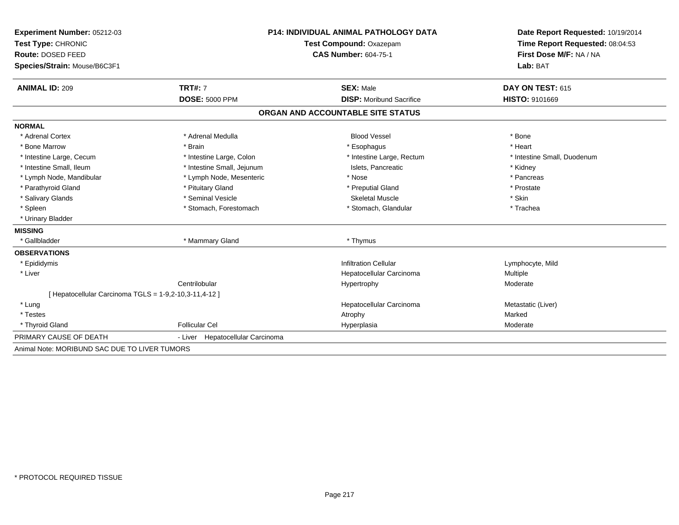| Experiment Number: 05212-03                            | P14: INDIVIDUAL ANIMAL PATHOLOGY DATA |                                   | Date Report Requested: 10/19/2014                          |
|--------------------------------------------------------|---------------------------------------|-----------------------------------|------------------------------------------------------------|
| Test Type: CHRONIC                                     |                                       | Test Compound: Oxazepam           | Time Report Requested: 08:04:53<br>First Dose M/F: NA / NA |
| Route: DOSED FEED                                      |                                       | <b>CAS Number: 604-75-1</b>       |                                                            |
| Species/Strain: Mouse/B6C3F1                           |                                       |                                   | Lab: BAT                                                   |
| <b>ANIMAL ID: 209</b>                                  | <b>TRT#: 7</b>                        | <b>SEX: Male</b>                  | DAY ON TEST: 615                                           |
|                                                        | <b>DOSE: 5000 PPM</b>                 | <b>DISP:</b> Moribund Sacrifice   | <b>HISTO: 9101669</b>                                      |
|                                                        |                                       | ORGAN AND ACCOUNTABLE SITE STATUS |                                                            |
| <b>NORMAL</b>                                          |                                       |                                   |                                                            |
| * Adrenal Cortex                                       | * Adrenal Medulla                     | <b>Blood Vessel</b>               | * Bone                                                     |
| * Bone Marrow                                          | * Brain                               | * Esophagus                       | * Heart                                                    |
| * Intestine Large, Cecum                               | * Intestine Large, Colon              | * Intestine Large, Rectum         | * Intestine Small, Duodenum                                |
| * Intestine Small, Ileum                               | * Intestine Small, Jejunum            | Islets, Pancreatic                | * Kidney                                                   |
| * Lymph Node, Mandibular                               | * Lymph Node, Mesenteric              | * Nose                            | * Pancreas                                                 |
| * Parathyroid Gland                                    | * Pituitary Gland                     | * Preputial Gland                 | * Prostate                                                 |
| * Salivary Glands                                      | * Seminal Vesicle                     | <b>Skeletal Muscle</b>            | * Skin                                                     |
| * Spleen                                               | * Stomach, Forestomach                | * Stomach, Glandular              | * Trachea                                                  |
| * Urinary Bladder                                      |                                       |                                   |                                                            |
| <b>MISSING</b>                                         |                                       |                                   |                                                            |
| * Gallbladder                                          | * Mammary Gland                       | * Thymus                          |                                                            |
| <b>OBSERVATIONS</b>                                    |                                       |                                   |                                                            |
| * Epididymis                                           |                                       | <b>Infiltration Cellular</b>      | Lymphocyte, Mild                                           |
| * Liver                                                |                                       | Hepatocellular Carcinoma          | Multiple                                                   |
|                                                        | Centrilobular                         | Hypertrophy                       | Moderate                                                   |
| [ Hepatocellular Carcinoma TGLS = 1-9,2-10,3-11,4-12 ] |                                       |                                   |                                                            |
| * Lung                                                 |                                       | Hepatocellular Carcinoma          | Metastatic (Liver)                                         |
| * Testes                                               |                                       | Atrophy                           | Marked                                                     |
| * Thyroid Gland                                        | <b>Follicular Cel</b>                 | Hyperplasia                       | Moderate                                                   |
| PRIMARY CAUSE OF DEATH                                 | Hepatocellular Carcinoma<br>- Liver   |                                   |                                                            |
| Animal Note: MORIBUND SAC DUE TO LIVER TUMORS          |                                       |                                   |                                                            |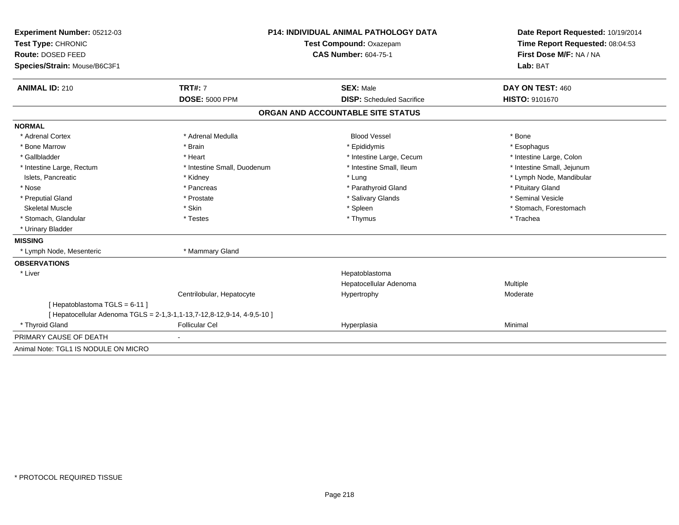| Experiment Number: 05212-03          | <b>P14: INDIVIDUAL ANIMAL PATHOLOGY DATA</b>                            |                                   | Date Report Requested: 10/19/2014                          |
|--------------------------------------|-------------------------------------------------------------------------|-----------------------------------|------------------------------------------------------------|
| Test Type: CHRONIC                   |                                                                         | Test Compound: Oxazepam           | Time Report Requested: 08:04:53<br>First Dose M/F: NA / NA |
| Route: DOSED FEED                    |                                                                         | <b>CAS Number: 604-75-1</b>       |                                                            |
| Species/Strain: Mouse/B6C3F1         |                                                                         |                                   | Lab: BAT                                                   |
| <b>ANIMAL ID: 210</b>                | <b>TRT#: 7</b>                                                          | <b>SEX: Male</b>                  | DAY ON TEST: 460                                           |
|                                      | <b>DOSE: 5000 PPM</b>                                                   | <b>DISP:</b> Scheduled Sacrifice  | <b>HISTO: 9101670</b>                                      |
|                                      |                                                                         | ORGAN AND ACCOUNTABLE SITE STATUS |                                                            |
| <b>NORMAL</b>                        |                                                                         |                                   |                                                            |
| * Adrenal Cortex                     | * Adrenal Medulla                                                       | <b>Blood Vessel</b>               | * Bone                                                     |
| * Bone Marrow                        | * Brain                                                                 | * Epididymis                      | * Esophagus                                                |
| * Gallbladder                        | * Heart                                                                 | * Intestine Large, Cecum          | * Intestine Large, Colon                                   |
| * Intestine Large, Rectum            | * Intestine Small, Duodenum                                             | * Intestine Small, Ileum          | * Intestine Small, Jejunum                                 |
| Islets, Pancreatic                   | * Kidney                                                                | * Lung                            | * Lymph Node, Mandibular                                   |
| * Nose                               | * Pancreas                                                              | * Parathyroid Gland               | * Pituitary Gland                                          |
| * Preputial Gland                    | * Prostate                                                              | * Salivary Glands                 | * Seminal Vesicle                                          |
| <b>Skeletal Muscle</b>               | * Skin                                                                  | * Spleen                          | * Stomach, Forestomach                                     |
| * Stomach, Glandular                 | * Testes                                                                | * Thymus                          | * Trachea                                                  |
| * Urinary Bladder                    |                                                                         |                                   |                                                            |
| <b>MISSING</b>                       |                                                                         |                                   |                                                            |
| * Lymph Node, Mesenteric             | * Mammary Gland                                                         |                                   |                                                            |
| <b>OBSERVATIONS</b>                  |                                                                         |                                   |                                                            |
| * Liver                              |                                                                         | Hepatoblastoma                    |                                                            |
|                                      |                                                                         | Hepatocellular Adenoma            | Multiple                                                   |
|                                      | Centrilobular, Hepatocyte                                               | Hypertrophy                       | Moderate                                                   |
| [Hepatoblastoma TGLS = 6-11]         |                                                                         |                                   |                                                            |
|                                      | [ Hepatocellular Adenoma TGLS = 2-1,3-1,1-13,7-12,8-12,9-14, 4-9,5-10 ] |                                   |                                                            |
| * Thyroid Gland                      | <b>Follicular Cel</b>                                                   | Hyperplasia                       | Minimal                                                    |
| PRIMARY CAUSE OF DEATH               |                                                                         |                                   |                                                            |
| Animal Note: TGL1 IS NODULE ON MICRO |                                                                         |                                   |                                                            |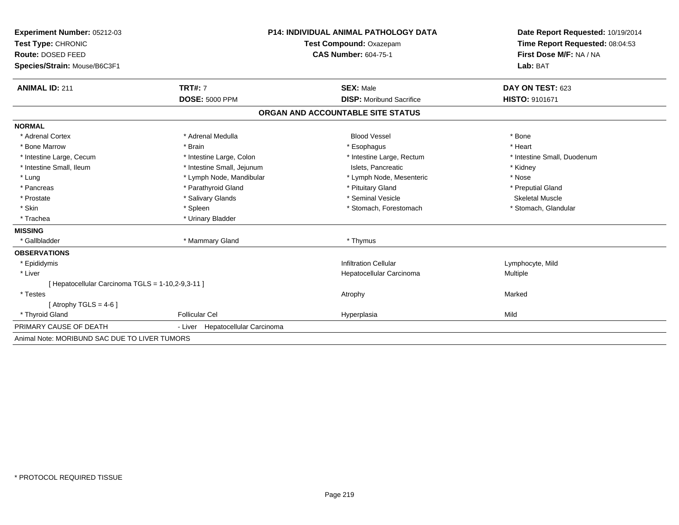| <b>Experiment Number: 05212-03</b>                | <b>P14: INDIVIDUAL ANIMAL PATHOLOGY DATA</b><br>Test Compound: Oxazepam |                                   | Date Report Requested: 10/19/2014 |  |
|---------------------------------------------------|-------------------------------------------------------------------------|-----------------------------------|-----------------------------------|--|
| Test Type: CHRONIC                                |                                                                         |                                   | Time Report Requested: 08:04:53   |  |
| Route: DOSED FEED                                 |                                                                         | <b>CAS Number: 604-75-1</b>       | First Dose M/F: NA / NA           |  |
| Species/Strain: Mouse/B6C3F1                      |                                                                         |                                   | Lab: BAT                          |  |
|                                                   |                                                                         |                                   |                                   |  |
| <b>ANIMAL ID: 211</b>                             | <b>TRT#: 7</b>                                                          | <b>SEX: Male</b>                  | DAY ON TEST: 623                  |  |
|                                                   | <b>DOSE: 5000 PPM</b>                                                   | <b>DISP:</b> Moribund Sacrifice   | HISTO: 9101671                    |  |
|                                                   |                                                                         | ORGAN AND ACCOUNTABLE SITE STATUS |                                   |  |
| <b>NORMAL</b>                                     |                                                                         |                                   |                                   |  |
| * Adrenal Cortex                                  | * Adrenal Medulla                                                       | <b>Blood Vessel</b>               | * Bone                            |  |
| * Bone Marrow                                     | * Brain                                                                 | * Esophagus                       | * Heart                           |  |
| * Intestine Large, Cecum                          | * Intestine Large, Colon                                                | * Intestine Large, Rectum         | * Intestine Small, Duodenum       |  |
| * Intestine Small, Ileum                          | * Intestine Small, Jejunum                                              | Islets. Pancreatic                | * Kidney                          |  |
| * Lung                                            | * Lymph Node, Mandibular                                                | * Lymph Node, Mesenteric          | * Nose                            |  |
| * Pancreas                                        | * Parathyroid Gland                                                     | * Pituitary Gland                 | * Preputial Gland                 |  |
| * Prostate                                        | * Salivary Glands                                                       | * Seminal Vesicle                 | <b>Skeletal Muscle</b>            |  |
| * Skin                                            | * Spleen                                                                | * Stomach, Forestomach            | * Stomach, Glandular              |  |
| * Trachea                                         | * Urinary Bladder                                                       |                                   |                                   |  |
| <b>MISSING</b>                                    |                                                                         |                                   |                                   |  |
| * Gallbladder                                     | * Mammary Gland                                                         | * Thymus                          |                                   |  |
| <b>OBSERVATIONS</b>                               |                                                                         |                                   |                                   |  |
| * Epididymis                                      |                                                                         | <b>Infiltration Cellular</b>      | Lymphocyte, Mild                  |  |
| * Liver                                           |                                                                         | Hepatocellular Carcinoma          | Multiple                          |  |
| [ Hepatocellular Carcinoma TGLS = 1-10,2-9,3-11 ] |                                                                         |                                   |                                   |  |
| * Testes                                          |                                                                         | Atrophy                           | Marked                            |  |
| [Atrophy TGLS = $4-6$ ]                           |                                                                         |                                   |                                   |  |
| * Thyroid Gland                                   | <b>Follicular Cel</b>                                                   | Hyperplasia                       | Mild                              |  |
| PRIMARY CAUSE OF DEATH                            | - Liver Hepatocellular Carcinoma                                        |                                   |                                   |  |
| Animal Note: MORIBUND SAC DUE TO LIVER TUMORS     |                                                                         |                                   |                                   |  |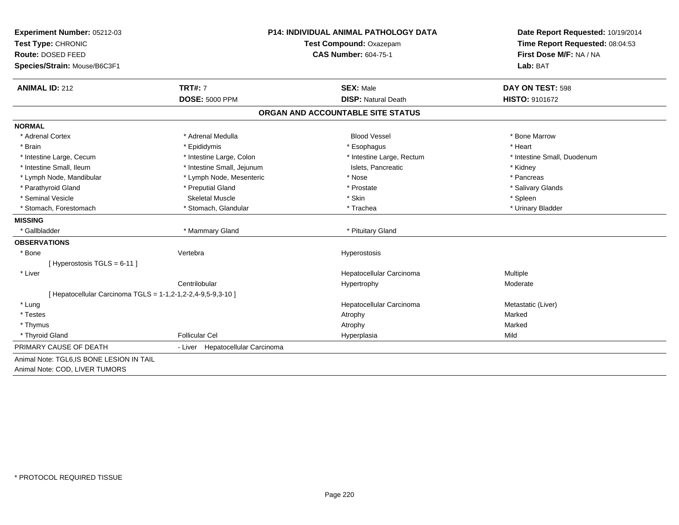| Experiment Number: 05212-03<br>Test Type: CHRONIC<br>Route: DOSED FEED<br>Species/Strain: Mouse/B6C3F1 | <b>P14: INDIVIDUAL ANIMAL PATHOLOGY DATA</b><br>Test Compound: Oxazepam<br><b>CAS Number: 604-75-1</b> |                                   | Date Report Requested: 10/19/2014<br>Time Report Requested: 08:04:53<br>First Dose M/F: NA / NA<br>Lab: BAT |  |
|--------------------------------------------------------------------------------------------------------|--------------------------------------------------------------------------------------------------------|-----------------------------------|-------------------------------------------------------------------------------------------------------------|--|
|                                                                                                        |                                                                                                        |                                   |                                                                                                             |  |
| <b>ANIMAL ID: 212</b>                                                                                  | <b>TRT#: 7</b>                                                                                         | <b>SEX: Male</b>                  | DAY ON TEST: 598                                                                                            |  |
|                                                                                                        | <b>DOSE: 5000 PPM</b>                                                                                  | <b>DISP: Natural Death</b>        | <b>HISTO: 9101672</b>                                                                                       |  |
|                                                                                                        |                                                                                                        | ORGAN AND ACCOUNTABLE SITE STATUS |                                                                                                             |  |
| <b>NORMAL</b>                                                                                          |                                                                                                        |                                   |                                                                                                             |  |
| * Adrenal Cortex                                                                                       | * Adrenal Medulla                                                                                      | <b>Blood Vessel</b>               | * Bone Marrow                                                                                               |  |
| * Brain                                                                                                | * Epididymis                                                                                           | * Esophagus                       | * Heart                                                                                                     |  |
| * Intestine Large, Cecum                                                                               | * Intestine Large, Colon                                                                               | * Intestine Large, Rectum         | * Intestine Small, Duodenum                                                                                 |  |
| * Intestine Small, Ileum                                                                               | * Intestine Small, Jejunum                                                                             | Islets, Pancreatic                | * Kidney                                                                                                    |  |
| * Lymph Node, Mandibular                                                                               | * Lymph Node, Mesenteric                                                                               | * Nose                            | * Pancreas                                                                                                  |  |
| * Parathyroid Gland                                                                                    | * Preputial Gland                                                                                      | * Prostate                        | * Salivary Glands                                                                                           |  |
| * Seminal Vesicle                                                                                      | <b>Skeletal Muscle</b>                                                                                 | * Skin                            | * Spleen                                                                                                    |  |
| * Stomach, Forestomach                                                                                 | * Stomach, Glandular                                                                                   | * Trachea                         | * Urinary Bladder                                                                                           |  |
| <b>MISSING</b>                                                                                         |                                                                                                        |                                   |                                                                                                             |  |
| * Gallbladder                                                                                          | * Mammary Gland                                                                                        | * Pituitary Gland                 |                                                                                                             |  |
| <b>OBSERVATIONS</b>                                                                                    |                                                                                                        |                                   |                                                                                                             |  |
| * Bone                                                                                                 | Vertebra                                                                                               | Hyperostosis                      |                                                                                                             |  |
| [Hyperostosis TGLS = 6-11]                                                                             |                                                                                                        |                                   |                                                                                                             |  |
| * Liver                                                                                                |                                                                                                        | Hepatocellular Carcinoma          | Multiple                                                                                                    |  |
|                                                                                                        | Centrilobular                                                                                          | Hypertrophy                       | Moderate                                                                                                    |  |
| [ Hepatocellular Carcinoma TGLS = 1-1,2-1,2-2,4-9,5-9,3-10 ]                                           |                                                                                                        |                                   |                                                                                                             |  |
| * Lung                                                                                                 |                                                                                                        | Hepatocellular Carcinoma          | Metastatic (Liver)                                                                                          |  |
| * Testes                                                                                               |                                                                                                        | Atrophy                           | Marked                                                                                                      |  |
| * Thymus                                                                                               |                                                                                                        | Atrophy                           | Marked                                                                                                      |  |
| * Thyroid Gland                                                                                        | <b>Follicular Cel</b>                                                                                  | Hyperplasia                       | Mild                                                                                                        |  |
| PRIMARY CAUSE OF DEATH                                                                                 | - Liver Hepatocellular Carcinoma                                                                       |                                   |                                                                                                             |  |
| Animal Note: TGL6, IS BONE LESION IN TAIL                                                              |                                                                                                        |                                   |                                                                                                             |  |
| Animal Note: COD, LIVER TUMORS                                                                         |                                                                                                        |                                   |                                                                                                             |  |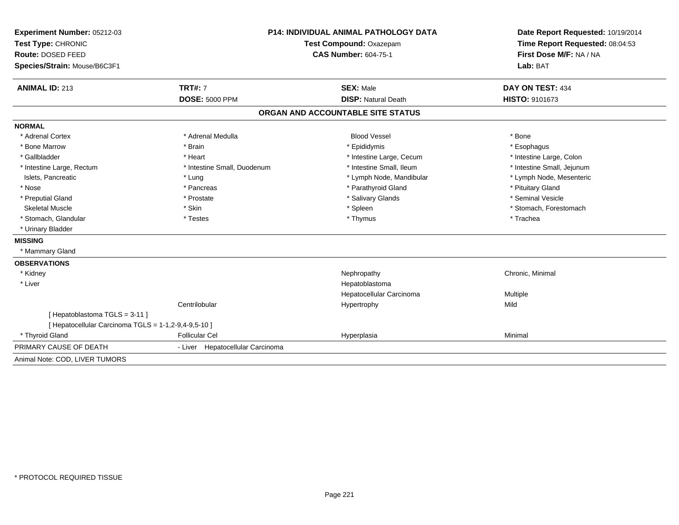| Experiment Number: 05212-03                                                          | <b>P14: INDIVIDUAL ANIMAL PATHOLOGY DATA</b><br>Test Compound: Oxazepam |                                   | Date Report Requested: 10/19/2014<br>Time Report Requested: 08:04:53 |
|--------------------------------------------------------------------------------------|-------------------------------------------------------------------------|-----------------------------------|----------------------------------------------------------------------|
| Test Type: CHRONIC                                                                   |                                                                         |                                   |                                                                      |
| Route: DOSED FEED                                                                    |                                                                         | <b>CAS Number: 604-75-1</b>       | First Dose M/F: NA / NA<br>Lab: BAT                                  |
| Species/Strain: Mouse/B6C3F1                                                         |                                                                         |                                   |                                                                      |
|                                                                                      |                                                                         |                                   |                                                                      |
| <b>ANIMAL ID: 213</b>                                                                | <b>TRT#: 7</b>                                                          | <b>SEX: Male</b>                  | DAY ON TEST: 434                                                     |
|                                                                                      | <b>DOSE: 5000 PPM</b>                                                   | <b>DISP: Natural Death</b>        | HISTO: 9101673                                                       |
|                                                                                      |                                                                         | ORGAN AND ACCOUNTABLE SITE STATUS |                                                                      |
| <b>NORMAL</b>                                                                        |                                                                         |                                   |                                                                      |
| * Adrenal Cortex                                                                     | * Adrenal Medulla                                                       | <b>Blood Vessel</b>               | * Bone                                                               |
| * Bone Marrow                                                                        | * Brain                                                                 | * Epididymis                      | * Esophagus                                                          |
| * Gallbladder                                                                        | * Heart                                                                 | * Intestine Large, Cecum          | * Intestine Large, Colon                                             |
| * Intestine Large, Rectum                                                            | * Intestine Small, Duodenum                                             | * Intestine Small, Ileum          | * Intestine Small, Jejunum                                           |
| Islets, Pancreatic                                                                   | * Lung                                                                  | * Lymph Node, Mandibular          | * Lymph Node, Mesenteric                                             |
| * Nose                                                                               | * Pancreas                                                              | * Parathyroid Gland               | * Pituitary Gland                                                    |
| * Preputial Gland                                                                    | * Prostate                                                              | * Salivary Glands                 | * Seminal Vesicle                                                    |
| <b>Skeletal Muscle</b>                                                               | * Skin                                                                  | * Spleen                          | * Stomach, Forestomach                                               |
| * Stomach, Glandular                                                                 | * Testes                                                                | * Thymus                          | * Trachea                                                            |
| * Urinary Bladder                                                                    |                                                                         |                                   |                                                                      |
| <b>MISSING</b>                                                                       |                                                                         |                                   |                                                                      |
| * Mammary Gland                                                                      |                                                                         |                                   |                                                                      |
| <b>OBSERVATIONS</b>                                                                  |                                                                         |                                   |                                                                      |
| * Kidney                                                                             |                                                                         | Nephropathy                       | Chronic, Minimal                                                     |
| * Liver                                                                              |                                                                         | Hepatoblastoma                    |                                                                      |
|                                                                                      |                                                                         | Hepatocellular Carcinoma          | Multiple                                                             |
|                                                                                      | Centrilobular                                                           | Hypertrophy                       | Mild                                                                 |
| [Hepatoblastoma TGLS = 3-11]<br>[ Hepatocellular Carcinoma TGLS = 1-1,2-9,4-9,5-10 ] |                                                                         |                                   |                                                                      |
| * Thyroid Gland                                                                      | <b>Follicular Cel</b>                                                   | Hyperplasia                       | Minimal                                                              |
| PRIMARY CAUSE OF DEATH                                                               | - Liver Hepatocellular Carcinoma                                        |                                   |                                                                      |
| Animal Note: COD, LIVER TUMORS                                                       |                                                                         |                                   |                                                                      |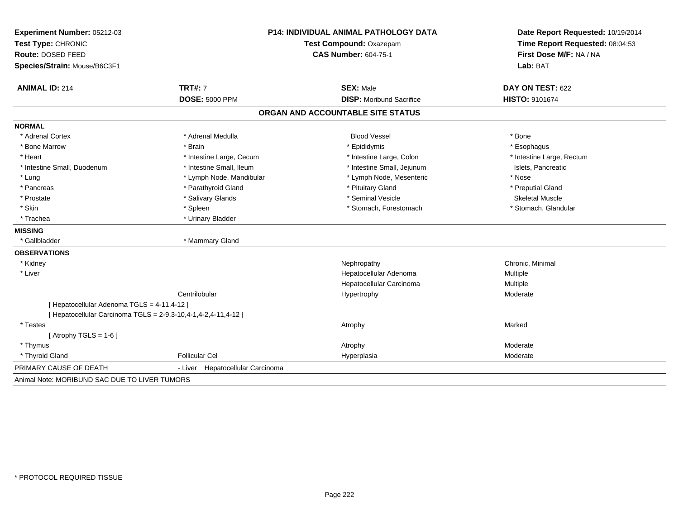| Experiment Number: 05212-03<br>Test Type: CHRONIC | P14: INDIVIDUAL ANIMAL PATHOLOGY DATA<br>Test Compound: Oxazepam |                                   | Date Report Requested: 10/19/2014<br>Time Report Requested: 08:04:53 |
|---------------------------------------------------|------------------------------------------------------------------|-----------------------------------|----------------------------------------------------------------------|
| Route: DOSED FEED                                 |                                                                  | <b>CAS Number: 604-75-1</b>       | First Dose M/F: NA / NA<br>Lab: BAT                                  |
| Species/Strain: Mouse/B6C3F1                      |                                                                  |                                   |                                                                      |
| <b>ANIMAL ID: 214</b>                             | <b>TRT#: 7</b>                                                   | <b>SEX: Male</b>                  | DAY ON TEST: 622                                                     |
|                                                   | <b>DOSE: 5000 PPM</b>                                            | <b>DISP:</b> Moribund Sacrifice   | HISTO: 9101674                                                       |
|                                                   |                                                                  | ORGAN AND ACCOUNTABLE SITE STATUS |                                                                      |
| <b>NORMAL</b>                                     |                                                                  |                                   |                                                                      |
| * Adrenal Cortex                                  | * Adrenal Medulla                                                | <b>Blood Vessel</b>               | * Bone                                                               |
| * Bone Marrow                                     | * Brain                                                          | * Epididymis                      | * Esophagus                                                          |
| * Heart                                           | * Intestine Large, Cecum                                         | * Intestine Large, Colon          | * Intestine Large, Rectum                                            |
| * Intestine Small, Duodenum                       | * Intestine Small, Ileum                                         | * Intestine Small, Jejunum        | Islets, Pancreatic                                                   |
| * Lung                                            | * Lymph Node, Mandibular                                         | * Lymph Node, Mesenteric          | * Nose                                                               |
| * Pancreas                                        | * Parathyroid Gland                                              | * Pituitary Gland                 | * Preputial Gland                                                    |
| * Prostate                                        | * Salivary Glands                                                | * Seminal Vesicle                 | <b>Skeletal Muscle</b>                                               |
| * Skin                                            | * Spleen                                                         | * Stomach, Forestomach            | * Stomach, Glandular                                                 |
| * Trachea                                         | * Urinary Bladder                                                |                                   |                                                                      |
| <b>MISSING</b>                                    |                                                                  |                                   |                                                                      |
| * Gallbladder                                     | * Mammary Gland                                                  |                                   |                                                                      |
| <b>OBSERVATIONS</b>                               |                                                                  |                                   |                                                                      |
| * Kidney                                          |                                                                  | Nephropathy                       | Chronic, Minimal                                                     |
| * Liver                                           |                                                                  | Hepatocellular Adenoma            | Multiple                                                             |
|                                                   |                                                                  | Hepatocellular Carcinoma          | Multiple                                                             |
|                                                   | Centrilobular                                                    | Hypertrophy                       | Moderate                                                             |
| [ Hepatocellular Adenoma TGLS = 4-11,4-12 ]       |                                                                  |                                   |                                                                      |
|                                                   | [ Hepatocellular Carcinoma TGLS = 2-9,3-10,4-1,4-2,4-11,4-12 ]   |                                   |                                                                      |
| * Testes                                          |                                                                  | Atrophy                           | Marked                                                               |
| [Atrophy TGLS = $1-6$ ]                           |                                                                  |                                   |                                                                      |
| * Thymus                                          |                                                                  | Atrophy                           | Moderate                                                             |
| * Thyroid Gland                                   | <b>Follicular Cel</b>                                            | Hyperplasia                       | Moderate                                                             |
| PRIMARY CAUSE OF DEATH                            | Hepatocellular Carcinoma<br>- Liver                              |                                   |                                                                      |
| Animal Note: MORIBUND SAC DUE TO LIVER TUMORS     |                                                                  |                                   |                                                                      |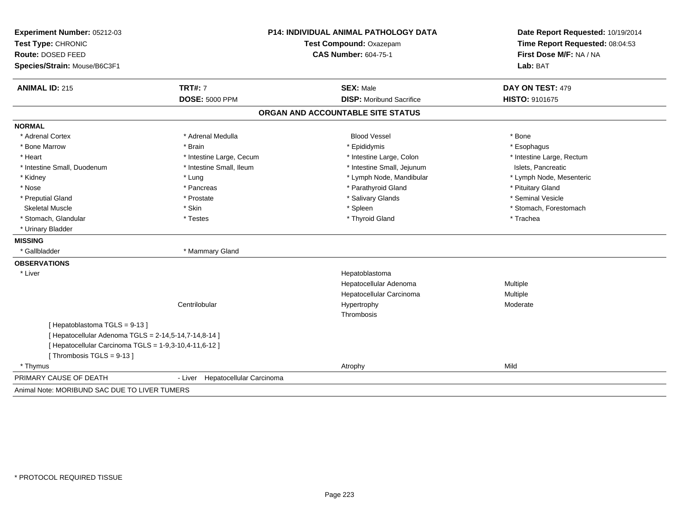| Experiment Number: 05212-03                            | <b>P14: INDIVIDUAL ANIMAL PATHOLOGY DATA</b> |                                   | Date Report Requested: 10/19/2014                          |  |
|--------------------------------------------------------|----------------------------------------------|-----------------------------------|------------------------------------------------------------|--|
| Test Type: CHRONIC                                     |                                              | Test Compound: Oxazepam           |                                                            |  |
| Route: DOSED FEED                                      |                                              | <b>CAS Number: 604-75-1</b>       | Time Report Requested: 08:04:53<br>First Dose M/F: NA / NA |  |
| Species/Strain: Mouse/B6C3F1                           |                                              |                                   | Lab: BAT                                                   |  |
| <b>ANIMAL ID: 215</b>                                  | <b>TRT#: 7</b>                               | <b>SEX: Male</b>                  | DAY ON TEST: 479                                           |  |
|                                                        | <b>DOSE: 5000 PPM</b>                        | <b>DISP:</b> Moribund Sacrifice   | HISTO: 9101675                                             |  |
|                                                        |                                              | ORGAN AND ACCOUNTABLE SITE STATUS |                                                            |  |
| <b>NORMAL</b>                                          |                                              |                                   |                                                            |  |
| * Adrenal Cortex                                       | * Adrenal Medulla                            | <b>Blood Vessel</b>               | * Bone                                                     |  |
| * Bone Marrow                                          | * Brain                                      | * Epididymis                      | * Esophagus                                                |  |
| * Heart                                                | * Intestine Large, Cecum                     | * Intestine Large, Colon          | * Intestine Large, Rectum                                  |  |
| * Intestine Small, Duodenum                            | * Intestine Small, Ileum                     | * Intestine Small, Jejunum        | Islets, Pancreatic                                         |  |
| * Kidney                                               | * Lung                                       | * Lymph Node, Mandibular          | * Lymph Node, Mesenteric                                   |  |
| * Nose                                                 | * Pancreas                                   | * Parathyroid Gland               | * Pituitary Gland                                          |  |
| * Preputial Gland                                      | * Prostate                                   | * Salivary Glands                 | * Seminal Vesicle                                          |  |
| <b>Skeletal Muscle</b>                                 | * Skin                                       | * Spleen                          | * Stomach, Forestomach                                     |  |
| * Stomach, Glandular                                   | * Testes                                     | * Thyroid Gland                   | * Trachea                                                  |  |
| * Urinary Bladder                                      |                                              |                                   |                                                            |  |
| <b>MISSING</b>                                         |                                              |                                   |                                                            |  |
| * Gallbladder                                          | * Mammary Gland                              |                                   |                                                            |  |
| <b>OBSERVATIONS</b>                                    |                                              |                                   |                                                            |  |
| * Liver                                                |                                              | Hepatoblastoma                    |                                                            |  |
|                                                        |                                              | Hepatocellular Adenoma            | Multiple                                                   |  |
|                                                        |                                              | Hepatocellular Carcinoma          | Multiple                                                   |  |
|                                                        | Centrilobular                                | Hypertrophy                       | Moderate                                                   |  |
|                                                        |                                              | Thrombosis                        |                                                            |  |
| [Hepatoblastoma TGLS = 9-13]                           |                                              |                                   |                                                            |  |
| [ Hepatocellular Adenoma TGLS = 2-14,5-14,7-14,8-14 ]  |                                              |                                   |                                                            |  |
| [ Hepatocellular Carcinoma TGLS = 1-9,3-10,4-11,6-12 ] |                                              |                                   |                                                            |  |
| [Thrombosis TGLS = $9-13$ ]                            |                                              |                                   |                                                            |  |
| * Thymus                                               |                                              | Atrophy                           | Mild                                                       |  |
| PRIMARY CAUSE OF DEATH                                 | Hepatocellular Carcinoma<br>- Liver          |                                   |                                                            |  |
| Animal Note: MORIBUND SAC DUE TO LIVER TUMERS          |                                              |                                   |                                                            |  |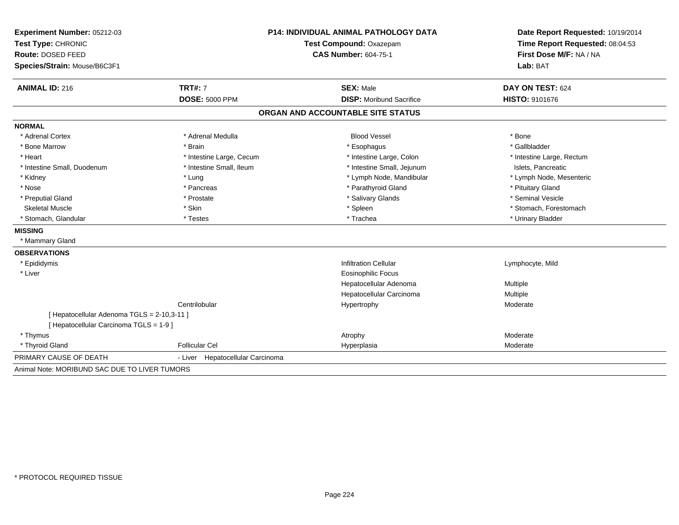| Experiment Number: 05212-03                   | <b>P14: INDIVIDUAL ANIMAL PATHOLOGY DATA</b> |                                   | Date Report Requested: 10/19/2014                          |
|-----------------------------------------------|----------------------------------------------|-----------------------------------|------------------------------------------------------------|
| Test Type: CHRONIC                            |                                              | Test Compound: Oxazepam           | Time Report Requested: 08:04:53<br>First Dose M/F: NA / NA |
| Route: DOSED FEED                             |                                              | <b>CAS Number: 604-75-1</b>       |                                                            |
| Species/Strain: Mouse/B6C3F1                  |                                              |                                   | Lab: BAT                                                   |
| <b>ANIMAL ID: 216</b>                         | <b>TRT#: 7</b>                               | <b>SEX: Male</b>                  | DAY ON TEST: 624                                           |
|                                               | <b>DOSE: 5000 PPM</b>                        | <b>DISP:</b> Moribund Sacrifice   | <b>HISTO: 9101676</b>                                      |
|                                               |                                              | ORGAN AND ACCOUNTABLE SITE STATUS |                                                            |
| <b>NORMAL</b>                                 |                                              |                                   |                                                            |
| * Adrenal Cortex                              | * Adrenal Medulla                            | <b>Blood Vessel</b>               | * Bone                                                     |
| * Bone Marrow                                 | * Brain                                      | * Esophagus                       | * Gallbladder                                              |
| * Heart                                       | * Intestine Large, Cecum                     | * Intestine Large, Colon          | * Intestine Large, Rectum                                  |
| * Intestine Small, Duodenum                   | * Intestine Small, Ileum                     | * Intestine Small, Jejunum        | Islets, Pancreatic                                         |
| * Kidney                                      | * Lung                                       | * Lymph Node, Mandibular          | * Lymph Node, Mesenteric                                   |
| * Nose                                        | * Pancreas                                   | * Parathyroid Gland               | * Pituitary Gland                                          |
| * Preputial Gland                             | * Prostate                                   | * Salivary Glands                 | * Seminal Vesicle                                          |
| <b>Skeletal Muscle</b>                        | * Skin                                       | * Spleen                          | * Stomach, Forestomach                                     |
| * Stomach, Glandular                          | * Testes                                     | * Trachea                         | * Urinary Bladder                                          |
| <b>MISSING</b>                                |                                              |                                   |                                                            |
| * Mammary Gland                               |                                              |                                   |                                                            |
| <b>OBSERVATIONS</b>                           |                                              |                                   |                                                            |
| * Epididymis                                  |                                              | <b>Infiltration Cellular</b>      | Lymphocyte, Mild                                           |
| * Liver                                       |                                              | <b>Eosinophilic Focus</b>         |                                                            |
|                                               |                                              | Hepatocellular Adenoma            | <b>Multiple</b>                                            |
|                                               |                                              | Hepatocellular Carcinoma          | Multiple                                                   |
|                                               | Centrilobular                                | Hypertrophy                       | Moderate                                                   |
| [ Hepatocellular Adenoma TGLS = 2-10,3-11 ]   |                                              |                                   |                                                            |
| [ Hepatocellular Carcinoma TGLS = 1-9 ]       |                                              |                                   |                                                            |
| * Thymus                                      |                                              | Atrophy                           | Moderate                                                   |
| * Thyroid Gland                               | <b>Follicular Cel</b>                        | Hyperplasia                       | Moderate                                                   |
| PRIMARY CAUSE OF DEATH                        | Hepatocellular Carcinoma<br>- Liver          |                                   |                                                            |
| Animal Note: MORIBUND SAC DUE TO LIVER TUMORS |                                              |                                   |                                                            |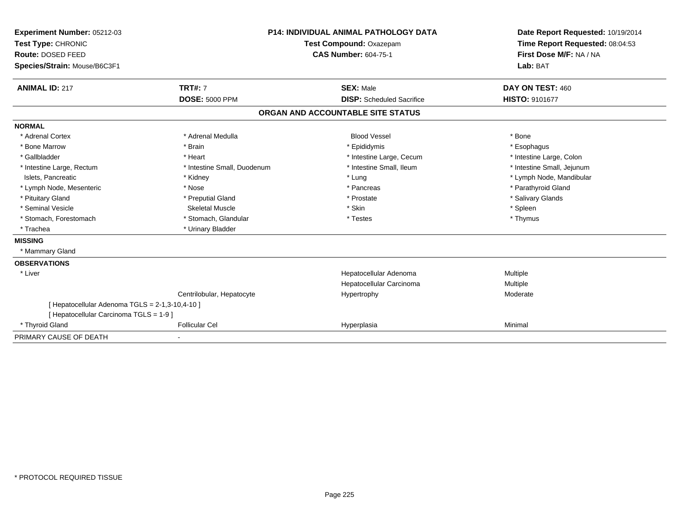| Experiment Number: 05212-03<br>Test Type: CHRONIC<br><b>Route: DOSED FEED</b><br>Species/Strain: Mouse/B6C3F1 | <b>P14: INDIVIDUAL ANIMAL PATHOLOGY DATA</b><br>Test Compound: Oxazepam<br><b>CAS Number: 604-75-1</b> |                                   | Date Report Requested: 10/19/2014<br>Time Report Requested: 08:04:53<br>First Dose M/F: NA / NA<br>Lab: BAT |
|---------------------------------------------------------------------------------------------------------------|--------------------------------------------------------------------------------------------------------|-----------------------------------|-------------------------------------------------------------------------------------------------------------|
| <b>ANIMAL ID: 217</b>                                                                                         | <b>TRT#: 7</b>                                                                                         | <b>SEX: Male</b>                  | DAY ON TEST: 460                                                                                            |
|                                                                                                               | <b>DOSE: 5000 PPM</b>                                                                                  | <b>DISP:</b> Scheduled Sacrifice  | HISTO: 9101677                                                                                              |
|                                                                                                               |                                                                                                        | ORGAN AND ACCOUNTABLE SITE STATUS |                                                                                                             |
| <b>NORMAL</b>                                                                                                 |                                                                                                        |                                   |                                                                                                             |
| * Adrenal Cortex                                                                                              | * Adrenal Medulla                                                                                      | <b>Blood Vessel</b>               | * Bone                                                                                                      |
| * Bone Marrow                                                                                                 | * Brain                                                                                                | * Epididymis                      | * Esophagus                                                                                                 |
| * Gallbladder                                                                                                 | * Heart                                                                                                | * Intestine Large, Cecum          | * Intestine Large, Colon                                                                                    |
| * Intestine Large, Rectum                                                                                     | * Intestine Small, Duodenum                                                                            | * Intestine Small, Ileum          | * Intestine Small, Jejunum                                                                                  |
| Islets, Pancreatic                                                                                            | * Kidney                                                                                               | * Lung                            | * Lymph Node, Mandibular                                                                                    |
| * Lymph Node, Mesenteric                                                                                      | * Nose                                                                                                 | * Pancreas                        | * Parathyroid Gland                                                                                         |
| * Pituitary Gland                                                                                             | * Preputial Gland                                                                                      | * Prostate                        | * Salivary Glands                                                                                           |
| * Seminal Vesicle                                                                                             | <b>Skeletal Muscle</b>                                                                                 | * Skin                            | * Spleen                                                                                                    |
| * Stomach, Forestomach                                                                                        | * Stomach, Glandular                                                                                   | * Testes                          | * Thymus                                                                                                    |
| * Trachea                                                                                                     | * Urinary Bladder                                                                                      |                                   |                                                                                                             |
| <b>MISSING</b>                                                                                                |                                                                                                        |                                   |                                                                                                             |
| * Mammary Gland                                                                                               |                                                                                                        |                                   |                                                                                                             |
| <b>OBSERVATIONS</b>                                                                                           |                                                                                                        |                                   |                                                                                                             |
| * Liver                                                                                                       |                                                                                                        | Hepatocellular Adenoma            | Multiple                                                                                                    |
|                                                                                                               |                                                                                                        | Hepatocellular Carcinoma          | Multiple                                                                                                    |
|                                                                                                               | Centrilobular, Hepatocyte                                                                              | Hypertrophy                       | Moderate                                                                                                    |
| [ Hepatocellular Adenoma TGLS = 2-1,3-10,4-10 ]                                                               |                                                                                                        |                                   |                                                                                                             |
| [ Hepatocellular Carcinoma TGLS = 1-9 ]                                                                       |                                                                                                        |                                   |                                                                                                             |
| * Thyroid Gland                                                                                               | <b>Follicular Cel</b>                                                                                  | Hyperplasia                       | Minimal                                                                                                     |
| PRIMARY CAUSE OF DEATH                                                                                        |                                                                                                        |                                   |                                                                                                             |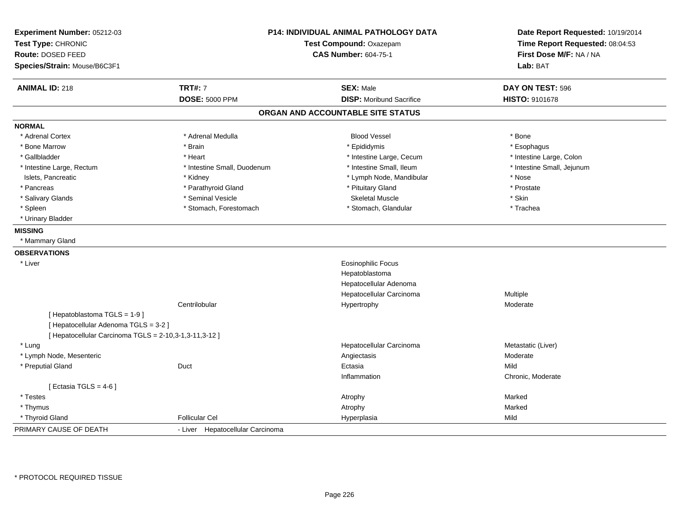| Experiment Number: 05212-03<br>Test Type: CHRONIC<br>Route: DOSED FEED<br>Species/Strain: Mouse/B6C3F1 |                                  | P14: INDIVIDUAL ANIMAL PATHOLOGY DATA<br>Test Compound: Oxazepam<br><b>CAS Number: 604-75-1</b> | Date Report Requested: 10/19/2014<br>Time Report Requested: 08:04:53<br>First Dose M/F: NA / NA<br>Lab: BAT |
|--------------------------------------------------------------------------------------------------------|----------------------------------|-------------------------------------------------------------------------------------------------|-------------------------------------------------------------------------------------------------------------|
| <b>ANIMAL ID: 218</b>                                                                                  | <b>TRT#: 7</b>                   | <b>SEX: Male</b>                                                                                | DAY ON TEST: 596                                                                                            |
|                                                                                                        | <b>DOSE: 5000 PPM</b>            | <b>DISP:</b> Moribund Sacrifice                                                                 | HISTO: 9101678                                                                                              |
|                                                                                                        |                                  | ORGAN AND ACCOUNTABLE SITE STATUS                                                               |                                                                                                             |
| <b>NORMAL</b>                                                                                          |                                  |                                                                                                 |                                                                                                             |
| * Adrenal Cortex                                                                                       | * Adrenal Medulla                | <b>Blood Vessel</b>                                                                             | * Bone                                                                                                      |
| * Bone Marrow                                                                                          | * Brain                          | * Epididymis                                                                                    | * Esophagus                                                                                                 |
| * Gallbladder                                                                                          | * Heart                          | * Intestine Large, Cecum                                                                        | * Intestine Large, Colon                                                                                    |
| * Intestine Large, Rectum                                                                              | * Intestine Small, Duodenum      | * Intestine Small, Ileum                                                                        | * Intestine Small, Jejunum                                                                                  |
| Islets, Pancreatic                                                                                     | * Kidney                         | * Lymph Node, Mandibular                                                                        | * Nose                                                                                                      |
| * Pancreas                                                                                             | * Parathyroid Gland              | * Pituitary Gland                                                                               | * Prostate                                                                                                  |
| * Salivary Glands                                                                                      | * Seminal Vesicle                | <b>Skeletal Muscle</b>                                                                          | * Skin                                                                                                      |
| * Spleen                                                                                               | * Stomach, Forestomach           | * Stomach, Glandular                                                                            | * Trachea                                                                                                   |
| * Urinary Bladder                                                                                      |                                  |                                                                                                 |                                                                                                             |
| <b>MISSING</b>                                                                                         |                                  |                                                                                                 |                                                                                                             |
| * Mammary Gland                                                                                        |                                  |                                                                                                 |                                                                                                             |
| <b>OBSERVATIONS</b>                                                                                    |                                  |                                                                                                 |                                                                                                             |
| * Liver                                                                                                |                                  | <b>Eosinophilic Focus</b>                                                                       |                                                                                                             |
|                                                                                                        |                                  | Hepatoblastoma                                                                                  |                                                                                                             |
|                                                                                                        |                                  | Hepatocellular Adenoma                                                                          |                                                                                                             |
|                                                                                                        |                                  | Hepatocellular Carcinoma                                                                        | Multiple                                                                                                    |
|                                                                                                        | Centrilobular                    | Hypertrophy                                                                                     | Moderate                                                                                                    |
| [Hepatoblastoma TGLS = 1-9]<br>[ Hepatocellular Adenoma TGLS = 3-2 ]                                   |                                  |                                                                                                 |                                                                                                             |
| [ Hepatocellular Carcinoma TGLS = 2-10,3-1,3-11,3-12 ]                                                 |                                  |                                                                                                 |                                                                                                             |
| * Lung                                                                                                 |                                  | Hepatocellular Carcinoma                                                                        | Metastatic (Liver)                                                                                          |
| * Lymph Node, Mesenteric                                                                               |                                  | Angiectasis                                                                                     | Moderate                                                                                                    |
| * Preputial Gland                                                                                      | Duct                             | Ectasia                                                                                         | Mild                                                                                                        |
|                                                                                                        |                                  | Inflammation                                                                                    | Chronic, Moderate                                                                                           |
| [ Ectasia TGLS = $4-6$ ]                                                                               |                                  |                                                                                                 |                                                                                                             |
| * Testes                                                                                               |                                  | Atrophy                                                                                         | Marked                                                                                                      |
| * Thymus                                                                                               |                                  | Atrophy                                                                                         | Marked                                                                                                      |
| * Thyroid Gland                                                                                        | <b>Follicular Cel</b>            | Hyperplasia                                                                                     | Mild                                                                                                        |
| PRIMARY CAUSE OF DEATH                                                                                 | - Liver Hepatocellular Carcinoma |                                                                                                 |                                                                                                             |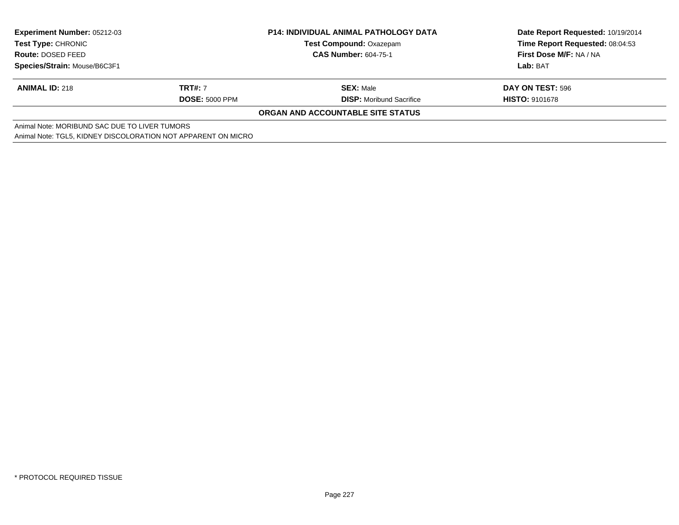| <b>Experiment Number: 05212-03</b><br><b>Test Type: CHRONIC</b><br><b>Route: DOSED FEED</b> |                       | <b>P14: INDIVIDUAL ANIMAL PATHOLOGY DATA</b> | Date Report Requested: 10/19/2014 |
|---------------------------------------------------------------------------------------------|-----------------------|----------------------------------------------|-----------------------------------|
|                                                                                             |                       | <b>Test Compound: Oxazepam</b>               | Time Report Requested: 08:04:53   |
|                                                                                             |                       | <b>CAS Number: 604-75-1</b>                  | First Dose M/F: NA / NA           |
| Species/Strain: Mouse/B6C3F1                                                                |                       |                                              | Lab: BAT                          |
| <b>ANIMAL ID: 218</b>                                                                       | <b>TRT#: 7</b>        | <b>SEX: Male</b>                             | DAY ON TEST: 596                  |
|                                                                                             | <b>DOSE: 5000 PPM</b> | <b>DISP:</b> Moribund Sacrifice              | <b>HISTO: 9101678</b>             |
|                                                                                             |                       | ORGAN AND ACCOUNTABLE SITE STATUS            |                                   |
| Animal Note: MORIBUND SAC DUE TO LIVER TUMORS                                               |                       |                                              |                                   |
| Animal Note: TGL5, KIDNEY DISCOLORATION NOT APPARENT ON MICRO                               |                       |                                              |                                   |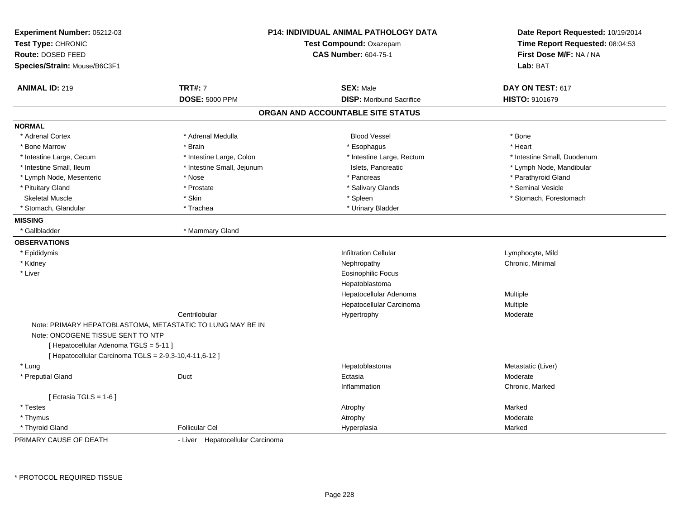| Experiment Number: 05212-03<br>Test Type: CHRONIC<br>Route: DOSED FEED<br>Species/Strain: Mouse/B6C3F1 |                                  | <b>P14: INDIVIDUAL ANIMAL PATHOLOGY DATA</b><br>Test Compound: Oxazepam<br><b>CAS Number: 604-75-1</b> |                             |
|--------------------------------------------------------------------------------------------------------|----------------------------------|--------------------------------------------------------------------------------------------------------|-----------------------------|
| <b>ANIMAL ID: 219</b>                                                                                  | <b>TRT#: 7</b>                   | <b>SEX: Male</b>                                                                                       | DAY ON TEST: 617            |
|                                                                                                        | <b>DOSE: 5000 PPM</b>            | <b>DISP:</b> Moribund Sacrifice                                                                        | HISTO: 9101679              |
|                                                                                                        |                                  | ORGAN AND ACCOUNTABLE SITE STATUS                                                                      |                             |
| <b>NORMAL</b>                                                                                          |                                  |                                                                                                        |                             |
| * Adrenal Cortex                                                                                       | * Adrenal Medulla                | <b>Blood Vessel</b>                                                                                    | * Bone                      |
| * Bone Marrow                                                                                          | * Brain                          | * Esophagus                                                                                            | * Heart                     |
| * Intestine Large, Cecum                                                                               | * Intestine Large, Colon         | * Intestine Large, Rectum                                                                              | * Intestine Small, Duodenum |
| * Intestine Small, Ileum                                                                               | * Intestine Small, Jejunum       | Islets, Pancreatic                                                                                     | * Lymph Node, Mandibular    |
| * Lymph Node, Mesenteric                                                                               | * Nose                           | * Pancreas                                                                                             | * Parathyroid Gland         |
| * Pituitary Gland                                                                                      | * Prostate                       | * Salivary Glands                                                                                      | * Seminal Vesicle           |
| <b>Skeletal Muscle</b>                                                                                 | * Skin                           | * Spleen                                                                                               | * Stomach, Forestomach      |
| * Stomach, Glandular                                                                                   | * Trachea                        | * Urinary Bladder                                                                                      |                             |
| <b>MISSING</b>                                                                                         |                                  |                                                                                                        |                             |
| * Gallbladder                                                                                          | * Mammary Gland                  |                                                                                                        |                             |
| <b>OBSERVATIONS</b>                                                                                    |                                  |                                                                                                        |                             |
| * Epididymis                                                                                           |                                  | <b>Infiltration Cellular</b>                                                                           | Lymphocyte, Mild            |
| * Kidney                                                                                               |                                  | Nephropathy                                                                                            | Chronic, Minimal            |
| * Liver                                                                                                |                                  | <b>Eosinophilic Focus</b>                                                                              |                             |
|                                                                                                        |                                  | Hepatoblastoma                                                                                         |                             |
|                                                                                                        |                                  | Hepatocellular Adenoma                                                                                 | Multiple                    |
|                                                                                                        |                                  | Hepatocellular Carcinoma                                                                               | <b>Multiple</b>             |
|                                                                                                        | Centrilobular                    | Hypertrophy                                                                                            | Moderate                    |
| Note: PRIMARY HEPATOBLASTOMA, METASTATIC TO LUNG MAY BE IN                                             |                                  |                                                                                                        |                             |
| Note: ONCOGENE TISSUE SENT TO NTP                                                                      |                                  |                                                                                                        |                             |
| [ Hepatocellular Adenoma TGLS = 5-11 ]                                                                 |                                  |                                                                                                        |                             |
| [ Hepatocellular Carcinoma TGLS = 2-9,3-10,4-11,6-12 ]                                                 |                                  |                                                                                                        |                             |
| * Lung                                                                                                 |                                  | Hepatoblastoma                                                                                         | Metastatic (Liver)          |
| * Preputial Gland                                                                                      | Duct                             | Ectasia                                                                                                | Moderate                    |
|                                                                                                        |                                  | Inflammation                                                                                           | Chronic, Marked             |
| [ Ectasia TGLS = 1-6 ]                                                                                 |                                  |                                                                                                        |                             |
| * Testes                                                                                               |                                  | Atrophy                                                                                                | Marked                      |
| * Thymus                                                                                               |                                  | Atrophy                                                                                                | Moderate                    |
| * Thyroid Gland                                                                                        | <b>Follicular Cel</b>            | Hyperplasia                                                                                            | Marked                      |
| PRIMARY CAUSE OF DEATH                                                                                 | - Liver Hepatocellular Carcinoma |                                                                                                        |                             |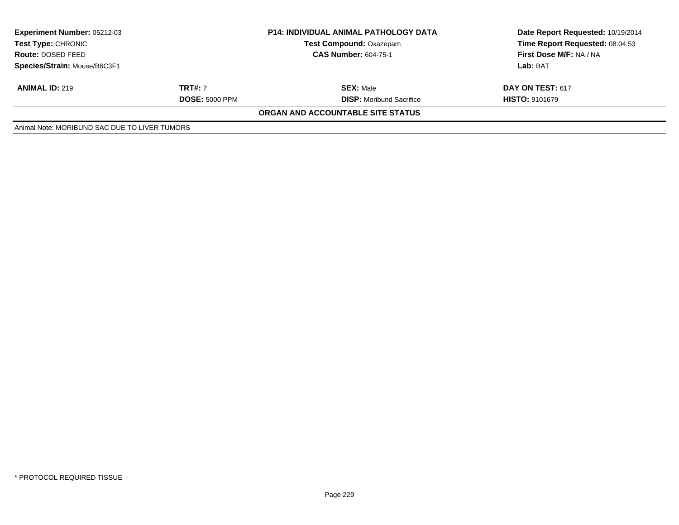| <b>Experiment Number: 05212-03</b><br>Test Type: CHRONIC |                       | <b>P14: INDIVIDUAL ANIMAL PATHOLOGY DATA</b><br><b>Test Compound: Oxazepam</b><br><b>CAS Number: 604-75-1</b> | Date Report Requested: 10/19/2014<br>Time Report Requested: 08:04:53<br>First Dose M/F: NA / NA |
|----------------------------------------------------------|-----------------------|---------------------------------------------------------------------------------------------------------------|-------------------------------------------------------------------------------------------------|
| Route: DOSED FEED                                        |                       |                                                                                                               |                                                                                                 |
| Species/Strain: Mouse/B6C3F1                             |                       |                                                                                                               | Lab: BAT                                                                                        |
| <b>ANIMAL ID: 219</b>                                    | <b>TRT#: 7</b>        | <b>SEX: Male</b>                                                                                              | <b>DAY ON TEST: 617</b>                                                                         |
|                                                          | <b>DOSE: 5000 PPM</b> | <b>DISP:</b> Moribund Sacrifice                                                                               | <b>HISTO: 9101679</b>                                                                           |
|                                                          |                       | ORGAN AND ACCOUNTABLE SITE STATUS                                                                             |                                                                                                 |
| Animal Note: MORIBUND SAC DUE TO LIVER TUMORS            |                       |                                                                                                               |                                                                                                 |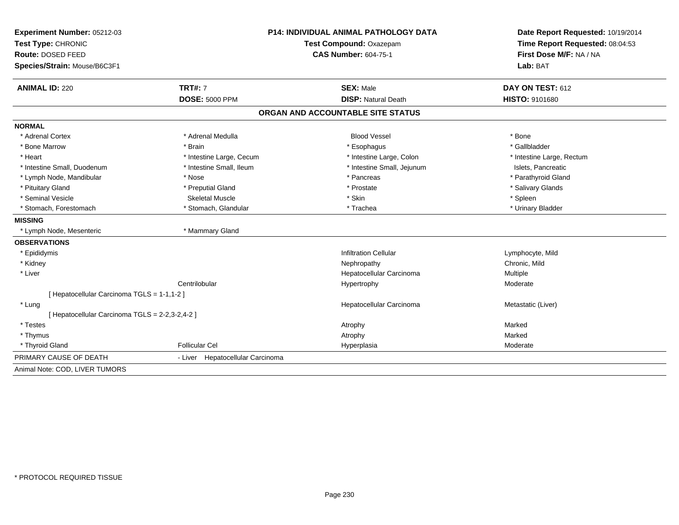| Experiment Number: 05212-03                   |                                  | P14: INDIVIDUAL ANIMAL PATHOLOGY DATA |                                 |  |
|-----------------------------------------------|----------------------------------|---------------------------------------|---------------------------------|--|
| Test Type: CHRONIC                            | Test Compound: Oxazepam          |                                       | Time Report Requested: 08:04:53 |  |
| Route: DOSED FEED                             |                                  | <b>CAS Number: 604-75-1</b>           | First Dose M/F: NA / NA         |  |
| Species/Strain: Mouse/B6C3F1                  |                                  |                                       | Lab: BAT                        |  |
| <b>ANIMAL ID: 220</b>                         | <b>TRT#: 7</b>                   | <b>SEX: Male</b>                      | DAY ON TEST: 612                |  |
|                                               | <b>DOSE: 5000 PPM</b>            | <b>DISP: Natural Death</b>            | HISTO: 9101680                  |  |
|                                               |                                  | ORGAN AND ACCOUNTABLE SITE STATUS     |                                 |  |
| <b>NORMAL</b>                                 |                                  |                                       |                                 |  |
| * Adrenal Cortex                              | * Adrenal Medulla                | <b>Blood Vessel</b>                   | * Bone                          |  |
| * Bone Marrow                                 | * Brain                          | * Esophagus                           | * Gallbladder                   |  |
| * Heart                                       | * Intestine Large, Cecum         | * Intestine Large, Colon              | * Intestine Large, Rectum       |  |
| * Intestine Small, Duodenum                   | * Intestine Small, Ileum         | * Intestine Small, Jejunum            | Islets, Pancreatic              |  |
| * Lymph Node, Mandibular                      | * Nose                           | * Pancreas                            | * Parathyroid Gland             |  |
| * Pituitary Gland                             | * Preputial Gland                | * Prostate                            | * Salivary Glands               |  |
| * Seminal Vesicle                             | <b>Skeletal Muscle</b>           | * Skin                                | * Spleen                        |  |
| * Stomach, Forestomach                        | * Stomach, Glandular             | * Trachea                             | * Urinary Bladder               |  |
| <b>MISSING</b>                                |                                  |                                       |                                 |  |
| * Lymph Node, Mesenteric                      | * Mammary Gland                  |                                       |                                 |  |
| <b>OBSERVATIONS</b>                           |                                  |                                       |                                 |  |
| * Epididymis                                  |                                  | <b>Infiltration Cellular</b>          | Lymphocyte, Mild                |  |
| * Kidney                                      |                                  | Nephropathy                           | Chronic, Mild                   |  |
| * Liver                                       |                                  | Hepatocellular Carcinoma              | Multiple                        |  |
|                                               | Centrilobular                    | Hypertrophy                           | Moderate                        |  |
| [Hepatocellular Carcinoma TGLS = 1-1,1-2]     |                                  |                                       |                                 |  |
| * Lung                                        |                                  | Hepatocellular Carcinoma              | Metastatic (Liver)              |  |
| [Hepatocellular Carcinoma TGLS = 2-2,3-2,4-2] |                                  |                                       |                                 |  |
| * Testes                                      |                                  | Atrophy                               | Marked                          |  |
| * Thymus                                      |                                  | Atrophy                               | Marked                          |  |
| * Thyroid Gland                               | <b>Follicular Cel</b>            | Hyperplasia                           | Moderate                        |  |
| PRIMARY CAUSE OF DEATH                        | - Liver Hepatocellular Carcinoma |                                       |                                 |  |
| Animal Note: COD, LIVER TUMORS                |                                  |                                       |                                 |  |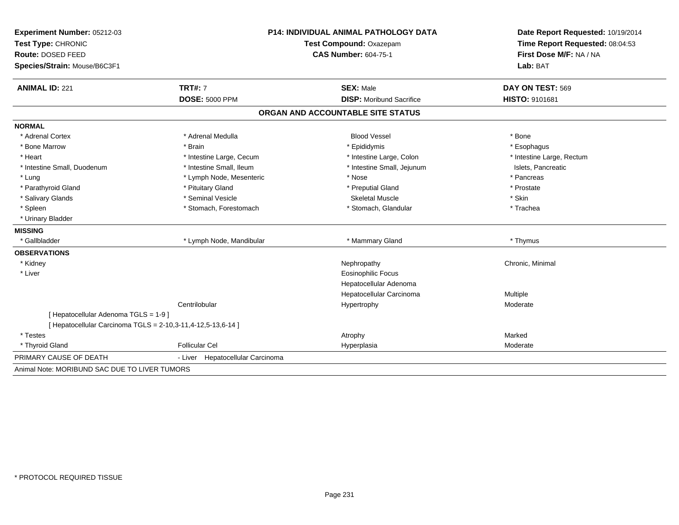| Experiment Number: 05212-03                                  | P14: INDIVIDUAL ANIMAL PATHOLOGY DATA |                                                        | Date Report Requested: 10/19/2014<br>Time Report Requested: 08:04:53 |  |
|--------------------------------------------------------------|---------------------------------------|--------------------------------------------------------|----------------------------------------------------------------------|--|
| Test Type: CHRONIC                                           |                                       | Test Compound: Oxazepam<br><b>CAS Number: 604-75-1</b> |                                                                      |  |
| Route: DOSED FEED                                            |                                       |                                                        |                                                                      |  |
| Species/Strain: Mouse/B6C3F1                                 |                                       |                                                        | Lab: BAT                                                             |  |
| <b>ANIMAL ID: 221</b>                                        | <b>TRT#: 7</b>                        | <b>SEX: Male</b>                                       | DAY ON TEST: 569                                                     |  |
|                                                              | <b>DOSE: 5000 PPM</b>                 | <b>DISP:</b> Moribund Sacrifice                        | HISTO: 9101681                                                       |  |
|                                                              |                                       | ORGAN AND ACCOUNTABLE SITE STATUS                      |                                                                      |  |
| <b>NORMAL</b>                                                |                                       |                                                        |                                                                      |  |
| * Adrenal Cortex                                             | * Adrenal Medulla                     | <b>Blood Vessel</b>                                    | * Bone                                                               |  |
| * Bone Marrow                                                | * Brain                               | * Epididymis                                           | * Esophagus                                                          |  |
| * Heart                                                      | * Intestine Large, Cecum              | * Intestine Large, Colon                               | * Intestine Large, Rectum                                            |  |
| * Intestine Small, Duodenum                                  | * Intestine Small, Ileum              | * Intestine Small, Jejunum                             | Islets, Pancreatic                                                   |  |
| * Lung                                                       | * Lymph Node, Mesenteric              | * Nose                                                 | * Pancreas                                                           |  |
| * Parathyroid Gland                                          | * Pituitary Gland                     | * Preputial Gland                                      | * Prostate                                                           |  |
| * Salivary Glands                                            | * Seminal Vesicle                     | <b>Skeletal Muscle</b>                                 | * Skin                                                               |  |
| * Spleen                                                     | * Stomach, Forestomach                | * Stomach, Glandular                                   | * Trachea                                                            |  |
| * Urinary Bladder                                            |                                       |                                                        |                                                                      |  |
| <b>MISSING</b>                                               |                                       |                                                        |                                                                      |  |
| * Gallbladder                                                | * Lymph Node, Mandibular              | * Mammary Gland                                        | * Thymus                                                             |  |
| <b>OBSERVATIONS</b>                                          |                                       |                                                        |                                                                      |  |
| * Kidney                                                     |                                       | Nephropathy                                            | Chronic, Minimal                                                     |  |
| * Liver                                                      |                                       | <b>Eosinophilic Focus</b>                              |                                                                      |  |
|                                                              |                                       | Hepatocellular Adenoma                                 |                                                                      |  |
|                                                              |                                       | Hepatocellular Carcinoma                               | <b>Multiple</b>                                                      |  |
|                                                              | Centrilobular                         | Hypertrophy                                            | Moderate                                                             |  |
| [ Hepatocellular Adenoma TGLS = 1-9 ]                        |                                       |                                                        |                                                                      |  |
| [ Hepatocellular Carcinoma TGLS = 2-10,3-11,4-12,5-13,6-14 ] |                                       |                                                        |                                                                      |  |
| * Testes                                                     |                                       | Atrophy                                                | Marked                                                               |  |
| * Thyroid Gland                                              | <b>Follicular Cel</b>                 | Hyperplasia                                            | Moderate                                                             |  |
| PRIMARY CAUSE OF DEATH                                       | - Liver Hepatocellular Carcinoma      |                                                        |                                                                      |  |
| Animal Note: MORIBUND SAC DUE TO LIVER TUMORS                |                                       |                                                        |                                                                      |  |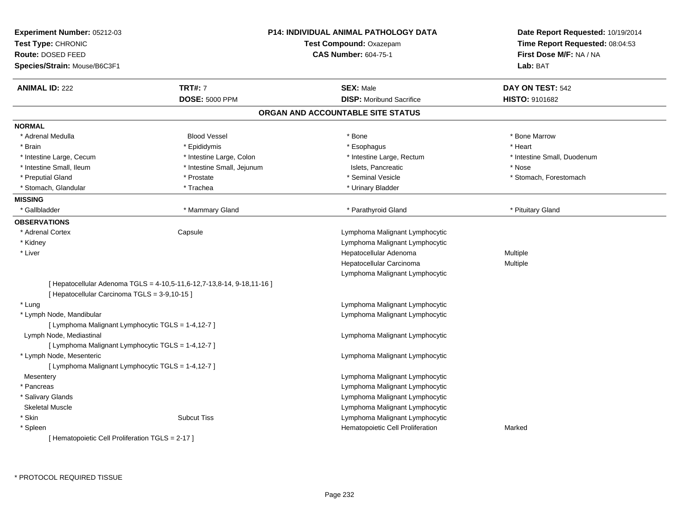| Experiment Number: 05212-03<br>Test Type: CHRONIC<br><b>Route: DOSED FEED</b><br>Species/Strain: Mouse/B6C3F1 |                                                                        | <b>P14: INDIVIDUAL ANIMAL PATHOLOGY DATA</b><br>Test Compound: Oxazepam<br><b>CAS Number: 604-75-1</b> | Date Report Requested: 10/19/2014<br>Time Report Requested: 08:04:53<br>First Dose M/F: NA / NA<br>Lab: BAT |
|---------------------------------------------------------------------------------------------------------------|------------------------------------------------------------------------|--------------------------------------------------------------------------------------------------------|-------------------------------------------------------------------------------------------------------------|
| <b>ANIMAL ID: 222</b>                                                                                         | <b>TRT#: 7</b>                                                         | <b>SEX: Male</b>                                                                                       | DAY ON TEST: 542                                                                                            |
|                                                                                                               | <b>DOSE: 5000 PPM</b>                                                  | <b>DISP:</b> Moribund Sacrifice                                                                        | <b>HISTO: 9101682</b>                                                                                       |
|                                                                                                               |                                                                        | ORGAN AND ACCOUNTABLE SITE STATUS                                                                      |                                                                                                             |
| <b>NORMAL</b>                                                                                                 |                                                                        |                                                                                                        |                                                                                                             |
| * Adrenal Medulla                                                                                             | <b>Blood Vessel</b>                                                    | $^{\star}$ Bone                                                                                        | * Bone Marrow                                                                                               |
| * Brain                                                                                                       | * Epididymis                                                           | * Esophagus                                                                                            | * Heart                                                                                                     |
| * Intestine Large, Cecum                                                                                      | * Intestine Large, Colon                                               | * Intestine Large, Rectum                                                                              | * Intestine Small, Duodenum                                                                                 |
| * Intestine Small, Ileum                                                                                      | * Intestine Small, Jejunum                                             | Islets, Pancreatic                                                                                     | * Nose                                                                                                      |
| * Preputial Gland                                                                                             | * Prostate                                                             | * Seminal Vesicle                                                                                      | * Stomach, Forestomach                                                                                      |
| * Stomach, Glandular                                                                                          | * Trachea                                                              | * Urinary Bladder                                                                                      |                                                                                                             |
| <b>MISSING</b>                                                                                                |                                                                        |                                                                                                        |                                                                                                             |
| * Gallbladder                                                                                                 | * Mammary Gland                                                        | * Parathyroid Gland                                                                                    | * Pituitary Gland                                                                                           |
| <b>OBSERVATIONS</b>                                                                                           |                                                                        |                                                                                                        |                                                                                                             |
| * Adrenal Cortex                                                                                              | Capsule                                                                | Lymphoma Malignant Lymphocytic                                                                         |                                                                                                             |
| * Kidney                                                                                                      |                                                                        | Lymphoma Malignant Lymphocytic                                                                         |                                                                                                             |
| * Liver                                                                                                       |                                                                        | Hepatocellular Adenoma                                                                                 | Multiple                                                                                                    |
|                                                                                                               |                                                                        | Hepatocellular Carcinoma                                                                               | Multiple                                                                                                    |
|                                                                                                               |                                                                        | Lymphoma Malignant Lymphocytic                                                                         |                                                                                                             |
| [ Hepatocellular Carcinoma TGLS = 3-9,10-15 ]                                                                 | [ Hepatocellular Adenoma TGLS = 4-10,5-11,6-12,7-13,8-14, 9-18,11-16 ] |                                                                                                        |                                                                                                             |
| * Lung                                                                                                        |                                                                        | Lymphoma Malignant Lymphocytic                                                                         |                                                                                                             |
| * Lymph Node, Mandibular                                                                                      |                                                                        | Lymphoma Malignant Lymphocytic                                                                         |                                                                                                             |
| [ Lymphoma Malignant Lymphocytic TGLS = 1-4,12-7 ]                                                            |                                                                        |                                                                                                        |                                                                                                             |
| Lymph Node, Mediastinal                                                                                       |                                                                        | Lymphoma Malignant Lymphocytic                                                                         |                                                                                                             |
| [ Lymphoma Malignant Lymphocytic TGLS = 1-4,12-7 ]                                                            |                                                                        |                                                                                                        |                                                                                                             |
| * Lymph Node, Mesenteric                                                                                      |                                                                        | Lymphoma Malignant Lymphocytic                                                                         |                                                                                                             |
| [ Lymphoma Malignant Lymphocytic TGLS = 1-4,12-7 ]                                                            |                                                                        |                                                                                                        |                                                                                                             |
| Mesentery                                                                                                     |                                                                        | Lymphoma Malignant Lymphocytic                                                                         |                                                                                                             |
| * Pancreas                                                                                                    |                                                                        | Lymphoma Malignant Lymphocytic                                                                         |                                                                                                             |
| * Salivary Glands                                                                                             |                                                                        | Lymphoma Malignant Lymphocytic                                                                         |                                                                                                             |
| <b>Skeletal Muscle</b>                                                                                        |                                                                        | Lymphoma Malignant Lymphocytic                                                                         |                                                                                                             |
| * Skin                                                                                                        | <b>Subcut Tiss</b>                                                     | Lymphoma Malignant Lymphocytic                                                                         |                                                                                                             |
| * Spleen                                                                                                      |                                                                        | Hematopoietic Cell Proliferation                                                                       | Marked                                                                                                      |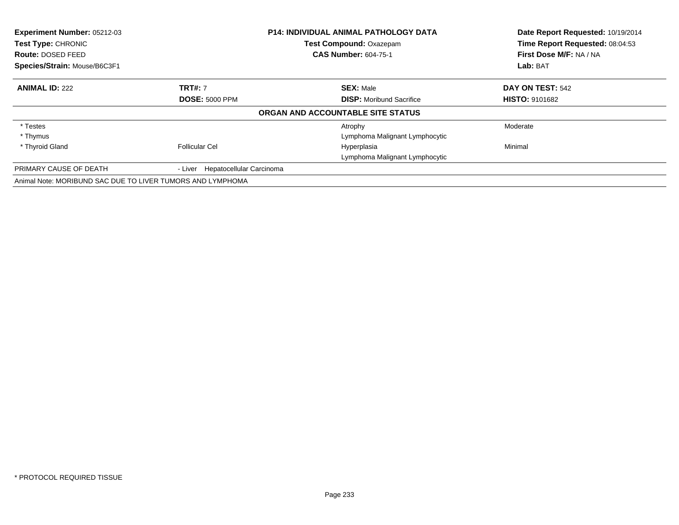| <b>Experiment Number: 05212-03</b><br>Test Type: CHRONIC   |                                  | <b>P14: INDIVIDUAL ANIMAL PATHOLOGY DATA</b> | Date Report Requested: 10/19/2014 |
|------------------------------------------------------------|----------------------------------|----------------------------------------------|-----------------------------------|
|                                                            |                                  | Test Compound: Oxazepam                      | Time Report Requested: 08:04:53   |
| Route: DOSED FEED                                          |                                  | <b>CAS Number: 604-75-1</b>                  | First Dose M/F: NA / NA           |
| Species/Strain: Mouse/B6C3F1                               |                                  |                                              | Lab: BAT                          |
| <b>ANIMAL ID: 222</b>                                      | <b>TRT#: 7</b>                   | <b>SEX: Male</b>                             | DAY ON TEST: 542                  |
|                                                            | <b>DOSE: 5000 PPM</b>            | <b>DISP:</b> Moribund Sacrifice              | <b>HISTO: 9101682</b>             |
|                                                            |                                  | ORGAN AND ACCOUNTABLE SITE STATUS            |                                   |
| * Testes                                                   |                                  | Atrophy                                      | Moderate                          |
| * Thymus                                                   |                                  | Lymphoma Malignant Lymphocytic               |                                   |
| * Thyroid Gland                                            | <b>Follicular Cel</b>            | Hyperplasia                                  | Minimal                           |
|                                                            |                                  | Lymphoma Malignant Lymphocytic               |                                   |
| PRIMARY CAUSE OF DEATH                                     | - Liver Hepatocellular Carcinoma |                                              |                                   |
| Animal Note: MORIBUND SAC DUE TO LIVER TUMORS AND LYMPHOMA |                                  |                                              |                                   |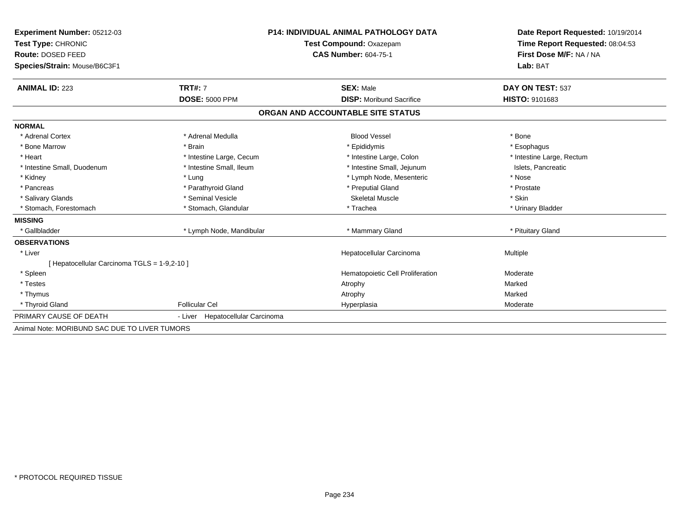| Experiment Number: 05212-03                   |                                     | <b>P14: INDIVIDUAL ANIMAL PATHOLOGY DATA</b> | Date Report Requested: 10/19/2014 |  |
|-----------------------------------------------|-------------------------------------|----------------------------------------------|-----------------------------------|--|
| Test Type: CHRONIC                            |                                     | Test Compound: Oxazepam                      | Time Report Requested: 08:04:53   |  |
| Route: DOSED FEED                             |                                     | <b>CAS Number: 604-75-1</b>                  | First Dose M/F: NA / NA           |  |
| Species/Strain: Mouse/B6C3F1                  |                                     |                                              | Lab: BAT                          |  |
|                                               |                                     |                                              |                                   |  |
| <b>ANIMAL ID: 223</b>                         | <b>TRT#: 7</b>                      | <b>SEX: Male</b>                             | DAY ON TEST: 537                  |  |
|                                               | <b>DOSE: 5000 PPM</b>               | <b>DISP:</b> Moribund Sacrifice              | HISTO: 9101683                    |  |
|                                               |                                     | ORGAN AND ACCOUNTABLE SITE STATUS            |                                   |  |
| <b>NORMAL</b>                                 |                                     |                                              |                                   |  |
| * Adrenal Cortex                              | * Adrenal Medulla                   | <b>Blood Vessel</b>                          | * Bone                            |  |
| * Bone Marrow                                 | * Brain                             | * Epididymis                                 | * Esophagus                       |  |
| * Heart                                       | * Intestine Large, Cecum            | * Intestine Large, Colon                     | * Intestine Large, Rectum         |  |
| * Intestine Small, Duodenum                   | * Intestine Small, Ileum            | * Intestine Small, Jejunum                   | Islets, Pancreatic                |  |
| * Kidney                                      | * Lung                              | * Lymph Node, Mesenteric                     | * Nose                            |  |
| * Pancreas                                    | * Parathyroid Gland                 | * Preputial Gland                            | * Prostate                        |  |
| * Salivary Glands                             | * Seminal Vesicle                   | <b>Skeletal Muscle</b>                       | * Skin                            |  |
| * Stomach, Forestomach                        | * Stomach, Glandular                | * Trachea                                    | * Urinary Bladder                 |  |
| <b>MISSING</b>                                |                                     |                                              |                                   |  |
| * Gallbladder                                 | * Lymph Node, Mandibular            | * Mammary Gland                              | * Pituitary Gland                 |  |
| <b>OBSERVATIONS</b>                           |                                     |                                              |                                   |  |
| * Liver                                       |                                     | Hepatocellular Carcinoma                     | Multiple                          |  |
| [ Hepatocellular Carcinoma TGLS = 1-9,2-10 ]  |                                     |                                              |                                   |  |
| * Spleen                                      |                                     | Hematopoietic Cell Proliferation             | Moderate                          |  |
| * Testes                                      |                                     | Atrophy                                      | Marked                            |  |
| * Thymus                                      |                                     | Atrophy                                      | Marked                            |  |
| * Thyroid Gland                               | <b>Follicular Cel</b>               | Hyperplasia                                  | Moderate                          |  |
| PRIMARY CAUSE OF DEATH                        | Hepatocellular Carcinoma<br>- Liver |                                              |                                   |  |
| Animal Note: MORIBUND SAC DUE TO LIVER TUMORS |                                     |                                              |                                   |  |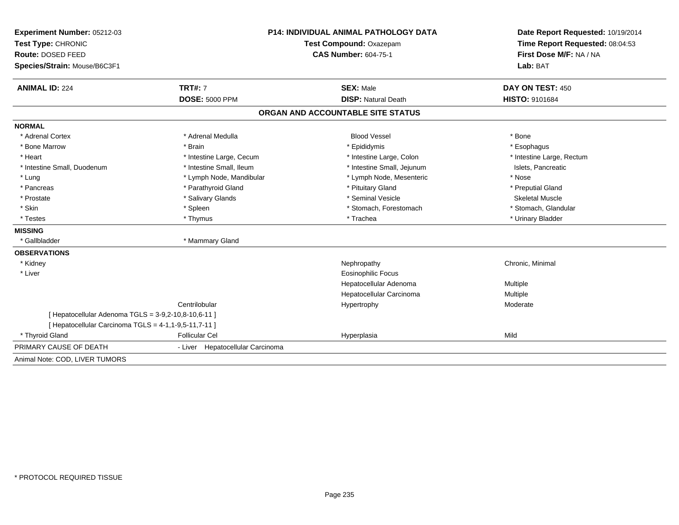| Experiment Number: 05212-03                                                                                   |                                  | <b>P14: INDIVIDUAL ANIMAL PATHOLOGY DATA</b> |                                                                      |  |
|---------------------------------------------------------------------------------------------------------------|----------------------------------|----------------------------------------------|----------------------------------------------------------------------|--|
| Test Type: CHRONIC                                                                                            | Test Compound: Oxazepam          |                                              | Date Report Requested: 10/19/2014<br>Time Report Requested: 08:04:53 |  |
| Route: DOSED FEED                                                                                             |                                  | <b>CAS Number: 604-75-1</b>                  |                                                                      |  |
| Species/Strain: Mouse/B6C3F1                                                                                  |                                  |                                              | First Dose M/F: NA / NA<br>Lab: BAT                                  |  |
| <b>ANIMAL ID: 224</b>                                                                                         | <b>TRT#: 7</b>                   | <b>SEX: Male</b>                             | DAY ON TEST: 450                                                     |  |
|                                                                                                               | <b>DOSE: 5000 PPM</b>            | <b>DISP: Natural Death</b>                   | <b>HISTO: 9101684</b>                                                |  |
|                                                                                                               |                                  | ORGAN AND ACCOUNTABLE SITE STATUS            |                                                                      |  |
| <b>NORMAL</b>                                                                                                 |                                  |                                              |                                                                      |  |
| * Adrenal Cortex                                                                                              | * Adrenal Medulla                | <b>Blood Vessel</b>                          | * Bone                                                               |  |
| * Bone Marrow                                                                                                 | * Brain                          | * Epididymis                                 | * Esophagus                                                          |  |
| * Heart                                                                                                       | * Intestine Large, Cecum         | * Intestine Large, Colon                     | * Intestine Large, Rectum                                            |  |
| * Intestine Small, Duodenum                                                                                   | * Intestine Small, Ileum         | * Intestine Small, Jejunum                   | Islets, Pancreatic                                                   |  |
| * Lung                                                                                                        | * Lymph Node, Mandibular         | * Lymph Node, Mesenteric                     | * Nose                                                               |  |
| * Pancreas                                                                                                    | * Parathyroid Gland              | * Pituitary Gland                            | * Preputial Gland                                                    |  |
| * Prostate                                                                                                    | * Salivary Glands                | * Seminal Vesicle                            | <b>Skeletal Muscle</b>                                               |  |
| * Skin                                                                                                        | * Spleen                         | * Stomach, Forestomach                       | * Stomach, Glandular                                                 |  |
| * Testes                                                                                                      | * Thymus                         | * Trachea                                    | * Urinary Bladder                                                    |  |
| <b>MISSING</b>                                                                                                |                                  |                                              |                                                                      |  |
| * Gallbladder                                                                                                 | * Mammary Gland                  |                                              |                                                                      |  |
| <b>OBSERVATIONS</b>                                                                                           |                                  |                                              |                                                                      |  |
| * Kidney                                                                                                      |                                  | Nephropathy                                  | Chronic, Minimal                                                     |  |
| * Liver                                                                                                       |                                  | <b>Eosinophilic Focus</b>                    |                                                                      |  |
|                                                                                                               |                                  | Hepatocellular Adenoma                       | Multiple                                                             |  |
|                                                                                                               |                                  | Hepatocellular Carcinoma                     | Multiple                                                             |  |
|                                                                                                               | Centrilobular                    | Hypertrophy                                  | Moderate                                                             |  |
| [ Hepatocellular Adenoma TGLS = 3-9,2-10,8-10,6-11 ]<br>[ Hepatocellular Carcinoma TGLS = 4-1,1-9,5-11,7-11 ] |                                  |                                              |                                                                      |  |
| * Thyroid Gland                                                                                               | <b>Follicular Cel</b>            | Hyperplasia                                  | Mild                                                                 |  |
| PRIMARY CAUSE OF DEATH                                                                                        | - Liver Hepatocellular Carcinoma |                                              |                                                                      |  |
| Animal Note: COD, LIVER TUMORS                                                                                |                                  |                                              |                                                                      |  |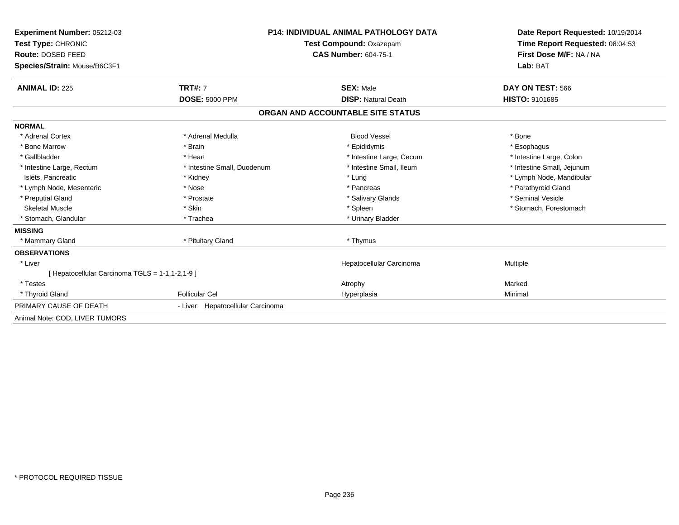| <b>Experiment Number: 05212-03</b>              | <b>P14: INDIVIDUAL ANIMAL PATHOLOGY DATA</b> |                                   | Date Report Requested: 10/19/2014                          |  |
|-------------------------------------------------|----------------------------------------------|-----------------------------------|------------------------------------------------------------|--|
| Test Type: CHRONIC<br><b>Route: DOSED FEED</b>  |                                              | Test Compound: Oxazepam           | Time Report Requested: 08:04:53<br>First Dose M/F: NA / NA |  |
|                                                 |                                              | <b>CAS Number: 604-75-1</b>       |                                                            |  |
| Species/Strain: Mouse/B6C3F1                    |                                              |                                   | Lab: BAT                                                   |  |
| <b>ANIMAL ID: 225</b>                           | <b>TRT#: 7</b>                               | <b>SEX: Male</b>                  | DAY ON TEST: 566                                           |  |
|                                                 | <b>DOSE: 5000 PPM</b>                        | <b>DISP: Natural Death</b>        | <b>HISTO: 9101685</b>                                      |  |
|                                                 |                                              | ORGAN AND ACCOUNTABLE SITE STATUS |                                                            |  |
| <b>NORMAL</b>                                   |                                              |                                   |                                                            |  |
| * Adrenal Cortex                                | * Adrenal Medulla                            | <b>Blood Vessel</b>               | * Bone                                                     |  |
| * Bone Marrow                                   | * Brain                                      | * Epididymis                      | * Esophagus                                                |  |
| * Gallbladder                                   | * Heart                                      | * Intestine Large, Cecum          | * Intestine Large, Colon                                   |  |
| * Intestine Large, Rectum                       | * Intestine Small, Duodenum                  | * Intestine Small, Ileum          | * Intestine Small, Jejunum                                 |  |
| Islets, Pancreatic                              | * Kidney                                     | * Lung                            | * Lymph Node, Mandibular                                   |  |
| * Lymph Node, Mesenteric                        | * Nose                                       | * Pancreas                        | * Parathyroid Gland                                        |  |
| * Preputial Gland                               | * Prostate                                   | * Salivary Glands                 | * Seminal Vesicle                                          |  |
| <b>Skeletal Muscle</b>                          | * Skin                                       | * Spleen                          | * Stomach, Forestomach                                     |  |
| * Stomach, Glandular                            | * Trachea                                    | * Urinary Bladder                 |                                                            |  |
| <b>MISSING</b>                                  |                                              |                                   |                                                            |  |
| * Mammary Gland                                 | * Pituitary Gland                            | * Thymus                          |                                                            |  |
| <b>OBSERVATIONS</b>                             |                                              |                                   |                                                            |  |
| * Liver                                         |                                              | Hepatocellular Carcinoma          | Multiple                                                   |  |
| [ Hepatocellular Carcinoma TGLS = 1-1,1-2,1-9 ] |                                              |                                   |                                                            |  |
| * Testes                                        |                                              | Atrophy                           | Marked                                                     |  |
| * Thyroid Gland                                 | <b>Follicular Cel</b>                        | Hyperplasia                       | Minimal                                                    |  |
| PRIMARY CAUSE OF DEATH                          | - Liver Hepatocellular Carcinoma             |                                   |                                                            |  |
| Animal Note: COD, LIVER TUMORS                  |                                              |                                   |                                                            |  |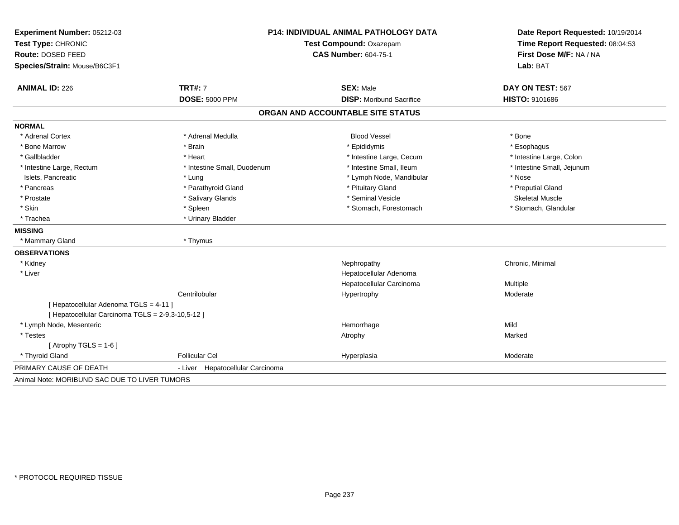| Experiment Number: 05212-03                       | <b>P14: INDIVIDUAL ANIMAL PATHOLOGY DATA</b><br>Test Compound: Oxazepam |                                   | Date Report Requested: 10/19/2014<br>Time Report Requested: 08:04:53 |
|---------------------------------------------------|-------------------------------------------------------------------------|-----------------------------------|----------------------------------------------------------------------|
| Test Type: CHRONIC                                |                                                                         |                                   |                                                                      |
| Route: DOSED FEED                                 |                                                                         | <b>CAS Number: 604-75-1</b>       | First Dose M/F: NA / NA                                              |
| Species/Strain: Mouse/B6C3F1                      |                                                                         |                                   | Lab: BAT                                                             |
| <b>ANIMAL ID: 226</b>                             | <b>TRT#: 7</b>                                                          | <b>SEX: Male</b>                  | DAY ON TEST: 567                                                     |
|                                                   | <b>DOSE: 5000 PPM</b>                                                   | <b>DISP:</b> Moribund Sacrifice   | <b>HISTO: 9101686</b>                                                |
|                                                   |                                                                         | ORGAN AND ACCOUNTABLE SITE STATUS |                                                                      |
| <b>NORMAL</b>                                     |                                                                         |                                   |                                                                      |
| * Adrenal Cortex                                  | * Adrenal Medulla                                                       | <b>Blood Vessel</b>               | * Bone                                                               |
| * Bone Marrow                                     | * Brain                                                                 | * Epididymis                      | * Esophagus                                                          |
| * Gallbladder                                     | * Heart                                                                 | * Intestine Large, Cecum          | * Intestine Large, Colon                                             |
| * Intestine Large, Rectum                         | * Intestine Small, Duodenum                                             | * Intestine Small. Ileum          | * Intestine Small, Jejunum                                           |
| Islets, Pancreatic                                | * Lung                                                                  | * Lymph Node, Mandibular          | * Nose                                                               |
| * Pancreas                                        | * Parathyroid Gland                                                     | * Pituitary Gland                 | * Preputial Gland                                                    |
| * Prostate                                        | * Salivary Glands                                                       | * Seminal Vesicle                 | <b>Skeletal Muscle</b>                                               |
| * Skin                                            | * Spleen                                                                | * Stomach, Forestomach            | * Stomach, Glandular                                                 |
| * Trachea                                         | * Urinary Bladder                                                       |                                   |                                                                      |
| <b>MISSING</b>                                    |                                                                         |                                   |                                                                      |
| * Mammary Gland                                   | * Thymus                                                                |                                   |                                                                      |
| <b>OBSERVATIONS</b>                               |                                                                         |                                   |                                                                      |
| * Kidney                                          |                                                                         | Nephropathy                       | Chronic, Minimal                                                     |
| * Liver                                           |                                                                         | Hepatocellular Adenoma            |                                                                      |
|                                                   |                                                                         | Hepatocellular Carcinoma          | Multiple                                                             |
|                                                   | Centrilobular                                                           | Hypertrophy                       | Moderate                                                             |
| [ Hepatocellular Adenoma TGLS = 4-11 ]            |                                                                         |                                   |                                                                      |
| [ Hepatocellular Carcinoma TGLS = 2-9,3-10,5-12 ] |                                                                         |                                   |                                                                      |
| * Lymph Node, Mesenteric                          |                                                                         | Hemorrhage                        | Mild                                                                 |
| * Testes                                          |                                                                         | Atrophy                           | Marked                                                               |
| [Atrophy TGLS = $1-6$ ]                           |                                                                         |                                   |                                                                      |
| * Thyroid Gland                                   | <b>Follicular Cel</b>                                                   | Hyperplasia                       | Moderate                                                             |
| PRIMARY CAUSE OF DEATH                            | Hepatocellular Carcinoma<br>- Liver                                     |                                   |                                                                      |
| Animal Note: MORIBUND SAC DUE TO LIVER TUMORS     |                                                                         |                                   |                                                                      |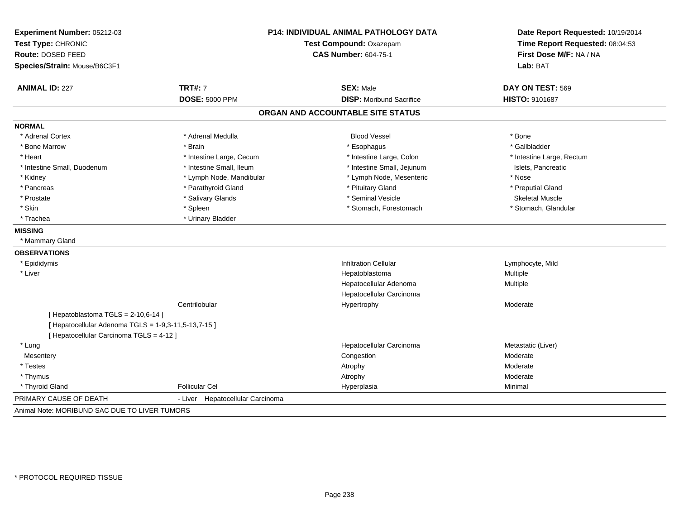| Experiment Number: 05212-03                          | <b>P14: INDIVIDUAL ANIMAL PATHOLOGY DATA</b> |                                   | Date Report Requested: 10/19/2014<br>Time Report Requested: 08:04:53 |
|------------------------------------------------------|----------------------------------------------|-----------------------------------|----------------------------------------------------------------------|
| Test Type: CHRONIC                                   |                                              | Test Compound: Oxazepam           |                                                                      |
| Route: DOSED FEED                                    |                                              | <b>CAS Number: 604-75-1</b>       | First Dose M/F: NA / NA<br>Lab: BAT                                  |
| Species/Strain: Mouse/B6C3F1                         |                                              |                                   |                                                                      |
| <b>ANIMAL ID: 227</b>                                | <b>TRT#: 7</b>                               | <b>SEX: Male</b>                  | DAY ON TEST: 569                                                     |
|                                                      | <b>DOSE: 5000 PPM</b>                        | <b>DISP:</b> Moribund Sacrifice   | <b>HISTO: 9101687</b>                                                |
|                                                      |                                              | ORGAN AND ACCOUNTABLE SITE STATUS |                                                                      |
| <b>NORMAL</b>                                        |                                              |                                   |                                                                      |
| * Adrenal Cortex                                     | * Adrenal Medulla                            | <b>Blood Vessel</b>               | * Bone                                                               |
| * Bone Marrow                                        | * Brain                                      | * Esophagus                       | * Gallbladder                                                        |
| * Heart                                              | * Intestine Large, Cecum                     | * Intestine Large, Colon          | * Intestine Large, Rectum                                            |
| * Intestine Small, Duodenum                          | * Intestine Small, Ileum                     | * Intestine Small, Jejunum        | Islets, Pancreatic                                                   |
| * Kidney                                             | * Lymph Node, Mandibular                     | * Lymph Node, Mesenteric          | * Nose                                                               |
| * Pancreas                                           | * Parathyroid Gland                          | * Pituitary Gland                 | * Preputial Gland                                                    |
| * Prostate                                           | * Salivary Glands                            | * Seminal Vesicle                 | <b>Skeletal Muscle</b>                                               |
| * Skin                                               | * Spleen                                     | * Stomach, Forestomach            | * Stomach, Glandular                                                 |
| * Trachea                                            | * Urinary Bladder                            |                                   |                                                                      |
| <b>MISSING</b>                                       |                                              |                                   |                                                                      |
| * Mammary Gland                                      |                                              |                                   |                                                                      |
| <b>OBSERVATIONS</b>                                  |                                              |                                   |                                                                      |
| * Epididymis                                         |                                              | <b>Infiltration Cellular</b>      | Lymphocyte, Mild                                                     |
| * Liver                                              |                                              | Hepatoblastoma                    | Multiple                                                             |
|                                                      |                                              | Hepatocellular Adenoma            | Multiple                                                             |
|                                                      |                                              | Hepatocellular Carcinoma          |                                                                      |
|                                                      | Centrilobular                                | Hypertrophy                       | Moderate                                                             |
| [Hepatoblastoma TGLS = 2-10,6-14]                    |                                              |                                   |                                                                      |
| [ Hepatocellular Adenoma TGLS = 1-9,3-11,5-13,7-15 ] |                                              |                                   |                                                                      |
| [ Hepatocellular Carcinoma TGLS = 4-12 ]             |                                              |                                   |                                                                      |
| * Lung                                               |                                              | Hepatocellular Carcinoma          | Metastatic (Liver)                                                   |
| Mesentery                                            |                                              | Congestion                        | Moderate                                                             |
| * Testes                                             |                                              | Atrophy                           | Moderate                                                             |
| * Thymus                                             |                                              | Atrophy                           | Moderate                                                             |
| * Thyroid Gland                                      | <b>Follicular Cel</b>                        | Hyperplasia                       | Minimal                                                              |
| PRIMARY CAUSE OF DEATH                               | Hepatocellular Carcinoma<br>- Liver          |                                   |                                                                      |
| Animal Note: MORIBUND SAC DUE TO LIVER TUMORS        |                                              |                                   |                                                                      |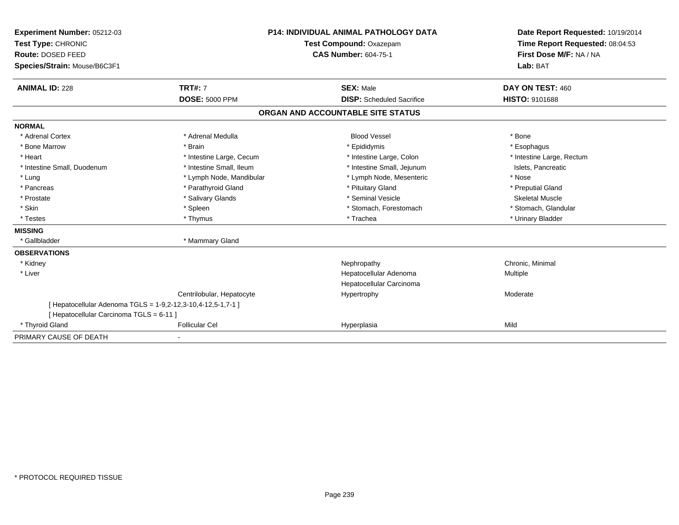| Experiment Number: 05212-03                                  | <b>P14: INDIVIDUAL ANIMAL PATHOLOGY DATA</b><br>Test Compound: Oxazepam |                                   | Date Report Requested: 10/19/2014 |
|--------------------------------------------------------------|-------------------------------------------------------------------------|-----------------------------------|-----------------------------------|
| Test Type: CHRONIC                                           |                                                                         |                                   | Time Report Requested: 08:04:53   |
| Route: DOSED FEED                                            |                                                                         | <b>CAS Number: 604-75-1</b>       | First Dose M/F: NA / NA           |
| Species/Strain: Mouse/B6C3F1                                 |                                                                         |                                   | Lab: BAT                          |
|                                                              |                                                                         |                                   |                                   |
| <b>ANIMAL ID: 228</b>                                        | <b>TRT#: 7</b>                                                          | <b>SEX: Male</b>                  | DAY ON TEST: 460                  |
|                                                              | <b>DOSE: 5000 PPM</b>                                                   | <b>DISP:</b> Scheduled Sacrifice  | <b>HISTO: 9101688</b>             |
|                                                              |                                                                         | ORGAN AND ACCOUNTABLE SITE STATUS |                                   |
| <b>NORMAL</b>                                                |                                                                         |                                   |                                   |
| * Adrenal Cortex                                             | * Adrenal Medulla                                                       | <b>Blood Vessel</b>               | * Bone                            |
| * Bone Marrow                                                | * Brain                                                                 | * Epididymis                      | * Esophagus                       |
| * Heart                                                      | * Intestine Large, Cecum                                                | * Intestine Large, Colon          | * Intestine Large, Rectum         |
| * Intestine Small, Duodenum                                  | * Intestine Small, Ileum                                                | * Intestine Small, Jejunum        | Islets, Pancreatic                |
| * Lung                                                       | * Lymph Node, Mandibular                                                | * Lymph Node, Mesenteric          | * Nose                            |
| * Pancreas                                                   | * Parathyroid Gland                                                     | * Pituitary Gland                 | * Preputial Gland                 |
| * Prostate                                                   | * Salivary Glands                                                       | * Seminal Vesicle                 | <b>Skeletal Muscle</b>            |
| * Skin                                                       | * Spleen                                                                | * Stomach, Forestomach            | * Stomach, Glandular              |
| * Testes                                                     | * Thymus                                                                | * Trachea                         | * Urinary Bladder                 |
| <b>MISSING</b>                                               |                                                                         |                                   |                                   |
| * Gallbladder                                                | * Mammary Gland                                                         |                                   |                                   |
| <b>OBSERVATIONS</b>                                          |                                                                         |                                   |                                   |
| * Kidney                                                     |                                                                         | Nephropathy                       | Chronic, Minimal                  |
| * Liver                                                      |                                                                         | Hepatocellular Adenoma            | <b>Multiple</b>                   |
|                                                              |                                                                         | Hepatocellular Carcinoma          |                                   |
|                                                              | Centrilobular, Hepatocyte                                               | Hypertrophy                       | Moderate                          |
| [ Hepatocellular Adenoma TGLS = 1-9,2-12,3-10,4-12,5-1,7-1 ] |                                                                         |                                   |                                   |
| [ Hepatocellular Carcinoma TGLS = 6-11 ]                     |                                                                         |                                   |                                   |
| * Thyroid Gland                                              | <b>Follicular Cel</b>                                                   | Hyperplasia                       | Mild                              |
| PRIMARY CAUSE OF DEATH                                       |                                                                         |                                   |                                   |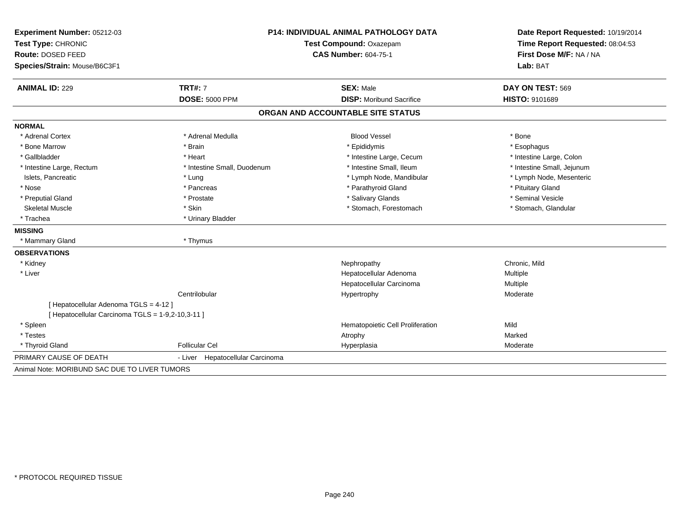| Experiment Number: 05212-03                       | <b>P14: INDIVIDUAL ANIMAL PATHOLOGY DATA</b><br>Test Compound: Oxazepam |                                   | Date Report Requested: 10/19/2014<br>Time Report Requested: 08:04:53 |
|---------------------------------------------------|-------------------------------------------------------------------------|-----------------------------------|----------------------------------------------------------------------|
| Test Type: CHRONIC                                |                                                                         |                                   |                                                                      |
| Route: DOSED FEED                                 |                                                                         | <b>CAS Number: 604-75-1</b>       | First Dose M/F: NA / NA                                              |
| Species/Strain: Mouse/B6C3F1                      |                                                                         |                                   | Lab: BAT                                                             |
| <b>ANIMAL ID: 229</b>                             | <b>TRT#: 7</b>                                                          | <b>SEX: Male</b>                  | DAY ON TEST: 569                                                     |
|                                                   | <b>DOSE: 5000 PPM</b>                                                   | <b>DISP:</b> Moribund Sacrifice   | <b>HISTO: 9101689</b>                                                |
|                                                   |                                                                         | ORGAN AND ACCOUNTABLE SITE STATUS |                                                                      |
| <b>NORMAL</b>                                     |                                                                         |                                   |                                                                      |
| * Adrenal Cortex                                  | * Adrenal Medulla                                                       | <b>Blood Vessel</b>               | * Bone                                                               |
| * Bone Marrow                                     | * Brain                                                                 | * Epididymis                      | * Esophagus                                                          |
| * Gallbladder                                     | * Heart                                                                 | * Intestine Large, Cecum          | * Intestine Large, Colon                                             |
| * Intestine Large, Rectum                         | * Intestine Small, Duodenum                                             | * Intestine Small. Ileum          | * Intestine Small, Jejunum                                           |
| Islets, Pancreatic                                | * Lung                                                                  | * Lymph Node, Mandibular          | * Lymph Node, Mesenteric                                             |
| * Nose                                            | * Pancreas                                                              | * Parathyroid Gland               | * Pituitary Gland                                                    |
| * Preputial Gland                                 | * Prostate                                                              | * Salivary Glands                 | * Seminal Vesicle                                                    |
| <b>Skeletal Muscle</b>                            | * Skin                                                                  | * Stomach, Forestomach            | * Stomach, Glandular                                                 |
| * Trachea                                         | * Urinary Bladder                                                       |                                   |                                                                      |
| <b>MISSING</b>                                    |                                                                         |                                   |                                                                      |
| * Mammary Gland                                   | * Thymus                                                                |                                   |                                                                      |
| <b>OBSERVATIONS</b>                               |                                                                         |                                   |                                                                      |
| * Kidney                                          |                                                                         | Nephropathy                       | Chronic, Mild                                                        |
| * Liver                                           |                                                                         | Hepatocellular Adenoma            | Multiple                                                             |
|                                                   |                                                                         | Hepatocellular Carcinoma          | Multiple                                                             |
|                                                   | Centrilobular                                                           | Hypertrophy                       | Moderate                                                             |
| [ Hepatocellular Adenoma TGLS = 4-12 ]            |                                                                         |                                   |                                                                      |
| [ Hepatocellular Carcinoma TGLS = 1-9,2-10,3-11 ] |                                                                         |                                   |                                                                      |
| * Spleen                                          |                                                                         | Hematopoietic Cell Proliferation  | Mild                                                                 |
| * Testes                                          |                                                                         | Atrophy                           | Marked                                                               |
| * Thyroid Gland                                   | <b>Follicular Cel</b>                                                   | Hyperplasia                       | Moderate                                                             |
| PRIMARY CAUSE OF DEATH                            | - Liver Hepatocellular Carcinoma                                        |                                   |                                                                      |
| Animal Note: MORIBUND SAC DUE TO LIVER TUMORS     |                                                                         |                                   |                                                                      |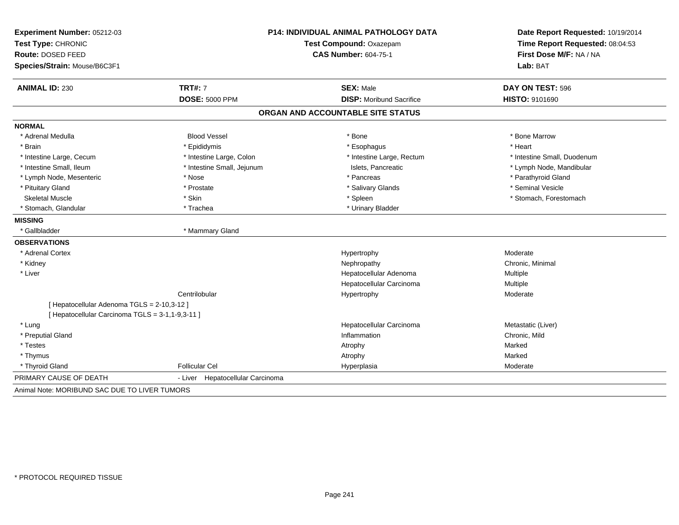| Experiment Number: 05212-03                      | <b>P14: INDIVIDUAL ANIMAL PATHOLOGY DATA</b> |                                   | Date Report Requested: 10/19/2014 |
|--------------------------------------------------|----------------------------------------------|-----------------------------------|-----------------------------------|
| Test Type: CHRONIC                               |                                              | Test Compound: Oxazepam           | Time Report Requested: 08:04:53   |
| Route: DOSED FEED                                |                                              | <b>CAS Number: 604-75-1</b>       | First Dose M/F: NA / NA           |
| Species/Strain: Mouse/B6C3F1                     |                                              |                                   | Lab: BAT                          |
| <b>ANIMAL ID: 230</b>                            | <b>TRT#: 7</b>                               | <b>SEX: Male</b>                  | DAY ON TEST: 596                  |
|                                                  | <b>DOSE: 5000 PPM</b>                        | <b>DISP:</b> Moribund Sacrifice   | HISTO: 9101690                    |
|                                                  |                                              | ORGAN AND ACCOUNTABLE SITE STATUS |                                   |
| <b>NORMAL</b>                                    |                                              |                                   |                                   |
| * Adrenal Medulla                                | <b>Blood Vessel</b>                          | * Bone                            | * Bone Marrow                     |
| * Brain                                          | * Epididymis                                 | * Esophagus                       | * Heart                           |
| * Intestine Large, Cecum                         | * Intestine Large, Colon                     | * Intestine Large, Rectum         | * Intestine Small, Duodenum       |
| * Intestine Small, Ileum                         | * Intestine Small, Jejunum                   | Islets, Pancreatic                | * Lymph Node, Mandibular          |
| * Lymph Node, Mesenteric                         | * Nose                                       | * Pancreas                        | * Parathyroid Gland               |
| * Pituitary Gland                                | * Prostate                                   | * Salivary Glands                 | * Seminal Vesicle                 |
| <b>Skeletal Muscle</b>                           | * Skin                                       | * Spleen                          | * Stomach, Forestomach            |
| * Stomach, Glandular                             | * Trachea                                    | * Urinary Bladder                 |                                   |
| <b>MISSING</b>                                   |                                              |                                   |                                   |
| * Gallbladder                                    | * Mammary Gland                              |                                   |                                   |
| <b>OBSERVATIONS</b>                              |                                              |                                   |                                   |
| * Adrenal Cortex                                 |                                              | Hypertrophy                       | Moderate                          |
| * Kidney                                         |                                              | Nephropathy                       | Chronic, Minimal                  |
| * Liver                                          |                                              | Hepatocellular Adenoma            | Multiple                          |
|                                                  |                                              | Hepatocellular Carcinoma          | Multiple                          |
|                                                  | Centrilobular                                | Hypertrophy                       | Moderate                          |
| [ Hepatocellular Adenoma TGLS = 2-10,3-12 ]      |                                              |                                   |                                   |
| [ Hepatocellular Carcinoma TGLS = 3-1,1-9,3-11 ] |                                              |                                   |                                   |
| * Lung                                           |                                              | Hepatocellular Carcinoma          | Metastatic (Liver)                |
| * Preputial Gland                                |                                              | Inflammation                      | Chronic, Mild                     |
| * Testes                                         |                                              | Atrophy                           | Marked                            |
| * Thymus                                         |                                              | Atrophy                           | Marked                            |
| * Thyroid Gland                                  | <b>Follicular Cel</b>                        | Hyperplasia                       | Moderate                          |
| PRIMARY CAUSE OF DEATH                           | - Liver Hepatocellular Carcinoma             |                                   |                                   |
| Animal Note: MORIBUND SAC DUE TO LIVER TUMORS    |                                              |                                   |                                   |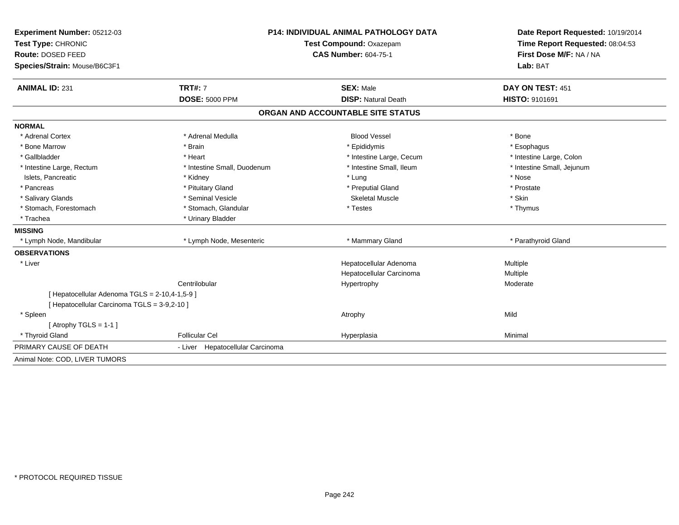| Experiment Number: 05212-03                    | <b>P14: INDIVIDUAL ANIMAL PATHOLOGY DATA</b> |                                   | Date Report Requested: 10/19/2014                          |
|------------------------------------------------|----------------------------------------------|-----------------------------------|------------------------------------------------------------|
| Test Type: CHRONIC                             |                                              | Test Compound: Oxazepam           | Time Report Requested: 08:04:53<br>First Dose M/F: NA / NA |
| Route: DOSED FEED                              |                                              | <b>CAS Number: 604-75-1</b>       |                                                            |
| Species/Strain: Mouse/B6C3F1                   |                                              |                                   | Lab: BAT                                                   |
| <b>ANIMAL ID: 231</b>                          | <b>TRT#: 7</b>                               | <b>SEX: Male</b>                  | DAY ON TEST: 451                                           |
|                                                | <b>DOSE: 5000 PPM</b>                        | <b>DISP: Natural Death</b>        | HISTO: 9101691                                             |
|                                                |                                              | ORGAN AND ACCOUNTABLE SITE STATUS |                                                            |
| <b>NORMAL</b>                                  |                                              |                                   |                                                            |
| * Adrenal Cortex                               | * Adrenal Medulla                            | <b>Blood Vessel</b>               | * Bone                                                     |
| * Bone Marrow                                  | * Brain                                      | * Epididymis                      | * Esophagus                                                |
| * Gallbladder                                  | * Heart                                      | * Intestine Large, Cecum          | * Intestine Large, Colon                                   |
| * Intestine Large, Rectum                      | * Intestine Small, Duodenum                  | * Intestine Small, Ileum          | * Intestine Small, Jejunum                                 |
| Islets, Pancreatic                             | * Kidney                                     | * Lung                            | * Nose                                                     |
| * Pancreas                                     | * Pituitary Gland                            | * Preputial Gland                 | * Prostate                                                 |
| * Salivary Glands                              | * Seminal Vesicle                            | <b>Skeletal Muscle</b>            | * Skin                                                     |
| * Stomach, Forestomach                         | * Stomach, Glandular                         | * Testes                          | * Thymus                                                   |
| * Trachea                                      | * Urinary Bladder                            |                                   |                                                            |
| <b>MISSING</b>                                 |                                              |                                   |                                                            |
| * Lymph Node, Mandibular                       | * Lymph Node, Mesenteric                     | * Mammary Gland                   | * Parathyroid Gland                                        |
| <b>OBSERVATIONS</b>                            |                                              |                                   |                                                            |
| * Liver                                        |                                              | Hepatocellular Adenoma            | Multiple                                                   |
|                                                |                                              | Hepatocellular Carcinoma          | Multiple                                                   |
|                                                | Centrilobular                                | Hypertrophy                       | Moderate                                                   |
| [ Hepatocellular Adenoma TGLS = 2-10,4-1,5-9 ] |                                              |                                   |                                                            |
| [ Hepatocellular Carcinoma TGLS = 3-9,2-10 ]   |                                              |                                   |                                                            |
| * Spleen                                       |                                              | Atrophy                           | Mild                                                       |
| [ Atrophy TGLS = $1-1$ ]                       |                                              |                                   |                                                            |
| * Thyroid Gland                                | <b>Follicular Cel</b>                        | Hyperplasia                       | Minimal                                                    |
| PRIMARY CAUSE OF DEATH                         | - Liver Hepatocellular Carcinoma             |                                   |                                                            |
| Animal Note: COD, LIVER TUMORS                 |                                              |                                   |                                                            |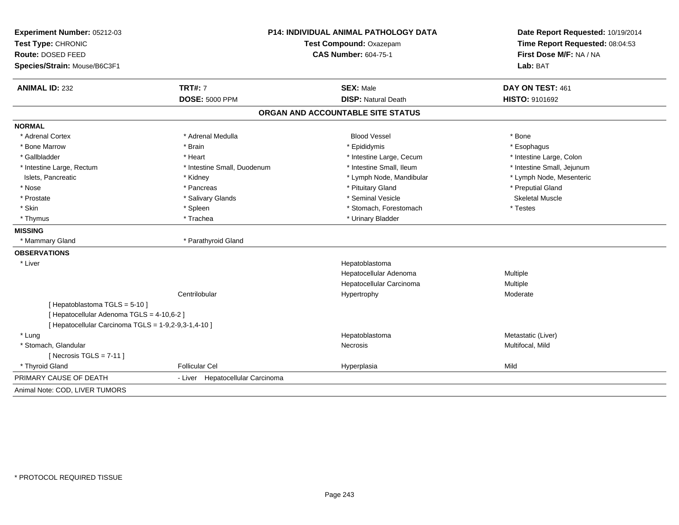| Experiment Number: 05212-03<br>Test Type: CHRONIC    |                                  | P14: INDIVIDUAL ANIMAL PATHOLOGY DATA<br>Test Compound: Oxazepam | Date Report Requested: 10/19/2014<br>Time Report Requested: 08:04:53 |  |
|------------------------------------------------------|----------------------------------|------------------------------------------------------------------|----------------------------------------------------------------------|--|
| Route: DOSED FEED                                    |                                  | <b>CAS Number: 604-75-1</b>                                      | First Dose M/F: NA / NA                                              |  |
| Species/Strain: Mouse/B6C3F1                         |                                  |                                                                  | Lab: BAT                                                             |  |
| <b>ANIMAL ID: 232</b>                                | <b>TRT#: 7</b>                   | <b>SEX: Male</b>                                                 | DAY ON TEST: 461                                                     |  |
|                                                      | <b>DOSE: 5000 PPM</b>            | <b>DISP: Natural Death</b>                                       | HISTO: 9101692                                                       |  |
|                                                      |                                  | ORGAN AND ACCOUNTABLE SITE STATUS                                |                                                                      |  |
| <b>NORMAL</b>                                        |                                  |                                                                  |                                                                      |  |
| * Adrenal Cortex                                     | * Adrenal Medulla                | <b>Blood Vessel</b>                                              | * Bone                                                               |  |
| * Bone Marrow                                        | * Brain                          | * Epididymis                                                     | * Esophagus                                                          |  |
| * Gallbladder                                        | * Heart                          | * Intestine Large, Cecum                                         | * Intestine Large, Colon                                             |  |
| * Intestine Large, Rectum                            | * Intestine Small, Duodenum      | * Intestine Small, Ileum                                         | * Intestine Small, Jejunum                                           |  |
| Islets, Pancreatic                                   | * Kidney                         | * Lymph Node, Mandibular                                         | * Lymph Node, Mesenteric                                             |  |
| * Nose                                               | * Pancreas                       | * Pituitary Gland                                                | * Preputial Gland                                                    |  |
| * Prostate                                           | * Salivary Glands                | * Seminal Vesicle                                                | <b>Skeletal Muscle</b>                                               |  |
| * Skin                                               | * Spleen                         | * Stomach, Forestomach                                           | * Testes                                                             |  |
| * Thymus                                             | * Trachea                        | * Urinary Bladder                                                |                                                                      |  |
| <b>MISSING</b>                                       |                                  |                                                                  |                                                                      |  |
| * Mammary Gland                                      | * Parathyroid Gland              |                                                                  |                                                                      |  |
| <b>OBSERVATIONS</b>                                  |                                  |                                                                  |                                                                      |  |
| * Liver                                              |                                  | Hepatoblastoma                                                   |                                                                      |  |
|                                                      |                                  | Hepatocellular Adenoma                                           | Multiple                                                             |  |
|                                                      |                                  | Hepatocellular Carcinoma                                         | <b>Multiple</b>                                                      |  |
|                                                      | Centrilobular                    | Hypertrophy                                                      | Moderate                                                             |  |
| [Hepatoblastoma TGLS = 5-10]                         |                                  |                                                                  |                                                                      |  |
| [ Hepatocellular Adenoma TGLS = 4-10,6-2 ]           |                                  |                                                                  |                                                                      |  |
| [ Hepatocellular Carcinoma TGLS = 1-9,2-9,3-1,4-10 ] |                                  |                                                                  |                                                                      |  |
| * Lung                                               |                                  | Hepatoblastoma                                                   | Metastatic (Liver)                                                   |  |
| * Stomach, Glandular                                 |                                  | Necrosis                                                         | Multifocal, Mild                                                     |  |
| [ Necrosis $TGLS = 7-11$ ]                           |                                  |                                                                  |                                                                      |  |
| * Thyroid Gland                                      | <b>Follicular Cel</b>            | Hyperplasia                                                      | Mild                                                                 |  |
| PRIMARY CAUSE OF DEATH                               | - Liver Hepatocellular Carcinoma |                                                                  |                                                                      |  |
| Animal Note: COD, LIVER TUMORS                       |                                  |                                                                  |                                                                      |  |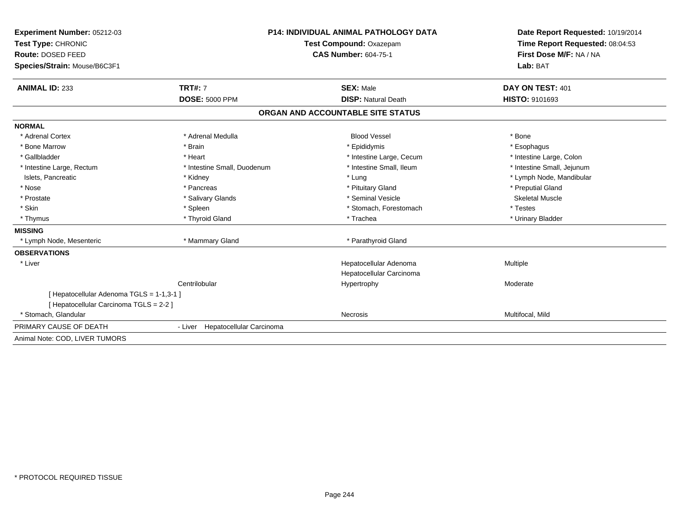| <b>Experiment Number: 05212-03</b>        | <b>P14: INDIVIDUAL ANIMAL PATHOLOGY DATA</b> |                                   | Date Report Requested: 10/19/2014                          |
|-------------------------------------------|----------------------------------------------|-----------------------------------|------------------------------------------------------------|
| Test Type: CHRONIC<br>Route: DOSED FEED   |                                              | Test Compound: Oxazepam           | Time Report Requested: 08:04:53<br>First Dose M/F: NA / NA |
|                                           |                                              | <b>CAS Number: 604-75-1</b>       |                                                            |
| Species/Strain: Mouse/B6C3F1              |                                              |                                   | Lab: BAT                                                   |
|                                           |                                              |                                   |                                                            |
| <b>ANIMAL ID: 233</b>                     | <b>TRT#: 7</b>                               | <b>SEX: Male</b>                  | DAY ON TEST: 401                                           |
|                                           | <b>DOSE: 5000 PPM</b>                        | <b>DISP: Natural Death</b>        | HISTO: 9101693                                             |
|                                           |                                              | ORGAN AND ACCOUNTABLE SITE STATUS |                                                            |
| <b>NORMAL</b>                             |                                              |                                   |                                                            |
| * Adrenal Cortex                          | * Adrenal Medulla                            | <b>Blood Vessel</b>               | * Bone                                                     |
| * Bone Marrow                             | * Brain                                      | * Epididymis                      | * Esophagus                                                |
| * Gallbladder                             | * Heart                                      | * Intestine Large, Cecum          | * Intestine Large, Colon                                   |
| * Intestine Large, Rectum                 | * Intestine Small, Duodenum                  | * Intestine Small. Ileum          | * Intestine Small, Jejunum                                 |
| Islets, Pancreatic                        | * Kidney                                     | * Lung                            | * Lymph Node, Mandibular                                   |
| * Nose                                    | * Pancreas                                   | * Pituitary Gland                 | * Preputial Gland                                          |
| * Prostate                                | * Salivary Glands                            | * Seminal Vesicle                 | <b>Skeletal Muscle</b>                                     |
| * Skin                                    | * Spleen                                     | * Stomach, Forestomach            | * Testes                                                   |
| * Thymus                                  | * Thyroid Gland                              | * Trachea                         | * Urinary Bladder                                          |
| <b>MISSING</b>                            |                                              |                                   |                                                            |
| * Lymph Node, Mesenteric                  | * Mammary Gland                              | * Parathyroid Gland               |                                                            |
| <b>OBSERVATIONS</b>                       |                                              |                                   |                                                            |
| * Liver                                   |                                              | Hepatocellular Adenoma            | Multiple                                                   |
|                                           |                                              | Hepatocellular Carcinoma          |                                                            |
|                                           | Centrilobular                                | Hypertrophy                       | Moderate                                                   |
| [ Hepatocellular Adenoma TGLS = 1-1,3-1 ] |                                              |                                   |                                                            |
| [ Hepatocellular Carcinoma TGLS = 2-2 ]   |                                              |                                   |                                                            |
| * Stomach, Glandular                      |                                              | Necrosis                          | Multifocal, Mild                                           |
| PRIMARY CAUSE OF DEATH                    | - Liver Hepatocellular Carcinoma             |                                   |                                                            |
| Animal Note: COD. LIVER TUMORS            |                                              |                                   |                                                            |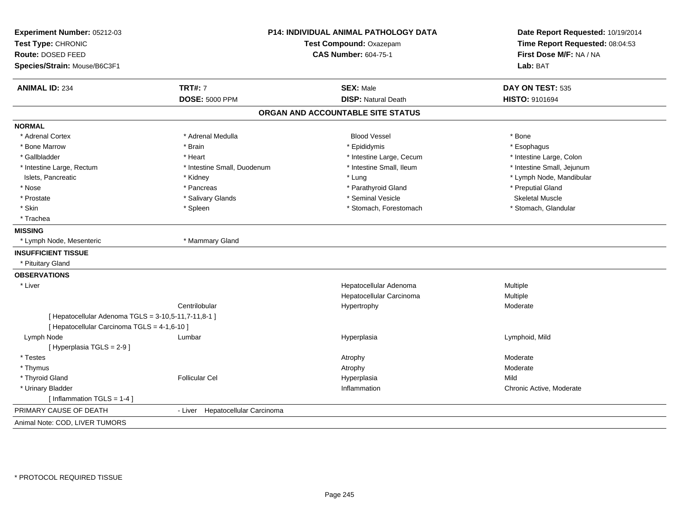| P14: INDIVIDUAL ANIMAL PATHOLOGY DATA<br>Experiment Number: 05212-03<br>Test Type: CHRONIC<br>Test Compound: Oxazepam<br>Route: DOSED FEED |                                  | <b>CAS Number: 604-75-1</b>       | Date Report Requested: 10/19/2014<br>Time Report Requested: 08:04:53<br>First Dose M/F: NA / NA |
|--------------------------------------------------------------------------------------------------------------------------------------------|----------------------------------|-----------------------------------|-------------------------------------------------------------------------------------------------|
| Species/Strain: Mouse/B6C3F1                                                                                                               |                                  |                                   | Lab: BAT                                                                                        |
| <b>ANIMAL ID: 234</b>                                                                                                                      | <b>TRT#: 7</b>                   | <b>SEX: Male</b>                  | DAY ON TEST: 535                                                                                |
|                                                                                                                                            | <b>DOSE: 5000 PPM</b>            | <b>DISP: Natural Death</b>        | HISTO: 9101694                                                                                  |
|                                                                                                                                            |                                  | ORGAN AND ACCOUNTABLE SITE STATUS |                                                                                                 |
| <b>NORMAL</b>                                                                                                                              |                                  |                                   |                                                                                                 |
| * Adrenal Cortex                                                                                                                           | * Adrenal Medulla                | <b>Blood Vessel</b>               | * Bone                                                                                          |
| * Bone Marrow                                                                                                                              | * Brain                          | * Epididymis                      | * Esophagus                                                                                     |
| * Gallbladder                                                                                                                              | * Heart                          | * Intestine Large, Cecum          | * Intestine Large, Colon                                                                        |
| * Intestine Large, Rectum                                                                                                                  | * Intestine Small, Duodenum      | * Intestine Small, Ileum          | * Intestine Small, Jejunum                                                                      |
| Islets, Pancreatic                                                                                                                         | * Kidney                         | * Lung                            | * Lymph Node, Mandibular                                                                        |
| * Nose                                                                                                                                     | * Pancreas                       | * Parathyroid Gland               | * Preputial Gland                                                                               |
| * Prostate                                                                                                                                 | * Salivary Glands                | * Seminal Vesicle                 | <b>Skeletal Muscle</b>                                                                          |
| * Skin                                                                                                                                     | * Spleen                         | * Stomach, Forestomach            | * Stomach, Glandular                                                                            |
| * Trachea                                                                                                                                  |                                  |                                   |                                                                                                 |
| <b>MISSING</b>                                                                                                                             |                                  |                                   |                                                                                                 |
| * Lymph Node, Mesenteric                                                                                                                   | * Mammary Gland                  |                                   |                                                                                                 |
| <b>INSUFFICIENT TISSUE</b>                                                                                                                 |                                  |                                   |                                                                                                 |
| * Pituitary Gland                                                                                                                          |                                  |                                   |                                                                                                 |
| <b>OBSERVATIONS</b>                                                                                                                        |                                  |                                   |                                                                                                 |
| * Liver                                                                                                                                    |                                  | Hepatocellular Adenoma            | Multiple                                                                                        |
|                                                                                                                                            |                                  | Hepatocellular Carcinoma          | Multiple                                                                                        |
|                                                                                                                                            | Centrilobular                    | Hypertrophy                       | Moderate                                                                                        |
| [ Hepatocellular Adenoma TGLS = 3-10,5-11,7-11,8-1 ]                                                                                       |                                  |                                   |                                                                                                 |
| [ Hepatocellular Carcinoma TGLS = 4-1,6-10 ]                                                                                               |                                  |                                   |                                                                                                 |
| Lymph Node                                                                                                                                 | Lumbar                           | Hyperplasia                       | Lymphoid, Mild                                                                                  |
| [ Hyperplasia TGLS = 2-9 ]                                                                                                                 |                                  |                                   |                                                                                                 |
| * Testes                                                                                                                                   |                                  | Atrophy                           | Moderate                                                                                        |
| * Thymus                                                                                                                                   |                                  | Atrophy                           | Moderate                                                                                        |
| * Thyroid Gland                                                                                                                            | <b>Follicular Cel</b>            | Hyperplasia                       | Mild                                                                                            |
| * Urinary Bladder                                                                                                                          |                                  | Inflammation                      | Chronic Active, Moderate                                                                        |
| [Inflammation TGLS = $1-4$ ]                                                                                                               |                                  |                                   |                                                                                                 |
| PRIMARY CAUSE OF DEATH                                                                                                                     | - Liver Hepatocellular Carcinoma |                                   |                                                                                                 |
| Animal Note: COD, LIVER TUMORS                                                                                                             |                                  |                                   |                                                                                                 |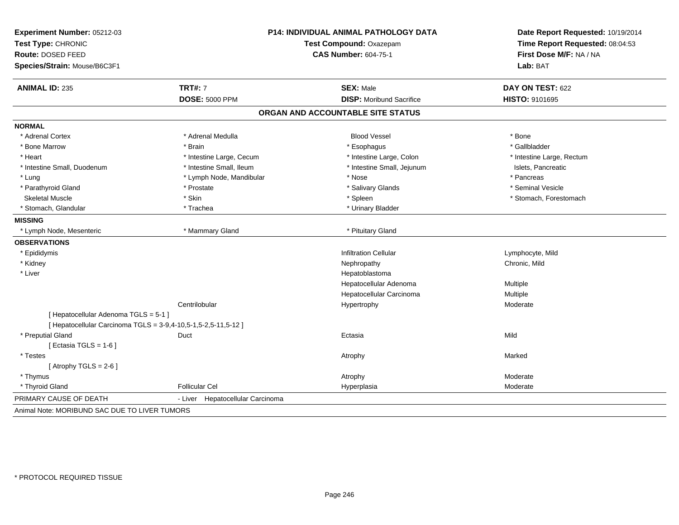| Experiment Number: 05212-03                                    | P14: INDIVIDUAL ANIMAL PATHOLOGY DATA |                                   | Date Report Requested: 10/19/2014                                      |
|----------------------------------------------------------------|---------------------------------------|-----------------------------------|------------------------------------------------------------------------|
| Test Type: CHRONIC                                             |                                       | Test Compound: Oxazepam           | Time Report Requested: 08:04:53<br>First Dose M/F: NA / NA<br>Lab: BAT |
| Route: DOSED FEED                                              |                                       | <b>CAS Number: 604-75-1</b>       |                                                                        |
| Species/Strain: Mouse/B6C3F1                                   |                                       |                                   |                                                                        |
| <b>ANIMAL ID: 235</b>                                          | <b>TRT#: 7</b>                        | <b>SEX: Male</b>                  | DAY ON TEST: 622                                                       |
|                                                                | <b>DOSE: 5000 PPM</b>                 | <b>DISP:</b> Moribund Sacrifice   | HISTO: 9101695                                                         |
|                                                                |                                       | ORGAN AND ACCOUNTABLE SITE STATUS |                                                                        |
| <b>NORMAL</b>                                                  |                                       |                                   |                                                                        |
| * Adrenal Cortex                                               | * Adrenal Medulla                     | <b>Blood Vessel</b>               | * Bone                                                                 |
| * Bone Marrow                                                  | * Brain                               | * Esophagus                       | * Gallbladder                                                          |
| * Heart                                                        | * Intestine Large, Cecum              | * Intestine Large, Colon          | * Intestine Large, Rectum                                              |
| * Intestine Small, Duodenum                                    | * Intestine Small, Ileum              | * Intestine Small, Jejunum        | Islets, Pancreatic                                                     |
| * Lung                                                         | * Lymph Node, Mandibular              | * Nose                            | * Pancreas                                                             |
| * Parathyroid Gland                                            | * Prostate                            | * Salivary Glands                 | * Seminal Vesicle                                                      |
| <b>Skeletal Muscle</b>                                         | * Skin                                | * Spleen                          | * Stomach, Forestomach                                                 |
| * Stomach, Glandular                                           | * Trachea                             | * Urinary Bladder                 |                                                                        |
| <b>MISSING</b>                                                 |                                       |                                   |                                                                        |
| * Lymph Node, Mesenteric                                       | * Mammary Gland                       | * Pituitary Gland                 |                                                                        |
| <b>OBSERVATIONS</b>                                            |                                       |                                   |                                                                        |
| * Epididymis                                                   |                                       | <b>Infiltration Cellular</b>      | Lymphocyte, Mild                                                       |
| * Kidney                                                       |                                       | Nephropathy                       | Chronic, Mild                                                          |
| * Liver                                                        |                                       | Hepatoblastoma                    |                                                                        |
|                                                                |                                       | Hepatocellular Adenoma            | Multiple                                                               |
|                                                                |                                       | Hepatocellular Carcinoma          | Multiple                                                               |
|                                                                | Centrilobular                         | Hypertrophy                       | Moderate                                                               |
| [ Hepatocellular Adenoma TGLS = 5-1 ]                          |                                       |                                   |                                                                        |
| [ Hepatocellular Carcinoma TGLS = 3-9,4-10,5-1,5-2,5-11,5-12 ] |                                       |                                   |                                                                        |
| * Preputial Gland                                              | Duct                                  | Ectasia                           | Mild                                                                   |
| [ Ectasia TGLS = $1-6$ ]                                       |                                       |                                   |                                                                        |
| * Testes                                                       |                                       | Atrophy                           | Marked                                                                 |
| [Atrophy TGLS = $2-6$ ]                                        |                                       |                                   |                                                                        |
| * Thymus                                                       |                                       | Atrophy                           | Moderate                                                               |
| * Thyroid Gland                                                | <b>Follicular Cel</b>                 | Hyperplasia                       | Moderate                                                               |
| PRIMARY CAUSE OF DEATH                                         | - Liver<br>Hepatocellular Carcinoma   |                                   |                                                                        |
| Animal Note: MORIBUND SAC DUE TO LIVER TUMORS                  |                                       |                                   |                                                                        |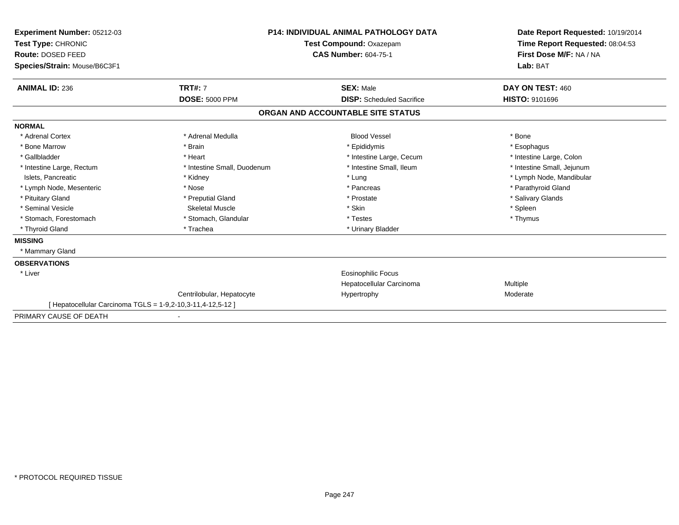| Experiment Number: 05212-03<br>Test Type: CHRONIC<br>Route: DOSED FEED |                             | <b>P14: INDIVIDUAL ANIMAL PATHOLOGY DATA</b> | Date Report Requested: 10/19/2014<br>Time Report Requested: 08:04:53 |
|------------------------------------------------------------------------|-----------------------------|----------------------------------------------|----------------------------------------------------------------------|
|                                                                        |                             | Test Compound: Oxazepam                      |                                                                      |
|                                                                        |                             | <b>CAS Number: 604-75-1</b>                  | First Dose M/F: NA / NA                                              |
| Species/Strain: Mouse/B6C3F1                                           |                             |                                              | Lab: BAT                                                             |
| <b>ANIMAL ID: 236</b>                                                  | <b>TRT#: 7</b>              | <b>SEX: Male</b>                             | DAY ON TEST: 460                                                     |
|                                                                        | <b>DOSE: 5000 PPM</b>       | <b>DISP:</b> Scheduled Sacrifice             | HISTO: 9101696                                                       |
|                                                                        |                             | ORGAN AND ACCOUNTABLE SITE STATUS            |                                                                      |
| <b>NORMAL</b>                                                          |                             |                                              |                                                                      |
| * Adrenal Cortex                                                       | * Adrenal Medulla           | <b>Blood Vessel</b>                          | * Bone                                                               |
| * Bone Marrow                                                          | * Brain                     | * Epididymis                                 | * Esophagus                                                          |
| * Gallbladder                                                          | * Heart                     | * Intestine Large, Cecum                     | * Intestine Large, Colon                                             |
| * Intestine Large, Rectum                                              | * Intestine Small, Duodenum | * Intestine Small, Ileum                     | * Intestine Small, Jejunum                                           |
| Islets, Pancreatic                                                     | * Kidney                    | * Lung                                       | * Lymph Node, Mandibular                                             |
| * Lymph Node, Mesenteric                                               | * Nose                      | * Pancreas                                   | * Parathyroid Gland                                                  |
| * Pituitary Gland                                                      | * Preputial Gland           | * Prostate                                   | * Salivary Glands                                                    |
| * Seminal Vesicle                                                      | <b>Skeletal Muscle</b>      | * Skin                                       | * Spleen                                                             |
| * Stomach, Forestomach                                                 | * Stomach, Glandular        | * Testes                                     | * Thymus                                                             |
| * Thyroid Gland                                                        | * Trachea                   | * Urinary Bladder                            |                                                                      |
| <b>MISSING</b>                                                         |                             |                                              |                                                                      |
| * Mammary Gland                                                        |                             |                                              |                                                                      |
| <b>OBSERVATIONS</b>                                                    |                             |                                              |                                                                      |
| * Liver                                                                |                             | <b>Eosinophilic Focus</b>                    |                                                                      |
|                                                                        |                             | Hepatocellular Carcinoma                     | Multiple                                                             |
|                                                                        | Centrilobular, Hepatocyte   | Hypertrophy                                  | Moderate                                                             |
| [ Hepatocellular Carcinoma TGLS = 1-9,2-10,3-11,4-12,5-12 ]            |                             |                                              |                                                                      |
| PRIMARY CAUSE OF DEATH                                                 |                             |                                              |                                                                      |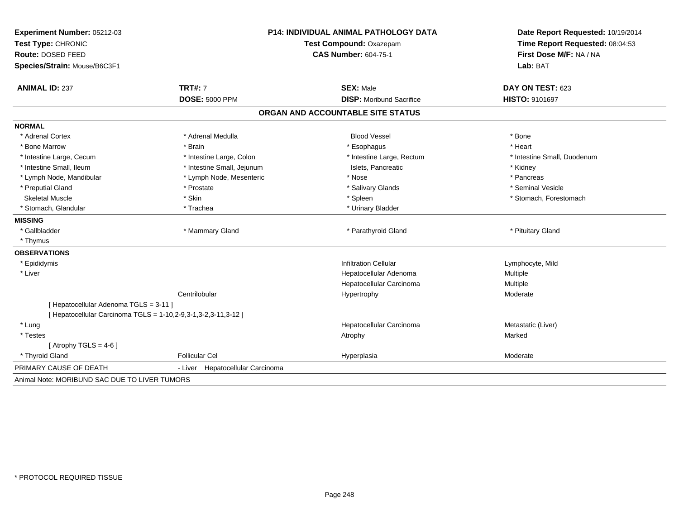| Experiment Number: 05212-03<br>Test Type: CHRONIC<br>Route: DOSED FEED<br>Species/Strain: Mouse/B6C3F1 | <b>P14: INDIVIDUAL ANIMAL PATHOLOGY DATA</b><br>Test Compound: Oxazepam<br><b>CAS Number: 604-75-1</b> |                                   | Date Report Requested: 10/19/2014<br>Time Report Requested: 08:04:53<br>First Dose M/F: NA / NA<br>Lab: BAT |
|--------------------------------------------------------------------------------------------------------|--------------------------------------------------------------------------------------------------------|-----------------------------------|-------------------------------------------------------------------------------------------------------------|
| <b>ANIMAL ID: 237</b>                                                                                  | <b>TRT#: 7</b>                                                                                         | <b>SEX: Male</b>                  | DAY ON TEST: 623                                                                                            |
|                                                                                                        | <b>DOSE: 5000 PPM</b>                                                                                  | <b>DISP:</b> Moribund Sacrifice   | HISTO: 9101697                                                                                              |
|                                                                                                        |                                                                                                        | ORGAN AND ACCOUNTABLE SITE STATUS |                                                                                                             |
| <b>NORMAL</b>                                                                                          |                                                                                                        |                                   |                                                                                                             |
| * Adrenal Cortex                                                                                       | * Adrenal Medulla                                                                                      | <b>Blood Vessel</b>               | * Bone                                                                                                      |
| * Bone Marrow                                                                                          | * Brain                                                                                                | * Esophagus                       | * Heart                                                                                                     |
| * Intestine Large, Cecum                                                                               | * Intestine Large, Colon                                                                               | * Intestine Large, Rectum         | * Intestine Small, Duodenum                                                                                 |
| * Intestine Small, Ileum                                                                               | * Intestine Small, Jejunum                                                                             | Islets, Pancreatic                | * Kidney                                                                                                    |
| * Lymph Node, Mandibular                                                                               | * Lymph Node, Mesenteric                                                                               | * Nose                            | * Pancreas                                                                                                  |
| * Preputial Gland                                                                                      | * Prostate                                                                                             | * Salivary Glands                 | * Seminal Vesicle                                                                                           |
| <b>Skeletal Muscle</b>                                                                                 | * Skin                                                                                                 | * Spleen                          | * Stomach, Forestomach                                                                                      |
| * Stomach, Glandular                                                                                   | * Trachea                                                                                              | * Urinary Bladder                 |                                                                                                             |
| <b>MISSING</b>                                                                                         |                                                                                                        |                                   |                                                                                                             |
| * Gallbladder                                                                                          | * Mammary Gland                                                                                        | * Parathyroid Gland               | * Pituitary Gland                                                                                           |
| * Thymus                                                                                               |                                                                                                        |                                   |                                                                                                             |
| <b>OBSERVATIONS</b>                                                                                    |                                                                                                        |                                   |                                                                                                             |
| * Epididymis                                                                                           |                                                                                                        | <b>Infiltration Cellular</b>      | Lymphocyte, Mild                                                                                            |
| * Liver                                                                                                |                                                                                                        | Hepatocellular Adenoma            | Multiple                                                                                                    |
|                                                                                                        |                                                                                                        | Hepatocellular Carcinoma          | Multiple                                                                                                    |
|                                                                                                        | Centrilobular                                                                                          | Hypertrophy                       | Moderate                                                                                                    |
| [ Hepatocellular Adenoma TGLS = 3-11 ]                                                                 |                                                                                                        |                                   |                                                                                                             |
| [ Hepatocellular Carcinoma TGLS = 1-10,2-9,3-1,3-2,3-11,3-12 ]                                         |                                                                                                        |                                   |                                                                                                             |
| * Lung                                                                                                 |                                                                                                        | Hepatocellular Carcinoma          | Metastatic (Liver)                                                                                          |
| * Testes                                                                                               |                                                                                                        | Atrophy                           | Marked                                                                                                      |
| [Atrophy TGLS = $4-6$ ]                                                                                |                                                                                                        |                                   |                                                                                                             |
| * Thyroid Gland                                                                                        | <b>Follicular Cel</b>                                                                                  | Hyperplasia                       | Moderate                                                                                                    |
| PRIMARY CAUSE OF DEATH                                                                                 | - Liver Hepatocellular Carcinoma                                                                       |                                   |                                                                                                             |
| Animal Note: MORIBUND SAC DUE TO LIVER TUMORS                                                          |                                                                                                        |                                   |                                                                                                             |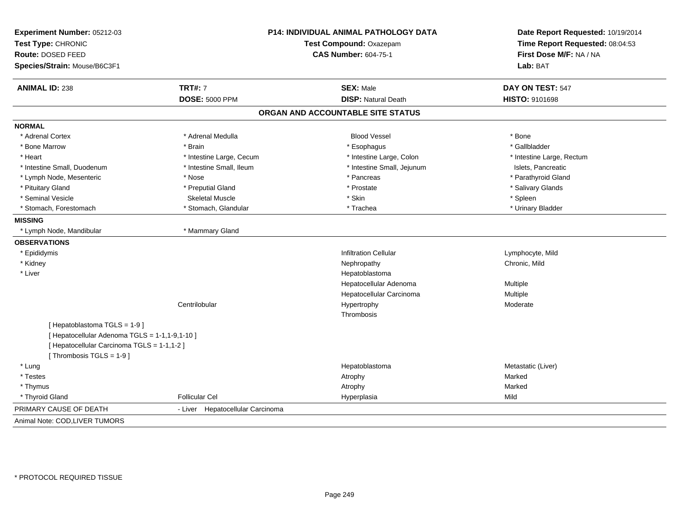| Experiment Number: 05212-03<br>Test Type: CHRONIC<br><b>Route: DOSED FEED</b><br>Species/Strain: Mouse/B6C3F1 |                                     | P14: INDIVIDUAL ANIMAL PATHOLOGY DATA<br>Test Compound: Oxazepam<br><b>CAS Number: 604-75-1</b> |                           |
|---------------------------------------------------------------------------------------------------------------|-------------------------------------|-------------------------------------------------------------------------------------------------|---------------------------|
| <b>ANIMAL ID: 238</b>                                                                                         | <b>TRT#: 7</b>                      | <b>SEX: Male</b>                                                                                | DAY ON TEST: 547          |
|                                                                                                               | <b>DOSE: 5000 PPM</b>               | <b>DISP: Natural Death</b>                                                                      | HISTO: 9101698            |
|                                                                                                               |                                     | ORGAN AND ACCOUNTABLE SITE STATUS                                                               |                           |
| <b>NORMAL</b>                                                                                                 |                                     |                                                                                                 |                           |
| * Adrenal Cortex                                                                                              | * Adrenal Medulla                   | <b>Blood Vessel</b>                                                                             | * Bone                    |
| * Bone Marrow                                                                                                 | * Brain                             | * Esophagus                                                                                     | * Gallbladder             |
| * Heart                                                                                                       | * Intestine Large, Cecum            | * Intestine Large, Colon                                                                        | * Intestine Large, Rectum |
| * Intestine Small, Duodenum                                                                                   | * Intestine Small, Ileum            | * Intestine Small, Jejunum                                                                      | Islets, Pancreatic        |
| * Lymph Node, Mesenteric                                                                                      | * Nose                              | * Pancreas                                                                                      | * Parathyroid Gland       |
| * Pituitary Gland                                                                                             | * Preputial Gland                   | * Prostate                                                                                      | * Salivary Glands         |
| * Seminal Vesicle                                                                                             | <b>Skeletal Muscle</b>              | * Skin                                                                                          | * Spleen                  |
| * Stomach, Forestomach                                                                                        | * Stomach, Glandular                | * Trachea                                                                                       | * Urinary Bladder         |
| <b>MISSING</b>                                                                                                |                                     |                                                                                                 |                           |
| * Lymph Node, Mandibular                                                                                      | * Mammary Gland                     |                                                                                                 |                           |
| <b>OBSERVATIONS</b>                                                                                           |                                     |                                                                                                 |                           |
| * Epididymis                                                                                                  |                                     | <b>Infiltration Cellular</b>                                                                    | Lymphocyte, Mild          |
| * Kidney                                                                                                      |                                     | Nephropathy                                                                                     | Chronic, Mild             |
| * Liver                                                                                                       |                                     | Hepatoblastoma                                                                                  |                           |
|                                                                                                               |                                     | Hepatocellular Adenoma                                                                          | Multiple                  |
|                                                                                                               |                                     | Hepatocellular Carcinoma                                                                        | Multiple                  |
|                                                                                                               | Centrilobular                       | Hypertrophy                                                                                     | Moderate                  |
|                                                                                                               |                                     | Thrombosis                                                                                      |                           |
| [Hepatoblastoma TGLS = 1-9]                                                                                   |                                     |                                                                                                 |                           |
| [ Hepatocellular Adenoma TGLS = 1-1,1-9,1-10 ]                                                                |                                     |                                                                                                 |                           |
| [ Hepatocellular Carcinoma TGLS = 1-1,1-2 ]                                                                   |                                     |                                                                                                 |                           |
| [Thrombosis TGLS = 1-9]                                                                                       |                                     |                                                                                                 |                           |
| * Lung                                                                                                        |                                     | Hepatoblastoma                                                                                  | Metastatic (Liver)        |
| * Testes                                                                                                      |                                     | Atrophy                                                                                         | Marked                    |
| * Thymus                                                                                                      |                                     | Atrophy                                                                                         | Marked                    |
| * Thyroid Gland                                                                                               | <b>Follicular Cel</b>               | Hyperplasia                                                                                     | Mild                      |
| PRIMARY CAUSE OF DEATH                                                                                        | Hepatocellular Carcinoma<br>- Liver |                                                                                                 |                           |
| Animal Note: COD, LIVER TUMORS                                                                                |                                     |                                                                                                 |                           |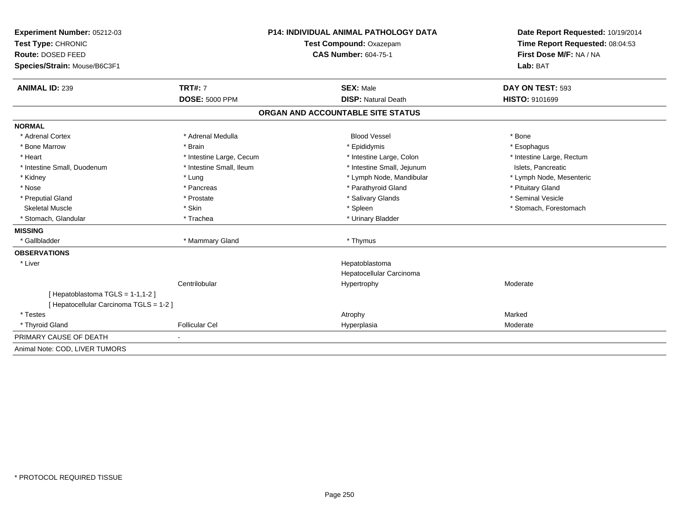| Experiment Number: 05212-03                                                | <b>P14: INDIVIDUAL ANIMAL PATHOLOGY DATA</b> |                                   | Date Report Requested: 10/19/2014                          |  |
|----------------------------------------------------------------------------|----------------------------------------------|-----------------------------------|------------------------------------------------------------|--|
| Test Type: CHRONIC                                                         |                                              | Test Compound: Oxazepam           | Time Report Requested: 08:04:53<br>First Dose M/F: NA / NA |  |
| Route: DOSED FEED                                                          |                                              | <b>CAS Number: 604-75-1</b>       |                                                            |  |
| Species/Strain: Mouse/B6C3F1                                               |                                              |                                   | Lab: BAT                                                   |  |
| <b>ANIMAL ID: 239</b>                                                      | <b>TRT#: 7</b>                               | <b>SEX: Male</b>                  | DAY ON TEST: 593                                           |  |
|                                                                            | <b>DOSE: 5000 PPM</b>                        | <b>DISP: Natural Death</b>        | <b>HISTO: 9101699</b>                                      |  |
|                                                                            |                                              | ORGAN AND ACCOUNTABLE SITE STATUS |                                                            |  |
| <b>NORMAL</b>                                                              |                                              |                                   |                                                            |  |
| * Adrenal Cortex                                                           | * Adrenal Medulla                            | <b>Blood Vessel</b>               | * Bone                                                     |  |
| * Bone Marrow                                                              | * Brain                                      | * Epididymis                      | * Esophagus                                                |  |
| * Heart                                                                    | * Intestine Large, Cecum                     | * Intestine Large, Colon          | * Intestine Large, Rectum                                  |  |
| * Intestine Small, Duodenum                                                | * Intestine Small, Ileum                     | * Intestine Small, Jejunum        | Islets, Pancreatic                                         |  |
| * Kidney                                                                   | * Lung                                       | * Lymph Node, Mandibular          | * Lymph Node, Mesenteric                                   |  |
| * Nose                                                                     | * Pancreas                                   | * Parathyroid Gland               | * Pituitary Gland                                          |  |
| * Preputial Gland                                                          | * Prostate                                   | * Salivary Glands                 | * Seminal Vesicle                                          |  |
| <b>Skeletal Muscle</b>                                                     | * Skin                                       | * Spleen                          | * Stomach, Forestomach                                     |  |
| * Stomach, Glandular                                                       | * Trachea                                    | * Urinary Bladder                 |                                                            |  |
| <b>MISSING</b>                                                             |                                              |                                   |                                                            |  |
| * Gallbladder                                                              | * Mammary Gland                              | * Thymus                          |                                                            |  |
| <b>OBSERVATIONS</b>                                                        |                                              |                                   |                                                            |  |
| * Liver                                                                    |                                              | Hepatoblastoma                    |                                                            |  |
|                                                                            |                                              | Hepatocellular Carcinoma          |                                                            |  |
|                                                                            | Centrilobular                                | Hypertrophy                       | Moderate                                                   |  |
| [Hepatoblastoma TGLS = 1-1,1-2]<br>[ Hepatocellular Carcinoma TGLS = 1-2 ] |                                              |                                   |                                                            |  |
| * Testes                                                                   |                                              | Atrophy                           | Marked                                                     |  |
| * Thyroid Gland                                                            | <b>Follicular Cel</b>                        | Hyperplasia                       | Moderate                                                   |  |
| PRIMARY CAUSE OF DEATH                                                     |                                              |                                   |                                                            |  |
| Animal Note: COD, LIVER TUMORS                                             |                                              |                                   |                                                            |  |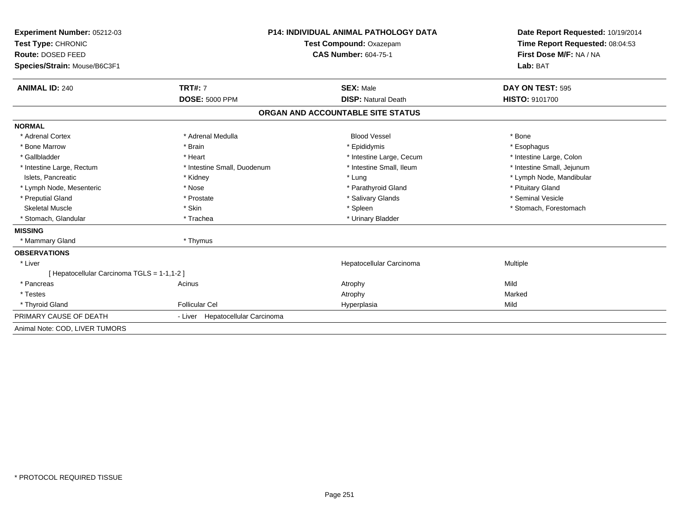| Experiment Number: 05212-03<br>Test Type: CHRONIC<br>Route: DOSED FEED<br>Species/Strain: Mouse/B6C3F1 |                                         | <b>P14: INDIVIDUAL ANIMAL PATHOLOGY DATA</b><br>Test Compound: Oxazepam<br><b>CAS Number: 604-75-1</b> | Date Report Requested: 10/19/2014<br>Time Report Requested: 08:04:53<br>First Dose M/F: NA / NA<br>Lab: BAT |  |
|--------------------------------------------------------------------------------------------------------|-----------------------------------------|--------------------------------------------------------------------------------------------------------|-------------------------------------------------------------------------------------------------------------|--|
|                                                                                                        |                                         |                                                                                                        |                                                                                                             |  |
| <b>ANIMAL ID: 240</b>                                                                                  | <b>TRT#: 7</b><br><b>DOSE: 5000 PPM</b> | <b>SEX: Male</b><br><b>DISP: Natural Death</b>                                                         | DAY ON TEST: 595<br><b>HISTO: 9101700</b>                                                                   |  |
|                                                                                                        |                                         | ORGAN AND ACCOUNTABLE SITE STATUS                                                                      |                                                                                                             |  |
| <b>NORMAL</b>                                                                                          |                                         |                                                                                                        |                                                                                                             |  |
| * Adrenal Cortex                                                                                       | * Adrenal Medulla                       | <b>Blood Vessel</b>                                                                                    | * Bone                                                                                                      |  |
| * Bone Marrow                                                                                          | * Brain                                 | * Epididymis                                                                                           | * Esophagus                                                                                                 |  |
| * Gallbladder                                                                                          | * Heart                                 | * Intestine Large, Cecum                                                                               | * Intestine Large, Colon                                                                                    |  |
| * Intestine Large, Rectum                                                                              | * Intestine Small, Duodenum             | * Intestine Small, Ileum                                                                               | * Intestine Small, Jejunum                                                                                  |  |
| Islets, Pancreatic                                                                                     | * Kidney                                | * Lung                                                                                                 | * Lymph Node, Mandibular                                                                                    |  |
| * Lymph Node, Mesenteric                                                                               | * Nose                                  | * Parathyroid Gland                                                                                    | * Pituitary Gland                                                                                           |  |
| * Preputial Gland                                                                                      | * Prostate                              | * Salivary Glands                                                                                      | * Seminal Vesicle                                                                                           |  |
| Skeletal Muscle                                                                                        | * Skin                                  | * Spleen                                                                                               | * Stomach, Forestomach                                                                                      |  |
| * Stomach, Glandular                                                                                   | * Trachea                               | * Urinary Bladder                                                                                      |                                                                                                             |  |
| <b>MISSING</b>                                                                                         |                                         |                                                                                                        |                                                                                                             |  |
| * Mammary Gland                                                                                        | * Thymus                                |                                                                                                        |                                                                                                             |  |
| <b>OBSERVATIONS</b>                                                                                    |                                         |                                                                                                        |                                                                                                             |  |
| * Liver                                                                                                |                                         | Hepatocellular Carcinoma                                                                               | Multiple                                                                                                    |  |
| [ Hepatocellular Carcinoma TGLS = 1-1,1-2 ]                                                            |                                         |                                                                                                        |                                                                                                             |  |
| * Pancreas                                                                                             | Acinus                                  | Atrophy                                                                                                | Mild                                                                                                        |  |
| * Testes                                                                                               |                                         | Atrophy                                                                                                | Marked                                                                                                      |  |
| * Thyroid Gland                                                                                        | <b>Follicular Cel</b>                   | Hyperplasia                                                                                            | Mild                                                                                                        |  |
| PRIMARY CAUSE OF DEATH                                                                                 | Hepatocellular Carcinoma<br>- Liver     |                                                                                                        |                                                                                                             |  |
| Animal Note: COD, LIVER TUMORS                                                                         |                                         |                                                                                                        |                                                                                                             |  |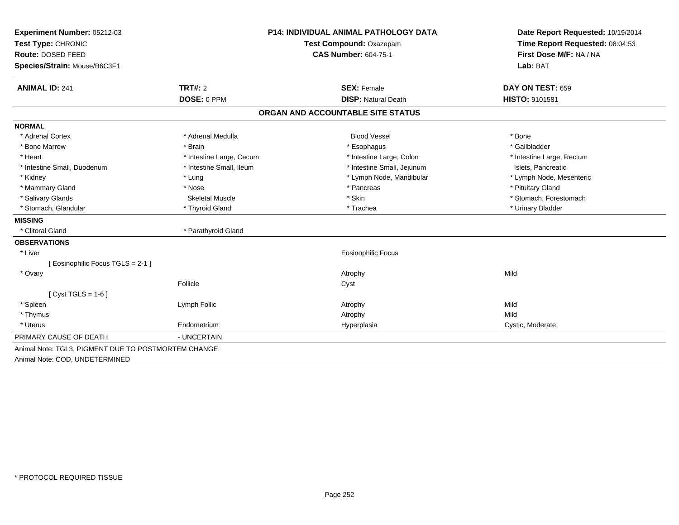| Experiment Number: 05212-03                         | <b>P14: INDIVIDUAL ANIMAL PATHOLOGY DATA</b> |                                   | Date Report Requested: 10/19/2014 |  |
|-----------------------------------------------------|----------------------------------------------|-----------------------------------|-----------------------------------|--|
| Test Type: CHRONIC                                  |                                              | Test Compound: Oxazepam           | Time Report Requested: 08:04:53   |  |
| Route: DOSED FEED                                   |                                              | <b>CAS Number: 604-75-1</b>       | First Dose M/F: NA / NA           |  |
| Species/Strain: Mouse/B6C3F1                        |                                              |                                   | Lab: BAT                          |  |
| <b>ANIMAL ID: 241</b>                               | TRT#: 2                                      | <b>SEX: Female</b>                | DAY ON TEST: 659                  |  |
|                                                     | DOSE: 0 PPM                                  | <b>DISP: Natural Death</b>        | HISTO: 9101581                    |  |
|                                                     |                                              | ORGAN AND ACCOUNTABLE SITE STATUS |                                   |  |
| <b>NORMAL</b>                                       |                                              |                                   |                                   |  |
| * Adrenal Cortex                                    | * Adrenal Medulla                            | <b>Blood Vessel</b>               | * Bone                            |  |
| * Bone Marrow                                       | * Brain                                      | * Esophagus                       | * Gallbladder                     |  |
| * Heart                                             | * Intestine Large, Cecum                     | * Intestine Large, Colon          | * Intestine Large, Rectum         |  |
| * Intestine Small, Duodenum                         | * Intestine Small, Ileum                     | * Intestine Small, Jejunum        | Islets. Pancreatic                |  |
| * Kidney                                            | * Lung                                       | * Lymph Node, Mandibular          | * Lymph Node, Mesenteric          |  |
| * Mammary Gland                                     | * Nose                                       | * Pancreas                        | * Pituitary Gland                 |  |
| * Salivary Glands                                   | <b>Skeletal Muscle</b>                       | * Skin                            | * Stomach, Forestomach            |  |
| * Stomach, Glandular                                | * Thyroid Gland                              | * Trachea                         | * Urinary Bladder                 |  |
| <b>MISSING</b>                                      |                                              |                                   |                                   |  |
| * Clitoral Gland                                    | * Parathyroid Gland                          |                                   |                                   |  |
| <b>OBSERVATIONS</b>                                 |                                              |                                   |                                   |  |
| * Liver                                             |                                              | <b>Eosinophilic Focus</b>         |                                   |  |
| [Eosinophilic Focus TGLS = 2-1]                     |                                              |                                   |                                   |  |
| * Ovary                                             |                                              | Atrophy                           | Mild                              |  |
|                                                     | Follicle                                     | Cyst                              |                                   |  |
| [ $Cyst TGLS = 1-6$ ]                               |                                              |                                   |                                   |  |
| * Spleen                                            | Lymph Follic                                 | Atrophy                           | Mild                              |  |
| * Thymus                                            |                                              | Atrophy                           | Mild                              |  |
| * Uterus                                            | Endometrium                                  | Hyperplasia                       | Cystic, Moderate                  |  |
| PRIMARY CAUSE OF DEATH                              | - UNCERTAIN                                  |                                   |                                   |  |
| Animal Note: TGL3, PIGMENT DUE TO POSTMORTEM CHANGE |                                              |                                   |                                   |  |
| Animal Note: COD, UNDETERMINED                      |                                              |                                   |                                   |  |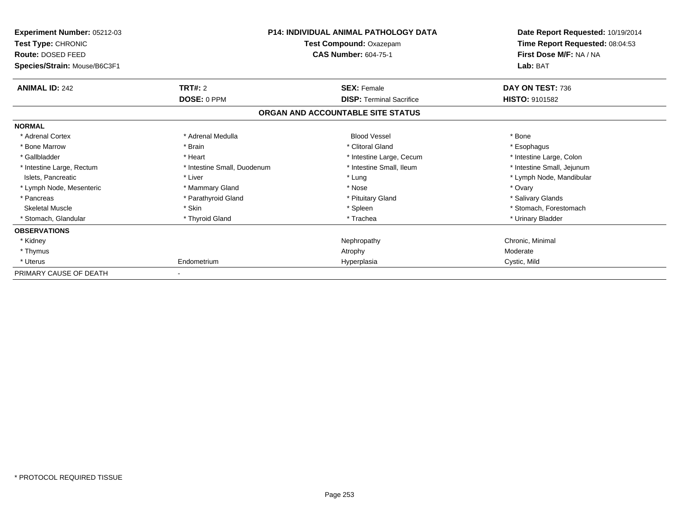| Experiment Number: 05212-03<br>Test Type: CHRONIC<br>Route: DOSED FEED | <b>P14: INDIVIDUAL ANIMAL PATHOLOGY DATA</b><br>Test Compound: Oxazepam<br><b>CAS Number: 604-75-1</b> |                                   | Date Report Requested: 10/19/2014<br>Time Report Requested: 08:04:53<br>First Dose M/F: NA / NA |  |
|------------------------------------------------------------------------|--------------------------------------------------------------------------------------------------------|-----------------------------------|-------------------------------------------------------------------------------------------------|--|
| Species/Strain: Mouse/B6C3F1                                           |                                                                                                        |                                   | Lab: BAT                                                                                        |  |
| <b>ANIMAL ID: 242</b>                                                  | <b>TRT#: 2</b>                                                                                         | <b>SEX: Female</b>                | DAY ON TEST: 736                                                                                |  |
|                                                                        | DOSE: 0 PPM                                                                                            | <b>DISP: Terminal Sacrifice</b>   | <b>HISTO: 9101582</b>                                                                           |  |
|                                                                        |                                                                                                        | ORGAN AND ACCOUNTABLE SITE STATUS |                                                                                                 |  |
| <b>NORMAL</b>                                                          |                                                                                                        |                                   |                                                                                                 |  |
| * Adrenal Cortex                                                       | * Adrenal Medulla                                                                                      | <b>Blood Vessel</b>               | * Bone                                                                                          |  |
| * Bone Marrow                                                          | * Brain                                                                                                | * Clitoral Gland                  | * Esophagus                                                                                     |  |
| * Gallbladder                                                          | * Heart                                                                                                | * Intestine Large, Cecum          | * Intestine Large, Colon                                                                        |  |
| * Intestine Large, Rectum                                              | * Intestine Small, Duodenum                                                                            | * Intestine Small, Ileum          | * Intestine Small, Jejunum                                                                      |  |
| Islets, Pancreatic                                                     | * Liver                                                                                                | * Lung                            | * Lymph Node, Mandibular                                                                        |  |
| * Lymph Node, Mesenteric                                               | * Mammary Gland                                                                                        | * Nose                            | * Ovary                                                                                         |  |
| * Pancreas                                                             | * Parathyroid Gland                                                                                    | * Pituitary Gland                 | * Salivary Glands                                                                               |  |
| <b>Skeletal Muscle</b>                                                 | * Skin                                                                                                 | * Spleen                          | * Stomach, Forestomach                                                                          |  |
| Stomach, Glandular                                                     | * Thyroid Gland                                                                                        | * Trachea                         | * Urinary Bladder                                                                               |  |
| <b>OBSERVATIONS</b>                                                    |                                                                                                        |                                   |                                                                                                 |  |
| * Kidney                                                               |                                                                                                        | Nephropathy                       | Chronic, Minimal                                                                                |  |
| * Thymus                                                               |                                                                                                        | Atrophy                           | Moderate                                                                                        |  |
| * Uterus                                                               | Endometrium                                                                                            | Hyperplasia                       | Cystic, Mild                                                                                    |  |
| PRIMARY CAUSE OF DEATH                                                 |                                                                                                        |                                   |                                                                                                 |  |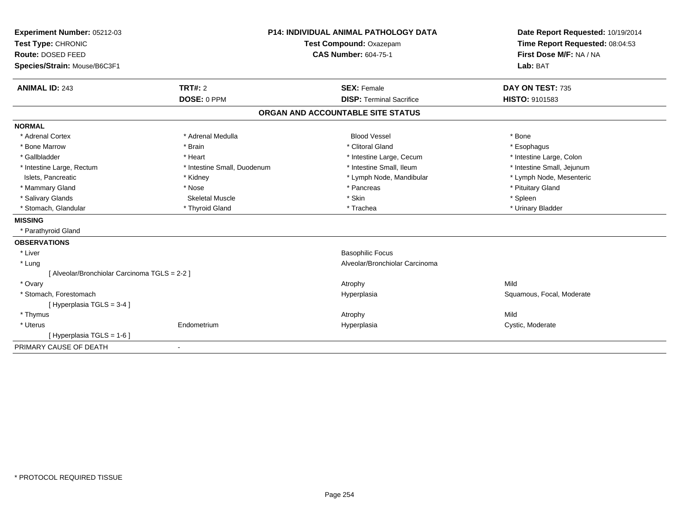| Experiment Number: 05212-03                   | <b>P14: INDIVIDUAL ANIMAL PATHOLOGY DATA</b><br>Test Compound: Oxazepam |                                   | Date Report Requested: 10/19/2014                          |
|-----------------------------------------------|-------------------------------------------------------------------------|-----------------------------------|------------------------------------------------------------|
| Test Type: CHRONIC                            |                                                                         |                                   | Time Report Requested: 08:04:53<br>First Dose M/F: NA / NA |
| Route: DOSED FEED                             |                                                                         | <b>CAS Number: 604-75-1</b>       |                                                            |
| Species/Strain: Mouse/B6C3F1                  |                                                                         |                                   | Lab: BAT                                                   |
| <b>ANIMAL ID: 243</b>                         | TRT#: 2                                                                 | <b>SEX: Female</b>                | DAY ON TEST: 735                                           |
|                                               | DOSE: 0 PPM                                                             | <b>DISP: Terminal Sacrifice</b>   | HISTO: 9101583                                             |
|                                               |                                                                         | ORGAN AND ACCOUNTABLE SITE STATUS |                                                            |
| <b>NORMAL</b>                                 |                                                                         |                                   |                                                            |
| * Adrenal Cortex                              | * Adrenal Medulla                                                       | <b>Blood Vessel</b>               | * Bone                                                     |
| * Bone Marrow                                 | * Brain                                                                 | * Clitoral Gland                  | * Esophagus                                                |
| * Gallbladder                                 | * Heart                                                                 | * Intestine Large, Cecum          | * Intestine Large, Colon                                   |
| * Intestine Large, Rectum                     | * Intestine Small, Duodenum                                             | * Intestine Small, Ileum          | * Intestine Small, Jejunum                                 |
| Islets, Pancreatic                            | * Kidney                                                                | * Lymph Node, Mandibular          | * Lymph Node, Mesenteric                                   |
| * Mammary Gland                               | * Nose                                                                  | * Pancreas                        | * Pituitary Gland                                          |
| * Salivary Glands                             | <b>Skeletal Muscle</b>                                                  | * Skin                            | * Spleen                                                   |
| * Stomach, Glandular                          | * Thyroid Gland                                                         | * Trachea                         | * Urinary Bladder                                          |
| <b>MISSING</b>                                |                                                                         |                                   |                                                            |
| * Parathyroid Gland                           |                                                                         |                                   |                                                            |
| <b>OBSERVATIONS</b>                           |                                                                         |                                   |                                                            |
| * Liver                                       |                                                                         | <b>Basophilic Focus</b>           |                                                            |
| * Lung                                        |                                                                         | Alveolar/Bronchiolar Carcinoma    |                                                            |
| [ Alveolar/Bronchiolar Carcinoma TGLS = 2-2 ] |                                                                         |                                   |                                                            |
| * Ovary                                       |                                                                         | Atrophy                           | Mild                                                       |
| * Stomach, Forestomach                        |                                                                         | Hyperplasia                       | Squamous, Focal, Moderate                                  |
| [Hyperplasia TGLS = 3-4]                      |                                                                         |                                   |                                                            |
| * Thymus                                      |                                                                         | Atrophy                           | Mild                                                       |
| * Uterus                                      | Endometrium                                                             | Hyperplasia                       | Cystic, Moderate                                           |
| [Hyperplasia TGLS = 1-6]                      |                                                                         |                                   |                                                            |
| PRIMARY CAUSE OF DEATH                        | $\overline{\phantom{a}}$                                                |                                   |                                                            |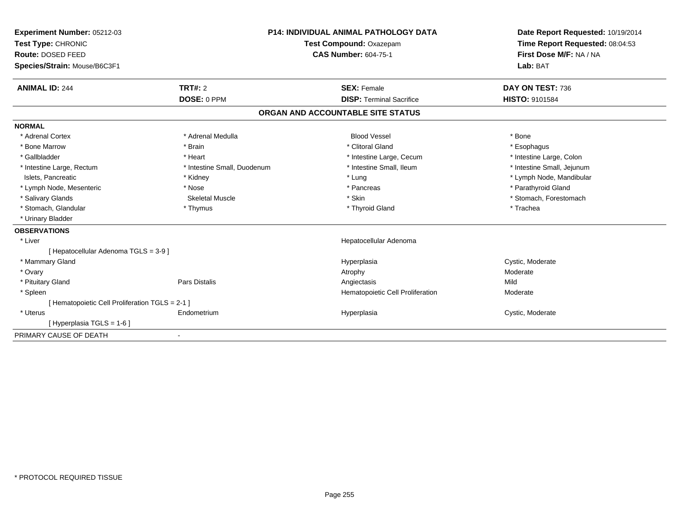| Experiment Number: 05212-03                    | <b>P14: INDIVIDUAL ANIMAL PATHOLOGY DATA</b><br>Test Compound: Oxazepam<br><b>CAS Number: 604-75-1</b> |                                   | Date Report Requested: 10/19/2014 |  |
|------------------------------------------------|--------------------------------------------------------------------------------------------------------|-----------------------------------|-----------------------------------|--|
| Test Type: CHRONIC                             |                                                                                                        |                                   | Time Report Requested: 08:04:53   |  |
| Route: DOSED FEED                              |                                                                                                        |                                   | First Dose M/F: NA / NA           |  |
| Species/Strain: Mouse/B6C3F1                   |                                                                                                        |                                   | Lab: BAT                          |  |
| <b>ANIMAL ID: 244</b>                          | TRT#: 2                                                                                                | <b>SEX: Female</b>                | DAY ON TEST: 736                  |  |
|                                                | DOSE: 0 PPM                                                                                            | <b>DISP: Terminal Sacrifice</b>   | HISTO: 9101584                    |  |
|                                                |                                                                                                        | ORGAN AND ACCOUNTABLE SITE STATUS |                                   |  |
| <b>NORMAL</b>                                  |                                                                                                        |                                   |                                   |  |
| * Adrenal Cortex                               | * Adrenal Medulla                                                                                      | <b>Blood Vessel</b>               | * Bone                            |  |
| * Bone Marrow                                  | * Brain                                                                                                | * Clitoral Gland                  | * Esophagus                       |  |
| * Gallbladder                                  | * Heart                                                                                                | * Intestine Large, Cecum          | * Intestine Large, Colon          |  |
| * Intestine Large, Rectum                      | * Intestine Small, Duodenum                                                                            | * Intestine Small, Ileum          | * Intestine Small, Jejunum        |  |
| Islets, Pancreatic                             | * Kidney                                                                                               | * Lung                            | * Lymph Node, Mandibular          |  |
| * Lymph Node, Mesenteric                       | * Nose                                                                                                 | * Pancreas                        | * Parathyroid Gland               |  |
| * Salivary Glands                              | <b>Skeletal Muscle</b>                                                                                 | * Skin                            | * Stomach, Forestomach            |  |
| * Stomach, Glandular                           | * Thymus                                                                                               | * Thyroid Gland                   | * Trachea                         |  |
| * Urinary Bladder                              |                                                                                                        |                                   |                                   |  |
| <b>OBSERVATIONS</b>                            |                                                                                                        |                                   |                                   |  |
| * Liver                                        |                                                                                                        | Hepatocellular Adenoma            |                                   |  |
| [ Hepatocellular Adenoma TGLS = 3-9 ]          |                                                                                                        |                                   |                                   |  |
| * Mammary Gland                                |                                                                                                        | Hyperplasia                       | Cystic, Moderate                  |  |
| * Ovary                                        |                                                                                                        | Atrophy                           | Moderate                          |  |
| * Pituitary Gland                              | Pars Distalis                                                                                          | Angiectasis                       | Mild                              |  |
| * Spleen                                       |                                                                                                        | Hematopoietic Cell Proliferation  | Moderate                          |  |
| [Hematopoietic Cell Proliferation TGLS = 2-1 ] |                                                                                                        |                                   |                                   |  |
| * Uterus                                       | Endometrium                                                                                            | Hyperplasia                       | Cystic, Moderate                  |  |
| [Hyperplasia TGLS = $1-6$ ]                    |                                                                                                        |                                   |                                   |  |
| PRIMARY CAUSE OF DEATH                         | $\overline{\phantom{a}}$                                                                               |                                   |                                   |  |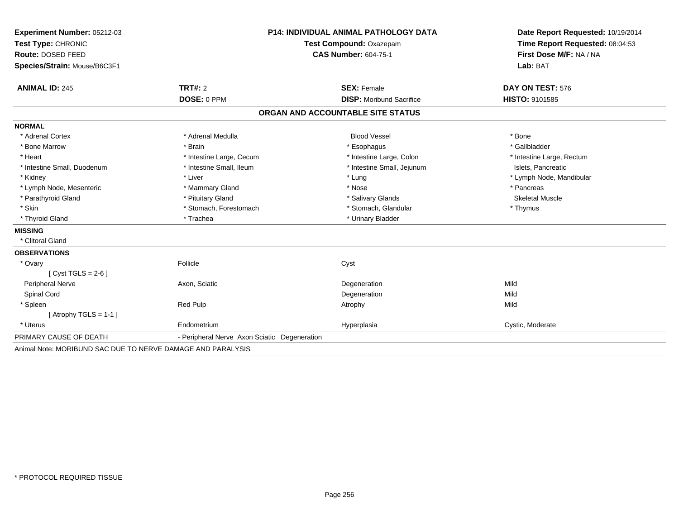| Experiment Number: 05212-03                                 | <b>P14: INDIVIDUAL ANIMAL PATHOLOGY DATA</b><br>Test Compound: Oxazepam |                                   | Date Report Requested: 10/19/2014 |  |
|-------------------------------------------------------------|-------------------------------------------------------------------------|-----------------------------------|-----------------------------------|--|
| Test Type: CHRONIC                                          |                                                                         |                                   | Time Report Requested: 08:04:53   |  |
| Route: DOSED FEED                                           |                                                                         | <b>CAS Number: 604-75-1</b>       | First Dose M/F: NA / NA           |  |
| Species/Strain: Mouse/B6C3F1                                |                                                                         |                                   | Lab: BAT                          |  |
|                                                             |                                                                         |                                   |                                   |  |
| <b>ANIMAL ID: 245</b>                                       | TRT#: 2                                                                 | <b>SEX: Female</b>                | DAY ON TEST: 576                  |  |
|                                                             | DOSE: 0 PPM                                                             | <b>DISP:</b> Moribund Sacrifice   | <b>HISTO: 9101585</b>             |  |
|                                                             |                                                                         | ORGAN AND ACCOUNTABLE SITE STATUS |                                   |  |
| <b>NORMAL</b>                                               |                                                                         |                                   |                                   |  |
| * Adrenal Cortex                                            | * Adrenal Medulla                                                       | <b>Blood Vessel</b>               | * Bone                            |  |
| * Bone Marrow                                               | * Brain                                                                 | * Esophagus                       | * Gallbladder                     |  |
| * Heart                                                     | * Intestine Large, Cecum                                                | * Intestine Large, Colon          | * Intestine Large, Rectum         |  |
| * Intestine Small, Duodenum                                 | * Intestine Small, Ileum                                                | * Intestine Small, Jejunum        | Islets, Pancreatic                |  |
| * Kidney                                                    | * Liver                                                                 | * Lung                            | * Lymph Node, Mandibular          |  |
| * Lymph Node, Mesenteric                                    | * Mammary Gland                                                         | * Nose                            | * Pancreas                        |  |
| * Parathyroid Gland                                         | * Pituitary Gland                                                       | * Salivary Glands                 | <b>Skeletal Muscle</b>            |  |
| * Skin                                                      | * Stomach, Forestomach                                                  | * Stomach, Glandular              | * Thymus                          |  |
| * Thyroid Gland                                             | * Trachea                                                               | * Urinary Bladder                 |                                   |  |
| <b>MISSING</b>                                              |                                                                         |                                   |                                   |  |
| * Clitoral Gland                                            |                                                                         |                                   |                                   |  |
| <b>OBSERVATIONS</b>                                         |                                                                         |                                   |                                   |  |
| * Ovary                                                     | Follicle                                                                | Cyst                              |                                   |  |
| [Cyst TGLS = $2-6$ ]                                        |                                                                         |                                   |                                   |  |
| Peripheral Nerve                                            | Axon, Sciatic                                                           | Degeneration                      | Mild                              |  |
| Spinal Cord                                                 |                                                                         | Degeneration                      | Mild                              |  |
| * Spleen                                                    | Red Pulp                                                                | Atrophy                           | Mild                              |  |
| [Atrophy TGLS = $1-1$ ]                                     |                                                                         |                                   |                                   |  |
| * Uterus                                                    | Endometrium                                                             | Hyperplasia                       | Cystic, Moderate                  |  |
| PRIMARY CAUSE OF DEATH                                      | - Peripheral Nerve Axon Sciatic Degeneration                            |                                   |                                   |  |
| Animal Note: MORIBUND SAC DUE TO NERVE DAMAGE AND PARALYSIS |                                                                         |                                   |                                   |  |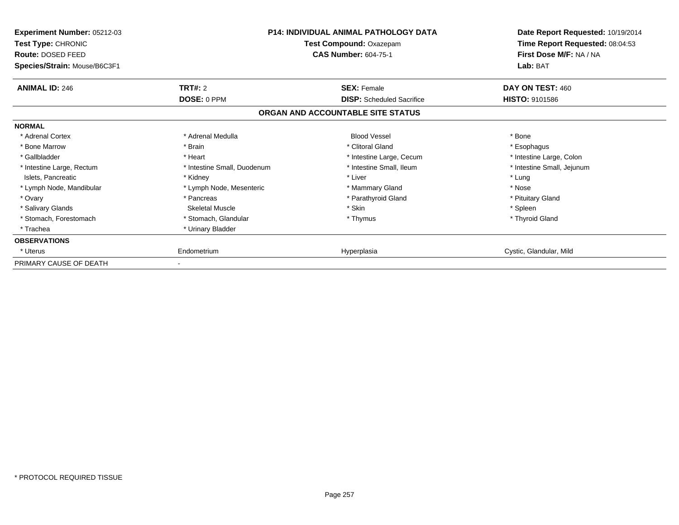| <b>Experiment Number: 05212-03</b><br>Test Type: CHRONIC<br>Route: DOSED FEED<br>Species/Strain: Mouse/B6C3F1 | <b>P14: INDIVIDUAL ANIMAL PATHOLOGY DATA</b><br>Test Compound: Oxazepam<br><b>CAS Number: 604-75-1</b> |                                   | Date Report Requested: 10/19/2014<br>Time Report Requested: 08:04:53<br>First Dose M/F: NA / NA<br>Lab: BAT |  |
|---------------------------------------------------------------------------------------------------------------|--------------------------------------------------------------------------------------------------------|-----------------------------------|-------------------------------------------------------------------------------------------------------------|--|
| <b>ANIMAL ID: 246</b>                                                                                         | TRT#: 2                                                                                                | <b>SEX: Female</b>                | DAY ON TEST: 460                                                                                            |  |
|                                                                                                               | DOSE: 0 PPM                                                                                            | <b>DISP:</b> Scheduled Sacrifice  | <b>HISTO: 9101586</b>                                                                                       |  |
|                                                                                                               |                                                                                                        | ORGAN AND ACCOUNTABLE SITE STATUS |                                                                                                             |  |
| <b>NORMAL</b>                                                                                                 |                                                                                                        |                                   |                                                                                                             |  |
| * Adrenal Cortex                                                                                              | * Adrenal Medulla                                                                                      | <b>Blood Vessel</b>               | * Bone                                                                                                      |  |
| * Bone Marrow                                                                                                 | * Brain                                                                                                | * Clitoral Gland                  | * Esophagus                                                                                                 |  |
| * Gallbladder                                                                                                 | * Heart                                                                                                | * Intestine Large, Cecum          | * Intestine Large, Colon                                                                                    |  |
| * Intestine Large, Rectum                                                                                     | * Intestine Small, Duodenum                                                                            | * Intestine Small, Ileum          | * Intestine Small, Jejunum                                                                                  |  |
| Islets, Pancreatic                                                                                            | * Kidney                                                                                               | * Liver                           | * Lung                                                                                                      |  |
| * Lymph Node, Mandibular                                                                                      | * Lymph Node, Mesenteric                                                                               | * Mammary Gland                   | * Nose                                                                                                      |  |
| * Ovary                                                                                                       | * Pancreas                                                                                             | * Parathyroid Gland               | * Pituitary Gland                                                                                           |  |
| * Salivary Glands                                                                                             | <b>Skeletal Muscle</b>                                                                                 | * Skin                            | * Spleen                                                                                                    |  |
| * Stomach, Forestomach                                                                                        | * Stomach, Glandular                                                                                   | * Thymus                          | * Thyroid Gland                                                                                             |  |
| * Trachea                                                                                                     | * Urinary Bladder                                                                                      |                                   |                                                                                                             |  |
| <b>OBSERVATIONS</b>                                                                                           |                                                                                                        |                                   |                                                                                                             |  |
| * Uterus                                                                                                      | Endometrium                                                                                            | Hyperplasia                       | Cystic, Glandular, Mild                                                                                     |  |
| PRIMARY CAUSE OF DEATH                                                                                        |                                                                                                        |                                   |                                                                                                             |  |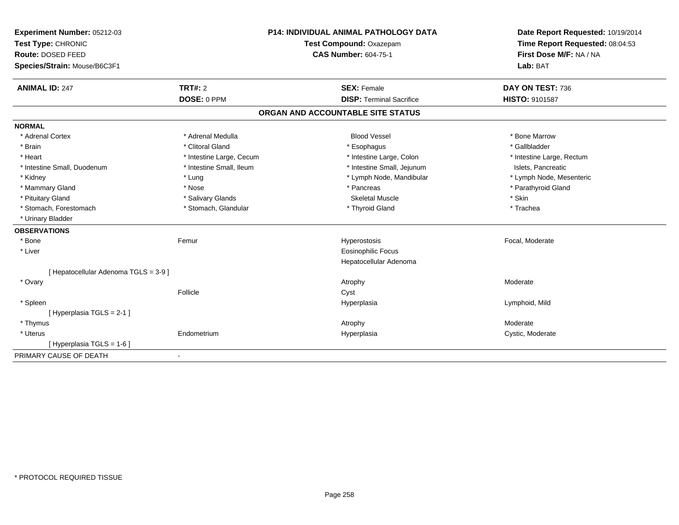| Experiment Number: 05212-03           | P14: INDIVIDUAL ANIMAL PATHOLOGY DATA |                                   | Date Report Requested: 10/19/2014                          |
|---------------------------------------|---------------------------------------|-----------------------------------|------------------------------------------------------------|
| Test Type: CHRONIC                    |                                       | Test Compound: Oxazepam           | Time Report Requested: 08:04:53<br>First Dose M/F: NA / NA |
| Route: DOSED FEED                     |                                       | <b>CAS Number: 604-75-1</b>       |                                                            |
| Species/Strain: Mouse/B6C3F1          |                                       |                                   | Lab: BAT                                                   |
| <b>ANIMAL ID: 247</b>                 | <b>TRT#: 2</b>                        | <b>SEX: Female</b>                | DAY ON TEST: 736                                           |
|                                       | DOSE: 0 PPM                           | <b>DISP: Terminal Sacrifice</b>   | <b>HISTO: 9101587</b>                                      |
|                                       |                                       | ORGAN AND ACCOUNTABLE SITE STATUS |                                                            |
| <b>NORMAL</b>                         |                                       |                                   |                                                            |
| * Adrenal Cortex                      | * Adrenal Medulla                     | <b>Blood Vessel</b>               | * Bone Marrow                                              |
| * Brain                               | * Clitoral Gland                      | * Esophagus                       | * Gallbladder                                              |
| * Heart                               | * Intestine Large, Cecum              | * Intestine Large, Colon          | * Intestine Large, Rectum                                  |
| * Intestine Small, Duodenum           | * Intestine Small, Ileum              | * Intestine Small, Jejunum        | Islets, Pancreatic                                         |
| * Kidney                              | * Lung                                | * Lymph Node, Mandibular          | * Lymph Node, Mesenteric                                   |
| * Mammary Gland                       | * Nose                                | * Pancreas                        | * Parathyroid Gland                                        |
| * Pituitary Gland                     | * Salivary Glands                     | <b>Skeletal Muscle</b>            | * Skin                                                     |
| * Stomach, Forestomach                | * Stomach, Glandular                  | * Thyroid Gland                   | * Trachea                                                  |
| * Urinary Bladder                     |                                       |                                   |                                                            |
| <b>OBSERVATIONS</b>                   |                                       |                                   |                                                            |
| * Bone                                | Femur                                 | Hyperostosis                      | Focal, Moderate                                            |
| * Liver                               |                                       | <b>Eosinophilic Focus</b>         |                                                            |
|                                       |                                       | Hepatocellular Adenoma            |                                                            |
| [ Hepatocellular Adenoma TGLS = 3-9 ] |                                       |                                   |                                                            |
| * Ovary                               |                                       | Atrophy                           | Moderate                                                   |
|                                       | Follicle                              | Cyst                              |                                                            |
| * Spleen                              |                                       | Hyperplasia                       | Lymphoid, Mild                                             |
| [ Hyperplasia TGLS = 2-1 ]            |                                       |                                   |                                                            |
| * Thymus                              |                                       | Atrophy                           | Moderate                                                   |
| * Uterus                              | Endometrium                           | Hyperplasia                       | Cystic, Moderate                                           |
| [ Hyperplasia TGLS = 1-6 ]            |                                       |                                   |                                                            |
| PRIMARY CAUSE OF DEATH                |                                       |                                   |                                                            |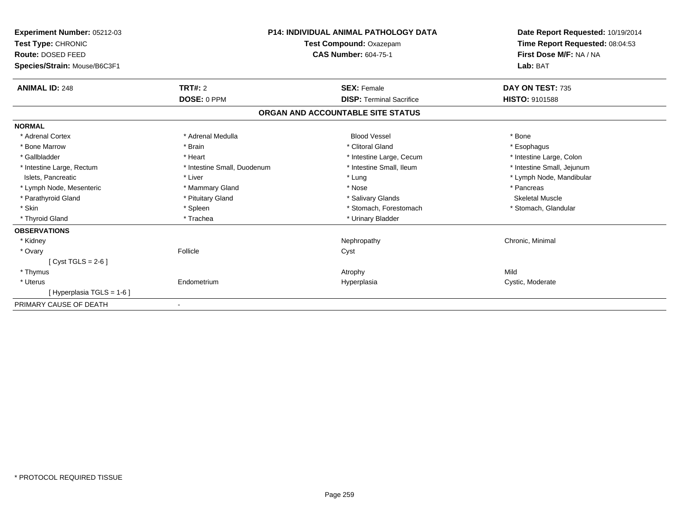| Experiment Number: 05212-03<br>Test Type: CHRONIC<br>Route: DOSED FEED<br>Species/Strain: Mouse/B6C3F1 | <b>P14: INDIVIDUAL ANIMAL PATHOLOGY DATA</b><br>Test Compound: Oxazepam<br><b>CAS Number: 604-75-1</b> |                                   | Date Report Requested: 10/19/2014<br>Time Report Requested: 08:04:53<br>First Dose M/F: NA / NA<br>Lab: BAT |
|--------------------------------------------------------------------------------------------------------|--------------------------------------------------------------------------------------------------------|-----------------------------------|-------------------------------------------------------------------------------------------------------------|
| <b>ANIMAL ID: 248</b>                                                                                  | <b>TRT#: 2</b>                                                                                         | <b>SEX: Female</b>                | DAY ON TEST: 735                                                                                            |
|                                                                                                        | DOSE: 0 PPM                                                                                            | <b>DISP: Terminal Sacrifice</b>   | <b>HISTO: 9101588</b>                                                                                       |
|                                                                                                        |                                                                                                        | ORGAN AND ACCOUNTABLE SITE STATUS |                                                                                                             |
| <b>NORMAL</b>                                                                                          |                                                                                                        |                                   |                                                                                                             |
| * Adrenal Cortex                                                                                       | * Adrenal Medulla                                                                                      | <b>Blood Vessel</b>               | * Bone                                                                                                      |
| * Bone Marrow                                                                                          | * Brain                                                                                                | * Clitoral Gland                  | * Esophagus                                                                                                 |
| * Gallbladder                                                                                          | * Heart                                                                                                | * Intestine Large, Cecum          | * Intestine Large, Colon                                                                                    |
| * Intestine Large, Rectum                                                                              | * Intestine Small, Duodenum                                                                            | * Intestine Small, Ileum          | * Intestine Small, Jejunum                                                                                  |
| Islets, Pancreatic                                                                                     | * Liver                                                                                                | * Lung                            | * Lymph Node, Mandibular                                                                                    |
| * Lymph Node, Mesenteric                                                                               | * Mammary Gland                                                                                        | * Nose                            | * Pancreas                                                                                                  |
| * Parathyroid Gland                                                                                    | * Pituitary Gland                                                                                      | * Salivary Glands                 | <b>Skeletal Muscle</b>                                                                                      |
| * Skin                                                                                                 | * Spleen                                                                                               | * Stomach, Forestomach            | * Stomach, Glandular                                                                                        |
| * Thyroid Gland                                                                                        | * Trachea                                                                                              | * Urinary Bladder                 |                                                                                                             |
| <b>OBSERVATIONS</b>                                                                                    |                                                                                                        |                                   |                                                                                                             |
| * Kidney                                                                                               |                                                                                                        | Nephropathy                       | Chronic, Minimal                                                                                            |
| * Ovary                                                                                                | Follicle                                                                                               | Cyst                              |                                                                                                             |
| [Cyst TGLS = $2-6$ ]                                                                                   |                                                                                                        |                                   |                                                                                                             |
| * Thymus                                                                                               |                                                                                                        | Atrophy                           | Mild                                                                                                        |
| * Uterus                                                                                               | Endometrium                                                                                            | Hyperplasia                       | Cystic, Moderate                                                                                            |
| [Hyperplasia TGLS = 1-6]                                                                               |                                                                                                        |                                   |                                                                                                             |
| PRIMARY CAUSE OF DEATH                                                                                 |                                                                                                        |                                   |                                                                                                             |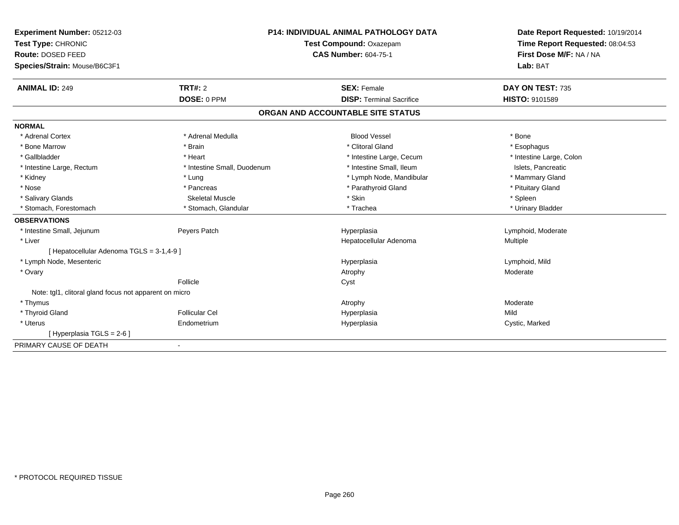| Experiment Number: 05212-03                            | <b>P14: INDIVIDUAL ANIMAL PATHOLOGY DATA</b> |                                   | Date Report Requested: 10/19/2014 |
|--------------------------------------------------------|----------------------------------------------|-----------------------------------|-----------------------------------|
| Test Type: CHRONIC                                     |                                              | Test Compound: Oxazepam           | Time Report Requested: 08:04:53   |
| Route: DOSED FEED                                      |                                              | <b>CAS Number: 604-75-1</b>       | First Dose M/F: NA / NA           |
| Species/Strain: Mouse/B6C3F1                           |                                              |                                   | Lab: BAT                          |
| <b>ANIMAL ID: 249</b>                                  | TRT#: 2                                      | <b>SEX: Female</b>                | DAY ON TEST: 735                  |
|                                                        | DOSE: 0 PPM                                  | <b>DISP: Terminal Sacrifice</b>   | <b>HISTO: 9101589</b>             |
|                                                        |                                              | ORGAN AND ACCOUNTABLE SITE STATUS |                                   |
| <b>NORMAL</b>                                          |                                              |                                   |                                   |
| * Adrenal Cortex                                       | * Adrenal Medulla                            | <b>Blood Vessel</b>               | * Bone                            |
| * Bone Marrow                                          | * Brain                                      | * Clitoral Gland                  | * Esophagus                       |
| * Gallbladder                                          | * Heart                                      | * Intestine Large, Cecum          | * Intestine Large, Colon          |
| * Intestine Large, Rectum                              | * Intestine Small, Duodenum                  | * Intestine Small, Ileum          | Islets, Pancreatic                |
| * Kidney                                               | * Lung                                       | * Lymph Node, Mandibular          | * Mammary Gland                   |
| * Nose                                                 | * Pancreas                                   | * Parathyroid Gland               | * Pituitary Gland                 |
| * Salivary Glands                                      | <b>Skeletal Muscle</b>                       | * Skin                            | * Spleen                          |
| * Stomach, Forestomach                                 | * Stomach, Glandular                         | * Trachea                         | * Urinary Bladder                 |
| <b>OBSERVATIONS</b>                                    |                                              |                                   |                                   |
| * Intestine Small, Jejunum                             | Peyers Patch                                 | Hyperplasia                       | Lymphoid, Moderate                |
| * Liver                                                |                                              | Hepatocellular Adenoma            | Multiple                          |
| [ Hepatocellular Adenoma TGLS = 3-1,4-9 ]              |                                              |                                   |                                   |
| * Lymph Node, Mesenteric                               |                                              | Hyperplasia                       | Lymphoid, Mild                    |
| * Ovary                                                |                                              | Atrophy                           | Moderate                          |
|                                                        | Follicle                                     | Cyst                              |                                   |
| Note: tgl1, clitoral gland focus not apparent on micro |                                              |                                   |                                   |
| * Thymus                                               |                                              | Atrophy                           | Moderate                          |
| * Thyroid Gland                                        | <b>Follicular Cel</b>                        | Hyperplasia                       | Mild                              |
| * Uterus                                               | Endometrium                                  | Hyperplasia                       | Cystic, Marked                    |
| [Hyperplasia TGLS = 2-6]                               |                                              |                                   |                                   |
| PRIMARY CAUSE OF DEATH                                 |                                              |                                   |                                   |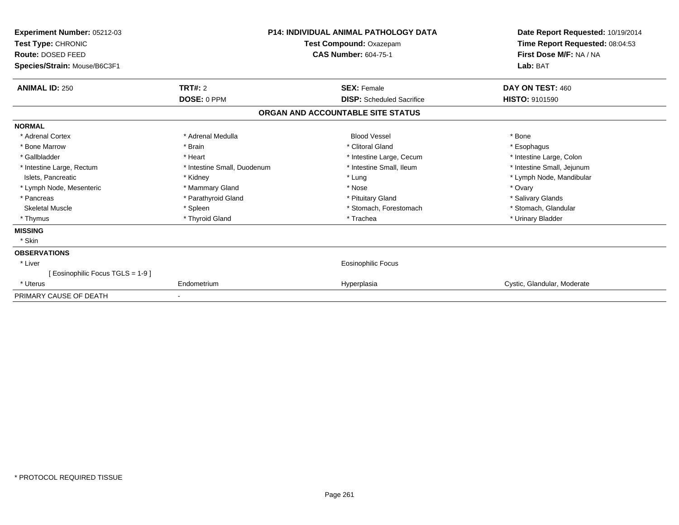| Experiment Number: 05212-03<br>Test Type: CHRONIC<br>Route: DOSED FEED<br>Species/Strain: Mouse/B6C3F1 | <b>P14: INDIVIDUAL ANIMAL PATHOLOGY DATA</b><br>Test Compound: Oxazepam<br><b>CAS Number: 604-75-1</b> |                                   | Date Report Requested: 10/19/2014<br>Time Report Requested: 08:04:53<br>First Dose M/F: NA / NA<br>Lab: BAT |  |
|--------------------------------------------------------------------------------------------------------|--------------------------------------------------------------------------------------------------------|-----------------------------------|-------------------------------------------------------------------------------------------------------------|--|
| <b>ANIMAL ID: 250</b>                                                                                  | <b>TRT#: 2</b>                                                                                         | <b>SEX: Female</b>                | DAY ON TEST: 460                                                                                            |  |
|                                                                                                        | DOSE: 0 PPM                                                                                            | <b>DISP:</b> Scheduled Sacrifice  | <b>HISTO: 9101590</b>                                                                                       |  |
|                                                                                                        |                                                                                                        | ORGAN AND ACCOUNTABLE SITE STATUS |                                                                                                             |  |
| <b>NORMAL</b>                                                                                          |                                                                                                        |                                   |                                                                                                             |  |
| * Adrenal Cortex                                                                                       | * Adrenal Medulla                                                                                      | <b>Blood Vessel</b>               | * Bone                                                                                                      |  |
| * Bone Marrow                                                                                          | * Brain                                                                                                | * Clitoral Gland                  | * Esophagus                                                                                                 |  |
| * Gallbladder                                                                                          | * Heart                                                                                                | * Intestine Large, Cecum          | * Intestine Large, Colon                                                                                    |  |
| * Intestine Large, Rectum                                                                              | * Intestine Small, Duodenum                                                                            | * Intestine Small, Ileum          | * Intestine Small, Jejunum                                                                                  |  |
| Islets, Pancreatic                                                                                     | * Kidney                                                                                               | * Lung                            | * Lymph Node, Mandibular                                                                                    |  |
| * Lymph Node, Mesenteric                                                                               | * Mammary Gland                                                                                        | * Nose                            | * Ovary                                                                                                     |  |
| * Pancreas                                                                                             | * Parathyroid Gland                                                                                    | * Pituitary Gland                 | * Salivary Glands                                                                                           |  |
| <b>Skeletal Muscle</b>                                                                                 | * Spleen                                                                                               | * Stomach, Forestomach            | * Stomach, Glandular                                                                                        |  |
| * Thymus                                                                                               | * Thyroid Gland                                                                                        | * Trachea                         | * Urinary Bladder                                                                                           |  |
| <b>MISSING</b>                                                                                         |                                                                                                        |                                   |                                                                                                             |  |
| * Skin                                                                                                 |                                                                                                        |                                   |                                                                                                             |  |
| <b>OBSERVATIONS</b>                                                                                    |                                                                                                        |                                   |                                                                                                             |  |
| * Liver                                                                                                |                                                                                                        | <b>Eosinophilic Focus</b>         |                                                                                                             |  |
| [ Eosinophilic Focus TGLS = 1-9 ]                                                                      |                                                                                                        |                                   |                                                                                                             |  |
| * Uterus                                                                                               | Endometrium                                                                                            | Hyperplasia                       | Cystic, Glandular, Moderate                                                                                 |  |
| PRIMARY CAUSE OF DEATH                                                                                 |                                                                                                        |                                   |                                                                                                             |  |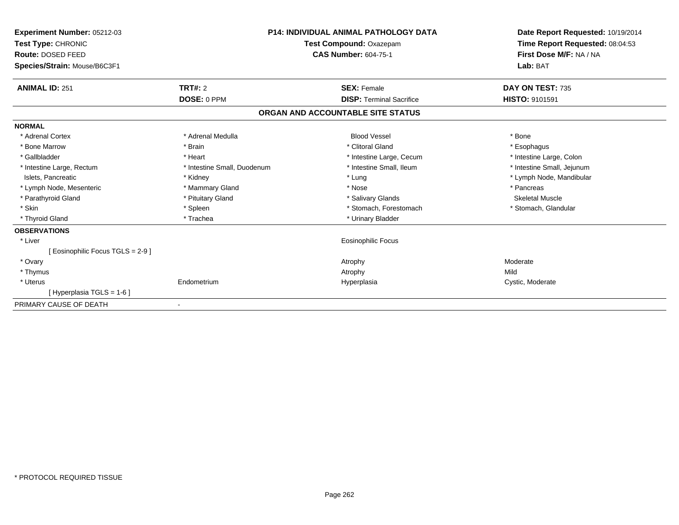| Experiment Number: 05212-03<br>Test Type: CHRONIC<br><b>Route: DOSED FEED</b><br>Species/Strain: Mouse/B6C3F1 | <b>P14: INDIVIDUAL ANIMAL PATHOLOGY DATA</b><br>Test Compound: Oxazepam<br><b>CAS Number: 604-75-1</b> |                                   | Date Report Requested: 10/19/2014<br>Time Report Requested: 08:04:53<br>First Dose M/F: NA / NA<br>Lab: BAT |
|---------------------------------------------------------------------------------------------------------------|--------------------------------------------------------------------------------------------------------|-----------------------------------|-------------------------------------------------------------------------------------------------------------|
| <b>ANIMAL ID: 251</b>                                                                                         | TRT#: 2                                                                                                | <b>SEX: Female</b>                | DAY ON TEST: 735                                                                                            |
|                                                                                                               | DOSE: 0 PPM                                                                                            | <b>DISP: Terminal Sacrifice</b>   | <b>HISTO: 9101591</b>                                                                                       |
|                                                                                                               |                                                                                                        | ORGAN AND ACCOUNTABLE SITE STATUS |                                                                                                             |
| <b>NORMAL</b>                                                                                                 |                                                                                                        |                                   |                                                                                                             |
| * Adrenal Cortex                                                                                              | * Adrenal Medulla                                                                                      | <b>Blood Vessel</b>               | * Bone                                                                                                      |
| * Bone Marrow                                                                                                 | * Brain                                                                                                | * Clitoral Gland                  | * Esophagus                                                                                                 |
| * Gallbladder                                                                                                 | * Heart                                                                                                | * Intestine Large, Cecum          | * Intestine Large, Colon                                                                                    |
| * Intestine Large, Rectum                                                                                     | * Intestine Small, Duodenum                                                                            | * Intestine Small. Ileum          | * Intestine Small, Jejunum                                                                                  |
| Islets, Pancreatic                                                                                            | * Kidney                                                                                               | * Lung                            | * Lymph Node, Mandibular                                                                                    |
| * Lymph Node, Mesenteric                                                                                      | * Mammary Gland                                                                                        | * Nose                            | * Pancreas                                                                                                  |
| * Parathyroid Gland                                                                                           | * Pituitary Gland                                                                                      | * Salivary Glands                 | <b>Skeletal Muscle</b>                                                                                      |
| * Skin                                                                                                        | * Spleen                                                                                               | * Stomach, Forestomach            | * Stomach, Glandular                                                                                        |
| * Thyroid Gland                                                                                               | * Trachea                                                                                              | * Urinary Bladder                 |                                                                                                             |
| <b>OBSERVATIONS</b>                                                                                           |                                                                                                        |                                   |                                                                                                             |
| * Liver                                                                                                       |                                                                                                        | <b>Eosinophilic Focus</b>         |                                                                                                             |
| [ Eosinophilic Focus TGLS = 2-9 ]                                                                             |                                                                                                        |                                   |                                                                                                             |
| * Ovary                                                                                                       |                                                                                                        | Atrophy                           | Moderate                                                                                                    |
| * Thymus                                                                                                      |                                                                                                        | Atrophy                           | Mild                                                                                                        |
| * Uterus                                                                                                      | Endometrium                                                                                            | Hyperplasia                       | Cystic, Moderate                                                                                            |
| [Hyperplasia TGLS = 1-6]                                                                                      |                                                                                                        |                                   |                                                                                                             |
| PRIMARY CAUSE OF DEATH                                                                                        |                                                                                                        |                                   |                                                                                                             |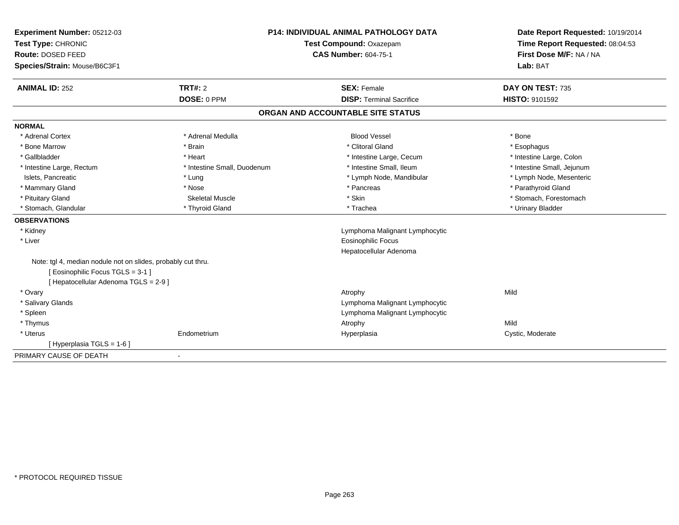| <b>Experiment Number: 05212-03</b>                           | <b>P14: INDIVIDUAL ANIMAL PATHOLOGY DATA</b><br>Test Compound: Oxazepam |                                   | Date Report Requested: 10/19/2014 |
|--------------------------------------------------------------|-------------------------------------------------------------------------|-----------------------------------|-----------------------------------|
| Test Type: CHRONIC                                           |                                                                         |                                   | Time Report Requested: 08:04:53   |
| Route: DOSED FEED                                            |                                                                         | <b>CAS Number: 604-75-1</b>       | First Dose M/F: NA / NA           |
| Species/Strain: Mouse/B6C3F1                                 |                                                                         |                                   | Lab: BAT                          |
|                                                              |                                                                         |                                   |                                   |
| TRT#: 2<br><b>ANIMAL ID: 252</b>                             |                                                                         | <b>SEX: Female</b>                | DAY ON TEST: 735                  |
|                                                              | DOSE: 0 PPM                                                             | <b>DISP: Terminal Sacrifice</b>   | HISTO: 9101592                    |
|                                                              |                                                                         | ORGAN AND ACCOUNTABLE SITE STATUS |                                   |
| <b>NORMAL</b>                                                |                                                                         |                                   |                                   |
| * Adrenal Cortex                                             | * Adrenal Medulla                                                       | <b>Blood Vessel</b>               | * Bone                            |
| * Bone Marrow<br>* Brain                                     |                                                                         | * Clitoral Gland                  | * Esophagus                       |
| * Gallbladder<br>* Heart                                     |                                                                         | * Intestine Large, Cecum          | * Intestine Large, Colon          |
| * Intestine Large, Rectum                                    | * Intestine Small, Duodenum                                             | * Intestine Small, Ileum          | * Intestine Small, Jejunum        |
| Islets, Pancreatic<br>* Lung                                 |                                                                         | * Lymph Node, Mandibular          | * Lymph Node, Mesenteric          |
| * Mammary Gland<br>* Nose                                    |                                                                         | * Pancreas                        | * Parathyroid Gland               |
| * Pituitary Gland                                            | <b>Skeletal Muscle</b>                                                  | * Skin                            | * Stomach, Forestomach            |
| * Stomach, Glandular                                         | * Thyroid Gland                                                         | * Trachea                         | * Urinary Bladder                 |
| <b>OBSERVATIONS</b>                                          |                                                                         |                                   |                                   |
| * Kidney                                                     |                                                                         | Lymphoma Malignant Lymphocytic    |                                   |
| * Liver                                                      |                                                                         | <b>Eosinophilic Focus</b>         |                                   |
|                                                              |                                                                         | Hepatocellular Adenoma            |                                   |
| Note: tgl 4, median nodule not on slides, probably cut thru. |                                                                         |                                   |                                   |
| [Eosinophilic Focus TGLS = 3-1]                              |                                                                         |                                   |                                   |
| [ Hepatocellular Adenoma TGLS = 2-9 ]                        |                                                                         |                                   |                                   |
| * Ovary                                                      |                                                                         | Atrophy                           | Mild                              |
| * Salivary Glands                                            |                                                                         | Lymphoma Malignant Lymphocytic    |                                   |
| * Spleen                                                     |                                                                         | Lymphoma Malignant Lymphocytic    |                                   |
| * Thymus                                                     |                                                                         | Atrophy                           | Mild                              |
| * Uterus<br>Endometrium                                      |                                                                         | Hyperplasia                       | Cystic, Moderate                  |
| [Hyperplasia TGLS = 1-6]                                     |                                                                         |                                   |                                   |
| PRIMARY CAUSE OF DEATH                                       |                                                                         |                                   |                                   |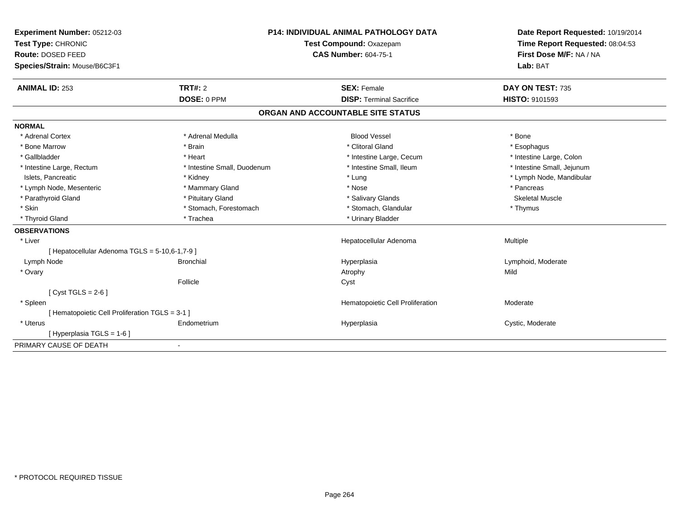| Experiment Number: 05212-03                     |                             | <b>P14: INDIVIDUAL ANIMAL PATHOLOGY DATA</b> | Date Report Requested: 10/19/2014 |
|-------------------------------------------------|-----------------------------|----------------------------------------------|-----------------------------------|
| Test Type: CHRONIC                              |                             | Test Compound: Oxazepam                      | Time Report Requested: 08:04:53   |
| Route: DOSED FEED                               |                             | <b>CAS Number: 604-75-1</b>                  | First Dose M/F: NA / NA           |
| Species/Strain: Mouse/B6C3F1                    |                             |                                              | Lab: BAT                          |
| <b>ANIMAL ID: 253</b>                           | <b>TRT#: 2</b>              | <b>SEX: Female</b>                           | DAY ON TEST: 735                  |
|                                                 | DOSE: 0 PPM                 | <b>DISP: Terminal Sacrifice</b>              | <b>HISTO: 9101593</b>             |
|                                                 |                             | ORGAN AND ACCOUNTABLE SITE STATUS            |                                   |
| <b>NORMAL</b>                                   |                             |                                              |                                   |
| * Adrenal Cortex                                | * Adrenal Medulla           | <b>Blood Vessel</b>                          | * Bone                            |
| * Bone Marrow                                   | * Brain                     | * Clitoral Gland                             | * Esophagus                       |
| * Gallbladder                                   | * Heart                     | * Intestine Large, Cecum                     | * Intestine Large, Colon          |
| * Intestine Large, Rectum                       | * Intestine Small, Duodenum | * Intestine Small, Ileum                     | * Intestine Small, Jejunum        |
| Islets, Pancreatic                              | * Kidney                    | * Lung                                       | * Lymph Node, Mandibular          |
| * Lymph Node, Mesenteric                        | * Mammary Gland             | * Nose                                       | * Pancreas                        |
| * Parathyroid Gland                             | * Pituitary Gland           | * Salivary Glands                            | <b>Skeletal Muscle</b>            |
| * Skin                                          | * Stomach, Forestomach      | * Stomach, Glandular                         | * Thymus                          |
| * Thyroid Gland                                 | * Trachea                   | * Urinary Bladder                            |                                   |
| <b>OBSERVATIONS</b>                             |                             |                                              |                                   |
| * Liver                                         |                             | Hepatocellular Adenoma                       | Multiple                          |
| [ Hepatocellular Adenoma TGLS = 5-10,6-1,7-9 ]  |                             |                                              |                                   |
| Lymph Node                                      | <b>Bronchial</b>            | Hyperplasia                                  | Lymphoid, Moderate                |
| * Ovary                                         |                             | Atrophy                                      | Mild                              |
|                                                 | Follicle                    | Cyst                                         |                                   |
| [ Cyst TGLS = $2-6$ ]                           |                             |                                              |                                   |
| * Spleen                                        |                             | Hematopoietic Cell Proliferation             | Moderate                          |
| [ Hematopoietic Cell Proliferation TGLS = 3-1 ] |                             |                                              |                                   |
| * Uterus                                        | Endometrium                 | Hyperplasia                                  | Cystic, Moderate                  |
| [Hyperplasia TGLS = 1-6]                        |                             |                                              |                                   |
| PRIMARY CAUSE OF DEATH                          | $\overline{\phantom{a}}$    |                                              |                                   |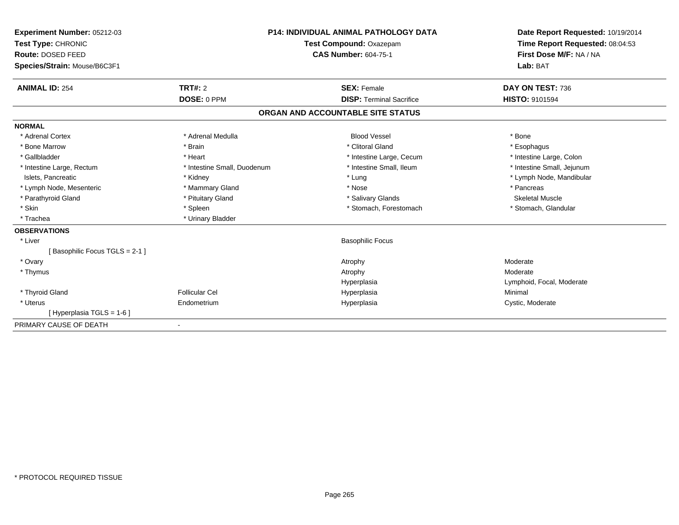| <b>Experiment Number: 05212-03</b> |                             | <b>P14: INDIVIDUAL ANIMAL PATHOLOGY DATA</b> | Date Report Requested: 10/19/2014 |
|------------------------------------|-----------------------------|----------------------------------------------|-----------------------------------|
| Test Type: CHRONIC                 | Test Compound: Oxazepam     |                                              | Time Report Requested: 08:04:53   |
| Route: DOSED FEED                  |                             | <b>CAS Number: 604-75-1</b>                  | First Dose M/F: NA / NA           |
| Species/Strain: Mouse/B6C3F1       |                             |                                              | Lab: BAT                          |
| <b>ANIMAL ID: 254</b>              | TRT#: 2                     | <b>SEX: Female</b>                           | DAY ON TEST: 736                  |
|                                    | DOSE: 0 PPM                 | <b>DISP: Terminal Sacrifice</b>              | <b>HISTO: 9101594</b>             |
|                                    |                             | ORGAN AND ACCOUNTABLE SITE STATUS            |                                   |
| <b>NORMAL</b>                      |                             |                                              |                                   |
| * Adrenal Cortex                   | * Adrenal Medulla           | <b>Blood Vessel</b>                          | * Bone                            |
| * Bone Marrow                      | * Brain                     | * Clitoral Gland                             | * Esophagus                       |
| * Gallbladder                      | * Heart                     | * Intestine Large, Cecum                     | * Intestine Large, Colon          |
| * Intestine Large, Rectum          | * Intestine Small, Duodenum | * Intestine Small, Ileum                     | * Intestine Small, Jejunum        |
| Islets, Pancreatic                 | * Kidney                    | * Lung                                       | * Lymph Node, Mandibular          |
| * Lymph Node, Mesenteric           | * Mammary Gland             | * Nose                                       | * Pancreas                        |
| * Parathyroid Gland                | * Pituitary Gland           | * Salivary Glands                            | <b>Skeletal Muscle</b>            |
| * Skin                             | * Spleen                    | * Stomach, Forestomach                       | * Stomach, Glandular              |
| * Trachea                          | * Urinary Bladder           |                                              |                                   |
| <b>OBSERVATIONS</b>                |                             |                                              |                                   |
| * Liver                            |                             | <b>Basophilic Focus</b>                      |                                   |
| [Basophilic Focus TGLS = 2-1]      |                             |                                              |                                   |
| * Ovary                            |                             | Atrophy                                      | Moderate                          |
| * Thymus                           |                             | Atrophy                                      | Moderate                          |
|                                    |                             | Hyperplasia                                  | Lymphoid, Focal, Moderate         |
| * Thyroid Gland                    | <b>Follicular Cel</b>       | Hyperplasia                                  | Minimal                           |
| * Uterus                           | Endometrium                 | Hyperplasia                                  | Cystic, Moderate                  |
| [Hyperplasia TGLS = $1-6$ ]        |                             |                                              |                                   |
| PRIMARY CAUSE OF DEATH             | $\overline{\phantom{a}}$    |                                              |                                   |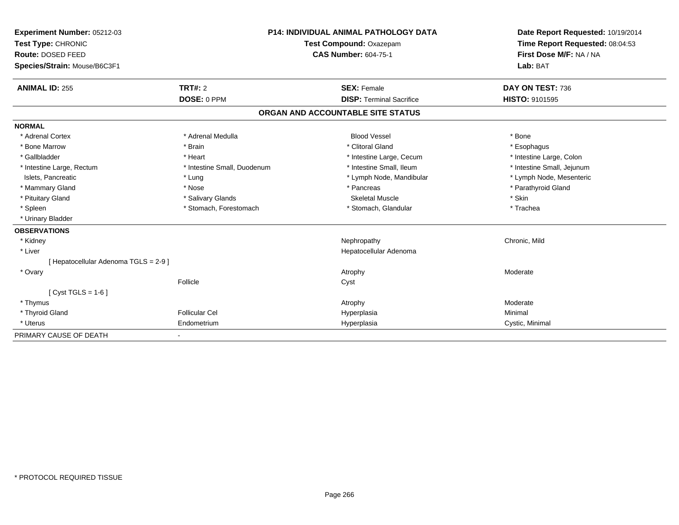| Experiment Number: 05212-03           |                                                        |  | <b>P14: INDIVIDUAL ANIMAL PATHOLOGY DATA</b> |                                 | Date Report Requested: 10/19/2014 |
|---------------------------------------|--------------------------------------------------------|--|----------------------------------------------|---------------------------------|-----------------------------------|
| Test Type: CHRONIC                    | Test Compound: Oxazepam<br><b>CAS Number: 604-75-1</b> |  |                                              | Time Report Requested: 08:04:53 |                                   |
| Route: DOSED FEED                     |                                                        |  |                                              | First Dose M/F: NA / NA         |                                   |
| Species/Strain: Mouse/B6C3F1          |                                                        |  |                                              |                                 | Lab: BAT                          |
| <b>ANIMAL ID: 255</b>                 | <b>TRT#: 2</b>                                         |  | <b>SEX: Female</b>                           |                                 | DAY ON TEST: 736                  |
|                                       | DOSE: 0 PPM                                            |  | <b>DISP: Terminal Sacrifice</b>              |                                 | <b>HISTO: 9101595</b>             |
|                                       |                                                        |  | ORGAN AND ACCOUNTABLE SITE STATUS            |                                 |                                   |
| <b>NORMAL</b>                         |                                                        |  |                                              |                                 |                                   |
| * Adrenal Cortex                      | * Adrenal Medulla                                      |  | <b>Blood Vessel</b>                          |                                 | * Bone                            |
| * Bone Marrow                         | * Brain                                                |  | * Clitoral Gland                             |                                 | * Esophagus                       |
| * Gallbladder                         | * Heart                                                |  | * Intestine Large, Cecum                     |                                 | * Intestine Large, Colon          |
| * Intestine Large, Rectum             | * Intestine Small, Duodenum                            |  | * Intestine Small. Ileum                     |                                 | * Intestine Small, Jejunum        |
| Islets, Pancreatic                    | * Lung                                                 |  | * Lymph Node, Mandibular                     |                                 | * Lymph Node, Mesenteric          |
| * Mammary Gland                       | * Nose                                                 |  | * Pancreas                                   |                                 | * Parathyroid Gland               |
| * Pituitary Gland                     | * Salivary Glands                                      |  | <b>Skeletal Muscle</b>                       |                                 | * Skin                            |
| * Spleen                              | * Stomach, Forestomach                                 |  | * Stomach, Glandular                         |                                 | * Trachea                         |
| * Urinary Bladder                     |                                                        |  |                                              |                                 |                                   |
| <b>OBSERVATIONS</b>                   |                                                        |  |                                              |                                 |                                   |
| * Kidney                              |                                                        |  | Nephropathy                                  |                                 | Chronic, Mild                     |
| * Liver                               |                                                        |  | Hepatocellular Adenoma                       |                                 |                                   |
| [ Hepatocellular Adenoma TGLS = 2-9 ] |                                                        |  |                                              |                                 |                                   |
| * Ovary                               |                                                        |  | Atrophy                                      |                                 | Moderate                          |
|                                       | Follicle                                               |  | Cyst                                         |                                 |                                   |
| [ $Cyst TGLS = 1-6$ ]                 |                                                        |  |                                              |                                 |                                   |
| * Thymus                              |                                                        |  | Atrophy                                      |                                 | Moderate                          |
| * Thyroid Gland                       | <b>Follicular Cel</b>                                  |  | Hyperplasia                                  |                                 | Minimal                           |
| * Uterus                              | Endometrium                                            |  | Hyperplasia                                  |                                 | Cystic, Minimal                   |
| PRIMARY CAUSE OF DEATH                |                                                        |  |                                              |                                 |                                   |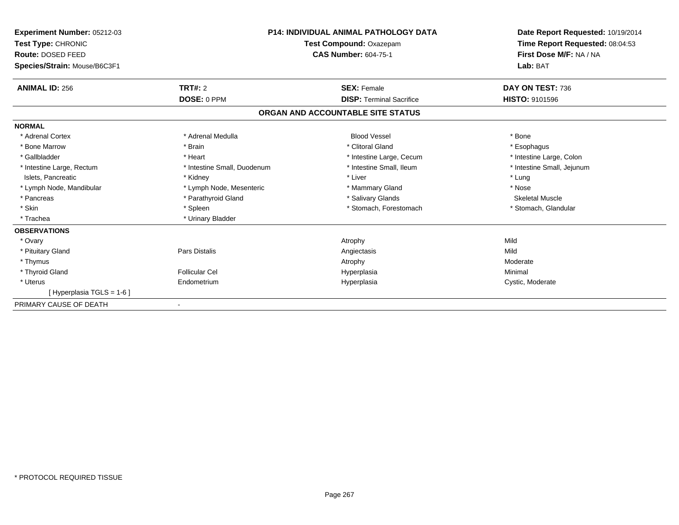| Experiment Number: 05212-03<br>Test Type: CHRONIC<br>Route: DOSED FEED<br>Species/Strain: Mouse/B6C3F1 | <b>P14: INDIVIDUAL ANIMAL PATHOLOGY DATA</b><br>Test Compound: Oxazepam<br><b>CAS Number: 604-75-1</b> |                                   | Date Report Requested: 10/19/2014<br>Time Report Requested: 08:04:53<br>First Dose M/F: NA / NA<br>Lab: BAT |
|--------------------------------------------------------------------------------------------------------|--------------------------------------------------------------------------------------------------------|-----------------------------------|-------------------------------------------------------------------------------------------------------------|
| <b>ANIMAL ID: 256</b>                                                                                  | <b>TRT#: 2</b>                                                                                         | <b>SEX: Female</b>                | DAY ON TEST: 736                                                                                            |
|                                                                                                        | DOSE: 0 PPM                                                                                            | <b>DISP: Terminal Sacrifice</b>   | HISTO: 9101596                                                                                              |
|                                                                                                        |                                                                                                        | ORGAN AND ACCOUNTABLE SITE STATUS |                                                                                                             |
| <b>NORMAL</b>                                                                                          |                                                                                                        |                                   |                                                                                                             |
| * Adrenal Cortex                                                                                       | * Adrenal Medulla                                                                                      | <b>Blood Vessel</b>               | * Bone                                                                                                      |
| * Bone Marrow                                                                                          | * Brain                                                                                                | * Clitoral Gland                  | * Esophagus                                                                                                 |
| * Gallbladder                                                                                          | * Heart                                                                                                | * Intestine Large, Cecum          | * Intestine Large, Colon                                                                                    |
| * Intestine Large, Rectum                                                                              | * Intestine Small, Duodenum                                                                            | * Intestine Small, Ileum          | * Intestine Small, Jejunum                                                                                  |
| Islets, Pancreatic                                                                                     | * Kidney                                                                                               | * Liver                           | * Lung                                                                                                      |
| * Lymph Node, Mandibular                                                                               | * Lymph Node, Mesenteric                                                                               | * Mammary Gland                   | * Nose                                                                                                      |
| * Pancreas                                                                                             | * Parathyroid Gland                                                                                    | * Salivary Glands                 | <b>Skeletal Muscle</b>                                                                                      |
| * Skin                                                                                                 | * Spleen                                                                                               | * Stomach, Forestomach            | * Stomach, Glandular                                                                                        |
| * Trachea                                                                                              | * Urinary Bladder                                                                                      |                                   |                                                                                                             |
| <b>OBSERVATIONS</b>                                                                                    |                                                                                                        |                                   |                                                                                                             |
| * Ovary                                                                                                |                                                                                                        | Atrophy                           | Mild                                                                                                        |
| * Pituitary Gland                                                                                      | Pars Distalis                                                                                          | Angiectasis                       | Mild                                                                                                        |
| * Thymus                                                                                               |                                                                                                        | Atrophy                           | Moderate                                                                                                    |
| * Thyroid Gland                                                                                        | <b>Follicular Cel</b>                                                                                  | Hyperplasia                       | Minimal                                                                                                     |
| * Uterus                                                                                               | Endometrium                                                                                            | Hyperplasia                       | Cystic, Moderate                                                                                            |
| [Hyperplasia TGLS = 1-6]                                                                               |                                                                                                        |                                   |                                                                                                             |
| PRIMARY CAUSE OF DEATH                                                                                 |                                                                                                        |                                   |                                                                                                             |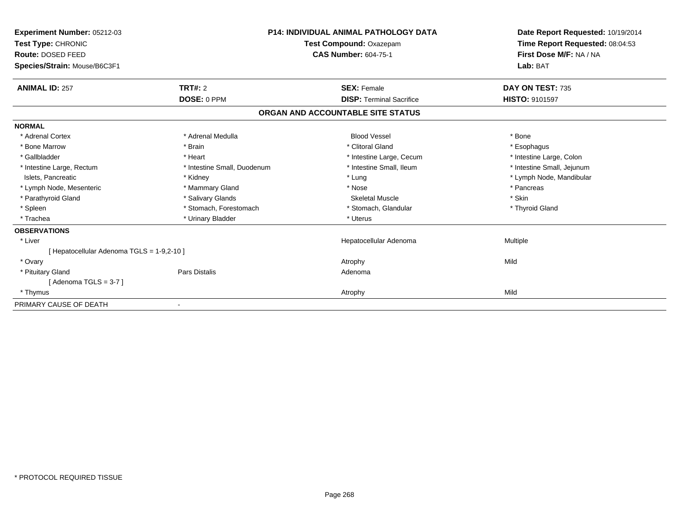| Experiment Number: 05212-03<br>Test Type: CHRONIC<br>Route: DOSED FEED<br>Species/Strain: Mouse/B6C3F1 |                             | <b>P14: INDIVIDUAL ANIMAL PATHOLOGY DATA</b><br>Test Compound: Oxazepam<br><b>CAS Number: 604-75-1</b> | Date Report Requested: 10/19/2014<br>Time Report Requested: 08:04:53<br>First Dose M/F: NA / NA<br>Lab: BAT |
|--------------------------------------------------------------------------------------------------------|-----------------------------|--------------------------------------------------------------------------------------------------------|-------------------------------------------------------------------------------------------------------------|
| <b>ANIMAL ID: 257</b>                                                                                  | TRT#: 2                     | <b>SEX: Female</b>                                                                                     | DAY ON TEST: 735                                                                                            |
|                                                                                                        | DOSE: 0 PPM                 | <b>DISP: Terminal Sacrifice</b>                                                                        | HISTO: 9101597                                                                                              |
|                                                                                                        |                             | ORGAN AND ACCOUNTABLE SITE STATUS                                                                      |                                                                                                             |
| <b>NORMAL</b>                                                                                          |                             |                                                                                                        |                                                                                                             |
| * Adrenal Cortex                                                                                       | * Adrenal Medulla           | <b>Blood Vessel</b>                                                                                    | * Bone                                                                                                      |
| * Bone Marrow                                                                                          | * Brain                     | * Clitoral Gland                                                                                       | * Esophagus                                                                                                 |
| * Gallbladder                                                                                          | * Heart                     | * Intestine Large, Cecum                                                                               | * Intestine Large, Colon                                                                                    |
| * Intestine Large, Rectum                                                                              | * Intestine Small, Duodenum | * Intestine Small, Ileum                                                                               | * Intestine Small, Jejunum                                                                                  |
| Islets, Pancreatic                                                                                     | * Kidney                    | * Lung                                                                                                 | * Lymph Node, Mandibular                                                                                    |
| * Lymph Node, Mesenteric                                                                               | * Mammary Gland             | * Nose                                                                                                 | * Pancreas                                                                                                  |
| * Parathyroid Gland                                                                                    | * Salivary Glands           | <b>Skeletal Muscle</b>                                                                                 | * Skin                                                                                                      |
| * Spleen                                                                                               | * Stomach, Forestomach      | * Stomach, Glandular                                                                                   | * Thyroid Gland                                                                                             |
| * Trachea                                                                                              | * Urinary Bladder           | * Uterus                                                                                               |                                                                                                             |
| <b>OBSERVATIONS</b>                                                                                    |                             |                                                                                                        |                                                                                                             |
| * Liver                                                                                                |                             | Hepatocellular Adenoma                                                                                 | Multiple                                                                                                    |
| [ Hepatocellular Adenoma TGLS = 1-9,2-10 ]                                                             |                             |                                                                                                        |                                                                                                             |
| * Ovary                                                                                                |                             | Atrophy                                                                                                | Mild                                                                                                        |
| * Pituitary Gland                                                                                      | <b>Pars Distalis</b>        | Adenoma                                                                                                |                                                                                                             |
| [Adenoma TGLS = $3-7$ ]                                                                                |                             |                                                                                                        |                                                                                                             |
| * Thymus                                                                                               |                             | Atrophy                                                                                                | Mild                                                                                                        |
| PRIMARY CAUSE OF DEATH                                                                                 |                             |                                                                                                        |                                                                                                             |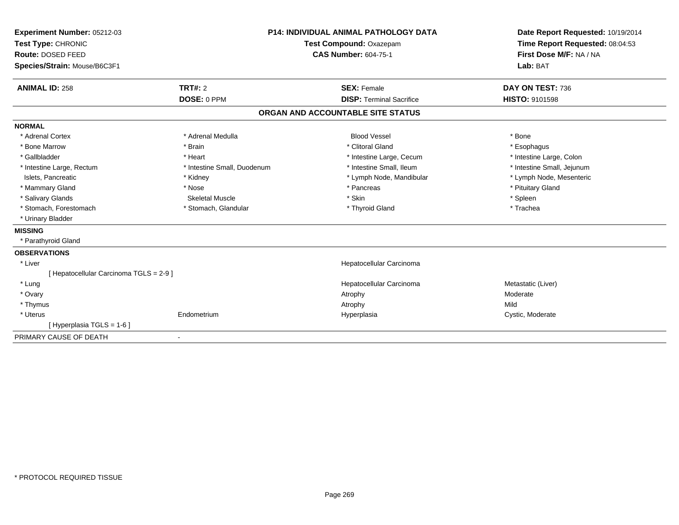| Experiment Number: 05212-03<br>Test Type: CHRONIC |                             | <b>P14: INDIVIDUAL ANIMAL PATHOLOGY DATA</b> | Date Report Requested: 10/19/2014<br>Time Report Requested: 08:04:53 |
|---------------------------------------------------|-----------------------------|----------------------------------------------|----------------------------------------------------------------------|
|                                                   |                             | Test Compound: Oxazepam                      |                                                                      |
| Route: DOSED FEED                                 |                             | <b>CAS Number: 604-75-1</b>                  | First Dose M/F: NA / NA                                              |
| Species/Strain: Mouse/B6C3F1                      |                             |                                              | Lab: BAT                                                             |
| <b>ANIMAL ID: 258</b>                             | TRT#: 2                     | <b>SEX: Female</b>                           | DAY ON TEST: 736                                                     |
|                                                   | DOSE: 0 PPM                 | <b>DISP: Terminal Sacrifice</b>              | <b>HISTO: 9101598</b>                                                |
|                                                   |                             | ORGAN AND ACCOUNTABLE SITE STATUS            |                                                                      |
| <b>NORMAL</b>                                     |                             |                                              |                                                                      |
| * Adrenal Cortex                                  | * Adrenal Medulla           | <b>Blood Vessel</b>                          | * Bone                                                               |
| * Bone Marrow                                     | * Brain                     | * Clitoral Gland                             | * Esophagus                                                          |
| * Gallbladder                                     | * Heart                     | * Intestine Large, Cecum                     | * Intestine Large, Colon                                             |
| * Intestine Large, Rectum                         | * Intestine Small, Duodenum | * Intestine Small, Ileum                     | * Intestine Small, Jejunum                                           |
| Islets, Pancreatic                                | * Kidney                    | * Lymph Node, Mandibular                     | * Lymph Node, Mesenteric                                             |
| * Mammary Gland                                   | * Nose                      | * Pancreas                                   | * Pituitary Gland                                                    |
| * Salivary Glands                                 | <b>Skeletal Muscle</b>      | * Skin                                       | * Spleen                                                             |
| * Stomach, Forestomach                            | * Stomach, Glandular        | * Thyroid Gland                              | * Trachea                                                            |
| * Urinary Bladder                                 |                             |                                              |                                                                      |
| <b>MISSING</b>                                    |                             |                                              |                                                                      |
| * Parathyroid Gland                               |                             |                                              |                                                                      |
| <b>OBSERVATIONS</b>                               |                             |                                              |                                                                      |
| * Liver                                           |                             | Hepatocellular Carcinoma                     |                                                                      |
| [ Hepatocellular Carcinoma TGLS = 2-9 ]           |                             |                                              |                                                                      |
| * Lung                                            |                             | Hepatocellular Carcinoma                     | Metastatic (Liver)                                                   |
| * Ovary                                           |                             | Atrophy                                      | Moderate                                                             |
| * Thymus                                          |                             | Atrophy                                      | Mild                                                                 |
| * Uterus                                          | Endometrium                 | Hyperplasia                                  | Cystic, Moderate                                                     |
| [ Hyperplasia TGLS = 1-6 ]                        |                             |                                              |                                                                      |
| PRIMARY CAUSE OF DEATH                            |                             |                                              |                                                                      |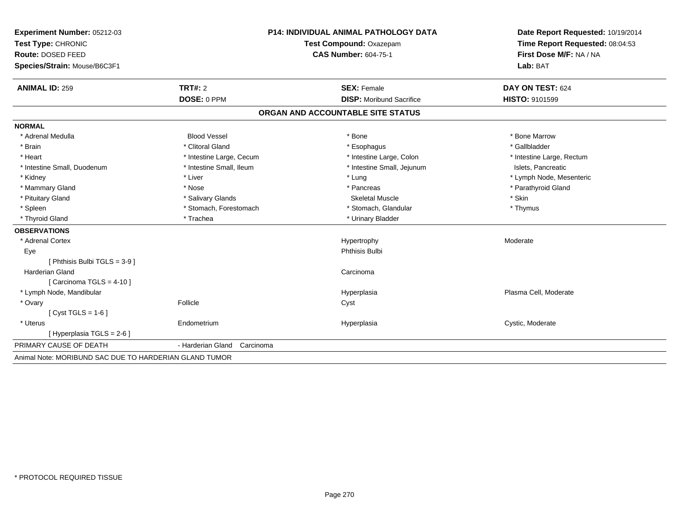| Experiment Number: 05212-03                            | <b>P14: INDIVIDUAL ANIMAL PATHOLOGY DATA</b> |                                   | Date Report Requested: 10/19/2014 |
|--------------------------------------------------------|----------------------------------------------|-----------------------------------|-----------------------------------|
| Test Type: CHRONIC                                     |                                              | Test Compound: Oxazepam           | Time Report Requested: 08:04:53   |
| Route: DOSED FEED                                      |                                              | <b>CAS Number: 604-75-1</b>       | First Dose M/F: NA / NA           |
| Species/Strain: Mouse/B6C3F1                           |                                              |                                   | Lab: BAT                          |
| <b>ANIMAL ID: 259</b>                                  | <b>TRT#: 2</b>                               | <b>SEX: Female</b>                | DAY ON TEST: 624                  |
|                                                        | DOSE: 0 PPM                                  | <b>DISP:</b> Moribund Sacrifice   | <b>HISTO: 9101599</b>             |
|                                                        |                                              | ORGAN AND ACCOUNTABLE SITE STATUS |                                   |
| <b>NORMAL</b>                                          |                                              |                                   |                                   |
| * Adrenal Medulla                                      | <b>Blood Vessel</b>                          | * Bone                            | * Bone Marrow                     |
| * Brain                                                | * Clitoral Gland                             | * Esophagus                       | * Gallbladder                     |
| * Heart                                                | * Intestine Large, Cecum                     | * Intestine Large, Colon          | * Intestine Large, Rectum         |
| * Intestine Small, Duodenum                            | * Intestine Small, Ileum                     | * Intestine Small, Jejunum        | Islets, Pancreatic                |
| * Kidney                                               | * Liver                                      | * Lung                            | * Lymph Node, Mesenteric          |
| * Mammary Gland                                        | * Nose                                       | * Pancreas                        | * Parathyroid Gland               |
| * Pituitary Gland                                      | * Salivary Glands                            | <b>Skeletal Muscle</b>            | * Skin                            |
| * Spleen                                               | * Stomach, Forestomach                       | * Stomach, Glandular              | * Thymus                          |
| * Thyroid Gland                                        | * Trachea                                    | * Urinary Bladder                 |                                   |
| <b>OBSERVATIONS</b>                                    |                                              |                                   |                                   |
| * Adrenal Cortex                                       |                                              | Hypertrophy                       | Moderate                          |
| Eye                                                    |                                              | Phthisis Bulbi                    |                                   |
| [ Phthisis Bulbi TGLS = 3-9 ]                          |                                              |                                   |                                   |
| Harderian Gland                                        |                                              | Carcinoma                         |                                   |
| [ Carcinoma TGLS = $4-10$ ]                            |                                              |                                   |                                   |
| * Lymph Node, Mandibular                               |                                              | Hyperplasia                       | Plasma Cell, Moderate             |
| * Ovary                                                | Follicle                                     | Cyst                              |                                   |
| [ $Cyst TGLS = 1-6$ ]                                  |                                              |                                   |                                   |
| * Uterus                                               | Endometrium                                  | Hyperplasia                       | Cystic, Moderate                  |
| [ Hyperplasia TGLS = 2-6 ]                             |                                              |                                   |                                   |
| PRIMARY CAUSE OF DEATH                                 | - Harderian Gland<br>Carcinoma               |                                   |                                   |
| Animal Note: MORIBUND SAC DUE TO HARDERIAN GLAND TUMOR |                                              |                                   |                                   |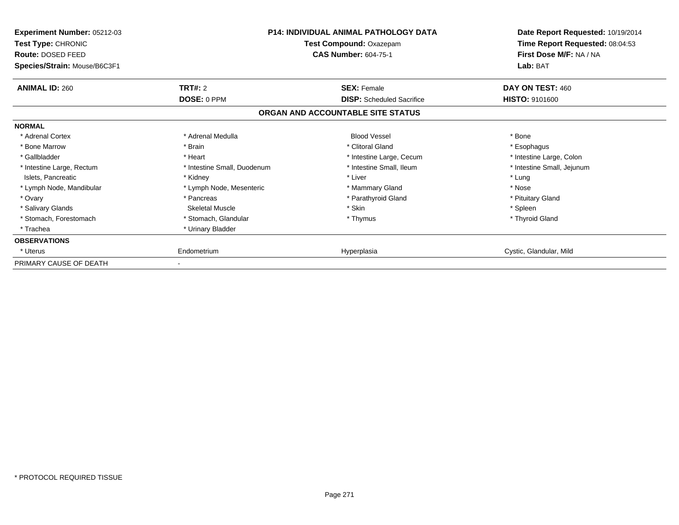| Experiment Number: 05212-03<br><b>Test Type: CHRONIC</b><br>Route: DOSED FEED<br>Species/Strain: Mouse/B6C3F1 |                             | <b>P14: INDIVIDUAL ANIMAL PATHOLOGY DATA</b><br>Test Compound: Oxazepam<br><b>CAS Number: 604-75-1</b> | Date Report Requested: 10/19/2014<br>Time Report Requested: 08:04:53<br>First Dose M/F: NA / NA<br>Lab: BAT |
|---------------------------------------------------------------------------------------------------------------|-----------------------------|--------------------------------------------------------------------------------------------------------|-------------------------------------------------------------------------------------------------------------|
| <b>ANIMAL ID: 260</b>                                                                                         | <b>TRT#: 2</b>              | <b>SEX: Female</b>                                                                                     | DAY ON TEST: 460                                                                                            |
|                                                                                                               | DOSE: 0 PPM                 | <b>DISP:</b> Scheduled Sacrifice                                                                       | <b>HISTO: 9101600</b>                                                                                       |
|                                                                                                               |                             | ORGAN AND ACCOUNTABLE SITE STATUS                                                                      |                                                                                                             |
| <b>NORMAL</b>                                                                                                 |                             |                                                                                                        |                                                                                                             |
| * Adrenal Cortex                                                                                              | * Adrenal Medulla           | <b>Blood Vessel</b>                                                                                    | * Bone                                                                                                      |
| * Bone Marrow                                                                                                 | * Brain                     | * Clitoral Gland                                                                                       | * Esophagus                                                                                                 |
| * Gallbladder                                                                                                 | * Heart                     | * Intestine Large, Cecum                                                                               | * Intestine Large, Colon                                                                                    |
| * Intestine Large, Rectum                                                                                     | * Intestine Small, Duodenum | * Intestine Small, Ileum                                                                               | * Intestine Small, Jejunum                                                                                  |
| Islets, Pancreatic                                                                                            | * Kidney                    | * Liver                                                                                                | * Lung                                                                                                      |
| * Lymph Node, Mandibular                                                                                      | * Lymph Node, Mesenteric    | * Mammary Gland                                                                                        | * Nose                                                                                                      |
| * Ovary                                                                                                       | * Pancreas                  | * Parathyroid Gland                                                                                    | * Pituitary Gland                                                                                           |
| * Salivary Glands                                                                                             | Skeletal Muscle             | * Skin                                                                                                 | * Spleen                                                                                                    |
| * Stomach, Forestomach                                                                                        | * Stomach, Glandular        | * Thymus                                                                                               | * Thyroid Gland                                                                                             |
| * Trachea                                                                                                     | * Urinary Bladder           |                                                                                                        |                                                                                                             |
| <b>OBSERVATIONS</b>                                                                                           |                             |                                                                                                        |                                                                                                             |
| * Uterus                                                                                                      | Endometrium                 | Hyperplasia                                                                                            | Cystic, Glandular, Mild                                                                                     |
| PRIMARY CAUSE OF DEATH                                                                                        |                             |                                                                                                        |                                                                                                             |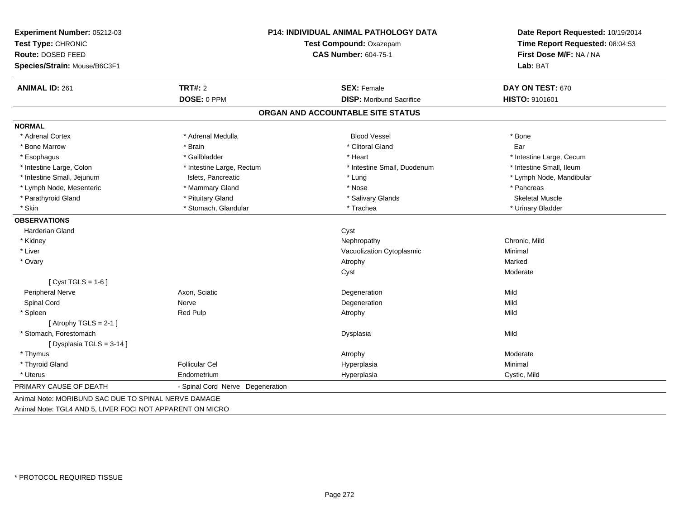| Experiment Number: 05212-03                          |                                  | P14: INDIVIDUAL ANIMAL PATHOLOGY DATA | Date Report Requested: 10/19/2014 |  |
|------------------------------------------------------|----------------------------------|---------------------------------------|-----------------------------------|--|
| Test Type: CHRONIC                                   |                                  | Test Compound: Oxazepam               | Time Report Requested: 08:04:53   |  |
| Route: DOSED FEED                                    |                                  | <b>CAS Number: 604-75-1</b>           | First Dose M/F: NA / NA           |  |
| Species/Strain: Mouse/B6C3F1                         |                                  |                                       | Lab: BAT                          |  |
| <b>ANIMAL ID: 261</b>                                | <b>TRT#: 2</b>                   | <b>SEX: Female</b>                    | DAY ON TEST: 670                  |  |
|                                                      | DOSE: 0 PPM                      | <b>DISP:</b> Moribund Sacrifice       | HISTO: 9101601                    |  |
|                                                      |                                  | ORGAN AND ACCOUNTABLE SITE STATUS     |                                   |  |
| <b>NORMAL</b>                                        |                                  |                                       |                                   |  |
| * Adrenal Cortex                                     | * Adrenal Medulla                | <b>Blood Vessel</b>                   | * Bone                            |  |
| * Bone Marrow                                        | * Brain                          | * Clitoral Gland                      | Ear                               |  |
| * Esophagus                                          | * Gallbladder                    | * Heart                               | * Intestine Large, Cecum          |  |
| * Intestine Large, Colon                             | * Intestine Large, Rectum        | * Intestine Small, Duodenum           | * Intestine Small, Ileum          |  |
| * Intestine Small, Jejunum                           | Islets, Pancreatic               | * Lung                                | * Lymph Node, Mandibular          |  |
| * Lymph Node, Mesenteric                             | * Mammary Gland                  | * Nose                                | * Pancreas                        |  |
| * Parathyroid Gland                                  | * Pituitary Gland                | * Salivary Glands                     | <b>Skeletal Muscle</b>            |  |
| * Skin                                               | * Stomach, Glandular             | * Trachea                             | * Urinary Bladder                 |  |
| <b>OBSERVATIONS</b>                                  |                                  |                                       |                                   |  |
| Harderian Gland                                      |                                  | Cyst                                  |                                   |  |
| * Kidney                                             |                                  | Nephropathy                           | Chronic, Mild                     |  |
| * Liver                                              |                                  | Vacuolization Cytoplasmic             | Minimal                           |  |
| * Ovary                                              |                                  | Atrophy                               | Marked                            |  |
|                                                      |                                  | Cyst                                  | Moderate                          |  |
| [ $Cyst TGLS = 1-6$ ]                                |                                  |                                       |                                   |  |
| <b>Peripheral Nerve</b>                              | Axon, Sciatic                    | Degeneration                          | Mild                              |  |
| Spinal Cord                                          | Nerve                            | Degeneration                          | Mild                              |  |
| * Spleen                                             | Red Pulp                         | Atrophy                               | Mild                              |  |
| [Atrophy TGLS = $2-1$ ]                              |                                  |                                       |                                   |  |
| * Stomach, Forestomach                               |                                  | Dysplasia                             | Mild                              |  |
| [Dysplasia TGLS = 3-14]                              |                                  |                                       |                                   |  |
| * Thymus                                             |                                  | Atrophy                               | Moderate                          |  |
| * Thyroid Gland                                      | <b>Follicular Cel</b>            | Hyperplasia                           | Minimal                           |  |
| * Uterus                                             | Endometrium                      | Hyperplasia                           | Cystic, Mild                      |  |
| PRIMARY CAUSE OF DEATH                               | - Spinal Cord Nerve Degeneration |                                       |                                   |  |
| Animal Note: MORIBUND SAC DUE TO SPINAL NERVE DAMAGE |                                  |                                       |                                   |  |

Animal Note: TGL4 AND 5, LIVER FOCI NOT APPARENT ON MICRO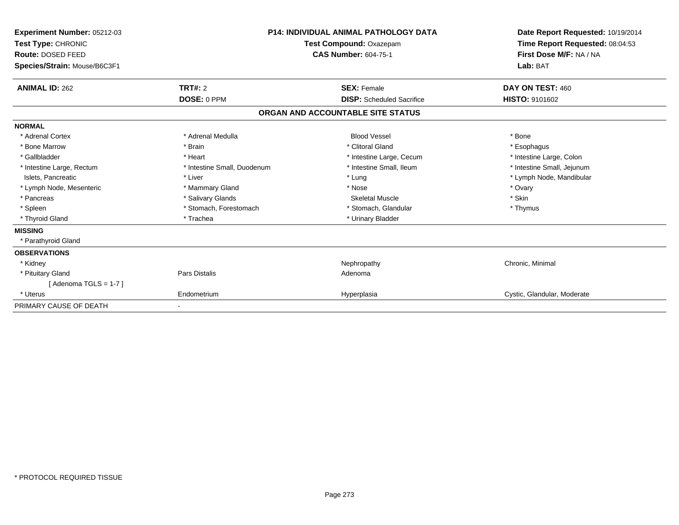| Experiment Number: 05212-03<br>Test Type: CHRONIC<br>Route: DOSED FEED<br>Species/Strain: Mouse/B6C3F1 | P14: INDIVIDUAL ANIMAL PATHOLOGY DATA<br>Test Compound: Oxazepam<br><b>CAS Number: 604-75-1</b> |                                   | Date Report Requested: 10/19/2014<br>Time Report Requested: 08:04:53<br>First Dose M/F: NA / NA<br>Lab: BAT |
|--------------------------------------------------------------------------------------------------------|-------------------------------------------------------------------------------------------------|-----------------------------------|-------------------------------------------------------------------------------------------------------------|
| <b>ANIMAL ID: 262</b>                                                                                  | TRT#: 2                                                                                         | <b>SEX: Female</b>                | DAY ON TEST: 460                                                                                            |
|                                                                                                        | DOSE: 0 PPM                                                                                     | <b>DISP:</b> Scheduled Sacrifice  | HISTO: 9101602                                                                                              |
|                                                                                                        |                                                                                                 | ORGAN AND ACCOUNTABLE SITE STATUS |                                                                                                             |
| <b>NORMAL</b>                                                                                          |                                                                                                 |                                   |                                                                                                             |
| * Adrenal Cortex                                                                                       | * Adrenal Medulla                                                                               | <b>Blood Vessel</b>               | * Bone                                                                                                      |
| * Bone Marrow                                                                                          | * Brain                                                                                         | * Clitoral Gland                  | * Esophagus                                                                                                 |
| * Gallbladder                                                                                          | * Heart                                                                                         | * Intestine Large, Cecum          | * Intestine Large, Colon                                                                                    |
| * Intestine Large, Rectum                                                                              | * Intestine Small, Duodenum                                                                     | * Intestine Small, Ileum          | * Intestine Small, Jejunum                                                                                  |
| Islets, Pancreatic                                                                                     | * Liver                                                                                         | * Lung                            | * Lymph Node, Mandibular                                                                                    |
| * Lymph Node, Mesenteric                                                                               | * Mammary Gland                                                                                 | * Nose                            | * Ovary                                                                                                     |
| * Pancreas                                                                                             | * Salivary Glands                                                                               | <b>Skeletal Muscle</b>            | * Skin                                                                                                      |
| * Spleen                                                                                               | * Stomach, Forestomach                                                                          | * Stomach, Glandular              | * Thymus                                                                                                    |
| * Thyroid Gland                                                                                        | * Trachea                                                                                       | * Urinary Bladder                 |                                                                                                             |
| <b>MISSING</b>                                                                                         |                                                                                                 |                                   |                                                                                                             |
| * Parathyroid Gland                                                                                    |                                                                                                 |                                   |                                                                                                             |
| <b>OBSERVATIONS</b>                                                                                    |                                                                                                 |                                   |                                                                                                             |
| * Kidney                                                                                               |                                                                                                 | Nephropathy                       | Chronic, Minimal                                                                                            |
| * Pituitary Gland                                                                                      | Pars Distalis                                                                                   | Adenoma                           |                                                                                                             |
| [Adenoma TGLS = $1-7$ ]                                                                                |                                                                                                 |                                   |                                                                                                             |
| * Uterus                                                                                               | Endometrium                                                                                     | Hyperplasia                       | Cystic, Glandular, Moderate                                                                                 |
| PRIMARY CAUSE OF DEATH                                                                                 |                                                                                                 |                                   |                                                                                                             |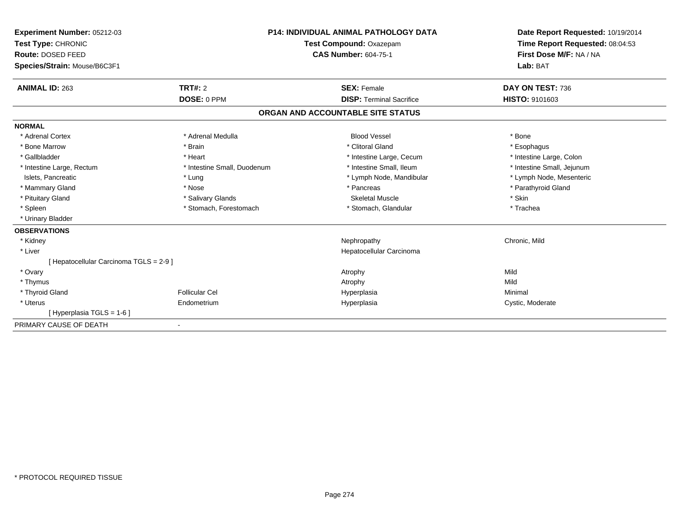| Experiment Number: 05212-03<br>Test Type: CHRONIC<br>Route: DOSED FEED<br>Species/Strain: Mouse/B6C3F1 | <b>P14: INDIVIDUAL ANIMAL PATHOLOGY DATA</b><br>Test Compound: Oxazepam<br><b>CAS Number: 604-75-1</b> |                                   | Date Report Requested: 10/19/2014<br>Time Report Requested: 08:04:53<br>First Dose M/F: NA / NA<br>Lab: BAT |  |
|--------------------------------------------------------------------------------------------------------|--------------------------------------------------------------------------------------------------------|-----------------------------------|-------------------------------------------------------------------------------------------------------------|--|
| <b>ANIMAL ID: 263</b>                                                                                  | TRT#: 2                                                                                                | <b>SEX: Female</b>                | DAY ON TEST: 736                                                                                            |  |
|                                                                                                        | DOSE: 0 PPM                                                                                            | <b>DISP: Terminal Sacrifice</b>   | <b>HISTO: 9101603</b>                                                                                       |  |
|                                                                                                        |                                                                                                        | ORGAN AND ACCOUNTABLE SITE STATUS |                                                                                                             |  |
| <b>NORMAL</b>                                                                                          |                                                                                                        |                                   |                                                                                                             |  |
| * Adrenal Cortex                                                                                       | * Adrenal Medulla                                                                                      | <b>Blood Vessel</b>               | * Bone                                                                                                      |  |
| * Bone Marrow                                                                                          | * Brain                                                                                                | * Clitoral Gland                  | * Esophagus                                                                                                 |  |
| * Gallbladder                                                                                          | * Heart                                                                                                | * Intestine Large, Cecum          | * Intestine Large, Colon                                                                                    |  |
| * Intestine Large, Rectum                                                                              | * Intestine Small, Duodenum                                                                            | * Intestine Small, Ileum          | * Intestine Small, Jejunum                                                                                  |  |
| Islets, Pancreatic                                                                                     | * Lung                                                                                                 | * Lymph Node, Mandibular          | * Lymph Node, Mesenteric                                                                                    |  |
| * Mammary Gland                                                                                        | * Nose                                                                                                 | * Pancreas                        | * Parathyroid Gland                                                                                         |  |
| * Pituitary Gland                                                                                      | * Salivary Glands                                                                                      | <b>Skeletal Muscle</b>            | * Skin                                                                                                      |  |
| * Spleen                                                                                               | * Stomach, Forestomach                                                                                 | * Stomach, Glandular              | * Trachea                                                                                                   |  |
| * Urinary Bladder                                                                                      |                                                                                                        |                                   |                                                                                                             |  |
| <b>OBSERVATIONS</b>                                                                                    |                                                                                                        |                                   |                                                                                                             |  |
| * Kidney                                                                                               |                                                                                                        | Nephropathy                       | Chronic, Mild                                                                                               |  |
| * Liver                                                                                                |                                                                                                        | Hepatocellular Carcinoma          |                                                                                                             |  |
| [ Hepatocellular Carcinoma TGLS = 2-9 ]                                                                |                                                                                                        |                                   |                                                                                                             |  |
| * Ovary                                                                                                |                                                                                                        | Atrophy                           | Mild                                                                                                        |  |
| * Thymus                                                                                               |                                                                                                        | Atrophy                           | Mild                                                                                                        |  |
| * Thyroid Gland                                                                                        | <b>Follicular Cel</b>                                                                                  | Hyperplasia                       | Minimal                                                                                                     |  |
| * Uterus                                                                                               | Endometrium                                                                                            | Hyperplasia                       | Cystic, Moderate                                                                                            |  |
| [Hyperplasia TGLS = 1-6]                                                                               |                                                                                                        |                                   |                                                                                                             |  |
| PRIMARY CAUSE OF DEATH                                                                                 |                                                                                                        |                                   |                                                                                                             |  |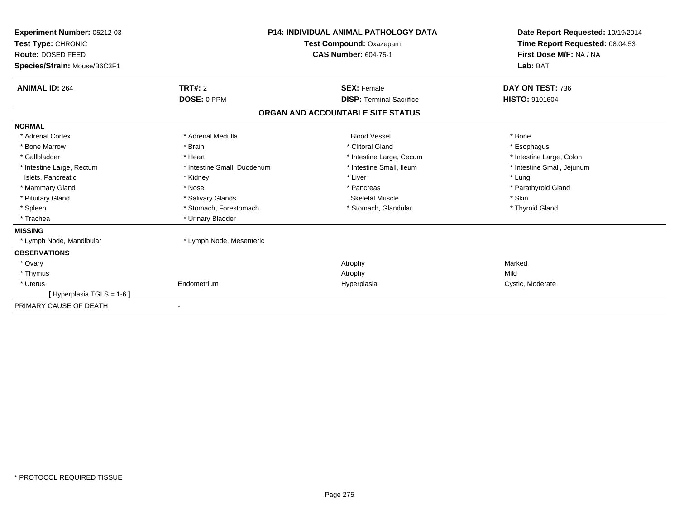| Experiment Number: 05212-03<br>Test Type: CHRONIC<br>Route: DOSED FEED<br>Species/Strain: Mouse/B6C3F1 | <b>P14: INDIVIDUAL ANIMAL PATHOLOGY DATA</b><br>Test Compound: Oxazepam<br><b>CAS Number: 604-75-1</b> |                                   | Date Report Requested: 10/19/2014<br>Time Report Requested: 08:04:53<br>First Dose M/F: NA / NA<br>Lab: BAT |
|--------------------------------------------------------------------------------------------------------|--------------------------------------------------------------------------------------------------------|-----------------------------------|-------------------------------------------------------------------------------------------------------------|
| <b>ANIMAL ID: 264</b>                                                                                  | <b>TRT#: 2</b>                                                                                         | <b>SEX: Female</b>                | DAY ON TEST: 736                                                                                            |
|                                                                                                        | DOSE: 0 PPM                                                                                            | <b>DISP: Terminal Sacrifice</b>   | HISTO: 9101604                                                                                              |
|                                                                                                        |                                                                                                        | ORGAN AND ACCOUNTABLE SITE STATUS |                                                                                                             |
| <b>NORMAL</b>                                                                                          |                                                                                                        |                                   |                                                                                                             |
| * Adrenal Cortex                                                                                       | * Adrenal Medulla                                                                                      | <b>Blood Vessel</b>               | * Bone                                                                                                      |
| * Bone Marrow                                                                                          | * Brain                                                                                                | * Clitoral Gland                  | * Esophagus                                                                                                 |
| * Gallbladder                                                                                          | * Heart                                                                                                | * Intestine Large, Cecum          | * Intestine Large, Colon                                                                                    |
| * Intestine Large, Rectum                                                                              | * Intestine Small, Duodenum                                                                            | * Intestine Small, Ileum          | * Intestine Small, Jejunum                                                                                  |
| Islets, Pancreatic                                                                                     | * Kidney                                                                                               | * Liver                           | * Lung                                                                                                      |
| * Mammary Gland                                                                                        | * Nose                                                                                                 | * Pancreas                        | * Parathyroid Gland                                                                                         |
| * Pituitary Gland                                                                                      | * Salivary Glands                                                                                      | Skeletal Muscle                   | * Skin                                                                                                      |
| * Spleen                                                                                               | * Stomach, Forestomach                                                                                 | * Stomach, Glandular              | * Thyroid Gland                                                                                             |
| * Trachea                                                                                              | * Urinary Bladder                                                                                      |                                   |                                                                                                             |
| <b>MISSING</b>                                                                                         |                                                                                                        |                                   |                                                                                                             |
| * Lymph Node, Mandibular                                                                               | * Lymph Node, Mesenteric                                                                               |                                   |                                                                                                             |
| <b>OBSERVATIONS</b>                                                                                    |                                                                                                        |                                   |                                                                                                             |
| * Ovary                                                                                                |                                                                                                        | Atrophy                           | Marked                                                                                                      |
| * Thymus                                                                                               |                                                                                                        | Atrophy                           | Mild                                                                                                        |
| * Uterus                                                                                               | Endometrium                                                                                            | Hyperplasia                       | Cystic, Moderate                                                                                            |
| [Hyperplasia TGLS = 1-6]                                                                               |                                                                                                        |                                   |                                                                                                             |
| PRIMARY CAUSE OF DEATH                                                                                 | $\overline{\phantom{a}}$                                                                               |                                   |                                                                                                             |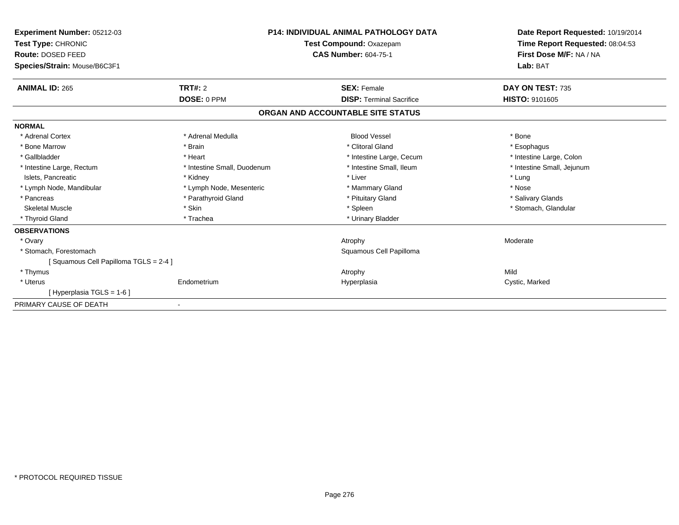| Experiment Number: 05212-03<br>Test Type: CHRONIC<br>Route: DOSED FEED<br>Species/Strain: Mouse/B6C3F1 | <b>P14: INDIVIDUAL ANIMAL PATHOLOGY DATA</b><br>Test Compound: Oxazepam<br><b>CAS Number: 604-75-1</b> |                                   | Date Report Requested: 10/19/2014<br>Time Report Requested: 08:04:53<br>First Dose M/F: NA / NA<br>Lab: BAT |
|--------------------------------------------------------------------------------------------------------|--------------------------------------------------------------------------------------------------------|-----------------------------------|-------------------------------------------------------------------------------------------------------------|
| <b>ANIMAL ID: 265</b>                                                                                  | TRT#: 2                                                                                                | <b>SEX: Female</b>                | DAY ON TEST: 735                                                                                            |
|                                                                                                        | DOSE: 0 PPM                                                                                            | <b>DISP: Terminal Sacrifice</b>   | HISTO: 9101605                                                                                              |
|                                                                                                        |                                                                                                        | ORGAN AND ACCOUNTABLE SITE STATUS |                                                                                                             |
| <b>NORMAL</b>                                                                                          |                                                                                                        |                                   |                                                                                                             |
| * Adrenal Cortex                                                                                       | * Adrenal Medulla                                                                                      | <b>Blood Vessel</b>               | * Bone                                                                                                      |
| * Bone Marrow                                                                                          | * Brain                                                                                                | * Clitoral Gland                  | * Esophagus                                                                                                 |
| * Gallbladder                                                                                          | * Heart                                                                                                | * Intestine Large, Cecum          | * Intestine Large, Colon                                                                                    |
| * Intestine Large, Rectum                                                                              | * Intestine Small, Duodenum                                                                            | * Intestine Small, Ileum          | * Intestine Small, Jejunum                                                                                  |
| Islets, Pancreatic                                                                                     | * Kidney                                                                                               | * Liver                           | * Lung                                                                                                      |
| * Lymph Node, Mandibular                                                                               | * Lymph Node, Mesenteric                                                                               | * Mammary Gland                   | * Nose                                                                                                      |
| * Pancreas                                                                                             | * Parathyroid Gland                                                                                    | * Pituitary Gland                 | * Salivary Glands                                                                                           |
| <b>Skeletal Muscle</b>                                                                                 | * Skin                                                                                                 | * Spleen                          | * Stomach, Glandular                                                                                        |
| * Thyroid Gland                                                                                        | * Trachea                                                                                              | * Urinary Bladder                 |                                                                                                             |
| <b>OBSERVATIONS</b>                                                                                    |                                                                                                        |                                   |                                                                                                             |
| * Ovary                                                                                                |                                                                                                        | Atrophy                           | Moderate                                                                                                    |
| * Stomach, Forestomach                                                                                 |                                                                                                        | Squamous Cell Papilloma           |                                                                                                             |
| [Squamous Cell Papilloma TGLS = 2-4]                                                                   |                                                                                                        |                                   |                                                                                                             |
| * Thymus                                                                                               |                                                                                                        | Atrophy                           | Mild                                                                                                        |
| * Uterus                                                                                               | Endometrium                                                                                            | Hyperplasia                       | Cystic, Marked                                                                                              |
| [Hyperplasia TGLS = 1-6]                                                                               |                                                                                                        |                                   |                                                                                                             |
| PRIMARY CAUSE OF DEATH                                                                                 |                                                                                                        |                                   |                                                                                                             |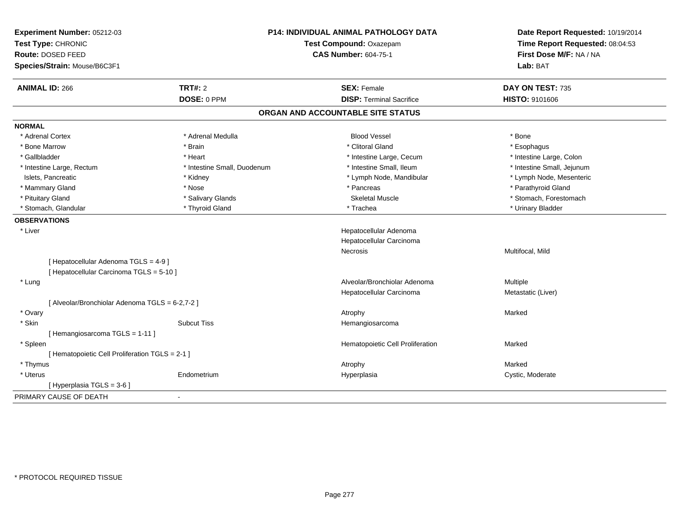| Lab: BAT<br><b>ANIMAL ID: 266</b><br><b>TRT#: 2</b><br><b>SEX: Female</b><br>DAY ON TEST: 735<br>DOSE: 0 PPM<br><b>DISP: Terminal Sacrifice</b><br>HISTO: 9101606<br>ORGAN AND ACCOUNTABLE SITE STATUS<br>* Adrenal Cortex<br>* Adrenal Medulla<br><b>Blood Vessel</b><br>* Bone<br>* Clitoral Gland<br>* Bone Marrow<br>* Brain<br>* Esophagus<br>* Gallbladder<br>* Intestine Large, Cecum<br>* Intestine Large, Colon<br>* Heart<br>* Intestine Small, Ileum<br>* Intestine Large, Rectum<br>* Intestine Small, Duodenum<br>* Intestine Small, Jejunum<br>* Lymph Node, Mesenteric<br>Islets, Pancreatic<br>* Lymph Node, Mandibular<br>* Kidney<br>* Pancreas<br>* Mammary Gland<br>* Parathyroid Gland<br>* Nose<br>* Pituitary Gland<br>* Salivary Glands<br><b>Skeletal Muscle</b><br>* Stomach, Forestomach<br>* Stomach, Glandular<br>* Thyroid Gland<br>* Trachea<br>* Urinary Bladder<br>* Liver<br>Hepatocellular Adenoma<br>Hepatocellular Carcinoma<br>Multifocal, Mild<br>Necrosis<br>[ Hepatocellular Adenoma TGLS = 4-9]<br>[ Hepatocellular Carcinoma TGLS = 5-10 ]<br>Alveolar/Bronchiolar Adenoma<br>Multiple<br>* Lung<br>Hepatocellular Carcinoma<br>Metastatic (Liver)<br>[ Alveolar/Bronchiolar Adenoma TGLS = 6-2,7-2 ]<br>* Ovary<br>Marked<br>Atrophy<br>* Skin<br><b>Subcut Tiss</b><br>Hemangiosarcoma<br>[Hemangiosarcoma TGLS = 1-11]<br>* Spleen<br>Hematopoietic Cell Proliferation<br>Marked<br>[ Hematopoietic Cell Proliferation TGLS = 2-1 ]<br>* Thymus<br>Marked<br>Atrophy<br>* Uterus<br>Endometrium<br>Cystic, Moderate<br>Hyperplasia | Experiment Number: 05212-03<br>Test Type: CHRONIC<br>Route: DOSED FEED | P14: INDIVIDUAL ANIMAL PATHOLOGY DATA<br>Test Compound: Oxazepam<br><b>CAS Number: 604-75-1</b> | Date Report Requested: 10/19/2014<br>Time Report Requested: 08:04:53<br>First Dose M/F: NA / NA |
|----------------------------------------------------------------------------------------------------------------------------------------------------------------------------------------------------------------------------------------------------------------------------------------------------------------------------------------------------------------------------------------------------------------------------------------------------------------------------------------------------------------------------------------------------------------------------------------------------------------------------------------------------------------------------------------------------------------------------------------------------------------------------------------------------------------------------------------------------------------------------------------------------------------------------------------------------------------------------------------------------------------------------------------------------------------------------------------------------------------------------------------------------------------------------------------------------------------------------------------------------------------------------------------------------------------------------------------------------------------------------------------------------------------------------------------------------------------------------------------------------------------------------------------------------------------------------------|------------------------------------------------------------------------|-------------------------------------------------------------------------------------------------|-------------------------------------------------------------------------------------------------|
|                                                                                                                                                                                                                                                                                                                                                                                                                                                                                                                                                                                                                                                                                                                                                                                                                                                                                                                                                                                                                                                                                                                                                                                                                                                                                                                                                                                                                                                                                                                                                                                  | Species/Strain: Mouse/B6C3F1                                           |                                                                                                 |                                                                                                 |
|                                                                                                                                                                                                                                                                                                                                                                                                                                                                                                                                                                                                                                                                                                                                                                                                                                                                                                                                                                                                                                                                                                                                                                                                                                                                                                                                                                                                                                                                                                                                                                                  |                                                                        |                                                                                                 |                                                                                                 |
|                                                                                                                                                                                                                                                                                                                                                                                                                                                                                                                                                                                                                                                                                                                                                                                                                                                                                                                                                                                                                                                                                                                                                                                                                                                                                                                                                                                                                                                                                                                                                                                  |                                                                        |                                                                                                 |                                                                                                 |
|                                                                                                                                                                                                                                                                                                                                                                                                                                                                                                                                                                                                                                                                                                                                                                                                                                                                                                                                                                                                                                                                                                                                                                                                                                                                                                                                                                                                                                                                                                                                                                                  |                                                                        |                                                                                                 |                                                                                                 |
|                                                                                                                                                                                                                                                                                                                                                                                                                                                                                                                                                                                                                                                                                                                                                                                                                                                                                                                                                                                                                                                                                                                                                                                                                                                                                                                                                                                                                                                                                                                                                                                  | <b>NORMAL</b>                                                          |                                                                                                 |                                                                                                 |
|                                                                                                                                                                                                                                                                                                                                                                                                                                                                                                                                                                                                                                                                                                                                                                                                                                                                                                                                                                                                                                                                                                                                                                                                                                                                                                                                                                                                                                                                                                                                                                                  |                                                                        |                                                                                                 |                                                                                                 |
|                                                                                                                                                                                                                                                                                                                                                                                                                                                                                                                                                                                                                                                                                                                                                                                                                                                                                                                                                                                                                                                                                                                                                                                                                                                                                                                                                                                                                                                                                                                                                                                  |                                                                        |                                                                                                 |                                                                                                 |
|                                                                                                                                                                                                                                                                                                                                                                                                                                                                                                                                                                                                                                                                                                                                                                                                                                                                                                                                                                                                                                                                                                                                                                                                                                                                                                                                                                                                                                                                                                                                                                                  |                                                                        |                                                                                                 |                                                                                                 |
|                                                                                                                                                                                                                                                                                                                                                                                                                                                                                                                                                                                                                                                                                                                                                                                                                                                                                                                                                                                                                                                                                                                                                                                                                                                                                                                                                                                                                                                                                                                                                                                  |                                                                        |                                                                                                 |                                                                                                 |
|                                                                                                                                                                                                                                                                                                                                                                                                                                                                                                                                                                                                                                                                                                                                                                                                                                                                                                                                                                                                                                                                                                                                                                                                                                                                                                                                                                                                                                                                                                                                                                                  |                                                                        |                                                                                                 |                                                                                                 |
|                                                                                                                                                                                                                                                                                                                                                                                                                                                                                                                                                                                                                                                                                                                                                                                                                                                                                                                                                                                                                                                                                                                                                                                                                                                                                                                                                                                                                                                                                                                                                                                  |                                                                        |                                                                                                 |                                                                                                 |
|                                                                                                                                                                                                                                                                                                                                                                                                                                                                                                                                                                                                                                                                                                                                                                                                                                                                                                                                                                                                                                                                                                                                                                                                                                                                                                                                                                                                                                                                                                                                                                                  |                                                                        |                                                                                                 |                                                                                                 |
|                                                                                                                                                                                                                                                                                                                                                                                                                                                                                                                                                                                                                                                                                                                                                                                                                                                                                                                                                                                                                                                                                                                                                                                                                                                                                                                                                                                                                                                                                                                                                                                  |                                                                        |                                                                                                 |                                                                                                 |
|                                                                                                                                                                                                                                                                                                                                                                                                                                                                                                                                                                                                                                                                                                                                                                                                                                                                                                                                                                                                                                                                                                                                                                                                                                                                                                                                                                                                                                                                                                                                                                                  | <b>OBSERVATIONS</b>                                                    |                                                                                                 |                                                                                                 |
|                                                                                                                                                                                                                                                                                                                                                                                                                                                                                                                                                                                                                                                                                                                                                                                                                                                                                                                                                                                                                                                                                                                                                                                                                                                                                                                                                                                                                                                                                                                                                                                  |                                                                        |                                                                                                 |                                                                                                 |
|                                                                                                                                                                                                                                                                                                                                                                                                                                                                                                                                                                                                                                                                                                                                                                                                                                                                                                                                                                                                                                                                                                                                                                                                                                                                                                                                                                                                                                                                                                                                                                                  |                                                                        |                                                                                                 |                                                                                                 |
|                                                                                                                                                                                                                                                                                                                                                                                                                                                                                                                                                                                                                                                                                                                                                                                                                                                                                                                                                                                                                                                                                                                                                                                                                                                                                                                                                                                                                                                                                                                                                                                  |                                                                        |                                                                                                 |                                                                                                 |
|                                                                                                                                                                                                                                                                                                                                                                                                                                                                                                                                                                                                                                                                                                                                                                                                                                                                                                                                                                                                                                                                                                                                                                                                                                                                                                                                                                                                                                                                                                                                                                                  |                                                                        |                                                                                                 |                                                                                                 |
|                                                                                                                                                                                                                                                                                                                                                                                                                                                                                                                                                                                                                                                                                                                                                                                                                                                                                                                                                                                                                                                                                                                                                                                                                                                                                                                                                                                                                                                                                                                                                                                  |                                                                        |                                                                                                 |                                                                                                 |
|                                                                                                                                                                                                                                                                                                                                                                                                                                                                                                                                                                                                                                                                                                                                                                                                                                                                                                                                                                                                                                                                                                                                                                                                                                                                                                                                                                                                                                                                                                                                                                                  |                                                                        |                                                                                                 |                                                                                                 |
|                                                                                                                                                                                                                                                                                                                                                                                                                                                                                                                                                                                                                                                                                                                                                                                                                                                                                                                                                                                                                                                                                                                                                                                                                                                                                                                                                                                                                                                                                                                                                                                  |                                                                        |                                                                                                 |                                                                                                 |
|                                                                                                                                                                                                                                                                                                                                                                                                                                                                                                                                                                                                                                                                                                                                                                                                                                                                                                                                                                                                                                                                                                                                                                                                                                                                                                                                                                                                                                                                                                                                                                                  |                                                                        |                                                                                                 |                                                                                                 |
|                                                                                                                                                                                                                                                                                                                                                                                                                                                                                                                                                                                                                                                                                                                                                                                                                                                                                                                                                                                                                                                                                                                                                                                                                                                                                                                                                                                                                                                                                                                                                                                  |                                                                        |                                                                                                 |                                                                                                 |
|                                                                                                                                                                                                                                                                                                                                                                                                                                                                                                                                                                                                                                                                                                                                                                                                                                                                                                                                                                                                                                                                                                                                                                                                                                                                                                                                                                                                                                                                                                                                                                                  |                                                                        |                                                                                                 |                                                                                                 |
|                                                                                                                                                                                                                                                                                                                                                                                                                                                                                                                                                                                                                                                                                                                                                                                                                                                                                                                                                                                                                                                                                                                                                                                                                                                                                                                                                                                                                                                                                                                                                                                  |                                                                        |                                                                                                 |                                                                                                 |
|                                                                                                                                                                                                                                                                                                                                                                                                                                                                                                                                                                                                                                                                                                                                                                                                                                                                                                                                                                                                                                                                                                                                                                                                                                                                                                                                                                                                                                                                                                                                                                                  |                                                                        |                                                                                                 |                                                                                                 |
|                                                                                                                                                                                                                                                                                                                                                                                                                                                                                                                                                                                                                                                                                                                                                                                                                                                                                                                                                                                                                                                                                                                                                                                                                                                                                                                                                                                                                                                                                                                                                                                  |                                                                        |                                                                                                 |                                                                                                 |
|                                                                                                                                                                                                                                                                                                                                                                                                                                                                                                                                                                                                                                                                                                                                                                                                                                                                                                                                                                                                                                                                                                                                                                                                                                                                                                                                                                                                                                                                                                                                                                                  |                                                                        |                                                                                                 |                                                                                                 |
|                                                                                                                                                                                                                                                                                                                                                                                                                                                                                                                                                                                                                                                                                                                                                                                                                                                                                                                                                                                                                                                                                                                                                                                                                                                                                                                                                                                                                                                                                                                                                                                  |                                                                        |                                                                                                 |                                                                                                 |
|                                                                                                                                                                                                                                                                                                                                                                                                                                                                                                                                                                                                                                                                                                                                                                                                                                                                                                                                                                                                                                                                                                                                                                                                                                                                                                                                                                                                                                                                                                                                                                                  | [ Hyperplasia TGLS = 3-6 ]                                             |                                                                                                 |                                                                                                 |
| $\blacksquare$                                                                                                                                                                                                                                                                                                                                                                                                                                                                                                                                                                                                                                                                                                                                                                                                                                                                                                                                                                                                                                                                                                                                                                                                                                                                                                                                                                                                                                                                                                                                                                   | PRIMARY CAUSE OF DEATH                                                 |                                                                                                 |                                                                                                 |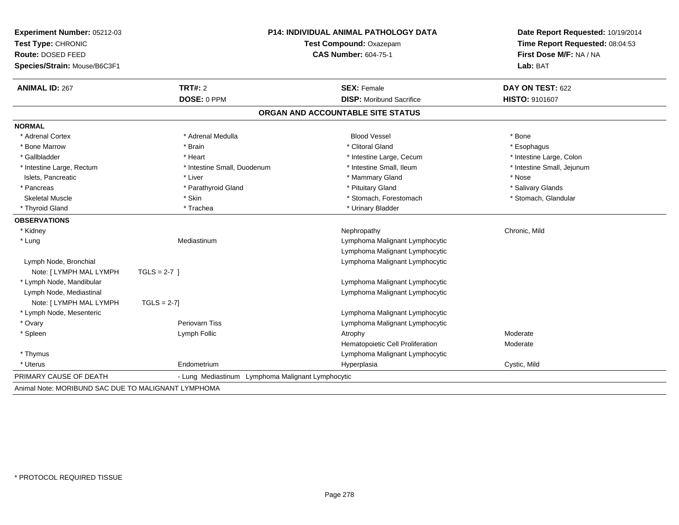| Route: DOSED FEED<br>Species/Strain: Mouse/B6C3F1 |                                                   | <b>P14: INDIVIDUAL ANIMAL PATHOLOGY DATA</b><br>Test Compound: Oxazepam<br><b>CAS Number: 604-75-1</b> |                            |
|---------------------------------------------------|---------------------------------------------------|--------------------------------------------------------------------------------------------------------|----------------------------|
| <b>ANIMAL ID: 267</b>                             | TRT#: 2                                           | <b>SEX: Female</b>                                                                                     | DAY ON TEST: 622           |
|                                                   | DOSE: 0 PPM                                       | <b>DISP:</b> Moribund Sacrifice                                                                        | HISTO: 9101607             |
|                                                   |                                                   | ORGAN AND ACCOUNTABLE SITE STATUS                                                                      |                            |
| <b>NORMAL</b>                                     |                                                   |                                                                                                        |                            |
| * Adrenal Cortex                                  | * Adrenal Medulla                                 | <b>Blood Vessel</b>                                                                                    | * Bone                     |
| * Bone Marrow                                     | * Brain                                           | * Clitoral Gland                                                                                       | * Esophagus                |
| * Gallbladder                                     | * Heart                                           | * Intestine Large, Cecum                                                                               | * Intestine Large, Colon   |
| * Intestine Large, Rectum                         | * Intestine Small, Duodenum                       | * Intestine Small, Ileum                                                                               | * Intestine Small, Jejunum |
| Islets, Pancreatic                                | * Liver                                           | * Mammary Gland                                                                                        | * Nose                     |
| * Pancreas                                        | * Parathyroid Gland                               | * Pituitary Gland                                                                                      | * Salivary Glands          |
| <b>Skeletal Muscle</b>                            | * Skin                                            | * Stomach, Forestomach                                                                                 | * Stomach, Glandular       |
| * Thyroid Gland                                   | * Trachea                                         | * Urinary Bladder                                                                                      |                            |
| <b>OBSERVATIONS</b>                               |                                                   |                                                                                                        |                            |
| * Kidney                                          |                                                   | Nephropathy                                                                                            | Chronic, Mild              |
| * Lung                                            | Mediastinum                                       | Lymphoma Malignant Lymphocytic                                                                         |                            |
|                                                   |                                                   | Lymphoma Malignant Lymphocytic                                                                         |                            |
| Lymph Node, Bronchial                             |                                                   | Lymphoma Malignant Lymphocytic                                                                         |                            |
| Note: [ LYMPH MAL LYMPH                           | TGLS = $2-7$ ]                                    |                                                                                                        |                            |
| * Lymph Node, Mandibular                          |                                                   | Lymphoma Malignant Lymphocytic                                                                         |                            |
| Lymph Node, Mediastinal                           |                                                   | Lymphoma Malignant Lymphocytic                                                                         |                            |
| Note: [ LYMPH MAL LYMPH                           | $TGLS = 2-7$                                      |                                                                                                        |                            |
| * Lymph Node, Mesenteric                          |                                                   | Lymphoma Malignant Lymphocytic                                                                         |                            |
| * Ovary                                           | <b>Periovarn Tiss</b>                             | Lymphoma Malignant Lymphocytic                                                                         |                            |
| * Spleen                                          | Lymph Follic                                      | Atrophy                                                                                                | Moderate                   |
|                                                   |                                                   | Hematopoietic Cell Proliferation                                                                       | Moderate                   |
| * Thymus                                          |                                                   | Lymphoma Malignant Lymphocytic                                                                         |                            |
| * Uterus                                          | Endometrium                                       | Hyperplasia                                                                                            | Cystic, Mild               |
| PRIMARY CAUSE OF DEATH                            | - Lung Mediastinum Lymphoma Malignant Lymphocytic |                                                                                                        |                            |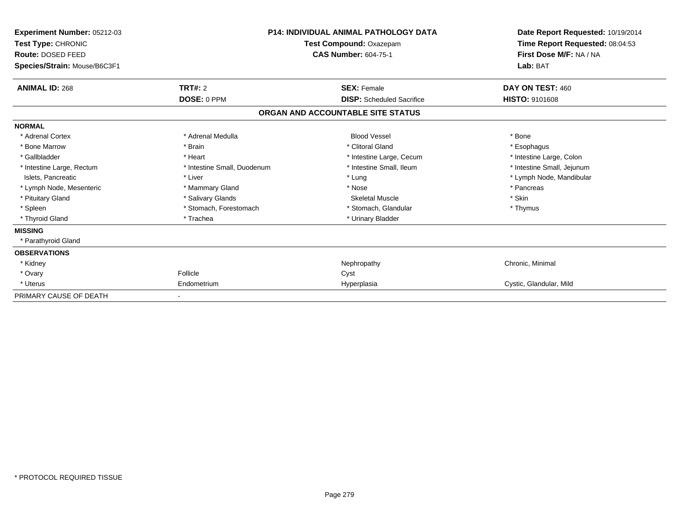| Experiment Number: 05212-03<br>Test Type: CHRONIC<br>Route: DOSED FEED<br>Species/Strain: Mouse/B6C3F1 | <b>P14: INDIVIDUAL ANIMAL PATHOLOGY DATA</b><br>Test Compound: Oxazepam<br><b>CAS Number: 604-75-1</b> |                                   | Date Report Requested: 10/19/2014<br>Time Report Requested: 08:04:53<br>First Dose M/F: NA / NA<br>Lab: BAT |
|--------------------------------------------------------------------------------------------------------|--------------------------------------------------------------------------------------------------------|-----------------------------------|-------------------------------------------------------------------------------------------------------------|
| <b>ANIMAL ID: 268</b>                                                                                  | <b>TRT#: 2</b>                                                                                         | <b>SEX: Female</b>                | DAY ON TEST: 460                                                                                            |
|                                                                                                        | DOSE: 0 PPM                                                                                            | <b>DISP:</b> Scheduled Sacrifice  | <b>HISTO: 9101608</b>                                                                                       |
|                                                                                                        |                                                                                                        | ORGAN AND ACCOUNTABLE SITE STATUS |                                                                                                             |
| <b>NORMAL</b>                                                                                          |                                                                                                        |                                   |                                                                                                             |
| * Adrenal Cortex                                                                                       | * Adrenal Medulla                                                                                      | <b>Blood Vessel</b>               | * Bone                                                                                                      |
| * Bone Marrow                                                                                          | * Brain                                                                                                | * Clitoral Gland                  | * Esophagus                                                                                                 |
| * Gallbladder                                                                                          | * Heart                                                                                                | * Intestine Large, Cecum          | * Intestine Large, Colon                                                                                    |
| * Intestine Large, Rectum                                                                              | * Intestine Small, Duodenum                                                                            | * Intestine Small, Ileum          | * Intestine Small, Jejunum                                                                                  |
| Islets, Pancreatic                                                                                     | * Liver                                                                                                | * Lung                            | * Lymph Node, Mandibular                                                                                    |
| * Lymph Node, Mesenteric                                                                               | * Mammary Gland                                                                                        | * Nose                            | * Pancreas                                                                                                  |
| * Pituitary Gland                                                                                      | * Salivary Glands                                                                                      | <b>Skeletal Muscle</b>            | * Skin                                                                                                      |
| * Spleen                                                                                               | * Stomach, Forestomach                                                                                 | * Stomach, Glandular              | * Thymus                                                                                                    |
| * Thyroid Gland                                                                                        | * Trachea                                                                                              | * Urinary Bladder                 |                                                                                                             |
| <b>MISSING</b>                                                                                         |                                                                                                        |                                   |                                                                                                             |
| * Parathyroid Gland                                                                                    |                                                                                                        |                                   |                                                                                                             |
| <b>OBSERVATIONS</b>                                                                                    |                                                                                                        |                                   |                                                                                                             |
| * Kidney                                                                                               |                                                                                                        | Nephropathy                       | Chronic, Minimal                                                                                            |
| * Ovary                                                                                                | Follicle                                                                                               | Cyst                              |                                                                                                             |
| * Uterus                                                                                               | Endometrium                                                                                            | Hyperplasia                       | Cystic, Glandular, Mild                                                                                     |
| PRIMARY CAUSE OF DEATH                                                                                 |                                                                                                        |                                   |                                                                                                             |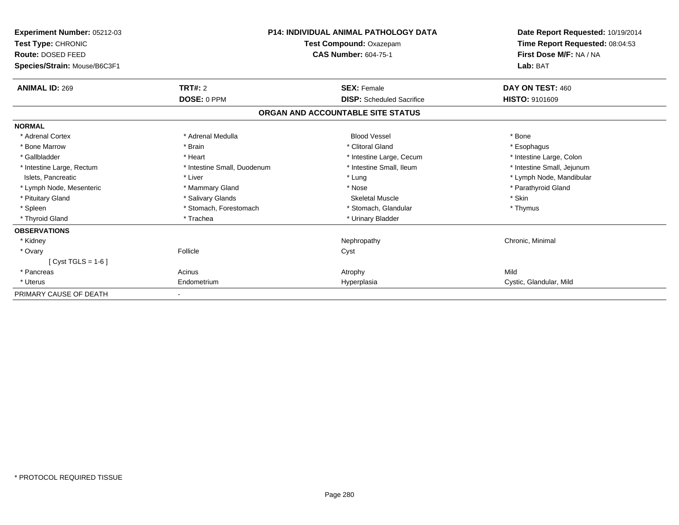| Experiment Number: 05212-03<br>Test Type: CHRONIC<br>Route: DOSED FEED<br>Species/Strain: Mouse/B6C3F1 | <b>P14: INDIVIDUAL ANIMAL PATHOLOGY DATA</b><br>Test Compound: Oxazepam<br><b>CAS Number: 604-75-1</b> |                                   | Date Report Requested: 10/19/2014<br>Time Report Requested: 08:04:53<br>First Dose M/F: NA / NA<br>Lab: BAT |
|--------------------------------------------------------------------------------------------------------|--------------------------------------------------------------------------------------------------------|-----------------------------------|-------------------------------------------------------------------------------------------------------------|
| <b>ANIMAL ID: 269</b>                                                                                  | <b>TRT#: 2</b>                                                                                         | <b>SEX: Female</b>                | DAY ON TEST: 460                                                                                            |
|                                                                                                        | DOSE: 0 PPM                                                                                            | <b>DISP:</b> Scheduled Sacrifice  | <b>HISTO: 9101609</b>                                                                                       |
|                                                                                                        |                                                                                                        | ORGAN AND ACCOUNTABLE SITE STATUS |                                                                                                             |
| <b>NORMAL</b>                                                                                          |                                                                                                        |                                   |                                                                                                             |
| * Adrenal Cortex                                                                                       | * Adrenal Medulla                                                                                      | <b>Blood Vessel</b>               | * Bone                                                                                                      |
| * Bone Marrow                                                                                          | * Brain                                                                                                | * Clitoral Gland                  | * Esophagus                                                                                                 |
| * Gallbladder                                                                                          | * Heart                                                                                                | * Intestine Large, Cecum          | * Intestine Large, Colon                                                                                    |
| * Intestine Large, Rectum                                                                              | * Intestine Small, Duodenum                                                                            | * Intestine Small, Ileum          | * Intestine Small, Jejunum                                                                                  |
| Islets, Pancreatic                                                                                     | * Liver                                                                                                | * Lung                            | * Lymph Node, Mandibular                                                                                    |
| * Lymph Node, Mesenteric                                                                               | * Mammary Gland                                                                                        | * Nose                            | * Parathyroid Gland                                                                                         |
| * Pituitary Gland                                                                                      | * Salivary Glands                                                                                      | <b>Skeletal Muscle</b>            | * Skin                                                                                                      |
| * Spleen                                                                                               | * Stomach, Forestomach                                                                                 | * Stomach, Glandular              | * Thymus                                                                                                    |
| * Thyroid Gland                                                                                        | * Trachea                                                                                              | * Urinary Bladder                 |                                                                                                             |
| <b>OBSERVATIONS</b>                                                                                    |                                                                                                        |                                   |                                                                                                             |
| * Kidney                                                                                               |                                                                                                        | Nephropathy                       | Chronic, Minimal                                                                                            |
| * Ovary                                                                                                | Follicle                                                                                               | Cyst                              |                                                                                                             |
| [ $Cyst TGLS = 1-6$ ]                                                                                  |                                                                                                        |                                   |                                                                                                             |
| * Pancreas                                                                                             | Acinus                                                                                                 | Atrophy                           | Mild                                                                                                        |
| * Uterus                                                                                               | Endometrium                                                                                            | Hyperplasia                       | Cystic, Glandular, Mild                                                                                     |
| PRIMARY CAUSE OF DEATH                                                                                 |                                                                                                        |                                   |                                                                                                             |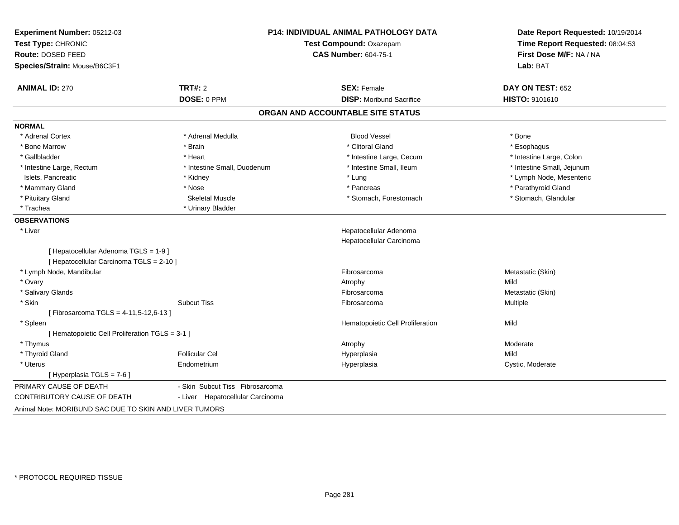| Experiment Number: 05212-03<br>Test Type: CHRONIC      |                                  | <b>P14: INDIVIDUAL ANIMAL PATHOLOGY DATA</b><br>Test Compound: Oxazepam | Date Report Requested: 10/19/2014<br>Time Report Requested: 08:04:53 |
|--------------------------------------------------------|----------------------------------|-------------------------------------------------------------------------|----------------------------------------------------------------------|
| <b>Route: DOSED FEED</b>                               |                                  | <b>CAS Number: 604-75-1</b>                                             | First Dose M/F: NA / NA                                              |
| Species/Strain: Mouse/B6C3F1                           |                                  |                                                                         | Lab: BAT                                                             |
| <b>ANIMAL ID: 270</b>                                  | TRT#: 2                          | <b>SEX: Female</b>                                                      | DAY ON TEST: 652                                                     |
|                                                        | DOSE: 0 PPM                      | <b>DISP: Moribund Sacrifice</b>                                         | <b>HISTO: 9101610</b>                                                |
|                                                        |                                  | ORGAN AND ACCOUNTABLE SITE STATUS                                       |                                                                      |
| <b>NORMAL</b>                                          |                                  |                                                                         |                                                                      |
| * Adrenal Cortex                                       | * Adrenal Medulla                | <b>Blood Vessel</b>                                                     | * Bone                                                               |
| * Bone Marrow                                          | * Brain                          | * Clitoral Gland                                                        | * Esophagus                                                          |
| * Gallbladder                                          | * Heart                          | * Intestine Large, Cecum                                                | * Intestine Large, Colon                                             |
| * Intestine Large, Rectum                              | * Intestine Small, Duodenum      | * Intestine Small, Ileum                                                | * Intestine Small, Jejunum                                           |
| Islets, Pancreatic                                     | * Kidney                         | * Lung                                                                  | * Lymph Node, Mesenteric                                             |
| * Mammary Gland                                        | * Nose                           | * Pancreas                                                              | * Parathyroid Gland                                                  |
| * Pituitary Gland                                      | <b>Skeletal Muscle</b>           | * Stomach, Forestomach                                                  | * Stomach, Glandular                                                 |
| * Trachea                                              | * Urinary Bladder                |                                                                         |                                                                      |
| <b>OBSERVATIONS</b>                                    |                                  |                                                                         |                                                                      |
| * Liver                                                |                                  | Hepatocellular Adenoma                                                  |                                                                      |
|                                                        |                                  | Hepatocellular Carcinoma                                                |                                                                      |
| [ Hepatocellular Adenoma TGLS = 1-9 ]                  |                                  |                                                                         |                                                                      |
| [ Hepatocellular Carcinoma TGLS = 2-10 ]               |                                  |                                                                         |                                                                      |
| * Lymph Node, Mandibular                               |                                  | Fibrosarcoma                                                            | Metastatic (Skin)                                                    |
| * Ovary                                                |                                  | Atrophy                                                                 | Mild                                                                 |
| * Salivary Glands                                      |                                  | Fibrosarcoma                                                            | Metastatic (Skin)                                                    |
| * Skin                                                 | <b>Subcut Tiss</b>               | Fibrosarcoma                                                            | Multiple                                                             |
| [Fibrosarcoma TGLS = 4-11,5-12,6-13]                   |                                  |                                                                         |                                                                      |
| * Spleen                                               |                                  | Hematopoietic Cell Proliferation                                        | Mild                                                                 |
| [ Hematopoietic Cell Proliferation TGLS = 3-1 ]        |                                  |                                                                         |                                                                      |
| * Thymus                                               |                                  | Atrophy                                                                 | Moderate                                                             |
| * Thyroid Gland                                        | <b>Follicular Cel</b>            | Hyperplasia                                                             | Mild                                                                 |
| * Uterus                                               | Endometrium                      | Hyperplasia                                                             | Cystic, Moderate                                                     |
| [ Hyperplasia TGLS = 7-6 ]                             |                                  |                                                                         |                                                                      |
| PRIMARY CAUSE OF DEATH                                 | - Skin Subcut Tiss Fibrosarcoma  |                                                                         |                                                                      |
| <b>CONTRIBUTORY CAUSE OF DEATH</b>                     | - Liver Hepatocellular Carcinoma |                                                                         |                                                                      |
| Animal Note: MORIBUND SAC DUE TO SKIN AND LIVER TUMORS |                                  |                                                                         |                                                                      |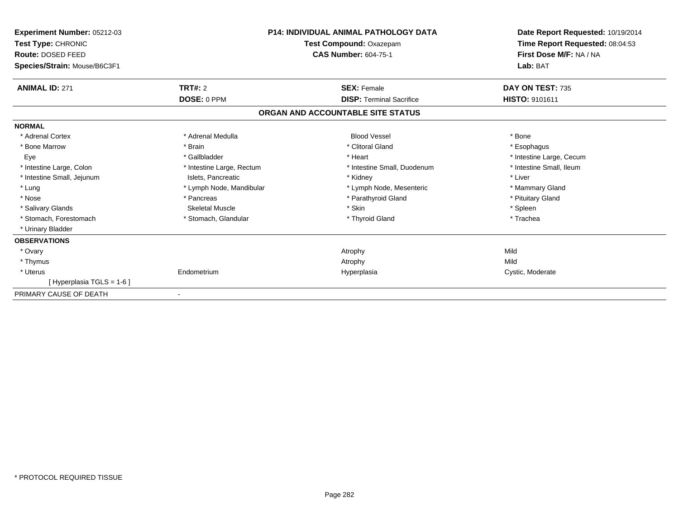| <b>Experiment Number: 05212-03</b><br>Test Type: CHRONIC<br><b>Route: DOSED FEED</b><br>Species/Strain: Mouse/B6C3F1 |                           | <b>P14: INDIVIDUAL ANIMAL PATHOLOGY DATA</b><br><b>Test Compound: Oxazepam</b><br><b>CAS Number: 604-75-1</b> | Date Report Requested: 10/19/2014<br>Time Report Requested: 08:04:53<br>First Dose M/F: NA / NA<br>Lab: BAT |
|----------------------------------------------------------------------------------------------------------------------|---------------------------|---------------------------------------------------------------------------------------------------------------|-------------------------------------------------------------------------------------------------------------|
| <b>ANIMAL ID: 271</b>                                                                                                | TRT#: 2                   | <b>SEX: Female</b>                                                                                            | DAY ON TEST: 735                                                                                            |
|                                                                                                                      | DOSE: 0 PPM               | <b>DISP: Terminal Sacrifice</b>                                                                               | <b>HISTO: 9101611</b>                                                                                       |
|                                                                                                                      |                           | ORGAN AND ACCOUNTABLE SITE STATUS                                                                             |                                                                                                             |
| <b>NORMAL</b>                                                                                                        |                           |                                                                                                               |                                                                                                             |
| * Adrenal Cortex                                                                                                     | * Adrenal Medulla         | <b>Blood Vessel</b>                                                                                           | * Bone                                                                                                      |
| * Bone Marrow                                                                                                        | * Brain                   | * Clitoral Gland                                                                                              | * Esophagus                                                                                                 |
| Eye                                                                                                                  | * Gallbladder             | * Heart                                                                                                       | * Intestine Large, Cecum                                                                                    |
| * Intestine Large, Colon                                                                                             | * Intestine Large, Rectum | * Intestine Small, Duodenum                                                                                   | * Intestine Small, Ileum                                                                                    |
| * Intestine Small, Jejunum                                                                                           | Islets, Pancreatic        | * Kidney                                                                                                      | * Liver                                                                                                     |
| * Lung                                                                                                               | * Lymph Node, Mandibular  | * Lymph Node, Mesenteric                                                                                      | * Mammary Gland                                                                                             |
| * Nose                                                                                                               | * Pancreas                | * Parathyroid Gland                                                                                           | * Pituitary Gland                                                                                           |
| * Salivary Glands                                                                                                    | <b>Skeletal Muscle</b>    | * Skin                                                                                                        | * Spleen                                                                                                    |
| * Stomach, Forestomach                                                                                               | * Stomach, Glandular      | * Thyroid Gland                                                                                               | * Trachea                                                                                                   |
| * Urinary Bladder                                                                                                    |                           |                                                                                                               |                                                                                                             |
| <b>OBSERVATIONS</b>                                                                                                  |                           |                                                                                                               |                                                                                                             |
| * Ovary                                                                                                              |                           | Atrophy                                                                                                       | Mild                                                                                                        |
| * Thymus                                                                                                             |                           | Atrophy                                                                                                       | Mild                                                                                                        |
| * Uterus                                                                                                             | Endometrium               | Hyperplasia                                                                                                   | Cystic, Moderate                                                                                            |
| [Hyperplasia TGLS = 1-6]                                                                                             |                           |                                                                                                               |                                                                                                             |
| PRIMARY CAUSE OF DEATH                                                                                               |                           |                                                                                                               |                                                                                                             |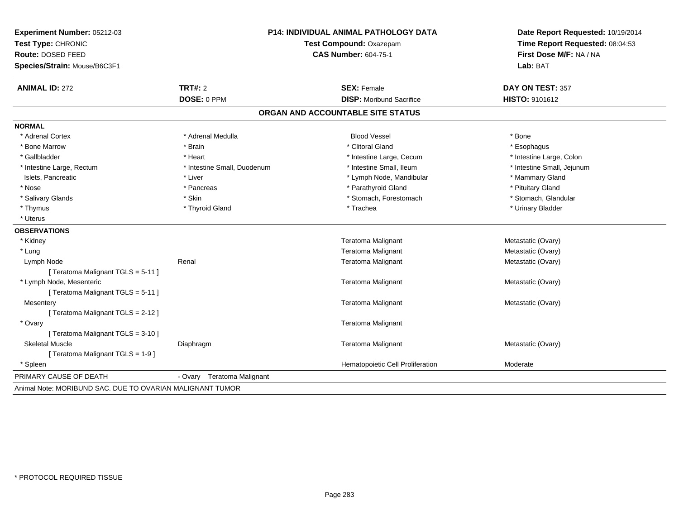| Experiment Number: 05212-03        |                             | <b>P14: INDIVIDUAL ANIMAL PATHOLOGY DATA</b> | Date Report Requested: 10/19/2014 |  |
|------------------------------------|-----------------------------|----------------------------------------------|-----------------------------------|--|
| Test Type: CHRONIC                 | Test Compound: Oxazepam     |                                              | Time Report Requested: 08:04:53   |  |
| Route: DOSED FEED                  |                             | <b>CAS Number: 604-75-1</b>                  | First Dose M/F: NA / NA           |  |
| Species/Strain: Mouse/B6C3F1       |                             |                                              | Lab: BAT                          |  |
| <b>ANIMAL ID: 272</b>              | TRT#: 2                     | <b>SEX: Female</b>                           | DAY ON TEST: 357                  |  |
|                                    | DOSE: 0 PPM                 | <b>DISP:</b> Moribund Sacrifice              | HISTO: 9101612                    |  |
|                                    |                             | ORGAN AND ACCOUNTABLE SITE STATUS            |                                   |  |
| <b>NORMAL</b>                      |                             |                                              |                                   |  |
| * Adrenal Cortex                   | * Adrenal Medulla           | <b>Blood Vessel</b>                          | * Bone                            |  |
| * Bone Marrow                      | * Brain                     | * Clitoral Gland                             | * Esophagus                       |  |
| * Gallbladder                      | * Heart                     | * Intestine Large, Cecum                     | * Intestine Large, Colon          |  |
| * Intestine Large, Rectum          | * Intestine Small, Duodenum | * Intestine Small, Ileum                     | * Intestine Small, Jejunum        |  |
| Islets, Pancreatic                 | * Liver                     | * Lymph Node, Mandibular                     | * Mammary Gland                   |  |
| * Nose                             | * Pancreas                  | * Parathyroid Gland                          | * Pituitary Gland                 |  |
| * Salivary Glands                  | * Skin                      | * Stomach, Forestomach                       | * Stomach, Glandular              |  |
| * Thymus                           | * Thyroid Gland             | * Trachea                                    | * Urinary Bladder                 |  |
| * Uterus                           |                             |                                              |                                   |  |
| <b>OBSERVATIONS</b>                |                             |                                              |                                   |  |
| * Kidney                           |                             | Teratoma Malignant                           | Metastatic (Ovary)                |  |
| * Lung                             |                             | <b>Teratoma Malignant</b>                    | Metastatic (Ovary)                |  |
| Lymph Node                         | Renal                       | Teratoma Malignant                           | Metastatic (Ovary)                |  |
| [ Teratoma Malignant TGLS = 5-11 ] |                             |                                              |                                   |  |
| * Lymph Node, Mesenteric           |                             | Teratoma Malignant                           | Metastatic (Ovary)                |  |
| [ Teratoma Malignant TGLS = 5-11 ] |                             |                                              |                                   |  |
| Mesentery                          |                             | Teratoma Malignant                           | Metastatic (Ovary)                |  |
| [Teratoma Malignant TGLS = 2-12]   |                             |                                              |                                   |  |
| * Ovary                            |                             | Teratoma Malignant                           |                                   |  |
| [ Teratoma Malignant TGLS = 3-10 ] |                             |                                              |                                   |  |
| <b>Skeletal Muscle</b>             | Diaphragm                   | Teratoma Malignant                           | Metastatic (Ovary)                |  |
| [Teratoma Malignant TGLS = 1-9]    |                             |                                              |                                   |  |
| * Spleen                           |                             | Hematopoietic Cell Proliferation             | Moderate                          |  |
| PRIMARY CAUSE OF DEATH             | - Ovary Teratoma Malignant  |                                              |                                   |  |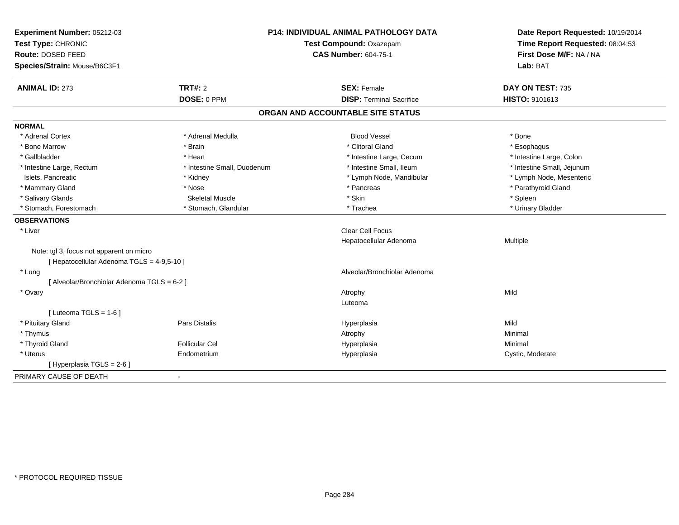| Experiment Number: 05212-03<br>Test Type: CHRONIC<br>Route: DOSED FEED<br>Species/Strain: Mouse/B6C3F1 |                             | <b>P14: INDIVIDUAL ANIMAL PATHOLOGY DATA</b><br>Test Compound: Oxazepam<br><b>CAS Number: 604-75-1</b> | Date Report Requested: 10/19/2014<br>Time Report Requested: 08:04:53<br>First Dose M/F: NA / NA<br>Lab: BAT |
|--------------------------------------------------------------------------------------------------------|-----------------------------|--------------------------------------------------------------------------------------------------------|-------------------------------------------------------------------------------------------------------------|
| <b>ANIMAL ID: 273</b>                                                                                  | <b>TRT#: 2</b>              | <b>SEX: Female</b>                                                                                     | DAY ON TEST: 735                                                                                            |
|                                                                                                        | DOSE: 0 PPM                 | <b>DISP: Terminal Sacrifice</b>                                                                        | HISTO: 9101613                                                                                              |
|                                                                                                        |                             | ORGAN AND ACCOUNTABLE SITE STATUS                                                                      |                                                                                                             |
| <b>NORMAL</b>                                                                                          |                             |                                                                                                        |                                                                                                             |
| * Adrenal Cortex                                                                                       | * Adrenal Medulla           | <b>Blood Vessel</b>                                                                                    | * Bone                                                                                                      |
| * Bone Marrow                                                                                          | * Brain                     | * Clitoral Gland                                                                                       | * Esophagus                                                                                                 |
| * Gallbladder                                                                                          | * Heart                     | * Intestine Large, Cecum                                                                               | * Intestine Large, Colon                                                                                    |
| * Intestine Large, Rectum                                                                              | * Intestine Small, Duodenum | * Intestine Small, Ileum                                                                               | * Intestine Small, Jejunum                                                                                  |
| Islets, Pancreatic                                                                                     | * Kidney                    | * Lymph Node, Mandibular                                                                               | * Lymph Node, Mesenteric                                                                                    |
| * Mammary Gland                                                                                        | * Nose                      | * Pancreas                                                                                             | * Parathyroid Gland                                                                                         |
| * Salivary Glands                                                                                      | <b>Skeletal Muscle</b>      | * Skin                                                                                                 | * Spleen                                                                                                    |
| * Stomach, Forestomach                                                                                 | * Stomach, Glandular        | * Trachea                                                                                              | * Urinary Bladder                                                                                           |
| <b>OBSERVATIONS</b>                                                                                    |                             |                                                                                                        |                                                                                                             |
| * Liver                                                                                                |                             | <b>Clear Cell Focus</b>                                                                                |                                                                                                             |
|                                                                                                        |                             | Hepatocellular Adenoma                                                                                 | Multiple                                                                                                    |
| Note: tgl 3, focus not apparent on micro                                                               |                             |                                                                                                        |                                                                                                             |
| [ Hepatocellular Adenoma TGLS = 4-9,5-10 ]                                                             |                             |                                                                                                        |                                                                                                             |
| * Lung                                                                                                 |                             | Alveolar/Bronchiolar Adenoma                                                                           |                                                                                                             |
| [ Alveolar/Bronchiolar Adenoma TGLS = 6-2 ]                                                            |                             |                                                                                                        |                                                                                                             |
| * Ovary                                                                                                |                             | Atrophy                                                                                                | Mild                                                                                                        |
|                                                                                                        |                             | Luteoma                                                                                                |                                                                                                             |
| [ Luteoma TGLS = $1-6$ ]                                                                               |                             |                                                                                                        |                                                                                                             |
| * Pituitary Gland                                                                                      | <b>Pars Distalis</b>        | Hyperplasia                                                                                            | Mild                                                                                                        |
| * Thymus                                                                                               |                             | Atrophy                                                                                                | Minimal                                                                                                     |
| * Thyroid Gland                                                                                        | <b>Follicular Cel</b>       | Hyperplasia                                                                                            | Minimal                                                                                                     |
| * Uterus                                                                                               | Endometrium                 | Hyperplasia                                                                                            | Cystic, Moderate                                                                                            |
| [ Hyperplasia TGLS = 2-6 ]                                                                             |                             |                                                                                                        |                                                                                                             |
| PRIMARY CAUSE OF DEATH                                                                                 | $\blacksquare$              |                                                                                                        |                                                                                                             |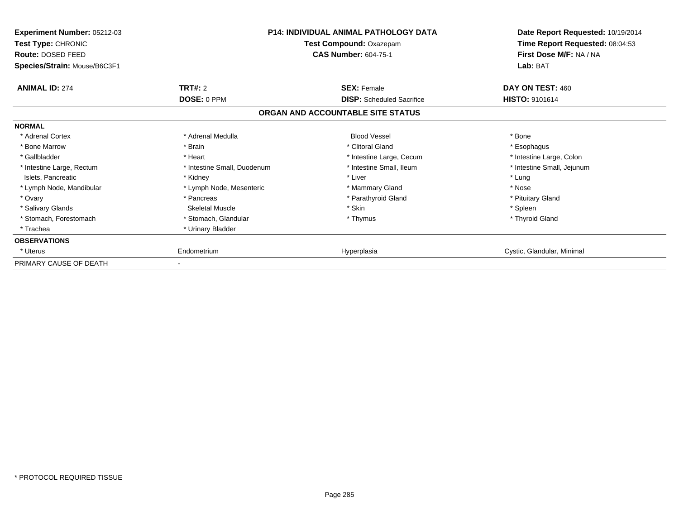| <b>Experiment Number: 05212-03</b><br>Test Type: CHRONIC<br>Route: DOSED FEED<br>Species/Strain: Mouse/B6C3F1 |                             | <b>P14: INDIVIDUAL ANIMAL PATHOLOGY DATA</b><br>Test Compound: Oxazepam<br><b>CAS Number: 604-75-1</b> | Date Report Requested: 10/19/2014<br>Time Report Requested: 08:04:53<br>First Dose M/F: NA / NA<br>Lab: BAT |
|---------------------------------------------------------------------------------------------------------------|-----------------------------|--------------------------------------------------------------------------------------------------------|-------------------------------------------------------------------------------------------------------------|
| <b>ANIMAL ID: 274</b>                                                                                         | TRT#: 2                     | <b>SEX: Female</b>                                                                                     | DAY ON TEST: 460                                                                                            |
|                                                                                                               | DOSE: 0 PPM                 | <b>DISP:</b> Scheduled Sacrifice                                                                       | <b>HISTO: 9101614</b>                                                                                       |
|                                                                                                               |                             | ORGAN AND ACCOUNTABLE SITE STATUS                                                                      |                                                                                                             |
| <b>NORMAL</b>                                                                                                 |                             |                                                                                                        |                                                                                                             |
| * Adrenal Cortex                                                                                              | * Adrenal Medulla           | <b>Blood Vessel</b>                                                                                    | * Bone                                                                                                      |
| * Bone Marrow                                                                                                 | * Brain                     | * Clitoral Gland                                                                                       | * Esophagus                                                                                                 |
| * Gallbladder                                                                                                 | * Heart                     | * Intestine Large, Cecum                                                                               | * Intestine Large, Colon                                                                                    |
| * Intestine Large, Rectum                                                                                     | * Intestine Small, Duodenum | * Intestine Small, Ileum                                                                               | * Intestine Small, Jejunum                                                                                  |
| Islets, Pancreatic                                                                                            | * Kidney                    | * Liver                                                                                                | * Lung                                                                                                      |
| * Lymph Node, Mandibular                                                                                      | * Lymph Node, Mesenteric    | * Mammary Gland                                                                                        | * Nose                                                                                                      |
| * Ovary                                                                                                       | * Pancreas                  | * Parathyroid Gland                                                                                    | * Pituitary Gland                                                                                           |
| * Salivary Glands                                                                                             | <b>Skeletal Muscle</b>      | * Skin                                                                                                 | * Spleen                                                                                                    |
| * Stomach, Forestomach                                                                                        | * Stomach, Glandular        | * Thymus                                                                                               | * Thyroid Gland                                                                                             |
| * Trachea                                                                                                     | * Urinary Bladder           |                                                                                                        |                                                                                                             |
| <b>OBSERVATIONS</b>                                                                                           |                             |                                                                                                        |                                                                                                             |
| * Uterus                                                                                                      | Endometrium                 | Hyperplasia                                                                                            | Cystic, Glandular, Minimal                                                                                  |
| PRIMARY CAUSE OF DEATH                                                                                        |                             |                                                                                                        |                                                                                                             |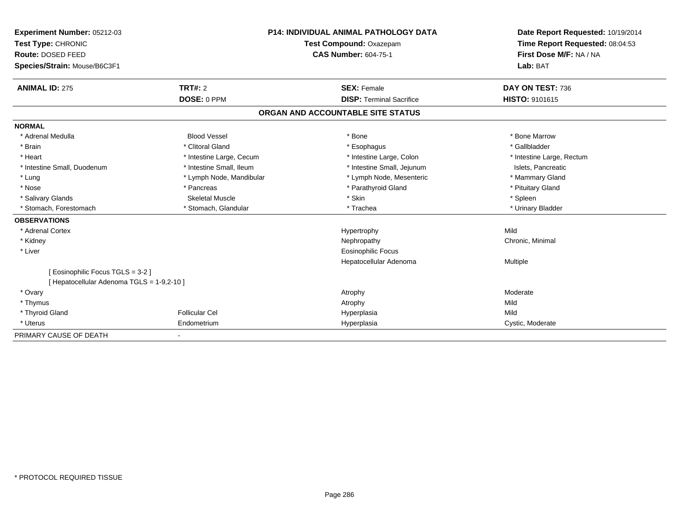| <b>Experiment Number: 05212-03</b><br>Test Type: CHRONIC<br>Route: DOSED FEED<br>Species/Strain: Mouse/B6C3F1 |                          | <b>P14: INDIVIDUAL ANIMAL PATHOLOGY DATA</b><br>Test Compound: Oxazepam<br><b>CAS Number: 604-75-1</b> | Date Report Requested: 10/19/2014<br>Time Report Requested: 08:04:53<br>First Dose M/F: NA / NA<br>Lab: BAT |
|---------------------------------------------------------------------------------------------------------------|--------------------------|--------------------------------------------------------------------------------------------------------|-------------------------------------------------------------------------------------------------------------|
| <b>ANIMAL ID: 275</b>                                                                                         | TRT#: 2                  | <b>SEX: Female</b>                                                                                     | DAY ON TEST: 736                                                                                            |
|                                                                                                               | DOSE: 0 PPM              | <b>DISP: Terminal Sacrifice</b>                                                                        | <b>HISTO: 9101615</b>                                                                                       |
|                                                                                                               |                          | ORGAN AND ACCOUNTABLE SITE STATUS                                                                      |                                                                                                             |
| <b>NORMAL</b>                                                                                                 |                          |                                                                                                        |                                                                                                             |
| * Adrenal Medulla                                                                                             | <b>Blood Vessel</b>      | * Bone                                                                                                 | * Bone Marrow                                                                                               |
| * Brain                                                                                                       | * Clitoral Gland         | * Esophagus                                                                                            | * Gallbladder                                                                                               |
| * Heart                                                                                                       | * Intestine Large, Cecum | * Intestine Large, Colon                                                                               | * Intestine Large, Rectum                                                                                   |
| * Intestine Small, Duodenum                                                                                   | * Intestine Small, Ileum | * Intestine Small, Jejunum                                                                             | Islets. Pancreatic                                                                                          |
| * Lung                                                                                                        | * Lymph Node, Mandibular | * Lymph Node, Mesenteric                                                                               | * Mammary Gland                                                                                             |
| * Nose                                                                                                        | * Pancreas               | * Parathyroid Gland                                                                                    | * Pituitary Gland                                                                                           |
| * Salivary Glands                                                                                             | <b>Skeletal Muscle</b>   | * Skin                                                                                                 | * Spleen                                                                                                    |
| * Stomach, Forestomach                                                                                        | * Stomach, Glandular     | * Trachea                                                                                              | * Urinary Bladder                                                                                           |
| <b>OBSERVATIONS</b>                                                                                           |                          |                                                                                                        |                                                                                                             |
| * Adrenal Cortex                                                                                              |                          | Hypertrophy                                                                                            | Mild                                                                                                        |
| * Kidney                                                                                                      |                          | Nephropathy                                                                                            | Chronic, Minimal                                                                                            |
| * Liver                                                                                                       |                          | <b>Eosinophilic Focus</b>                                                                              |                                                                                                             |
|                                                                                                               |                          | Hepatocellular Adenoma                                                                                 | <b>Multiple</b>                                                                                             |
| [ Eosinophilic Focus TGLS = 3-2 ]                                                                             |                          |                                                                                                        |                                                                                                             |
| [ Hepatocellular Adenoma TGLS = 1-9,2-10 ]                                                                    |                          |                                                                                                        |                                                                                                             |
| * Ovary                                                                                                       |                          | Atrophy                                                                                                | Moderate                                                                                                    |
| * Thymus                                                                                                      |                          | Atrophy                                                                                                | Mild                                                                                                        |
| * Thyroid Gland                                                                                               | <b>Follicular Cel</b>    | Hyperplasia                                                                                            | Mild                                                                                                        |
| * Uterus                                                                                                      | Endometrium              | Hyperplasia                                                                                            | Cystic, Moderate                                                                                            |
| PRIMARY CAUSE OF DEATH                                                                                        |                          |                                                                                                        |                                                                                                             |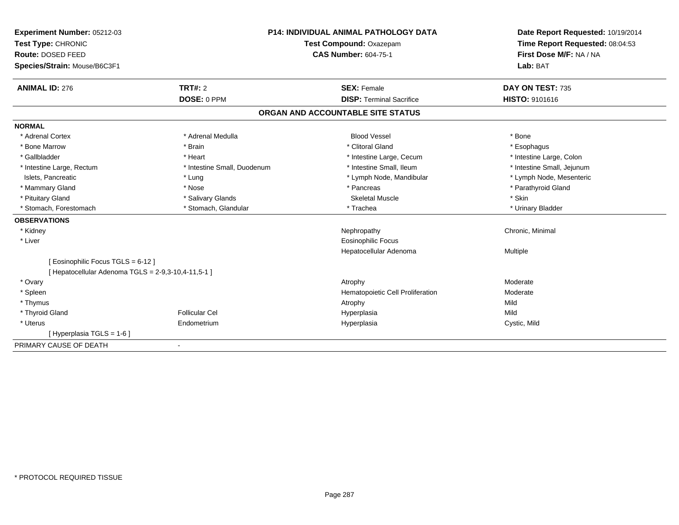| Experiment Number: 05212-03                         | <b>P14: INDIVIDUAL ANIMAL PATHOLOGY DATA</b> |                                   | Date Report Requested: 10/19/2014 |  |
|-----------------------------------------------------|----------------------------------------------|-----------------------------------|-----------------------------------|--|
| Test Type: CHRONIC                                  |                                              | Test Compound: Oxazepam           | Time Report Requested: 08:04:53   |  |
| Route: DOSED FEED                                   |                                              | <b>CAS Number: 604-75-1</b>       | First Dose M/F: NA / NA           |  |
| Species/Strain: Mouse/B6C3F1                        |                                              |                                   | Lab: BAT                          |  |
| <b>ANIMAL ID: 276</b>                               | <b>TRT#: 2</b>                               | <b>SEX: Female</b>                | DAY ON TEST: 735                  |  |
|                                                     | DOSE: 0 PPM                                  | <b>DISP: Terminal Sacrifice</b>   | HISTO: 9101616                    |  |
|                                                     |                                              | ORGAN AND ACCOUNTABLE SITE STATUS |                                   |  |
| <b>NORMAL</b>                                       |                                              |                                   |                                   |  |
| * Adrenal Cortex                                    | * Adrenal Medulla                            | <b>Blood Vessel</b>               | * Bone                            |  |
| * Bone Marrow                                       | * Brain                                      | * Clitoral Gland                  | * Esophagus                       |  |
| * Gallbladder                                       | * Heart                                      | * Intestine Large, Cecum          | * Intestine Large, Colon          |  |
| * Intestine Large, Rectum                           | * Intestine Small, Duodenum                  | * Intestine Small, Ileum          | * Intestine Small, Jejunum        |  |
| Islets, Pancreatic                                  | * Lung                                       | * Lymph Node, Mandibular          | * Lymph Node, Mesenteric          |  |
| * Mammary Gland                                     | * Nose                                       | * Pancreas                        | * Parathyroid Gland               |  |
| * Pituitary Gland                                   | * Salivary Glands                            | <b>Skeletal Muscle</b>            | * Skin                            |  |
| * Stomach, Forestomach                              | * Stomach, Glandular                         | * Trachea                         | * Urinary Bladder                 |  |
| <b>OBSERVATIONS</b>                                 |                                              |                                   |                                   |  |
| * Kidney                                            |                                              | Nephropathy                       | Chronic, Minimal                  |  |
| * Liver                                             |                                              | <b>Eosinophilic Focus</b>         |                                   |  |
|                                                     |                                              | Hepatocellular Adenoma            | Multiple                          |  |
| [ Eosinophilic Focus TGLS = 6-12 ]                  |                                              |                                   |                                   |  |
| [ Hepatocellular Adenoma TGLS = 2-9,3-10,4-11,5-1 ] |                                              |                                   |                                   |  |
| * Ovary                                             |                                              | Atrophy                           | Moderate                          |  |
| * Spleen                                            |                                              | Hematopoietic Cell Proliferation  | Moderate                          |  |
| * Thymus                                            |                                              | Atrophy                           | Mild                              |  |
| * Thyroid Gland                                     | <b>Follicular Cel</b>                        | Hyperplasia                       | Mild                              |  |
| * Uterus                                            | Endometrium                                  | Hyperplasia                       | Cystic, Mild                      |  |
| [Hyperplasia TGLS = 1-6]                            |                                              |                                   |                                   |  |
| PRIMARY CAUSE OF DEATH                              |                                              |                                   |                                   |  |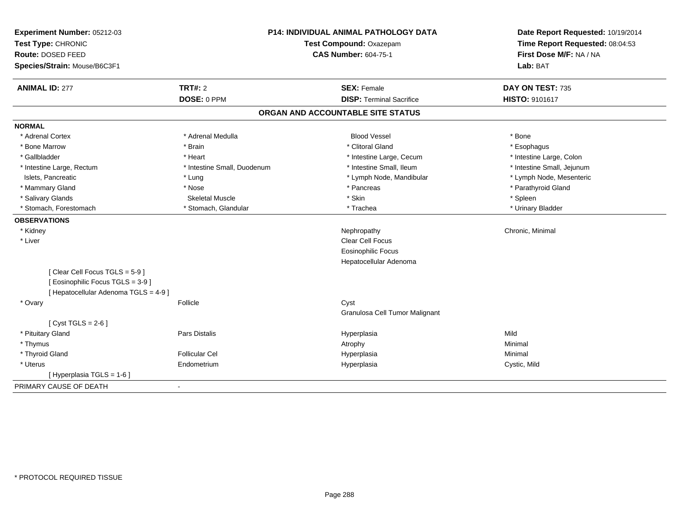| <b>ANIMAL ID: 277</b>                                                                                      | <b>TRT#: 2</b><br>DOSE: 0 PPM | <b>SEX: Female</b>                |                            |
|------------------------------------------------------------------------------------------------------------|-------------------------------|-----------------------------------|----------------------------|
|                                                                                                            |                               |                                   | DAY ON TEST: 735           |
|                                                                                                            |                               | <b>DISP: Terminal Sacrifice</b>   | HISTO: 9101617             |
|                                                                                                            |                               | ORGAN AND ACCOUNTABLE SITE STATUS |                            |
| <b>NORMAL</b>                                                                                              |                               |                                   |                            |
| * Adrenal Cortex                                                                                           | * Adrenal Medulla             | <b>Blood Vessel</b>               | * Bone                     |
| * Bone Marrow                                                                                              | * Brain                       | * Clitoral Gland                  | * Esophagus                |
| * Gallbladder                                                                                              | * Heart                       | * Intestine Large, Cecum          | * Intestine Large, Colon   |
| * Intestine Large, Rectum                                                                                  | * Intestine Small, Duodenum   | * Intestine Small, Ileum          | * Intestine Small, Jejunum |
| Islets, Pancreatic                                                                                         | * Lung                        | * Lymph Node, Mandibular          | * Lymph Node, Mesenteric   |
| * Mammary Gland                                                                                            | * Nose                        | * Pancreas                        | * Parathyroid Gland        |
| * Salivary Glands                                                                                          | <b>Skeletal Muscle</b>        | * Skin                            | * Spleen                   |
| * Stomach, Forestomach                                                                                     | * Stomach, Glandular          | * Trachea                         | * Urinary Bladder          |
| <b>OBSERVATIONS</b>                                                                                        |                               |                                   |                            |
| * Kidney                                                                                                   |                               | Nephropathy                       | Chronic, Minimal           |
| * Liver                                                                                                    |                               | <b>Clear Cell Focus</b>           |                            |
|                                                                                                            |                               | <b>Eosinophilic Focus</b>         |                            |
|                                                                                                            |                               | Hepatocellular Adenoma            |                            |
| [Clear Cell Focus TGLS = 5-9]<br>[ Eosinophilic Focus TGLS = 3-9 ]<br>[ Hepatocellular Adenoma TGLS = 4-9] |                               |                                   |                            |
| * Ovary                                                                                                    | Follicle                      | Cyst                              |                            |
|                                                                                                            |                               | Granulosa Cell Tumor Malignant    |                            |
| [Cyst TGLS = $2-6$ ]                                                                                       |                               |                                   |                            |
| * Pituitary Gland                                                                                          | Pars Distalis                 | Hyperplasia                       | Mild                       |
| * Thymus                                                                                                   |                               | Atrophy                           | Minimal                    |
| * Thyroid Gland                                                                                            | <b>Follicular Cel</b>         | Hyperplasia                       | Minimal                    |
| * Uterus                                                                                                   | Endometrium                   | Hyperplasia                       | Cystic, Mild               |
| [ Hyperplasia TGLS = 1-6 ]                                                                                 |                               |                                   |                            |
| PRIMARY CAUSE OF DEATH                                                                                     |                               |                                   |                            |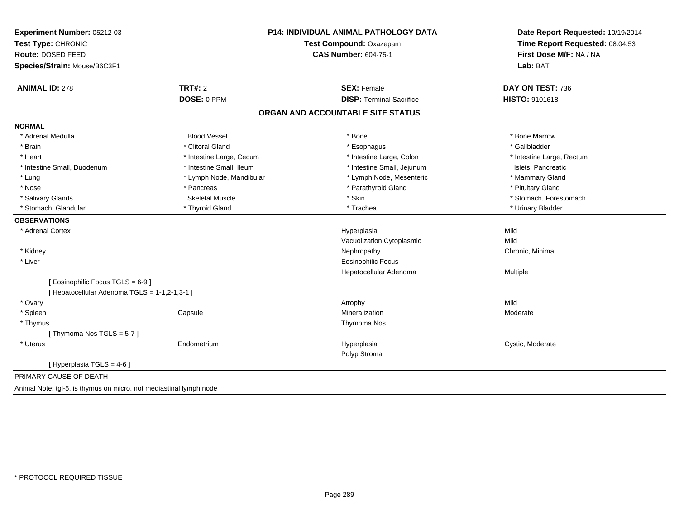| Experiment Number: 05212-03<br>Test Type: CHRONIC<br>Route: DOSED FEED |                          | <b>P14: INDIVIDUAL ANIMAL PATHOLOGY DATA</b> | Date Report Requested: 10/19/2014 |
|------------------------------------------------------------------------|--------------------------|----------------------------------------------|-----------------------------------|
|                                                                        |                          | Test Compound: Oxazepam                      | Time Report Requested: 08:04:53   |
|                                                                        |                          | <b>CAS Number: 604-75-1</b>                  | First Dose M/F: NA / NA           |
| Species/Strain: Mouse/B6C3F1                                           |                          |                                              | Lab: BAT                          |
| <b>ANIMAL ID: 278</b>                                                  | <b>TRT#: 2</b>           | <b>SEX: Female</b>                           | DAY ON TEST: 736                  |
|                                                                        | DOSE: 0 PPM              | <b>DISP: Terminal Sacrifice</b>              | HISTO: 9101618                    |
|                                                                        |                          | ORGAN AND ACCOUNTABLE SITE STATUS            |                                   |
| <b>NORMAL</b>                                                          |                          |                                              |                                   |
| * Adrenal Medulla                                                      | <b>Blood Vessel</b>      | * Bone                                       | * Bone Marrow                     |
| * Brain                                                                | * Clitoral Gland         | * Esophagus                                  | * Gallbladder                     |
| * Heart                                                                | * Intestine Large, Cecum | * Intestine Large, Colon                     | * Intestine Large, Rectum         |
| * Intestine Small, Duodenum                                            | * Intestine Small, Ileum | * Intestine Small, Jejunum                   | Islets, Pancreatic                |
| * Lung                                                                 | * Lymph Node, Mandibular | * Lymph Node, Mesenteric                     | * Mammary Gland                   |
| * Nose                                                                 | * Pancreas               | * Parathyroid Gland                          | * Pituitary Gland                 |
| * Salivary Glands                                                      | <b>Skeletal Muscle</b>   | * Skin                                       | * Stomach, Forestomach            |
| * Stomach, Glandular                                                   | * Thyroid Gland          | * Trachea                                    | * Urinary Bladder                 |
| <b>OBSERVATIONS</b>                                                    |                          |                                              |                                   |
| * Adrenal Cortex                                                       |                          | Hyperplasia                                  | Mild                              |
|                                                                        |                          | Vacuolization Cytoplasmic                    | Mild                              |
| * Kidney                                                               |                          | Nephropathy                                  | Chronic, Minimal                  |
| * Liver                                                                |                          | <b>Eosinophilic Focus</b>                    |                                   |
|                                                                        |                          | Hepatocellular Adenoma                       | Multiple                          |
| [ Eosinophilic Focus TGLS = 6-9 ]                                      |                          |                                              |                                   |
| [ Hepatocellular Adenoma TGLS = 1-1,2-1,3-1 ]                          |                          |                                              |                                   |
| * Ovary                                                                |                          | Atrophy                                      | Mild                              |
| * Spleen                                                               | Capsule                  | Mineralization                               | Moderate                          |
| * Thymus                                                               |                          | Thymoma Nos                                  |                                   |
| [Thymoma Nos TGLS = 5-7]                                               |                          |                                              |                                   |
| * Uterus                                                               | Endometrium              | Hyperplasia                                  | Cystic, Moderate                  |
|                                                                        |                          | Polyp Stromal                                |                                   |
| [ Hyperplasia TGLS = 4-6 ]                                             |                          |                                              |                                   |
| PRIMARY CAUSE OF DEATH                                                 |                          |                                              |                                   |
| Animal Note: tgl-5, is thymus on micro, not mediastinal lymph node     |                          |                                              |                                   |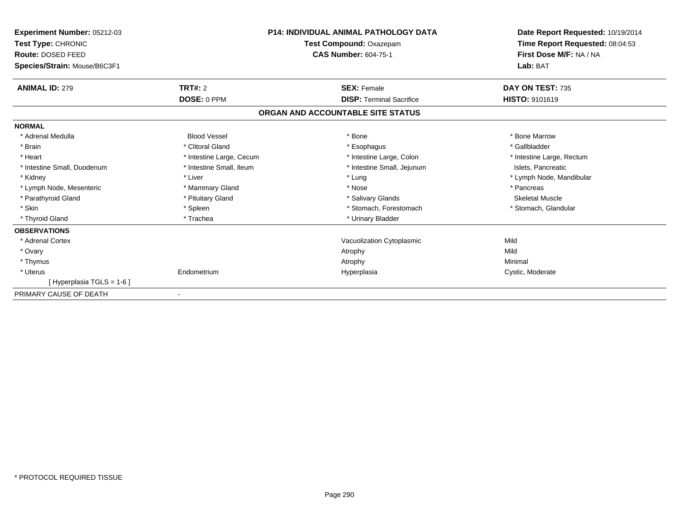| <b>Experiment Number: 05212-03</b><br>Test Type: CHRONIC<br><b>Route: DOSED FEED</b><br>Species/Strain: Mouse/B6C3F1 |                          | <b>P14: INDIVIDUAL ANIMAL PATHOLOGY DATA</b><br><b>Test Compound: Oxazepam</b><br><b>CAS Number: 604-75-1</b> | Date Report Requested: 10/19/2014<br>Time Report Requested: 08:04:53<br>First Dose M/F: NA / NA<br>Lab: BAT |  |
|----------------------------------------------------------------------------------------------------------------------|--------------------------|---------------------------------------------------------------------------------------------------------------|-------------------------------------------------------------------------------------------------------------|--|
|                                                                                                                      |                          |                                                                                                               |                                                                                                             |  |
| <b>ANIMAL ID: 279</b>                                                                                                | TRT#: 2                  | <b>SEX: Female</b>                                                                                            | DAY ON TEST: 735                                                                                            |  |
|                                                                                                                      | DOSE: 0 PPM              | <b>DISP: Terminal Sacrifice</b>                                                                               | <b>HISTO: 9101619</b>                                                                                       |  |
|                                                                                                                      |                          | ORGAN AND ACCOUNTABLE SITE STATUS                                                                             |                                                                                                             |  |
| <b>NORMAL</b>                                                                                                        |                          |                                                                                                               |                                                                                                             |  |
| * Adrenal Medulla                                                                                                    | <b>Blood Vessel</b>      | * Bone                                                                                                        | * Bone Marrow                                                                                               |  |
| * Brain                                                                                                              | * Clitoral Gland         | * Esophagus                                                                                                   | * Gallbladder                                                                                               |  |
| * Heart                                                                                                              | * Intestine Large, Cecum | * Intestine Large, Colon                                                                                      | * Intestine Large, Rectum                                                                                   |  |
| * Intestine Small, Duodenum                                                                                          | * Intestine Small, Ileum | * Intestine Small, Jejunum                                                                                    | Islets, Pancreatic                                                                                          |  |
| * Kidney                                                                                                             | * Liver                  | * Lung                                                                                                        | * Lymph Node, Mandibular                                                                                    |  |
| * Lymph Node, Mesenteric                                                                                             | * Mammary Gland          | * Nose                                                                                                        | * Pancreas                                                                                                  |  |
| * Parathyroid Gland                                                                                                  | * Pituitary Gland        | * Salivary Glands                                                                                             | <b>Skeletal Muscle</b>                                                                                      |  |
| * Skin                                                                                                               | * Spleen                 | * Stomach, Forestomach                                                                                        | * Stomach, Glandular                                                                                        |  |
| * Thyroid Gland                                                                                                      | * Trachea                | * Urinary Bladder                                                                                             |                                                                                                             |  |
| <b>OBSERVATIONS</b>                                                                                                  |                          |                                                                                                               |                                                                                                             |  |
| * Adrenal Cortex                                                                                                     |                          | Vacuolization Cytoplasmic                                                                                     | Mild                                                                                                        |  |
| * Ovary                                                                                                              |                          | Atrophy                                                                                                       | Mild                                                                                                        |  |
| * Thymus                                                                                                             |                          | Atrophy                                                                                                       | Minimal                                                                                                     |  |
| * Uterus                                                                                                             | Endometrium              | Hyperplasia                                                                                                   | Cystic, Moderate                                                                                            |  |
| [Hyperplasia TGLS = 1-6]                                                                                             |                          |                                                                                                               |                                                                                                             |  |
| PRIMARY CAUSE OF DEATH                                                                                               |                          |                                                                                                               |                                                                                                             |  |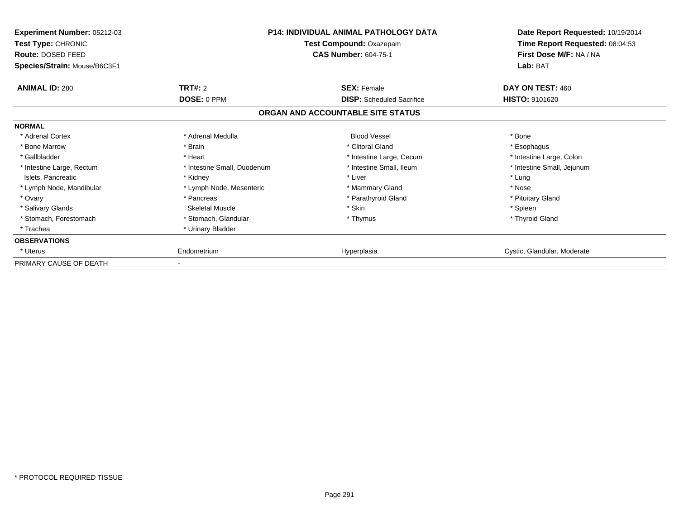| Experiment Number: 05212-03<br><b>Test Type: CHRONIC</b><br>Route: DOSED FEED<br>Species/Strain: Mouse/B6C3F1 | <b>P14: INDIVIDUAL ANIMAL PATHOLOGY DATA</b><br>Test Compound: Oxazepam<br><b>CAS Number: 604-75-1</b> |                                   | Date Report Requested: 10/19/2014<br>Time Report Requested: 08:04:53<br>First Dose M/F: NA / NA<br>Lab: BAT |
|---------------------------------------------------------------------------------------------------------------|--------------------------------------------------------------------------------------------------------|-----------------------------------|-------------------------------------------------------------------------------------------------------------|
| <b>ANIMAL ID: 280</b>                                                                                         | <b>TRT#: 2</b>                                                                                         | <b>SEX: Female</b>                | DAY ON TEST: 460                                                                                            |
|                                                                                                               | DOSE: 0 PPM                                                                                            | <b>DISP:</b> Scheduled Sacrifice  | <b>HISTO: 9101620</b>                                                                                       |
|                                                                                                               |                                                                                                        | ORGAN AND ACCOUNTABLE SITE STATUS |                                                                                                             |
| <b>NORMAL</b>                                                                                                 |                                                                                                        |                                   |                                                                                                             |
| * Adrenal Cortex                                                                                              | * Adrenal Medulla                                                                                      | <b>Blood Vessel</b>               | * Bone                                                                                                      |
| * Bone Marrow                                                                                                 | * Brain                                                                                                | * Clitoral Gland                  | * Esophagus                                                                                                 |
| * Gallbladder                                                                                                 | * Heart                                                                                                | * Intestine Large, Cecum          | * Intestine Large, Colon                                                                                    |
| * Intestine Large, Rectum                                                                                     | * Intestine Small, Duodenum                                                                            | * Intestine Small, Ileum          | * Intestine Small, Jejunum                                                                                  |
| Islets, Pancreatic                                                                                            | * Kidney                                                                                               | * Liver                           | * Lung                                                                                                      |
| * Lymph Node, Mandibular                                                                                      | * Lymph Node, Mesenteric                                                                               | * Mammary Gland                   | * Nose                                                                                                      |
| * Ovary                                                                                                       | * Pancreas                                                                                             | * Parathyroid Gland               | * Pituitary Gland                                                                                           |
| * Salivary Glands                                                                                             | Skeletal Muscle                                                                                        | * Skin                            | * Spleen                                                                                                    |
| * Stomach, Forestomach                                                                                        | * Stomach, Glandular                                                                                   | * Thymus                          | * Thyroid Gland                                                                                             |
| * Trachea                                                                                                     | * Urinary Bladder                                                                                      |                                   |                                                                                                             |
| <b>OBSERVATIONS</b>                                                                                           |                                                                                                        |                                   |                                                                                                             |
| * Uterus                                                                                                      | Endometrium                                                                                            | Hyperplasia                       | Cystic, Glandular, Moderate                                                                                 |
| PRIMARY CAUSE OF DEATH                                                                                        |                                                                                                        |                                   |                                                                                                             |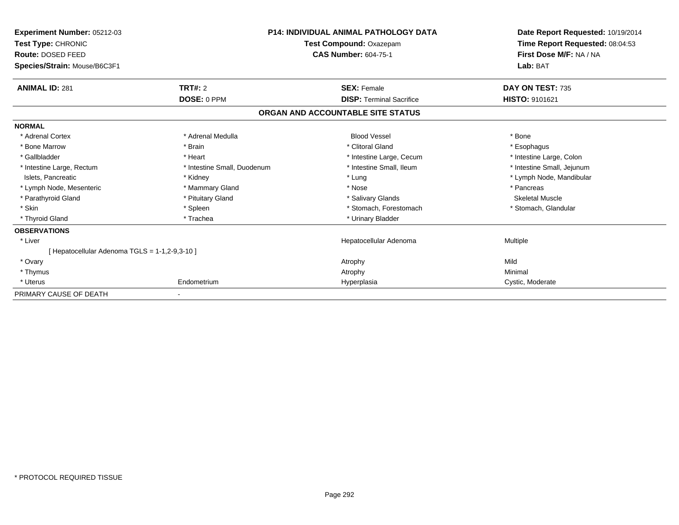| Experiment Number: 05212-03<br><b>Test Type: CHRONIC</b><br>Route: DOSED FEED |                             | <b>P14: INDIVIDUAL ANIMAL PATHOLOGY DATA</b><br>Test Compound: Oxazepam<br><b>CAS Number: 604-75-1</b> | Date Report Requested: 10/19/2014<br>Time Report Requested: 08:04:53<br>First Dose M/F: NA / NA |  |
|-------------------------------------------------------------------------------|-----------------------------|--------------------------------------------------------------------------------------------------------|-------------------------------------------------------------------------------------------------|--|
| Species/Strain: Mouse/B6C3F1                                                  |                             |                                                                                                        | Lab: BAT                                                                                        |  |
| <b>ANIMAL ID: 281</b>                                                         | <b>TRT#: 2</b>              | <b>SEX: Female</b>                                                                                     | DAY ON TEST: 735                                                                                |  |
|                                                                               | DOSE: 0 PPM                 | <b>DISP: Terminal Sacrifice</b>                                                                        | HISTO: 9101621                                                                                  |  |
|                                                                               |                             | ORGAN AND ACCOUNTABLE SITE STATUS                                                                      |                                                                                                 |  |
| <b>NORMAL</b>                                                                 |                             |                                                                                                        |                                                                                                 |  |
| * Adrenal Cortex                                                              | * Adrenal Medulla           | <b>Blood Vessel</b>                                                                                    | * Bone                                                                                          |  |
| * Bone Marrow                                                                 | * Brain                     | * Clitoral Gland                                                                                       | * Esophagus                                                                                     |  |
| * Gallbladder                                                                 | * Heart                     | * Intestine Large, Cecum                                                                               | * Intestine Large, Colon                                                                        |  |
| * Intestine Large, Rectum                                                     | * Intestine Small, Duodenum | * Intestine Small, Ileum                                                                               | * Intestine Small, Jejunum                                                                      |  |
| Islets, Pancreatic                                                            | * Kidney                    | * Lung                                                                                                 | * Lymph Node, Mandibular                                                                        |  |
| * Lymph Node, Mesenteric                                                      | * Mammary Gland             | * Nose                                                                                                 | * Pancreas                                                                                      |  |
| * Parathyroid Gland                                                           | * Pituitary Gland           | * Salivary Glands                                                                                      | <b>Skeletal Muscle</b>                                                                          |  |
| * Skin                                                                        | * Spleen                    | * Stomach. Forestomach                                                                                 | * Stomach, Glandular                                                                            |  |
| * Thyroid Gland                                                               | * Trachea                   | * Urinary Bladder                                                                                      |                                                                                                 |  |
| <b>OBSERVATIONS</b>                                                           |                             |                                                                                                        |                                                                                                 |  |
| * Liver                                                                       |                             | Hepatocellular Adenoma                                                                                 | Multiple                                                                                        |  |
| [ Hepatocellular Adenoma TGLS = 1-1,2-9,3-10 ]                                |                             |                                                                                                        |                                                                                                 |  |
| * Ovary                                                                       |                             | Atrophy                                                                                                | Mild                                                                                            |  |
| * Thymus                                                                      |                             | Atrophy                                                                                                | Minimal                                                                                         |  |
| * Uterus                                                                      | Endometrium                 | Hyperplasia                                                                                            | Cystic, Moderate                                                                                |  |
| PRIMARY CAUSE OF DEATH                                                        |                             |                                                                                                        |                                                                                                 |  |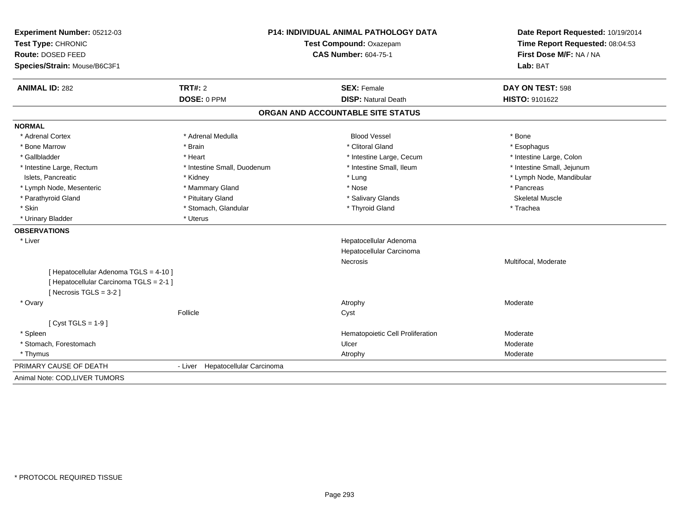| Experiment Number: 05212-03<br>Test Type: CHRONIC |                                     | <b>P14: INDIVIDUAL ANIMAL PATHOLOGY DATA</b>       | Date Report Requested: 10/19/2014 |  |
|---------------------------------------------------|-------------------------------------|----------------------------------------------------|-----------------------------------|--|
|                                                   |                                     | Test Compound: Oxazepam                            | Time Report Requested: 08:04:53   |  |
| Route: DOSED FEED                                 |                                     | <b>CAS Number: 604-75-1</b>                        | First Dose M/F: NA / NA           |  |
| Species/Strain: Mouse/B6C3F1                      |                                     |                                                    | Lab: BAT                          |  |
| <b>ANIMAL ID: 282</b>                             | <b>TRT#: 2</b>                      | <b>SEX: Female</b>                                 | DAY ON TEST: 598                  |  |
|                                                   | DOSE: 0 PPM                         | <b>DISP: Natural Death</b>                         | HISTO: 9101622                    |  |
|                                                   |                                     | ORGAN AND ACCOUNTABLE SITE STATUS                  |                                   |  |
| <b>NORMAL</b>                                     |                                     |                                                    |                                   |  |
| * Adrenal Cortex                                  | * Adrenal Medulla                   | <b>Blood Vessel</b>                                | * Bone                            |  |
| * Bone Marrow                                     | * Brain                             | * Clitoral Gland                                   | * Esophagus                       |  |
| * Gallbladder                                     | * Heart                             | * Intestine Large, Cecum                           | * Intestine Large, Colon          |  |
| * Intestine Large, Rectum                         | * Intestine Small, Duodenum         | * Intestine Small, Ileum                           | * Intestine Small, Jejunum        |  |
| Islets, Pancreatic                                | * Kidney                            | * Lung                                             | * Lymph Node, Mandibular          |  |
| * Lymph Node, Mesenteric                          | * Mammary Gland                     | * Nose                                             | * Pancreas                        |  |
| * Parathyroid Gland                               | * Pituitary Gland                   | * Salivary Glands                                  | <b>Skeletal Muscle</b>            |  |
| * Skin                                            | * Stomach, Glandular                | * Thyroid Gland                                    | * Trachea                         |  |
| * Urinary Bladder                                 | * Uterus                            |                                                    |                                   |  |
| <b>OBSERVATIONS</b>                               |                                     |                                                    |                                   |  |
| * Liver                                           |                                     | Hepatocellular Adenoma<br>Hepatocellular Carcinoma |                                   |  |
|                                                   |                                     | <b>Necrosis</b>                                    | Multifocal, Moderate              |  |
| [ Hepatocellular Adenoma TGLS = 4-10 ]            |                                     |                                                    |                                   |  |
| [ Hepatocellular Carcinoma TGLS = 2-1 ]           |                                     |                                                    |                                   |  |
| [Necrosis TGLS = $3-2$ ]                          |                                     |                                                    |                                   |  |
| * Ovary                                           |                                     | Atrophy                                            | Moderate                          |  |
|                                                   | Follicle                            | Cyst                                               |                                   |  |
| [Cyst TGLS = $1-9$ ]                              |                                     |                                                    |                                   |  |
| * Spleen                                          |                                     | Hematopoietic Cell Proliferation                   | Moderate                          |  |
| * Stomach, Forestomach                            |                                     | Ulcer                                              | Moderate                          |  |
| * Thymus                                          |                                     | Atrophy                                            | Moderate                          |  |
| PRIMARY CAUSE OF DEATH                            | Hepatocellular Carcinoma<br>- Liver |                                                    |                                   |  |
| Animal Note: COD, LIVER TUMORS                    |                                     |                                                    |                                   |  |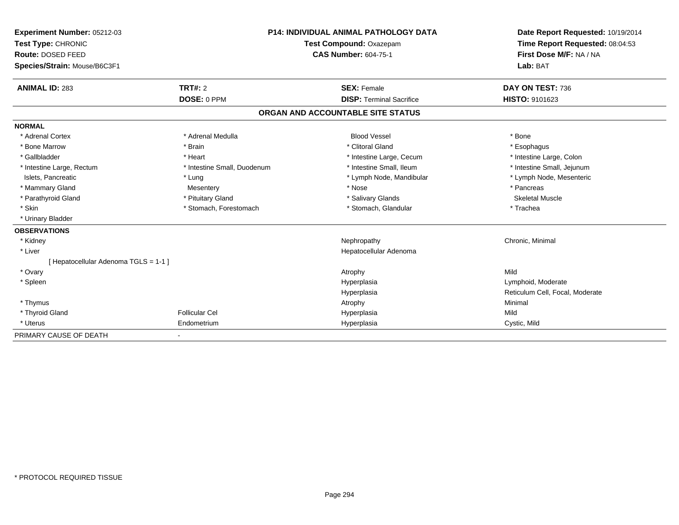| Experiment Number: 05212-03           |                             | <b>P14: INDIVIDUAL ANIMAL PATHOLOGY DATA</b> |                                   | Date Report Requested: 10/19/2014 |  |
|---------------------------------------|-----------------------------|----------------------------------------------|-----------------------------------|-----------------------------------|--|
| Test Type: CHRONIC                    | Test Compound: Oxazepam     |                                              | Time Report Requested: 08:04:53   |                                   |  |
| Route: DOSED FEED                     |                             | <b>CAS Number: 604-75-1</b>                  |                                   | First Dose M/F: NA / NA           |  |
| Species/Strain: Mouse/B6C3F1          |                             |                                              |                                   | Lab: BAT                          |  |
| <b>ANIMAL ID: 283</b>                 | <b>TRT#: 2</b>              |                                              | <b>SEX: Female</b>                | DAY ON TEST: 736                  |  |
|                                       | DOSE: 0 PPM                 |                                              | <b>DISP: Terminal Sacrifice</b>   | HISTO: 9101623                    |  |
|                                       |                             |                                              | ORGAN AND ACCOUNTABLE SITE STATUS |                                   |  |
| <b>NORMAL</b>                         |                             |                                              |                                   |                                   |  |
| * Adrenal Cortex                      | * Adrenal Medulla           |                                              | <b>Blood Vessel</b>               | * Bone                            |  |
| * Bone Marrow                         | * Brain                     |                                              | * Clitoral Gland                  | * Esophagus                       |  |
| * Gallbladder                         | * Heart                     |                                              | * Intestine Large, Cecum          | * Intestine Large, Colon          |  |
| * Intestine Large, Rectum             | * Intestine Small, Duodenum |                                              | * Intestine Small, Ileum          | * Intestine Small, Jejunum        |  |
| Islets, Pancreatic                    | * Lung                      |                                              | * Lymph Node, Mandibular          | * Lymph Node, Mesenteric          |  |
| * Mammary Gland                       | Mesentery                   |                                              | * Nose                            | * Pancreas                        |  |
| * Parathyroid Gland                   | * Pituitary Gland           |                                              | * Salivary Glands                 | <b>Skeletal Muscle</b>            |  |
| * Skin                                | * Stomach, Forestomach      |                                              | * Stomach, Glandular              | * Trachea                         |  |
| * Urinary Bladder                     |                             |                                              |                                   |                                   |  |
| <b>OBSERVATIONS</b>                   |                             |                                              |                                   |                                   |  |
| * Kidney                              |                             |                                              | Nephropathy                       | Chronic, Minimal                  |  |
| * Liver                               |                             |                                              | Hepatocellular Adenoma            |                                   |  |
| [ Hepatocellular Adenoma TGLS = 1-1 ] |                             |                                              |                                   |                                   |  |
| * Ovary                               |                             |                                              | Atrophy                           | Mild                              |  |
| * Spleen                              |                             |                                              | Hyperplasia                       | Lymphoid, Moderate                |  |
|                                       |                             |                                              | Hyperplasia                       | Reticulum Cell, Focal, Moderate   |  |
| * Thymus                              |                             |                                              | Atrophy                           | Minimal                           |  |
| * Thyroid Gland                       | <b>Follicular Cel</b>       |                                              | Hyperplasia                       | Mild                              |  |
| * Uterus                              | Endometrium                 |                                              | Hyperplasia                       | Cystic, Mild                      |  |
| PRIMARY CAUSE OF DEATH                |                             |                                              |                                   |                                   |  |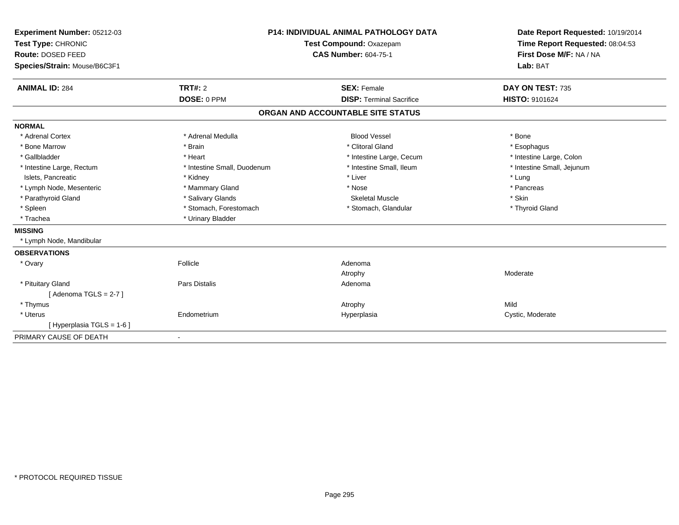| Experiment Number: 05212-03<br>Test Type: CHRONIC<br>Route: DOSED FEED<br>Species/Strain: Mouse/B6C3F1 |                             | <b>P14: INDIVIDUAL ANIMAL PATHOLOGY DATA</b><br>Test Compound: Oxazepam<br><b>CAS Number: 604-75-1</b> | Date Report Requested: 10/19/2014<br>Time Report Requested: 08:04:53<br>First Dose M/F: NA / NA<br>Lab: BAT |
|--------------------------------------------------------------------------------------------------------|-----------------------------|--------------------------------------------------------------------------------------------------------|-------------------------------------------------------------------------------------------------------------|
| <b>ANIMAL ID: 284</b>                                                                                  | TRT#: 2                     | <b>SEX: Female</b>                                                                                     | DAY ON TEST: 735                                                                                            |
|                                                                                                        | DOSE: 0 PPM                 | <b>DISP: Terminal Sacrifice</b>                                                                        | HISTO: 9101624                                                                                              |
|                                                                                                        |                             | ORGAN AND ACCOUNTABLE SITE STATUS                                                                      |                                                                                                             |
| <b>NORMAL</b>                                                                                          |                             |                                                                                                        |                                                                                                             |
| * Adrenal Cortex                                                                                       | * Adrenal Medulla           | <b>Blood Vessel</b>                                                                                    | * Bone                                                                                                      |
| * Bone Marrow                                                                                          | * Brain                     | * Clitoral Gland                                                                                       | * Esophagus                                                                                                 |
| * Gallbladder                                                                                          | * Heart                     | * Intestine Large, Cecum                                                                               | * Intestine Large, Colon                                                                                    |
| * Intestine Large, Rectum                                                                              | * Intestine Small, Duodenum | * Intestine Small, Ileum                                                                               | * Intestine Small, Jejunum                                                                                  |
| Islets, Pancreatic                                                                                     | * Kidney                    | * Liver                                                                                                | * Lung                                                                                                      |
| * Lymph Node, Mesenteric                                                                               | * Mammary Gland             | * Nose                                                                                                 | * Pancreas                                                                                                  |
| * Parathyroid Gland                                                                                    | * Salivary Glands           | <b>Skeletal Muscle</b>                                                                                 | * Skin                                                                                                      |
| * Spleen                                                                                               | * Stomach, Forestomach      | * Stomach, Glandular                                                                                   | * Thyroid Gland                                                                                             |
| * Trachea                                                                                              | * Urinary Bladder           |                                                                                                        |                                                                                                             |
| <b>MISSING</b>                                                                                         |                             |                                                                                                        |                                                                                                             |
| * Lymph Node, Mandibular                                                                               |                             |                                                                                                        |                                                                                                             |
| <b>OBSERVATIONS</b>                                                                                    |                             |                                                                                                        |                                                                                                             |
| * Ovary                                                                                                | Follicle                    | Adenoma                                                                                                |                                                                                                             |
|                                                                                                        |                             | Atrophy                                                                                                | Moderate                                                                                                    |
| * Pituitary Gland                                                                                      | <b>Pars Distalis</b>        | Adenoma                                                                                                |                                                                                                             |
| [Adenoma TGLS = $2-7$ ]                                                                                |                             |                                                                                                        |                                                                                                             |
| * Thymus                                                                                               |                             | Atrophy                                                                                                | Mild                                                                                                        |
| * Uterus                                                                                               | Endometrium                 | Hyperplasia                                                                                            | Cystic, Moderate                                                                                            |
| [Hyperplasia TGLS = 1-6]                                                                               |                             |                                                                                                        |                                                                                                             |
| PRIMARY CAUSE OF DEATH                                                                                 |                             |                                                                                                        |                                                                                                             |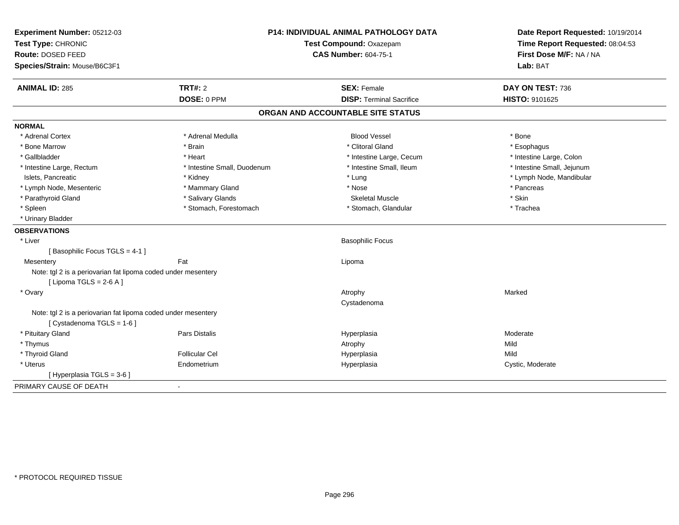| Experiment Number: 05212-03<br>Test Type: CHRONIC             |                             | <b>P14: INDIVIDUAL ANIMAL PATHOLOGY DATA</b><br>Test Compound: Oxazepam | Date Report Requested: 10/19/2014<br>Time Report Requested: 08:04:53 |  |
|---------------------------------------------------------------|-----------------------------|-------------------------------------------------------------------------|----------------------------------------------------------------------|--|
| Route: DOSED FEED                                             |                             | <b>CAS Number: 604-75-1</b>                                             | First Dose M/F: NA / NA                                              |  |
| Species/Strain: Mouse/B6C3F1                                  |                             |                                                                         | Lab: BAT                                                             |  |
| <b>ANIMAL ID: 285</b>                                         | TRT#: 2                     | <b>SEX: Female</b>                                                      | DAY ON TEST: 736                                                     |  |
|                                                               | DOSE: 0 PPM                 | <b>DISP: Terminal Sacrifice</b>                                         | HISTO: 9101625                                                       |  |
|                                                               |                             | ORGAN AND ACCOUNTABLE SITE STATUS                                       |                                                                      |  |
| <b>NORMAL</b>                                                 |                             |                                                                         |                                                                      |  |
| * Adrenal Cortex                                              | * Adrenal Medulla           | <b>Blood Vessel</b>                                                     | * Bone                                                               |  |
| * Bone Marrow                                                 | * Brain                     | * Clitoral Gland                                                        | * Esophagus                                                          |  |
| * Gallbladder                                                 | * Heart                     | * Intestine Large, Cecum                                                | * Intestine Large, Colon                                             |  |
| * Intestine Large, Rectum                                     | * Intestine Small, Duodenum | * Intestine Small, Ileum                                                | * Intestine Small, Jejunum                                           |  |
| Islets, Pancreatic                                            | * Kidney                    | * Lung                                                                  | * Lymph Node, Mandibular                                             |  |
| * Lymph Node, Mesenteric                                      | * Mammary Gland             | * Nose                                                                  | * Pancreas                                                           |  |
| * Parathyroid Gland                                           | * Salivary Glands           | <b>Skeletal Muscle</b>                                                  | * Skin                                                               |  |
| * Spleen                                                      | * Stomach, Forestomach      | * Stomach, Glandular                                                    | * Trachea                                                            |  |
| * Urinary Bladder                                             |                             |                                                                         |                                                                      |  |
| <b>OBSERVATIONS</b>                                           |                             |                                                                         |                                                                      |  |
| * Liver                                                       |                             | <b>Basophilic Focus</b>                                                 |                                                                      |  |
| [Basophilic Focus TGLS = 4-1]                                 |                             |                                                                         |                                                                      |  |
| Mesentery                                                     | Fat                         | Lipoma                                                                  |                                                                      |  |
| Note: tgl 2 is a periovarian fat lipoma coded under mesentery |                             |                                                                         |                                                                      |  |
| [ Lipoma TGLS = $2-6$ A ]                                     |                             |                                                                         |                                                                      |  |
| * Ovary                                                       |                             | Atrophy                                                                 | Marked                                                               |  |
|                                                               |                             | Cystadenoma                                                             |                                                                      |  |
| Note: tgl 2 is a periovarian fat lipoma coded under mesentery |                             |                                                                         |                                                                      |  |
| [Cystadenoma TGLS = 1-6]                                      |                             |                                                                         |                                                                      |  |
| * Pituitary Gland                                             | Pars Distalis               | Hyperplasia                                                             | Moderate                                                             |  |
| * Thymus                                                      |                             | Atrophy                                                                 | Mild                                                                 |  |
| * Thyroid Gland                                               | <b>Follicular Cel</b>       | Hyperplasia                                                             | Mild                                                                 |  |
| * Uterus                                                      | Endometrium                 | Hyperplasia                                                             | Cystic, Moderate                                                     |  |
| [ Hyperplasia TGLS = 3-6 ]                                    |                             |                                                                         |                                                                      |  |
| PRIMARY CAUSE OF DEATH                                        | $\blacksquare$              |                                                                         |                                                                      |  |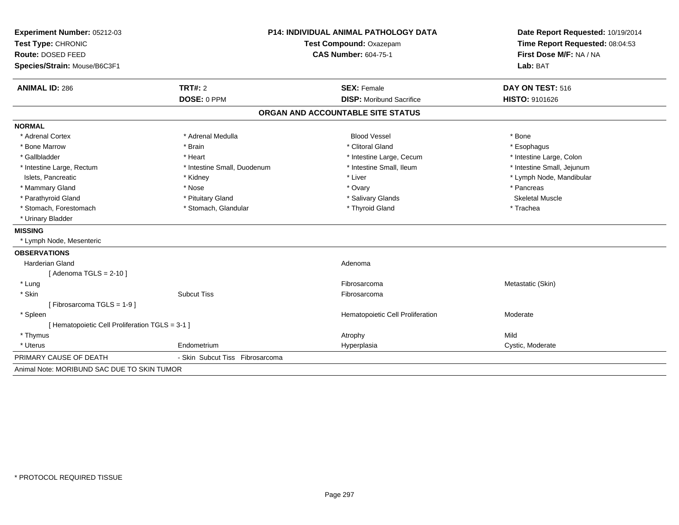| Experiment Number: 05212-03                     | <b>P14: INDIVIDUAL ANIMAL PATHOLOGY DATA</b> |                                   | Date Report Requested: 10/19/2014                          |  |
|-------------------------------------------------|----------------------------------------------|-----------------------------------|------------------------------------------------------------|--|
| Test Type: CHRONIC                              |                                              | Test Compound: Oxazepam           | Time Report Requested: 08:04:53<br>First Dose M/F: NA / NA |  |
| Route: DOSED FEED                               |                                              | <b>CAS Number: 604-75-1</b>       |                                                            |  |
| Species/Strain: Mouse/B6C3F1                    |                                              |                                   | Lab: BAT                                                   |  |
| <b>ANIMAL ID: 286</b>                           | TRT#: 2                                      | <b>SEX: Female</b>                | DAY ON TEST: 516                                           |  |
|                                                 | DOSE: 0 PPM                                  | <b>DISP:</b> Moribund Sacrifice   | HISTO: 9101626                                             |  |
|                                                 |                                              | ORGAN AND ACCOUNTABLE SITE STATUS |                                                            |  |
| <b>NORMAL</b>                                   |                                              |                                   |                                                            |  |
| * Adrenal Cortex                                | * Adrenal Medulla                            | <b>Blood Vessel</b>               | * Bone                                                     |  |
| * Bone Marrow                                   | * Brain                                      | * Clitoral Gland                  | * Esophagus                                                |  |
| * Gallbladder                                   | * Heart                                      | * Intestine Large, Cecum          | * Intestine Large, Colon                                   |  |
| * Intestine Large, Rectum                       | * Intestine Small, Duodenum                  | * Intestine Small, Ileum          | * Intestine Small, Jejunum                                 |  |
| Islets, Pancreatic                              | * Kidney                                     | * Liver                           | * Lymph Node, Mandibular                                   |  |
| * Mammary Gland                                 | * Nose                                       | * Ovary                           | * Pancreas                                                 |  |
| * Parathyroid Gland                             | * Pituitary Gland                            | * Salivary Glands                 | <b>Skeletal Muscle</b>                                     |  |
| * Stomach, Forestomach                          | * Stomach, Glandular                         | * Thyroid Gland                   | * Trachea                                                  |  |
| * Urinary Bladder                               |                                              |                                   |                                                            |  |
| <b>MISSING</b>                                  |                                              |                                   |                                                            |  |
| * Lymph Node, Mesenteric                        |                                              |                                   |                                                            |  |
| <b>OBSERVATIONS</b>                             |                                              |                                   |                                                            |  |
| <b>Harderian Gland</b>                          |                                              | Adenoma                           |                                                            |  |
| [ Adenoma TGLS = $2-10$ ]                       |                                              |                                   |                                                            |  |
| * Lung                                          |                                              | Fibrosarcoma                      | Metastatic (Skin)                                          |  |
| * Skin                                          | <b>Subcut Tiss</b>                           | Fibrosarcoma                      |                                                            |  |
| [Fibrosarcoma TGLS = 1-9]                       |                                              |                                   |                                                            |  |
| * Spleen                                        |                                              | Hematopoietic Cell Proliferation  | Moderate                                                   |  |
| [ Hematopoietic Cell Proliferation TGLS = 3-1 ] |                                              |                                   |                                                            |  |
| * Thymus                                        |                                              | Atrophy                           | Mild                                                       |  |
| * Uterus                                        | Endometrium                                  | Hyperplasia                       | Cystic, Moderate                                           |  |
| PRIMARY CAUSE OF DEATH                          | - Skin Subcut Tiss Fibrosarcoma              |                                   |                                                            |  |
| Animal Note: MORIBUND SAC DUE TO SKIN TUMOR     |                                              |                                   |                                                            |  |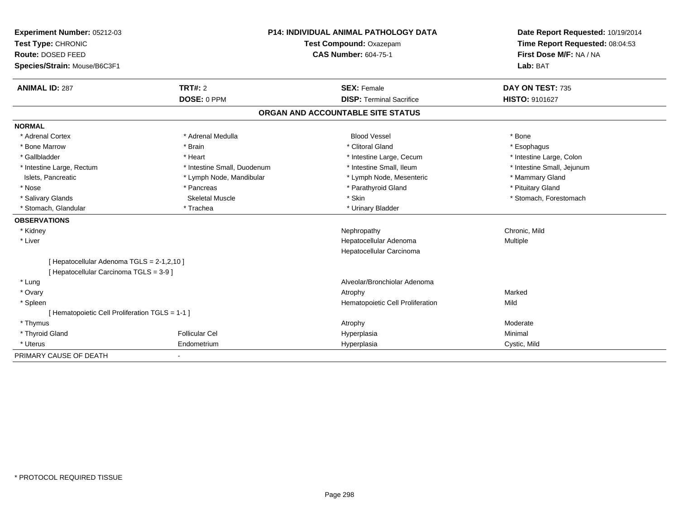| Experiment Number: 05212-03                     |                             | <b>P14: INDIVIDUAL ANIMAL PATHOLOGY DATA</b> | Date Report Requested: 10/19/2014                          |  |
|-------------------------------------------------|-----------------------------|----------------------------------------------|------------------------------------------------------------|--|
| Test Type: CHRONIC                              |                             | Test Compound: Oxazepam                      | Time Report Requested: 08:04:53<br>First Dose M/F: NA / NA |  |
| Route: DOSED FEED                               |                             | <b>CAS Number: 604-75-1</b>                  |                                                            |  |
| Species/Strain: Mouse/B6C3F1                    |                             |                                              | Lab: BAT                                                   |  |
| <b>ANIMAL ID: 287</b>                           | <b>TRT#: 2</b>              | <b>SEX: Female</b>                           | DAY ON TEST: 735                                           |  |
|                                                 | DOSE: 0 PPM                 | <b>DISP: Terminal Sacrifice</b>              | <b>HISTO: 9101627</b>                                      |  |
|                                                 |                             | ORGAN AND ACCOUNTABLE SITE STATUS            |                                                            |  |
| <b>NORMAL</b>                                   |                             |                                              |                                                            |  |
| * Adrenal Cortex                                | * Adrenal Medulla           | <b>Blood Vessel</b>                          | * Bone                                                     |  |
| * Bone Marrow                                   | * Brain                     | * Clitoral Gland                             | * Esophagus                                                |  |
| * Gallbladder                                   | * Heart                     | * Intestine Large, Cecum                     | * Intestine Large, Colon                                   |  |
| * Intestine Large, Rectum                       | * Intestine Small, Duodenum | * Intestine Small. Ileum                     | * Intestine Small, Jejunum                                 |  |
| Islets, Pancreatic                              | * Lymph Node, Mandibular    | * Lymph Node, Mesenteric                     | * Mammary Gland                                            |  |
| * Nose                                          | * Pancreas                  | * Parathyroid Gland                          | * Pituitary Gland                                          |  |
| * Salivary Glands                               | <b>Skeletal Muscle</b>      | * Skin                                       | * Stomach, Forestomach                                     |  |
| * Stomach, Glandular                            | * Trachea                   | * Urinary Bladder                            |                                                            |  |
| <b>OBSERVATIONS</b>                             |                             |                                              |                                                            |  |
| * Kidney                                        |                             | Nephropathy                                  | Chronic, Mild                                              |  |
| * Liver                                         |                             | Hepatocellular Adenoma                       | Multiple                                                   |  |
|                                                 |                             | Hepatocellular Carcinoma                     |                                                            |  |
| [ Hepatocellular Adenoma TGLS = 2-1,2,10 ]      |                             |                                              |                                                            |  |
| [ Hepatocellular Carcinoma TGLS = 3-9 ]         |                             |                                              |                                                            |  |
| * Lung                                          |                             | Alveolar/Bronchiolar Adenoma                 |                                                            |  |
| * Ovary                                         |                             | Atrophy                                      | Marked                                                     |  |
| * Spleen                                        |                             | Hematopoietic Cell Proliferation             | Mild                                                       |  |
| [ Hematopoietic Cell Proliferation TGLS = 1-1 ] |                             |                                              |                                                            |  |
| * Thymus                                        |                             | Atrophy                                      | Moderate                                                   |  |
| * Thyroid Gland                                 | <b>Follicular Cel</b>       | Hyperplasia                                  | Minimal                                                    |  |
| * Uterus                                        | Endometrium                 | Hyperplasia                                  | Cystic, Mild                                               |  |
| PRIMARY CAUSE OF DEATH                          |                             |                                              |                                                            |  |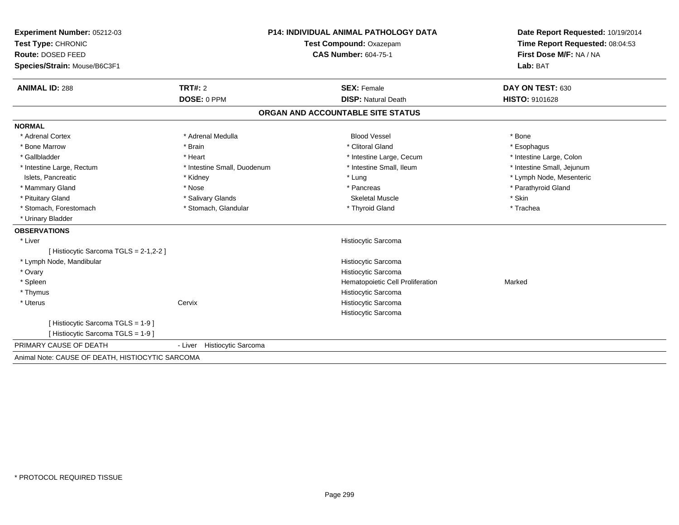| Experiment Number: 05212-03                      |                             | <b>P14: INDIVIDUAL ANIMAL PATHOLOGY DATA</b> | Date Report Requested: 10/19/2014   |  |
|--------------------------------------------------|-----------------------------|----------------------------------------------|-------------------------------------|--|
| Test Type: CHRONIC                               | Test Compound: Oxazepam     |                                              | Time Report Requested: 08:04:53     |  |
| Route: DOSED FEED                                |                             | <b>CAS Number: 604-75-1</b>                  | First Dose M/F: NA / NA<br>Lab: BAT |  |
| Species/Strain: Mouse/B6C3F1                     |                             |                                              |                                     |  |
| <b>ANIMAL ID: 288</b>                            | TRT#: 2                     | <b>SEX: Female</b>                           | DAY ON TEST: 630                    |  |
|                                                  | DOSE: 0 PPM                 | <b>DISP: Natural Death</b>                   | HISTO: 9101628                      |  |
|                                                  |                             | ORGAN AND ACCOUNTABLE SITE STATUS            |                                     |  |
| <b>NORMAL</b>                                    |                             |                                              |                                     |  |
| * Adrenal Cortex                                 | * Adrenal Medulla           | <b>Blood Vessel</b>                          | * Bone                              |  |
| * Bone Marrow                                    | * Brain                     | * Clitoral Gland                             | * Esophagus                         |  |
| * Gallbladder                                    | * Heart                     | * Intestine Large, Cecum                     | * Intestine Large, Colon            |  |
| * Intestine Large, Rectum                        | * Intestine Small, Duodenum | * Intestine Small, Ileum                     | * Intestine Small, Jejunum          |  |
| Islets, Pancreatic                               | * Kidney                    | * Lung                                       | * Lymph Node, Mesenteric            |  |
| * Mammary Gland                                  | * Nose                      | * Pancreas                                   | * Parathyroid Gland                 |  |
| * Pituitary Gland                                | * Salivary Glands           | <b>Skeletal Muscle</b>                       | * Skin                              |  |
| * Stomach, Forestomach                           | * Stomach, Glandular        | * Thyroid Gland                              | * Trachea                           |  |
| * Urinary Bladder                                |                             |                                              |                                     |  |
| <b>OBSERVATIONS</b>                              |                             |                                              |                                     |  |
| * Liver                                          |                             | Histiocytic Sarcoma                          |                                     |  |
| [ Histiocytic Sarcoma TGLS = 2-1,2-2 ]           |                             |                                              |                                     |  |
| * Lymph Node, Mandibular                         |                             | Histiocytic Sarcoma                          |                                     |  |
| * Ovary                                          |                             | Histiocytic Sarcoma                          |                                     |  |
| * Spleen                                         |                             | Hematopoietic Cell Proliferation             | Marked                              |  |
| * Thymus                                         |                             | Histiocytic Sarcoma                          |                                     |  |
| * Uterus                                         | Cervix                      | Histiocytic Sarcoma                          |                                     |  |
|                                                  |                             | Histiocytic Sarcoma                          |                                     |  |
| [Histiocytic Sarcoma TGLS = 1-9]                 |                             |                                              |                                     |  |
| [ Histiocytic Sarcoma TGLS = 1-9 ]               |                             |                                              |                                     |  |
| PRIMARY CAUSE OF DEATH                           | - Liver Histiocytic Sarcoma |                                              |                                     |  |
| Animal Note: CAUSE OF DEATH, HISTIOCYTIC SARCOMA |                             |                                              |                                     |  |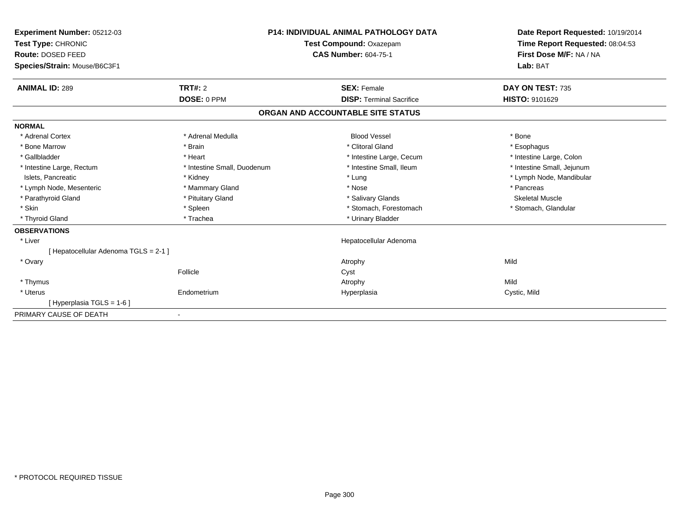| <b>Experiment Number: 05212-03</b><br>Test Type: CHRONIC<br><b>Route: DOSED FEED</b><br>Species/Strain: Mouse/B6C3F1 |                             | <b>P14: INDIVIDUAL ANIMAL PATHOLOGY DATA</b><br>Test Compound: Oxazepam<br><b>CAS Number: 604-75-1</b> |                                   | Date Report Requested: 10/19/2014<br>Time Report Requested: 08:04:53<br>First Dose M/F: NA / NA<br>Lab: BAT |
|----------------------------------------------------------------------------------------------------------------------|-----------------------------|--------------------------------------------------------------------------------------------------------|-----------------------------------|-------------------------------------------------------------------------------------------------------------|
| <b>ANIMAL ID: 289</b>                                                                                                | TRT#: 2                     |                                                                                                        | <b>SEX: Female</b>                | DAY ON TEST: 735                                                                                            |
|                                                                                                                      | DOSE: 0 PPM                 |                                                                                                        | <b>DISP: Terminal Sacrifice</b>   | <b>HISTO: 9101629</b>                                                                                       |
|                                                                                                                      |                             |                                                                                                        | ORGAN AND ACCOUNTABLE SITE STATUS |                                                                                                             |
| <b>NORMAL</b>                                                                                                        |                             |                                                                                                        |                                   |                                                                                                             |
| * Adrenal Cortex                                                                                                     | * Adrenal Medulla           |                                                                                                        | <b>Blood Vessel</b>               | * Bone                                                                                                      |
| * Bone Marrow                                                                                                        | * Brain                     |                                                                                                        | * Clitoral Gland                  | * Esophagus                                                                                                 |
| * Gallbladder                                                                                                        | * Heart                     |                                                                                                        | * Intestine Large, Cecum          | * Intestine Large, Colon                                                                                    |
| * Intestine Large, Rectum                                                                                            | * Intestine Small, Duodenum |                                                                                                        | * Intestine Small, Ileum          | * Intestine Small, Jejunum                                                                                  |
| Islets, Pancreatic                                                                                                   | * Kidney                    |                                                                                                        | * Lung                            | * Lymph Node, Mandibular                                                                                    |
| * Lymph Node, Mesenteric                                                                                             | * Mammary Gland             |                                                                                                        | * Nose                            | * Pancreas                                                                                                  |
| * Parathyroid Gland                                                                                                  | * Pituitary Gland           |                                                                                                        | * Salivary Glands                 | <b>Skeletal Muscle</b>                                                                                      |
| * Skin                                                                                                               | * Spleen                    |                                                                                                        | * Stomach, Forestomach            | * Stomach, Glandular                                                                                        |
| * Thyroid Gland                                                                                                      | * Trachea                   |                                                                                                        | * Urinary Bladder                 |                                                                                                             |
| <b>OBSERVATIONS</b>                                                                                                  |                             |                                                                                                        |                                   |                                                                                                             |
| * Liver                                                                                                              |                             |                                                                                                        | Hepatocellular Adenoma            |                                                                                                             |
| [ Hepatocellular Adenoma TGLS = 2-1 ]                                                                                |                             |                                                                                                        |                                   |                                                                                                             |
| * Ovary                                                                                                              |                             |                                                                                                        | Atrophy                           | Mild                                                                                                        |
|                                                                                                                      | Follicle                    |                                                                                                        | Cyst                              |                                                                                                             |
| * Thymus                                                                                                             |                             |                                                                                                        | Atrophy                           | Mild                                                                                                        |
| * Uterus                                                                                                             | Endometrium                 |                                                                                                        | Hyperplasia                       | Cystic, Mild                                                                                                |
| [Hyperplasia TGLS = 1-6]                                                                                             |                             |                                                                                                        |                                   |                                                                                                             |
| PRIMARY CAUSE OF DEATH                                                                                               | $\blacksquare$              |                                                                                                        |                                   |                                                                                                             |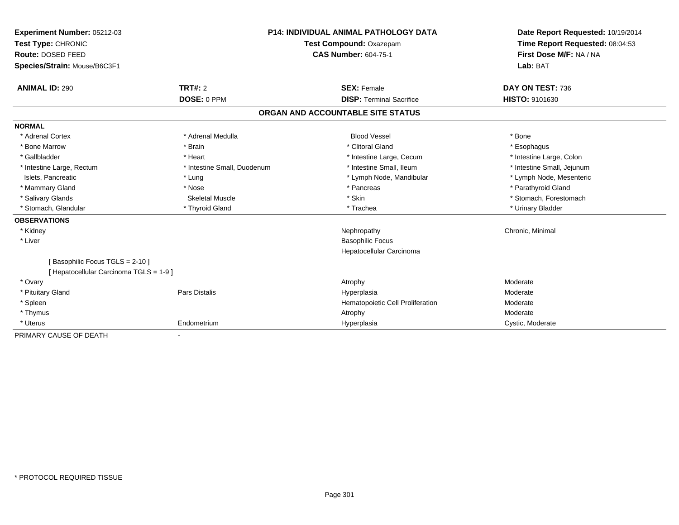| <b>Experiment Number: 05212-03</b><br>Test Type: CHRONIC<br>Route: DOSED FEED<br>Species/Strain: Mouse/B6C3F1 |                             | <b>P14: INDIVIDUAL ANIMAL PATHOLOGY DATA</b><br><b>Test Compound: Oxazepam</b><br><b>CAS Number: 604-75-1</b> |                                   | Date Report Requested: 10/19/2014<br>Time Report Requested: 08:04:53<br>First Dose M/F: NA / NA<br>Lab: BAT |  |
|---------------------------------------------------------------------------------------------------------------|-----------------------------|---------------------------------------------------------------------------------------------------------------|-----------------------------------|-------------------------------------------------------------------------------------------------------------|--|
| <b>ANIMAL ID: 290</b>                                                                                         | TRT#: 2                     |                                                                                                               | <b>SEX: Female</b>                | DAY ON TEST: 736                                                                                            |  |
|                                                                                                               | DOSE: 0 PPM                 |                                                                                                               | <b>DISP: Terminal Sacrifice</b>   | HISTO: 9101630                                                                                              |  |
|                                                                                                               |                             |                                                                                                               | ORGAN AND ACCOUNTABLE SITE STATUS |                                                                                                             |  |
| <b>NORMAL</b>                                                                                                 |                             |                                                                                                               |                                   |                                                                                                             |  |
| * Adrenal Cortex                                                                                              | * Adrenal Medulla           |                                                                                                               | <b>Blood Vessel</b>               | * Bone                                                                                                      |  |
| * Bone Marrow                                                                                                 | * Brain                     |                                                                                                               | * Clitoral Gland                  | * Esophagus                                                                                                 |  |
| * Gallbladder                                                                                                 | * Heart                     |                                                                                                               | * Intestine Large, Cecum          | * Intestine Large, Colon                                                                                    |  |
| * Intestine Large, Rectum                                                                                     | * Intestine Small, Duodenum |                                                                                                               | * Intestine Small, Ileum          | * Intestine Small, Jejunum                                                                                  |  |
| Islets, Pancreatic                                                                                            | * Lung                      |                                                                                                               | * Lymph Node, Mandibular          | * Lymph Node, Mesenteric                                                                                    |  |
| * Mammary Gland                                                                                               | * Nose                      |                                                                                                               | * Pancreas                        | * Parathyroid Gland                                                                                         |  |
| * Salivary Glands                                                                                             | <b>Skeletal Muscle</b>      |                                                                                                               | * Skin                            | * Stomach, Forestomach                                                                                      |  |
| * Stomach, Glandular                                                                                          | * Thyroid Gland             |                                                                                                               | * Trachea                         | * Urinary Bladder                                                                                           |  |
| <b>OBSERVATIONS</b>                                                                                           |                             |                                                                                                               |                                   |                                                                                                             |  |
| * Kidney                                                                                                      |                             |                                                                                                               | Nephropathy                       | Chronic, Minimal                                                                                            |  |
| * Liver                                                                                                       |                             |                                                                                                               | <b>Basophilic Focus</b>           |                                                                                                             |  |
|                                                                                                               |                             |                                                                                                               | Hepatocellular Carcinoma          |                                                                                                             |  |
| [Basophilic Focus TGLS = 2-10]                                                                                |                             |                                                                                                               |                                   |                                                                                                             |  |
| [ Hepatocellular Carcinoma TGLS = 1-9 ]                                                                       |                             |                                                                                                               |                                   |                                                                                                             |  |
| * Ovary                                                                                                       |                             |                                                                                                               | Atrophy                           | Moderate                                                                                                    |  |
| * Pituitary Gland                                                                                             | <b>Pars Distalis</b>        |                                                                                                               | Hyperplasia                       | Moderate                                                                                                    |  |
| * Spleen                                                                                                      |                             |                                                                                                               | Hematopoietic Cell Proliferation  | Moderate                                                                                                    |  |
| * Thymus                                                                                                      |                             |                                                                                                               | Atrophy                           | Moderate                                                                                                    |  |
| * Uterus                                                                                                      | Endometrium                 |                                                                                                               | Hyperplasia                       | Cystic, Moderate                                                                                            |  |
| PRIMARY CAUSE OF DEATH                                                                                        |                             |                                                                                                               |                                   |                                                                                                             |  |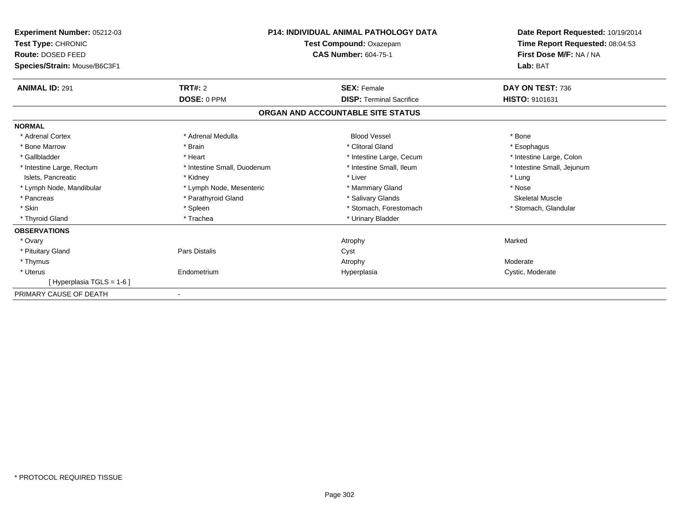| <b>Experiment Number: 05212-03</b><br>Test Type: CHRONIC<br>Route: DOSED FEED<br>Species/Strain: Mouse/B6C3F1 | <b>P14: INDIVIDUAL ANIMAL PATHOLOGY DATA</b><br>Test Compound: Oxazepam<br><b>CAS Number: 604-75-1</b> |                                   | Date Report Requested: 10/19/2014<br>Time Report Requested: 08:04:53<br>First Dose M/F: NA / NA<br>Lab: BAT |
|---------------------------------------------------------------------------------------------------------------|--------------------------------------------------------------------------------------------------------|-----------------------------------|-------------------------------------------------------------------------------------------------------------|
| <b>ANIMAL ID: 291</b>                                                                                         | TRT#: 2                                                                                                | <b>SEX: Female</b>                | DAY ON TEST: 736                                                                                            |
|                                                                                                               | DOSE: 0 PPM                                                                                            | <b>DISP:</b> Terminal Sacrifice   | HISTO: 9101631                                                                                              |
|                                                                                                               |                                                                                                        | ORGAN AND ACCOUNTABLE SITE STATUS |                                                                                                             |
| <b>NORMAL</b>                                                                                                 |                                                                                                        |                                   |                                                                                                             |
| * Adrenal Cortex                                                                                              | * Adrenal Medulla                                                                                      | <b>Blood Vessel</b>               | * Bone                                                                                                      |
| * Bone Marrow                                                                                                 | * Brain                                                                                                | * Clitoral Gland                  | * Esophagus                                                                                                 |
| * Gallbladder                                                                                                 | * Heart                                                                                                | * Intestine Large, Cecum          | * Intestine Large, Colon                                                                                    |
| * Intestine Large, Rectum                                                                                     | * Intestine Small, Duodenum                                                                            | * Intestine Small, Ileum          | * Intestine Small, Jejunum                                                                                  |
| Islets, Pancreatic                                                                                            | * Kidney                                                                                               | * Liver                           | * Lung                                                                                                      |
| * Lymph Node, Mandibular                                                                                      | * Lymph Node, Mesenteric                                                                               | * Mammary Gland                   | * Nose                                                                                                      |
| * Pancreas                                                                                                    | * Parathyroid Gland                                                                                    | * Salivary Glands                 | <b>Skeletal Muscle</b>                                                                                      |
| * Skin                                                                                                        | * Spleen                                                                                               | * Stomach, Forestomach            | * Stomach, Glandular                                                                                        |
| * Thyroid Gland                                                                                               | * Trachea                                                                                              | * Urinary Bladder                 |                                                                                                             |
| <b>OBSERVATIONS</b>                                                                                           |                                                                                                        |                                   |                                                                                                             |
| * Ovary                                                                                                       |                                                                                                        | Atrophy                           | Marked                                                                                                      |
| * Pituitary Gland                                                                                             | Pars Distalis                                                                                          | Cyst                              |                                                                                                             |
| * Thymus                                                                                                      |                                                                                                        | Atrophy                           | Moderate                                                                                                    |
| * Uterus                                                                                                      | Endometrium                                                                                            | Hyperplasia                       | Cystic, Moderate                                                                                            |
| [Hyperplasia TGLS = 1-6]                                                                                      |                                                                                                        |                                   |                                                                                                             |
| PRIMARY CAUSE OF DEATH                                                                                        |                                                                                                        |                                   |                                                                                                             |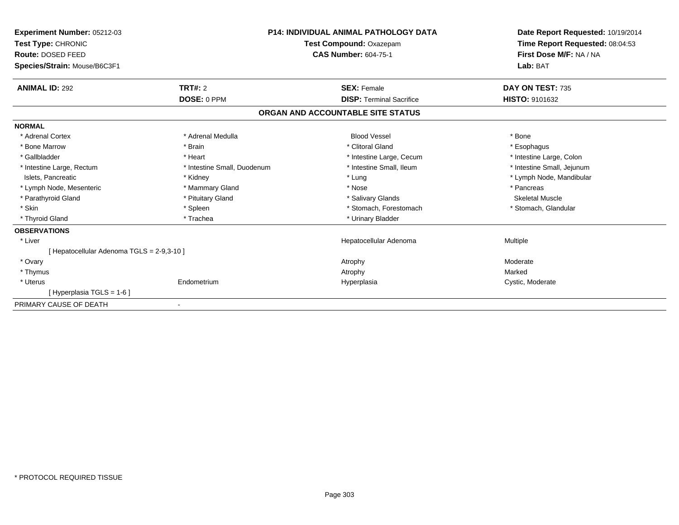| Experiment Number: 05212-03<br>Test Type: CHRONIC<br>Route: DOSED FEED<br>Species/Strain: Mouse/B6C3F1 |                             | <b>P14: INDIVIDUAL ANIMAL PATHOLOGY DATA</b><br>Test Compound: Oxazepam<br><b>CAS Number: 604-75-1</b> | Date Report Requested: 10/19/2014<br>Time Report Requested: 08:04:53<br>First Dose M/F: NA / NA<br>Lab: BAT |
|--------------------------------------------------------------------------------------------------------|-----------------------------|--------------------------------------------------------------------------------------------------------|-------------------------------------------------------------------------------------------------------------|
| <b>ANIMAL ID: 292</b>                                                                                  | <b>TRT#: 2</b>              | <b>SEX: Female</b>                                                                                     | DAY ON TEST: 735                                                                                            |
|                                                                                                        | DOSE: 0 PPM                 | <b>DISP:</b> Terminal Sacrifice                                                                        | HISTO: 9101632                                                                                              |
|                                                                                                        |                             | ORGAN AND ACCOUNTABLE SITE STATUS                                                                      |                                                                                                             |
| <b>NORMAL</b>                                                                                          |                             |                                                                                                        |                                                                                                             |
| * Adrenal Cortex                                                                                       | * Adrenal Medulla           | <b>Blood Vessel</b>                                                                                    | * Bone                                                                                                      |
| * Bone Marrow                                                                                          | * Brain                     | * Clitoral Gland                                                                                       | * Esophagus                                                                                                 |
| * Gallbladder                                                                                          | * Heart                     | * Intestine Large, Cecum                                                                               | * Intestine Large, Colon                                                                                    |
| * Intestine Large, Rectum                                                                              | * Intestine Small, Duodenum | * Intestine Small, Ileum                                                                               | * Intestine Small, Jejunum                                                                                  |
| Islets, Pancreatic                                                                                     | * Kidney                    | * Lung                                                                                                 | * Lymph Node, Mandibular                                                                                    |
| * Lymph Node, Mesenteric                                                                               | * Mammary Gland             | * Nose                                                                                                 | * Pancreas                                                                                                  |
| * Parathyroid Gland                                                                                    | * Pituitary Gland           | * Salivary Glands                                                                                      | <b>Skeletal Muscle</b>                                                                                      |
| * Skin                                                                                                 | * Spleen                    | * Stomach, Forestomach                                                                                 | * Stomach, Glandular                                                                                        |
| * Thyroid Gland                                                                                        | * Trachea                   | * Urinary Bladder                                                                                      |                                                                                                             |
| <b>OBSERVATIONS</b>                                                                                    |                             |                                                                                                        |                                                                                                             |
| * Liver                                                                                                |                             | Hepatocellular Adenoma                                                                                 | Multiple                                                                                                    |
| [ Hepatocellular Adenoma TGLS = 2-9,3-10 ]                                                             |                             |                                                                                                        |                                                                                                             |
| * Ovary                                                                                                |                             | Atrophy                                                                                                | Moderate                                                                                                    |
| * Thymus                                                                                               |                             | Atrophy                                                                                                | Marked                                                                                                      |
| * Uterus                                                                                               | Endometrium                 | Hyperplasia                                                                                            | Cystic, Moderate                                                                                            |
| [Hyperplasia TGLS = 1-6]                                                                               |                             |                                                                                                        |                                                                                                             |
| PRIMARY CAUSE OF DEATH                                                                                 |                             |                                                                                                        |                                                                                                             |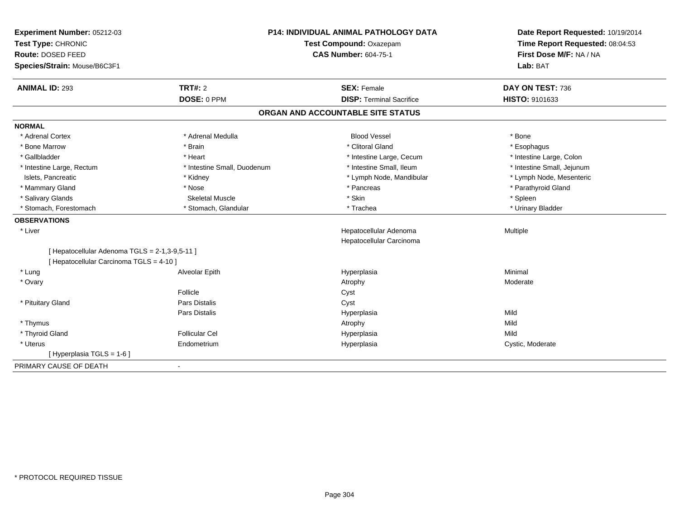| Experiment Number: 05212-03<br>Test Type: CHRONIC                                          |                             | <b>P14: INDIVIDUAL ANIMAL PATHOLOGY DATA</b><br>Test Compound: Oxazepam | Date Report Requested: 10/19/2014<br>Time Report Requested: 08:04:53 |  |
|--------------------------------------------------------------------------------------------|-----------------------------|-------------------------------------------------------------------------|----------------------------------------------------------------------|--|
| Route: DOSED FEED                                                                          |                             | <b>CAS Number: 604-75-1</b>                                             | First Dose M/F: NA / NA                                              |  |
| Species/Strain: Mouse/B6C3F1                                                               |                             |                                                                         | Lab: BAT                                                             |  |
| <b>ANIMAL ID: 293</b>                                                                      | <b>TRT#: 2</b>              | <b>SEX: Female</b>                                                      | DAY ON TEST: 736                                                     |  |
|                                                                                            | DOSE: 0 PPM                 | <b>DISP: Terminal Sacrifice</b>                                         | HISTO: 9101633                                                       |  |
|                                                                                            |                             | ORGAN AND ACCOUNTABLE SITE STATUS                                       |                                                                      |  |
| <b>NORMAL</b>                                                                              |                             |                                                                         |                                                                      |  |
| * Adrenal Cortex                                                                           | * Adrenal Medulla           | <b>Blood Vessel</b>                                                     | * Bone                                                               |  |
| * Bone Marrow                                                                              | * Brain                     | * Clitoral Gland                                                        | * Esophagus                                                          |  |
| * Gallbladder                                                                              | * Heart                     | * Intestine Large, Cecum                                                | * Intestine Large, Colon                                             |  |
| * Intestine Large, Rectum                                                                  | * Intestine Small, Duodenum | * Intestine Small, Ileum                                                | * Intestine Small, Jejunum                                           |  |
| Islets, Pancreatic                                                                         | * Kidney                    | * Lymph Node, Mandibular                                                | * Lymph Node, Mesenteric                                             |  |
| * Mammary Gland                                                                            | * Nose                      | * Pancreas                                                              | * Parathyroid Gland                                                  |  |
| * Salivary Glands                                                                          | <b>Skeletal Muscle</b>      | * Skin                                                                  | * Spleen                                                             |  |
| * Stomach, Forestomach                                                                     | * Stomach, Glandular        | * Trachea                                                               | * Urinary Bladder                                                    |  |
| <b>OBSERVATIONS</b>                                                                        |                             |                                                                         |                                                                      |  |
| * Liver                                                                                    |                             | Hepatocellular Adenoma                                                  | Multiple                                                             |  |
|                                                                                            |                             | Hepatocellular Carcinoma                                                |                                                                      |  |
| [ Hepatocellular Adenoma TGLS = 2-1,3-9,5-11 ]<br>[ Hepatocellular Carcinoma TGLS = 4-10 ] |                             |                                                                         |                                                                      |  |
| * Lung                                                                                     | Alveolar Epith              | Hyperplasia                                                             | Minimal                                                              |  |
| * Ovary                                                                                    |                             | Atrophy                                                                 | Moderate                                                             |  |
|                                                                                            | Follicle                    | Cyst                                                                    |                                                                      |  |
| * Pituitary Gland                                                                          | Pars Distalis               | Cyst                                                                    |                                                                      |  |
|                                                                                            | Pars Distalis               | Hyperplasia                                                             | Mild                                                                 |  |
| * Thymus                                                                                   |                             | Atrophy                                                                 | Mild                                                                 |  |
| * Thyroid Gland                                                                            | <b>Follicular Cel</b>       | Hyperplasia                                                             | Mild                                                                 |  |
| * Uterus                                                                                   | Endometrium                 | Hyperplasia                                                             | Cystic, Moderate                                                     |  |
| [ Hyperplasia TGLS = 1-6 ]                                                                 |                             |                                                                         |                                                                      |  |
| PRIMARY CAUSE OF DEATH                                                                     | $\blacksquare$              |                                                                         |                                                                      |  |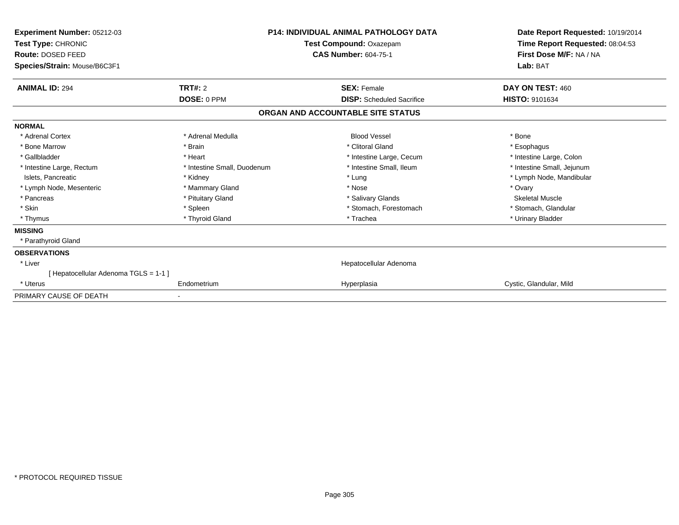| Experiment Number: 05212-03<br>Test Type: CHRONIC<br>Route: DOSED FEED | <b>P14: INDIVIDUAL ANIMAL PATHOLOGY DATA</b><br>Test Compound: Oxazepam<br><b>CAS Number: 604-75-1</b> |                                   | Date Report Requested: 10/19/2014<br>Time Report Requested: 08:04:53<br>First Dose M/F: NA / NA |  |
|------------------------------------------------------------------------|--------------------------------------------------------------------------------------------------------|-----------------------------------|-------------------------------------------------------------------------------------------------|--|
| Species/Strain: Mouse/B6C3F1                                           |                                                                                                        |                                   | Lab: BAT                                                                                        |  |
| <b>ANIMAL ID: 294</b>                                                  | TRT#: 2                                                                                                | <b>SEX: Female</b>                | DAY ON TEST: 460                                                                                |  |
|                                                                        | DOSE: 0 PPM                                                                                            | <b>DISP:</b> Scheduled Sacrifice  | HISTO: 9101634                                                                                  |  |
|                                                                        |                                                                                                        | ORGAN AND ACCOUNTABLE SITE STATUS |                                                                                                 |  |
| <b>NORMAL</b>                                                          |                                                                                                        |                                   |                                                                                                 |  |
| * Adrenal Cortex                                                       | * Adrenal Medulla                                                                                      | <b>Blood Vessel</b>               | * Bone                                                                                          |  |
| * Bone Marrow                                                          | * Brain                                                                                                | * Clitoral Gland                  | * Esophagus                                                                                     |  |
| * Gallbladder                                                          | * Heart                                                                                                | * Intestine Large, Cecum          | * Intestine Large, Colon                                                                        |  |
| * Intestine Large, Rectum                                              | * Intestine Small, Duodenum                                                                            | * Intestine Small, Ileum          | * Intestine Small, Jejunum                                                                      |  |
| Islets, Pancreatic                                                     | * Kidney                                                                                               | * Lung                            | * Lymph Node, Mandibular                                                                        |  |
| * Lymph Node, Mesenteric                                               | * Mammary Gland                                                                                        | * Nose                            | * Ovary                                                                                         |  |
| * Pancreas                                                             | * Pituitary Gland                                                                                      | * Salivary Glands                 | <b>Skeletal Muscle</b>                                                                          |  |
| * Skin                                                                 | * Spleen                                                                                               | * Stomach, Forestomach            | * Stomach, Glandular                                                                            |  |
| * Thymus                                                               | * Thyroid Gland                                                                                        | * Trachea                         | * Urinary Bladder                                                                               |  |
| <b>MISSING</b>                                                         |                                                                                                        |                                   |                                                                                                 |  |
| * Parathyroid Gland                                                    |                                                                                                        |                                   |                                                                                                 |  |
| <b>OBSERVATIONS</b>                                                    |                                                                                                        |                                   |                                                                                                 |  |
| * Liver                                                                |                                                                                                        | Hepatocellular Adenoma            |                                                                                                 |  |
| [Hepatocellular Adenoma TGLS = 1-1 ]                                   |                                                                                                        |                                   |                                                                                                 |  |
| * Uterus                                                               | Endometrium                                                                                            | Hyperplasia                       | Cystic, Glandular, Mild                                                                         |  |
| PRIMARY CAUSE OF DEATH                                                 |                                                                                                        |                                   |                                                                                                 |  |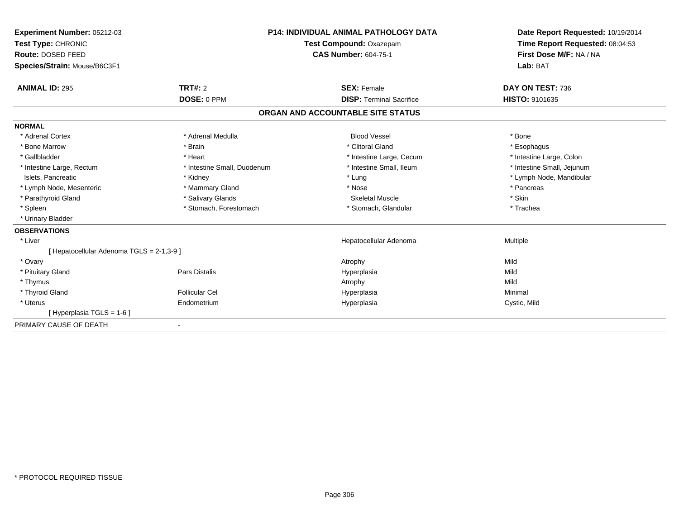| Experiment Number: 05212-03<br>Test Type: CHRONIC<br><b>Route: DOSED FEED</b><br>Species/Strain: Mouse/B6C3F1 |                             | <b>P14: INDIVIDUAL ANIMAL PATHOLOGY DATA</b><br>Test Compound: Oxazepam<br><b>CAS Number: 604-75-1</b> | Date Report Requested: 10/19/2014<br>Time Report Requested: 08:04:53<br>First Dose M/F: NA / NA<br>Lab: BAT |
|---------------------------------------------------------------------------------------------------------------|-----------------------------|--------------------------------------------------------------------------------------------------------|-------------------------------------------------------------------------------------------------------------|
| <b>ANIMAL ID: 295</b>                                                                                         | TRT#: 2<br>DOSE: 0 PPM      | <b>SEX: Female</b><br><b>DISP: Terminal Sacrifice</b>                                                  | DAY ON TEST: 736<br>HISTO: 9101635                                                                          |
|                                                                                                               |                             | ORGAN AND ACCOUNTABLE SITE STATUS                                                                      |                                                                                                             |
|                                                                                                               |                             |                                                                                                        |                                                                                                             |
| <b>NORMAL</b><br>* Adrenal Cortex                                                                             | * Adrenal Medulla           | <b>Blood Vessel</b>                                                                                    | * Bone                                                                                                      |
| * Bone Marrow                                                                                                 | * Brain                     | * Clitoral Gland                                                                                       | * Esophagus                                                                                                 |
| * Gallbladder                                                                                                 | * Heart                     | * Intestine Large, Cecum                                                                               | * Intestine Large, Colon                                                                                    |
| * Intestine Large, Rectum                                                                                     | * Intestine Small, Duodenum | * Intestine Small, Ileum                                                                               | * Intestine Small, Jejunum                                                                                  |
| Islets, Pancreatic                                                                                            | * Kidney                    | * Lung                                                                                                 | * Lymph Node, Mandibular                                                                                    |
| * Lymph Node, Mesenteric                                                                                      | * Mammary Gland             | * Nose                                                                                                 | * Pancreas                                                                                                  |
| * Parathyroid Gland                                                                                           | * Salivary Glands           | Skeletal Muscle                                                                                        | * Skin                                                                                                      |
| * Spleen                                                                                                      | * Stomach, Forestomach      | * Stomach, Glandular                                                                                   | * Trachea                                                                                                   |
| * Urinary Bladder                                                                                             |                             |                                                                                                        |                                                                                                             |
| <b>OBSERVATIONS</b>                                                                                           |                             |                                                                                                        |                                                                                                             |
| * Liver                                                                                                       |                             | Hepatocellular Adenoma                                                                                 | Multiple                                                                                                    |
| [ Hepatocellular Adenoma TGLS = 2-1,3-9 ]                                                                     |                             |                                                                                                        |                                                                                                             |
| * Ovary                                                                                                       |                             | Atrophy                                                                                                | Mild                                                                                                        |
| * Pituitary Gland                                                                                             | Pars Distalis               | Hyperplasia                                                                                            | Mild                                                                                                        |
| * Thymus                                                                                                      |                             | Atrophy                                                                                                | Mild                                                                                                        |
| * Thyroid Gland                                                                                               | <b>Follicular Cel</b>       | Hyperplasia                                                                                            | Minimal                                                                                                     |
| * Uterus                                                                                                      | Endometrium                 | Hyperplasia                                                                                            | Cystic, Mild                                                                                                |
| [Hyperplasia TGLS = 1-6]                                                                                      |                             |                                                                                                        |                                                                                                             |
| PRIMARY CAUSE OF DEATH                                                                                        | $\blacksquare$              |                                                                                                        |                                                                                                             |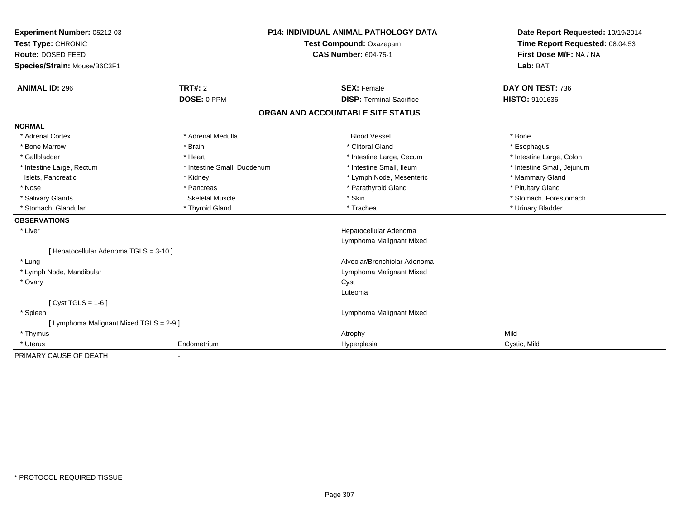| Experiment Number: 05212-03                   |                             | <b>P14: INDIVIDUAL ANIMAL PATHOLOGY DATA</b> | Date Report Requested: 10/19/2014 |
|-----------------------------------------------|-----------------------------|----------------------------------------------|-----------------------------------|
| Test Type: CHRONIC<br>Test Compound: Oxazepam |                             |                                              | Time Report Requested: 08:04:53   |
| Route: DOSED FEED                             |                             | <b>CAS Number: 604-75-1</b>                  | First Dose M/F: NA / NA           |
| Species/Strain: Mouse/B6C3F1                  |                             |                                              | Lab: BAT                          |
| <b>ANIMAL ID: 296</b>                         | TRT#: 2                     | <b>SEX: Female</b>                           | DAY ON TEST: 736                  |
|                                               | DOSE: 0 PPM                 | <b>DISP: Terminal Sacrifice</b>              | HISTO: 9101636                    |
|                                               |                             | ORGAN AND ACCOUNTABLE SITE STATUS            |                                   |
| <b>NORMAL</b>                                 |                             |                                              |                                   |
| * Adrenal Cortex                              | * Adrenal Medulla           | <b>Blood Vessel</b>                          | * Bone                            |
| * Bone Marrow                                 | * Brain                     | * Clitoral Gland                             | * Esophagus                       |
| * Gallbladder                                 | * Heart                     | * Intestine Large, Cecum                     | * Intestine Large, Colon          |
| * Intestine Large, Rectum                     | * Intestine Small, Duodenum | * Intestine Small, Ileum                     | * Intestine Small, Jejunum        |
| Islets, Pancreatic                            | * Kidney                    | * Lymph Node, Mesenteric                     | * Mammary Gland                   |
| * Nose                                        | * Pancreas                  | * Parathyroid Gland                          | * Pituitary Gland                 |
| * Salivary Glands                             | <b>Skeletal Muscle</b>      | * Skin                                       | * Stomach, Forestomach            |
| * Stomach, Glandular                          | * Thyroid Gland             | * Trachea                                    | * Urinary Bladder                 |
| <b>OBSERVATIONS</b>                           |                             |                                              |                                   |
| * Liver                                       |                             | Hepatocellular Adenoma                       |                                   |
|                                               |                             | Lymphoma Malignant Mixed                     |                                   |
| [ Hepatocellular Adenoma TGLS = 3-10 ]        |                             |                                              |                                   |
| * Lung                                        |                             | Alveolar/Bronchiolar Adenoma                 |                                   |
| * Lymph Node, Mandibular                      |                             | Lymphoma Malignant Mixed                     |                                   |
| * Ovary                                       |                             | Cyst                                         |                                   |
|                                               |                             | Luteoma                                      |                                   |
| [ $Cyst TGLS = 1-6$ ]                         |                             |                                              |                                   |
| * Spleen                                      |                             | Lymphoma Malignant Mixed                     |                                   |
| [ Lymphoma Malignant Mixed TGLS = 2-9 ]       |                             |                                              |                                   |
| * Thymus                                      |                             | Atrophy                                      | Mild                              |
| * Uterus                                      | Endometrium                 | Hyperplasia                                  | Cystic, Mild                      |
| PRIMARY CAUSE OF DEATH                        | $\overline{\phantom{a}}$    |                                              |                                   |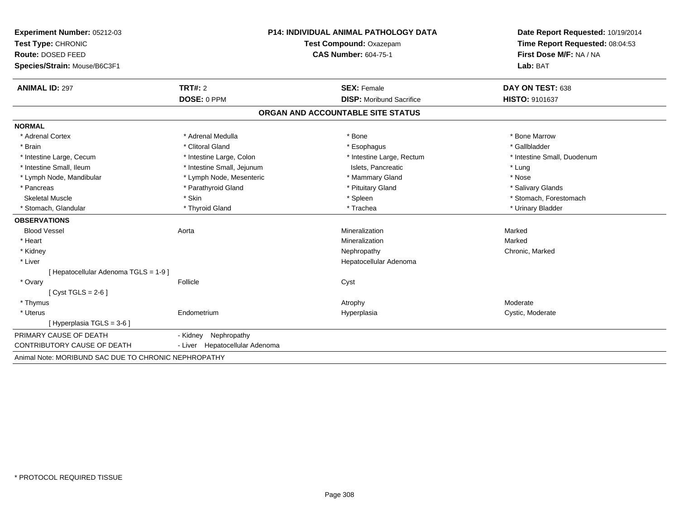| Experiment Number: 05212-03                          |                                | <b>P14: INDIVIDUAL ANIMAL PATHOLOGY DATA</b> | Date Report Requested: 10/19/2014 |  |
|------------------------------------------------------|--------------------------------|----------------------------------------------|-----------------------------------|--|
| Test Type: CHRONIC                                   |                                | Test Compound: Oxazepam                      | Time Report Requested: 08:04:53   |  |
| Route: DOSED FEED                                    |                                | <b>CAS Number: 604-75-1</b>                  | First Dose M/F: NA / NA           |  |
| Species/Strain: Mouse/B6C3F1                         |                                |                                              | Lab: BAT                          |  |
| <b>ANIMAL ID: 297</b>                                | TRT#: 2                        | <b>SEX: Female</b>                           | DAY ON TEST: 638                  |  |
|                                                      | DOSE: 0 PPM                    | <b>DISP:</b> Moribund Sacrifice              | HISTO: 9101637                    |  |
|                                                      |                                | ORGAN AND ACCOUNTABLE SITE STATUS            |                                   |  |
| <b>NORMAL</b>                                        |                                |                                              |                                   |  |
| * Adrenal Cortex                                     | * Adrenal Medulla              | * Bone                                       | * Bone Marrow                     |  |
| * Brain                                              | * Clitoral Gland               | * Esophagus                                  | * Gallbladder                     |  |
| * Intestine Large, Cecum                             | * Intestine Large, Colon       | * Intestine Large, Rectum                    | * Intestine Small, Duodenum       |  |
| * Intestine Small, Ileum                             | * Intestine Small, Jejunum     | Islets. Pancreatic                           | * Lung                            |  |
| * Lymph Node, Mandibular                             | * Lymph Node, Mesenteric       | * Mammary Gland                              | * Nose                            |  |
| * Pancreas                                           | * Parathyroid Gland            | * Pituitary Gland                            | * Salivary Glands                 |  |
| <b>Skeletal Muscle</b>                               | * Skin                         | * Spleen                                     | * Stomach, Forestomach            |  |
| * Stomach, Glandular                                 | * Thyroid Gland                | * Trachea                                    | * Urinary Bladder                 |  |
| <b>OBSERVATIONS</b>                                  |                                |                                              |                                   |  |
| <b>Blood Vessel</b>                                  | Aorta                          | Mineralization                               | Marked                            |  |
| * Heart                                              |                                | Mineralization                               | Marked                            |  |
| * Kidney                                             |                                | Nephropathy                                  | Chronic, Marked                   |  |
| * Liver                                              |                                | Hepatocellular Adenoma                       |                                   |  |
| [Hepatocellular Adenoma TGLS = 1-9]                  |                                |                                              |                                   |  |
| * Ovary                                              | Follicle                       | Cyst                                         |                                   |  |
| [Cyst TGLS = $2-6$ ]                                 |                                |                                              |                                   |  |
| * Thymus                                             |                                | Atrophy                                      | Moderate                          |  |
| * Uterus                                             | Endometrium                    | Hyperplasia                                  | Cystic, Moderate                  |  |
| [Hyperplasia TGLS = 3-6 ]                            |                                |                                              |                                   |  |
| PRIMARY CAUSE OF DEATH                               | Nephropathy<br>- Kidney        |                                              |                                   |  |
| <b>CONTRIBUTORY CAUSE OF DEATH</b>                   | - Liver Hepatocellular Adenoma |                                              |                                   |  |
| Animal Note: MORIBUND SAC DUE TO CHRONIC NEPHROPATHY |                                |                                              |                                   |  |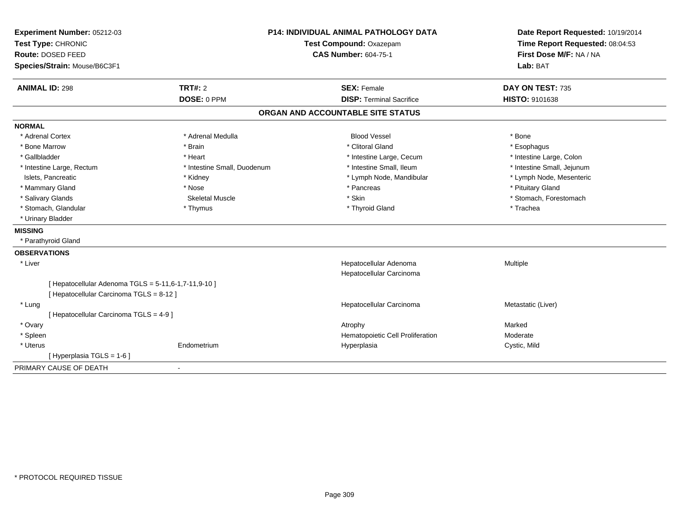| Experiment Number: 05212-03                          |                             | <b>P14: INDIVIDUAL ANIMAL PATHOLOGY DATA</b> | Date Report Requested: 10/19/2014                          |  |
|------------------------------------------------------|-----------------------------|----------------------------------------------|------------------------------------------------------------|--|
| Test Type: CHRONIC                                   |                             | Test Compound: Oxazepam                      | Time Report Requested: 08:04:53<br>First Dose M/F: NA / NA |  |
| Route: DOSED FEED                                    |                             | <b>CAS Number: 604-75-1</b>                  |                                                            |  |
| Species/Strain: Mouse/B6C3F1                         |                             |                                              | Lab: BAT                                                   |  |
| <b>ANIMAL ID: 298</b>                                | <b>TRT#: 2</b>              | <b>SEX: Female</b>                           | DAY ON TEST: 735                                           |  |
|                                                      | DOSE: 0 PPM                 | <b>DISP: Terminal Sacrifice</b>              | <b>HISTO: 9101638</b>                                      |  |
|                                                      |                             | ORGAN AND ACCOUNTABLE SITE STATUS            |                                                            |  |
| <b>NORMAL</b>                                        |                             |                                              |                                                            |  |
| * Adrenal Cortex                                     | * Adrenal Medulla           | <b>Blood Vessel</b>                          | * Bone                                                     |  |
| * Bone Marrow                                        | * Brain                     | * Clitoral Gland                             | * Esophagus                                                |  |
| * Gallbladder                                        | * Heart                     | * Intestine Large, Cecum                     | * Intestine Large, Colon                                   |  |
| * Intestine Large, Rectum                            | * Intestine Small, Duodenum | * Intestine Small, Ileum                     | * Intestine Small, Jejunum                                 |  |
| Islets, Pancreatic                                   | * Kidney                    | * Lymph Node, Mandibular                     | * Lymph Node, Mesenteric                                   |  |
| * Mammary Gland                                      | * Nose                      | * Pancreas                                   | * Pituitary Gland                                          |  |
| * Salivary Glands                                    | <b>Skeletal Muscle</b>      | * Skin                                       | * Stomach, Forestomach                                     |  |
| * Stomach, Glandular                                 | * Thymus                    | * Thyroid Gland                              | * Trachea                                                  |  |
| * Urinary Bladder                                    |                             |                                              |                                                            |  |
| <b>MISSING</b>                                       |                             |                                              |                                                            |  |
| * Parathyroid Gland                                  |                             |                                              |                                                            |  |
| <b>OBSERVATIONS</b>                                  |                             |                                              |                                                            |  |
| * Liver                                              |                             | Hepatocellular Adenoma                       | Multiple                                                   |  |
|                                                      |                             | Hepatocellular Carcinoma                     |                                                            |  |
| [ Hepatocellular Adenoma TGLS = 5-11,6-1,7-11,9-10 ] |                             |                                              |                                                            |  |
| [ Hepatocellular Carcinoma TGLS = 8-12 ]             |                             |                                              |                                                            |  |
| * Lung                                               |                             | Hepatocellular Carcinoma                     | Metastatic (Liver)                                         |  |
| [ Hepatocellular Carcinoma TGLS = 4-9 ]              |                             |                                              |                                                            |  |
| * Ovary                                              |                             | Atrophy                                      | Marked                                                     |  |
| * Spleen                                             |                             | Hematopoietic Cell Proliferation             | Moderate                                                   |  |
| * Uterus                                             | Endometrium                 | Hyperplasia                                  | Cystic, Mild                                               |  |
| [ Hyperplasia TGLS = 1-6 ]                           |                             |                                              |                                                            |  |
| PRIMARY CAUSE OF DEATH                               | $\blacksquare$              |                                              |                                                            |  |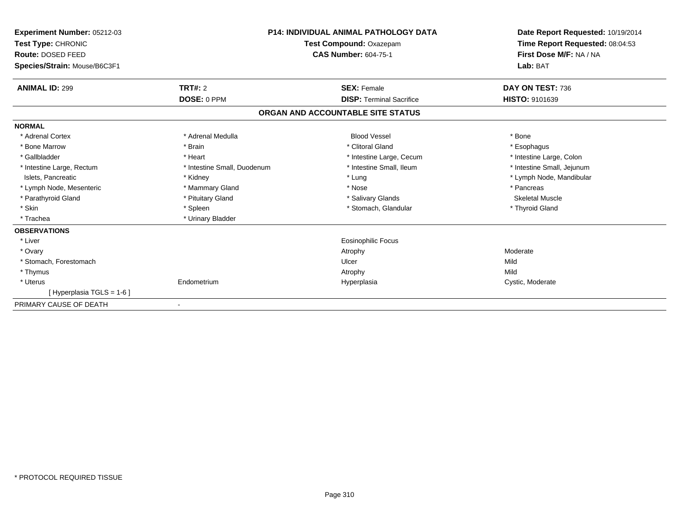| Experiment Number: 05212-03<br>Test Type: CHRONIC<br><b>Route: DOSED FEED</b><br>Species/Strain: Mouse/B6C3F1 |                             | <b>P14: INDIVIDUAL ANIMAL PATHOLOGY DATA</b><br>Test Compound: Oxazepam<br><b>CAS Number: 604-75-1</b> | Date Report Requested: 10/19/2014<br>Time Report Requested: 08:04:53<br>First Dose M/F: NA / NA<br>Lab: BAT |  |
|---------------------------------------------------------------------------------------------------------------|-----------------------------|--------------------------------------------------------------------------------------------------------|-------------------------------------------------------------------------------------------------------------|--|
| <b>ANIMAL ID: 299</b>                                                                                         | <b>TRT#: 2</b>              | <b>SEX: Female</b>                                                                                     | DAY ON TEST: 736                                                                                            |  |
|                                                                                                               | DOSE: 0 PPM                 | <b>DISP: Terminal Sacrifice</b>                                                                        | HISTO: 9101639                                                                                              |  |
|                                                                                                               |                             | ORGAN AND ACCOUNTABLE SITE STATUS                                                                      |                                                                                                             |  |
| <b>NORMAL</b>                                                                                                 |                             |                                                                                                        |                                                                                                             |  |
| * Adrenal Cortex                                                                                              | * Adrenal Medulla           | <b>Blood Vessel</b>                                                                                    | * Bone                                                                                                      |  |
| * Bone Marrow                                                                                                 | * Brain                     | * Clitoral Gland                                                                                       | * Esophagus                                                                                                 |  |
| * Gallbladder                                                                                                 | * Heart                     | * Intestine Large, Cecum                                                                               | * Intestine Large, Colon                                                                                    |  |
| * Intestine Large, Rectum                                                                                     | * Intestine Small, Duodenum | * Intestine Small, Ileum                                                                               | * Intestine Small, Jejunum                                                                                  |  |
| Islets, Pancreatic                                                                                            | * Kidney                    | * Lung                                                                                                 | * Lymph Node, Mandibular                                                                                    |  |
| * Lymph Node, Mesenteric                                                                                      | * Mammary Gland             | * Nose                                                                                                 | * Pancreas                                                                                                  |  |
| * Parathyroid Gland                                                                                           | * Pituitary Gland           | * Salivary Glands                                                                                      | <b>Skeletal Muscle</b>                                                                                      |  |
| * Skin                                                                                                        | * Spleen                    | * Stomach, Glandular                                                                                   | * Thyroid Gland                                                                                             |  |
| * Trachea                                                                                                     | * Urinary Bladder           |                                                                                                        |                                                                                                             |  |
| <b>OBSERVATIONS</b>                                                                                           |                             |                                                                                                        |                                                                                                             |  |
| * Liver                                                                                                       |                             | <b>Eosinophilic Focus</b>                                                                              |                                                                                                             |  |
| * Ovary                                                                                                       |                             | Atrophy                                                                                                | Moderate                                                                                                    |  |
| * Stomach, Forestomach                                                                                        |                             | Ulcer                                                                                                  | Mild                                                                                                        |  |
| * Thymus                                                                                                      |                             | Atrophy                                                                                                | Mild                                                                                                        |  |
| * Uterus                                                                                                      | Endometrium                 | Hyperplasia                                                                                            | Cystic, Moderate                                                                                            |  |
| [Hyperplasia TGLS = 1-6]                                                                                      |                             |                                                                                                        |                                                                                                             |  |
| PRIMARY CAUSE OF DEATH                                                                                        |                             |                                                                                                        |                                                                                                             |  |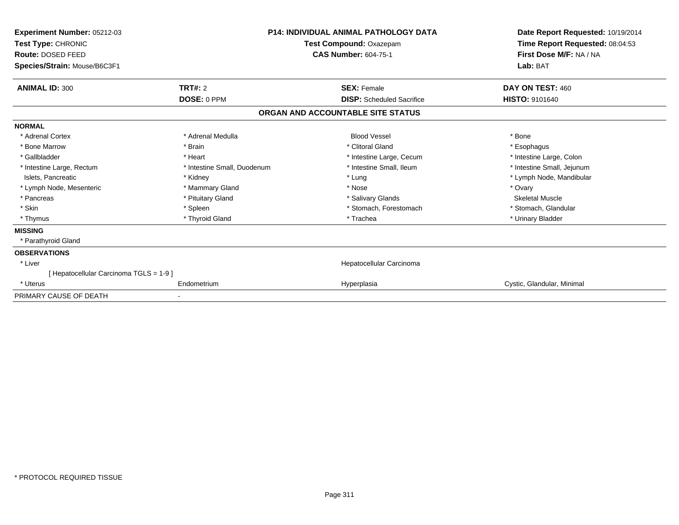| Experiment Number: 05212-03<br>Test Type: CHRONIC<br>Route: DOSED FEED<br>Species/Strain: Mouse/B6C3F1 | <b>P14: INDIVIDUAL ANIMAL PATHOLOGY DATA</b><br>Test Compound: Oxazepam<br><b>CAS Number: 604-75-1</b> |                                   | Date Report Requested: 10/19/2014<br>Time Report Requested: 08:04:53<br>First Dose M/F: NA / NA<br>Lab: BAT |  |
|--------------------------------------------------------------------------------------------------------|--------------------------------------------------------------------------------------------------------|-----------------------------------|-------------------------------------------------------------------------------------------------------------|--|
| <b>ANIMAL ID: 300</b>                                                                                  | <b>TRT#: 2</b>                                                                                         | <b>SEX: Female</b>                | DAY ON TEST: 460                                                                                            |  |
|                                                                                                        | DOSE: 0 PPM                                                                                            | <b>DISP:</b> Scheduled Sacrifice  | <b>HISTO: 9101640</b>                                                                                       |  |
|                                                                                                        |                                                                                                        | ORGAN AND ACCOUNTABLE SITE STATUS |                                                                                                             |  |
| <b>NORMAL</b>                                                                                          |                                                                                                        |                                   |                                                                                                             |  |
| * Adrenal Cortex                                                                                       | * Adrenal Medulla                                                                                      | <b>Blood Vessel</b>               | * Bone                                                                                                      |  |
| * Bone Marrow                                                                                          | * Brain                                                                                                | * Clitoral Gland                  | * Esophagus                                                                                                 |  |
| * Gallbladder                                                                                          | * Heart                                                                                                | * Intestine Large, Cecum          | * Intestine Large, Colon                                                                                    |  |
| * Intestine Large, Rectum                                                                              | * Intestine Small, Duodenum                                                                            | * Intestine Small, Ileum          | * Intestine Small, Jejunum                                                                                  |  |
| Islets, Pancreatic                                                                                     | * Kidney                                                                                               | * Lung                            | * Lymph Node, Mandibular                                                                                    |  |
| * Lymph Node, Mesenteric                                                                               | * Mammary Gland                                                                                        | * Nose                            | * Ovary                                                                                                     |  |
| * Pancreas                                                                                             | * Pituitary Gland                                                                                      | * Salivary Glands                 | <b>Skeletal Muscle</b>                                                                                      |  |
| * Skin                                                                                                 | * Spleen                                                                                               | * Stomach, Forestomach            | * Stomach, Glandular                                                                                        |  |
| * Thymus                                                                                               | * Thyroid Gland                                                                                        | * Trachea                         | * Urinary Bladder                                                                                           |  |
| <b>MISSING</b>                                                                                         |                                                                                                        |                                   |                                                                                                             |  |
| * Parathyroid Gland                                                                                    |                                                                                                        |                                   |                                                                                                             |  |
| <b>OBSERVATIONS</b>                                                                                    |                                                                                                        |                                   |                                                                                                             |  |
| * Liver                                                                                                |                                                                                                        | Hepatocellular Carcinoma          |                                                                                                             |  |
| [Hepatocellular Carcinoma TGLS = 1-9]                                                                  |                                                                                                        |                                   |                                                                                                             |  |
| * Uterus                                                                                               | Endometrium                                                                                            | Hyperplasia                       | Cystic, Glandular, Minimal                                                                                  |  |
| PRIMARY CAUSE OF DEATH                                                                                 |                                                                                                        |                                   |                                                                                                             |  |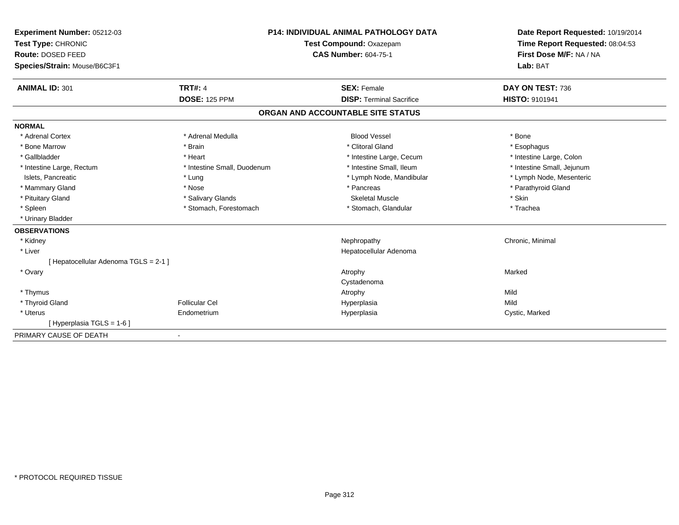| Experiment Number: 05212-03<br>Test Type: CHRONIC | <b>P14: INDIVIDUAL ANIMAL PATHOLOGY DATA</b><br>Test Compound: Oxazepam |  | Date Report Requested: 10/19/2014<br>Time Report Requested: 08:04:53 |                            |  |
|---------------------------------------------------|-------------------------------------------------------------------------|--|----------------------------------------------------------------------|----------------------------|--|
| Route: DOSED FEED                                 |                                                                         |  | <b>CAS Number: 604-75-1</b>                                          | First Dose M/F: NA / NA    |  |
| Species/Strain: Mouse/B6C3F1                      |                                                                         |  |                                                                      | Lab: BAT                   |  |
| <b>ANIMAL ID: 301</b>                             | <b>TRT#: 4</b>                                                          |  | <b>SEX: Female</b>                                                   | DAY ON TEST: 736           |  |
|                                                   | <b>DOSE: 125 PPM</b>                                                    |  | <b>DISP: Terminal Sacrifice</b>                                      | HISTO: 9101941             |  |
|                                                   |                                                                         |  | ORGAN AND ACCOUNTABLE SITE STATUS                                    |                            |  |
| <b>NORMAL</b>                                     |                                                                         |  |                                                                      |                            |  |
| * Adrenal Cortex                                  | * Adrenal Medulla                                                       |  | <b>Blood Vessel</b>                                                  | * Bone                     |  |
| * Bone Marrow                                     | * Brain                                                                 |  | * Clitoral Gland                                                     | * Esophagus                |  |
| * Gallbladder                                     | * Heart                                                                 |  | * Intestine Large, Cecum                                             | * Intestine Large, Colon   |  |
| * Intestine Large, Rectum                         | * Intestine Small, Duodenum                                             |  | * Intestine Small, Ileum                                             | * Intestine Small, Jejunum |  |
| Islets, Pancreatic                                | * Lung                                                                  |  | * Lymph Node, Mandibular                                             | * Lymph Node, Mesenteric   |  |
| * Mammary Gland                                   | * Nose                                                                  |  | * Pancreas                                                           | * Parathyroid Gland        |  |
| * Pituitary Gland                                 | * Salivary Glands                                                       |  | <b>Skeletal Muscle</b>                                               | * Skin                     |  |
| * Spleen                                          | * Stomach, Forestomach                                                  |  | * Stomach, Glandular                                                 | * Trachea                  |  |
| * Urinary Bladder                                 |                                                                         |  |                                                                      |                            |  |
| <b>OBSERVATIONS</b>                               |                                                                         |  |                                                                      |                            |  |
| * Kidney                                          |                                                                         |  | Nephropathy                                                          | Chronic, Minimal           |  |
| * Liver                                           |                                                                         |  | Hepatocellular Adenoma                                               |                            |  |
| [ Hepatocellular Adenoma TGLS = 2-1 ]             |                                                                         |  |                                                                      |                            |  |
| * Ovary                                           |                                                                         |  | Atrophy                                                              | Marked                     |  |
|                                                   |                                                                         |  | Cystadenoma                                                          |                            |  |
| * Thymus                                          |                                                                         |  | Atrophy                                                              | Mild                       |  |
| * Thyroid Gland                                   | Follicular Cel                                                          |  | Hyperplasia                                                          | Mild                       |  |
| * Uterus                                          | Endometrium                                                             |  | Hyperplasia                                                          | Cystic, Marked             |  |
| [Hyperplasia TGLS = 1-6]                          |                                                                         |  |                                                                      |                            |  |
| PRIMARY CAUSE OF DEATH                            |                                                                         |  |                                                                      |                            |  |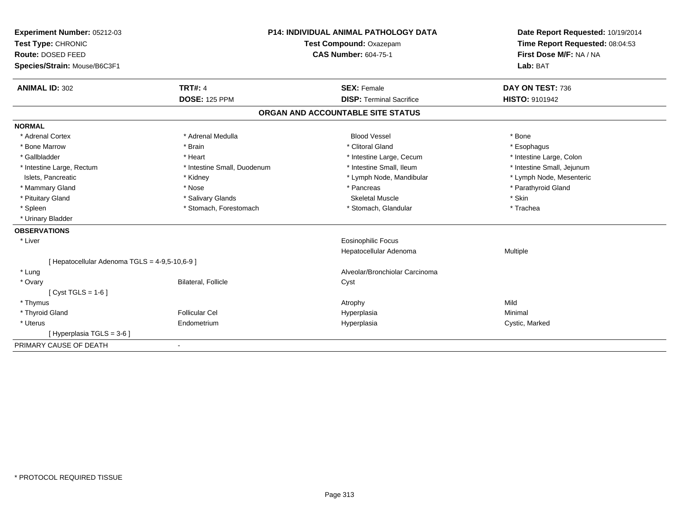| Experiment Number: 05212-03                    | <b>P14: INDIVIDUAL ANIMAL PATHOLOGY DATA</b> |  | Date Report Requested: 10/19/2014 |                                 |
|------------------------------------------------|----------------------------------------------|--|-----------------------------------|---------------------------------|
| Test Type: CHRONIC                             | Test Compound: Oxazepam                      |  |                                   | Time Report Requested: 08:04:53 |
| Route: DOSED FEED                              | <b>CAS Number: 604-75-1</b>                  |  | First Dose M/F: NA / NA           |                                 |
| Species/Strain: Mouse/B6C3F1                   |                                              |  |                                   | Lab: BAT                        |
| <b>ANIMAL ID: 302</b>                          | <b>TRT#: 4</b>                               |  | <b>SEX: Female</b>                | DAY ON TEST: 736                |
|                                                | <b>DOSE: 125 PPM</b>                         |  | <b>DISP: Terminal Sacrifice</b>   | <b>HISTO: 9101942</b>           |
|                                                |                                              |  | ORGAN AND ACCOUNTABLE SITE STATUS |                                 |
| <b>NORMAL</b>                                  |                                              |  |                                   |                                 |
| * Adrenal Cortex                               | * Adrenal Medulla                            |  | <b>Blood Vessel</b>               | * Bone                          |
| * Bone Marrow                                  | * Brain                                      |  | * Clitoral Gland                  | * Esophagus                     |
| * Gallbladder                                  | * Heart                                      |  | * Intestine Large, Cecum          | * Intestine Large, Colon        |
| * Intestine Large, Rectum                      | * Intestine Small, Duodenum                  |  | * Intestine Small, Ileum          | * Intestine Small, Jejunum      |
| Islets, Pancreatic                             | * Kidney                                     |  | * Lymph Node, Mandibular          | * Lymph Node, Mesenteric        |
| * Mammary Gland                                | * Nose                                       |  | * Pancreas                        | * Parathyroid Gland             |
| * Pituitary Gland                              | * Salivary Glands                            |  | <b>Skeletal Muscle</b>            | * Skin                          |
| * Spleen                                       | * Stomach, Forestomach                       |  | * Stomach, Glandular              | * Trachea                       |
| * Urinary Bladder                              |                                              |  |                                   |                                 |
| <b>OBSERVATIONS</b>                            |                                              |  |                                   |                                 |
| * Liver                                        |                                              |  | <b>Eosinophilic Focus</b>         |                                 |
|                                                |                                              |  | Hepatocellular Adenoma            | Multiple                        |
| [ Hepatocellular Adenoma TGLS = 4-9,5-10,6-9 ] |                                              |  |                                   |                                 |
| * Lung                                         |                                              |  | Alveolar/Bronchiolar Carcinoma    |                                 |
| * Ovary                                        | <b>Bilateral, Follicle</b>                   |  | Cyst                              |                                 |
| [ $Cyst TGLS = 1-6$ ]                          |                                              |  |                                   |                                 |
| * Thymus                                       |                                              |  | Atrophy                           | Mild                            |
| * Thyroid Gland                                | Follicular Cel                               |  | Hyperplasia                       | Minimal                         |
| * Uterus                                       | Endometrium                                  |  | Hyperplasia                       | Cystic, Marked                  |
| [Hyperplasia TGLS = 3-6]                       |                                              |  |                                   |                                 |
| PRIMARY CAUSE OF DEATH                         |                                              |  |                                   |                                 |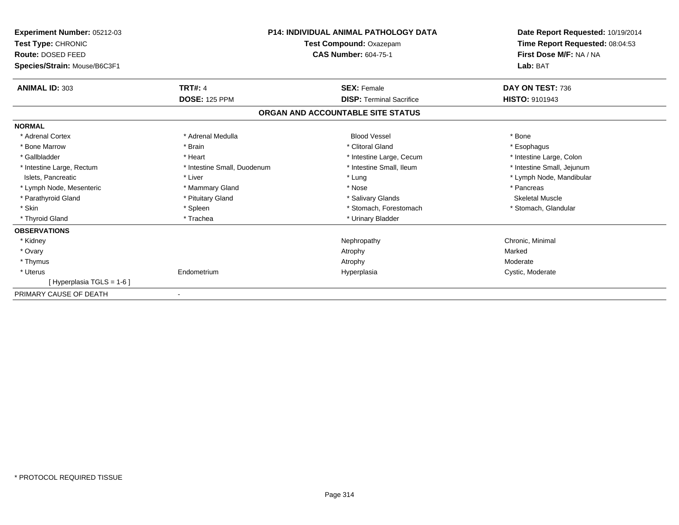| Experiment Number: 05212-03<br>Test Type: CHRONIC<br>Route: DOSED FEED<br>Species/Strain: Mouse/B6C3F1 |                             | <b>P14: INDIVIDUAL ANIMAL PATHOLOGY DATA</b><br>Test Compound: Oxazepam<br><b>CAS Number: 604-75-1</b> | Date Report Requested: 10/19/2014<br>Time Report Requested: 08:04:53<br>First Dose M/F: NA / NA<br>Lab: BAT |
|--------------------------------------------------------------------------------------------------------|-----------------------------|--------------------------------------------------------------------------------------------------------|-------------------------------------------------------------------------------------------------------------|
|                                                                                                        |                             |                                                                                                        |                                                                                                             |
| <b>ANIMAL ID: 303</b>                                                                                  | <b>TRT#: 4</b>              | <b>SEX: Female</b>                                                                                     | DAY ON TEST: 736                                                                                            |
|                                                                                                        | <b>DOSE: 125 PPM</b>        | <b>DISP: Terminal Sacrifice</b>                                                                        | <b>HISTO: 9101943</b>                                                                                       |
|                                                                                                        |                             | ORGAN AND ACCOUNTABLE SITE STATUS                                                                      |                                                                                                             |
| <b>NORMAL</b>                                                                                          |                             |                                                                                                        |                                                                                                             |
| * Adrenal Cortex                                                                                       | * Adrenal Medulla           | <b>Blood Vessel</b>                                                                                    | * Bone                                                                                                      |
| * Bone Marrow                                                                                          | * Brain                     | * Clitoral Gland                                                                                       | * Esophagus                                                                                                 |
| * Gallbladder                                                                                          | * Heart                     | * Intestine Large, Cecum                                                                               | * Intestine Large, Colon                                                                                    |
| * Intestine Large, Rectum                                                                              | * Intestine Small, Duodenum | * Intestine Small, Ileum                                                                               | * Intestine Small, Jejunum                                                                                  |
| Islets, Pancreatic                                                                                     | * Liver                     | * Lung                                                                                                 | * Lymph Node, Mandibular                                                                                    |
| * Lymph Node, Mesenteric                                                                               | * Mammary Gland             | * Nose                                                                                                 | * Pancreas                                                                                                  |
| * Parathyroid Gland                                                                                    | * Pituitary Gland           | * Salivary Glands                                                                                      | <b>Skeletal Muscle</b>                                                                                      |
| * Skin                                                                                                 | * Spleen                    | * Stomach, Forestomach                                                                                 | * Stomach, Glandular                                                                                        |
| * Thyroid Gland                                                                                        | * Trachea                   | * Urinary Bladder                                                                                      |                                                                                                             |
| <b>OBSERVATIONS</b>                                                                                    |                             |                                                                                                        |                                                                                                             |
| * Kidney                                                                                               |                             | Nephropathy                                                                                            | Chronic, Minimal                                                                                            |
| * Ovary                                                                                                |                             | Atrophy                                                                                                | Marked                                                                                                      |
| * Thymus                                                                                               |                             | Atrophy                                                                                                | Moderate                                                                                                    |
| * Uterus                                                                                               | Endometrium                 | Hyperplasia                                                                                            | Cystic, Moderate                                                                                            |
| [Hyperplasia TGLS = 1-6]                                                                               |                             |                                                                                                        |                                                                                                             |
| PRIMARY CAUSE OF DEATH                                                                                 |                             |                                                                                                        |                                                                                                             |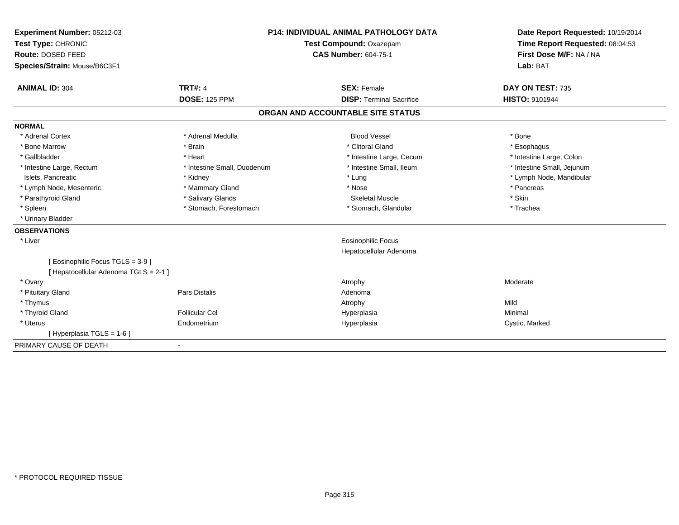| Experiment Number: 05212-03         |                                | <b>P14: INDIVIDUAL ANIMAL PATHOLOGY DATA</b> |                                   | Date Report Requested: 10/19/2014 |
|-------------------------------------|--------------------------------|----------------------------------------------|-----------------------------------|-----------------------------------|
| Test Type: CHRONIC                  | <b>Test Compound: Oxazepam</b> |                                              | Time Report Requested: 08:04:53   |                                   |
| Route: DOSED FEED                   |                                |                                              | <b>CAS Number: 604-75-1</b>       | First Dose M/F: NA / NA           |
| Species/Strain: Mouse/B6C3F1        |                                |                                              |                                   | Lab: BAT                          |
| <b>ANIMAL ID: 304</b>               | <b>TRT#: 4</b>                 |                                              | <b>SEX: Female</b>                | DAY ON TEST: 735                  |
|                                     | <b>DOSE: 125 PPM</b>           |                                              | <b>DISP: Terminal Sacrifice</b>   | <b>HISTO: 9101944</b>             |
|                                     |                                |                                              | ORGAN AND ACCOUNTABLE SITE STATUS |                                   |
| <b>NORMAL</b>                       |                                |                                              |                                   |                                   |
| * Adrenal Cortex                    | * Adrenal Medulla              |                                              | <b>Blood Vessel</b>               | * Bone                            |
| * Bone Marrow                       | * Brain                        |                                              | * Clitoral Gland                  | * Esophagus                       |
| * Gallbladder                       | * Heart                        |                                              | * Intestine Large, Cecum          | * Intestine Large, Colon          |
| * Intestine Large, Rectum           | * Intestine Small, Duodenum    |                                              | * Intestine Small, Ileum          | * Intestine Small, Jejunum        |
| Islets, Pancreatic                  | * Kidney                       |                                              | * Lung                            | * Lymph Node, Mandibular          |
| * Lymph Node, Mesenteric            | * Mammary Gland                |                                              | * Nose                            | * Pancreas                        |
| * Parathyroid Gland                 | * Salivary Glands              |                                              | <b>Skeletal Muscle</b>            | * Skin                            |
| * Spleen                            | * Stomach, Forestomach         |                                              | * Stomach, Glandular              | * Trachea                         |
| * Urinary Bladder                   |                                |                                              |                                   |                                   |
| <b>OBSERVATIONS</b>                 |                                |                                              |                                   |                                   |
| * Liver                             |                                |                                              | <b>Eosinophilic Focus</b>         |                                   |
|                                     |                                |                                              | Hepatocellular Adenoma            |                                   |
| [ Eosinophilic Focus TGLS = 3-9 ]   |                                |                                              |                                   |                                   |
| [Hepatocellular Adenoma TGLS = 2-1] |                                |                                              |                                   |                                   |
| * Ovary                             |                                |                                              | Atrophy                           | Moderate                          |
| * Pituitary Gland                   | <b>Pars Distalis</b>           |                                              | Adenoma                           |                                   |
| * Thymus                            |                                |                                              | Atrophy                           | Mild                              |
| * Thyroid Gland                     | Follicular Cel                 |                                              | Hyperplasia                       | Minimal                           |
| * Uterus                            | Endometrium                    |                                              | Hyperplasia                       | Cystic, Marked                    |
| [ Hyperplasia TGLS = 1-6 ]          |                                |                                              |                                   |                                   |
| PRIMARY CAUSE OF DEATH              |                                |                                              |                                   |                                   |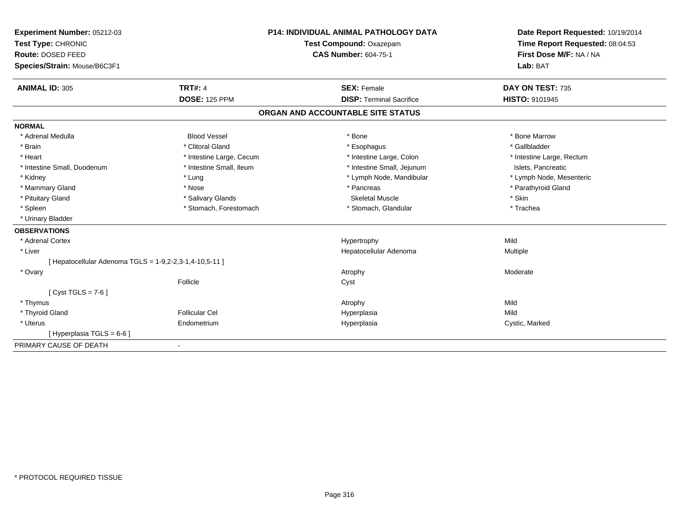| <b>Experiment Number: 05212-03</b>                      | <b>P14: INDIVIDUAL ANIMAL PATHOLOGY DATA</b> |                                   | Date Report Requested: 10/19/2014                          |  |
|---------------------------------------------------------|----------------------------------------------|-----------------------------------|------------------------------------------------------------|--|
| Test Type: CHRONIC                                      |                                              | Test Compound: Oxazepam           | Time Report Requested: 08:04:53<br>First Dose M/F: NA / NA |  |
| Route: DOSED FEED                                       |                                              | <b>CAS Number: 604-75-1</b>       |                                                            |  |
| Species/Strain: Mouse/B6C3F1                            |                                              |                                   | Lab: BAT                                                   |  |
| <b>ANIMAL ID: 305</b>                                   | <b>TRT#: 4</b>                               | <b>SEX: Female</b>                | DAY ON TEST: 735                                           |  |
|                                                         | <b>DOSE: 125 PPM</b>                         | <b>DISP: Terminal Sacrifice</b>   | <b>HISTO: 9101945</b>                                      |  |
|                                                         |                                              | ORGAN AND ACCOUNTABLE SITE STATUS |                                                            |  |
| <b>NORMAL</b>                                           |                                              |                                   |                                                            |  |
| * Adrenal Medulla                                       | <b>Blood Vessel</b>                          | * Bone                            | * Bone Marrow                                              |  |
| * Brain                                                 | * Clitoral Gland                             | * Esophagus                       | * Gallbladder                                              |  |
| * Heart                                                 | * Intestine Large, Cecum                     | * Intestine Large, Colon          | * Intestine Large, Rectum                                  |  |
| * Intestine Small, Duodenum                             | * Intestine Small, Ileum                     | * Intestine Small, Jejunum        | Islets, Pancreatic                                         |  |
| * Kidney                                                | * Lung                                       | * Lymph Node, Mandibular          | * Lymph Node, Mesenteric                                   |  |
| * Mammary Gland                                         | * Nose                                       | * Pancreas                        | * Parathyroid Gland                                        |  |
| * Pituitary Gland                                       | * Salivary Glands                            | <b>Skeletal Muscle</b>            | * Skin                                                     |  |
| * Spleen                                                | * Stomach, Forestomach                       | * Stomach, Glandular              | * Trachea                                                  |  |
| * Urinary Bladder                                       |                                              |                                   |                                                            |  |
| <b>OBSERVATIONS</b>                                     |                                              |                                   |                                                            |  |
| * Adrenal Cortex                                        |                                              | Hypertrophy                       | Mild                                                       |  |
| * Liver                                                 |                                              | Hepatocellular Adenoma            | Multiple                                                   |  |
| [ Hepatocellular Adenoma TGLS = 1-9,2-2,3-1,4-10,5-11 ] |                                              |                                   |                                                            |  |
| * Ovary                                                 |                                              | Atrophy                           | Moderate                                                   |  |
|                                                         | Follicle                                     | Cyst                              |                                                            |  |
| $Cvst TGLS = 7-6$                                       |                                              |                                   |                                                            |  |
| * Thymus                                                |                                              | Atrophy                           | Mild                                                       |  |
| * Thyroid Gland                                         | <b>Follicular Cel</b>                        | Hyperplasia                       | Mild                                                       |  |
| * Uterus                                                | Endometrium                                  | Hyperplasia                       | Cystic, Marked                                             |  |
| [Hyperplasia TGLS = $6-6$ ]                             |                                              |                                   |                                                            |  |
| PRIMARY CAUSE OF DEATH                                  |                                              |                                   |                                                            |  |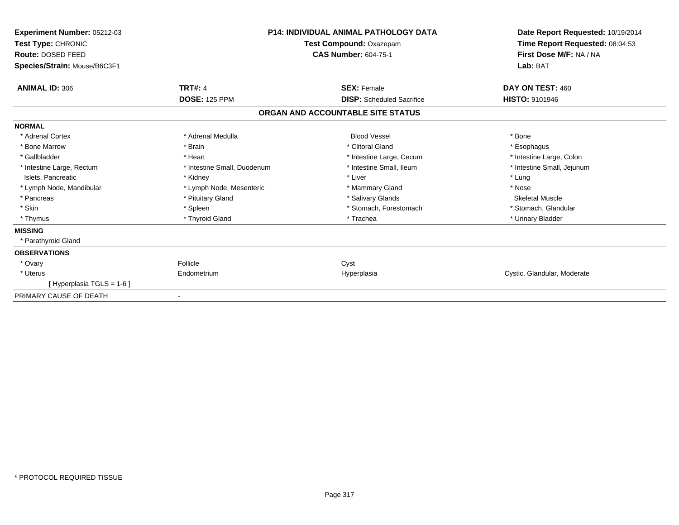| Experiment Number: 05212-03<br><b>Test Type: CHRONIC</b><br>Route: DOSED FEED<br>Species/Strain: Mouse/B6C3F1 |                             | <b>P14: INDIVIDUAL ANIMAL PATHOLOGY DATA</b><br>Test Compound: Oxazepam<br><b>CAS Number: 604-75-1</b> | Date Report Requested: 10/19/2014<br>Time Report Requested: 08:04:53<br>First Dose M/F: NA / NA<br>Lab: BAT |
|---------------------------------------------------------------------------------------------------------------|-----------------------------|--------------------------------------------------------------------------------------------------------|-------------------------------------------------------------------------------------------------------------|
| <b>ANIMAL ID: 306</b>                                                                                         | <b>TRT#: 4</b>              | <b>SEX: Female</b>                                                                                     | DAY ON TEST: 460                                                                                            |
|                                                                                                               | <b>DOSE: 125 PPM</b>        | <b>DISP:</b> Scheduled Sacrifice                                                                       | <b>HISTO: 9101946</b>                                                                                       |
|                                                                                                               |                             | ORGAN AND ACCOUNTABLE SITE STATUS                                                                      |                                                                                                             |
| <b>NORMAL</b>                                                                                                 |                             |                                                                                                        |                                                                                                             |
| * Adrenal Cortex                                                                                              | * Adrenal Medulla           | <b>Blood Vessel</b>                                                                                    | * Bone                                                                                                      |
| * Bone Marrow                                                                                                 | * Brain                     | * Clitoral Gland                                                                                       | * Esophagus                                                                                                 |
| * Gallbladder                                                                                                 | * Heart                     | * Intestine Large, Cecum                                                                               | * Intestine Large, Colon                                                                                    |
| * Intestine Large, Rectum                                                                                     | * Intestine Small, Duodenum | * Intestine Small, Ileum                                                                               | * Intestine Small, Jejunum                                                                                  |
| Islets, Pancreatic                                                                                            | * Kidney                    | * Liver                                                                                                | * Lung                                                                                                      |
| * Lymph Node, Mandibular                                                                                      | * Lymph Node, Mesenteric    | * Mammary Gland                                                                                        | * Nose                                                                                                      |
| * Pancreas                                                                                                    | * Pituitary Gland           | * Salivary Glands                                                                                      | <b>Skeletal Muscle</b>                                                                                      |
| * Skin                                                                                                        | * Spleen                    | * Stomach, Forestomach                                                                                 | * Stomach, Glandular                                                                                        |
| * Thymus                                                                                                      | * Thyroid Gland             | * Trachea                                                                                              | * Urinary Bladder                                                                                           |
| <b>MISSING</b>                                                                                                |                             |                                                                                                        |                                                                                                             |
| * Parathyroid Gland                                                                                           |                             |                                                                                                        |                                                                                                             |
| <b>OBSERVATIONS</b>                                                                                           |                             |                                                                                                        |                                                                                                             |
| * Ovary                                                                                                       | Follicle                    | Cyst                                                                                                   |                                                                                                             |
| * Uterus                                                                                                      | Endometrium                 | Hyperplasia                                                                                            | Cystic, Glandular, Moderate                                                                                 |
| Hyperplasia TGLS = 1-6 ]                                                                                      |                             |                                                                                                        |                                                                                                             |
| PRIMARY CAUSE OF DEATH                                                                                        | $\overline{\phantom{a}}$    |                                                                                                        |                                                                                                             |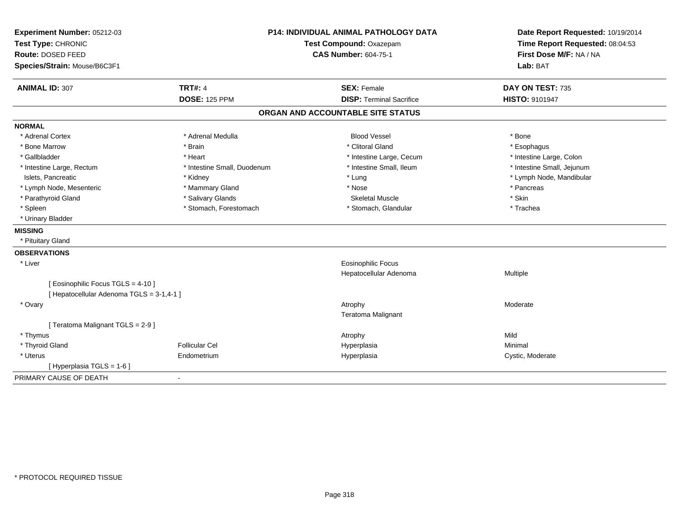| Experiment Number: 05212-03<br>Test Type: CHRONIC<br>Route: DOSED FEED<br>Species/Strain: Mouse/B6C3F1 | P14: INDIVIDUAL ANIMAL PATHOLOGY DATA<br>Test Compound: Oxazepam<br><b>CAS Number: 604-75-1</b> |                                   | Date Report Requested: 10/19/2014<br>Time Report Requested: 08:04:53<br>First Dose M/F: NA / NA<br>Lab: BAT |  |
|--------------------------------------------------------------------------------------------------------|-------------------------------------------------------------------------------------------------|-----------------------------------|-------------------------------------------------------------------------------------------------------------|--|
| <b>ANIMAL ID: 307</b>                                                                                  | <b>TRT#: 4</b>                                                                                  | <b>SEX: Female</b>                | DAY ON TEST: 735                                                                                            |  |
|                                                                                                        | <b>DOSE: 125 PPM</b>                                                                            | <b>DISP: Terminal Sacrifice</b>   | <b>HISTO: 9101947</b>                                                                                       |  |
|                                                                                                        |                                                                                                 | ORGAN AND ACCOUNTABLE SITE STATUS |                                                                                                             |  |
| <b>NORMAL</b>                                                                                          |                                                                                                 |                                   |                                                                                                             |  |
| * Adrenal Cortex                                                                                       | * Adrenal Medulla                                                                               | <b>Blood Vessel</b>               | * Bone                                                                                                      |  |
| * Bone Marrow                                                                                          | * Brain                                                                                         | * Clitoral Gland                  | * Esophagus                                                                                                 |  |
| * Gallbladder                                                                                          | * Heart                                                                                         | * Intestine Large, Cecum          | * Intestine Large, Colon                                                                                    |  |
| * Intestine Large, Rectum                                                                              | * Intestine Small, Duodenum                                                                     | * Intestine Small, Ileum          | * Intestine Small, Jejunum                                                                                  |  |
| Islets, Pancreatic                                                                                     | * Kidney                                                                                        | * Lung                            | * Lymph Node, Mandibular                                                                                    |  |
| * Lymph Node, Mesenteric                                                                               | * Mammary Gland                                                                                 | * Nose                            | * Pancreas                                                                                                  |  |
| * Parathyroid Gland                                                                                    | * Salivary Glands                                                                               | <b>Skeletal Muscle</b>            | * Skin                                                                                                      |  |
| * Spleen                                                                                               | * Stomach, Forestomach                                                                          | * Stomach, Glandular              | * Trachea                                                                                                   |  |
| * Urinary Bladder                                                                                      |                                                                                                 |                                   |                                                                                                             |  |
| <b>MISSING</b>                                                                                         |                                                                                                 |                                   |                                                                                                             |  |
| * Pituitary Gland                                                                                      |                                                                                                 |                                   |                                                                                                             |  |
| <b>OBSERVATIONS</b>                                                                                    |                                                                                                 |                                   |                                                                                                             |  |
| * Liver                                                                                                |                                                                                                 | Eosinophilic Focus                |                                                                                                             |  |
|                                                                                                        |                                                                                                 | Hepatocellular Adenoma            | Multiple                                                                                                    |  |
| [ Eosinophilic Focus TGLS = 4-10 ]                                                                     |                                                                                                 |                                   |                                                                                                             |  |
| [ Hepatocellular Adenoma TGLS = 3-1,4-1 ]                                                              |                                                                                                 |                                   |                                                                                                             |  |
| * Ovary                                                                                                |                                                                                                 | Atrophy                           | Moderate                                                                                                    |  |
|                                                                                                        |                                                                                                 | Teratoma Malignant                |                                                                                                             |  |
| [Teratoma Malignant TGLS = 2-9]                                                                        |                                                                                                 |                                   |                                                                                                             |  |
| * Thymus                                                                                               |                                                                                                 | Atrophy                           | Mild                                                                                                        |  |
| * Thyroid Gland                                                                                        | <b>Follicular Cel</b>                                                                           | Hyperplasia                       | Minimal                                                                                                     |  |
| * Uterus                                                                                               | Endometrium                                                                                     | Hyperplasia                       | Cystic, Moderate                                                                                            |  |
| [ Hyperplasia TGLS = 1-6 ]                                                                             |                                                                                                 |                                   |                                                                                                             |  |
| PRIMARY CAUSE OF DEATH                                                                                 | $\blacksquare$                                                                                  |                                   |                                                                                                             |  |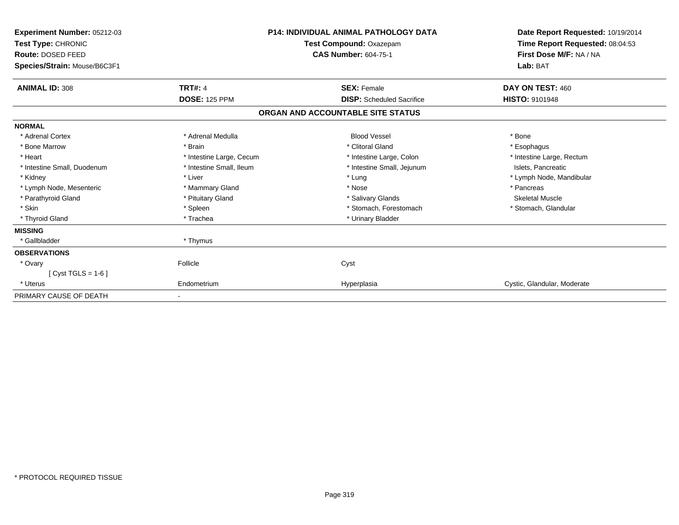| Experiment Number: 05212-03<br>Test Type: CHRONIC<br>Route: DOSED FEED<br>Species/Strain: Mouse/B6C3F1 |                          | <b>P14: INDIVIDUAL ANIMAL PATHOLOGY DATA</b><br>Test Compound: Oxazepam<br><b>CAS Number: 604-75-1</b> | Date Report Requested: 10/19/2014<br>Time Report Requested: 08:04:53<br>First Dose M/F: NA / NA<br>Lab: BAT |
|--------------------------------------------------------------------------------------------------------|--------------------------|--------------------------------------------------------------------------------------------------------|-------------------------------------------------------------------------------------------------------------|
| <b>ANIMAL ID: 308</b>                                                                                  | <b>TRT#: 4</b>           | <b>SEX: Female</b>                                                                                     | DAY ON TEST: 460                                                                                            |
|                                                                                                        | <b>DOSE: 125 PPM</b>     | <b>DISP:</b> Scheduled Sacrifice                                                                       | <b>HISTO: 9101948</b>                                                                                       |
|                                                                                                        |                          | ORGAN AND ACCOUNTABLE SITE STATUS                                                                      |                                                                                                             |
| <b>NORMAL</b>                                                                                          |                          |                                                                                                        |                                                                                                             |
| * Adrenal Cortex                                                                                       | * Adrenal Medulla        | <b>Blood Vessel</b>                                                                                    | * Bone                                                                                                      |
| * Bone Marrow                                                                                          | * Brain                  | * Clitoral Gland                                                                                       | * Esophagus                                                                                                 |
| * Heart                                                                                                | * Intestine Large, Cecum | * Intestine Large, Colon                                                                               | * Intestine Large, Rectum                                                                                   |
| * Intestine Small, Duodenum                                                                            | * Intestine Small, Ileum | * Intestine Small, Jejunum                                                                             | Islets, Pancreatic                                                                                          |
| * Kidney                                                                                               | * Liver                  | * Lung                                                                                                 | * Lymph Node, Mandibular                                                                                    |
| * Lymph Node, Mesenteric                                                                               | * Mammary Gland          | * Nose                                                                                                 | * Pancreas                                                                                                  |
| * Parathyroid Gland                                                                                    | * Pituitary Gland        | * Salivary Glands                                                                                      | <b>Skeletal Muscle</b>                                                                                      |
| * Skin                                                                                                 | * Spleen                 | * Stomach, Forestomach                                                                                 | * Stomach, Glandular                                                                                        |
| * Thyroid Gland                                                                                        | * Trachea                | * Urinary Bladder                                                                                      |                                                                                                             |
| <b>MISSING</b>                                                                                         |                          |                                                                                                        |                                                                                                             |
| * Gallbladder                                                                                          | * Thymus                 |                                                                                                        |                                                                                                             |
| <b>OBSERVATIONS</b>                                                                                    |                          |                                                                                                        |                                                                                                             |
| * Ovary                                                                                                | Follicle                 | Cyst                                                                                                   |                                                                                                             |
| [ Cyst TGLS = $1-6$ ]                                                                                  |                          |                                                                                                        |                                                                                                             |
| * Uterus                                                                                               | Endometrium              | Hyperplasia                                                                                            | Cystic, Glandular, Moderate                                                                                 |
| PRIMARY CAUSE OF DEATH                                                                                 |                          |                                                                                                        |                                                                                                             |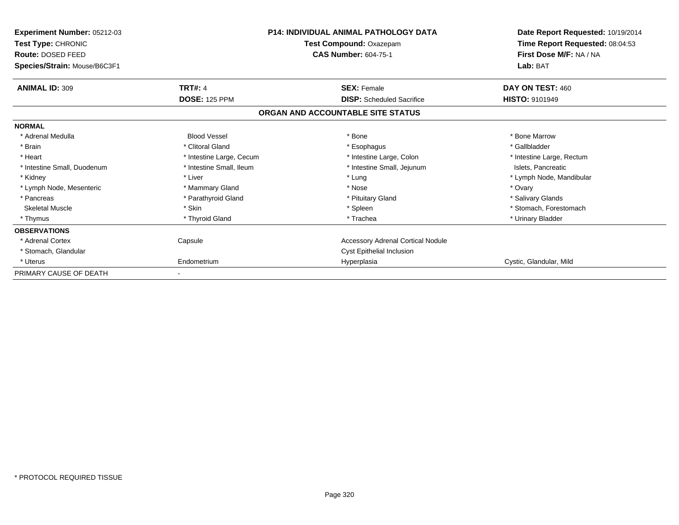| Experiment Number: 05212-03<br>Test Type: CHRONIC<br><b>Route: DOSED FEED</b><br>Species/Strain: Mouse/B6C3F1 |                          | <b>P14: INDIVIDUAL ANIMAL PATHOLOGY DATA</b><br>Test Compound: Oxazepam<br><b>CAS Number: 604-75-1</b> | Date Report Requested: 10/19/2014<br>Time Report Requested: 08:04:53<br>First Dose M/F: NA / NA<br>Lab: BAT |
|---------------------------------------------------------------------------------------------------------------|--------------------------|--------------------------------------------------------------------------------------------------------|-------------------------------------------------------------------------------------------------------------|
| <b>ANIMAL ID: 309</b>                                                                                         | <b>TRT#: 4</b>           | <b>SEX: Female</b>                                                                                     | DAY ON TEST: 460                                                                                            |
|                                                                                                               | <b>DOSE: 125 PPM</b>     | <b>DISP:</b> Scheduled Sacrifice                                                                       | <b>HISTO: 9101949</b>                                                                                       |
|                                                                                                               |                          | ORGAN AND ACCOUNTABLE SITE STATUS                                                                      |                                                                                                             |
| <b>NORMAL</b>                                                                                                 |                          |                                                                                                        |                                                                                                             |
| * Adrenal Medulla                                                                                             | <b>Blood Vessel</b>      | * Bone                                                                                                 | * Bone Marrow                                                                                               |
| * Brain                                                                                                       | * Clitoral Gland         | * Esophagus                                                                                            | * Gallbladder                                                                                               |
| * Heart                                                                                                       | * Intestine Large, Cecum | * Intestine Large, Colon                                                                               | * Intestine Large, Rectum                                                                                   |
| * Intestine Small, Duodenum                                                                                   | * Intestine Small, Ileum | * Intestine Small, Jejunum                                                                             | Islets, Pancreatic                                                                                          |
| * Kidney                                                                                                      | * Liver                  | * Lung                                                                                                 | * Lymph Node, Mandibular                                                                                    |
| * Lymph Node, Mesenteric                                                                                      | * Mammary Gland          | * Nose                                                                                                 | * Ovary                                                                                                     |
| * Pancreas                                                                                                    | * Parathyroid Gland      | * Pituitary Gland                                                                                      | * Salivary Glands                                                                                           |
| <b>Skeletal Muscle</b>                                                                                        | * Skin                   | * Spleen                                                                                               | * Stomach, Forestomach                                                                                      |
| * Thymus                                                                                                      | * Thyroid Gland          | * Trachea                                                                                              | * Urinary Bladder                                                                                           |
| <b>OBSERVATIONS</b>                                                                                           |                          |                                                                                                        |                                                                                                             |
| * Adrenal Cortex                                                                                              | Capsule                  | Accessory Adrenal Cortical Nodule                                                                      |                                                                                                             |
| * Stomach, Glandular                                                                                          |                          | Cyst Epithelial Inclusion                                                                              |                                                                                                             |
| * Uterus                                                                                                      | Endometrium              | Hyperplasia                                                                                            | Cystic, Glandular, Mild                                                                                     |
| PRIMARY CAUSE OF DEATH                                                                                        |                          |                                                                                                        |                                                                                                             |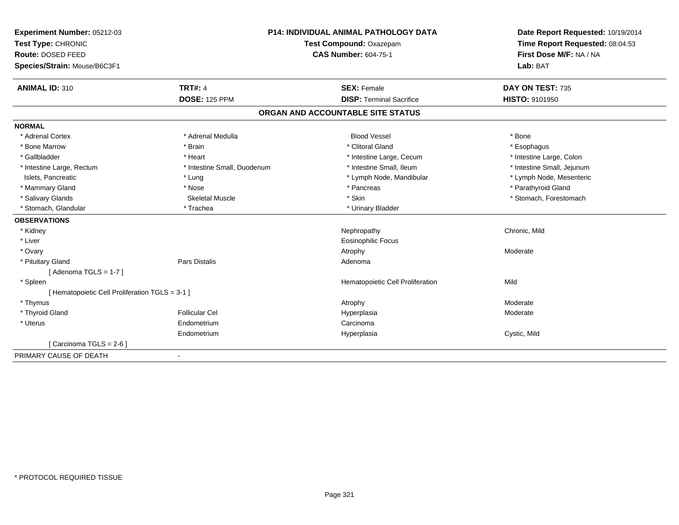| Experiment Number: 05212-03                     |                             | <b>P14: INDIVIDUAL ANIMAL PATHOLOGY DATA</b> | Date Report Requested: 10/19/2014 |  |
|-------------------------------------------------|-----------------------------|----------------------------------------------|-----------------------------------|--|
| Test Type: CHRONIC                              |                             | Test Compound: Oxazepam                      | Time Report Requested: 08:04:53   |  |
| Route: DOSED FEED                               |                             | <b>CAS Number: 604-75-1</b>                  | First Dose M/F: NA / NA           |  |
| Species/Strain: Mouse/B6C3F1                    |                             |                                              | Lab: BAT                          |  |
| <b>ANIMAL ID: 310</b>                           | <b>TRT#: 4</b>              | <b>SEX: Female</b>                           | DAY ON TEST: 735                  |  |
|                                                 | <b>DOSE: 125 PPM</b>        | <b>DISP: Terminal Sacrifice</b>              | <b>HISTO: 9101950</b>             |  |
|                                                 |                             | ORGAN AND ACCOUNTABLE SITE STATUS            |                                   |  |
| <b>NORMAL</b>                                   |                             |                                              |                                   |  |
| * Adrenal Cortex                                | * Adrenal Medulla           | <b>Blood Vessel</b>                          | * Bone                            |  |
| * Bone Marrow                                   | * Brain                     | * Clitoral Gland                             | * Esophagus                       |  |
| * Gallbladder                                   | * Heart                     | * Intestine Large, Cecum                     | * Intestine Large, Colon          |  |
| * Intestine Large, Rectum                       | * Intestine Small, Duodenum | * Intestine Small, Ileum                     | * Intestine Small, Jejunum        |  |
| Islets, Pancreatic                              | * Lung                      | * Lymph Node, Mandibular                     | * Lymph Node, Mesenteric          |  |
| * Mammary Gland                                 | * Nose                      | * Pancreas                                   | * Parathyroid Gland               |  |
| * Salivary Glands                               | <b>Skeletal Muscle</b>      | * Skin                                       | * Stomach, Forestomach            |  |
| * Stomach, Glandular                            | * Trachea                   | * Urinary Bladder                            |                                   |  |
| <b>OBSERVATIONS</b>                             |                             |                                              |                                   |  |
| * Kidney                                        |                             | Nephropathy                                  | Chronic, Mild                     |  |
| * Liver                                         |                             | Eosinophilic Focus                           |                                   |  |
| * Ovary                                         |                             | Atrophy                                      | Moderate                          |  |
| * Pituitary Gland                               | <b>Pars Distalis</b>        | Adenoma                                      |                                   |  |
| [Adenoma TGLS = $1-7$ ]                         |                             |                                              |                                   |  |
| * Spleen                                        |                             | Hematopoietic Cell Proliferation             | Mild                              |  |
| [ Hematopoietic Cell Proliferation TGLS = 3-1 ] |                             |                                              |                                   |  |
| * Thymus                                        |                             | Atrophy                                      | Moderate                          |  |
| * Thyroid Gland                                 | <b>Follicular Cel</b>       | Hyperplasia                                  | Moderate                          |  |
| * Uterus                                        | Endometrium                 | Carcinoma                                    |                                   |  |
|                                                 | Endometrium                 | Hyperplasia                                  | Cystic, Mild                      |  |
| [ Carcinoma TGLS = 2-6 ]                        |                             |                                              |                                   |  |
| PRIMARY CAUSE OF DEATH                          |                             |                                              |                                   |  |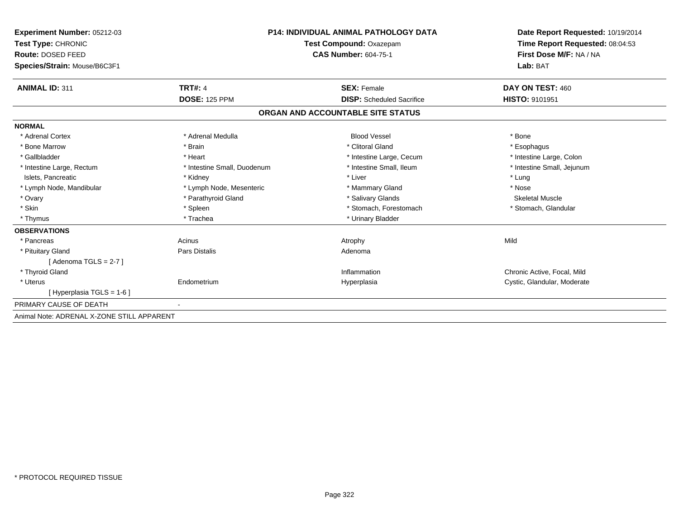| Experiment Number: 05212-03<br>Test Type: CHRONIC |                             | <b>P14: INDIVIDUAL ANIMAL PATHOLOGY DATA</b><br>Test Compound: Oxazepam | Date Report Requested: 10/19/2014<br>Time Report Requested: 08:04:53 |  |
|---------------------------------------------------|-----------------------------|-------------------------------------------------------------------------|----------------------------------------------------------------------|--|
| <b>Route: DOSED FEED</b>                          | <b>CAS Number: 604-75-1</b> |                                                                         | First Dose M/F: NA / NA                                              |  |
| Species/Strain: Mouse/B6C3F1                      |                             |                                                                         | Lab: BAT                                                             |  |
| <b>ANIMAL ID: 311</b>                             | <b>TRT#: 4</b>              | <b>SEX: Female</b>                                                      | DAY ON TEST: 460                                                     |  |
|                                                   | <b>DOSE: 125 PPM</b>        | <b>DISP:</b> Scheduled Sacrifice                                        | HISTO: 9101951                                                       |  |
|                                                   |                             | ORGAN AND ACCOUNTABLE SITE STATUS                                       |                                                                      |  |
| <b>NORMAL</b>                                     |                             |                                                                         |                                                                      |  |
| * Adrenal Cortex                                  | * Adrenal Medulla           | <b>Blood Vessel</b>                                                     | * Bone                                                               |  |
| * Bone Marrow                                     | * Brain                     | * Clitoral Gland                                                        | * Esophagus                                                          |  |
| * Gallbladder                                     | * Heart                     | * Intestine Large, Cecum                                                | * Intestine Large, Colon                                             |  |
| * Intestine Large, Rectum                         | * Intestine Small, Duodenum | * Intestine Small, Ileum                                                | * Intestine Small, Jejunum                                           |  |
| Islets, Pancreatic                                | * Kidney                    | * Liver                                                                 | * Lung                                                               |  |
| * Lymph Node, Mandibular                          | * Lymph Node, Mesenteric    | * Mammary Gland                                                         | * Nose                                                               |  |
| * Ovary                                           | * Parathyroid Gland         | * Salivary Glands                                                       | <b>Skeletal Muscle</b>                                               |  |
| * Skin                                            | * Spleen                    | * Stomach, Forestomach                                                  | * Stomach, Glandular                                                 |  |
| * Thymus                                          | * Trachea                   | * Urinary Bladder                                                       |                                                                      |  |
| <b>OBSERVATIONS</b>                               |                             |                                                                         |                                                                      |  |
| * Pancreas                                        | Acinus                      | Atrophy                                                                 | Mild                                                                 |  |
| * Pituitary Gland                                 | Pars Distalis               | Adenoma                                                                 |                                                                      |  |
| [Adenoma TGLS = $2-7$ ]                           |                             |                                                                         |                                                                      |  |
| * Thyroid Gland                                   |                             | Inflammation                                                            | Chronic Active, Focal, Mild                                          |  |
| * Uterus                                          | Endometrium                 | Hyperplasia                                                             | Cystic, Glandular, Moderate                                          |  |
| [Hyperplasia TGLS = 1-6]                          |                             |                                                                         |                                                                      |  |
| PRIMARY CAUSE OF DEATH                            |                             |                                                                         |                                                                      |  |
| Animal Note: ADRENAL X-ZONE STILL APPARENT        |                             |                                                                         |                                                                      |  |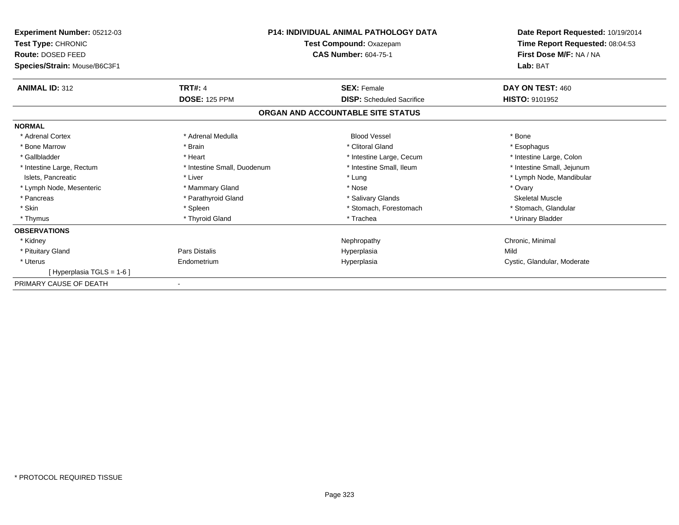| <b>Experiment Number: 05212-03</b><br>Test Type: CHRONIC |                             | <b>P14: INDIVIDUAL ANIMAL PATHOLOGY DATA</b><br>Test Compound: Oxazepam | Date Report Requested: 10/19/2014<br>Time Report Requested: 08:04:53 |  |
|----------------------------------------------------------|-----------------------------|-------------------------------------------------------------------------|----------------------------------------------------------------------|--|
| Route: DOSED FEED<br>Species/Strain: Mouse/B6C3F1        |                             | <b>CAS Number: 604-75-1</b>                                             | First Dose M/F: NA / NA<br>Lab: BAT                                  |  |
| <b>ANIMAL ID: 312</b>                                    | <b>TRT#: 4</b>              | <b>SEX: Female</b>                                                      | DAY ON TEST: 460                                                     |  |
|                                                          | <b>DOSE: 125 PPM</b>        | <b>DISP:</b> Scheduled Sacrifice                                        | HISTO: 9101952                                                       |  |
|                                                          |                             | ORGAN AND ACCOUNTABLE SITE STATUS                                       |                                                                      |  |
| <b>NORMAL</b>                                            |                             |                                                                         |                                                                      |  |
| * Adrenal Cortex                                         | * Adrenal Medulla           | <b>Blood Vessel</b>                                                     | * Bone                                                               |  |
| * Bone Marrow                                            | * Brain                     | * Clitoral Gland                                                        | * Esophagus                                                          |  |
| * Gallbladder                                            | * Heart                     | * Intestine Large, Cecum                                                | * Intestine Large, Colon                                             |  |
| * Intestine Large, Rectum                                | * Intestine Small, Duodenum | * Intestine Small, Ileum                                                | * Intestine Small, Jejunum                                           |  |
| Islets, Pancreatic                                       | * Liver                     | * Lung                                                                  | * Lymph Node, Mandibular                                             |  |
| * Lymph Node, Mesenteric                                 | * Mammary Gland             | * Nose                                                                  | * Ovary                                                              |  |
| * Pancreas                                               | * Parathyroid Gland         | * Salivary Glands                                                       | <b>Skeletal Muscle</b>                                               |  |
| * Skin                                                   | * Spleen                    | * Stomach, Forestomach                                                  | * Stomach, Glandular                                                 |  |
| * Thymus                                                 | * Thyroid Gland             | * Trachea                                                               | * Urinary Bladder                                                    |  |
| <b>OBSERVATIONS</b>                                      |                             |                                                                         |                                                                      |  |
| * Kidney                                                 |                             | Nephropathy                                                             | Chronic, Minimal                                                     |  |
| * Pituitary Gland                                        | Pars Distalis               | Hyperplasia                                                             | Mild                                                                 |  |
| * Uterus                                                 | Endometrium                 | Hyperplasia                                                             | Cystic, Glandular, Moderate                                          |  |
| [Hyperplasia TGLS = 1-6]                                 |                             |                                                                         |                                                                      |  |
| PRIMARY CAUSE OF DEATH                                   |                             |                                                                         |                                                                      |  |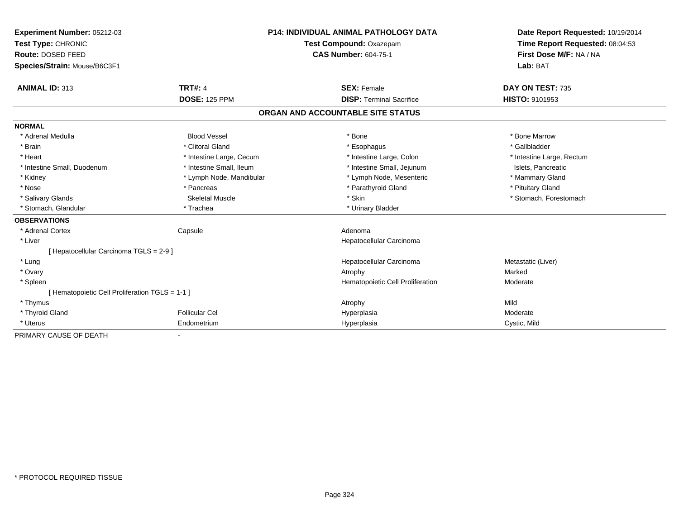| <b>Experiment Number: 05212-03</b><br>Test Type: CHRONIC<br>Route: DOSED FEED | <b>P14: INDIVIDUAL ANIMAL PATHOLOGY DATA</b><br>Test Compound: Oxazepam<br><b>CAS Number: 604-75-1</b> |                                   | Date Report Requested: 10/19/2014<br>Time Report Requested: 08:04:53<br>First Dose M/F: NA / NA |
|-------------------------------------------------------------------------------|--------------------------------------------------------------------------------------------------------|-----------------------------------|-------------------------------------------------------------------------------------------------|
| Species/Strain: Mouse/B6C3F1                                                  |                                                                                                        |                                   | Lab: BAT                                                                                        |
| <b>ANIMAL ID: 313</b>                                                         | <b>TRT#: 4</b>                                                                                         | <b>SEX: Female</b>                | DAY ON TEST: 735                                                                                |
|                                                                               | <b>DOSE: 125 PPM</b>                                                                                   | <b>DISP: Terminal Sacrifice</b>   | HISTO: 9101953                                                                                  |
|                                                                               |                                                                                                        | ORGAN AND ACCOUNTABLE SITE STATUS |                                                                                                 |
| <b>NORMAL</b>                                                                 |                                                                                                        |                                   |                                                                                                 |
| * Adrenal Medulla                                                             | <b>Blood Vessel</b>                                                                                    | * Bone                            | * Bone Marrow                                                                                   |
| * Brain                                                                       | * Clitoral Gland                                                                                       | * Esophagus                       | * Gallbladder                                                                                   |
| * Heart                                                                       | * Intestine Large, Cecum                                                                               | * Intestine Large, Colon          | * Intestine Large, Rectum                                                                       |
| * Intestine Small, Duodenum                                                   | * Intestine Small, Ileum                                                                               | * Intestine Small, Jejunum        | Islets, Pancreatic                                                                              |
| * Kidney                                                                      | * Lymph Node, Mandibular                                                                               | * Lymph Node, Mesenteric          | * Mammary Gland                                                                                 |
| * Nose                                                                        | * Pancreas                                                                                             | * Parathyroid Gland               | * Pituitary Gland                                                                               |
| * Salivary Glands                                                             | <b>Skeletal Muscle</b>                                                                                 | * Skin                            | * Stomach, Forestomach                                                                          |
| * Stomach, Glandular                                                          | * Trachea                                                                                              | * Urinary Bladder                 |                                                                                                 |
| <b>OBSERVATIONS</b>                                                           |                                                                                                        |                                   |                                                                                                 |
| * Adrenal Cortex                                                              | Capsule                                                                                                | Adenoma                           |                                                                                                 |
| * Liver                                                                       |                                                                                                        | Hepatocellular Carcinoma          |                                                                                                 |
| [Hepatocellular Carcinoma TGLS = 2-9]                                         |                                                                                                        |                                   |                                                                                                 |
| * Lung                                                                        |                                                                                                        | Hepatocellular Carcinoma          | Metastatic (Liver)                                                                              |
| * Ovary                                                                       |                                                                                                        | Atrophy                           | Marked                                                                                          |
| * Spleen                                                                      |                                                                                                        | Hematopoietic Cell Proliferation  | Moderate                                                                                        |
| [ Hematopoietic Cell Proliferation TGLS = 1-1 ]                               |                                                                                                        |                                   |                                                                                                 |
| * Thymus                                                                      |                                                                                                        | Atrophy                           | Mild                                                                                            |
| * Thyroid Gland                                                               | <b>Follicular Cel</b>                                                                                  | Hyperplasia                       | Moderate                                                                                        |
| * Uterus                                                                      | Endometrium                                                                                            | Hyperplasia                       | Cystic, Mild                                                                                    |
| PRIMARY CAUSE OF DEATH                                                        |                                                                                                        |                                   |                                                                                                 |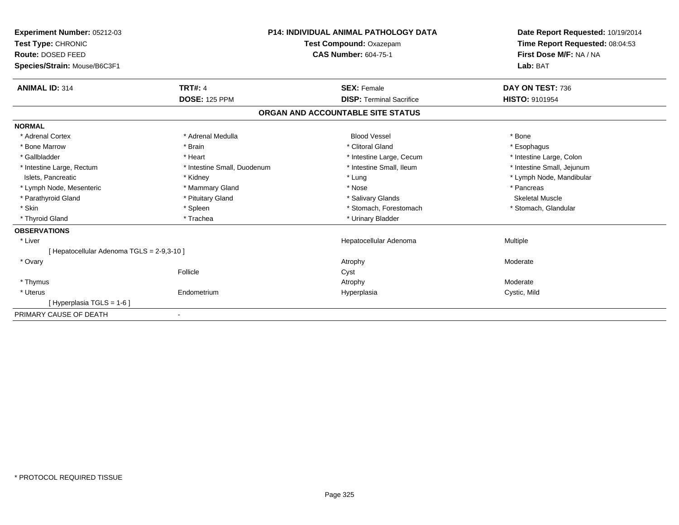| Experiment Number: 05212-03<br>Test Type: CHRONIC<br>Route: DOSED FEED |                             | <b>P14: INDIVIDUAL ANIMAL PATHOLOGY DATA</b><br>Test Compound: Oxazepam<br><b>CAS Number: 604-75-1</b> | Date Report Requested: 10/19/2014<br>Time Report Requested: 08:04:53<br>First Dose M/F: NA / NA |
|------------------------------------------------------------------------|-----------------------------|--------------------------------------------------------------------------------------------------------|-------------------------------------------------------------------------------------------------|
| Species/Strain: Mouse/B6C3F1                                           |                             |                                                                                                        | Lab: BAT                                                                                        |
| <b>ANIMAL ID: 314</b>                                                  | <b>TRT#: 4</b>              | <b>SEX: Female</b>                                                                                     | DAY ON TEST: 736                                                                                |
|                                                                        | <b>DOSE: 125 PPM</b>        | <b>DISP: Terminal Sacrifice</b>                                                                        | <b>HISTO: 9101954</b>                                                                           |
|                                                                        |                             | ORGAN AND ACCOUNTABLE SITE STATUS                                                                      |                                                                                                 |
| <b>NORMAL</b>                                                          |                             |                                                                                                        |                                                                                                 |
| * Adrenal Cortex                                                       | * Adrenal Medulla           | <b>Blood Vessel</b>                                                                                    | * Bone                                                                                          |
| * Bone Marrow                                                          | * Brain                     | * Clitoral Gland                                                                                       | * Esophagus                                                                                     |
| * Gallbladder                                                          | * Heart                     | * Intestine Large, Cecum                                                                               | * Intestine Large, Colon                                                                        |
| * Intestine Large, Rectum                                              | * Intestine Small, Duodenum | * Intestine Small, Ileum                                                                               | * Intestine Small, Jejunum                                                                      |
| Islets, Pancreatic                                                     | * Kidney                    | * Lung                                                                                                 | * Lymph Node, Mandibular                                                                        |
| * Lymph Node, Mesenteric                                               | * Mammary Gland             | * Nose                                                                                                 | * Pancreas                                                                                      |
| * Parathyroid Gland                                                    | * Pituitary Gland           | * Salivary Glands                                                                                      | <b>Skeletal Muscle</b>                                                                          |
| * Skin                                                                 | * Spleen                    | * Stomach, Forestomach                                                                                 | * Stomach, Glandular                                                                            |
| * Thyroid Gland                                                        | * Trachea                   | * Urinary Bladder                                                                                      |                                                                                                 |
| <b>OBSERVATIONS</b>                                                    |                             |                                                                                                        |                                                                                                 |
| * Liver                                                                |                             | Hepatocellular Adenoma                                                                                 | Multiple                                                                                        |
| [ Hepatocellular Adenoma TGLS = 2-9,3-10 ]                             |                             |                                                                                                        |                                                                                                 |
| * Ovary                                                                |                             | Atrophy                                                                                                | Moderate                                                                                        |
|                                                                        | Follicle                    | Cyst                                                                                                   |                                                                                                 |
| * Thymus                                                               |                             | Atrophy                                                                                                | Moderate                                                                                        |
| * Uterus                                                               | Endometrium                 | Hyperplasia                                                                                            | Cystic, Mild                                                                                    |
| [Hyperplasia TGLS = 1-6]                                               |                             |                                                                                                        |                                                                                                 |
| PRIMARY CAUSE OF DEATH                                                 |                             |                                                                                                        |                                                                                                 |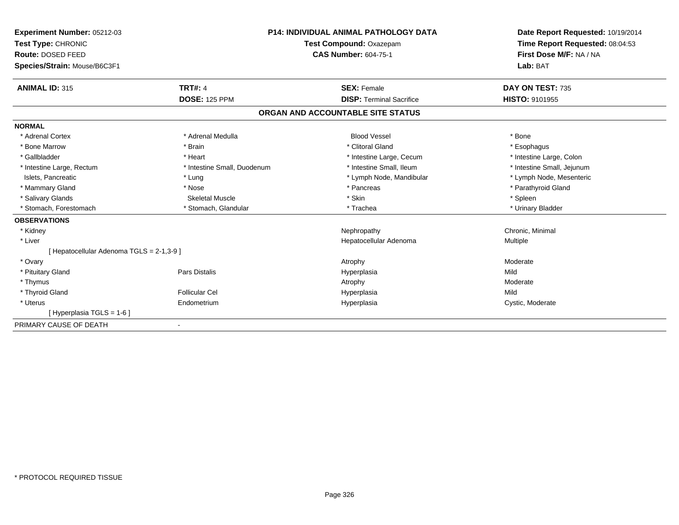| Experiment Number: 05212-03<br>Test Type: CHRONIC<br>Route: DOSED FEED |                             | <b>P14: INDIVIDUAL ANIMAL PATHOLOGY DATA</b><br>Test Compound: Oxazepam<br><b>CAS Number: 604-75-1</b> | Date Report Requested: 10/19/2014<br>Time Report Requested: 08:04:53<br>First Dose M/F: NA / NA |  |
|------------------------------------------------------------------------|-----------------------------|--------------------------------------------------------------------------------------------------------|-------------------------------------------------------------------------------------------------|--|
| Species/Strain: Mouse/B6C3F1                                           |                             |                                                                                                        | Lab: BAT                                                                                        |  |
| <b>ANIMAL ID: 315</b>                                                  | <b>TRT#: 4</b>              | <b>SEX: Female</b>                                                                                     | DAY ON TEST: 735                                                                                |  |
|                                                                        | <b>DOSE: 125 PPM</b>        | <b>DISP: Terminal Sacrifice</b>                                                                        | <b>HISTO: 9101955</b>                                                                           |  |
|                                                                        |                             | ORGAN AND ACCOUNTABLE SITE STATUS                                                                      |                                                                                                 |  |
| <b>NORMAL</b>                                                          |                             |                                                                                                        |                                                                                                 |  |
| * Adrenal Cortex                                                       | * Adrenal Medulla           | <b>Blood Vessel</b>                                                                                    | * Bone                                                                                          |  |
| * Bone Marrow                                                          | * Brain                     | * Clitoral Gland                                                                                       | * Esophagus                                                                                     |  |
| * Gallbladder                                                          | * Heart                     | * Intestine Large, Cecum                                                                               | * Intestine Large, Colon                                                                        |  |
| * Intestine Large, Rectum                                              | * Intestine Small, Duodenum | * Intestine Small, Ileum                                                                               | * Intestine Small, Jejunum                                                                      |  |
| Islets, Pancreatic                                                     | * Lung                      | * Lymph Node, Mandibular                                                                               | * Lymph Node, Mesenteric                                                                        |  |
| * Mammary Gland                                                        | * Nose                      | * Pancreas                                                                                             | * Parathyroid Gland                                                                             |  |
| * Salivary Glands                                                      | <b>Skeletal Muscle</b>      | * Skin                                                                                                 | * Spleen                                                                                        |  |
| * Stomach, Forestomach                                                 | * Stomach, Glandular        | * Trachea                                                                                              | * Urinary Bladder                                                                               |  |
| <b>OBSERVATIONS</b>                                                    |                             |                                                                                                        |                                                                                                 |  |
| * Kidney                                                               |                             | Nephropathy                                                                                            | Chronic, Minimal                                                                                |  |
| * Liver                                                                |                             | Hepatocellular Adenoma                                                                                 | Multiple                                                                                        |  |
| [ Hepatocellular Adenoma TGLS = 2-1,3-9 ]                              |                             |                                                                                                        |                                                                                                 |  |
| * Ovary                                                                |                             | Atrophy                                                                                                | Moderate                                                                                        |  |
| * Pituitary Gland                                                      | Pars Distalis               | Hyperplasia                                                                                            | Mild                                                                                            |  |
| * Thymus                                                               |                             | Atrophy                                                                                                | Moderate                                                                                        |  |
| * Thyroid Gland                                                        | <b>Follicular Cel</b>       | Hyperplasia                                                                                            | Mild                                                                                            |  |
| * Uterus                                                               | Endometrium                 | Hyperplasia                                                                                            | Cystic, Moderate                                                                                |  |
| [Hyperplasia TGLS = 1-6]                                               |                             |                                                                                                        |                                                                                                 |  |
| PRIMARY CAUSE OF DEATH                                                 |                             |                                                                                                        |                                                                                                 |  |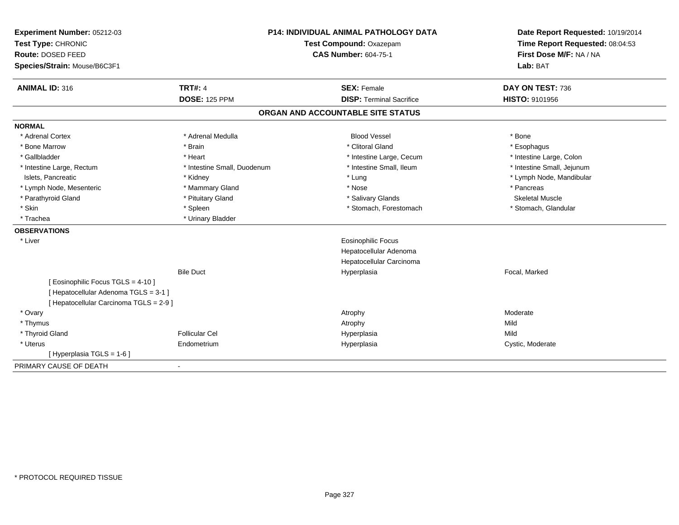| Experiment Number: 05212-03<br>Test Type: CHRONIC<br>Route: DOSED FEED<br>Species/Strain: Mouse/B6C3F1 | P14: INDIVIDUAL ANIMAL PATHOLOGY DATA<br>Test Compound: Oxazepam<br><b>CAS Number: 604-75-1</b> |                                   | Date Report Requested: 10/19/2014<br>Time Report Requested: 08:04:53<br>First Dose M/F: NA / NA<br>Lab: BAT |  |
|--------------------------------------------------------------------------------------------------------|-------------------------------------------------------------------------------------------------|-----------------------------------|-------------------------------------------------------------------------------------------------------------|--|
|                                                                                                        |                                                                                                 |                                   |                                                                                                             |  |
| <b>ANIMAL ID: 316</b>                                                                                  | <b>TRT#: 4</b>                                                                                  | <b>SEX: Female</b>                | DAY ON TEST: 736                                                                                            |  |
|                                                                                                        | <b>DOSE: 125 PPM</b>                                                                            | <b>DISP: Terminal Sacrifice</b>   | HISTO: 9101956                                                                                              |  |
|                                                                                                        |                                                                                                 | ORGAN AND ACCOUNTABLE SITE STATUS |                                                                                                             |  |
| <b>NORMAL</b>                                                                                          |                                                                                                 |                                   |                                                                                                             |  |
| * Adrenal Cortex                                                                                       | * Adrenal Medulla                                                                               | <b>Blood Vessel</b>               | * Bone                                                                                                      |  |
| * Bone Marrow                                                                                          | * Brain                                                                                         | * Clitoral Gland                  | * Esophagus                                                                                                 |  |
| * Gallbladder                                                                                          | * Heart                                                                                         | * Intestine Large, Cecum          | * Intestine Large, Colon                                                                                    |  |
| * Intestine Large, Rectum                                                                              | * Intestine Small, Duodenum                                                                     | * Intestine Small, Ileum          | * Intestine Small, Jejunum                                                                                  |  |
| Islets, Pancreatic                                                                                     | * Kidney                                                                                        | * Lung                            | * Lymph Node, Mandibular                                                                                    |  |
| * Lymph Node, Mesenteric                                                                               | * Mammary Gland                                                                                 | * Nose                            | * Pancreas                                                                                                  |  |
| * Parathyroid Gland                                                                                    | * Pituitary Gland                                                                               | * Salivary Glands                 | <b>Skeletal Muscle</b>                                                                                      |  |
| * Skin                                                                                                 | * Spleen                                                                                        | * Stomach, Forestomach            | * Stomach, Glandular                                                                                        |  |
| * Trachea                                                                                              | * Urinary Bladder                                                                               |                                   |                                                                                                             |  |
| <b>OBSERVATIONS</b>                                                                                    |                                                                                                 |                                   |                                                                                                             |  |
| * Liver                                                                                                |                                                                                                 | Eosinophilic Focus                |                                                                                                             |  |
|                                                                                                        |                                                                                                 | Hepatocellular Adenoma            |                                                                                                             |  |
|                                                                                                        |                                                                                                 | Hepatocellular Carcinoma          |                                                                                                             |  |
|                                                                                                        | <b>Bile Duct</b>                                                                                | Hyperplasia                       | Focal, Marked                                                                                               |  |
| [ Eosinophilic Focus TGLS = 4-10 ]                                                                     |                                                                                                 |                                   |                                                                                                             |  |
| [ Hepatocellular Adenoma TGLS = 3-1 ]                                                                  |                                                                                                 |                                   |                                                                                                             |  |
| [ Hepatocellular Carcinoma TGLS = 2-9 ]                                                                |                                                                                                 |                                   |                                                                                                             |  |
| * Ovary                                                                                                |                                                                                                 | Atrophy                           | Moderate                                                                                                    |  |
| * Thymus                                                                                               |                                                                                                 | Atrophy                           | Mild                                                                                                        |  |
| * Thyroid Gland                                                                                        | <b>Follicular Cel</b>                                                                           | Hyperplasia                       | Mild                                                                                                        |  |
| * Uterus                                                                                               | Endometrium                                                                                     | Hyperplasia                       | Cystic, Moderate                                                                                            |  |
| [ Hyperplasia TGLS = 1-6 ]                                                                             |                                                                                                 |                                   |                                                                                                             |  |
| PRIMARY CAUSE OF DEATH                                                                                 | $\blacksquare$                                                                                  |                                   |                                                                                                             |  |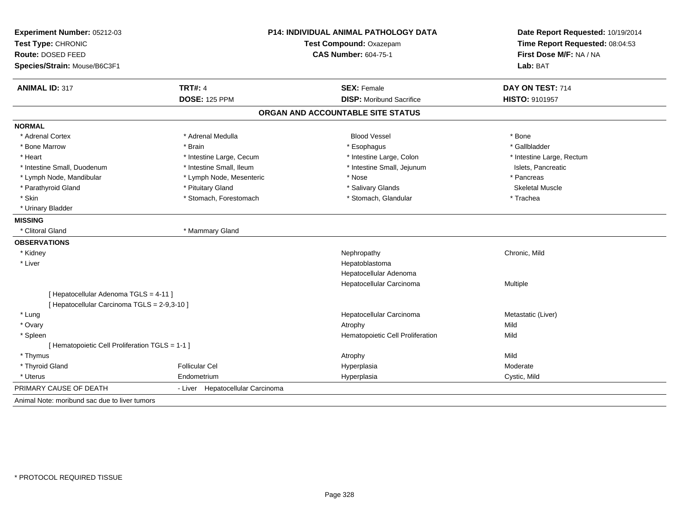| Experiment Number: 05212-03<br>Test Type: CHRONIC |                                  | P14: INDIVIDUAL ANIMAL PATHOLOGY DATA<br>Test Compound: Oxazepam | Date Report Requested: 10/19/2014<br>Time Report Requested: 08:04:53 |  |
|---------------------------------------------------|----------------------------------|------------------------------------------------------------------|----------------------------------------------------------------------|--|
| Route: DOSED FEED                                 |                                  | <b>CAS Number: 604-75-1</b>                                      | First Dose M/F: NA / NA                                              |  |
| Species/Strain: Mouse/B6C3F1                      |                                  |                                                                  | Lab: BAT                                                             |  |
| <b>ANIMAL ID: 317</b>                             | <b>TRT#: 4</b>                   | <b>SEX: Female</b>                                               | DAY ON TEST: 714                                                     |  |
|                                                   | <b>DOSE: 125 PPM</b>             | <b>DISP:</b> Moribund Sacrifice                                  | <b>HISTO: 9101957</b>                                                |  |
|                                                   |                                  | ORGAN AND ACCOUNTABLE SITE STATUS                                |                                                                      |  |
| <b>NORMAL</b>                                     |                                  |                                                                  |                                                                      |  |
| * Adrenal Cortex                                  | * Adrenal Medulla                | <b>Blood Vessel</b>                                              | * Bone                                                               |  |
| * Bone Marrow                                     | * Brain                          | * Esophagus                                                      | * Gallbladder                                                        |  |
| * Heart                                           | * Intestine Large, Cecum         | * Intestine Large, Colon                                         | * Intestine Large, Rectum                                            |  |
| * Intestine Small, Duodenum                       | * Intestine Small, Ileum         | * Intestine Small, Jejunum                                       | Islets, Pancreatic                                                   |  |
| * Lymph Node, Mandibular                          | * Lymph Node, Mesenteric         | * Nose                                                           | * Pancreas                                                           |  |
| * Parathyroid Gland                               | * Pituitary Gland                | * Salivary Glands                                                | <b>Skeletal Muscle</b>                                               |  |
| * Skin                                            | * Stomach, Forestomach           | * Stomach, Glandular                                             | * Trachea                                                            |  |
| * Urinary Bladder                                 |                                  |                                                                  |                                                                      |  |
| <b>MISSING</b>                                    |                                  |                                                                  |                                                                      |  |
| * Clitoral Gland                                  | * Mammary Gland                  |                                                                  |                                                                      |  |
| <b>OBSERVATIONS</b>                               |                                  |                                                                  |                                                                      |  |
| * Kidney                                          |                                  | Nephropathy                                                      | Chronic, Mild                                                        |  |
| * Liver                                           |                                  | Hepatoblastoma                                                   |                                                                      |  |
|                                                   |                                  | Hepatocellular Adenoma                                           |                                                                      |  |
|                                                   |                                  | Hepatocellular Carcinoma                                         | Multiple                                                             |  |
| [ Hepatocellular Adenoma TGLS = 4-11 ]            |                                  |                                                                  |                                                                      |  |
| [ Hepatocellular Carcinoma TGLS = 2-9,3-10 ]      |                                  |                                                                  |                                                                      |  |
| * Lung                                            |                                  | Hepatocellular Carcinoma                                         | Metastatic (Liver)                                                   |  |
| * Ovary                                           |                                  | Atrophy                                                          | Mild                                                                 |  |
| * Spleen                                          |                                  | Hematopoietic Cell Proliferation                                 | Mild                                                                 |  |
| [ Hematopoietic Cell Proliferation TGLS = 1-1 ]   |                                  |                                                                  |                                                                      |  |
| * Thymus                                          |                                  | Atrophy                                                          | Mild                                                                 |  |
| * Thyroid Gland                                   | <b>Follicular Cel</b>            | Hyperplasia                                                      | Moderate                                                             |  |
| * Uterus                                          | Endometrium                      | Hyperplasia                                                      | Cystic, Mild                                                         |  |
| PRIMARY CAUSE OF DEATH                            | - Liver Hepatocellular Carcinoma |                                                                  |                                                                      |  |
| Animal Note: moribund sac due to liver tumors     |                                  |                                                                  |                                                                      |  |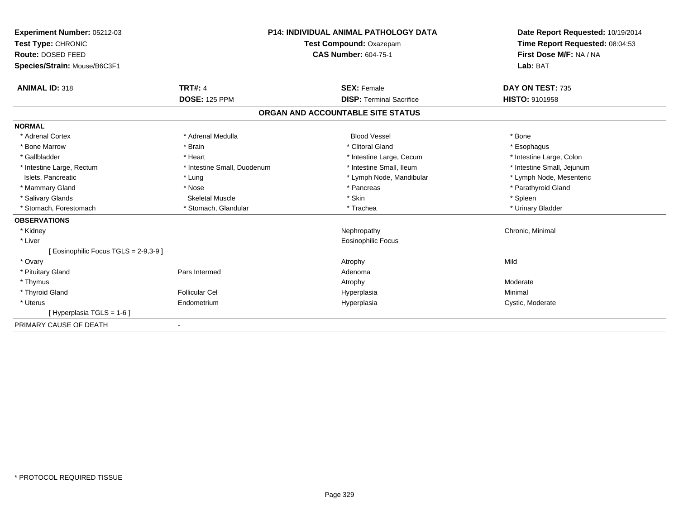| Experiment Number: 05212-03<br>Test Type: CHRONIC<br>Route: DOSED FEED<br>Species/Strain: Mouse/B6C3F1<br><b>ANIMAL ID: 318</b> | <b>TRT#: 4</b>              | <b>P14: INDIVIDUAL ANIMAL PATHOLOGY DATA</b><br>Test Compound: Oxazepam<br><b>CAS Number: 604-75-1</b><br><b>SEX: Female</b> | Date Report Requested: 10/19/2014<br>Time Report Requested: 08:04:53<br>First Dose M/F: NA / NA<br>Lab: BAT<br>DAY ON TEST: 735 |
|---------------------------------------------------------------------------------------------------------------------------------|-----------------------------|------------------------------------------------------------------------------------------------------------------------------|---------------------------------------------------------------------------------------------------------------------------------|
|                                                                                                                                 | <b>DOSE: 125 PPM</b>        | <b>DISP: Terminal Sacrifice</b>                                                                                              | <b>HISTO: 9101958</b>                                                                                                           |
|                                                                                                                                 |                             | ORGAN AND ACCOUNTABLE SITE STATUS                                                                                            |                                                                                                                                 |
| <b>NORMAL</b>                                                                                                                   |                             |                                                                                                                              |                                                                                                                                 |
| * Adrenal Cortex                                                                                                                | * Adrenal Medulla           | <b>Blood Vessel</b>                                                                                                          | * Bone                                                                                                                          |
| * Bone Marrow                                                                                                                   | * Brain                     | * Clitoral Gland                                                                                                             | * Esophagus                                                                                                                     |
| * Gallbladder                                                                                                                   | * Heart                     | * Intestine Large, Cecum                                                                                                     | * Intestine Large, Colon                                                                                                        |
| * Intestine Large, Rectum                                                                                                       | * Intestine Small, Duodenum | * Intestine Small, Ileum                                                                                                     | * Intestine Small, Jejunum                                                                                                      |
| Islets, Pancreatic                                                                                                              | * Lung                      | * Lymph Node, Mandibular                                                                                                     | * Lymph Node, Mesenteric                                                                                                        |
| * Mammary Gland                                                                                                                 | * Nose                      | * Pancreas                                                                                                                   | * Parathyroid Gland                                                                                                             |
| * Salivary Glands                                                                                                               | <b>Skeletal Muscle</b>      | * Skin                                                                                                                       | * Spleen                                                                                                                        |
| * Stomach, Forestomach                                                                                                          | * Stomach, Glandular        | * Trachea                                                                                                                    | * Urinary Bladder                                                                                                               |
| <b>OBSERVATIONS</b>                                                                                                             |                             |                                                                                                                              |                                                                                                                                 |
| * Kidney                                                                                                                        |                             | Nephropathy                                                                                                                  | Chronic, Minimal                                                                                                                |
| * Liver                                                                                                                         |                             | <b>Eosinophilic Focus</b>                                                                                                    |                                                                                                                                 |
| [ Eosinophilic Focus TGLS = 2-9,3-9 ]                                                                                           |                             |                                                                                                                              |                                                                                                                                 |
| * Ovary                                                                                                                         |                             | Atrophy                                                                                                                      | Mild                                                                                                                            |
| * Pituitary Gland                                                                                                               | Pars Intermed               | Adenoma                                                                                                                      |                                                                                                                                 |
| * Thymus                                                                                                                        |                             | Atrophy                                                                                                                      | Moderate                                                                                                                        |
| * Thyroid Gland                                                                                                                 | <b>Follicular Cel</b>       | Hyperplasia                                                                                                                  | Minimal                                                                                                                         |
| * Uterus                                                                                                                        | Endometrium                 | Hyperplasia                                                                                                                  | Cystic, Moderate                                                                                                                |
| [Hyperplasia TGLS = 1-6]                                                                                                        |                             |                                                                                                                              |                                                                                                                                 |
| PRIMARY CAUSE OF DEATH                                                                                                          |                             |                                                                                                                              |                                                                                                                                 |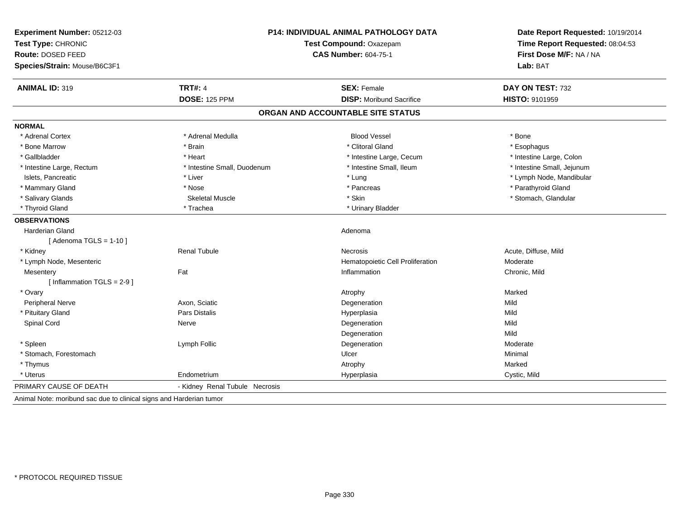| Experiment Number: 05212-03<br>Test Type: CHRONIC<br><b>Route: DOSED FEED</b> | P14: INDIVIDUAL ANIMAL PATHOLOGY DATA<br>Test Compound: Oxazepam<br><b>CAS Number: 604-75-1</b> |                                   | Date Report Requested: 10/19/2014<br>Time Report Requested: 08:04:53<br>First Dose M/F: NA / NA |
|-------------------------------------------------------------------------------|-------------------------------------------------------------------------------------------------|-----------------------------------|-------------------------------------------------------------------------------------------------|
| Species/Strain: Mouse/B6C3F1                                                  |                                                                                                 |                                   | Lab: BAT                                                                                        |
| <b>ANIMAL ID: 319</b>                                                         | <b>TRT#: 4</b>                                                                                  | <b>SEX: Female</b>                | DAY ON TEST: 732                                                                                |
|                                                                               | <b>DOSE: 125 PPM</b>                                                                            | <b>DISP:</b> Moribund Sacrifice   | <b>HISTO: 9101959</b>                                                                           |
|                                                                               |                                                                                                 | ORGAN AND ACCOUNTABLE SITE STATUS |                                                                                                 |
| <b>NORMAL</b>                                                                 |                                                                                                 |                                   |                                                                                                 |
| * Adrenal Cortex                                                              | * Adrenal Medulla                                                                               | <b>Blood Vessel</b>               | * Bone                                                                                          |
| * Bone Marrow                                                                 | * Brain                                                                                         | * Clitoral Gland                  | * Esophagus                                                                                     |
| * Gallbladder                                                                 | * Heart                                                                                         | * Intestine Large, Cecum          | * Intestine Large, Colon                                                                        |
| * Intestine Large, Rectum                                                     | * Intestine Small, Duodenum                                                                     | * Intestine Small, Ileum          | * Intestine Small, Jejunum                                                                      |
| Islets, Pancreatic                                                            | * Liver                                                                                         | * Lung                            | * Lymph Node, Mandibular                                                                        |
| * Mammary Gland                                                               | * Nose                                                                                          | * Pancreas                        | * Parathyroid Gland                                                                             |
| * Salivary Glands                                                             | <b>Skeletal Muscle</b>                                                                          | * Skin                            | * Stomach, Glandular                                                                            |
| * Thyroid Gland                                                               | * Trachea                                                                                       | * Urinary Bladder                 |                                                                                                 |
| <b>OBSERVATIONS</b>                                                           |                                                                                                 |                                   |                                                                                                 |
| <b>Harderian Gland</b>                                                        |                                                                                                 | Adenoma                           |                                                                                                 |
| [Adenoma TGLS = $1-10$ ]                                                      |                                                                                                 |                                   |                                                                                                 |
| * Kidney                                                                      | <b>Renal Tubule</b>                                                                             | <b>Necrosis</b>                   | Acute, Diffuse, Mild                                                                            |
| * Lymph Node, Mesenteric                                                      |                                                                                                 | Hematopoietic Cell Proliferation  | Moderate                                                                                        |
| Mesentery                                                                     | Fat                                                                                             | Inflammation                      | Chronic, Mild                                                                                   |
| [Inflammation TGLS = 2-9]                                                     |                                                                                                 |                                   |                                                                                                 |
| * Ovary                                                                       |                                                                                                 | Atrophy                           | Marked                                                                                          |
| Peripheral Nerve                                                              | Axon, Sciatic                                                                                   | Degeneration                      | Mild                                                                                            |
| * Pituitary Gland                                                             | Pars Distalis                                                                                   | Hyperplasia                       | Mild                                                                                            |
| Spinal Cord                                                                   | Nerve                                                                                           | Degeneration                      | Mild                                                                                            |
|                                                                               |                                                                                                 | Degeneration                      | Mild                                                                                            |
| * Spleen                                                                      | Lymph Follic                                                                                    | Degeneration                      | Moderate                                                                                        |
| * Stomach, Forestomach                                                        |                                                                                                 | Ulcer                             | Minimal                                                                                         |
| * Thymus                                                                      |                                                                                                 | Atrophy                           | Marked                                                                                          |
| * Uterus                                                                      | Endometrium                                                                                     | Hyperplasia                       | Cystic, Mild                                                                                    |
| PRIMARY CAUSE OF DEATH                                                        | - Kidney Renal Tubule Necrosis                                                                  |                                   |                                                                                                 |
| Animal Note: moribund sac due to clinical signs and Harderian tumor           |                                                                                                 |                                   |                                                                                                 |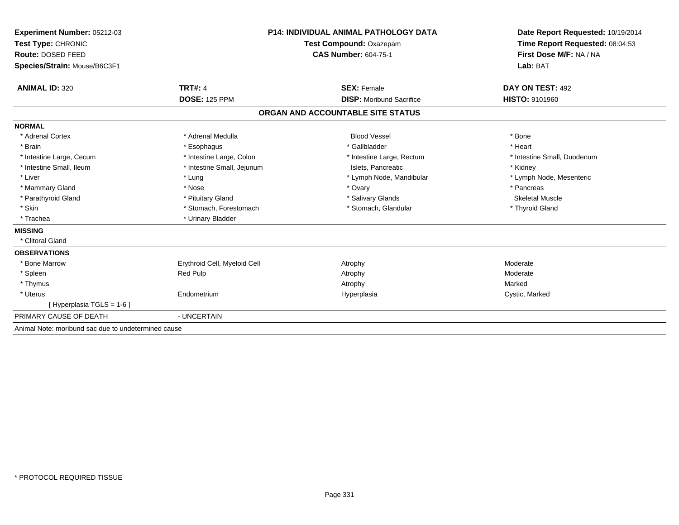| Experiment Number: 05212-03                         | <b>P14: INDIVIDUAL ANIMAL PATHOLOGY DATA</b> |                                   | Date Report Requested: 10/19/2014                          |
|-----------------------------------------------------|----------------------------------------------|-----------------------------------|------------------------------------------------------------|
| Test Type: CHRONIC                                  |                                              | Test Compound: Oxazepam           | Time Report Requested: 08:04:53<br>First Dose M/F: NA / NA |
| Route: DOSED FEED                                   |                                              | <b>CAS Number: 604-75-1</b>       |                                                            |
| Species/Strain: Mouse/B6C3F1                        |                                              |                                   | Lab: BAT                                                   |
| <b>ANIMAL ID: 320</b>                               | <b>TRT#: 4</b>                               | <b>SEX: Female</b>                | DAY ON TEST: 492                                           |
|                                                     | <b>DOSE: 125 PPM</b>                         | <b>DISP:</b> Moribund Sacrifice   | <b>HISTO: 9101960</b>                                      |
|                                                     |                                              | ORGAN AND ACCOUNTABLE SITE STATUS |                                                            |
| <b>NORMAL</b>                                       |                                              |                                   |                                                            |
| * Adrenal Cortex                                    | * Adrenal Medulla                            | <b>Blood Vessel</b>               | * Bone                                                     |
| * Brain                                             | * Esophagus                                  | * Gallbladder                     | * Heart                                                    |
| * Intestine Large, Cecum                            | * Intestine Large, Colon                     | * Intestine Large, Rectum         | * Intestine Small, Duodenum                                |
| * Intestine Small, Ileum                            | * Intestine Small, Jejunum                   | Islets. Pancreatic                | * Kidney                                                   |
| * Liver                                             | * Lung                                       | * Lymph Node, Mandibular          | * Lymph Node, Mesenteric                                   |
| * Mammary Gland                                     | * Nose                                       | * Ovary                           | * Pancreas                                                 |
| * Parathyroid Gland                                 | * Pituitary Gland                            | * Salivary Glands                 | <b>Skeletal Muscle</b>                                     |
| * Skin                                              | * Stomach, Forestomach                       | * Stomach, Glandular              | * Thyroid Gland                                            |
| * Trachea                                           | * Urinary Bladder                            |                                   |                                                            |
| <b>MISSING</b>                                      |                                              |                                   |                                                            |
| * Clitoral Gland                                    |                                              |                                   |                                                            |
| <b>OBSERVATIONS</b>                                 |                                              |                                   |                                                            |
| * Bone Marrow                                       | Erythroid Cell, Myeloid Cell                 | Atrophy                           | Moderate                                                   |
| * Spleen                                            | <b>Red Pulp</b>                              | Atrophy                           | Moderate                                                   |
| * Thymus                                            |                                              | Atrophy                           | Marked                                                     |
| * Uterus                                            | Endometrium                                  | Hyperplasia                       | Cystic, Marked                                             |
| [ Hyperplasia TGLS = 1-6 ]                          |                                              |                                   |                                                            |
| PRIMARY CAUSE OF DEATH                              | - UNCERTAIN                                  |                                   |                                                            |
| Animal Note: moribund sac due to undetermined cause |                                              |                                   |                                                            |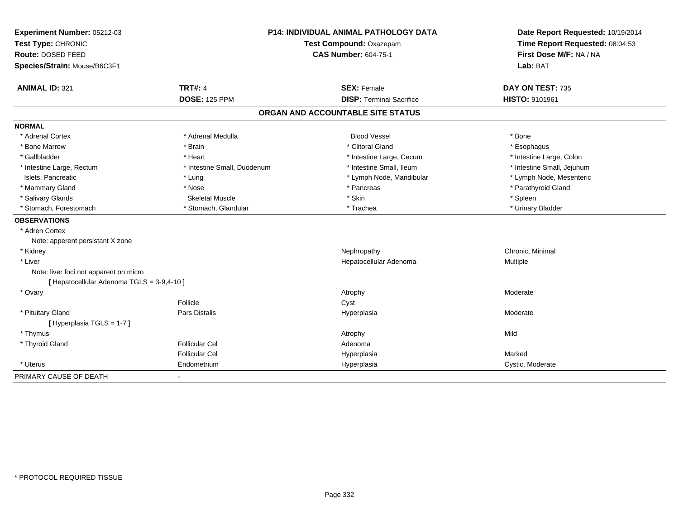| Experiment Number: 05212-03<br>Test Type: CHRONIC<br>Route: DOSED FEED<br>Species/Strain: Mouse/B6C3F1 |                             | P14: INDIVIDUAL ANIMAL PATHOLOGY DATA<br>Test Compound: Oxazepam<br><b>CAS Number: 604-75-1</b> | Date Report Requested: 10/19/2014<br>Time Report Requested: 08:04:53<br>First Dose M/F: NA / NA<br>Lab: BAT |
|--------------------------------------------------------------------------------------------------------|-----------------------------|-------------------------------------------------------------------------------------------------|-------------------------------------------------------------------------------------------------------------|
| <b>ANIMAL ID: 321</b>                                                                                  | <b>TRT#: 4</b>              | <b>SEX: Female</b>                                                                              | DAY ON TEST: 735                                                                                            |
|                                                                                                        | <b>DOSE: 125 PPM</b>        | <b>DISP: Terminal Sacrifice</b>                                                                 | HISTO: 9101961                                                                                              |
|                                                                                                        |                             | ORGAN AND ACCOUNTABLE SITE STATUS                                                               |                                                                                                             |
| <b>NORMAL</b>                                                                                          |                             |                                                                                                 |                                                                                                             |
| * Adrenal Cortex                                                                                       | * Adrenal Medulla           | <b>Blood Vessel</b>                                                                             | * Bone                                                                                                      |
| * Bone Marrow                                                                                          | * Brain                     | * Clitoral Gland                                                                                | * Esophagus                                                                                                 |
| * Gallbladder                                                                                          | * Heart                     | * Intestine Large, Cecum                                                                        | * Intestine Large, Colon                                                                                    |
| * Intestine Large, Rectum                                                                              | * Intestine Small, Duodenum | * Intestine Small, Ileum                                                                        | * Intestine Small, Jejunum                                                                                  |
| Islets, Pancreatic                                                                                     | $*$ Lung                    | * Lymph Node, Mandibular                                                                        | * Lymph Node, Mesenteric                                                                                    |
| * Mammary Gland                                                                                        | * Nose                      | * Pancreas                                                                                      | * Parathyroid Gland                                                                                         |
| * Salivary Glands                                                                                      | <b>Skeletal Muscle</b>      | * Skin                                                                                          | * Spleen                                                                                                    |
| * Stomach, Forestomach                                                                                 | * Stomach, Glandular        | * Trachea                                                                                       | * Urinary Bladder                                                                                           |
| <b>OBSERVATIONS</b>                                                                                    |                             |                                                                                                 |                                                                                                             |
| * Adren Cortex                                                                                         |                             |                                                                                                 |                                                                                                             |
| Note: apperent persistant X zone                                                                       |                             |                                                                                                 |                                                                                                             |
| * Kidney                                                                                               |                             | Nephropathy                                                                                     | Chronic, Minimal                                                                                            |
| * Liver                                                                                                |                             | Hepatocellular Adenoma                                                                          | Multiple                                                                                                    |
| Note: liver foci not apparent on micro<br>[ Hepatocellular Adenoma TGLS = 3-9,4-10 ]                   |                             |                                                                                                 |                                                                                                             |
| * Ovary                                                                                                |                             | Atrophy                                                                                         | Moderate                                                                                                    |
|                                                                                                        | Follicle                    | Cyst                                                                                            |                                                                                                             |
| * Pituitary Gland<br>[Hyperplasia TGLS = 1-7]                                                          | <b>Pars Distalis</b>        | Hyperplasia                                                                                     | Moderate                                                                                                    |
| * Thymus                                                                                               |                             |                                                                                                 | Mild                                                                                                        |
| * Thyroid Gland                                                                                        | <b>Follicular Cel</b>       | Atrophy                                                                                         |                                                                                                             |
|                                                                                                        | <b>Follicular Cel</b>       | Adenoma                                                                                         | Marked                                                                                                      |
| * Uterus                                                                                               | Endometrium                 | Hyperplasia                                                                                     |                                                                                                             |
|                                                                                                        |                             | Hyperplasia                                                                                     | Cystic, Moderate                                                                                            |
| PRIMARY CAUSE OF DEATH                                                                                 | $\blacksquare$              |                                                                                                 |                                                                                                             |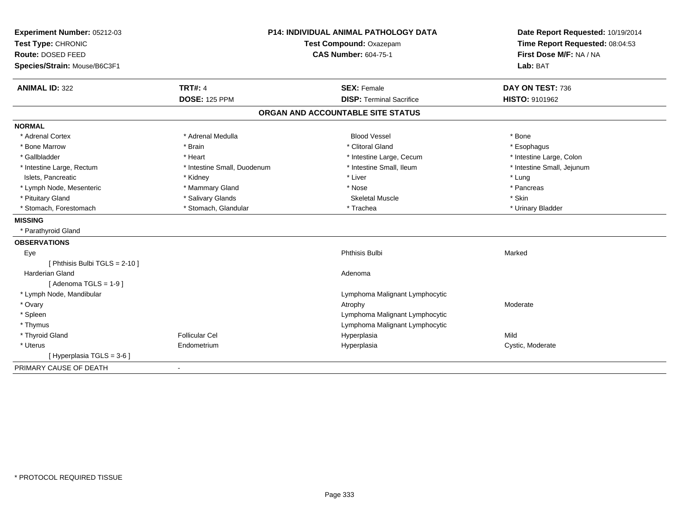| Experiment Number: 05212-03<br>Test Type: CHRONIC<br>Route: DOSED FEED | <b>P14: INDIVIDUAL ANIMAL PATHOLOGY DATA</b><br>Test Compound: Oxazepam<br><b>CAS Number: 604-75-1</b> |                                   | Date Report Requested: 10/19/2014<br>Time Report Requested: 08:04:53<br>First Dose M/F: NA / NA |  |
|------------------------------------------------------------------------|--------------------------------------------------------------------------------------------------------|-----------------------------------|-------------------------------------------------------------------------------------------------|--|
| Species/Strain: Mouse/B6C3F1                                           |                                                                                                        |                                   | Lab: BAT                                                                                        |  |
| <b>ANIMAL ID: 322</b>                                                  | <b>TRT#: 4</b>                                                                                         | <b>SEX: Female</b>                | DAY ON TEST: 736                                                                                |  |
|                                                                        | <b>DOSE: 125 PPM</b>                                                                                   | <b>DISP: Terminal Sacrifice</b>   | HISTO: 9101962                                                                                  |  |
|                                                                        |                                                                                                        | ORGAN AND ACCOUNTABLE SITE STATUS |                                                                                                 |  |
| <b>NORMAL</b>                                                          |                                                                                                        |                                   |                                                                                                 |  |
| * Adrenal Cortex                                                       | * Adrenal Medulla                                                                                      | <b>Blood Vessel</b>               | * Bone                                                                                          |  |
| * Bone Marrow                                                          | * Brain                                                                                                | * Clitoral Gland                  | * Esophagus                                                                                     |  |
| * Gallbladder                                                          | * Heart                                                                                                | * Intestine Large, Cecum          | * Intestine Large, Colon                                                                        |  |
| * Intestine Large, Rectum                                              | * Intestine Small, Duodenum                                                                            | * Intestine Small, Ileum          | * Intestine Small, Jejunum                                                                      |  |
| Islets, Pancreatic                                                     | * Kidney                                                                                               | * Liver                           | * Lung                                                                                          |  |
| * Lymph Node, Mesenteric                                               | * Mammary Gland                                                                                        | * Nose                            | * Pancreas                                                                                      |  |
| * Pituitary Gland                                                      | * Salivary Glands                                                                                      | <b>Skeletal Muscle</b>            | * Skin                                                                                          |  |
| * Stomach, Forestomach                                                 | * Stomach, Glandular                                                                                   | * Trachea                         | * Urinary Bladder                                                                               |  |
| <b>MISSING</b>                                                         |                                                                                                        |                                   |                                                                                                 |  |
| * Parathyroid Gland                                                    |                                                                                                        |                                   |                                                                                                 |  |
| <b>OBSERVATIONS</b>                                                    |                                                                                                        |                                   |                                                                                                 |  |
| Eye                                                                    |                                                                                                        | <b>Phthisis Bulbi</b>             | Marked                                                                                          |  |
| [ Phthisis Bulbi TGLS = 2-10 ]                                         |                                                                                                        |                                   |                                                                                                 |  |
| <b>Harderian Gland</b>                                                 |                                                                                                        | Adenoma                           |                                                                                                 |  |
| [Adenoma TGLS = $1-9$ ]                                                |                                                                                                        |                                   |                                                                                                 |  |
| * Lymph Node, Mandibular                                               |                                                                                                        | Lymphoma Malignant Lymphocytic    |                                                                                                 |  |
| * Ovary                                                                |                                                                                                        | Atrophy                           | Moderate                                                                                        |  |
| * Spleen                                                               |                                                                                                        | Lymphoma Malignant Lymphocytic    |                                                                                                 |  |
| * Thymus                                                               |                                                                                                        | Lymphoma Malignant Lymphocytic    |                                                                                                 |  |
| * Thyroid Gland                                                        | <b>Follicular Cel</b>                                                                                  | Hyperplasia                       | Mild                                                                                            |  |
| * Uterus                                                               | Endometrium                                                                                            | Hyperplasia                       | Cystic, Moderate                                                                                |  |
| [ Hyperplasia TGLS = 3-6 ]                                             |                                                                                                        |                                   |                                                                                                 |  |
| PRIMARY CAUSE OF DEATH                                                 |                                                                                                        |                                   |                                                                                                 |  |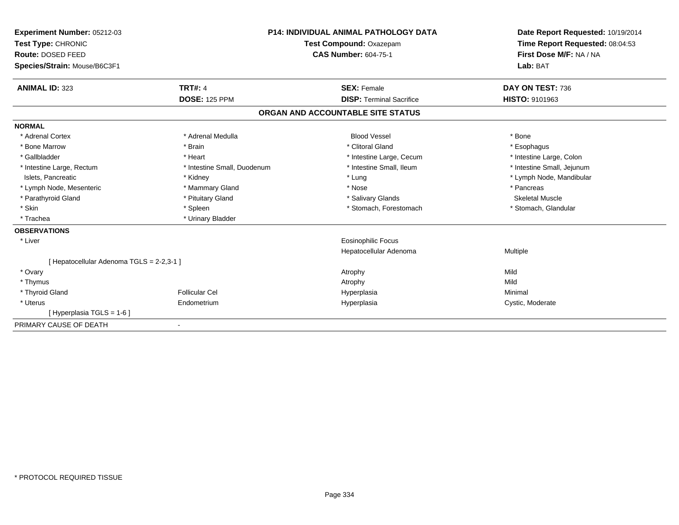| Experiment Number: 05212-03<br>Test Type: CHRONIC<br>Route: DOSED FEED |                             | <b>P14: INDIVIDUAL ANIMAL PATHOLOGY DATA</b><br>Test Compound: Oxazepam<br><b>CAS Number: 604-75-1</b> | Date Report Requested: 10/19/2014<br>Time Report Requested: 08:04:53<br>First Dose M/F: NA / NA |
|------------------------------------------------------------------------|-----------------------------|--------------------------------------------------------------------------------------------------------|-------------------------------------------------------------------------------------------------|
| Species/Strain: Mouse/B6C3F1                                           |                             |                                                                                                        | Lab: BAT                                                                                        |
| <b>ANIMAL ID: 323</b>                                                  | <b>TRT#: 4</b>              | <b>SEX: Female</b>                                                                                     | DAY ON TEST: 736                                                                                |
|                                                                        | <b>DOSE: 125 PPM</b>        | <b>DISP: Terminal Sacrifice</b>                                                                        | HISTO: 9101963                                                                                  |
|                                                                        |                             | ORGAN AND ACCOUNTABLE SITE STATUS                                                                      |                                                                                                 |
| <b>NORMAL</b>                                                          |                             |                                                                                                        |                                                                                                 |
| * Adrenal Cortex                                                       | * Adrenal Medulla           | <b>Blood Vessel</b>                                                                                    | * Bone                                                                                          |
| * Bone Marrow                                                          | * Brain                     | * Clitoral Gland                                                                                       | * Esophagus                                                                                     |
| * Gallbladder                                                          | * Heart                     | * Intestine Large, Cecum                                                                               | * Intestine Large, Colon                                                                        |
| * Intestine Large, Rectum                                              | * Intestine Small, Duodenum | * Intestine Small, Ileum                                                                               | * Intestine Small, Jejunum                                                                      |
| Islets, Pancreatic                                                     | * Kidney                    | * Lung                                                                                                 | * Lymph Node, Mandibular                                                                        |
| * Lymph Node, Mesenteric                                               | * Mammary Gland             | * Nose                                                                                                 | * Pancreas                                                                                      |
| * Parathyroid Gland                                                    | * Pituitary Gland           | * Salivary Glands                                                                                      | <b>Skeletal Muscle</b>                                                                          |
| * Skin                                                                 | * Spleen                    | * Stomach, Forestomach                                                                                 | * Stomach, Glandular                                                                            |
| * Trachea                                                              | * Urinary Bladder           |                                                                                                        |                                                                                                 |
| <b>OBSERVATIONS</b>                                                    |                             |                                                                                                        |                                                                                                 |
| * Liver                                                                |                             | <b>Eosinophilic Focus</b>                                                                              |                                                                                                 |
|                                                                        |                             | Hepatocellular Adenoma                                                                                 | Multiple                                                                                        |
| [Hepatocellular Adenoma TGLS = 2-2,3-1]                                |                             |                                                                                                        |                                                                                                 |
| * Ovary                                                                |                             | Atrophy                                                                                                | Mild                                                                                            |
| * Thymus                                                               |                             | Atrophy                                                                                                | Mild                                                                                            |
| * Thyroid Gland                                                        | <b>Follicular Cel</b>       | Hyperplasia                                                                                            | Minimal                                                                                         |
| * Uterus                                                               | Endometrium                 | Hyperplasia                                                                                            | Cystic, Moderate                                                                                |
| [Hyperplasia TGLS = 1-6]                                               |                             |                                                                                                        |                                                                                                 |
| PRIMARY CAUSE OF DEATH                                                 | $\overline{\phantom{a}}$    |                                                                                                        |                                                                                                 |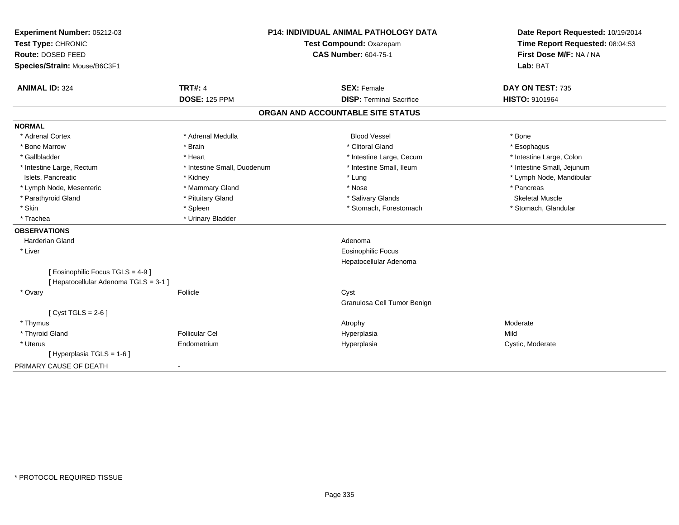| Experiment Number: 05212-03<br>Test Type: CHRONIC<br>Route: DOSED FEED<br>Species/Strain: Mouse/B6C3F1 |                             | <b>P14: INDIVIDUAL ANIMAL PATHOLOGY DATA</b><br>Test Compound: Oxazepam<br><b>CAS Number: 604-75-1</b> | Date Report Requested: 10/19/2014<br>Time Report Requested: 08:04:53<br>First Dose M/F: NA / NA<br>Lab: BAT |  |
|--------------------------------------------------------------------------------------------------------|-----------------------------|--------------------------------------------------------------------------------------------------------|-------------------------------------------------------------------------------------------------------------|--|
| <b>ANIMAL ID: 324</b>                                                                                  | <b>TRT#: 4</b>              | <b>SEX: Female</b>                                                                                     | DAY ON TEST: 735                                                                                            |  |
|                                                                                                        | <b>DOSE: 125 PPM</b>        | <b>DISP: Terminal Sacrifice</b>                                                                        | HISTO: 9101964                                                                                              |  |
|                                                                                                        |                             | ORGAN AND ACCOUNTABLE SITE STATUS                                                                      |                                                                                                             |  |
| <b>NORMAL</b>                                                                                          |                             |                                                                                                        |                                                                                                             |  |
| * Adrenal Cortex                                                                                       | * Adrenal Medulla           | <b>Blood Vessel</b>                                                                                    | * Bone                                                                                                      |  |
| * Bone Marrow                                                                                          | * Brain                     | * Clitoral Gland                                                                                       | * Esophagus                                                                                                 |  |
| * Gallbladder                                                                                          | * Heart                     | * Intestine Large, Cecum                                                                               | * Intestine Large, Colon                                                                                    |  |
| * Intestine Large, Rectum                                                                              | * Intestine Small, Duodenum | * Intestine Small, Ileum                                                                               | * Intestine Small, Jejunum                                                                                  |  |
| Islets, Pancreatic                                                                                     | * Kidney                    | * Lung                                                                                                 | * Lymph Node, Mandibular                                                                                    |  |
| * Lymph Node, Mesenteric                                                                               | * Mammary Gland             | * Nose                                                                                                 | * Pancreas                                                                                                  |  |
| * Parathyroid Gland                                                                                    | * Pituitary Gland           | * Salivary Glands                                                                                      | Skeletal Muscle                                                                                             |  |
| * Skin                                                                                                 | * Spleen                    | * Stomach, Forestomach                                                                                 | * Stomach, Glandular                                                                                        |  |
| * Trachea                                                                                              | * Urinary Bladder           |                                                                                                        |                                                                                                             |  |
| <b>OBSERVATIONS</b>                                                                                    |                             |                                                                                                        |                                                                                                             |  |
| Harderian Gland                                                                                        |                             | Adenoma                                                                                                |                                                                                                             |  |
| * Liver                                                                                                |                             | <b>Eosinophilic Focus</b>                                                                              |                                                                                                             |  |
|                                                                                                        |                             | Hepatocellular Adenoma                                                                                 |                                                                                                             |  |
| [ Eosinophilic Focus TGLS = 4-9 ]<br>[ Hepatocellular Adenoma TGLS = 3-1 ]                             |                             |                                                                                                        |                                                                                                             |  |
| * Ovary                                                                                                | Follicle                    | Cyst                                                                                                   |                                                                                                             |  |
|                                                                                                        |                             | Granulosa Cell Tumor Benign                                                                            |                                                                                                             |  |
| [ $Cyst TGLS = 2-6$ ]                                                                                  |                             |                                                                                                        |                                                                                                             |  |
| * Thymus                                                                                               |                             | Atrophy                                                                                                | Moderate                                                                                                    |  |
| * Thyroid Gland                                                                                        | Follicular Cel              | Hyperplasia                                                                                            | Mild                                                                                                        |  |
| * Uterus                                                                                               | Endometrium                 | Hyperplasia                                                                                            | Cystic, Moderate                                                                                            |  |
| [ Hyperplasia TGLS = 1-6 ]                                                                             |                             |                                                                                                        |                                                                                                             |  |
| PRIMARY CAUSE OF DEATH                                                                                 | $\sim$                      |                                                                                                        |                                                                                                             |  |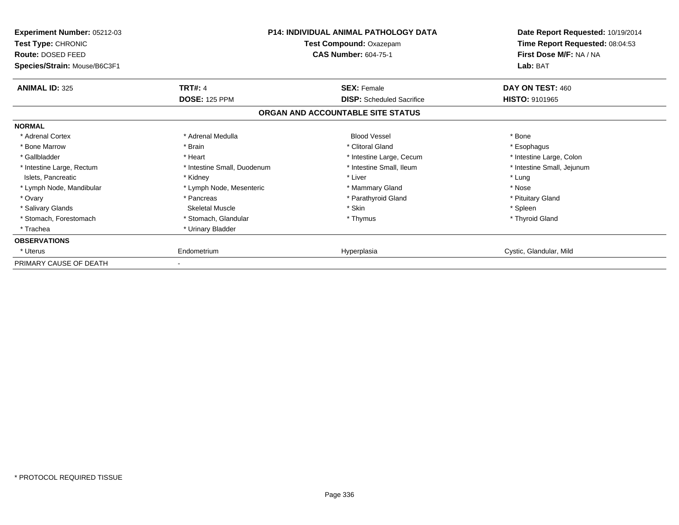| Experiment Number: 05212-03<br><b>Test Type: CHRONIC</b><br>Route: DOSED FEED<br>Species/Strain: Mouse/B6C3F1 |                             | <b>P14: INDIVIDUAL ANIMAL PATHOLOGY DATA</b><br>Test Compound: Oxazepam<br><b>CAS Number: 604-75-1</b> | Date Report Requested: 10/19/2014<br>Time Report Requested: 08:04:53<br>First Dose M/F: NA / NA<br>Lab: BAT |  |
|---------------------------------------------------------------------------------------------------------------|-----------------------------|--------------------------------------------------------------------------------------------------------|-------------------------------------------------------------------------------------------------------------|--|
| <b>ANIMAL ID: 325</b>                                                                                         | <b>TRT#: 4</b>              | <b>SEX: Female</b>                                                                                     | DAY ON TEST: 460                                                                                            |  |
|                                                                                                               | <b>DOSE: 125 PPM</b>        | <b>DISP:</b> Scheduled Sacrifice                                                                       | <b>HISTO: 9101965</b>                                                                                       |  |
|                                                                                                               |                             | ORGAN AND ACCOUNTABLE SITE STATUS                                                                      |                                                                                                             |  |
| <b>NORMAL</b>                                                                                                 |                             |                                                                                                        |                                                                                                             |  |
| * Adrenal Cortex                                                                                              | * Adrenal Medulla           | <b>Blood Vessel</b>                                                                                    | * Bone                                                                                                      |  |
| * Bone Marrow                                                                                                 | * Brain                     | * Clitoral Gland                                                                                       | * Esophagus                                                                                                 |  |
| * Gallbladder                                                                                                 | * Heart                     | * Intestine Large, Cecum                                                                               | * Intestine Large, Colon                                                                                    |  |
| * Intestine Large, Rectum                                                                                     | * Intestine Small, Duodenum | * Intestine Small, Ileum                                                                               | * Intestine Small, Jejunum                                                                                  |  |
| Islets, Pancreatic                                                                                            | * Kidney                    | * Liver                                                                                                | * Lung                                                                                                      |  |
| * Lymph Node, Mandibular                                                                                      | * Lymph Node, Mesenteric    | * Mammary Gland                                                                                        | * Nose                                                                                                      |  |
| * Ovary                                                                                                       | * Pancreas                  | * Parathyroid Gland                                                                                    | * Pituitary Gland                                                                                           |  |
| * Salivary Glands                                                                                             | Skeletal Muscle             | * Skin                                                                                                 | * Spleen                                                                                                    |  |
| * Stomach, Forestomach                                                                                        | * Stomach, Glandular        | * Thymus                                                                                               | * Thyroid Gland                                                                                             |  |
| * Trachea                                                                                                     | * Urinary Bladder           |                                                                                                        |                                                                                                             |  |
| <b>OBSERVATIONS</b>                                                                                           |                             |                                                                                                        |                                                                                                             |  |
| * Uterus                                                                                                      | Endometrium                 | Hyperplasia                                                                                            | Cystic, Glandular, Mild                                                                                     |  |
| PRIMARY CAUSE OF DEATH                                                                                        |                             |                                                                                                        |                                                                                                             |  |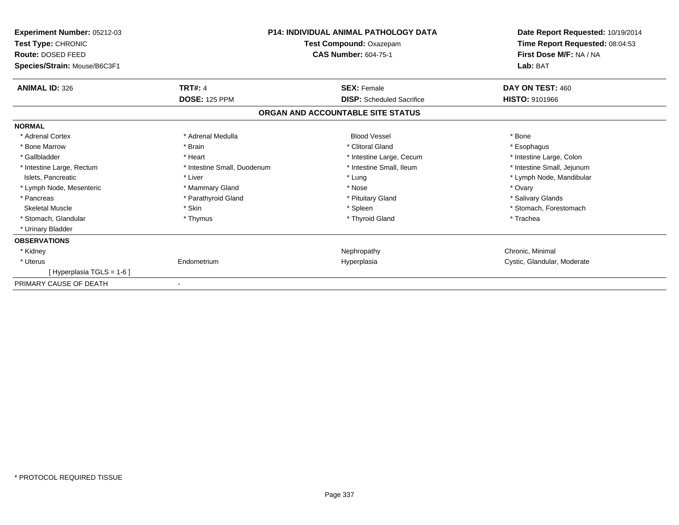| Experiment Number: 05212-03  |                             | <b>P14: INDIVIDUAL ANIMAL PATHOLOGY DATA</b> | Date Report Requested: 10/19/2014 |
|------------------------------|-----------------------------|----------------------------------------------|-----------------------------------|
| Test Type: CHRONIC           | Test Compound: Oxazepam     |                                              | Time Report Requested: 08:04:53   |
| Route: DOSED FEED            |                             | <b>CAS Number: 604-75-1</b>                  | First Dose M/F: NA / NA           |
| Species/Strain: Mouse/B6C3F1 |                             |                                              | Lab: BAT                          |
| <b>ANIMAL ID: 326</b>        | <b>TRT#: 4</b>              | <b>SEX: Female</b>                           | DAY ON TEST: 460                  |
|                              | <b>DOSE: 125 PPM</b>        | <b>DISP:</b> Scheduled Sacrifice             | <b>HISTO: 9101966</b>             |
|                              |                             | ORGAN AND ACCOUNTABLE SITE STATUS            |                                   |
| <b>NORMAL</b>                |                             |                                              |                                   |
| * Adrenal Cortex             | * Adrenal Medulla           | <b>Blood Vessel</b>                          | * Bone                            |
| * Bone Marrow                | * Brain                     | * Clitoral Gland                             | * Esophagus                       |
| * Gallbladder                | * Heart                     | * Intestine Large, Cecum                     | * Intestine Large, Colon          |
| * Intestine Large, Rectum    | * Intestine Small, Duodenum | * Intestine Small, Ileum                     | * Intestine Small, Jejunum        |
| Islets, Pancreatic           | * Liver                     | * Lung                                       | * Lymph Node, Mandibular          |
| * Lymph Node, Mesenteric     | * Mammary Gland             | * Nose                                       | * Ovary                           |
| * Pancreas                   | * Parathyroid Gland         | * Pituitary Gland                            | * Salivary Glands                 |
| <b>Skeletal Muscle</b>       | * Skin                      | * Spleen                                     | * Stomach, Forestomach            |
| * Stomach, Glandular         | * Thymus                    | * Thyroid Gland                              | * Trachea                         |
| * Urinary Bladder            |                             |                                              |                                   |
| <b>OBSERVATIONS</b>          |                             |                                              |                                   |
| * Kidney                     |                             | Nephropathy                                  | Chronic, Minimal                  |
| * Uterus                     | Endometrium                 | Hyperplasia                                  | Cystic, Glandular, Moderate       |
| [ Hyperplasia TGLS = 1-6 ]   |                             |                                              |                                   |
| PRIMARY CAUSE OF DEATH       |                             |                                              |                                   |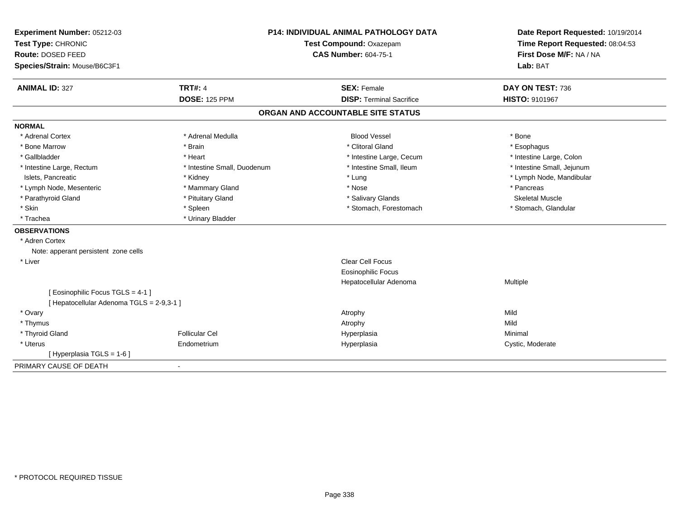| Experiment Number: 05212-03<br>Test Type: CHRONIC<br>Route: DOSED FEED<br>Species/Strain: Mouse/B6C3F1 |                             | <b>P14: INDIVIDUAL ANIMAL PATHOLOGY DATA</b><br>Test Compound: Oxazepam<br><b>CAS Number: 604-75-1</b> | Date Report Requested: 10/19/2014<br>Time Report Requested: 08:04:53<br>First Dose M/F: NA / NA<br>Lab: BAT |  |
|--------------------------------------------------------------------------------------------------------|-----------------------------|--------------------------------------------------------------------------------------------------------|-------------------------------------------------------------------------------------------------------------|--|
| <b>ANIMAL ID: 327</b>                                                                                  | <b>TRT#: 4</b>              | <b>SEX: Female</b>                                                                                     | DAY ON TEST: 736                                                                                            |  |
|                                                                                                        | <b>DOSE: 125 PPM</b>        | <b>DISP: Terminal Sacrifice</b>                                                                        | HISTO: 9101967                                                                                              |  |
|                                                                                                        |                             | ORGAN AND ACCOUNTABLE SITE STATUS                                                                      |                                                                                                             |  |
| <b>NORMAL</b>                                                                                          |                             |                                                                                                        |                                                                                                             |  |
| * Adrenal Cortex                                                                                       | * Adrenal Medulla           | <b>Blood Vessel</b>                                                                                    | * Bone                                                                                                      |  |
| * Bone Marrow                                                                                          | * Brain                     | * Clitoral Gland                                                                                       | * Esophagus                                                                                                 |  |
| * Gallbladder                                                                                          | * Heart                     | * Intestine Large, Cecum                                                                               | * Intestine Large, Colon                                                                                    |  |
| * Intestine Large, Rectum                                                                              | * Intestine Small, Duodenum | * Intestine Small, Ileum                                                                               | * Intestine Small, Jejunum                                                                                  |  |
| Islets, Pancreatic                                                                                     | * Kidney                    | * Lung                                                                                                 | * Lymph Node, Mandibular                                                                                    |  |
| * Lymph Node, Mesenteric                                                                               | * Mammary Gland             | * Nose                                                                                                 | * Pancreas                                                                                                  |  |
| * Parathyroid Gland                                                                                    | * Pituitary Gland           | * Salivary Glands                                                                                      | Skeletal Muscle                                                                                             |  |
| * Skin                                                                                                 | * Spleen                    | * Stomach, Forestomach                                                                                 | * Stomach, Glandular                                                                                        |  |
| * Trachea                                                                                              | * Urinary Bladder           |                                                                                                        |                                                                                                             |  |
| <b>OBSERVATIONS</b>                                                                                    |                             |                                                                                                        |                                                                                                             |  |
| * Adren Cortex                                                                                         |                             |                                                                                                        |                                                                                                             |  |
| Note: apperant persistent zone cells                                                                   |                             |                                                                                                        |                                                                                                             |  |
| * Liver                                                                                                |                             | <b>Clear Cell Focus</b>                                                                                |                                                                                                             |  |
|                                                                                                        |                             | <b>Eosinophilic Focus</b>                                                                              |                                                                                                             |  |
|                                                                                                        |                             | Hepatocellular Adenoma                                                                                 | Multiple                                                                                                    |  |
| [ Eosinophilic Focus TGLS = 4-1 ]                                                                      |                             |                                                                                                        |                                                                                                             |  |
| [ Hepatocellular Adenoma TGLS = 2-9,3-1 ]                                                              |                             |                                                                                                        |                                                                                                             |  |
| * Ovary                                                                                                |                             | Atrophy                                                                                                | Mild                                                                                                        |  |
| * Thymus                                                                                               |                             | Atrophy                                                                                                | Mild                                                                                                        |  |
| * Thyroid Gland                                                                                        | Follicular Cel              | Hyperplasia                                                                                            | Minimal                                                                                                     |  |
| * Uterus                                                                                               | Endometrium                 | Hyperplasia                                                                                            | Cystic, Moderate                                                                                            |  |
| [ Hyperplasia TGLS = 1-6 ]                                                                             |                             |                                                                                                        |                                                                                                             |  |
| PRIMARY CAUSE OF DEATH                                                                                 | $\sim$                      |                                                                                                        |                                                                                                             |  |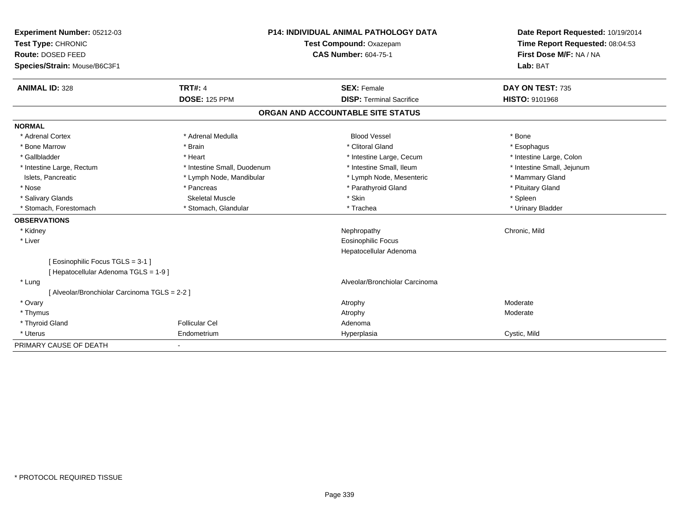| Experiment Number: 05212-03                   | <b>P14: INDIVIDUAL ANIMAL PATHOLOGY DATA</b> |  | Date Report Requested: 10/19/2014 |                            |  |
|-----------------------------------------------|----------------------------------------------|--|-----------------------------------|----------------------------|--|
| Test Type: CHRONIC                            | <b>Test Compound: Oxazepam</b>               |  | Time Report Requested: 08:04:53   |                            |  |
| Route: DOSED FEED                             |                                              |  | <b>CAS Number: 604-75-1</b>       | First Dose M/F: NA / NA    |  |
| Species/Strain: Mouse/B6C3F1                  |                                              |  |                                   | Lab: BAT                   |  |
| <b>ANIMAL ID: 328</b>                         | <b>TRT#: 4</b>                               |  | <b>SEX: Female</b>                | DAY ON TEST: 735           |  |
|                                               | <b>DOSE: 125 PPM</b>                         |  | <b>DISP: Terminal Sacrifice</b>   | <b>HISTO: 9101968</b>      |  |
|                                               |                                              |  | ORGAN AND ACCOUNTABLE SITE STATUS |                            |  |
| <b>NORMAL</b>                                 |                                              |  |                                   |                            |  |
| * Adrenal Cortex                              | * Adrenal Medulla                            |  | <b>Blood Vessel</b>               | * Bone                     |  |
| * Bone Marrow                                 | * Brain                                      |  | * Clitoral Gland                  | * Esophagus                |  |
| * Gallbladder                                 | * Heart                                      |  | * Intestine Large, Cecum          | * Intestine Large, Colon   |  |
| * Intestine Large, Rectum                     | * Intestine Small, Duodenum                  |  | * Intestine Small, Ileum          | * Intestine Small, Jejunum |  |
| Islets, Pancreatic                            | * Lymph Node, Mandibular                     |  | * Lymph Node, Mesenteric          | * Mammary Gland            |  |
| * Nose                                        | * Pancreas                                   |  | * Parathyroid Gland               | * Pituitary Gland          |  |
| * Salivary Glands                             | <b>Skeletal Muscle</b>                       |  | * Skin                            | * Spleen                   |  |
| * Stomach, Forestomach                        | * Stomach, Glandular                         |  | * Trachea                         | * Urinary Bladder          |  |
| <b>OBSERVATIONS</b>                           |                                              |  |                                   |                            |  |
| * Kidney                                      |                                              |  | Nephropathy                       | Chronic, Mild              |  |
| * Liver                                       |                                              |  | <b>Eosinophilic Focus</b>         |                            |  |
|                                               |                                              |  | Hepatocellular Adenoma            |                            |  |
| [ Eosinophilic Focus TGLS = 3-1 ]             |                                              |  |                                   |                            |  |
| [ Hepatocellular Adenoma TGLS = 1-9]          |                                              |  |                                   |                            |  |
| * Lung                                        |                                              |  | Alveolar/Bronchiolar Carcinoma    |                            |  |
| [ Alveolar/Bronchiolar Carcinoma TGLS = 2-2 ] |                                              |  |                                   |                            |  |
| * Ovary                                       |                                              |  | Atrophy                           | Moderate                   |  |
| * Thymus                                      |                                              |  | Atrophy                           | Moderate                   |  |
| * Thyroid Gland                               | <b>Follicular Cel</b>                        |  | Adenoma                           |                            |  |
| * Uterus                                      | Endometrium                                  |  | Hyperplasia                       | Cystic, Mild               |  |
| PRIMARY CAUSE OF DEATH                        |                                              |  |                                   |                            |  |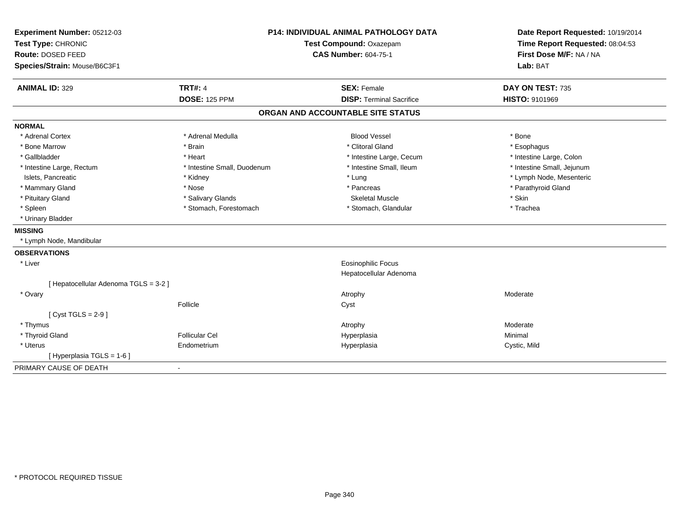| Experiment Number: 05212-03<br>Test Type: CHRONIC<br>Route: DOSED FEED<br>Species/Strain: Mouse/B6C3F1 | <b>P14: INDIVIDUAL ANIMAL PATHOLOGY DATA</b><br><b>Test Compound: Oxazepam</b><br><b>CAS Number: 604-75-1</b> |                                   | Date Report Requested: 10/19/2014<br>Time Report Requested: 08:04:53<br>First Dose M/F: NA / NA<br>Lab: BAT |  |
|--------------------------------------------------------------------------------------------------------|---------------------------------------------------------------------------------------------------------------|-----------------------------------|-------------------------------------------------------------------------------------------------------------|--|
| <b>ANIMAL ID: 329</b>                                                                                  | <b>TRT#: 4</b>                                                                                                | <b>SEX: Female</b>                | DAY ON TEST: 735                                                                                            |  |
|                                                                                                        | <b>DOSE: 125 PPM</b>                                                                                          | <b>DISP: Terminal Sacrifice</b>   | HISTO: 9101969                                                                                              |  |
|                                                                                                        |                                                                                                               | ORGAN AND ACCOUNTABLE SITE STATUS |                                                                                                             |  |
| <b>NORMAL</b>                                                                                          |                                                                                                               |                                   |                                                                                                             |  |
| * Adrenal Cortex                                                                                       | * Adrenal Medulla                                                                                             | <b>Blood Vessel</b>               | * Bone                                                                                                      |  |
| * Bone Marrow                                                                                          | * Brain                                                                                                       | * Clitoral Gland                  | * Esophagus                                                                                                 |  |
| * Gallbladder                                                                                          | * Heart                                                                                                       | * Intestine Large, Cecum          | * Intestine Large, Colon                                                                                    |  |
| * Intestine Large, Rectum                                                                              | * Intestine Small, Duodenum                                                                                   | * Intestine Small, Ileum          | * Intestine Small, Jejunum                                                                                  |  |
| Islets, Pancreatic                                                                                     | * Kidney                                                                                                      | * Lung                            | * Lymph Node, Mesenteric                                                                                    |  |
| * Mammary Gland                                                                                        | * Nose                                                                                                        | * Pancreas                        | * Parathyroid Gland                                                                                         |  |
| * Pituitary Gland                                                                                      | * Salivary Glands                                                                                             | <b>Skeletal Muscle</b>            | * Skin                                                                                                      |  |
| * Spleen                                                                                               | * Stomach, Forestomach                                                                                        | * Stomach, Glandular              | * Trachea                                                                                                   |  |
| * Urinary Bladder                                                                                      |                                                                                                               |                                   |                                                                                                             |  |
| <b>MISSING</b>                                                                                         |                                                                                                               |                                   |                                                                                                             |  |
| * Lymph Node, Mandibular                                                                               |                                                                                                               |                                   |                                                                                                             |  |
| <b>OBSERVATIONS</b>                                                                                    |                                                                                                               |                                   |                                                                                                             |  |
| * Liver                                                                                                |                                                                                                               | <b>Eosinophilic Focus</b>         |                                                                                                             |  |
|                                                                                                        |                                                                                                               | Hepatocellular Adenoma            |                                                                                                             |  |
| [ Hepatocellular Adenoma TGLS = 3-2 ]                                                                  |                                                                                                               |                                   |                                                                                                             |  |
| * Ovary                                                                                                |                                                                                                               | Atrophy                           | Moderate                                                                                                    |  |
|                                                                                                        | Follicle                                                                                                      | Cyst                              |                                                                                                             |  |
| [Cyst TGLS = $2-9$ ]                                                                                   |                                                                                                               |                                   |                                                                                                             |  |
| * Thymus                                                                                               |                                                                                                               | Atrophy                           | Moderate                                                                                                    |  |
| * Thyroid Gland                                                                                        | <b>Follicular Cel</b>                                                                                         | Hyperplasia                       | Minimal                                                                                                     |  |
| * Uterus                                                                                               | Endometrium                                                                                                   | Hyperplasia                       | Cystic, Mild                                                                                                |  |
| [Hyperplasia TGLS = 1-6]                                                                               |                                                                                                               |                                   |                                                                                                             |  |
| PRIMARY CAUSE OF DEATH                                                                                 | $\sim$                                                                                                        |                                   |                                                                                                             |  |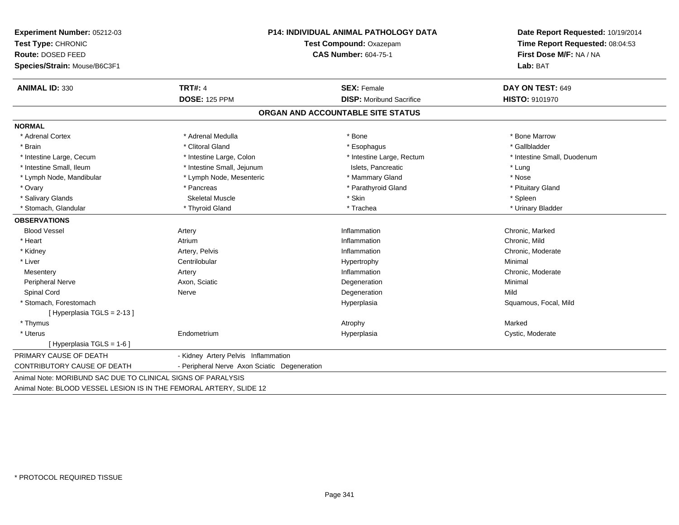| Experiment Number: 05212-03  | <b>P14: INDIVIDUAL ANIMAL PATHOLOGY DATA</b> | Date Report Requested: 10/19/2014 |                             |  |
|------------------------------|----------------------------------------------|-----------------------------------|-----------------------------|--|
| Test Type: CHRONIC           | Test Compound: Oxazepam                      | Time Report Requested: 08:04:53   |                             |  |
| Route: DOSED FEED            |                                              | <b>CAS Number: 604-75-1</b>       | First Dose M/F: NA / NA     |  |
| Species/Strain: Mouse/B6C3F1 |                                              |                                   | Lab: BAT                    |  |
| <b>ANIMAL ID: 330</b>        | <b>TRT#: 4</b>                               | <b>SEX: Female</b>                | DAY ON TEST: 649            |  |
|                              | <b>DOSE: 125 PPM</b>                         | <b>DISP:</b> Moribund Sacrifice   | <b>HISTO: 9101970</b>       |  |
|                              |                                              | ORGAN AND ACCOUNTABLE SITE STATUS |                             |  |
| <b>NORMAL</b>                |                                              |                                   |                             |  |
| * Adrenal Cortex             | * Adrenal Medulla                            | * Bone                            | * Bone Marrow               |  |
| * Brain                      | * Clitoral Gland                             | * Esophagus                       | * Gallbladder               |  |
| * Intestine Large, Cecum     | * Intestine Large, Colon                     | * Intestine Large, Rectum         | * Intestine Small, Duodenum |  |
| * Intestine Small, Ileum     | * Intestine Small, Jejunum                   | Islets, Pancreatic                | * Lung                      |  |
| * Lymph Node, Mandibular     | * Lymph Node, Mesenteric                     | * Mammary Gland                   | * Nose                      |  |
| * Ovary                      | * Pancreas                                   | * Parathyroid Gland               | * Pituitary Gland           |  |
| * Salivary Glands            | <b>Skeletal Muscle</b>                       | * Skin                            | * Spleen                    |  |
| * Stomach, Glandular         | * Thyroid Gland                              | * Trachea                         | * Urinary Bladder           |  |
| <b>OBSERVATIONS</b>          |                                              |                                   |                             |  |
| <b>Blood Vessel</b>          | Artery                                       | Inflammation                      | Chronic, Marked             |  |
| * Heart                      | Atrium                                       | Inflammation                      | Chronic, Mild               |  |
| * Kidney                     | Artery, Pelvis                               | Inflammation                      | Chronic, Moderate           |  |
| * Liver                      | Centrilobular                                | Hypertrophy                       | Minimal                     |  |
| Mesentery                    | Artery                                       | Inflammation                      | Chronic, Moderate           |  |
| Peripheral Nerve             | Axon, Sciatic                                | Degeneration                      | Minimal                     |  |
| Spinal Cord                  | Nerve                                        | Degeneration                      | Mild                        |  |
| * Stomach, Forestomach       |                                              | Hyperplasia                       | Squamous, Focal, Mild       |  |
| [Hyperplasia TGLS = 2-13]    |                                              |                                   |                             |  |
| * Thymus                     |                                              | Atrophy                           | Marked                      |  |
| * Uterus                     | Endometrium                                  | Hyperplasia                       | Cystic, Moderate            |  |
| [Hyperplasia TGLS = $1-6$ ]  |                                              |                                   |                             |  |
| PRIMARY CAUSE OF DEATH       | - Kidney Artery Pelvis Inflammation          |                                   |                             |  |
| CONTRIBUTORY CAUSE OF DEATH  | - Peripheral Nerve Axon Sciatic Degeneration |                                   |                             |  |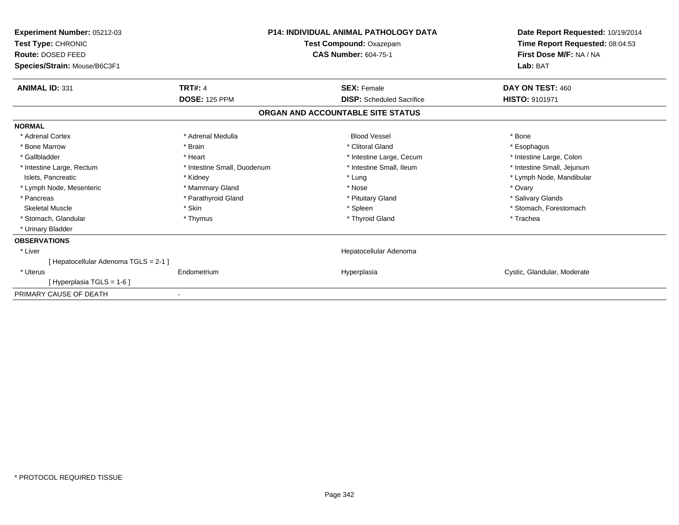| Experiment Number: 05212-03<br><b>Test Type: CHRONIC</b><br>Route: DOSED FEED<br>Species/Strain: Mouse/B6C3F1 |                             | <b>P14: INDIVIDUAL ANIMAL PATHOLOGY DATA</b><br>Test Compound: Oxazepam<br><b>CAS Number: 604-75-1</b> | Date Report Requested: 10/19/2014<br>Time Report Requested: 08:04:53<br>First Dose M/F: NA / NA<br>Lab: BAT |
|---------------------------------------------------------------------------------------------------------------|-----------------------------|--------------------------------------------------------------------------------------------------------|-------------------------------------------------------------------------------------------------------------|
| <b>ANIMAL ID: 331</b>                                                                                         | <b>TRT#: 4</b>              | <b>SEX: Female</b>                                                                                     | DAY ON TEST: 460                                                                                            |
|                                                                                                               | <b>DOSE: 125 PPM</b>        | <b>DISP:</b> Scheduled Sacrifice                                                                       | <b>HISTO: 9101971</b>                                                                                       |
|                                                                                                               |                             | ORGAN AND ACCOUNTABLE SITE STATUS                                                                      |                                                                                                             |
| <b>NORMAL</b>                                                                                                 |                             |                                                                                                        |                                                                                                             |
| * Adrenal Cortex                                                                                              | * Adrenal Medulla           | <b>Blood Vessel</b>                                                                                    | * Bone                                                                                                      |
| * Bone Marrow                                                                                                 | * Brain                     | * Clitoral Gland                                                                                       | * Esophagus                                                                                                 |
| * Gallbladder                                                                                                 | * Heart                     | * Intestine Large, Cecum                                                                               | * Intestine Large, Colon                                                                                    |
| * Intestine Large, Rectum                                                                                     | * Intestine Small, Duodenum | * Intestine Small, Ileum                                                                               | * Intestine Small, Jejunum                                                                                  |
| Islets, Pancreatic                                                                                            | * Kidney                    | * Lung                                                                                                 | * Lymph Node, Mandibular                                                                                    |
| * Lymph Node, Mesenteric                                                                                      | * Mammary Gland             | * Nose                                                                                                 | * Ovary                                                                                                     |
| * Pancreas                                                                                                    | * Parathyroid Gland         | * Pituitary Gland                                                                                      | * Salivary Glands                                                                                           |
| <b>Skeletal Muscle</b>                                                                                        | * Skin                      | * Spleen                                                                                               | * Stomach, Forestomach                                                                                      |
| * Stomach, Glandular                                                                                          | * Thymus                    | * Thyroid Gland                                                                                        | * Trachea                                                                                                   |
| * Urinary Bladder                                                                                             |                             |                                                                                                        |                                                                                                             |
| <b>OBSERVATIONS</b>                                                                                           |                             |                                                                                                        |                                                                                                             |
| * Liver                                                                                                       |                             | Hepatocellular Adenoma                                                                                 |                                                                                                             |
| [Hepatocellular Adenoma TGLS = 2-1]                                                                           |                             |                                                                                                        |                                                                                                             |
| * Uterus                                                                                                      | Endometrium                 | Hyperplasia                                                                                            | Cystic, Glandular, Moderate                                                                                 |
| [Hyperplasia TGLS = 1-6]                                                                                      |                             |                                                                                                        |                                                                                                             |
| PRIMARY CAUSE OF DEATH                                                                                        |                             |                                                                                                        |                                                                                                             |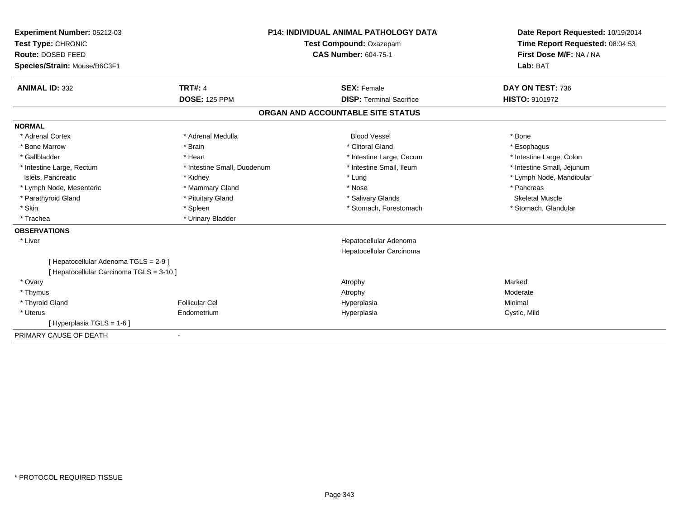| Experiment Number: 05212-03<br>Test Type: CHRONIC<br>Route: DOSED FEED<br>Species/Strain: Mouse/B6C3F1 |                             | <b>P14: INDIVIDUAL ANIMAL PATHOLOGY DATA</b><br>Test Compound: Oxazepam<br><b>CAS Number: 604-75-1</b> | Date Report Requested: 10/19/2014<br>Time Report Requested: 08:04:53<br>First Dose M/F: NA / NA<br>Lab: BAT |  |
|--------------------------------------------------------------------------------------------------------|-----------------------------|--------------------------------------------------------------------------------------------------------|-------------------------------------------------------------------------------------------------------------|--|
| <b>ANIMAL ID: 332</b>                                                                                  | <b>TRT#: 4</b>              | <b>SEX: Female</b>                                                                                     | DAY ON TEST: 736                                                                                            |  |
|                                                                                                        | <b>DOSE: 125 PPM</b>        | <b>DISP: Terminal Sacrifice</b>                                                                        | HISTO: 9101972                                                                                              |  |
|                                                                                                        |                             | ORGAN AND ACCOUNTABLE SITE STATUS                                                                      |                                                                                                             |  |
| <b>NORMAL</b>                                                                                          |                             |                                                                                                        |                                                                                                             |  |
| * Adrenal Cortex                                                                                       | * Adrenal Medulla           | <b>Blood Vessel</b>                                                                                    | * Bone                                                                                                      |  |
| * Bone Marrow                                                                                          | * Brain                     | * Clitoral Gland                                                                                       | * Esophagus                                                                                                 |  |
| * Gallbladder                                                                                          | * Heart                     | * Intestine Large, Cecum                                                                               | * Intestine Large, Colon                                                                                    |  |
| * Intestine Large, Rectum                                                                              | * Intestine Small, Duodenum | * Intestine Small. Ileum                                                                               | * Intestine Small, Jejunum                                                                                  |  |
| Islets, Pancreatic                                                                                     | * Kidney                    | * Lung                                                                                                 | * Lymph Node, Mandibular                                                                                    |  |
| * Lymph Node, Mesenteric                                                                               | * Mammary Gland             | * Nose                                                                                                 | * Pancreas                                                                                                  |  |
| * Parathyroid Gland                                                                                    | * Pituitary Gland           | * Salivary Glands                                                                                      | <b>Skeletal Muscle</b>                                                                                      |  |
| * Skin                                                                                                 | * Spleen                    | * Stomach, Forestomach                                                                                 | * Stomach, Glandular                                                                                        |  |
| * Trachea                                                                                              | * Urinary Bladder           |                                                                                                        |                                                                                                             |  |
| <b>OBSERVATIONS</b>                                                                                    |                             |                                                                                                        |                                                                                                             |  |
| * Liver                                                                                                |                             | Hepatocellular Adenoma                                                                                 |                                                                                                             |  |
|                                                                                                        |                             | Hepatocellular Carcinoma                                                                               |                                                                                                             |  |
| [ Hepatocellular Adenoma TGLS = 2-9 ]                                                                  |                             |                                                                                                        |                                                                                                             |  |
| [ Hepatocellular Carcinoma TGLS = 3-10 ]                                                               |                             |                                                                                                        |                                                                                                             |  |
| * Ovary                                                                                                |                             | Atrophy                                                                                                | Marked                                                                                                      |  |
| * Thymus                                                                                               |                             | Atrophy                                                                                                | Moderate                                                                                                    |  |
| * Thyroid Gland                                                                                        | <b>Follicular Cel</b>       | Hyperplasia                                                                                            | Minimal                                                                                                     |  |
| * Uterus                                                                                               | Endometrium                 | Hyperplasia                                                                                            | Cystic, Mild                                                                                                |  |
| [Hyperplasia TGLS = $1-6$ ]                                                                            |                             |                                                                                                        |                                                                                                             |  |
| PRIMARY CAUSE OF DEATH                                                                                 |                             |                                                                                                        |                                                                                                             |  |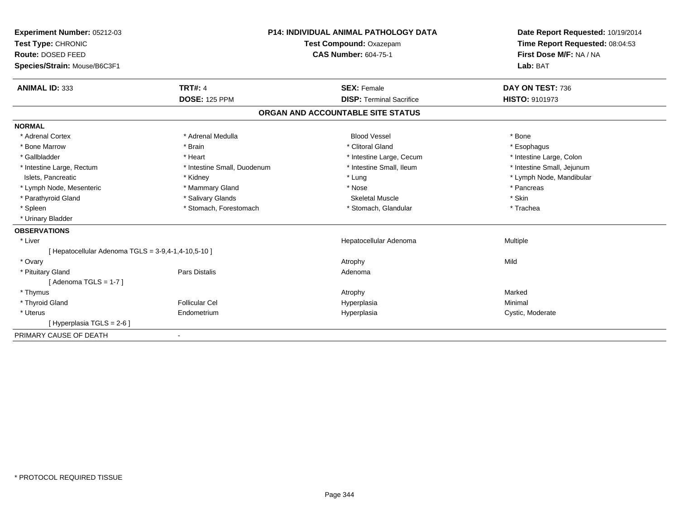| Experiment Number: 05212-03                         | <b>P14: INDIVIDUAL ANIMAL PATHOLOGY DATA</b> |                                   | Date Report Requested: 10/19/2014 |
|-----------------------------------------------------|----------------------------------------------|-----------------------------------|-----------------------------------|
| Test Type: CHRONIC                                  |                                              | Test Compound: Oxazepam           | Time Report Requested: 08:04:53   |
| Route: DOSED FEED                                   |                                              | <b>CAS Number: 604-75-1</b>       | First Dose M/F: NA / NA           |
| Species/Strain: Mouse/B6C3F1                        |                                              |                                   | Lab: BAT                          |
| <b>ANIMAL ID: 333</b>                               | <b>TRT#: 4</b>                               | <b>SEX: Female</b>                | DAY ON TEST: 736                  |
|                                                     | <b>DOSE: 125 PPM</b>                         | <b>DISP: Terminal Sacrifice</b>   | <b>HISTO: 9101973</b>             |
|                                                     |                                              | ORGAN AND ACCOUNTABLE SITE STATUS |                                   |
| <b>NORMAL</b>                                       |                                              |                                   |                                   |
| * Adrenal Cortex                                    | * Adrenal Medulla                            | <b>Blood Vessel</b>               | * Bone                            |
| * Bone Marrow                                       | * Brain                                      | * Clitoral Gland                  | * Esophagus                       |
| * Gallbladder                                       | * Heart                                      | * Intestine Large, Cecum          | * Intestine Large, Colon          |
| * Intestine Large, Rectum                           | * Intestine Small, Duodenum                  | * Intestine Small, Ileum          | * Intestine Small, Jejunum        |
| Islets, Pancreatic                                  | * Kidney                                     | * Lung                            | * Lymph Node, Mandibular          |
| * Lymph Node, Mesenteric                            | * Mammary Gland                              | * Nose                            | * Pancreas                        |
| * Parathyroid Gland                                 | * Salivary Glands                            | <b>Skeletal Muscle</b>            | * Skin                            |
| * Spleen                                            | * Stomach, Forestomach                       | * Stomach, Glandular              | * Trachea                         |
| * Urinary Bladder                                   |                                              |                                   |                                   |
| <b>OBSERVATIONS</b>                                 |                                              |                                   |                                   |
| * Liver                                             |                                              | Hepatocellular Adenoma            | Multiple                          |
| [ Hepatocellular Adenoma TGLS = 3-9,4-1,4-10,5-10 ] |                                              |                                   |                                   |
| * Ovary                                             |                                              | Atrophy                           | Mild                              |
| * Pituitary Gland                                   | Pars Distalis                                | Adenoma                           |                                   |
| [Adenoma TGLS = $1-7$ ]                             |                                              |                                   |                                   |
| * Thymus                                            |                                              | Atrophy                           | Marked                            |
| * Thyroid Gland                                     | <b>Follicular Cel</b>                        | Hyperplasia                       | Minimal                           |
| * Uterus                                            | Endometrium                                  | Hyperplasia                       | Cystic, Moderate                  |
| [Hyperplasia TGLS = 2-6]                            |                                              |                                   |                                   |
| PRIMARY CAUSE OF DEATH                              | $\blacksquare$                               |                                   |                                   |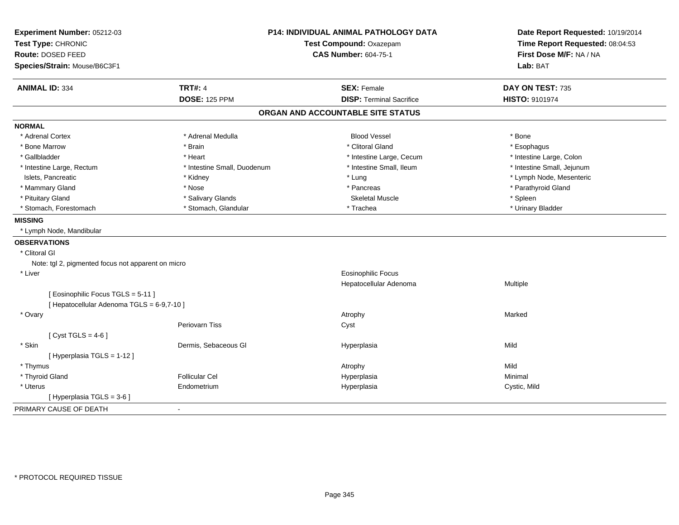| Experiment Number: 05212-03<br>Test Type: CHRONIC<br>Route: DOSED FEED |                             | P14: INDIVIDUAL ANIMAL PATHOLOGY DATA<br>Test Compound: Oxazepam<br><b>CAS Number: 604-75-1</b> | Date Report Requested: 10/19/2014<br>Time Report Requested: 08:04:53<br>First Dose M/F: NA / NA |
|------------------------------------------------------------------------|-----------------------------|-------------------------------------------------------------------------------------------------|-------------------------------------------------------------------------------------------------|
| Species/Strain: Mouse/B6C3F1                                           |                             |                                                                                                 | Lab: BAT                                                                                        |
| <b>ANIMAL ID: 334</b>                                                  | <b>TRT#: 4</b>              | <b>SEX: Female</b>                                                                              | DAY ON TEST: 735                                                                                |
|                                                                        | <b>DOSE: 125 PPM</b>        | <b>DISP: Terminal Sacrifice</b>                                                                 | HISTO: 9101974                                                                                  |
|                                                                        |                             | ORGAN AND ACCOUNTABLE SITE STATUS                                                               |                                                                                                 |
| <b>NORMAL</b>                                                          |                             |                                                                                                 |                                                                                                 |
| * Adrenal Cortex                                                       | * Adrenal Medulla           | <b>Blood Vessel</b>                                                                             | * Bone                                                                                          |
| * Bone Marrow                                                          | * Brain                     | * Clitoral Gland                                                                                | * Esophagus                                                                                     |
| * Gallbladder                                                          | * Heart                     | * Intestine Large, Cecum                                                                        | * Intestine Large, Colon                                                                        |
| * Intestine Large, Rectum                                              | * Intestine Small, Duodenum | * Intestine Small, Ileum                                                                        | * Intestine Small, Jejunum                                                                      |
| Islets, Pancreatic                                                     | * Kidney                    | * Lung                                                                                          | * Lymph Node, Mesenteric                                                                        |
| * Mammary Gland                                                        | * Nose                      | * Pancreas                                                                                      | * Parathyroid Gland                                                                             |
| * Pituitary Gland                                                      | * Salivary Glands           | <b>Skeletal Muscle</b>                                                                          | * Spleen                                                                                        |
| * Stomach, Forestomach                                                 | * Stomach, Glandular        | * Trachea                                                                                       | * Urinary Bladder                                                                               |
| <b>MISSING</b>                                                         |                             |                                                                                                 |                                                                                                 |
| * Lymph Node, Mandibular                                               |                             |                                                                                                 |                                                                                                 |
| <b>OBSERVATIONS</b>                                                    |                             |                                                                                                 |                                                                                                 |
| * Clitoral GI                                                          |                             |                                                                                                 |                                                                                                 |
| Note: tgl 2, pigmented focus not apparent on micro                     |                             |                                                                                                 |                                                                                                 |
| * Liver                                                                |                             | <b>Eosinophilic Focus</b>                                                                       |                                                                                                 |
|                                                                        |                             | Hepatocellular Adenoma                                                                          | Multiple                                                                                        |
| [ Eosinophilic Focus TGLS = 5-11 ]                                     |                             |                                                                                                 |                                                                                                 |
| [ Hepatocellular Adenoma TGLS = 6-9,7-10 ]                             |                             |                                                                                                 |                                                                                                 |
| * Ovary                                                                |                             | Atrophy                                                                                         | Marked                                                                                          |
|                                                                        | Periovarn Tiss              | Cyst                                                                                            |                                                                                                 |
| [Cyst TGLS = $4-6$ ]                                                   |                             |                                                                                                 |                                                                                                 |
| * Skin                                                                 | Dermis, Sebaceous Gl        | Hyperplasia                                                                                     | Mild                                                                                            |
| [ Hyperplasia TGLS = 1-12 ]                                            |                             |                                                                                                 |                                                                                                 |
| * Thymus                                                               |                             | Atrophy                                                                                         | Mild                                                                                            |
| * Thyroid Gland                                                        | <b>Follicular Cel</b>       | Hyperplasia                                                                                     | Minimal                                                                                         |
| * Uterus                                                               | Endometrium                 | Hyperplasia                                                                                     | Cystic, Mild                                                                                    |
| [ Hyperplasia TGLS = 3-6 ]                                             |                             |                                                                                                 |                                                                                                 |
| PRIMARY CAUSE OF DEATH                                                 | $\blacksquare$              |                                                                                                 |                                                                                                 |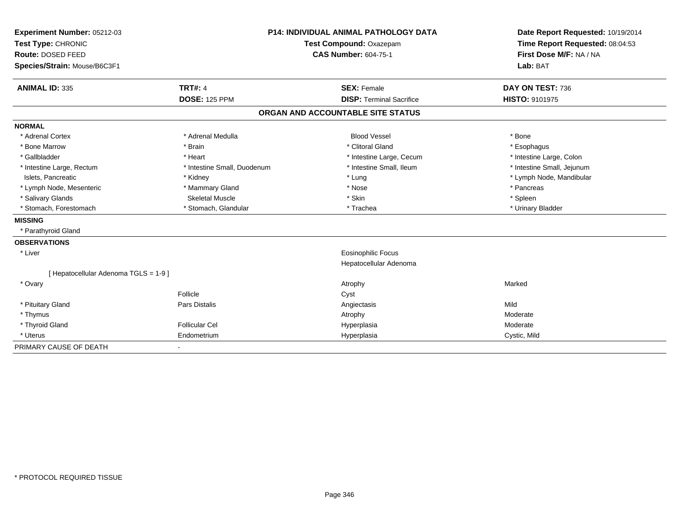| Experiment Number: 05212-03         | <b>P14: INDIVIDUAL ANIMAL PATHOLOGY DATA</b> |  | Date Report Requested: 10/19/2014 |                                 |
|-------------------------------------|----------------------------------------------|--|-----------------------------------|---------------------------------|
| Test Type: CHRONIC                  | <b>Test Compound: Oxazepam</b>               |  |                                   | Time Report Requested: 08:04:53 |
| Route: DOSED FEED                   |                                              |  | <b>CAS Number: 604-75-1</b>       | First Dose M/F: NA / NA         |
| Species/Strain: Mouse/B6C3F1        |                                              |  |                                   | Lab: BAT                        |
|                                     |                                              |  |                                   |                                 |
| <b>ANIMAL ID: 335</b>               | <b>TRT#: 4</b>                               |  | <b>SEX: Female</b>                | DAY ON TEST: 736                |
|                                     | <b>DOSE: 125 PPM</b>                         |  | <b>DISP: Terminal Sacrifice</b>   | <b>HISTO: 9101975</b>           |
|                                     |                                              |  | ORGAN AND ACCOUNTABLE SITE STATUS |                                 |
| <b>NORMAL</b>                       |                                              |  |                                   |                                 |
| * Adrenal Cortex                    | * Adrenal Medulla                            |  | <b>Blood Vessel</b>               | * Bone                          |
| * Bone Marrow                       | * Brain                                      |  | * Clitoral Gland                  | * Esophagus                     |
| * Gallbladder                       | * Heart                                      |  | * Intestine Large, Cecum          | * Intestine Large, Colon        |
| * Intestine Large, Rectum           | * Intestine Small, Duodenum                  |  | * Intestine Small, Ileum          | * Intestine Small, Jejunum      |
| Islets, Pancreatic                  | * Kidney                                     |  | * Lung                            | * Lymph Node, Mandibular        |
| * Lymph Node, Mesenteric            | * Mammary Gland                              |  | * Nose                            | * Pancreas                      |
| * Salivary Glands                   | <b>Skeletal Muscle</b>                       |  | * Skin                            | * Spleen                        |
| * Stomach, Forestomach              | * Stomach, Glandular                         |  | * Trachea                         | * Urinary Bladder               |
| <b>MISSING</b>                      |                                              |  |                                   |                                 |
| * Parathyroid Gland                 |                                              |  |                                   |                                 |
| <b>OBSERVATIONS</b>                 |                                              |  |                                   |                                 |
| * Liver                             |                                              |  | Eosinophilic Focus                |                                 |
|                                     |                                              |  | Hepatocellular Adenoma            |                                 |
| [Hepatocellular Adenoma TGLS = 1-9] |                                              |  |                                   |                                 |
| * Ovary                             |                                              |  | Atrophy                           | Marked                          |
|                                     | Follicle                                     |  | Cyst                              |                                 |
| * Pituitary Gland                   | Pars Distalis                                |  | Angiectasis                       | Mild                            |
| * Thymus                            |                                              |  | Atrophy                           | Moderate                        |
| * Thyroid Gland                     | <b>Follicular Cel</b>                        |  | Hyperplasia                       | Moderate                        |
| * Uterus                            | Endometrium                                  |  | Hyperplasia                       | Cystic, Mild                    |
| PRIMARY CAUSE OF DEATH              |                                              |  |                                   |                                 |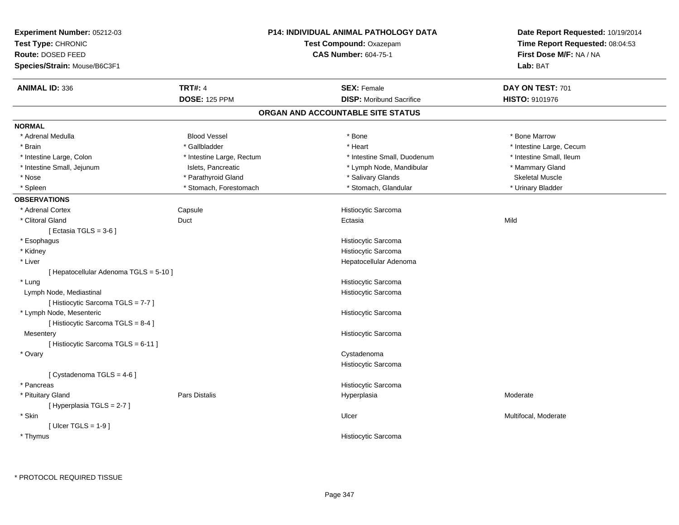| Experiment Number: 05212-03<br>Test Type: CHRONIC<br>Route: DOSED FEED<br>Species/Strain: Mouse/B6C3F1 |                           | P14: INDIVIDUAL ANIMAL PATHOLOGY DATA<br>Test Compound: Oxazepam<br><b>CAS Number: 604-75-1</b> | Date Report Requested: 10/19/2014<br>Time Report Requested: 08:04:53<br>First Dose M/F: NA / NA<br>Lab: BAT |
|--------------------------------------------------------------------------------------------------------|---------------------------|-------------------------------------------------------------------------------------------------|-------------------------------------------------------------------------------------------------------------|
| <b>ANIMAL ID: 336</b>                                                                                  | <b>TRT#: 4</b>            | <b>SEX: Female</b>                                                                              | DAY ON TEST: 701                                                                                            |
|                                                                                                        | <b>DOSE: 125 PPM</b>      | <b>DISP:</b> Moribund Sacrifice                                                                 | HISTO: 9101976                                                                                              |
|                                                                                                        |                           | ORGAN AND ACCOUNTABLE SITE STATUS                                                               |                                                                                                             |
| <b>NORMAL</b>                                                                                          |                           |                                                                                                 |                                                                                                             |
| * Adrenal Medulla                                                                                      | <b>Blood Vessel</b>       | * Bone                                                                                          | * Bone Marrow                                                                                               |
| * Brain                                                                                                | * Gallbladder             | * Heart                                                                                         | * Intestine Large, Cecum                                                                                    |
| * Intestine Large, Colon                                                                               | * Intestine Large, Rectum | * Intestine Small, Duodenum                                                                     | * Intestine Small, Ileum                                                                                    |
| * Intestine Small, Jejunum                                                                             | Islets, Pancreatic        | * Lymph Node, Mandibular                                                                        | * Mammary Gland                                                                                             |
| $*$ Nose                                                                                               | * Parathyroid Gland       | * Salivary Glands                                                                               | <b>Skeletal Muscle</b>                                                                                      |
| * Spleen                                                                                               | * Stomach, Forestomach    | * Stomach, Glandular                                                                            | * Urinary Bladder                                                                                           |
| <b>OBSERVATIONS</b>                                                                                    |                           |                                                                                                 |                                                                                                             |
| * Adrenal Cortex                                                                                       | Capsule                   | Histiocytic Sarcoma                                                                             |                                                                                                             |
| * Clitoral Gland                                                                                       | Duct                      | Ectasia                                                                                         | Mild                                                                                                        |
| [Ectasia TGLS = $3-6$ ]                                                                                |                           |                                                                                                 |                                                                                                             |
| * Esophagus                                                                                            |                           | Histiocytic Sarcoma                                                                             |                                                                                                             |
| * Kidney                                                                                               |                           | Histiocytic Sarcoma                                                                             |                                                                                                             |
| * Liver                                                                                                |                           | Hepatocellular Adenoma                                                                          |                                                                                                             |
| [ Hepatocellular Adenoma TGLS = 5-10 ]                                                                 |                           |                                                                                                 |                                                                                                             |
| * Lung                                                                                                 |                           | Histiocytic Sarcoma                                                                             |                                                                                                             |
| Lymph Node, Mediastinal                                                                                |                           | Histiocytic Sarcoma                                                                             |                                                                                                             |
| [Histiocytic Sarcoma TGLS = 7-7]                                                                       |                           |                                                                                                 |                                                                                                             |
| * Lymph Node, Mesenteric                                                                               |                           | Histiocytic Sarcoma                                                                             |                                                                                                             |
| [ Histiocytic Sarcoma TGLS = 8-4 ]                                                                     |                           |                                                                                                 |                                                                                                             |
| Mesentery                                                                                              |                           | Histiocytic Sarcoma                                                                             |                                                                                                             |
| [Histiocytic Sarcoma TGLS = 6-11]                                                                      |                           |                                                                                                 |                                                                                                             |
| * Ovary                                                                                                |                           | Cystadenoma                                                                                     |                                                                                                             |
|                                                                                                        |                           | Histiocytic Sarcoma                                                                             |                                                                                                             |
| [ Cystadenoma TGLS = 4-6 ]                                                                             |                           |                                                                                                 |                                                                                                             |
| * Pancreas                                                                                             |                           | Histiocytic Sarcoma                                                                             |                                                                                                             |
| * Pituitary Gland                                                                                      | <b>Pars Distalis</b>      | Hyperplasia                                                                                     | Moderate                                                                                                    |
| [ Hyperplasia TGLS = 2-7 ]                                                                             |                           |                                                                                                 |                                                                                                             |
| * Skin                                                                                                 |                           | Ulcer                                                                                           | Multifocal, Moderate                                                                                        |
| [ Ulcer TGLS = $1-9$ ]                                                                                 |                           |                                                                                                 |                                                                                                             |
| * Thymus                                                                                               |                           | <b>Histiocytic Sarcoma</b>                                                                      |                                                                                                             |
|                                                                                                        |                           |                                                                                                 |                                                                                                             |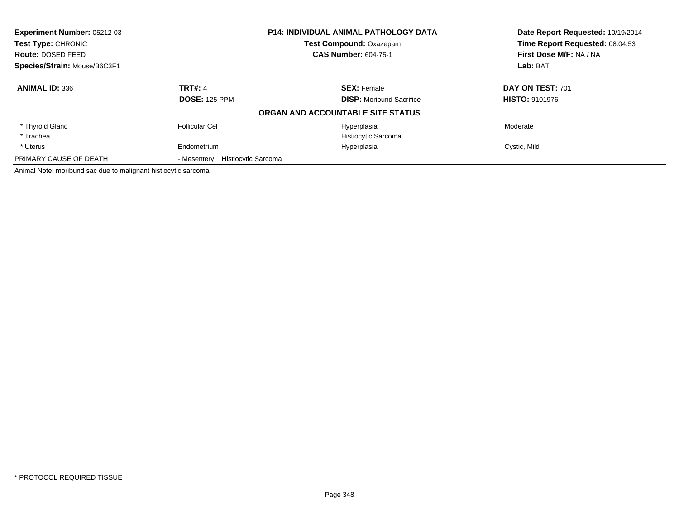| <b>Experiment Number: 05212-03</b>                             |                                           | <b>P14: INDIVIDUAL ANIMAL PATHOLOGY DATA</b> | Date Report Requested: 10/19/2014 |
|----------------------------------------------------------------|-------------------------------------------|----------------------------------------------|-----------------------------------|
| Test Type: CHRONIC                                             |                                           | Test Compound: Oxazepam                      | Time Report Requested: 08:04:53   |
| Route: DOSED FEED                                              |                                           | <b>CAS Number: 604-75-1</b>                  | First Dose M/F: NA / NA           |
| Species/Strain: Mouse/B6C3F1                                   |                                           |                                              | Lab: BAT                          |
| <b>ANIMAL ID: 336</b>                                          | <b>TRT#: 4</b>                            | <b>SEX: Female</b>                           | DAY ON TEST: 701                  |
|                                                                | <b>DOSE: 125 PPM</b>                      | <b>DISP:</b> Moribund Sacrifice              | <b>HISTO: 9101976</b>             |
|                                                                |                                           | ORGAN AND ACCOUNTABLE SITE STATUS            |                                   |
| * Thyroid Gland                                                | <b>Follicular Cel</b>                     | Hyperplasia                                  | Moderate                          |
| * Trachea                                                      |                                           | Histiocytic Sarcoma                          |                                   |
| * Uterus                                                       | Endometrium                               | Hyperplasia                                  | Cystic, Mild                      |
| PRIMARY CAUSE OF DEATH                                         | <b>Histiocytic Sarcoma</b><br>- Mesentery |                                              |                                   |
| Animal Note: moribund sac due to malignant histiocytic sarcoma |                                           |                                              |                                   |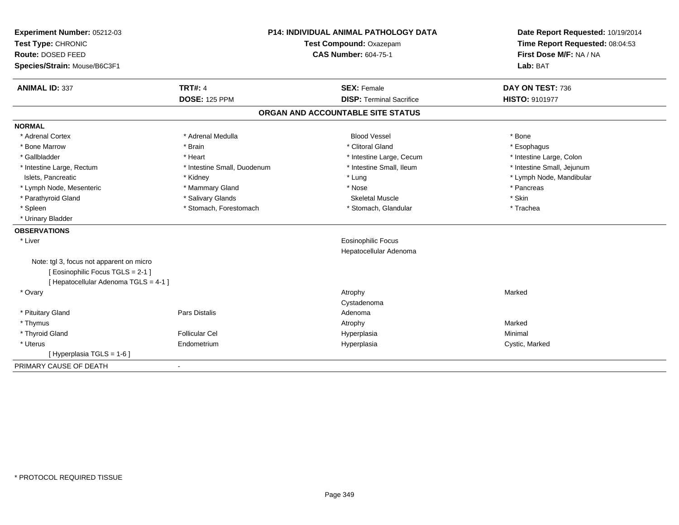| Experiment Number: 05212-03<br>Test Type: CHRONIC<br>Route: DOSED FEED<br>Species/Strain: Mouse/B6C3F1                 |                             | <b>P14: INDIVIDUAL ANIMAL PATHOLOGY DATA</b><br>Test Compound: Oxazepam<br><b>CAS Number: 604-75-1</b> | Date Report Requested: 10/19/2014<br>Time Report Requested: 08:04:53<br>First Dose M/F: NA / NA<br>Lab: BAT |
|------------------------------------------------------------------------------------------------------------------------|-----------------------------|--------------------------------------------------------------------------------------------------------|-------------------------------------------------------------------------------------------------------------|
| <b>ANIMAL ID: 337</b>                                                                                                  | <b>TRT#: 4</b>              | <b>SEX: Female</b>                                                                                     | DAY ON TEST: 736                                                                                            |
|                                                                                                                        | <b>DOSE: 125 PPM</b>        | <b>DISP: Terminal Sacrifice</b>                                                                        | HISTO: 9101977                                                                                              |
|                                                                                                                        |                             | ORGAN AND ACCOUNTABLE SITE STATUS                                                                      |                                                                                                             |
| <b>NORMAL</b>                                                                                                          |                             |                                                                                                        |                                                                                                             |
| * Adrenal Cortex                                                                                                       | * Adrenal Medulla           | <b>Blood Vessel</b>                                                                                    | * Bone                                                                                                      |
| * Bone Marrow                                                                                                          | * Brain                     | * Clitoral Gland                                                                                       | * Esophagus                                                                                                 |
| * Gallbladder                                                                                                          | * Heart                     | * Intestine Large, Cecum                                                                               | * Intestine Large, Colon                                                                                    |
| * Intestine Large, Rectum                                                                                              | * Intestine Small, Duodenum | * Intestine Small, Ileum                                                                               | * Intestine Small, Jejunum                                                                                  |
| Islets, Pancreatic                                                                                                     | * Kidney                    | * Lung                                                                                                 | * Lymph Node, Mandibular                                                                                    |
| * Lymph Node, Mesenteric                                                                                               | * Mammary Gland             | * Nose                                                                                                 | * Pancreas                                                                                                  |
| * Parathyroid Gland                                                                                                    | * Salivary Glands           | <b>Skeletal Muscle</b>                                                                                 | * Skin                                                                                                      |
| * Spleen                                                                                                               | * Stomach, Forestomach      | * Stomach, Glandular                                                                                   | * Trachea                                                                                                   |
| * Urinary Bladder                                                                                                      |                             |                                                                                                        |                                                                                                             |
| <b>OBSERVATIONS</b>                                                                                                    |                             |                                                                                                        |                                                                                                             |
| * Liver                                                                                                                |                             | <b>Eosinophilic Focus</b>                                                                              |                                                                                                             |
|                                                                                                                        |                             | Hepatocellular Adenoma                                                                                 |                                                                                                             |
| Note: tgl 3, focus not apparent on micro<br>[ Eosinophilic Focus TGLS = 2-1 ]<br>[ Hepatocellular Adenoma TGLS = 4-1 ] |                             |                                                                                                        |                                                                                                             |
| * Ovary                                                                                                                |                             | Atrophy                                                                                                | Marked                                                                                                      |
|                                                                                                                        |                             | Cystadenoma                                                                                            |                                                                                                             |
| * Pituitary Gland                                                                                                      | <b>Pars Distalis</b>        | Adenoma                                                                                                |                                                                                                             |
| * Thymus                                                                                                               |                             | Atrophy                                                                                                | Marked                                                                                                      |
| * Thyroid Gland                                                                                                        | <b>Follicular Cel</b>       | Hyperplasia                                                                                            | Minimal                                                                                                     |
| * Uterus                                                                                                               | Endometrium                 | Hyperplasia                                                                                            | Cystic, Marked                                                                                              |
| [ Hyperplasia TGLS = 1-6 ]                                                                                             |                             |                                                                                                        |                                                                                                             |
| PRIMARY CAUSE OF DEATH                                                                                                 |                             |                                                                                                        |                                                                                                             |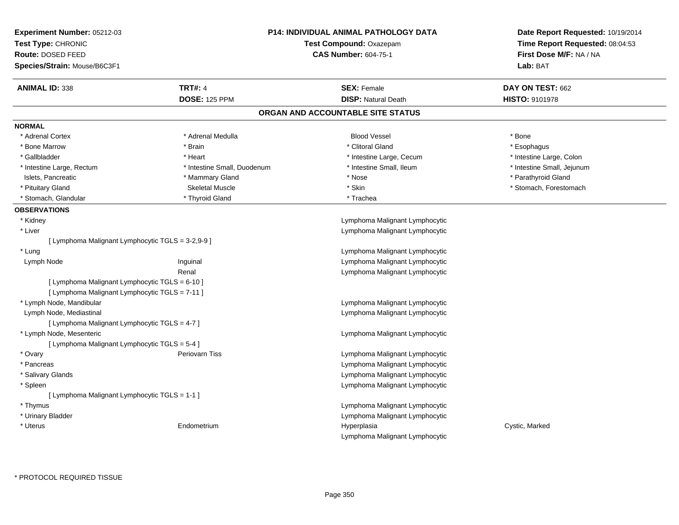| <b>Experiment Number: 05212-03</b><br>Test Type: CHRONIC<br>Route: DOSED FEED<br>Species/Strain: Mouse/B6C3F1 |                             | <b>P14: INDIVIDUAL ANIMAL PATHOLOGY DATA</b><br>Test Compound: Oxazepam<br><b>CAS Number: 604-75-1</b> | Date Report Requested: 10/19/2014<br>Time Report Requested: 08:04:53<br>First Dose M/F: NA / NA<br>Lab: BAT |
|---------------------------------------------------------------------------------------------------------------|-----------------------------|--------------------------------------------------------------------------------------------------------|-------------------------------------------------------------------------------------------------------------|
| <b>ANIMAL ID: 338</b>                                                                                         | <b>TRT#: 4</b>              | <b>SEX: Female</b>                                                                                     | DAY ON TEST: 662                                                                                            |
|                                                                                                               | <b>DOSE: 125 PPM</b>        | <b>DISP: Natural Death</b>                                                                             | HISTO: 9101978                                                                                              |
|                                                                                                               |                             | ORGAN AND ACCOUNTABLE SITE STATUS                                                                      |                                                                                                             |
| <b>NORMAL</b>                                                                                                 |                             |                                                                                                        |                                                                                                             |
| * Adrenal Cortex                                                                                              | * Adrenal Medulla           | <b>Blood Vessel</b>                                                                                    | * Bone                                                                                                      |
| * Bone Marrow                                                                                                 | * Brain                     | * Clitoral Gland                                                                                       | * Esophagus                                                                                                 |
| * Gallbladder                                                                                                 | * Heart                     | * Intestine Large, Cecum                                                                               | * Intestine Large, Colon                                                                                    |
| * Intestine Large, Rectum                                                                                     | * Intestine Small, Duodenum | * Intestine Small, Ileum                                                                               | * Intestine Small, Jejunum                                                                                  |
| Islets, Pancreatic                                                                                            | * Mammary Gland             | * Nose                                                                                                 | * Parathyroid Gland                                                                                         |
| * Pituitary Gland                                                                                             | <b>Skeletal Muscle</b>      | * Skin                                                                                                 | * Stomach, Forestomach                                                                                      |
| * Stomach, Glandular                                                                                          | * Thyroid Gland             | * Trachea                                                                                              |                                                                                                             |
| <b>OBSERVATIONS</b>                                                                                           |                             |                                                                                                        |                                                                                                             |
| * Kidney                                                                                                      |                             | Lymphoma Malignant Lymphocytic                                                                         |                                                                                                             |
| * Liver                                                                                                       |                             | Lymphoma Malignant Lymphocytic                                                                         |                                                                                                             |
| [ Lymphoma Malignant Lymphocytic TGLS = 3-2,9-9 ]                                                             |                             |                                                                                                        |                                                                                                             |
| * Lung                                                                                                        |                             | Lymphoma Malignant Lymphocytic                                                                         |                                                                                                             |
| Lymph Node                                                                                                    | Inguinal                    | Lymphoma Malignant Lymphocytic                                                                         |                                                                                                             |
|                                                                                                               | Renal                       | Lymphoma Malignant Lymphocytic                                                                         |                                                                                                             |
| [ Lymphoma Malignant Lymphocytic TGLS = 6-10 ]                                                                |                             |                                                                                                        |                                                                                                             |
| [ Lymphoma Malignant Lymphocytic TGLS = 7-11 ]                                                                |                             |                                                                                                        |                                                                                                             |
| * Lymph Node, Mandibular                                                                                      |                             | Lymphoma Malignant Lymphocytic                                                                         |                                                                                                             |
| Lymph Node, Mediastinal                                                                                       |                             | Lymphoma Malignant Lymphocytic                                                                         |                                                                                                             |
| [ Lymphoma Malignant Lymphocytic TGLS = 4-7 ]                                                                 |                             |                                                                                                        |                                                                                                             |
| * Lymph Node, Mesenteric                                                                                      |                             | Lymphoma Malignant Lymphocytic                                                                         |                                                                                                             |
| [ Lymphoma Malignant Lymphocytic TGLS = 5-4 ]                                                                 |                             |                                                                                                        |                                                                                                             |
| * Ovary                                                                                                       | <b>Periovarn Tiss</b>       | Lymphoma Malignant Lymphocytic                                                                         |                                                                                                             |
| * Pancreas                                                                                                    |                             | Lymphoma Malignant Lymphocytic                                                                         |                                                                                                             |
| * Salivary Glands                                                                                             |                             | Lymphoma Malignant Lymphocytic                                                                         |                                                                                                             |
| * Spleen                                                                                                      |                             | Lymphoma Malignant Lymphocytic                                                                         |                                                                                                             |
| [ Lymphoma Malignant Lymphocytic TGLS = 1-1 ]                                                                 |                             |                                                                                                        |                                                                                                             |
| * Thymus                                                                                                      |                             | Lymphoma Malignant Lymphocytic                                                                         |                                                                                                             |
| * Urinary Bladder                                                                                             |                             | Lymphoma Malignant Lymphocytic                                                                         |                                                                                                             |
| * Uterus                                                                                                      | Endometrium                 | Hyperplasia                                                                                            | Cystic, Marked                                                                                              |
|                                                                                                               |                             | Lymphoma Malignant Lymphocytic                                                                         |                                                                                                             |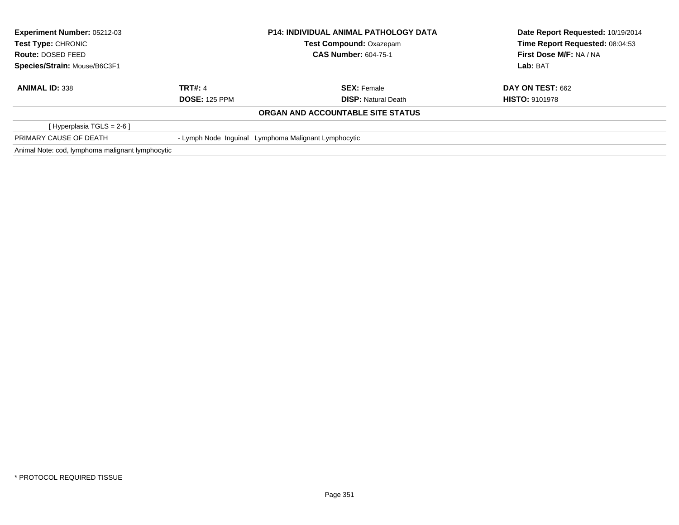| Experiment Number: 05212-03<br><b>Test Type: CHRONIC</b><br>Route: DOSED FEED |                                                      | <b>P14: INDIVIDUAL ANIMAL PATHOLOGY DATA</b> | Date Report Requested: 10/19/2014 |  |
|-------------------------------------------------------------------------------|------------------------------------------------------|----------------------------------------------|-----------------------------------|--|
|                                                                               |                                                      | <b>Test Compound: Oxazepam</b>               | Time Report Requested: 08:04:53   |  |
|                                                                               |                                                      | <b>CAS Number: 604-75-1</b>                  | First Dose M/F: NA / NA           |  |
| Species/Strain: Mouse/B6C3F1                                                  |                                                      |                                              | Lab: BAT                          |  |
| <b>ANIMAL ID: 338</b>                                                         | <b>TRT#: 4</b>                                       | <b>SEX: Female</b>                           | <b>DAY ON TEST: 662</b>           |  |
|                                                                               | <b>DOSE: 125 PPM</b>                                 | <b>DISP:</b> Natural Death                   | <b>HISTO: 9101978</b>             |  |
|                                                                               |                                                      | ORGAN AND ACCOUNTABLE SITE STATUS            |                                   |  |
| [Hyperplasia TGLS = $2-6$ ]                                                   |                                                      |                                              |                                   |  |
| PRIMARY CAUSE OF DEATH                                                        | - Lymph Node Inguinal Lymphoma Malignant Lymphocytic |                                              |                                   |  |
| Animal Note: cod, lymphoma malignant lymphocytic                              |                                                      |                                              |                                   |  |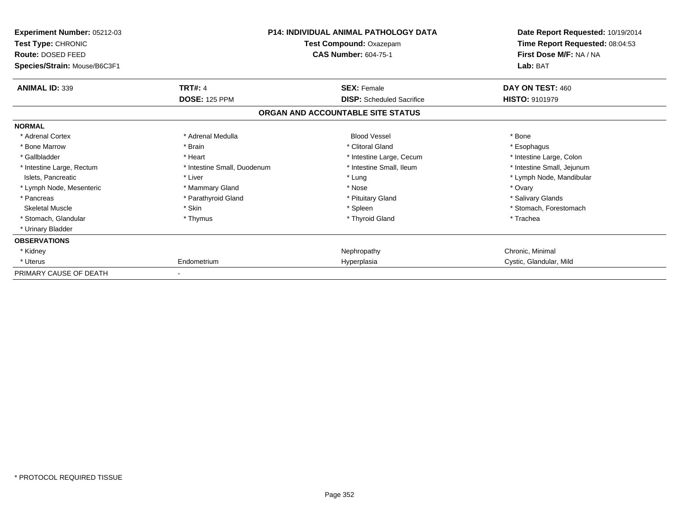| Experiment Number: 05212-03<br>Test Type: CHRONIC<br>Route: DOSED FEED<br>Species/Strain: Mouse/B6C3F1 | <b>P14: INDIVIDUAL ANIMAL PATHOLOGY DATA</b><br>Test Compound: Oxazepam<br><b>CAS Number: 604-75-1</b> |                                   | Date Report Requested: 10/19/2014<br>Time Report Requested: 08:04:53<br>First Dose M/F: NA / NA<br>Lab: BAT |
|--------------------------------------------------------------------------------------------------------|--------------------------------------------------------------------------------------------------------|-----------------------------------|-------------------------------------------------------------------------------------------------------------|
| <b>ANIMAL ID: 339</b>                                                                                  | <b>TRT#: 4</b>                                                                                         | <b>SEX: Female</b>                | DAY ON TEST: 460                                                                                            |
|                                                                                                        | <b>DOSE: 125 PPM</b>                                                                                   | <b>DISP:</b> Scheduled Sacrifice  | <b>HISTO: 9101979</b>                                                                                       |
|                                                                                                        |                                                                                                        | ORGAN AND ACCOUNTABLE SITE STATUS |                                                                                                             |
| <b>NORMAL</b>                                                                                          |                                                                                                        |                                   |                                                                                                             |
| * Adrenal Cortex                                                                                       | * Adrenal Medulla                                                                                      | <b>Blood Vessel</b>               | * Bone                                                                                                      |
| * Bone Marrow                                                                                          | * Brain                                                                                                | * Clitoral Gland                  | * Esophagus                                                                                                 |
| * Gallbladder                                                                                          | * Heart                                                                                                | * Intestine Large, Cecum          | * Intestine Large, Colon                                                                                    |
| * Intestine Large, Rectum                                                                              | * Intestine Small, Duodenum                                                                            | * Intestine Small, Ileum          | * Intestine Small, Jejunum                                                                                  |
| Islets, Pancreatic                                                                                     | * Liver                                                                                                | * Lung                            | * Lymph Node, Mandibular                                                                                    |
| * Lymph Node, Mesenteric                                                                               | * Mammary Gland                                                                                        | * Nose                            | * Ovary                                                                                                     |
| * Pancreas                                                                                             | * Parathyroid Gland                                                                                    | * Pituitary Gland                 | * Salivary Glands                                                                                           |
| <b>Skeletal Muscle</b>                                                                                 | * Skin                                                                                                 | * Spleen                          | * Stomach, Forestomach                                                                                      |
| * Stomach, Glandular                                                                                   | * Thymus                                                                                               | * Thyroid Gland                   | * Trachea                                                                                                   |
| * Urinary Bladder                                                                                      |                                                                                                        |                                   |                                                                                                             |
| <b>OBSERVATIONS</b>                                                                                    |                                                                                                        |                                   |                                                                                                             |
| * Kidney                                                                                               |                                                                                                        | Nephropathy                       | Chronic. Minimal                                                                                            |
| * Uterus                                                                                               | Endometrium                                                                                            | Hyperplasia                       | Cystic, Glandular, Mild                                                                                     |
| PRIMARY CAUSE OF DEATH                                                                                 |                                                                                                        |                                   |                                                                                                             |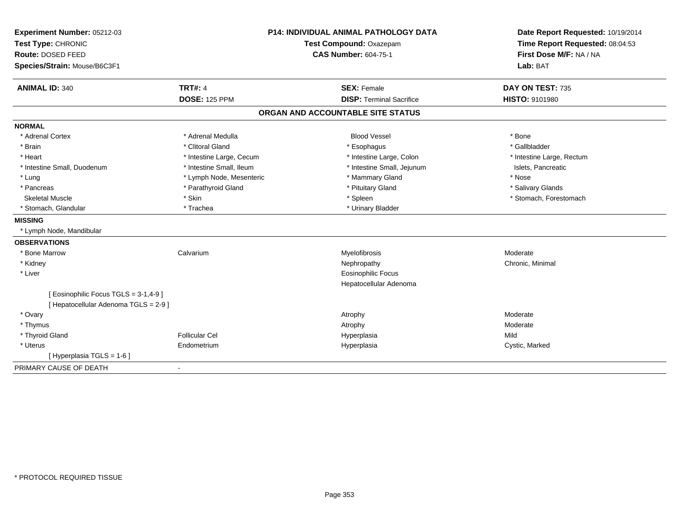| Experiment Number: 05212-03<br>Test Type: CHRONIC<br>Route: DOSED FEED<br>Species/Strain: Mouse/B6C3F1 |                          | <b>P14: INDIVIDUAL ANIMAL PATHOLOGY DATA</b><br><b>Test Compound: Oxazepam</b><br><b>CAS Number: 604-75-1</b> | Date Report Requested: 10/19/2014<br>Time Report Requested: 08:04:53<br>First Dose M/F: NA / NA<br>Lab: BAT |
|--------------------------------------------------------------------------------------------------------|--------------------------|---------------------------------------------------------------------------------------------------------------|-------------------------------------------------------------------------------------------------------------|
| <b>ANIMAL ID: 340</b>                                                                                  | <b>TRT#: 4</b>           | <b>SEX: Female</b>                                                                                            | DAY ON TEST: 735                                                                                            |
|                                                                                                        | <b>DOSE: 125 PPM</b>     | <b>DISP: Terminal Sacrifice</b>                                                                               | <b>HISTO: 9101980</b>                                                                                       |
|                                                                                                        |                          | ORGAN AND ACCOUNTABLE SITE STATUS                                                                             |                                                                                                             |
| <b>NORMAL</b>                                                                                          |                          |                                                                                                               |                                                                                                             |
| * Adrenal Cortex                                                                                       | * Adrenal Medulla        | <b>Blood Vessel</b>                                                                                           | * Bone                                                                                                      |
| * Brain                                                                                                | * Clitoral Gland         | * Esophagus                                                                                                   | * Gallbladder                                                                                               |
| * Heart                                                                                                | * Intestine Large, Cecum | * Intestine Large, Colon                                                                                      | * Intestine Large, Rectum                                                                                   |
| * Intestine Small, Duodenum                                                                            | * Intestine Small, Ileum | * Intestine Small, Jejunum                                                                                    | Islets, Pancreatic                                                                                          |
| * Lung                                                                                                 | * Lymph Node, Mesenteric | * Mammary Gland                                                                                               | * Nose                                                                                                      |
| * Pancreas                                                                                             | * Parathyroid Gland      | * Pituitary Gland                                                                                             | * Salivary Glands                                                                                           |
| <b>Skeletal Muscle</b>                                                                                 | * Skin                   | * Spleen                                                                                                      | * Stomach, Forestomach                                                                                      |
| * Stomach, Glandular                                                                                   | * Trachea                | * Urinary Bladder                                                                                             |                                                                                                             |
| <b>MISSING</b>                                                                                         |                          |                                                                                                               |                                                                                                             |
| * Lymph Node, Mandibular                                                                               |                          |                                                                                                               |                                                                                                             |
| <b>OBSERVATIONS</b>                                                                                    |                          |                                                                                                               |                                                                                                             |
| * Bone Marrow                                                                                          | Calvarium                | Myelofibrosis                                                                                                 | Moderate                                                                                                    |
| * Kidney                                                                                               |                          | Nephropathy                                                                                                   | Chronic, Minimal                                                                                            |
| * Liver                                                                                                |                          | <b>Eosinophilic Focus</b>                                                                                     |                                                                                                             |
|                                                                                                        |                          | Hepatocellular Adenoma                                                                                        |                                                                                                             |
| [Eosinophilic Focus TGLS = 3-1,4-9]                                                                    |                          |                                                                                                               |                                                                                                             |
| [ Hepatocellular Adenoma TGLS = 2-9 ]                                                                  |                          |                                                                                                               |                                                                                                             |
| * Ovary                                                                                                |                          | Atrophy                                                                                                       | Moderate                                                                                                    |
| * Thymus                                                                                               |                          | Atrophy                                                                                                       | Moderate                                                                                                    |
| * Thyroid Gland                                                                                        | <b>Follicular Cel</b>    | Hyperplasia                                                                                                   | Mild                                                                                                        |
| * Uterus                                                                                               | Endometrium              | Hyperplasia                                                                                                   | Cystic, Marked                                                                                              |
| [ Hyperplasia TGLS = 1-6 ]                                                                             |                          |                                                                                                               |                                                                                                             |
| PRIMARY CAUSE OF DEATH                                                                                 | $\blacksquare$           |                                                                                                               |                                                                                                             |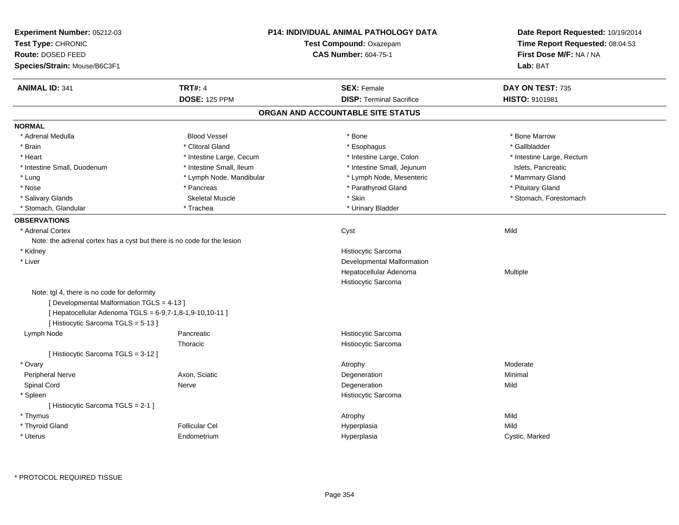| Experiment Number: 05212-03<br>Test Type: CHRONIC<br><b>Route: DOSED FEED</b><br>Species/Strain: Mouse/B6C3F1                                                                              |                          | P14: INDIVIDUAL ANIMAL PATHOLOGY DATA<br>Test Compound: Oxazepam<br><b>CAS Number: 604-75-1</b> | Date Report Requested: 10/19/2014<br>Time Report Requested: 08:04:53<br>First Dose M/F: NA / NA<br>Lab: BAT |
|--------------------------------------------------------------------------------------------------------------------------------------------------------------------------------------------|--------------------------|-------------------------------------------------------------------------------------------------|-------------------------------------------------------------------------------------------------------------|
| <b>ANIMAL ID: 341</b>                                                                                                                                                                      | <b>TRT#: 4</b>           | <b>SEX: Female</b>                                                                              | DAY ON TEST: 735                                                                                            |
|                                                                                                                                                                                            | <b>DOSE: 125 PPM</b>     | <b>DISP: Terminal Sacrifice</b>                                                                 | HISTO: 9101981                                                                                              |
|                                                                                                                                                                                            |                          | ORGAN AND ACCOUNTABLE SITE STATUS                                                               |                                                                                                             |
| <b>NORMAL</b>                                                                                                                                                                              |                          |                                                                                                 |                                                                                                             |
| * Adrenal Medulla                                                                                                                                                                          | <b>Blood Vessel</b>      | * Bone                                                                                          | * Bone Marrow                                                                                               |
| * Brain                                                                                                                                                                                    | * Clitoral Gland         | * Esophagus                                                                                     | * Gallbladder                                                                                               |
| * Heart                                                                                                                                                                                    | * Intestine Large, Cecum | * Intestine Large, Colon                                                                        | * Intestine Large, Rectum                                                                                   |
| * Intestine Small, Duodenum                                                                                                                                                                | * Intestine Small, Ileum | * Intestine Small, Jejunum                                                                      | Islets, Pancreatic                                                                                          |
| * Lung                                                                                                                                                                                     | * Lymph Node, Mandibular | * Lymph Node, Mesenteric                                                                        | * Mammary Gland                                                                                             |
| * Nose                                                                                                                                                                                     | * Pancreas               | * Parathyroid Gland                                                                             | * Pituitary Gland                                                                                           |
| * Salivary Glands                                                                                                                                                                          | <b>Skeletal Muscle</b>   | * Skin                                                                                          | * Stomach, Forestomach                                                                                      |
| * Stomach, Glandular                                                                                                                                                                       | * Trachea                | * Urinary Bladder                                                                               |                                                                                                             |
| <b>OBSERVATIONS</b>                                                                                                                                                                        |                          |                                                                                                 |                                                                                                             |
| * Adrenal Cortex                                                                                                                                                                           |                          | Cyst                                                                                            | Mild                                                                                                        |
| Note: the adrenal cortex has a cyst but there is no code for the lesion                                                                                                                    |                          |                                                                                                 |                                                                                                             |
| * Kidney                                                                                                                                                                                   |                          | Histiocytic Sarcoma                                                                             |                                                                                                             |
| * Liver                                                                                                                                                                                    |                          | Developmental Malformation                                                                      |                                                                                                             |
|                                                                                                                                                                                            |                          | Hepatocellular Adenoma                                                                          | Multiple                                                                                                    |
|                                                                                                                                                                                            |                          | Histiocytic Sarcoma                                                                             |                                                                                                             |
| Note: tgl 4, there is no code for deformity<br>[ Developmental Malformation TGLS = 4-13 ]<br>[ Hepatocellular Adenoma TGLS = 6-9,7-1,8-1,9-10,10-11 ]<br>[Histiocytic Sarcoma TGLS = 5-13] |                          |                                                                                                 |                                                                                                             |
| Lymph Node                                                                                                                                                                                 | Pancreatic               | Histiocytic Sarcoma                                                                             |                                                                                                             |
|                                                                                                                                                                                            | Thoracic                 | Histiocytic Sarcoma                                                                             |                                                                                                             |
| [Histiocytic Sarcoma TGLS = 3-12]                                                                                                                                                          |                          |                                                                                                 |                                                                                                             |
| * Ovary                                                                                                                                                                                    |                          | Atrophy                                                                                         | Moderate                                                                                                    |
| Peripheral Nerve                                                                                                                                                                           | Axon, Sciatic            | Degeneration                                                                                    | Minimal                                                                                                     |
| Spinal Cord                                                                                                                                                                                | Nerve                    | Degeneration                                                                                    | Mild                                                                                                        |
| * Spleen                                                                                                                                                                                   |                          | Histiocytic Sarcoma                                                                             |                                                                                                             |
| [Histiocytic Sarcoma TGLS = 2-1]                                                                                                                                                           |                          |                                                                                                 |                                                                                                             |
| * Thymus                                                                                                                                                                                   |                          | Atrophy                                                                                         | Mild                                                                                                        |
| * Thyroid Gland                                                                                                                                                                            | <b>Follicular Cel</b>    | Hyperplasia                                                                                     | Mild                                                                                                        |
| * Uterus                                                                                                                                                                                   | Endometrium              | Hyperplasia                                                                                     | Cystic, Marked                                                                                              |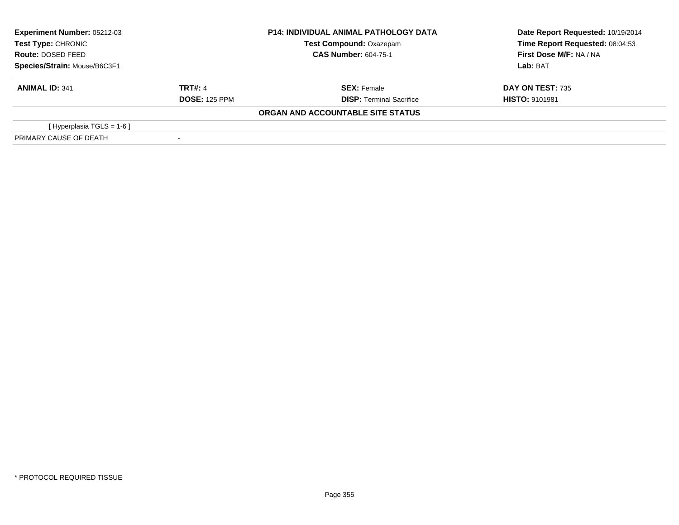| <b>Experiment Number: 05212-03</b><br>Test Type: CHRONIC |                      | <b>P14: INDIVIDUAL ANIMAL PATHOLOGY DATA</b> | Date Report Requested: 10/19/2014 |  |
|----------------------------------------------------------|----------------------|----------------------------------------------|-----------------------------------|--|
|                                                          |                      | <b>Test Compound: Oxazepam</b>               | Time Report Requested: 08:04:53   |  |
| Route: DOSED FEED                                        |                      | <b>CAS Number: 604-75-1</b>                  | First Dose M/F: NA / NA           |  |
| Species/Strain: Mouse/B6C3F1                             |                      |                                              | Lab: BAT                          |  |
| <b>ANIMAL ID: 341</b>                                    | <b>TRT#: 4</b>       | <b>SEX: Female</b>                           | <b>DAY ON TEST: 735</b>           |  |
|                                                          | <b>DOSE: 125 PPM</b> | <b>DISP:</b> Terminal Sacrifice              | <b>HISTO: 9101981</b>             |  |
|                                                          |                      | ORGAN AND ACCOUNTABLE SITE STATUS            |                                   |  |
| [ Hyperplasia TGLS = 1-6 ]                               |                      |                                              |                                   |  |
| PRIMARY CAUSE OF DEATH                                   |                      |                                              |                                   |  |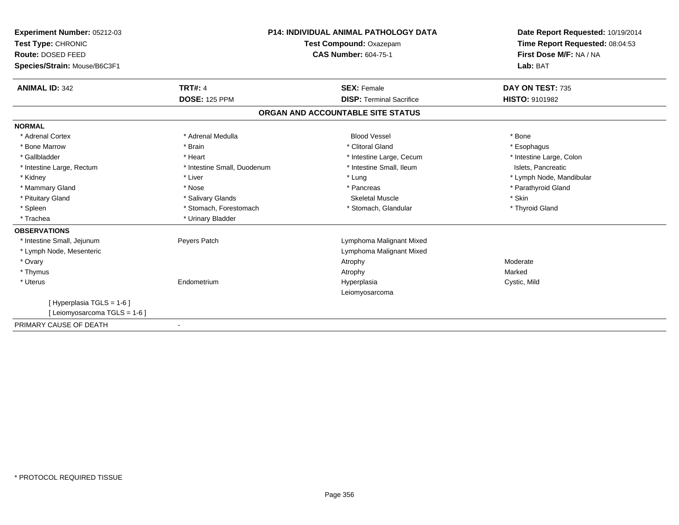| <b>P14: INDIVIDUAL ANIMAL PATHOLOGY DATA</b><br>Experiment Number: 05212-03 |                             |                                   | Date Report Requested: 10/19/2014 |
|-----------------------------------------------------------------------------|-----------------------------|-----------------------------------|-----------------------------------|
| Test Type: CHRONIC                                                          |                             | Test Compound: Oxazepam           | Time Report Requested: 08:04:53   |
| Route: DOSED FEED                                                           |                             | <b>CAS Number: 604-75-1</b>       | First Dose M/F: NA / NA           |
| Species/Strain: Mouse/B6C3F1                                                |                             |                                   | Lab: BAT                          |
| <b>ANIMAL ID: 342</b>                                                       | <b>TRT#: 4</b>              | <b>SEX: Female</b>                | DAY ON TEST: 735                  |
|                                                                             | <b>DOSE: 125 PPM</b>        | <b>DISP: Terminal Sacrifice</b>   | <b>HISTO: 9101982</b>             |
|                                                                             |                             | ORGAN AND ACCOUNTABLE SITE STATUS |                                   |
| <b>NORMAL</b>                                                               |                             |                                   |                                   |
| * Adrenal Cortex                                                            | * Adrenal Medulla           | <b>Blood Vessel</b>               | * Bone                            |
| * Bone Marrow                                                               | * Brain                     | * Clitoral Gland                  | * Esophagus                       |
| * Gallbladder                                                               | * Heart                     | * Intestine Large, Cecum          | * Intestine Large, Colon          |
| * Intestine Large, Rectum                                                   | * Intestine Small, Duodenum | * Intestine Small, Ileum          | Islets, Pancreatic                |
| * Kidney                                                                    | * Liver                     | * Lung                            | * Lymph Node, Mandibular          |
| * Mammary Gland                                                             | * Nose                      | * Pancreas                        | * Parathyroid Gland               |
| * Pituitary Gland                                                           | * Salivary Glands           | <b>Skeletal Muscle</b>            | * Skin                            |
| * Spleen                                                                    | * Stomach, Forestomach      | * Stomach, Glandular              | * Thyroid Gland                   |
| * Trachea                                                                   | * Urinary Bladder           |                                   |                                   |
| <b>OBSERVATIONS</b>                                                         |                             |                                   |                                   |
| * Intestine Small, Jejunum                                                  | Peyers Patch                | Lymphoma Malignant Mixed          |                                   |
| * Lymph Node, Mesenteric                                                    |                             | Lymphoma Malignant Mixed          |                                   |
| * Ovary                                                                     |                             | Atrophy                           | Moderate                          |
| * Thymus                                                                    |                             | Atrophy                           | Marked                            |
| * Uterus                                                                    | Endometrium                 | Hyperplasia                       | Cystic, Mild                      |
|                                                                             |                             | Leiomyosarcoma                    |                                   |
| [ Hyperplasia TGLS = 1-6 ]                                                  |                             |                                   |                                   |
| [ Leiomyosarcoma TGLS = 1-6 ]                                               |                             |                                   |                                   |
| PRIMARY CAUSE OF DEATH                                                      |                             |                                   |                                   |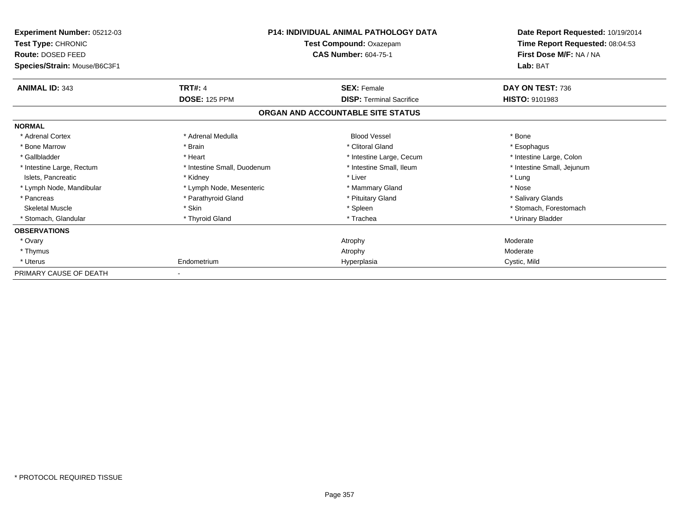| Experiment Number: 05212-03<br>Test Type: CHRONIC<br>Route: DOSED FEED<br>Species/Strain: Mouse/B6C3F1 | <b>P14: INDIVIDUAL ANIMAL PATHOLOGY DATA</b><br>Test Compound: Oxazepam<br><b>CAS Number: 604-75-1</b> |                                   | Date Report Requested: 10/19/2014<br>Time Report Requested: 08:04:53<br>First Dose M/F: NA / NA<br>Lab: BAT |
|--------------------------------------------------------------------------------------------------------|--------------------------------------------------------------------------------------------------------|-----------------------------------|-------------------------------------------------------------------------------------------------------------|
| <b>ANIMAL ID: 343</b>                                                                                  | <b>TRT#: 4</b>                                                                                         | <b>SEX: Female</b>                | DAY ON TEST: 736                                                                                            |
|                                                                                                        | <b>DOSE: 125 PPM</b>                                                                                   | <b>DISP: Terminal Sacrifice</b>   | <b>HISTO: 9101983</b>                                                                                       |
|                                                                                                        |                                                                                                        | ORGAN AND ACCOUNTABLE SITE STATUS |                                                                                                             |
| <b>NORMAL</b>                                                                                          |                                                                                                        |                                   |                                                                                                             |
| * Adrenal Cortex                                                                                       | * Adrenal Medulla                                                                                      | <b>Blood Vessel</b>               | * Bone                                                                                                      |
| * Bone Marrow                                                                                          | * Brain                                                                                                | * Clitoral Gland                  | * Esophagus                                                                                                 |
| * Gallbladder                                                                                          | * Heart                                                                                                | * Intestine Large, Cecum          | * Intestine Large, Colon                                                                                    |
| * Intestine Large, Rectum                                                                              | * Intestine Small, Duodenum                                                                            | * Intestine Small. Ileum          | * Intestine Small, Jejunum                                                                                  |
| Islets, Pancreatic                                                                                     | * Kidney                                                                                               | * Liver                           | * Lung                                                                                                      |
| * Lymph Node, Mandibular                                                                               | * Lymph Node, Mesenteric                                                                               | * Mammary Gland                   | * Nose                                                                                                      |
| * Pancreas                                                                                             | * Parathyroid Gland                                                                                    | * Pituitary Gland                 | * Salivary Glands                                                                                           |
| <b>Skeletal Muscle</b>                                                                                 | * Skin                                                                                                 | * Spleen                          | * Stomach, Forestomach                                                                                      |
| * Stomach, Glandular                                                                                   | * Thyroid Gland                                                                                        | * Trachea                         | * Urinary Bladder                                                                                           |
| <b>OBSERVATIONS</b>                                                                                    |                                                                                                        |                                   |                                                                                                             |
| * Ovary                                                                                                |                                                                                                        | Atrophy                           | Moderate                                                                                                    |
| * Thymus                                                                                               |                                                                                                        | Atrophy                           | Moderate                                                                                                    |
| * Uterus                                                                                               | Endometrium                                                                                            | Hyperplasia                       | Cystic, Mild                                                                                                |
| PRIMARY CAUSE OF DEATH                                                                                 |                                                                                                        |                                   |                                                                                                             |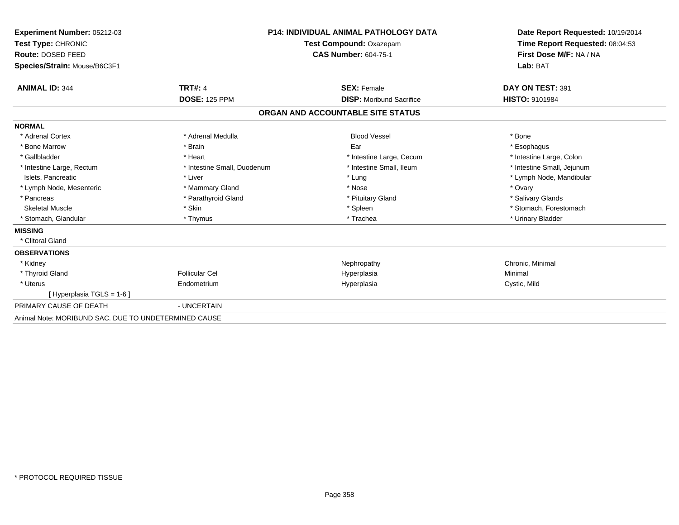| Experiment Number: 05212-03                          | <b>P14: INDIVIDUAL ANIMAL PATHOLOGY DATA</b> |                                   | Date Report Requested: 10/19/2014<br>Time Report Requested: 08:04:53<br>First Dose M/F: NA / NA |
|------------------------------------------------------|----------------------------------------------|-----------------------------------|-------------------------------------------------------------------------------------------------|
| Test Type: CHRONIC<br>Route: DOSED FEED              |                                              | Test Compound: Oxazepam           |                                                                                                 |
|                                                      |                                              | <b>CAS Number: 604-75-1</b>       |                                                                                                 |
| Species/Strain: Mouse/B6C3F1                         |                                              |                                   | Lab: BAT                                                                                        |
|                                                      |                                              |                                   |                                                                                                 |
| <b>ANIMAL ID: 344</b>                                | <b>TRT#: 4</b>                               | <b>SEX: Female</b>                | DAY ON TEST: 391                                                                                |
|                                                      | <b>DOSE: 125 PPM</b>                         | <b>DISP:</b> Moribund Sacrifice   | <b>HISTO: 9101984</b>                                                                           |
|                                                      |                                              | ORGAN AND ACCOUNTABLE SITE STATUS |                                                                                                 |
| <b>NORMAL</b>                                        |                                              |                                   |                                                                                                 |
| * Adrenal Cortex                                     | * Adrenal Medulla                            | <b>Blood Vessel</b>               | * Bone                                                                                          |
| * Bone Marrow                                        | * Brain                                      | Ear                               | * Esophagus                                                                                     |
| * Gallbladder                                        | * Heart                                      | * Intestine Large, Cecum          | * Intestine Large, Colon                                                                        |
| * Intestine Large, Rectum                            | * Intestine Small, Duodenum                  | * Intestine Small, Ileum          | * Intestine Small, Jejunum                                                                      |
| Islets, Pancreatic                                   | * Liver                                      | * Lung                            | * Lymph Node, Mandibular                                                                        |
| * Lymph Node, Mesenteric                             | * Mammary Gland                              | * Nose                            | * Ovary                                                                                         |
| * Pancreas                                           | * Parathyroid Gland                          | * Pituitary Gland                 | * Salivary Glands                                                                               |
| <b>Skeletal Muscle</b>                               | * Skin                                       | * Spleen                          | * Stomach, Forestomach                                                                          |
| * Stomach, Glandular                                 | * Thymus                                     | * Trachea                         | * Urinary Bladder                                                                               |
| <b>MISSING</b>                                       |                                              |                                   |                                                                                                 |
| * Clitoral Gland                                     |                                              |                                   |                                                                                                 |
| <b>OBSERVATIONS</b>                                  |                                              |                                   |                                                                                                 |
| * Kidney                                             |                                              | Nephropathy                       | Chronic, Minimal                                                                                |
| * Thyroid Gland                                      | <b>Follicular Cel</b>                        | Hyperplasia                       | Minimal                                                                                         |
| * Uterus                                             | Endometrium                                  | Hyperplasia                       | Cystic, Mild                                                                                    |
| [Hyperplasia TGLS = 1-6]                             |                                              |                                   |                                                                                                 |
| PRIMARY CAUSE OF DEATH                               | - UNCERTAIN                                  |                                   |                                                                                                 |
| Animal Note: MORIBUND SAC, DUE TO UNDETERMINED CAUSE |                                              |                                   |                                                                                                 |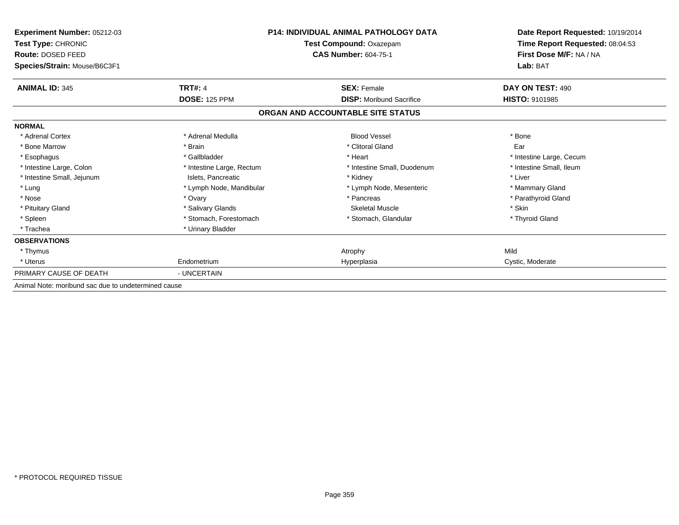| Experiment Number: 05212-03<br>Test Type: CHRONIC<br>Route: DOSED FEED<br>Species/Strain: Mouse/B6C3F1 |                           | <b>P14: INDIVIDUAL ANIMAL PATHOLOGY DATA</b><br>Test Compound: Oxazepam<br><b>CAS Number: 604-75-1</b> | Date Report Requested: 10/19/2014<br>Time Report Requested: 08:04:53<br>First Dose M/F: NA / NA<br>Lab: BAT |
|--------------------------------------------------------------------------------------------------------|---------------------------|--------------------------------------------------------------------------------------------------------|-------------------------------------------------------------------------------------------------------------|
| <b>ANIMAL ID: 345</b>                                                                                  | <b>TRT#: 4</b>            | <b>SEX: Female</b>                                                                                     | DAY ON TEST: 490                                                                                            |
|                                                                                                        | <b>DOSE: 125 PPM</b>      | <b>DISP:</b> Moribund Sacrifice                                                                        | <b>HISTO: 9101985</b>                                                                                       |
|                                                                                                        |                           | ORGAN AND ACCOUNTABLE SITE STATUS                                                                      |                                                                                                             |
| <b>NORMAL</b>                                                                                          |                           |                                                                                                        |                                                                                                             |
| * Adrenal Cortex                                                                                       | * Adrenal Medulla         | <b>Blood Vessel</b>                                                                                    | * Bone                                                                                                      |
| * Bone Marrow                                                                                          | * Brain                   | * Clitoral Gland                                                                                       | Ear                                                                                                         |
| * Esophagus                                                                                            | * Gallbladder             | * Heart                                                                                                | * Intestine Large, Cecum                                                                                    |
| * Intestine Large, Colon                                                                               | * Intestine Large, Rectum | * Intestine Small, Duodenum                                                                            | * Intestine Small, Ileum                                                                                    |
| * Intestine Small, Jejunum                                                                             | Islets, Pancreatic        | * Kidney                                                                                               | * Liver                                                                                                     |
| * Lung                                                                                                 | * Lymph Node, Mandibular  | * Lymph Node, Mesenteric                                                                               | * Mammary Gland                                                                                             |
| * Nose                                                                                                 | * Ovary                   | * Pancreas                                                                                             | * Parathyroid Gland                                                                                         |
| * Pituitary Gland                                                                                      | * Salivary Glands         | <b>Skeletal Muscle</b>                                                                                 | * Skin                                                                                                      |
| * Spleen                                                                                               | * Stomach, Forestomach    | * Stomach, Glandular                                                                                   | * Thyroid Gland                                                                                             |
| * Trachea                                                                                              | * Urinary Bladder         |                                                                                                        |                                                                                                             |
| <b>OBSERVATIONS</b>                                                                                    |                           |                                                                                                        |                                                                                                             |
| * Thymus                                                                                               |                           | Atrophy                                                                                                | Mild                                                                                                        |
| * Uterus                                                                                               | Endometrium               | Hyperplasia                                                                                            | Cystic, Moderate                                                                                            |
| PRIMARY CAUSE OF DEATH                                                                                 | - UNCERTAIN               |                                                                                                        |                                                                                                             |
| Animal Note: moribund sac due to undetermined cause                                                    |                           |                                                                                                        |                                                                                                             |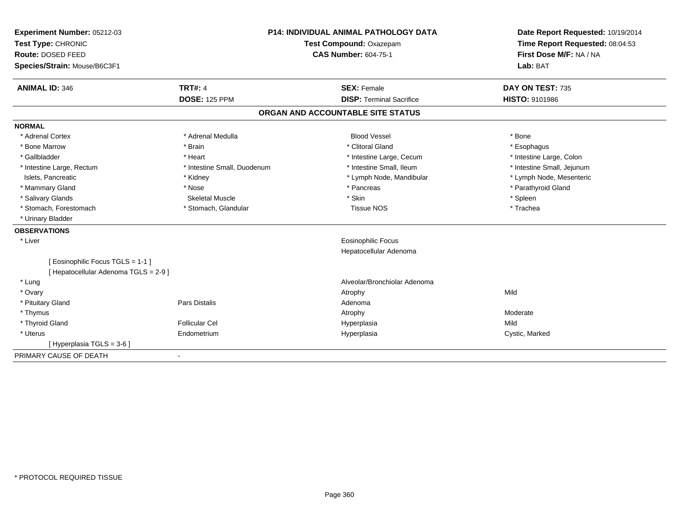| Experiment Number: 05212-03           | <b>P14: INDIVIDUAL ANIMAL PATHOLOGY DATA</b><br>Test Compound: Oxazepam |                                   | Date Report Requested: 10/19/2014 |
|---------------------------------------|-------------------------------------------------------------------------|-----------------------------------|-----------------------------------|
| Test Type: CHRONIC                    |                                                                         |                                   | Time Report Requested: 08:04:53   |
| Route: DOSED FEED                     |                                                                         | <b>CAS Number: 604-75-1</b>       | First Dose M/F: NA / NA           |
| Species/Strain: Mouse/B6C3F1          |                                                                         |                                   | Lab: BAT                          |
| <b>ANIMAL ID: 346</b>                 | <b>TRT#: 4</b>                                                          | <b>SEX: Female</b>                | DAY ON TEST: 735                  |
|                                       | <b>DOSE: 125 PPM</b>                                                    | <b>DISP: Terminal Sacrifice</b>   | HISTO: 9101986                    |
|                                       |                                                                         | ORGAN AND ACCOUNTABLE SITE STATUS |                                   |
| <b>NORMAL</b>                         |                                                                         |                                   |                                   |
| * Adrenal Cortex                      | * Adrenal Medulla                                                       | <b>Blood Vessel</b>               | * Bone                            |
| * Bone Marrow                         | * Brain                                                                 | * Clitoral Gland                  | * Esophagus                       |
| * Gallbladder                         | * Heart                                                                 | * Intestine Large, Cecum          | * Intestine Large, Colon          |
| * Intestine Large, Rectum             | * Intestine Small, Duodenum                                             | * Intestine Small, Ileum          | * Intestine Small, Jejunum        |
| Islets, Pancreatic                    | * Kidney                                                                | * Lymph Node, Mandibular          | * Lymph Node, Mesenteric          |
| * Mammary Gland                       | * Nose                                                                  | * Pancreas                        | * Parathyroid Gland               |
| * Salivary Glands                     | <b>Skeletal Muscle</b>                                                  | * Skin                            | * Spleen                          |
| * Stomach, Forestomach                | * Stomach, Glandular                                                    | <b>Tissue NOS</b>                 | * Trachea                         |
| * Urinary Bladder                     |                                                                         |                                   |                                   |
| <b>OBSERVATIONS</b>                   |                                                                         |                                   |                                   |
| * Liver                               |                                                                         | <b>Eosinophilic Focus</b>         |                                   |
|                                       |                                                                         | Hepatocellular Adenoma            |                                   |
| [ Eosinophilic Focus TGLS = 1-1 ]     |                                                                         |                                   |                                   |
| [ Hepatocellular Adenoma TGLS = 2-9 ] |                                                                         |                                   |                                   |
| * Lung                                |                                                                         | Alveolar/Bronchiolar Adenoma      |                                   |
| * Ovary                               |                                                                         | Atrophy                           | Mild                              |
| * Pituitary Gland                     | Pars Distalis                                                           | Adenoma                           |                                   |
| * Thymus                              |                                                                         | Atrophy                           | Moderate                          |
| * Thyroid Gland                       | <b>Follicular Cel</b>                                                   | Hyperplasia                       | Mild                              |
| * Uterus                              | Endometrium                                                             | Hyperplasia                       | Cystic, Marked                    |
| [Hyperplasia TGLS = 3-6]              |                                                                         |                                   |                                   |
| PRIMARY CAUSE OF DEATH                |                                                                         |                                   |                                   |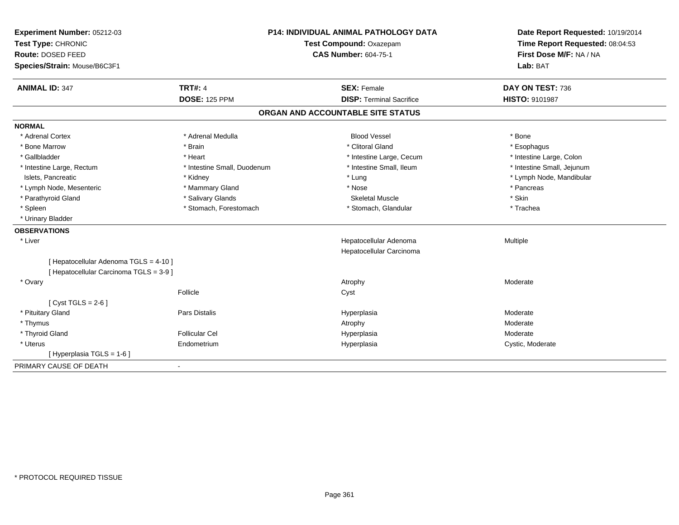| Experiment Number: 05212-03<br>Test Type: CHRONIC<br>Route: DOSED FEED<br>Species/Strain: Mouse/B6C3F1 |                             | P14: INDIVIDUAL ANIMAL PATHOLOGY DATA<br>Test Compound: Oxazepam<br><b>CAS Number: 604-75-1</b> | Date Report Requested: 10/19/2014<br>Time Report Requested: 08:04:53<br>First Dose M/F: NA / NA<br>Lab: BAT |
|--------------------------------------------------------------------------------------------------------|-----------------------------|-------------------------------------------------------------------------------------------------|-------------------------------------------------------------------------------------------------------------|
| <b>ANIMAL ID: 347</b>                                                                                  | <b>TRT#: 4</b>              | <b>SEX: Female</b>                                                                              | DAY ON TEST: 736                                                                                            |
|                                                                                                        | <b>DOSE: 125 PPM</b>        | <b>DISP: Terminal Sacrifice</b>                                                                 | <b>HISTO: 9101987</b>                                                                                       |
|                                                                                                        |                             | ORGAN AND ACCOUNTABLE SITE STATUS                                                               |                                                                                                             |
| <b>NORMAL</b>                                                                                          |                             |                                                                                                 |                                                                                                             |
| * Adrenal Cortex                                                                                       | * Adrenal Medulla           | <b>Blood Vessel</b>                                                                             | * Bone                                                                                                      |
| * Bone Marrow                                                                                          | * Brain                     | * Clitoral Gland                                                                                | * Esophagus                                                                                                 |
| * Gallbladder                                                                                          | * Heart                     | * Intestine Large, Cecum                                                                        | * Intestine Large, Colon                                                                                    |
| * Intestine Large, Rectum                                                                              | * Intestine Small, Duodenum | * Intestine Small, Ileum                                                                        | * Intestine Small, Jejunum                                                                                  |
| Islets, Pancreatic                                                                                     | * Kidney                    | * Lung                                                                                          | * Lymph Node, Mandibular                                                                                    |
| * Lymph Node, Mesenteric                                                                               | * Mammary Gland             | * Nose                                                                                          | * Pancreas                                                                                                  |
| * Parathyroid Gland                                                                                    | * Salivary Glands           | <b>Skeletal Muscle</b>                                                                          | * Skin                                                                                                      |
| * Spleen                                                                                               | * Stomach, Forestomach      | * Stomach, Glandular                                                                            | * Trachea                                                                                                   |
| * Urinary Bladder                                                                                      |                             |                                                                                                 |                                                                                                             |
| <b>OBSERVATIONS</b>                                                                                    |                             |                                                                                                 |                                                                                                             |
| * Liver                                                                                                |                             | Hepatocellular Adenoma                                                                          | Multiple                                                                                                    |
|                                                                                                        |                             | Hepatocellular Carcinoma                                                                        |                                                                                                             |
| [ Hepatocellular Adenoma TGLS = 4-10 ]<br>[ Hepatocellular Carcinoma TGLS = 3-9 ]                      |                             |                                                                                                 |                                                                                                             |
| * Ovary                                                                                                |                             | Atrophy                                                                                         | Moderate                                                                                                    |
|                                                                                                        | Follicle                    | Cyst                                                                                            |                                                                                                             |
| [Cyst TGLS = $2-6$ ]                                                                                   |                             |                                                                                                 |                                                                                                             |
| * Pituitary Gland                                                                                      | Pars Distalis               | Hyperplasia                                                                                     | Moderate                                                                                                    |
| * Thymus                                                                                               |                             | Atrophy                                                                                         | Moderate                                                                                                    |
| * Thyroid Gland                                                                                        | <b>Follicular Cel</b>       | Hyperplasia                                                                                     | Moderate                                                                                                    |
| * Uterus                                                                                               | Endometrium                 | Hyperplasia                                                                                     | Cystic, Moderate                                                                                            |
| [ Hyperplasia TGLS = 1-6 ]                                                                             |                             |                                                                                                 |                                                                                                             |
| PRIMARY CAUSE OF DEATH                                                                                 | $\sim$                      |                                                                                                 |                                                                                                             |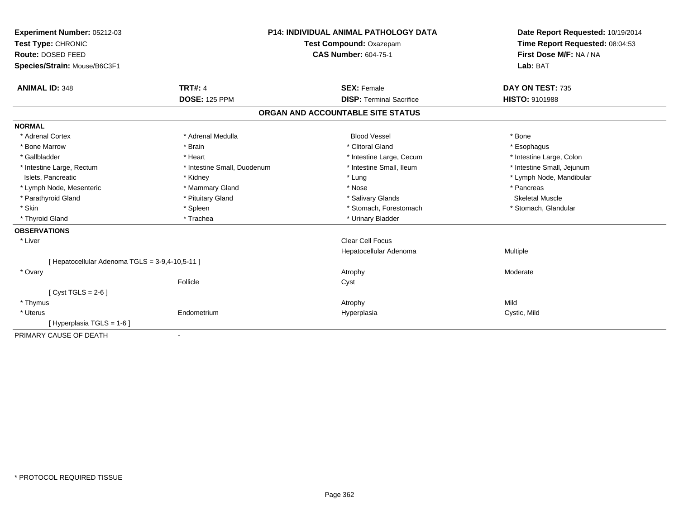| Experiment Number: 05212-03<br>Test Type: CHRONIC<br>Route: DOSED FEED<br>Species/Strain: Mouse/B6C3F1 |                             | <b>P14: INDIVIDUAL ANIMAL PATHOLOGY DATA</b><br>Test Compound: Oxazepam<br><b>CAS Number: 604-75-1</b> | Date Report Requested: 10/19/2014<br>Time Report Requested: 08:04:53<br>First Dose M/F: NA / NA<br>Lab: BAT |
|--------------------------------------------------------------------------------------------------------|-----------------------------|--------------------------------------------------------------------------------------------------------|-------------------------------------------------------------------------------------------------------------|
| <b>ANIMAL ID: 348</b>                                                                                  | <b>TRT#: 4</b>              | <b>SEX: Female</b>                                                                                     | DAY ON TEST: 735                                                                                            |
|                                                                                                        | <b>DOSE: 125 PPM</b>        | <b>DISP: Terminal Sacrifice</b>                                                                        | <b>HISTO: 9101988</b>                                                                                       |
|                                                                                                        |                             | ORGAN AND ACCOUNTABLE SITE STATUS                                                                      |                                                                                                             |
| <b>NORMAL</b>                                                                                          |                             |                                                                                                        |                                                                                                             |
| * Adrenal Cortex                                                                                       | * Adrenal Medulla           | <b>Blood Vessel</b>                                                                                    | * Bone                                                                                                      |
| * Bone Marrow                                                                                          | * Brain                     | * Clitoral Gland                                                                                       | * Esophagus                                                                                                 |
| * Gallbladder                                                                                          | * Heart                     | * Intestine Large, Cecum                                                                               | * Intestine Large, Colon                                                                                    |
| * Intestine Large, Rectum                                                                              | * Intestine Small, Duodenum | * Intestine Small. Ileum                                                                               | * Intestine Small, Jejunum                                                                                  |
| Islets, Pancreatic                                                                                     | * Kidney                    | * Lung                                                                                                 | * Lymph Node, Mandibular                                                                                    |
| * Lymph Node, Mesenteric                                                                               | * Mammary Gland             | * Nose                                                                                                 | * Pancreas                                                                                                  |
| * Parathyroid Gland                                                                                    | * Pituitary Gland           | * Salivary Glands                                                                                      | <b>Skeletal Muscle</b>                                                                                      |
| * Skin                                                                                                 | * Spleen                    | * Stomach, Forestomach                                                                                 | * Stomach, Glandular                                                                                        |
| * Thyroid Gland                                                                                        | * Trachea                   | * Urinary Bladder                                                                                      |                                                                                                             |
| <b>OBSERVATIONS</b>                                                                                    |                             |                                                                                                        |                                                                                                             |
| * Liver                                                                                                |                             | <b>Clear Cell Focus</b>                                                                                |                                                                                                             |
|                                                                                                        |                             | Hepatocellular Adenoma                                                                                 | Multiple                                                                                                    |
| [ Hepatocellular Adenoma TGLS = 3-9,4-10,5-11 ]                                                        |                             |                                                                                                        |                                                                                                             |
| * Ovary                                                                                                |                             | Atrophy                                                                                                | Moderate                                                                                                    |
|                                                                                                        | Follicle                    | Cyst                                                                                                   |                                                                                                             |
| [Cyst TGLS = $2-6$ ]                                                                                   |                             |                                                                                                        |                                                                                                             |
| * Thymus                                                                                               |                             | Atrophy                                                                                                | Mild                                                                                                        |
| * Uterus                                                                                               | Endometrium                 | Hyperplasia                                                                                            | Cystic, Mild                                                                                                |
| [Hyperplasia TGLS = 1-6]                                                                               |                             |                                                                                                        |                                                                                                             |
| PRIMARY CAUSE OF DEATH                                                                                 | $\blacksquare$              |                                                                                                        |                                                                                                             |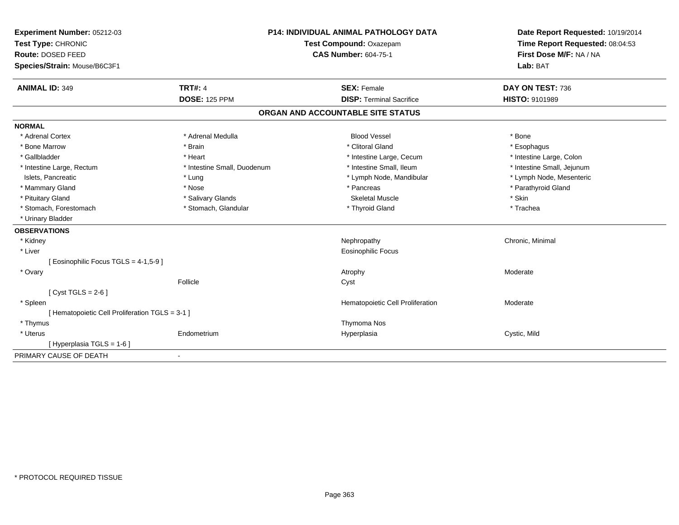| Experiment Number: 05212-03                     | P14: INDIVIDUAL ANIMAL PATHOLOGY DATA |                                   | Date Report Requested: 10/19/2014 |
|-------------------------------------------------|---------------------------------------|-----------------------------------|-----------------------------------|
| Test Type: CHRONIC                              |                                       | Test Compound: Oxazepam           | Time Report Requested: 08:04:53   |
| Route: DOSED FEED                               |                                       | <b>CAS Number: 604-75-1</b>       | First Dose M/F: NA / NA           |
| Species/Strain: Mouse/B6C3F1                    |                                       |                                   | Lab: BAT                          |
| <b>ANIMAL ID: 349</b>                           | <b>TRT#: 4</b>                        | <b>SEX: Female</b>                | DAY ON TEST: 736                  |
|                                                 | <b>DOSE: 125 PPM</b>                  | <b>DISP: Terminal Sacrifice</b>   | <b>HISTO: 9101989</b>             |
|                                                 |                                       | ORGAN AND ACCOUNTABLE SITE STATUS |                                   |
| <b>NORMAL</b>                                   |                                       |                                   |                                   |
| * Adrenal Cortex                                | * Adrenal Medulla                     | <b>Blood Vessel</b>               | * Bone                            |
| * Bone Marrow                                   | * Brain                               | * Clitoral Gland                  | * Esophagus                       |
| * Gallbladder                                   | * Heart                               | * Intestine Large, Cecum          | * Intestine Large, Colon          |
| * Intestine Large, Rectum                       | * Intestine Small, Duodenum           | * Intestine Small, Ileum          | * Intestine Small, Jejunum        |
| Islets, Pancreatic                              | * Lung                                | * Lymph Node, Mandibular          | * Lymph Node, Mesenteric          |
| * Mammary Gland                                 | * Nose                                | * Pancreas                        | * Parathyroid Gland               |
| * Pituitary Gland                               | * Salivary Glands                     | <b>Skeletal Muscle</b>            | * Skin                            |
| * Stomach, Forestomach                          | * Stomach, Glandular                  | * Thyroid Gland                   | * Trachea                         |
| * Urinary Bladder                               |                                       |                                   |                                   |
| <b>OBSERVATIONS</b>                             |                                       |                                   |                                   |
| * Kidney                                        |                                       | Nephropathy                       | Chronic, Minimal                  |
| * Liver                                         |                                       | Eosinophilic Focus                |                                   |
| [ Eosinophilic Focus TGLS = 4-1,5-9 ]           |                                       |                                   |                                   |
| * Ovary                                         |                                       | Atrophy                           | Moderate                          |
|                                                 | Follicle                              | Cyst                              |                                   |
| [Cyst TGLS = $2-6$ ]                            |                                       |                                   |                                   |
| * Spleen                                        |                                       | Hematopoietic Cell Proliferation  | Moderate                          |
| [ Hematopoietic Cell Proliferation TGLS = 3-1 ] |                                       |                                   |                                   |
| * Thymus                                        |                                       | Thymoma Nos                       |                                   |
| * Uterus                                        | Endometrium                           | Hyperplasia                       | Cystic, Mild                      |
| [Hyperplasia TGLS = 1-6]                        |                                       |                                   |                                   |
| PRIMARY CAUSE OF DEATH                          |                                       |                                   |                                   |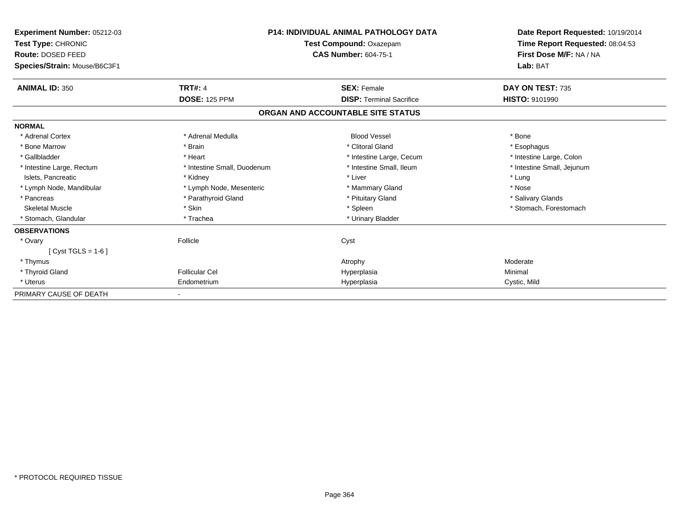| Experiment Number: 05212-03<br><b>Test Type: CHRONIC</b><br>Route: DOSED FEED |                             | <b>P14: INDIVIDUAL ANIMAL PATHOLOGY DATA</b><br>Test Compound: Oxazepam<br><b>CAS Number: 604-75-1</b> | Date Report Requested: 10/19/2014<br>Time Report Requested: 08:04:53<br>First Dose M/F: NA / NA |
|-------------------------------------------------------------------------------|-----------------------------|--------------------------------------------------------------------------------------------------------|-------------------------------------------------------------------------------------------------|
| Species/Strain: Mouse/B6C3F1                                                  |                             |                                                                                                        | Lab: BAT                                                                                        |
| <b>ANIMAL ID: 350</b>                                                         | <b>TRT#: 4</b>              | <b>SEX: Female</b>                                                                                     | DAY ON TEST: 735                                                                                |
|                                                                               | <b>DOSE: 125 PPM</b>        | <b>DISP: Terminal Sacrifice</b>                                                                        | <b>HISTO: 9101990</b>                                                                           |
|                                                                               |                             | ORGAN AND ACCOUNTABLE SITE STATUS                                                                      |                                                                                                 |
| <b>NORMAL</b>                                                                 |                             |                                                                                                        |                                                                                                 |
| * Adrenal Cortex                                                              | * Adrenal Medulla           | <b>Blood Vessel</b>                                                                                    | * Bone                                                                                          |
| * Bone Marrow                                                                 | * Brain                     | * Clitoral Gland                                                                                       | * Esophagus                                                                                     |
| * Gallbladder                                                                 | * Heart                     | * Intestine Large, Cecum                                                                               | * Intestine Large, Colon                                                                        |
| * Intestine Large, Rectum                                                     | * Intestine Small, Duodenum | * Intestine Small, Ileum                                                                               | * Intestine Small, Jejunum                                                                      |
| Islets, Pancreatic                                                            | * Kidney                    | * Liver                                                                                                | * Lung                                                                                          |
| * Lymph Node, Mandibular                                                      | * Lymph Node, Mesenteric    | * Mammary Gland                                                                                        | * Nose                                                                                          |
| * Pancreas                                                                    | * Parathyroid Gland         | * Pituitary Gland                                                                                      | * Salivary Glands                                                                               |
| <b>Skeletal Muscle</b>                                                        | * Skin                      | * Spleen                                                                                               | * Stomach, Forestomach                                                                          |
| * Stomach, Glandular                                                          | * Trachea                   | * Urinary Bladder                                                                                      |                                                                                                 |
| <b>OBSERVATIONS</b>                                                           |                             |                                                                                                        |                                                                                                 |
| * Ovary                                                                       | Follicle                    | Cyst                                                                                                   |                                                                                                 |
| $Cvst TGLS = 1-6$                                                             |                             |                                                                                                        |                                                                                                 |
| * Thymus                                                                      |                             | Atrophy                                                                                                | Moderate                                                                                        |
| * Thyroid Gland                                                               | <b>Follicular Cel</b>       | Hyperplasia                                                                                            | Minimal                                                                                         |
| * Uterus                                                                      | Endometrium                 | Hyperplasia                                                                                            | Cystic, Mild                                                                                    |
| PRIMARY CAUSE OF DEATH                                                        |                             |                                                                                                        |                                                                                                 |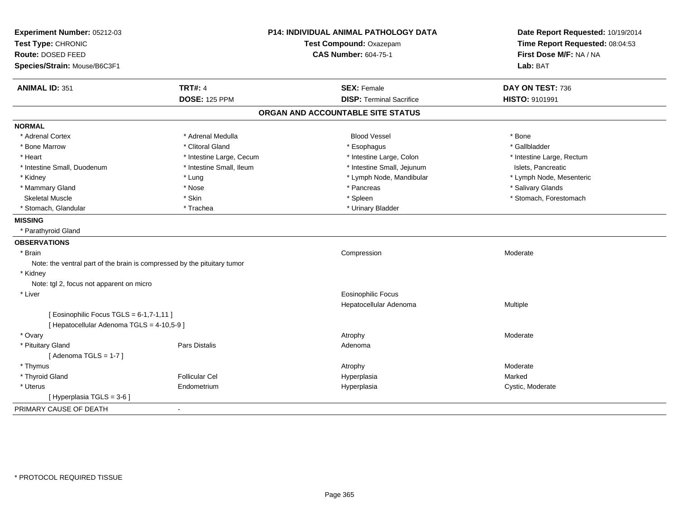| Experiment Number: 05212-03                                              | P14: INDIVIDUAL ANIMAL PATHOLOGY DATA |                                   | Date Report Requested: 10/19/2014                          |
|--------------------------------------------------------------------------|---------------------------------------|-----------------------------------|------------------------------------------------------------|
| Test Type: CHRONIC                                                       |                                       | Test Compound: Oxazepam           | Time Report Requested: 08:04:53<br>First Dose M/F: NA / NA |
| Route: DOSED FEED                                                        |                                       | <b>CAS Number: 604-75-1</b>       |                                                            |
| Species/Strain: Mouse/B6C3F1                                             |                                       |                                   | Lab: BAT                                                   |
| <b>ANIMAL ID: 351</b>                                                    | <b>TRT#: 4</b>                        | <b>SEX: Female</b>                | DAY ON TEST: 736                                           |
|                                                                          | <b>DOSE: 125 PPM</b>                  | <b>DISP: Terminal Sacrifice</b>   | HISTO: 9101991                                             |
|                                                                          |                                       | ORGAN AND ACCOUNTABLE SITE STATUS |                                                            |
| <b>NORMAL</b>                                                            |                                       |                                   |                                                            |
| * Adrenal Cortex                                                         | * Adrenal Medulla                     | <b>Blood Vessel</b>               | * Bone                                                     |
| * Bone Marrow                                                            | * Clitoral Gland                      | * Esophagus                       | * Gallbladder                                              |
| * Heart                                                                  | * Intestine Large, Cecum              | * Intestine Large, Colon          | * Intestine Large, Rectum                                  |
| * Intestine Small, Duodenum                                              | * Intestine Small, Ileum              | * Intestine Small, Jejunum        | Islets, Pancreatic                                         |
| * Kidney                                                                 | * Lung                                | * Lymph Node, Mandibular          | * Lymph Node, Mesenteric                                   |
| * Mammary Gland                                                          | * Nose                                | * Pancreas                        | * Salivary Glands                                          |
| <b>Skeletal Muscle</b>                                                   | * Skin                                | * Spleen                          | * Stomach, Forestomach                                     |
| * Stomach, Glandular                                                     | * Trachea                             | * Urinary Bladder                 |                                                            |
| <b>MISSING</b>                                                           |                                       |                                   |                                                            |
| * Parathyroid Gland                                                      |                                       |                                   |                                                            |
| <b>OBSERVATIONS</b>                                                      |                                       |                                   |                                                            |
| * Brain                                                                  |                                       | Compression                       | Moderate                                                   |
| Note: the ventral part of the brain is compressed by the pituitary tumor |                                       |                                   |                                                            |
| * Kidney                                                                 |                                       |                                   |                                                            |
| Note: tgl 2, focus not apparent on micro                                 |                                       |                                   |                                                            |
| * Liver                                                                  |                                       | <b>Eosinophilic Focus</b>         |                                                            |
|                                                                          |                                       | Hepatocellular Adenoma            | Multiple                                                   |
| [ Eosinophilic Focus TGLS = $6-1,7-1,11$ ]                               |                                       |                                   |                                                            |
| [ Hepatocellular Adenoma TGLS = 4-10,5-9 ]                               |                                       |                                   |                                                            |
| * Ovary                                                                  |                                       | Atrophy                           | Moderate                                                   |
| * Pituitary Gland                                                        | Pars Distalis                         | Adenoma                           |                                                            |
| [Adenoma TGLS = $1-7$ ]                                                  |                                       |                                   |                                                            |
| * Thymus                                                                 |                                       | Atrophy                           | Moderate                                                   |
| * Thyroid Gland                                                          | <b>Follicular Cel</b>                 | Hyperplasia                       | Marked                                                     |
| * Uterus                                                                 | Endometrium                           | Hyperplasia                       | Cystic, Moderate                                           |
| [Hyperplasia TGLS = 3-6]                                                 |                                       |                                   |                                                            |
| PRIMARY CAUSE OF DEATH                                                   | $\blacksquare$                        |                                   |                                                            |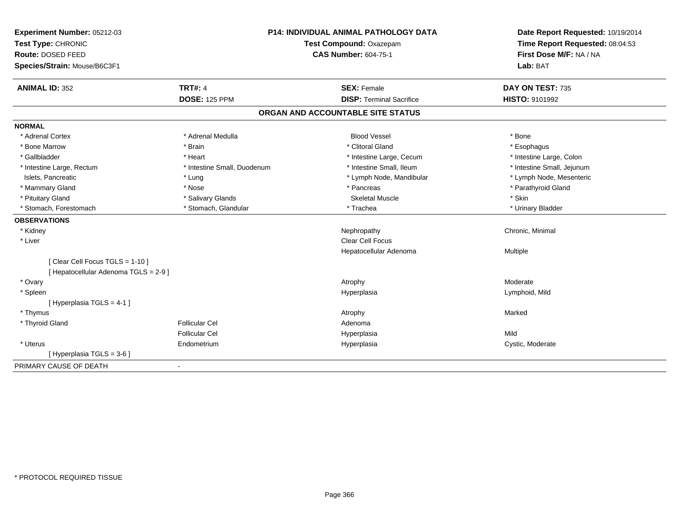| Experiment Number: 05212-03                                             | <b>P14: INDIVIDUAL ANIMAL PATHOLOGY DATA</b> |                                   | Date Report Requested: 10/19/2014 |
|-------------------------------------------------------------------------|----------------------------------------------|-----------------------------------|-----------------------------------|
| Test Type: CHRONIC<br>Test Compound: Oxazepam                           |                                              |                                   | Time Report Requested: 08:04:53   |
| Route: DOSED FEED                                                       |                                              | <b>CAS Number: 604-75-1</b>       | First Dose M/F: NA / NA           |
| Species/Strain: Mouse/B6C3F1                                            |                                              |                                   | Lab: BAT                          |
| <b>ANIMAL ID: 352</b>                                                   | <b>TRT#: 4</b>                               | <b>SEX: Female</b>                | DAY ON TEST: 735                  |
|                                                                         | <b>DOSE: 125 PPM</b>                         | <b>DISP: Terminal Sacrifice</b>   | HISTO: 9101992                    |
|                                                                         |                                              | ORGAN AND ACCOUNTABLE SITE STATUS |                                   |
| <b>NORMAL</b>                                                           |                                              |                                   |                                   |
| * Adrenal Cortex                                                        | * Adrenal Medulla                            | <b>Blood Vessel</b>               | * Bone                            |
| * Bone Marrow                                                           | * Brain                                      | * Clitoral Gland                  | * Esophagus                       |
| * Gallbladder                                                           | * Heart                                      | * Intestine Large, Cecum          | * Intestine Large, Colon          |
| * Intestine Large, Rectum                                               | * Intestine Small, Duodenum                  | * Intestine Small, Ileum          | * Intestine Small, Jejunum        |
| Islets, Pancreatic                                                      | * Lung                                       | * Lymph Node, Mandibular          | * Lymph Node, Mesenteric          |
| * Mammary Gland                                                         | * Nose                                       | * Pancreas                        | * Parathyroid Gland               |
| * Pituitary Gland                                                       | * Salivary Glands                            | <b>Skeletal Muscle</b>            | * Skin                            |
| * Stomach, Forestomach                                                  | * Stomach, Glandular                         | * Trachea                         | * Urinary Bladder                 |
| <b>OBSERVATIONS</b>                                                     |                                              |                                   |                                   |
| * Kidney                                                                |                                              | Nephropathy                       | Chronic, Minimal                  |
| * Liver                                                                 |                                              | <b>Clear Cell Focus</b>           |                                   |
|                                                                         |                                              | Hepatocellular Adenoma            | Multiple                          |
| [Clear Cell Focus TGLS = 1-10]<br>[ Hepatocellular Adenoma TGLS = 2-9 ] |                                              |                                   |                                   |
| * Ovary                                                                 |                                              | Atrophy                           | Moderate                          |
| * Spleen                                                                |                                              | Hyperplasia                       | Lymphoid, Mild                    |
| [Hyperplasia TGLS = 4-1]                                                |                                              |                                   |                                   |
| * Thymus                                                                |                                              | Atrophy                           | Marked                            |
| * Thyroid Gland                                                         | <b>Follicular Cel</b>                        | Adenoma                           |                                   |
|                                                                         | <b>Follicular Cel</b>                        | Hyperplasia                       | Mild                              |
| * Uterus                                                                | Endometrium                                  | Hyperplasia                       | Cystic, Moderate                  |
| [ Hyperplasia TGLS = 3-6 ]                                              |                                              |                                   |                                   |
| PRIMARY CAUSE OF DEATH                                                  | $\sim$                                       |                                   |                                   |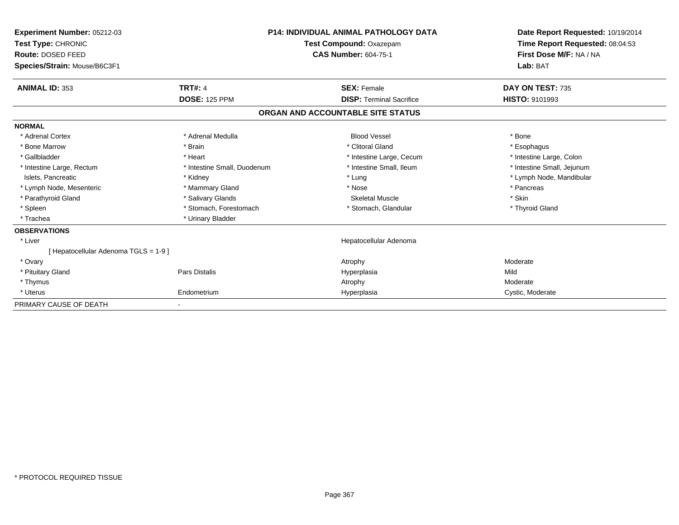| Experiment Number: 05212-03<br>Test Type: CHRONIC<br>Route: DOSED FEED<br>Species/Strain: Mouse/B6C3F1 |                             | <b>P14: INDIVIDUAL ANIMAL PATHOLOGY DATA</b><br>Test Compound: Oxazepam<br><b>CAS Number: 604-75-1</b> | Date Report Requested: 10/19/2014<br>Time Report Requested: 08:04:53<br>First Dose M/F: NA / NA<br>Lab: BAT |  |
|--------------------------------------------------------------------------------------------------------|-----------------------------|--------------------------------------------------------------------------------------------------------|-------------------------------------------------------------------------------------------------------------|--|
| <b>ANIMAL ID: 353</b>                                                                                  | <b>TRT#: 4</b>              | <b>SEX: Female</b>                                                                                     | DAY ON TEST: 735                                                                                            |  |
|                                                                                                        | <b>DOSE: 125 PPM</b>        | <b>DISP: Terminal Sacrifice</b>                                                                        | <b>HISTO: 9101993</b>                                                                                       |  |
|                                                                                                        |                             | ORGAN AND ACCOUNTABLE SITE STATUS                                                                      |                                                                                                             |  |
| <b>NORMAL</b>                                                                                          |                             |                                                                                                        |                                                                                                             |  |
| * Adrenal Cortex                                                                                       | * Adrenal Medulla           | <b>Blood Vessel</b>                                                                                    | * Bone                                                                                                      |  |
| * Bone Marrow                                                                                          | * Brain                     | * Clitoral Gland                                                                                       | * Esophagus                                                                                                 |  |
| * Gallbladder                                                                                          | * Heart                     | * Intestine Large, Cecum                                                                               | * Intestine Large, Colon                                                                                    |  |
| * Intestine Large, Rectum                                                                              | * Intestine Small, Duodenum | * Intestine Small, Ileum                                                                               | * Intestine Small, Jejunum                                                                                  |  |
| Islets, Pancreatic                                                                                     | * Kidney                    | * Lung                                                                                                 | * Lymph Node, Mandibular                                                                                    |  |
| * Lymph Node, Mesenteric                                                                               | * Mammary Gland             | * Nose                                                                                                 | * Pancreas                                                                                                  |  |
| * Parathyroid Gland                                                                                    | * Salivary Glands           | <b>Skeletal Muscle</b>                                                                                 | * Skin                                                                                                      |  |
| * Spleen                                                                                               | * Stomach, Forestomach      | * Stomach, Glandular                                                                                   | * Thyroid Gland                                                                                             |  |
| * Trachea                                                                                              | * Urinary Bladder           |                                                                                                        |                                                                                                             |  |
| <b>OBSERVATIONS</b>                                                                                    |                             |                                                                                                        |                                                                                                             |  |
| * Liver                                                                                                |                             | Hepatocellular Adenoma                                                                                 |                                                                                                             |  |
| [Hepatocellular Adenoma TGLS = 1-9]                                                                    |                             |                                                                                                        |                                                                                                             |  |
| * Ovary                                                                                                |                             | Atrophy                                                                                                | Moderate                                                                                                    |  |
| * Pituitary Gland                                                                                      | Pars Distalis               | Hyperplasia                                                                                            | Mild                                                                                                        |  |
| * Thymus                                                                                               |                             | Atrophy                                                                                                | Moderate                                                                                                    |  |
| * Uterus                                                                                               | Endometrium                 | Hyperplasia                                                                                            | Cystic, Moderate                                                                                            |  |
| PRIMARY CAUSE OF DEATH                                                                                 |                             |                                                                                                        |                                                                                                             |  |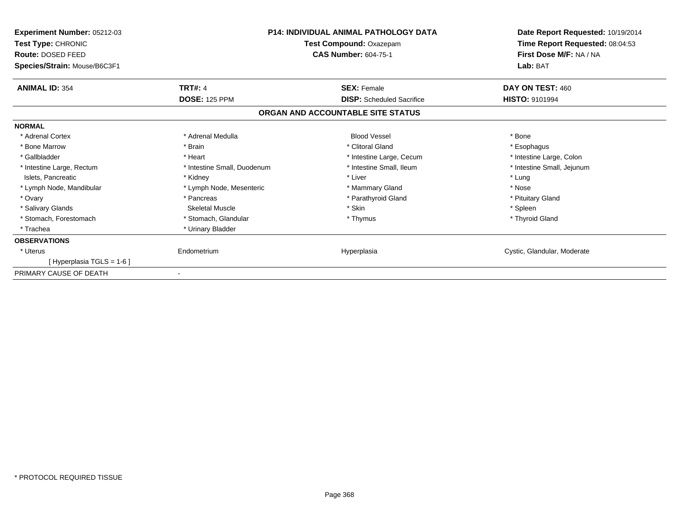| <b>Experiment Number: 05212-03</b><br>Test Type: CHRONIC<br><b>Route: DOSED FEED</b><br>Species/Strain: Mouse/B6C3F1 |                             | <b>P14: INDIVIDUAL ANIMAL PATHOLOGY DATA</b><br>Test Compound: Oxazepam<br><b>CAS Number: 604-75-1</b> | Date Report Requested: 10/19/2014<br>Time Report Requested: 08:04:53<br>First Dose M/F: NA / NA<br>Lab: BAT |
|----------------------------------------------------------------------------------------------------------------------|-----------------------------|--------------------------------------------------------------------------------------------------------|-------------------------------------------------------------------------------------------------------------|
| <b>ANIMAL ID: 354</b>                                                                                                | <b>TRT#: 4</b>              | <b>SEX: Female</b>                                                                                     | DAY ON TEST: 460                                                                                            |
|                                                                                                                      | <b>DOSE: 125 PPM</b>        | <b>DISP:</b> Scheduled Sacrifice                                                                       | <b>HISTO: 9101994</b>                                                                                       |
|                                                                                                                      |                             | ORGAN AND ACCOUNTABLE SITE STATUS                                                                      |                                                                                                             |
| <b>NORMAL</b>                                                                                                        |                             |                                                                                                        |                                                                                                             |
| * Adrenal Cortex                                                                                                     | * Adrenal Medulla           | <b>Blood Vessel</b>                                                                                    | * Bone                                                                                                      |
| * Bone Marrow                                                                                                        | * Brain                     | * Clitoral Gland                                                                                       | * Esophagus                                                                                                 |
| * Gallbladder                                                                                                        | * Heart                     | * Intestine Large, Cecum                                                                               | * Intestine Large, Colon                                                                                    |
| * Intestine Large, Rectum                                                                                            | * Intestine Small, Duodenum | * Intestine Small, Ileum                                                                               | * Intestine Small, Jejunum                                                                                  |
| Islets, Pancreatic                                                                                                   | * Kidney                    | * Liver                                                                                                | * Lung                                                                                                      |
| * Lymph Node, Mandibular                                                                                             | * Lymph Node, Mesenteric    | * Mammary Gland                                                                                        | * Nose                                                                                                      |
| * Ovary                                                                                                              | * Pancreas                  | * Parathyroid Gland                                                                                    | * Pituitary Gland                                                                                           |
| * Salivary Glands                                                                                                    | <b>Skeletal Muscle</b>      | * Skin                                                                                                 | * Spleen                                                                                                    |
| * Stomach, Forestomach                                                                                               | * Stomach, Glandular        | * Thymus                                                                                               | * Thyroid Gland                                                                                             |
| * Trachea                                                                                                            | * Urinary Bladder           |                                                                                                        |                                                                                                             |
| <b>OBSERVATIONS</b>                                                                                                  |                             |                                                                                                        |                                                                                                             |
| * Uterus                                                                                                             | Endometrium                 | Hyperplasia                                                                                            | Cystic, Glandular, Moderate                                                                                 |
| [ Hyperplasia TGLS = 1-6 ]                                                                                           |                             |                                                                                                        |                                                                                                             |
| PRIMARY CAUSE OF DEATH                                                                                               |                             |                                                                                                        |                                                                                                             |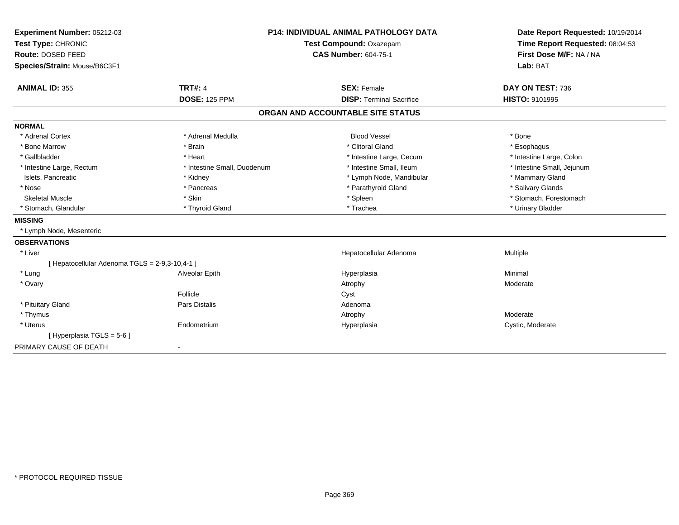| Experiment Number: 05212-03                    | <b>P14: INDIVIDUAL ANIMAL PATHOLOGY DATA</b><br>Test Compound: Oxazepam |                                   | Date Report Requested: 10/19/2014 |
|------------------------------------------------|-------------------------------------------------------------------------|-----------------------------------|-----------------------------------|
| Test Type: CHRONIC                             |                                                                         |                                   | Time Report Requested: 08:04:53   |
| Route: DOSED FEED                              |                                                                         | <b>CAS Number: 604-75-1</b>       | First Dose M/F: NA / NA           |
| Species/Strain: Mouse/B6C3F1                   |                                                                         |                                   | Lab: BAT                          |
| <b>ANIMAL ID: 355</b>                          | <b>TRT#: 4</b>                                                          | <b>SEX: Female</b>                | DAY ON TEST: 736                  |
|                                                | <b>DOSE: 125 PPM</b>                                                    | <b>DISP: Terminal Sacrifice</b>   | <b>HISTO: 9101995</b>             |
|                                                |                                                                         | ORGAN AND ACCOUNTABLE SITE STATUS |                                   |
| <b>NORMAL</b>                                  |                                                                         |                                   |                                   |
| * Adrenal Cortex                               | * Adrenal Medulla                                                       | <b>Blood Vessel</b>               | * Bone                            |
| * Bone Marrow                                  | * Brain                                                                 | * Clitoral Gland                  | * Esophagus                       |
| * Gallbladder                                  | * Heart                                                                 | * Intestine Large, Cecum          | * Intestine Large, Colon          |
| * Intestine Large, Rectum                      | * Intestine Small, Duodenum                                             | * Intestine Small, Ileum          | * Intestine Small, Jejunum        |
| Islets, Pancreatic                             | * Kidney                                                                | * Lymph Node, Mandibular          | * Mammary Gland                   |
| * Nose                                         | * Pancreas                                                              | * Parathyroid Gland               | * Salivary Glands                 |
| <b>Skeletal Muscle</b>                         | * Skin                                                                  | * Spleen                          | * Stomach, Forestomach            |
| * Stomach, Glandular                           | * Thyroid Gland                                                         | * Trachea                         | * Urinary Bladder                 |
| <b>MISSING</b>                                 |                                                                         |                                   |                                   |
| * Lymph Node, Mesenteric                       |                                                                         |                                   |                                   |
| <b>OBSERVATIONS</b>                            |                                                                         |                                   |                                   |
| * Liver                                        |                                                                         | Hepatocellular Adenoma            | Multiple                          |
| [ Hepatocellular Adenoma TGLS = 2-9,3-10,4-1 ] |                                                                         |                                   |                                   |
| * Lung                                         | Alveolar Epith                                                          | Hyperplasia                       | Minimal                           |
| * Ovary                                        |                                                                         | Atrophy                           | Moderate                          |
|                                                | Follicle                                                                | Cyst                              |                                   |
| * Pituitary Gland                              | Pars Distalis                                                           | Adenoma                           |                                   |
| * Thymus                                       |                                                                         | Atrophy                           | Moderate                          |
| * Uterus                                       | Endometrium                                                             | Hyperplasia                       | Cystic, Moderate                  |
| [Hyperplasia TGLS = 5-6]                       |                                                                         |                                   |                                   |
| PRIMARY CAUSE OF DEATH                         | $\overline{\phantom{a}}$                                                |                                   |                                   |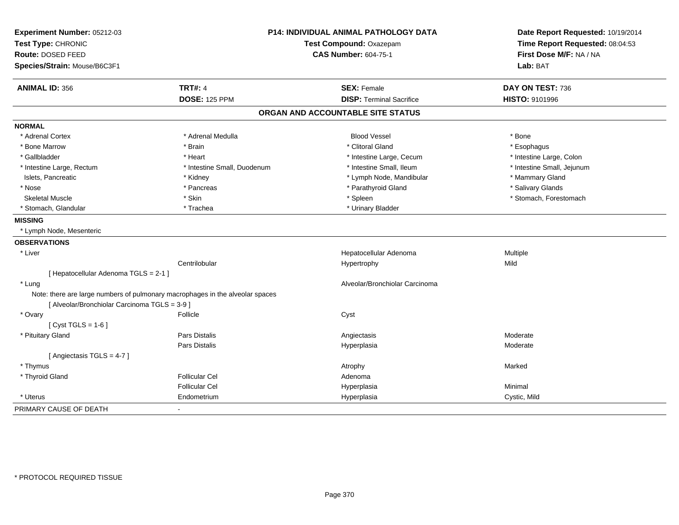| Experiment Number: 05212-03<br>Test Type: CHRONIC |                                                                               | P14: INDIVIDUAL ANIMAL PATHOLOGY DATA<br>Test Compound: Oxazepam | Date Report Requested: 10/19/2014<br>Time Report Requested: 08:04:53 |
|---------------------------------------------------|-------------------------------------------------------------------------------|------------------------------------------------------------------|----------------------------------------------------------------------|
| Route: DOSED FEED                                 |                                                                               | <b>CAS Number: 604-75-1</b>                                      | First Dose M/F: NA / NA                                              |
| Species/Strain: Mouse/B6C3F1                      |                                                                               |                                                                  | Lab: BAT                                                             |
| <b>ANIMAL ID: 356</b>                             | <b>TRT#: 4</b>                                                                | <b>SEX: Female</b>                                               | DAY ON TEST: 736                                                     |
|                                                   | <b>DOSE: 125 PPM</b>                                                          | <b>DISP: Terminal Sacrifice</b>                                  | HISTO: 9101996                                                       |
|                                                   |                                                                               | ORGAN AND ACCOUNTABLE SITE STATUS                                |                                                                      |
| <b>NORMAL</b>                                     |                                                                               |                                                                  |                                                                      |
| * Adrenal Cortex                                  | * Adrenal Medulla                                                             | <b>Blood Vessel</b>                                              | * Bone                                                               |
| * Bone Marrow                                     | * Brain                                                                       | * Clitoral Gland                                                 | * Esophagus                                                          |
| * Gallbladder                                     | * Heart                                                                       | * Intestine Large, Cecum                                         | * Intestine Large, Colon                                             |
| * Intestine Large, Rectum                         | * Intestine Small, Duodenum                                                   | * Intestine Small, Ileum                                         | * Intestine Small, Jejunum                                           |
| Islets, Pancreatic                                | * Kidney                                                                      | * Lymph Node, Mandibular                                         | * Mammary Gland                                                      |
| * Nose                                            | * Pancreas                                                                    | * Parathyroid Gland                                              | * Salivary Glands                                                    |
| <b>Skeletal Muscle</b>                            | * Skin                                                                        | * Spleen                                                         | * Stomach, Forestomach                                               |
| * Stomach, Glandular                              | * Trachea                                                                     | * Urinary Bladder                                                |                                                                      |
| <b>MISSING</b>                                    |                                                                               |                                                                  |                                                                      |
| * Lymph Node, Mesenteric                          |                                                                               |                                                                  |                                                                      |
| <b>OBSERVATIONS</b>                               |                                                                               |                                                                  |                                                                      |
| * Liver                                           |                                                                               | Hepatocellular Adenoma                                           | Multiple                                                             |
|                                                   | Centrilobular                                                                 | Hypertrophy                                                      | Mild                                                                 |
| [ Hepatocellular Adenoma TGLS = 2-1 ]             |                                                                               |                                                                  |                                                                      |
| * Lung                                            |                                                                               | Alveolar/Bronchiolar Carcinoma                                   |                                                                      |
| [ Alveolar/Bronchiolar Carcinoma TGLS = 3-9 ]     | Note: there are large numbers of pulmonary macrophages in the alveolar spaces |                                                                  |                                                                      |
| * Ovary                                           | Follicle                                                                      | Cyst                                                             |                                                                      |
| [Cyst TGLS = $1-6$ ]                              |                                                                               |                                                                  |                                                                      |
| * Pituitary Gland                                 | Pars Distalis                                                                 | Angiectasis                                                      | Moderate                                                             |
|                                                   | <b>Pars Distalis</b>                                                          | Hyperplasia                                                      | Moderate                                                             |
| [Angiectasis TGLS = 4-7]                          |                                                                               |                                                                  |                                                                      |
| * Thymus                                          |                                                                               | Atrophy                                                          | Marked                                                               |
| * Thyroid Gland                                   | <b>Follicular Cel</b>                                                         | Adenoma                                                          |                                                                      |
|                                                   | <b>Follicular Cel</b>                                                         | Hyperplasia                                                      | Minimal                                                              |
| * Uterus                                          | Endometrium                                                                   | Hyperplasia                                                      | Cystic, Mild                                                         |
| PRIMARY CAUSE OF DEATH                            | $\blacksquare$                                                                |                                                                  |                                                                      |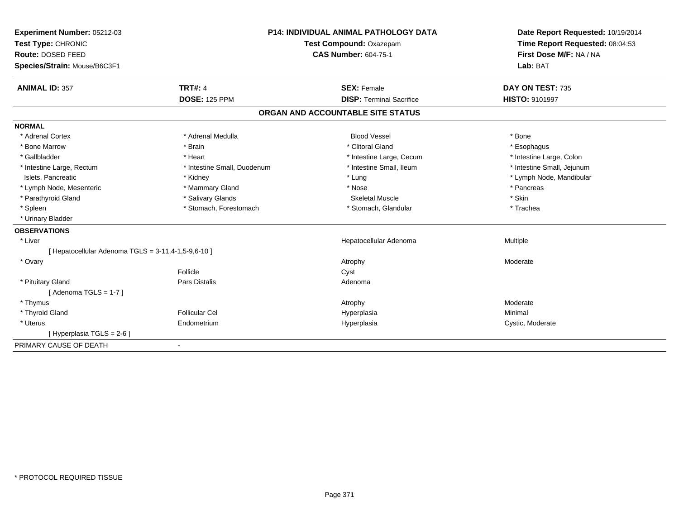| Experiment Number: 05212-03                         | <b>P14: INDIVIDUAL ANIMAL PATHOLOGY DATA</b> |                                   | Date Report Requested: 10/19/2014 |
|-----------------------------------------------------|----------------------------------------------|-----------------------------------|-----------------------------------|
| Test Type: CHRONIC<br>Route: DOSED FEED             |                                              | Test Compound: Oxazepam           | Time Report Requested: 08:04:53   |
|                                                     |                                              | <b>CAS Number: 604-75-1</b>       | First Dose M/F: NA / NA           |
| Species/Strain: Mouse/B6C3F1                        |                                              |                                   | Lab: BAT                          |
| <b>ANIMAL ID: 357</b>                               | <b>TRT#: 4</b>                               | <b>SEX: Female</b>                | DAY ON TEST: 735                  |
|                                                     | <b>DOSE: 125 PPM</b>                         | <b>DISP: Terminal Sacrifice</b>   | HISTO: 9101997                    |
|                                                     |                                              | ORGAN AND ACCOUNTABLE SITE STATUS |                                   |
| <b>NORMAL</b>                                       |                                              |                                   |                                   |
| * Adrenal Cortex                                    | * Adrenal Medulla                            | <b>Blood Vessel</b>               | * Bone                            |
| * Bone Marrow                                       | * Brain                                      | * Clitoral Gland                  | * Esophagus                       |
| * Gallbladder                                       | * Heart                                      | * Intestine Large, Cecum          | * Intestine Large, Colon          |
| * Intestine Large, Rectum                           | * Intestine Small, Duodenum                  | * Intestine Small, Ileum          | * Intestine Small, Jejunum        |
| Islets, Pancreatic                                  | * Kidney                                     | * Lung                            | * Lymph Node, Mandibular          |
| * Lymph Node, Mesenteric                            | * Mammary Gland                              | * Nose                            | * Pancreas                        |
| * Parathyroid Gland                                 | * Salivary Glands                            | <b>Skeletal Muscle</b>            | * Skin                            |
| * Spleen                                            | * Stomach, Forestomach                       | * Stomach, Glandular              | * Trachea                         |
| * Urinary Bladder                                   |                                              |                                   |                                   |
| <b>OBSERVATIONS</b>                                 |                                              |                                   |                                   |
| * Liver                                             |                                              | Hepatocellular Adenoma            | <b>Multiple</b>                   |
| [ Hepatocellular Adenoma TGLS = 3-11,4-1,5-9,6-10 ] |                                              |                                   |                                   |
| * Ovary                                             |                                              | Atrophy                           | Moderate                          |
|                                                     | Follicle                                     | Cyst                              |                                   |
| * Pituitary Gland                                   | <b>Pars Distalis</b>                         | Adenoma                           |                                   |
| [Adenoma TGLS = $1-7$ ]                             |                                              |                                   |                                   |
| * Thymus                                            |                                              | Atrophy                           | Moderate                          |
| * Thyroid Gland                                     | <b>Follicular Cel</b>                        | Hyperplasia                       | Minimal                           |
| * Uterus                                            | Endometrium                                  | Hyperplasia                       | Cystic, Moderate                  |
| [Hyperplasia TGLS = $2-6$ ]                         |                                              |                                   |                                   |
| PRIMARY CAUSE OF DEATH                              |                                              |                                   |                                   |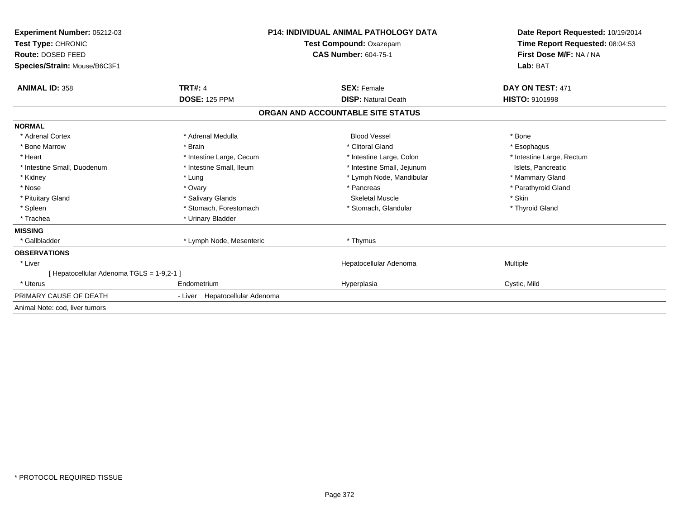| Experiment Number: 05212-03<br>Test Type: CHRONIC<br><b>Route: DOSED FEED</b> |                                | <b>P14: INDIVIDUAL ANIMAL PATHOLOGY DATA</b><br><b>Test Compound: Oxazepam</b><br><b>CAS Number: 604-75-1</b> | Date Report Requested: 10/19/2014<br>Time Report Requested: 08:04:53<br>First Dose M/F: NA / NA |  |
|-------------------------------------------------------------------------------|--------------------------------|---------------------------------------------------------------------------------------------------------------|-------------------------------------------------------------------------------------------------|--|
| Species/Strain: Mouse/B6C3F1                                                  |                                |                                                                                                               | Lab: BAT                                                                                        |  |
| <b>ANIMAL ID: 358</b>                                                         | <b>TRT#: 4</b>                 | <b>SEX: Female</b>                                                                                            | DAY ON TEST: 471                                                                                |  |
|                                                                               | <b>DOSE: 125 PPM</b>           | <b>DISP: Natural Death</b>                                                                                    | <b>HISTO: 9101998</b>                                                                           |  |
|                                                                               |                                | ORGAN AND ACCOUNTABLE SITE STATUS                                                                             |                                                                                                 |  |
| <b>NORMAL</b>                                                                 |                                |                                                                                                               |                                                                                                 |  |
| * Adrenal Cortex                                                              | * Adrenal Medulla              | <b>Blood Vessel</b>                                                                                           | * Bone                                                                                          |  |
| * Bone Marrow                                                                 | * Brain                        | * Clitoral Gland                                                                                              | * Esophagus                                                                                     |  |
| * Heart                                                                       | * Intestine Large, Cecum       | * Intestine Large, Colon                                                                                      | * Intestine Large, Rectum                                                                       |  |
| * Intestine Small, Duodenum                                                   | * Intestine Small, Ileum       | * Intestine Small, Jejunum                                                                                    | Islets, Pancreatic                                                                              |  |
| * Kidney                                                                      | * Lung                         | * Lymph Node, Mandibular                                                                                      | * Mammary Gland                                                                                 |  |
| * Nose                                                                        | * Ovary                        | * Pancreas                                                                                                    | * Parathyroid Gland                                                                             |  |
| * Pituitary Gland                                                             | * Salivary Glands              | Skeletal Muscle                                                                                               | * Skin                                                                                          |  |
| * Spleen                                                                      | * Stomach, Forestomach         | * Stomach, Glandular                                                                                          | * Thyroid Gland                                                                                 |  |
| * Trachea                                                                     | * Urinary Bladder              |                                                                                                               |                                                                                                 |  |
| <b>MISSING</b>                                                                |                                |                                                                                                               |                                                                                                 |  |
| * Gallbladder                                                                 | * Lymph Node, Mesenteric       | * Thymus                                                                                                      |                                                                                                 |  |
| <b>OBSERVATIONS</b>                                                           |                                |                                                                                                               |                                                                                                 |  |
| * Liver                                                                       |                                | Hepatocellular Adenoma                                                                                        | <b>Multiple</b>                                                                                 |  |
| [Hepatocellular Adenoma TGLS = 1-9,2-1]                                       |                                |                                                                                                               |                                                                                                 |  |
| * Uterus                                                                      | Endometrium                    | Hyperplasia                                                                                                   | Cystic, Mild                                                                                    |  |
| PRIMARY CAUSE OF DEATH                                                        | - Liver Hepatocellular Adenoma |                                                                                                               |                                                                                                 |  |
| Animal Note: cod, liver tumors                                                |                                |                                                                                                               |                                                                                                 |  |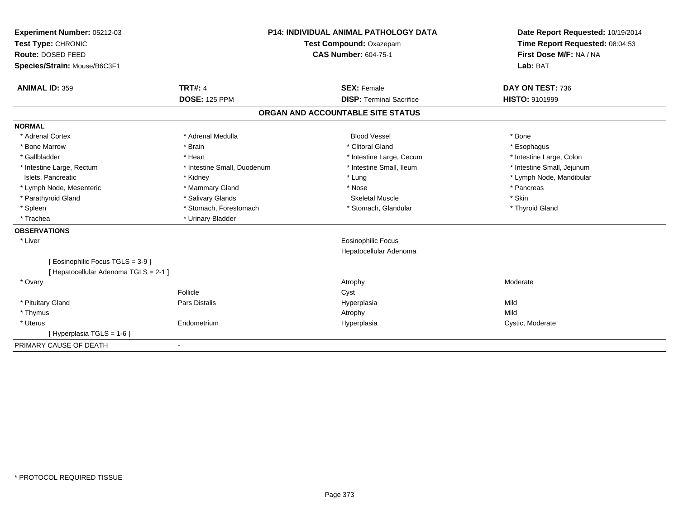| Experiment Number: 05212-03<br>Test Type: CHRONIC | <b>P14: INDIVIDUAL ANIMAL PATHOLOGY DATA</b><br>Test Compound: Oxazepam |  | Date Report Requested: 10/19/2014<br>Time Report Requested: 08:04:53 |                            |
|---------------------------------------------------|-------------------------------------------------------------------------|--|----------------------------------------------------------------------|----------------------------|
| Route: DOSED FEED                                 | <b>CAS Number: 604-75-1</b>                                             |  | First Dose M/F: NA / NA                                              |                            |
| Species/Strain: Mouse/B6C3F1                      |                                                                         |  |                                                                      | Lab: BAT                   |
| <b>ANIMAL ID: 359</b>                             | <b>TRT#: 4</b>                                                          |  | <b>SEX: Female</b>                                                   | DAY ON TEST: 736           |
|                                                   | <b>DOSE: 125 PPM</b>                                                    |  | <b>DISP: Terminal Sacrifice</b>                                      | <b>HISTO: 9101999</b>      |
|                                                   |                                                                         |  | ORGAN AND ACCOUNTABLE SITE STATUS                                    |                            |
| <b>NORMAL</b>                                     |                                                                         |  |                                                                      |                            |
| * Adrenal Cortex                                  | * Adrenal Medulla                                                       |  | <b>Blood Vessel</b>                                                  | * Bone                     |
| * Bone Marrow                                     | * Brain                                                                 |  | * Clitoral Gland                                                     | * Esophagus                |
| * Gallbladder                                     | * Heart                                                                 |  | * Intestine Large, Cecum                                             | * Intestine Large, Colon   |
| * Intestine Large, Rectum                         | * Intestine Small, Duodenum                                             |  | * Intestine Small, Ileum                                             | * Intestine Small, Jejunum |
| Islets, Pancreatic                                | * Kidney                                                                |  | * Lung                                                               | * Lymph Node, Mandibular   |
| * Lymph Node, Mesenteric                          | * Mammary Gland                                                         |  | * Nose                                                               | * Pancreas                 |
| * Parathyroid Gland                               | * Salivary Glands                                                       |  | <b>Skeletal Muscle</b>                                               | * Skin                     |
| * Spleen                                          | * Stomach, Forestomach                                                  |  | * Stomach, Glandular                                                 | * Thyroid Gland            |
| * Trachea                                         | * Urinary Bladder                                                       |  |                                                                      |                            |
| <b>OBSERVATIONS</b>                               |                                                                         |  |                                                                      |                            |
| * Liver                                           |                                                                         |  | <b>Eosinophilic Focus</b>                                            |                            |
|                                                   |                                                                         |  | Hepatocellular Adenoma                                               |                            |
| [ Eosinophilic Focus TGLS = 3-9 ]                 |                                                                         |  |                                                                      |                            |
| [ Hepatocellular Adenoma TGLS = 2-1 ]             |                                                                         |  |                                                                      |                            |
| * Ovary                                           |                                                                         |  | Atrophy                                                              | Moderate                   |
|                                                   | Follicle                                                                |  | Cyst                                                                 |                            |
| * Pituitary Gland                                 | Pars Distalis                                                           |  | Hyperplasia                                                          | Mild                       |
| * Thymus                                          |                                                                         |  | Atrophy                                                              | Mild                       |
| * Uterus                                          | Endometrium                                                             |  | Hyperplasia                                                          | Cystic, Moderate           |
| [Hyperplasia TGLS = 1-6]                          |                                                                         |  |                                                                      |                            |
| PRIMARY CAUSE OF DEATH                            | $\blacksquare$                                                          |  |                                                                      |                            |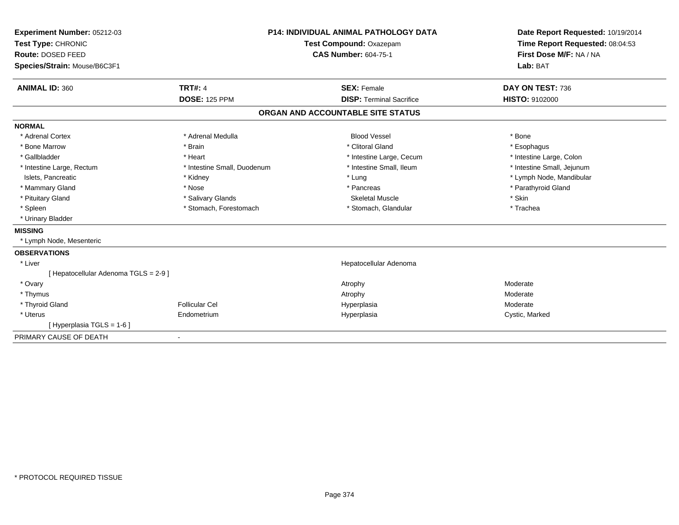| Experiment Number: 05212-03<br>Test Type: CHRONIC<br>Route: DOSED FEED<br>Species/Strain: Mouse/B6C3F1 |                             | <b>P14: INDIVIDUAL ANIMAL PATHOLOGY DATA</b><br>Test Compound: Oxazepam<br><b>CAS Number: 604-75-1</b> | Date Report Requested: 10/19/2014<br>Time Report Requested: 08:04:53<br>First Dose M/F: NA / NA<br>Lab: BAT |  |
|--------------------------------------------------------------------------------------------------------|-----------------------------|--------------------------------------------------------------------------------------------------------|-------------------------------------------------------------------------------------------------------------|--|
| <b>ANIMAL ID: 360</b>                                                                                  | <b>TRT#: 4</b>              | <b>SEX: Female</b>                                                                                     | DAY ON TEST: 736                                                                                            |  |
|                                                                                                        | <b>DOSE: 125 PPM</b>        | <b>DISP: Terminal Sacrifice</b>                                                                        | HISTO: 9102000                                                                                              |  |
|                                                                                                        |                             | ORGAN AND ACCOUNTABLE SITE STATUS                                                                      |                                                                                                             |  |
| <b>NORMAL</b>                                                                                          |                             |                                                                                                        |                                                                                                             |  |
| * Adrenal Cortex                                                                                       | * Adrenal Medulla           | <b>Blood Vessel</b>                                                                                    | * Bone                                                                                                      |  |
| * Bone Marrow                                                                                          | * Brain                     | * Clitoral Gland                                                                                       | * Esophagus                                                                                                 |  |
| * Gallbladder                                                                                          | * Heart                     | * Intestine Large, Cecum                                                                               | * Intestine Large, Colon                                                                                    |  |
| * Intestine Large, Rectum                                                                              | * Intestine Small, Duodenum | * Intestine Small, Ileum                                                                               | * Intestine Small, Jejunum                                                                                  |  |
| Islets, Pancreatic                                                                                     | * Kidney                    | * Lung                                                                                                 | * Lymph Node, Mandibular                                                                                    |  |
| * Mammary Gland                                                                                        | * Nose                      | * Pancreas                                                                                             | * Parathyroid Gland                                                                                         |  |
| * Pituitary Gland                                                                                      | * Salivary Glands           | <b>Skeletal Muscle</b>                                                                                 | * Skin                                                                                                      |  |
| * Spleen                                                                                               | * Stomach, Forestomach      | * Stomach, Glandular                                                                                   | * Trachea                                                                                                   |  |
| * Urinary Bladder                                                                                      |                             |                                                                                                        |                                                                                                             |  |
| <b>MISSING</b>                                                                                         |                             |                                                                                                        |                                                                                                             |  |
| * Lymph Node, Mesenteric                                                                               |                             |                                                                                                        |                                                                                                             |  |
| <b>OBSERVATIONS</b>                                                                                    |                             |                                                                                                        |                                                                                                             |  |
| * Liver                                                                                                |                             | Hepatocellular Adenoma                                                                                 |                                                                                                             |  |
| [ Hepatocellular Adenoma TGLS = 2-9 ]                                                                  |                             |                                                                                                        |                                                                                                             |  |
| * Ovary                                                                                                |                             | Atrophy                                                                                                | Moderate                                                                                                    |  |
| * Thymus                                                                                               |                             | Atrophy                                                                                                | Moderate                                                                                                    |  |
| * Thyroid Gland                                                                                        | Follicular Cel              | Hyperplasia                                                                                            | Moderate                                                                                                    |  |
| * Uterus                                                                                               | Endometrium                 | Hyperplasia                                                                                            | Cystic, Marked                                                                                              |  |
| [Hyperplasia TGLS = 1-6]                                                                               |                             |                                                                                                        |                                                                                                             |  |
| PRIMARY CAUSE OF DEATH                                                                                 |                             |                                                                                                        |                                                                                                             |  |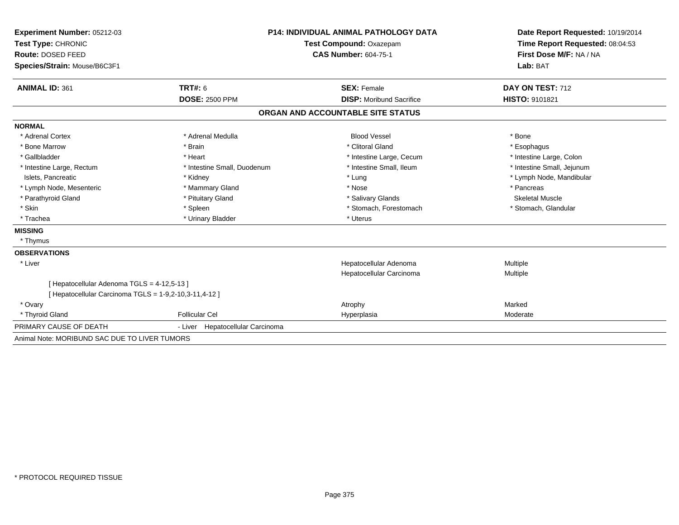| Experiment Number: 05212-03                                                                           | <b>P14: INDIVIDUAL ANIMAL PATHOLOGY DATA</b> |                                   | Date Report Requested: 10/19/2014 |  |
|-------------------------------------------------------------------------------------------------------|----------------------------------------------|-----------------------------------|-----------------------------------|--|
| Test Type: CHRONIC                                                                                    |                                              | Test Compound: Oxazepam           | Time Report Requested: 08:04:53   |  |
| Route: DOSED FEED                                                                                     |                                              | <b>CAS Number: 604-75-1</b>       | First Dose M/F: NA / NA           |  |
| Species/Strain: Mouse/B6C3F1                                                                          |                                              |                                   | Lab: BAT                          |  |
|                                                                                                       |                                              |                                   |                                   |  |
| <b>ANIMAL ID: 361</b>                                                                                 | <b>TRT#: 6</b>                               | <b>SEX: Female</b>                | DAY ON TEST: 712                  |  |
|                                                                                                       | <b>DOSE: 2500 PPM</b>                        | <b>DISP:</b> Moribund Sacrifice   | HISTO: 9101821                    |  |
|                                                                                                       |                                              | ORGAN AND ACCOUNTABLE SITE STATUS |                                   |  |
| <b>NORMAL</b>                                                                                         |                                              |                                   |                                   |  |
| * Adrenal Cortex                                                                                      | * Adrenal Medulla                            | <b>Blood Vessel</b>               | * Bone                            |  |
| * Bone Marrow                                                                                         | * Brain                                      | * Clitoral Gland                  | * Esophagus                       |  |
| * Gallbladder                                                                                         | * Heart                                      | * Intestine Large, Cecum          | * Intestine Large, Colon          |  |
| * Intestine Large, Rectum                                                                             | * Intestine Small, Duodenum                  | * Intestine Small, Ileum          | * Intestine Small, Jejunum        |  |
| Islets, Pancreatic                                                                                    | * Kidney                                     | * Lung                            | * Lymph Node, Mandibular          |  |
| * Lymph Node, Mesenteric                                                                              | * Mammary Gland                              | * Nose                            | * Pancreas                        |  |
| * Parathyroid Gland                                                                                   | * Pituitary Gland                            | * Salivary Glands                 | <b>Skeletal Muscle</b>            |  |
| * Skin                                                                                                | * Spleen                                     | * Stomach, Forestomach            | * Stomach, Glandular              |  |
| * Trachea                                                                                             | * Urinary Bladder                            | * Uterus                          |                                   |  |
| <b>MISSING</b>                                                                                        |                                              |                                   |                                   |  |
| * Thymus                                                                                              |                                              |                                   |                                   |  |
| <b>OBSERVATIONS</b>                                                                                   |                                              |                                   |                                   |  |
| * Liver                                                                                               |                                              | Hepatocellular Adenoma            | Multiple                          |  |
|                                                                                                       |                                              | Hepatocellular Carcinoma          | Multiple                          |  |
| [ Hepatocellular Adenoma TGLS = 4-12,5-13 ]<br>[ Hepatocellular Carcinoma TGLS = 1-9,2-10,3-11,4-12 ] |                                              |                                   |                                   |  |
| * Ovary                                                                                               |                                              | Atrophy                           | Marked                            |  |
| * Thyroid Gland                                                                                       | <b>Follicular Cel</b>                        | Hyperplasia                       | Moderate                          |  |
| PRIMARY CAUSE OF DEATH                                                                                | - Liver Hepatocellular Carcinoma             |                                   |                                   |  |
| Animal Note: MORIBUND SAC DUE TO LIVER TUMORS                                                         |                                              |                                   |                                   |  |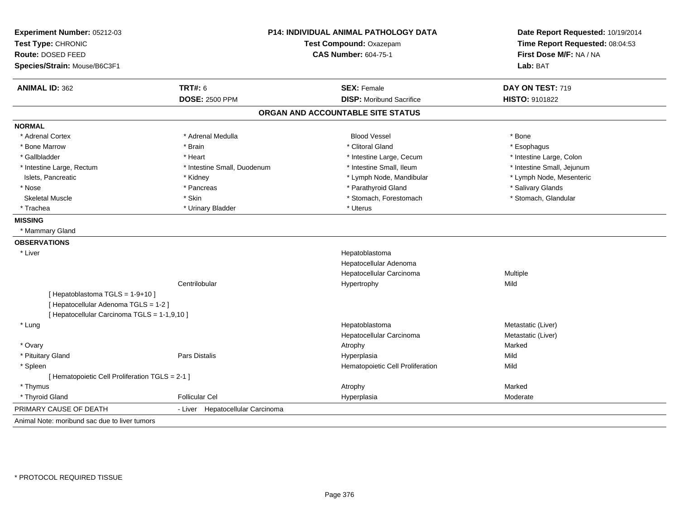| Experiment Number: 05212-03<br>Test Type: CHRONIC<br>Route: DOSED FEED |                                     | <b>P14: INDIVIDUAL ANIMAL PATHOLOGY DATA</b><br>Test Compound: Oxazepam<br><b>CAS Number: 604-75-1</b> | Date Report Requested: 10/19/2014<br>Time Report Requested: 08:04:53<br>First Dose M/F: NA / NA |
|------------------------------------------------------------------------|-------------------------------------|--------------------------------------------------------------------------------------------------------|-------------------------------------------------------------------------------------------------|
| Species/Strain: Mouse/B6C3F1                                           |                                     |                                                                                                        | Lab: BAT                                                                                        |
| <b>ANIMAL ID: 362</b>                                                  | <b>TRT#: 6</b>                      | <b>SEX: Female</b>                                                                                     | DAY ON TEST: 719                                                                                |
|                                                                        | <b>DOSE: 2500 PPM</b>               | <b>DISP:</b> Moribund Sacrifice                                                                        | HISTO: 9101822                                                                                  |
|                                                                        |                                     | ORGAN AND ACCOUNTABLE SITE STATUS                                                                      |                                                                                                 |
| <b>NORMAL</b>                                                          |                                     |                                                                                                        |                                                                                                 |
| * Adrenal Cortex                                                       | * Adrenal Medulla                   | <b>Blood Vessel</b>                                                                                    | * Bone                                                                                          |
| * Bone Marrow                                                          | * Brain                             | * Clitoral Gland                                                                                       | * Esophagus                                                                                     |
| * Gallbladder                                                          | * Heart                             | * Intestine Large, Cecum                                                                               | * Intestine Large, Colon                                                                        |
| * Intestine Large, Rectum                                              | * Intestine Small, Duodenum         | * Intestine Small, Ileum                                                                               | * Intestine Small, Jejunum                                                                      |
| Islets, Pancreatic                                                     | * Kidney                            | * Lymph Node, Mandibular                                                                               | * Lymph Node, Mesenteric                                                                        |
| * Nose                                                                 | * Pancreas                          | * Parathyroid Gland                                                                                    | * Salivary Glands                                                                               |
| <b>Skeletal Muscle</b>                                                 | * Skin                              | * Stomach, Forestomach                                                                                 | * Stomach, Glandular                                                                            |
| * Trachea                                                              | * Urinary Bladder                   | * Uterus                                                                                               |                                                                                                 |
| <b>MISSING</b>                                                         |                                     |                                                                                                        |                                                                                                 |
| * Mammary Gland                                                        |                                     |                                                                                                        |                                                                                                 |
| <b>OBSERVATIONS</b>                                                    |                                     |                                                                                                        |                                                                                                 |
| * Liver                                                                |                                     | Hepatoblastoma                                                                                         |                                                                                                 |
|                                                                        |                                     | Hepatocellular Adenoma                                                                                 |                                                                                                 |
|                                                                        |                                     | Hepatocellular Carcinoma                                                                               | Multiple                                                                                        |
|                                                                        | Centrilobular                       | Hypertrophy                                                                                            | Mild                                                                                            |
| [Hepatoblastoma TGLS = 1-9+10]                                         |                                     |                                                                                                        |                                                                                                 |
| [ Hepatocellular Adenoma TGLS = 1-2 ]                                  |                                     |                                                                                                        |                                                                                                 |
| [ Hepatocellular Carcinoma TGLS = 1-1,9,10 ]                           |                                     |                                                                                                        |                                                                                                 |
| * Lung                                                                 |                                     | Hepatoblastoma                                                                                         | Metastatic (Liver)                                                                              |
|                                                                        |                                     | Hepatocellular Carcinoma                                                                               | Metastatic (Liver)                                                                              |
| * Ovary                                                                |                                     | Atrophy                                                                                                | Marked                                                                                          |
| * Pituitary Gland                                                      | Pars Distalis                       | Hyperplasia                                                                                            | Mild                                                                                            |
| * Spleen                                                               |                                     | Hematopoietic Cell Proliferation                                                                       | Mild                                                                                            |
| [ Hematopoietic Cell Proliferation TGLS = 2-1 ]                        |                                     |                                                                                                        |                                                                                                 |
| * Thymus                                                               |                                     | Atrophy                                                                                                | Marked                                                                                          |
| * Thyroid Gland                                                        | <b>Follicular Cel</b>               | Hyperplasia                                                                                            | Moderate                                                                                        |
| PRIMARY CAUSE OF DEATH                                                 | Hepatocellular Carcinoma<br>- Liver |                                                                                                        |                                                                                                 |
| Animal Note: moribund sac due to liver tumors                          |                                     |                                                                                                        |                                                                                                 |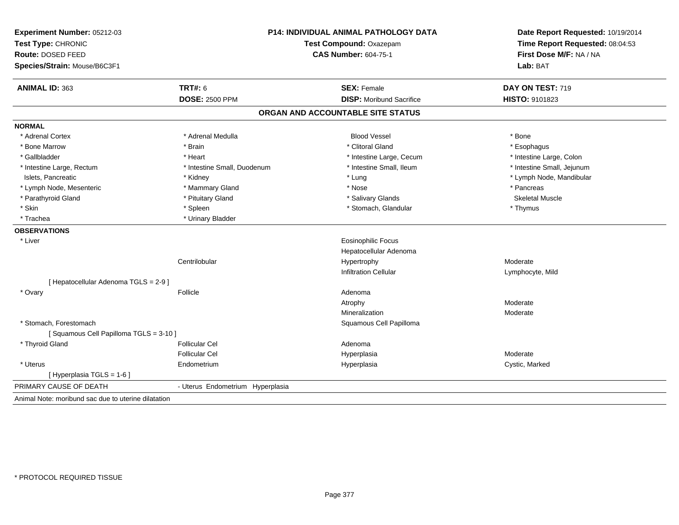| Experiment Number: 05212-03<br>Test Type: CHRONIC<br>Route: DOSED FEED<br>Species/Strain: Mouse/B6C3F1 |                                  | P14: INDIVIDUAL ANIMAL PATHOLOGY DATA<br>Test Compound: Oxazepam<br><b>CAS Number: 604-75-1</b> |                            |
|--------------------------------------------------------------------------------------------------------|----------------------------------|-------------------------------------------------------------------------------------------------|----------------------------|
| <b>ANIMAL ID: 363</b>                                                                                  | <b>TRT#: 6</b>                   | <b>SEX: Female</b>                                                                              | DAY ON TEST: 719           |
|                                                                                                        | <b>DOSE: 2500 PPM</b>            | <b>DISP:</b> Moribund Sacrifice                                                                 | HISTO: 9101823             |
|                                                                                                        |                                  | ORGAN AND ACCOUNTABLE SITE STATUS                                                               |                            |
| <b>NORMAL</b>                                                                                          |                                  |                                                                                                 |                            |
| * Adrenal Cortex                                                                                       | * Adrenal Medulla                | <b>Blood Vessel</b>                                                                             | * Bone                     |
| * Bone Marrow                                                                                          | * Brain                          | * Clitoral Gland                                                                                | * Esophagus                |
| * Gallbladder                                                                                          | * Heart                          | * Intestine Large, Cecum                                                                        | * Intestine Large, Colon   |
| * Intestine Large, Rectum                                                                              | * Intestine Small, Duodenum      | * Intestine Small, Ileum                                                                        | * Intestine Small, Jejunum |
| Islets, Pancreatic                                                                                     | * Kidney                         | * Lung                                                                                          | * Lymph Node, Mandibular   |
| * Lymph Node, Mesenteric                                                                               | * Mammary Gland                  | * Nose                                                                                          | * Pancreas                 |
| * Parathyroid Gland                                                                                    | * Pituitary Gland                | * Salivary Glands                                                                               | <b>Skeletal Muscle</b>     |
| * Skin                                                                                                 | * Spleen                         | * Stomach, Glandular                                                                            | * Thymus                   |
| * Trachea                                                                                              | * Urinary Bladder                |                                                                                                 |                            |
| <b>OBSERVATIONS</b>                                                                                    |                                  |                                                                                                 |                            |
| * Liver                                                                                                |                                  | <b>Eosinophilic Focus</b>                                                                       |                            |
|                                                                                                        |                                  | Hepatocellular Adenoma                                                                          |                            |
|                                                                                                        | Centrilobular                    | Hypertrophy                                                                                     | Moderate                   |
|                                                                                                        |                                  | <b>Infiltration Cellular</b>                                                                    | Lymphocyte, Mild           |
| [ Hepatocellular Adenoma TGLS = 2-9 ]                                                                  |                                  |                                                                                                 |                            |
| * Ovary                                                                                                | Follicle                         | Adenoma                                                                                         |                            |
|                                                                                                        |                                  | Atrophy                                                                                         | Moderate                   |
|                                                                                                        |                                  | Mineralization                                                                                  | Moderate                   |
| * Stomach, Forestomach                                                                                 |                                  | Squamous Cell Papilloma                                                                         |                            |
| [Squamous Cell Papilloma TGLS = 3-10]                                                                  |                                  |                                                                                                 |                            |
| * Thyroid Gland                                                                                        | <b>Follicular Cel</b>            | Adenoma                                                                                         |                            |
|                                                                                                        | <b>Follicular Cel</b>            | Hyperplasia                                                                                     | Moderate                   |
| * Uterus                                                                                               | Endometrium                      | Hyperplasia                                                                                     | Cystic, Marked             |
| [Hyperplasia TGLS = $1-6$ ]                                                                            |                                  |                                                                                                 |                            |
| PRIMARY CAUSE OF DEATH                                                                                 | - Uterus Endometrium Hyperplasia |                                                                                                 |                            |
| Animal Note: moribund sac due to uterine dilatation                                                    |                                  |                                                                                                 |                            |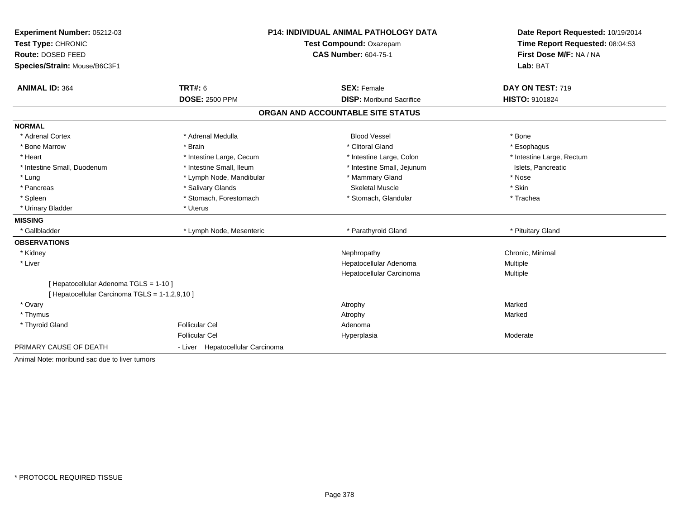| Experiment Number: 05212-03                    |                                                        | <b>P14: INDIVIDUAL ANIMAL PATHOLOGY DATA</b> |                                                                                                 |  |
|------------------------------------------------|--------------------------------------------------------|----------------------------------------------|-------------------------------------------------------------------------------------------------|--|
| Test Type: CHRONIC                             | Test Compound: Oxazepam<br><b>CAS Number: 604-75-1</b> |                                              | Date Report Requested: 10/19/2014<br>Time Report Requested: 08:04:53<br>First Dose M/F: NA / NA |  |
| Route: DOSED FEED                              |                                                        |                                              |                                                                                                 |  |
| Species/Strain: Mouse/B6C3F1                   |                                                        |                                              | Lab: BAT                                                                                        |  |
| <b>ANIMAL ID: 364</b>                          | <b>TRT#: 6</b>                                         | <b>SEX: Female</b>                           | DAY ON TEST: 719                                                                                |  |
|                                                | <b>DOSE: 2500 PPM</b>                                  | <b>DISP:</b> Moribund Sacrifice              | <b>HISTO: 9101824</b>                                                                           |  |
|                                                |                                                        | ORGAN AND ACCOUNTABLE SITE STATUS            |                                                                                                 |  |
| <b>NORMAL</b>                                  |                                                        |                                              |                                                                                                 |  |
| * Adrenal Cortex                               | * Adrenal Medulla                                      | <b>Blood Vessel</b>                          | * Bone                                                                                          |  |
| * Bone Marrow                                  | * Brain                                                | * Clitoral Gland                             | * Esophagus                                                                                     |  |
| * Heart                                        | * Intestine Large, Cecum                               | * Intestine Large, Colon                     | * Intestine Large, Rectum                                                                       |  |
| * Intestine Small, Duodenum                    | * Intestine Small, Ileum                               | * Intestine Small, Jejunum                   | Islets. Pancreatic                                                                              |  |
| * Lung                                         | * Lymph Node, Mandibular                               | * Mammary Gland                              | * Nose                                                                                          |  |
| * Pancreas                                     | * Salivary Glands                                      | <b>Skeletal Muscle</b>                       | * Skin                                                                                          |  |
| * Spleen                                       | * Stomach, Forestomach                                 | * Stomach, Glandular                         | * Trachea                                                                                       |  |
| * Urinary Bladder                              | * Uterus                                               |                                              |                                                                                                 |  |
| <b>MISSING</b>                                 |                                                        |                                              |                                                                                                 |  |
| * Gallbladder                                  | * Lymph Node, Mesenteric                               | * Parathyroid Gland                          | * Pituitary Gland                                                                               |  |
| <b>OBSERVATIONS</b>                            |                                                        |                                              |                                                                                                 |  |
| * Kidney                                       |                                                        | Nephropathy                                  | Chronic, Minimal                                                                                |  |
| * Liver                                        |                                                        | Hepatocellular Adenoma                       | <b>Multiple</b>                                                                                 |  |
|                                                |                                                        | Hepatocellular Carcinoma                     | Multiple                                                                                        |  |
| [ Hepatocellular Adenoma TGLS = 1-10 ]         |                                                        |                                              |                                                                                                 |  |
| [ Hepatocellular Carcinoma TGLS = 1-1,2,9,10 ] |                                                        |                                              |                                                                                                 |  |
| * Ovary                                        |                                                        | Atrophy                                      | Marked                                                                                          |  |
| * Thymus                                       |                                                        | Atrophy                                      | Marked                                                                                          |  |
| * Thyroid Gland                                | <b>Follicular Cel</b>                                  | Adenoma                                      |                                                                                                 |  |
|                                                | <b>Follicular Cel</b>                                  | Hyperplasia                                  | Moderate                                                                                        |  |
| PRIMARY CAUSE OF DEATH                         | - Liver Hepatocellular Carcinoma                       |                                              |                                                                                                 |  |
| Animal Note: moribund sac due to liver tumors  |                                                        |                                              |                                                                                                 |  |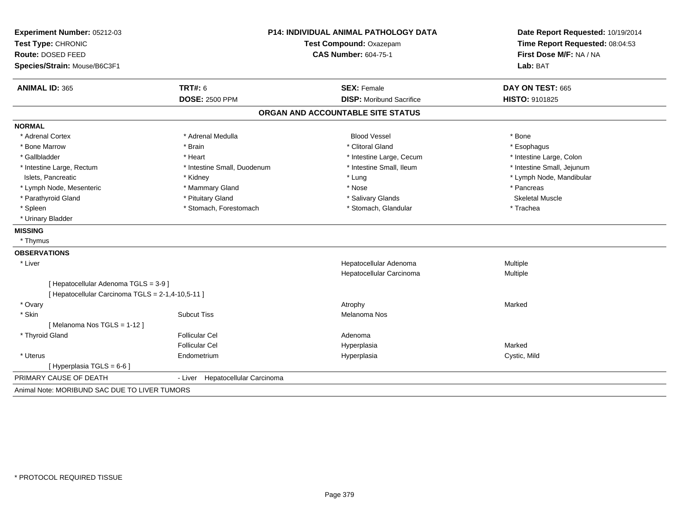| Experiment Number: 05212-03                       | <b>P14: INDIVIDUAL ANIMAL PATHOLOGY DATA</b> |                                   | Date Report Requested: 10/19/2014                          |  |
|---------------------------------------------------|----------------------------------------------|-----------------------------------|------------------------------------------------------------|--|
| Test Type: CHRONIC<br>Route: DOSED FEED           |                                              | Test Compound: Oxazepam           | Time Report Requested: 08:04:53<br>First Dose M/F: NA / NA |  |
|                                                   |                                              | <b>CAS Number: 604-75-1</b>       |                                                            |  |
| Species/Strain: Mouse/B6C3F1                      |                                              |                                   | Lab: BAT                                                   |  |
| <b>ANIMAL ID: 365</b>                             | <b>TRT#: 6</b>                               | <b>SEX: Female</b>                | DAY ON TEST: 665                                           |  |
|                                                   | <b>DOSE: 2500 PPM</b>                        | <b>DISP:</b> Moribund Sacrifice   | HISTO: 9101825                                             |  |
|                                                   |                                              | ORGAN AND ACCOUNTABLE SITE STATUS |                                                            |  |
| <b>NORMAL</b>                                     |                                              |                                   |                                                            |  |
| * Adrenal Cortex                                  | * Adrenal Medulla                            | <b>Blood Vessel</b>               | * Bone                                                     |  |
| * Bone Marrow                                     | * Brain                                      | * Clitoral Gland                  | * Esophagus                                                |  |
| * Gallbladder                                     | * Heart                                      | * Intestine Large, Cecum          | * Intestine Large, Colon                                   |  |
| * Intestine Large, Rectum                         | * Intestine Small, Duodenum                  | * Intestine Small, Ileum          | * Intestine Small, Jejunum                                 |  |
| Islets, Pancreatic                                | * Kidney                                     | * Lung                            | * Lymph Node, Mandibular                                   |  |
| * Lymph Node, Mesenteric                          | * Mammary Gland                              | * Nose                            | * Pancreas                                                 |  |
| * Parathyroid Gland                               | * Pituitary Gland                            | * Salivary Glands                 | <b>Skeletal Muscle</b>                                     |  |
| * Spleen                                          | * Stomach, Forestomach                       | * Stomach, Glandular              | * Trachea                                                  |  |
| * Urinary Bladder                                 |                                              |                                   |                                                            |  |
| <b>MISSING</b>                                    |                                              |                                   |                                                            |  |
| * Thymus                                          |                                              |                                   |                                                            |  |
| <b>OBSERVATIONS</b>                               |                                              |                                   |                                                            |  |
| * Liver                                           |                                              | Hepatocellular Adenoma            | Multiple                                                   |  |
|                                                   |                                              | Hepatocellular Carcinoma          | Multiple                                                   |  |
| [ Hepatocellular Adenoma TGLS = 3-9 ]             |                                              |                                   |                                                            |  |
| [ Hepatocellular Carcinoma TGLS = 2-1,4-10,5-11 ] |                                              |                                   |                                                            |  |
| * Ovary                                           |                                              | Atrophy                           | Marked                                                     |  |
| * Skin                                            | <b>Subcut Tiss</b>                           | Melanoma Nos                      |                                                            |  |
| [Melanoma Nos TGLS = 1-12]                        |                                              |                                   |                                                            |  |
| * Thyroid Gland                                   | <b>Follicular Cel</b>                        | Adenoma                           |                                                            |  |
|                                                   | <b>Follicular Cel</b>                        | Hyperplasia                       | Marked                                                     |  |
| * Uterus                                          | Endometrium                                  | Hyperplasia                       | Cystic, Mild                                               |  |
| [Hyperplasia TGLS = $6-6$ ]                       |                                              |                                   |                                                            |  |
| PRIMARY CAUSE OF DEATH                            | Hepatocellular Carcinoma<br>- Liver          |                                   |                                                            |  |
| Animal Note: MORIBUND SAC DUE TO LIVER TUMORS     |                                              |                                   |                                                            |  |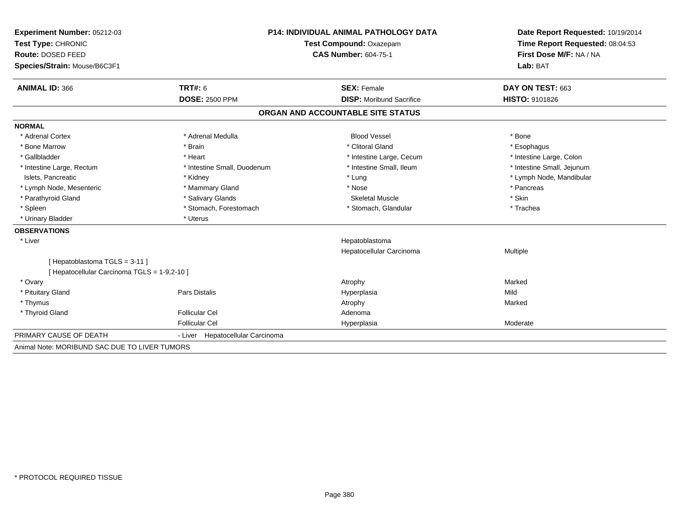| Experiment Number: 05212-03                   |                                     | <b>P14: INDIVIDUAL ANIMAL PATHOLOGY DATA</b><br>Test Compound: Oxazepam<br><b>CAS Number: 604-75-1</b> |                                     |
|-----------------------------------------------|-------------------------------------|--------------------------------------------------------------------------------------------------------|-------------------------------------|
| Test Type: CHRONIC                            |                                     |                                                                                                        |                                     |
| Route: DOSED FEED                             |                                     |                                                                                                        |                                     |
| Species/Strain: Mouse/B6C3F1                  |                                     |                                                                                                        | First Dose M/F: NA / NA<br>Lab: BAT |
| <b>ANIMAL ID: 366</b>                         | <b>TRT#: 6</b>                      | <b>SEX: Female</b>                                                                                     | DAY ON TEST: 663                    |
|                                               | <b>DOSE: 2500 PPM</b>               | <b>DISP:</b> Moribund Sacrifice                                                                        | HISTO: 9101826                      |
|                                               |                                     | ORGAN AND ACCOUNTABLE SITE STATUS                                                                      |                                     |
| <b>NORMAL</b>                                 |                                     |                                                                                                        |                                     |
| * Adrenal Cortex                              | * Adrenal Medulla                   | <b>Blood Vessel</b>                                                                                    | * Bone                              |
| * Bone Marrow                                 | * Brain                             | * Clitoral Gland                                                                                       | * Esophagus                         |
| * Gallbladder                                 | * Heart                             | * Intestine Large, Cecum                                                                               | * Intestine Large, Colon            |
| * Intestine Large, Rectum                     | * Intestine Small, Duodenum         | * Intestine Small, Ileum                                                                               | * Intestine Small, Jejunum          |
| Islets, Pancreatic                            | * Kidney                            | * Lung                                                                                                 | * Lymph Node, Mandibular            |
| * Lymph Node, Mesenteric                      | * Mammary Gland                     | * Nose                                                                                                 | * Pancreas                          |
| * Parathyroid Gland                           | * Salivary Glands                   | <b>Skeletal Muscle</b>                                                                                 | * Skin                              |
| * Spleen                                      | * Stomach, Forestomach              | * Stomach, Glandular                                                                                   | * Trachea                           |
| * Urinary Bladder                             | * Uterus                            |                                                                                                        |                                     |
| <b>OBSERVATIONS</b>                           |                                     |                                                                                                        |                                     |
| * Liver                                       |                                     | Hepatoblastoma                                                                                         |                                     |
|                                               |                                     | Hepatocellular Carcinoma                                                                               | Multiple                            |
| [Hepatoblastoma TGLS = 3-11]                  |                                     |                                                                                                        |                                     |
| [Hepatocellular Carcinoma TGLS = 1-9,2-10]    |                                     |                                                                                                        |                                     |
| * Ovary                                       |                                     | Atrophy                                                                                                | Marked                              |
| * Pituitary Gland                             | Pars Distalis                       | Hyperplasia                                                                                            | Mild                                |
| * Thymus                                      |                                     | Atrophy                                                                                                | Marked                              |
| * Thyroid Gland                               | <b>Follicular Cel</b>               | Adenoma                                                                                                |                                     |
|                                               | <b>Follicular Cel</b>               | Hyperplasia                                                                                            | Moderate                            |
| PRIMARY CAUSE OF DEATH                        | Hepatocellular Carcinoma<br>- Liver |                                                                                                        |                                     |
| Animal Note: MORIBUND SAC DUE TO LIVER TUMORS |                                     |                                                                                                        |                                     |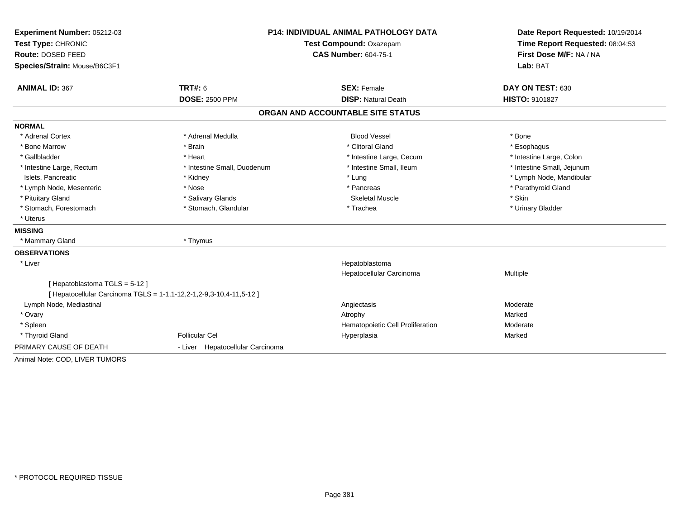| Experiment Number: 05212-03    |                                                                     | <b>P14: INDIVIDUAL ANIMAL PATHOLOGY DATA</b> |                                                                        |  |
|--------------------------------|---------------------------------------------------------------------|----------------------------------------------|------------------------------------------------------------------------|--|
| Test Type: CHRONIC             |                                                                     | Test Compound: Oxazepam                      | Time Report Requested: 08:04:53<br>First Dose M/F: NA / NA<br>Lab: BAT |  |
| Route: DOSED FEED              |                                                                     | <b>CAS Number: 604-75-1</b>                  |                                                                        |  |
| Species/Strain: Mouse/B6C3F1   |                                                                     |                                              |                                                                        |  |
| <b>ANIMAL ID: 367</b>          | <b>TRT#: 6</b>                                                      | <b>SEX: Female</b>                           | DAY ON TEST: 630                                                       |  |
|                                | <b>DOSE: 2500 PPM</b>                                               | <b>DISP: Natural Death</b>                   | <b>HISTO: 9101827</b>                                                  |  |
|                                |                                                                     | ORGAN AND ACCOUNTABLE SITE STATUS            |                                                                        |  |
| <b>NORMAL</b>                  |                                                                     |                                              |                                                                        |  |
| * Adrenal Cortex               | * Adrenal Medulla                                                   | <b>Blood Vessel</b>                          | * Bone                                                                 |  |
| * Bone Marrow                  | * Brain                                                             | * Clitoral Gland                             | * Esophagus                                                            |  |
| * Gallbladder                  | * Heart                                                             | * Intestine Large, Cecum                     | * Intestine Large, Colon                                               |  |
| * Intestine Large, Rectum      | * Intestine Small, Duodenum                                         | * Intestine Small, Ileum                     | * Intestine Small, Jejunum                                             |  |
| Islets. Pancreatic             | * Kidney                                                            | * Lung                                       | * Lymph Node, Mandibular                                               |  |
| * Lymph Node, Mesenteric       | * Nose                                                              | * Pancreas                                   | * Parathyroid Gland                                                    |  |
| * Pituitary Gland              | * Salivary Glands                                                   | <b>Skeletal Muscle</b>                       | * Skin                                                                 |  |
| * Stomach, Forestomach         | * Stomach, Glandular                                                | * Trachea                                    | * Urinary Bladder                                                      |  |
| * Uterus                       |                                                                     |                                              |                                                                        |  |
| <b>MISSING</b>                 |                                                                     |                                              |                                                                        |  |
| * Mammary Gland                | * Thymus                                                            |                                              |                                                                        |  |
| <b>OBSERVATIONS</b>            |                                                                     |                                              |                                                                        |  |
| * Liver                        |                                                                     | Hepatoblastoma                               |                                                                        |  |
|                                |                                                                     | Hepatocellular Carcinoma                     | Multiple                                                               |  |
| [Hepatoblastoma TGLS = 5-12]   |                                                                     |                                              |                                                                        |  |
|                                | [ Hepatocellular Carcinoma TGLS = 1-1,1-12,2-1,2-9,3-10,4-11,5-12 ] |                                              |                                                                        |  |
| Lymph Node, Mediastinal        |                                                                     | Angiectasis                                  | Moderate                                                               |  |
| * Ovary                        |                                                                     | Atrophy                                      | Marked                                                                 |  |
| * Spleen                       |                                                                     | Hematopoietic Cell Proliferation             | Moderate                                                               |  |
| * Thyroid Gland                | <b>Follicular Cel</b>                                               | Hyperplasia                                  | Marked                                                                 |  |
| PRIMARY CAUSE OF DEATH         | - Liver Hepatocellular Carcinoma                                    |                                              |                                                                        |  |
| Animal Note: COD, LIVER TUMORS |                                                                     |                                              |                                                                        |  |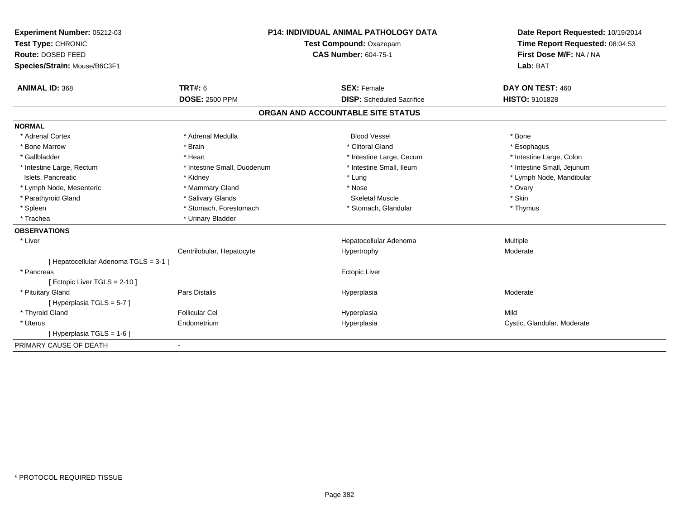| Experiment Number: 05212-03           | <b>P14: INDIVIDUAL ANIMAL PATHOLOGY DATA</b> |  | Date Report Requested: 10/19/2014 |                                 |  |
|---------------------------------------|----------------------------------------------|--|-----------------------------------|---------------------------------|--|
| Test Type: CHRONIC                    |                                              |  | Test Compound: Oxazepam           | Time Report Requested: 08:04:53 |  |
| Route: DOSED FEED                     |                                              |  | <b>CAS Number: 604-75-1</b>       | First Dose M/F: NA / NA         |  |
| Species/Strain: Mouse/B6C3F1          |                                              |  |                                   | Lab: BAT                        |  |
| <b>ANIMAL ID: 368</b>                 | TRT#: 6                                      |  | <b>SEX: Female</b>                | DAY ON TEST: 460                |  |
|                                       | <b>DOSE: 2500 PPM</b>                        |  | <b>DISP:</b> Scheduled Sacrifice  | <b>HISTO: 9101828</b>           |  |
|                                       |                                              |  | ORGAN AND ACCOUNTABLE SITE STATUS |                                 |  |
| <b>NORMAL</b>                         |                                              |  |                                   |                                 |  |
| * Adrenal Cortex                      | * Adrenal Medulla                            |  | <b>Blood Vessel</b>               | * Bone                          |  |
| * Bone Marrow                         | * Brain                                      |  | * Clitoral Gland                  | * Esophagus                     |  |
| * Gallbladder                         | * Heart                                      |  | * Intestine Large, Cecum          | * Intestine Large, Colon        |  |
| * Intestine Large, Rectum             | * Intestine Small, Duodenum                  |  | * Intestine Small, Ileum          | * Intestine Small, Jejunum      |  |
| Islets, Pancreatic                    | * Kidney                                     |  | * Lung                            | * Lymph Node, Mandibular        |  |
| * Lymph Node, Mesenteric              | * Mammary Gland                              |  | * Nose                            | * Ovary                         |  |
| * Parathyroid Gland                   | * Salivary Glands                            |  | <b>Skeletal Muscle</b>            | * Skin                          |  |
| * Spleen                              | * Stomach, Forestomach                       |  | * Stomach, Glandular              | * Thymus                        |  |
| * Trachea                             | * Urinary Bladder                            |  |                                   |                                 |  |
| <b>OBSERVATIONS</b>                   |                                              |  |                                   |                                 |  |
| * Liver                               |                                              |  | Hepatocellular Adenoma            | Multiple                        |  |
|                                       | Centrilobular, Hepatocyte                    |  | Hypertrophy                       | Moderate                        |  |
| [ Hepatocellular Adenoma TGLS = 3-1 ] |                                              |  |                                   |                                 |  |
| * Pancreas                            |                                              |  | <b>Ectopic Liver</b>              |                                 |  |
| [ Ectopic Liver TGLS = $2-10$ ]       |                                              |  |                                   |                                 |  |
| * Pituitary Gland                     | <b>Pars Distalis</b>                         |  | Hyperplasia                       | Moderate                        |  |
| [Hyperplasia TGLS = $5-7$ ]           |                                              |  |                                   |                                 |  |
| * Thyroid Gland                       | <b>Follicular Cel</b>                        |  | Hyperplasia                       | Mild                            |  |
| * Uterus                              | Endometrium                                  |  | Hyperplasia                       | Cystic, Glandular, Moderate     |  |
| [Hyperplasia TGLS = 1-6]              |                                              |  |                                   |                                 |  |
| PRIMARY CAUSE OF DEATH                |                                              |  |                                   |                                 |  |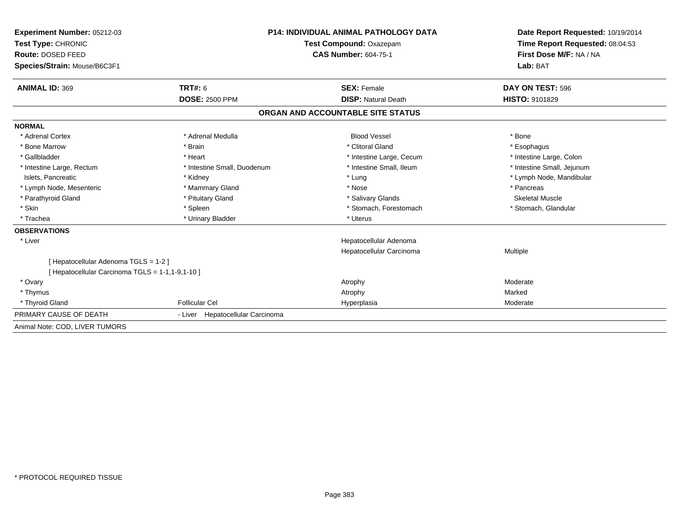| <b>Experiment Number: 05212-03</b>               | <b>P14: INDIVIDUAL ANIMAL PATHOLOGY DATA</b> |                                   | Date Report Requested: 10/19/2014                          |  |
|--------------------------------------------------|----------------------------------------------|-----------------------------------|------------------------------------------------------------|--|
| Test Type: CHRONIC                               |                                              | Test Compound: Oxazepam           | Time Report Requested: 08:04:53<br>First Dose M/F: NA / NA |  |
| Route: DOSED FEED                                |                                              | <b>CAS Number: 604-75-1</b>       |                                                            |  |
| Species/Strain: Mouse/B6C3F1                     |                                              |                                   | Lab: BAT                                                   |  |
| <b>ANIMAL ID: 369</b>                            | TRT#: 6                                      | <b>SEX: Female</b>                | DAY ON TEST: 596                                           |  |
|                                                  | <b>DOSE: 2500 PPM</b>                        | <b>DISP: Natural Death</b>        | <b>HISTO: 9101829</b>                                      |  |
|                                                  |                                              | ORGAN AND ACCOUNTABLE SITE STATUS |                                                            |  |
| <b>NORMAL</b>                                    |                                              |                                   |                                                            |  |
| * Adrenal Cortex                                 | * Adrenal Medulla                            | <b>Blood Vessel</b>               | * Bone                                                     |  |
| * Bone Marrow                                    | * Brain                                      | * Clitoral Gland                  | * Esophagus                                                |  |
| * Gallbladder                                    | * Heart                                      | * Intestine Large, Cecum          | * Intestine Large, Colon                                   |  |
| * Intestine Large, Rectum                        | * Intestine Small, Duodenum                  | * Intestine Small, Ileum          | * Intestine Small, Jejunum                                 |  |
| Islets, Pancreatic                               | * Kidney                                     | * Lung                            | * Lymph Node, Mandibular                                   |  |
| * Lymph Node, Mesenteric                         | * Mammary Gland                              | * Nose                            | * Pancreas                                                 |  |
| * Parathyroid Gland                              | * Pituitary Gland                            | * Salivary Glands                 | <b>Skeletal Muscle</b>                                     |  |
| * Skin                                           | * Spleen                                     | * Stomach, Forestomach            | * Stomach, Glandular                                       |  |
| * Trachea                                        | * Urinary Bladder                            | * Uterus                          |                                                            |  |
| <b>OBSERVATIONS</b>                              |                                              |                                   |                                                            |  |
| * Liver                                          |                                              | Hepatocellular Adenoma            |                                                            |  |
|                                                  |                                              | Hepatocellular Carcinoma          | Multiple                                                   |  |
| [Hepatocellular Adenoma TGLS = 1-2]              |                                              |                                   |                                                            |  |
| [ Hepatocellular Carcinoma TGLS = 1-1,1-9,1-10 ] |                                              |                                   |                                                            |  |
| * Ovary                                          |                                              | Atrophy                           | Moderate                                                   |  |
| * Thymus                                         |                                              | Atrophy                           | Marked                                                     |  |
| * Thyroid Gland                                  | <b>Follicular Cel</b>                        | Hyperplasia                       | Moderate                                                   |  |
| PRIMARY CAUSE OF DEATH                           | - Liver Hepatocellular Carcinoma             |                                   |                                                            |  |
| Animal Note: COD, LIVER TUMORS                   |                                              |                                   |                                                            |  |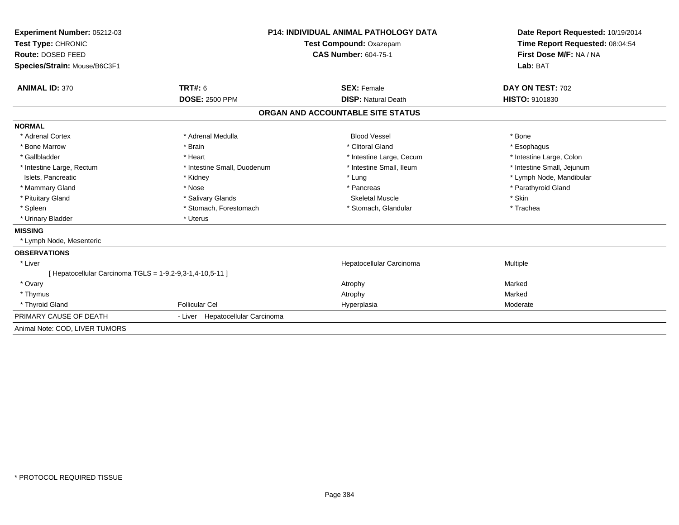| Experiment Number: 05212-03                             |                                  | <b>P14: INDIVIDUAL ANIMAL PATHOLOGY DATA</b> | Date Report Requested: 10/19/2014                          |  |
|---------------------------------------------------------|----------------------------------|----------------------------------------------|------------------------------------------------------------|--|
| Test Type: CHRONIC                                      |                                  | Test Compound: Oxazepam                      | Time Report Requested: 08:04:54<br>First Dose M/F: NA / NA |  |
| Route: DOSED FEED                                       |                                  | <b>CAS Number: 604-75-1</b>                  |                                                            |  |
| Species/Strain: Mouse/B6C3F1                            |                                  |                                              | Lab: BAT                                                   |  |
| <b>ANIMAL ID: 370</b>                                   | TRT#: 6                          | <b>SEX: Female</b>                           | DAY ON TEST: 702                                           |  |
|                                                         | <b>DOSE: 2500 PPM</b>            | <b>DISP: Natural Death</b>                   | <b>HISTO: 9101830</b>                                      |  |
|                                                         |                                  | ORGAN AND ACCOUNTABLE SITE STATUS            |                                                            |  |
| <b>NORMAL</b>                                           |                                  |                                              |                                                            |  |
| * Adrenal Cortex                                        | * Adrenal Medulla                | <b>Blood Vessel</b>                          | * Bone                                                     |  |
| * Bone Marrow                                           | * Brain                          | * Clitoral Gland                             | * Esophagus                                                |  |
| * Gallbladder                                           | * Heart                          | * Intestine Large, Cecum                     | * Intestine Large, Colon                                   |  |
| * Intestine Large, Rectum                               | * Intestine Small, Duodenum      | * Intestine Small. Ileum                     | * Intestine Small, Jejunum                                 |  |
| Islets, Pancreatic                                      | * Kidney                         | * Lung                                       | * Lymph Node, Mandibular                                   |  |
| * Mammary Gland                                         | * Nose                           | * Pancreas                                   | * Parathyroid Gland                                        |  |
| * Pituitary Gland                                       | * Salivary Glands                | <b>Skeletal Muscle</b>                       | * Skin                                                     |  |
| * Spleen                                                | * Stomach, Forestomach           | * Stomach, Glandular                         | * Trachea                                                  |  |
| * Urinary Bladder                                       | * Uterus                         |                                              |                                                            |  |
| <b>MISSING</b>                                          |                                  |                                              |                                                            |  |
| * Lymph Node, Mesenteric                                |                                  |                                              |                                                            |  |
| <b>OBSERVATIONS</b>                                     |                                  |                                              |                                                            |  |
| * Liver                                                 |                                  | Hepatocellular Carcinoma                     | Multiple                                                   |  |
| [Hepatocellular Carcinoma TGLS = 1-9,2-9,3-1,4-10,5-11] |                                  |                                              |                                                            |  |
| * Ovary                                                 |                                  | Atrophy                                      | Marked                                                     |  |
| * Thymus                                                |                                  | Atrophy                                      | Marked                                                     |  |
| * Thyroid Gland                                         | <b>Follicular Cel</b>            | Hyperplasia                                  | Moderate                                                   |  |
| PRIMARY CAUSE OF DEATH                                  | - Liver Hepatocellular Carcinoma |                                              |                                                            |  |
| Animal Note: COD. LIVER TUMORS                          |                                  |                                              |                                                            |  |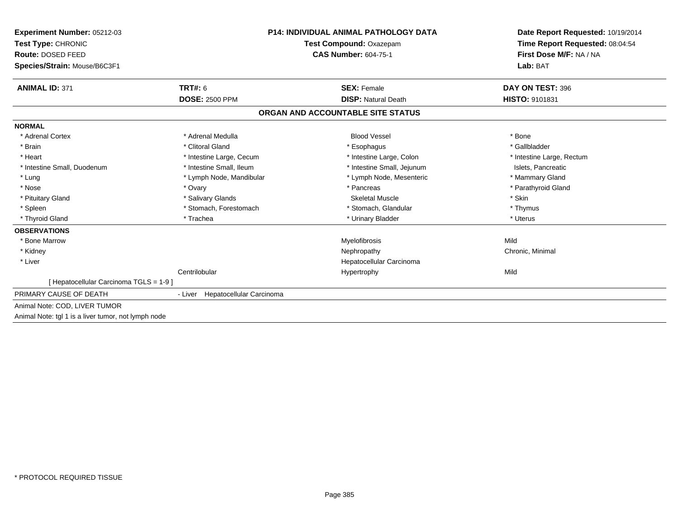| <b>Experiment Number: 05212-03</b>                  | <b>P14: INDIVIDUAL ANIMAL PATHOLOGY DATA</b> |                                   | Date Report Requested: 10/19/2014 |  |
|-----------------------------------------------------|----------------------------------------------|-----------------------------------|-----------------------------------|--|
| Test Type: CHRONIC                                  |                                              | Test Compound: Oxazepam           | Time Report Requested: 08:04:54   |  |
| Route: DOSED FEED                                   | <b>CAS Number: 604-75-1</b>                  |                                   | First Dose M/F: NA / NA           |  |
| Species/Strain: Mouse/B6C3F1                        |                                              |                                   | Lab: BAT                          |  |
| <b>ANIMAL ID: 371</b>                               | <b>TRT#: 6</b>                               | <b>SEX: Female</b>                | DAY ON TEST: 396                  |  |
|                                                     | <b>DOSE: 2500 PPM</b>                        | <b>DISP: Natural Death</b>        | HISTO: 9101831                    |  |
|                                                     |                                              | ORGAN AND ACCOUNTABLE SITE STATUS |                                   |  |
| <b>NORMAL</b>                                       |                                              |                                   |                                   |  |
| * Adrenal Cortex                                    | * Adrenal Medulla                            | <b>Blood Vessel</b>               | * Bone                            |  |
| * Brain                                             | * Clitoral Gland                             | * Esophagus                       | * Gallbladder                     |  |
| * Heart                                             | * Intestine Large, Cecum                     | * Intestine Large, Colon          | * Intestine Large, Rectum         |  |
| * Intestine Small, Duodenum                         | * Intestine Small, Ileum                     | * Intestine Small, Jejunum        | Islets, Pancreatic                |  |
| * Lung                                              | * Lymph Node, Mandibular                     | * Lymph Node, Mesenteric          | * Mammary Gland                   |  |
| * Nose                                              | * Ovary                                      | * Pancreas                        | * Parathyroid Gland               |  |
| * Pituitary Gland                                   | * Salivary Glands                            | <b>Skeletal Muscle</b>            | * Skin                            |  |
| * Spleen                                            | * Stomach, Forestomach                       | * Stomach, Glandular              | * Thymus                          |  |
| * Thyroid Gland                                     | * Trachea                                    | * Urinary Bladder                 | * Uterus                          |  |
| <b>OBSERVATIONS</b>                                 |                                              |                                   |                                   |  |
| * Bone Marrow                                       |                                              | Myelofibrosis                     | Mild                              |  |
| * Kidney                                            |                                              | Nephropathy                       | Chronic, Minimal                  |  |
| * Liver                                             |                                              | Hepatocellular Carcinoma          |                                   |  |
|                                                     | Centrilobular                                | Hypertrophy                       | Mild                              |  |
| [ Hepatocellular Carcinoma TGLS = 1-9 ]             |                                              |                                   |                                   |  |
| PRIMARY CAUSE OF DEATH                              | - Liver Hepatocellular Carcinoma             |                                   |                                   |  |
| Animal Note: COD, LIVER TUMOR                       |                                              |                                   |                                   |  |
| Animal Note: tgl 1 is a liver tumor, not lymph node |                                              |                                   |                                   |  |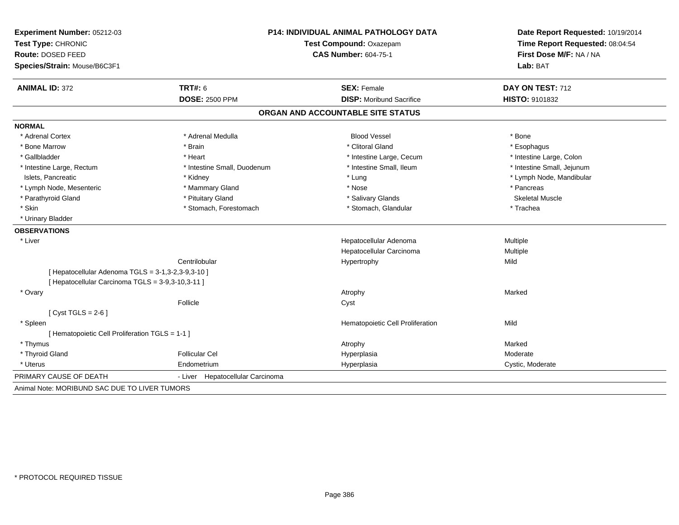| Experiment Number: 05212-03                        | <b>P14: INDIVIDUAL ANIMAL PATHOLOGY DATA</b> |                                   | Date Report Requested: 10/19/2014                          |  |
|----------------------------------------------------|----------------------------------------------|-----------------------------------|------------------------------------------------------------|--|
| Test Type: CHRONIC<br>Route: DOSED FEED            |                                              | Test Compound: Oxazepam           | Time Report Requested: 08:04:54<br>First Dose M/F: NA / NA |  |
|                                                    |                                              | <b>CAS Number: 604-75-1</b>       |                                                            |  |
| Species/Strain: Mouse/B6C3F1                       |                                              |                                   | Lab: BAT                                                   |  |
| <b>ANIMAL ID: 372</b>                              | <b>TRT#: 6</b>                               | <b>SEX: Female</b>                | DAY ON TEST: 712                                           |  |
|                                                    | <b>DOSE: 2500 PPM</b>                        | <b>DISP:</b> Moribund Sacrifice   | <b>HISTO: 9101832</b>                                      |  |
|                                                    |                                              | ORGAN AND ACCOUNTABLE SITE STATUS |                                                            |  |
| <b>NORMAL</b>                                      |                                              |                                   |                                                            |  |
| * Adrenal Cortex                                   | * Adrenal Medulla                            | <b>Blood Vessel</b>               | * Bone                                                     |  |
| * Bone Marrow                                      | * Brain                                      | * Clitoral Gland                  | * Esophagus                                                |  |
| * Gallbladder                                      | * Heart                                      | * Intestine Large, Cecum          | * Intestine Large, Colon                                   |  |
| * Intestine Large, Rectum                          | * Intestine Small, Duodenum                  | * Intestine Small, Ileum          | * Intestine Small, Jejunum                                 |  |
| Islets, Pancreatic                                 | * Kidney                                     | * Lung                            | * Lymph Node, Mandibular                                   |  |
| * Lymph Node, Mesenteric                           | * Mammary Gland                              | * Nose                            | * Pancreas                                                 |  |
| * Parathyroid Gland                                | * Pituitary Gland                            | * Salivary Glands                 | <b>Skeletal Muscle</b>                                     |  |
| * Skin                                             | * Stomach, Forestomach                       | * Stomach, Glandular              | * Trachea                                                  |  |
| * Urinary Bladder                                  |                                              |                                   |                                                            |  |
| <b>OBSERVATIONS</b>                                |                                              |                                   |                                                            |  |
| * Liver                                            |                                              | Hepatocellular Adenoma            | Multiple                                                   |  |
|                                                    |                                              | Hepatocellular Carcinoma          | Multiple                                                   |  |
|                                                    | Centrilobular                                | Hypertrophy                       | Mild                                                       |  |
| [ Hepatocellular Adenoma TGLS = 3-1,3-2,3-9,3-10 ] |                                              |                                   |                                                            |  |
| [ Hepatocellular Carcinoma TGLS = 3-9,3-10,3-11 ]  |                                              |                                   |                                                            |  |
| * Ovary                                            |                                              | Atrophy                           | Marked                                                     |  |
|                                                    | Follicle                                     | Cyst                              |                                                            |  |
| [Cyst TGLS = $2-6$ ]                               |                                              |                                   |                                                            |  |
| * Spleen                                           |                                              | Hematopoietic Cell Proliferation  | Mild                                                       |  |
| [ Hematopoietic Cell Proliferation TGLS = 1-1 ]    |                                              |                                   |                                                            |  |
| * Thymus                                           |                                              | Atrophy                           | Marked                                                     |  |
| * Thyroid Gland                                    | <b>Follicular Cel</b>                        | Hyperplasia                       | Moderate                                                   |  |
| * Uterus                                           | Endometrium                                  | Hyperplasia                       | Cystic, Moderate                                           |  |
| PRIMARY CAUSE OF DEATH                             | Hepatocellular Carcinoma<br>- Liver          |                                   |                                                            |  |
| Animal Note: MORIBUND SAC DUE TO LIVER TUMORS      |                                              |                                   |                                                            |  |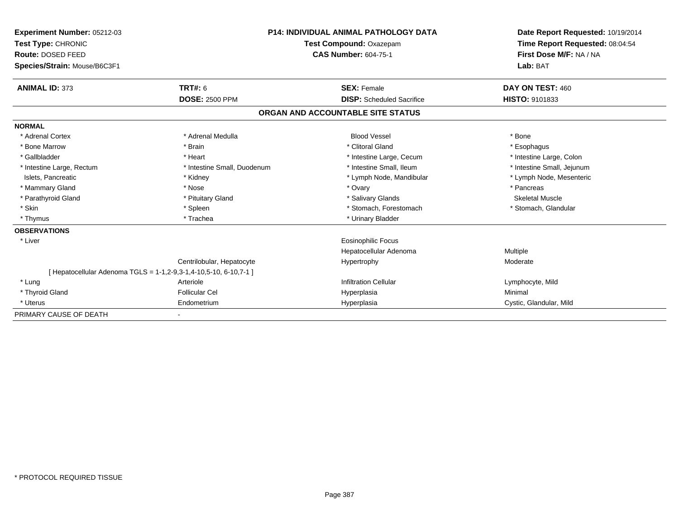| <b>Experiment Number: 05212-03</b>      |                                                                 | <b>P14: INDIVIDUAL ANIMAL PATHOLOGY DATA</b> | Date Report Requested: 10/19/2014                          |
|-----------------------------------------|-----------------------------------------------------------------|----------------------------------------------|------------------------------------------------------------|
| Test Type: CHRONIC<br>Route: DOSED FEED |                                                                 | Test Compound: Oxazepam                      | Time Report Requested: 08:04:54<br>First Dose M/F: NA / NA |
|                                         |                                                                 | <b>CAS Number: 604-75-1</b>                  |                                                            |
| Species/Strain: Mouse/B6C3F1            |                                                                 |                                              | Lab: BAT                                                   |
| <b>ANIMAL ID: 373</b>                   | <b>TRT#: 6</b>                                                  | <b>SEX: Female</b>                           | DAY ON TEST: 460                                           |
|                                         | <b>DOSE: 2500 PPM</b>                                           | <b>DISP:</b> Scheduled Sacrifice             | HISTO: 9101833                                             |
|                                         |                                                                 | ORGAN AND ACCOUNTABLE SITE STATUS            |                                                            |
| <b>NORMAL</b>                           |                                                                 |                                              |                                                            |
| * Adrenal Cortex                        | * Adrenal Medulla                                               | <b>Blood Vessel</b>                          | * Bone                                                     |
| * Bone Marrow                           | * Brain                                                         | * Clitoral Gland                             | * Esophagus                                                |
| * Gallbladder                           | * Heart                                                         | * Intestine Large, Cecum                     | * Intestine Large, Colon                                   |
| * Intestine Large, Rectum               | * Intestine Small, Duodenum                                     | * Intestine Small, Ileum                     | * Intestine Small, Jejunum                                 |
| Islets, Pancreatic                      | * Kidney                                                        | * Lymph Node, Mandibular                     | * Lymph Node, Mesenteric                                   |
| * Mammary Gland                         | * Nose                                                          | * Ovary                                      | * Pancreas                                                 |
| * Parathyroid Gland                     | * Pituitary Gland                                               | * Salivary Glands                            | <b>Skeletal Muscle</b>                                     |
| * Skin                                  | * Spleen                                                        | * Stomach, Forestomach                       | * Stomach, Glandular                                       |
| * Thymus                                | * Trachea                                                       | * Urinary Bladder                            |                                                            |
| <b>OBSERVATIONS</b>                     |                                                                 |                                              |                                                            |
| * Liver                                 |                                                                 | <b>Eosinophilic Focus</b>                    |                                                            |
|                                         |                                                                 | Hepatocellular Adenoma                       | Multiple                                                   |
|                                         | Centrilobular, Hepatocyte                                       | Hypertrophy                                  | Moderate                                                   |
|                                         | [Hepatocellular Adenoma TGLS = 1-1,2-9,3-1,4-10,5-10, 6-10,7-1] |                                              |                                                            |
| * Lung                                  | Arteriole                                                       | <b>Infiltration Cellular</b>                 | Lymphocyte, Mild                                           |
| * Thyroid Gland                         | <b>Follicular Cel</b>                                           | Hyperplasia                                  | Minimal                                                    |
| * Uterus                                | Endometrium                                                     | Hyperplasia                                  | Cystic, Glandular, Mild                                    |
| PRIMARY CAUSE OF DEATH                  |                                                                 |                                              |                                                            |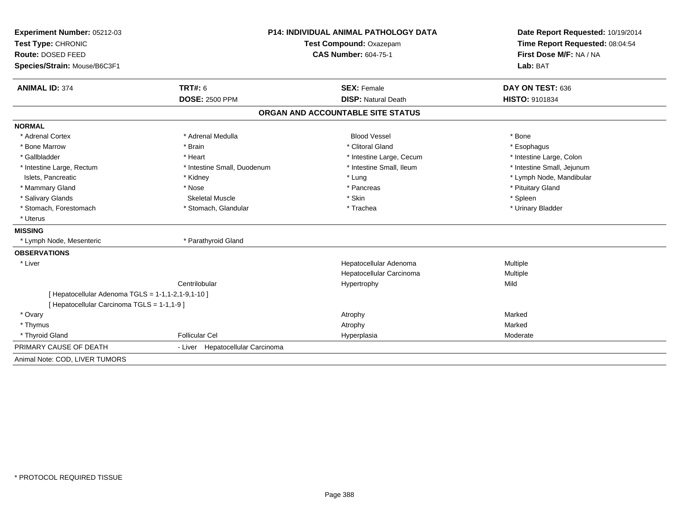| <b>Experiment Number: 05212-03</b>                      | <b>P14: INDIVIDUAL ANIMAL PATHOLOGY DATA</b><br>Test Compound: Oxazepam |                                   | Date Report Requested: 10/19/2014<br>Time Report Requested: 08:04:54 |  |
|---------------------------------------------------------|-------------------------------------------------------------------------|-----------------------------------|----------------------------------------------------------------------|--|
| Test Type: CHRONIC                                      |                                                                         |                                   |                                                                      |  |
| Route: DOSED FEED                                       |                                                                         | <b>CAS Number: 604-75-1</b>       | First Dose M/F: NA / NA                                              |  |
| Species/Strain: Mouse/B6C3F1                            |                                                                         |                                   | Lab: BAT                                                             |  |
| <b>ANIMAL ID: 374</b>                                   | <b>TRT#: 6</b>                                                          | <b>SEX: Female</b>                | DAY ON TEST: 636                                                     |  |
|                                                         | <b>DOSE: 2500 PPM</b>                                                   | <b>DISP: Natural Death</b>        | <b>HISTO: 9101834</b>                                                |  |
|                                                         |                                                                         | ORGAN AND ACCOUNTABLE SITE STATUS |                                                                      |  |
| <b>NORMAL</b>                                           |                                                                         |                                   |                                                                      |  |
| * Adrenal Cortex                                        | * Adrenal Medulla                                                       | <b>Blood Vessel</b>               | * Bone                                                               |  |
| * Bone Marrow                                           | * Brain                                                                 | * Clitoral Gland                  | * Esophagus                                                          |  |
| * Gallbladder                                           | * Heart                                                                 | * Intestine Large, Cecum          | * Intestine Large, Colon                                             |  |
| * Intestine Large, Rectum                               | * Intestine Small, Duodenum                                             | * Intestine Small, Ileum          | * Intestine Small, Jejunum                                           |  |
| Islets, Pancreatic                                      | * Kidney                                                                | * Lung                            | * Lymph Node, Mandibular                                             |  |
| * Mammary Gland                                         | * Nose                                                                  | * Pancreas                        | * Pituitary Gland                                                    |  |
| * Salivary Glands                                       | <b>Skeletal Muscle</b>                                                  | * Skin                            | * Spleen                                                             |  |
| * Stomach, Forestomach                                  | * Stomach, Glandular                                                    | * Trachea                         | * Urinary Bladder                                                    |  |
| * Uterus                                                |                                                                         |                                   |                                                                      |  |
| <b>MISSING</b>                                          |                                                                         |                                   |                                                                      |  |
| * Lymph Node, Mesenteric                                | * Parathyroid Gland                                                     |                                   |                                                                      |  |
| <b>OBSERVATIONS</b>                                     |                                                                         |                                   |                                                                      |  |
| * Liver                                                 |                                                                         | Hepatocellular Adenoma            | Multiple                                                             |  |
|                                                         |                                                                         | Hepatocellular Carcinoma          | Multiple                                                             |  |
|                                                         | Centrilobular                                                           | Hypertrophy                       | Mild                                                                 |  |
| [ Hepatocellular Adenoma $TGLS = 1-1, 1-2, 1-9, 1-10$ ] |                                                                         |                                   |                                                                      |  |
| [ Hepatocellular Carcinoma TGLS = 1-1,1-9 ]             |                                                                         |                                   |                                                                      |  |
| * Ovary                                                 |                                                                         | Atrophy                           | Marked                                                               |  |
| * Thymus                                                |                                                                         | Atrophy                           | Marked                                                               |  |
| * Thyroid Gland                                         | <b>Follicular Cel</b>                                                   | Hyperplasia                       | Moderate                                                             |  |
| PRIMARY CAUSE OF DEATH                                  | - Liver Hepatocellular Carcinoma                                        |                                   |                                                                      |  |
| Animal Note: COD, LIVER TUMORS                          |                                                                         |                                   |                                                                      |  |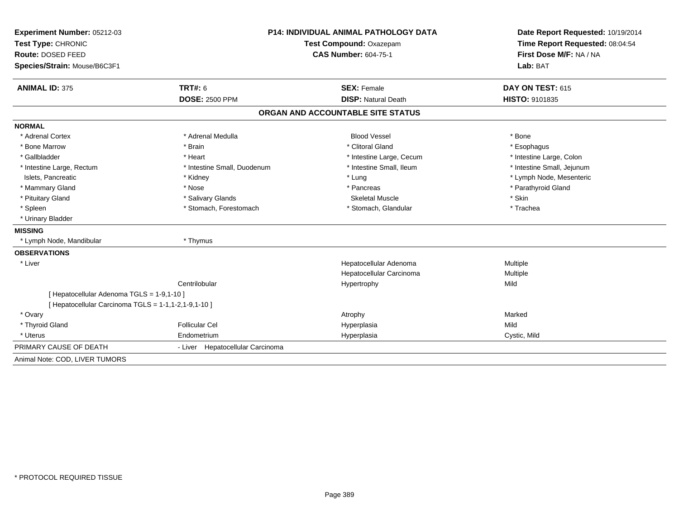| <b>Experiment Number: 05212-03</b>                   | <b>P14: INDIVIDUAL ANIMAL PATHOLOGY DATA</b> |                                   | Date Report Requested: 10/19/2014<br>Time Report Requested: 08:04:54 |  |
|------------------------------------------------------|----------------------------------------------|-----------------------------------|----------------------------------------------------------------------|--|
| Test Type: CHRONIC                                   |                                              | Test Compound: Oxazepam           |                                                                      |  |
| Route: DOSED FEED                                    |                                              | <b>CAS Number: 604-75-1</b>       | First Dose M/F: NA / NA                                              |  |
| Species/Strain: Mouse/B6C3F1                         |                                              |                                   | Lab: BAT                                                             |  |
|                                                      |                                              |                                   |                                                                      |  |
| <b>ANIMAL ID: 375</b>                                | <b>TRT#: 6</b>                               | <b>SEX: Female</b>                | DAY ON TEST: 615                                                     |  |
|                                                      | <b>DOSE: 2500 PPM</b>                        | <b>DISP: Natural Death</b>        | <b>HISTO: 9101835</b>                                                |  |
|                                                      |                                              | ORGAN AND ACCOUNTABLE SITE STATUS |                                                                      |  |
| <b>NORMAL</b>                                        |                                              |                                   |                                                                      |  |
| * Adrenal Cortex                                     | * Adrenal Medulla                            | <b>Blood Vessel</b>               | * Bone                                                               |  |
| * Bone Marrow                                        | * Brain                                      | * Clitoral Gland                  | * Esophagus                                                          |  |
| * Gallbladder                                        | * Heart                                      | * Intestine Large, Cecum          | * Intestine Large, Colon                                             |  |
| * Intestine Large, Rectum                            | * Intestine Small, Duodenum                  | * Intestine Small, Ileum          | * Intestine Small, Jejunum                                           |  |
| Islets, Pancreatic                                   | * Kidney                                     | * Lung                            | * Lymph Node, Mesenteric                                             |  |
| * Mammary Gland                                      | * Nose                                       | * Pancreas                        | * Parathyroid Gland                                                  |  |
| * Pituitary Gland                                    | * Salivary Glands                            | <b>Skeletal Muscle</b>            | * Skin                                                               |  |
| * Spleen                                             | * Stomach, Forestomach                       | * Stomach, Glandular              | * Trachea                                                            |  |
| * Urinary Bladder                                    |                                              |                                   |                                                                      |  |
| <b>MISSING</b>                                       |                                              |                                   |                                                                      |  |
| * Lymph Node, Mandibular                             | * Thymus                                     |                                   |                                                                      |  |
| <b>OBSERVATIONS</b>                                  |                                              |                                   |                                                                      |  |
| * Liver                                              |                                              | Hepatocellular Adenoma            | Multiple                                                             |  |
|                                                      |                                              | Hepatocellular Carcinoma          | Multiple                                                             |  |
|                                                      | Centrilobular                                | Hypertrophy                       | Mild                                                                 |  |
| [ Hepatocellular Adenoma TGLS = 1-9,1-10 ]           |                                              |                                   |                                                                      |  |
| [ Hepatocellular Carcinoma TGLS = 1-1,1-2,1-9,1-10 ] |                                              |                                   |                                                                      |  |
| * Ovary                                              |                                              | Atrophy                           | Marked                                                               |  |
| * Thyroid Gland                                      | <b>Follicular Cel</b>                        | Hyperplasia                       | Mild                                                                 |  |
| * Uterus                                             | Endometrium                                  | Hyperplasia                       | Cystic, Mild                                                         |  |
| PRIMARY CAUSE OF DEATH                               | - Liver Hepatocellular Carcinoma             |                                   |                                                                      |  |
| Animal Note: COD, LIVER TUMORS                       |                                              |                                   |                                                                      |  |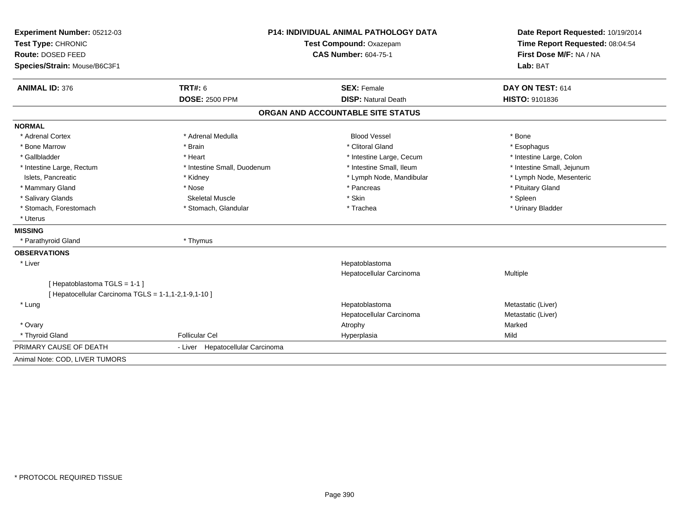| Experiment Number: 05212-03                          | <b>P14: INDIVIDUAL ANIMAL PATHOLOGY DATA</b><br>Test Compound: Oxazepam |                                   | Date Report Requested: 10/19/2014 |  |
|------------------------------------------------------|-------------------------------------------------------------------------|-----------------------------------|-----------------------------------|--|
| Test Type: CHRONIC                                   |                                                                         |                                   | Time Report Requested: 08:04:54   |  |
| Route: DOSED FEED                                    |                                                                         | <b>CAS Number: 604-75-1</b>       | First Dose M/F: NA / NA           |  |
| Species/Strain: Mouse/B6C3F1                         |                                                                         |                                   | Lab: BAT                          |  |
| <b>ANIMAL ID: 376</b>                                | TRT#: 6                                                                 | <b>SEX: Female</b>                | DAY ON TEST: 614                  |  |
|                                                      | <b>DOSE: 2500 PPM</b>                                                   | <b>DISP: Natural Death</b>        | HISTO: 9101836                    |  |
|                                                      |                                                                         | ORGAN AND ACCOUNTABLE SITE STATUS |                                   |  |
| <b>NORMAL</b>                                        |                                                                         |                                   |                                   |  |
| * Adrenal Cortex                                     | * Adrenal Medulla                                                       | <b>Blood Vessel</b>               | * Bone                            |  |
| * Bone Marrow                                        | * Brain                                                                 | * Clitoral Gland                  | * Esophagus                       |  |
| * Gallbladder                                        | * Heart                                                                 | * Intestine Large, Cecum          | * Intestine Large, Colon          |  |
| * Intestine Large, Rectum                            | * Intestine Small, Duodenum                                             | * Intestine Small, Ileum          | * Intestine Small, Jejunum        |  |
| Islets, Pancreatic                                   | * Kidney                                                                | * Lymph Node, Mandibular          | * Lymph Node, Mesenteric          |  |
| * Mammary Gland                                      | * Nose                                                                  | * Pancreas                        | * Pituitary Gland                 |  |
| * Salivary Glands                                    | <b>Skeletal Muscle</b>                                                  | * Skin                            | * Spleen                          |  |
| * Stomach, Forestomach                               | * Stomach, Glandular                                                    | * Trachea                         | * Urinary Bladder                 |  |
| * Uterus                                             |                                                                         |                                   |                                   |  |
| <b>MISSING</b>                                       |                                                                         |                                   |                                   |  |
| * Parathyroid Gland                                  | * Thymus                                                                |                                   |                                   |  |
| <b>OBSERVATIONS</b>                                  |                                                                         |                                   |                                   |  |
| * Liver                                              |                                                                         | Hepatoblastoma                    |                                   |  |
|                                                      |                                                                         | Hepatocellular Carcinoma          | Multiple                          |  |
| [Hepatoblastoma TGLS = 1-1]                          |                                                                         |                                   |                                   |  |
| [ Hepatocellular Carcinoma TGLS = 1-1,1-2,1-9,1-10 ] |                                                                         |                                   |                                   |  |
| * Lung                                               |                                                                         | Hepatoblastoma                    | Metastatic (Liver)                |  |
|                                                      |                                                                         | Hepatocellular Carcinoma          | Metastatic (Liver)                |  |
| * Ovary                                              |                                                                         | Atrophy                           | Marked                            |  |
| * Thyroid Gland                                      | <b>Follicular Cel</b>                                                   | Hyperplasia                       | Mild                              |  |
| PRIMARY CAUSE OF DEATH                               | - Liver Hepatocellular Carcinoma                                        |                                   |                                   |  |
| Animal Note: COD, LIVER TUMORS                       |                                                                         |                                   |                                   |  |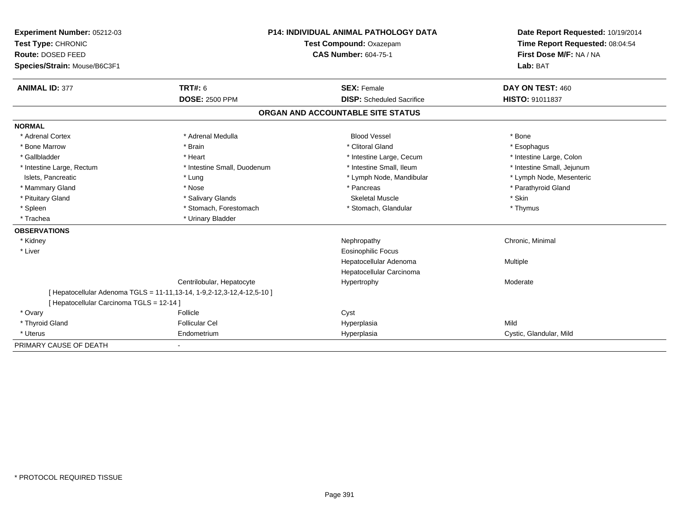| Experiment Number: 05212-03               |                                                                             | <b>P14: INDIVIDUAL ANIMAL PATHOLOGY DATA</b> | Date Report Requested: 10/19/2014 |
|-------------------------------------------|-----------------------------------------------------------------------------|----------------------------------------------|-----------------------------------|
| Test Type: CHRONIC                        |                                                                             | Test Compound: Oxazepam                      | Time Report Requested: 08:04:54   |
| Route: DOSED FEED                         |                                                                             | <b>CAS Number: 604-75-1</b>                  | First Dose M/F: NA / NA           |
| Species/Strain: Mouse/B6C3F1              |                                                                             |                                              | Lab: BAT                          |
| <b>ANIMAL ID: 377</b>                     | <b>TRT#: 6</b>                                                              | <b>SEX: Female</b>                           | DAY ON TEST: 460                  |
|                                           | <b>DOSE: 2500 PPM</b>                                                       | <b>DISP:</b> Scheduled Sacrifice             | HISTO: 91011837                   |
|                                           |                                                                             | ORGAN AND ACCOUNTABLE SITE STATUS            |                                   |
| <b>NORMAL</b>                             |                                                                             |                                              |                                   |
| * Adrenal Cortex                          | * Adrenal Medulla                                                           | <b>Blood Vessel</b>                          | * Bone                            |
| * Bone Marrow                             | * Brain                                                                     | * Clitoral Gland                             | * Esophagus                       |
| * Gallbladder                             | * Heart                                                                     | * Intestine Large, Cecum                     | * Intestine Large, Colon          |
| * Intestine Large, Rectum                 | * Intestine Small, Duodenum                                                 | * Intestine Small. Ileum                     | * Intestine Small, Jejunum        |
| Islets, Pancreatic                        | * Lung                                                                      | * Lymph Node, Mandibular                     | * Lymph Node, Mesenteric          |
| * Mammary Gland                           | * Nose                                                                      | * Pancreas                                   | * Parathyroid Gland               |
| * Pituitary Gland                         | * Salivary Glands                                                           | <b>Skeletal Muscle</b>                       | * Skin                            |
| * Spleen                                  | * Stomach, Forestomach                                                      | * Stomach, Glandular                         | * Thymus                          |
| * Trachea                                 | * Urinary Bladder                                                           |                                              |                                   |
| <b>OBSERVATIONS</b>                       |                                                                             |                                              |                                   |
| * Kidney                                  |                                                                             | Nephropathy                                  | Chronic, Minimal                  |
| * Liver                                   |                                                                             | <b>Eosinophilic Focus</b>                    |                                   |
|                                           |                                                                             | Hepatocellular Adenoma                       | Multiple                          |
|                                           |                                                                             | Hepatocellular Carcinoma                     |                                   |
|                                           | Centrilobular, Hepatocyte                                                   | Hypertrophy                                  | Moderate                          |
| [ Hepatocellular Carcinoma TGLS = 12-14 ] | [ Hepatocellular Adenoma TGLS = 11-11, 13-14, 1-9, 2-12, 3-12, 4-12, 5-10 ] |                                              |                                   |
| * Ovary                                   | Follicle                                                                    | Cyst                                         |                                   |
| * Thyroid Gland                           | <b>Follicular Cel</b>                                                       | Hyperplasia                                  | Mild                              |
| * Uterus                                  | Endometrium                                                                 | Hyperplasia                                  | Cystic, Glandular, Mild           |
| PRIMARY CAUSE OF DEATH                    |                                                                             |                                              |                                   |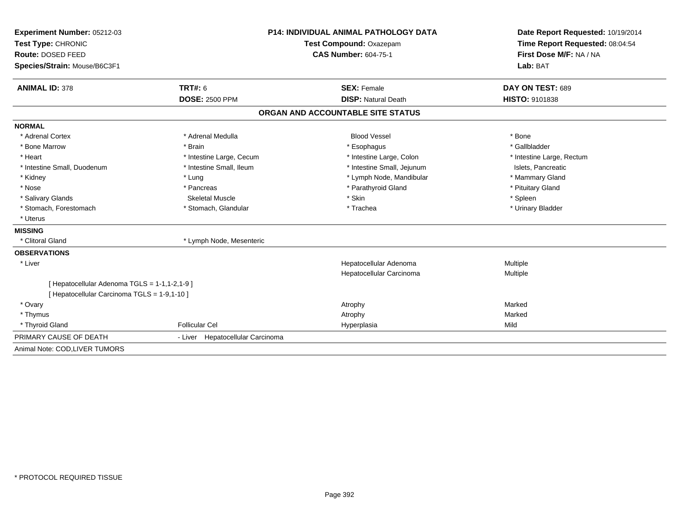| Experiment Number: 05212-03                   | <b>P14: INDIVIDUAL ANIMAL PATHOLOGY DATA</b> |                                   | Date Report Requested: 10/19/2014 |
|-----------------------------------------------|----------------------------------------------|-----------------------------------|-----------------------------------|
| Test Type: CHRONIC                            |                                              | <b>Test Compound: Oxazepam</b>    | Time Report Requested: 08:04:54   |
| Route: DOSED FEED                             |                                              | <b>CAS Number: 604-75-1</b>       | First Dose M/F: NA / NA           |
| Species/Strain: Mouse/B6C3F1                  |                                              |                                   | Lab: BAT                          |
| <b>ANIMAL ID: 378</b>                         | <b>TRT#: 6</b>                               | <b>SEX: Female</b>                | DAY ON TEST: 689                  |
|                                               | <b>DOSE: 2500 PPM</b>                        | <b>DISP: Natural Death</b>        | <b>HISTO: 9101838</b>             |
|                                               |                                              | ORGAN AND ACCOUNTABLE SITE STATUS |                                   |
| <b>NORMAL</b>                                 |                                              |                                   |                                   |
| * Adrenal Cortex                              | * Adrenal Medulla                            | <b>Blood Vessel</b>               | * Bone                            |
| * Bone Marrow                                 | * Brain                                      | * Esophagus                       | * Gallbladder                     |
| * Heart                                       | * Intestine Large, Cecum                     | * Intestine Large, Colon          | * Intestine Large, Rectum         |
| * Intestine Small, Duodenum                   | * Intestine Small, Ileum                     | * Intestine Small, Jejunum        | Islets, Pancreatic                |
| * Kidney                                      | * Lung                                       | * Lymph Node, Mandibular          | * Mammary Gland                   |
| * Nose                                        | * Pancreas                                   | * Parathyroid Gland               | * Pituitary Gland                 |
| * Salivary Glands                             | <b>Skeletal Muscle</b>                       | * Skin                            | * Spleen                          |
| * Stomach, Forestomach                        | * Stomach, Glandular                         | * Trachea                         | * Urinary Bladder                 |
| * Uterus                                      |                                              |                                   |                                   |
| <b>MISSING</b>                                |                                              |                                   |                                   |
| * Clitoral Gland                              | * Lymph Node, Mesenteric                     |                                   |                                   |
| <b>OBSERVATIONS</b>                           |                                              |                                   |                                   |
| * Liver                                       |                                              | Hepatocellular Adenoma            | Multiple                          |
|                                               |                                              | Hepatocellular Carcinoma          | Multiple                          |
| [ Hepatocellular Adenoma TGLS = 1-1,1-2,1-9 ] |                                              |                                   |                                   |
| [ Hepatocellular Carcinoma TGLS = 1-9,1-10 ]  |                                              |                                   |                                   |
| * Ovary                                       |                                              | Atrophy                           | Marked                            |
| * Thymus                                      |                                              | Atrophy                           | Marked                            |
| * Thyroid Gland                               | <b>Follicular Cel</b>                        | Hyperplasia                       | Mild                              |
| PRIMARY CAUSE OF DEATH                        | - Liver Hepatocellular Carcinoma             |                                   |                                   |
| Animal Note: COD, LIVER TUMORS                |                                              |                                   |                                   |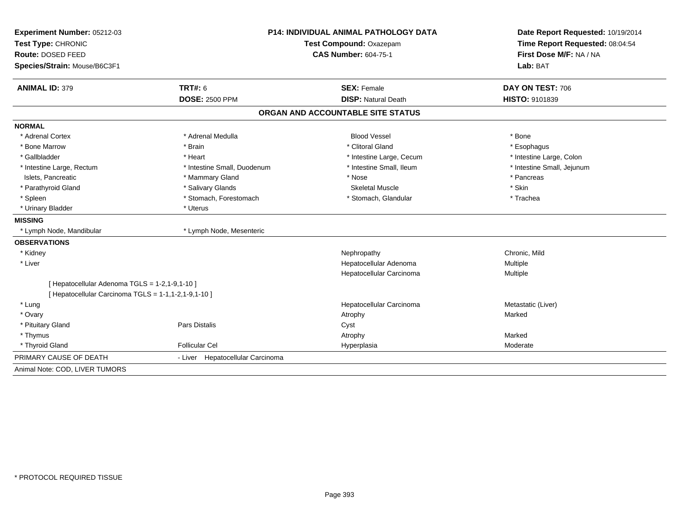| Experiment Number: 05212-03                          | <b>P14: INDIVIDUAL ANIMAL PATHOLOGY DATA</b><br>Test Compound: Oxazepam |                                   | Date Report Requested: 10/19/2014<br>Time Report Requested: 08:04:54 |  |
|------------------------------------------------------|-------------------------------------------------------------------------|-----------------------------------|----------------------------------------------------------------------|--|
| Test Type: CHRONIC                                   |                                                                         |                                   |                                                                      |  |
| Route: DOSED FEED                                    |                                                                         | <b>CAS Number: 604-75-1</b>       |                                                                      |  |
| Species/Strain: Mouse/B6C3F1                         |                                                                         |                                   | First Dose M/F: NA / NA<br>Lab: BAT                                  |  |
| <b>ANIMAL ID: 379</b>                                | <b>TRT#: 6</b>                                                          | <b>SEX: Female</b>                | DAY ON TEST: 706                                                     |  |
|                                                      | <b>DOSE: 2500 PPM</b>                                                   | <b>DISP: Natural Death</b>        | <b>HISTO: 9101839</b>                                                |  |
|                                                      |                                                                         | ORGAN AND ACCOUNTABLE SITE STATUS |                                                                      |  |
| <b>NORMAL</b>                                        |                                                                         |                                   |                                                                      |  |
| * Adrenal Cortex                                     | * Adrenal Medulla                                                       | <b>Blood Vessel</b>               | * Bone                                                               |  |
| * Bone Marrow                                        | * Brain                                                                 | * Clitoral Gland                  | * Esophagus                                                          |  |
| * Gallbladder                                        | * Heart                                                                 | * Intestine Large, Cecum          | * Intestine Large, Colon                                             |  |
| * Intestine Large, Rectum                            | * Intestine Small, Duodenum                                             | * Intestine Small, Ileum          | * Intestine Small, Jejunum                                           |  |
| Islets, Pancreatic                                   | * Mammary Gland                                                         | * Nose                            | * Pancreas                                                           |  |
| * Parathyroid Gland                                  | * Salivary Glands                                                       | <b>Skeletal Muscle</b>            | * Skin                                                               |  |
| * Spleen                                             | * Stomach, Forestomach                                                  | * Stomach, Glandular              | * Trachea                                                            |  |
| * Urinary Bladder                                    | * Uterus                                                                |                                   |                                                                      |  |
| <b>MISSING</b>                                       |                                                                         |                                   |                                                                      |  |
| * Lymph Node, Mandibular                             | * Lymph Node, Mesenteric                                                |                                   |                                                                      |  |
| <b>OBSERVATIONS</b>                                  |                                                                         |                                   |                                                                      |  |
| * Kidney                                             |                                                                         | Nephropathy                       | Chronic, Mild                                                        |  |
| * Liver                                              |                                                                         | Hepatocellular Adenoma            | Multiple                                                             |  |
|                                                      |                                                                         | Hepatocellular Carcinoma          | Multiple                                                             |  |
| [ Hepatocellular Adenoma TGLS = 1-2,1-9,1-10 ]       |                                                                         |                                   |                                                                      |  |
| [ Hepatocellular Carcinoma TGLS = 1-1,1-2,1-9,1-10 ] |                                                                         |                                   |                                                                      |  |
| * Lung                                               |                                                                         | Hepatocellular Carcinoma          | Metastatic (Liver)                                                   |  |
| * Ovary                                              |                                                                         | Atrophy                           | Marked                                                               |  |
| * Pituitary Gland                                    | <b>Pars Distalis</b>                                                    | Cyst                              |                                                                      |  |
| * Thymus                                             |                                                                         | Atrophy                           | Marked                                                               |  |
| * Thyroid Gland                                      | <b>Follicular Cel</b>                                                   | Hyperplasia                       | Moderate                                                             |  |
| PRIMARY CAUSE OF DEATH                               | - Liver Hepatocellular Carcinoma                                        |                                   |                                                                      |  |
| Animal Note: COD, LIVER TUMORS                       |                                                                         |                                   |                                                                      |  |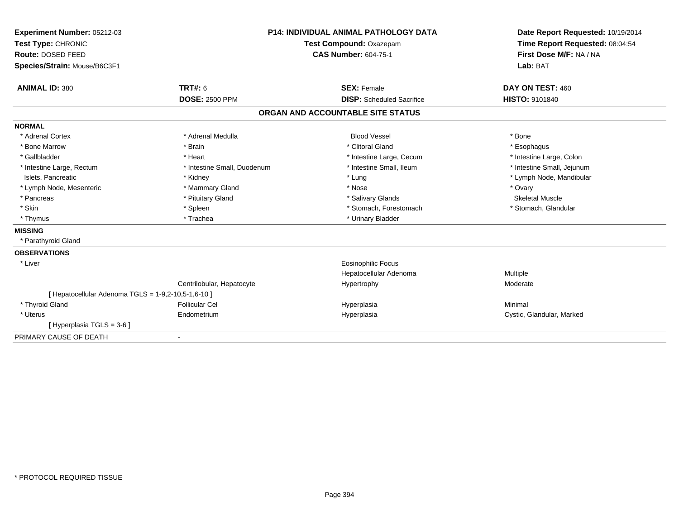| Experiment Number: 05212-03                         |                                               | <b>P14: INDIVIDUAL ANIMAL PATHOLOGY DATA</b> | Date Report Requested: 10/19/2014 |  |
|-----------------------------------------------------|-----------------------------------------------|----------------------------------------------|-----------------------------------|--|
|                                                     | Test Type: CHRONIC<br>Test Compound: Oxazepam |                                              | Time Report Requested: 08:04:54   |  |
| Route: DOSED FEED                                   |                                               | <b>CAS Number: 604-75-1</b>                  | First Dose M/F: NA / NA           |  |
| Species/Strain: Mouse/B6C3F1                        |                                               |                                              | Lab: BAT                          |  |
| <b>ANIMAL ID: 380</b>                               | TRT#: 6                                       | <b>SEX: Female</b>                           | DAY ON TEST: 460                  |  |
|                                                     | <b>DOSE: 2500 PPM</b>                         | <b>DISP:</b> Scheduled Sacrifice             | HISTO: 9101840                    |  |
|                                                     |                                               | ORGAN AND ACCOUNTABLE SITE STATUS            |                                   |  |
| <b>NORMAL</b>                                       |                                               |                                              |                                   |  |
| * Adrenal Cortex                                    | * Adrenal Medulla                             | <b>Blood Vessel</b>                          | * Bone                            |  |
| * Bone Marrow                                       | * Brain                                       | * Clitoral Gland                             | * Esophagus                       |  |
| * Gallbladder                                       | * Heart                                       | * Intestine Large, Cecum                     | * Intestine Large, Colon          |  |
| * Intestine Large, Rectum                           | * Intestine Small, Duodenum                   | * Intestine Small, Ileum                     | * Intestine Small, Jejunum        |  |
| Islets, Pancreatic                                  | * Kidney                                      | * Lung                                       | * Lymph Node, Mandibular          |  |
| * Lymph Node, Mesenteric                            | * Mammary Gland                               | * Nose                                       | * Ovary                           |  |
| * Pancreas                                          | * Pituitary Gland                             | * Salivary Glands                            | <b>Skeletal Muscle</b>            |  |
| * Skin                                              | * Spleen                                      | * Stomach, Forestomach                       | * Stomach, Glandular              |  |
| * Thymus                                            | * Trachea                                     | * Urinary Bladder                            |                                   |  |
| <b>MISSING</b>                                      |                                               |                                              |                                   |  |
| * Parathyroid Gland                                 |                                               |                                              |                                   |  |
| <b>OBSERVATIONS</b>                                 |                                               |                                              |                                   |  |
| * Liver                                             |                                               | <b>Eosinophilic Focus</b>                    |                                   |  |
|                                                     |                                               | Hepatocellular Adenoma                       | Multiple                          |  |
|                                                     | Centrilobular, Hepatocyte                     | Hypertrophy                                  | Moderate                          |  |
| [ Hepatocellular Adenoma TGLS = 1-9,2-10,5-1,6-10 ] |                                               |                                              |                                   |  |
| * Thyroid Gland                                     | <b>Follicular Cel</b>                         | Hyperplasia                                  | Minimal                           |  |
| * Uterus                                            | Endometrium                                   | Hyperplasia                                  | Cystic, Glandular, Marked         |  |
| [Hyperplasia TGLS = 3-6]                            |                                               |                                              |                                   |  |
| PRIMARY CAUSE OF DEATH                              | $\overline{\phantom{a}}$                      |                                              |                                   |  |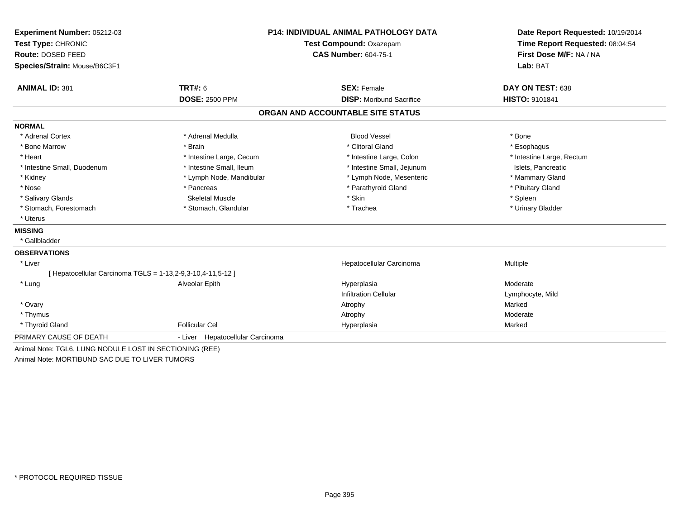| Experiment Number: 05212-03                                 | <b>P14: INDIVIDUAL ANIMAL PATHOLOGY DATA</b> |                                   | Date Report Requested: 10/19/2014                          |  |
|-------------------------------------------------------------|----------------------------------------------|-----------------------------------|------------------------------------------------------------|--|
| Test Type: CHRONIC                                          |                                              | Test Compound: Oxazepam           | Time Report Requested: 08:04:54<br>First Dose M/F: NA / NA |  |
| Route: DOSED FEED                                           |                                              | <b>CAS Number: 604-75-1</b>       |                                                            |  |
| Species/Strain: Mouse/B6C3F1                                |                                              |                                   | Lab: BAT                                                   |  |
| <b>ANIMAL ID: 381</b>                                       | <b>TRT#: 6</b>                               | <b>SEX: Female</b>                | DAY ON TEST: 638                                           |  |
|                                                             | <b>DOSE: 2500 PPM</b>                        | <b>DISP:</b> Moribund Sacrifice   | HISTO: 9101841                                             |  |
|                                                             |                                              | ORGAN AND ACCOUNTABLE SITE STATUS |                                                            |  |
| <b>NORMAL</b>                                               |                                              |                                   |                                                            |  |
| * Adrenal Cortex                                            | * Adrenal Medulla                            | <b>Blood Vessel</b>               | * Bone                                                     |  |
| * Bone Marrow                                               | * Brain                                      | * Clitoral Gland                  | * Esophagus                                                |  |
| * Heart                                                     | * Intestine Large, Cecum                     | * Intestine Large, Colon          | * Intestine Large, Rectum                                  |  |
| * Intestine Small, Duodenum                                 | * Intestine Small, Ileum                     | * Intestine Small, Jejunum        | Islets, Pancreatic                                         |  |
| * Kidney                                                    | * Lymph Node, Mandibular                     | * Lymph Node, Mesenteric          | * Mammary Gland                                            |  |
| * Nose                                                      | * Pancreas                                   | * Parathyroid Gland               | * Pituitary Gland                                          |  |
| * Salivary Glands                                           | Skeletal Muscle                              | * Skin                            | * Spleen                                                   |  |
| * Stomach, Forestomach                                      | * Stomach, Glandular                         | * Trachea                         | * Urinary Bladder                                          |  |
| * Uterus                                                    |                                              |                                   |                                                            |  |
| <b>MISSING</b>                                              |                                              |                                   |                                                            |  |
| * Gallbladder                                               |                                              |                                   |                                                            |  |
| <b>OBSERVATIONS</b>                                         |                                              |                                   |                                                            |  |
| * Liver                                                     |                                              | Hepatocellular Carcinoma          | Multiple                                                   |  |
| [ Hepatocellular Carcinoma TGLS = 1-13,2-9,3-10,4-11,5-12 ] |                                              |                                   |                                                            |  |
| * Lung                                                      | Alveolar Epith                               | Hyperplasia                       | Moderate                                                   |  |
|                                                             |                                              | <b>Infiltration Cellular</b>      | Lymphocyte, Mild                                           |  |
| * Ovary                                                     |                                              | Atrophy                           | Marked                                                     |  |
| * Thymus                                                    |                                              | Atrophy                           | Moderate                                                   |  |
| * Thyroid Gland                                             | <b>Follicular Cel</b>                        | Hyperplasia                       | Marked                                                     |  |
| PRIMARY CAUSE OF DEATH                                      | - Liver Hepatocellular Carcinoma             |                                   |                                                            |  |
| Animal Note: TGL6, LUNG NODULE LOST IN SECTIONING (REE)     |                                              |                                   |                                                            |  |
| Animal Note: MORTIBUND SAC DUE TO LIVER TUMORS              |                                              |                                   |                                                            |  |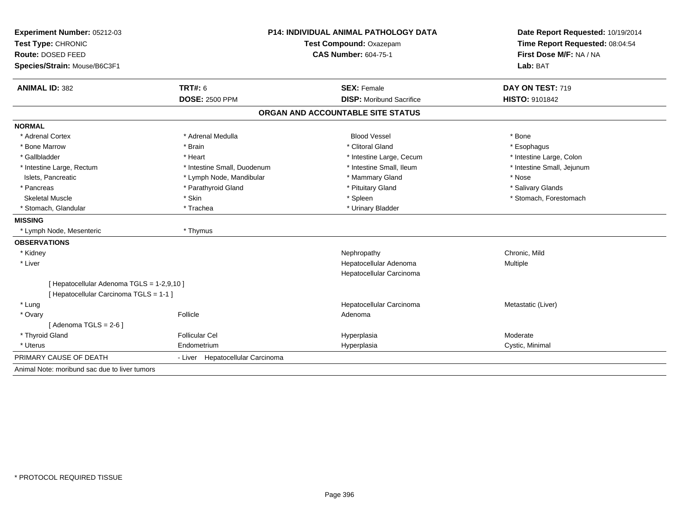| Experiment Number: 05212-03                   | <b>P14: INDIVIDUAL ANIMAL PATHOLOGY DATA</b><br>Test Compound: Oxazepam |                                   | Date Report Requested: 10/19/2014 |  |
|-----------------------------------------------|-------------------------------------------------------------------------|-----------------------------------|-----------------------------------|--|
| Test Type: CHRONIC                            |                                                                         |                                   | Time Report Requested: 08:04:54   |  |
| Route: DOSED FEED                             |                                                                         | <b>CAS Number: 604-75-1</b>       | First Dose M/F: NA / NA           |  |
| Species/Strain: Mouse/B6C3F1                  |                                                                         |                                   | Lab: BAT                          |  |
| <b>ANIMAL ID: 382</b>                         | <b>TRT#: 6</b>                                                          | <b>SEX: Female</b>                | DAY ON TEST: 719                  |  |
|                                               | <b>DOSE: 2500 PPM</b>                                                   | <b>DISP:</b> Moribund Sacrifice   | HISTO: 9101842                    |  |
|                                               |                                                                         | ORGAN AND ACCOUNTABLE SITE STATUS |                                   |  |
| <b>NORMAL</b>                                 |                                                                         |                                   |                                   |  |
| * Adrenal Cortex                              | * Adrenal Medulla                                                       | <b>Blood Vessel</b>               | * Bone                            |  |
| * Bone Marrow                                 | * Brain                                                                 | * Clitoral Gland                  | * Esophagus                       |  |
| * Gallbladder                                 | * Heart                                                                 | * Intestine Large, Cecum          | * Intestine Large, Colon          |  |
| * Intestine Large, Rectum                     | * Intestine Small, Duodenum                                             | * Intestine Small, Ileum          | * Intestine Small, Jejunum        |  |
| Islets, Pancreatic                            | * Lymph Node, Mandibular                                                | * Mammary Gland                   | * Nose                            |  |
| * Pancreas                                    | * Parathyroid Gland                                                     | * Pituitary Gland                 | * Salivary Glands                 |  |
| <b>Skeletal Muscle</b>                        | * Skin                                                                  | * Spleen                          | * Stomach, Forestomach            |  |
| * Stomach, Glandular                          | * Trachea                                                               | * Urinary Bladder                 |                                   |  |
| <b>MISSING</b>                                |                                                                         |                                   |                                   |  |
| * Lymph Node, Mesenteric                      | * Thymus                                                                |                                   |                                   |  |
| <b>OBSERVATIONS</b>                           |                                                                         |                                   |                                   |  |
| * Kidney                                      |                                                                         | Nephropathy                       | Chronic, Mild                     |  |
| * Liver                                       |                                                                         | Hepatocellular Adenoma            | Multiple                          |  |
|                                               |                                                                         | Hepatocellular Carcinoma          |                                   |  |
| [ Hepatocellular Adenoma TGLS = 1-2,9,10 ]    |                                                                         |                                   |                                   |  |
| [ Hepatocellular Carcinoma TGLS = 1-1 ]       |                                                                         |                                   |                                   |  |
| * Lung                                        |                                                                         | Hepatocellular Carcinoma          | Metastatic (Liver)                |  |
| * Ovary                                       | Follicle                                                                | Adenoma                           |                                   |  |
| [Adenoma TGLS = $2-6$ ]                       |                                                                         |                                   |                                   |  |
| * Thyroid Gland                               | <b>Follicular Cel</b>                                                   | Hyperplasia                       | Moderate                          |  |
| * Uterus                                      | Endometrium                                                             | Hyperplasia                       | Cystic, Minimal                   |  |
| PRIMARY CAUSE OF DEATH                        | - Liver Hepatocellular Carcinoma                                        |                                   |                                   |  |
| Animal Note: moribund sac due to liver tumors |                                                                         |                                   |                                   |  |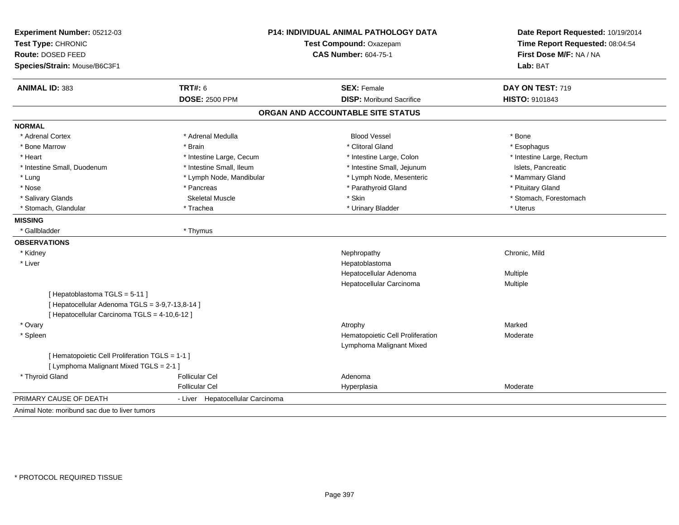| Experiment Number: 05212-03<br>Test Type: CHRONIC<br>Route: DOSED FEED |                                  | <b>P14: INDIVIDUAL ANIMAL PATHOLOGY DATA</b><br>Test Compound: Oxazepam<br><b>CAS Number: 604-75-1</b> |                           |
|------------------------------------------------------------------------|----------------------------------|--------------------------------------------------------------------------------------------------------|---------------------------|
| Species/Strain: Mouse/B6C3F1                                           |                                  |                                                                                                        | Lab: BAT                  |
| <b>ANIMAL ID: 383</b>                                                  | <b>TRT#: 6</b>                   | <b>SEX: Female</b>                                                                                     | DAY ON TEST: 719          |
|                                                                        | <b>DOSE: 2500 PPM</b>            | <b>DISP:</b> Moribund Sacrifice                                                                        | HISTO: 9101843            |
|                                                                        |                                  | ORGAN AND ACCOUNTABLE SITE STATUS                                                                      |                           |
| <b>NORMAL</b>                                                          |                                  |                                                                                                        |                           |
| * Adrenal Cortex                                                       | * Adrenal Medulla                | <b>Blood Vessel</b>                                                                                    | * Bone                    |
| * Bone Marrow                                                          | * Brain                          | * Clitoral Gland                                                                                       | * Esophagus               |
| * Heart                                                                | * Intestine Large, Cecum         | * Intestine Large, Colon                                                                               | * Intestine Large, Rectum |
| * Intestine Small, Duodenum                                            | * Intestine Small, Ileum         | * Intestine Small, Jejunum                                                                             | Islets. Pancreatic        |
| * Lung                                                                 | * Lymph Node, Mandibular         | * Lymph Node, Mesenteric                                                                               | * Mammary Gland           |
| * Nose                                                                 | * Pancreas                       | * Parathyroid Gland                                                                                    | * Pituitary Gland         |
| * Salivary Glands                                                      | <b>Skeletal Muscle</b>           | * Skin                                                                                                 | * Stomach, Forestomach    |
| * Stomach, Glandular                                                   | * Trachea                        | * Urinary Bladder                                                                                      | * Uterus                  |
| <b>MISSING</b>                                                         |                                  |                                                                                                        |                           |
| * Gallbladder                                                          | * Thymus                         |                                                                                                        |                           |
| <b>OBSERVATIONS</b>                                                    |                                  |                                                                                                        |                           |
| * Kidney                                                               |                                  | Nephropathy                                                                                            | Chronic, Mild             |
| * Liver                                                                |                                  | Hepatoblastoma                                                                                         |                           |
|                                                                        |                                  | Hepatocellular Adenoma                                                                                 | Multiple                  |
|                                                                        |                                  | Hepatocellular Carcinoma                                                                               | Multiple                  |
| [Hepatoblastoma TGLS = 5-11]                                           |                                  |                                                                                                        |                           |
| [ Hepatocellular Adenoma TGLS = 3-9,7-13,8-14 ]                        |                                  |                                                                                                        |                           |
| [ Hepatocellular Carcinoma TGLS = 4-10,6-12 ]                          |                                  |                                                                                                        |                           |
| * Ovary                                                                |                                  | Atrophy                                                                                                | Marked                    |
| * Spleen                                                               |                                  | Hematopoietic Cell Proliferation                                                                       | Moderate                  |
|                                                                        |                                  | Lymphoma Malignant Mixed                                                                               |                           |
| [ Hematopoietic Cell Proliferation TGLS = 1-1 ]                        |                                  |                                                                                                        |                           |
| [ Lymphoma Malignant Mixed TGLS = 2-1 ]                                |                                  |                                                                                                        |                           |
| * Thyroid Gland                                                        | <b>Follicular Cel</b>            | Adenoma                                                                                                |                           |
|                                                                        | <b>Follicular Cel</b>            | Hyperplasia                                                                                            | Moderate                  |
| PRIMARY CAUSE OF DEATH                                                 | - Liver Hepatocellular Carcinoma |                                                                                                        |                           |
| Animal Note: moribund sac due to liver tumors                          |                                  |                                                                                                        |                           |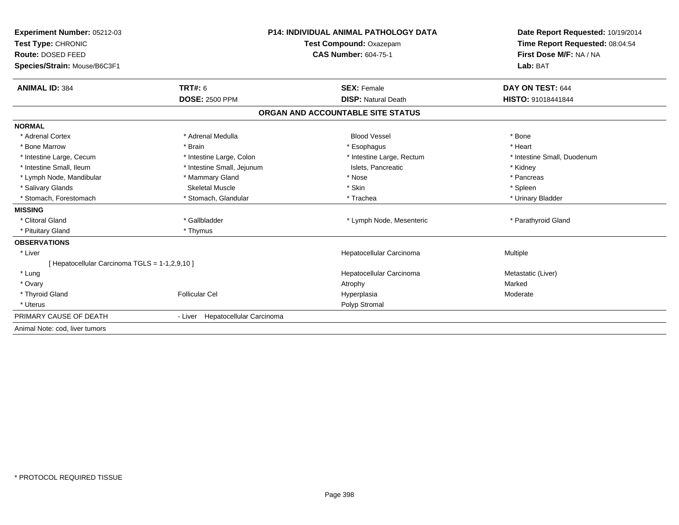| Experiment Number: 05212-03<br>Test Type: CHRONIC<br>Route: DOSED FEED<br>Species/Strain: Mouse/B6C3F1 |                                         | <b>P14: INDIVIDUAL ANIMAL PATHOLOGY DATA</b><br>Test Compound: Oxazepam<br><b>CAS Number: 604-75-1</b> | Date Report Requested: 10/19/2014<br>Time Report Requested: 08:04:54<br>First Dose M/F: NA / NA<br>Lab: BAT |
|--------------------------------------------------------------------------------------------------------|-----------------------------------------|--------------------------------------------------------------------------------------------------------|-------------------------------------------------------------------------------------------------------------|
|                                                                                                        |                                         |                                                                                                        |                                                                                                             |
| <b>ANIMAL ID: 384</b>                                                                                  | <b>TRT#: 6</b><br><b>DOSE: 2500 PPM</b> | <b>SEX: Female</b><br><b>DISP: Natural Death</b>                                                       | DAY ON TEST: 644<br>HISTO: 91018441844                                                                      |
|                                                                                                        |                                         |                                                                                                        |                                                                                                             |
|                                                                                                        |                                         | ORGAN AND ACCOUNTABLE SITE STATUS                                                                      |                                                                                                             |
| <b>NORMAL</b>                                                                                          |                                         |                                                                                                        |                                                                                                             |
| * Adrenal Cortex                                                                                       | * Adrenal Medulla                       | <b>Blood Vessel</b>                                                                                    | * Bone                                                                                                      |
| * Bone Marrow                                                                                          | * Brain                                 | * Esophagus                                                                                            | * Heart                                                                                                     |
| * Intestine Large, Cecum                                                                               | * Intestine Large, Colon                | * Intestine Large, Rectum                                                                              | * Intestine Small. Duodenum                                                                                 |
| * Intestine Small, Ileum                                                                               | * Intestine Small, Jejunum              | Islets, Pancreatic                                                                                     | * Kidney                                                                                                    |
| * Lymph Node, Mandibular                                                                               | * Mammary Gland                         | * Nose                                                                                                 | * Pancreas                                                                                                  |
| * Salivary Glands                                                                                      | <b>Skeletal Muscle</b>                  | * Skin                                                                                                 | * Spleen                                                                                                    |
| * Stomach, Forestomach                                                                                 | * Stomach, Glandular                    | * Trachea                                                                                              | * Urinary Bladder                                                                                           |
| <b>MISSING</b>                                                                                         |                                         |                                                                                                        |                                                                                                             |
| * Clitoral Gland                                                                                       | * Gallbladder                           | * Lymph Node, Mesenteric                                                                               | * Parathyroid Gland                                                                                         |
| * Pituitary Gland                                                                                      | * Thymus                                |                                                                                                        |                                                                                                             |
| <b>OBSERVATIONS</b>                                                                                    |                                         |                                                                                                        |                                                                                                             |
| * Liver                                                                                                |                                         | Hepatocellular Carcinoma                                                                               | Multiple                                                                                                    |
| [ Hepatocellular Carcinoma TGLS = 1-1,2,9,10 ]                                                         |                                         |                                                                                                        |                                                                                                             |
| * Lung                                                                                                 |                                         | Hepatocellular Carcinoma                                                                               | Metastatic (Liver)                                                                                          |
| * Ovary                                                                                                |                                         | Atrophy                                                                                                | Marked                                                                                                      |
| * Thyroid Gland                                                                                        | <b>Follicular Cel</b>                   | Hyperplasia                                                                                            | Moderate                                                                                                    |
| * Uterus                                                                                               |                                         | Polyp Stromal                                                                                          |                                                                                                             |
| PRIMARY CAUSE OF DEATH                                                                                 | - Liver Hepatocellular Carcinoma        |                                                                                                        |                                                                                                             |
| Animal Note: cod, liver tumors                                                                         |                                         |                                                                                                        |                                                                                                             |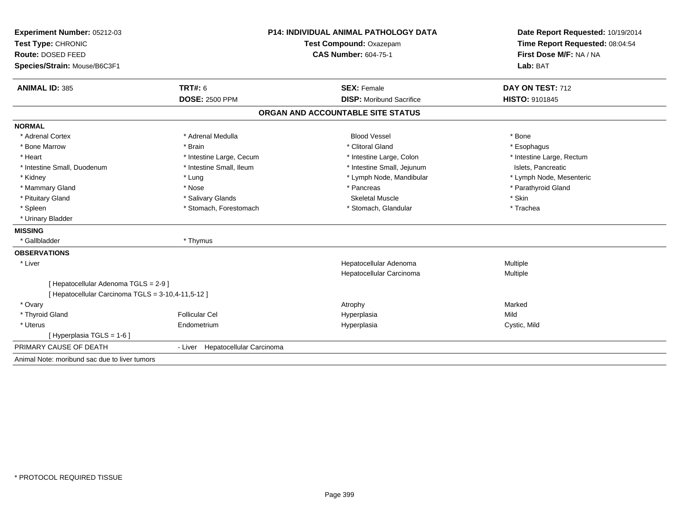| Experiment Number: 05212-03                        | <b>P14: INDIVIDUAL ANIMAL PATHOLOGY DATA</b><br>Test Compound: Oxazepam |                                   | Date Report Requested: 10/19/2014<br>Time Report Requested: 08:04:54 |  |
|----------------------------------------------------|-------------------------------------------------------------------------|-----------------------------------|----------------------------------------------------------------------|--|
| Test Type: CHRONIC                                 |                                                                         |                                   |                                                                      |  |
| Route: DOSED FEED                                  |                                                                         | <b>CAS Number: 604-75-1</b>       | First Dose M/F: NA / NA                                              |  |
| Species/Strain: Mouse/B6C3F1                       |                                                                         |                                   | Lab: BAT                                                             |  |
| <b>ANIMAL ID: 385</b>                              | <b>TRT#: 6</b>                                                          | <b>SEX: Female</b>                | DAY ON TEST: 712                                                     |  |
|                                                    | <b>DOSE: 2500 PPM</b>                                                   | <b>DISP:</b> Moribund Sacrifice   | <b>HISTO: 9101845</b>                                                |  |
|                                                    |                                                                         | ORGAN AND ACCOUNTABLE SITE STATUS |                                                                      |  |
| <b>NORMAL</b>                                      |                                                                         |                                   |                                                                      |  |
| * Adrenal Cortex                                   | * Adrenal Medulla                                                       | <b>Blood Vessel</b>               | * Bone                                                               |  |
| * Bone Marrow                                      | * Brain                                                                 | * Clitoral Gland                  | * Esophagus                                                          |  |
| * Heart                                            | * Intestine Large, Cecum                                                | * Intestine Large, Colon          | * Intestine Large, Rectum                                            |  |
| * Intestine Small, Duodenum                        | * Intestine Small, Ileum                                                | * Intestine Small, Jejunum        | Islets. Pancreatic                                                   |  |
| * Kidney                                           | * Lung                                                                  | * Lymph Node, Mandibular          | * Lymph Node, Mesenteric                                             |  |
| * Mammary Gland                                    | * Nose                                                                  | * Pancreas                        | * Parathyroid Gland                                                  |  |
| * Pituitary Gland                                  | * Salivary Glands                                                       | <b>Skeletal Muscle</b>            | * Skin                                                               |  |
| * Spleen                                           | * Stomach, Forestomach                                                  | * Stomach, Glandular              | * Trachea                                                            |  |
| * Urinary Bladder                                  |                                                                         |                                   |                                                                      |  |
| <b>MISSING</b>                                     |                                                                         |                                   |                                                                      |  |
| * Gallbladder                                      | * Thymus                                                                |                                   |                                                                      |  |
| <b>OBSERVATIONS</b>                                |                                                                         |                                   |                                                                      |  |
| * Liver                                            |                                                                         | Hepatocellular Adenoma            | Multiple                                                             |  |
|                                                    |                                                                         | Hepatocellular Carcinoma          | Multiple                                                             |  |
| [ Hepatocellular Adenoma TGLS = 2-9 ]              |                                                                         |                                   |                                                                      |  |
| [ Hepatocellular Carcinoma TGLS = 3-10,4-11,5-12 ] |                                                                         |                                   |                                                                      |  |
| * Ovary                                            |                                                                         | Atrophy                           | Marked                                                               |  |
| * Thyroid Gland                                    | <b>Follicular Cel</b>                                                   | Hyperplasia                       | Mild                                                                 |  |
| * Uterus                                           | Endometrium                                                             | Hyperplasia                       | Cystic, Mild                                                         |  |
| [ Hyperplasia TGLS = 1-6 ]                         |                                                                         |                                   |                                                                      |  |
| PRIMARY CAUSE OF DEATH                             | - Liver Hepatocellular Carcinoma                                        |                                   |                                                                      |  |
| Animal Note: moribund sac due to liver tumors      |                                                                         |                                   |                                                                      |  |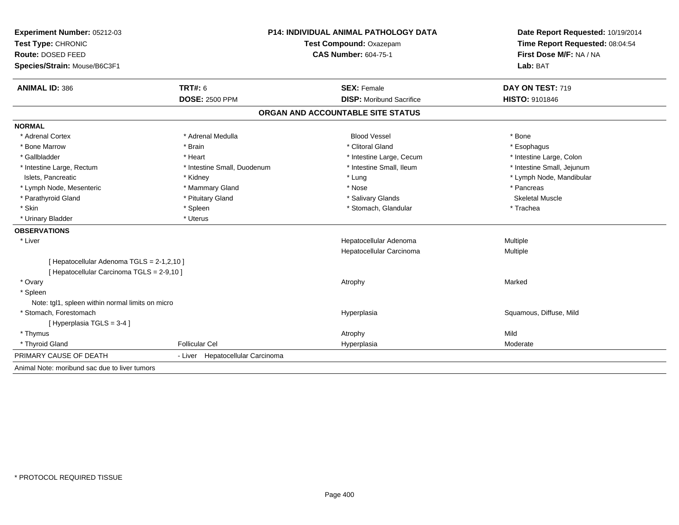| Experiment Number: 05212-03                      | <b>P14: INDIVIDUAL ANIMAL PATHOLOGY DATA</b> |                                   | Date Report Requested: 10/19/2014<br>Time Report Requested: 08:04:54 |  |
|--------------------------------------------------|----------------------------------------------|-----------------------------------|----------------------------------------------------------------------|--|
| Test Type: CHRONIC                               |                                              | Test Compound: Oxazepam           |                                                                      |  |
| Route: DOSED FEED                                |                                              | <b>CAS Number: 604-75-1</b>       | First Dose M/F: NA / NA                                              |  |
| Species/Strain: Mouse/B6C3F1                     |                                              |                                   | Lab: BAT                                                             |  |
| <b>ANIMAL ID: 386</b>                            | <b>TRT#: 6</b>                               | <b>SEX: Female</b>                | DAY ON TEST: 719                                                     |  |
|                                                  | <b>DOSE: 2500 PPM</b>                        | <b>DISP:</b> Moribund Sacrifice   | HISTO: 9101846                                                       |  |
|                                                  |                                              | ORGAN AND ACCOUNTABLE SITE STATUS |                                                                      |  |
| <b>NORMAL</b>                                    |                                              |                                   |                                                                      |  |
| * Adrenal Cortex                                 | * Adrenal Medulla                            | <b>Blood Vessel</b>               | * Bone                                                               |  |
| * Bone Marrow                                    | * Brain                                      | * Clitoral Gland                  | * Esophagus                                                          |  |
| * Gallbladder                                    | * Heart                                      | * Intestine Large, Cecum          | * Intestine Large, Colon                                             |  |
| * Intestine Large, Rectum                        | * Intestine Small, Duodenum                  | * Intestine Small, Ileum          | * Intestine Small, Jejunum                                           |  |
| Islets, Pancreatic                               | * Kidney                                     | * Lung                            | * Lymph Node, Mandibular                                             |  |
| * Lymph Node, Mesenteric                         | * Mammary Gland                              | * Nose                            | * Pancreas                                                           |  |
| * Parathyroid Gland                              | * Pituitary Gland                            | * Salivary Glands                 | <b>Skeletal Muscle</b>                                               |  |
| * Skin                                           | * Spleen                                     | * Stomach, Glandular              | * Trachea                                                            |  |
| * Urinary Bladder                                | * Uterus                                     |                                   |                                                                      |  |
| <b>OBSERVATIONS</b>                              |                                              |                                   |                                                                      |  |
| * Liver                                          |                                              | Hepatocellular Adenoma            | Multiple                                                             |  |
|                                                  |                                              | Hepatocellular Carcinoma          | Multiple                                                             |  |
| [ Hepatocellular Adenoma TGLS = 2-1,2,10 ]       |                                              |                                   |                                                                      |  |
| [ Hepatocellular Carcinoma TGLS = 2-9,10 ]       |                                              |                                   |                                                                      |  |
| * Ovary                                          |                                              | Atrophy                           | Marked                                                               |  |
| * Spleen                                         |                                              |                                   |                                                                      |  |
| Note: tgl1, spleen within normal limits on micro |                                              |                                   |                                                                      |  |
| * Stomach, Forestomach                           |                                              | Hyperplasia                       | Squamous, Diffuse, Mild                                              |  |
| [Hyperplasia TGLS = 3-4]                         |                                              |                                   |                                                                      |  |
| * Thymus                                         |                                              | Atrophy                           | Mild                                                                 |  |
| * Thyroid Gland                                  | <b>Follicular Cel</b>                        | Hyperplasia                       | Moderate                                                             |  |
| PRIMARY CAUSE OF DEATH                           | Hepatocellular Carcinoma<br>- Liver          |                                   |                                                                      |  |
| Animal Note: moribund sac due to liver tumors    |                                              |                                   |                                                                      |  |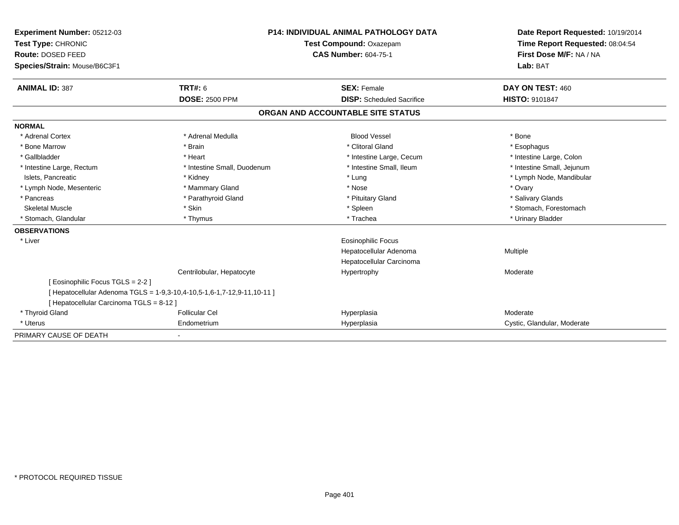| <b>Experiment Number: 05212-03</b><br>Test Type: CHRONIC<br>Route: DOSED FEED<br>Species/Strain: Mouse/B6C3F1 |                                                                       | <b>P14: INDIVIDUAL ANIMAL PATHOLOGY DATA</b><br>Test Compound: Oxazepam<br><b>CAS Number: 604-75-1</b> | Date Report Requested: 10/19/2014<br>Time Report Requested: 08:04:54<br>First Dose M/F: NA / NA<br>Lab: BAT |
|---------------------------------------------------------------------------------------------------------------|-----------------------------------------------------------------------|--------------------------------------------------------------------------------------------------------|-------------------------------------------------------------------------------------------------------------|
|                                                                                                               |                                                                       |                                                                                                        |                                                                                                             |
| <b>ANIMAL ID: 387</b>                                                                                         | <b>TRT#: 6</b>                                                        | <b>SEX: Female</b>                                                                                     | DAY ON TEST: 460                                                                                            |
|                                                                                                               | <b>DOSE: 2500 PPM</b>                                                 | <b>DISP:</b> Scheduled Sacrifice                                                                       | <b>HISTO: 9101847</b>                                                                                       |
|                                                                                                               |                                                                       | ORGAN AND ACCOUNTABLE SITE STATUS                                                                      |                                                                                                             |
| <b>NORMAL</b>                                                                                                 |                                                                       |                                                                                                        |                                                                                                             |
| * Adrenal Cortex                                                                                              | * Adrenal Medulla                                                     | <b>Blood Vessel</b>                                                                                    | * Bone                                                                                                      |
| * Bone Marrow                                                                                                 | * Brain                                                               | * Clitoral Gland                                                                                       | * Esophagus                                                                                                 |
| * Gallbladder                                                                                                 | * Heart                                                               | * Intestine Large, Cecum                                                                               | * Intestine Large, Colon                                                                                    |
| * Intestine Large, Rectum                                                                                     | * Intestine Small, Duodenum                                           | * Intestine Small, Ileum                                                                               | * Intestine Small, Jejunum                                                                                  |
| Islets, Pancreatic                                                                                            | * Kidney                                                              | * Lung                                                                                                 | * Lymph Node, Mandibular                                                                                    |
| * Lymph Node, Mesenteric                                                                                      | * Mammary Gland                                                       | * Nose                                                                                                 | * Ovary                                                                                                     |
| * Pancreas                                                                                                    | * Parathyroid Gland                                                   | * Pituitary Gland                                                                                      | * Salivary Glands                                                                                           |
| <b>Skeletal Muscle</b>                                                                                        | * Skin                                                                | * Spleen                                                                                               | * Stomach, Forestomach                                                                                      |
| Stomach, Glandular                                                                                            | * Thymus                                                              | * Trachea                                                                                              | * Urinary Bladder                                                                                           |
| <b>OBSERVATIONS</b>                                                                                           |                                                                       |                                                                                                        |                                                                                                             |
| * Liver                                                                                                       |                                                                       | <b>Eosinophilic Focus</b>                                                                              |                                                                                                             |
|                                                                                                               |                                                                       | Hepatocellular Adenoma                                                                                 | Multiple                                                                                                    |
|                                                                                                               |                                                                       | Hepatocellular Carcinoma                                                                               |                                                                                                             |
|                                                                                                               | Centrilobular, Hepatocyte                                             | Hypertrophy                                                                                            | Moderate                                                                                                    |
| [ Eosinophilic Focus TGLS = 2-2 ]                                                                             |                                                                       |                                                                                                        |                                                                                                             |
|                                                                                                               | [Hepatocellular Adenoma TGLS = 1-9,3-10,4-10,5-1,6-1,7-12,9-11,10-11] |                                                                                                        |                                                                                                             |
| [ Hepatocellular Carcinoma TGLS = 8-12 ]                                                                      |                                                                       |                                                                                                        |                                                                                                             |
| * Thyroid Gland                                                                                               | <b>Follicular Cel</b>                                                 | Hyperplasia                                                                                            | Moderate                                                                                                    |
| * Uterus                                                                                                      | Endometrium                                                           | Hyperplasia                                                                                            | Cystic, Glandular, Moderate                                                                                 |
| PRIMARY CAUSE OF DEATH                                                                                        |                                                                       |                                                                                                        |                                                                                                             |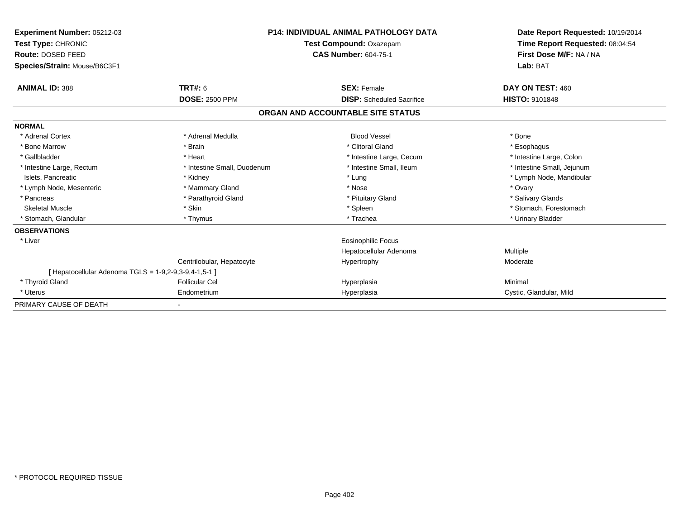| Experiment Number: 05212-03<br>Test Type: CHRONIC<br>Route: DOSED FEED<br>Species/Strain: Mouse/B6C3F1 |                             | <b>P14: INDIVIDUAL ANIMAL PATHOLOGY DATA</b><br>Test Compound: Oxazepam<br><b>CAS Number: 604-75-1</b> | Date Report Requested: 10/19/2014<br>Time Report Requested: 08:04:54<br>First Dose M/F: NA / NA<br>Lab: BAT |
|--------------------------------------------------------------------------------------------------------|-----------------------------|--------------------------------------------------------------------------------------------------------|-------------------------------------------------------------------------------------------------------------|
| <b>ANIMAL ID: 388</b>                                                                                  | TRT#: 6                     | <b>SEX: Female</b>                                                                                     | DAY ON TEST: 460                                                                                            |
|                                                                                                        | <b>DOSE: 2500 PPM</b>       | <b>DISP:</b> Scheduled Sacrifice                                                                       | <b>HISTO: 9101848</b>                                                                                       |
|                                                                                                        |                             | ORGAN AND ACCOUNTABLE SITE STATUS                                                                      |                                                                                                             |
| <b>NORMAL</b>                                                                                          |                             |                                                                                                        |                                                                                                             |
| * Adrenal Cortex                                                                                       | * Adrenal Medulla           | <b>Blood Vessel</b>                                                                                    | * Bone                                                                                                      |
| * Bone Marrow                                                                                          | * Brain                     | * Clitoral Gland                                                                                       | * Esophagus                                                                                                 |
| * Gallbladder                                                                                          | * Heart                     | * Intestine Large, Cecum                                                                               | * Intestine Large, Colon                                                                                    |
| * Intestine Large, Rectum                                                                              | * Intestine Small, Duodenum | * Intestine Small, Ileum                                                                               | * Intestine Small, Jejunum                                                                                  |
| Islets, Pancreatic                                                                                     | * Kidney                    | * Lung                                                                                                 | * Lymph Node, Mandibular                                                                                    |
| * Lymph Node, Mesenteric                                                                               | * Mammary Gland             | * Nose                                                                                                 | * Ovary                                                                                                     |
| * Pancreas                                                                                             | * Parathyroid Gland         | * Pituitary Gland                                                                                      | * Salivary Glands                                                                                           |
| <b>Skeletal Muscle</b>                                                                                 | * Skin                      | * Spleen                                                                                               | * Stomach. Forestomach                                                                                      |
| * Stomach, Glandular                                                                                   | * Thymus                    | * Trachea                                                                                              | * Urinary Bladder                                                                                           |
| <b>OBSERVATIONS</b>                                                                                    |                             |                                                                                                        |                                                                                                             |
| * Liver                                                                                                |                             | Eosinophilic Focus                                                                                     |                                                                                                             |
|                                                                                                        |                             | Hepatocellular Adenoma                                                                                 | Multiple                                                                                                    |
|                                                                                                        | Centrilobular, Hepatocyte   | Hypertrophy                                                                                            | Moderate                                                                                                    |
| [ Hepatocellular Adenoma TGLS = 1-9,2-9,3-9,4-1,5-1 ]                                                  |                             |                                                                                                        |                                                                                                             |
| * Thyroid Gland                                                                                        | <b>Follicular Cel</b>       | Hyperplasia                                                                                            | Minimal                                                                                                     |
| * Uterus                                                                                               | Endometrium                 | Hyperplasia                                                                                            | Cystic, Glandular, Mild                                                                                     |
| PRIMARY CAUSE OF DEATH                                                                                 |                             |                                                                                                        |                                                                                                             |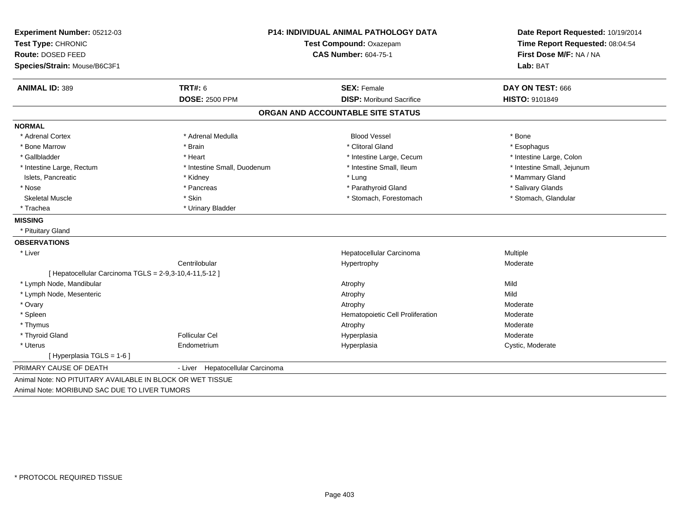| Experiment Number: 05212-03                            | <b>P14: INDIVIDUAL ANIMAL PATHOLOGY DATA</b> |                                   | Date Report Requested: 10/19/2014 |  |
|--------------------------------------------------------|----------------------------------------------|-----------------------------------|-----------------------------------|--|
| Test Type: CHRONIC                                     |                                              | Test Compound: Oxazepam           |                                   |  |
| Route: DOSED FEED                                      |                                              | <b>CAS Number: 604-75-1</b>       | First Dose M/F: NA / NA           |  |
| Species/Strain: Mouse/B6C3F1                           |                                              |                                   | Lab: BAT                          |  |
| <b>ANIMAL ID: 389</b>                                  | <b>TRT#: 6</b>                               | <b>SEX: Female</b>                | DAY ON TEST: 666                  |  |
|                                                        | <b>DOSE: 2500 PPM</b>                        | <b>DISP:</b> Moribund Sacrifice   | <b>HISTO: 9101849</b>             |  |
|                                                        |                                              | ORGAN AND ACCOUNTABLE SITE STATUS |                                   |  |
| <b>NORMAL</b>                                          |                                              |                                   |                                   |  |
| * Adrenal Cortex                                       | * Adrenal Medulla                            | <b>Blood Vessel</b>               | * Bone                            |  |
| * Bone Marrow                                          | * Brain                                      | * Clitoral Gland                  | * Esophagus                       |  |
| * Gallbladder                                          | * Heart                                      | * Intestine Large, Cecum          | * Intestine Large, Colon          |  |
| * Intestine Large, Rectum                              | * Intestine Small, Duodenum                  | * Intestine Small, Ileum          | * Intestine Small, Jejunum        |  |
| Islets, Pancreatic                                     | * Kidney                                     | * Lung                            | * Mammary Gland                   |  |
| * Nose                                                 | * Pancreas                                   | * Parathyroid Gland               | * Salivary Glands                 |  |
| <b>Skeletal Muscle</b>                                 | * Skin                                       | * Stomach, Forestomach            | * Stomach, Glandular              |  |
| * Trachea                                              | * Urinary Bladder                            |                                   |                                   |  |
| <b>MISSING</b>                                         |                                              |                                   |                                   |  |
| * Pituitary Gland                                      |                                              |                                   |                                   |  |
| <b>OBSERVATIONS</b>                                    |                                              |                                   |                                   |  |
| * Liver                                                |                                              | Hepatocellular Carcinoma          | <b>Multiple</b>                   |  |
|                                                        | Centrilobular                                | Hypertrophy                       | Moderate                          |  |
| [ Hepatocellular Carcinoma TGLS = 2-9,3-10,4-11,5-12 ] |                                              |                                   |                                   |  |
| * Lymph Node, Mandibular                               |                                              | Atrophy                           | Mild                              |  |
| * Lymph Node, Mesenteric                               |                                              | Atrophy                           | Mild                              |  |
| * Ovary                                                |                                              | Atrophy                           | Moderate                          |  |
| * Spleen                                               |                                              | Hematopoietic Cell Proliferation  | Moderate                          |  |
| * Thymus                                               |                                              | Atrophy                           | Moderate                          |  |
| * Thyroid Gland                                        | <b>Follicular Cel</b>                        | Hyperplasia                       | Moderate                          |  |
| * Uterus                                               | Endometrium                                  | Hyperplasia                       | Cystic, Moderate                  |  |
| [ Hyperplasia TGLS = 1-6 ]                             |                                              |                                   |                                   |  |
| PRIMARY CAUSE OF DEATH                                 | - Liver Hepatocellular Carcinoma             |                                   |                                   |  |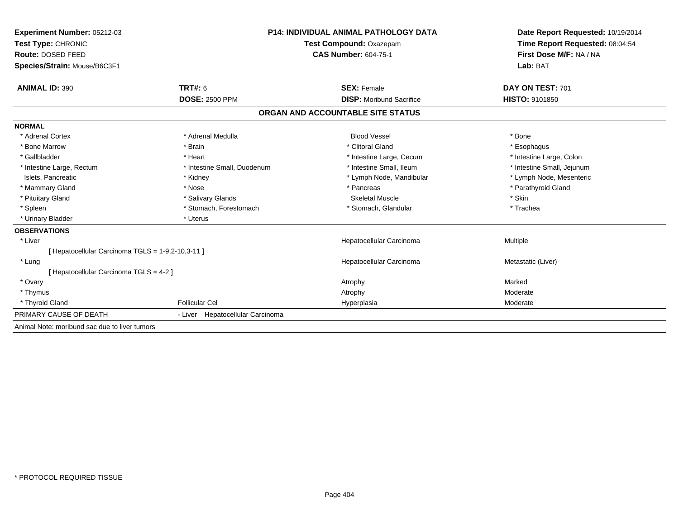| Experiment Number: 05212-03                       | <b>P14: INDIVIDUAL ANIMAL PATHOLOGY DATA</b> |                                   | Date Report Requested: 10/19/2014 |  |
|---------------------------------------------------|----------------------------------------------|-----------------------------------|-----------------------------------|--|
| Test Type: CHRONIC                                |                                              | Test Compound: Oxazepam           | Time Report Requested: 08:04:54   |  |
| Route: DOSED FEED                                 |                                              | <b>CAS Number: 604-75-1</b>       | First Dose M/F: NA / NA           |  |
| Species/Strain: Mouse/B6C3F1                      |                                              |                                   | Lab: BAT                          |  |
| <b>ANIMAL ID: 390</b>                             | TRT#: 6                                      | <b>SEX: Female</b>                | DAY ON TEST: 701                  |  |
|                                                   | <b>DOSE: 2500 PPM</b>                        | <b>DISP:</b> Moribund Sacrifice   | HISTO: 9101850                    |  |
|                                                   |                                              | ORGAN AND ACCOUNTABLE SITE STATUS |                                   |  |
| <b>NORMAL</b>                                     |                                              |                                   |                                   |  |
| * Adrenal Cortex                                  | * Adrenal Medulla                            | <b>Blood Vessel</b>               | * Bone                            |  |
| * Bone Marrow                                     | * Brain                                      | * Clitoral Gland                  | * Esophagus                       |  |
| * Gallbladder                                     | * Heart                                      | * Intestine Large, Cecum          | * Intestine Large, Colon          |  |
| * Intestine Large, Rectum                         | * Intestine Small, Duodenum                  | * Intestine Small, Ileum          | * Intestine Small, Jejunum        |  |
| Islets, Pancreatic                                | * Kidney                                     | * Lymph Node, Mandibular          | * Lymph Node, Mesenteric          |  |
| * Mammary Gland                                   | * Nose                                       | * Pancreas                        | * Parathyroid Gland               |  |
| * Pituitary Gland                                 | * Salivary Glands                            | <b>Skeletal Muscle</b>            | * Skin                            |  |
| * Spleen                                          | * Stomach, Forestomach                       | * Stomach, Glandular              | * Trachea                         |  |
| * Urinary Bladder                                 | * Uterus                                     |                                   |                                   |  |
| <b>OBSERVATIONS</b>                               |                                              |                                   |                                   |  |
| * Liver                                           |                                              | Hepatocellular Carcinoma          | Multiple                          |  |
| [ Hepatocellular Carcinoma TGLS = 1-9,2-10,3-11 ] |                                              |                                   |                                   |  |
| * Lung                                            |                                              | Hepatocellular Carcinoma          | Metastatic (Liver)                |  |
| [Hepatocellular Carcinoma TGLS = 4-2]             |                                              |                                   |                                   |  |
| * Ovary                                           |                                              | Atrophy                           | Marked                            |  |
| * Thymus                                          |                                              | Atrophy                           | Moderate                          |  |
| * Thyroid Gland                                   | <b>Follicular Cel</b>                        | Hyperplasia                       | Moderate                          |  |
| PRIMARY CAUSE OF DEATH                            | - Liver Hepatocellular Carcinoma             |                                   |                                   |  |
| Animal Note: moribund sac due to liver tumors     |                                              |                                   |                                   |  |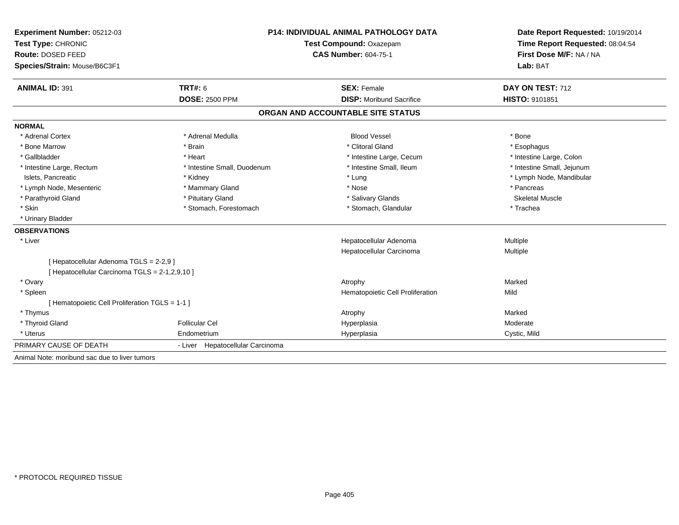| Experiment Number: 05212-03                     |                                  | <b>P14: INDIVIDUAL ANIMAL PATHOLOGY DATA</b> |                                 |  |
|-------------------------------------------------|----------------------------------|----------------------------------------------|---------------------------------|--|
| Test Type: CHRONIC                              | Test Compound: Oxazepam          |                                              | Time Report Requested: 08:04:54 |  |
| Route: DOSED FEED                               |                                  | <b>CAS Number: 604-75-1</b>                  | First Dose M/F: NA / NA         |  |
| Species/Strain: Mouse/B6C3F1                    |                                  |                                              | Lab: BAT                        |  |
| <b>ANIMAL ID: 391</b>                           | TRT#: 6                          | <b>SEX: Female</b>                           | DAY ON TEST: 712                |  |
|                                                 | <b>DOSE: 2500 PPM</b>            | <b>DISP:</b> Moribund Sacrifice              | HISTO: 9101851                  |  |
|                                                 |                                  | ORGAN AND ACCOUNTABLE SITE STATUS            |                                 |  |
| <b>NORMAL</b>                                   |                                  |                                              |                                 |  |
| * Adrenal Cortex                                | * Adrenal Medulla                | <b>Blood Vessel</b>                          | * Bone                          |  |
| * Bone Marrow                                   | * Brain                          | * Clitoral Gland                             | * Esophagus                     |  |
| * Gallbladder                                   | * Heart                          | * Intestine Large, Cecum                     | * Intestine Large, Colon        |  |
| * Intestine Large, Rectum                       | * Intestine Small, Duodenum      | * Intestine Small, Ileum                     | * Intestine Small, Jejunum      |  |
| Islets, Pancreatic                              | * Kidney                         | * Lung                                       | * Lymph Node, Mandibular        |  |
| * Lymph Node, Mesenteric                        | * Mammary Gland                  | * Nose                                       | * Pancreas                      |  |
| * Parathyroid Gland                             | * Pituitary Gland                | * Salivary Glands                            | <b>Skeletal Muscle</b>          |  |
| * Skin                                          | * Stomach, Forestomach           | * Stomach, Glandular                         | * Trachea                       |  |
| * Urinary Bladder                               |                                  |                                              |                                 |  |
| <b>OBSERVATIONS</b>                             |                                  |                                              |                                 |  |
| * Liver                                         |                                  | Hepatocellular Adenoma                       | Multiple                        |  |
|                                                 |                                  | Hepatocellular Carcinoma                     | Multiple                        |  |
| [ Hepatocellular Adenoma TGLS = 2-2,9 ]         |                                  |                                              |                                 |  |
| [ Hepatocellular Carcinoma TGLS = 2-1,2,9,10 ]  |                                  |                                              |                                 |  |
| * Ovary                                         |                                  | Atrophy                                      | Marked                          |  |
| * Spleen                                        |                                  | Hematopoietic Cell Proliferation             | Mild                            |  |
| [ Hematopoietic Cell Proliferation TGLS = 1-1 ] |                                  |                                              |                                 |  |
| * Thymus                                        |                                  | Atrophy                                      | Marked                          |  |
| * Thyroid Gland                                 | <b>Follicular Cel</b>            | Hyperplasia                                  | Moderate                        |  |
| * Uterus                                        | Endometrium                      | Hyperplasia                                  | Cystic, Mild                    |  |
| PRIMARY CAUSE OF DEATH                          | - Liver Hepatocellular Carcinoma |                                              |                                 |  |
| Animal Note: moribund sac due to liver tumors   |                                  |                                              |                                 |  |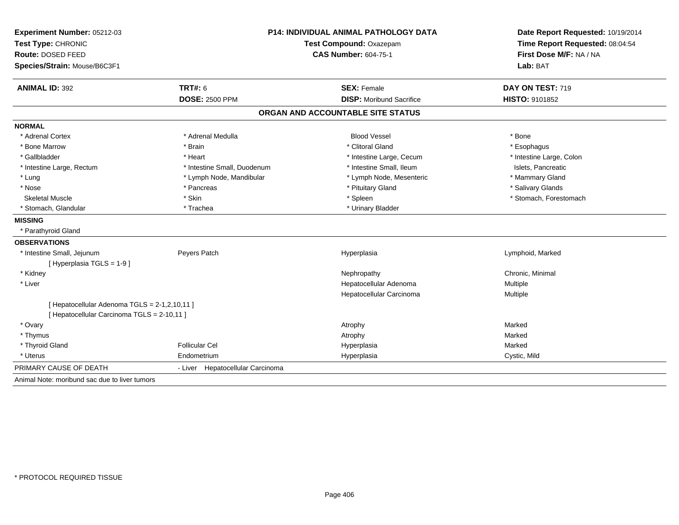| Experiment Number: 05212-03                              | <b>P14: INDIVIDUAL ANIMAL PATHOLOGY DATA</b><br>Test Type: CHRONIC<br>Test Compound: Oxazepam |                                   | Date Report Requested: 10/19/2014<br>Time Report Requested: 08:04:54 |
|----------------------------------------------------------|-----------------------------------------------------------------------------------------------|-----------------------------------|----------------------------------------------------------------------|
|                                                          |                                                                                               |                                   |                                                                      |
| Route: DOSED FEED                                        |                                                                                               | <b>CAS Number: 604-75-1</b>       | First Dose M/F: NA / NA                                              |
| Species/Strain: Mouse/B6C3F1                             |                                                                                               |                                   | Lab: BAT                                                             |
| <b>ANIMAL ID: 392</b>                                    | TRT#: 6                                                                                       | <b>SEX: Female</b>                | DAY ON TEST: 719                                                     |
|                                                          | <b>DOSE: 2500 PPM</b>                                                                         | <b>DISP: Moribund Sacrifice</b>   | HISTO: 9101852                                                       |
|                                                          |                                                                                               | ORGAN AND ACCOUNTABLE SITE STATUS |                                                                      |
| <b>NORMAL</b>                                            |                                                                                               |                                   |                                                                      |
| * Adrenal Cortex                                         | * Adrenal Medulla                                                                             | <b>Blood Vessel</b>               | * Bone                                                               |
| * Bone Marrow                                            | * Brain                                                                                       | * Clitoral Gland                  | * Esophagus                                                          |
| * Gallbladder                                            | * Heart                                                                                       | * Intestine Large, Cecum          | * Intestine Large, Colon                                             |
| * Intestine Large, Rectum                                | * Intestine Small, Duodenum                                                                   | * Intestine Small, Ileum          | Islets, Pancreatic                                                   |
| * Lung                                                   | * Lymph Node, Mandibular                                                                      | * Lymph Node, Mesenteric          | * Mammary Gland                                                      |
| * Nose                                                   | * Pancreas                                                                                    | * Pituitary Gland                 | * Salivary Glands                                                    |
| <b>Skeletal Muscle</b>                                   | * Skin                                                                                        | * Spleen                          | * Stomach, Forestomach                                               |
| * Stomach, Glandular                                     | * Trachea                                                                                     | * Urinary Bladder                 |                                                                      |
| <b>MISSING</b>                                           |                                                                                               |                                   |                                                                      |
| * Parathyroid Gland                                      |                                                                                               |                                   |                                                                      |
| <b>OBSERVATIONS</b>                                      |                                                                                               |                                   |                                                                      |
| * Intestine Small, Jejunum<br>[ Hyperplasia TGLS = 1-9 ] | Peyers Patch                                                                                  | Hyperplasia                       | Lymphoid, Marked                                                     |
| * Kidney                                                 |                                                                                               | Nephropathy                       | Chronic, Minimal                                                     |
| * Liver                                                  |                                                                                               | Hepatocellular Adenoma            | Multiple                                                             |
|                                                          |                                                                                               | Hepatocellular Carcinoma          | Multiple                                                             |
| [ Hepatocellular Adenoma TGLS = 2-1,2,10,11 ]            |                                                                                               |                                   |                                                                      |
| [ Hepatocellular Carcinoma TGLS = 2-10,11 ]              |                                                                                               |                                   |                                                                      |
| * Ovary                                                  |                                                                                               | Atrophy                           | Marked                                                               |
| * Thymus                                                 |                                                                                               | Atrophy                           | Marked                                                               |
| * Thyroid Gland                                          | <b>Follicular Cel</b>                                                                         | Hyperplasia                       | Marked                                                               |
| * Uterus                                                 | Endometrium                                                                                   | Hyperplasia                       | Cystic, Mild                                                         |
| PRIMARY CAUSE OF DEATH                                   | - Liver Hepatocellular Carcinoma                                                              |                                   |                                                                      |
| Animal Note: moribund sac due to liver tumors            |                                                                                               |                                   |                                                                      |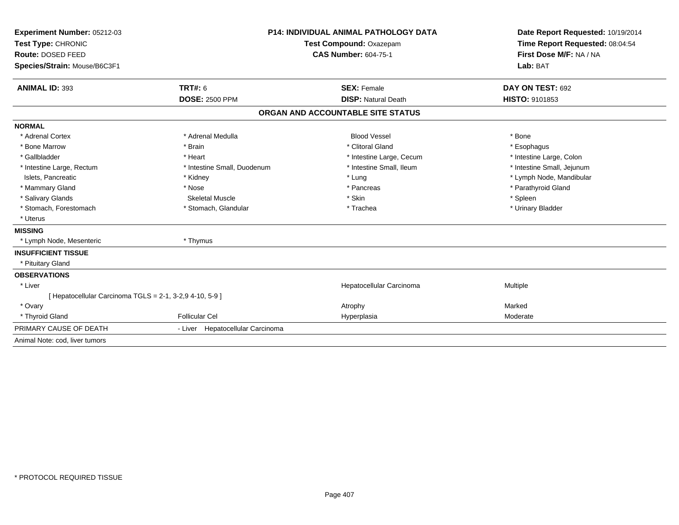| Experiment Number: 05212-03<br>Test Type: CHRONIC<br>Route: DOSED FEED |                                  | <b>P14: INDIVIDUAL ANIMAL PATHOLOGY DATA</b><br>Test Compound: Oxazepam<br><b>CAS Number: 604-75-1</b> | Date Report Requested: 10/19/2014<br>Time Report Requested: 08:04:54<br>First Dose M/F: NA / NA |
|------------------------------------------------------------------------|----------------------------------|--------------------------------------------------------------------------------------------------------|-------------------------------------------------------------------------------------------------|
| Species/Strain: Mouse/B6C3F1                                           |                                  |                                                                                                        | Lab: BAT                                                                                        |
| <b>ANIMAL ID: 393</b>                                                  | <b>TRT#: 6</b>                   | <b>SEX: Female</b>                                                                                     | DAY ON TEST: 692                                                                                |
|                                                                        | <b>DOSE: 2500 PPM</b>            | <b>DISP: Natural Death</b>                                                                             | HISTO: 9101853                                                                                  |
|                                                                        |                                  | ORGAN AND ACCOUNTABLE SITE STATUS                                                                      |                                                                                                 |
| <b>NORMAL</b>                                                          |                                  |                                                                                                        |                                                                                                 |
| * Adrenal Cortex                                                       | * Adrenal Medulla                | <b>Blood Vessel</b>                                                                                    | * Bone                                                                                          |
| * Bone Marrow                                                          | * Brain                          | * Clitoral Gland                                                                                       | * Esophagus                                                                                     |
| * Gallbladder                                                          | * Heart                          | * Intestine Large, Cecum                                                                               | * Intestine Large, Colon                                                                        |
| * Intestine Large, Rectum                                              | * Intestine Small, Duodenum      | * Intestine Small, Ileum                                                                               | * Intestine Small, Jejunum                                                                      |
| Islets. Pancreatic                                                     | * Kidney                         | * Lung                                                                                                 | * Lymph Node, Mandibular                                                                        |
| * Mammary Gland                                                        | * Nose                           | * Pancreas                                                                                             | * Parathyroid Gland                                                                             |
| * Salivary Glands                                                      | <b>Skeletal Muscle</b>           | * Skin                                                                                                 | * Spleen                                                                                        |
| * Stomach, Forestomach                                                 | * Stomach, Glandular             | * Trachea                                                                                              | * Urinary Bladder                                                                               |
| * Uterus                                                               |                                  |                                                                                                        |                                                                                                 |
| <b>MISSING</b>                                                         |                                  |                                                                                                        |                                                                                                 |
| * Lymph Node, Mesenteric                                               | * Thymus                         |                                                                                                        |                                                                                                 |
| <b>INSUFFICIENT TISSUE</b>                                             |                                  |                                                                                                        |                                                                                                 |
| * Pituitary Gland                                                      |                                  |                                                                                                        |                                                                                                 |
| <b>OBSERVATIONS</b>                                                    |                                  |                                                                                                        |                                                                                                 |
| * Liver                                                                |                                  | Hepatocellular Carcinoma                                                                               | Multiple                                                                                        |
| [ Hepatocellular Carcinoma TGLS = 2-1, 3-2,9 4-10, 5-9 ]               |                                  |                                                                                                        |                                                                                                 |
| * Ovary                                                                |                                  | Atrophy                                                                                                | Marked                                                                                          |
| * Thyroid Gland                                                        | <b>Follicular Cel</b>            | Hyperplasia                                                                                            | Moderate                                                                                        |
| PRIMARY CAUSE OF DEATH                                                 | - Liver Hepatocellular Carcinoma |                                                                                                        |                                                                                                 |
| Animal Note: cod, liver tumors                                         |                                  |                                                                                                        |                                                                                                 |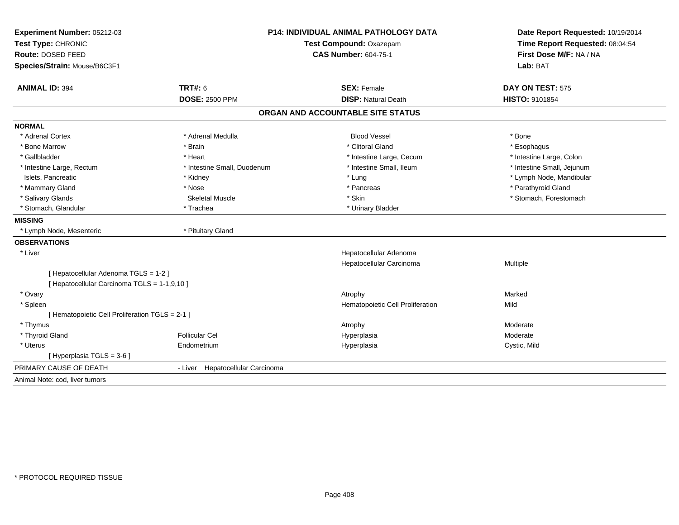| Experiment Number: 05212-03                     | P14: INDIVIDUAL ANIMAL PATHOLOGY DATA |                                   | Date Report Requested: 10/19/2014<br>Time Report Requested: 08:04:54 |
|-------------------------------------------------|---------------------------------------|-----------------------------------|----------------------------------------------------------------------|
| Test Type: CHRONIC                              |                                       | Test Compound: Oxazepam           |                                                                      |
| Route: DOSED FEED                               |                                       | <b>CAS Number: 604-75-1</b>       | First Dose M/F: NA / NA                                              |
| Species/Strain: Mouse/B6C3F1                    |                                       |                                   | Lab: BAT                                                             |
| <b>ANIMAL ID: 394</b>                           | <b>TRT#: 6</b>                        | <b>SEX: Female</b>                | DAY ON TEST: 575                                                     |
|                                                 | <b>DOSE: 2500 PPM</b>                 | <b>DISP: Natural Death</b>        | HISTO: 9101854                                                       |
|                                                 |                                       | ORGAN AND ACCOUNTABLE SITE STATUS |                                                                      |
| <b>NORMAL</b>                                   |                                       |                                   |                                                                      |
| * Adrenal Cortex                                | * Adrenal Medulla                     | <b>Blood Vessel</b>               | * Bone                                                               |
| * Bone Marrow                                   | * Brain                               | * Clitoral Gland                  | * Esophagus                                                          |
| * Gallbladder                                   | * Heart                               | * Intestine Large, Cecum          | * Intestine Large, Colon                                             |
| * Intestine Large, Rectum                       | * Intestine Small, Duodenum           | * Intestine Small, Ileum          | * Intestine Small, Jejunum                                           |
| Islets, Pancreatic                              | * Kidney                              | * Lung                            | * Lymph Node, Mandibular                                             |
| * Mammary Gland                                 | * Nose                                | * Pancreas                        | * Parathyroid Gland                                                  |
| * Salivary Glands                               | <b>Skeletal Muscle</b>                | * Skin                            | * Stomach, Forestomach                                               |
| * Stomach, Glandular                            | * Trachea                             | * Urinary Bladder                 |                                                                      |
| <b>MISSING</b>                                  |                                       |                                   |                                                                      |
| * Lymph Node, Mesenteric                        | * Pituitary Gland                     |                                   |                                                                      |
| <b>OBSERVATIONS</b>                             |                                       |                                   |                                                                      |
| * Liver                                         |                                       | Hepatocellular Adenoma            |                                                                      |
|                                                 |                                       | Hepatocellular Carcinoma          | Multiple                                                             |
| [ Hepatocellular Adenoma TGLS = 1-2 ]           |                                       |                                   |                                                                      |
| [ Hepatocellular Carcinoma TGLS = 1-1,9,10 ]    |                                       |                                   |                                                                      |
| * Ovary                                         |                                       | Atrophy                           | Marked                                                               |
| * Spleen                                        |                                       | Hematopoietic Cell Proliferation  | Mild                                                                 |
| [ Hematopoietic Cell Proliferation TGLS = 2-1 ] |                                       |                                   |                                                                      |
| * Thymus                                        |                                       | Atrophy                           | Moderate                                                             |
| * Thyroid Gland                                 | <b>Follicular Cel</b>                 | Hyperplasia                       | Moderate                                                             |
| * Uterus                                        | Endometrium                           | Hyperplasia                       | Cystic, Mild                                                         |
| [ Hyperplasia TGLS = 3-6 ]                      |                                       |                                   |                                                                      |
| PRIMARY CAUSE OF DEATH                          | - Liver Hepatocellular Carcinoma      |                                   |                                                                      |
| Animal Note: cod. liver tumors                  |                                       |                                   |                                                                      |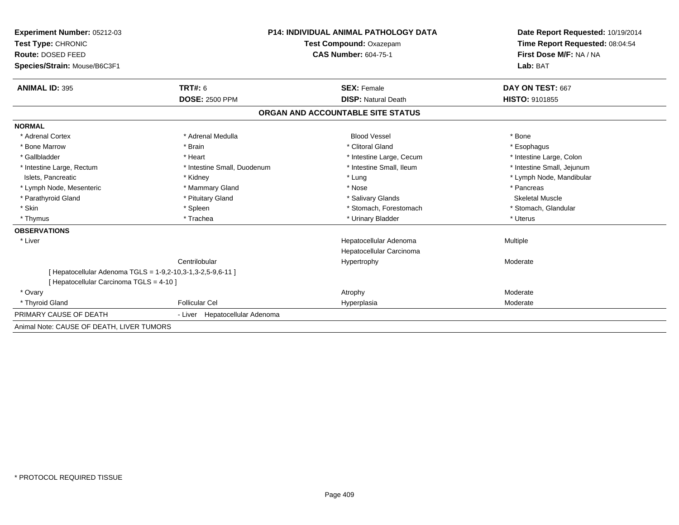| <b>Experiment Number: 05212-03</b><br>Test Type: CHRONIC<br>Route: DOSED FEED                           |                                | <b>P14: INDIVIDUAL ANIMAL PATHOLOGY DATA</b>       | Date Report Requested: 10/19/2014<br>Time Report Requested: 08:04:54<br>First Dose M/F: NA / NA |
|---------------------------------------------------------------------------------------------------------|--------------------------------|----------------------------------------------------|-------------------------------------------------------------------------------------------------|
|                                                                                                         |                                | Test Compound: Oxazepam                            |                                                                                                 |
|                                                                                                         |                                | <b>CAS Number: 604-75-1</b>                        |                                                                                                 |
| Species/Strain: Mouse/B6C3F1                                                                            |                                |                                                    | Lab: BAT                                                                                        |
| <b>ANIMAL ID: 395</b>                                                                                   | TRT#: 6                        | <b>SEX: Female</b>                                 | DAY ON TEST: 667                                                                                |
|                                                                                                         | <b>DOSE: 2500 PPM</b>          | <b>DISP: Natural Death</b>                         | <b>HISTO: 9101855</b>                                                                           |
|                                                                                                         |                                | ORGAN AND ACCOUNTABLE SITE STATUS                  |                                                                                                 |
| <b>NORMAL</b>                                                                                           |                                |                                                    |                                                                                                 |
| * Adrenal Cortex                                                                                        | * Adrenal Medulla              | <b>Blood Vessel</b>                                | * Bone                                                                                          |
| * Bone Marrow                                                                                           | * Brain                        | * Clitoral Gland                                   | * Esophagus                                                                                     |
| * Gallbladder                                                                                           | * Heart                        | * Intestine Large, Cecum                           | * Intestine Large, Colon                                                                        |
| * Intestine Large, Rectum                                                                               | * Intestine Small, Duodenum    | * Intestine Small, Ileum                           | * Intestine Small, Jejunum                                                                      |
| Islets, Pancreatic                                                                                      | * Kidney                       | * Lung                                             | * Lymph Node, Mandibular                                                                        |
| * Lymph Node, Mesenteric                                                                                | * Mammary Gland                | * Nose                                             | * Pancreas                                                                                      |
| * Parathyroid Gland                                                                                     | * Pituitary Gland              | * Salivary Glands                                  | <b>Skeletal Muscle</b>                                                                          |
| * Skin                                                                                                  | * Spleen                       | * Stomach, Forestomach                             | * Stomach, Glandular                                                                            |
| * Thymus                                                                                                | * Trachea                      | * Urinary Bladder                                  | * Uterus                                                                                        |
| <b>OBSERVATIONS</b>                                                                                     |                                |                                                    |                                                                                                 |
| * Liver                                                                                                 |                                | Hepatocellular Adenoma<br>Hepatocellular Carcinoma | Multiple                                                                                        |
|                                                                                                         | Centrilobular                  | Hypertrophy                                        | Moderate                                                                                        |
| [ Hepatocellular Adenoma TGLS = 1-9,2-10,3-1,3-2,5-9,6-11 ]<br>[ Hepatocellular Carcinoma TGLS = 4-10 ] |                                |                                                    |                                                                                                 |
| * Ovary                                                                                                 |                                | Atrophy                                            | Moderate                                                                                        |
| * Thyroid Gland                                                                                         | <b>Follicular Cel</b>          | Hyperplasia                                        | Moderate                                                                                        |
| PRIMARY CAUSE OF DEATH                                                                                  | - Liver Hepatocellular Adenoma |                                                    |                                                                                                 |
| Animal Note: CAUSE OF DEATH, LIVER TUMORS                                                               |                                |                                                    |                                                                                                 |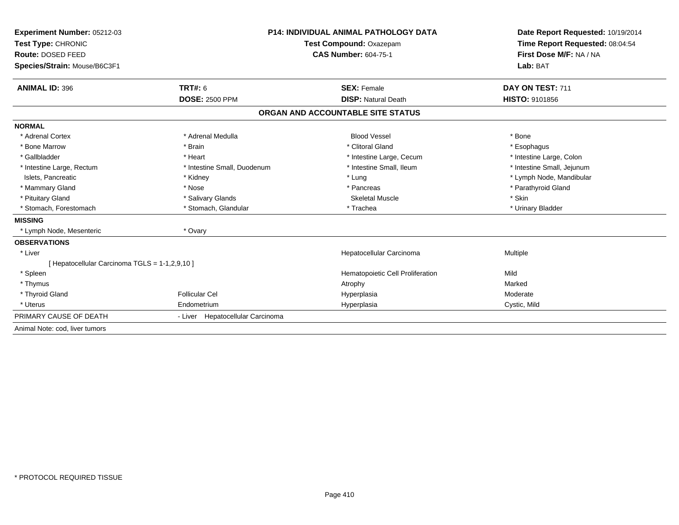| Experiment Number: 05212-03<br>Test Type: CHRONIC |                                  | <b>P14: INDIVIDUAL ANIMAL PATHOLOGY DATA</b> | Date Report Requested: 10/19/2014<br>Time Report Requested: 08:04:54 |
|---------------------------------------------------|----------------------------------|----------------------------------------------|----------------------------------------------------------------------|
|                                                   |                                  | Test Compound: Oxazepam                      |                                                                      |
| Route: DOSED FEED                                 |                                  | <b>CAS Number: 604-75-1</b>                  | First Dose M/F: NA / NA                                              |
| Species/Strain: Mouse/B6C3F1                      |                                  |                                              | Lab: BAT                                                             |
| <b>ANIMAL ID: 396</b>                             | TRT#: 6                          | <b>SEX: Female</b>                           | DAY ON TEST: 711                                                     |
|                                                   | <b>DOSE: 2500 PPM</b>            | <b>DISP: Natural Death</b>                   | <b>HISTO: 9101856</b>                                                |
|                                                   |                                  | ORGAN AND ACCOUNTABLE SITE STATUS            |                                                                      |
| <b>NORMAL</b>                                     |                                  |                                              |                                                                      |
| * Adrenal Cortex                                  | * Adrenal Medulla                | <b>Blood Vessel</b>                          | * Bone                                                               |
| * Bone Marrow                                     | * Brain                          | * Clitoral Gland                             | * Esophagus                                                          |
| * Gallbladder                                     | * Heart                          | * Intestine Large, Cecum                     | * Intestine Large, Colon                                             |
| * Intestine Large, Rectum                         | * Intestine Small, Duodenum      | * Intestine Small, Ileum                     | * Intestine Small, Jejunum                                           |
| Islets, Pancreatic                                | * Kidney                         | * Lung                                       | * Lymph Node, Mandibular                                             |
| * Mammary Gland                                   | * Nose                           | * Pancreas                                   | * Parathyroid Gland                                                  |
| * Pituitary Gland                                 | * Salivary Glands                | <b>Skeletal Muscle</b>                       | * Skin                                                               |
| * Stomach, Forestomach                            | * Stomach, Glandular             | * Trachea                                    | * Urinary Bladder                                                    |
| <b>MISSING</b>                                    |                                  |                                              |                                                                      |
| * Lymph Node, Mesenteric                          | * Ovary                          |                                              |                                                                      |
| <b>OBSERVATIONS</b>                               |                                  |                                              |                                                                      |
| * Liver                                           |                                  | Hepatocellular Carcinoma                     | Multiple                                                             |
| [ Hepatocellular Carcinoma TGLS = 1-1,2,9,10 ]    |                                  |                                              |                                                                      |
| * Spleen                                          |                                  | Hematopoietic Cell Proliferation             | Mild                                                                 |
| * Thymus                                          |                                  | Atrophy                                      | Marked                                                               |
| * Thyroid Gland                                   | <b>Follicular Cel</b>            | Hyperplasia                                  | Moderate                                                             |
| * Uterus                                          | Endometrium                      | Hyperplasia                                  | Cystic, Mild                                                         |
| PRIMARY CAUSE OF DEATH                            | - Liver Hepatocellular Carcinoma |                                              |                                                                      |
| Animal Note: cod, liver tumors                    |                                  |                                              |                                                                      |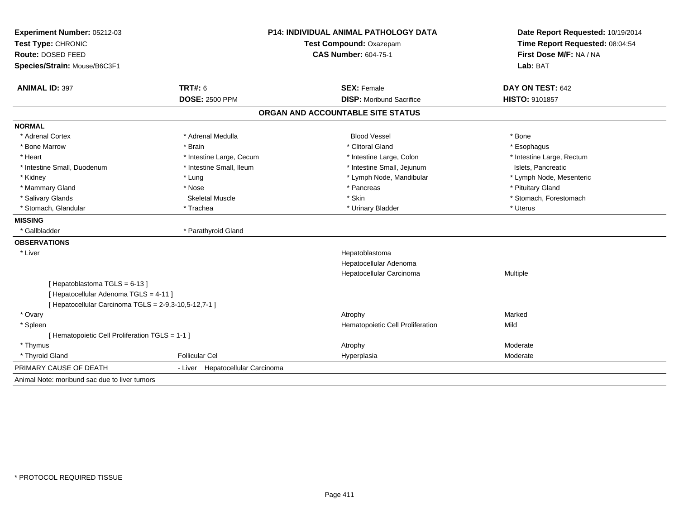| Experiment Number: 05212-03                           | <b>P14: INDIVIDUAL ANIMAL PATHOLOGY DATA</b><br>Test Compound: Oxazepam |                                   | Date Report Requested: 10/19/2014<br>Time Report Requested: 08:04:54 |
|-------------------------------------------------------|-------------------------------------------------------------------------|-----------------------------------|----------------------------------------------------------------------|
| Test Type: CHRONIC                                    |                                                                         |                                   |                                                                      |
| Route: DOSED FEED                                     |                                                                         | <b>CAS Number: 604-75-1</b>       | First Dose M/F: NA / NA                                              |
| Species/Strain: Mouse/B6C3F1                          |                                                                         |                                   | Lab: BAT                                                             |
| <b>ANIMAL ID: 397</b>                                 | <b>TRT#: 6</b>                                                          | <b>SEX: Female</b>                | DAY ON TEST: 642                                                     |
|                                                       | <b>DOSE: 2500 PPM</b>                                                   | <b>DISP:</b> Moribund Sacrifice   | <b>HISTO: 9101857</b>                                                |
|                                                       |                                                                         | ORGAN AND ACCOUNTABLE SITE STATUS |                                                                      |
| <b>NORMAL</b>                                         |                                                                         |                                   |                                                                      |
| * Adrenal Cortex                                      | * Adrenal Medulla                                                       | <b>Blood Vessel</b>               | * Bone                                                               |
| * Bone Marrow                                         | * Brain                                                                 | * Clitoral Gland                  | * Esophagus                                                          |
| * Heart                                               | * Intestine Large, Cecum                                                | * Intestine Large, Colon          | * Intestine Large, Rectum                                            |
| * Intestine Small, Duodenum                           | * Intestine Small, Ileum                                                | * Intestine Small, Jejunum        | Islets, Pancreatic                                                   |
| * Kidney                                              | * Lung                                                                  | * Lymph Node, Mandibular          | * Lymph Node, Mesenteric                                             |
| * Mammary Gland                                       | * Nose                                                                  | * Pancreas                        | * Pituitary Gland                                                    |
| * Salivary Glands                                     | <b>Skeletal Muscle</b>                                                  | * Skin                            | * Stomach, Forestomach                                               |
| * Stomach, Glandular                                  | * Trachea                                                               | * Urinary Bladder                 | * Uterus                                                             |
| <b>MISSING</b>                                        |                                                                         |                                   |                                                                      |
| * Gallbladder                                         | * Parathyroid Gland                                                     |                                   |                                                                      |
| <b>OBSERVATIONS</b>                                   |                                                                         |                                   |                                                                      |
| * Liver                                               |                                                                         | Hepatoblastoma                    |                                                                      |
|                                                       |                                                                         | Hepatocellular Adenoma            |                                                                      |
|                                                       |                                                                         | Hepatocellular Carcinoma          | Multiple                                                             |
| [Hepatoblastoma TGLS = 6-13]                          |                                                                         |                                   |                                                                      |
| [ Hepatocellular Adenoma TGLS = 4-11 ]                |                                                                         |                                   |                                                                      |
| [ Hepatocellular Carcinoma TGLS = 2-9,3-10,5-12,7-1 ] |                                                                         |                                   |                                                                      |
| * Ovary                                               |                                                                         | Atrophy                           | Marked                                                               |
| * Spleen                                              |                                                                         | Hematopoietic Cell Proliferation  | Mild                                                                 |
| [ Hematopoietic Cell Proliferation TGLS = 1-1 ]       |                                                                         |                                   |                                                                      |
| * Thymus                                              |                                                                         | Atrophy                           | Moderate                                                             |
| * Thyroid Gland                                       | <b>Follicular Cel</b>                                                   | Hyperplasia                       | Moderate                                                             |
| PRIMARY CAUSE OF DEATH                                | - Liver Hepatocellular Carcinoma                                        |                                   |                                                                      |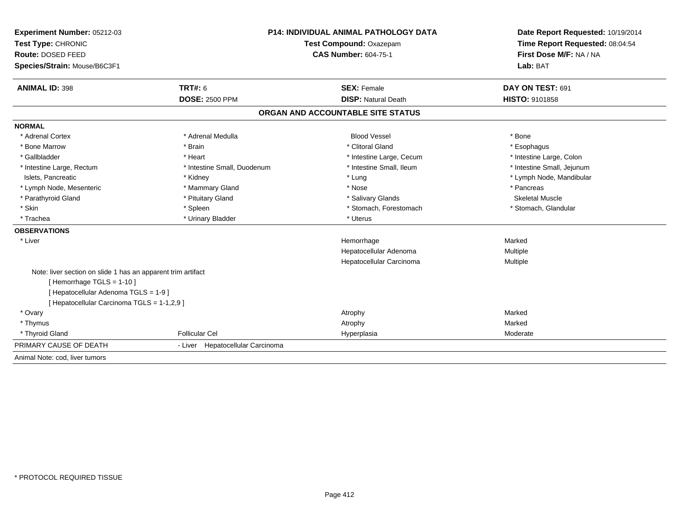| Experiment Number: 05212-03                                  | P14: INDIVIDUAL ANIMAL PATHOLOGY DATA |                                   | Date Report Requested: 10/19/2014                          |  |
|--------------------------------------------------------------|---------------------------------------|-----------------------------------|------------------------------------------------------------|--|
| Test Type: CHRONIC                                           |                                       | Test Compound: Oxazepam           |                                                            |  |
| Route: DOSED FEED                                            |                                       | <b>CAS Number: 604-75-1</b>       | Time Report Requested: 08:04:54<br>First Dose M/F: NA / NA |  |
| Species/Strain: Mouse/B6C3F1                                 |                                       |                                   | Lab: BAT                                                   |  |
| <b>ANIMAL ID: 398</b>                                        | TRT#: 6                               | <b>SEX: Female</b>                | DAY ON TEST: 691                                           |  |
|                                                              | <b>DOSE: 2500 PPM</b>                 | <b>DISP: Natural Death</b>        | <b>HISTO: 9101858</b>                                      |  |
|                                                              |                                       | ORGAN AND ACCOUNTABLE SITE STATUS |                                                            |  |
| <b>NORMAL</b>                                                |                                       |                                   |                                                            |  |
| * Adrenal Cortex                                             | * Adrenal Medulla                     | <b>Blood Vessel</b>               | * Bone                                                     |  |
| * Bone Marrow                                                | * Brain                               | * Clitoral Gland                  | * Esophagus                                                |  |
| * Gallbladder                                                | * Heart                               | * Intestine Large, Cecum          | * Intestine Large, Colon                                   |  |
| * Intestine Large, Rectum                                    | * Intestine Small, Duodenum           | * Intestine Small. Ileum          | * Intestine Small, Jejunum                                 |  |
| Islets, Pancreatic                                           | * Kidney                              | * Lung                            | * Lymph Node, Mandibular                                   |  |
| * Lymph Node, Mesenteric                                     | * Mammary Gland                       | * Nose                            | * Pancreas                                                 |  |
| * Parathyroid Gland                                          | * Pituitary Gland                     | * Salivary Glands                 | <b>Skeletal Muscle</b>                                     |  |
| * Skin                                                       | * Spleen                              | * Stomach, Forestomach            | * Stomach, Glandular                                       |  |
| * Trachea                                                    | * Urinary Bladder                     | * Uterus                          |                                                            |  |
| <b>OBSERVATIONS</b>                                          |                                       |                                   |                                                            |  |
| * Liver                                                      |                                       | Hemorrhage                        | Marked                                                     |  |
|                                                              |                                       | Hepatocellular Adenoma            | Multiple                                                   |  |
|                                                              |                                       | Hepatocellular Carcinoma          | Multiple                                                   |  |
| Note: liver section on slide 1 has an apparent trim artifact |                                       |                                   |                                                            |  |
| [Hemorrhage TGLS = 1-10]                                     |                                       |                                   |                                                            |  |
| [ Hepatocellular Adenoma TGLS = 1-9 ]                        |                                       |                                   |                                                            |  |
| [ Hepatocellular Carcinoma TGLS = 1-1,2,9 ]                  |                                       |                                   |                                                            |  |
| * Ovary                                                      |                                       | Atrophy                           | Marked                                                     |  |
| * Thymus                                                     |                                       | Atrophy                           | Marked                                                     |  |
| * Thyroid Gland                                              | <b>Follicular Cel</b>                 | Hyperplasia                       | Moderate                                                   |  |
| PRIMARY CAUSE OF DEATH                                       | - Liver Hepatocellular Carcinoma      |                                   |                                                            |  |
| Animal Note: cod. liver tumors                               |                                       |                                   |                                                            |  |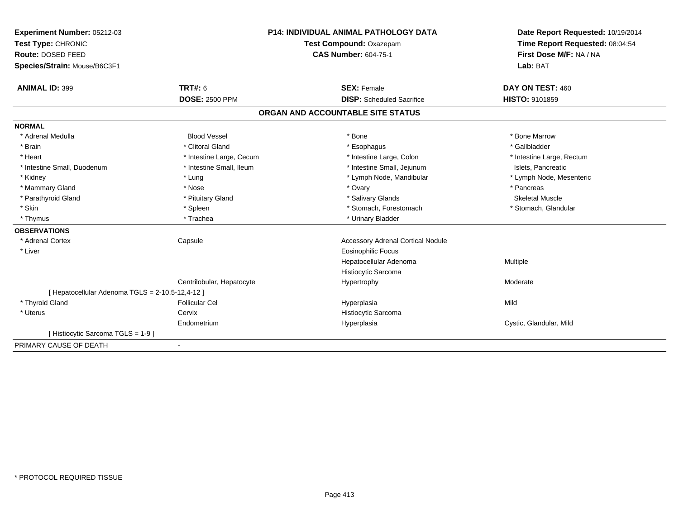| Experiment Number: 05212-03                      | <b>P14: INDIVIDUAL ANIMAL PATHOLOGY DATA</b> |                                          | Date Report Requested: 10/19/2014 |  |
|--------------------------------------------------|----------------------------------------------|------------------------------------------|-----------------------------------|--|
| Test Type: CHRONIC                               |                                              | Test Compound: Oxazepam                  | Time Report Requested: 08:04:54   |  |
| Route: DOSED FEED                                |                                              | <b>CAS Number: 604-75-1</b>              | First Dose M/F: NA / NA           |  |
| Species/Strain: Mouse/B6C3F1                     |                                              |                                          | Lab: BAT                          |  |
| <b>ANIMAL ID: 399</b>                            | <b>TRT#: 6</b>                               | <b>SEX: Female</b>                       | DAY ON TEST: 460                  |  |
|                                                  | <b>DOSE: 2500 PPM</b>                        | <b>DISP:</b> Scheduled Sacrifice         | HISTO: 9101859                    |  |
|                                                  |                                              | ORGAN AND ACCOUNTABLE SITE STATUS        |                                   |  |
| <b>NORMAL</b>                                    |                                              |                                          |                                   |  |
| * Adrenal Medulla                                | <b>Blood Vessel</b>                          | * Bone                                   | * Bone Marrow                     |  |
| * Brain                                          | * Clitoral Gland                             | * Esophagus                              | * Gallbladder                     |  |
| * Heart                                          | * Intestine Large, Cecum                     | * Intestine Large, Colon                 | * Intestine Large, Rectum         |  |
| * Intestine Small, Duodenum                      | * Intestine Small, Ileum                     | * Intestine Small, Jejunum               | Islets, Pancreatic                |  |
| * Kidney                                         | * Lung                                       | * Lymph Node, Mandibular                 | * Lymph Node, Mesenteric          |  |
| * Mammary Gland                                  | * Nose                                       | * Ovary                                  | * Pancreas                        |  |
| * Parathyroid Gland                              | * Pituitary Gland                            | * Salivary Glands                        | <b>Skeletal Muscle</b>            |  |
| * Skin                                           | * Spleen                                     | * Stomach, Forestomach                   | * Stomach, Glandular              |  |
| * Thymus                                         | * Trachea                                    | * Urinary Bladder                        |                                   |  |
| <b>OBSERVATIONS</b>                              |                                              |                                          |                                   |  |
| * Adrenal Cortex                                 | Capsule                                      | <b>Accessory Adrenal Cortical Nodule</b> |                                   |  |
| * Liver                                          |                                              | Eosinophilic Focus                       |                                   |  |
|                                                  |                                              | Hepatocellular Adenoma                   | Multiple                          |  |
|                                                  |                                              | Histiocytic Sarcoma                      |                                   |  |
|                                                  | Centrilobular, Hepatocyte                    | Hypertrophy                              | Moderate                          |  |
| [ Hepatocellular Adenoma TGLS = 2-10,5-12,4-12 ] |                                              |                                          |                                   |  |
| * Thyroid Gland                                  | <b>Follicular Cel</b>                        | Hyperplasia                              | Mild                              |  |
| * Uterus                                         | Cervix                                       | Histiocytic Sarcoma                      |                                   |  |
|                                                  | Endometrium                                  | Hyperplasia                              | Cystic, Glandular, Mild           |  |
| [Histiocytic Sarcoma TGLS = 1-9]                 |                                              |                                          |                                   |  |
| PRIMARY CAUSE OF DEATH                           |                                              |                                          |                                   |  |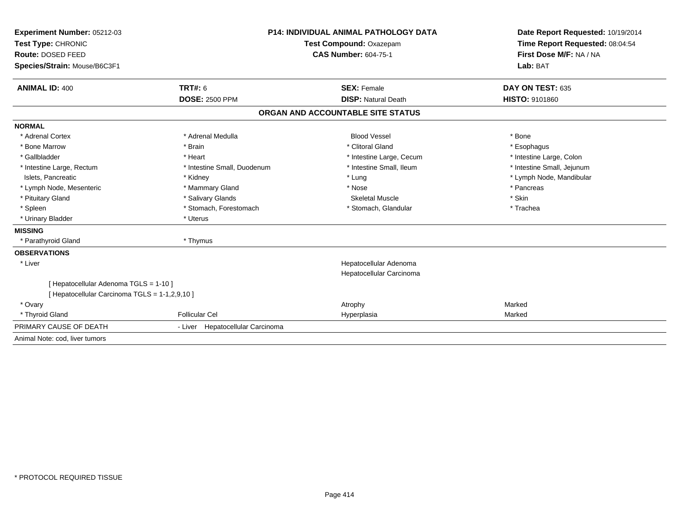| Experiment Number: 05212-03<br>Test Type: CHRONIC<br>Route: DOSED FEED<br>Species/Strain: Mouse/B6C3F1 |                                  | P14: INDIVIDUAL ANIMAL PATHOLOGY DATA<br>Test Compound: Oxazepam<br><b>CAS Number: 604-75-1</b> | Date Report Requested: 10/19/2014<br>Time Report Requested: 08:04:54<br>First Dose M/F: NA / NA<br>Lab: BAT |
|--------------------------------------------------------------------------------------------------------|----------------------------------|-------------------------------------------------------------------------------------------------|-------------------------------------------------------------------------------------------------------------|
|                                                                                                        |                                  |                                                                                                 |                                                                                                             |
| <b>ANIMAL ID: 400</b>                                                                                  | <b>TRT#: 6</b>                   | <b>SEX: Female</b>                                                                              | DAY ON TEST: 635                                                                                            |
|                                                                                                        | <b>DOSE: 2500 PPM</b>            | <b>DISP: Natural Death</b>                                                                      | <b>HISTO: 9101860</b>                                                                                       |
|                                                                                                        |                                  | ORGAN AND ACCOUNTABLE SITE STATUS                                                               |                                                                                                             |
| <b>NORMAL</b>                                                                                          |                                  |                                                                                                 |                                                                                                             |
| * Adrenal Cortex                                                                                       | * Adrenal Medulla                | <b>Blood Vessel</b>                                                                             | * Bone                                                                                                      |
| * Bone Marrow                                                                                          | * Brain                          | * Clitoral Gland                                                                                | * Esophagus                                                                                                 |
| * Gallbladder                                                                                          | * Heart                          | * Intestine Large, Cecum                                                                        | * Intestine Large, Colon                                                                                    |
| * Intestine Large, Rectum                                                                              | * Intestine Small, Duodenum      | * Intestine Small. Ileum                                                                        | * Intestine Small, Jejunum                                                                                  |
| Islets, Pancreatic                                                                                     | * Kidney                         | * Lung                                                                                          | * Lymph Node, Mandibular                                                                                    |
| * Lymph Node, Mesenteric                                                                               | * Mammary Gland                  | * Nose                                                                                          | * Pancreas                                                                                                  |
| * Pituitary Gland                                                                                      | * Salivary Glands                | <b>Skeletal Muscle</b>                                                                          | * Skin                                                                                                      |
| * Spleen                                                                                               | * Stomach, Forestomach           | * Stomach, Glandular                                                                            | * Trachea                                                                                                   |
| * Urinary Bladder                                                                                      | * Uterus                         |                                                                                                 |                                                                                                             |
| <b>MISSING</b>                                                                                         |                                  |                                                                                                 |                                                                                                             |
| * Parathyroid Gland                                                                                    | * Thymus                         |                                                                                                 |                                                                                                             |
| <b>OBSERVATIONS</b>                                                                                    |                                  |                                                                                                 |                                                                                                             |
| * Liver                                                                                                |                                  | Hepatocellular Adenoma<br>Hepatocellular Carcinoma                                              |                                                                                                             |
| [ Hepatocellular Adenoma TGLS = 1-10 ]<br>[ Hepatocellular Carcinoma TGLS = 1-1,2,9,10 ]               |                                  |                                                                                                 |                                                                                                             |
| * Ovary                                                                                                |                                  | Atrophy                                                                                         | Marked                                                                                                      |
| * Thyroid Gland                                                                                        | <b>Follicular Cel</b>            | Hyperplasia                                                                                     | Marked                                                                                                      |
| PRIMARY CAUSE OF DEATH                                                                                 | - Liver Hepatocellular Carcinoma |                                                                                                 |                                                                                                             |
| Animal Note: cod, liver tumors                                                                         |                                  |                                                                                                 |                                                                                                             |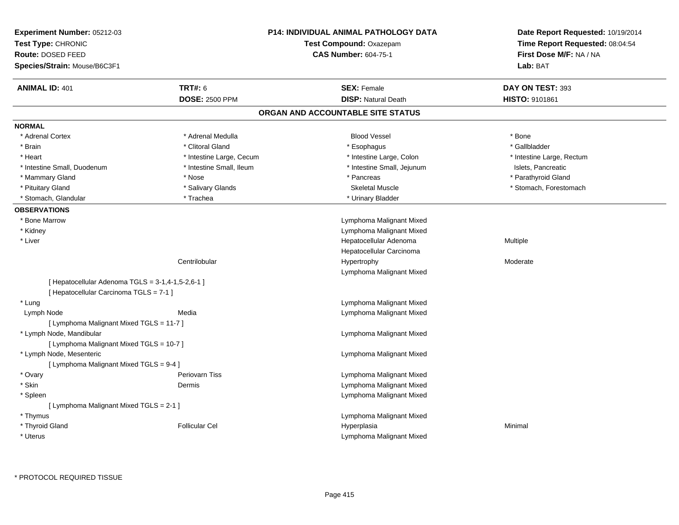| Experiment Number: 05212-03<br>Test Type: CHRONIC |                          | <b>P14: INDIVIDUAL ANIMAL PATHOLOGY DATA</b><br>Test Compound: Oxazepam | Date Report Requested: 10/19/2014<br>Time Report Requested: 08:04:54 |  |
|---------------------------------------------------|--------------------------|-------------------------------------------------------------------------|----------------------------------------------------------------------|--|
| Route: DOSED FEED<br>Species/Strain: Mouse/B6C3F1 |                          | <b>CAS Number: 604-75-1</b>                                             | First Dose M/F: NA / NA<br>Lab: BAT                                  |  |
|                                                   |                          |                                                                         |                                                                      |  |
| <b>ANIMAL ID: 401</b>                             | <b>TRT#: 6</b>           | <b>SEX: Female</b>                                                      | DAY ON TEST: 393                                                     |  |
|                                                   | <b>DOSE: 2500 PPM</b>    | <b>DISP: Natural Death</b>                                              | <b>HISTO: 9101861</b>                                                |  |
|                                                   |                          | ORGAN AND ACCOUNTABLE SITE STATUS                                       |                                                                      |  |
| <b>NORMAL</b>                                     |                          |                                                                         |                                                                      |  |
| * Adrenal Cortex                                  | * Adrenal Medulla        | <b>Blood Vessel</b>                                                     | * Bone                                                               |  |
| * Brain                                           | * Clitoral Gland         | * Esophagus                                                             | * Gallbladder                                                        |  |
| * Heart                                           | * Intestine Large, Cecum | * Intestine Large, Colon                                                | * Intestine Large, Rectum                                            |  |
| * Intestine Small, Duodenum                       | * Intestine Small, Ileum | * Intestine Small, Jejunum                                              | Islets, Pancreatic                                                   |  |
| * Mammary Gland                                   | * Nose                   | * Pancreas                                                              | * Parathyroid Gland                                                  |  |
| * Pituitary Gland                                 | * Salivary Glands        | <b>Skeletal Muscle</b>                                                  | * Stomach, Forestomach                                               |  |
| * Stomach, Glandular                              | * Trachea                | * Urinary Bladder                                                       |                                                                      |  |
| <b>OBSERVATIONS</b>                               |                          |                                                                         |                                                                      |  |
| * Bone Marrow                                     |                          | Lymphoma Malignant Mixed                                                |                                                                      |  |
| * Kidney                                          |                          | Lymphoma Malignant Mixed                                                |                                                                      |  |
| $^{\star}$ Liver                                  |                          | Hepatocellular Adenoma                                                  | Multiple                                                             |  |
|                                                   |                          | Hepatocellular Carcinoma                                                |                                                                      |  |
|                                                   | Centrilobular            | Hypertrophy                                                             | Moderate                                                             |  |
|                                                   |                          | Lymphoma Malignant Mixed                                                |                                                                      |  |
| [ Hepatocellular Adenoma TGLS = 3-1,4-1,5-2,6-1 ] |                          |                                                                         |                                                                      |  |
| [ Hepatocellular Carcinoma TGLS = 7-1 ]           |                          |                                                                         |                                                                      |  |
| * Lung                                            |                          | Lymphoma Malignant Mixed                                                |                                                                      |  |
| Lymph Node                                        | Media                    | Lymphoma Malignant Mixed                                                |                                                                      |  |
| [ Lymphoma Malignant Mixed TGLS = 11-7 ]          |                          |                                                                         |                                                                      |  |
| * Lymph Node, Mandibular                          |                          | Lymphoma Malignant Mixed                                                |                                                                      |  |
| [ Lymphoma Malignant Mixed TGLS = 10-7 ]          |                          |                                                                         |                                                                      |  |
| * Lymph Node, Mesenteric                          |                          | Lymphoma Malignant Mixed                                                |                                                                      |  |
| [ Lymphoma Malignant Mixed TGLS = 9-4 ]           |                          |                                                                         |                                                                      |  |
| * Ovary                                           | Periovarn Tiss           | Lymphoma Malignant Mixed                                                |                                                                      |  |
| * Skin                                            | Dermis                   | Lymphoma Malignant Mixed                                                |                                                                      |  |
| * Spleen                                          |                          | Lymphoma Malignant Mixed                                                |                                                                      |  |
| [ Lymphoma Malignant Mixed TGLS = 2-1 ]           |                          |                                                                         |                                                                      |  |
| * Thymus                                          |                          | Lymphoma Malignant Mixed                                                |                                                                      |  |
| * Thyroid Gland                                   | <b>Follicular Cel</b>    | Hyperplasia                                                             | Minimal                                                              |  |
| * Uterus                                          |                          | Lymphoma Malignant Mixed                                                |                                                                      |  |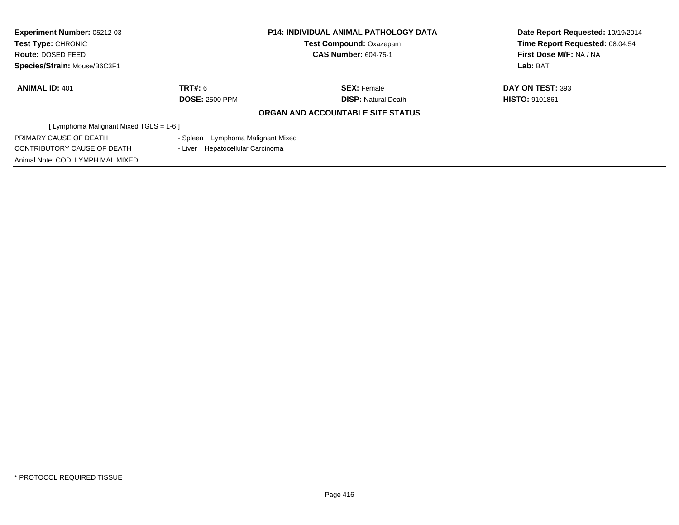| <b>Experiment Number: 05212-03</b><br><b>Test Type: CHRONIC</b> |                                   | <b>P14: INDIVIDUAL ANIMAL PATHOLOGY DATA</b> | Date Report Requested: 10/19/2014 |  |
|-----------------------------------------------------------------|-----------------------------------|----------------------------------------------|-----------------------------------|--|
|                                                                 |                                   | <b>Test Compound: Oxazepam</b>               | Time Report Requested: 08:04:54   |  |
| Route: DOSED FEED                                               |                                   | <b>CAS Number: 604-75-1</b>                  | <b>First Dose M/F: NA / NA</b>    |  |
| Species/Strain: Mouse/B6C3F1                                    |                                   |                                              | Lab: BAT                          |  |
| <b>ANIMAL ID: 401</b>                                           | TRT#: 6                           | <b>SEX: Female</b>                           | DAY ON TEST: 393                  |  |
|                                                                 | <b>DOSE: 2500 PPM</b>             | <b>DISP:</b> Natural Death                   | <b>HISTO: 9101861</b>             |  |
|                                                                 |                                   | ORGAN AND ACCOUNTABLE SITE STATUS            |                                   |  |
| [ Lymphoma Malignant Mixed TGLS = 1-6 ]                         |                                   |                                              |                                   |  |
| PRIMARY CAUSE OF DEATH                                          | - Spleen Lymphoma Malignant Mixed |                                              |                                   |  |
| CONTRIBUTORY CAUSE OF DEATH                                     | - Liver Hepatocellular Carcinoma  |                                              |                                   |  |
| Animal Note: COD, LYMPH MAL MIXED                               |                                   |                                              |                                   |  |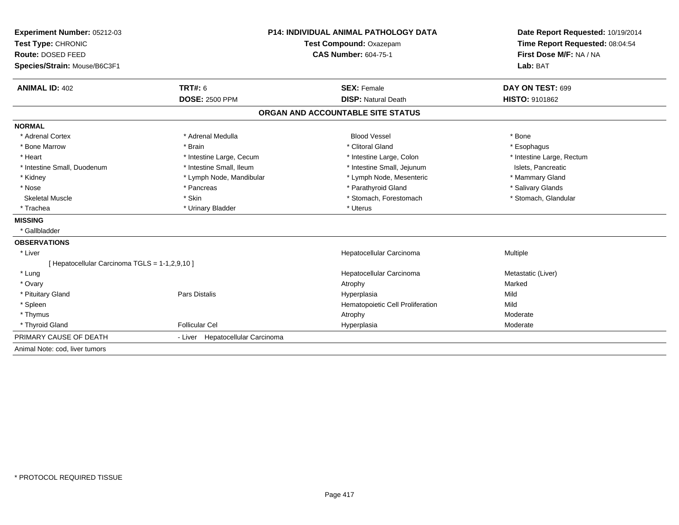| Experiment Number: 05212-03<br>Test Type: CHRONIC |                                  | <b>P14: INDIVIDUAL ANIMAL PATHOLOGY DATA</b><br>Test Compound: Oxazepam | Date Report Requested: 10/19/2014<br>Time Report Requested: 08:04:54 |
|---------------------------------------------------|----------------------------------|-------------------------------------------------------------------------|----------------------------------------------------------------------|
| Route: DOSED FEED                                 |                                  | <b>CAS Number: 604-75-1</b>                                             | First Dose M/F: NA / NA                                              |
| Species/Strain: Mouse/B6C3F1                      |                                  |                                                                         | Lab: BAT                                                             |
| <b>ANIMAL ID: 402</b>                             | <b>TRT#: 6</b>                   | <b>SEX: Female</b>                                                      | DAY ON TEST: 699                                                     |
|                                                   | <b>DOSE: 2500 PPM</b>            | <b>DISP: Natural Death</b>                                              | <b>HISTO: 9101862</b>                                                |
|                                                   |                                  | ORGAN AND ACCOUNTABLE SITE STATUS                                       |                                                                      |
| <b>NORMAL</b>                                     |                                  |                                                                         |                                                                      |
| * Adrenal Cortex                                  | * Adrenal Medulla                | <b>Blood Vessel</b>                                                     | * Bone                                                               |
| * Bone Marrow                                     | * Brain                          | * Clitoral Gland                                                        | * Esophagus                                                          |
| * Heart                                           | * Intestine Large, Cecum         | * Intestine Large, Colon                                                | * Intestine Large, Rectum                                            |
| * Intestine Small, Duodenum                       | * Intestine Small, Ileum         | * Intestine Small, Jejunum                                              | Islets, Pancreatic                                                   |
| * Kidney                                          | * Lymph Node, Mandibular         | * Lymph Node, Mesenteric                                                | * Mammary Gland                                                      |
| * Nose                                            | * Pancreas                       | * Parathyroid Gland                                                     | * Salivary Glands                                                    |
| <b>Skeletal Muscle</b>                            | * Skin                           | * Stomach, Forestomach                                                  | * Stomach, Glandular                                                 |
| * Trachea                                         | * Urinary Bladder                | * Uterus                                                                |                                                                      |
| <b>MISSING</b>                                    |                                  |                                                                         |                                                                      |
| * Gallbladder                                     |                                  |                                                                         |                                                                      |
| <b>OBSERVATIONS</b>                               |                                  |                                                                         |                                                                      |
| * Liver                                           |                                  | Hepatocellular Carcinoma                                                | Multiple                                                             |
| [ Hepatocellular Carcinoma TGLS = 1-1,2,9,10 ]    |                                  |                                                                         |                                                                      |
| * Lung                                            |                                  | Hepatocellular Carcinoma                                                | Metastatic (Liver)                                                   |
| * Ovary                                           |                                  | Atrophy                                                                 | Marked                                                               |
| * Pituitary Gland                                 | Pars Distalis                    | Hyperplasia                                                             | Mild                                                                 |
| * Spleen                                          |                                  | Hematopoietic Cell Proliferation                                        | Mild                                                                 |
| * Thymus                                          |                                  | Atrophy                                                                 | Moderate                                                             |
| * Thyroid Gland                                   | <b>Follicular Cel</b>            | Hyperplasia                                                             | Moderate                                                             |
| PRIMARY CAUSE OF DEATH                            | - Liver Hepatocellular Carcinoma |                                                                         |                                                                      |
| Animal Note: cod, liver tumors                    |                                  |                                                                         |                                                                      |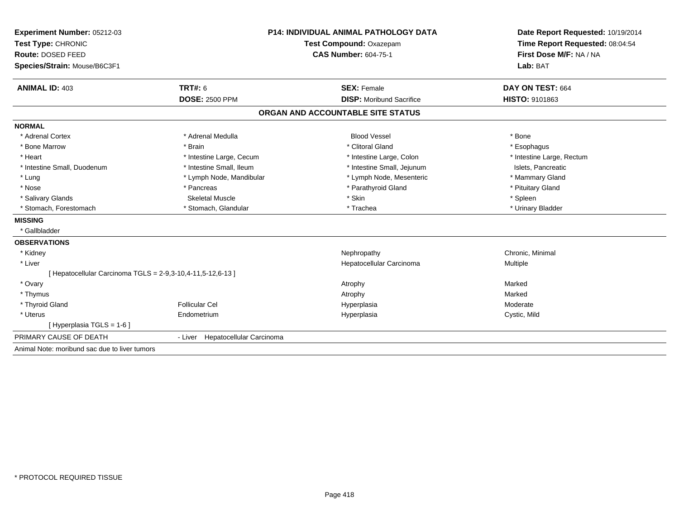| Experiment Number: 05212-03                                 | <b>P14: INDIVIDUAL ANIMAL PATHOLOGY DATA</b> |                                   | Date Report Requested: 10/19/2014                          |
|-------------------------------------------------------------|----------------------------------------------|-----------------------------------|------------------------------------------------------------|
| Test Type: CHRONIC                                          |                                              | <b>Test Compound: Oxazepam</b>    | Time Report Requested: 08:04:54<br>First Dose M/F: NA / NA |
| Route: DOSED FEED                                           |                                              | <b>CAS Number: 604-75-1</b>       |                                                            |
| Species/Strain: Mouse/B6C3F1                                |                                              |                                   | Lab: BAT                                                   |
| <b>ANIMAL ID: 403</b>                                       | <b>TRT#: 6</b>                               | <b>SEX: Female</b>                | DAY ON TEST: 664                                           |
|                                                             | <b>DOSE: 2500 PPM</b>                        | <b>DISP:</b> Moribund Sacrifice   | HISTO: 9101863                                             |
|                                                             |                                              | ORGAN AND ACCOUNTABLE SITE STATUS |                                                            |
| <b>NORMAL</b>                                               |                                              |                                   |                                                            |
| * Adrenal Cortex                                            | * Adrenal Medulla                            | <b>Blood Vessel</b>               | * Bone                                                     |
| * Bone Marrow                                               | * Brain                                      | * Clitoral Gland                  | * Esophagus                                                |
| * Heart                                                     | * Intestine Large, Cecum                     | * Intestine Large, Colon          | * Intestine Large, Rectum                                  |
| * Intestine Small, Duodenum                                 | * Intestine Small, Ileum                     | * Intestine Small, Jejunum        | Islets, Pancreatic                                         |
| * Lung                                                      | * Lymph Node, Mandibular                     | * Lymph Node, Mesenteric          | * Mammary Gland                                            |
| * Nose                                                      | * Pancreas                                   | * Parathyroid Gland               | * Pituitary Gland                                          |
| * Salivary Glands                                           | <b>Skeletal Muscle</b>                       | * Skin                            | * Spleen                                                   |
| * Stomach, Forestomach                                      | * Stomach, Glandular                         | * Trachea                         | * Urinary Bladder                                          |
| <b>MISSING</b>                                              |                                              |                                   |                                                            |
| * Gallbladder                                               |                                              |                                   |                                                            |
| <b>OBSERVATIONS</b>                                         |                                              |                                   |                                                            |
| * Kidney                                                    |                                              | Nephropathy                       | Chronic, Minimal                                           |
| * Liver                                                     |                                              | Hepatocellular Carcinoma          | <b>Multiple</b>                                            |
| [ Hepatocellular Carcinoma TGLS = 2-9,3-10,4-11,5-12,6-13 ] |                                              |                                   |                                                            |
| * Ovary                                                     |                                              | Atrophy                           | Marked                                                     |
| * Thymus                                                    |                                              | Atrophy                           | Marked                                                     |
| * Thyroid Gland                                             | <b>Follicular Cel</b>                        | Hyperplasia                       | Moderate                                                   |
| * Uterus                                                    | Endometrium                                  | Hyperplasia                       | Cystic, Mild                                               |
| [Hyperplasia TGLS = $1-6$ ]                                 |                                              |                                   |                                                            |
| PRIMARY CAUSE OF DEATH                                      | - Liver Hepatocellular Carcinoma             |                                   |                                                            |
| Animal Note: moribund sac due to liver tumors               |                                              |                                   |                                                            |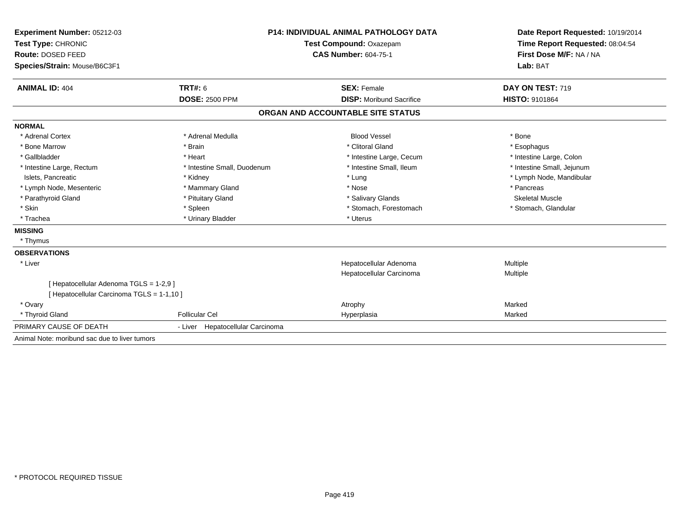| Experiment Number: 05212-03                                                         | <b>P14: INDIVIDUAL ANIMAL PATHOLOGY DATA</b> |                                   | Date Report Requested: 10/19/2014                          |  |
|-------------------------------------------------------------------------------------|----------------------------------------------|-----------------------------------|------------------------------------------------------------|--|
| Test Type: CHRONIC                                                                  |                                              | Test Compound: Oxazepam           | Time Report Requested: 08:04:54<br>First Dose M/F: NA / NA |  |
| Route: DOSED FEED                                                                   |                                              | <b>CAS Number: 604-75-1</b>       |                                                            |  |
| Species/Strain: Mouse/B6C3F1                                                        |                                              |                                   | Lab: BAT                                                   |  |
|                                                                                     |                                              |                                   |                                                            |  |
| <b>ANIMAL ID: 404</b>                                                               | TRT#: 6                                      | <b>SEX: Female</b>                | DAY ON TEST: 719                                           |  |
|                                                                                     | <b>DOSE: 2500 PPM</b>                        | <b>DISP:</b> Moribund Sacrifice   | HISTO: 9101864                                             |  |
|                                                                                     |                                              | ORGAN AND ACCOUNTABLE SITE STATUS |                                                            |  |
| <b>NORMAL</b>                                                                       |                                              |                                   |                                                            |  |
| * Adrenal Cortex                                                                    | * Adrenal Medulla                            | <b>Blood Vessel</b>               | * Bone                                                     |  |
| * Bone Marrow                                                                       | * Brain                                      | * Clitoral Gland                  | * Esophagus                                                |  |
| * Gallbladder                                                                       | * Heart                                      | * Intestine Large, Cecum          | * Intestine Large, Colon                                   |  |
| * Intestine Large, Rectum                                                           | * Intestine Small, Duodenum                  | * Intestine Small, Ileum          | * Intestine Small, Jejunum                                 |  |
| Islets, Pancreatic                                                                  | * Kidney                                     | * Lung                            | * Lymph Node, Mandibular                                   |  |
| * Lymph Node, Mesenteric                                                            | * Mammary Gland                              | * Nose                            | * Pancreas                                                 |  |
| * Parathyroid Gland                                                                 | * Pituitary Gland                            | * Salivary Glands                 | <b>Skeletal Muscle</b>                                     |  |
| * Skin                                                                              | * Spleen                                     | * Stomach, Forestomach            | * Stomach, Glandular                                       |  |
| * Trachea                                                                           | * Urinary Bladder                            | * Uterus                          |                                                            |  |
| <b>MISSING</b>                                                                      |                                              |                                   |                                                            |  |
| * Thymus                                                                            |                                              |                                   |                                                            |  |
| <b>OBSERVATIONS</b>                                                                 |                                              |                                   |                                                            |  |
| * Liver                                                                             |                                              | Hepatocellular Adenoma            | Multiple                                                   |  |
|                                                                                     |                                              | Hepatocellular Carcinoma          | Multiple                                                   |  |
| [Hepatocellular Adenoma TGLS = 1-2,9]<br>[ Hepatocellular Carcinoma TGLS = 1-1,10 ] |                                              |                                   |                                                            |  |
| * Ovary                                                                             |                                              | Atrophy                           | Marked                                                     |  |
| * Thyroid Gland                                                                     | <b>Follicular Cel</b>                        | Hyperplasia                       | Marked                                                     |  |
| PRIMARY CAUSE OF DEATH                                                              | - Liver Hepatocellular Carcinoma             |                                   |                                                            |  |
| Animal Note: moribund sac due to liver tumors                                       |                                              |                                   |                                                            |  |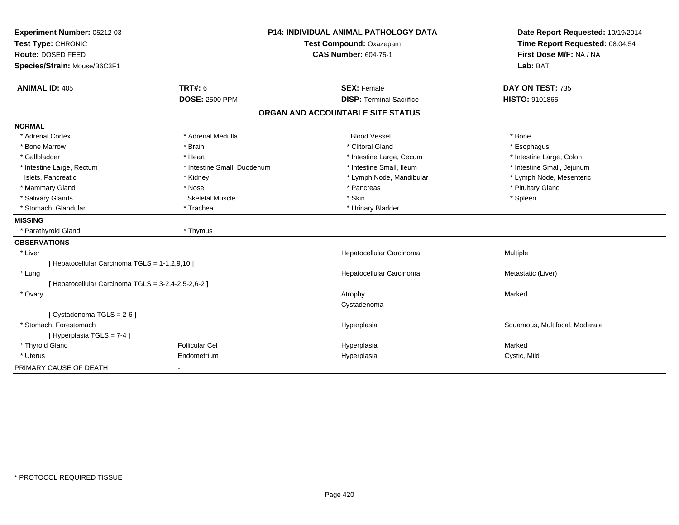| Experiment Number: 05212-03                         | <b>P14: INDIVIDUAL ANIMAL PATHOLOGY DATA</b> |                                   | Date Report Requested: 10/19/2014                          |  |
|-----------------------------------------------------|----------------------------------------------|-----------------------------------|------------------------------------------------------------|--|
| Test Type: CHRONIC                                  |                                              | Test Compound: Oxazepam           |                                                            |  |
| Route: DOSED FEED                                   |                                              | <b>CAS Number: 604-75-1</b>       | Time Report Requested: 08:04:54<br>First Dose M/F: NA / NA |  |
| Species/Strain: Mouse/B6C3F1                        |                                              |                                   | Lab: BAT                                                   |  |
| <b>ANIMAL ID: 405</b>                               | <b>TRT#: 6</b>                               | <b>SEX: Female</b>                | DAY ON TEST: 735                                           |  |
|                                                     | <b>DOSE: 2500 PPM</b>                        | <b>DISP: Terminal Sacrifice</b>   | HISTO: 9101865                                             |  |
|                                                     |                                              | ORGAN AND ACCOUNTABLE SITE STATUS |                                                            |  |
| <b>NORMAL</b>                                       |                                              |                                   |                                                            |  |
| * Adrenal Cortex                                    | * Adrenal Medulla                            | <b>Blood Vessel</b>               | * Bone                                                     |  |
| * Bone Marrow                                       | * Brain                                      | * Clitoral Gland                  | * Esophagus                                                |  |
| * Gallbladder                                       | * Heart                                      | * Intestine Large, Cecum          | * Intestine Large, Colon                                   |  |
| * Intestine Large, Rectum                           | * Intestine Small, Duodenum                  | * Intestine Small, Ileum          | * Intestine Small, Jejunum                                 |  |
| Islets, Pancreatic                                  | * Kidney                                     | * Lymph Node, Mandibular          | * Lymph Node, Mesenteric                                   |  |
| * Mammary Gland                                     | * Nose                                       | * Pancreas                        | * Pituitary Gland                                          |  |
| * Salivary Glands                                   | <b>Skeletal Muscle</b>                       | * Skin                            | * Spleen                                                   |  |
| * Stomach, Glandular                                | * Trachea                                    | * Urinary Bladder                 |                                                            |  |
| <b>MISSING</b>                                      |                                              |                                   |                                                            |  |
| * Parathyroid Gland                                 | * Thymus                                     |                                   |                                                            |  |
| <b>OBSERVATIONS</b>                                 |                                              |                                   |                                                            |  |
| * Liver                                             |                                              | Hepatocellular Carcinoma          | Multiple                                                   |  |
| [ Hepatocellular Carcinoma TGLS = 1-1,2,9,10 ]      |                                              |                                   |                                                            |  |
| * Lung                                              |                                              | Hepatocellular Carcinoma          | Metastatic (Liver)                                         |  |
| [ Hepatocellular Carcinoma TGLS = 3-2,4-2,5-2,6-2 ] |                                              |                                   |                                                            |  |
| * Ovary                                             |                                              | Atrophy                           | Marked                                                     |  |
|                                                     |                                              | Cystadenoma                       |                                                            |  |
| [Cystadenoma TGLS = 2-6]                            |                                              |                                   |                                                            |  |
| * Stomach. Forestomach                              |                                              | Hyperplasia                       | Squamous, Multifocal, Moderate                             |  |
| [Hyperplasia TGLS = 7-4]                            |                                              |                                   |                                                            |  |
| * Thyroid Gland                                     | <b>Follicular Cel</b>                        | Hyperplasia                       | Marked                                                     |  |
| * Uterus                                            | Endometrium                                  | Hyperplasia                       | Cystic, Mild                                               |  |
| PRIMARY CAUSE OF DEATH                              | $\blacksquare$                               |                                   |                                                            |  |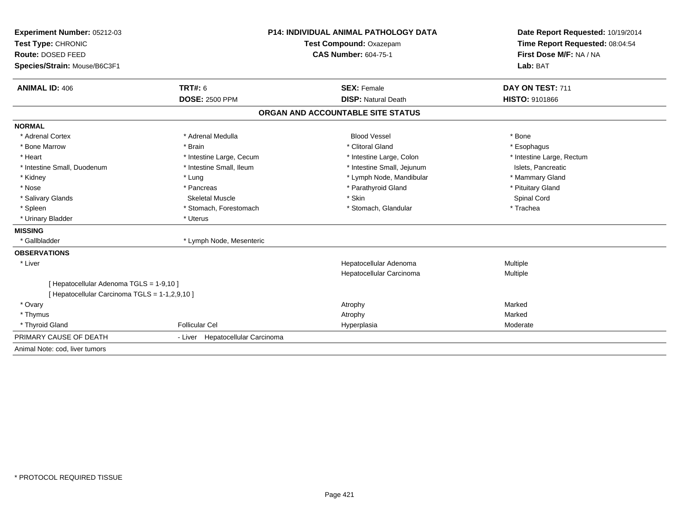| Experiment Number: 05212-03                    |                                                        | <b>P14: INDIVIDUAL ANIMAL PATHOLOGY DATA</b> |                                                            |  |
|------------------------------------------------|--------------------------------------------------------|----------------------------------------------|------------------------------------------------------------|--|
| Test Type: CHRONIC                             | Test Compound: Oxazepam<br><b>CAS Number: 604-75-1</b> |                                              | Time Report Requested: 08:04:54<br>First Dose M/F: NA / NA |  |
| Route: DOSED FEED                              |                                                        |                                              |                                                            |  |
| Species/Strain: Mouse/B6C3F1                   |                                                        |                                              | Lab: BAT                                                   |  |
| <b>ANIMAL ID: 406</b>                          | <b>TRT#: 6</b>                                         | <b>SEX: Female</b>                           | DAY ON TEST: 711                                           |  |
|                                                | <b>DOSE: 2500 PPM</b>                                  | <b>DISP: Natural Death</b>                   | <b>HISTO: 9101866</b>                                      |  |
|                                                |                                                        | ORGAN AND ACCOUNTABLE SITE STATUS            |                                                            |  |
| <b>NORMAL</b>                                  |                                                        |                                              |                                                            |  |
| * Adrenal Cortex                               | * Adrenal Medulla                                      | <b>Blood Vessel</b>                          | * Bone                                                     |  |
| * Bone Marrow                                  | * Brain                                                | * Clitoral Gland                             | * Esophagus                                                |  |
| * Heart                                        | * Intestine Large, Cecum                               | * Intestine Large, Colon                     | * Intestine Large, Rectum                                  |  |
| * Intestine Small, Duodenum                    | * Intestine Small, Ileum                               | * Intestine Small, Jejunum                   | Islets, Pancreatic                                         |  |
| * Kidney                                       | * Lung                                                 | * Lymph Node, Mandibular                     | * Mammary Gland                                            |  |
| * Nose                                         | * Pancreas                                             | * Parathyroid Gland                          | * Pituitary Gland                                          |  |
| * Salivary Glands                              | Skeletal Muscle                                        | * Skin                                       | Spinal Cord                                                |  |
| * Spleen                                       | * Stomach, Forestomach                                 | * Stomach, Glandular                         | * Trachea                                                  |  |
| * Urinary Bladder                              | * Uterus                                               |                                              |                                                            |  |
| <b>MISSING</b>                                 |                                                        |                                              |                                                            |  |
| * Gallbladder                                  | * Lymph Node, Mesenteric                               |                                              |                                                            |  |
| <b>OBSERVATIONS</b>                            |                                                        |                                              |                                                            |  |
| * Liver                                        |                                                        | Hepatocellular Adenoma                       | Multiple                                                   |  |
|                                                |                                                        | Hepatocellular Carcinoma                     | Multiple                                                   |  |
| [ Hepatocellular Adenoma TGLS = 1-9,10 ]       |                                                        |                                              |                                                            |  |
| [ Hepatocellular Carcinoma TGLS = 1-1,2,9,10 ] |                                                        |                                              |                                                            |  |
| * Ovary                                        |                                                        | Atrophy                                      | Marked                                                     |  |
| * Thymus                                       |                                                        | Atrophy                                      | Marked                                                     |  |
| * Thyroid Gland                                | <b>Follicular Cel</b>                                  | Hyperplasia                                  | Moderate                                                   |  |
| PRIMARY CAUSE OF DEATH                         | - Liver Hepatocellular Carcinoma                       |                                              |                                                            |  |
| Animal Note: cod, liver tumors                 |                                                        |                                              |                                                            |  |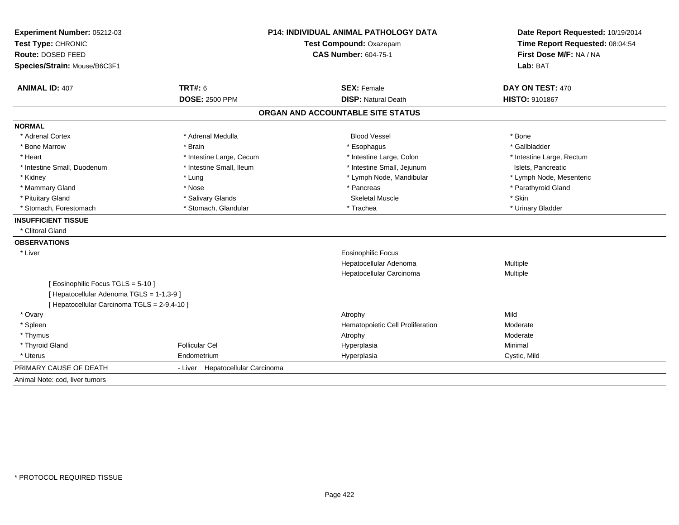| Experiment Number: 05212-03<br>Test Type: CHRONIC |                                  | P14: INDIVIDUAL ANIMAL PATHOLOGY DATA<br>Test Compound: Oxazepam | Date Report Requested: 10/19/2014<br>Time Report Requested: 08:04:54<br>First Dose M/F: NA / NA |  |
|---------------------------------------------------|----------------------------------|------------------------------------------------------------------|-------------------------------------------------------------------------------------------------|--|
| Route: DOSED FEED                                 |                                  | <b>CAS Number: 604-75-1</b>                                      |                                                                                                 |  |
| Species/Strain: Mouse/B6C3F1                      |                                  |                                                                  | Lab: BAT                                                                                        |  |
| <b>ANIMAL ID: 407</b>                             | <b>TRT#: 6</b>                   | <b>SEX: Female</b>                                               | DAY ON TEST: 470                                                                                |  |
|                                                   | <b>DOSE: 2500 PPM</b>            | <b>DISP: Natural Death</b>                                       | <b>HISTO: 9101867</b>                                                                           |  |
|                                                   |                                  | ORGAN AND ACCOUNTABLE SITE STATUS                                |                                                                                                 |  |
| <b>NORMAL</b>                                     |                                  |                                                                  |                                                                                                 |  |
| * Adrenal Cortex                                  | * Adrenal Medulla                | <b>Blood Vessel</b>                                              | * Bone                                                                                          |  |
| * Bone Marrow                                     | * Brain                          | * Esophagus                                                      | * Gallbladder                                                                                   |  |
| * Heart                                           | * Intestine Large, Cecum         | * Intestine Large, Colon                                         | * Intestine Large, Rectum                                                                       |  |
| * Intestine Small, Duodenum                       | * Intestine Small, Ileum         | * Intestine Small, Jejunum                                       | Islets, Pancreatic                                                                              |  |
| * Kidney                                          | * Lung                           | * Lymph Node, Mandibular                                         | * Lymph Node, Mesenteric                                                                        |  |
| * Mammary Gland                                   | * Nose                           | * Pancreas                                                       | * Parathyroid Gland                                                                             |  |
| * Pituitary Gland                                 | * Salivary Glands                | <b>Skeletal Muscle</b>                                           | * Skin                                                                                          |  |
| * Stomach, Forestomach                            | * Stomach, Glandular             | * Trachea                                                        | * Urinary Bladder                                                                               |  |
| <b>INSUFFICIENT TISSUE</b>                        |                                  |                                                                  |                                                                                                 |  |
| * Clitoral Gland                                  |                                  |                                                                  |                                                                                                 |  |
| <b>OBSERVATIONS</b>                               |                                  |                                                                  |                                                                                                 |  |
| * Liver                                           |                                  | Eosinophilic Focus                                               |                                                                                                 |  |
|                                                   |                                  | Hepatocellular Adenoma                                           | Multiple                                                                                        |  |
|                                                   |                                  | Hepatocellular Carcinoma                                         | Multiple                                                                                        |  |
| [Eosinophilic Focus TGLS = 5-10]                  |                                  |                                                                  |                                                                                                 |  |
| [ Hepatocellular Adenoma TGLS = 1-1,3-9 ]         |                                  |                                                                  |                                                                                                 |  |
| [ Hepatocellular Carcinoma TGLS = 2-9,4-10 ]      |                                  |                                                                  |                                                                                                 |  |
| * Ovary                                           |                                  | Atrophy                                                          | Mild                                                                                            |  |
| * Spleen                                          |                                  | Hematopoietic Cell Proliferation                                 | Moderate                                                                                        |  |
| * Thymus                                          |                                  | Atrophy                                                          | Moderate                                                                                        |  |
| * Thyroid Gland                                   | <b>Follicular Cel</b>            | Hyperplasia                                                      | Minimal                                                                                         |  |
| * Uterus                                          | Endometrium                      | Hyperplasia                                                      | Cystic, Mild                                                                                    |  |
| PRIMARY CAUSE OF DEATH                            | - Liver Hepatocellular Carcinoma |                                                                  |                                                                                                 |  |
| Animal Note: cod, liver tumors                    |                                  |                                                                  |                                                                                                 |  |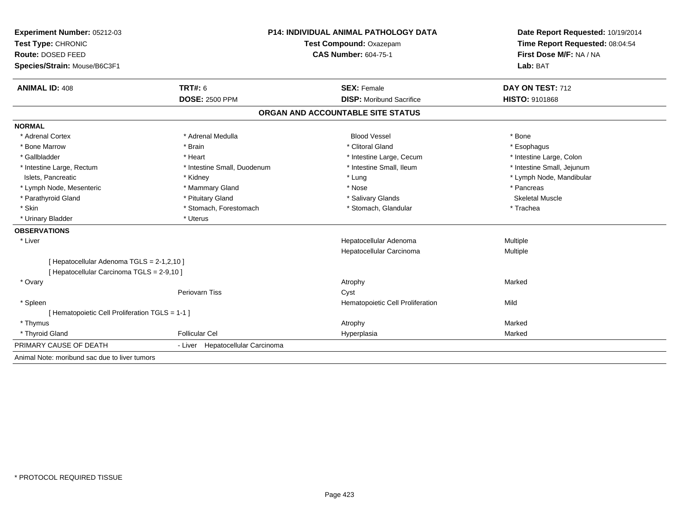| Experiment Number: 05212-03                     | P14: INDIVIDUAL ANIMAL PATHOLOGY DATA |                                   | Date Report Requested: 10/19/2014                          |  |
|-------------------------------------------------|---------------------------------------|-----------------------------------|------------------------------------------------------------|--|
| Test Type: CHRONIC                              |                                       | Test Compound: Oxazepam           | Time Report Requested: 08:04:54<br>First Dose M/F: NA / NA |  |
| Route: DOSED FEED                               |                                       | <b>CAS Number: 604-75-1</b>       |                                                            |  |
| Species/Strain: Mouse/B6C3F1                    |                                       |                                   | Lab: BAT                                                   |  |
| <b>ANIMAL ID: 408</b>                           | <b>TRT#: 6</b>                        | <b>SEX: Female</b>                | DAY ON TEST: 712                                           |  |
|                                                 | <b>DOSE: 2500 PPM</b>                 | <b>DISP:</b> Moribund Sacrifice   | <b>HISTO: 9101868</b>                                      |  |
|                                                 |                                       | ORGAN AND ACCOUNTABLE SITE STATUS |                                                            |  |
| <b>NORMAL</b>                                   |                                       |                                   |                                                            |  |
| * Adrenal Cortex                                | * Adrenal Medulla                     | <b>Blood Vessel</b>               | * Bone                                                     |  |
| * Bone Marrow                                   | * Brain                               | * Clitoral Gland                  | * Esophagus                                                |  |
| * Gallbladder                                   | * Heart                               | * Intestine Large, Cecum          | * Intestine Large, Colon                                   |  |
| * Intestine Large, Rectum                       | * Intestine Small, Duodenum           | * Intestine Small, Ileum          | * Intestine Small, Jejunum                                 |  |
| Islets, Pancreatic                              | * Kidney                              | * Lung                            | * Lymph Node, Mandibular                                   |  |
| * Lymph Node, Mesenteric                        | * Mammary Gland                       | * Nose                            | * Pancreas                                                 |  |
| * Parathyroid Gland                             | * Pituitary Gland                     | * Salivary Glands                 | <b>Skeletal Muscle</b>                                     |  |
| * Skin                                          | * Stomach, Forestomach                | * Stomach, Glandular              | * Trachea                                                  |  |
| * Urinary Bladder                               | * Uterus                              |                                   |                                                            |  |
| <b>OBSERVATIONS</b>                             |                                       |                                   |                                                            |  |
| * Liver                                         |                                       | Hepatocellular Adenoma            | Multiple                                                   |  |
|                                                 |                                       | Hepatocellular Carcinoma          | Multiple                                                   |  |
| [ Hepatocellular Adenoma TGLS = 2-1,2,10 ]      |                                       |                                   |                                                            |  |
| [ Hepatocellular Carcinoma TGLS = 2-9,10 ]      |                                       |                                   |                                                            |  |
| * Ovary                                         |                                       | Atrophy                           | Marked                                                     |  |
|                                                 | <b>Periovarn Tiss</b>                 | Cyst                              |                                                            |  |
| * Spleen                                        |                                       | Hematopoietic Cell Proliferation  | Mild                                                       |  |
| [ Hematopoietic Cell Proliferation TGLS = 1-1 ] |                                       |                                   |                                                            |  |
| * Thymus                                        |                                       | Atrophy                           | Marked                                                     |  |
| * Thyroid Gland                                 | <b>Follicular Cel</b>                 | Hyperplasia                       | Marked                                                     |  |
| PRIMARY CAUSE OF DEATH                          | - Liver Hepatocellular Carcinoma      |                                   |                                                            |  |
| Animal Note: moribund sac due to liver tumors   |                                       |                                   |                                                            |  |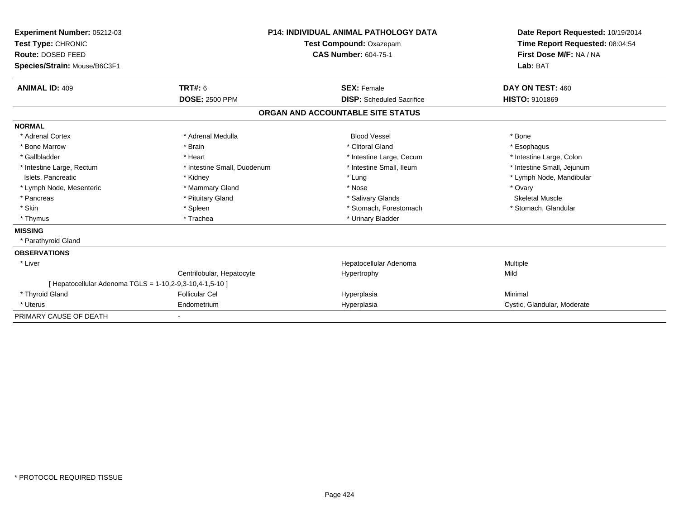| Experiment Number: 05212-03<br>Test Type: CHRONIC<br>Route: DOSED FEED<br>Species/Strain: Mouse/B6C3F1 |                             | <b>P14: INDIVIDUAL ANIMAL PATHOLOGY DATA</b><br>Test Compound: Oxazepam<br><b>CAS Number: 604-75-1</b> | Date Report Requested: 10/19/2014<br>Time Report Requested: 08:04:54<br>First Dose M/F: NA / NA<br>Lab: BAT |
|--------------------------------------------------------------------------------------------------------|-----------------------------|--------------------------------------------------------------------------------------------------------|-------------------------------------------------------------------------------------------------------------|
| <b>ANIMAL ID: 409</b>                                                                                  | <b>TRT#: 6</b>              | <b>SEX: Female</b>                                                                                     | DAY ON TEST: 460                                                                                            |
|                                                                                                        | <b>DOSE: 2500 PPM</b>       | <b>DISP:</b> Scheduled Sacrifice                                                                       | <b>HISTO: 9101869</b>                                                                                       |
|                                                                                                        |                             | ORGAN AND ACCOUNTABLE SITE STATUS                                                                      |                                                                                                             |
| <b>NORMAL</b>                                                                                          |                             |                                                                                                        |                                                                                                             |
| * Adrenal Cortex                                                                                       | * Adrenal Medulla           | <b>Blood Vessel</b>                                                                                    | * Bone                                                                                                      |
| * Bone Marrow                                                                                          | * Brain                     | * Clitoral Gland                                                                                       | * Esophagus                                                                                                 |
| * Gallbladder                                                                                          | * Heart                     | * Intestine Large, Cecum                                                                               | * Intestine Large, Colon                                                                                    |
| * Intestine Large, Rectum                                                                              | * Intestine Small, Duodenum | * Intestine Small. Ileum                                                                               | * Intestine Small, Jejunum                                                                                  |
| Islets, Pancreatic                                                                                     | * Kidney                    | * Lung                                                                                                 | * Lymph Node, Mandibular                                                                                    |
| * Lymph Node, Mesenteric                                                                               | * Mammary Gland             | * Nose                                                                                                 | * Ovary                                                                                                     |
| * Pancreas                                                                                             | * Pituitary Gland           | * Salivary Glands                                                                                      | <b>Skeletal Muscle</b>                                                                                      |
| * Skin                                                                                                 | * Spleen                    | * Stomach, Forestomach                                                                                 | * Stomach, Glandular                                                                                        |
| * Thymus                                                                                               | * Trachea                   | * Urinary Bladder                                                                                      |                                                                                                             |
| <b>MISSING</b>                                                                                         |                             |                                                                                                        |                                                                                                             |
| * Parathyroid Gland                                                                                    |                             |                                                                                                        |                                                                                                             |
| <b>OBSERVATIONS</b>                                                                                    |                             |                                                                                                        |                                                                                                             |
| * Liver                                                                                                |                             | Hepatocellular Adenoma                                                                                 | Multiple                                                                                                    |
|                                                                                                        | Centrilobular, Hepatocyte   | Hypertrophy                                                                                            | Mild                                                                                                        |
| [ Hepatocellular Adenoma TGLS = 1-10,2-9,3-10,4-1,5-10 ]                                               |                             |                                                                                                        |                                                                                                             |
| * Thyroid Gland                                                                                        | <b>Follicular Cel</b>       | Hyperplasia                                                                                            | Minimal                                                                                                     |
| * Uterus                                                                                               | Endometrium                 | Hyperplasia                                                                                            | Cystic, Glandular, Moderate                                                                                 |
| PRIMARY CAUSE OF DEATH                                                                                 | $\blacksquare$              |                                                                                                        |                                                                                                             |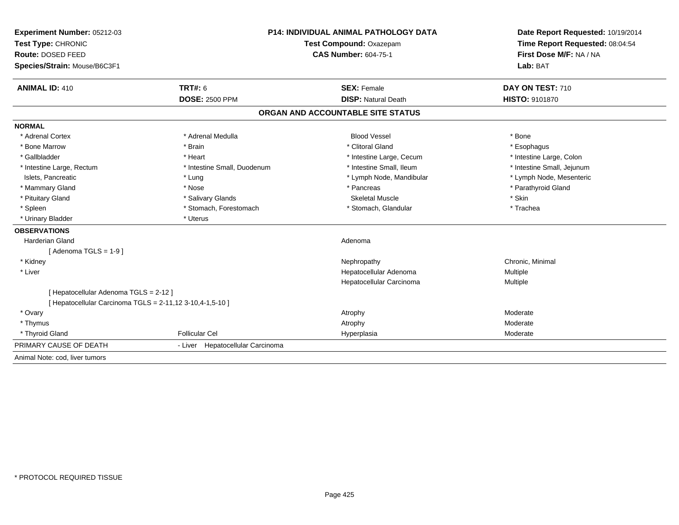| Experiment Number: 05212-03                               | <b>P14: INDIVIDUAL ANIMAL PATHOLOGY DATA</b> |                                   | Date Report Requested: 10/19/2014                          |  |
|-----------------------------------------------------------|----------------------------------------------|-----------------------------------|------------------------------------------------------------|--|
| Test Type: CHRONIC                                        |                                              | Test Compound: Oxazepam           |                                                            |  |
| Route: DOSED FEED                                         |                                              | <b>CAS Number: 604-75-1</b>       | Time Report Requested: 08:04:54<br>First Dose M/F: NA / NA |  |
| Species/Strain: Mouse/B6C3F1                              |                                              |                                   | Lab: BAT                                                   |  |
| <b>ANIMAL ID: 410</b>                                     | TRT#: 6                                      | <b>SEX: Female</b>                | DAY ON TEST: 710                                           |  |
|                                                           | <b>DOSE: 2500 PPM</b>                        | <b>DISP: Natural Death</b>        | HISTO: 9101870                                             |  |
|                                                           |                                              | ORGAN AND ACCOUNTABLE SITE STATUS |                                                            |  |
| <b>NORMAL</b>                                             |                                              |                                   |                                                            |  |
| * Adrenal Cortex                                          | * Adrenal Medulla                            | <b>Blood Vessel</b>               | * Bone                                                     |  |
| * Bone Marrow                                             | * Brain                                      | * Clitoral Gland                  | * Esophagus                                                |  |
| * Gallbladder                                             | * Heart                                      | * Intestine Large, Cecum          | * Intestine Large, Colon                                   |  |
| * Intestine Large, Rectum                                 | * Intestine Small, Duodenum                  | * Intestine Small, Ileum          | * Intestine Small, Jejunum                                 |  |
| Islets, Pancreatic                                        | * Lung                                       | * Lymph Node, Mandibular          | * Lymph Node, Mesenteric                                   |  |
| * Mammary Gland                                           | * Nose                                       | * Pancreas                        | * Parathyroid Gland                                        |  |
| * Pituitary Gland                                         | * Salivary Glands                            | <b>Skeletal Muscle</b>            | * Skin                                                     |  |
| * Spleen                                                  | * Stomach, Forestomach                       | * Stomach, Glandular              | * Trachea                                                  |  |
| * Urinary Bladder                                         | * Uterus                                     |                                   |                                                            |  |
| <b>OBSERVATIONS</b>                                       |                                              |                                   |                                                            |  |
| <b>Harderian Gland</b>                                    |                                              | Adenoma                           |                                                            |  |
| [Adenoma TGLS = $1-9$ ]                                   |                                              |                                   |                                                            |  |
| * Kidney                                                  |                                              | Nephropathy                       | Chronic, Minimal                                           |  |
| * Liver                                                   |                                              | Hepatocellular Adenoma            | Multiple                                                   |  |
|                                                           |                                              | Hepatocellular Carcinoma          | Multiple                                                   |  |
| [ Hepatocellular Adenoma TGLS = 2-12 ]                    |                                              |                                   |                                                            |  |
| [ Hepatocellular Carcinoma TGLS = 2-11,12 3-10,4-1,5-10 ] |                                              |                                   |                                                            |  |
| * Ovary                                                   |                                              | Atrophy                           | Moderate                                                   |  |
| * Thymus                                                  |                                              | Atrophy                           | Moderate                                                   |  |
| * Thyroid Gland                                           | <b>Follicular Cel</b>                        | Hyperplasia                       | Moderate                                                   |  |
| PRIMARY CAUSE OF DEATH                                    | - Liver Hepatocellular Carcinoma             |                                   |                                                            |  |
| Animal Note: cod. liver tumors                            |                                              |                                   |                                                            |  |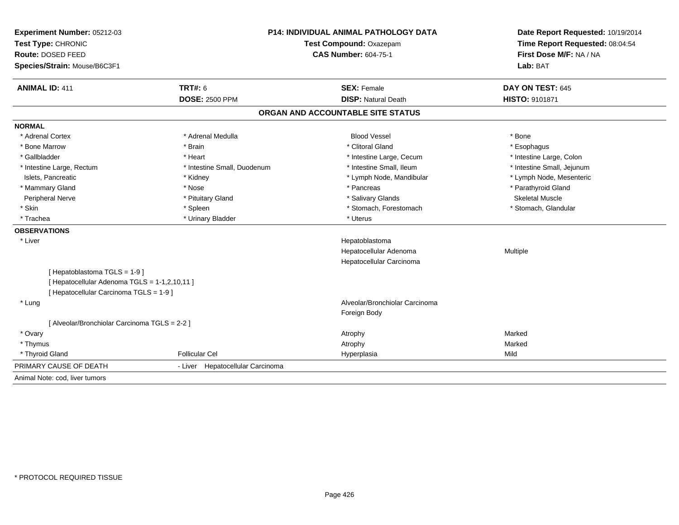| Experiment Number: 05212-03<br>Test Type: CHRONIC<br>Route: DOSED FEED<br>Species/Strain: Mouse/B6C3F1 |                                  | <b>P14: INDIVIDUAL ANIMAL PATHOLOGY DATA</b><br>Test Compound: Oxazepam<br><b>CAS Number: 604-75-1</b> | Date Report Requested: 10/19/2014<br>Time Report Requested: 08:04:54<br>First Dose M/F: NA / NA<br>Lab: BAT |
|--------------------------------------------------------------------------------------------------------|----------------------------------|--------------------------------------------------------------------------------------------------------|-------------------------------------------------------------------------------------------------------------|
| <b>ANIMAL ID: 411</b>                                                                                  | TRT#: 6                          | <b>SEX: Female</b>                                                                                     | DAY ON TEST: 645                                                                                            |
|                                                                                                        | <b>DOSE: 2500 PPM</b>            | <b>DISP: Natural Death</b>                                                                             | HISTO: 9101871                                                                                              |
|                                                                                                        |                                  | ORGAN AND ACCOUNTABLE SITE STATUS                                                                      |                                                                                                             |
| <b>NORMAL</b>                                                                                          |                                  |                                                                                                        |                                                                                                             |
| * Adrenal Cortex                                                                                       | * Adrenal Medulla                | <b>Blood Vessel</b>                                                                                    | * Bone                                                                                                      |
| * Bone Marrow                                                                                          | * Brain                          | * Clitoral Gland                                                                                       | * Esophagus                                                                                                 |
| * Gallbladder                                                                                          | * Heart                          | * Intestine Large, Cecum                                                                               | * Intestine Large, Colon                                                                                    |
| * Intestine Large, Rectum                                                                              | * Intestine Small, Duodenum      | * Intestine Small, Ileum                                                                               | * Intestine Small, Jejunum                                                                                  |
| Islets, Pancreatic                                                                                     | * Kidney                         | * Lymph Node, Mandibular                                                                               | * Lymph Node, Mesenteric                                                                                    |
| * Mammary Gland                                                                                        | * Nose                           | * Pancreas                                                                                             | * Parathyroid Gland                                                                                         |
| Peripheral Nerve                                                                                       | * Pituitary Gland                | * Salivary Glands                                                                                      | <b>Skeletal Muscle</b>                                                                                      |
| * Skin                                                                                                 | * Spleen                         | * Stomach, Forestomach                                                                                 | * Stomach, Glandular                                                                                        |
| * Trachea                                                                                              | * Urinary Bladder                | * Uterus                                                                                               |                                                                                                             |
| <b>OBSERVATIONS</b>                                                                                    |                                  |                                                                                                        |                                                                                                             |
| * Liver                                                                                                |                                  | Hepatoblastoma                                                                                         |                                                                                                             |
|                                                                                                        |                                  | Hepatocellular Adenoma                                                                                 | Multiple                                                                                                    |
|                                                                                                        |                                  | Hepatocellular Carcinoma                                                                               |                                                                                                             |
| [Hepatoblastoma TGLS = 1-9]                                                                            |                                  |                                                                                                        |                                                                                                             |
| [ Hepatocellular Adenoma TGLS = 1-1,2,10,11 ]                                                          |                                  |                                                                                                        |                                                                                                             |
| [ Hepatocellular Carcinoma TGLS = 1-9 ]                                                                |                                  |                                                                                                        |                                                                                                             |
| * Lung                                                                                                 |                                  | Alveolar/Bronchiolar Carcinoma                                                                         |                                                                                                             |
|                                                                                                        |                                  | Foreign Body                                                                                           |                                                                                                             |
| [ Alveolar/Bronchiolar Carcinoma TGLS = 2-2 ]                                                          |                                  |                                                                                                        |                                                                                                             |
| * Ovary                                                                                                |                                  | Atrophy                                                                                                | Marked                                                                                                      |
| * Thymus                                                                                               |                                  | Atrophy                                                                                                | Marked                                                                                                      |
| * Thyroid Gland                                                                                        | <b>Follicular Cel</b>            | Hyperplasia                                                                                            | Mild                                                                                                        |
| PRIMARY CAUSE OF DEATH                                                                                 | - Liver Hepatocellular Carcinoma |                                                                                                        |                                                                                                             |
| Animal Note: cod, liver tumors                                                                         |                                  |                                                                                                        |                                                                                                             |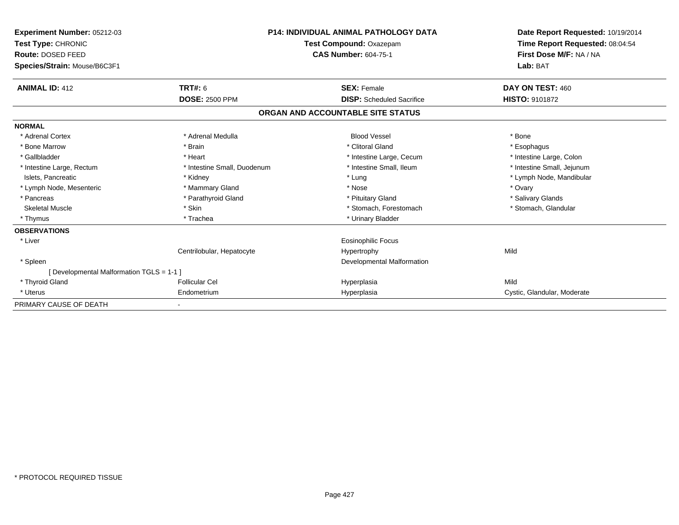| Experiment Number: 05212-03<br>Test Type: CHRONIC<br><b>Route: DOSED FEED</b><br>Species/Strain: Mouse/B6C3F1 |                             | <b>P14: INDIVIDUAL ANIMAL PATHOLOGY DATA</b><br>Test Compound: Oxazepam<br><b>CAS Number: 604-75-1</b> | Date Report Requested: 10/19/2014<br>Time Report Requested: 08:04:54<br>First Dose M/F: NA / NA<br>Lab: BAT |
|---------------------------------------------------------------------------------------------------------------|-----------------------------|--------------------------------------------------------------------------------------------------------|-------------------------------------------------------------------------------------------------------------|
| <b>ANIMAL ID: 412</b>                                                                                         | TRT#: 6                     | <b>SEX: Female</b>                                                                                     | DAY ON TEST: 460                                                                                            |
|                                                                                                               | <b>DOSE: 2500 PPM</b>       | <b>DISP:</b> Scheduled Sacrifice                                                                       | <b>HISTO: 9101872</b>                                                                                       |
|                                                                                                               |                             | ORGAN AND ACCOUNTABLE SITE STATUS                                                                      |                                                                                                             |
| <b>NORMAL</b>                                                                                                 |                             |                                                                                                        |                                                                                                             |
| * Adrenal Cortex                                                                                              | * Adrenal Medulla           | <b>Blood Vessel</b>                                                                                    | * Bone                                                                                                      |
| * Bone Marrow                                                                                                 | * Brain                     | * Clitoral Gland                                                                                       | * Esophagus                                                                                                 |
| * Gallbladder                                                                                                 | * Heart                     | * Intestine Large, Cecum                                                                               | * Intestine Large, Colon                                                                                    |
| * Intestine Large, Rectum                                                                                     | * Intestine Small, Duodenum | * Intestine Small, Ileum                                                                               | * Intestine Small, Jejunum                                                                                  |
| Islets, Pancreatic                                                                                            | * Kidney                    | * Lung                                                                                                 | * Lymph Node, Mandibular                                                                                    |
| * Lymph Node, Mesenteric                                                                                      | * Mammary Gland             | * Nose                                                                                                 | * Ovary                                                                                                     |
| * Pancreas                                                                                                    | * Parathyroid Gland         | * Pituitary Gland                                                                                      | * Salivary Glands                                                                                           |
| <b>Skeletal Muscle</b>                                                                                        | * Skin                      | * Stomach, Forestomach                                                                                 | * Stomach, Glandular                                                                                        |
| * Thymus                                                                                                      | * Trachea                   | * Urinary Bladder                                                                                      |                                                                                                             |
| <b>OBSERVATIONS</b>                                                                                           |                             |                                                                                                        |                                                                                                             |
| * Liver                                                                                                       |                             | Eosinophilic Focus                                                                                     |                                                                                                             |
|                                                                                                               | Centrilobular, Hepatocyte   | Hypertrophy                                                                                            | Mild                                                                                                        |
| * Spleen                                                                                                      |                             | <b>Developmental Malformation</b>                                                                      |                                                                                                             |
| [ Developmental Malformation TGLS = 1-1 ]                                                                     |                             |                                                                                                        |                                                                                                             |
| * Thyroid Gland                                                                                               | <b>Follicular Cel</b>       | Hyperplasia                                                                                            | Mild                                                                                                        |
| * Uterus                                                                                                      | Endometrium                 | Hyperplasia                                                                                            | Cystic, Glandular, Moderate                                                                                 |
| PRIMARY CAUSE OF DEATH                                                                                        |                             |                                                                                                        |                                                                                                             |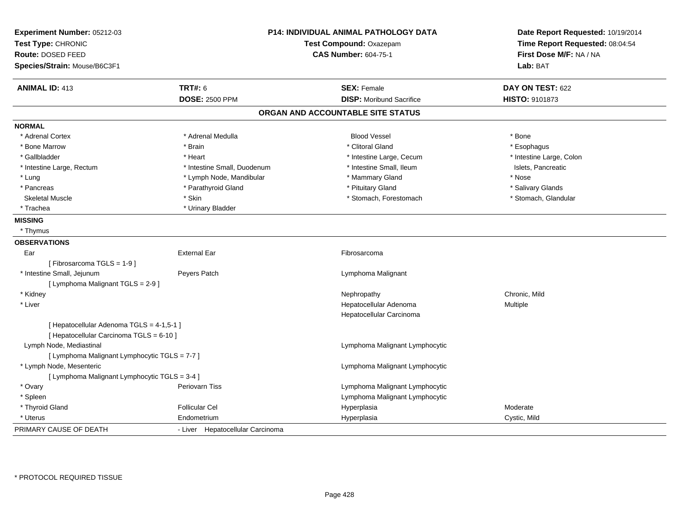| Experiment Number: 05212-03                   |                                  | P14: INDIVIDUAL ANIMAL PATHOLOGY DATA | Date Report Requested: 10/19/2014 |
|-----------------------------------------------|----------------------------------|---------------------------------------|-----------------------------------|
| Test Type: CHRONIC                            |                                  | Test Compound: Oxazepam               | Time Report Requested: 08:04:54   |
| Route: DOSED FEED                             |                                  | <b>CAS Number: 604-75-1</b>           | First Dose M/F: NA / NA           |
| Species/Strain: Mouse/B6C3F1                  |                                  |                                       | Lab: BAT                          |
| <b>ANIMAL ID: 413</b>                         | <b>TRT#: 6</b>                   | <b>SEX: Female</b>                    | DAY ON TEST: 622                  |
|                                               | <b>DOSE: 2500 PPM</b>            | <b>DISP: Moribund Sacrifice</b>       | HISTO: 9101873                    |
|                                               |                                  | ORGAN AND ACCOUNTABLE SITE STATUS     |                                   |
| <b>NORMAL</b>                                 |                                  |                                       |                                   |
| * Adrenal Cortex                              | * Adrenal Medulla                | <b>Blood Vessel</b>                   | * Bone                            |
| * Bone Marrow                                 | * Brain                          | * Clitoral Gland                      | * Esophagus                       |
| * Gallbladder                                 | * Heart                          | * Intestine Large, Cecum              | * Intestine Large, Colon          |
| * Intestine Large, Rectum                     | * Intestine Small, Duodenum      | * Intestine Small, Ileum              | Islets, Pancreatic                |
| * Lung                                        | * Lymph Node, Mandibular         | * Mammary Gland                       | * Nose                            |
| * Pancreas                                    | * Parathyroid Gland              | * Pituitary Gland                     | * Salivary Glands                 |
| <b>Skeletal Muscle</b>                        | * Skin                           | * Stomach, Forestomach                | * Stomach, Glandular              |
| * Trachea                                     | * Urinary Bladder                |                                       |                                   |
| <b>MISSING</b>                                |                                  |                                       |                                   |
| * Thymus                                      |                                  |                                       |                                   |
| <b>OBSERVATIONS</b>                           |                                  |                                       |                                   |
| Ear                                           | <b>External Ear</b>              | Fibrosarcoma                          |                                   |
| [Fibrosarcoma TGLS = 1-9]                     |                                  |                                       |                                   |
| * Intestine Small, Jejunum                    | Peyers Patch                     | Lymphoma Malignant                    |                                   |
| [ Lymphoma Malignant TGLS = 2-9 ]             |                                  |                                       |                                   |
| * Kidney                                      |                                  | Nephropathy                           | Chronic. Mild                     |
| * Liver                                       |                                  | Hepatocellular Adenoma                | Multiple                          |
|                                               |                                  | Hepatocellular Carcinoma              |                                   |
| [ Hepatocellular Adenoma TGLS = 4-1,5-1 ]     |                                  |                                       |                                   |
| [ Hepatocellular Carcinoma TGLS = 6-10 ]      |                                  |                                       |                                   |
| Lymph Node, Mediastinal                       |                                  | Lymphoma Malignant Lymphocytic        |                                   |
| [ Lymphoma Malignant Lymphocytic TGLS = 7-7 ] |                                  |                                       |                                   |
| * Lymph Node, Mesenteric                      |                                  | Lymphoma Malignant Lymphocytic        |                                   |
| [ Lymphoma Malignant Lymphocytic TGLS = 3-4 ] |                                  |                                       |                                   |
| * Ovary                                       | Periovarn Tiss                   | Lymphoma Malignant Lymphocytic        |                                   |
| * Spleen                                      |                                  | Lymphoma Malignant Lymphocytic        |                                   |
| * Thyroid Gland                               | <b>Follicular Cel</b>            | Hyperplasia                           | Moderate                          |
| * Uterus                                      | Endometrium                      | Hyperplasia                           | Cystic, Mild                      |
| PRIMARY CAUSE OF DEATH                        | - Liver Hepatocellular Carcinoma |                                       |                                   |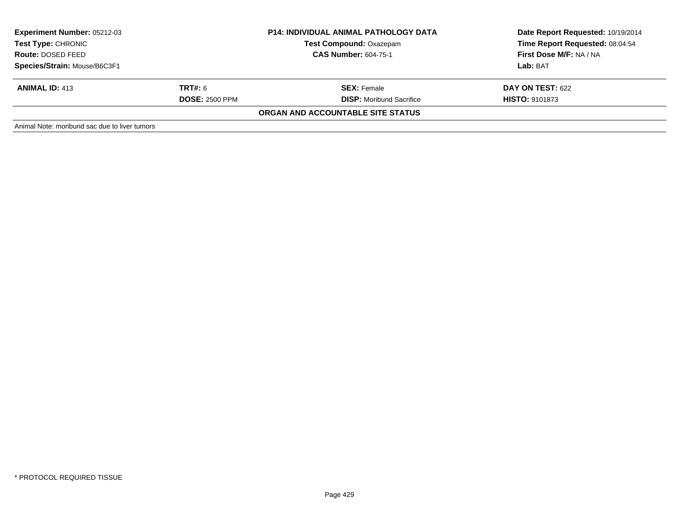| <b>Experiment Number: 05212-03</b><br><b>Test Type: CHRONIC</b><br>Route: DOSED FEED |                       | <b>P14: INDIVIDUAL ANIMAL PATHOLOGY DATA</b> | Date Report Requested: 10/19/2014 |  |
|--------------------------------------------------------------------------------------|-----------------------|----------------------------------------------|-----------------------------------|--|
|                                                                                      |                       | <b>Test Compound: Oxazepam</b>               | Time Report Requested: 08:04:54   |  |
|                                                                                      |                       | <b>CAS Number: 604-75-1</b>                  | First Dose M/F: NA / NA           |  |
| Species/Strain: Mouse/B6C3F1                                                         |                       |                                              | Lab: BAT                          |  |
| <b>ANIMAL ID: 413</b>                                                                | TRT#: 6               | <b>SEX:</b> Female                           | <b>DAY ON TEST: 622</b>           |  |
|                                                                                      | <b>DOSE: 2500 PPM</b> | <b>DISP:</b> Moribund Sacrifice              | <b>HISTO: 9101873</b>             |  |
|                                                                                      |                       | ORGAN AND ACCOUNTABLE SITE STATUS            |                                   |  |
| Animal Note: moribund sac due to liver tumors                                        |                       |                                              |                                   |  |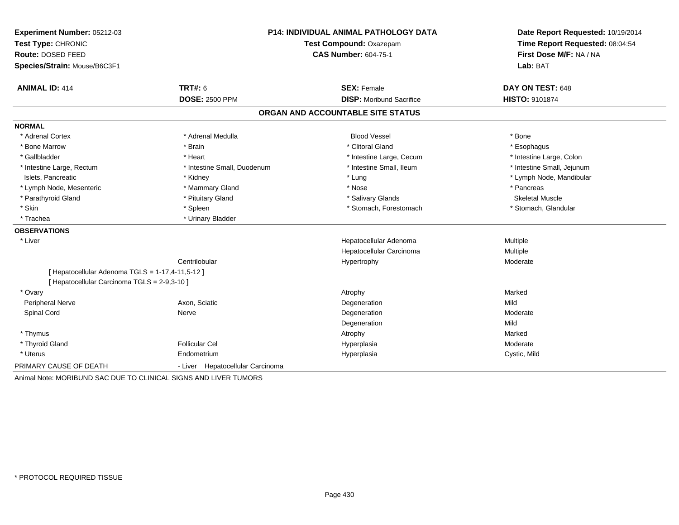| Experiment Number: 05212-03<br>Test Type: CHRONIC<br>Route: DOSED FEED                           | P14: INDIVIDUAL ANIMAL PATHOLOGY DATA<br>Test Compound: Oxazepam<br><b>CAS Number: 604-75-1</b> |                                   | Date Report Requested: 10/19/2014<br>Time Report Requested: 08:04:54<br>First Dose M/F: NA / NA |
|--------------------------------------------------------------------------------------------------|-------------------------------------------------------------------------------------------------|-----------------------------------|-------------------------------------------------------------------------------------------------|
| Species/Strain: Mouse/B6C3F1                                                                     |                                                                                                 |                                   | Lab: BAT                                                                                        |
| <b>ANIMAL ID: 414</b>                                                                            | <b>TRT#: 6</b>                                                                                  | <b>SEX: Female</b>                | DAY ON TEST: 648                                                                                |
|                                                                                                  | <b>DOSE: 2500 PPM</b>                                                                           | <b>DISP:</b> Moribund Sacrifice   | HISTO: 9101874                                                                                  |
|                                                                                                  |                                                                                                 | ORGAN AND ACCOUNTABLE SITE STATUS |                                                                                                 |
| <b>NORMAL</b>                                                                                    |                                                                                                 |                                   |                                                                                                 |
| * Adrenal Cortex                                                                                 | * Adrenal Medulla                                                                               | <b>Blood Vessel</b>               | * Bone                                                                                          |
| * Bone Marrow                                                                                    | * Brain                                                                                         | * Clitoral Gland                  | * Esophagus                                                                                     |
| * Gallbladder                                                                                    | * Heart                                                                                         | * Intestine Large, Cecum          | * Intestine Large, Colon                                                                        |
| * Intestine Large, Rectum                                                                        | * Intestine Small, Duodenum                                                                     | * Intestine Small, Ileum          | * Intestine Small, Jejunum                                                                      |
| Islets, Pancreatic                                                                               | * Kidney                                                                                        | * Lung                            | * Lymph Node, Mandibular                                                                        |
| * Lymph Node, Mesenteric                                                                         | * Mammary Gland                                                                                 | * Nose                            | * Pancreas                                                                                      |
| * Parathyroid Gland                                                                              | * Pituitary Gland                                                                               | * Salivary Glands                 | Skeletal Muscle                                                                                 |
| * Skin                                                                                           | * Spleen                                                                                        | * Stomach, Forestomach            | * Stomach, Glandular                                                                            |
| * Trachea                                                                                        | * Urinary Bladder                                                                               |                                   |                                                                                                 |
| <b>OBSERVATIONS</b>                                                                              |                                                                                                 |                                   |                                                                                                 |
| * Liver                                                                                          |                                                                                                 | Hepatocellular Adenoma            | Multiple                                                                                        |
|                                                                                                  |                                                                                                 | Hepatocellular Carcinoma          | Multiple                                                                                        |
|                                                                                                  | Centrilobular                                                                                   | Hypertrophy                       | Moderate                                                                                        |
| [ Hepatocellular Adenoma TGLS = 1-17,4-11,5-12 ]<br>[ Hepatocellular Carcinoma TGLS = 2-9,3-10 ] |                                                                                                 |                                   |                                                                                                 |
| * Ovary                                                                                          |                                                                                                 | Atrophy                           | Marked                                                                                          |
| <b>Peripheral Nerve</b>                                                                          | Axon. Sciatic                                                                                   | Degeneration                      | Mild                                                                                            |
| Spinal Cord                                                                                      | Nerve                                                                                           | Degeneration                      | Moderate                                                                                        |
|                                                                                                  |                                                                                                 | Degeneration                      | Mild                                                                                            |
| * Thymus                                                                                         |                                                                                                 | Atrophy                           | Marked                                                                                          |
| * Thyroid Gland                                                                                  | <b>Follicular Cel</b>                                                                           | Hyperplasia                       | Moderate                                                                                        |
| * Uterus                                                                                         | Endometrium                                                                                     | Hyperplasia                       | Cystic, Mild                                                                                    |
| PRIMARY CAUSE OF DEATH                                                                           | - Liver Hepatocellular Carcinoma                                                                |                                   |                                                                                                 |
| Animal Note: MORIBUND SAC DUE TO CLINICAL SIGNS AND LIVER TUMORS                                 |                                                                                                 |                                   |                                                                                                 |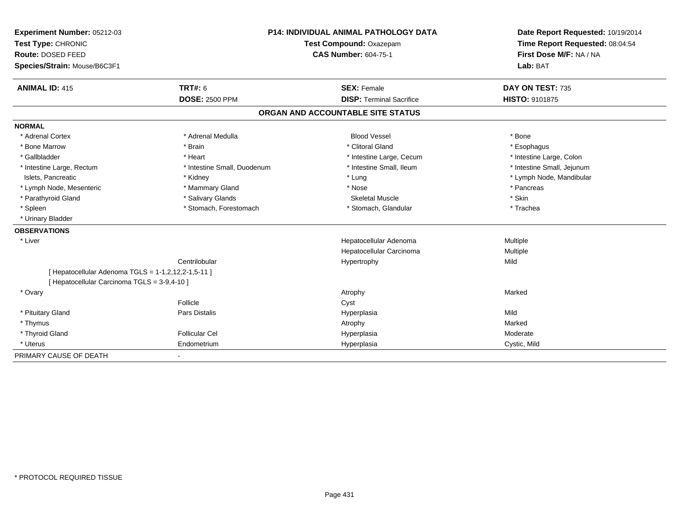| Experiment Number: 05212-03                         |                             | <b>P14: INDIVIDUAL ANIMAL PATHOLOGY DATA</b> |                                                            |
|-----------------------------------------------------|-----------------------------|----------------------------------------------|------------------------------------------------------------|
| Test Type: CHRONIC                                  |                             | Test Compound: Oxazepam                      | Time Report Requested: 08:04:54<br>First Dose M/F: NA / NA |
| Route: DOSED FEED                                   |                             | <b>CAS Number: 604-75-1</b>                  |                                                            |
| Species/Strain: Mouse/B6C3F1                        |                             |                                              | Lab: BAT                                                   |
| <b>ANIMAL ID: 415</b>                               | TRT#: 6                     | <b>SEX: Female</b>                           | DAY ON TEST: 735                                           |
|                                                     | <b>DOSE: 2500 PPM</b>       | <b>DISP: Terminal Sacrifice</b>              | <b>HISTO: 9101875</b>                                      |
|                                                     |                             | ORGAN AND ACCOUNTABLE SITE STATUS            |                                                            |
| <b>NORMAL</b>                                       |                             |                                              |                                                            |
| * Adrenal Cortex                                    | * Adrenal Medulla           | <b>Blood Vessel</b>                          | * Bone                                                     |
| * Bone Marrow                                       | * Brain                     | * Clitoral Gland                             | * Esophagus                                                |
| * Gallbladder                                       | * Heart                     | * Intestine Large, Cecum                     | * Intestine Large, Colon                                   |
| * Intestine Large, Rectum                           | * Intestine Small, Duodenum | * Intestine Small, Ileum                     | * Intestine Small, Jejunum                                 |
| Islets, Pancreatic                                  | * Kidney                    | * Lung                                       | * Lymph Node, Mandibular                                   |
| * Lymph Node, Mesenteric                            | * Mammary Gland             | * Nose                                       | * Pancreas                                                 |
| * Parathyroid Gland                                 | * Salivary Glands           | <b>Skeletal Muscle</b>                       | * Skin                                                     |
| * Spleen                                            | * Stomach, Forestomach      | * Stomach, Glandular                         | * Trachea                                                  |
| * Urinary Bladder                                   |                             |                                              |                                                            |
| <b>OBSERVATIONS</b>                                 |                             |                                              |                                                            |
| * Liver                                             |                             | Hepatocellular Adenoma                       | Multiple                                                   |
|                                                     |                             | Hepatocellular Carcinoma                     | Multiple                                                   |
|                                                     | Centrilobular               | Hypertrophy                                  | Mild                                                       |
| [ Hepatocellular Adenoma TGLS = 1-1,2,12,2-1,5-11 ] |                             |                                              |                                                            |
| [ Hepatocellular Carcinoma TGLS = 3-9,4-10 ]        |                             |                                              |                                                            |
| * Ovary                                             |                             | Atrophy                                      | Marked                                                     |
|                                                     | Follicle                    | Cyst                                         |                                                            |
| * Pituitary Gland                                   | Pars Distalis               | Hyperplasia                                  | Mild                                                       |
| * Thymus                                            |                             | Atrophy                                      | Marked                                                     |
| * Thyroid Gland                                     | <b>Follicular Cel</b>       | Hyperplasia                                  | Moderate                                                   |
| * Uterus                                            | Endometrium                 | Hyperplasia                                  | Cystic, Mild                                               |
| PRIMARY CAUSE OF DEATH                              |                             |                                              |                                                            |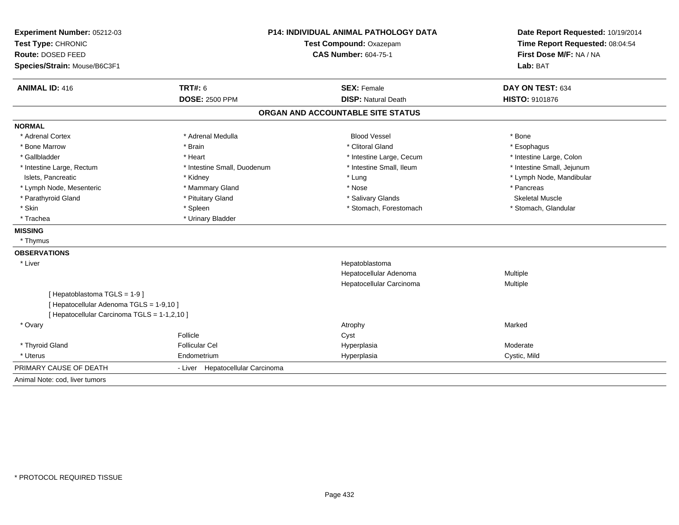| Experiment Number: 05212-03<br>Test Type: CHRONIC | P14: INDIVIDUAL ANIMAL PATHOLOGY DATA<br>Test Compound: Oxazepam |                                   | Date Report Requested: 10/19/2014<br>Time Report Requested: 08:04:54 |  |
|---------------------------------------------------|------------------------------------------------------------------|-----------------------------------|----------------------------------------------------------------------|--|
| Route: DOSED FEED                                 |                                                                  | <b>CAS Number: 604-75-1</b>       |                                                                      |  |
| Species/Strain: Mouse/B6C3F1                      |                                                                  |                                   | First Dose M/F: NA / NA<br>Lab: BAT                                  |  |
| <b>ANIMAL ID: 416</b>                             | <b>TRT#: 6</b>                                                   | <b>SEX: Female</b>                | DAY ON TEST: 634                                                     |  |
|                                                   | <b>DOSE: 2500 PPM</b>                                            | <b>DISP: Natural Death</b>        | HISTO: 9101876                                                       |  |
|                                                   |                                                                  | ORGAN AND ACCOUNTABLE SITE STATUS |                                                                      |  |
| <b>NORMAL</b>                                     |                                                                  |                                   |                                                                      |  |
| * Adrenal Cortex                                  | * Adrenal Medulla                                                | <b>Blood Vessel</b>               | * Bone                                                               |  |
| * Bone Marrow                                     | * Brain                                                          | * Clitoral Gland                  | * Esophagus                                                          |  |
| * Gallbladder                                     | * Heart                                                          | * Intestine Large, Cecum          | * Intestine Large, Colon                                             |  |
| * Intestine Large, Rectum                         | * Intestine Small, Duodenum                                      | * Intestine Small, Ileum          | * Intestine Small, Jejunum                                           |  |
| Islets. Pancreatic                                | * Kidney                                                         | * Lung                            | * Lymph Node, Mandibular                                             |  |
| * Lymph Node, Mesenteric                          | * Mammary Gland                                                  | * Nose                            | * Pancreas                                                           |  |
| * Parathyroid Gland                               | * Pituitary Gland                                                | * Salivary Glands                 | <b>Skeletal Muscle</b>                                               |  |
| * Skin                                            | * Spleen                                                         | * Stomach, Forestomach            | * Stomach, Glandular                                                 |  |
| * Trachea                                         | * Urinary Bladder                                                |                                   |                                                                      |  |
| <b>MISSING</b>                                    |                                                                  |                                   |                                                                      |  |
| * Thymus                                          |                                                                  |                                   |                                                                      |  |
| <b>OBSERVATIONS</b>                               |                                                                  |                                   |                                                                      |  |
| * Liver                                           |                                                                  | Hepatoblastoma                    |                                                                      |  |
|                                                   |                                                                  | Hepatocellular Adenoma            | Multiple                                                             |  |
|                                                   |                                                                  | Hepatocellular Carcinoma          | Multiple                                                             |  |
| [Hepatoblastoma TGLS = 1-9]                       |                                                                  |                                   |                                                                      |  |
| [ Hepatocellular Adenoma TGLS = 1-9,10 ]          |                                                                  |                                   |                                                                      |  |
| [ Hepatocellular Carcinoma TGLS = 1-1,2,10 ]      |                                                                  |                                   |                                                                      |  |
| * Ovary                                           |                                                                  | Atrophy                           | Marked                                                               |  |
|                                                   | Follicle                                                         | Cyst                              |                                                                      |  |
| * Thyroid Gland                                   | <b>Follicular Cel</b>                                            | Hyperplasia                       | Moderate                                                             |  |
| * Uterus                                          | Endometrium                                                      | Hyperplasia                       | Cystic, Mild                                                         |  |
| PRIMARY CAUSE OF DEATH                            | - Liver Hepatocellular Carcinoma                                 |                                   |                                                                      |  |
| Animal Note: cod, liver tumors                    |                                                                  |                                   |                                                                      |  |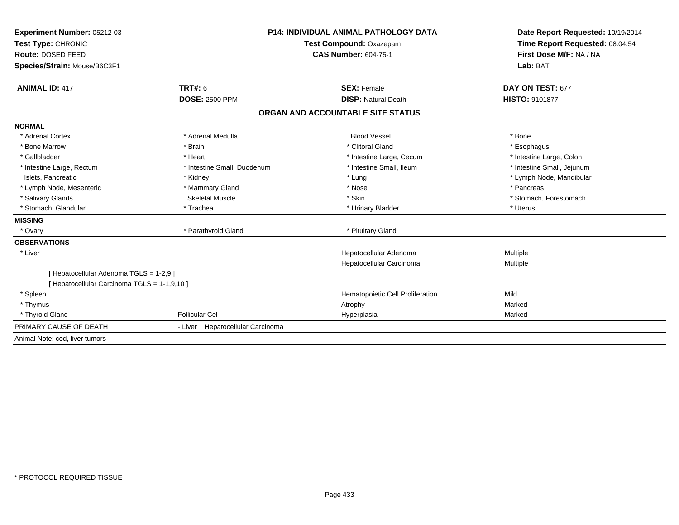| Experiment Number: 05212-03<br>Test Type: CHRONIC |                                  | <b>P14: INDIVIDUAL ANIMAL PATHOLOGY DATA</b> | Date Report Requested: 10/19/2014<br>Time Report Requested: 08:04:54 |  |
|---------------------------------------------------|----------------------------------|----------------------------------------------|----------------------------------------------------------------------|--|
|                                                   |                                  | <b>Test Compound: Oxazepam</b>               |                                                                      |  |
| Route: DOSED FEED                                 |                                  | <b>CAS Number: 604-75-1</b>                  | First Dose M/F: NA / NA                                              |  |
| Species/Strain: Mouse/B6C3F1                      |                                  |                                              | Lab: BAT                                                             |  |
| <b>ANIMAL ID: 417</b>                             | <b>TRT#: 6</b>                   | <b>SEX: Female</b>                           | DAY ON TEST: 677                                                     |  |
|                                                   | <b>DOSE: 2500 PPM</b>            | <b>DISP: Natural Death</b>                   | <b>HISTO: 9101877</b>                                                |  |
|                                                   |                                  | ORGAN AND ACCOUNTABLE SITE STATUS            |                                                                      |  |
| <b>NORMAL</b>                                     |                                  |                                              |                                                                      |  |
| * Adrenal Cortex                                  | * Adrenal Medulla                | <b>Blood Vessel</b>                          | * Bone                                                               |  |
| * Bone Marrow                                     | * Brain                          | * Clitoral Gland                             | * Esophagus                                                          |  |
| * Gallbladder                                     | * Heart                          | * Intestine Large, Cecum                     | * Intestine Large, Colon                                             |  |
| * Intestine Large, Rectum                         | * Intestine Small, Duodenum      | * Intestine Small, Ileum                     | * Intestine Small, Jejunum                                           |  |
| Islets, Pancreatic                                | * Kidney                         | * Lung                                       | * Lymph Node, Mandibular                                             |  |
| * Lymph Node, Mesenteric                          | * Mammary Gland                  | * Nose                                       | * Pancreas                                                           |  |
| * Salivary Glands                                 | <b>Skeletal Muscle</b>           | * Skin                                       | * Stomach, Forestomach                                               |  |
| * Stomach, Glandular                              | * Trachea                        | * Urinary Bladder                            | * Uterus                                                             |  |
| <b>MISSING</b>                                    |                                  |                                              |                                                                      |  |
| * Ovary                                           | * Parathyroid Gland              | * Pituitary Gland                            |                                                                      |  |
| <b>OBSERVATIONS</b>                               |                                  |                                              |                                                                      |  |
| * Liver                                           |                                  | Hepatocellular Adenoma                       | Multiple                                                             |  |
|                                                   |                                  | Hepatocellular Carcinoma                     | Multiple                                                             |  |
| [ Hepatocellular Adenoma TGLS = 1-2,9 ]           |                                  |                                              |                                                                      |  |
| [ Hepatocellular Carcinoma TGLS = 1-1,9,10 ]      |                                  |                                              |                                                                      |  |
| * Spleen                                          |                                  | Hematopoietic Cell Proliferation             | Mild                                                                 |  |
| * Thymus                                          |                                  | Atrophy                                      | Marked                                                               |  |
| * Thyroid Gland                                   | <b>Follicular Cel</b>            | Hyperplasia                                  | Marked                                                               |  |
| PRIMARY CAUSE OF DEATH                            | - Liver Hepatocellular Carcinoma |                                              |                                                                      |  |
| Animal Note: cod, liver tumors                    |                                  |                                              |                                                                      |  |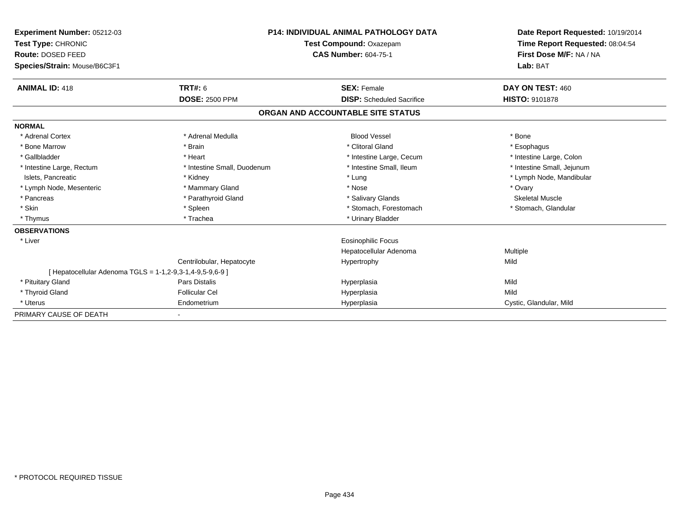| Experiment Number: 05212-03<br>Test Type: CHRONIC         |                             | <b>P14: INDIVIDUAL ANIMAL PATHOLOGY DATA</b><br>Test Compound: Oxazepam | Date Report Requested: 10/19/2014<br>Time Report Requested: 08:04:54 |
|-----------------------------------------------------------|-----------------------------|-------------------------------------------------------------------------|----------------------------------------------------------------------|
| Route: DOSED FEED<br>Species/Strain: Mouse/B6C3F1         |                             | <b>CAS Number: 604-75-1</b>                                             | First Dose M/F: NA / NA<br>Lab: BAT                                  |
|                                                           |                             |                                                                         |                                                                      |
| <b>ANIMAL ID: 418</b>                                     | TRT#: 6                     | <b>SEX: Female</b>                                                      | DAY ON TEST: 460                                                     |
|                                                           | <b>DOSE: 2500 PPM</b>       | <b>DISP:</b> Scheduled Sacrifice                                        | <b>HISTO: 9101878</b>                                                |
|                                                           |                             | ORGAN AND ACCOUNTABLE SITE STATUS                                       |                                                                      |
| <b>NORMAL</b>                                             |                             |                                                                         |                                                                      |
| * Adrenal Cortex                                          | * Adrenal Medulla           | <b>Blood Vessel</b>                                                     | * Bone                                                               |
| * Bone Marrow                                             | * Brain                     | * Clitoral Gland                                                        | * Esophagus                                                          |
| * Gallbladder                                             | * Heart                     | * Intestine Large, Cecum                                                | * Intestine Large, Colon                                             |
| * Intestine Large, Rectum                                 | * Intestine Small, Duodenum | * Intestine Small, Ileum                                                | * Intestine Small, Jejunum                                           |
| Islets, Pancreatic                                        | * Kidney                    | * Lung                                                                  | * Lymph Node, Mandibular                                             |
| * Lymph Node, Mesenteric                                  | * Mammary Gland             | * Nose                                                                  | * Ovary                                                              |
| * Pancreas                                                | * Parathyroid Gland         | * Salivary Glands                                                       | <b>Skeletal Muscle</b>                                               |
| * Skin                                                    | * Spleen                    | * Stomach, Forestomach                                                  | * Stomach, Glandular                                                 |
| * Thymus                                                  | * Trachea                   | * Urinary Bladder                                                       |                                                                      |
| <b>OBSERVATIONS</b>                                       |                             |                                                                         |                                                                      |
| * Liver                                                   |                             | <b>Eosinophilic Focus</b>                                               |                                                                      |
|                                                           |                             | Hepatocellular Adenoma                                                  | <b>Multiple</b>                                                      |
|                                                           | Centrilobular, Hepatocyte   | Hypertrophy                                                             | Mild                                                                 |
| [ Hepatocellular Adenoma TGLS = 1-1,2-9,3-1,4-9,5-9,6-9 ] |                             |                                                                         |                                                                      |
| * Pituitary Gland                                         | <b>Pars Distalis</b>        | Hyperplasia                                                             | Mild                                                                 |
| * Thyroid Gland                                           | <b>Follicular Cel</b>       | Hyperplasia                                                             | Mild                                                                 |
| * Uterus                                                  | Endometrium                 | Hyperplasia                                                             | Cystic, Glandular, Mild                                              |
| PRIMARY CAUSE OF DEATH                                    |                             |                                                                         |                                                                      |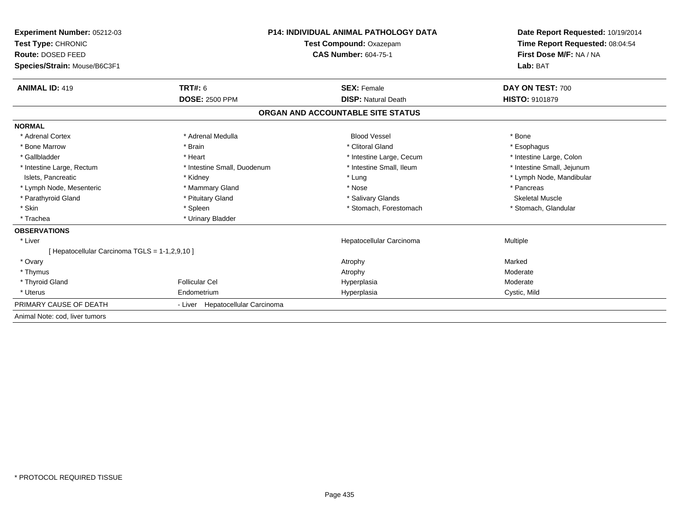| Experiment Number: 05212-03                    |                                                        | <b>P14: INDIVIDUAL ANIMAL PATHOLOGY DATA</b> |                                                                                                 |
|------------------------------------------------|--------------------------------------------------------|----------------------------------------------|-------------------------------------------------------------------------------------------------|
| Test Type: CHRONIC                             | Test Compound: Oxazepam<br><b>CAS Number: 604-75-1</b> |                                              | Date Report Requested: 10/19/2014<br>Time Report Requested: 08:04:54<br>First Dose M/F: NA / NA |
| Route: DOSED FEED                              |                                                        |                                              |                                                                                                 |
| Species/Strain: Mouse/B6C3F1                   |                                                        |                                              | Lab: BAT                                                                                        |
| <b>ANIMAL ID: 419</b>                          | TRT#: 6                                                | <b>SEX: Female</b>                           | DAY ON TEST: 700                                                                                |
|                                                | <b>DOSE: 2500 PPM</b>                                  | <b>DISP: Natural Death</b>                   | <b>HISTO: 9101879</b>                                                                           |
|                                                |                                                        | ORGAN AND ACCOUNTABLE SITE STATUS            |                                                                                                 |
| <b>NORMAL</b>                                  |                                                        |                                              |                                                                                                 |
| * Adrenal Cortex                               | * Adrenal Medulla                                      | <b>Blood Vessel</b>                          | * Bone                                                                                          |
| * Bone Marrow                                  | * Brain                                                | * Clitoral Gland                             | * Esophagus                                                                                     |
| * Gallbladder                                  | * Heart                                                | * Intestine Large, Cecum                     | * Intestine Large, Colon                                                                        |
| * Intestine Large, Rectum                      | * Intestine Small, Duodenum                            | * Intestine Small, Ileum                     | * Intestine Small, Jejunum                                                                      |
| Islets, Pancreatic                             | * Kidney                                               | * Lung                                       | * Lymph Node, Mandibular                                                                        |
| * Lymph Node, Mesenteric                       | * Mammary Gland                                        | * Nose                                       | * Pancreas                                                                                      |
| * Parathyroid Gland                            | * Pituitary Gland                                      | * Salivary Glands                            | <b>Skeletal Muscle</b>                                                                          |
| * Skin                                         | * Spleen                                               | * Stomach, Forestomach                       | * Stomach, Glandular                                                                            |
| * Trachea                                      | * Urinary Bladder                                      |                                              |                                                                                                 |
| <b>OBSERVATIONS</b>                            |                                                        |                                              |                                                                                                 |
| * Liver                                        |                                                        | Hepatocellular Carcinoma                     | <b>Multiple</b>                                                                                 |
| [ Hepatocellular Carcinoma TGLS = 1-1,2,9,10 ] |                                                        |                                              |                                                                                                 |
| * Ovary                                        |                                                        | Atrophy                                      | Marked                                                                                          |
| * Thymus                                       |                                                        | Atrophy                                      | Moderate                                                                                        |
| * Thyroid Gland                                | <b>Follicular Cel</b>                                  | Hyperplasia                                  | Moderate                                                                                        |
| * Uterus                                       | Endometrium                                            | Hyperplasia                                  | Cystic, Mild                                                                                    |
| PRIMARY CAUSE OF DEATH                         | - Liver Hepatocellular Carcinoma                       |                                              |                                                                                                 |
| Animal Note: cod, liver tumors                 |                                                        |                                              |                                                                                                 |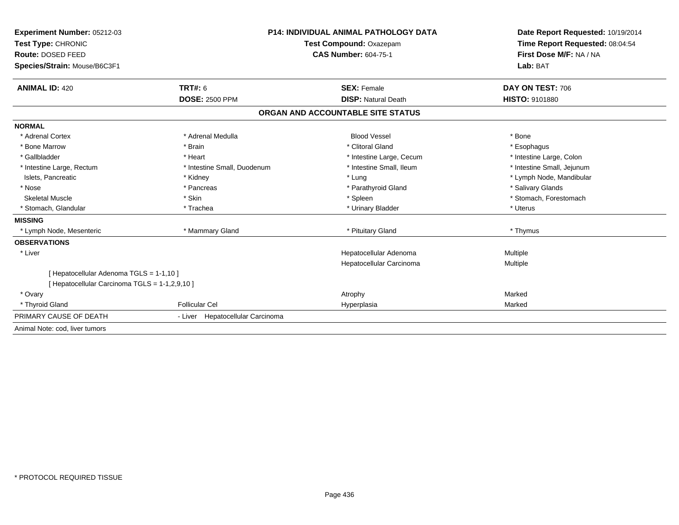| <b>Experiment Number: 05212-03</b><br>Test Type: CHRONIC |                                  | <b>P14: INDIVIDUAL ANIMAL PATHOLOGY DATA</b><br>Test Compound: Oxazepam | Date Report Requested: 10/19/2014<br>Time Report Requested: 08:04:54<br>First Dose M/F: NA / NA |
|----------------------------------------------------------|----------------------------------|-------------------------------------------------------------------------|-------------------------------------------------------------------------------------------------|
| Route: DOSED FEED                                        | <b>CAS Number: 604-75-1</b>      |                                                                         |                                                                                                 |
| Species/Strain: Mouse/B6C3F1                             |                                  |                                                                         | Lab: BAT                                                                                        |
| <b>ANIMAL ID: 420</b>                                    | <b>TRT#: 6</b>                   | <b>SEX: Female</b>                                                      | DAY ON TEST: 706                                                                                |
|                                                          | <b>DOSE: 2500 PPM</b>            | <b>DISP: Natural Death</b>                                              | <b>HISTO: 9101880</b>                                                                           |
|                                                          |                                  | ORGAN AND ACCOUNTABLE SITE STATUS                                       |                                                                                                 |
| <b>NORMAL</b>                                            |                                  |                                                                         |                                                                                                 |
| * Adrenal Cortex                                         | * Adrenal Medulla                | <b>Blood Vessel</b>                                                     | * Bone                                                                                          |
| * Bone Marrow                                            | * Brain                          | * Clitoral Gland                                                        | * Esophagus                                                                                     |
| * Gallbladder                                            | * Heart                          | * Intestine Large, Cecum                                                | * Intestine Large, Colon                                                                        |
| * Intestine Large, Rectum                                | * Intestine Small, Duodenum      | * Intestine Small, Ileum                                                | * Intestine Small, Jejunum                                                                      |
| Islets, Pancreatic                                       | * Kidney                         | * Lung                                                                  | * Lymph Node, Mandibular                                                                        |
| * Nose                                                   | * Pancreas                       | * Parathyroid Gland                                                     | * Salivary Glands                                                                               |
| <b>Skeletal Muscle</b>                                   | * Skin                           | * Spleen                                                                | * Stomach, Forestomach                                                                          |
| * Stomach, Glandular                                     | * Trachea                        | * Urinary Bladder                                                       | * Uterus                                                                                        |
| <b>MISSING</b>                                           |                                  |                                                                         |                                                                                                 |
| * Lymph Node, Mesenteric                                 | * Mammary Gland                  | * Pituitary Gland                                                       | * Thymus                                                                                        |
| <b>OBSERVATIONS</b>                                      |                                  |                                                                         |                                                                                                 |
| * Liver                                                  |                                  | Hepatocellular Adenoma                                                  | Multiple                                                                                        |
|                                                          |                                  | Hepatocellular Carcinoma                                                | Multiple                                                                                        |
| [ Hepatocellular Adenoma TGLS = 1-1,10 ]                 |                                  |                                                                         |                                                                                                 |
| [ Hepatocellular Carcinoma TGLS = 1-1,2,9,10 ]           |                                  |                                                                         |                                                                                                 |
| * Ovary                                                  |                                  | Atrophy                                                                 | Marked                                                                                          |
| * Thyroid Gland                                          | <b>Follicular Cel</b>            | Hyperplasia                                                             | Marked                                                                                          |
| PRIMARY CAUSE OF DEATH                                   | - Liver Hepatocellular Carcinoma |                                                                         |                                                                                                 |
| Animal Note: cod, liver tumors                           |                                  |                                                                         |                                                                                                 |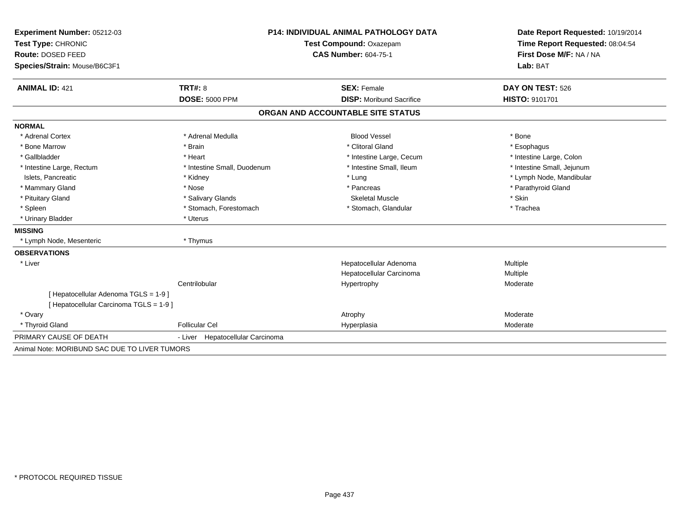| Experiment Number: 05212-03                   | <b>P14: INDIVIDUAL ANIMAL PATHOLOGY DATA</b><br>Test Compound: Oxazepam<br><b>CAS Number: 604-75-1</b> |                                   | Date Report Requested: 10/19/2014                          |  |
|-----------------------------------------------|--------------------------------------------------------------------------------------------------------|-----------------------------------|------------------------------------------------------------|--|
| Test Type: CHRONIC                            |                                                                                                        |                                   | Time Report Requested: 08:04:54<br>First Dose M/F: NA / NA |  |
| Route: DOSED FEED                             |                                                                                                        |                                   |                                                            |  |
| Species/Strain: Mouse/B6C3F1                  |                                                                                                        |                                   | Lab: BAT                                                   |  |
|                                               |                                                                                                        |                                   |                                                            |  |
| <b>ANIMAL ID: 421</b>                         | TRT#: 8                                                                                                | <b>SEX: Female</b>                | DAY ON TEST: 526                                           |  |
|                                               | <b>DOSE: 5000 PPM</b>                                                                                  | <b>DISP:</b> Moribund Sacrifice   | <b>HISTO: 9101701</b>                                      |  |
|                                               |                                                                                                        | ORGAN AND ACCOUNTABLE SITE STATUS |                                                            |  |
| <b>NORMAL</b>                                 |                                                                                                        |                                   |                                                            |  |
| * Adrenal Cortex                              | * Adrenal Medulla                                                                                      | <b>Blood Vessel</b>               | * Bone                                                     |  |
| * Bone Marrow                                 | * Brain                                                                                                | * Clitoral Gland                  | * Esophagus                                                |  |
| * Gallbladder                                 | * Heart                                                                                                | * Intestine Large, Cecum          | * Intestine Large, Colon                                   |  |
| * Intestine Large, Rectum                     | * Intestine Small, Duodenum                                                                            | * Intestine Small, Ileum          | * Intestine Small, Jejunum                                 |  |
| Islets, Pancreatic                            | * Kidney                                                                                               | * Lung                            | * Lymph Node, Mandibular                                   |  |
| * Mammary Gland                               | * Nose                                                                                                 | * Pancreas                        | * Parathyroid Gland                                        |  |
| * Pituitary Gland                             | * Salivary Glands                                                                                      | <b>Skeletal Muscle</b>            | * Skin                                                     |  |
| * Spleen                                      | * Stomach, Forestomach                                                                                 | * Stomach, Glandular              | * Trachea                                                  |  |
| * Urinary Bladder                             | * Uterus                                                                                               |                                   |                                                            |  |
| <b>MISSING</b>                                |                                                                                                        |                                   |                                                            |  |
| * Lymph Node, Mesenteric                      | * Thymus                                                                                               |                                   |                                                            |  |
| <b>OBSERVATIONS</b>                           |                                                                                                        |                                   |                                                            |  |
| * Liver                                       |                                                                                                        | Hepatocellular Adenoma            | Multiple                                                   |  |
|                                               |                                                                                                        | Hepatocellular Carcinoma          | Multiple                                                   |  |
|                                               | Centrilobular                                                                                          | Hypertrophy                       | Moderate                                                   |  |
| [Hepatocellular Adenoma TGLS = 1-9]           |                                                                                                        |                                   |                                                            |  |
| [ Hepatocellular Carcinoma TGLS = 1-9 ]       |                                                                                                        |                                   |                                                            |  |
| * Ovary                                       |                                                                                                        | Atrophy                           | Moderate                                                   |  |
| * Thyroid Gland                               | <b>Follicular Cel</b>                                                                                  | Hyperplasia                       | Moderate                                                   |  |
| PRIMARY CAUSE OF DEATH                        | Hepatocellular Carcinoma<br>- Liver                                                                    |                                   |                                                            |  |
| Animal Note: MORIBUND SAC DUE TO LIVER TUMORS |                                                                                                        |                                   |                                                            |  |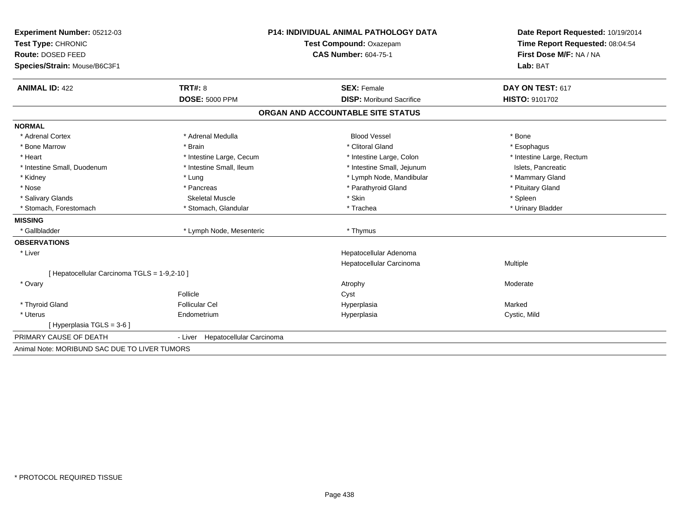| Experiment Number: 05212-03                   | P14: INDIVIDUAL ANIMAL PATHOLOGY DATA<br><b>Test Compound: Oxazepam</b> |                                   | Date Report Requested: 10/19/2014<br>Time Report Requested: 08:04:54 |  |
|-----------------------------------------------|-------------------------------------------------------------------------|-----------------------------------|----------------------------------------------------------------------|--|
| Test Type: CHRONIC                            |                                                                         |                                   |                                                                      |  |
| Route: DOSED FEED                             |                                                                         | <b>CAS Number: 604-75-1</b>       | First Dose M/F: NA / NA                                              |  |
| Species/Strain: Mouse/B6C3F1                  |                                                                         |                                   | Lab: BAT                                                             |  |
| <b>ANIMAL ID: 422</b>                         | TRT#: 8                                                                 | <b>SEX: Female</b>                | DAY ON TEST: 617                                                     |  |
|                                               | <b>DOSE: 5000 PPM</b>                                                   | <b>DISP:</b> Moribund Sacrifice   | <b>HISTO: 9101702</b>                                                |  |
|                                               |                                                                         | ORGAN AND ACCOUNTABLE SITE STATUS |                                                                      |  |
| <b>NORMAL</b>                                 |                                                                         |                                   |                                                                      |  |
| * Adrenal Cortex                              | * Adrenal Medulla                                                       | <b>Blood Vessel</b>               | * Bone                                                               |  |
| * Bone Marrow                                 | * Brain                                                                 | * Clitoral Gland                  | * Esophagus                                                          |  |
| * Heart                                       | * Intestine Large, Cecum                                                | * Intestine Large, Colon          | * Intestine Large, Rectum                                            |  |
| * Intestine Small, Duodenum                   | * Intestine Small, Ileum                                                | * Intestine Small, Jejunum        | Islets, Pancreatic                                                   |  |
| * Kidney                                      | * Lung                                                                  | * Lymph Node, Mandibular          | * Mammary Gland                                                      |  |
| * Nose                                        | * Pancreas                                                              | * Parathyroid Gland               | * Pituitary Gland                                                    |  |
| * Salivary Glands                             | <b>Skeletal Muscle</b>                                                  | * Skin                            | * Spleen                                                             |  |
| * Stomach, Forestomach                        | * Stomach, Glandular                                                    | * Trachea                         | * Urinary Bladder                                                    |  |
| <b>MISSING</b>                                |                                                                         |                                   |                                                                      |  |
| * Gallbladder                                 | * Lymph Node, Mesenteric                                                | * Thymus                          |                                                                      |  |
| <b>OBSERVATIONS</b>                           |                                                                         |                                   |                                                                      |  |
| * Liver                                       |                                                                         | Hepatocellular Adenoma            |                                                                      |  |
|                                               |                                                                         | Hepatocellular Carcinoma          | Multiple                                                             |  |
| [ Hepatocellular Carcinoma TGLS = 1-9,2-10 ]  |                                                                         |                                   |                                                                      |  |
| * Ovary                                       |                                                                         | Atrophy                           | Moderate                                                             |  |
|                                               | Follicle                                                                | Cyst                              |                                                                      |  |
| * Thyroid Gland                               | <b>Follicular Cel</b>                                                   | Hyperplasia                       | Marked                                                               |  |
| * Uterus                                      | Endometrium                                                             | Hyperplasia                       | Cystic, Mild                                                         |  |
| [ Hyperplasia TGLS = 3-6 ]                    |                                                                         |                                   |                                                                      |  |
| PRIMARY CAUSE OF DEATH                        | Hepatocellular Carcinoma<br>- Liver                                     |                                   |                                                                      |  |
| Animal Note: MORIBUND SAC DUE TO LIVER TUMORS |                                                                         |                                   |                                                                      |  |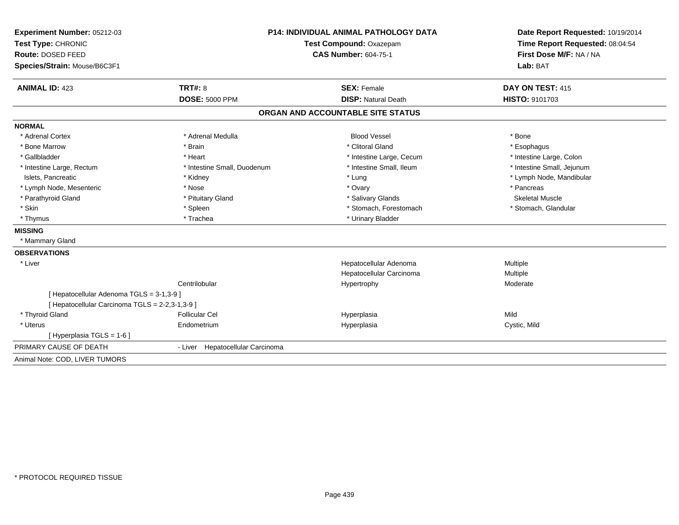| Experiment Number: 05212-03                     | <b>P14: INDIVIDUAL ANIMAL PATHOLOGY DATA</b> |                                   | Date Report Requested: 10/19/2014                          |
|-------------------------------------------------|----------------------------------------------|-----------------------------------|------------------------------------------------------------|
| Test Type: CHRONIC                              |                                              | Test Compound: Oxazepam           | Time Report Requested: 08:04:54<br>First Dose M/F: NA / NA |
| Route: DOSED FEED                               |                                              | <b>CAS Number: 604-75-1</b>       |                                                            |
| Species/Strain: Mouse/B6C3F1                    |                                              |                                   | Lab: BAT                                                   |
| <b>ANIMAL ID: 423</b>                           | TRT#: 8                                      | <b>SEX: Female</b>                | DAY ON TEST: 415                                           |
|                                                 | <b>DOSE: 5000 PPM</b>                        | <b>DISP: Natural Death</b>        | HISTO: 9101703                                             |
|                                                 |                                              | ORGAN AND ACCOUNTABLE SITE STATUS |                                                            |
| <b>NORMAL</b>                                   |                                              |                                   |                                                            |
| * Adrenal Cortex                                | * Adrenal Medulla                            | <b>Blood Vessel</b>               | * Bone                                                     |
| * Bone Marrow                                   | * Brain                                      | * Clitoral Gland                  | * Esophagus                                                |
| * Gallbladder                                   | * Heart                                      | * Intestine Large, Cecum          | * Intestine Large, Colon                                   |
| * Intestine Large, Rectum                       | * Intestine Small, Duodenum                  | * Intestine Small, Ileum          | * Intestine Small, Jejunum                                 |
| Islets. Pancreatic                              | * Kidney                                     | * Lung                            | * Lymph Node, Mandibular                                   |
| * Lymph Node, Mesenteric                        | * Nose                                       | * Ovary                           | * Pancreas                                                 |
| * Parathyroid Gland                             | * Pituitary Gland                            | * Salivary Glands                 | <b>Skeletal Muscle</b>                                     |
| * Skin                                          | * Spleen                                     | * Stomach, Forestomach            | * Stomach, Glandular                                       |
| * Thymus                                        | * Trachea                                    | * Urinary Bladder                 |                                                            |
| <b>MISSING</b>                                  |                                              |                                   |                                                            |
| * Mammary Gland                                 |                                              |                                   |                                                            |
| <b>OBSERVATIONS</b>                             |                                              |                                   |                                                            |
| * Liver                                         |                                              | Hepatocellular Adenoma            | Multiple                                                   |
|                                                 |                                              | Hepatocellular Carcinoma          | Multiple                                                   |
|                                                 | Centrilobular                                | Hypertrophy                       | Moderate                                                   |
| [ Hepatocellular Adenoma TGLS = 3-1,3-9 ]       |                                              |                                   |                                                            |
| [ Hepatocellular Carcinoma TGLS = 2-2,3-1,3-9 ] |                                              |                                   |                                                            |
| * Thyroid Gland                                 | <b>Follicular Cel</b>                        | Hyperplasia                       | Mild                                                       |
| * Uterus                                        | Endometrium                                  | Hyperplasia                       | Cystic, Mild                                               |
| [Hyperplasia TGLS = 1-6]                        |                                              |                                   |                                                            |
| PRIMARY CAUSE OF DEATH                          | - Liver Hepatocellular Carcinoma             |                                   |                                                            |
| Animal Note: COD, LIVER TUMORS                  |                                              |                                   |                                                            |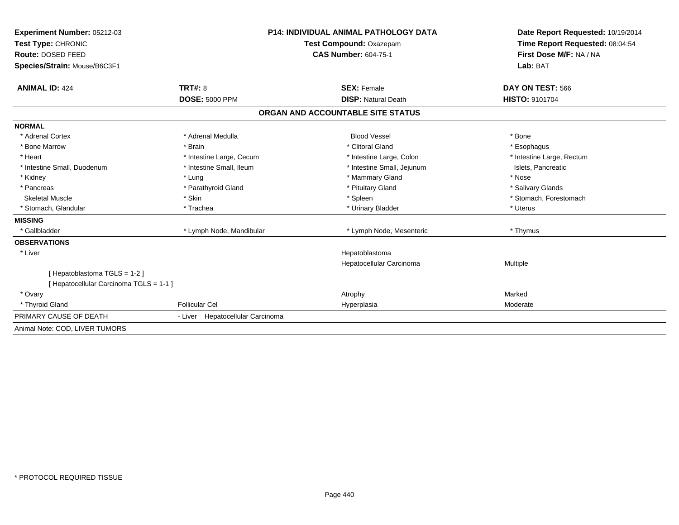| Experiment Number: 05212-03                                            | <b>P14: INDIVIDUAL ANIMAL PATHOLOGY DATA</b><br>Test Compound: Oxazepam |                                   | Date Report Requested: 10/19/2014<br>Time Report Requested: 08:04:54 |
|------------------------------------------------------------------------|-------------------------------------------------------------------------|-----------------------------------|----------------------------------------------------------------------|
| Test Type: CHRONIC                                                     |                                                                         |                                   |                                                                      |
| Route: DOSED FEED                                                      |                                                                         | <b>CAS Number: 604-75-1</b>       | First Dose M/F: NA / NA                                              |
| Species/Strain: Mouse/B6C3F1                                           |                                                                         |                                   | Lab: BAT                                                             |
| <b>ANIMAL ID: 424</b>                                                  | TRT#: 8                                                                 | <b>SEX: Female</b>                | DAY ON TEST: 566                                                     |
|                                                                        | <b>DOSE: 5000 PPM</b>                                                   | <b>DISP: Natural Death</b>        | <b>HISTO: 9101704</b>                                                |
|                                                                        |                                                                         | ORGAN AND ACCOUNTABLE SITE STATUS |                                                                      |
| <b>NORMAL</b>                                                          |                                                                         |                                   |                                                                      |
| * Adrenal Cortex                                                       | * Adrenal Medulla                                                       | <b>Blood Vessel</b>               | * Bone                                                               |
| * Bone Marrow                                                          | * Brain                                                                 | * Clitoral Gland                  | * Esophagus                                                          |
| * Heart                                                                | * Intestine Large, Cecum                                                | * Intestine Large, Colon          | * Intestine Large, Rectum                                            |
| * Intestine Small, Duodenum                                            | * Intestine Small, Ileum                                                | * Intestine Small, Jejunum        | Islets, Pancreatic                                                   |
| * Kidney                                                               | * Lung                                                                  | * Mammary Gland                   | * Nose                                                               |
| * Pancreas                                                             | * Parathyroid Gland                                                     | * Pituitary Gland                 | * Salivary Glands                                                    |
| <b>Skeletal Muscle</b>                                                 | * Skin                                                                  | * Spleen                          | * Stomach, Forestomach                                               |
| * Stomach, Glandular                                                   | * Trachea                                                               | * Urinary Bladder                 | * Uterus                                                             |
| <b>MISSING</b>                                                         |                                                                         |                                   |                                                                      |
| * Gallbladder                                                          | * Lymph Node, Mandibular                                                | * Lymph Node, Mesenteric          | * Thymus                                                             |
| <b>OBSERVATIONS</b>                                                    |                                                                         |                                   |                                                                      |
| * Liver                                                                |                                                                         | Hepatoblastoma                    |                                                                      |
|                                                                        |                                                                         | Hepatocellular Carcinoma          | Multiple                                                             |
| [Hepatoblastoma TGLS = 1-2]<br>[ Hepatocellular Carcinoma TGLS = 1-1 ] |                                                                         |                                   |                                                                      |
| * Ovary                                                                |                                                                         | Atrophy                           | Marked                                                               |
| * Thyroid Gland                                                        | <b>Follicular Cel</b>                                                   | Hyperplasia                       | Moderate                                                             |
| PRIMARY CAUSE OF DEATH                                                 | - Liver Hepatocellular Carcinoma                                        |                                   |                                                                      |
| Animal Note: COD, LIVER TUMORS                                         |                                                                         |                                   |                                                                      |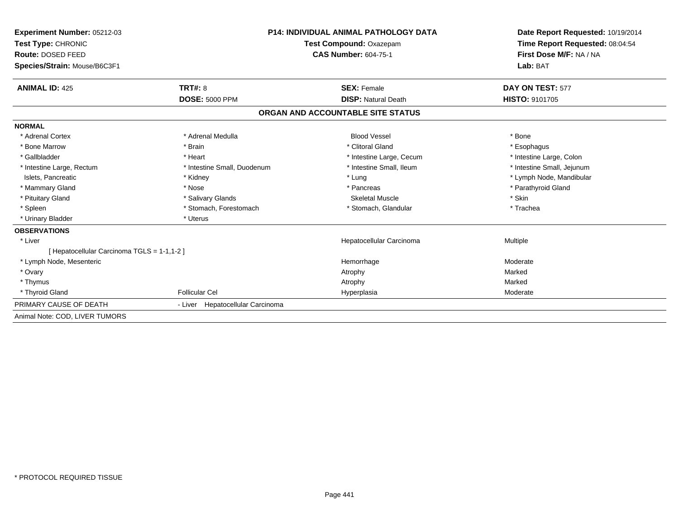| Experiment Number: 05212-03                 |                                                        | <b>P14: INDIVIDUAL ANIMAL PATHOLOGY DATA</b> |                                                            |
|---------------------------------------------|--------------------------------------------------------|----------------------------------------------|------------------------------------------------------------|
| Test Type: CHRONIC                          | Test Compound: Oxazepam<br><b>CAS Number: 604-75-1</b> |                                              | Time Report Requested: 08:04:54<br>First Dose M/F: NA / NA |
| <b>Route: DOSED FEED</b>                    |                                                        |                                              |                                                            |
| Species/Strain: Mouse/B6C3F1                |                                                        |                                              | Lab: BAT                                                   |
| <b>ANIMAL ID: 425</b>                       | TRT#: 8                                                | <b>SEX: Female</b>                           | DAY ON TEST: 577                                           |
|                                             | <b>DOSE: 5000 PPM</b>                                  | <b>DISP: Natural Death</b>                   | <b>HISTO: 9101705</b>                                      |
|                                             |                                                        | ORGAN AND ACCOUNTABLE SITE STATUS            |                                                            |
| <b>NORMAL</b>                               |                                                        |                                              |                                                            |
| * Adrenal Cortex                            | * Adrenal Medulla                                      | <b>Blood Vessel</b>                          | * Bone                                                     |
| * Bone Marrow                               | * Brain                                                | * Clitoral Gland                             | * Esophagus                                                |
| * Gallbladder                               | * Heart                                                | * Intestine Large, Cecum                     | * Intestine Large, Colon                                   |
| * Intestine Large, Rectum                   | * Intestine Small, Duodenum                            | * Intestine Small, Ileum                     | * Intestine Small, Jejunum                                 |
| Islets, Pancreatic                          | * Kidney                                               | * Lung                                       | * Lymph Node, Mandibular                                   |
| * Mammary Gland                             | * Nose                                                 | * Pancreas                                   | * Parathyroid Gland                                        |
| * Pituitary Gland                           | * Salivary Glands                                      | <b>Skeletal Muscle</b>                       | * Skin                                                     |
| * Spleen                                    | * Stomach, Forestomach                                 | * Stomach, Glandular                         | * Trachea                                                  |
| * Urinary Bladder                           | * Uterus                                               |                                              |                                                            |
| <b>OBSERVATIONS</b>                         |                                                        |                                              |                                                            |
| * Liver                                     |                                                        | Hepatocellular Carcinoma                     | Multiple                                                   |
| [ Hepatocellular Carcinoma TGLS = 1-1,1-2 ] |                                                        |                                              |                                                            |
| * Lymph Node, Mesenteric                    |                                                        | Hemorrhage                                   | Moderate                                                   |
| * Ovary                                     |                                                        | Atrophy                                      | Marked                                                     |
| * Thymus                                    |                                                        | Atrophy                                      | Marked                                                     |
| * Thyroid Gland                             | <b>Follicular Cel</b>                                  | Hyperplasia                                  | Moderate                                                   |
| PRIMARY CAUSE OF DEATH                      | - Liver Hepatocellular Carcinoma                       |                                              |                                                            |
| Animal Note: COD, LIVER TUMORS              |                                                        |                                              |                                                            |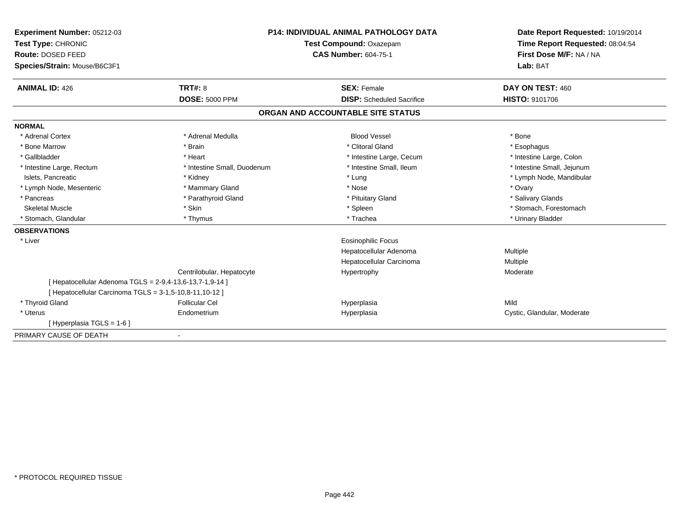| <b>Experiment Number: 05212-03</b>                       | <b>P14: INDIVIDUAL ANIMAL PATHOLOGY DATA</b><br>Test Compound: Oxazepam<br><b>CAS Number: 604-75-1</b> |                                   | Date Report Requested: 10/19/2014 |
|----------------------------------------------------------|--------------------------------------------------------------------------------------------------------|-----------------------------------|-----------------------------------|
| Test Type: CHRONIC                                       |                                                                                                        |                                   | Time Report Requested: 08:04:54   |
| Route: DOSED FEED                                        |                                                                                                        |                                   | First Dose M/F: NA / NA           |
| Species/Strain: Mouse/B6C3F1                             |                                                                                                        |                                   | Lab: BAT                          |
| <b>ANIMAL ID: 426</b>                                    | TRT#: 8                                                                                                | <b>SEX: Female</b>                | DAY ON TEST: 460                  |
|                                                          | <b>DOSE: 5000 PPM</b>                                                                                  | <b>DISP:</b> Scheduled Sacrifice  | <b>HISTO: 9101706</b>             |
|                                                          |                                                                                                        | ORGAN AND ACCOUNTABLE SITE STATUS |                                   |
| <b>NORMAL</b>                                            |                                                                                                        |                                   |                                   |
| * Adrenal Cortex                                         | * Adrenal Medulla                                                                                      | <b>Blood Vessel</b>               | * Bone                            |
| * Bone Marrow                                            | * Brain                                                                                                | * Clitoral Gland                  | * Esophagus                       |
| * Gallbladder                                            | * Heart                                                                                                | * Intestine Large, Cecum          | * Intestine Large, Colon          |
| * Intestine Large, Rectum                                | * Intestine Small, Duodenum                                                                            | * Intestine Small. Ileum          | * Intestine Small, Jejunum        |
| Islets, Pancreatic                                       | * Kidney                                                                                               | * Lung                            | * Lymph Node, Mandibular          |
| * Lymph Node, Mesenteric                                 | * Mammary Gland                                                                                        | * Nose                            | * Ovary                           |
| * Pancreas                                               | * Parathyroid Gland                                                                                    | * Pituitary Gland                 | * Salivary Glands                 |
| <b>Skeletal Muscle</b>                                   | * Skin                                                                                                 | * Spleen                          | * Stomach, Forestomach            |
| * Stomach, Glandular                                     | * Thymus                                                                                               | * Trachea                         | * Urinary Bladder                 |
| <b>OBSERVATIONS</b>                                      |                                                                                                        |                                   |                                   |
| * Liver                                                  |                                                                                                        | Eosinophilic Focus                |                                   |
|                                                          |                                                                                                        | Hepatocellular Adenoma            | Multiple                          |
|                                                          |                                                                                                        | Hepatocellular Carcinoma          | Multiple                          |
|                                                          | Centrilobular, Hepatocyte                                                                              | Hypertrophy                       | Moderate                          |
| [ Hepatocellular Adenoma TGLS = 2-9,4-13,6-13,7-1,9-14 ] |                                                                                                        |                                   |                                   |
| [ Hepatocellular Carcinoma TGLS = 3-1,5-10,8-11,10-12 ]  |                                                                                                        |                                   |                                   |
| * Thyroid Gland                                          | <b>Follicular Cel</b>                                                                                  | Hyperplasia                       | Mild                              |
| * Uterus                                                 | Endometrium                                                                                            | Hyperplasia                       | Cystic, Glandular, Moderate       |
| [Hyperplasia TGLS = 1-6]                                 |                                                                                                        |                                   |                                   |
| PRIMARY CAUSE OF DEATH                                   |                                                                                                        |                                   |                                   |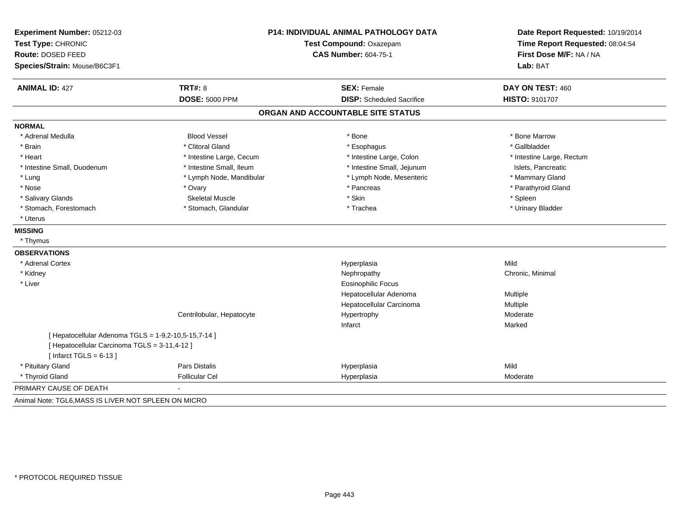| Experiment Number: 05212-03<br>Test Type: CHRONIC<br>Route: DOSED FEED<br>Species/Strain: Mouse/B6C3F1                            | <b>P14: INDIVIDUAL ANIMAL PATHOLOGY DATA</b><br>Test Compound: Oxazepam<br><b>CAS Number: 604-75-1</b> |                                   | Date Report Requested: 10/19/2014<br>Time Report Requested: 08:04:54<br>First Dose M/F: NA / NA<br>Lab: BAT |
|-----------------------------------------------------------------------------------------------------------------------------------|--------------------------------------------------------------------------------------------------------|-----------------------------------|-------------------------------------------------------------------------------------------------------------|
| <b>ANIMAL ID: 427</b>                                                                                                             | TRT#: 8                                                                                                | <b>SEX: Female</b>                | DAY ON TEST: 460                                                                                            |
|                                                                                                                                   | <b>DOSE: 5000 PPM</b>                                                                                  | <b>DISP:</b> Scheduled Sacrifice  | HISTO: 9101707                                                                                              |
|                                                                                                                                   |                                                                                                        | ORGAN AND ACCOUNTABLE SITE STATUS |                                                                                                             |
| <b>NORMAL</b>                                                                                                                     |                                                                                                        |                                   |                                                                                                             |
| * Adrenal Medulla                                                                                                                 | <b>Blood Vessel</b>                                                                                    | * Bone                            | * Bone Marrow                                                                                               |
| * Brain                                                                                                                           | * Clitoral Gland                                                                                       | * Esophagus                       | * Gallbladder                                                                                               |
| * Heart                                                                                                                           | * Intestine Large, Cecum                                                                               | * Intestine Large, Colon          | * Intestine Large, Rectum                                                                                   |
| * Intestine Small, Duodenum                                                                                                       | * Intestine Small, Ileum                                                                               | * Intestine Small, Jejunum        | Islets, Pancreatic                                                                                          |
| * Lung                                                                                                                            | * Lymph Node, Mandibular                                                                               | * Lymph Node, Mesenteric          | * Mammary Gland                                                                                             |
| * Nose                                                                                                                            | * Ovary                                                                                                | * Pancreas                        | * Parathyroid Gland                                                                                         |
| * Salivary Glands                                                                                                                 | <b>Skeletal Muscle</b>                                                                                 | * Skin                            | * Spleen                                                                                                    |
| * Stomach, Forestomach                                                                                                            | * Stomach, Glandular                                                                                   | * Trachea                         | * Urinary Bladder                                                                                           |
| * Uterus                                                                                                                          |                                                                                                        |                                   |                                                                                                             |
| <b>MISSING</b>                                                                                                                    |                                                                                                        |                                   |                                                                                                             |
| * Thymus                                                                                                                          |                                                                                                        |                                   |                                                                                                             |
| <b>OBSERVATIONS</b>                                                                                                               |                                                                                                        |                                   |                                                                                                             |
| * Adrenal Cortex                                                                                                                  |                                                                                                        | Hyperplasia                       | Mild                                                                                                        |
| * Kidney                                                                                                                          |                                                                                                        | Nephropathy                       | Chronic, Minimal                                                                                            |
| * Liver                                                                                                                           |                                                                                                        | <b>Eosinophilic Focus</b>         |                                                                                                             |
|                                                                                                                                   |                                                                                                        | Hepatocellular Adenoma            | Multiple                                                                                                    |
|                                                                                                                                   |                                                                                                        | Hepatocellular Carcinoma          | Multiple                                                                                                    |
|                                                                                                                                   | Centrilobular, Hepatocyte                                                                              | Hypertrophy                       | Moderate                                                                                                    |
|                                                                                                                                   |                                                                                                        | Infarct                           | Marked                                                                                                      |
| [ Hepatocellular Adenoma TGLS = 1-9,2-10,5-15,7-14 ]<br>[ Hepatocellular Carcinoma TGLS = 3-11,4-12 ]<br>[Infarct TGLS = $6-13$ ] |                                                                                                        |                                   |                                                                                                             |
| * Pituitary Gland                                                                                                                 | <b>Pars Distalis</b>                                                                                   | Hyperplasia                       | Mild                                                                                                        |
| * Thyroid Gland                                                                                                                   | <b>Follicular Cel</b>                                                                                  | Hyperplasia                       | Moderate                                                                                                    |
| PRIMARY CAUSE OF DEATH                                                                                                            |                                                                                                        |                                   |                                                                                                             |
| Animal Note: TGL6, MASS IS LIVER NOT SPLEEN ON MICRO                                                                              |                                                                                                        |                                   |                                                                                                             |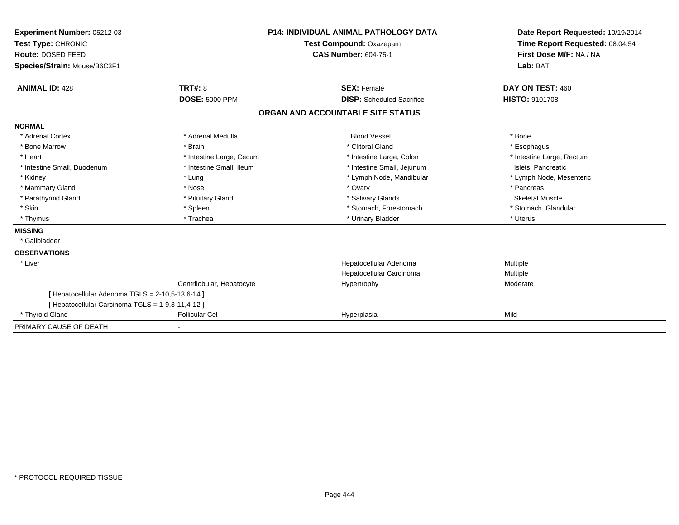| Experiment Number: 05212-03<br>Test Type: CHRONIC |                           | <b>P14: INDIVIDUAL ANIMAL PATHOLOGY DATA</b> | Date Report Requested: 10/19/2014<br>Time Report Requested: 08:04:54 |
|---------------------------------------------------|---------------------------|----------------------------------------------|----------------------------------------------------------------------|
|                                                   |                           | Test Compound: Oxazepam                      |                                                                      |
| Route: DOSED FEED                                 |                           | <b>CAS Number: 604-75-1</b>                  | First Dose M/F: NA / NA                                              |
| Species/Strain: Mouse/B6C3F1                      |                           |                                              | Lab: BAT                                                             |
| <b>ANIMAL ID: 428</b>                             | <b>TRT#: 8</b>            | <b>SEX: Female</b>                           | DAY ON TEST: 460                                                     |
|                                                   | <b>DOSE: 5000 PPM</b>     | <b>DISP:</b> Scheduled Sacrifice             | <b>HISTO: 9101708</b>                                                |
|                                                   |                           | ORGAN AND ACCOUNTABLE SITE STATUS            |                                                                      |
| <b>NORMAL</b>                                     |                           |                                              |                                                                      |
| * Adrenal Cortex                                  | * Adrenal Medulla         | <b>Blood Vessel</b>                          | * Bone                                                               |
| * Bone Marrow                                     | * Brain                   | * Clitoral Gland                             | * Esophagus                                                          |
| * Heart                                           | * Intestine Large, Cecum  | * Intestine Large, Colon                     | * Intestine Large, Rectum                                            |
| * Intestine Small, Duodenum                       | * Intestine Small, Ileum  | * Intestine Small, Jejunum                   | Islets, Pancreatic                                                   |
| * Kidney                                          | * Lung                    | * Lymph Node, Mandibular                     | * Lymph Node, Mesenteric                                             |
| * Mammary Gland                                   | * Nose                    | * Ovary                                      | * Pancreas                                                           |
| * Parathyroid Gland                               | * Pituitary Gland         | * Salivary Glands                            | <b>Skeletal Muscle</b>                                               |
| * Skin                                            | * Spleen                  | * Stomach, Forestomach                       | * Stomach, Glandular                                                 |
| * Thymus                                          | * Trachea                 | * Urinary Bladder                            | * Uterus                                                             |
| <b>MISSING</b>                                    |                           |                                              |                                                                      |
| * Gallbladder                                     |                           |                                              |                                                                      |
| <b>OBSERVATIONS</b>                               |                           |                                              |                                                                      |
| * Liver                                           |                           | Hepatocellular Adenoma                       | Multiple                                                             |
|                                                   |                           | Hepatocellular Carcinoma                     | <b>Multiple</b>                                                      |
|                                                   | Centrilobular, Hepatocyte | Hypertrophy                                  | Moderate                                                             |
| [ Hepatocellular Adenoma TGLS = 2-10,5-13,6-14 ]  |                           |                                              |                                                                      |
| [ Hepatocellular Carcinoma TGLS = 1-9,3-11,4-12 ] |                           |                                              |                                                                      |
| * Thyroid Gland                                   | <b>Follicular Cel</b>     | Hyperplasia                                  | Mild                                                                 |
| PRIMARY CAUSE OF DEATH                            | $\blacksquare$            |                                              |                                                                      |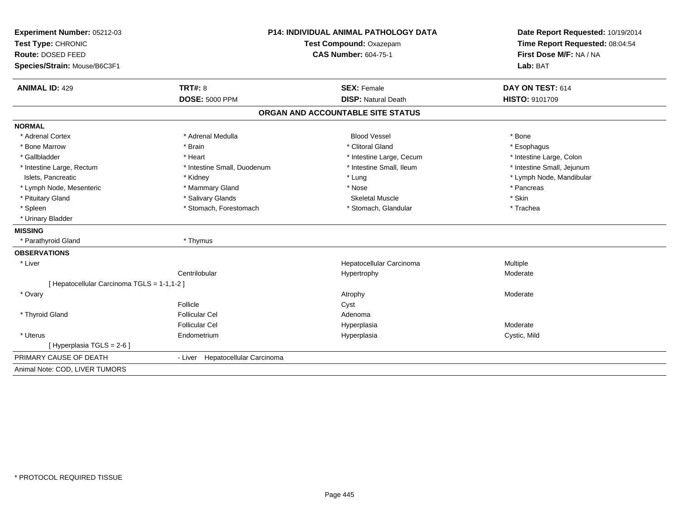| Experiment Number: 05212-03<br>Test Type: CHRONIC<br>Route: DOSED FEED | <b>P14: INDIVIDUAL ANIMAL PATHOLOGY DATA</b><br>Test Compound: Oxazepam<br><b>CAS Number: 604-75-1</b> |                                   | Date Report Requested: 10/19/2014<br>Time Report Requested: 08:04:54<br>First Dose M/F: NA / NA |  |
|------------------------------------------------------------------------|--------------------------------------------------------------------------------------------------------|-----------------------------------|-------------------------------------------------------------------------------------------------|--|
| Species/Strain: Mouse/B6C3F1                                           |                                                                                                        |                                   | Lab: BAT                                                                                        |  |
| <b>ANIMAL ID: 429</b>                                                  | TRT#: 8                                                                                                | <b>SEX: Female</b>                | DAY ON TEST: 614                                                                                |  |
|                                                                        | <b>DOSE: 5000 PPM</b>                                                                                  | <b>DISP: Natural Death</b>        | <b>HISTO: 9101709</b>                                                                           |  |
|                                                                        |                                                                                                        | ORGAN AND ACCOUNTABLE SITE STATUS |                                                                                                 |  |
| <b>NORMAL</b>                                                          |                                                                                                        |                                   |                                                                                                 |  |
| * Adrenal Cortex                                                       | * Adrenal Medulla                                                                                      | <b>Blood Vessel</b>               | * Bone                                                                                          |  |
| * Bone Marrow                                                          | * Brain                                                                                                | * Clitoral Gland                  | * Esophagus                                                                                     |  |
| * Gallbladder                                                          | * Heart                                                                                                | * Intestine Large, Cecum          | * Intestine Large, Colon                                                                        |  |
| * Intestine Large, Rectum                                              | * Intestine Small, Duodenum                                                                            | * Intestine Small, Ileum          | * Intestine Small, Jejunum                                                                      |  |
| Islets, Pancreatic                                                     | * Kidney                                                                                               | * Lung                            | * Lymph Node, Mandibular                                                                        |  |
| * Lymph Node, Mesenteric                                               | * Mammary Gland                                                                                        | * Nose                            | * Pancreas                                                                                      |  |
| * Pituitary Gland                                                      | * Salivary Glands                                                                                      | <b>Skeletal Muscle</b>            | * Skin                                                                                          |  |
| * Spleen                                                               | * Stomach, Forestomach                                                                                 | * Stomach, Glandular              | * Trachea                                                                                       |  |
| * Urinary Bladder                                                      |                                                                                                        |                                   |                                                                                                 |  |
| <b>MISSING</b>                                                         |                                                                                                        |                                   |                                                                                                 |  |
| * Parathyroid Gland                                                    | * Thymus                                                                                               |                                   |                                                                                                 |  |
| <b>OBSERVATIONS</b>                                                    |                                                                                                        |                                   |                                                                                                 |  |
| * Liver                                                                |                                                                                                        | Hepatocellular Carcinoma          | Multiple                                                                                        |  |
|                                                                        | Centrilobular                                                                                          | Hypertrophy                       | Moderate                                                                                        |  |
| [ Hepatocellular Carcinoma TGLS = 1-1,1-2 ]                            |                                                                                                        |                                   |                                                                                                 |  |
| * Ovary                                                                |                                                                                                        | Atrophy                           | Moderate                                                                                        |  |
|                                                                        | Follicle                                                                                               | Cyst                              |                                                                                                 |  |
| * Thyroid Gland                                                        | <b>Follicular Cel</b>                                                                                  | Adenoma                           |                                                                                                 |  |
|                                                                        | <b>Follicular Cel</b>                                                                                  | Hyperplasia                       | Moderate                                                                                        |  |
| * Uterus                                                               | Endometrium                                                                                            | Hyperplasia                       | Cystic, Mild                                                                                    |  |
| [ Hyperplasia TGLS = 2-6 ]                                             |                                                                                                        |                                   |                                                                                                 |  |
| PRIMARY CAUSE OF DEATH                                                 | - Liver Hepatocellular Carcinoma                                                                       |                                   |                                                                                                 |  |
| Animal Note: COD, LIVER TUMORS                                         |                                                                                                        |                                   |                                                                                                 |  |
|                                                                        |                                                                                                        |                                   |                                                                                                 |  |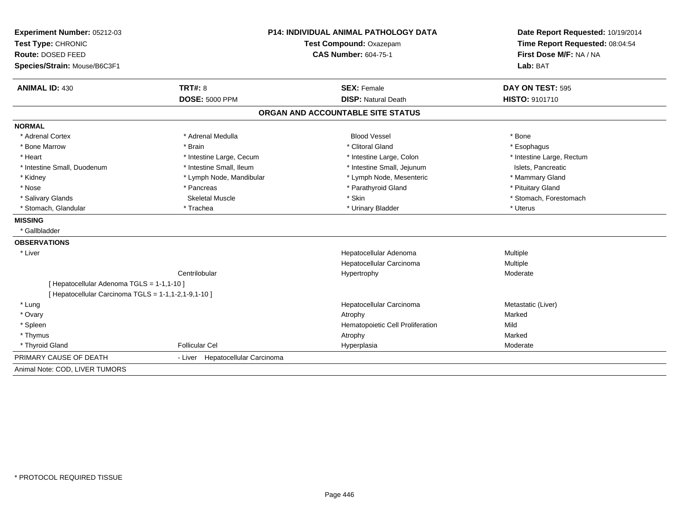| Experiment Number: 05212-03<br>Test Type: CHRONIC    |                                  | P14: INDIVIDUAL ANIMAL PATHOLOGY DATA<br>Test Compound: Oxazepam | Date Report Requested: 10/19/2014<br>Time Report Requested: 08:04:54 |  |
|------------------------------------------------------|----------------------------------|------------------------------------------------------------------|----------------------------------------------------------------------|--|
| Route: DOSED FEED                                    |                                  | <b>CAS Number: 604-75-1</b>                                      | First Dose M/F: NA / NA                                              |  |
| Species/Strain: Mouse/B6C3F1                         |                                  |                                                                  | Lab: BAT                                                             |  |
| <b>ANIMAL ID: 430</b>                                | TRT#: 8                          | <b>SEX: Female</b>                                               | DAY ON TEST: 595                                                     |  |
|                                                      | <b>DOSE: 5000 PPM</b>            | <b>DISP: Natural Death</b>                                       | HISTO: 9101710                                                       |  |
|                                                      |                                  | ORGAN AND ACCOUNTABLE SITE STATUS                                |                                                                      |  |
| <b>NORMAL</b>                                        |                                  |                                                                  |                                                                      |  |
| * Adrenal Cortex                                     | * Adrenal Medulla                | <b>Blood Vessel</b>                                              | * Bone                                                               |  |
| * Bone Marrow                                        | * Brain                          | * Clitoral Gland                                                 | * Esophagus                                                          |  |
| * Heart                                              | * Intestine Large, Cecum         | * Intestine Large, Colon                                         | * Intestine Large, Rectum                                            |  |
| * Intestine Small, Duodenum                          | * Intestine Small, Ileum         | * Intestine Small, Jejunum                                       | Islets, Pancreatic                                                   |  |
| * Kidney                                             | * Lymph Node, Mandibular         | * Lymph Node, Mesenteric                                         | * Mammary Gland                                                      |  |
| * Nose                                               | * Pancreas                       | * Parathyroid Gland                                              | * Pituitary Gland                                                    |  |
| * Salivary Glands                                    | <b>Skeletal Muscle</b>           | * Skin                                                           | * Stomach, Forestomach                                               |  |
| * Stomach, Glandular                                 | * Trachea                        | * Urinary Bladder                                                | * Uterus                                                             |  |
| <b>MISSING</b>                                       |                                  |                                                                  |                                                                      |  |
| * Gallbladder                                        |                                  |                                                                  |                                                                      |  |
| <b>OBSERVATIONS</b>                                  |                                  |                                                                  |                                                                      |  |
| * Liver                                              |                                  | Hepatocellular Adenoma                                           | Multiple                                                             |  |
|                                                      |                                  | Hepatocellular Carcinoma                                         | Multiple                                                             |  |
|                                                      | Centrilobular                    | Hypertrophy                                                      | Moderate                                                             |  |
| [ Hepatocellular Adenoma TGLS = 1-1,1-10 ]           |                                  |                                                                  |                                                                      |  |
| [ Hepatocellular Carcinoma TGLS = 1-1,1-2,1-9,1-10 ] |                                  |                                                                  |                                                                      |  |
| * Lung                                               |                                  | Hepatocellular Carcinoma                                         | Metastatic (Liver)                                                   |  |
| * Ovary                                              |                                  | Atrophy                                                          | Marked                                                               |  |
| * Spleen                                             |                                  | Hematopoietic Cell Proliferation                                 | Mild                                                                 |  |
| * Thymus                                             |                                  | Atrophy                                                          | Marked                                                               |  |
| * Thyroid Gland                                      | <b>Follicular Cel</b>            | Hyperplasia                                                      | Moderate                                                             |  |
| PRIMARY CAUSE OF DEATH                               | - Liver Hepatocellular Carcinoma |                                                                  |                                                                      |  |
| Animal Note: COD, LIVER TUMORS                       |                                  |                                                                  |                                                                      |  |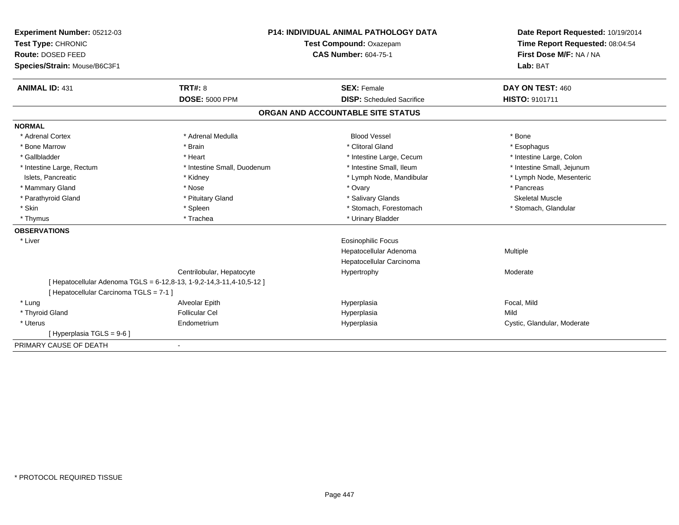| Experiment Number: 05212-03                                          | <b>P14: INDIVIDUAL ANIMAL PATHOLOGY DATA</b><br><b>Test Compound: Oxazepam</b> |  | Date Report Requested: 10/19/2014 |                             |
|----------------------------------------------------------------------|--------------------------------------------------------------------------------|--|-----------------------------------|-----------------------------|
| Test Type: CHRONIC                                                   |                                                                                |  | Time Report Requested: 08:04:54   |                             |
| Route: DOSED FEED                                                    |                                                                                |  | <b>CAS Number: 604-75-1</b>       | First Dose M/F: NA / NA     |
| Species/Strain: Mouse/B6C3F1                                         |                                                                                |  | Lab: BAT                          |                             |
| <b>ANIMAL ID: 431</b>                                                | TRT#: 8                                                                        |  | <b>SEX: Female</b>                | DAY ON TEST: 460            |
|                                                                      | <b>DOSE: 5000 PPM</b>                                                          |  | <b>DISP:</b> Scheduled Sacrifice  | <b>HISTO: 9101711</b>       |
|                                                                      |                                                                                |  | ORGAN AND ACCOUNTABLE SITE STATUS |                             |
| <b>NORMAL</b>                                                        |                                                                                |  |                                   |                             |
| * Adrenal Cortex                                                     | * Adrenal Medulla                                                              |  | <b>Blood Vessel</b>               | * Bone                      |
| * Bone Marrow                                                        | * Brain                                                                        |  | * Clitoral Gland                  | * Esophagus                 |
| * Gallbladder                                                        | * Heart                                                                        |  | * Intestine Large, Cecum          | * Intestine Large, Colon    |
| * Intestine Large, Rectum                                            | * Intestine Small, Duodenum                                                    |  | * Intestine Small, Ileum          | * Intestine Small, Jejunum  |
| Islets, Pancreatic                                                   | * Kidney                                                                       |  | * Lymph Node, Mandibular          | * Lymph Node, Mesenteric    |
| * Mammary Gland                                                      | * Nose                                                                         |  | * Ovary                           | * Pancreas                  |
| * Parathyroid Gland                                                  | * Pituitary Gland                                                              |  | * Salivary Glands                 | Skeletal Muscle             |
| * Skin                                                               | * Spleen                                                                       |  | * Stomach, Forestomach            | * Stomach, Glandular        |
| * Thymus                                                             | * Trachea                                                                      |  | * Urinary Bladder                 |                             |
| <b>OBSERVATIONS</b>                                                  |                                                                                |  |                                   |                             |
| * Liver                                                              |                                                                                |  | <b>Eosinophilic Focus</b>         |                             |
|                                                                      |                                                                                |  | Hepatocellular Adenoma            | Multiple                    |
|                                                                      |                                                                                |  | Hepatocellular Carcinoma          |                             |
|                                                                      | Centrilobular, Hepatocyte                                                      |  | Hypertrophy                       | Moderate                    |
| [ Hepatocellular Adenoma TGLS = 6-12,8-13, 1-9,2-14,3-11,4-10,5-12 ] |                                                                                |  |                                   |                             |
| [ Hepatocellular Carcinoma TGLS = 7-1 ]                              |                                                                                |  |                                   |                             |
| * Lung                                                               | Alveolar Epith                                                                 |  | Hyperplasia                       | Focal, Mild                 |
| * Thyroid Gland                                                      | <b>Follicular Cel</b>                                                          |  | Hyperplasia                       | Mild                        |
| * Uterus                                                             | Endometrium                                                                    |  | Hyperplasia                       | Cystic, Glandular, Moderate |
| [ Hyperplasia TGLS = 9-6 ]                                           |                                                                                |  |                                   |                             |
| PRIMARY CAUSE OF DEATH                                               |                                                                                |  |                                   |                             |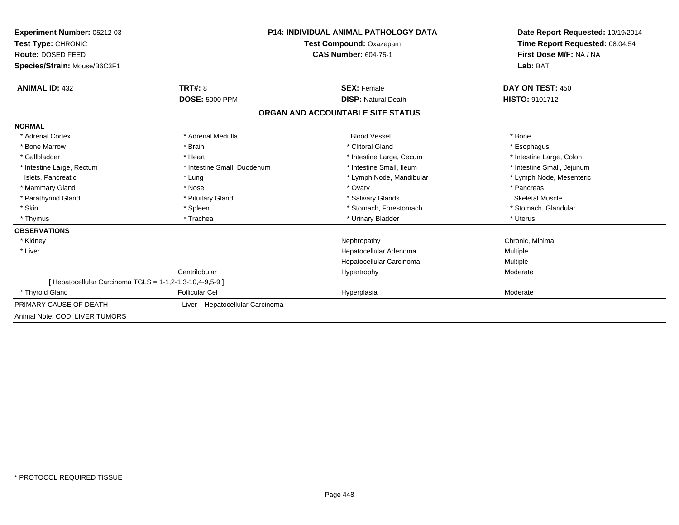| Experiment Number: 05212-03                              |                                  | <b>P14: INDIVIDUAL ANIMAL PATHOLOGY DATA</b> | Date Report Requested: 10/19/2014<br>Time Report Requested: 08:04:54<br>First Dose M/F: NA / NA |
|----------------------------------------------------------|----------------------------------|----------------------------------------------|-------------------------------------------------------------------------------------------------|
| Test Type: CHRONIC                                       |                                  | <b>Test Compound: Oxazepam</b>               |                                                                                                 |
| Route: DOSED FEED                                        |                                  | <b>CAS Number: 604-75-1</b>                  |                                                                                                 |
| Species/Strain: Mouse/B6C3F1                             |                                  |                                              | Lab: BAT                                                                                        |
| <b>ANIMAL ID: 432</b>                                    | TRT#: 8                          | <b>SEX: Female</b>                           | DAY ON TEST: 450                                                                                |
|                                                          | <b>DOSE: 5000 PPM</b>            | <b>DISP: Natural Death</b>                   | <b>HISTO: 9101712</b>                                                                           |
|                                                          |                                  | ORGAN AND ACCOUNTABLE SITE STATUS            |                                                                                                 |
| <b>NORMAL</b>                                            |                                  |                                              |                                                                                                 |
| * Adrenal Cortex                                         | * Adrenal Medulla                | <b>Blood Vessel</b>                          | * Bone                                                                                          |
| * Bone Marrow                                            | * Brain                          | * Clitoral Gland                             | * Esophagus                                                                                     |
| * Gallbladder                                            | * Heart                          | * Intestine Large, Cecum                     | * Intestine Large, Colon                                                                        |
| * Intestine Large, Rectum                                | * Intestine Small, Duodenum      | * Intestine Small, Ileum                     | * Intestine Small, Jejunum                                                                      |
| Islets, Pancreatic                                       | * Lung                           | * Lymph Node, Mandibular                     | * Lymph Node, Mesenteric                                                                        |
| * Mammary Gland                                          | * Nose                           | * Ovary                                      | * Pancreas                                                                                      |
| * Parathyroid Gland                                      | * Pituitary Gland                | * Salivary Glands                            | <b>Skeletal Muscle</b>                                                                          |
| * Skin                                                   | * Spleen                         | * Stomach, Forestomach                       | * Stomach, Glandular                                                                            |
| * Thymus                                                 | * Trachea                        | * Urinary Bladder                            | * Uterus                                                                                        |
| <b>OBSERVATIONS</b>                                      |                                  |                                              |                                                                                                 |
| * Kidney                                                 |                                  | Nephropathy                                  | Chronic, Minimal                                                                                |
| * Liver                                                  |                                  | Hepatocellular Adenoma                       | Multiple                                                                                        |
|                                                          |                                  | Hepatocellular Carcinoma                     | Multiple                                                                                        |
|                                                          | Centrilobular                    | Hypertrophy                                  | Moderate                                                                                        |
| [ Hepatocellular Carcinoma TGLS = 1-1,2-1,3-10,4-9,5-9 ] |                                  |                                              |                                                                                                 |
| * Thyroid Gland                                          | <b>Follicular Cel</b>            | Hyperplasia                                  | Moderate                                                                                        |
| PRIMARY CAUSE OF DEATH                                   | - Liver Hepatocellular Carcinoma |                                              |                                                                                                 |
| Animal Note: COD, LIVER TUMORS                           |                                  |                                              |                                                                                                 |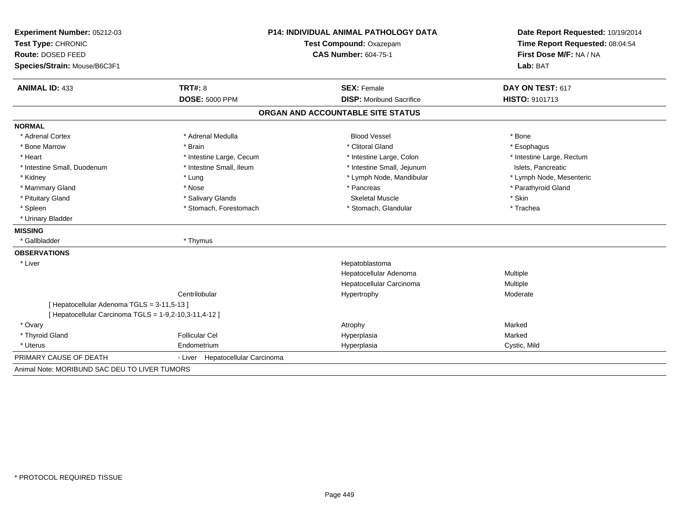| Experiment Number: 05212-03                              | <b>P14: INDIVIDUAL ANIMAL PATHOLOGY DATA</b><br>Test Type: CHRONIC<br>Test Compound: Oxazepam |                                   | Date Report Requested: 10/19/2014   |  |
|----------------------------------------------------------|-----------------------------------------------------------------------------------------------|-----------------------------------|-------------------------------------|--|
|                                                          |                                                                                               |                                   | Time Report Requested: 08:04:54     |  |
| <b>Route: DOSED FEED</b><br>Species/Strain: Mouse/B6C3F1 |                                                                                               | <b>CAS Number: 604-75-1</b>       | First Dose M/F: NA / NA<br>Lab: BAT |  |
|                                                          |                                                                                               |                                   |                                     |  |
| <b>ANIMAL ID: 433</b>                                    | TRT#: 8                                                                                       | <b>SEX: Female</b>                | DAY ON TEST: 617                    |  |
|                                                          | <b>DOSE: 5000 PPM</b>                                                                         | <b>DISP:</b> Moribund Sacrifice   | HISTO: 9101713                      |  |
|                                                          |                                                                                               | ORGAN AND ACCOUNTABLE SITE STATUS |                                     |  |
| <b>NORMAL</b>                                            |                                                                                               |                                   |                                     |  |
| * Adrenal Cortex                                         | * Adrenal Medulla                                                                             | <b>Blood Vessel</b>               | * Bone                              |  |
| * Bone Marrow                                            | * Brain                                                                                       | * Clitoral Gland                  | * Esophagus                         |  |
| * Heart                                                  | * Intestine Large, Cecum                                                                      | * Intestine Large, Colon          | * Intestine Large, Rectum           |  |
| * Intestine Small, Duodenum                              | * Intestine Small, Ileum                                                                      | * Intestine Small, Jejunum        | Islets, Pancreatic                  |  |
| * Kidney                                                 | * Lung                                                                                        | * Lymph Node, Mandibular          | * Lymph Node, Mesenteric            |  |
| * Mammary Gland                                          | * Nose                                                                                        | * Pancreas                        | * Parathyroid Gland                 |  |
| * Pituitary Gland                                        | * Salivary Glands                                                                             | <b>Skeletal Muscle</b>            | * Skin                              |  |
| * Spleen                                                 | * Stomach, Forestomach                                                                        | * Stomach, Glandular              | * Trachea                           |  |
| * Urinary Bladder                                        |                                                                                               |                                   |                                     |  |
| <b>MISSING</b>                                           |                                                                                               |                                   |                                     |  |
| * Gallbladder                                            | * Thymus                                                                                      |                                   |                                     |  |
| <b>OBSERVATIONS</b>                                      |                                                                                               |                                   |                                     |  |
| * Liver                                                  |                                                                                               | Hepatoblastoma                    |                                     |  |
|                                                          |                                                                                               | Hepatocellular Adenoma            | Multiple                            |  |
|                                                          |                                                                                               | Hepatocellular Carcinoma          | Multiple                            |  |
|                                                          | Centrilobular                                                                                 | Hypertrophy                       | Moderate                            |  |
| [ Hepatocellular Adenoma TGLS = 3-11,5-13 ]              |                                                                                               |                                   |                                     |  |
| [ Hepatocellular Carcinoma TGLS = 1-9,2-10,3-11,4-12 ]   |                                                                                               |                                   |                                     |  |
| * Ovary                                                  |                                                                                               | Atrophy                           | Marked                              |  |
| * Thyroid Gland                                          | <b>Follicular Cel</b>                                                                         | Hyperplasia                       | Marked                              |  |
| * Uterus                                                 | Endometrium                                                                                   | Hyperplasia                       | Cystic, Mild                        |  |
| PRIMARY CAUSE OF DEATH                                   | - Liver Hepatocellular Carcinoma                                                              |                                   |                                     |  |
| Animal Note: MORIBUND SAC DEU TO LIVER TUMORS            |                                                                                               |                                   |                                     |  |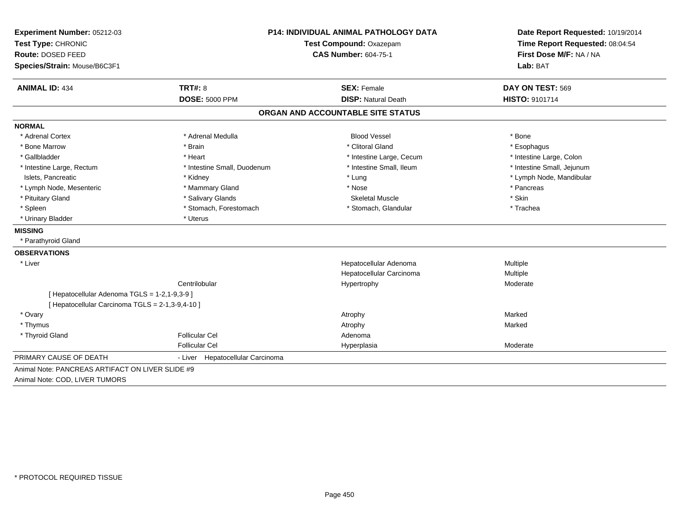| Experiment Number: 05212-03<br>Test Type: CHRONIC<br>Route: DOSED FEED<br>Species/Strain: Mouse/B6C3F1 | P14: INDIVIDUAL ANIMAL PATHOLOGY DATA<br>Test Compound: Oxazepam<br><b>CAS Number: 604-75-1</b> |                                                  | Date Report Requested: 10/19/2014<br>Time Report Requested: 08:04:54<br>First Dose M/F: NA / NA<br>Lab: BAT |  |
|--------------------------------------------------------------------------------------------------------|-------------------------------------------------------------------------------------------------|--------------------------------------------------|-------------------------------------------------------------------------------------------------------------|--|
| <b>ANIMAL ID: 434</b>                                                                                  | <b>TRT#: 8</b><br><b>DOSE: 5000 PPM</b>                                                         | <b>SEX: Female</b><br><b>DISP: Natural Death</b> | DAY ON TEST: 569<br><b>HISTO: 9101714</b>                                                                   |  |
|                                                                                                        |                                                                                                 |                                                  |                                                                                                             |  |
|                                                                                                        |                                                                                                 | ORGAN AND ACCOUNTABLE SITE STATUS                |                                                                                                             |  |
| <b>NORMAL</b>                                                                                          |                                                                                                 |                                                  |                                                                                                             |  |
| * Adrenal Cortex                                                                                       | * Adrenal Medulla                                                                               | <b>Blood Vessel</b>                              | * Bone                                                                                                      |  |
| * Bone Marrow                                                                                          | * Brain                                                                                         | * Clitoral Gland                                 | * Esophagus                                                                                                 |  |
| * Gallbladder                                                                                          | * Heart                                                                                         | * Intestine Large, Cecum                         | * Intestine Large, Colon                                                                                    |  |
| * Intestine Large, Rectum                                                                              | * Intestine Small, Duodenum                                                                     | * Intestine Small, Ileum                         | * Intestine Small, Jejunum                                                                                  |  |
| Islets, Pancreatic                                                                                     | * Kidney                                                                                        | * Lung                                           | * Lymph Node, Mandibular                                                                                    |  |
| * Lymph Node, Mesenteric                                                                               | * Mammary Gland                                                                                 | * Nose                                           | * Pancreas                                                                                                  |  |
| * Pituitary Gland                                                                                      | * Salivary Glands                                                                               | <b>Skeletal Muscle</b>                           | * Skin                                                                                                      |  |
| * Spleen                                                                                               | * Stomach, Forestomach                                                                          | * Stomach, Glandular                             | * Trachea                                                                                                   |  |
| * Urinary Bladder                                                                                      | * Uterus                                                                                        |                                                  |                                                                                                             |  |
| <b>MISSING</b>                                                                                         |                                                                                                 |                                                  |                                                                                                             |  |
| * Parathyroid Gland                                                                                    |                                                                                                 |                                                  |                                                                                                             |  |
| <b>OBSERVATIONS</b>                                                                                    |                                                                                                 |                                                  |                                                                                                             |  |
| * Liver                                                                                                |                                                                                                 | Hepatocellular Adenoma                           | Multiple                                                                                                    |  |
|                                                                                                        |                                                                                                 | Hepatocellular Carcinoma                         | <b>Multiple</b>                                                                                             |  |
|                                                                                                        | Centrilobular                                                                                   | Hypertrophy                                      | Moderate                                                                                                    |  |
| [ Hepatocellular Adenoma TGLS = 1-2,1-9,3-9 ]                                                          |                                                                                                 |                                                  |                                                                                                             |  |
| [ Hepatocellular Carcinoma TGLS = 2-1,3-9,4-10 ]                                                       |                                                                                                 |                                                  |                                                                                                             |  |
| * Ovary                                                                                                |                                                                                                 | Atrophy                                          | Marked                                                                                                      |  |
| * Thymus                                                                                               |                                                                                                 | Atrophy                                          | Marked                                                                                                      |  |
| * Thyroid Gland                                                                                        | <b>Follicular Cel</b>                                                                           | Adenoma                                          |                                                                                                             |  |
|                                                                                                        | <b>Follicular Cel</b>                                                                           | Hyperplasia                                      | Moderate                                                                                                    |  |
| PRIMARY CAUSE OF DEATH                                                                                 | - Liver Hepatocellular Carcinoma                                                                |                                                  |                                                                                                             |  |
| Animal Note: PANCREAS ARTIFACT ON LIVER SLIDE #9                                                       |                                                                                                 |                                                  |                                                                                                             |  |
| Animal Note: COD, LIVER TUMORS                                                                         |                                                                                                 |                                                  |                                                                                                             |  |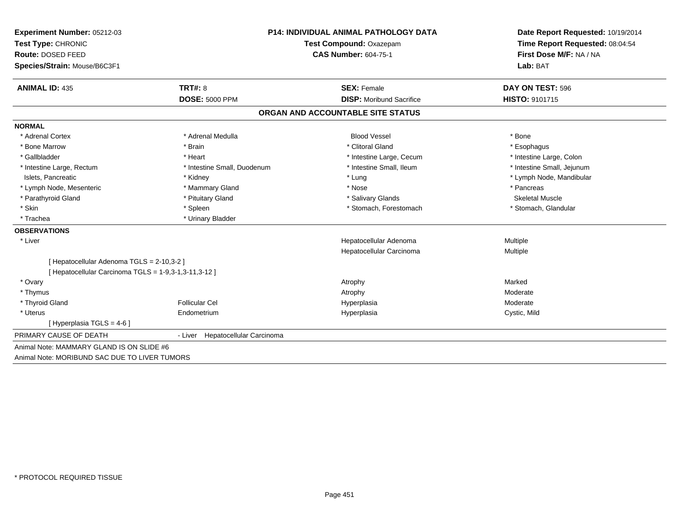| Experiment Number: 05212-03                         | <b>P14: INDIVIDUAL ANIMAL PATHOLOGY DATA</b> |                                   | Date Report Requested: 10/19/2014   |  |
|-----------------------------------------------------|----------------------------------------------|-----------------------------------|-------------------------------------|--|
| Test Type: CHRONIC                                  |                                              | Test Compound: Oxazepam           | Time Report Requested: 08:04:54     |  |
| Route: DOSED FEED                                   |                                              | <b>CAS Number: 604-75-1</b>       | First Dose M/F: NA / NA<br>Lab: BAT |  |
| Species/Strain: Mouse/B6C3F1                        |                                              |                                   |                                     |  |
| <b>ANIMAL ID: 435</b>                               | TRT#: 8                                      | <b>SEX: Female</b>                | DAY ON TEST: 596                    |  |
|                                                     | <b>DOSE: 5000 PPM</b>                        | <b>DISP:</b> Moribund Sacrifice   | <b>HISTO: 9101715</b>               |  |
|                                                     |                                              | ORGAN AND ACCOUNTABLE SITE STATUS |                                     |  |
| <b>NORMAL</b>                                       |                                              |                                   |                                     |  |
| * Adrenal Cortex                                    | * Adrenal Medulla                            | <b>Blood Vessel</b>               | * Bone                              |  |
| * Bone Marrow                                       | * Brain                                      | * Clitoral Gland                  | * Esophagus                         |  |
| * Gallbladder                                       | * Heart                                      | * Intestine Large, Cecum          | * Intestine Large, Colon            |  |
| * Intestine Large, Rectum                           | * Intestine Small, Duodenum                  | * Intestine Small, Ileum          | * Intestine Small, Jejunum          |  |
| Islets, Pancreatic                                  | * Kidney                                     | * Lung                            | * Lymph Node, Mandibular            |  |
| * Lymph Node, Mesenteric                            | * Mammary Gland                              | * Nose                            | * Pancreas                          |  |
| * Parathyroid Gland                                 | * Pituitary Gland                            | * Salivary Glands                 | Skeletal Muscle                     |  |
| * Skin                                              | * Spleen                                     | * Stomach, Forestomach            | * Stomach, Glandular                |  |
| * Trachea                                           | * Urinary Bladder                            |                                   |                                     |  |
| <b>OBSERVATIONS</b>                                 |                                              |                                   |                                     |  |
| * Liver                                             |                                              | Hepatocellular Adenoma            | Multiple                            |  |
|                                                     |                                              | Hepatocellular Carcinoma          | Multiple                            |  |
| [ Hepatocellular Adenoma TGLS = 2-10,3-2 ]          |                                              |                                   |                                     |  |
| [Hepatocellular Carcinoma TGLS = 1-9,3-1,3-11,3-12] |                                              |                                   |                                     |  |
| * Ovary                                             |                                              | Atrophy                           | Marked                              |  |
| * Thymus                                            |                                              | Atrophy                           | Moderate                            |  |
| * Thyroid Gland                                     | <b>Follicular Cel</b>                        | Hyperplasia                       | Moderate                            |  |
| * Uterus                                            | Endometrium                                  | Hyperplasia                       | Cystic, Mild                        |  |
| [Hyperplasia TGLS = 4-6]                            |                                              |                                   |                                     |  |
| PRIMARY CAUSE OF DEATH                              | Hepatocellular Carcinoma<br>- Liver          |                                   |                                     |  |
| Animal Note: MAMMARY GLAND IS ON SLIDE #6           |                                              |                                   |                                     |  |
| Animal Note: MORIBUND SAC DUE TO LIVER TUMORS       |                                              |                                   |                                     |  |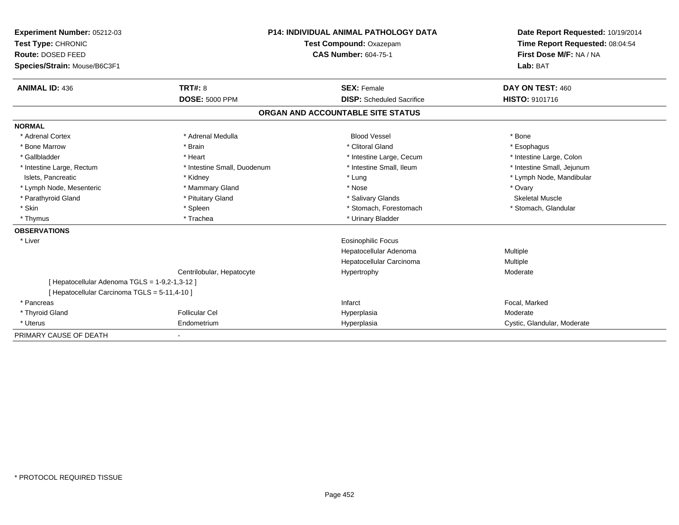| <b>Experiment Number: 05212-03</b><br>Test Type: CHRONIC<br>Route: DOSED FEED |                             | <b>P14: INDIVIDUAL ANIMAL PATHOLOGY DATA</b><br>Test Compound: Oxazepam<br><b>CAS Number: 604-75-1</b> | Date Report Requested: 10/19/2014<br>Time Report Requested: 08:04:54<br>First Dose M/F: NA / NA |
|-------------------------------------------------------------------------------|-----------------------------|--------------------------------------------------------------------------------------------------------|-------------------------------------------------------------------------------------------------|
| Species/Strain: Mouse/B6C3F1                                                  |                             |                                                                                                        | Lab: BAT                                                                                        |
| <b>ANIMAL ID: 436</b>                                                         | TRT#: 8                     | <b>SEX: Female</b>                                                                                     | DAY ON TEST: 460                                                                                |
|                                                                               | <b>DOSE: 5000 PPM</b>       | <b>DISP:</b> Scheduled Sacrifice                                                                       | HISTO: 9101716                                                                                  |
|                                                                               |                             | ORGAN AND ACCOUNTABLE SITE STATUS                                                                      |                                                                                                 |
| <b>NORMAL</b>                                                                 |                             |                                                                                                        |                                                                                                 |
| * Adrenal Cortex                                                              | * Adrenal Medulla           | <b>Blood Vessel</b>                                                                                    | * Bone                                                                                          |
| * Bone Marrow                                                                 | * Brain                     | * Clitoral Gland                                                                                       | * Esophagus                                                                                     |
| * Gallbladder                                                                 | * Heart                     | * Intestine Large, Cecum                                                                               | * Intestine Large, Colon                                                                        |
| * Intestine Large, Rectum                                                     | * Intestine Small. Duodenum | * Intestine Small. Ileum                                                                               | * Intestine Small, Jejunum                                                                      |
| Islets, Pancreatic                                                            | * Kidney                    | * Lung                                                                                                 | * Lymph Node, Mandibular                                                                        |
| * Lymph Node, Mesenteric                                                      | * Mammary Gland             | * Nose                                                                                                 | * Ovary                                                                                         |
| * Parathyroid Gland                                                           | * Pituitary Gland           | * Salivary Glands                                                                                      | <b>Skeletal Muscle</b>                                                                          |
| * Skin                                                                        | * Spleen                    | * Stomach, Forestomach                                                                                 | * Stomach, Glandular                                                                            |
| * Thymus                                                                      | * Trachea                   | * Urinary Bladder                                                                                      |                                                                                                 |
| <b>OBSERVATIONS</b>                                                           |                             |                                                                                                        |                                                                                                 |
| * Liver                                                                       |                             | Eosinophilic Focus                                                                                     |                                                                                                 |
|                                                                               |                             | Hepatocellular Adenoma                                                                                 | Multiple                                                                                        |
|                                                                               |                             | Hepatocellular Carcinoma                                                                               | Multiple                                                                                        |
|                                                                               | Centrilobular, Hepatocyte   | Hypertrophy                                                                                            | Moderate                                                                                        |
| [ Hepatocellular Adenoma TGLS = 1-9,2-1,3-12 ]                                |                             |                                                                                                        |                                                                                                 |
| [ Hepatocellular Carcinoma TGLS = 5-11,4-10 ]                                 |                             |                                                                                                        |                                                                                                 |
| * Pancreas                                                                    |                             | Infarct                                                                                                | Focal, Marked                                                                                   |
| * Thyroid Gland                                                               | <b>Follicular Cel</b>       | Hyperplasia                                                                                            | Moderate                                                                                        |
| * Uterus                                                                      | Endometrium                 | Hyperplasia                                                                                            | Cystic, Glandular, Moderate                                                                     |
| PRIMARY CAUSE OF DEATH                                                        |                             |                                                                                                        |                                                                                                 |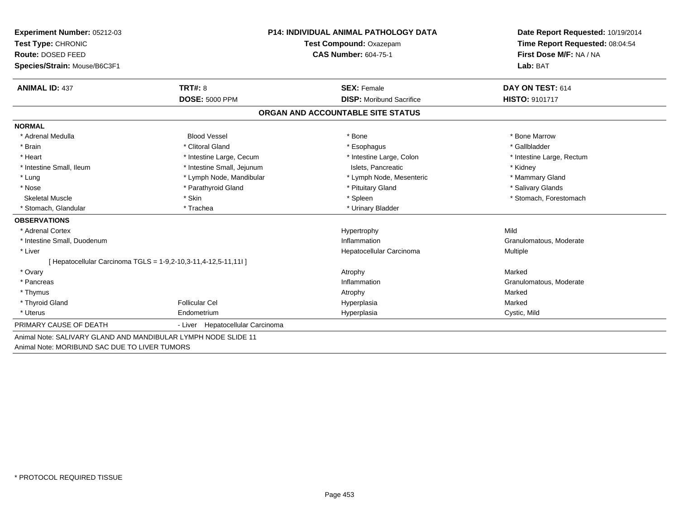| <b>Experiment Number: 05212-03</b>                             | <b>P14: INDIVIDUAL ANIMAL PATHOLOGY DATA</b><br>Test Compound: Oxazepam |                                   | Date Report Requested: 10/19/2014 |  |
|----------------------------------------------------------------|-------------------------------------------------------------------------|-----------------------------------|-----------------------------------|--|
| Test Type: CHRONIC                                             |                                                                         |                                   | Time Report Requested: 08:04:54   |  |
| Route: DOSED FEED                                              |                                                                         | <b>CAS Number: 604-75-1</b>       | First Dose M/F: NA / NA           |  |
| Species/Strain: Mouse/B6C3F1                                   |                                                                         |                                   | Lab: BAT                          |  |
| <b>ANIMAL ID: 437</b>                                          | <b>TRT#: 8</b>                                                          | <b>SEX: Female</b>                | DAY ON TEST: 614                  |  |
|                                                                | <b>DOSE: 5000 PPM</b>                                                   | <b>DISP:</b> Moribund Sacrifice   | <b>HISTO: 9101717</b>             |  |
|                                                                |                                                                         | ORGAN AND ACCOUNTABLE SITE STATUS |                                   |  |
| <b>NORMAL</b>                                                  |                                                                         |                                   |                                   |  |
| * Adrenal Medulla                                              | <b>Blood Vessel</b>                                                     | * Bone                            | * Bone Marrow                     |  |
| * Brain                                                        | * Clitoral Gland                                                        | * Esophagus                       | * Gallbladder                     |  |
| * Heart                                                        | * Intestine Large, Cecum                                                | * Intestine Large, Colon          | * Intestine Large, Rectum         |  |
| * Intestine Small. Ileum                                       | * Intestine Small, Jejunum                                              | Islets. Pancreatic                | * Kidney                          |  |
| * Lung                                                         | * Lymph Node, Mandibular                                                | * Lymph Node, Mesenteric          | * Mammary Gland                   |  |
| * Nose                                                         | * Parathyroid Gland                                                     | * Pituitary Gland                 | * Salivary Glands                 |  |
| <b>Skeletal Muscle</b>                                         | * Skin                                                                  | * Spleen                          | * Stomach, Forestomach            |  |
| * Stomach, Glandular                                           | * Trachea                                                               | * Urinary Bladder                 |                                   |  |
| <b>OBSERVATIONS</b>                                            |                                                                         |                                   |                                   |  |
| * Adrenal Cortex                                               |                                                                         | Hypertrophy                       | Mild                              |  |
| * Intestine Small, Duodenum                                    |                                                                         | Inflammation                      | Granulomatous, Moderate           |  |
| * Liver                                                        |                                                                         | Hepatocellular Carcinoma          | Multiple                          |  |
|                                                                | [ Hepatocellular Carcinoma TGLS = 1-9,2-10,3-11,4-12,5-11,11l ]         |                                   |                                   |  |
| * Ovary                                                        |                                                                         | Atrophy                           | Marked                            |  |
| * Pancreas                                                     |                                                                         | Inflammation                      | Granulomatous, Moderate           |  |
| * Thymus                                                       |                                                                         | Atrophy                           | Marked                            |  |
| * Thyroid Gland                                                | <b>Follicular Cel</b>                                                   | Hyperplasia                       | Marked                            |  |
| * Uterus                                                       | Endometrium                                                             | Hyperplasia                       | Cystic, Mild                      |  |
| PRIMARY CAUSE OF DEATH                                         | - Liver Hepatocellular Carcinoma                                        |                                   |                                   |  |
| Animal Note: SALIVARY GLAND AND MANDIBULAR LYMPH NODE SLIDE 11 |                                                                         |                                   |                                   |  |
| Animal Note: MORIBUND SAC DUE TO LIVER TUMORS                  |                                                                         |                                   |                                   |  |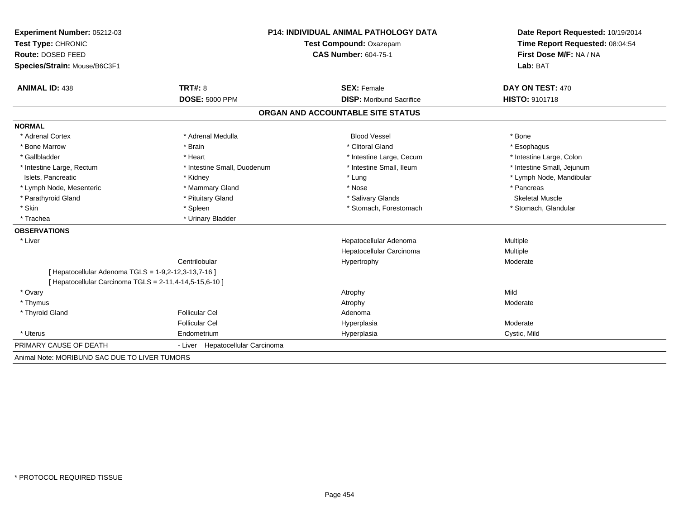| Experiment Number: 05212-03                             |                                  | <b>P14: INDIVIDUAL ANIMAL PATHOLOGY DATA</b> |                                 |  |
|---------------------------------------------------------|----------------------------------|----------------------------------------------|---------------------------------|--|
| Test Type: CHRONIC                                      |                                  | Test Compound: Oxazepam                      | Time Report Requested: 08:04:54 |  |
| Route: DOSED FEED                                       |                                  | <b>CAS Number: 604-75-1</b>                  | First Dose M/F: NA / NA         |  |
| Species/Strain: Mouse/B6C3F1                            |                                  |                                              | Lab: BAT                        |  |
| <b>ANIMAL ID: 438</b>                                   | TRT#: 8                          | <b>SEX: Female</b>                           | DAY ON TEST: 470                |  |
|                                                         | <b>DOSE: 5000 PPM</b>            | <b>DISP:</b> Moribund Sacrifice              | <b>HISTO: 9101718</b>           |  |
|                                                         |                                  | ORGAN AND ACCOUNTABLE SITE STATUS            |                                 |  |
| <b>NORMAL</b>                                           |                                  |                                              |                                 |  |
| * Adrenal Cortex                                        | * Adrenal Medulla                | <b>Blood Vessel</b>                          | * Bone                          |  |
| * Bone Marrow                                           | * Brain                          | * Clitoral Gland                             | * Esophagus                     |  |
| * Gallbladder                                           | * Heart                          | * Intestine Large, Cecum                     | * Intestine Large, Colon        |  |
| * Intestine Large, Rectum                               | * Intestine Small, Duodenum      | * Intestine Small, Ileum                     | * Intestine Small, Jejunum      |  |
| Islets, Pancreatic                                      | * Kidney                         | * Lung                                       | * Lymph Node, Mandibular        |  |
| * Lymph Node, Mesenteric                                | * Mammary Gland                  | * Nose                                       | * Pancreas                      |  |
| * Parathyroid Gland                                     | * Pituitary Gland                | * Salivary Glands                            | <b>Skeletal Muscle</b>          |  |
| * Skin                                                  | * Spleen                         | * Stomach, Forestomach                       | * Stomach, Glandular            |  |
| * Trachea                                               | * Urinary Bladder                |                                              |                                 |  |
| <b>OBSERVATIONS</b>                                     |                                  |                                              |                                 |  |
| * Liver                                                 |                                  | Hepatocellular Adenoma                       | Multiple                        |  |
|                                                         |                                  | Hepatocellular Carcinoma                     | <b>Multiple</b>                 |  |
|                                                         | Centrilobular                    | Hypertrophy                                  | Moderate                        |  |
| [ Hepatocellular Adenoma TGLS = 1-9,2-12,3-13,7-16 ]    |                                  |                                              |                                 |  |
| [ Hepatocellular Carcinoma TGLS = 2-11,4-14,5-15,6-10 ] |                                  |                                              |                                 |  |
| * Ovary                                                 |                                  | Atrophy                                      | Mild                            |  |
| * Thymus                                                |                                  | Atrophy                                      | Moderate                        |  |
| * Thyroid Gland                                         | <b>Follicular Cel</b>            | Adenoma                                      |                                 |  |
|                                                         | <b>Follicular Cel</b>            | Hyperplasia                                  | Moderate                        |  |
| * Uterus                                                | Endometrium                      | Hyperplasia                                  | Cystic, Mild                    |  |
| PRIMARY CAUSE OF DEATH                                  | - Liver Hepatocellular Carcinoma |                                              |                                 |  |
| Animal Note: MORIBUND SAC DUE TO LIVER TUMORS           |                                  |                                              |                                 |  |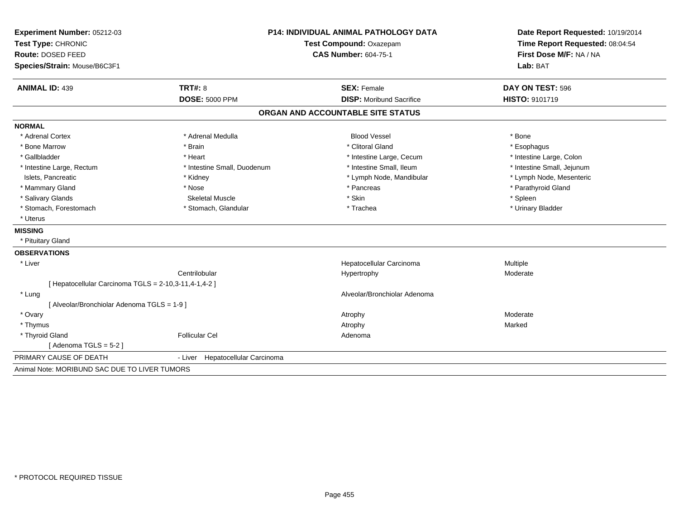| Test Type: CHRONIC                                    |                                     |                                   | Date Report Requested: 10/19/2014 |
|-------------------------------------------------------|-------------------------------------|-----------------------------------|-----------------------------------|
|                                                       | Test Compound: Oxazepam             |                                   | Time Report Requested: 08:04:54   |
| Route: DOSED FEED                                     |                                     | <b>CAS Number: 604-75-1</b>       | First Dose M/F: NA / NA           |
| Species/Strain: Mouse/B6C3F1                          |                                     |                                   | Lab: BAT                          |
| <b>ANIMAL ID: 439</b>                                 | TRT#: 8                             | <b>SEX: Female</b>                | DAY ON TEST: 596                  |
|                                                       | <b>DOSE: 5000 PPM</b>               | <b>DISP:</b> Moribund Sacrifice   | HISTO: 9101719                    |
|                                                       |                                     | ORGAN AND ACCOUNTABLE SITE STATUS |                                   |
| <b>NORMAL</b>                                         |                                     |                                   |                                   |
| * Adrenal Cortex                                      | * Adrenal Medulla                   | <b>Blood Vessel</b>               | * Bone                            |
| * Bone Marrow                                         | * Brain                             | * Clitoral Gland                  | * Esophagus                       |
| * Gallbladder                                         | * Heart                             | * Intestine Large, Cecum          | * Intestine Large, Colon          |
| * Intestine Large, Rectum                             | * Intestine Small, Duodenum         | * Intestine Small, Ileum          | * Intestine Small, Jejunum        |
| Islets, Pancreatic                                    | * Kidney                            | * Lymph Node, Mandibular          | * Lymph Node, Mesenteric          |
| * Mammary Gland                                       | * Nose                              | * Pancreas                        | * Parathyroid Gland               |
| * Salivary Glands                                     | <b>Skeletal Muscle</b>              | * Skin                            | * Spleen                          |
| * Stomach, Forestomach                                | * Stomach, Glandular                | * Trachea                         | * Urinary Bladder                 |
| * Uterus                                              |                                     |                                   |                                   |
| <b>MISSING</b>                                        |                                     |                                   |                                   |
| * Pituitary Gland                                     |                                     |                                   |                                   |
| <b>OBSERVATIONS</b>                                   |                                     |                                   |                                   |
| * Liver                                               |                                     | Hepatocellular Carcinoma          | Multiple                          |
|                                                       | Centrilobular                       | Hypertrophy                       | Moderate                          |
| [ Hepatocellular Carcinoma TGLS = 2-10,3-11,4-1,4-2 ] |                                     |                                   |                                   |
| * Lung                                                |                                     | Alveolar/Bronchiolar Adenoma      |                                   |
| [ Alveolar/Bronchiolar Adenoma TGLS = 1-9 ]           |                                     |                                   |                                   |
| * Ovary                                               |                                     | Atrophy                           | Moderate                          |
| * Thymus                                              |                                     | Atrophy                           | Marked                            |
| * Thyroid Gland                                       | <b>Follicular Cel</b>               | Adenoma                           |                                   |
| [Adenoma TGLS = 5-2]                                  |                                     |                                   |                                   |
| PRIMARY CAUSE OF DEATH                                | Hepatocellular Carcinoma<br>- Liver |                                   |                                   |
| Animal Note: MORIBUND SAC DUE TO LIVER TUMORS         |                                     |                                   |                                   |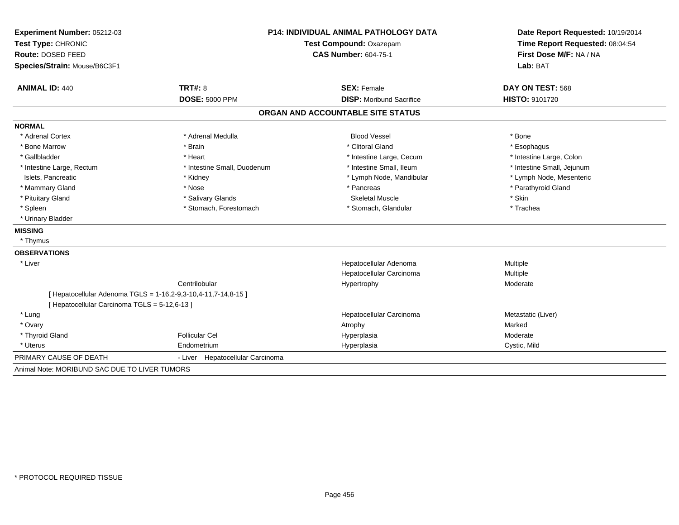| Experiment Number: 05212-03                   | <b>P14: INDIVIDUAL ANIMAL PATHOLOGY DATA</b>                   |                                   | Date Report Requested: 10/19/2014                          |  |
|-----------------------------------------------|----------------------------------------------------------------|-----------------------------------|------------------------------------------------------------|--|
| Test Type: CHRONIC                            |                                                                | Test Compound: Oxazepam           | Time Report Requested: 08:04:54<br>First Dose M/F: NA / NA |  |
| Route: DOSED FEED                             |                                                                | <b>CAS Number: 604-75-1</b>       |                                                            |  |
| Species/Strain: Mouse/B6C3F1                  |                                                                |                                   | Lab: BAT                                                   |  |
| <b>ANIMAL ID: 440</b>                         | TRT#: 8                                                        | <b>SEX: Female</b>                | DAY ON TEST: 568                                           |  |
|                                               | <b>DOSE: 5000 PPM</b>                                          | <b>DISP:</b> Moribund Sacrifice   | <b>HISTO: 9101720</b>                                      |  |
|                                               |                                                                | ORGAN AND ACCOUNTABLE SITE STATUS |                                                            |  |
| <b>NORMAL</b>                                 |                                                                |                                   |                                                            |  |
| * Adrenal Cortex                              | * Adrenal Medulla                                              | <b>Blood Vessel</b>               | * Bone                                                     |  |
| * Bone Marrow                                 | * Brain                                                        | * Clitoral Gland                  | * Esophagus                                                |  |
| * Gallbladder                                 | * Heart                                                        | * Intestine Large, Cecum          | * Intestine Large, Colon                                   |  |
| * Intestine Large, Rectum                     | * Intestine Small, Duodenum                                    | * Intestine Small, Ileum          | * Intestine Small, Jejunum                                 |  |
| Islets, Pancreatic                            | * Kidney                                                       | * Lymph Node, Mandibular          | * Lymph Node, Mesenteric                                   |  |
| * Mammary Gland                               | * Nose                                                         | * Pancreas                        | * Parathyroid Gland                                        |  |
| * Pituitary Gland                             | * Salivary Glands                                              | <b>Skeletal Muscle</b>            | * Skin                                                     |  |
| * Spleen                                      | * Stomach, Forestomach                                         | * Stomach, Glandular              | * Trachea                                                  |  |
| * Urinary Bladder                             |                                                                |                                   |                                                            |  |
| <b>MISSING</b>                                |                                                                |                                   |                                                            |  |
| * Thymus                                      |                                                                |                                   |                                                            |  |
| <b>OBSERVATIONS</b>                           |                                                                |                                   |                                                            |  |
| * Liver                                       |                                                                | Hepatocellular Adenoma            | Multiple                                                   |  |
|                                               |                                                                | Hepatocellular Carcinoma          | Multiple                                                   |  |
|                                               | Centrilobular                                                  | Hypertrophy                       | Moderate                                                   |  |
|                                               | [ Hepatocellular Adenoma TGLS = 1-16,2-9,3-10,4-11,7-14,8-15 ] |                                   |                                                            |  |
| [ Hepatocellular Carcinoma TGLS = 5-12,6-13 ] |                                                                |                                   |                                                            |  |
| * Lung                                        |                                                                | Hepatocellular Carcinoma          | Metastatic (Liver)                                         |  |
| * Ovary                                       |                                                                | Atrophy                           | Marked                                                     |  |
| * Thyroid Gland                               | <b>Follicular Cel</b>                                          | Hyperplasia                       | Moderate                                                   |  |
| * Uterus                                      | Endometrium                                                    | Hyperplasia                       | Cystic, Mild                                               |  |
| PRIMARY CAUSE OF DEATH                        | - Liver Hepatocellular Carcinoma                               |                                   |                                                            |  |
| Animal Note: MORIBUND SAC DUE TO LIVER TUMORS |                                                                |                                   |                                                            |  |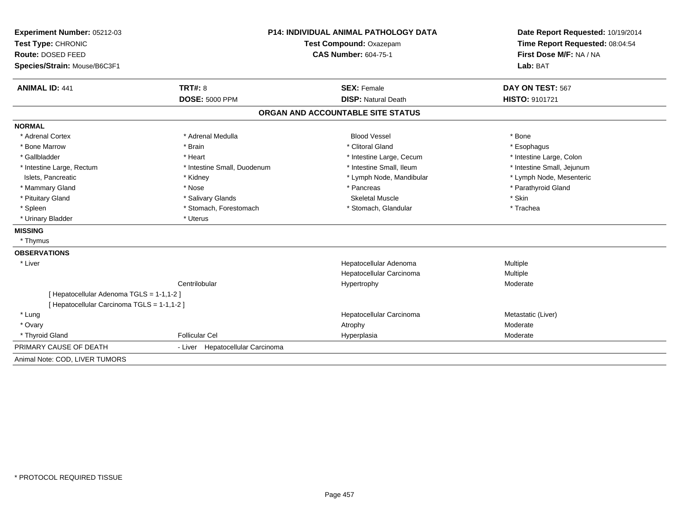| Experiment Number: 05212-03                 | <b>P14: INDIVIDUAL ANIMAL PATHOLOGY DATA</b><br>Test Compound: Oxazepam |                                   | Date Report Requested: 10/19/2014<br>Time Report Requested: 08:04:54 |  |
|---------------------------------------------|-------------------------------------------------------------------------|-----------------------------------|----------------------------------------------------------------------|--|
| Test Type: CHRONIC                          |                                                                         |                                   |                                                                      |  |
| Route: DOSED FEED                           |                                                                         | <b>CAS Number: 604-75-1</b>       |                                                                      |  |
| Species/Strain: Mouse/B6C3F1                |                                                                         |                                   | Lab: BAT                                                             |  |
| <b>ANIMAL ID: 441</b>                       | TRT#: 8                                                                 | <b>SEX: Female</b>                | DAY ON TEST: 567                                                     |  |
|                                             | <b>DOSE: 5000 PPM</b>                                                   | <b>DISP: Natural Death</b>        | HISTO: 9101721                                                       |  |
|                                             |                                                                         | ORGAN AND ACCOUNTABLE SITE STATUS |                                                                      |  |
| <b>NORMAL</b>                               |                                                                         |                                   |                                                                      |  |
| * Adrenal Cortex                            | * Adrenal Medulla                                                       | <b>Blood Vessel</b>               | * Bone                                                               |  |
| * Bone Marrow                               | * Brain                                                                 | * Clitoral Gland                  | * Esophagus                                                          |  |
| * Gallbladder                               | * Heart                                                                 | * Intestine Large, Cecum          | * Intestine Large, Colon                                             |  |
| * Intestine Large, Rectum                   | * Intestine Small, Duodenum                                             | * Intestine Small. Ileum          | * Intestine Small, Jejunum                                           |  |
| Islets, Pancreatic                          | * Kidney                                                                | * Lymph Node, Mandibular          | * Lymph Node, Mesenteric                                             |  |
| * Mammary Gland                             | * Nose                                                                  | * Pancreas                        | * Parathyroid Gland                                                  |  |
| * Pituitary Gland                           | * Salivary Glands                                                       | <b>Skeletal Muscle</b>            | * Skin                                                               |  |
| * Spleen                                    | * Stomach, Forestomach                                                  | * Stomach, Glandular              | * Trachea                                                            |  |
| * Urinary Bladder                           | * Uterus                                                                |                                   |                                                                      |  |
| <b>MISSING</b>                              |                                                                         |                                   |                                                                      |  |
| * Thymus                                    |                                                                         |                                   |                                                                      |  |
| <b>OBSERVATIONS</b>                         |                                                                         |                                   |                                                                      |  |
| * Liver                                     |                                                                         | Hepatocellular Adenoma            | Multiple                                                             |  |
|                                             |                                                                         | Hepatocellular Carcinoma          | Multiple                                                             |  |
|                                             | Centrilobular                                                           | Hypertrophy                       | Moderate                                                             |  |
| [ Hepatocellular Adenoma TGLS = 1-1,1-2 ]   |                                                                         |                                   |                                                                      |  |
| [ Hepatocellular Carcinoma TGLS = 1-1,1-2 ] |                                                                         |                                   |                                                                      |  |
| * Lung                                      |                                                                         | Hepatocellular Carcinoma          | Metastatic (Liver)                                                   |  |
| * Ovary                                     |                                                                         | Atrophy                           | Moderate                                                             |  |
| * Thyroid Gland                             | <b>Follicular Cel</b>                                                   | Hyperplasia                       | Moderate                                                             |  |
| PRIMARY CAUSE OF DEATH                      | - Liver Hepatocellular Carcinoma                                        |                                   |                                                                      |  |
| Animal Note: COD, LIVER TUMORS              |                                                                         |                                   |                                                                      |  |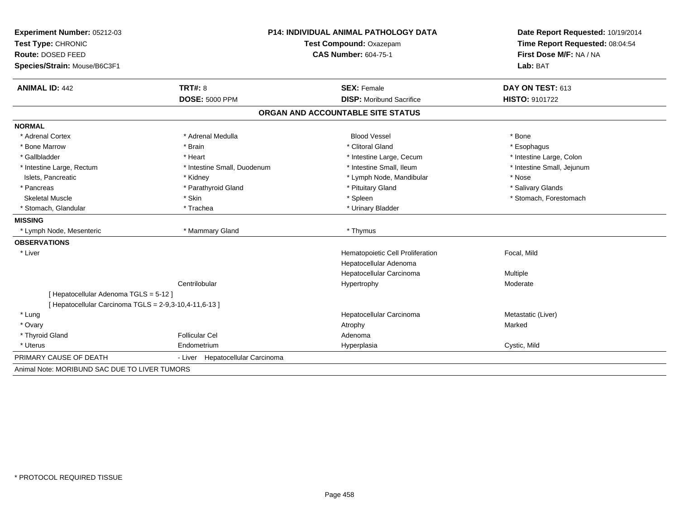| Experiment Number: 05212-03                            | <b>P14: INDIVIDUAL ANIMAL PATHOLOGY DATA</b> |                                                        | Date Report Requested: 10/19/2014 |  |
|--------------------------------------------------------|----------------------------------------------|--------------------------------------------------------|-----------------------------------|--|
| Test Type: CHRONIC                                     |                                              | Test Compound: Oxazepam<br><b>CAS Number: 604-75-1</b> |                                   |  |
| Route: DOSED FEED                                      |                                              |                                                        |                                   |  |
| Species/Strain: Mouse/B6C3F1                           |                                              |                                                        | Lab: BAT                          |  |
| <b>ANIMAL ID: 442</b>                                  | <b>TRT#: 8</b>                               | <b>SEX: Female</b>                                     | DAY ON TEST: 613                  |  |
|                                                        | <b>DOSE: 5000 PPM</b>                        | <b>DISP:</b> Moribund Sacrifice                        | HISTO: 9101722                    |  |
|                                                        |                                              | ORGAN AND ACCOUNTABLE SITE STATUS                      |                                   |  |
| <b>NORMAL</b>                                          |                                              |                                                        |                                   |  |
| * Adrenal Cortex                                       | * Adrenal Medulla                            | <b>Blood Vessel</b>                                    | * Bone                            |  |
| * Bone Marrow                                          | * Brain                                      | * Clitoral Gland                                       | * Esophagus                       |  |
| * Gallbladder                                          | * Heart                                      | * Intestine Large, Cecum                               | * Intestine Large, Colon          |  |
| * Intestine Large, Rectum                              | * Intestine Small, Duodenum                  | * Intestine Small, Ileum                               | * Intestine Small, Jejunum        |  |
| Islets, Pancreatic                                     | * Kidney                                     | * Lymph Node, Mandibular                               | * Nose                            |  |
| * Pancreas                                             | * Parathyroid Gland                          | * Pituitary Gland                                      | * Salivary Glands                 |  |
| <b>Skeletal Muscle</b>                                 | * Skin                                       | * Spleen                                               | * Stomach, Forestomach            |  |
| * Stomach, Glandular                                   | * Trachea                                    | * Urinary Bladder                                      |                                   |  |
| <b>MISSING</b>                                         |                                              |                                                        |                                   |  |
| * Lymph Node, Mesenteric                               | * Mammary Gland                              | * Thymus                                               |                                   |  |
| <b>OBSERVATIONS</b>                                    |                                              |                                                        |                                   |  |
| * Liver                                                |                                              | Hematopoietic Cell Proliferation                       | Focal, Mild                       |  |
|                                                        |                                              | Hepatocellular Adenoma                                 |                                   |  |
|                                                        |                                              | Hepatocellular Carcinoma                               | Multiple                          |  |
|                                                        | Centrilobular                                | Hypertrophy                                            | Moderate                          |  |
| [Hepatocellular Adenoma TGLS = 5-12]                   |                                              |                                                        |                                   |  |
| [ Hepatocellular Carcinoma TGLS = 2-9,3-10,4-11,6-13 ] |                                              |                                                        |                                   |  |
| * Lung                                                 |                                              | Hepatocellular Carcinoma                               | Metastatic (Liver)                |  |
| * Ovary                                                |                                              | Atrophy                                                | Marked                            |  |
| * Thyroid Gland                                        | <b>Follicular Cel</b>                        | Adenoma                                                |                                   |  |
| * Uterus                                               | Endometrium                                  | Hyperplasia                                            | Cystic, Mild                      |  |
| PRIMARY CAUSE OF DEATH                                 | - Liver Hepatocellular Carcinoma             |                                                        |                                   |  |
| Animal Note: MORIBUND SAC DUE TO LIVER TUMORS          |                                              |                                                        |                                   |  |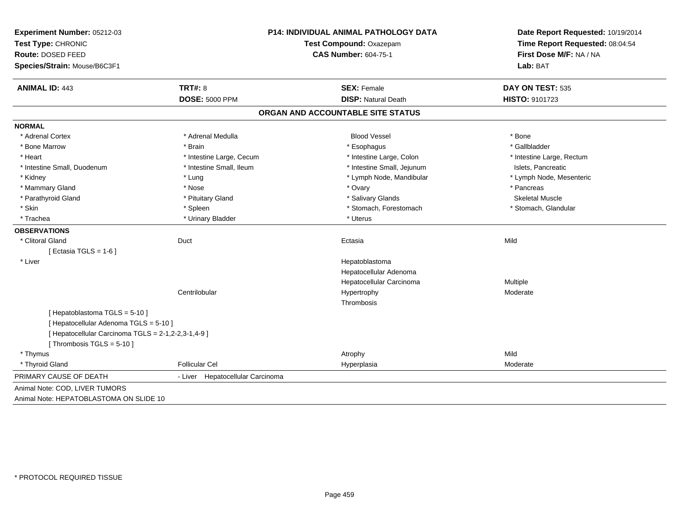| Experiment Number: 05212-03<br>Test Type: CHRONIC<br>Route: DOSED FEED<br>Species/Strain: Mouse/B6C3F1 |                                  | P14: INDIVIDUAL ANIMAL PATHOLOGY DATA<br>Test Compound: Oxazepam<br><b>CAS Number: 604-75-1</b> |                           |
|--------------------------------------------------------------------------------------------------------|----------------------------------|-------------------------------------------------------------------------------------------------|---------------------------|
| <b>ANIMAL ID: 443</b>                                                                                  | <b>TRT#: 8</b>                   | <b>SEX: Female</b>                                                                              | DAY ON TEST: 535          |
|                                                                                                        | <b>DOSE: 5000 PPM</b>            | <b>DISP: Natural Death</b>                                                                      | HISTO: 9101723            |
|                                                                                                        |                                  | ORGAN AND ACCOUNTABLE SITE STATUS                                                               |                           |
| <b>NORMAL</b>                                                                                          |                                  |                                                                                                 |                           |
| * Adrenal Cortex                                                                                       | * Adrenal Medulla                | <b>Blood Vessel</b>                                                                             | * Bone                    |
| * Bone Marrow                                                                                          | * Brain                          | * Esophagus                                                                                     | * Gallbladder             |
| * Heart                                                                                                | * Intestine Large, Cecum         | * Intestine Large, Colon                                                                        | * Intestine Large, Rectum |
| * Intestine Small, Duodenum                                                                            | * Intestine Small. Ileum         | * Intestine Small, Jejunum                                                                      | Islets, Pancreatic        |
| * Kidney                                                                                               | * Lung                           | * Lymph Node, Mandibular                                                                        | * Lymph Node, Mesenteric  |
| * Mammary Gland                                                                                        | * Nose                           | * Ovary                                                                                         | * Pancreas                |
| * Parathyroid Gland                                                                                    | * Pituitary Gland                | * Salivary Glands                                                                               | <b>Skeletal Muscle</b>    |
| * Skin                                                                                                 | * Spleen                         | * Stomach, Forestomach                                                                          | * Stomach, Glandular      |
| * Trachea                                                                                              | * Urinary Bladder                | * Uterus                                                                                        |                           |
| <b>OBSERVATIONS</b>                                                                                    |                                  |                                                                                                 |                           |
| * Clitoral Gland                                                                                       | Duct                             | Ectasia                                                                                         | Mild                      |
| [Ectasia TGLS = $1-6$ ]                                                                                |                                  |                                                                                                 |                           |
| * Liver                                                                                                |                                  | Hepatoblastoma                                                                                  |                           |
|                                                                                                        |                                  | Hepatocellular Adenoma                                                                          |                           |
|                                                                                                        |                                  | Hepatocellular Carcinoma                                                                        | Multiple                  |
|                                                                                                        | Centrilobular                    | Hypertrophy                                                                                     | Moderate                  |
|                                                                                                        |                                  | Thrombosis                                                                                      |                           |
| [Hepatoblastoma TGLS = 5-10]                                                                           |                                  |                                                                                                 |                           |
| [ Hepatocellular Adenoma TGLS = 5-10 ]                                                                 |                                  |                                                                                                 |                           |
| [ Hepatocellular Carcinoma TGLS = 2-1,2-2,3-1,4-9 ]                                                    |                                  |                                                                                                 |                           |
| [Thrombosis TGLS = $5-10$ ]                                                                            |                                  |                                                                                                 |                           |
| * Thymus                                                                                               |                                  | Atrophy                                                                                         | Mild                      |
| * Thyroid Gland                                                                                        | <b>Follicular Cel</b>            | Hyperplasia                                                                                     | Moderate                  |
| PRIMARY CAUSE OF DEATH                                                                                 | - Liver Hepatocellular Carcinoma |                                                                                                 |                           |
| Animal Note: COD, LIVER TUMORS                                                                         |                                  |                                                                                                 |                           |
| Animal Note: HEPATOBLASTOMA ON SLIDE 10                                                                |                                  |                                                                                                 |                           |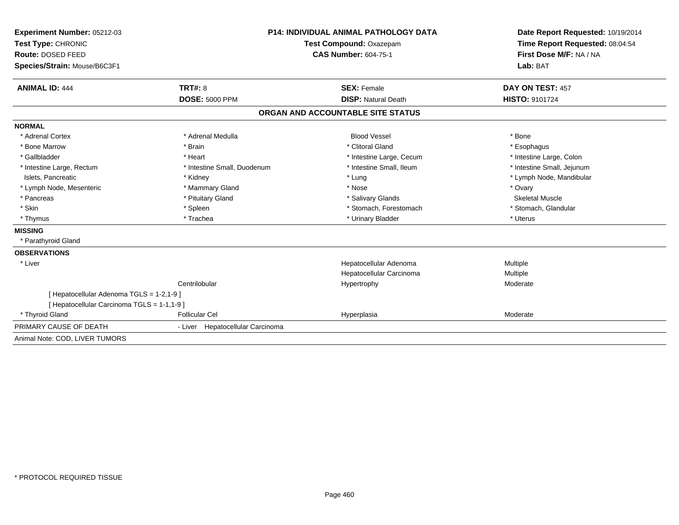| Experiment Number: 05212-03<br>Test Type: CHRONIC<br>Route: DOSED FEED |                                  | P14: INDIVIDUAL ANIMAL PATHOLOGY DATA | Date Report Requested: 10/19/2014<br>Time Report Requested: 08:04:54<br>First Dose M/F: NA / NA |
|------------------------------------------------------------------------|----------------------------------|---------------------------------------|-------------------------------------------------------------------------------------------------|
|                                                                        |                                  | Test Compound: Oxazepam               |                                                                                                 |
|                                                                        |                                  | <b>CAS Number: 604-75-1</b>           |                                                                                                 |
| Species/Strain: Mouse/B6C3F1                                           |                                  |                                       | Lab: BAT                                                                                        |
|                                                                        |                                  |                                       |                                                                                                 |
| <b>ANIMAL ID: 444</b>                                                  | TRT#: 8                          | <b>SEX: Female</b>                    | DAY ON TEST: 457                                                                                |
|                                                                        | <b>DOSE: 5000 PPM</b>            | <b>DISP: Natural Death</b>            | <b>HISTO: 9101724</b>                                                                           |
|                                                                        |                                  | ORGAN AND ACCOUNTABLE SITE STATUS     |                                                                                                 |
| <b>NORMAL</b>                                                          |                                  |                                       |                                                                                                 |
| * Adrenal Cortex                                                       | * Adrenal Medulla                | <b>Blood Vessel</b>                   | * Bone                                                                                          |
| * Bone Marrow                                                          | * Brain                          | * Clitoral Gland                      | * Esophagus                                                                                     |
| * Gallbladder                                                          | * Heart                          | * Intestine Large, Cecum              | * Intestine Large, Colon                                                                        |
| * Intestine Large, Rectum                                              | * Intestine Small, Duodenum      | * Intestine Small, Ileum              | * Intestine Small, Jejunum                                                                      |
| Islets, Pancreatic                                                     | * Kidney                         | * Lung                                | * Lymph Node, Mandibular                                                                        |
| * Lymph Node, Mesenteric                                               | * Mammary Gland                  | * Nose                                | * Ovary                                                                                         |
| * Pancreas                                                             | * Pituitary Gland                | * Salivary Glands                     | <b>Skeletal Muscle</b>                                                                          |
| * Skin                                                                 | * Spleen                         | * Stomach, Forestomach                | * Stomach, Glandular                                                                            |
| * Thymus                                                               | * Trachea                        | * Urinary Bladder                     | * Uterus                                                                                        |
| <b>MISSING</b>                                                         |                                  |                                       |                                                                                                 |
| * Parathyroid Gland                                                    |                                  |                                       |                                                                                                 |
| <b>OBSERVATIONS</b>                                                    |                                  |                                       |                                                                                                 |
| * Liver                                                                |                                  | Hepatocellular Adenoma                | Multiple                                                                                        |
|                                                                        |                                  | Hepatocellular Carcinoma              | <b>Multiple</b>                                                                                 |
|                                                                        | Centrilobular                    | Hypertrophy                           | Moderate                                                                                        |
| [ Hepatocellular Adenoma TGLS = 1-2,1-9 ]                              |                                  |                                       |                                                                                                 |
| [ Hepatocellular Carcinoma TGLS = 1-1,1-9 ]                            |                                  |                                       |                                                                                                 |
| * Thyroid Gland                                                        | <b>Follicular Cel</b>            | Hyperplasia                           | Moderate                                                                                        |
| PRIMARY CAUSE OF DEATH                                                 | - Liver Hepatocellular Carcinoma |                                       |                                                                                                 |
| Animal Note: COD, LIVER TUMORS                                         |                                  |                                       |                                                                                                 |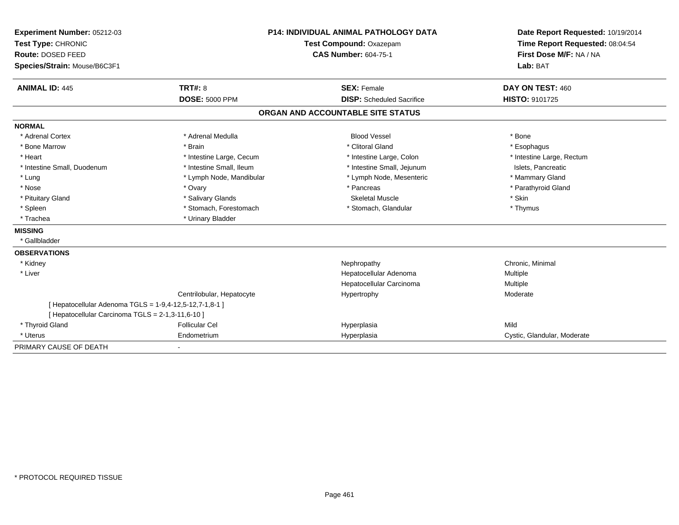| Experiment Number: 05212-03                             | P14: INDIVIDUAL ANIMAL PATHOLOGY DATA<br>Test Compound: Oxazepam |                                   | Date Report Requested: 10/19/2014 |
|---------------------------------------------------------|------------------------------------------------------------------|-----------------------------------|-----------------------------------|
| Test Type: CHRONIC                                      |                                                                  |                                   | Time Report Requested: 08:04:54   |
| Route: DOSED FEED                                       |                                                                  | <b>CAS Number: 604-75-1</b>       | First Dose M/F: NA / NA           |
| Species/Strain: Mouse/B6C3F1                            |                                                                  |                                   | Lab: BAT                          |
| <b>ANIMAL ID: 445</b>                                   | TRT#: 8                                                          | <b>SEX: Female</b>                | DAY ON TEST: 460                  |
|                                                         | <b>DOSE: 5000 PPM</b>                                            | <b>DISP:</b> Scheduled Sacrifice  | <b>HISTO: 9101725</b>             |
|                                                         |                                                                  | ORGAN AND ACCOUNTABLE SITE STATUS |                                   |
| <b>NORMAL</b>                                           |                                                                  |                                   |                                   |
| * Adrenal Cortex                                        | * Adrenal Medulla                                                | <b>Blood Vessel</b>               | * Bone                            |
| * Bone Marrow                                           | * Brain                                                          | * Clitoral Gland                  | * Esophagus                       |
| * Heart                                                 | * Intestine Large, Cecum                                         | * Intestine Large, Colon          | * Intestine Large, Rectum         |
| * Intestine Small, Duodenum                             | * Intestine Small, Ileum                                         | * Intestine Small, Jejunum        | Islets, Pancreatic                |
| * Lung                                                  | * Lymph Node, Mandibular                                         | * Lymph Node, Mesenteric          | * Mammary Gland                   |
| * Nose                                                  | * Ovary                                                          | * Pancreas                        | * Parathyroid Gland               |
| * Pituitary Gland                                       | * Salivary Glands                                                | <b>Skeletal Muscle</b>            | * Skin                            |
| * Spleen                                                | * Stomach, Forestomach                                           | * Stomach, Glandular              | * Thymus                          |
| * Trachea                                               | * Urinary Bladder                                                |                                   |                                   |
| <b>MISSING</b>                                          |                                                                  |                                   |                                   |
| * Gallbladder                                           |                                                                  |                                   |                                   |
| <b>OBSERVATIONS</b>                                     |                                                                  |                                   |                                   |
| * Kidney                                                |                                                                  | Nephropathy                       | Chronic, Minimal                  |
| * Liver                                                 |                                                                  | Hepatocellular Adenoma            | Multiple                          |
|                                                         |                                                                  | Hepatocellular Carcinoma          | Multiple                          |
|                                                         | Centrilobular, Hepatocyte                                        | Hypertrophy                       | Moderate                          |
| [ Hepatocellular Adenoma TGLS = 1-9,4-12,5-12,7-1,8-1 ] |                                                                  |                                   |                                   |
| [ Hepatocellular Carcinoma TGLS = 2-1,3-11,6-10 ]       |                                                                  |                                   |                                   |
| * Thyroid Gland                                         | <b>Follicular Cel</b>                                            | Hyperplasia                       | Mild                              |
| * Uterus                                                | Endometrium                                                      | Hyperplasia                       | Cystic, Glandular, Moderate       |
| PRIMARY CAUSE OF DEATH                                  |                                                                  |                                   |                                   |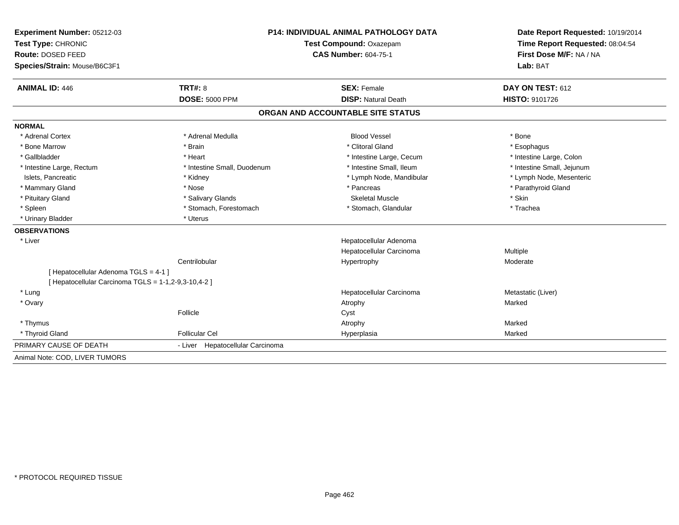| Experiment Number: 05212-03                          | <b>P14: INDIVIDUAL ANIMAL PATHOLOGY DATA</b><br>Test Compound: Oxazepam |                                   | Date Report Requested: 10/19/2014   |  |
|------------------------------------------------------|-------------------------------------------------------------------------|-----------------------------------|-------------------------------------|--|
| Test Type: CHRONIC                                   |                                                                         |                                   | Time Report Requested: 08:04:54     |  |
| Route: DOSED FEED                                    |                                                                         | <b>CAS Number: 604-75-1</b>       |                                     |  |
| Species/Strain: Mouse/B6C3F1                         |                                                                         |                                   | First Dose M/F: NA / NA<br>Lab: BAT |  |
| <b>ANIMAL ID: 446</b>                                | TRT#: 8                                                                 | <b>SEX: Female</b>                | DAY ON TEST: 612                    |  |
|                                                      | <b>DOSE: 5000 PPM</b>                                                   | <b>DISP: Natural Death</b>        | <b>HISTO: 9101726</b>               |  |
|                                                      |                                                                         | ORGAN AND ACCOUNTABLE SITE STATUS |                                     |  |
| <b>NORMAL</b>                                        |                                                                         |                                   |                                     |  |
| * Adrenal Cortex                                     | * Adrenal Medulla                                                       | <b>Blood Vessel</b>               | * Bone                              |  |
| * Bone Marrow                                        | * Brain                                                                 | * Clitoral Gland                  | * Esophagus                         |  |
| * Gallbladder                                        | * Heart                                                                 | * Intestine Large, Cecum          | * Intestine Large, Colon            |  |
| * Intestine Large, Rectum                            | * Intestine Small, Duodenum                                             | * Intestine Small, Ileum          | * Intestine Small, Jejunum          |  |
| Islets, Pancreatic                                   | * Kidney                                                                | * Lymph Node, Mandibular          | * Lymph Node, Mesenteric            |  |
| * Mammary Gland                                      | * Nose                                                                  | * Pancreas                        | * Parathyroid Gland                 |  |
| * Pituitary Gland                                    | * Salivary Glands                                                       | <b>Skeletal Muscle</b>            | * Skin                              |  |
| * Spleen                                             | * Stomach, Forestomach                                                  | * Stomach, Glandular              | * Trachea                           |  |
| * Urinary Bladder                                    | * Uterus                                                                |                                   |                                     |  |
| <b>OBSERVATIONS</b>                                  |                                                                         |                                   |                                     |  |
| * Liver                                              |                                                                         | Hepatocellular Adenoma            |                                     |  |
|                                                      |                                                                         | Hepatocellular Carcinoma          | <b>Multiple</b>                     |  |
|                                                      | Centrilobular                                                           | Hypertrophy                       | Moderate                            |  |
| [ Hepatocellular Adenoma TGLS = 4-1 ]                |                                                                         |                                   |                                     |  |
| [ Hepatocellular Carcinoma TGLS = 1-1,2-9,3-10,4-2 ] |                                                                         |                                   |                                     |  |
| * Lung                                               |                                                                         | Hepatocellular Carcinoma          | Metastatic (Liver)                  |  |
| * Ovary                                              |                                                                         | Atrophy                           | Marked                              |  |
|                                                      | Follicle                                                                | Cyst                              |                                     |  |
| * Thymus                                             |                                                                         | Atrophy                           | Marked                              |  |
| * Thyroid Gland                                      | <b>Follicular Cel</b>                                                   | Hyperplasia                       | Marked                              |  |
| PRIMARY CAUSE OF DEATH                               | - Liver Hepatocellular Carcinoma                                        |                                   |                                     |  |
| Animal Note: COD, LIVER TUMORS                       |                                                                         |                                   |                                     |  |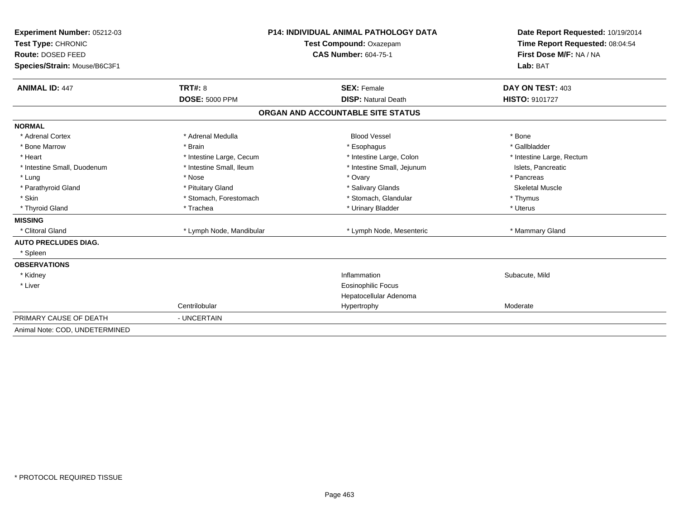| Experiment Number: 05212-03<br>Test Type: CHRONIC<br>Route: DOSED FEED<br>Species/Strain: Mouse/B6C3F1 |                                  | <b>P14: INDIVIDUAL ANIMAL PATHOLOGY DATA</b><br><b>Test Compound: Oxazepam</b><br><b>CAS Number: 604-75-1</b> | Date Report Requested: 10/19/2014<br>Time Report Requested: 08:04:54<br>First Dose M/F: NA / NA<br>Lab: BAT |
|--------------------------------------------------------------------------------------------------------|----------------------------------|---------------------------------------------------------------------------------------------------------------|-------------------------------------------------------------------------------------------------------------|
| <b>ANIMAL ID: 447</b>                                                                                  | TRT#: 8<br><b>DOSE: 5000 PPM</b> | <b>SEX: Female</b><br><b>DISP: Natural Death</b>                                                              | DAY ON TEST: 403                                                                                            |
|                                                                                                        |                                  |                                                                                                               | HISTO: 9101727                                                                                              |
|                                                                                                        |                                  | ORGAN AND ACCOUNTABLE SITE STATUS                                                                             |                                                                                                             |
| <b>NORMAL</b>                                                                                          |                                  |                                                                                                               |                                                                                                             |
| * Adrenal Cortex                                                                                       | * Adrenal Medulla                | <b>Blood Vessel</b>                                                                                           | * Bone                                                                                                      |
| * Bone Marrow                                                                                          | * Brain                          | * Esophagus                                                                                                   | * Gallbladder                                                                                               |
| * Heart                                                                                                | * Intestine Large, Cecum         | * Intestine Large, Colon                                                                                      | * Intestine Large, Rectum                                                                                   |
| * Intestine Small, Duodenum                                                                            | * Intestine Small, Ileum         | * Intestine Small, Jejunum                                                                                    | Islets, Pancreatic                                                                                          |
| * Lung                                                                                                 | * Nose                           | * Ovary                                                                                                       | * Pancreas                                                                                                  |
| * Parathyroid Gland                                                                                    | * Pituitary Gland                | * Salivary Glands                                                                                             | <b>Skeletal Muscle</b>                                                                                      |
| * Skin                                                                                                 | * Stomach, Forestomach           | * Stomach, Glandular                                                                                          | * Thymus                                                                                                    |
| * Thyroid Gland                                                                                        | * Trachea                        | * Urinary Bladder                                                                                             | * Uterus                                                                                                    |
| <b>MISSING</b>                                                                                         |                                  |                                                                                                               |                                                                                                             |
| * Clitoral Gland                                                                                       | * Lymph Node, Mandibular         | * Lymph Node, Mesenteric                                                                                      | * Mammary Gland                                                                                             |
| <b>AUTO PRECLUDES DIAG.</b>                                                                            |                                  |                                                                                                               |                                                                                                             |
| * Spleen                                                                                               |                                  |                                                                                                               |                                                                                                             |
| <b>OBSERVATIONS</b>                                                                                    |                                  |                                                                                                               |                                                                                                             |
| * Kidney                                                                                               |                                  | Inflammation                                                                                                  | Subacute, Mild                                                                                              |
| * Liver                                                                                                |                                  | <b>Eosinophilic Focus</b>                                                                                     |                                                                                                             |
|                                                                                                        |                                  | Hepatocellular Adenoma                                                                                        |                                                                                                             |
|                                                                                                        | Centrilobular                    | Hypertrophy                                                                                                   | Moderate                                                                                                    |
| PRIMARY CAUSE OF DEATH                                                                                 | - UNCERTAIN                      |                                                                                                               |                                                                                                             |
| Animal Note: COD, UNDETERMINED                                                                         |                                  |                                                                                                               |                                                                                                             |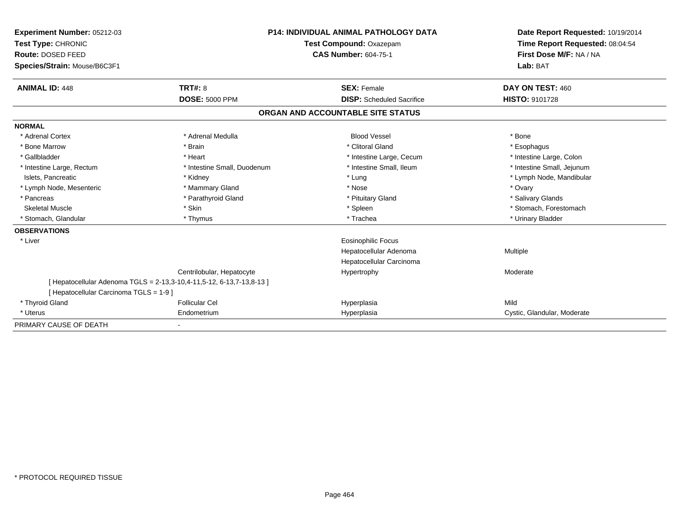| <b>Experiment Number: 05212-03</b><br>Test Type: CHRONIC<br>Route: DOSED FEED |                                                                     | <b>P14: INDIVIDUAL ANIMAL PATHOLOGY DATA</b><br>Test Compound: Oxazepam<br><b>CAS Number: 604-75-1</b> | Date Report Requested: 10/19/2014<br>Time Report Requested: 08:04:54<br>First Dose M/F: NA / NA |
|-------------------------------------------------------------------------------|---------------------------------------------------------------------|--------------------------------------------------------------------------------------------------------|-------------------------------------------------------------------------------------------------|
| Species/Strain: Mouse/B6C3F1                                                  |                                                                     |                                                                                                        | Lab: BAT                                                                                        |
| <b>ANIMAL ID: 448</b>                                                         | TRT#: 8                                                             | <b>SEX: Female</b>                                                                                     | DAY ON TEST: 460                                                                                |
|                                                                               | <b>DOSE: 5000 PPM</b>                                               | <b>DISP:</b> Scheduled Sacrifice                                                                       | <b>HISTO: 9101728</b>                                                                           |
|                                                                               |                                                                     | ORGAN AND ACCOUNTABLE SITE STATUS                                                                      |                                                                                                 |
| <b>NORMAL</b>                                                                 |                                                                     |                                                                                                        |                                                                                                 |
| * Adrenal Cortex                                                              | * Adrenal Medulla                                                   | <b>Blood Vessel</b>                                                                                    | * Bone                                                                                          |
| * Bone Marrow                                                                 | * Brain                                                             | * Clitoral Gland                                                                                       | * Esophagus                                                                                     |
| * Gallbladder                                                                 | * Heart                                                             | * Intestine Large, Cecum                                                                               | * Intestine Large, Colon                                                                        |
| * Intestine Large, Rectum                                                     | * Intestine Small, Duodenum                                         | * Intestine Small. Ileum                                                                               | * Intestine Small, Jejunum                                                                      |
| Islets, Pancreatic                                                            | * Kidney                                                            | * Lung                                                                                                 | * Lymph Node, Mandibular                                                                        |
| * Lymph Node, Mesenteric                                                      | * Mammary Gland                                                     | * Nose                                                                                                 | * Ovary                                                                                         |
| * Pancreas                                                                    | * Parathyroid Gland                                                 | * Pituitary Gland                                                                                      | * Salivary Glands                                                                               |
| <b>Skeletal Muscle</b>                                                        | * Skin                                                              | * Spleen                                                                                               | * Stomach, Forestomach                                                                          |
| <b>Stomach, Glandular</b>                                                     | * Thymus                                                            | * Trachea                                                                                              | * Urinary Bladder                                                                               |
| <b>OBSERVATIONS</b>                                                           |                                                                     |                                                                                                        |                                                                                                 |
| * Liver                                                                       |                                                                     | <b>Eosinophilic Focus</b>                                                                              |                                                                                                 |
|                                                                               |                                                                     | Hepatocellular Adenoma                                                                                 | Multiple                                                                                        |
|                                                                               |                                                                     | Hepatocellular Carcinoma                                                                               |                                                                                                 |
|                                                                               | Centrilobular, Hepatocyte                                           | Hypertrophy                                                                                            | Moderate                                                                                        |
|                                                                               | [Hepatocellular Adenoma TGLS = 2-13,3-10,4-11,5-12, 6-13,7-13,8-13] |                                                                                                        |                                                                                                 |
| [ Hepatocellular Carcinoma TGLS = 1-9 ]                                       |                                                                     |                                                                                                        |                                                                                                 |
| * Thyroid Gland                                                               | <b>Follicular Cel</b>                                               | Hyperplasia                                                                                            | Mild                                                                                            |
| * Uterus                                                                      | Endometrium                                                         | Hyperplasia                                                                                            | Cystic, Glandular, Moderate                                                                     |
| PRIMARY CAUSE OF DEATH                                                        |                                                                     |                                                                                                        |                                                                                                 |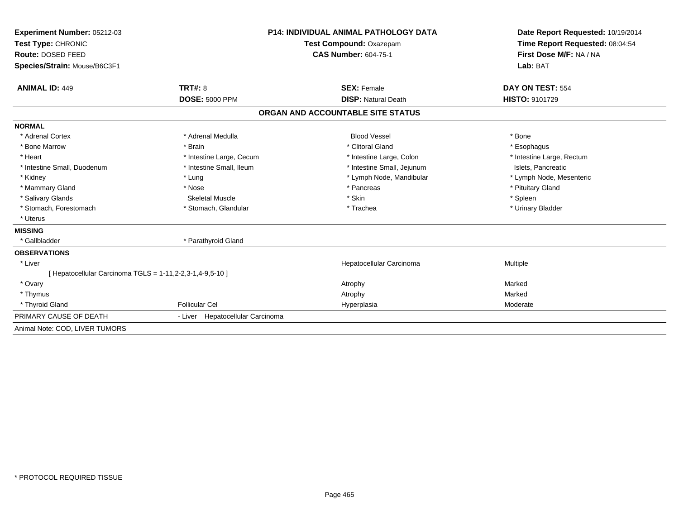| Experiment Number: 05212-03                               |                                  | <b>P14: INDIVIDUAL ANIMAL PATHOLOGY DATA</b> | Date Report Requested: 10/19/2014 |
|-----------------------------------------------------------|----------------------------------|----------------------------------------------|-----------------------------------|
| Test Type: CHRONIC                                        | Test Compound: Oxazepam          |                                              | Time Report Requested: 08:04:54   |
| Route: DOSED FEED                                         |                                  | <b>CAS Number: 604-75-1</b>                  | First Dose M/F: NA / NA           |
| Species/Strain: Mouse/B6C3F1                              |                                  |                                              | Lab: BAT                          |
| <b>ANIMAL ID: 449</b>                                     | TRT#: 8                          | <b>SEX: Female</b>                           | DAY ON TEST: 554                  |
|                                                           | <b>DOSE: 5000 PPM</b>            | <b>DISP: Natural Death</b>                   | <b>HISTO: 9101729</b>             |
|                                                           |                                  | ORGAN AND ACCOUNTABLE SITE STATUS            |                                   |
| <b>NORMAL</b>                                             |                                  |                                              |                                   |
| * Adrenal Cortex                                          | * Adrenal Medulla                | <b>Blood Vessel</b>                          | * Bone                            |
| * Bone Marrow                                             | * Brain                          | * Clitoral Gland                             | * Esophagus                       |
| * Heart                                                   | * Intestine Large, Cecum         | * Intestine Large, Colon                     | * Intestine Large, Rectum         |
| * Intestine Small, Duodenum                               | * Intestine Small. Ileum         | * Intestine Small, Jejunum                   | Islets, Pancreatic                |
| * Kidney                                                  | * Lung                           | * Lymph Node, Mandibular                     | * Lymph Node, Mesenteric          |
| * Mammary Gland                                           | * Nose                           | * Pancreas                                   | * Pituitary Gland                 |
| * Salivary Glands                                         | <b>Skeletal Muscle</b>           | * Skin                                       | * Spleen                          |
| * Stomach. Forestomach                                    | * Stomach, Glandular             | * Trachea                                    | * Urinary Bladder                 |
| * Uterus                                                  |                                  |                                              |                                   |
| <b>MISSING</b>                                            |                                  |                                              |                                   |
| * Gallbladder                                             | * Parathyroid Gland              |                                              |                                   |
| <b>OBSERVATIONS</b>                                       |                                  |                                              |                                   |
| * Liver                                                   |                                  | Hepatocellular Carcinoma                     | Multiple                          |
| [ Hepatocellular Carcinoma TGLS = 1-11,2-2,3-1,4-9,5-10 ] |                                  |                                              |                                   |
| * Ovary                                                   |                                  | Atrophy                                      | Marked                            |
| * Thymus                                                  |                                  | Atrophy                                      | Marked                            |
| * Thyroid Gland                                           | <b>Follicular Cel</b>            | Hyperplasia                                  | Moderate                          |
| PRIMARY CAUSE OF DEATH                                    | - Liver Hepatocellular Carcinoma |                                              |                                   |
| Animal Note: COD, LIVER TUMORS                            |                                  |                                              |                                   |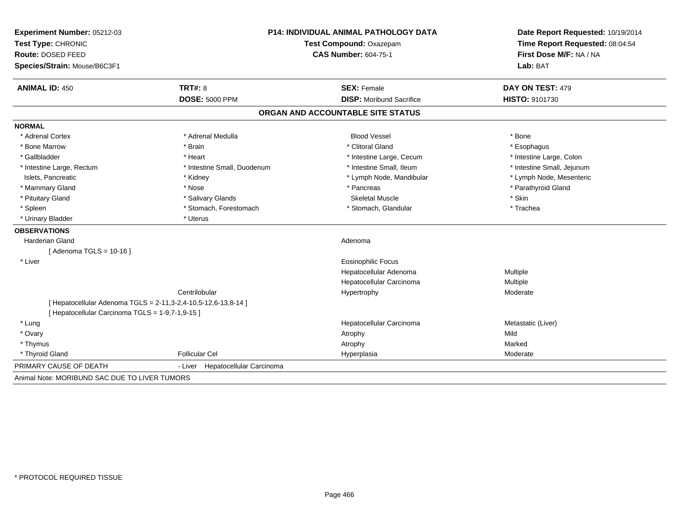| Experiment Number: 05212-03<br>Test Type: CHRONIC |                                                                | P14: INDIVIDUAL ANIMAL PATHOLOGY DATA<br>Test Compound: Oxazepam | Date Report Requested: 10/19/2014<br>Time Report Requested: 08:04:54 |  |
|---------------------------------------------------|----------------------------------------------------------------|------------------------------------------------------------------|----------------------------------------------------------------------|--|
| Route: DOSED FEED                                 |                                                                | <b>CAS Number: 604-75-1</b>                                      | First Dose M/F: NA / NA                                              |  |
| Species/Strain: Mouse/B6C3F1                      |                                                                |                                                                  | Lab: BAT                                                             |  |
| <b>ANIMAL ID: 450</b>                             | TRT#: 8                                                        | <b>SEX: Female</b>                                               | DAY ON TEST: 479                                                     |  |
|                                                   | <b>DOSE: 5000 PPM</b>                                          | <b>DISP:</b> Moribund Sacrifice                                  | HISTO: 9101730                                                       |  |
|                                                   |                                                                | ORGAN AND ACCOUNTABLE SITE STATUS                                |                                                                      |  |
| <b>NORMAL</b>                                     |                                                                |                                                                  |                                                                      |  |
| * Adrenal Cortex                                  | * Adrenal Medulla                                              | <b>Blood Vessel</b>                                              | * Bone                                                               |  |
| * Bone Marrow                                     | * Brain                                                        | * Clitoral Gland                                                 | * Esophagus                                                          |  |
| * Gallbladder                                     | * Heart                                                        | * Intestine Large, Cecum                                         | * Intestine Large, Colon                                             |  |
| * Intestine Large, Rectum                         | * Intestine Small, Duodenum                                    | * Intestine Small, Ileum                                         | * Intestine Small, Jejunum                                           |  |
| Islets, Pancreatic                                | * Kidney                                                       | * Lymph Node, Mandibular                                         | * Lymph Node, Mesenteric                                             |  |
| * Mammary Gland                                   | * Nose                                                         | * Pancreas                                                       | * Parathyroid Gland                                                  |  |
| * Pituitary Gland                                 | * Salivary Glands                                              | <b>Skeletal Muscle</b>                                           | * Skin                                                               |  |
| * Spleen                                          | * Stomach, Forestomach                                         | * Stomach, Glandular                                             | * Trachea                                                            |  |
| * Urinary Bladder                                 | * Uterus                                                       |                                                                  |                                                                      |  |
| <b>OBSERVATIONS</b>                               |                                                                |                                                                  |                                                                      |  |
| Harderian Gland                                   |                                                                | Adenoma                                                          |                                                                      |  |
| [ Adenoma TGLS = 10-16 ]                          |                                                                |                                                                  |                                                                      |  |
| * Liver                                           |                                                                | Eosinophilic Focus                                               |                                                                      |  |
|                                                   |                                                                | Hepatocellular Adenoma                                           | Multiple                                                             |  |
|                                                   |                                                                | Hepatocellular Carcinoma                                         | Multiple                                                             |  |
|                                                   | Centrilobular                                                  | Hypertrophy                                                      | Moderate                                                             |  |
|                                                   | [ Hepatocellular Adenoma TGLS = 2-11,3-2,4-10,5-12,6-13,8-14 ] |                                                                  |                                                                      |  |
| [ Hepatocellular Carcinoma TGLS = 1-9,7-1,9-15 ]  |                                                                |                                                                  |                                                                      |  |
| * Lung                                            |                                                                | Hepatocellular Carcinoma                                         | Metastatic (Liver)                                                   |  |
| * Ovary                                           |                                                                | Atrophy                                                          | Mild                                                                 |  |
| * Thymus                                          |                                                                | Atrophy                                                          | Marked                                                               |  |
| * Thyroid Gland                                   | <b>Follicular Cel</b>                                          | Hyperplasia                                                      | Moderate                                                             |  |
| PRIMARY CAUSE OF DEATH                            | - Liver Hepatocellular Carcinoma                               |                                                                  |                                                                      |  |
| Animal Note: MORIBUND SAC DUE TO LIVER TUMORS     |                                                                |                                                                  |                                                                      |  |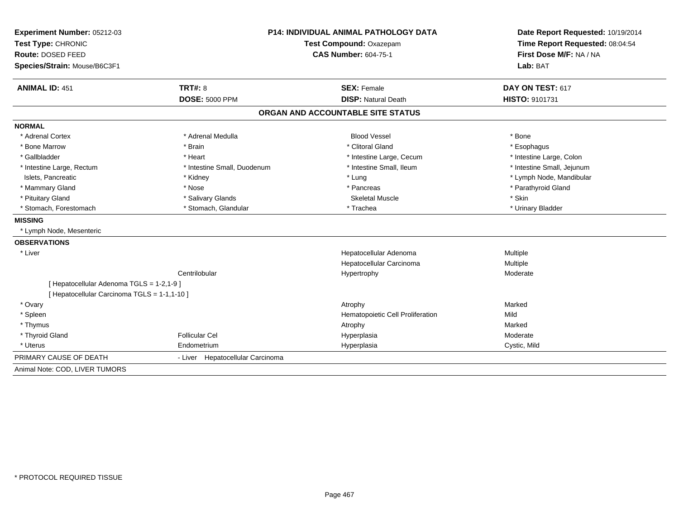| Experiment Number: 05212-03<br>Test Type: CHRONIC<br>Route: DOSED FEED |                                  | <b>P14: INDIVIDUAL ANIMAL PATHOLOGY DATA</b><br>Test Compound: Oxazepam<br><b>CAS Number: 604-75-1</b> | Date Report Requested: 10/19/2014<br>Time Report Requested: 08:04:54<br>First Dose M/F: NA / NA |  |
|------------------------------------------------------------------------|----------------------------------|--------------------------------------------------------------------------------------------------------|-------------------------------------------------------------------------------------------------|--|
| Species/Strain: Mouse/B6C3F1                                           |                                  |                                                                                                        | Lab: BAT                                                                                        |  |
| <b>ANIMAL ID: 451</b>                                                  | <b>TRT#: 8</b>                   | <b>SEX: Female</b>                                                                                     | DAY ON TEST: 617                                                                                |  |
|                                                                        | <b>DOSE: 5000 PPM</b>            | <b>DISP: Natural Death</b>                                                                             | <b>HISTO: 9101731</b>                                                                           |  |
|                                                                        |                                  | ORGAN AND ACCOUNTABLE SITE STATUS                                                                      |                                                                                                 |  |
| <b>NORMAL</b>                                                          |                                  |                                                                                                        |                                                                                                 |  |
| * Adrenal Cortex                                                       | * Adrenal Medulla                | <b>Blood Vessel</b>                                                                                    | * Bone                                                                                          |  |
| * Bone Marrow                                                          | * Brain                          | * Clitoral Gland                                                                                       | * Esophagus                                                                                     |  |
| * Gallbladder                                                          | * Heart                          | * Intestine Large, Cecum                                                                               | * Intestine Large, Colon                                                                        |  |
| * Intestine Large, Rectum                                              | * Intestine Small, Duodenum      | * Intestine Small, Ileum                                                                               | * Intestine Small, Jejunum                                                                      |  |
| Islets, Pancreatic                                                     | * Kidney                         | * Lung                                                                                                 | * Lymph Node, Mandibular                                                                        |  |
| * Mammary Gland                                                        | * Nose                           | * Pancreas                                                                                             | * Parathyroid Gland                                                                             |  |
| * Pituitary Gland                                                      | * Salivary Glands                | <b>Skeletal Muscle</b>                                                                                 | * Skin                                                                                          |  |
| * Stomach, Forestomach                                                 | * Stomach, Glandular             | * Trachea                                                                                              | * Urinary Bladder                                                                               |  |
| <b>MISSING</b>                                                         |                                  |                                                                                                        |                                                                                                 |  |
| * Lymph Node, Mesenteric                                               |                                  |                                                                                                        |                                                                                                 |  |
| <b>OBSERVATIONS</b>                                                    |                                  |                                                                                                        |                                                                                                 |  |
| * Liver                                                                |                                  | Hepatocellular Adenoma                                                                                 | Multiple                                                                                        |  |
|                                                                        |                                  | Hepatocellular Carcinoma                                                                               | Multiple                                                                                        |  |
|                                                                        | Centrilobular                    | Hypertrophy                                                                                            | Moderate                                                                                        |  |
| [ Hepatocellular Adenoma TGLS = 1-2,1-9 ]                              |                                  |                                                                                                        |                                                                                                 |  |
| [ Hepatocellular Carcinoma TGLS = 1-1,1-10 ]                           |                                  |                                                                                                        |                                                                                                 |  |
| * Ovary                                                                |                                  | Atrophy                                                                                                | Marked                                                                                          |  |
| * Spleen                                                               |                                  | Hematopoietic Cell Proliferation                                                                       | Mild                                                                                            |  |
| * Thymus                                                               |                                  | Atrophy                                                                                                | Marked                                                                                          |  |
| * Thyroid Gland                                                        | <b>Follicular Cel</b>            | Hyperplasia                                                                                            | Moderate                                                                                        |  |
| * Uterus                                                               | Endometrium                      | Hyperplasia                                                                                            | Cystic, Mild                                                                                    |  |
| PRIMARY CAUSE OF DEATH                                                 | - Liver Hepatocellular Carcinoma |                                                                                                        |                                                                                                 |  |
| Animal Note: COD, LIVER TUMORS                                         |                                  |                                                                                                        |                                                                                                 |  |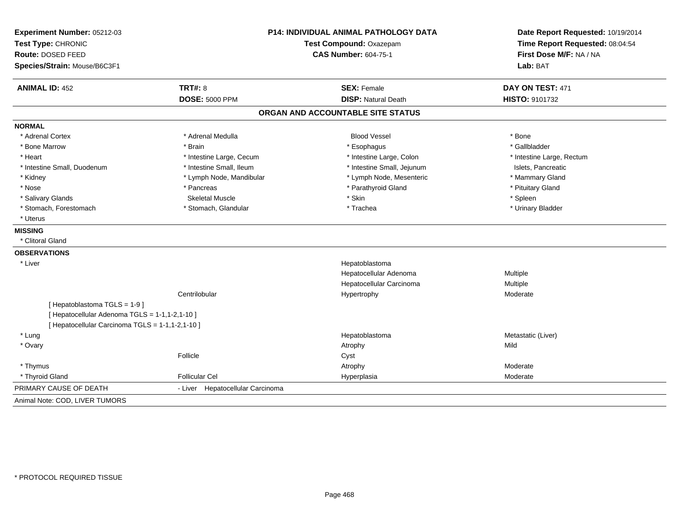| Experiment Number: 05212-03                      |                                  | <b>P14: INDIVIDUAL ANIMAL PATHOLOGY DATA</b> | Date Report Requested: 10/19/2014<br>Time Report Requested: 08:04:54<br>First Dose M/F: NA / NA |
|--------------------------------------------------|----------------------------------|----------------------------------------------|-------------------------------------------------------------------------------------------------|
| Test Type: CHRONIC                               |                                  | Test Compound: Oxazepam                      |                                                                                                 |
| Route: DOSED FEED                                |                                  | <b>CAS Number: 604-75-1</b>                  |                                                                                                 |
| Species/Strain: Mouse/B6C3F1                     |                                  |                                              | Lab: BAT                                                                                        |
| <b>ANIMAL ID: 452</b>                            | <b>TRT#: 8</b>                   | <b>SEX: Female</b>                           | DAY ON TEST: 471                                                                                |
|                                                  | <b>DOSE: 5000 PPM</b>            | <b>DISP: Natural Death</b>                   | HISTO: 9101732                                                                                  |
|                                                  |                                  | ORGAN AND ACCOUNTABLE SITE STATUS            |                                                                                                 |
| <b>NORMAL</b>                                    |                                  |                                              |                                                                                                 |
| * Adrenal Cortex                                 | * Adrenal Medulla                | <b>Blood Vessel</b>                          | * Bone                                                                                          |
| * Bone Marrow                                    | * Brain                          | * Esophagus                                  | * Gallbladder                                                                                   |
| * Heart                                          | * Intestine Large, Cecum         | * Intestine Large, Colon                     | * Intestine Large, Rectum                                                                       |
| * Intestine Small, Duodenum                      | * Intestine Small, Ileum         | * Intestine Small, Jejunum                   | Islets, Pancreatic                                                                              |
| * Kidney                                         | * Lymph Node, Mandibular         | * Lymph Node, Mesenteric                     | * Mammary Gland                                                                                 |
| * Nose                                           | * Pancreas                       | * Parathyroid Gland                          | * Pituitary Gland                                                                               |
| * Salivary Glands                                | <b>Skeletal Muscle</b>           | * Skin                                       | * Spleen                                                                                        |
| * Stomach, Forestomach                           | * Stomach, Glandular             | * Trachea                                    | * Urinary Bladder                                                                               |
| * Uterus                                         |                                  |                                              |                                                                                                 |
| <b>MISSING</b>                                   |                                  |                                              |                                                                                                 |
| * Clitoral Gland                                 |                                  |                                              |                                                                                                 |
| <b>OBSERVATIONS</b>                              |                                  |                                              |                                                                                                 |
| * Liver                                          |                                  | Hepatoblastoma                               |                                                                                                 |
|                                                  |                                  | Hepatocellular Adenoma                       | Multiple                                                                                        |
|                                                  |                                  | Hepatocellular Carcinoma                     | Multiple                                                                                        |
|                                                  | Centrilobular                    | Hypertrophy                                  | Moderate                                                                                        |
| [Hepatoblastoma TGLS = 1-9]                      |                                  |                                              |                                                                                                 |
| [ Hepatocellular Adenoma TGLS = 1-1,1-2,1-10 ]   |                                  |                                              |                                                                                                 |
| [ Hepatocellular Carcinoma TGLS = 1-1,1-2,1-10 ] |                                  |                                              |                                                                                                 |
| * Lung                                           |                                  | Hepatoblastoma                               | Metastatic (Liver)                                                                              |
| * Ovary                                          |                                  | Atrophy                                      | Mild                                                                                            |
|                                                  | Follicle                         | Cyst                                         |                                                                                                 |
| * Thymus                                         |                                  | Atrophy                                      | Moderate                                                                                        |
| * Thyroid Gland                                  | <b>Follicular Cel</b>            | Hyperplasia                                  | Moderate                                                                                        |
| PRIMARY CAUSE OF DEATH                           | - Liver Hepatocellular Carcinoma |                                              |                                                                                                 |
| Animal Note: COD, LIVER TUMORS                   |                                  |                                              |                                                                                                 |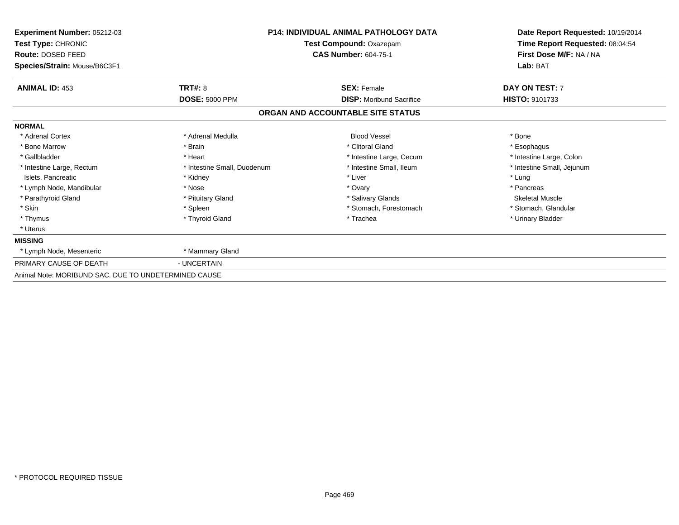| Experiment Number: 05212-03                          |                             | <b>P14: INDIVIDUAL ANIMAL PATHOLOGY DATA</b> | Date Report Requested: 10/19/2014 |  |
|------------------------------------------------------|-----------------------------|----------------------------------------------|-----------------------------------|--|
| Test Type: CHRONIC                                   |                             | Test Compound: Oxazepam                      | Time Report Requested: 08:04:54   |  |
| Route: DOSED FEED                                    |                             | <b>CAS Number: 604-75-1</b>                  | First Dose M/F: NA / NA           |  |
| Species/Strain: Mouse/B6C3F1                         |                             |                                              | Lab: BAT                          |  |
| <b>ANIMAL ID: 453</b>                                | <b>TRT#: 8</b>              | <b>SEX: Female</b>                           | DAY ON TEST: 7                    |  |
|                                                      | <b>DOSE: 5000 PPM</b>       | <b>DISP: Moribund Sacrifice</b>              | <b>HISTO: 9101733</b>             |  |
|                                                      |                             | ORGAN AND ACCOUNTABLE SITE STATUS            |                                   |  |
| <b>NORMAL</b>                                        |                             |                                              |                                   |  |
| * Adrenal Cortex                                     | * Adrenal Medulla           | <b>Blood Vessel</b>                          | * Bone                            |  |
| * Bone Marrow                                        | * Brain                     | * Clitoral Gland                             | * Esophagus                       |  |
| * Gallbladder                                        | * Heart                     | * Intestine Large, Cecum                     | * Intestine Large, Colon          |  |
| * Intestine Large, Rectum                            | * Intestine Small, Duodenum | * Intestine Small, Ileum                     | * Intestine Small, Jejunum        |  |
| Islets, Pancreatic                                   | * Kidney                    | * Liver                                      | * Lung                            |  |
| * Lymph Node, Mandibular                             | * Nose                      | * Ovary                                      | * Pancreas                        |  |
| * Parathyroid Gland                                  | * Pituitary Gland           | * Salivary Glands                            | <b>Skeletal Muscle</b>            |  |
| * Skin                                               | * Spleen                    | * Stomach, Forestomach                       | * Stomach, Glandular              |  |
| * Thymus                                             | * Thyroid Gland             | * Trachea                                    | * Urinary Bladder                 |  |
| * Uterus                                             |                             |                                              |                                   |  |
| <b>MISSING</b>                                       |                             |                                              |                                   |  |
| * Lymph Node, Mesenteric                             | * Mammary Gland             |                                              |                                   |  |
| PRIMARY CAUSE OF DEATH                               | - UNCERTAIN                 |                                              |                                   |  |
| Animal Note: MORIBUND SAC. DUE TO UNDETERMINED CAUSE |                             |                                              |                                   |  |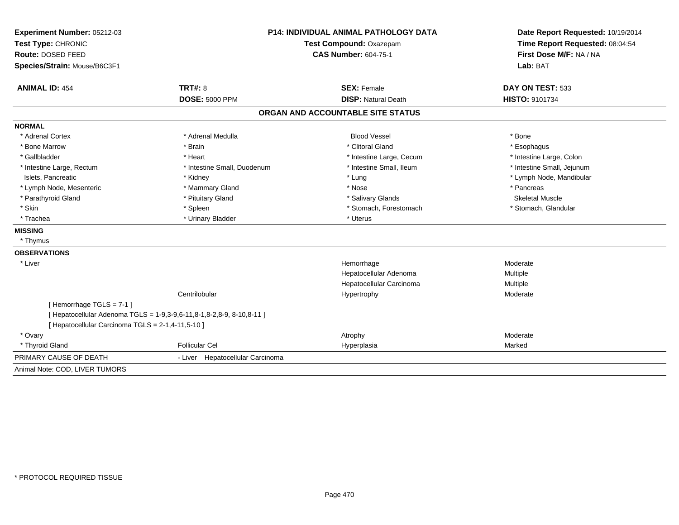| Experiment Number: 05212-03                       |                                                                       | P14: INDIVIDUAL ANIMAL PATHOLOGY DATA | Date Report Requested: 10/19/2014 |  |
|---------------------------------------------------|-----------------------------------------------------------------------|---------------------------------------|-----------------------------------|--|
| Test Type: CHRONIC                                | Test Compound: Oxazepam                                               |                                       | Time Report Requested: 08:04:54   |  |
| Route: DOSED FEED                                 |                                                                       | <b>CAS Number: 604-75-1</b>           |                                   |  |
| Species/Strain: Mouse/B6C3F1                      |                                                                       |                                       | Lab: BAT                          |  |
| <b>ANIMAL ID: 454</b>                             | <b>TRT#: 8</b>                                                        | <b>SEX: Female</b>                    | DAY ON TEST: 533                  |  |
|                                                   | <b>DOSE: 5000 PPM</b>                                                 | <b>DISP: Natural Death</b>            | <b>HISTO: 9101734</b>             |  |
|                                                   |                                                                       | ORGAN AND ACCOUNTABLE SITE STATUS     |                                   |  |
| <b>NORMAL</b>                                     |                                                                       |                                       |                                   |  |
| * Adrenal Cortex                                  | * Adrenal Medulla                                                     | <b>Blood Vessel</b>                   | * Bone                            |  |
| * Bone Marrow                                     | * Brain                                                               | * Clitoral Gland                      | * Esophagus                       |  |
| * Gallbladder                                     | * Heart                                                               | * Intestine Large, Cecum              | * Intestine Large, Colon          |  |
| * Intestine Large, Rectum                         | * Intestine Small, Duodenum                                           | * Intestine Small, Ileum              | * Intestine Small, Jejunum        |  |
| Islets, Pancreatic                                | * Kidney                                                              | * Lung                                | * Lymph Node, Mandibular          |  |
| * Lymph Node, Mesenteric                          | * Mammary Gland                                                       | * Nose                                | * Pancreas                        |  |
| * Parathyroid Gland                               | * Pituitary Gland                                                     | * Salivary Glands                     | <b>Skeletal Muscle</b>            |  |
| * Skin                                            | * Spleen                                                              | * Stomach, Forestomach                | * Stomach, Glandular              |  |
| * Trachea                                         | * Urinary Bladder                                                     | * Uterus                              |                                   |  |
| <b>MISSING</b>                                    |                                                                       |                                       |                                   |  |
| * Thymus                                          |                                                                       |                                       |                                   |  |
| <b>OBSERVATIONS</b>                               |                                                                       |                                       |                                   |  |
| * Liver                                           |                                                                       | Hemorrhage                            | Moderate                          |  |
|                                                   |                                                                       | Hepatocellular Adenoma                | Multiple                          |  |
|                                                   |                                                                       | Hepatocellular Carcinoma              | Multiple                          |  |
|                                                   | Centrilobular                                                         | Hypertrophy                           | Moderate                          |  |
| [Hemorrhage TGLS = 7-1]                           |                                                                       |                                       |                                   |  |
|                                                   | [ Hepatocellular Adenoma TGLS = 1-9,3-9,6-11,8-1,8-2,8-9, 8-10,8-11 ] |                                       |                                   |  |
| [ Hepatocellular Carcinoma TGLS = 2-1,4-11,5-10 ] |                                                                       |                                       |                                   |  |
| * Ovary                                           |                                                                       | Atrophy                               | Moderate                          |  |
| * Thyroid Gland                                   | Follicular Cel                                                        | Hyperplasia                           | Marked                            |  |
| PRIMARY CAUSE OF DEATH                            | - Liver Hepatocellular Carcinoma                                      |                                       |                                   |  |
| Animal Note: COD, LIVER TUMORS                    |                                                                       |                                       |                                   |  |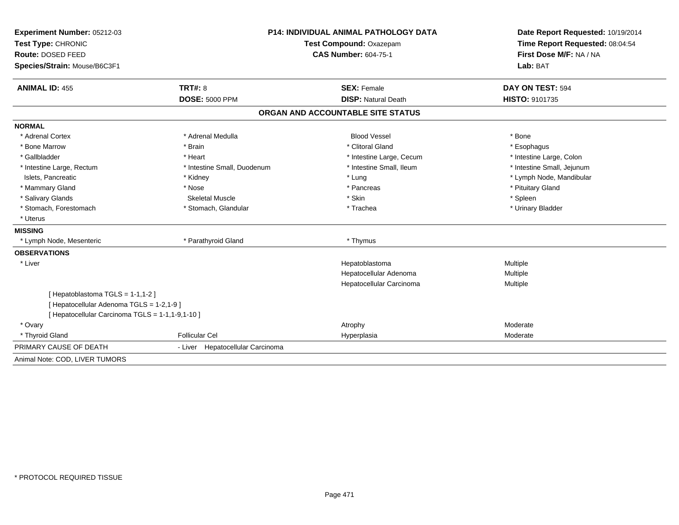| Experiment Number: 05212-03                      | <b>P14: INDIVIDUAL ANIMAL PATHOLOGY DATA</b> |                                   | Date Report Requested: 10/19/2014 |
|--------------------------------------------------|----------------------------------------------|-----------------------------------|-----------------------------------|
| Test Type: CHRONIC                               | Test Compound: Oxazepam                      |                                   | Time Report Requested: 08:04:54   |
| Route: DOSED FEED                                |                                              | <b>CAS Number: 604-75-1</b>       | First Dose M/F: NA / NA           |
| Species/Strain: Mouse/B6C3F1                     |                                              |                                   | Lab: BAT                          |
| <b>ANIMAL ID: 455</b>                            | TRT#: 8                                      | <b>SEX: Female</b>                | DAY ON TEST: 594                  |
|                                                  | <b>DOSE: 5000 PPM</b>                        | <b>DISP: Natural Death</b>        | <b>HISTO: 9101735</b>             |
|                                                  |                                              | ORGAN AND ACCOUNTABLE SITE STATUS |                                   |
| <b>NORMAL</b>                                    |                                              |                                   |                                   |
| * Adrenal Cortex                                 | * Adrenal Medulla                            | <b>Blood Vessel</b>               | * Bone                            |
| * Bone Marrow                                    | * Brain                                      | * Clitoral Gland                  | * Esophagus                       |
| * Gallbladder                                    | * Heart                                      | * Intestine Large, Cecum          | * Intestine Large, Colon          |
| * Intestine Large, Rectum                        | * Intestine Small, Duodenum                  | * Intestine Small, Ileum          | * Intestine Small, Jejunum        |
| Islets. Pancreatic                               | * Kidney                                     | * Lung                            | * Lymph Node, Mandibular          |
| * Mammary Gland                                  | * Nose                                       | * Pancreas                        | * Pituitary Gland                 |
| * Salivary Glands                                | <b>Skeletal Muscle</b>                       | * Skin                            | * Spleen                          |
| * Stomach, Forestomach                           | * Stomach, Glandular                         | * Trachea                         | * Urinary Bladder                 |
| * Uterus                                         |                                              |                                   |                                   |
| <b>MISSING</b>                                   |                                              |                                   |                                   |
| * Lymph Node, Mesenteric                         | * Parathyroid Gland                          | * Thymus                          |                                   |
| <b>OBSERVATIONS</b>                              |                                              |                                   |                                   |
| * Liver                                          |                                              | Hepatoblastoma                    | Multiple                          |
|                                                  |                                              | Hepatocellular Adenoma            | Multiple                          |
|                                                  |                                              | Hepatocellular Carcinoma          | Multiple                          |
| [Hepatoblastoma TGLS = $1-1,1-2$ ]               |                                              |                                   |                                   |
| [ Hepatocellular Adenoma TGLS = 1-2,1-9 ]        |                                              |                                   |                                   |
| [ Hepatocellular Carcinoma TGLS = 1-1,1-9,1-10 ] |                                              |                                   |                                   |
| * Ovary                                          |                                              | Atrophy                           | Moderate                          |
| * Thyroid Gland                                  | <b>Follicular Cel</b>                        | Hyperplasia                       | Moderate                          |
| PRIMARY CAUSE OF DEATH                           | - Liver Hepatocellular Carcinoma             |                                   |                                   |
| Animal Note: COD, LIVER TUMORS                   |                                              |                                   |                                   |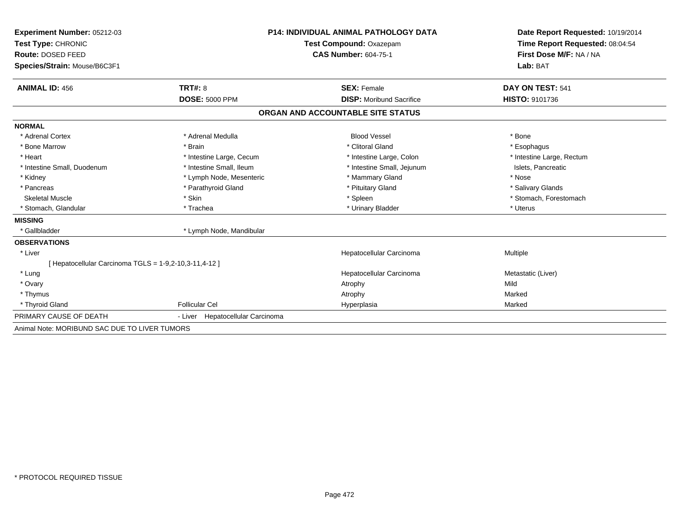| Experiment Number: 05212-03<br>Test Type: CHRONIC      |                                     | <b>P14: INDIVIDUAL ANIMAL PATHOLOGY DATA</b><br>Test Compound: Oxazepam<br><b>CAS Number: 604-75-1</b> | Date Report Requested: 10/19/2014<br>Time Report Requested: 08:04:54<br>First Dose M/F: NA / NA<br>Lab: BAT |
|--------------------------------------------------------|-------------------------------------|--------------------------------------------------------------------------------------------------------|-------------------------------------------------------------------------------------------------------------|
| Route: DOSED FEED<br>Species/Strain: Mouse/B6C3F1      |                                     |                                                                                                        |                                                                                                             |
| <b>ANIMAL ID: 456</b>                                  | TRT#: 8                             | <b>SEX: Female</b>                                                                                     | DAY ON TEST: 541                                                                                            |
|                                                        | <b>DOSE: 5000 PPM</b>               | <b>DISP:</b> Moribund Sacrifice                                                                        | <b>HISTO: 9101736</b>                                                                                       |
|                                                        |                                     | ORGAN AND ACCOUNTABLE SITE STATUS                                                                      |                                                                                                             |
| <b>NORMAL</b>                                          |                                     |                                                                                                        |                                                                                                             |
| * Adrenal Cortex                                       | * Adrenal Medulla                   | <b>Blood Vessel</b>                                                                                    | * Bone                                                                                                      |
| * Bone Marrow                                          | * Brain                             | * Clitoral Gland                                                                                       | * Esophagus                                                                                                 |
| * Heart                                                | * Intestine Large, Cecum            | * Intestine Large, Colon                                                                               | * Intestine Large, Rectum                                                                                   |
| * Intestine Small, Duodenum                            | * Intestine Small, Ileum            | * Intestine Small, Jejunum                                                                             | Islets, Pancreatic                                                                                          |
| * Kidney                                               | * Lymph Node, Mesenteric            | * Mammary Gland                                                                                        | * Nose                                                                                                      |
| * Pancreas                                             | * Parathyroid Gland                 | * Pituitary Gland                                                                                      | * Salivary Glands                                                                                           |
| <b>Skeletal Muscle</b>                                 | * Skin                              | * Spleen                                                                                               | * Stomach, Forestomach                                                                                      |
| * Stomach, Glandular                                   | * Trachea                           | * Urinary Bladder                                                                                      | * Uterus                                                                                                    |
| <b>MISSING</b>                                         |                                     |                                                                                                        |                                                                                                             |
| * Gallbladder                                          | * Lymph Node, Mandibular            |                                                                                                        |                                                                                                             |
| <b>OBSERVATIONS</b>                                    |                                     |                                                                                                        |                                                                                                             |
| * Liver                                                |                                     | Hepatocellular Carcinoma                                                                               | Multiple                                                                                                    |
| [ Hepatocellular Carcinoma TGLS = 1-9,2-10,3-11,4-12 ] |                                     |                                                                                                        |                                                                                                             |
| * Lung                                                 |                                     | Hepatocellular Carcinoma                                                                               | Metastatic (Liver)                                                                                          |
| * Ovary                                                |                                     | Atrophy                                                                                                | Mild                                                                                                        |
| * Thymus                                               |                                     | Atrophy                                                                                                | Marked                                                                                                      |
| * Thyroid Gland                                        | <b>Follicular Cel</b>               | Hyperplasia                                                                                            | Marked                                                                                                      |
| PRIMARY CAUSE OF DEATH                                 | Hepatocellular Carcinoma<br>- Liver |                                                                                                        |                                                                                                             |
| Animal Note: MORIBUND SAC DUE TO LIVER TUMORS          |                                     |                                                                                                        |                                                                                                             |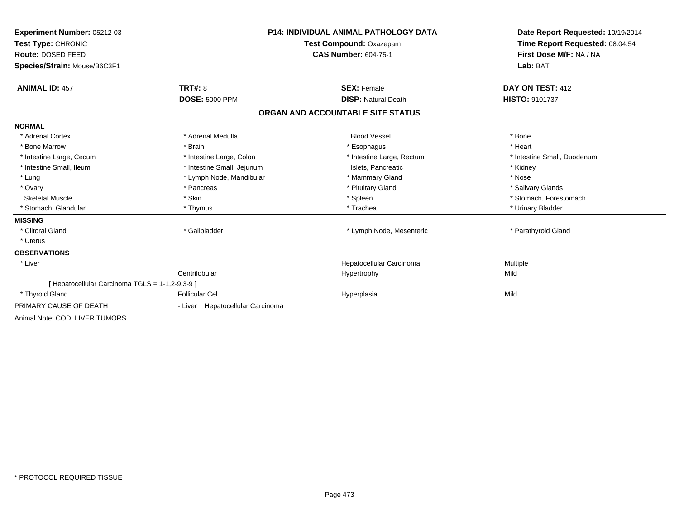| Experiment Number: 05212-03                     |                                  | P14: INDIVIDUAL ANIMAL PATHOLOGY DATA | Date Report Requested: 10/19/2014<br>Time Report Requested: 08:04:54 |
|-------------------------------------------------|----------------------------------|---------------------------------------|----------------------------------------------------------------------|
| Test Type: CHRONIC                              |                                  | Test Compound: Oxazepam               |                                                                      |
| Route: DOSED FEED                               |                                  | <b>CAS Number: 604-75-1</b>           | First Dose M/F: NA / NA                                              |
| Species/Strain: Mouse/B6C3F1                    |                                  |                                       | Lab: BAT                                                             |
| <b>ANIMAL ID: 457</b>                           | TRT#: 8                          | <b>SEX: Female</b>                    | DAY ON TEST: 412                                                     |
|                                                 | <b>DOSE: 5000 PPM</b>            | <b>DISP: Natural Death</b>            | <b>HISTO: 9101737</b>                                                |
|                                                 |                                  | ORGAN AND ACCOUNTABLE SITE STATUS     |                                                                      |
| <b>NORMAL</b>                                   |                                  |                                       |                                                                      |
| * Adrenal Cortex                                | * Adrenal Medulla                | <b>Blood Vessel</b>                   | * Bone                                                               |
| * Bone Marrow                                   | * Brain                          | * Esophagus                           | * Heart                                                              |
| * Intestine Large, Cecum                        | * Intestine Large, Colon         | * Intestine Large, Rectum             | * Intestine Small, Duodenum                                          |
| * Intestine Small. Ileum                        | * Intestine Small, Jejunum       | Islets, Pancreatic                    | * Kidney                                                             |
| * Lung                                          | * Lymph Node, Mandibular         | * Mammary Gland                       | * Nose                                                               |
| * Ovary                                         | * Pancreas                       | * Pituitary Gland                     | * Salivary Glands                                                    |
| <b>Skeletal Muscle</b>                          | * Skin                           | * Spleen                              | * Stomach. Forestomach                                               |
| * Stomach, Glandular                            | * Thymus                         | * Trachea                             | * Urinary Bladder                                                    |
| <b>MISSING</b>                                  |                                  |                                       |                                                                      |
| * Clitoral Gland                                | * Gallbladder                    | * Lymph Node, Mesenteric              | * Parathyroid Gland                                                  |
| * Uterus                                        |                                  |                                       |                                                                      |
| <b>OBSERVATIONS</b>                             |                                  |                                       |                                                                      |
| * Liver                                         |                                  | Hepatocellular Carcinoma              | Multiple                                                             |
|                                                 | Centrilobular                    | Hypertrophy                           | Mild                                                                 |
| [ Hepatocellular Carcinoma TGLS = 1-1,2-9,3-9 ] |                                  |                                       |                                                                      |
| * Thyroid Gland                                 | <b>Follicular Cel</b>            | Hyperplasia                           | Mild                                                                 |
| PRIMARY CAUSE OF DEATH                          | - Liver Hepatocellular Carcinoma |                                       |                                                                      |
| Animal Note: COD, LIVER TUMORS                  |                                  |                                       |                                                                      |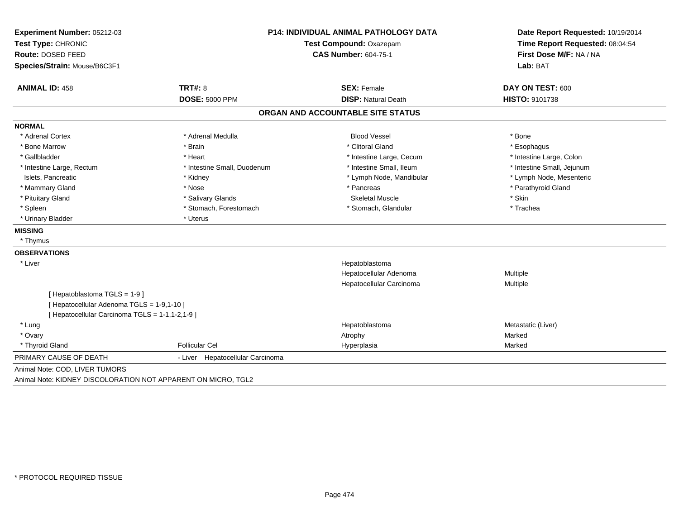| Experiment Number: 05212-03                     | <b>P14: INDIVIDUAL ANIMAL PATHOLOGY DATA</b> |                                   | Date Report Requested: 10/19/2014<br>Time Report Requested: 08:04:54 |  |
|-------------------------------------------------|----------------------------------------------|-----------------------------------|----------------------------------------------------------------------|--|
| Test Type: CHRONIC                              |                                              | Test Compound: Oxazepam           |                                                                      |  |
| Route: DOSED FEED                               |                                              | <b>CAS Number: 604-75-1</b>       | First Dose M/F: NA / NA                                              |  |
| Species/Strain: Mouse/B6C3F1                    |                                              |                                   | Lab: BAT                                                             |  |
| <b>ANIMAL ID: 458</b>                           | <b>TRT#: 8</b>                               | <b>SEX: Female</b>                | DAY ON TEST: 600                                                     |  |
|                                                 | <b>DOSE: 5000 PPM</b>                        | <b>DISP: Natural Death</b>        | HISTO: 9101738                                                       |  |
|                                                 |                                              | ORGAN AND ACCOUNTABLE SITE STATUS |                                                                      |  |
| <b>NORMAL</b>                                   |                                              |                                   |                                                                      |  |
| * Adrenal Cortex                                | * Adrenal Medulla                            | <b>Blood Vessel</b>               | * Bone                                                               |  |
| * Bone Marrow                                   | * Brain                                      | * Clitoral Gland                  | * Esophagus                                                          |  |
| * Gallbladder                                   | * Heart                                      | * Intestine Large, Cecum          | * Intestine Large, Colon                                             |  |
| * Intestine Large, Rectum                       | * Intestine Small, Duodenum                  | * Intestine Small, Ileum          | * Intestine Small, Jejunum                                           |  |
| Islets, Pancreatic                              | * Kidney                                     | * Lymph Node, Mandibular          | * Lymph Node, Mesenteric                                             |  |
| * Mammary Gland                                 | * Nose                                       | * Pancreas                        | * Parathyroid Gland                                                  |  |
| * Pituitary Gland                               | * Salivary Glands                            | <b>Skeletal Muscle</b>            | * Skin                                                               |  |
| * Spleen                                        | * Stomach, Forestomach                       | * Stomach, Glandular              | * Trachea                                                            |  |
| * Urinary Bladder                               | * Uterus                                     |                                   |                                                                      |  |
| <b>MISSING</b>                                  |                                              |                                   |                                                                      |  |
| * Thymus                                        |                                              |                                   |                                                                      |  |
| <b>OBSERVATIONS</b>                             |                                              |                                   |                                                                      |  |
| * Liver                                         |                                              | Hepatoblastoma                    |                                                                      |  |
|                                                 |                                              | Hepatocellular Adenoma            | Multiple                                                             |  |
|                                                 |                                              | Hepatocellular Carcinoma          | Multiple                                                             |  |
| [Hepatoblastoma TGLS = 1-9]                     |                                              |                                   |                                                                      |  |
| [ Hepatocellular Adenoma TGLS = 1-9,1-10 ]      |                                              |                                   |                                                                      |  |
| [ Hepatocellular Carcinoma TGLS = 1-1,1-2,1-9 ] |                                              |                                   |                                                                      |  |
| * Lung                                          |                                              | Hepatoblastoma                    | Metastatic (Liver)                                                   |  |
| * Ovary                                         |                                              | Atrophy                           | Marked                                                               |  |
| * Thyroid Gland                                 | <b>Follicular Cel</b>                        | Hyperplasia                       | Marked                                                               |  |
| PRIMARY CAUSE OF DEATH                          | - Liver Hepatocellular Carcinoma             |                                   |                                                                      |  |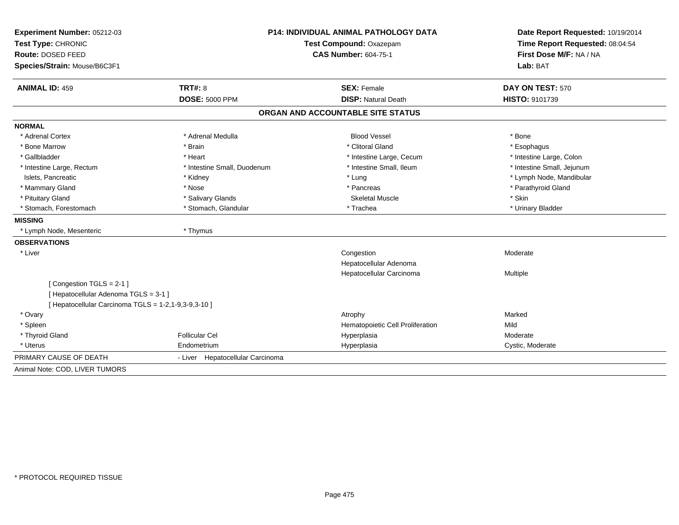| Experiment Number: 05212-03                                                                   | <b>P14: INDIVIDUAL ANIMAL PATHOLOGY DATA</b> |                                   | Date Report Requested: 10/19/2014<br>Time Report Requested: 08:04:54 |  |
|-----------------------------------------------------------------------------------------------|----------------------------------------------|-----------------------------------|----------------------------------------------------------------------|--|
| Test Type: CHRONIC                                                                            |                                              | Test Compound: Oxazepam           |                                                                      |  |
| Route: DOSED FEED                                                                             |                                              | <b>CAS Number: 604-75-1</b>       | First Dose M/F: NA / NA                                              |  |
| Species/Strain: Mouse/B6C3F1                                                                  |                                              |                                   | Lab: BAT                                                             |  |
| <b>ANIMAL ID: 459</b>                                                                         | <b>TRT#: 8</b>                               | <b>SEX: Female</b>                | DAY ON TEST: 570                                                     |  |
|                                                                                               | <b>DOSE: 5000 PPM</b>                        | <b>DISP: Natural Death</b>        | <b>HISTO: 9101739</b>                                                |  |
|                                                                                               |                                              | ORGAN AND ACCOUNTABLE SITE STATUS |                                                                      |  |
| <b>NORMAL</b>                                                                                 |                                              |                                   |                                                                      |  |
| * Adrenal Cortex                                                                              | * Adrenal Medulla                            | <b>Blood Vessel</b>               | * Bone                                                               |  |
| * Bone Marrow                                                                                 | * Brain                                      | * Clitoral Gland                  | * Esophagus                                                          |  |
| * Gallbladder                                                                                 | * Heart                                      | * Intestine Large, Cecum          | * Intestine Large, Colon                                             |  |
| * Intestine Large, Rectum                                                                     | * Intestine Small, Duodenum                  | * Intestine Small, Ileum          | * Intestine Small, Jejunum                                           |  |
| Islets, Pancreatic                                                                            | * Kidney                                     | * Lung                            | * Lymph Node, Mandibular                                             |  |
| * Mammary Gland                                                                               | * Nose                                       | * Pancreas                        | * Parathyroid Gland                                                  |  |
| * Pituitary Gland                                                                             | * Salivary Glands                            | <b>Skeletal Muscle</b>            | * Skin                                                               |  |
| * Stomach, Forestomach                                                                        | * Stomach, Glandular                         | * Trachea                         | * Urinary Bladder                                                    |  |
| <b>MISSING</b>                                                                                |                                              |                                   |                                                                      |  |
| * Lymph Node, Mesenteric                                                                      | * Thymus                                     |                                   |                                                                      |  |
| <b>OBSERVATIONS</b>                                                                           |                                              |                                   |                                                                      |  |
| * Liver                                                                                       |                                              | Congestion                        | Moderate                                                             |  |
|                                                                                               |                                              | Hepatocellular Adenoma            |                                                                      |  |
|                                                                                               |                                              | Hepatocellular Carcinoma          | Multiple                                                             |  |
| [Congestion TGLS = 2-1]                                                                       |                                              |                                   |                                                                      |  |
| [ Hepatocellular Adenoma TGLS = 3-1 ]<br>[ Hepatocellular Carcinoma TGLS = 1-2,1-9,3-9,3-10 ] |                                              |                                   |                                                                      |  |
| * Ovary                                                                                       |                                              | Atrophy                           | Marked                                                               |  |
| * Spleen                                                                                      |                                              | Hematopoietic Cell Proliferation  | Mild                                                                 |  |
| * Thyroid Gland                                                                               | <b>Follicular Cel</b>                        | Hyperplasia                       | Moderate                                                             |  |
| * Uterus                                                                                      | Endometrium                                  | Hyperplasia                       | Cystic, Moderate                                                     |  |
| PRIMARY CAUSE OF DEATH                                                                        | - Liver Hepatocellular Carcinoma             |                                   |                                                                      |  |
| Animal Note: COD, LIVER TUMORS                                                                |                                              |                                   |                                                                      |  |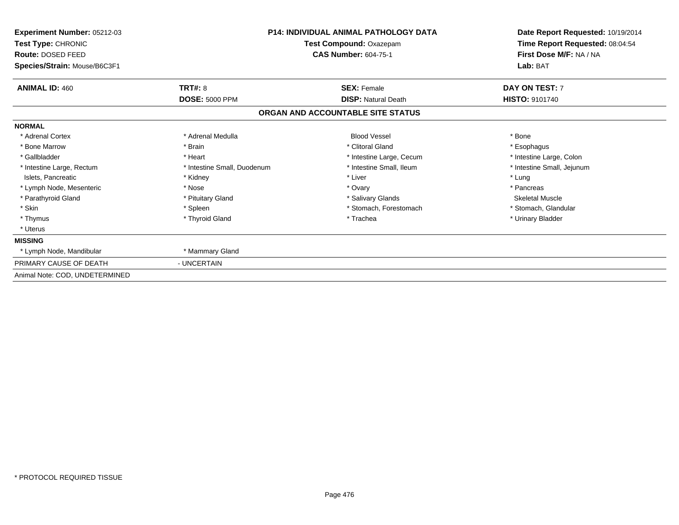| Experiment Number: 05212-03<br>Test Type: CHRONIC<br>Route: DOSED FEED<br>Species/Strain: Mouse/B6C3F1 |                             | <b>P14: INDIVIDUAL ANIMAL PATHOLOGY DATA</b><br>Test Compound: Oxazepam<br>CAS Number: 604-75-1 | Date Report Requested: 10/19/2014<br>Time Report Requested: 08:04:54<br>First Dose M/F: NA / NA<br>Lab: BAT |
|--------------------------------------------------------------------------------------------------------|-----------------------------|-------------------------------------------------------------------------------------------------|-------------------------------------------------------------------------------------------------------------|
| <b>ANIMAL ID: 460</b>                                                                                  | TRT#: 8                     | <b>SEX: Female</b>                                                                              | DAY ON TEST: 7                                                                                              |
|                                                                                                        | <b>DOSE: 5000 PPM</b>       | <b>DISP: Natural Death</b>                                                                      | <b>HISTO: 9101740</b>                                                                                       |
|                                                                                                        |                             | ORGAN AND ACCOUNTABLE SITE STATUS                                                               |                                                                                                             |
| <b>NORMAL</b>                                                                                          |                             |                                                                                                 |                                                                                                             |
| * Adrenal Cortex                                                                                       | * Adrenal Medulla           | <b>Blood Vessel</b>                                                                             | * Bone                                                                                                      |
| * Bone Marrow                                                                                          | * Brain                     | * Clitoral Gland                                                                                | * Esophagus                                                                                                 |
| * Gallbladder                                                                                          | * Heart                     | * Intestine Large, Cecum                                                                        | * Intestine Large, Colon                                                                                    |
| * Intestine Large, Rectum                                                                              | * Intestine Small, Duodenum | * Intestine Small, Ileum                                                                        | * Intestine Small, Jejunum                                                                                  |
| Islets, Pancreatic                                                                                     | * Kidney                    | * Liver                                                                                         | * Lung                                                                                                      |
| * Lymph Node, Mesenteric                                                                               | * Nose                      | * Ovary                                                                                         | * Pancreas                                                                                                  |
| * Parathyroid Gland                                                                                    | * Pituitary Gland           | * Salivary Glands                                                                               | <b>Skeletal Muscle</b>                                                                                      |
| * Skin                                                                                                 | * Spleen                    | * Stomach, Forestomach                                                                          | * Stomach, Glandular                                                                                        |
| * Thymus                                                                                               | * Thyroid Gland             | * Trachea                                                                                       | * Urinary Bladder                                                                                           |
| * Uterus                                                                                               |                             |                                                                                                 |                                                                                                             |
| <b>MISSING</b>                                                                                         |                             |                                                                                                 |                                                                                                             |
| * Lymph Node, Mandibular                                                                               | * Mammary Gland             |                                                                                                 |                                                                                                             |
| PRIMARY CAUSE OF DEATH                                                                                 | - UNCERTAIN                 |                                                                                                 |                                                                                                             |
| Animal Note: COD, UNDETERMINED                                                                         |                             |                                                                                                 |                                                                                                             |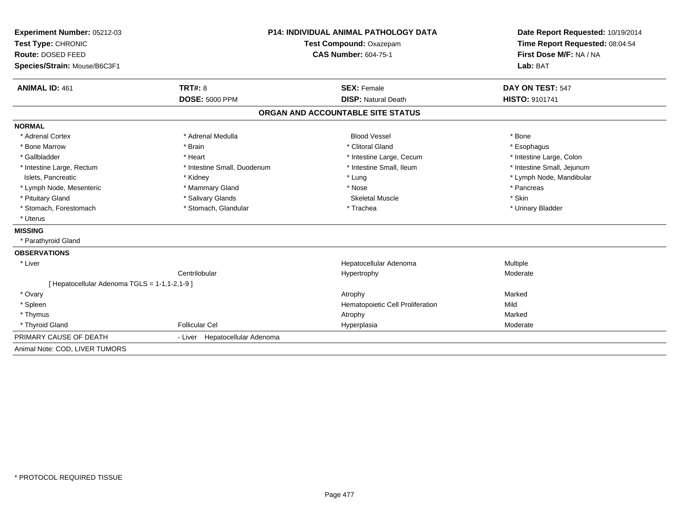| Experiment Number: 05212-03                   | <b>P14: INDIVIDUAL ANIMAL PATHOLOGY DATA</b><br>Test Compound: Oxazepam |                                   | Date Report Requested: 10/19/2014 |
|-----------------------------------------------|-------------------------------------------------------------------------|-----------------------------------|-----------------------------------|
| Test Type: CHRONIC                            |                                                                         |                                   | Time Report Requested: 08:04:54   |
| Route: DOSED FEED                             |                                                                         | <b>CAS Number: 604-75-1</b>       | First Dose M/F: NA / NA           |
| Species/Strain: Mouse/B6C3F1                  |                                                                         |                                   | Lab: BAT                          |
| <b>ANIMAL ID: 461</b>                         | <b>TRT#: 8</b>                                                          | <b>SEX: Female</b>                | DAY ON TEST: 547                  |
|                                               | <b>DOSE: 5000 PPM</b>                                                   | <b>DISP: Natural Death</b>        | <b>HISTO: 9101741</b>             |
|                                               |                                                                         | ORGAN AND ACCOUNTABLE SITE STATUS |                                   |
| <b>NORMAL</b>                                 |                                                                         |                                   |                                   |
| * Adrenal Cortex                              | * Adrenal Medulla                                                       | <b>Blood Vessel</b>               | * Bone                            |
| * Bone Marrow                                 | * Brain                                                                 | * Clitoral Gland                  | * Esophagus                       |
| * Gallbladder                                 | * Heart                                                                 | * Intestine Large, Cecum          | * Intestine Large, Colon          |
| * Intestine Large, Rectum                     | * Intestine Small, Duodenum                                             | * Intestine Small, Ileum          | * Intestine Small, Jejunum        |
| Islets. Pancreatic                            | * Kidney                                                                | * Lung                            | * Lymph Node, Mandibular          |
| * Lymph Node, Mesenteric                      | * Mammary Gland                                                         | * Nose                            | * Pancreas                        |
| * Pituitary Gland                             | * Salivary Glands                                                       | <b>Skeletal Muscle</b>            | * Skin                            |
| * Stomach, Forestomach                        | * Stomach, Glandular                                                    | * Trachea                         | * Urinary Bladder                 |
| * Uterus                                      |                                                                         |                                   |                                   |
| <b>MISSING</b>                                |                                                                         |                                   |                                   |
| * Parathyroid Gland                           |                                                                         |                                   |                                   |
| <b>OBSERVATIONS</b>                           |                                                                         |                                   |                                   |
| * Liver                                       |                                                                         | Hepatocellular Adenoma            | Multiple                          |
|                                               | Centrilobular                                                           | Hypertrophy                       | Moderate                          |
| [ Hepatocellular Adenoma TGLS = 1-1,1-2,1-9 ] |                                                                         |                                   |                                   |
| * Ovary                                       |                                                                         | Atrophy                           | Marked                            |
| * Spleen                                      |                                                                         | Hematopoietic Cell Proliferation  | Mild                              |
| * Thymus                                      |                                                                         | Atrophy                           | Marked                            |
| * Thyroid Gland                               | <b>Follicular Cel</b>                                                   | Hyperplasia                       | Moderate                          |
| PRIMARY CAUSE OF DEATH                        | - Liver Hepatocellular Adenoma                                          |                                   |                                   |
| Animal Note: COD, LIVER TUMORS                |                                                                         |                                   |                                   |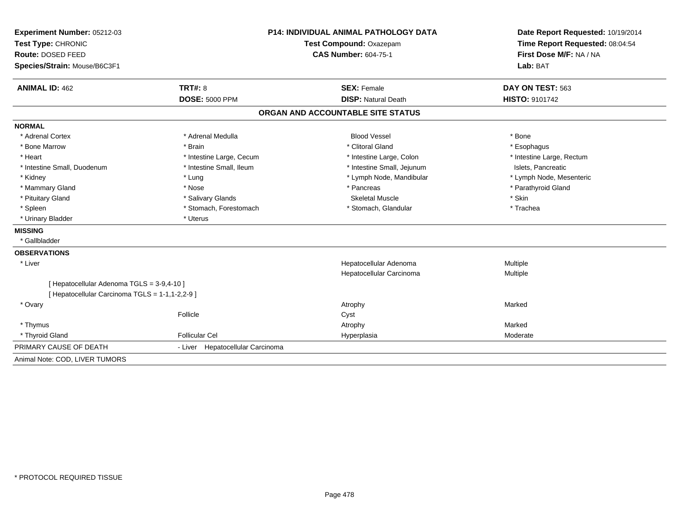| Experiment Number: 05212-03                     | <b>P14: INDIVIDUAL ANIMAL PATHOLOGY DATA</b> |                                   | Date Report Requested: 10/19/2014                          |  |
|-------------------------------------------------|----------------------------------------------|-----------------------------------|------------------------------------------------------------|--|
| Test Type: CHRONIC                              |                                              | Test Compound: Oxazepam           | Time Report Requested: 08:04:54<br>First Dose M/F: NA / NA |  |
| Route: DOSED FEED                               |                                              | <b>CAS Number: 604-75-1</b>       |                                                            |  |
| Species/Strain: Mouse/B6C3F1                    |                                              |                                   | Lab: BAT                                                   |  |
| <b>ANIMAL ID: 462</b>                           | <b>TRT#: 8</b>                               | <b>SEX: Female</b>                | DAY ON TEST: 563                                           |  |
|                                                 | <b>DOSE: 5000 PPM</b>                        | <b>DISP: Natural Death</b>        | <b>HISTO: 9101742</b>                                      |  |
|                                                 |                                              | ORGAN AND ACCOUNTABLE SITE STATUS |                                                            |  |
| <b>NORMAL</b>                                   |                                              |                                   |                                                            |  |
| * Adrenal Cortex                                | * Adrenal Medulla                            | <b>Blood Vessel</b>               | * Bone                                                     |  |
| * Bone Marrow                                   | * Brain                                      | * Clitoral Gland                  | * Esophagus                                                |  |
| * Heart                                         | * Intestine Large, Cecum                     | * Intestine Large, Colon          | * Intestine Large, Rectum                                  |  |
| * Intestine Small, Duodenum                     | * Intestine Small, Ileum                     | * Intestine Small, Jejunum        | Islets, Pancreatic                                         |  |
| * Kidney                                        | * Lung                                       | * Lymph Node, Mandibular          | * Lymph Node, Mesenteric                                   |  |
| * Mammary Gland                                 | * Nose                                       | * Pancreas                        | * Parathyroid Gland                                        |  |
| * Pituitary Gland                               | * Salivary Glands                            | <b>Skeletal Muscle</b>            | * Skin                                                     |  |
| * Spleen                                        | * Stomach, Forestomach                       | * Stomach, Glandular              | * Trachea                                                  |  |
| * Urinary Bladder                               | * Uterus                                     |                                   |                                                            |  |
| <b>MISSING</b>                                  |                                              |                                   |                                                            |  |
| * Gallbladder                                   |                                              |                                   |                                                            |  |
| <b>OBSERVATIONS</b>                             |                                              |                                   |                                                            |  |
| * Liver                                         |                                              | Hepatocellular Adenoma            | Multiple                                                   |  |
|                                                 |                                              | Hepatocellular Carcinoma          | Multiple                                                   |  |
| [ Hepatocellular Adenoma TGLS = 3-9,4-10 ]      |                                              |                                   |                                                            |  |
| [ Hepatocellular Carcinoma TGLS = 1-1,1-2,2-9 ] |                                              |                                   |                                                            |  |
| * Ovary                                         |                                              | Atrophy                           | Marked                                                     |  |
|                                                 | Follicle                                     | Cyst                              |                                                            |  |
| * Thymus                                        |                                              | Atrophy                           | Marked                                                     |  |
| * Thyroid Gland                                 | <b>Follicular Cel</b>                        | Hyperplasia                       | Moderate                                                   |  |
| PRIMARY CAUSE OF DEATH                          | - Liver Hepatocellular Carcinoma             |                                   |                                                            |  |
| Animal Note: COD, LIVER TUMORS                  |                                              |                                   |                                                            |  |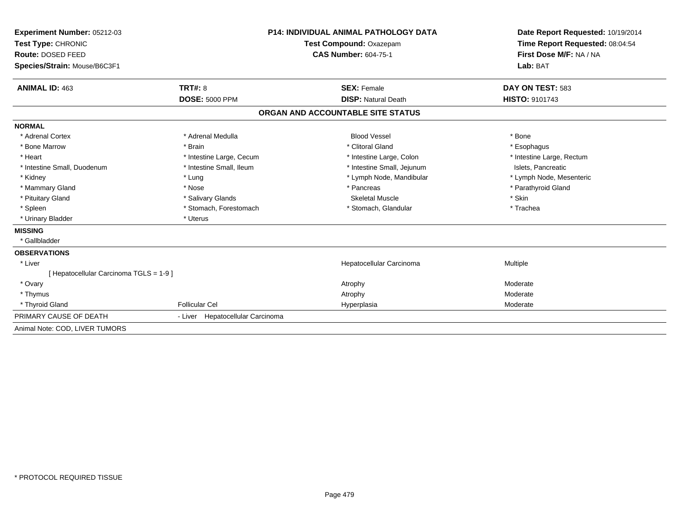| Experiment Number: 05212-03           | <b>P14: INDIVIDUAL ANIMAL PATHOLOGY DATA</b> |                                   | Date Report Requested: 10/19/2014 |  |
|---------------------------------------|----------------------------------------------|-----------------------------------|-----------------------------------|--|
| Test Type: CHRONIC                    | Test Compound: Oxazepam                      |                                   | Time Report Requested: 08:04:54   |  |
| Route: DOSED FEED                     |                                              | <b>CAS Number: 604-75-1</b>       | First Dose M/F: NA / NA           |  |
| Species/Strain: Mouse/B6C3F1          |                                              |                                   | Lab: BAT                          |  |
| <b>ANIMAL ID: 463</b>                 | TRT#: 8                                      | <b>SEX: Female</b>                | DAY ON TEST: 583                  |  |
|                                       | <b>DOSE: 5000 PPM</b>                        | <b>DISP: Natural Death</b>        | <b>HISTO: 9101743</b>             |  |
|                                       |                                              | ORGAN AND ACCOUNTABLE SITE STATUS |                                   |  |
| <b>NORMAL</b>                         |                                              |                                   |                                   |  |
| * Adrenal Cortex                      | * Adrenal Medulla                            | <b>Blood Vessel</b>               | * Bone                            |  |
| * Bone Marrow                         | * Brain                                      | * Clitoral Gland                  | * Esophagus                       |  |
| * Heart                               | * Intestine Large, Cecum                     | * Intestine Large, Colon          | * Intestine Large, Rectum         |  |
| * Intestine Small, Duodenum           | * Intestine Small, Ileum                     | * Intestine Small, Jejunum        | Islets, Pancreatic                |  |
| * Kidney                              | * Lung                                       | * Lymph Node, Mandibular          | * Lymph Node, Mesenteric          |  |
| * Mammary Gland                       | * Nose                                       | * Pancreas                        | * Parathyroid Gland               |  |
| * Pituitary Gland                     | * Salivary Glands                            | <b>Skeletal Muscle</b>            | * Skin                            |  |
| * Spleen                              | * Stomach, Forestomach                       | * Stomach, Glandular              | * Trachea                         |  |
| * Urinary Bladder                     | * Uterus                                     |                                   |                                   |  |
| <b>MISSING</b>                        |                                              |                                   |                                   |  |
| * Gallbladder                         |                                              |                                   |                                   |  |
| <b>OBSERVATIONS</b>                   |                                              |                                   |                                   |  |
| * Liver                               |                                              | Hepatocellular Carcinoma          | Multiple                          |  |
| [Hepatocellular Carcinoma TGLS = 1-9] |                                              |                                   |                                   |  |
| * Ovary                               |                                              | Atrophy                           | Moderate                          |  |
| * Thymus                              |                                              | Atrophy                           | Moderate                          |  |
| * Thyroid Gland                       | <b>Follicular Cel</b>                        | Hyperplasia                       | Moderate                          |  |
| PRIMARY CAUSE OF DEATH                | - Liver Hepatocellular Carcinoma             |                                   |                                   |  |
| Animal Note: COD. LIVER TUMORS        |                                              |                                   |                                   |  |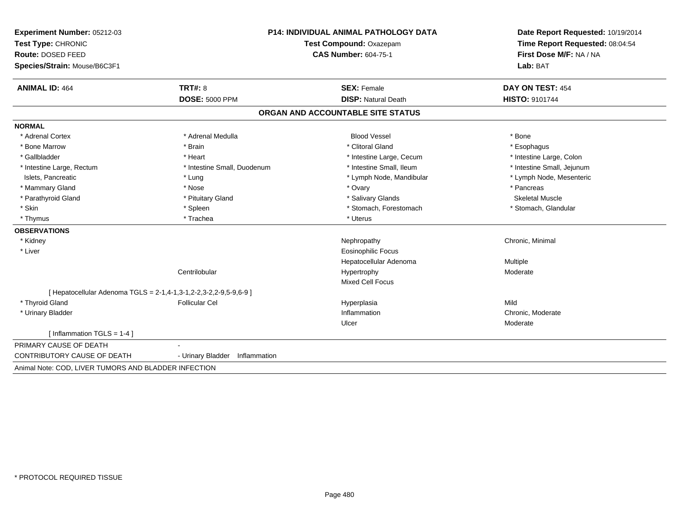| Test Type: CHRONIC<br>Route: DOSED FEED<br>Species/Strain: Mouse/B6C3F1<br><b>ANIMAL ID: 464</b><br>TRT#: 8<br><b>DOSE: 5000 PPM</b> |                                |                                                        | Time Report Requested: 08:04:54 |  |
|--------------------------------------------------------------------------------------------------------------------------------------|--------------------------------|--------------------------------------------------------|---------------------------------|--|
|                                                                                                                                      |                                | Test Compound: Oxazepam<br><b>CAS Number: 604-75-1</b> |                                 |  |
|                                                                                                                                      |                                |                                                        |                                 |  |
|                                                                                                                                      |                                |                                                        | Lab: BAT                        |  |
|                                                                                                                                      |                                | <b>SEX: Female</b>                                     | DAY ON TEST: 454                |  |
|                                                                                                                                      |                                | <b>DISP: Natural Death</b>                             | HISTO: 9101744                  |  |
|                                                                                                                                      |                                | ORGAN AND ACCOUNTABLE SITE STATUS                      |                                 |  |
| <b>NORMAL</b>                                                                                                                        |                                |                                                        |                                 |  |
| * Adrenal Medulla<br>* Adrenal Cortex                                                                                                |                                | <b>Blood Vessel</b>                                    | * Bone                          |  |
| * Bone Marrow<br>* Brain                                                                                                             |                                | * Clitoral Gland                                       | * Esophagus                     |  |
| * Gallbladder<br>* Heart                                                                                                             |                                | * Intestine Large, Cecum                               | * Intestine Large, Colon        |  |
| * Intestine Large, Rectum                                                                                                            | * Intestine Small, Duodenum    | * Intestine Small, Ileum                               | * Intestine Small, Jejunum      |  |
| * Lung<br>Islets, Pancreatic                                                                                                         |                                | * Lymph Node, Mandibular                               | * Lymph Node, Mesenteric        |  |
| * Mammary Gland<br>* Nose                                                                                                            |                                | * Ovary                                                | * Pancreas                      |  |
| * Parathyroid Gland<br>* Pituitary Gland                                                                                             |                                | * Salivary Glands                                      | <b>Skeletal Muscle</b>          |  |
| * Skin<br>* Spleen                                                                                                                   |                                | * Stomach, Forestomach                                 | * Stomach, Glandular            |  |
| * Trachea<br>* Thymus                                                                                                                |                                | * Uterus                                               |                                 |  |
| <b>OBSERVATIONS</b>                                                                                                                  |                                |                                                        |                                 |  |
| * Kidney                                                                                                                             |                                | Nephropathy                                            | Chronic, Minimal                |  |
| * Liver                                                                                                                              |                                | Eosinophilic Focus                                     |                                 |  |
|                                                                                                                                      |                                | Hepatocellular Adenoma                                 | <b>Multiple</b>                 |  |
| Centrilobular                                                                                                                        |                                | Hypertrophy                                            | Moderate                        |  |
|                                                                                                                                      |                                | <b>Mixed Cell Focus</b>                                |                                 |  |
| [ Hepatocellular Adenoma TGLS = 2-1,4-1,3-1,2-2,3-2,2-9,5-9,6-9 ]                                                                    |                                |                                                        |                                 |  |
| * Thyroid Gland<br><b>Follicular Cel</b>                                                                                             |                                | Hyperplasia                                            | Mild                            |  |
| * Urinary Bladder                                                                                                                    |                                | Inflammation                                           | Chronic, Moderate               |  |
|                                                                                                                                      |                                | Ulcer                                                  | Moderate                        |  |
| [ Inflammation $TGLS = 1-4$ ]                                                                                                        |                                |                                                        |                                 |  |
| PRIMARY CAUSE OF DEATH                                                                                                               |                                |                                                        |                                 |  |
| CONTRIBUTORY CAUSE OF DEATH                                                                                                          | - Urinary Bladder Inflammation |                                                        |                                 |  |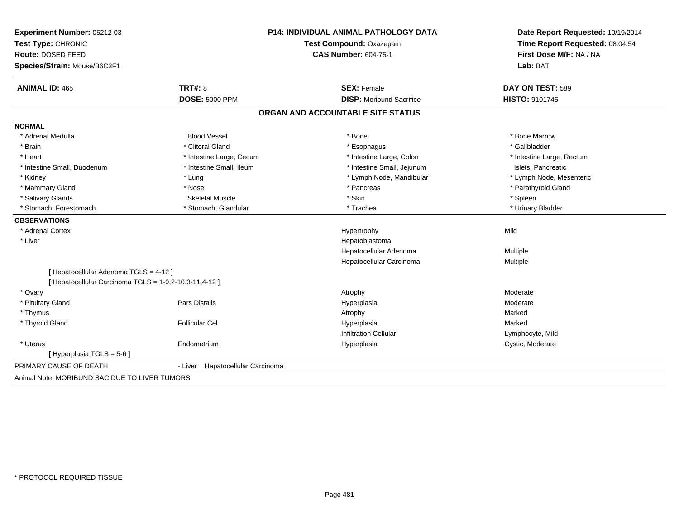| Experiment Number: 05212-03                            | P14: INDIVIDUAL ANIMAL PATHOLOGY DATA |                                   | Date Report Requested: 10/19/2014                          |  |
|--------------------------------------------------------|---------------------------------------|-----------------------------------|------------------------------------------------------------|--|
| Test Type: CHRONIC<br>Route: DOSED FEED                |                                       | Test Compound: Oxazepam           | Time Report Requested: 08:04:54<br>First Dose M/F: NA / NA |  |
|                                                        |                                       | <b>CAS Number: 604-75-1</b>       |                                                            |  |
| Species/Strain: Mouse/B6C3F1                           |                                       |                                   | Lab: BAT                                                   |  |
| <b>ANIMAL ID: 465</b>                                  | TRT#: 8                               | <b>SEX: Female</b>                | DAY ON TEST: 589                                           |  |
|                                                        | <b>DOSE: 5000 PPM</b>                 | <b>DISP:</b> Moribund Sacrifice   | HISTO: 9101745                                             |  |
|                                                        |                                       | ORGAN AND ACCOUNTABLE SITE STATUS |                                                            |  |
| <b>NORMAL</b>                                          |                                       |                                   |                                                            |  |
| * Adrenal Medulla                                      | <b>Blood Vessel</b>                   | * Bone                            | * Bone Marrow                                              |  |
| * Brain                                                | * Clitoral Gland                      | * Esophagus                       | * Gallbladder                                              |  |
| * Heart                                                | * Intestine Large, Cecum              | * Intestine Large, Colon          | * Intestine Large, Rectum                                  |  |
| * Intestine Small, Duodenum                            | * Intestine Small, Ileum              | * Intestine Small, Jejunum        | Islets, Pancreatic                                         |  |
| * Kidney                                               | * Lung                                | * Lymph Node, Mandibular          | * Lymph Node, Mesenteric                                   |  |
| * Mammary Gland                                        | * Nose                                | * Pancreas                        | * Parathyroid Gland                                        |  |
| * Salivary Glands                                      | <b>Skeletal Muscle</b>                | * Skin                            | * Spleen                                                   |  |
| * Stomach. Forestomach                                 | * Stomach, Glandular                  | * Trachea                         | * Urinary Bladder                                          |  |
| <b>OBSERVATIONS</b>                                    |                                       |                                   |                                                            |  |
| * Adrenal Cortex                                       |                                       | Hypertrophy                       | Mild                                                       |  |
| * Liver                                                |                                       | Hepatoblastoma                    |                                                            |  |
|                                                        |                                       | Hepatocellular Adenoma            | Multiple                                                   |  |
|                                                        |                                       | Hepatocellular Carcinoma          | Multiple                                                   |  |
| [ Hepatocellular Adenoma TGLS = 4-12 ]                 |                                       |                                   |                                                            |  |
| [ Hepatocellular Carcinoma TGLS = 1-9,2-10,3-11,4-12 ] |                                       |                                   |                                                            |  |
| * Ovary                                                |                                       | Atrophy                           | Moderate                                                   |  |
| * Pituitary Gland                                      | Pars Distalis                         | Hyperplasia                       | Moderate                                                   |  |
| * Thymus                                               |                                       | Atrophy                           | Marked                                                     |  |
| * Thyroid Gland                                        | <b>Follicular Cel</b>                 | Hyperplasia                       | Marked                                                     |  |
|                                                        |                                       | <b>Infiltration Cellular</b>      | Lymphocyte, Mild                                           |  |
| * Uterus                                               | Endometrium                           | Hyperplasia                       | Cystic, Moderate                                           |  |
| [Hyperplasia TGLS = $5-6$ ]                            |                                       |                                   |                                                            |  |
| PRIMARY CAUSE OF DEATH                                 | Hepatocellular Carcinoma<br>- Liver   |                                   |                                                            |  |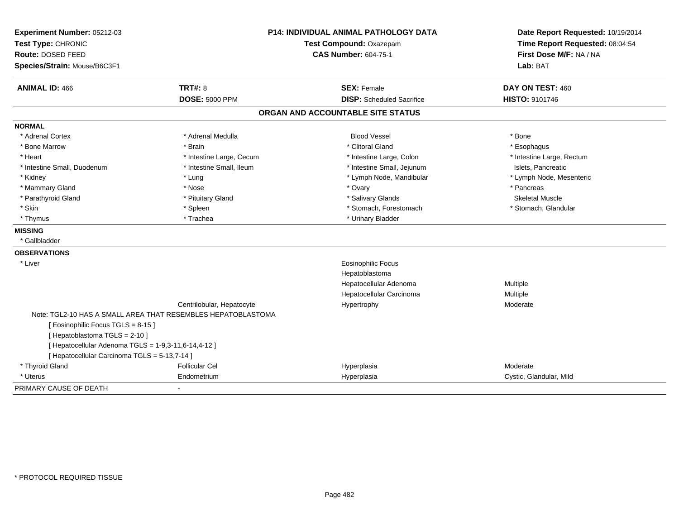| Experiment Number: 05212-03                          |                                                              | <b>P14: INDIVIDUAL ANIMAL PATHOLOGY DATA</b> | Date Report Requested: 10/19/2014                          |
|------------------------------------------------------|--------------------------------------------------------------|----------------------------------------------|------------------------------------------------------------|
| Test Type: CHRONIC                                   |                                                              | <b>Test Compound: Oxazepam</b>               | Time Report Requested: 08:04:54<br>First Dose M/F: NA / NA |
| Route: DOSED FEED                                    |                                                              | <b>CAS Number: 604-75-1</b>                  |                                                            |
| Species/Strain: Mouse/B6C3F1                         |                                                              |                                              | Lab: BAT                                                   |
| <b>ANIMAL ID: 466</b>                                | <b>TRT#: 8</b>                                               | <b>SEX: Female</b>                           | DAY ON TEST: 460                                           |
|                                                      | <b>DOSE: 5000 PPM</b>                                        | <b>DISP:</b> Scheduled Sacrifice             | <b>HISTO: 9101746</b>                                      |
|                                                      |                                                              | ORGAN AND ACCOUNTABLE SITE STATUS            |                                                            |
| <b>NORMAL</b>                                        |                                                              |                                              |                                                            |
| * Adrenal Cortex                                     | * Adrenal Medulla                                            | <b>Blood Vessel</b>                          | * Bone                                                     |
| * Bone Marrow                                        | * Brain                                                      | * Clitoral Gland                             | * Esophagus                                                |
| * Heart                                              | * Intestine Large, Cecum                                     | * Intestine Large, Colon                     | * Intestine Large, Rectum                                  |
| * Intestine Small, Duodenum                          | * Intestine Small, Ileum                                     | * Intestine Small, Jejunum                   | Islets, Pancreatic                                         |
| * Kidney                                             | * Lung                                                       | * Lymph Node, Mandibular                     | * Lymph Node, Mesenteric                                   |
| * Mammary Gland                                      | * Nose                                                       | * Ovary                                      | * Pancreas                                                 |
| * Parathyroid Gland                                  | * Pituitary Gland                                            | * Salivary Glands                            | <b>Skeletal Muscle</b>                                     |
| * Skin                                               | * Spleen                                                     | * Stomach, Forestomach                       | * Stomach, Glandular                                       |
| * Thymus                                             | * Trachea                                                    | * Urinary Bladder                            |                                                            |
| <b>MISSING</b>                                       |                                                              |                                              |                                                            |
| * Gallbladder                                        |                                                              |                                              |                                                            |
| <b>OBSERVATIONS</b>                                  |                                                              |                                              |                                                            |
| * Liver                                              |                                                              | Eosinophilic Focus                           |                                                            |
|                                                      |                                                              | Hepatoblastoma                               |                                                            |
|                                                      |                                                              | Hepatocellular Adenoma                       | Multiple                                                   |
|                                                      |                                                              | Hepatocellular Carcinoma                     | Multiple                                                   |
|                                                      | Centrilobular, Hepatocyte                                    | Hypertrophy                                  | Moderate                                                   |
|                                                      | Note: TGL2-10 HAS A SMALL AREA THAT RESEMBLES HEPATOBLASTOMA |                                              |                                                            |
| [ Eosinophilic Focus TGLS = 8-15 ]                   |                                                              |                                              |                                                            |
| [ Hepatoblastoma TGLS = 2-10 ]                       |                                                              |                                              |                                                            |
| [ Hepatocellular Adenoma TGLS = 1-9,3-11,6-14,4-12 ] |                                                              |                                              |                                                            |
| [ Hepatocellular Carcinoma TGLS = 5-13,7-14 ]        |                                                              |                                              |                                                            |
| * Thyroid Gland                                      | <b>Follicular Cel</b>                                        | Hyperplasia                                  | Moderate                                                   |
| * Uterus                                             | Endometrium                                                  | Hyperplasia                                  | Cystic, Glandular, Mild                                    |
| PRIMARY CAUSE OF DEATH                               | $\mathbf{r}$                                                 |                                              |                                                            |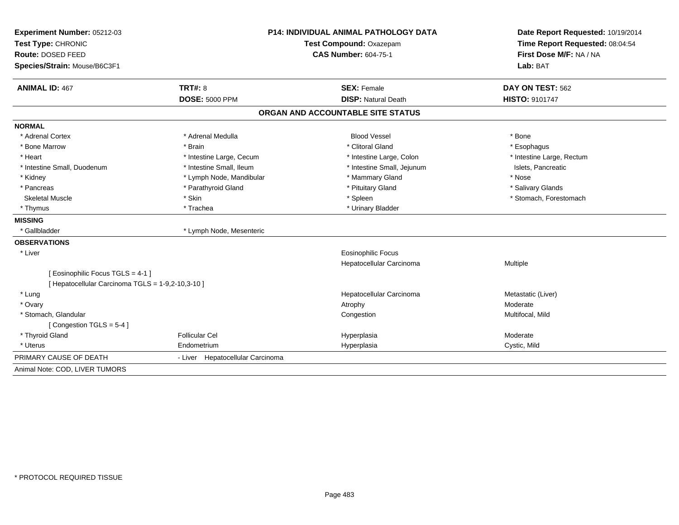| Experiment Number: 05212-03                       | <b>P14: INDIVIDUAL ANIMAL PATHOLOGY DATA</b> |                                   | Date Report Requested: 10/19/2014                          |
|---------------------------------------------------|----------------------------------------------|-----------------------------------|------------------------------------------------------------|
| Test Type: CHRONIC                                |                                              | Test Compound: Oxazepam           | Time Report Requested: 08:04:54<br>First Dose M/F: NA / NA |
| Route: DOSED FEED                                 |                                              | <b>CAS Number: 604-75-1</b>       |                                                            |
| Species/Strain: Mouse/B6C3F1                      |                                              |                                   | Lab: BAT                                                   |
| <b>ANIMAL ID: 467</b>                             | TRT#: 8                                      | <b>SEX: Female</b>                | DAY ON TEST: 562                                           |
|                                                   | <b>DOSE: 5000 PPM</b>                        | <b>DISP: Natural Death</b>        | HISTO: 9101747                                             |
|                                                   |                                              | ORGAN AND ACCOUNTABLE SITE STATUS |                                                            |
| <b>NORMAL</b>                                     |                                              |                                   |                                                            |
| * Adrenal Cortex                                  | * Adrenal Medulla                            | <b>Blood Vessel</b>               | * Bone                                                     |
| * Bone Marrow                                     | * Brain                                      | * Clitoral Gland                  | * Esophagus                                                |
| * Heart                                           | * Intestine Large, Cecum                     | * Intestine Large, Colon          | * Intestine Large, Rectum                                  |
| * Intestine Small, Duodenum                       | * Intestine Small. Ileum                     | * Intestine Small, Jejunum        | Islets, Pancreatic                                         |
| * Kidney                                          | * Lymph Node, Mandibular                     | * Mammary Gland                   | * Nose                                                     |
| * Pancreas                                        | * Parathyroid Gland                          | * Pituitary Gland                 | * Salivary Glands                                          |
| <b>Skeletal Muscle</b>                            | * Skin                                       | * Spleen                          | * Stomach, Forestomach                                     |
| * Thymus                                          | * Trachea                                    | * Urinary Bladder                 |                                                            |
| <b>MISSING</b>                                    |                                              |                                   |                                                            |
| * Gallbladder                                     | * Lymph Node, Mesenteric                     |                                   |                                                            |
| <b>OBSERVATIONS</b>                               |                                              |                                   |                                                            |
| * Liver                                           |                                              | <b>Eosinophilic Focus</b>         |                                                            |
|                                                   |                                              | Hepatocellular Carcinoma          | Multiple                                                   |
| [ Eosinophilic Focus TGLS = 4-1 ]                 |                                              |                                   |                                                            |
| [ Hepatocellular Carcinoma TGLS = 1-9,2-10,3-10 ] |                                              |                                   |                                                            |
| * Lung                                            |                                              | Hepatocellular Carcinoma          | Metastatic (Liver)                                         |
| * Ovary                                           |                                              | Atrophy                           | Moderate                                                   |
| * Stomach, Glandular                              |                                              | Congestion                        | Multifocal, Mild                                           |
| [Congestion TGLS = $5-4$ ]                        |                                              |                                   |                                                            |
| * Thyroid Gland                                   | <b>Follicular Cel</b>                        | Hyperplasia                       | Moderate                                                   |
| * Uterus                                          | Endometrium                                  | Hyperplasia                       | Cystic, Mild                                               |
| PRIMARY CAUSE OF DEATH                            | - Liver Hepatocellular Carcinoma             |                                   |                                                            |
| Animal Note: COD, LIVER TUMORS                    |                                              |                                   |                                                            |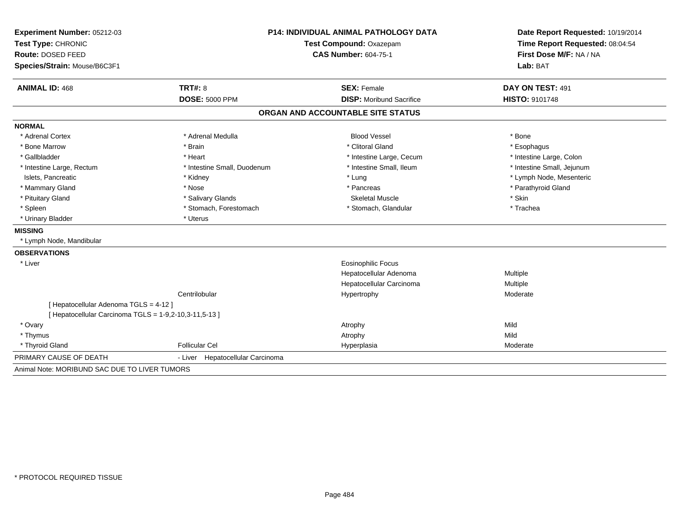| Experiment Number: 05212-03                            | <b>P14: INDIVIDUAL ANIMAL PATHOLOGY DATA</b><br>Test Compound: Oxazepam |                                   | Date Report Requested: 10/19/2014<br>Time Report Requested: 08:04:54 |  |
|--------------------------------------------------------|-------------------------------------------------------------------------|-----------------------------------|----------------------------------------------------------------------|--|
| Test Type: CHRONIC                                     |                                                                         |                                   |                                                                      |  |
| Route: DOSED FEED                                      |                                                                         | <b>CAS Number: 604-75-1</b>       | First Dose M/F: NA / NA                                              |  |
| Species/Strain: Mouse/B6C3F1                           |                                                                         |                                   | Lab: BAT                                                             |  |
| <b>ANIMAL ID: 468</b>                                  | <b>TRT#: 8</b>                                                          | <b>SEX: Female</b>                | DAY ON TEST: 491                                                     |  |
|                                                        | <b>DOSE: 5000 PPM</b>                                                   | <b>DISP:</b> Moribund Sacrifice   | <b>HISTO: 9101748</b>                                                |  |
|                                                        |                                                                         | ORGAN AND ACCOUNTABLE SITE STATUS |                                                                      |  |
| <b>NORMAL</b>                                          |                                                                         |                                   |                                                                      |  |
| * Adrenal Cortex                                       | * Adrenal Medulla                                                       | <b>Blood Vessel</b>               | * Bone                                                               |  |
| * Bone Marrow                                          | * Brain                                                                 | * Clitoral Gland                  | * Esophagus                                                          |  |
| * Gallbladder                                          | * Heart                                                                 | * Intestine Large, Cecum          | * Intestine Large, Colon                                             |  |
| * Intestine Large, Rectum                              | * Intestine Small, Duodenum                                             | * Intestine Small, Ileum          | * Intestine Small, Jejunum                                           |  |
| Islets, Pancreatic                                     | * Kidney                                                                | * Lung                            | * Lymph Node, Mesenteric                                             |  |
| * Mammary Gland                                        | * Nose                                                                  | * Pancreas                        | * Parathyroid Gland                                                  |  |
| * Pituitary Gland                                      | * Salivary Glands                                                       | <b>Skeletal Muscle</b>            | * Skin                                                               |  |
| * Spleen                                               | * Stomach, Forestomach                                                  | * Stomach, Glandular              | * Trachea                                                            |  |
| * Urinary Bladder                                      | * Uterus                                                                |                                   |                                                                      |  |
| <b>MISSING</b>                                         |                                                                         |                                   |                                                                      |  |
| * Lymph Node, Mandibular                               |                                                                         |                                   |                                                                      |  |
| <b>OBSERVATIONS</b>                                    |                                                                         |                                   |                                                                      |  |
| * Liver                                                |                                                                         | <b>Eosinophilic Focus</b>         |                                                                      |  |
|                                                        |                                                                         | Hepatocellular Adenoma            | Multiple                                                             |  |
|                                                        |                                                                         | Hepatocellular Carcinoma          | Multiple                                                             |  |
|                                                        | Centrilobular                                                           | Hypertrophy                       | Moderate                                                             |  |
| [ Hepatocellular Adenoma TGLS = 4-12 ]                 |                                                                         |                                   |                                                                      |  |
| [ Hepatocellular Carcinoma TGLS = 1-9,2-10,3-11,5-13 ] |                                                                         |                                   |                                                                      |  |
| * Ovary                                                |                                                                         | Atrophy                           | Mild                                                                 |  |
| * Thymus                                               |                                                                         | Atrophy                           | Mild                                                                 |  |
| * Thyroid Gland                                        | <b>Follicular Cel</b>                                                   | Hyperplasia                       | Moderate                                                             |  |
| PRIMARY CAUSE OF DEATH                                 | - Liver Hepatocellular Carcinoma                                        |                                   |                                                                      |  |
| Animal Note: MORIBUND SAC DUE TO LIVER TUMORS          |                                                                         |                                   |                                                                      |  |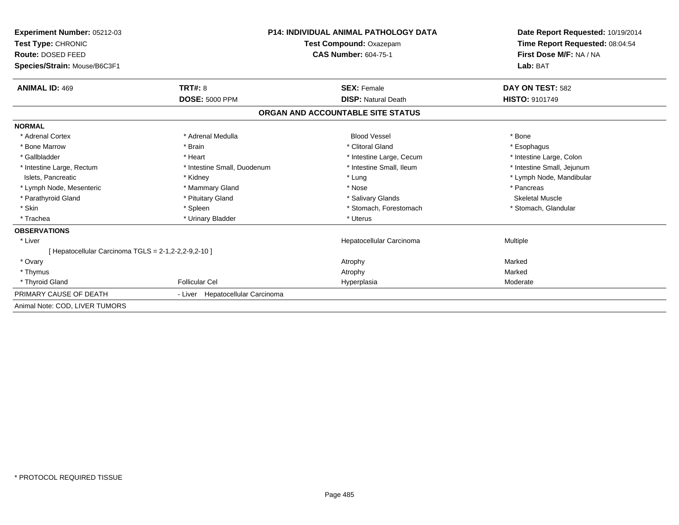| Experiment Number: 05212-03<br>Test Type: CHRONIC<br>Route: DOSED FEED<br>Species/Strain: Mouse/B6C3F1 |                                  | <b>P14: INDIVIDUAL ANIMAL PATHOLOGY DATA</b><br>Test Compound: Oxazepam<br><b>CAS Number: 604-75-1</b> | Date Report Requested: 10/19/2014<br>Time Report Requested: 08:04:54<br>First Dose M/F: NA / NA<br>Lab: BAT |
|--------------------------------------------------------------------------------------------------------|----------------------------------|--------------------------------------------------------------------------------------------------------|-------------------------------------------------------------------------------------------------------------|
| <b>ANIMAL ID: 469</b>                                                                                  | TRT#: 8                          | <b>SEX: Female</b>                                                                                     | DAY ON TEST: 582                                                                                            |
|                                                                                                        | <b>DOSE: 5000 PPM</b>            | <b>DISP: Natural Death</b>                                                                             | <b>HISTO: 9101749</b>                                                                                       |
|                                                                                                        |                                  | ORGAN AND ACCOUNTABLE SITE STATUS                                                                      |                                                                                                             |
| <b>NORMAL</b>                                                                                          |                                  |                                                                                                        |                                                                                                             |
| * Adrenal Cortex                                                                                       | * Adrenal Medulla                | <b>Blood Vessel</b>                                                                                    | * Bone                                                                                                      |
| * Bone Marrow                                                                                          | * Brain                          | * Clitoral Gland                                                                                       | * Esophagus                                                                                                 |
| * Gallbladder                                                                                          | * Heart                          | * Intestine Large, Cecum                                                                               | * Intestine Large, Colon                                                                                    |
| * Intestine Large, Rectum                                                                              | * Intestine Small, Duodenum      | * Intestine Small, Ileum                                                                               | * Intestine Small, Jejunum                                                                                  |
| Islets, Pancreatic                                                                                     | * Kidney                         | * Lung                                                                                                 | * Lymph Node, Mandibular                                                                                    |
| * Lymph Node, Mesenteric                                                                               | * Mammary Gland                  | * Nose                                                                                                 | * Pancreas                                                                                                  |
| * Parathyroid Gland                                                                                    | * Pituitary Gland                | * Salivary Glands                                                                                      | <b>Skeletal Muscle</b>                                                                                      |
| * Skin                                                                                                 | * Spleen                         | * Stomach, Forestomach                                                                                 | * Stomach, Glandular                                                                                        |
| * Trachea                                                                                              | * Urinary Bladder                | * Uterus                                                                                               |                                                                                                             |
| <b>OBSERVATIONS</b>                                                                                    |                                  |                                                                                                        |                                                                                                             |
| * Liver                                                                                                |                                  | Hepatocellular Carcinoma                                                                               | Multiple                                                                                                    |
| [ Hepatocellular Carcinoma TGLS = 2-1,2-2,2-9,2-10 ]                                                   |                                  |                                                                                                        |                                                                                                             |
| * Ovary                                                                                                |                                  | Atrophy                                                                                                | Marked                                                                                                      |
| * Thymus                                                                                               |                                  | Atrophy                                                                                                | Marked                                                                                                      |
| * Thyroid Gland                                                                                        | <b>Follicular Cel</b>            | Hyperplasia                                                                                            | Moderate                                                                                                    |
| PRIMARY CAUSE OF DEATH                                                                                 | - Liver Hepatocellular Carcinoma |                                                                                                        |                                                                                                             |
| Animal Note: COD. LIVER TUMORS                                                                         |                                  |                                                                                                        |                                                                                                             |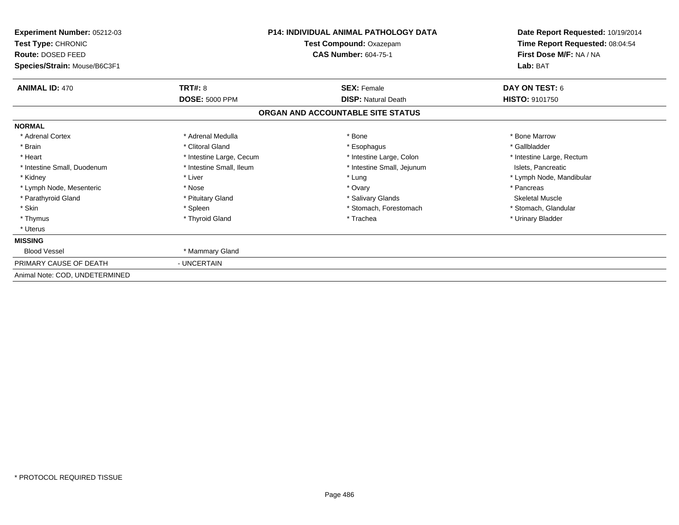| Experiment Number: 05212-03<br>Test Type: CHRONIC<br>Route: DOSED FEED<br>Species/Strain: Mouse/B6C3F1 | <b>P14: INDIVIDUAL ANIMAL PATHOLOGY DATA</b><br>Test Compound: Oxazepam<br><b>CAS Number: 604-75-1</b> |                                   | Date Report Requested: 10/19/2014<br>Time Report Requested: 08:04:54<br>First Dose M/F: NA / NA<br>Lab: BAT |
|--------------------------------------------------------------------------------------------------------|--------------------------------------------------------------------------------------------------------|-----------------------------------|-------------------------------------------------------------------------------------------------------------|
| <b>ANIMAL ID: 470</b>                                                                                  | TRT#: 8                                                                                                | <b>SEX: Female</b>                | DAY ON TEST: 6                                                                                              |
|                                                                                                        | <b>DOSE: 5000 PPM</b>                                                                                  | <b>DISP: Natural Death</b>        | HISTO: 9101750                                                                                              |
|                                                                                                        |                                                                                                        | ORGAN AND ACCOUNTABLE SITE STATUS |                                                                                                             |
| <b>NORMAL</b>                                                                                          |                                                                                                        |                                   |                                                                                                             |
| * Adrenal Cortex                                                                                       | * Adrenal Medulla                                                                                      | * Bone                            | * Bone Marrow                                                                                               |
| * Brain                                                                                                | * Clitoral Gland                                                                                       | * Esophagus                       | * Gallbladder                                                                                               |
| * Heart                                                                                                | * Intestine Large, Cecum                                                                               | * Intestine Large, Colon          | * Intestine Large, Rectum                                                                                   |
| * Intestine Small, Duodenum                                                                            | * Intestine Small, Ileum                                                                               | * Intestine Small, Jejunum        | Islets, Pancreatic                                                                                          |
| * Kidney                                                                                               | * Liver                                                                                                | * Lung                            | * Lymph Node, Mandibular                                                                                    |
| * Lymph Node, Mesenteric                                                                               | * Nose                                                                                                 | * Ovary                           | * Pancreas                                                                                                  |
| * Parathyroid Gland                                                                                    | * Pituitary Gland                                                                                      | * Salivary Glands                 | <b>Skeletal Muscle</b>                                                                                      |
| * Skin                                                                                                 | * Spleen                                                                                               | * Stomach, Forestomach            | * Stomach, Glandular                                                                                        |
| * Thymus                                                                                               | * Thyroid Gland                                                                                        | * Trachea                         | * Urinary Bladder                                                                                           |
| * Uterus                                                                                               |                                                                                                        |                                   |                                                                                                             |
| <b>MISSING</b>                                                                                         |                                                                                                        |                                   |                                                                                                             |
| <b>Blood Vessel</b>                                                                                    | * Mammary Gland                                                                                        |                                   |                                                                                                             |
| PRIMARY CAUSE OF DEATH                                                                                 | - UNCERTAIN                                                                                            |                                   |                                                                                                             |
| Animal Note: COD, UNDETERMINED                                                                         |                                                                                                        |                                   |                                                                                                             |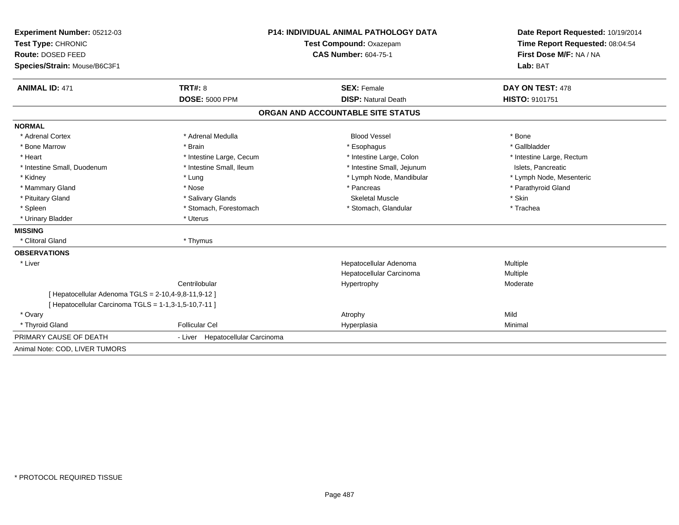| Experiment Number: 05212-03                           |                                  | <b>P14: INDIVIDUAL ANIMAL PATHOLOGY DATA</b> |                                 |  |
|-------------------------------------------------------|----------------------------------|----------------------------------------------|---------------------------------|--|
| Test Type: CHRONIC                                    | Test Compound: Oxazepam          |                                              | Time Report Requested: 08:04:54 |  |
| Route: DOSED FEED                                     |                                  | <b>CAS Number: 604-75-1</b>                  | First Dose M/F: NA / NA         |  |
| Species/Strain: Mouse/B6C3F1                          |                                  |                                              | Lab: BAT                        |  |
| <b>ANIMAL ID: 471</b>                                 | <b>TRT#: 8</b>                   | <b>SEX: Female</b>                           | DAY ON TEST: 478                |  |
|                                                       | <b>DOSE: 5000 PPM</b>            | <b>DISP: Natural Death</b>                   | <b>HISTO: 9101751</b>           |  |
|                                                       |                                  | ORGAN AND ACCOUNTABLE SITE STATUS            |                                 |  |
| <b>NORMAL</b>                                         |                                  |                                              |                                 |  |
| * Adrenal Cortex                                      | * Adrenal Medulla                | <b>Blood Vessel</b>                          | * Bone                          |  |
| * Bone Marrow                                         | * Brain                          | * Esophagus                                  | * Gallbladder                   |  |
| * Heart                                               | * Intestine Large, Cecum         | * Intestine Large, Colon                     | * Intestine Large, Rectum       |  |
| * Intestine Small, Duodenum                           | * Intestine Small. Ileum         | * Intestine Small, Jejunum                   | Islets, Pancreatic              |  |
| * Kidney                                              | * Lung                           | * Lymph Node, Mandibular                     | * Lymph Node, Mesenteric        |  |
| * Mammary Gland                                       | * Nose                           | * Pancreas                                   | * Parathyroid Gland             |  |
| * Pituitary Gland                                     | * Salivary Glands                | <b>Skeletal Muscle</b>                       | * Skin                          |  |
| * Spleen                                              | * Stomach, Forestomach           | * Stomach, Glandular                         | * Trachea                       |  |
| * Urinary Bladder                                     | * Uterus                         |                                              |                                 |  |
| <b>MISSING</b>                                        |                                  |                                              |                                 |  |
| * Clitoral Gland                                      | * Thymus                         |                                              |                                 |  |
| <b>OBSERVATIONS</b>                                   |                                  |                                              |                                 |  |
| * Liver                                               |                                  | Hepatocellular Adenoma                       | Multiple                        |  |
|                                                       |                                  | Hepatocellular Carcinoma                     | Multiple                        |  |
|                                                       | Centrilobular                    | Hypertrophy                                  | Moderate                        |  |
| [ Hepatocellular Adenoma TGLS = 2-10,4-9,8-11,9-12 ]  |                                  |                                              |                                 |  |
| [ Hepatocellular Carcinoma TGLS = 1-1,3-1,5-10,7-11 ] |                                  |                                              |                                 |  |
| * Ovary                                               |                                  | Atrophy                                      | Mild                            |  |
| * Thyroid Gland                                       | <b>Follicular Cel</b>            | Hyperplasia                                  | Minimal                         |  |
| PRIMARY CAUSE OF DEATH                                | - Liver Hepatocellular Carcinoma |                                              |                                 |  |
| Animal Note: COD, LIVER TUMORS                        |                                  |                                              |                                 |  |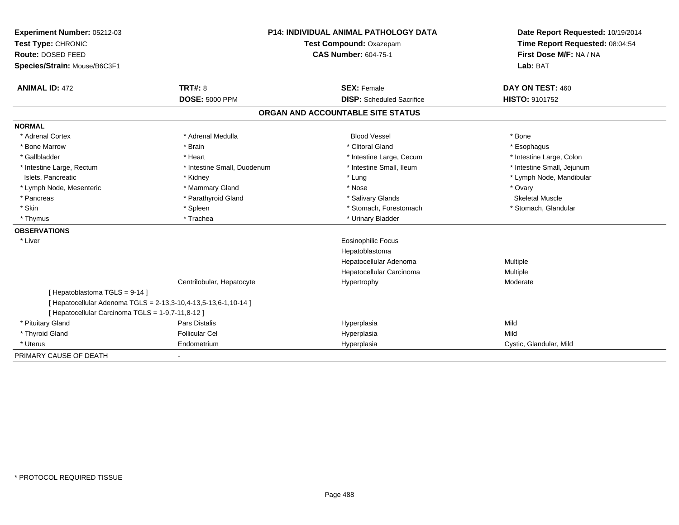| Experiment Number: 05212-03                       | <b>P14: INDIVIDUAL ANIMAL PATHOLOGY DATA</b><br>Test Compound: Oxazepam |                                   | Date Report Requested: 10/19/2014 |  |
|---------------------------------------------------|-------------------------------------------------------------------------|-----------------------------------|-----------------------------------|--|
| Test Type: CHRONIC                                |                                                                         |                                   | Time Report Requested: 08:04:54   |  |
| Route: DOSED FEED                                 |                                                                         | <b>CAS Number: 604-75-1</b>       | First Dose M/F: NA / NA           |  |
| Species/Strain: Mouse/B6C3F1                      |                                                                         |                                   | Lab: BAT                          |  |
| <b>ANIMAL ID: 472</b>                             | TRT#: 8                                                                 | <b>SEX: Female</b>                | DAY ON TEST: 460                  |  |
|                                                   | <b>DOSE: 5000 PPM</b>                                                   | <b>DISP:</b> Scheduled Sacrifice  | <b>HISTO: 9101752</b>             |  |
|                                                   |                                                                         | ORGAN AND ACCOUNTABLE SITE STATUS |                                   |  |
| <b>NORMAL</b>                                     |                                                                         |                                   |                                   |  |
| * Adrenal Cortex                                  | * Adrenal Medulla                                                       | <b>Blood Vessel</b>               | * Bone                            |  |
| * Bone Marrow                                     | * Brain                                                                 | * Clitoral Gland                  | * Esophagus                       |  |
| * Gallbladder                                     | * Heart                                                                 | * Intestine Large, Cecum          | * Intestine Large, Colon          |  |
| * Intestine Large, Rectum                         | * Intestine Small, Duodenum                                             | * Intestine Small, Ileum          | * Intestine Small, Jejunum        |  |
| Islets, Pancreatic                                | * Kidney                                                                | * Lung                            | * Lymph Node, Mandibular          |  |
| * Lymph Node, Mesenteric                          | * Mammary Gland                                                         | * Nose                            | * Ovary                           |  |
| * Pancreas                                        | * Parathyroid Gland                                                     | * Salivary Glands                 | Skeletal Muscle                   |  |
| * Skin                                            | * Spleen                                                                | * Stomach, Forestomach            | * Stomach, Glandular              |  |
| * Thymus                                          | * Trachea                                                               | * Urinary Bladder                 |                                   |  |
| <b>OBSERVATIONS</b>                               |                                                                         |                                   |                                   |  |
| * Liver                                           |                                                                         | Eosinophilic Focus                |                                   |  |
|                                                   |                                                                         | Hepatoblastoma                    |                                   |  |
|                                                   |                                                                         | Hepatocellular Adenoma            | Multiple                          |  |
|                                                   |                                                                         | Hepatocellular Carcinoma          | Multiple                          |  |
|                                                   | Centrilobular, Hepatocyte                                               | Hypertrophy                       | Moderate                          |  |
| [Hepatoblastoma TGLS = 9-14]                      |                                                                         |                                   |                                   |  |
|                                                   | [ Hepatocellular Adenoma TGLS = 2-13,3-10,4-13,5-13,6-1,10-14 ]         |                                   |                                   |  |
| [ Hepatocellular Carcinoma TGLS = 1-9,7-11,8-12 ] |                                                                         |                                   |                                   |  |
| * Pituitary Gland                                 | Pars Distalis                                                           | Hyperplasia                       | Mild                              |  |
| * Thyroid Gland                                   | <b>Follicular Cel</b>                                                   | Hyperplasia                       | Mild                              |  |
| * Uterus                                          | Endometrium                                                             | Hyperplasia                       | Cystic, Glandular, Mild           |  |
| PRIMARY CAUSE OF DEATH                            |                                                                         |                                   |                                   |  |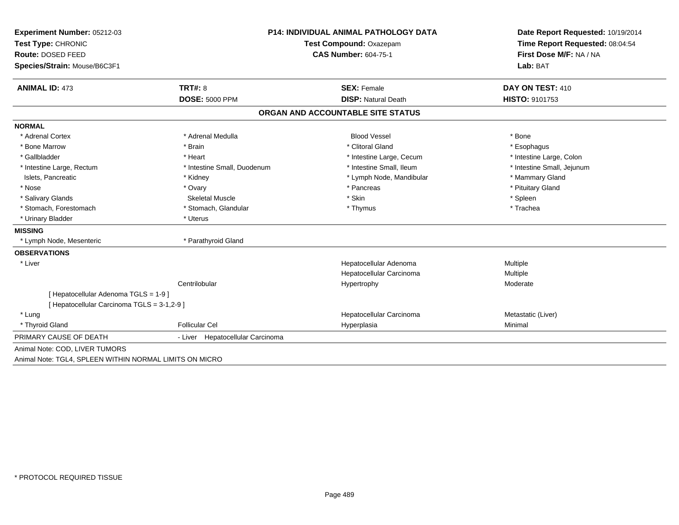| Experiment Number: 05212-03                             | <b>P14: INDIVIDUAL ANIMAL PATHOLOGY DATA</b> |                                   | Date Report Requested: 10/19/2014                          |  |
|---------------------------------------------------------|----------------------------------------------|-----------------------------------|------------------------------------------------------------|--|
| Test Type: CHRONIC                                      |                                              | <b>Test Compound: Oxazepam</b>    |                                                            |  |
| Route: DOSED FEED                                       |                                              | <b>CAS Number: 604-75-1</b>       | Time Report Requested: 08:04:54<br>First Dose M/F: NA / NA |  |
| Species/Strain: Mouse/B6C3F1                            |                                              |                                   | Lab: BAT                                                   |  |
| <b>ANIMAL ID: 473</b>                                   | TRT#: 8                                      | <b>SEX: Female</b>                | DAY ON TEST: 410                                           |  |
|                                                         | <b>DOSE: 5000 PPM</b>                        | <b>DISP: Natural Death</b>        | <b>HISTO: 9101753</b>                                      |  |
|                                                         |                                              | ORGAN AND ACCOUNTABLE SITE STATUS |                                                            |  |
| <b>NORMAL</b>                                           |                                              |                                   |                                                            |  |
| * Adrenal Cortex                                        | * Adrenal Medulla                            | <b>Blood Vessel</b>               | * Bone                                                     |  |
| * Bone Marrow                                           | * Brain                                      | * Clitoral Gland                  | * Esophagus                                                |  |
| * Gallbladder                                           | * Heart                                      | * Intestine Large, Cecum          | * Intestine Large, Colon                                   |  |
| * Intestine Large, Rectum                               | * Intestine Small, Duodenum                  | * Intestine Small, Ileum          | * Intestine Small, Jejunum                                 |  |
| Islets, Pancreatic                                      | * Kidney                                     | * Lymph Node, Mandibular          | * Mammary Gland                                            |  |
| * Nose                                                  | * Ovary                                      | * Pancreas                        | * Pituitary Gland                                          |  |
| * Salivary Glands                                       | <b>Skeletal Muscle</b>                       | * Skin                            | * Spleen                                                   |  |
| * Stomach, Forestomach                                  | * Stomach, Glandular                         | * Thymus                          | * Trachea                                                  |  |
| * Urinary Bladder                                       | * Uterus                                     |                                   |                                                            |  |
| <b>MISSING</b>                                          |                                              |                                   |                                                            |  |
| * Lymph Node, Mesenteric                                | * Parathyroid Gland                          |                                   |                                                            |  |
| <b>OBSERVATIONS</b>                                     |                                              |                                   |                                                            |  |
| * Liver                                                 |                                              | Hepatocellular Adenoma            | Multiple                                                   |  |
|                                                         |                                              | Hepatocellular Carcinoma          | Multiple                                                   |  |
|                                                         | Centrilobular                                | Hypertrophy                       | Moderate                                                   |  |
| [Hepatocellular Adenoma TGLS = 1-9]                     |                                              |                                   |                                                            |  |
| [ Hepatocellular Carcinoma TGLS = 3-1,2-9 ]             |                                              |                                   |                                                            |  |
| * Lung                                                  |                                              | Hepatocellular Carcinoma          | Metastatic (Liver)                                         |  |
| * Thyroid Gland                                         | Follicular Cel                               | Hyperplasia                       | Minimal                                                    |  |
| PRIMARY CAUSE OF DEATH                                  | - Liver Hepatocellular Carcinoma             |                                   |                                                            |  |
| Animal Note: COD, LIVER TUMORS                          |                                              |                                   |                                                            |  |
| Animal Note: TGL4, SPLEEN WITHIN NORMAL LIMITS ON MICRO |                                              |                                   |                                                            |  |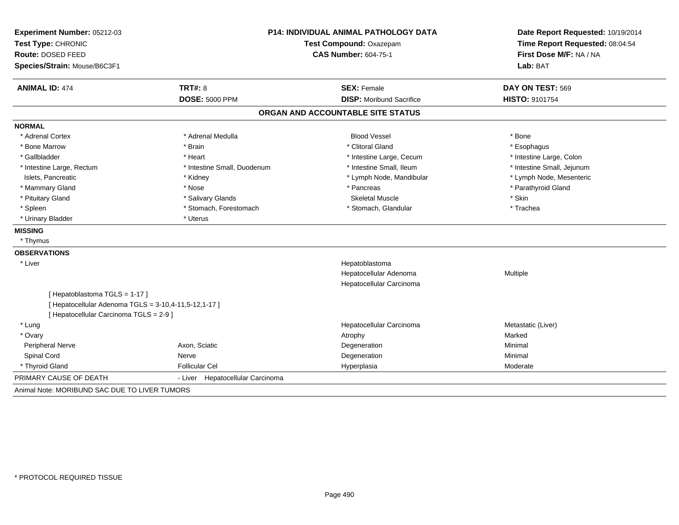| Experiment Number: 05212-03<br>Test Type: CHRONIC<br>Route: DOSED FEED | <b>P14: INDIVIDUAL ANIMAL PATHOLOGY DATA</b><br>Test Compound: Oxazepam<br><b>CAS Number: 604-75-1</b> |                                   | Date Report Requested: 10/19/2014<br>Time Report Requested: 08:04:54<br>First Dose M/F: NA / NA |  |
|------------------------------------------------------------------------|--------------------------------------------------------------------------------------------------------|-----------------------------------|-------------------------------------------------------------------------------------------------|--|
| Species/Strain: Mouse/B6C3F1                                           |                                                                                                        |                                   | Lab: BAT                                                                                        |  |
| <b>ANIMAL ID: 474</b>                                                  | <b>TRT#: 8</b>                                                                                         | <b>SEX: Female</b>                | DAY ON TEST: 569                                                                                |  |
|                                                                        | <b>DOSE: 5000 PPM</b>                                                                                  | <b>DISP:</b> Moribund Sacrifice   | <b>HISTO: 9101754</b>                                                                           |  |
|                                                                        |                                                                                                        | ORGAN AND ACCOUNTABLE SITE STATUS |                                                                                                 |  |
| <b>NORMAL</b>                                                          |                                                                                                        |                                   |                                                                                                 |  |
| * Adrenal Cortex                                                       | * Adrenal Medulla                                                                                      | <b>Blood Vessel</b>               | * Bone                                                                                          |  |
| * Bone Marrow                                                          | * Brain                                                                                                | * Clitoral Gland                  | * Esophagus                                                                                     |  |
| * Gallbladder                                                          | * Heart                                                                                                | * Intestine Large, Cecum          | * Intestine Large, Colon                                                                        |  |
| * Intestine Large, Rectum                                              | * Intestine Small, Duodenum                                                                            | * Intestine Small, Ileum          | * Intestine Small, Jejunum                                                                      |  |
| Islets, Pancreatic                                                     | * Kidney                                                                                               | * Lymph Node, Mandibular          | * Lymph Node, Mesenteric                                                                        |  |
| * Mammary Gland                                                        | * Nose                                                                                                 | * Pancreas                        | * Parathyroid Gland                                                                             |  |
| * Pituitary Gland                                                      | * Salivary Glands                                                                                      | <b>Skeletal Muscle</b>            | * Skin                                                                                          |  |
| * Spleen                                                               | * Stomach, Forestomach                                                                                 | * Stomach, Glandular              | * Trachea                                                                                       |  |
| * Urinary Bladder                                                      | * Uterus                                                                                               |                                   |                                                                                                 |  |
| <b>MISSING</b>                                                         |                                                                                                        |                                   |                                                                                                 |  |
| * Thymus                                                               |                                                                                                        |                                   |                                                                                                 |  |
| <b>OBSERVATIONS</b>                                                    |                                                                                                        |                                   |                                                                                                 |  |
| * Liver                                                                |                                                                                                        | Hepatoblastoma                    |                                                                                                 |  |
|                                                                        |                                                                                                        | Hepatocellular Adenoma            | Multiple                                                                                        |  |
|                                                                        |                                                                                                        | Hepatocellular Carcinoma          |                                                                                                 |  |
| [Hepatoblastoma TGLS = 1-17]                                           |                                                                                                        |                                   |                                                                                                 |  |
| [ Hepatocellular Adenoma TGLS = 3-10,4-11,5-12,1-17 ]                  |                                                                                                        |                                   |                                                                                                 |  |
| [ Hepatocellular Carcinoma TGLS = 2-9 ]                                |                                                                                                        |                                   |                                                                                                 |  |
| * Lung                                                                 |                                                                                                        | Hepatocellular Carcinoma          | Metastatic (Liver)                                                                              |  |
| * Ovary                                                                |                                                                                                        | Atrophy                           | Marked                                                                                          |  |
| <b>Peripheral Nerve</b>                                                | Axon, Sciatic                                                                                          | Degeneration                      | Minimal                                                                                         |  |
| Spinal Cord                                                            | Nerve                                                                                                  | Degeneration                      | Minimal                                                                                         |  |
| * Thyroid Gland                                                        | <b>Follicular Cel</b>                                                                                  | Hyperplasia                       | Moderate                                                                                        |  |
| PRIMARY CAUSE OF DEATH                                                 | - Liver Hepatocellular Carcinoma                                                                       |                                   |                                                                                                 |  |
| Animal Note: MORIBUND SAC DUE TO LIVER TUMORS                          |                                                                                                        |                                   |                                                                                                 |  |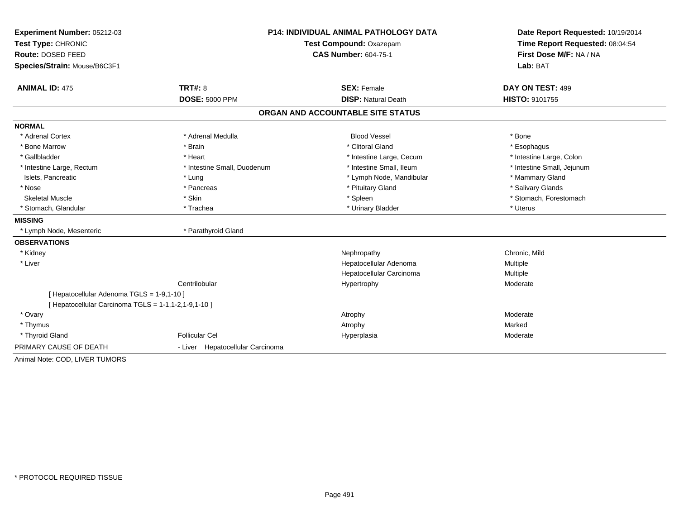| <b>Experiment Number: 05212-03</b>                   | <b>P14: INDIVIDUAL ANIMAL PATHOLOGY DATA</b> |                                   | Date Report Requested: 10/19/2014<br>Time Report Requested: 08:04:54 |  |
|------------------------------------------------------|----------------------------------------------|-----------------------------------|----------------------------------------------------------------------|--|
| Test Type: CHRONIC                                   |                                              | Test Compound: Oxazepam           |                                                                      |  |
| Route: DOSED FEED                                    |                                              | <b>CAS Number: 604-75-1</b>       | First Dose M/F: NA / NA                                              |  |
| Species/Strain: Mouse/B6C3F1                         |                                              |                                   | Lab: BAT                                                             |  |
| <b>ANIMAL ID: 475</b>                                | <b>TRT#: 8</b>                               | <b>SEX: Female</b>                | DAY ON TEST: 499                                                     |  |
|                                                      | <b>DOSE: 5000 PPM</b>                        | <b>DISP: Natural Death</b>        | <b>HISTO: 9101755</b>                                                |  |
|                                                      |                                              | ORGAN AND ACCOUNTABLE SITE STATUS |                                                                      |  |
| <b>NORMAL</b>                                        |                                              |                                   |                                                                      |  |
| * Adrenal Cortex                                     | * Adrenal Medulla                            | <b>Blood Vessel</b>               | * Bone                                                               |  |
| * Bone Marrow                                        | * Brain                                      | * Clitoral Gland                  | * Esophagus                                                          |  |
| * Gallbladder                                        | * Heart                                      | * Intestine Large, Cecum          | * Intestine Large, Colon                                             |  |
| * Intestine Large, Rectum                            | * Intestine Small, Duodenum                  | * Intestine Small, Ileum          | * Intestine Small, Jejunum                                           |  |
| Islets, Pancreatic                                   | * Lung                                       | * Lymph Node, Mandibular          | * Mammary Gland                                                      |  |
| * Nose                                               | * Pancreas                                   | * Pituitary Gland                 | * Salivary Glands                                                    |  |
| <b>Skeletal Muscle</b>                               | * Skin                                       | * Spleen                          | * Stomach, Forestomach                                               |  |
| * Stomach, Glandular                                 | * Trachea                                    | * Urinary Bladder                 | * Uterus                                                             |  |
| <b>MISSING</b>                                       |                                              |                                   |                                                                      |  |
| * Lymph Node, Mesenteric                             | * Parathyroid Gland                          |                                   |                                                                      |  |
| <b>OBSERVATIONS</b>                                  |                                              |                                   |                                                                      |  |
| * Kidney                                             |                                              | Nephropathy                       | Chronic, Mild                                                        |  |
| * Liver                                              |                                              | Hepatocellular Adenoma            | Multiple                                                             |  |
|                                                      |                                              | Hepatocellular Carcinoma          | Multiple                                                             |  |
|                                                      | Centrilobular                                | Hypertrophy                       | Moderate                                                             |  |
| [ Hepatocellular Adenoma TGLS = 1-9,1-10 ]           |                                              |                                   |                                                                      |  |
| [ Hepatocellular Carcinoma TGLS = 1-1,1-2,1-9,1-10 ] |                                              |                                   |                                                                      |  |
| * Ovary                                              |                                              | Atrophy                           | Moderate                                                             |  |
| * Thymus                                             |                                              | Atrophy                           | Marked                                                               |  |
| * Thyroid Gland                                      | <b>Follicular Cel</b>                        | Hyperplasia                       | Moderate                                                             |  |
| PRIMARY CAUSE OF DEATH                               | - Liver Hepatocellular Carcinoma             |                                   |                                                                      |  |
| Animal Note: COD, LIVER TUMORS                       |                                              |                                   |                                                                      |  |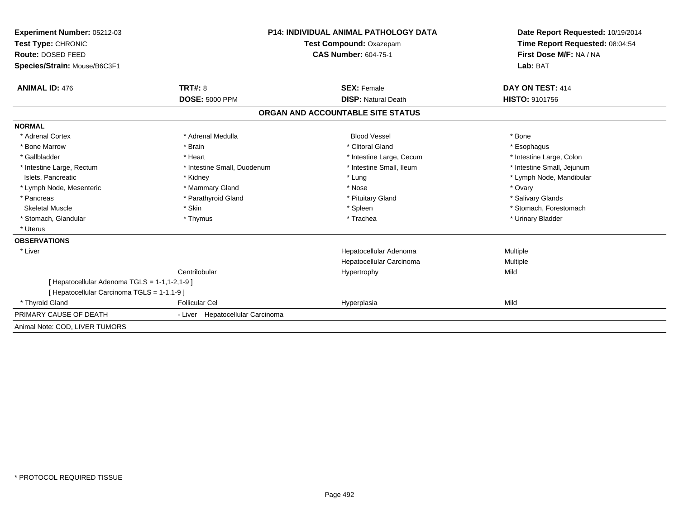| Experiment Number: 05212-03<br>Test Type: CHRONIC |                                  | <b>P14: INDIVIDUAL ANIMAL PATHOLOGY DATA</b> | Date Report Requested: 10/19/2014<br>Time Report Requested: 08:04:54 |
|---------------------------------------------------|----------------------------------|----------------------------------------------|----------------------------------------------------------------------|
|                                                   |                                  | Test Compound: Oxazepam                      |                                                                      |
| Route: DOSED FEED                                 |                                  | <b>CAS Number: 604-75-1</b>                  | First Dose M/F: NA / NA                                              |
| Species/Strain: Mouse/B6C3F1                      |                                  |                                              | Lab: BAT                                                             |
| <b>ANIMAL ID: 476</b>                             | <b>TRT#: 8</b>                   | <b>SEX: Female</b>                           | DAY ON TEST: 414                                                     |
|                                                   | <b>DOSE: 5000 PPM</b>            | <b>DISP: Natural Death</b>                   | <b>HISTO: 9101756</b>                                                |
|                                                   |                                  | ORGAN AND ACCOUNTABLE SITE STATUS            |                                                                      |
| <b>NORMAL</b>                                     |                                  |                                              |                                                                      |
| * Adrenal Cortex                                  | * Adrenal Medulla                | <b>Blood Vessel</b>                          | * Bone                                                               |
| * Bone Marrow                                     | * Brain                          | * Clitoral Gland                             | * Esophagus                                                          |
| * Gallbladder                                     | * Heart                          | * Intestine Large, Cecum                     | * Intestine Large, Colon                                             |
| * Intestine Large, Rectum                         | * Intestine Small, Duodenum      | * Intestine Small, Ileum                     | * Intestine Small, Jejunum                                           |
| Islets, Pancreatic                                | * Kidney                         | * Lung                                       | * Lymph Node, Mandibular                                             |
| * Lymph Node, Mesenteric                          | * Mammary Gland                  | * Nose                                       | * Ovary                                                              |
| * Pancreas                                        | * Parathyroid Gland              | * Pituitary Gland                            | * Salivary Glands                                                    |
| <b>Skeletal Muscle</b>                            | * Skin                           | * Spleen                                     | * Stomach, Forestomach                                               |
| * Stomach, Glandular                              | * Thymus                         | * Trachea                                    | * Urinary Bladder                                                    |
| * Uterus                                          |                                  |                                              |                                                                      |
| <b>OBSERVATIONS</b>                               |                                  |                                              |                                                                      |
| * Liver                                           |                                  | Hepatocellular Adenoma                       | Multiple                                                             |
|                                                   |                                  | Hepatocellular Carcinoma                     | Multiple                                                             |
|                                                   | Centrilobular                    | Hypertrophy                                  | Mild                                                                 |
| [ Hepatocellular Adenoma TGLS = 1-1,1-2,1-9 ]     |                                  |                                              |                                                                      |
| [ Hepatocellular Carcinoma TGLS = 1-1,1-9 ]       |                                  |                                              |                                                                      |
| * Thyroid Gland                                   | <b>Follicular Cel</b>            | Hyperplasia                                  | Mild                                                                 |
| PRIMARY CAUSE OF DEATH                            | - Liver Hepatocellular Carcinoma |                                              |                                                                      |
| Animal Note: COD, LIVER TUMORS                    |                                  |                                              |                                                                      |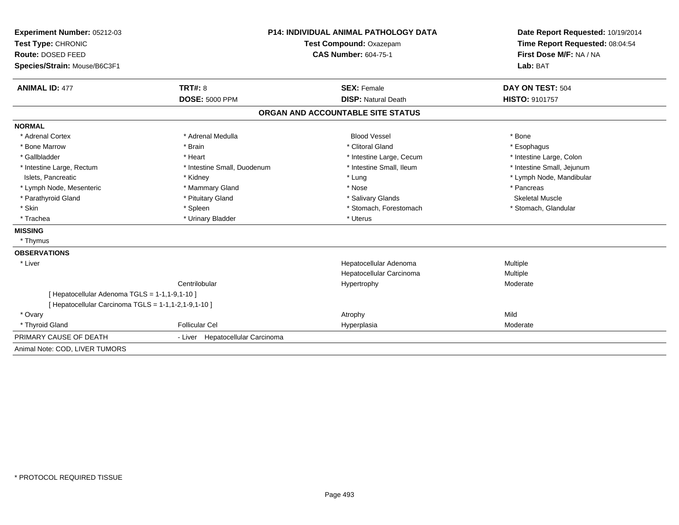| Experiment Number: 05212-03                          |                                  | <b>P14: INDIVIDUAL ANIMAL PATHOLOGY DATA</b><br>Test Compound: Oxazepam |                                                            |
|------------------------------------------------------|----------------------------------|-------------------------------------------------------------------------|------------------------------------------------------------|
| Test Type: CHRONIC                                   |                                  |                                                                         |                                                            |
| Route: DOSED FEED                                    | <b>CAS Number: 604-75-1</b>      |                                                                         | Time Report Requested: 08:04:54<br>First Dose M/F: NA / NA |
| Species/Strain: Mouse/B6C3F1                         |                                  |                                                                         | Lab: BAT                                                   |
|                                                      |                                  |                                                                         |                                                            |
| <b>ANIMAL ID: 477</b>                                | <b>TRT#: 8</b>                   | <b>SEX: Female</b>                                                      | DAY ON TEST: 504                                           |
|                                                      | <b>DOSE: 5000 PPM</b>            | <b>DISP: Natural Death</b>                                              | <b>HISTO: 9101757</b>                                      |
|                                                      |                                  | ORGAN AND ACCOUNTABLE SITE STATUS                                       |                                                            |
| <b>NORMAL</b>                                        |                                  |                                                                         |                                                            |
| * Adrenal Cortex                                     | * Adrenal Medulla                | <b>Blood Vessel</b>                                                     | * Bone                                                     |
| * Bone Marrow                                        | * Brain                          | * Clitoral Gland                                                        | * Esophagus                                                |
| * Gallbladder                                        | * Heart                          | * Intestine Large, Cecum                                                | * Intestine Large, Colon                                   |
| * Intestine Large, Rectum                            | * Intestine Small, Duodenum      | * Intestine Small, Ileum                                                | * Intestine Small, Jejunum                                 |
| Islets, Pancreatic                                   | * Kidney                         | * Lung                                                                  | * Lymph Node, Mandibular                                   |
| * Lymph Node, Mesenteric                             | * Mammary Gland                  | * Nose                                                                  | * Pancreas                                                 |
| * Parathyroid Gland                                  | * Pituitary Gland                | * Salivary Glands                                                       | Skeletal Muscle                                            |
| * Skin                                               | * Spleen                         | * Stomach, Forestomach                                                  | * Stomach, Glandular                                       |
| * Trachea                                            | * Urinary Bladder                | * Uterus                                                                |                                                            |
| <b>MISSING</b>                                       |                                  |                                                                         |                                                            |
| * Thymus                                             |                                  |                                                                         |                                                            |
| <b>OBSERVATIONS</b>                                  |                                  |                                                                         |                                                            |
| * Liver                                              |                                  | Hepatocellular Adenoma                                                  | Multiple                                                   |
|                                                      |                                  | Hepatocellular Carcinoma                                                | Multiple                                                   |
|                                                      | Centrilobular                    | Hypertrophy                                                             | Moderate                                                   |
| [ Hepatocellular Adenoma TGLS = 1-1,1-9,1-10 ]       |                                  |                                                                         |                                                            |
| [ Hepatocellular Carcinoma TGLS = 1-1,1-2,1-9,1-10 ] |                                  |                                                                         |                                                            |
| * Ovary                                              |                                  | Atrophy                                                                 | Mild                                                       |
| * Thyroid Gland                                      | <b>Follicular Cel</b>            | Hyperplasia                                                             | Moderate                                                   |
| PRIMARY CAUSE OF DEATH                               | - Liver Hepatocellular Carcinoma |                                                                         |                                                            |
| Animal Note: COD, LIVER TUMORS                       |                                  |                                                                         |                                                            |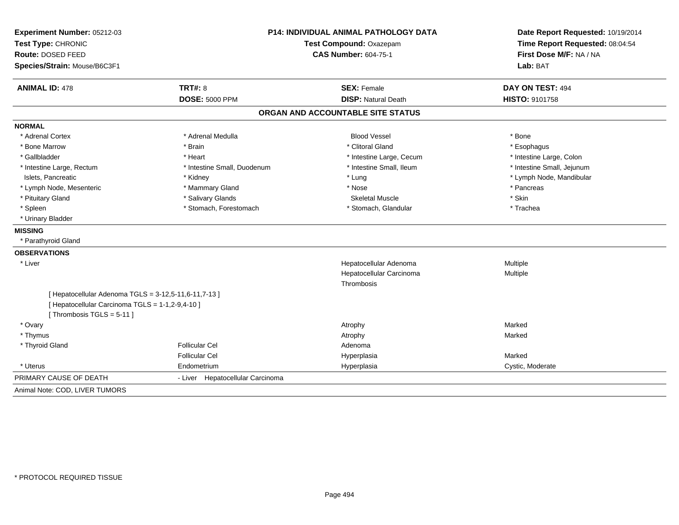| Experiment Number: 05212-03<br>Test Type: CHRONIC                            | <b>P14: INDIVIDUAL ANIMAL PATHOLOGY DATA</b><br>Test Compound: Oxazepam<br><b>CAS Number: 604-75-1</b> |                                   | Date Report Requested: 10/19/2014<br>Time Report Requested: 08:04:54<br>First Dose M/F: NA / NA |
|------------------------------------------------------------------------------|--------------------------------------------------------------------------------------------------------|-----------------------------------|-------------------------------------------------------------------------------------------------|
| Route: DOSED FEED                                                            |                                                                                                        |                                   |                                                                                                 |
| Species/Strain: Mouse/B6C3F1                                                 |                                                                                                        |                                   | Lab: BAT                                                                                        |
| <b>ANIMAL ID: 478</b>                                                        | <b>TRT#: 8</b>                                                                                         | <b>SEX: Female</b>                | DAY ON TEST: 494                                                                                |
|                                                                              | <b>DOSE: 5000 PPM</b>                                                                                  | <b>DISP: Natural Death</b>        | HISTO: 9101758                                                                                  |
|                                                                              |                                                                                                        | ORGAN AND ACCOUNTABLE SITE STATUS |                                                                                                 |
| <b>NORMAL</b>                                                                |                                                                                                        |                                   |                                                                                                 |
| * Adrenal Cortex                                                             | * Adrenal Medulla                                                                                      | <b>Blood Vessel</b>               | * Bone                                                                                          |
| * Bone Marrow                                                                | * Brain                                                                                                | * Clitoral Gland                  | * Esophagus                                                                                     |
| * Gallbladder                                                                | * Heart                                                                                                | * Intestine Large, Cecum          | * Intestine Large, Colon                                                                        |
| * Intestine Large, Rectum                                                    | * Intestine Small, Duodenum                                                                            | * Intestine Small, Ileum          | * Intestine Small, Jejunum                                                                      |
| Islets, Pancreatic                                                           | * Kidney                                                                                               | * Lung                            | * Lymph Node, Mandibular                                                                        |
| * Lymph Node, Mesenteric                                                     | * Mammary Gland                                                                                        | * Nose                            | * Pancreas                                                                                      |
| * Pituitary Gland                                                            | * Salivary Glands                                                                                      | <b>Skeletal Muscle</b>            | * Skin                                                                                          |
| * Spleen                                                                     | * Stomach, Forestomach                                                                                 | * Stomach, Glandular              | * Trachea                                                                                       |
| * Urinary Bladder                                                            |                                                                                                        |                                   |                                                                                                 |
| <b>MISSING</b>                                                               |                                                                                                        |                                   |                                                                                                 |
| * Parathyroid Gland                                                          |                                                                                                        |                                   |                                                                                                 |
| <b>OBSERVATIONS</b>                                                          |                                                                                                        |                                   |                                                                                                 |
| * Liver                                                                      |                                                                                                        | Hepatocellular Adenoma            | Multiple                                                                                        |
|                                                                              |                                                                                                        | Hepatocellular Carcinoma          | Multiple                                                                                        |
|                                                                              |                                                                                                        | Thrombosis                        |                                                                                                 |
| [ Hepatocellular Adenoma TGLS = 3-12,5-11,6-11,7-13 ]                        |                                                                                                        |                                   |                                                                                                 |
| [ Hepatocellular Carcinoma TGLS = 1-1,2-9,4-10 ]<br>[Thrombosis TGLS = 5-11] |                                                                                                        |                                   |                                                                                                 |
| * Ovary                                                                      |                                                                                                        | Atrophy                           | Marked                                                                                          |
| * Thymus                                                                     |                                                                                                        | Atrophy                           | Marked                                                                                          |
| * Thyroid Gland                                                              | <b>Follicular Cel</b>                                                                                  | Adenoma                           |                                                                                                 |
|                                                                              | <b>Follicular Cel</b>                                                                                  | Hyperplasia                       | Marked                                                                                          |
| * Uterus                                                                     | Endometrium                                                                                            | Hyperplasia                       | Cystic, Moderate                                                                                |
| PRIMARY CAUSE OF DEATH                                                       | - Liver Hepatocellular Carcinoma                                                                       |                                   |                                                                                                 |
| Animal Note: COD, LIVER TUMORS                                               |                                                                                                        |                                   |                                                                                                 |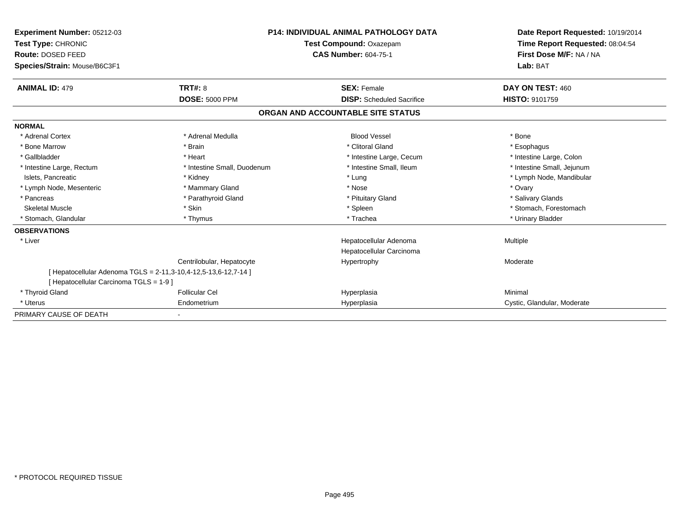| <b>Experiment Number: 05212-03</b><br><b>Test Type: CHRONIC</b><br>Route: DOSED FEED<br>Species/Strain: Mouse/B6C3F1 |                                                                 | P14: INDIVIDUAL ANIMAL PATHOLOGY DATA<br>Test Compound: Oxazepam<br><b>CAS Number: 604-75-1</b> | Date Report Requested: 10/19/2014<br>Time Report Requested: 08:04:54<br>First Dose M/F: NA / NA<br>Lab: BAT |
|----------------------------------------------------------------------------------------------------------------------|-----------------------------------------------------------------|-------------------------------------------------------------------------------------------------|-------------------------------------------------------------------------------------------------------------|
|                                                                                                                      |                                                                 |                                                                                                 |                                                                                                             |
| <b>ANIMAL ID: 479</b>                                                                                                | TRT#: 8                                                         | <b>SEX: Female</b>                                                                              | DAY ON TEST: 460                                                                                            |
|                                                                                                                      | <b>DOSE: 5000 PPM</b>                                           | <b>DISP:</b> Scheduled Sacrifice                                                                | <b>HISTO: 9101759</b>                                                                                       |
|                                                                                                                      |                                                                 | ORGAN AND ACCOUNTABLE SITE STATUS                                                               |                                                                                                             |
| <b>NORMAL</b>                                                                                                        |                                                                 |                                                                                                 |                                                                                                             |
| * Adrenal Cortex                                                                                                     | * Adrenal Medulla                                               | <b>Blood Vessel</b>                                                                             | * Bone                                                                                                      |
| * Bone Marrow                                                                                                        | * Brain                                                         | * Clitoral Gland                                                                                | * Esophagus                                                                                                 |
| * Gallbladder                                                                                                        | * Heart                                                         | * Intestine Large, Cecum                                                                        | * Intestine Large, Colon                                                                                    |
| * Intestine Large, Rectum                                                                                            | * Intestine Small, Duodenum                                     | * Intestine Small, Ileum                                                                        | * Intestine Small, Jejunum                                                                                  |
| Islets, Pancreatic                                                                                                   | * Kidney                                                        | * Lung                                                                                          | * Lymph Node, Mandibular                                                                                    |
| * Lymph Node, Mesenteric                                                                                             | * Mammary Gland                                                 | * Nose                                                                                          | * Ovary                                                                                                     |
| * Pancreas                                                                                                           | * Parathyroid Gland                                             | * Pituitary Gland                                                                               | * Salivary Glands                                                                                           |
| <b>Skeletal Muscle</b>                                                                                               | * Skin                                                          | * Spleen                                                                                        | * Stomach, Forestomach                                                                                      |
| * Stomach, Glandular                                                                                                 | * Thymus                                                        | * Trachea                                                                                       | * Urinary Bladder                                                                                           |
| <b>OBSERVATIONS</b>                                                                                                  |                                                                 |                                                                                                 |                                                                                                             |
| * Liver                                                                                                              |                                                                 | Hepatocellular Adenoma<br>Hepatocellular Carcinoma                                              | Multiple                                                                                                    |
|                                                                                                                      | Centrilobular, Hepatocyte                                       | Hypertrophy                                                                                     | Moderate                                                                                                    |
| [ Hepatocellular Carcinoma TGLS = 1-9 ]                                                                              | [ Hepatocellular Adenoma TGLS = 2-11,3-10,4-12,5-13,6-12,7-14 ] |                                                                                                 |                                                                                                             |
| * Thyroid Gland                                                                                                      | <b>Follicular Cel</b>                                           | Hyperplasia                                                                                     | Minimal                                                                                                     |
| * Uterus                                                                                                             | Endometrium                                                     | Hyperplasia                                                                                     | Cystic, Glandular, Moderate                                                                                 |
| PRIMARY CAUSE OF DEATH                                                                                               |                                                                 |                                                                                                 |                                                                                                             |